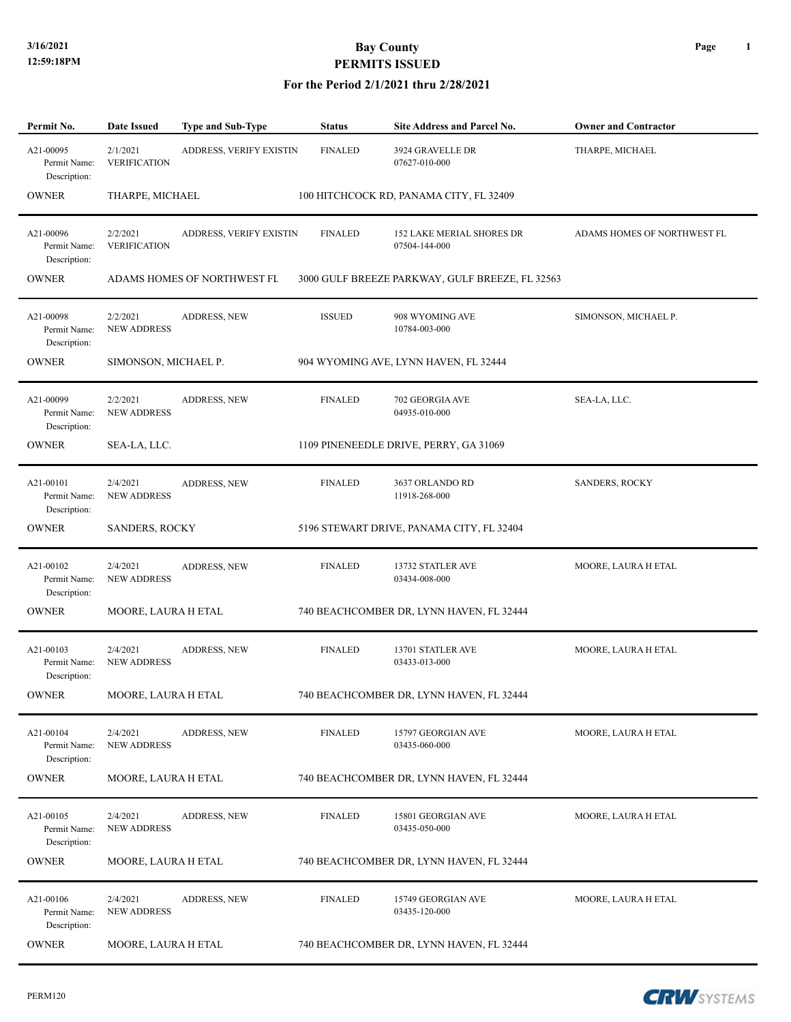| Permit No.                                | Date Issued                     | <b>Type and Sub-Type</b>    | <b>Status</b>  | <b>Site Address and Parcel No.</b>                | <b>Owner and Contractor</b> |
|-------------------------------------------|---------------------------------|-----------------------------|----------------|---------------------------------------------------|-----------------------------|
| A21-00095<br>Permit Name:<br>Description: | 2/1/2021<br><b>VERIFICATION</b> | ADDRESS, VERIFY EXISTIN     | <b>FINALED</b> | 3924 GRAVELLE DR<br>07627-010-000                 | THARPE, MICHAEL             |
| <b>OWNER</b>                              | THARPE, MICHAEL                 |                             |                | 100 HITCHCOCK RD, PANAMA CITY, FL 32409           |                             |
| A21-00096<br>Permit Name:<br>Description: | 2/2/2021<br><b>VERIFICATION</b> | ADDRESS, VERIFY EXISTIN     | <b>FINALED</b> | <b>152 LAKE MERIAL SHORES DR</b><br>07504-144-000 | ADAMS HOMES OF NORTHWEST FL |
| <b>OWNER</b>                              |                                 | ADAMS HOMES OF NORTHWEST FL |                | 3000 GULF BREEZE PARKWAY, GULF BREEZE, FL 32563   |                             |
| A21-00098<br>Permit Name:<br>Description: | 2/2/2021<br><b>NEW ADDRESS</b>  | <b>ADDRESS, NEW</b>         | <b>ISSUED</b>  | 908 WYOMING AVE<br>10784-003-000                  | SIMONSON, MICHAEL P.        |
| <b>OWNER</b>                              | SIMONSON, MICHAEL P.            |                             |                | 904 WYOMING AVE, LYNN HAVEN, FL 32444             |                             |
| A21-00099<br>Permit Name:<br>Description: | 2/2/2021<br><b>NEW ADDRESS</b>  | <b>ADDRESS, NEW</b>         | <b>FINALED</b> | 702 GEORGIA AVE<br>04935-010-000                  | SEA-LA, LLC.                |
| OWNER                                     | SEA-LA, LLC.                    |                             |                | 1109 PINENEEDLE DRIVE, PERRY, GA 31069            |                             |
| A21-00101<br>Permit Name:<br>Description: | 2/4/2021<br><b>NEW ADDRESS</b>  | ADDRESS, NEW                | <b>FINALED</b> | 3637 ORLANDO RD<br>11918-268-000                  | <b>SANDERS, ROCKY</b>       |
| OWNER                                     | <b>SANDERS, ROCKY</b>           |                             |                | 5196 STEWART DRIVE, PANAMA CITY, FL 32404         |                             |
| A21-00102<br>Permit Name:<br>Description: | 2/4/2021<br><b>NEW ADDRESS</b>  | <b>ADDRESS, NEW</b>         | <b>FINALED</b> | 13732 STATLER AVE<br>03434-008-000                | MOORE, LAURA H ETAL         |
| <b>OWNER</b>                              | MOORE, LAURA H ETAL             |                             |                | 740 BEACHCOMBER DR, LYNN HAVEN, FL 32444          |                             |
| A21-00103<br>Permit Name:<br>Description: | 2/4/2021<br><b>NEW ADDRESS</b>  | <b>ADDRESS, NEW</b>         | <b>FINALED</b> | 13701 STATLER AVE<br>03433-013-000                | MOORE, LAURA H ETAL         |
| <b>OWNER</b>                              | MOORE, LAURA H ETAL             |                             |                | 740 BEACHCOMBER DR, LYNN HAVEN, FL 32444          |                             |
| A21-00104<br>Permit Name:<br>Description: | 2/4/2021<br><b>NEW ADDRESS</b>  | ADDRESS, NEW                | <b>FINALED</b> | 15797 GEORGIAN AVE<br>03435-060-000               | MOORE, LAURA H ETAL         |
| <b>OWNER</b>                              | MOORE, LAURA H ETAL             |                             |                | 740 BEACHCOMBER DR, LYNN HAVEN, FL 32444          |                             |
| A21-00105<br>Permit Name:<br>Description: | 2/4/2021<br><b>NEW ADDRESS</b>  | <b>ADDRESS, NEW</b>         | <b>FINALED</b> | 15801 GEORGIAN AVE<br>03435-050-000               | MOORE, LAURA H ETAL         |
| <b>OWNER</b>                              | MOORE, LAURA H ETAL             |                             |                | 740 BEACHCOMBER DR, LYNN HAVEN, FL 32444          |                             |
| A21-00106<br>Permit Name:<br>Description: | 2/4/2021<br><b>NEW ADDRESS</b>  | <b>ADDRESS, NEW</b>         | <b>FINALED</b> | 15749 GEORGIAN AVE<br>03435-120-000               | MOORE, LAURA H ETAL         |
| <b>OWNER</b>                              | MOORE, LAURA H ETAL             |                             |                | 740 BEACHCOMBER DR, LYNN HAVEN, FL 32444          |                             |

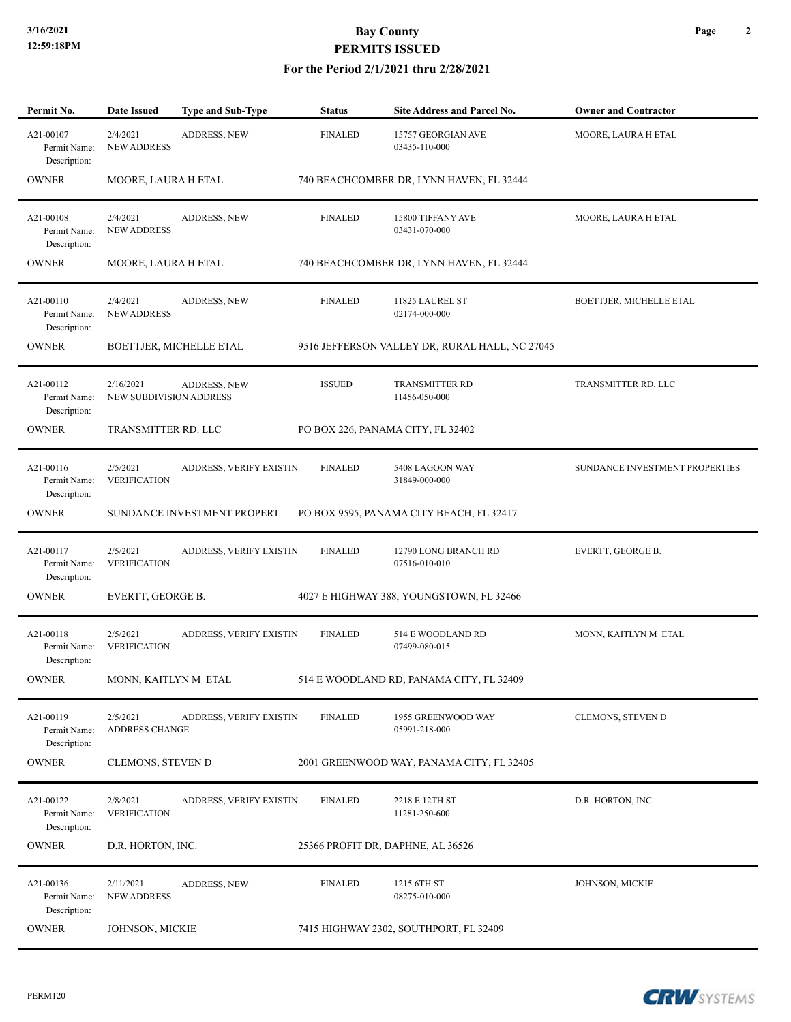#### **For the Period 2/1/2021 thru 2/28/2021**

| Permit No.                                | Date Issued                                 | Type and Sub-Type           | <b>Status</b>  | Site Address and Parcel No.                    | <b>Owner and Contractor</b>    |
|-------------------------------------------|---------------------------------------------|-----------------------------|----------------|------------------------------------------------|--------------------------------|
| A21-00107<br>Permit Name:<br>Description: | 2/4/2021<br><b>NEW ADDRESS</b>              | ADDRESS, NEW                | <b>FINALED</b> | 15757 GEORGIAN AVE<br>03435-110-000            | MOORE, LAURA H ETAL            |
| <b>OWNER</b>                              | MOORE, LAURA H ETAL                         |                             |                | 740 BEACHCOMBER DR, LYNN HAVEN, FL 32444       |                                |
| A21-00108<br>Permit Name:<br>Description: | 2/4/2021<br><b>NEW ADDRESS</b>              | ADDRESS, NEW                | <b>FINALED</b> | 15800 TIFFANY AVE<br>03431-070-000             | MOORE, LAURA H ETAL            |
| <b>OWNER</b>                              | MOORE, LAURA H ETAL                         |                             |                | 740 BEACHCOMBER DR, LYNN HAVEN, FL 32444       |                                |
| A21-00110<br>Permit Name:<br>Description: | 2/4/2021<br><b>NEW ADDRESS</b>              | ADDRESS, NEW                | <b>FINALED</b> | 11825 LAUREL ST<br>02174-000-000               | BOETTJER, MICHELLE ETAL        |
| <b>OWNER</b>                              |                                             | BOETTJER, MICHELLE ETAL     |                | 9516 JEFFERSON VALLEY DR, RURAL HALL, NC 27045 |                                |
| A21-00112<br>Permit Name:<br>Description: | 2/16/2021<br><b>NEW SUBDIVISION ADDRESS</b> | ADDRESS, NEW                | <b>ISSUED</b>  | TRANSMITTER RD<br>11456-050-000                | TRANSMITTER RD. LLC            |
| <b>OWNER</b>                              | TRANSMITTER RD. LLC                         |                             |                | PO BOX 226, PANAMA CITY, FL 32402              |                                |
| A21-00116<br>Permit Name:<br>Description: | 2/5/2021<br><b>VERIFICATION</b>             | ADDRESS, VERIFY EXISTIN     | <b>FINALED</b> | 5408 LAGOON WAY<br>31849-000-000               | SUNDANCE INVESTMENT PROPERTIES |
| <b>OWNER</b>                              |                                             | SUNDANCE INVESTMENT PROPERT |                | PO BOX 9595, PANAMA CITY BEACH, FL 32417       |                                |
| A21-00117<br>Permit Name:<br>Description: | 2/5/2021<br><b>VERIFICATION</b>             | ADDRESS, VERIFY EXISTIN     | <b>FINALED</b> | 12790 LONG BRANCH RD<br>07516-010-010          | EVERTT, GEORGE B.              |
| <b>OWNER</b>                              | EVERTT, GEORGE B.                           |                             |                | 4027 E HIGHWAY 388, YOUNGSTOWN, FL 32466       |                                |
| A21-00118<br>Permit Name:<br>Description: | 2/5/2021<br><b>VERIFICATION</b>             | ADDRESS, VERIFY EXISTIN     | <b>FINALED</b> | 514 E WOODLAND RD<br>07499-080-015             | MONN, KAITLYN M ETAL           |
| OWNER                                     | MONN, KAITLYN M ETAL                        |                             |                | 514 E WOODLAND RD, PANAMA CITY, FL 32409       |                                |
| A21-00119<br>Permit Name:<br>Description: | 2/5/2021<br><b>ADDRESS CHANGE</b>           | ADDRESS, VERIFY EXISTIN     | <b>FINALED</b> | 1955 GREENWOOD WAY<br>05991-218-000            | CLEMONS, STEVEN D              |
| <b>OWNER</b>                              | <b>CLEMONS, STEVEN D</b>                    |                             |                | 2001 GREENWOOD WAY, PANAMA CITY, FL 32405      |                                |
| A21-00122<br>Permit Name:<br>Description: | 2/8/2021<br><b>VERIFICATION</b>             | ADDRESS, VERIFY EXISTIN     | <b>FINALED</b> | 2218 E 12TH ST<br>11281-250-600                | D.R. HORTON, INC.              |
| <b>OWNER</b>                              | D.R. HORTON, INC.                           |                             |                | 25366 PROFIT DR, DAPHNE, AL 36526              |                                |
| A21-00136<br>Permit Name:<br>Description: | 2/11/2021<br><b>NEW ADDRESS</b>             | ADDRESS, NEW                | <b>FINALED</b> | 1215 6TH ST<br>08275-010-000                   | JOHNSON, MICKIE                |
| <b>OWNER</b>                              | JOHNSON, MICKIE                             |                             |                | 7415 HIGHWAY 2302, SOUTHPORT, FL 32409         |                                |

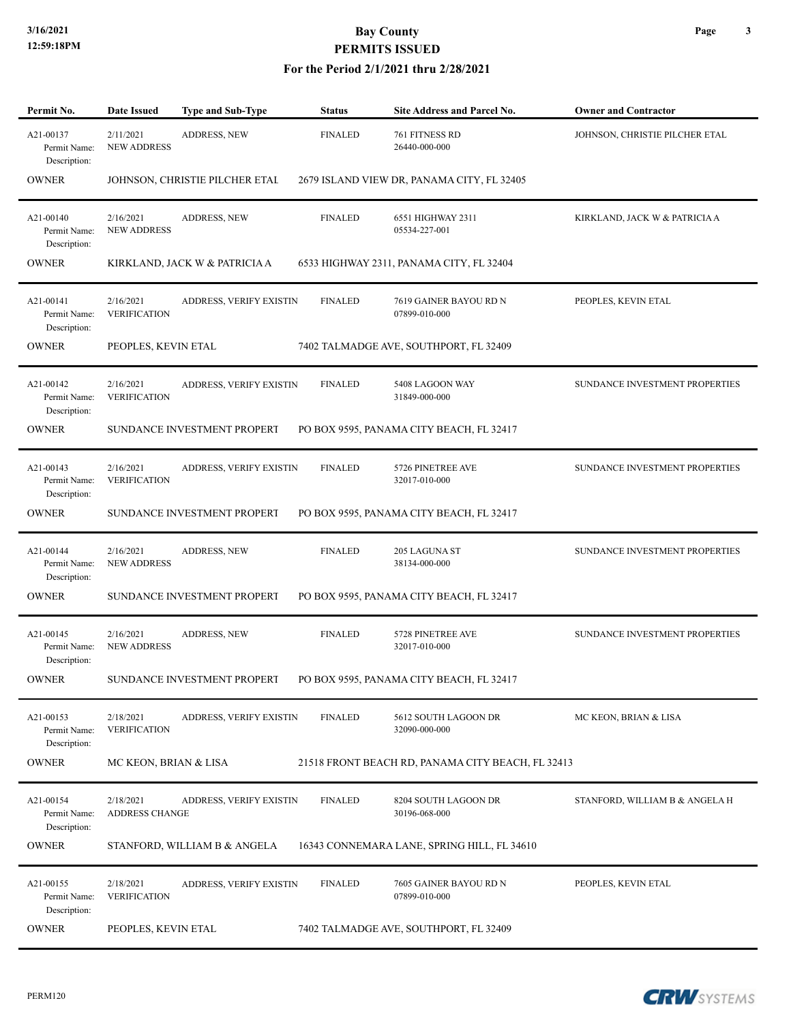| Permit No.                                | <b>Date Issued</b>                 | Type and Sub-Type              | <b>Status</b>  | Site Address and Parcel No.                       | <b>Owner and Contractor</b>    |
|-------------------------------------------|------------------------------------|--------------------------------|----------------|---------------------------------------------------|--------------------------------|
| A21-00137<br>Permit Name:<br>Description: | 2/11/2021<br><b>NEW ADDRESS</b>    | <b>ADDRESS, NEW</b>            | <b>FINALED</b> | 761 FITNESS RD<br>26440-000-000                   | JOHNSON, CHRISTIE PILCHER ETAL |
| <b>OWNER</b>                              |                                    | JOHNSON, CHRISTIE PILCHER ETAL |                | 2679 ISLAND VIEW DR, PANAMA CITY, FL 32405        |                                |
| A21-00140<br>Permit Name:<br>Description: | 2/16/2021<br><b>NEW ADDRESS</b>    | <b>ADDRESS, NEW</b>            | <b>FINALED</b> | 6551 HIGHWAY 2311<br>05534-227-001                | KIRKLAND, JACK W & PATRICIA A  |
| <b>OWNER</b>                              |                                    | KIRKLAND, JACK W & PATRICIA A  |                | 6533 HIGHWAY 2311, PANAMA CITY, FL 32404          |                                |
| A21-00141<br>Permit Name:<br>Description: | 2/16/2021<br><b>VERIFICATION</b>   | ADDRESS, VERIFY EXISTIN        | <b>FINALED</b> | 7619 GAINER BAYOU RD N<br>07899-010-000           | PEOPLES, KEVIN ETAL            |
| <b>OWNER</b>                              | PEOPLES, KEVIN ETAL                |                                |                | 7402 TALMADGE AVE, SOUTHPORT, FL 32409            |                                |
| A21-00142<br>Permit Name:<br>Description: | 2/16/2021<br><b>VERIFICATION</b>   | ADDRESS, VERIFY EXISTIN        | <b>FINALED</b> | 5408 LAGOON WAY<br>31849-000-000                  | SUNDANCE INVESTMENT PROPERTIES |
| <b>OWNER</b>                              |                                    | SUNDANCE INVESTMENT PROPERT    |                | PO BOX 9595, PANAMA CITY BEACH, FL 32417          |                                |
| A21-00143<br>Permit Name:<br>Description: | 2/16/2021<br><b>VERIFICATION</b>   | ADDRESS, VERIFY EXISTIN        | <b>FINALED</b> | 5726 PINETREE AVE<br>32017-010-000                | SUNDANCE INVESTMENT PROPERTIES |
| <b>OWNER</b>                              |                                    | SUNDANCE INVESTMENT PROPERT    |                | PO BOX 9595, PANAMA CITY BEACH, FL 32417          |                                |
| A21-00144<br>Permit Name:<br>Description: | 2/16/2021<br><b>NEW ADDRESS</b>    | <b>ADDRESS, NEW</b>            | <b>FINALED</b> | 205 LAGUNA ST<br>38134-000-000                    | SUNDANCE INVESTMENT PROPERTIES |
| <b>OWNER</b>                              |                                    | SUNDANCE INVESTMENT PROPERT    |                | PO BOX 9595, PANAMA CITY BEACH, FL 32417          |                                |
| A21-00145<br>Permit Name:<br>Description: | 2/16/2021<br><b>NEW ADDRESS</b>    | <b>ADDRESS, NEW</b>            | <b>FINALED</b> | 5728 PINETREE AVE<br>32017-010-000                | SUNDANCE INVESTMENT PROPERTIES |
| <b>OWNER</b>                              |                                    | SUNDANCE INVESTMENT PROPERT    |                | PO BOX 9595, PANAMA CITY BEACH, FL 32417          |                                |
| A21-00153<br>Permit Name:<br>Description: | 2/18/2021<br><b>VERIFICATION</b>   | ADDRESS, VERIFY EXISTIN        | <b>FINALED</b> | 5612 SOUTH LAGOON DR<br>32090-000-000             | MC KEON, BRIAN & LISA          |
| <b>OWNER</b>                              | MC KEON, BRIAN & LISA              |                                |                | 21518 FRONT BEACH RD, PANAMA CITY BEACH, FL 32413 |                                |
| A21-00154<br>Permit Name:<br>Description: | 2/18/2021<br><b>ADDRESS CHANGE</b> | ADDRESS, VERIFY EXISTIN        | <b>FINALED</b> | 8204 SOUTH LAGOON DR<br>30196-068-000             | STANFORD, WILLIAM B & ANGELA H |
| <b>OWNER</b>                              |                                    | STANFORD, WILLIAM B & ANGELA   |                | 16343 CONNEMARA LANE, SPRING HILL, FL 34610       |                                |
| A21-00155<br>Permit Name:<br>Description: | 2/18/2021<br><b>VERIFICATION</b>   | ADDRESS, VERIFY EXISTIN        | <b>FINALED</b> | 7605 GAINER BAYOU RD N<br>07899-010-000           | PEOPLES, KEVIN ETAL            |
| <b>OWNER</b>                              | PEOPLES, KEVIN ETAL                |                                |                | 7402 TALMADGE AVE, SOUTHPORT, FL 32409            |                                |

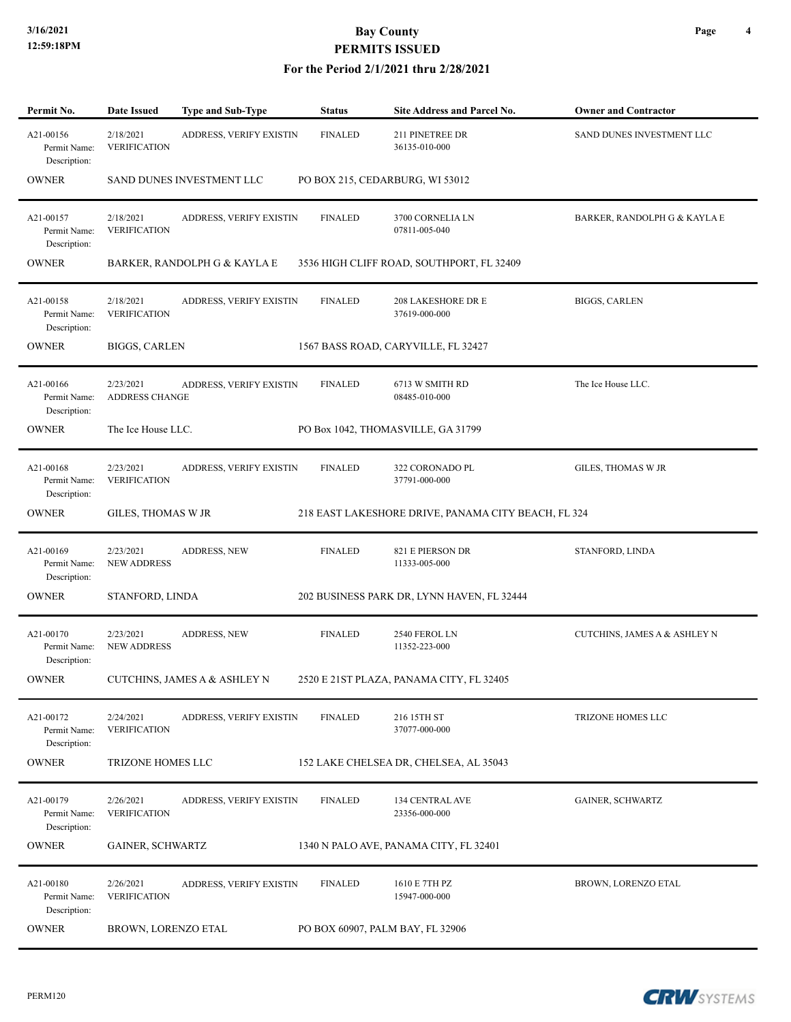#### **For the Period 2/1/2021 thru 2/28/2021**

| Permit No.                                | <b>Date Issued</b>                 | Type and Sub-Type            | <b>Status</b>                    | Site Address and Parcel No.                         | <b>Owner and Contractor</b>  |
|-------------------------------------------|------------------------------------|------------------------------|----------------------------------|-----------------------------------------------------|------------------------------|
| A21-00156<br>Permit Name:<br>Description: | 2/18/2021<br><b>VERIFICATION</b>   | ADDRESS, VERIFY EXISTIN      | <b>FINALED</b>                   | 211 PINETREE DR<br>36135-010-000                    | SAND DUNES INVESTMENT LLC    |
| <b>OWNER</b>                              |                                    | SAND DUNES INVESTMENT LLC    | PO BOX 215, CEDARBURG, WI 53012  |                                                     |                              |
| A21-00157<br>Permit Name:<br>Description: | 2/18/2021<br><b>VERIFICATION</b>   | ADDRESS, VERIFY EXISTIN      | <b>FINALED</b>                   | 3700 CORNELIA LN<br>07811-005-040                   | BARKER, RANDOLPH G & KAYLA E |
| <b>OWNER</b>                              |                                    | BARKER, RANDOLPH G & KAYLA E |                                  | 3536 HIGH CLIFF ROAD, SOUTHPORT, FL 32409           |                              |
| A21-00158<br>Permit Name:<br>Description: | 2/18/2021<br><b>VERIFICATION</b>   | ADDRESS, VERIFY EXISTIN      | <b>FINALED</b>                   | 208 LAKESHORE DR E<br>37619-000-000                 | <b>BIGGS, CARLEN</b>         |
| <b>OWNER</b>                              | BIGGS, CARLEN                      |                              |                                  | 1567 BASS ROAD, CARYVILLE, FL 32427                 |                              |
| A21-00166<br>Permit Name:<br>Description: | 2/23/2021<br><b>ADDRESS CHANGE</b> | ADDRESS, VERIFY EXISTIN      | <b>FINALED</b>                   | 6713 W SMITH RD<br>08485-010-000                    | The Ice House LLC.           |
| <b>OWNER</b>                              | The Ice House LLC.                 |                              |                                  | PO Box 1042, THOMASVILLE, GA 31799                  |                              |
| A21-00168<br>Permit Name:<br>Description: | 2/23/2021<br><b>VERIFICATION</b>   | ADDRESS, VERIFY EXISTIN      | <b>FINALED</b>                   | 322 CORONADO PL<br>37791-000-000                    | GILES, THOMAS W JR           |
| <b>OWNER</b>                              | GILES, THOMAS W JR                 |                              |                                  | 218 EAST LAKESHORE DRIVE, PANAMA CITY BEACH, FL 324 |                              |
| A21-00169<br>Permit Name:<br>Description: | 2/23/2021<br><b>NEW ADDRESS</b>    | ADDRESS, NEW                 | <b>FINALED</b>                   | 821 E PIERSON DR<br>11333-005-000                   | STANFORD, LINDA              |
| <b>OWNER</b>                              | STANFORD, LINDA                    |                              |                                  | 202 BUSINESS PARK DR, LYNN HAVEN, FL 32444          |                              |
| A21-00170<br>Permit Name:<br>Description: | 2/23/2021<br><b>NEW ADDRESS</b>    | <b>ADDRESS, NEW</b>          | <b>FINALED</b>                   | 2540 FEROL LN<br>11352-223-000                      | CUTCHINS, JAMES A & ASHLEY N |
| <b>OWNER</b>                              |                                    | CUTCHINS, JAMES A & ASHLEY N |                                  | 2520 E 21ST PLAZA, PANAMA CITY, FL 32405            |                              |
| A21-00172<br>Permit Name:<br>Description: | 2/24/2021<br><b>VERIFICATION</b>   | ADDRESS, VERIFY EXISTIN      | <b>FINALED</b>                   | 216 15TH ST<br>37077-000-000                        | TRIZONE HOMES LLC            |
| <b>OWNER</b>                              | TRIZONE HOMES LLC                  |                              |                                  | 152 LAKE CHELSEA DR, CHELSEA, AL 35043              |                              |
| A21-00179<br>Permit Name:<br>Description: | 2/26/2021<br><b>VERIFICATION</b>   | ADDRESS, VERIFY EXISTIN      | <b>FINALED</b>                   | 134 CENTRAL AVE<br>23356-000-000                    | GAINER, SCHWARTZ             |
| <b>OWNER</b>                              | <b>GAINER, SCHWARTZ</b>            |                              |                                  | 1340 N PALO AVE, PANAMA CITY, FL 32401              |                              |
| A21-00180<br>Permit Name:<br>Description: | 2/26/2021<br><b>VERIFICATION</b>   | ADDRESS, VERIFY EXISTIN      | <b>FINALED</b>                   | 1610 E 7TH PZ<br>15947-000-000                      | BROWN, LORENZO ETAL          |
| <b>OWNER</b>                              | BROWN, LORENZO ETAL                |                              | PO BOX 60907, PALM BAY, FL 32906 |                                                     |                              |

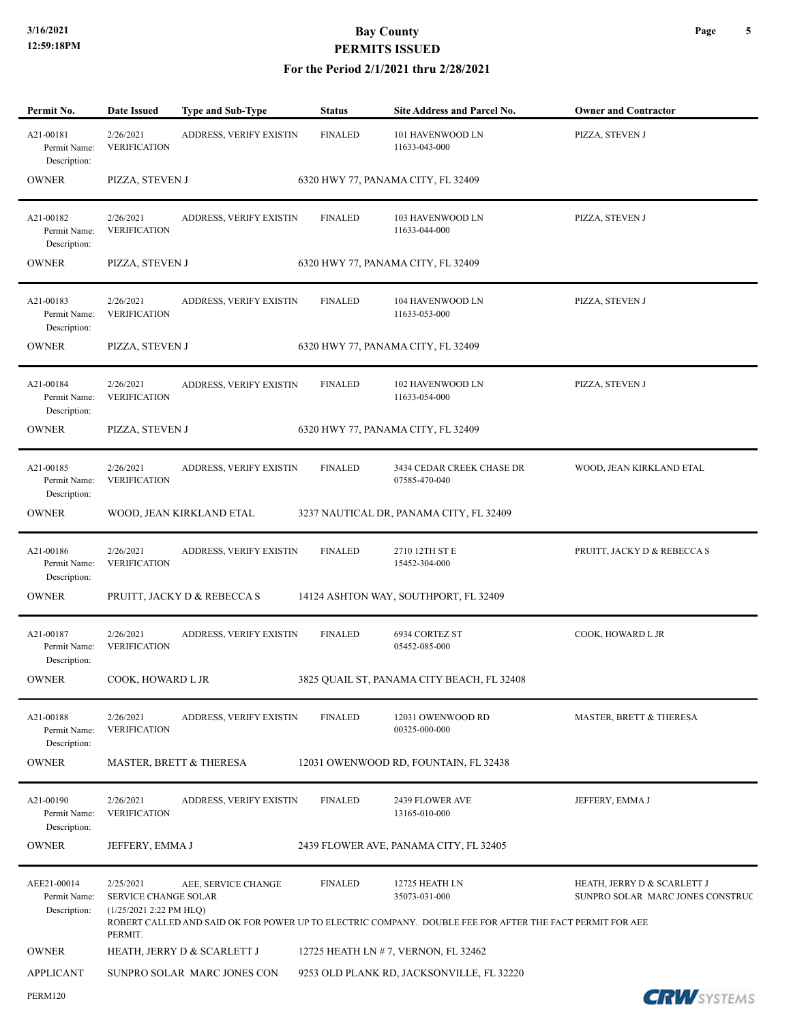| Permit No.                                  | <b>Date Issued</b>                                           | <b>Type and Sub-Type</b>    | Status         | Site Address and Parcel No.                                                                                                                 | <b>Owner and Contractor</b>                                     |
|---------------------------------------------|--------------------------------------------------------------|-----------------------------|----------------|---------------------------------------------------------------------------------------------------------------------------------------------|-----------------------------------------------------------------|
| A21-00181<br>Permit Name:<br>Description:   | 2/26/2021<br><b>VERIFICATION</b>                             | ADDRESS, VERIFY EXISTIN     | <b>FINALED</b> | 101 HAVENWOOD LN<br>11633-043-000                                                                                                           | PIZZA, STEVEN J                                                 |
| <b>OWNER</b>                                | PIZZA, STEVEN J                                              |                             |                | 6320 HWY 77, PANAMA CITY, FL 32409                                                                                                          |                                                                 |
| A21-00182<br>Permit Name:<br>Description:   | 2/26/2021<br><b>VERIFICATION</b>                             | ADDRESS, VERIFY EXISTIN     | <b>FINALED</b> | 103 HAVENWOOD LN<br>11633-044-000                                                                                                           | PIZZA, STEVEN J                                                 |
| <b>OWNER</b>                                | PIZZA, STEVEN J                                              |                             |                | 6320 HWY 77, PANAMA CITY, FL 32409                                                                                                          |                                                                 |
| A21-00183<br>Permit Name:<br>Description:   | 2/26/2021<br><b>VERIFICATION</b>                             | ADDRESS, VERIFY EXISTIN     | <b>FINALED</b> | 104 HAVENWOOD LN<br>11633-053-000                                                                                                           | PIZZA, STEVEN J                                                 |
| <b>OWNER</b>                                | PIZZA, STEVEN J                                              |                             |                | 6320 HWY 77, PANAMA CITY, FL 32409                                                                                                          |                                                                 |
| A21-00184<br>Permit Name:<br>Description:   | 2/26/2021<br><b>VERIFICATION</b>                             | ADDRESS, VERIFY EXISTIN     | <b>FINALED</b> | 102 HAVENWOOD LN<br>11633-054-000                                                                                                           | PIZZA, STEVEN J                                                 |
| <b>OWNER</b>                                | PIZZA, STEVEN J                                              |                             |                | 6320 HWY 77, PANAMA CITY, FL 32409                                                                                                          |                                                                 |
| A21-00185<br>Permit Name:<br>Description:   | 2/26/2021<br><b>VERIFICATION</b>                             | ADDRESS, VERIFY EXISTIN     | <b>FINALED</b> | 3434 CEDAR CREEK CHASE DR<br>07585-470-040                                                                                                  | WOOD, JEAN KIRKLAND ETAL                                        |
| <b>OWNER</b>                                |                                                              | WOOD, JEAN KIRKLAND ETAL    |                | 3237 NAUTICAL DR, PANAMA CITY, FL 32409                                                                                                     |                                                                 |
| A21-00186<br>Permit Name:<br>Description:   | 2/26/2021<br><b>VERIFICATION</b>                             | ADDRESS, VERIFY EXISTIN     | <b>FINALED</b> | 2710 12TH ST E<br>15452-304-000                                                                                                             | PRUITT, JACKY D & REBECCA S                                     |
| <b>OWNER</b>                                |                                                              | PRUITT, JACKY D & REBECCA S |                | 14124 ASHTON WAY, SOUTHPORT, FL 32409                                                                                                       |                                                                 |
| A21-00187<br>Permit Name:<br>Description:   | 2/26/2021<br><b>VERIFICATION</b>                             | ADDRESS, VERIFY EXISTIN     | <b>FINALED</b> | 6934 CORTEZ ST<br>05452-085-000                                                                                                             | COOK, HOWARD L JR                                               |
| <b>OWNER</b>                                | COOK, HOWARD L JR                                            |                             |                | 3825 QUAIL ST, PANAMA CITY BEACH, FL 32408                                                                                                  |                                                                 |
| A21-00188<br>Permit Name:<br>Description:   | 2/26/2021<br><b>VERIFICATION</b>                             | ADDRESS, VERIFY EXISTIN     | <b>FINALED</b> | 12031 OWENWOOD RD<br>00325-000-000                                                                                                          | MASTER, BRETT & THERESA                                         |
| <b>OWNER</b>                                |                                                              | MASTER, BRETT & THERESA     |                | 12031 OWENWOOD RD, FOUNTAIN, FL 32438                                                                                                       |                                                                 |
| A21-00190<br>Permit Name:<br>Description:   | 2/26/2021<br><b>VERIFICATION</b>                             | ADDRESS, VERIFY EXISTIN     | <b>FINALED</b> | 2439 FLOWER AVE<br>13165-010-000                                                                                                            | JEFFERY, EMMA J                                                 |
| <b>OWNER</b>                                | JEFFERY, EMMA J                                              |                             |                | 2439 FLOWER AVE, PANAMA CITY, FL 32405                                                                                                      |                                                                 |
| AEE21-00014<br>Permit Name:<br>Description: | 2/25/2021<br>SERVICE CHANGE SOLAR<br>(1/25/2021 2:22 PM HLQ) | AEE, SERVICE CHANGE         | <b>FINALED</b> | 12725 HEATH LN<br>35073-031-000<br>ROBERT CALLED AND SAID OK FOR POWER UP TO ELECTRIC COMPANY. DOUBLE FEE FOR AFTER THE FACT PERMIT FOR AEE | HEATH, JERRY D & SCARLETT J<br>SUNPRO SOLAR MARC JONES CONSTRUC |
| <b>OWNER</b>                                | PERMIT.                                                      | HEATH, JERRY D & SCARLETT J |                | 12725 HEATH LN # 7, VERNON, FL 32462                                                                                                        |                                                                 |
| <b>APPLICANT</b>                            |                                                              | SUNPRO SOLAR MARC JONES CON |                | 9253 OLD PLANK RD, JACKSONVILLE, FL 32220                                                                                                   |                                                                 |
| <b>PERM120</b>                              |                                                              |                             |                |                                                                                                                                             | <b>CRW</b> SYSTEMS                                              |

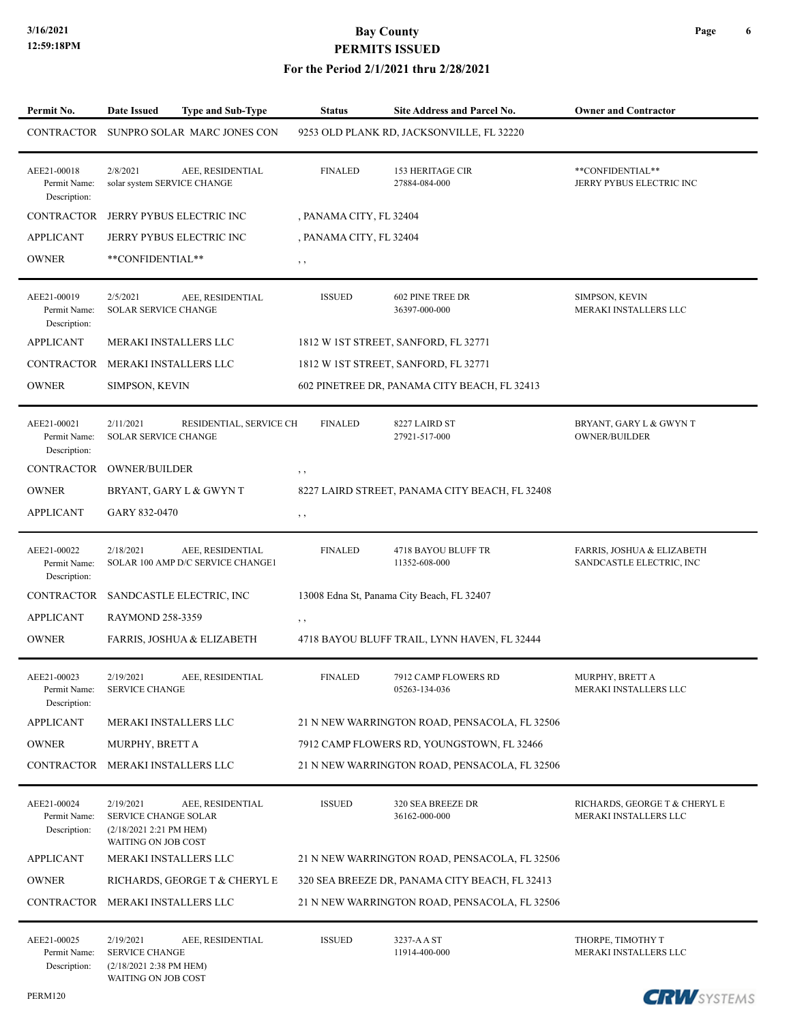| Permit No.                                  | <b>Date Issued</b>                                                                         | <b>Type and Sub-Type</b>                              | <b>Status</b>           | <b>Site Address and Parcel No.</b>             | <b>Owner and Contractor</b>                            |
|---------------------------------------------|--------------------------------------------------------------------------------------------|-------------------------------------------------------|-------------------------|------------------------------------------------|--------------------------------------------------------|
|                                             |                                                                                            | CONTRACTOR SUNPRO SOLAR MARC JONES CON                |                         | 9253 OLD PLANK RD, JACKSONVILLE, FL 32220      |                                                        |
| AEE21-00018<br>Permit Name:<br>Description: | 2/8/2021<br>solar system SERVICE CHANGE                                                    | AEE, RESIDENTIAL                                      | <b>FINALED</b>          | <b>153 HERITAGE CIR</b><br>27884-084-000       | **CONFIDENTIAL**<br>JERRY PYBUS ELECTRIC INC           |
| <b>CONTRACTOR</b>                           |                                                                                            | JERRY PYBUS ELECTRIC INC                              | , PANAMA CITY, FL 32404 |                                                |                                                        |
| <b>APPLICANT</b>                            |                                                                                            | JERRY PYBUS ELECTRIC INC                              | , PANAMA CITY, FL 32404 |                                                |                                                        |
| <b>OWNER</b>                                | **CONFIDENTIAL**                                                                           |                                                       | $, \, , \,$             |                                                |                                                        |
| AEE21-00019<br>Permit Name:<br>Description: | 2/5/2021<br><b>SOLAR SERVICE CHANGE</b>                                                    | AEE, RESIDENTIAL                                      | <b>ISSUED</b>           | <b>602 PINE TREE DR</b><br>36397-000-000       | SIMPSON, KEVIN<br>MERAKI INSTALLERS LLC                |
| <b>APPLICANT</b>                            | MERAKI INSTALLERS LLC                                                                      |                                                       |                         | 1812 W 1ST STREET, SANFORD, FL 32771           |                                                        |
| CONTRACTOR MERAKI INSTALLERS LLC            |                                                                                            |                                                       |                         | 1812 W 1ST STREET, SANFORD, FL 32771           |                                                        |
| <b>OWNER</b>                                | SIMPSON, KEVIN                                                                             |                                                       |                         | 602 PINETREE DR, PANAMA CITY BEACH, FL 32413   |                                                        |
| AEE21-00021<br>Permit Name:<br>Description: | 2/11/2021<br><b>SOLAR SERVICE CHANGE</b>                                                   | RESIDENTIAL, SERVICE CH                               | <b>FINALED</b>          | 8227 LAIRD ST<br>27921-517-000                 | BRYANT, GARY L & GWYN T<br><b>OWNER/BUILDER</b>        |
| CONTRACTOR                                  | <b>OWNER/BUILDER</b>                                                                       |                                                       | $, \, , \,$             |                                                |                                                        |
| <b>OWNER</b>                                |                                                                                            | BRYANT, GARY L & GWYN T                               |                         | 8227 LAIRD STREET, PANAMA CITY BEACH, FL 32408 |                                                        |
| <b>APPLICANT</b>                            | GARY 832-0470                                                                              |                                                       | $, \, , \,$             |                                                |                                                        |
| AEE21-00022<br>Permit Name:<br>Description: | 2/18/2021                                                                                  | AEE, RESIDENTIAL<br>SOLAR 100 AMP D/C SERVICE CHANGE1 | <b>FINALED</b>          | 4718 BAYOU BLUFF TR<br>11352-608-000           | FARRIS, JOSHUA & ELIZABETH<br>SANDCASTLE ELECTRIC, INC |
| CONTRACTOR                                  |                                                                                            | SANDCASTLE ELECTRIC, INC                              |                         | 13008 Edna St, Panama City Beach, FL 32407     |                                                        |
| <b>APPLICANT</b>                            | RAYMOND 258-3359                                                                           |                                                       | $, \, , \,$             |                                                |                                                        |
| <b>OWNER</b>                                |                                                                                            | FARRIS, JOSHUA & ELIZABETH                            |                         | 4718 BAYOU BLUFF TRAIL, LYNN HAVEN, FL 32444   |                                                        |
| AEE21-00023<br>Permit Name:<br>Description: | 2/19/2021<br><b>SERVICE CHANGE</b>                                                         | AEE, RESIDENTIAL                                      | <b>FINALED</b>          | 7912 CAMP FLOWERS RD<br>05263-134-036          | MURPHY, BRETT A<br>MERAKI INSTALLERS LLC               |
| <b>APPLICANT</b>                            | MERAKI INSTALLERS LLC                                                                      |                                                       |                         | 21 N NEW WARRINGTON ROAD, PENSACOLA, FL 32506  |                                                        |
| <b>OWNER</b>                                | MURPHY, BRETT A                                                                            |                                                       |                         | 7912 CAMP FLOWERS RD, YOUNGSTOWN, FL 32466     |                                                        |
| CONTRACTOR MERAKI INSTALLERS LLC            |                                                                                            |                                                       |                         | 21 N NEW WARRINGTON ROAD, PENSACOLA, FL 32506  |                                                        |
| AEE21-00024<br>Permit Name:<br>Description: | 2/19/2021<br><b>SERVICE CHANGE SOLAR</b><br>(2/18/2021 2:21 PM HEM)<br>WAITING ON JOB COST | AEE, RESIDENTIAL                                      | <b>ISSUED</b>           | 320 SEA BREEZE DR<br>36162-000-000             | RICHARDS, GEORGE T & CHERYL E<br>MERAKI INSTALLERS LLC |
| <b>APPLICANT</b>                            | MERAKI INSTALLERS LLC                                                                      |                                                       |                         | 21 N NEW WARRINGTON ROAD, PENSACOLA, FL 32506  |                                                        |
| <b>OWNER</b>                                |                                                                                            | RICHARDS, GEORGE T & CHERYL E                         |                         | 320 SEA BREEZE DR, PANAMA CITY BEACH, FL 32413 |                                                        |
| CONTRACTOR MERAKI INSTALLERS LLC            |                                                                                            |                                                       |                         | 21 N NEW WARRINGTON ROAD, PENSACOLA, FL 32506  |                                                        |
| AEE21-00025<br>Permit Name:<br>Description: | 2/19/2021<br><b>SERVICE CHANGE</b><br>(2/18/2021 2:38 PM HEM)<br>WAITING ON JOB COST       | AEE, RESIDENTIAL                                      | <b>ISSUED</b>           | 3237-AAST<br>11914-400-000                     | THORPE, TIMOTHY T<br>MERAKI INSTALLERS LLC             |

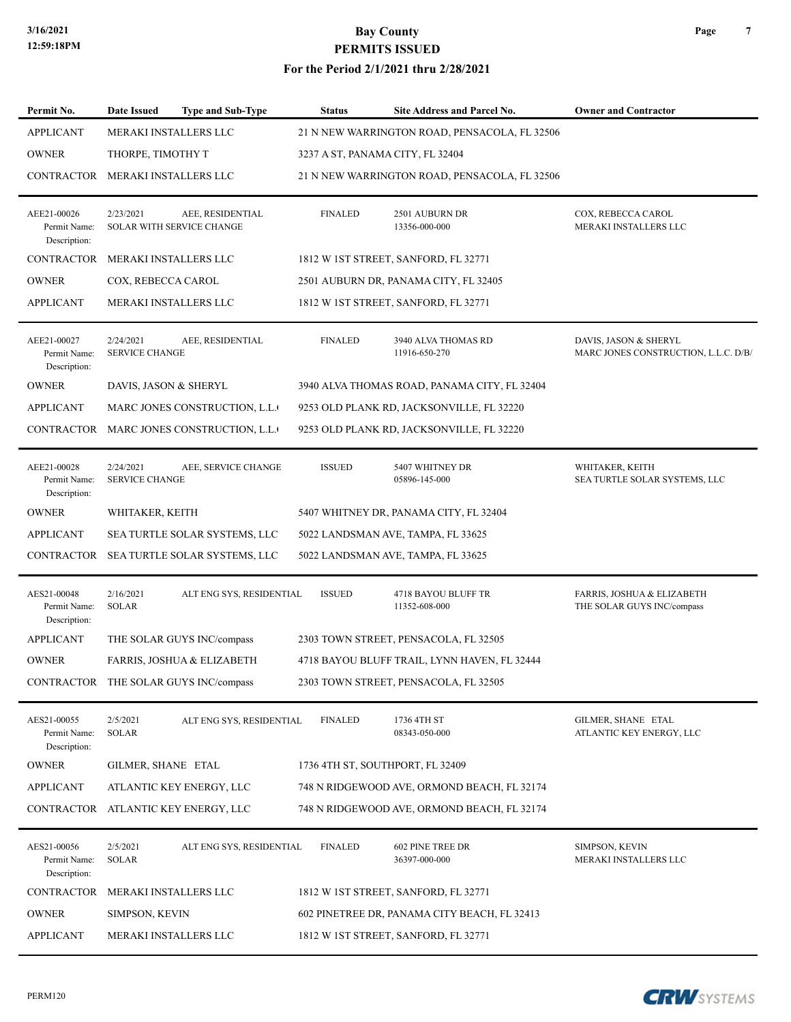#### **For the Period 2/1/2021 thru 2/28/2021**

| Permit No.                                  | Date Issued<br><b>Type and Sub-Type</b>                    | <b>Status</b>                              | Site Address and Parcel No.                   | <b>Owner and Contractor</b>                                   |
|---------------------------------------------|------------------------------------------------------------|--------------------------------------------|-----------------------------------------------|---------------------------------------------------------------|
| <b>APPLICANT</b>                            | MERAKI INSTALLERS LLC                                      |                                            | 21 N NEW WARRINGTON ROAD, PENSACOLA, FL 32506 |                                                               |
| <b>OWNER</b>                                | THORPE, TIMOTHY T                                          |                                            | 3237 A ST, PANAMA CITY, FL 32404              |                                                               |
| CONTRACTOR                                  | MERAKI INSTALLERS LLC                                      |                                            | 21 N NEW WARRINGTON ROAD, PENSACOLA, FL 32506 |                                                               |
| AEE21-00026<br>Permit Name:<br>Description: | 2/23/2021<br>AEE, RESIDENTIAL<br>SOLAR WITH SERVICE CHANGE | <b>FINALED</b>                             | 2501 AUBURN DR<br>13356-000-000               | COX, REBECCA CAROL<br>MERAKI INSTALLERS LLC                   |
|                                             | CONTRACTOR MERAKI INSTALLERS LLC                           |                                            | 1812 W 1ST STREET, SANFORD, FL 32771          |                                                               |
| <b>OWNER</b>                                | COX, REBECCA CAROL                                         |                                            | 2501 AUBURN DR, PANAMA CITY, FL 32405         |                                                               |
| <b>APPLICANT</b>                            | MERAKI INSTALLERS LLC                                      |                                            | 1812 W 1ST STREET, SANFORD, FL 32771          |                                                               |
| AEE21-00027<br>Permit Name:<br>Description: | 2/24/2021<br>AEE, RESIDENTIAL<br><b>SERVICE CHANGE</b>     | <b>FINALED</b>                             | 3940 ALVA THOMAS RD<br>11916-650-270          | DAVIS, JASON & SHERYL<br>MARC JONES CONSTRUCTION, L.L.C. D/B/ |
| <b>OWNER</b>                                | DAVIS, JASON & SHERYL                                      |                                            | 3940 ALVA THOMAS ROAD, PANAMA CITY, FL 32404  |                                                               |
| <b>APPLICANT</b>                            | MARC JONES CONSTRUCTION, L.L.                              |                                            | 9253 OLD PLANK RD, JACKSONVILLE, FL 32220     |                                                               |
|                                             | CONTRACTOR MARC JONES CONSTRUCTION, L.L.                   |                                            | 9253 OLD PLANK RD, JACKSONVILLE, FL 32220     |                                                               |
| AEE21-00028<br>Permit Name:<br>Description: | 2/24/2021<br>AEE, SERVICE CHANGE<br><b>SERVICE CHANGE</b>  | <b>ISSUED</b>                              | 5407 WHITNEY DR<br>05896-145-000              | WHITAKER, KEITH<br>SEA TURTLE SOLAR SYSTEMS, LLC              |
| <b>OWNER</b>                                | WHITAKER, KEITH                                            |                                            | 5407 WHITNEY DR, PANAMA CITY, FL 32404        |                                                               |
| <b>APPLICANT</b>                            | SEA TURTLE SOLAR SYSTEMS, LLC                              |                                            | 5022 LANDSMAN AVE, TAMPA, FL 33625            |                                                               |
| CONTRACTOR                                  | SEA TURTLE SOLAR SYSTEMS, LLC                              |                                            | 5022 LANDSMAN AVE, TAMPA, FL 33625            |                                                               |
| AES21-00048<br>Permit Name:<br>Description: | 2/16/2021<br><b>SOLAR</b>                                  | ALT ENG SYS, RESIDENTIAL<br><b>ISSUED</b>  | 4718 BAYOU BLUFF TR<br>11352-608-000          | FARRIS, JOSHUA & ELIZABETH<br>THE SOLAR GUYS INC/compass      |
| <b>APPLICANT</b>                            | THE SOLAR GUYS INC/compass                                 |                                            | 2303 TOWN STREET, PENSACOLA, FL 32505         |                                                               |
| <b>OWNER</b>                                | <b>FARRIS, JOSHUA &amp; ELIZABETH</b>                      |                                            | 4718 BAYOU BLUFF TRAIL, LYNN HAVEN, FL 32444  |                                                               |
|                                             | CONTRACTOR THE SOLAR GUYS INC/compass                      |                                            | 2303 TOWN STREET, PENSACOLA, FL 32505         |                                                               |
| AES21-00055<br>Permit Name:<br>Description: | 2/5/2021<br><b>SOLAR</b>                                   | <b>FINALED</b><br>ALT ENG SYS, RESIDENTIAL | 1736 4TH ST<br>08343-050-000                  | GILMER, SHANE ETAL<br>ATLANTIC KEY ENERGY, LLC                |
| <b>OWNER</b>                                | GILMER, SHANE ETAL                                         |                                            | 1736 4TH ST, SOUTHPORT, FL 32409              |                                                               |
| <b>APPLICANT</b>                            | ATLANTIC KEY ENERGY, LLC                                   |                                            | 748 N RIDGEWOOD AVE, ORMOND BEACH, FL 32174   |                                                               |
|                                             | CONTRACTOR ATLANTIC KEY ENERGY, LLC                        |                                            | 748 N RIDGEWOOD AVE, ORMOND BEACH, FL 32174   |                                                               |
| AES21-00056<br>Permit Name:<br>Description: | 2/5/2021<br><b>SOLAR</b>                                   | ALT ENG SYS, RESIDENTIAL<br><b>FINALED</b> | 602 PINE TREE DR<br>36397-000-000             | SIMPSON, KEVIN<br>MERAKI INSTALLERS LLC                       |
| CONTRACTOR                                  | MERAKI INSTALLERS LLC                                      |                                            | 1812 W IST STREET, SANFORD, FL 32771          |                                                               |
| <b>OWNER</b>                                | SIMPSON, KEVIN                                             |                                            | 602 PINETREE DR, PANAMA CITY BEACH, FL 32413  |                                                               |
| <b>APPLICANT</b>                            | MERAKI INSTALLERS LLC                                      |                                            | 1812 W 1ST STREET, SANFORD, FL 32771          |                                                               |

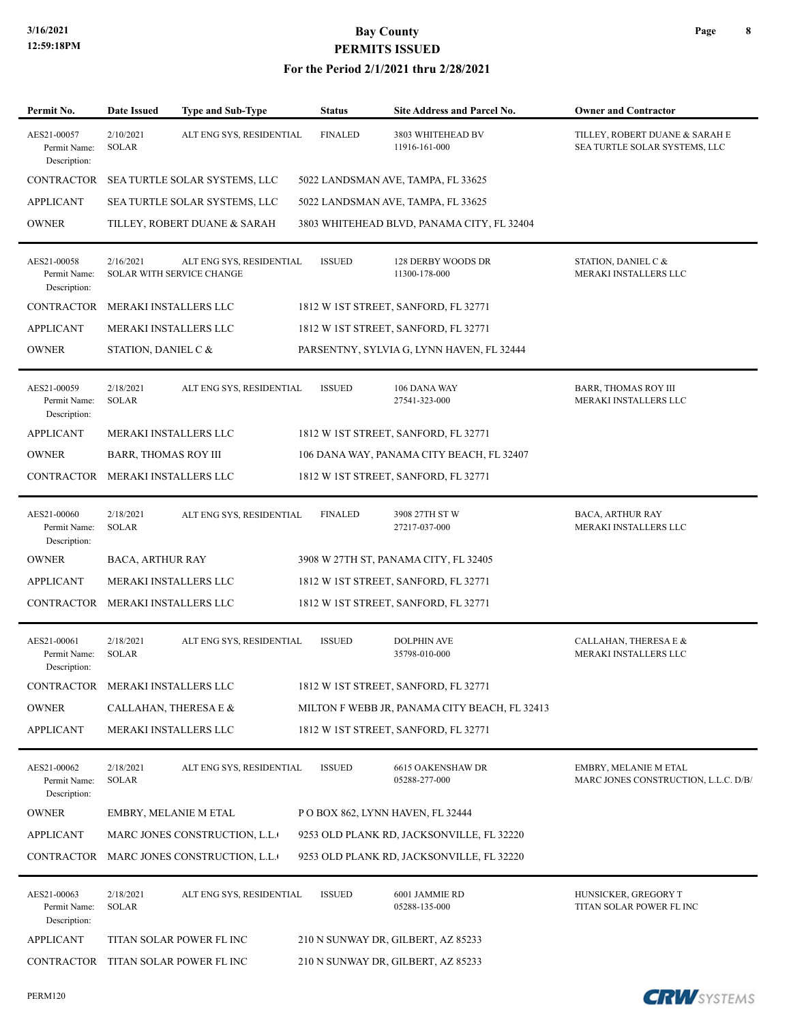#### **For the Period 2/1/2021 thru 2/28/2021**

| Permit No.                                  | Date Issued                 | Type and Sub-Type                                     | <b>Status</b>  | Site Address and Parcel No.                   | <b>Owner and Contractor</b>                                     |
|---------------------------------------------|-----------------------------|-------------------------------------------------------|----------------|-----------------------------------------------|-----------------------------------------------------------------|
| AES21-00057<br>Permit Name:<br>Description: | 2/10/2021<br><b>SOLAR</b>   | ALT ENG SYS, RESIDENTIAL                              | <b>FINALED</b> | 3803 WHITEHEAD BV<br>11916-161-000            | TILLEY, ROBERT DUANE & SARAH E<br>SEA TURTLE SOLAR SYSTEMS, LLC |
| CONTRACTOR                                  |                             | SEA TURTLE SOLAR SYSTEMS, LLC                         |                | 5022 LANDSMAN AVE, TAMPA, FL 33625            |                                                                 |
| <b>APPLICANT</b>                            |                             | SEA TURTLE SOLAR SYSTEMS, LLC                         |                | 5022 LANDSMAN AVE, TAMPA, FL 33625            |                                                                 |
| <b>OWNER</b>                                |                             | TILLEY, ROBERT DUANE & SARAH                          |                | 3803 WHITEHEAD BLVD, PANAMA CITY, FL 32404    |                                                                 |
| AES21-00058<br>Permit Name:<br>Description: | 2/16/2021                   | ALT ENG SYS, RESIDENTIAL<br>SOLAR WITH SERVICE CHANGE | <b>ISSUED</b>  | 128 DERBY WOODS DR<br>11300-178-000           | STATION, DANIEL C &<br>MERAKI INSTALLERS LLC                    |
| CONTRACTOR                                  |                             | MERAKI INSTALLERS LLC                                 |                | 1812 W 1ST STREET, SANFORD, FL 32771          |                                                                 |
| <b>APPLICANT</b>                            |                             | MERAKI INSTALLERS LLC                                 |                | 1812 W 1ST STREET, SANFORD, FL 32771          |                                                                 |
| <b>OWNER</b>                                | STATION, DANIEL C &         |                                                       |                | PARSENTNY, SYLVIA G, LYNN HAVEN, FL 32444     |                                                                 |
| AES21-00059<br>Permit Name:<br>Description: | 2/18/2021<br><b>SOLAR</b>   | ALT ENG SYS, RESIDENTIAL                              | <b>ISSUED</b>  | 106 DANA WAY<br>27541-323-000                 | <b>BARR, THOMAS ROY III</b><br>MERAKI INSTALLERS LLC            |
| <b>APPLICANT</b>                            |                             | MERAKI INSTALLERS LLC                                 |                | 1812 W 1ST STREET, SANFORD, FL 32771          |                                                                 |
| <b>OWNER</b>                                | <b>BARR, THOMAS ROY III</b> |                                                       |                | 106 DANA WAY, PANAMA CITY BEACH, FL 32407     |                                                                 |
| CONTRACTOR                                  |                             | MERAKI INSTALLERS LLC                                 |                | 1812 W 1ST STREET, SANFORD, FL 32771          |                                                                 |
| AES21-00060<br>Permit Name:<br>Description: | 2/18/2021<br><b>SOLAR</b>   | ALT ENG SYS, RESIDENTIAL                              | <b>FINALED</b> | 3908 27TH ST W<br>27217-037-000               | BACA, ARTHUR RAY<br>MERAKI INSTALLERS LLC                       |
| <b>OWNER</b>                                | BACA, ARTHUR RAY            |                                                       |                | 3908 W 27TH ST, PANAMA CITY, FL 32405         |                                                                 |
| <b>APPLICANT</b>                            |                             | MERAKI INSTALLERS LLC                                 |                | 1812 W 1ST STREET, SANFORD, FL 32771          |                                                                 |
| CONTRACTOR                                  |                             | MERAKI INSTALLERS LLC                                 |                | 1812 W 1ST STREET, SANFORD, FL 32771          |                                                                 |
| AES21-00061<br>Permit Name:<br>Description: | 2/18/2021<br><b>SOLAR</b>   | ALT ENG SYS, RESIDENTIAL                              | <b>ISSUED</b>  | <b>DOLPHIN AVE</b><br>35798-010-000           | CALLAHAN, THERESA E &<br>MERAKI INSTALLERS LLC                  |
| CONTRACTOR MERAKI INSTALLERS LLC            |                             |                                                       |                | 1812 W 1ST STREET, SANFORD, FL 32771          |                                                                 |
| <b>OWNER</b>                                |                             | CALLAHAN, THERESA E &                                 |                | MILTON F WEBB JR, PANAMA CITY BEACH, FL 32413 |                                                                 |
| <b>APPLICANT</b>                            |                             | MERAKI INSTALLERS LLC                                 |                | 1812 W 1ST STREET, SANFORD, FL 32771          |                                                                 |
| AES21-00062<br>Permit Name:<br>Description: | 2/18/2021<br><b>SOLAR</b>   | ALT ENG SYS, RESIDENTIAL                              | <b>ISSUED</b>  | <b>6615 OAKENSHAW DR</b><br>05288-277-000     | EMBRY, MELANIE M ETAL<br>MARC JONES CONSTRUCTION, L.L.C. D/B/   |
| <b>OWNER</b>                                |                             | <b>EMBRY, MELANIE M ETAL</b>                          |                | P O BOX 862, LYNN HAVEN, FL 32444             |                                                                 |
| <b>APPLICANT</b>                            |                             | MARC JONES CONSTRUCTION, L.L.                         |                | 9253 OLD PLANK RD, JACKSONVILLE, FL 32220     |                                                                 |
|                                             |                             | CONTRACTOR MARC JONES CONSTRUCTION, L.L.              |                | 9253 OLD PLANK RD, JACKSONVILLE, FL 32220     |                                                                 |
| AES21-00063<br>Permit Name:<br>Description: | 2/18/2021<br><b>SOLAR</b>   | ALT ENG SYS, RESIDENTIAL                              | <b>ISSUED</b>  | 6001 JAMMIE RD<br>05288-135-000               | HUNSICKER, GREGORY T<br>TITAN SOLAR POWER FL INC                |
| <b>APPLICANT</b>                            |                             | TITAN SOLAR POWER FL INC                              |                | 210 N SUNWAY DR, GILBERT, AZ 85233            |                                                                 |
|                                             |                             | CONTRACTOR TITAN SOLAR POWER FL INC                   |                | 210 N SUNWAY DR, GILBERT, AZ 85233            |                                                                 |

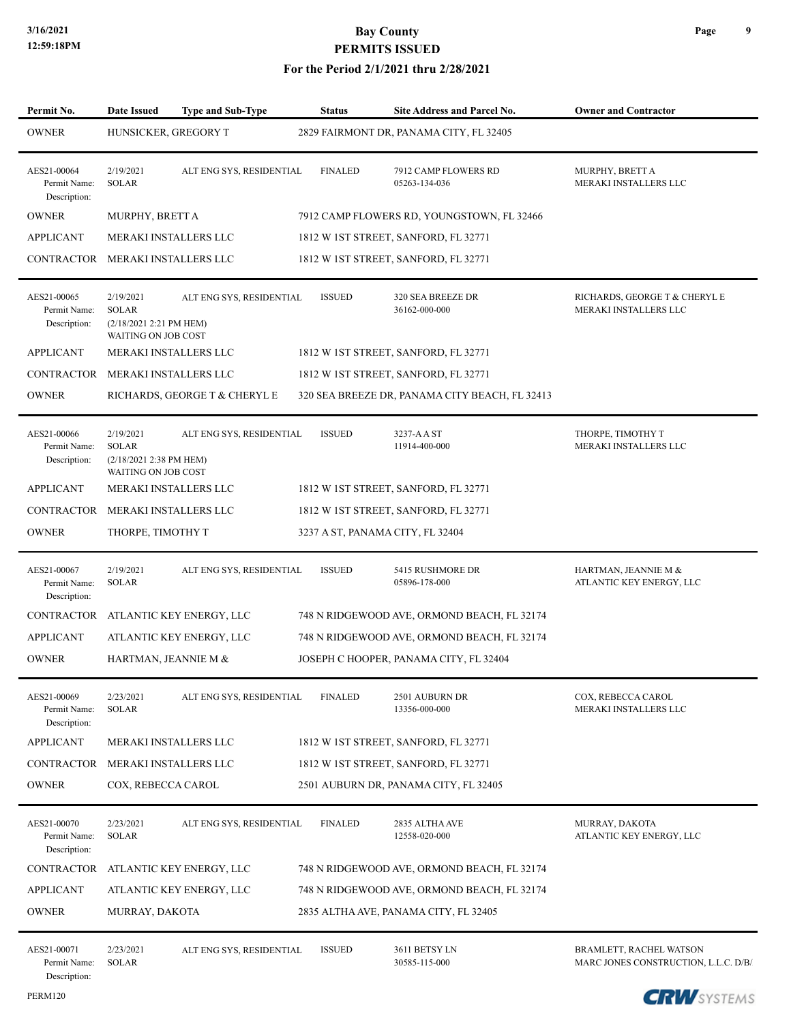| Permit No.                                  | <b>Date Issued</b>                                                          | <b>Type and Sub-Type</b>            | <b>Status</b>                    | Site Address and Parcel No.                    | <b>Owner and Contractor</b>                                     |
|---------------------------------------------|-----------------------------------------------------------------------------|-------------------------------------|----------------------------------|------------------------------------------------|-----------------------------------------------------------------|
| <b>OWNER</b>                                | HUNSICKER, GREGORY T                                                        |                                     |                                  | 2829 FAIRMONT DR, PANAMA CITY, FL 32405        |                                                                 |
| AES21-00064<br>Permit Name:<br>Description: | 2/19/2021<br><b>SOLAR</b>                                                   | ALT ENG SYS, RESIDENTIAL            | <b>FINALED</b>                   | 7912 CAMP FLOWERS RD<br>05263-134-036          | MURPHY, BRETT A<br>MERAKI INSTALLERS LLC                        |
| <b>OWNER</b>                                | MURPHY, BRETT A                                                             |                                     |                                  | 7912 CAMP FLOWERS RD, YOUNGSTOWN, FL 32466     |                                                                 |
| <b>APPLICANT</b>                            | <b>MERAKI INSTALLERS LLC</b>                                                |                                     |                                  | 1812 W 1ST STREET, SANFORD, FL 32771           |                                                                 |
| CONTRACTOR                                  | MERAKI INSTALLERS LLC                                                       |                                     |                                  | 1812 W 1ST STREET, SANFORD, FL 32771           |                                                                 |
| AES21-00065<br>Permit Name:<br>Description: | 2/19/2021<br><b>SOLAR</b><br>(2/18/2021 2:21 PM HEM)<br>WAITING ON JOB COST | ALT ENG SYS, RESIDENTIAL            | <b>ISSUED</b>                    | 320 SEA BREEZE DR<br>36162-000-000             | RICHARDS, GEORGE T & CHERYL E<br>MERAKI INSTALLERS LLC          |
| <b>APPLICANT</b>                            | MERAKI INSTALLERS LLC                                                       |                                     |                                  | 1812 W 1ST STREET, SANFORD, FL 32771           |                                                                 |
| CONTRACTOR                                  | MERAKI INSTALLERS LLC                                                       |                                     |                                  | 1812 W 1ST STREET, SANFORD, FL 32771           |                                                                 |
| <b>OWNER</b>                                |                                                                             | RICHARDS, GEORGE T & CHERYL E       |                                  | 320 SEA BREEZE DR, PANAMA CITY BEACH, FL 32413 |                                                                 |
| AES21-00066<br>Permit Name:<br>Description: | 2/19/2021<br><b>SOLAR</b><br>(2/18/2021 2:38 PM HEM)<br>WAITING ON JOB COST | ALT ENG SYS, RESIDENTIAL            | <b>ISSUED</b>                    | 3237-AAST<br>11914-400-000                     | THORPE, TIMOTHY T<br>MERAKI INSTALLERS LLC                      |
| <b>APPLICANT</b>                            | MERAKI INSTALLERS LLC                                                       |                                     |                                  | 1812 W 1ST STREET, SANFORD, FL 32771           |                                                                 |
| CONTRACTOR                                  | MERAKI INSTALLERS LLC                                                       |                                     |                                  | 1812 W 1ST STREET, SANFORD, FL 32771           |                                                                 |
| <b>OWNER</b>                                | THORPE, TIMOTHY T                                                           |                                     | 3237 A ST, PANAMA CITY, FL 32404 |                                                |                                                                 |
| AES21-00067<br>Permit Name:<br>Description: | 2/19/2021<br><b>SOLAR</b>                                                   | ALT ENG SYS, RESIDENTIAL            | <b>ISSUED</b>                    | 5415 RUSHMORE DR<br>05896-178-000              | HARTMAN, JEANNIE M &<br>ATLANTIC KEY ENERGY, LLC                |
|                                             |                                                                             | CONTRACTOR ATLANTIC KEY ENERGY, LLC |                                  | 748 N RIDGEWOOD AVE, ORMOND BEACH, FL 32174    |                                                                 |
| <b>APPLICANT</b>                            |                                                                             | ATLANTIC KEY ENERGY, LLC            |                                  | 748 N RIDGEWOOD AVE, ORMOND BEACH, FL 32174    |                                                                 |
| <b>OWNER</b>                                | HARTMAN, JEANNIE M &                                                        |                                     |                                  | JOSEPH C HOOPER, PANAMA CITY, FL 32404         |                                                                 |
| AES21-00069<br>Permit Name:<br>Description: | 2/23/2021<br>SOLAR                                                          | ALT ENG SYS, RESIDENTIAL            | <b>FINALED</b>                   | 2501 AUBURN DR<br>13356-000-000                | COX, REBECCA CAROL<br>MERAKI INSTALLERS LLC                     |
| <b>APPLICANT</b>                            | MERAKI INSTALLERS LLC                                                       |                                     |                                  | 1812 W 1ST STREET, SANFORD, FL 32771           |                                                                 |
| <b>CONTRACTOR</b>                           | MERAKI INSTALLERS LLC                                                       |                                     |                                  | 1812 W 1ST STREET, SANFORD, FL 32771           |                                                                 |
| <b>OWNER</b>                                | COX, REBECCA CAROL                                                          |                                     |                                  | 2501 AUBURN DR, PANAMA CITY, FL 32405          |                                                                 |
| AES21-00070<br>Permit Name:<br>Description: | 2/23/2021<br>SOLAR                                                          | ALT ENG SYS, RESIDENTIAL            | <b>FINALED</b>                   | 2835 ALTHA AVE<br>12558-020-000                | MURRAY, DAKOTA<br>ATLANTIC KEY ENERGY, LLC                      |
| CONTRACTOR                                  |                                                                             | ATLANTIC KEY ENERGY, LLC            |                                  | 748 N RIDGEWOOD AVE, ORMOND BEACH, FL 32174    |                                                                 |
| <b>APPLICANT</b>                            |                                                                             | ATLANTIC KEY ENERGY, LLC            |                                  | 748 N RIDGEWOOD AVE, ORMOND BEACH, FL 32174    |                                                                 |
| <b>OWNER</b>                                | MURRAY, DAKOTA                                                              |                                     |                                  | 2835 ALTHA AVE, PANAMA CITY, FL 32405          |                                                                 |
| AES21-00071<br>Permit Name:<br>Description: | 2/23/2021<br>SOLAR                                                          | ALT ENG SYS, RESIDENTIAL            | <b>ISSUED</b>                    | 3611 BETSY LN<br>30585-115-000                 | BRAMLETT, RACHEL WATSON<br>MARC JONES CONSTRUCTION, L.L.C. D/B/ |

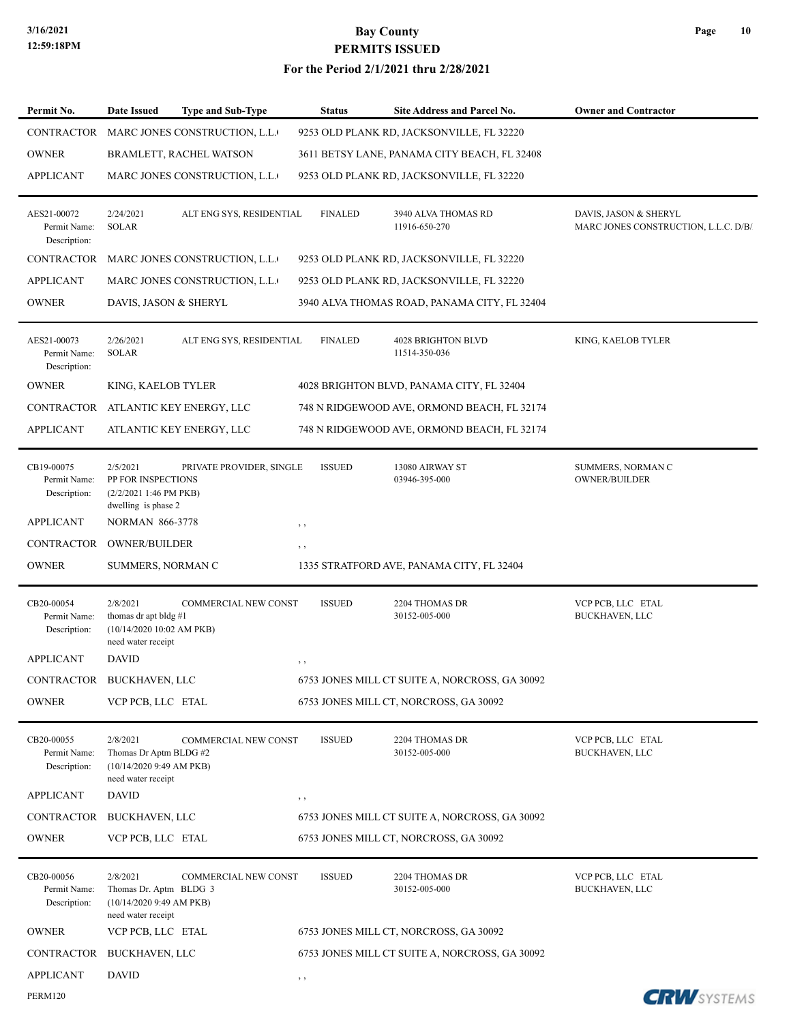| Permit No.                                  | Date Issued                                                                          | <b>Type and Sub-Type</b>      | <b>Status</b>  | Site Address and Parcel No.                    | <b>Owner and Contractor</b>                                   |
|---------------------------------------------|--------------------------------------------------------------------------------------|-------------------------------|----------------|------------------------------------------------|---------------------------------------------------------------|
| CONTRACTOR                                  |                                                                                      | MARC JONES CONSTRUCTION, L.L. |                | 9253 OLD PLANK RD, JACKSONVILLE, FL 32220      |                                                               |
| <b>OWNER</b>                                |                                                                                      | BRAMLETT, RACHEL WATSON       |                | 3611 BETSY LANE, PANAMA CITY BEACH, FL 32408   |                                                               |
| <b>APPLICANT</b>                            |                                                                                      | MARC JONES CONSTRUCTION, L.L. |                | 9253 OLD PLANK RD, JACKSONVILLE, FL 32220      |                                                               |
| AES21-00072<br>Permit Name:<br>Description: | 2/24/2021<br><b>SOLAR</b>                                                            | ALT ENG SYS, RESIDENTIAL      | <b>FINALED</b> | 3940 ALVA THOMAS RD<br>11916-650-270           | DAVIS, JASON & SHERYL<br>MARC JONES CONSTRUCTION, L.L.C. D/B/ |
| CONTRACTOR                                  |                                                                                      | MARC JONES CONSTRUCTION, L.L. |                | 9253 OLD PLANK RD, JACKSONVILLE, FL 32220      |                                                               |
| <b>APPLICANT</b>                            |                                                                                      | MARC JONES CONSTRUCTION, L.L. |                | 9253 OLD PLANK RD, JACKSONVILLE, FL 32220      |                                                               |
| <b>OWNER</b>                                | DAVIS, JASON & SHERYL                                                                |                               |                | 3940 ALVA THOMAS ROAD, PANAMA CITY, FL 32404   |                                                               |
| AES21-00073<br>Permit Name:<br>Description: | 2/26/2021<br><b>SOLAR</b>                                                            | ALT ENG SYS, RESIDENTIAL      | <b>FINALED</b> | <b>4028 BRIGHTON BLVD</b><br>11514-350-036     | KING, KAELOB TYLER                                            |
| <b>OWNER</b>                                | KING, KAELOB TYLER                                                                   |                               |                | 4028 BRIGHTON BLVD, PANAMA CITY, FL 32404      |                                                               |
| CONTRACTOR                                  |                                                                                      | ATLANTIC KEY ENERGY, LLC      |                | 748 N RIDGEWOOD AVE, ORMOND BEACH, FL 32174    |                                                               |
| <b>APPLICANT</b>                            |                                                                                      | ATLANTIC KEY ENERGY, LLC      |                | 748 N RIDGEWOOD AVE, ORMOND BEACH, FL 32174    |                                                               |
| CB19-00075<br>Permit Name:<br>Description:  | 2/5/2021<br>PP FOR INSPECTIONS<br>(2/2/2021 1:46 PM PKB)<br>dwelling is phase 2      | PRIVATE PROVIDER, SINGLE      | <b>ISSUED</b>  | 13080 AIRWAY ST<br>03946-395-000               | SUMMERS, NORMAN C<br><b>OWNER/BUILDER</b>                     |
| <b>APPLICANT</b>                            | <b>NORMAN 866-3778</b>                                                               |                               | , ,            |                                                |                                                               |
| CONTRACTOR                                  | <b>OWNER/BUILDER</b>                                                                 |                               | $, \, \,$      |                                                |                                                               |
| <b>OWNER</b>                                | SUMMERS, NORMAN C                                                                    |                               |                | 1335 STRATFORD AVE, PANAMA CITY, FL 32404      |                                                               |
| CB20-00054<br>Permit Name:<br>Description:  | 2/8/2021<br>thomas dr apt bldg #1<br>(10/14/2020 10:02 AM PKB)<br>need water receipt | COMMERCIAL NEW CONST          | <b>ISSUED</b>  | 2204 THOMAS DR<br>30152-005-000                | VCP PCB, LLC ETAL<br><b>BUCKHAVEN, LLC</b>                    |
| <b>APPLICANT</b>                            | <b>DAVID</b>                                                                         |                               | , ,            |                                                |                                                               |
| CONTRACTOR BUCKHAVEN, LLC                   |                                                                                      |                               |                | 6753 JONES MILL CT SUITE A, NORCROSS, GA 30092 |                                                               |
| <b>OWNER</b>                                | VCP PCB, LLC ETAL                                                                    |                               |                | 6753 JONES MILL CT, NORCROSS, GA 30092         |                                                               |
| CB20-00055<br>Permit Name:<br>Description:  | 2/8/2021<br>Thomas Dr Aptm BLDG #2<br>(10/14/2020 9:49 AM PKB)<br>need water receipt | COMMERCIAL NEW CONST          | <b>ISSUED</b>  | 2204 THOMAS DR<br>30152-005-000                | VCP PCB, LLC ETAL<br><b>BUCKHAVEN, LLC</b>                    |
| <b>APPLICANT</b>                            | <b>DAVID</b>                                                                         |                               | $, \, \cdot$   |                                                |                                                               |
| CONTRACTOR                                  | BUCKHAVEN, LLC                                                                       |                               |                | 6753 JONES MILL CT SUITE A, NORCROSS, GA 30092 |                                                               |
| <b>OWNER</b>                                | VCP PCB, LLC ETAL                                                                    |                               |                | 6753 JONES MILL CT, NORCROSS, GA 30092         |                                                               |
| CB20-00056<br>Permit Name:<br>Description:  | 2/8/2021<br>Thomas Dr. Aptm BLDG 3<br>(10/14/2020 9:49 AM PKB)<br>need water receipt | <b>COMMERCIAL NEW CONST</b>   | <b>ISSUED</b>  | 2204 THOMAS DR<br>30152-005-000                | VCP PCB, LLC ETAL<br><b>BUCKHAVEN, LLC</b>                    |
| <b>OWNER</b>                                | VCP PCB, LLC ETAL                                                                    |                               |                | 6753 JONES MILL CT, NORCROSS, GA 30092         |                                                               |
| CONTRACTOR                                  | BUCKHAVEN, LLC                                                                       |                               |                | 6753 JONES MILL CT SUITE A, NORCROSS, GA 30092 |                                                               |
| <b>APPLICANT</b>                            | DAVID                                                                                |                               | $, \, \cdot$   |                                                |                                                               |
| <b>PERM120</b>                              |                                                                                      |                               |                |                                                | <b>CRW</b> SYSTEMS                                            |

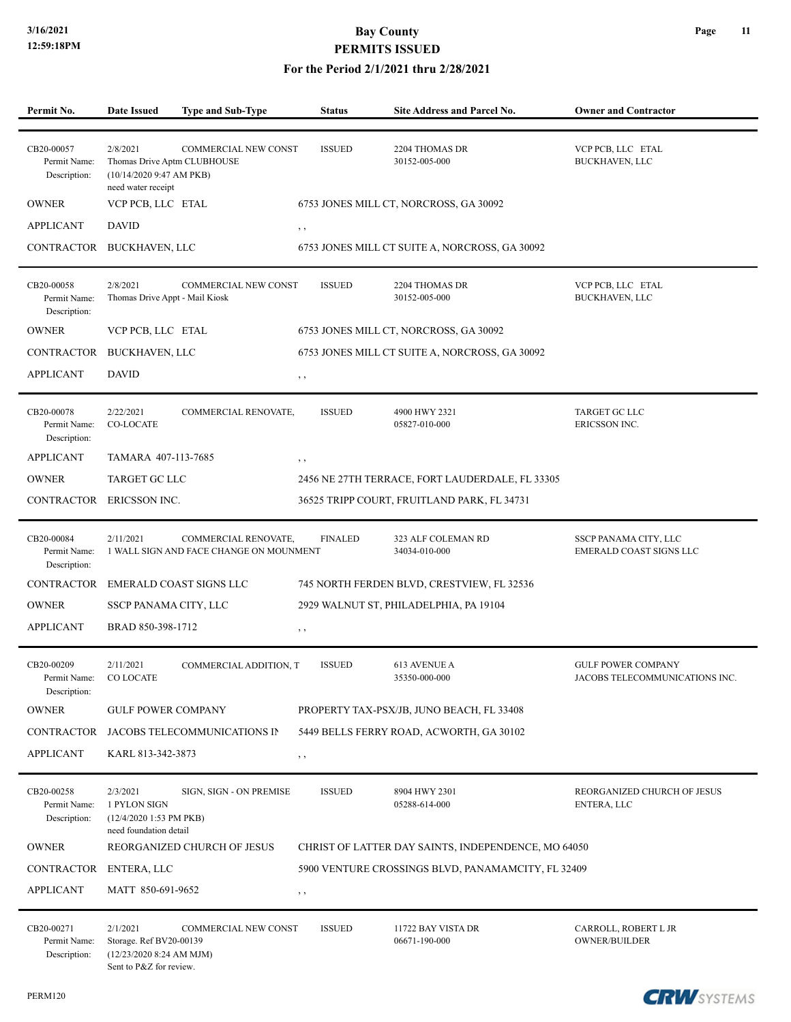#### **For the Period 2/1/2021 thru 2/28/2021**

| Permit No.                                 | <b>Date Issued</b>                                                                        | Type and Sub-Type                                               | <b>Status</b>  | <b>Site Address and Parcel No.</b>                  | <b>Owner and Contractor</b>                                 |
|--------------------------------------------|-------------------------------------------------------------------------------------------|-----------------------------------------------------------------|----------------|-----------------------------------------------------|-------------------------------------------------------------|
| CB20-00057<br>Permit Name:<br>Description: | 2/8/2021<br>Thomas Drive Aptm CLUBHOUSE<br>(10/14/2020 9:47 AM PKB)<br>need water receipt | COMMERCIAL NEW CONST                                            | <b>ISSUED</b>  | 2204 THOMAS DR<br>30152-005-000                     | VCP PCB, LLC ETAL<br><b>BUCKHAVEN, LLC</b>                  |
| <b>OWNER</b>                               | VCP PCB, LLC ETAL                                                                         |                                                                 |                | 6753 JONES MILL CT, NORCROSS, GA 30092              |                                                             |
| <b>APPLICANT</b>                           | <b>DAVID</b>                                                                              |                                                                 | $, \, , \,$    |                                                     |                                                             |
| CONTRACTOR                                 | BUCKHAVEN, LLC                                                                            |                                                                 |                | 6753 JONES MILL CT SUITE A, NORCROSS, GA 30092      |                                                             |
| CB20-00058<br>Permit Name:<br>Description: | 2/8/2021<br>Thomas Drive Appt - Mail Kiosk                                                | COMMERCIAL NEW CONST                                            | <b>ISSUED</b>  | 2204 THOMAS DR<br>30152-005-000                     | VCP PCB, LLC ETAL<br>BUCKHAVEN, LLC                         |
| <b>OWNER</b>                               | VCP PCB, LLC ETAL                                                                         |                                                                 |                | 6753 JONES MILL CT, NORCROSS, GA 30092              |                                                             |
| CONTRACTOR                                 | <b>BUCKHAVEN, LLC</b>                                                                     |                                                                 |                | 6753 JONES MILL CT SUITE A, NORCROSS, GA 30092      |                                                             |
| <b>APPLICANT</b>                           | <b>DAVID</b>                                                                              |                                                                 | $, \, , \,$    |                                                     |                                                             |
| CB20-00078<br>Permit Name:<br>Description: | 2/22/2021<br><b>CO-LOCATE</b>                                                             | COMMERCIAL RENOVATE,                                            | <b>ISSUED</b>  | 4900 HWY 2321<br>05827-010-000                      | TARGET GC LLC<br><b>ERICSSON INC.</b>                       |
| <b>APPLICANT</b>                           | TAMARA 407-113-7685                                                                       |                                                                 | $, \, \cdot$   |                                                     |                                                             |
| <b>OWNER</b>                               | <b>TARGET GC LLC</b>                                                                      |                                                                 |                | 2456 NE 27TH TERRACE, FORT LAUDERDALE, FL 33305     |                                                             |
| CONTRACTOR ERICSSON INC.                   |                                                                                           |                                                                 |                | 36525 TRIPP COURT, FRUITLAND PARK, FL 34731         |                                                             |
| CB20-00084<br>Permit Name:<br>Description: | 2/11/2021                                                                                 | COMMERCIAL RENOVATE,<br>1 WALL SIGN AND FACE CHANGE ON MOUNMENT | <b>FINALED</b> | 323 ALF COLEMAN RD<br>34034-010-000                 | SSCP PANAMA CITY, LLC<br>EMERALD COAST SIGNS LLC            |
| <b>CONTRACTOR</b>                          |                                                                                           | EMERALD COAST SIGNS LLC                                         |                | 745 NORTH FERDEN BLVD, CRESTVIEW, FL 32536          |                                                             |
| <b>OWNER</b>                               | SSCP PANAMA CITY, LLC                                                                     |                                                                 |                | 2929 WALNUT ST, PHILADELPHIA, PA 19104              |                                                             |
| <b>APPLICANT</b>                           | BRAD 850-398-1712                                                                         |                                                                 | $, \, \,$      |                                                     |                                                             |
| CB20-00209<br>Permit Name:<br>Description: | 2/11/2021<br>CO LOCATE                                                                    | COMMERCIAL ADDITION, T                                          | <b>ISSUED</b>  | 613 AVENUE A<br>35350-000-000                       | <b>GULF POWER COMPANY</b><br>JACOBS TELECOMMUNICATIONS INC. |
| <b>OWNER</b>                               | <b>GULF POWER COMPANY</b>                                                                 |                                                                 |                | PROPERTY TAX-PSX/JB, JUNO BEACH, FL 33408           |                                                             |
| <b>CONTRACTOR</b>                          |                                                                                           | JACOBS TELECOMMUNICATIONS IN                                    |                | 5449 BELLS FERRY ROAD, ACWORTH, GA 30102            |                                                             |
| <b>APPLICANT</b>                           | KARL 813-342-3873                                                                         |                                                                 | $, \, , \,$    |                                                     |                                                             |
| CB20-00258<br>Permit Name:<br>Description: | 2/3/2021<br>1 PYLON SIGN<br>(12/4/2020 1:53 PM PKB)<br>need foundation detail             | SIGN, SIGN - ON PREMISE                                         | <b>ISSUED</b>  | 8904 HWY 2301<br>05288-614-000                      | REORGANIZED CHURCH OF JESUS<br>ENTERA, LLC                  |
| <b>OWNER</b>                               |                                                                                           | REORGANIZED CHURCH OF JESUS                                     |                | CHRIST OF LATTER DAY SAINTS, INDEPENDENCE, MO 64050 |                                                             |
| CONTRACTOR                                 | ENTERA, LLC                                                                               |                                                                 |                | 5900 VENTURE CROSSINGS BLVD, PANAMAMCITY, FL 32409  |                                                             |
| <b>APPLICANT</b>                           | MATT 850-691-9652                                                                         |                                                                 | $, \, , \,$    |                                                     |                                                             |
| CB20-00271<br>Permit Name:<br>Description: | 2/1/2021<br>Storage. Ref BV20-00139<br>(12/23/20208:24 AM MJM)<br>Sent to P&Z for review. | <b>COMMERCIAL NEW CONST</b>                                     | <b>ISSUED</b>  | 11722 BAY VISTA DR<br>06671-190-000                 | CARROLL, ROBERT L JR<br><b>OWNER/BUILDER</b>                |

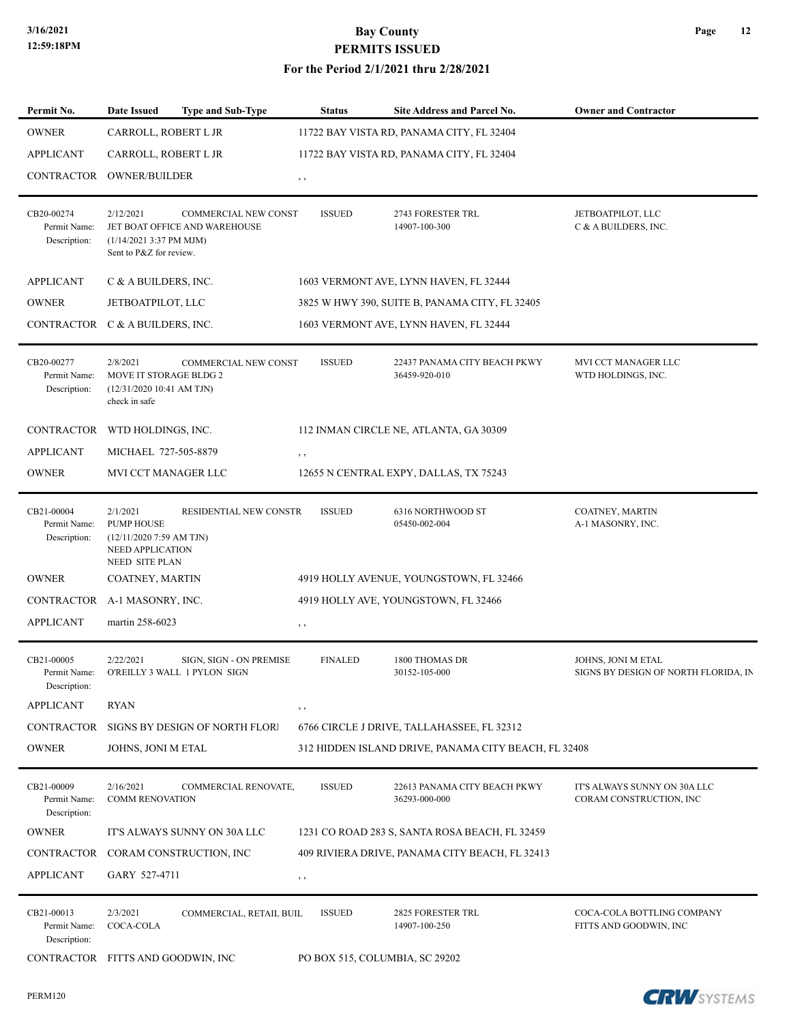| Permit No.                                 | <b>Date Issued</b>                                                                               | <b>Type and Sub-Type</b>                                | <b>Status</b>  | Site Address and Parcel No.                          | <b>Owner and Contractor</b>                                |
|--------------------------------------------|--------------------------------------------------------------------------------------------------|---------------------------------------------------------|----------------|------------------------------------------------------|------------------------------------------------------------|
| <b>OWNER</b>                               | CARROLL, ROBERT L JR                                                                             |                                                         |                | 11722 BAY VISTA RD, PANAMA CITY, FL 32404            |                                                            |
| <b>APPLICANT</b>                           | CARROLL, ROBERT L JR                                                                             |                                                         |                | 11722 BAY VISTA RD, PANAMA CITY, FL 32404            |                                                            |
| CONTRACTOR                                 | <b>OWNER/BUILDER</b>                                                                             |                                                         | $, \, \cdot$   |                                                      |                                                            |
|                                            |                                                                                                  |                                                         |                |                                                      |                                                            |
| CB20-00274<br>Permit Name:<br>Description: | 2/12/2021<br>$(1/14/20213:37 \text{ PM MJM})$<br>Sent to P&Z for review.                         | COMMERCIAL NEW CONST<br>JET BOAT OFFICE AND WAREHOUSE   | <b>ISSUED</b>  | 2743 FORESTER TRL<br>14907-100-300                   | JETBOATPILOT, LLC<br>C & A BUILDERS, INC.                  |
| <b>APPLICANT</b>                           | C & A BUILDERS, INC.                                                                             |                                                         |                | 1603 VERMONT AVE, LYNN HAVEN, FL 32444               |                                                            |
| <b>OWNER</b>                               | JETBOATPILOT, LLC                                                                                |                                                         |                | 3825 W HWY 390, SUITE B, PANAMA CITY, FL 32405       |                                                            |
| CONTRACTOR C & A BUILDERS, INC.            |                                                                                                  |                                                         |                | 1603 VERMONT AVE, LYNN HAVEN, FL 32444               |                                                            |
|                                            |                                                                                                  |                                                         |                |                                                      |                                                            |
| CB20-00277<br>Permit Name:<br>Description: | 2/8/2021<br>MOVE IT STORAGE BLDG 2<br>(12/31/2020 10:41 AM TJN)<br>check in safe                 | <b>COMMERCIAL NEW CONST</b>                             | <b>ISSUED</b>  | 22437 PANAMA CITY BEACH PKWY<br>36459-920-010        | MVI CCT MANAGER LLC<br>WTD HOLDINGS, INC.                  |
| CONTRACTOR WTD HOLDINGS, INC.              |                                                                                                  |                                                         |                | 112 INMAN CIRCLE NE, ATLANTA, GA 30309               |                                                            |
| <b>APPLICANT</b>                           | MICHAEL 727-505-8879                                                                             |                                                         | $, \, , \,$    |                                                      |                                                            |
| <b>OWNER</b>                               | MVI CCT MANAGER LLC                                                                              |                                                         |                | 12655 N CENTRAL EXPY, DALLAS, TX 75243               |                                                            |
|                                            |                                                                                                  |                                                         |                |                                                      |                                                            |
| CB21-00004<br>Permit Name:<br>Description: | 2/1/2021<br><b>PUMP HOUSE</b><br>$(12/11/20207:59$ AM TJN)<br>NEED APPLICATION<br>NEED SITE PLAN | RESIDENTIAL NEW CONSTR                                  | <b>ISSUED</b>  | 6316 NORTHWOOD ST<br>05450-002-004                   | COATNEY, MARTIN<br>A-1 MASONRY, INC.                       |
| <b>OWNER</b>                               | COATNEY, MARTIN                                                                                  |                                                         |                | 4919 HOLLY AVENUE, YOUNGSTOWN, FL 32466              |                                                            |
| CONTRACTOR A-1 MASONRY, INC.               |                                                                                                  |                                                         |                | 4919 HOLLY AVE, YOUNGSTOWN, FL 32466                 |                                                            |
| APPLICANT                                  | martin 258-6023                                                                                  |                                                         | $, \, ,$       |                                                      |                                                            |
|                                            |                                                                                                  |                                                         |                |                                                      |                                                            |
| CB21-00005<br>Permit Name:<br>Description: | 2/22/2021                                                                                        | SIGN, SIGN - ON PREMISE<br>O'REILLY 3 WALL 1 PYLON SIGN | <b>FINALED</b> | 1800 THOMAS DR<br>30152-105-000                      | JOHNS, JONI M ETAL<br>SIGNS BY DESIGN OF NORTH FLORIDA, IN |
| <b>APPLICANT</b>                           | <b>RYAN</b>                                                                                      |                                                         | $, \, , \,$    |                                                      |                                                            |
| <b>CONTRACTOR</b>                          |                                                                                                  | SIGNS BY DESIGN OF NORTH FLORI                          |                | 6766 CIRCLE J DRIVE, TALLAHASSEE, FL 32312           |                                                            |
| <b>OWNER</b>                               | JOHNS, JONI M ETAL                                                                               |                                                         |                | 312 HIDDEN ISLAND DRIVE, PANAMA CITY BEACH, FL 32408 |                                                            |
|                                            |                                                                                                  |                                                         |                |                                                      |                                                            |
| CB21-00009<br>Permit Name:<br>Description: | 2/16/2021<br><b>COMM RENOVATION</b>                                                              | COMMERCIAL RENOVATE,                                    | <b>ISSUED</b>  | 22613 PANAMA CITY BEACH PKWY<br>36293-000-000        | IT'S ALWAYS SUNNY ON 30A LLC<br>CORAM CONSTRUCTION, INC    |
| <b>OWNER</b>                               |                                                                                                  | IT'S ALWAYS SUNNY ON 30A LLC                            |                | 1231 CO ROAD 283 S, SANTA ROSA BEACH, FL 32459       |                                                            |
| CONTRACTOR                                 |                                                                                                  | CORAM CONSTRUCTION, INC                                 |                | 409 RIVIERA DRIVE, PANAMA CITY BEACH, FL 32413       |                                                            |
| APPLICANT                                  | GARY 527-4711                                                                                    |                                                         | $, \, \cdot$   |                                                      |                                                            |
| CB21-00013                                 | 2/3/2021                                                                                         | COMMERCIAL, RETAIL BUIL                                 | <b>ISSUED</b>  | <b>2825 FORESTER TRL</b>                             | COCA-COLA BOTTLING COMPANY                                 |
| Permit Name:<br>Description:               | COCA-COLA                                                                                        |                                                         |                | 14907-100-250                                        | FITTS AND GOODWIN, INC                                     |
| CONTRACTOR FITTS AND GOODWIN, INC          |                                                                                                  |                                                         |                | PO BOX 515, COLUMBIA, SC 29202                       |                                                            |

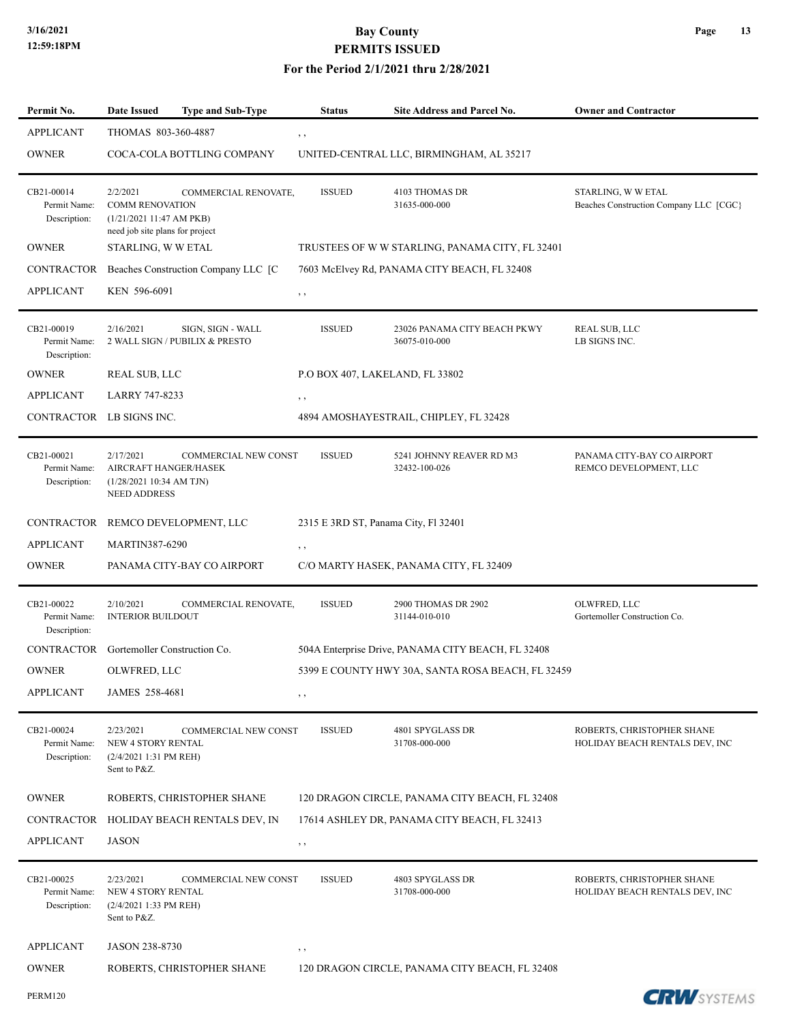| Permit No.                                 | <b>Date Issued</b>                                                                               | Type and Sub-Type                                   | <b>Status</b> | Site Address and Parcel No.                        | <b>Owner and Contractor</b>                                  |
|--------------------------------------------|--------------------------------------------------------------------------------------------------|-----------------------------------------------------|---------------|----------------------------------------------------|--------------------------------------------------------------|
| <b>APPLICANT</b>                           | THOMAS 803-360-4887                                                                              |                                                     | $, \, , \,$   |                                                    |                                                              |
| <b>OWNER</b>                               |                                                                                                  | COCA-COLA BOTTLING COMPANY                          |               | UNITED-CENTRAL LLC, BIRMINGHAM, AL 35217           |                                                              |
| CB21-00014<br>Permit Name:<br>Description: | 2/2/2021<br><b>COMM RENOVATION</b><br>(1/21/202111:47 AM PKB)<br>need job site plans for project | COMMERCIAL RENOVATE,                                | <b>ISSUED</b> | 4103 THOMAS DR<br>31635-000-000                    | STARLING, W W ETAL<br>Beaches Construction Company LLC [CGC] |
| <b>OWNER</b>                               | STARLING, W W ETAL                                                                               |                                                     |               | TRUSTEES OF WW STARLING, PANAMA CITY, FL 32401     |                                                              |
|                                            |                                                                                                  | CONTRACTOR Beaches Construction Company LLC [C      |               | 7603 McElvey Rd, PANAMA CITY BEACH, FL 32408       |                                                              |
| <b>APPLICANT</b>                           | KEN 596-6091                                                                                     |                                                     | , ,           |                                                    |                                                              |
| CB21-00019<br>Permit Name:<br>Description: | 2/16/2021                                                                                        | SIGN, SIGN - WALL<br>2 WALL SIGN / PUBILIX & PRESTO | <b>ISSUED</b> | 23026 PANAMA CITY BEACH PKWY<br>36075-010-000      | <b>REAL SUB, LLC</b><br>LB SIGNS INC.                        |
| <b>OWNER</b>                               | <b>REAL SUB, LLC</b>                                                                             |                                                     |               | P.O BOX 407, LAKELAND, FL 33802                    |                                                              |
| <b>APPLICANT</b>                           | <b>LARRY 747-8233</b>                                                                            |                                                     | $, \, , \,$   |                                                    |                                                              |
| CONTRACTOR LB SIGNS INC.                   |                                                                                                  |                                                     |               | 4894 AMOSHAYESTRAIL, CHIPLEY, FL 32428             |                                                              |
| CB21-00021<br>Permit Name:<br>Description: | 2/17/2021<br>AIRCRAFT HANGER/HASEK<br>(1/28/202110:34 AM TJN)<br><b>NEED ADDRESS</b>             | COMMERCIAL NEW CONST                                | <b>ISSUED</b> | 5241 JOHNNY REAVER RD M3<br>32432-100-026          | PANAMA CITY-BAY CO AIRPORT<br>REMCO DEVELOPMENT, LLC         |
|                                            |                                                                                                  | CONTRACTOR REMCO DEVELOPMENT, LLC                   |               | 2315 E 3RD ST, Panama City, Fl 32401               |                                                              |
| <b>APPLICANT</b>                           | <b>MARTIN387-6290</b>                                                                            |                                                     | $, \, \cdot$  |                                                    |                                                              |
| <b>OWNER</b>                               |                                                                                                  | PANAMA CITY-BAY CO AIRPORT                          |               | C/O MARTY HASEK, PANAMA CITY, FL 32409             |                                                              |
| CB21-00022<br>Permit Name:<br>Description: | 2/10/2021<br><b>INTERIOR BUILDOUT</b>                                                            | COMMERCIAL RENOVATE,                                | <b>ISSUED</b> | 2900 THOMAS DR 2902<br>31144-010-010               | OLWFRED, LLC<br>Gortemoller Construction Co.                 |
| CONTRACTOR                                 | Gortemoller Construction Co.                                                                     |                                                     |               | 504A Enterprise Drive, PANAMA CITY BEACH, FL 32408 |                                                              |
| <b>OWNER</b>                               | OLWFRED, LLC                                                                                     |                                                     |               | 5399 E COUNTY HWY 30A, SANTA ROSA BEACH, FL 32459  |                                                              |
| <b>APPLICANT</b>                           | JAMES 258-4681                                                                                   |                                                     | , ,           |                                                    |                                                              |
| CB21-00024<br>Permit Name:<br>Description: | 2/23/2021<br>NEW 4 STORY RENTAL<br>(2/4/2021 1:31 PM REH)<br>Sent to P&Z.                        | <b>COMMERCIAL NEW CONST</b>                         | <b>ISSUED</b> | 4801 SPYGLASS DR<br>31708-000-000                  | ROBERTS, CHRISTOPHER SHANE<br>HOLIDAY BEACH RENTALS DEV, INC |
| <b>OWNER</b>                               |                                                                                                  | ROBERTS, CHRISTOPHER SHANE                          |               | 120 DRAGON CIRCLE, PANAMA CITY BEACH, FL 32408     |                                                              |
|                                            |                                                                                                  | CONTRACTOR HOLIDAY BEACH RENTALS DEV, IN            |               | 17614 ASHLEY DR, PANAMA CITY BEACH, FL 32413       |                                                              |
| <b>APPLICANT</b>                           | <b>JASON</b>                                                                                     |                                                     | , ,           |                                                    |                                                              |
| CB21-00025<br>Permit Name:<br>Description: | 2/23/2021<br>NEW 4 STORY RENTAL<br>(2/4/2021 1:33 PM REH)<br>Sent to P&Z.                        | <b>COMMERCIAL NEW CONST</b>                         | <b>ISSUED</b> | 4803 SPYGLASS DR<br>31708-000-000                  | ROBERTS, CHRISTOPHER SHANE<br>HOLIDAY BEACH RENTALS DEV, INC |
| <b>APPLICANT</b>                           | JASON 238-8730                                                                                   |                                                     | , ,           |                                                    |                                                              |
| <b>OWNER</b>                               |                                                                                                  | ROBERTS, CHRISTOPHER SHANE                          |               | 120 DRAGON CIRCLE, PANAMA CITY BEACH, FL 32408     |                                                              |
| <b>PERM120</b>                             |                                                                                                  |                                                     |               |                                                    | <b>CRW</b> SYSTEMS                                           |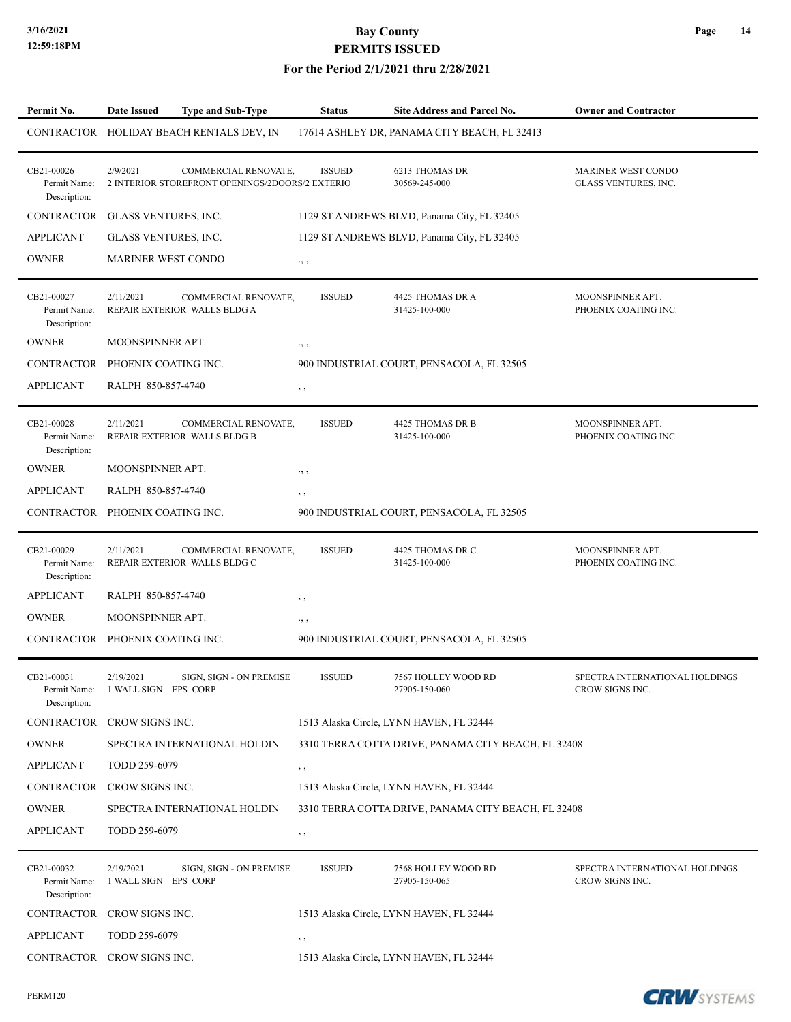#### **For the Period 2/1/2021 thru 2/28/2021**

| Permit No.                                 | <b>Date Issued</b>                | Type and Sub-Type                                                       | <b>Status</b> | Site Address and Parcel No.                         | <b>Owner and Contractor</b>                       |
|--------------------------------------------|-----------------------------------|-------------------------------------------------------------------------|---------------|-----------------------------------------------------|---------------------------------------------------|
|                                            |                                   | CONTRACTOR HOLIDAY BEACH RENTALS DEV, IN                                |               | 17614 ASHLEY DR, PANAMA CITY BEACH, FL 32413        |                                                   |
| CB21-00026<br>Permit Name:<br>Description: | 2/9/2021                          | COMMERCIAL RENOVATE,<br>2 INTERIOR STOREFRONT OPENINGS/2DOORS/2 EXTERIO | <b>ISSUED</b> | <b>6213 THOMAS DR</b><br>30569-245-000              | <b>MARINER WEST CONDO</b><br>GLASS VENTURES, INC. |
| CONTRACTOR                                 | GLASS VENTURES, INC.              |                                                                         |               | 1129 ST ANDREWS BLVD, Panama City, FL 32405         |                                                   |
| <b>APPLICANT</b>                           | GLASS VENTURES, INC.              |                                                                         |               | 1129 ST ANDREWS BLVD, Panama City, FL 32405         |                                                   |
| <b>OWNER</b>                               | <b>MARINER WEST CONDO</b>         |                                                                         | $\cdot,$ ,    |                                                     |                                                   |
| CB21-00027<br>Permit Name:<br>Description: | 2/11/2021                         | COMMERCIAL RENOVATE,<br>REPAIR EXTERIOR WALLS BLDG A                    | <b>ISSUED</b> | 4425 THOMAS DR A<br>31425-100-000                   | MOONSPINNER APT.<br>PHOENIX COATING INC.          |
| <b>OWNER</b>                               | MOONSPINNER APT.                  |                                                                         | $\cdot$ , ,   |                                                     |                                                   |
| CONTRACTOR PHOENIX COATING INC.            |                                   |                                                                         |               | 900 INDUSTRIAL COURT, PENSACOLA, FL 32505           |                                                   |
| <b>APPLICANT</b>                           | RALPH 850-857-4740                |                                                                         | $, \, , \,$   |                                                     |                                                   |
| CB21-00028<br>Permit Name:<br>Description: | 2/11/2021                         | COMMERCIAL RENOVATE,<br>REPAIR EXTERIOR WALLS BLDG B                    | <b>ISSUED</b> | 4425 THOMAS DR B<br>31425-100-000                   | MOONSPINNER APT.<br>PHOENIX COATING INC.          |
| <b>OWNER</b>                               | MOONSPINNER APT.                  |                                                                         | ٠, ۰          |                                                     |                                                   |
| <b>APPLICANT</b>                           | RALPH 850-857-4740                |                                                                         | , ,           |                                                     |                                                   |
| CONTRACTOR PHOENIX COATING INC.            |                                   |                                                                         |               | 900 INDUSTRIAL COURT, PENSACOLA, FL 32505           |                                                   |
| CB21-00029<br>Permit Name:<br>Description: | 2/11/2021                         | COMMERCIAL RENOVATE,<br>REPAIR EXTERIOR WALLS BLDG C                    | <b>ISSUED</b> | 4425 THOMAS DR C<br>31425-100-000                   | MOONSPINNER APT.<br>PHOENIX COATING INC.          |
| <b>APPLICANT</b>                           | RALPH 850-857-4740                |                                                                         | , ,           |                                                     |                                                   |
| <b>OWNER</b>                               | MOONSPINNER APT.                  |                                                                         | $\cdot$ , ,   |                                                     |                                                   |
| CONTRACTOR PHOENIX COATING INC.            |                                   |                                                                         |               | 900 INDUSTRIAL COURT, PENSACOLA, FL 32505           |                                                   |
| CB21-00031<br>Permit Name:<br>Description: | 2/19/2021<br>1 WALL SIGN EPS CORP | SIGN, SIGN - ON PREMISE                                                 | <b>ISSUED</b> | 7567 HOLLEY WOOD RD<br>27905-150-060                | SPECTRA INTERNATIONAL HOLDINGS<br>CROW SIGNS INC. |
| CONTRACTOR CROW SIGNS INC.                 |                                   |                                                                         |               | 1513 Alaska Circle, LYNN HAVEN, FL 32444            |                                                   |
| <b>OWNER</b>                               |                                   | SPECTRA INTERNATIONAL HOLDIN                                            |               | 3310 TERRA COTTA DRIVE, PANAMA CITY BEACH, FL 32408 |                                                   |
| <b>APPLICANT</b>                           | TODD 259-6079                     |                                                                         | , ,           |                                                     |                                                   |
| CONTRACTOR CROW SIGNS INC.                 |                                   |                                                                         |               | 1513 Alaska Circle, LYNN HAVEN, FL 32444            |                                                   |
| <b>OWNER</b>                               |                                   | SPECTRA INTERNATIONAL HOLDIN                                            |               | 3310 TERRA COTTA DRIVE, PANAMA CITY BEACH, FL 32408 |                                                   |
| APPLICANT                                  | TODD 259-6079                     |                                                                         | $, \, , \,$   |                                                     |                                                   |
| CB21-00032<br>Permit Name:<br>Description: | 2/19/2021<br>1 WALL SIGN EPS CORP | SIGN, SIGN - ON PREMISE                                                 | <b>ISSUED</b> | 7568 HOLLEY WOOD RD<br>27905-150-065                | SPECTRA INTERNATIONAL HOLDINGS<br>CROW SIGNS INC. |
| CONTRACTOR                                 | CROW SIGNS INC.                   |                                                                         |               | 1513 Alaska Circle, LYNN HAVEN, FL 32444            |                                                   |
| <b>APPLICANT</b>                           | TODD 259-6079                     |                                                                         | , ,           |                                                     |                                                   |
| CONTRACTOR                                 | CROW SIGNS INC.                   |                                                                         |               | 1513 Alaska Circle, LYNN HAVEN, FL 32444            |                                                   |

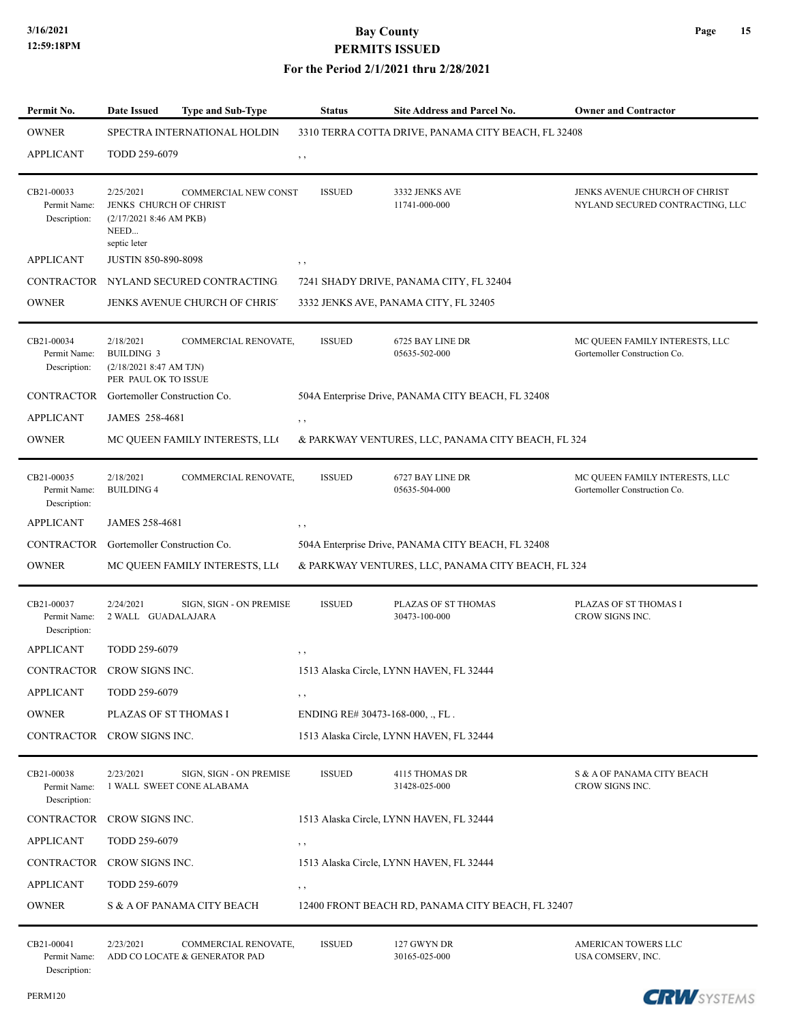| Permit No.                                 | <b>Date Issued</b>                                                                    | <b>Type and Sub-Type</b>                              | Status                           | Site Address and Parcel No.                        | <b>Owner and Contractor</b>                                      |
|--------------------------------------------|---------------------------------------------------------------------------------------|-------------------------------------------------------|----------------------------------|----------------------------------------------------|------------------------------------------------------------------|
| <b>OWNER</b>                               | SPECTRA INTERNATIONAL HOLDIN<br>3310 TERRA COTTA DRIVE, PANAMA CITY BEACH, FL 32408   |                                                       |                                  |                                                    |                                                                  |
| <b>APPLICANT</b>                           | TODD 259-6079                                                                         |                                                       | , ,                              |                                                    |                                                                  |
| CB21-00033<br>Permit Name:<br>Description: | 2/25/2021<br>JENKS CHURCH OF CHRIST<br>(2/17/20218:46 AM PKB)<br>NEED<br>septic leter | <b>COMMERCIAL NEW CONST</b>                           | <b>ISSUED</b>                    | 3332 JENKS AVE<br>11741-000-000                    | JENKS AVENUE CHURCH OF CHRIST<br>NYLAND SECURED CONTRACTING, LLC |
| <b>APPLICANT</b>                           | <b>JUSTIN 850-890-8098</b>                                                            |                                                       | $, \, , \,$                      |                                                    |                                                                  |
|                                            |                                                                                       | CONTRACTOR NYLAND SECURED CONTRACTING                 |                                  | 7241 SHADY DRIVE, PANAMA CITY, FL 32404            |                                                                  |
| <b>OWNER</b>                               |                                                                                       | JENKS AVENUE CHURCH OF CHRIS'                         |                                  | 3332 JENKS AVE, PANAMA CITY, FL 32405              |                                                                  |
| CB21-00034<br>Permit Name:<br>Description: | 2/18/2021<br><b>BUILDING 3</b><br>(2/18/20218:47 AM TJN)<br>PER PAUL OK TO ISSUE      | COMMERCIAL RENOVATE,                                  | <b>ISSUED</b>                    | 6725 BAY LINE DR<br>05635-502-000                  | MC QUEEN FAMILY INTERESTS, LLC<br>Gortemoller Construction Co.   |
| CONTRACTOR                                 | Gortemoller Construction Co.                                                          |                                                       |                                  | 504A Enterprise Drive, PANAMA CITY BEACH, FL 32408 |                                                                  |
| <b>APPLICANT</b>                           | JAMES 258-4681                                                                        |                                                       | $, \, , \,$                      |                                                    |                                                                  |
| <b>OWNER</b>                               |                                                                                       | MC QUEEN FAMILY INTERESTS, LLO                        |                                  | & PARKWAY VENTURES, LLC, PANAMA CITY BEACH, FL 324 |                                                                  |
| CB21-00035<br>Permit Name:<br>Description: | 2/18/2021<br><b>BUILDING 4</b>                                                        | COMMERCIAL RENOVATE,                                  | <b>ISSUED</b>                    | 6727 BAY LINE DR<br>05635-504-000                  | MC QUEEN FAMILY INTERESTS, LLC<br>Gortemoller Construction Co.   |
| <b>APPLICANT</b>                           | JAMES 258-4681                                                                        |                                                       | $, \, , \,$                      |                                                    |                                                                  |
| CONTRACTOR Gortemoller Construction Co.    |                                                                                       |                                                       |                                  | 504A Enterprise Drive, PANAMA CITY BEACH, FL 32408 |                                                                  |
| <b>OWNER</b>                               |                                                                                       | MC QUEEN FAMILY INTERESTS, LLO                        |                                  | & PARKWAY VENTURES, LLC, PANAMA CITY BEACH, FL 324 |                                                                  |
| CB21-00037<br>Permit Name:<br>Description: | 2/24/2021<br>2 WALL GUADALAJARA                                                       | SIGN, SIGN - ON PREMISE                               | <b>ISSUED</b>                    | PLAZAS OF ST THOMAS<br>30473-100-000               | PLAZAS OF ST THOMAS I<br>CROW SIGNS INC.                         |
| <b>APPLICANT</b>                           | TODD 259-6079                                                                         |                                                       | $, \, , \,$                      |                                                    |                                                                  |
| CONTRACTOR                                 | CROW SIGNS INC.                                                                       |                                                       |                                  | 1513 Alaska Circle, LYNN HAVEN, FL 32444           |                                                                  |
| <b>APPLICANT</b>                           | TODD 259-6079                                                                         |                                                       | $, \, \cdot$                     |                                                    |                                                                  |
| <b>OWNER</b>                               | PLAZAS OF ST THOMAS I                                                                 |                                                       | ENDING RE# 30473-168-000, ., FL. |                                                    |                                                                  |
| CONTRACTOR CROW SIGNS INC.                 |                                                                                       |                                                       |                                  | 1513 Alaska Circle, LYNN HAVEN, FL 32444           |                                                                  |
| CB21-00038<br>Permit Name:<br>Description: | 2/23/2021                                                                             | SIGN, SIGN - ON PREMISE<br>1 WALL SWEET CONE ALABAMA  | <b>ISSUED</b>                    | <b>4115 THOMAS DR</b><br>31428-025-000             | S & A OF PANAMA CITY BEACH<br>CROW SIGNS INC.                    |
| CONTRACTOR                                 | CROW SIGNS INC.                                                                       |                                                       |                                  | 1513 Alaska Circle, LYNN HAVEN, FL 32444           |                                                                  |
| <b>APPLICANT</b>                           | TODD 259-6079                                                                         |                                                       | $, \, , \,$                      |                                                    |                                                                  |
| CONTRACTOR CROW SIGNS INC.                 |                                                                                       |                                                       |                                  | 1513 Alaska Circle, LYNN HAVEN, FL 32444           |                                                                  |
| <b>APPLICANT</b>                           | TODD 259-6079                                                                         |                                                       | , ,                              |                                                    |                                                                  |
| <b>OWNER</b>                               |                                                                                       | S & A OF PANAMA CITY BEACH                            |                                  | 12400 FRONT BEACH RD, PANAMA CITY BEACH, FL 32407  |                                                                  |
| CB21-00041<br>Permit Name:<br>Description: | 2/23/2021                                                                             | COMMERCIAL RENOVATE,<br>ADD CO LOCATE & GENERATOR PAD | <b>ISSUED</b>                    | 127 GWYN DR<br>30165-025-000                       | AMERICAN TOWERS LLC<br>USA COMSERV, INC.                         |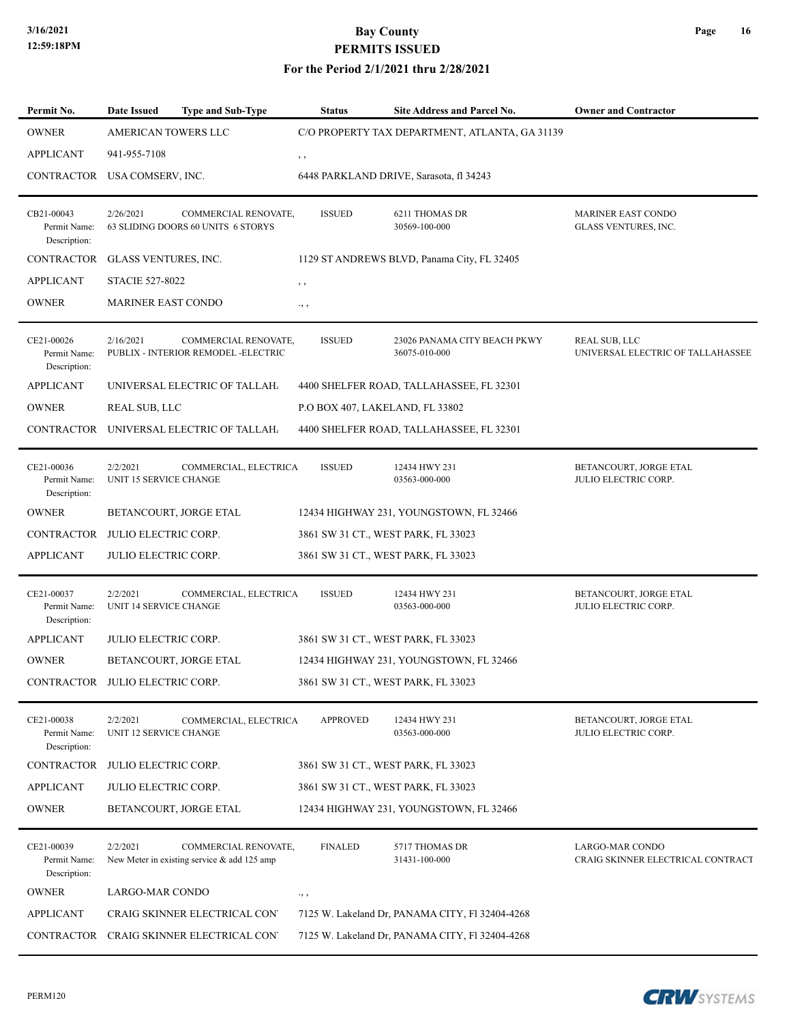| Permit No.                                 | <b>Date Issued</b>                        | <b>Type and Sub-Type</b>                                              | <b>Status</b>                   | <b>Site Address and Parcel No.</b>              | <b>Owner and Contractor</b>                               |
|--------------------------------------------|-------------------------------------------|-----------------------------------------------------------------------|---------------------------------|-------------------------------------------------|-----------------------------------------------------------|
| <b>OWNER</b>                               | <b>AMERICAN TOWERS LLC</b>                |                                                                       |                                 | C/O PROPERTY TAX DEPARTMENT, ATLANTA, GA 31139  |                                                           |
| <b>APPLICANT</b>                           | 941-955-7108                              |                                                                       | , ,                             |                                                 |                                                           |
| CONTRACTOR USA COMSERV, INC.               |                                           |                                                                       |                                 | 6448 PARKLAND DRIVE, Sarasota, fl 34243         |                                                           |
| CB21-00043<br>Permit Name:<br>Description: | 2/26/2021                                 | COMMERCIAL RENOVATE,<br>63 SLIDING DOORS 60 UNITS 6 STORYS            | <b>ISSUED</b>                   | 6211 THOMAS DR<br>30569-100-000                 | MARINER EAST CONDO<br>GLASS VENTURES, INC.                |
| <b>CONTRACTOR</b>                          | GLASS VENTURES, INC.                      |                                                                       |                                 | 1129 ST ANDREWS BLVD, Panama City, FL 32405     |                                                           |
| <b>APPLICANT</b>                           | <b>STACIE 527-8022</b>                    |                                                                       | , ,                             |                                                 |                                                           |
| <b>OWNER</b>                               | MARINER EAST CONDO                        |                                                                       | ., ,                            |                                                 |                                                           |
| CE21-00026<br>Permit Name:<br>Description: | 2/16/2021                                 | COMMERCIAL RENOVATE,<br>PUBLIX - INTERIOR REMODEL -ELECTRIC           | <b>ISSUED</b>                   | 23026 PANAMA CITY BEACH PKWY<br>36075-010-000   | <b>REAL SUB, LLC</b><br>UNIVERSAL ELECTRIC OF TALLAHASSEE |
| <b>APPLICANT</b>                           |                                           | UNIVERSAL ELECTRIC OF TALLAH.                                         |                                 | 4400 SHELFER ROAD, TALLAHASSEE, FL 32301        |                                                           |
| <b>OWNER</b>                               | REAL SUB, LLC                             |                                                                       | P.O BOX 407, LAKELAND, FL 33802 |                                                 |                                                           |
|                                            |                                           | CONTRACTOR UNIVERSAL ELECTRIC OF TALLAH.                              |                                 | 4400 SHELFER ROAD, TALLAHASSEE, FL 32301        |                                                           |
| CE21-00036<br>Permit Name:<br>Description: | 2/2/2021<br>UNIT 15 SERVICE CHANGE        | COMMERCIAL, ELECTRICA                                                 | <b>ISSUED</b>                   | 12434 HWY 231<br>03563-000-000                  | BETANCOURT, JORGE ETAL<br><b>JULIO ELECTRIC CORP.</b>     |
| <b>OWNER</b>                               |                                           | BETANCOURT, JORGE ETAL                                                |                                 | 12434 HIGHWAY 231, YOUNGSTOWN, FL 32466         |                                                           |
| CONTRACTOR                                 | JULIO ELECTRIC CORP.                      |                                                                       |                                 | 3861 SW 31 CT., WEST PARK, FL 33023             |                                                           |
| APPLICANT                                  | JULIO ELECTRIC CORP.                      |                                                                       |                                 | 3861 SW 31 CT., WEST PARK, FL 33023             |                                                           |
| CE21-00037<br>Permit Name:<br>Description: | 2/2/2021<br><b>UNIT 14 SERVICE CHANGE</b> | COMMERCIAL, ELECTRICA                                                 | <b>ISSUED</b>                   | 12434 HWY 231<br>03563-000-000                  | BETANCOURT, JORGE ETAL<br>JULIO ELECTRIC CORP.            |
| <b>APPLICANT</b>                           | <b>JULIO ELECTRIC CORP.</b>               |                                                                       |                                 | 3861 SW 31 CT., WEST PARK, FL 33023             |                                                           |
| <b>OWNER</b>                               |                                           | BETANCOURT, JORGE ETAL                                                |                                 | 12434 HIGHWAY 231, YOUNGSTOWN, FL 32466         |                                                           |
| CONTRACTOR JULIO ELECTRIC CORP.            |                                           |                                                                       |                                 | 3861 SW 31 CT., WEST PARK, FL 33023             |                                                           |
| CE21-00038<br>Permit Name:<br>Description: | 2/2/2021<br>UNIT 12 SERVICE CHANGE        | COMMERCIAL, ELECTRICA                                                 | <b>APPROVED</b>                 | 12434 HWY 231<br>03563-000-000                  | BETANCOURT, JORGE ETAL<br>JULIO ELECTRIC CORP.            |
| CONTRACTOR                                 | <b>JULIO ELECTRIC CORP.</b>               |                                                                       |                                 | 3861 SW 31 CT., WEST PARK, FL 33023             |                                                           |
| APPLICANT                                  | <b>JULIO ELECTRIC CORP.</b>               |                                                                       |                                 | 3861 SW 31 CT., WEST PARK, FL 33023             |                                                           |
| <b>OWNER</b>                               |                                           | BETANCOURT, JORGE ETAL                                                |                                 | 12434 HIGHWAY 231, YOUNGSTOWN, FL 32466         |                                                           |
| CE21-00039<br>Permit Name:<br>Description: | 2/2/2021                                  | COMMERCIAL RENOVATE,<br>New Meter in existing service $&$ add 125 amp | <b>FINALED</b>                  | 5717 THOMAS DR<br>31431-100-000                 | LARGO-MAR CONDO<br>CRAIG SKINNER ELECTRICAL CONTRACT      |
| <b>OWNER</b>                               | LARGO-MAR CONDO                           |                                                                       | $\cdot$ , ,                     |                                                 |                                                           |
| <b>APPLICANT</b>                           |                                           | CRAIG SKINNER ELECTRICAL CON'                                         |                                 | 7125 W. Lakeland Dr, PANAMA CITY, F1 32404-4268 |                                                           |
| CONTRACTOR                                 |                                           | CRAIG SKINNER ELECTRICAL CON'                                         |                                 | 7125 W. Lakeland Dr, PANAMA CITY, F1 32404-4268 |                                                           |

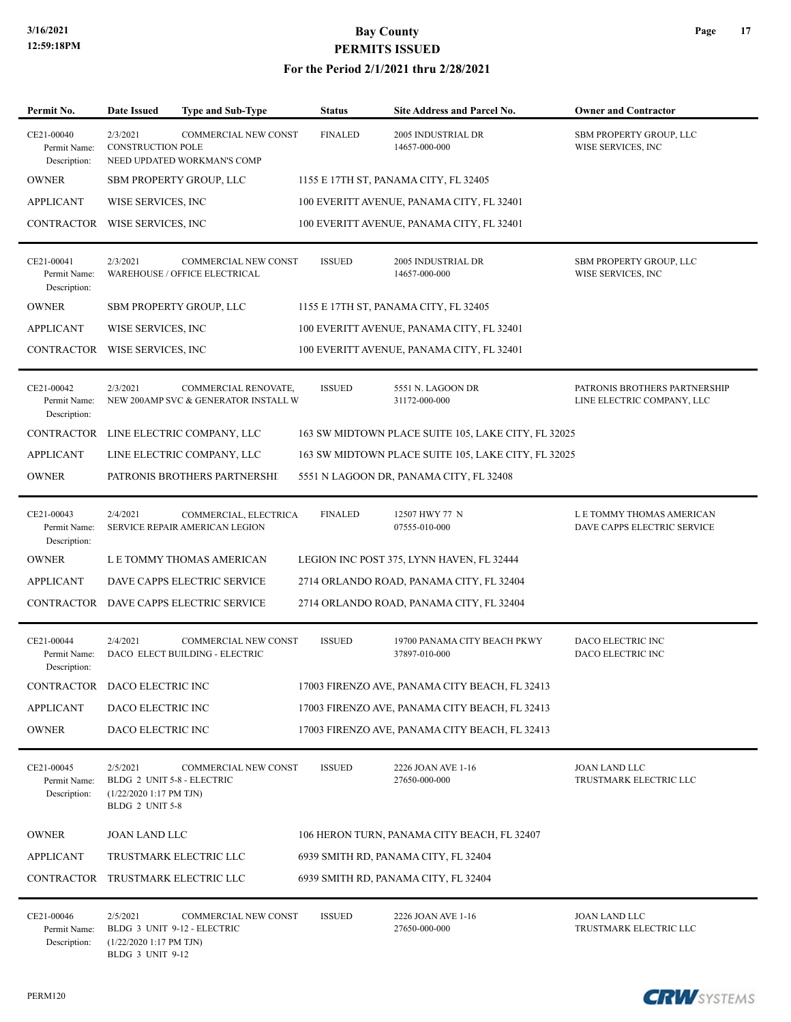#### **For the Period 2/1/2021 thru 2/28/2021**

| Permit No.                                 | <b>Date Issued</b>                                                                    | Type and Sub-Type                                            | <b>Status</b>  | <b>Site Address and Parcel No.</b>                  | <b>Owner and Contractor</b>                                 |
|--------------------------------------------|---------------------------------------------------------------------------------------|--------------------------------------------------------------|----------------|-----------------------------------------------------|-------------------------------------------------------------|
| CE21-00040<br>Permit Name:<br>Description: | 2/3/2021<br><b>CONSTRUCTION POLE</b>                                                  | COMMERCIAL NEW CONST<br>NEED UPDATED WORKMAN'S COMP          | <b>FINALED</b> | 2005 INDUSTRIAL DR<br>14657-000-000                 | SBM PROPERTY GROUP, LLC<br>WISE SERVICES, INC               |
| <b>OWNER</b>                               |                                                                                       | <b>SBM PROPERTY GROUP, LLC</b>                               |                | 1155 E 17TH ST, PANAMA CITY, FL 32405               |                                                             |
| <b>APPLICANT</b>                           | WISE SERVICES, INC                                                                    |                                                              |                | 100 EVERITT AVENUE, PANAMA CITY, FL 32401           |                                                             |
| CONTRACTOR WISE SERVICES, INC              |                                                                                       |                                                              |                | 100 EVERITT AVENUE, PANAMA CITY, FL 32401           |                                                             |
| CE21-00041<br>Permit Name:<br>Description: | 2/3/2021                                                                              | <b>COMMERCIAL NEW CONST</b><br>WAREHOUSE / OFFICE ELECTRICAL | <b>ISSUED</b>  | 2005 INDUSTRIAL DR<br>14657-000-000                 | SBM PROPERTY GROUP, LLC<br>WISE SERVICES, INC               |
| <b>OWNER</b>                               |                                                                                       | SBM PROPERTY GROUP, LLC                                      |                | 1155 E 17TH ST, PANAMA CITY, FL 32405               |                                                             |
| <b>APPLICANT</b>                           | WISE SERVICES, INC                                                                    |                                                              |                | 100 EVERITT AVENUE, PANAMA CITY, FL 32401           |                                                             |
| CONTRACTOR                                 | WISE SERVICES, INC.                                                                   |                                                              |                | 100 EVERITT AVENUE, PANAMA CITY, FL 32401           |                                                             |
| CE21-00042<br>Permit Name:<br>Description: | 2/3/2021                                                                              | COMMERCIAL RENOVATE,<br>NEW 200AMP SVC & GENERATOR INSTALL W | <b>ISSUED</b>  | 5551 N. LAGOON DR<br>31172-000-000                  | PATRONIS BROTHERS PARTNERSHIP<br>LINE ELECTRIC COMPANY, LLC |
| <b>CONTRACTOR</b>                          |                                                                                       | LINE ELECTRIC COMPANY, LLC                                   |                | 163 SW MIDTOWN PLACE SUITE 105, LAKE CITY, FL 32025 |                                                             |
| <b>APPLICANT</b>                           |                                                                                       | LINE ELECTRIC COMPANY, LLC                                   |                | 163 SW MIDTOWN PLACE SUITE 105, LAKE CITY, FL 32025 |                                                             |
| <b>OWNER</b>                               |                                                                                       | PATRONIS BROTHERS PARTNERSHI                                 |                | 5551 N LAGOON DR, PANAMA CITY, FL 32408             |                                                             |
| CE21-00043<br>Permit Name:<br>Description: | 2/4/2021                                                                              | COMMERCIAL, ELECTRICA<br>SERVICE REPAIR AMERICAN LEGION      | <b>FINALED</b> | 12507 HWY 77 N<br>07555-010-000                     | L E TOMMY THOMAS AMERICAN<br>DAVE CAPPS ELECTRIC SERVICE    |
| <b>OWNER</b>                               |                                                                                       | L E TOMMY THOMAS AMERICAN                                    |                | LEGION INC POST 375, LYNN HAVEN, FL 32444           |                                                             |
| <b>APPLICANT</b>                           |                                                                                       | DAVE CAPPS ELECTRIC SERVICE                                  |                | 2714 ORLANDO ROAD, PANAMA CITY, FL 32404            |                                                             |
| CONTRACTOR                                 |                                                                                       | DAVE CAPPS ELECTRIC SERVICE                                  |                | 2714 ORLANDO ROAD, PANAMA CITY, FL 32404            |                                                             |
| CE21-00044<br>Permit Name:<br>Description: | 2/4/2021                                                                              | COMMERCIAL NEW CONST<br>DACO ELECT BUILDING - ELECTRIC       | <b>ISSUED</b>  | 19700 PANAMA CITY BEACH PKWY<br>37897-010-000       | DACO ELECTRIC INC<br>DACO ELECTRIC INC                      |
| CONTRACTOR DACO ELECTRIC INC               |                                                                                       |                                                              |                | 17003 FIRENZO AVE, PANAMA CITY BEACH, FL 32413      |                                                             |
| <b>APPLICANT</b>                           | DACO ELECTRIC INC                                                                     |                                                              |                | 17003 FIRENZO AVE, PANAMA CITY BEACH, FL 32413      |                                                             |
| <b>OWNER</b>                               | DACO ELECTRIC INC                                                                     |                                                              |                | 17003 FIRENZO AVE, PANAMA CITY BEACH, FL 32413      |                                                             |
| CE21-00045<br>Permit Name:<br>Description: | 2/5/2021<br>BLDG 2 UNIT 5-8 - ELECTRIC<br>$(1/22/20201:17$ PM TJN)<br>BLDG 2 UNIT 5-8 | <b>COMMERCIAL NEW CONST</b>                                  | <b>ISSUED</b>  | 2226 JOAN AVE 1-16<br>27650-000-000                 | <b>JOAN LAND LLC</b><br>TRUSTMARK ELECTRIC LLC              |
| <b>OWNER</b>                               | <b>JOAN LAND LLC</b>                                                                  |                                                              |                | 106 HERON TURN, PANAMA CITY BEACH, FL 32407         |                                                             |
| <b>APPLICANT</b>                           |                                                                                       | TRUSTMARK ELECTRIC LLC                                       |                | 6939 SMITH RD, PANAMA CITY, FL 32404                |                                                             |
| CONTRACTOR                                 |                                                                                       | TRUSTMARK ELECTRIC LLC                                       |                | 6939 SMITH RD, PANAMA CITY, FL 32404                |                                                             |
| CE21-00046<br>Permit Name:<br>Description: | 2/5/2021<br>$(1/22/20201:17$ PM TJN)<br>BLDG 3 UNIT 9-12                              | <b>COMMERCIAL NEW CONST</b><br>BLDG 3 UNIT 9-12 - ELECTRIC   | <b>ISSUED</b>  | 2226 JOAN AVE 1-16<br>27650-000-000                 | <b>JOAN LAND LLC</b><br>TRUSTMARK ELECTRIC LLC              |

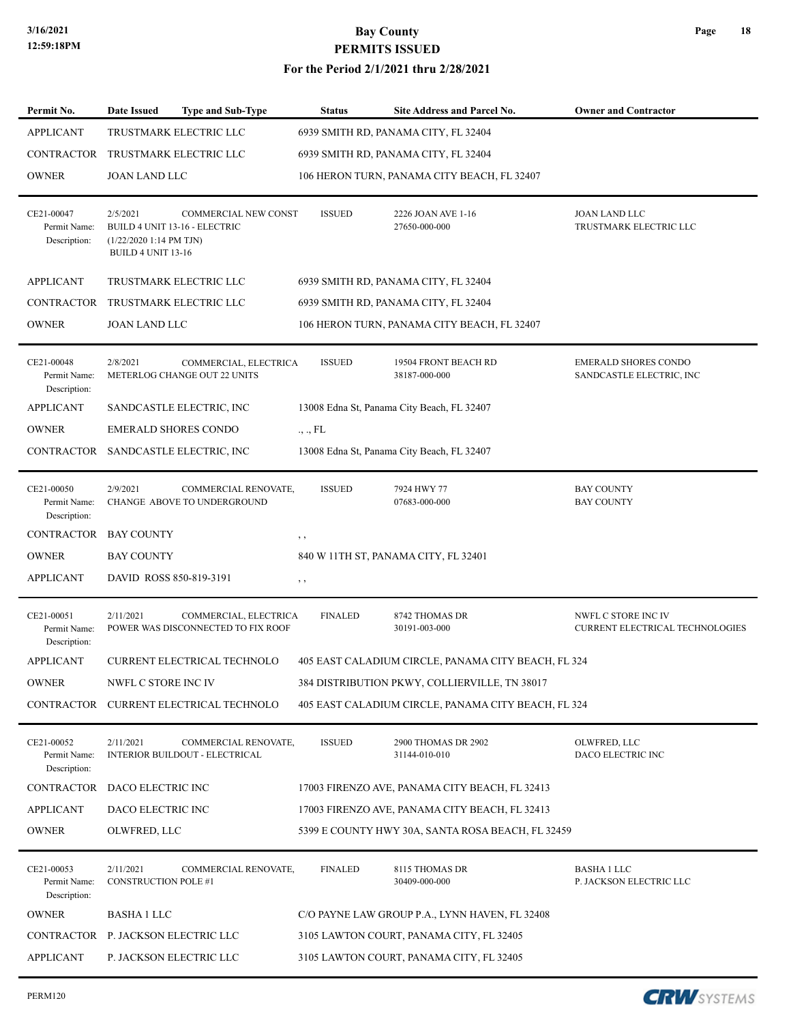| Permit No.                                                     | <b>Date Issued</b>                                             | <b>Type and Sub-Type</b>                                                          | Status         | <b>Site Address and Parcel No.</b>                                                  | <b>Owner and Contractor</b>                                   |  |
|----------------------------------------------------------------|----------------------------------------------------------------|-----------------------------------------------------------------------------------|----------------|-------------------------------------------------------------------------------------|---------------------------------------------------------------|--|
| <b>APPLICANT</b>                                               |                                                                | TRUSTMARK ELECTRIC LLC                                                            |                | 6939 SMITH RD, PANAMA CITY, FL 32404                                                |                                                               |  |
| <b>CONTRACTOR</b>                                              | TRUSTMARK ELECTRIC LLC<br>6939 SMITH RD, PANAMA CITY, FL 32404 |                                                                                   |                |                                                                                     |                                                               |  |
| <b>OWNER</b>                                                   | <b>JOAN LAND LLC</b>                                           |                                                                                   |                | 106 HERON TURN, PANAMA CITY BEACH, FL 32407                                         |                                                               |  |
| CE21-00047<br>Permit Name:<br>Description:                     | 2/5/2021<br>$(1/22/20201:14$ PM TJN)<br>BUILD 4 UNIT 13-16     | COMMERCIAL NEW CONST<br>BUILD 4 UNIT 13-16 - ELECTRIC                             | <b>ISSUED</b>  | 2226 JOAN AVE 1-16<br>27650-000-000                                                 | <b>JOAN LAND LLC</b><br>TRUSTMARK ELECTRIC LLC                |  |
| <b>APPLICANT</b>                                               |                                                                | TRUSTMARK ELECTRIC LLC                                                            |                | 6939 SMITH RD, PANAMA CITY, FL 32404                                                |                                                               |  |
| <b>CONTRACTOR</b>                                              |                                                                | TRUSTMARK ELECTRIC LLC                                                            |                | 6939 SMITH RD, PANAMA CITY, FL 32404                                                |                                                               |  |
| <b>OWNER</b>                                                   | <b>JOAN LAND LLC</b>                                           |                                                                                   |                | 106 HERON TURN, PANAMA CITY BEACH, FL 32407                                         |                                                               |  |
| CE21-00048<br>Permit Name:<br>Description:<br><b>APPLICANT</b> | 2/8/2021                                                       | COMMERCIAL, ELECTRICA<br>METERLOG CHANGE OUT 22 UNITS<br>SANDCASTLE ELECTRIC, INC | <b>ISSUED</b>  | 19504 FRONT BEACH RD<br>38187-000-000<br>13008 Edna St, Panama City Beach, FL 32407 | <b>EMERALD SHORES CONDO</b><br>SANDCASTLE ELECTRIC, INC       |  |
| <b>OWNER</b>                                                   |                                                                | <b>EMERALD SHORES CONDO</b>                                                       | ., ., FL       |                                                                                     |                                                               |  |
|                                                                |                                                                | CONTRACTOR SANDCASTLE ELECTRIC, INC                                               |                | 13008 Edna St, Panama City Beach, FL 32407                                          |                                                               |  |
|                                                                |                                                                |                                                                                   |                |                                                                                     |                                                               |  |
| CE21-00050<br>Permit Name:<br>Description:                     | 2/9/2021                                                       | COMMERCIAL RENOVATE,<br>CHANGE ABOVE TO UNDERGROUND                               | <b>ISSUED</b>  | 7924 HWY 77<br>07683-000-000                                                        | <b>BAY COUNTY</b><br><b>BAY COUNTY</b>                        |  |
| <b>CONTRACTOR</b>                                              | <b>BAY COUNTY</b>                                              |                                                                                   | , ,            |                                                                                     |                                                               |  |
| <b>OWNER</b>                                                   | <b>BAY COUNTY</b>                                              |                                                                                   |                | 840 W 11TH ST, PANAMA CITY, FL 32401                                                |                                                               |  |
| <b>APPLICANT</b>                                               | DAVID ROSS 850-819-3191                                        |                                                                                   | $, \, \,$      |                                                                                     |                                                               |  |
| CE21-00051<br>Permit Name:<br>Description:                     | 2/11/2021                                                      | COMMERCIAL, ELECTRICA<br>POWER WAS DISCONNECTED TO FIX ROOF                       | <b>FINALED</b> | 8742 THOMAS DR<br>30191-003-000                                                     | NWFL C STORE INC IV<br><b>CURRENT ELECTRICAL TECHNOLOGIES</b> |  |
| <b>APPLICANT</b>                                               |                                                                | CURRENT ELECTRICAL TECHNOLO                                                       |                | 405 EAST CALADIUM CIRCLE, PANAMA CITY BEACH, FL 324                                 |                                                               |  |
| OWNER                                                          | NWFL C STORE INC IV                                            |                                                                                   |                | 384 DISTRIBUTION PKWY, COLLIERVILLE, TN 38017                                       |                                                               |  |
|                                                                |                                                                | CONTRACTOR CURRENT ELECTRICAL TECHNOLO                                            |                | 405 EAST CALADIUM CIRCLE, PANAMA CITY BEACH, FL 324                                 |                                                               |  |
| CE21-00052<br>Permit Name:<br>Description:                     | 2/11/2021                                                      | COMMERCIAL RENOVATE,<br><b>INTERIOR BUILDOUT - ELECTRICAL</b>                     | <b>ISSUED</b>  | 2900 THOMAS DR 2902<br>31144-010-010                                                | OLWFRED, LLC<br>DACO ELECTRIC INC                             |  |
| CONTRACTOR                                                     | DACO ELECTRIC INC                                              |                                                                                   |                | 17003 FIRENZO AVE, PANAMA CITY BEACH, FL 32413                                      |                                                               |  |
| <b>APPLICANT</b>                                               | DACO ELECTRIC INC                                              |                                                                                   |                | 17003 FIRENZO AVE, PANAMA CITY BEACH, FL 32413                                      |                                                               |  |
| <b>OWNER</b>                                                   | OLWFRED, LLC                                                   |                                                                                   |                | 5399 E COUNTY HWY 30A, SANTA ROSA BEACH, FL 32459                                   |                                                               |  |
| CE21-00053<br>Permit Name:<br>Description:                     | 2/11/2021<br><b>CONSTRUCTION POLE #1</b>                       | COMMERCIAL RENOVATE,                                                              | <b>FINALED</b> | 8115 THOMAS DR<br>30409-000-000                                                     | <b>BASHA 1 LLC</b><br>P. JACKSON ELECTRIC LLC                 |  |
| <b>OWNER</b>                                                   | <b>BASHA 1 LLC</b>                                             |                                                                                   |                | C/O PAYNE LAW GROUP P.A., LYNN HAVEN, FL 32408                                      |                                                               |  |
| CONTRACTOR                                                     | P. JACKSON ELECTRIC LLC                                        |                                                                                   |                | 3105 LAWTON COURT, PANAMA CITY, FL 32405                                            |                                                               |  |
| <b>APPLICANT</b>                                               |                                                                | P. JACKSON ELECTRIC LLC                                                           |                | 3105 LAWTON COURT, PANAMA CITY, FL 32405                                            |                                                               |  |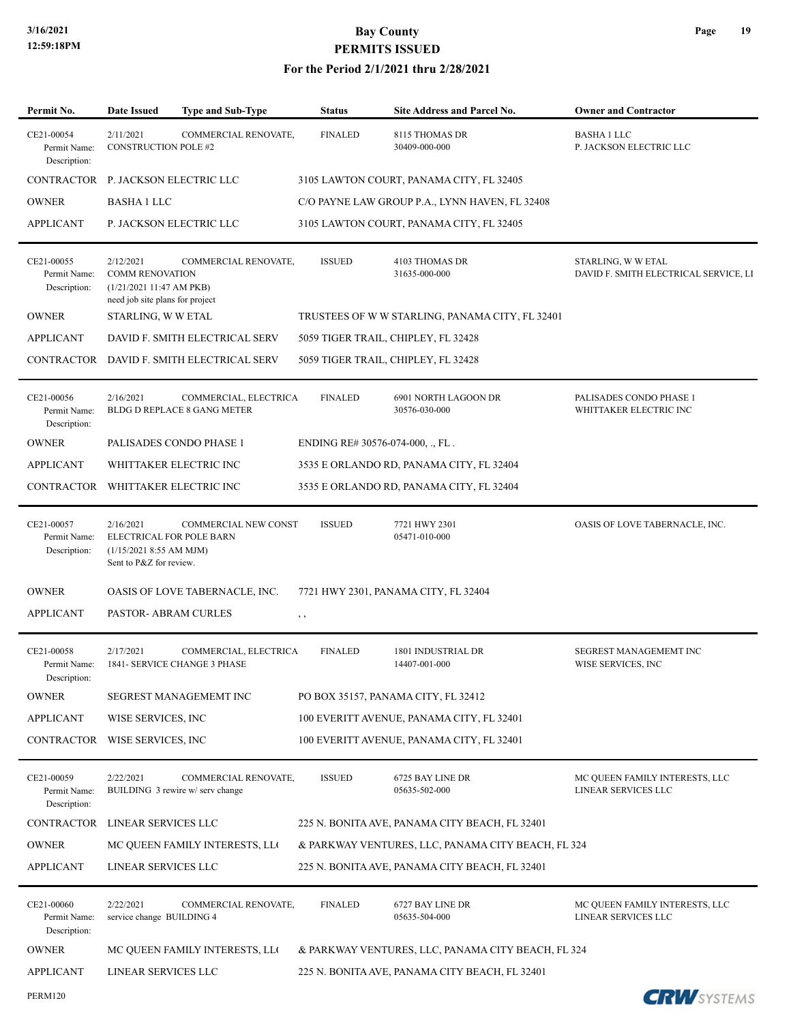| Permit No.                                 | <b>Date Issued</b>                                                                                | Type and Sub-Type                                        | <b>Status</b>                    | Site Address and Parcel No.                        | <b>Owner and Contractor</b>                                 |
|--------------------------------------------|---------------------------------------------------------------------------------------------------|----------------------------------------------------------|----------------------------------|----------------------------------------------------|-------------------------------------------------------------|
| CE21-00054<br>Permit Name:<br>Description: | 2/11/2021<br><b>CONSTRUCTION POLE #2</b>                                                          | COMMERCIAL RENOVATE,                                     | <b>FINALED</b>                   | 8115 THOMAS DR<br>30409-000-000                    | <b>BASHA 1 LLC</b><br>P. JACKSON ELECTRIC LLC               |
| CONTRACTOR                                 | P. JACKSON ELECTRIC LLC                                                                           |                                                          |                                  | 3105 LAWTON COURT, PANAMA CITY, FL 32405           |                                                             |
| <b>OWNER</b>                               | <b>BASHA 1 LLC</b>                                                                                |                                                          |                                  | C/O PAYNE LAW GROUP P.A., LYNN HAVEN, FL 32408     |                                                             |
| <b>APPLICANT</b>                           |                                                                                                   | P. JACKSON ELECTRIC LLC                                  |                                  | 3105 LAWTON COURT, PANAMA CITY, FL 32405           |                                                             |
| CE21-00055<br>Permit Name:<br>Description: | 2/12/2021<br><b>COMM RENOVATION</b><br>(1/21/202111:47 AM PKB)<br>need job site plans for project | COMMERCIAL RENOVATE,                                     | <b>ISSUED</b>                    | <b>4103 THOMAS DR</b><br>31635-000-000             | STARLING, W W ETAL<br>DAVID F. SMITH ELECTRICAL SERVICE, LI |
| <b>OWNER</b>                               | STARLING, W W ETAL                                                                                |                                                          |                                  | TRUSTEES OF WW STARLING, PANAMA CITY, FL 32401     |                                                             |
| <b>APPLICANT</b>                           |                                                                                                   | DAVID F. SMITH ELECTRICAL SERV                           |                                  | 5059 TIGER TRAIL, CHIPLEY, FL 32428                |                                                             |
| CONTRACTOR                                 |                                                                                                   | DAVID F. SMITH ELECTRICAL SERV                           |                                  | 5059 TIGER TRAIL, CHIPLEY, FL 32428                |                                                             |
| CE21-00056<br>Permit Name:<br>Description: | 2/16/2021                                                                                         | COMMERCIAL, ELECTRICA<br>BLDG D REPLACE 8 GANG METER     | <b>FINALED</b>                   | 6901 NORTH LAGOON DR<br>30576-030-000              | PALISADES CONDO PHASE 1<br>WHITTAKER ELECTRIC INC           |
| <b>OWNER</b>                               |                                                                                                   | PALISADES CONDO PHASE 1                                  | ENDING RE# 30576-074-000, ., FL. |                                                    |                                                             |
| <b>APPLICANT</b>                           |                                                                                                   | WHITTAKER ELECTRIC INC                                   |                                  | 3535 E ORLANDO RD, PANAMA CITY, FL 32404           |                                                             |
| CONTRACTOR                                 |                                                                                                   | WHITTAKER ELECTRIC INC                                   |                                  | 3535 E ORLANDO RD, PANAMA CITY, FL 32404           |                                                             |
| CE21-00057<br>Permit Name:<br>Description: | 2/16/2021<br>ELECTRICAL FOR POLE BARN<br>(1/15/2021 8:55 AM MJM)<br>Sent to P&Z for review.       | COMMERCIAL NEW CONST                                     | <b>ISSUED</b>                    | 7721 HWY 2301<br>05471-010-000                     | OASIS OF LOVE TABERNACLE, INC.                              |
| <b>OWNER</b>                               |                                                                                                   | OASIS OF LOVE TABERNACLE, INC.                           |                                  | 7721 HWY 2301, PANAMA CITY, FL 32404               |                                                             |
| <b>APPLICANT</b>                           | PASTOR- ABRAM CURLES                                                                              |                                                          | $, \, \cdot$                     |                                                    |                                                             |
| CE21-00058<br>Permit Name:<br>Description: | 2/17/2021                                                                                         | COMMERCIAL, ELECTRICA<br>1841- SERVICE CHANGE 3 PHASE    | <b>FINALED</b>                   | 1801 INDUSTRIAL DR<br>14407-001-000                | SEGREST MANAGEMEMT INC<br>WISE SERVICES, INC                |
| <b>OWNER</b>                               |                                                                                                   | SEGREST MANAGEMEMT INC                                   |                                  | PO BOX 35157, PANAMA CITY, FL 32412                |                                                             |
| <b>APPLICANT</b>                           | WISE SERVICES, INC                                                                                |                                                          |                                  | 100 EVERITT AVENUE, PANAMA CITY, FL 32401          |                                                             |
| CONTRACTOR                                 | WISE SERVICES, INC                                                                                |                                                          |                                  | 100 EVERITT AVENUE, PANAMA CITY, FL 32401          |                                                             |
| CE21-00059<br>Permit Name:<br>Description: | 2/22/2021                                                                                         | COMMERCIAL RENOVATE,<br>BUILDING 3 rewire w/ serv change | <b>ISSUED</b>                    | 6725 BAY LINE DR<br>05635-502-000                  | MC QUEEN FAMILY INTERESTS, LLC<br>LINEAR SERVICES LLC       |
| CONTRACTOR                                 | LINEAR SERVICES LLC                                                                               |                                                          |                                  | 225 N. BONITA AVE, PANAMA CITY BEACH, FL 32401     |                                                             |
| <b>OWNER</b>                               |                                                                                                   | MC QUEEN FAMILY INTERESTS, LLO                           |                                  | & PARKWAY VENTURES, LLC, PANAMA CITY BEACH, FL 324 |                                                             |
| APPLICANT                                  | LINEAR SERVICES LLC                                                                               |                                                          |                                  | 225 N. BONITA AVE, PANAMA CITY BEACH, FL 32401     |                                                             |
| CE21-00060<br>Permit Name:<br>Description: | 2/22/2021<br>service change BUILDING 4                                                            | COMMERCIAL RENOVATE,                                     | <b>FINALED</b>                   | 6727 BAY LINE DR<br>05635-504-000                  | MC QUEEN FAMILY INTERESTS, LLC<br>LINEAR SERVICES LLC       |
| <b>OWNER</b>                               |                                                                                                   | MC QUEEN FAMILY INTERESTS, LLO                           |                                  | & PARKWAY VENTURES, LLC, PANAMA CITY BEACH, FL 324 |                                                             |
| <b>APPLICANT</b>                           | LINEAR SERVICES LLC                                                                               |                                                          |                                  | 225 N. BONITA AVE, PANAMA CITY BEACH, FL 32401     |                                                             |
| <b>PERM120</b>                             |                                                                                                   |                                                          |                                  |                                                    | <b>CRW</b> SYSTEMS                                          |

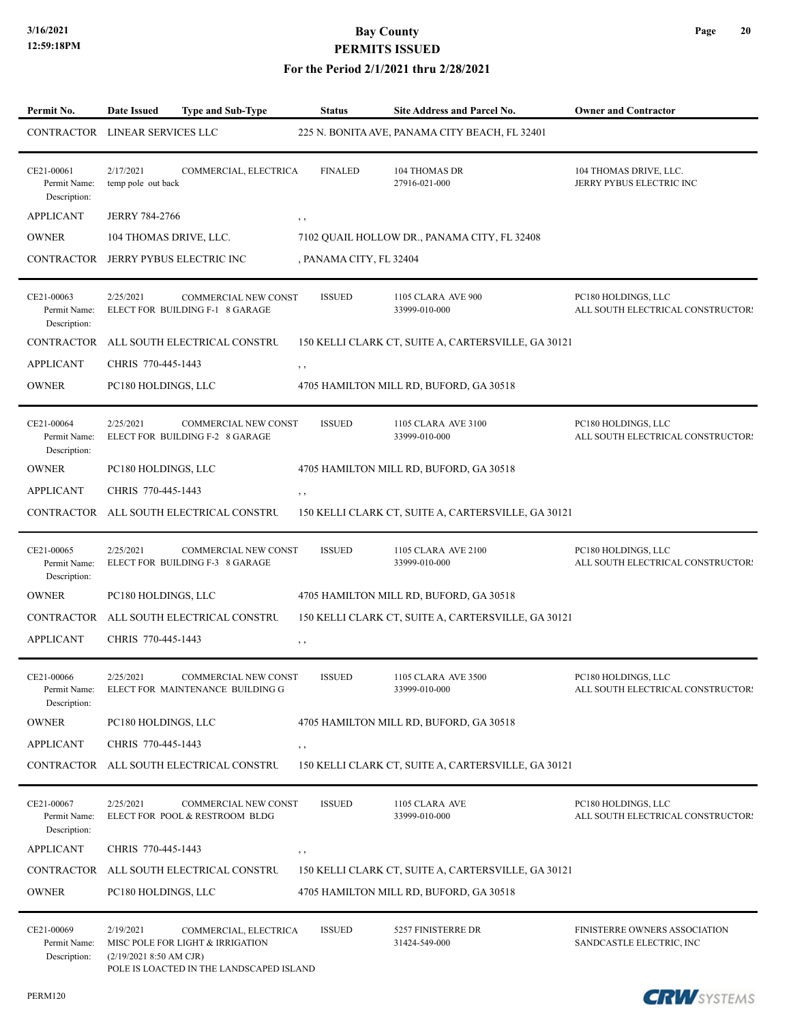#### **For the Period 2/1/2021 thru 2/28/2021**

| Permit No.                                 | Date Issued                            | <b>Type and Sub-Type</b>                                                                              | <b>Status</b>           | Site Address and Parcel No.                         | <b>Owner and Contractor</b>                               |
|--------------------------------------------|----------------------------------------|-------------------------------------------------------------------------------------------------------|-------------------------|-----------------------------------------------------|-----------------------------------------------------------|
| CONTRACTOR LINEAR SERVICES LLC             |                                        |                                                                                                       |                         | 225 N. BONITA AVE, PANAMA CITY BEACH, FL 32401      |                                                           |
| CE21-00061<br>Permit Name:<br>Description: | 2/17/2021<br>temp pole out back        | COMMERCIAL, ELECTRICA                                                                                 | <b>FINALED</b>          | <b>104 THOMAS DR</b><br>27916-021-000               | 104 THOMAS DRIVE, LLC.<br>JERRY PYBUS ELECTRIC INC        |
| <b>APPLICANT</b>                           | <b>JERRY 784-2766</b>                  |                                                                                                       | $, \, , \,$             |                                                     |                                                           |
| <b>OWNER</b>                               | 104 THOMAS DRIVE, LLC.                 |                                                                                                       |                         | 7102 QUAIL HOLLOW DR., PANAMA CITY, FL 32408        |                                                           |
|                                            |                                        | CONTRACTOR JERRY PYBUS ELECTRIC INC                                                                   | , PANAMA CITY, FL 32404 |                                                     |                                                           |
| CE21-00063<br>Permit Name:<br>Description: | 2/25/2021                              | <b>COMMERCIAL NEW CONST</b><br>ELECT FOR BUILDING F-1 8 GARAGE                                        | <b>ISSUED</b>           | 1105 CLARA AVE 900<br>33999-010-000                 | PC180 HOLDINGS, LLC<br>ALL SOUTH ELECTRICAL CONSTRUCTORS  |
| CONTRACTOR                                 |                                        | ALL SOUTH ELECTRICAL CONSTRU                                                                          |                         | 150 KELLI CLARK CT, SUITE A, CARTERSVILLE, GA 30121 |                                                           |
| <b>APPLICANT</b>                           | CHRIS 770-445-1443                     |                                                                                                       | $, \, , \,$             |                                                     |                                                           |
| <b>OWNER</b>                               | PC180 HOLDINGS, LLC                    |                                                                                                       |                         | 4705 HAMILTON MILL RD, BUFORD, GA 30518             |                                                           |
| CE21-00064<br>Permit Name:<br>Description: | 2/25/2021                              | COMMERCIAL NEW CONST<br>ELECT FOR BUILDING F-2 8 GARAGE                                               | <b>ISSUED</b>           | 1105 CLARA AVE 3100<br>33999-010-000                | PC180 HOLDINGS, LLC<br>ALL SOUTH ELECTRICAL CONSTRUCTORS  |
| <b>OWNER</b>                               | PC180 HOLDINGS, LLC                    |                                                                                                       |                         | 4705 HAMILTON MILL RD, BUFORD, GA 30518             |                                                           |
| <b>APPLICANT</b>                           | CHRIS 770-445-1443                     |                                                                                                       | $, \, \,$               |                                                     |                                                           |
|                                            |                                        | CONTRACTOR ALL SOUTH ELECTRICAL CONSTRU                                                               |                         | 150 KELLI CLARK CT, SUITE A, CARTERSVILLE, GA 30121 |                                                           |
| CE21-00065<br>Permit Name:<br>Description: | 2/25/2021                              | COMMERCIAL NEW CONST<br>ELECT FOR BUILDING F-3 8 GARAGE                                               | <b>ISSUED</b>           | 1105 CLARA AVE 2100<br>33999-010-000                | PC180 HOLDINGS, LLC<br>ALL SOUTH ELECTRICAL CONSTRUCTOR!  |
| <b>OWNER</b>                               | PC180 HOLDINGS, LLC                    |                                                                                                       |                         | 4705 HAMILTON MILL RD, BUFORD, GA 30518             |                                                           |
| CONTRACTOR                                 |                                        | ALL SOUTH ELECTRICAL CONSTRU                                                                          |                         | 150 KELLI CLARK CT, SUITE A, CARTERSVILLE, GA 30121 |                                                           |
| <b>APPLICANT</b>                           | CHRIS 770-445-1443                     |                                                                                                       | $, \, , \,$             |                                                     |                                                           |
| CE21-00066<br>Permit Name:<br>Description: | 2/25/2021                              | <b>COMMERCIAL NEW CONST</b><br>ELECT FOR MAINTENANCE BUILDING G                                       | <b>ISSUED</b>           | 1105 CLARA AVE 3500<br>33999-010-000                | PC180 HOLDINGS, LLC<br>ALL SOUTH ELECTRICAL CONSTRUCTORS  |
| <b>OWNER</b>                               | PC180 HOLDINGS, LLC                    |                                                                                                       |                         | 4705 HAMILTON MILL RD, BUFORD, GA 30518             |                                                           |
| <b>APPLICANT</b>                           | CHRIS 770-445-1443                     |                                                                                                       | , ,                     |                                                     |                                                           |
| CONTRACTOR                                 |                                        | ALL SOUTH ELECTRICAL CONSTRU                                                                          |                         | 150 KELLI CLARK CT, SUITE A, CARTERSVILLE, GA 30121 |                                                           |
| CE21-00067<br>Permit Name:<br>Description: | 2/25/2021                              | COMMERCIAL NEW CONST<br>ELECT FOR POOL & RESTROOM BLDG                                                | <b>ISSUED</b>           | 1105 CLARA AVE<br>33999-010-000                     | PC180 HOLDINGS, LLC<br>ALL SOUTH ELECTRICAL CONSTRUCTOR!  |
| <b>APPLICANT</b>                           | CHRIS 770-445-1443                     |                                                                                                       | $, \, , \,$             |                                                     |                                                           |
| <b>CONTRACTOR</b>                          |                                        | ALL SOUTH ELECTRICAL CONSTRU                                                                          |                         | 150 KELLI CLARK CT, SUITE A, CARTERSVILLE, GA 30121 |                                                           |
| <b>OWNER</b>                               | PC180 HOLDINGS, LLC                    |                                                                                                       |                         | 4705 HAMILTON MILL RD, BUFORD, GA 30518             |                                                           |
| CE21-00069<br>Permit Name:<br>Description: | 2/19/2021<br>$(2/19/2021 8:50$ AM CJR) | COMMERCIAL, ELECTRICA<br>MISC POLE FOR LIGHT & IRRIGATION<br>POLE IS LOACTED IN THE LANDSCAPED ISLAND | <b>ISSUED</b>           | 5257 FINISTERRE DR<br>31424-549-000                 | FINISTERRE OWNERS ASSOCIATION<br>SANDCASTLE ELECTRIC, INC |

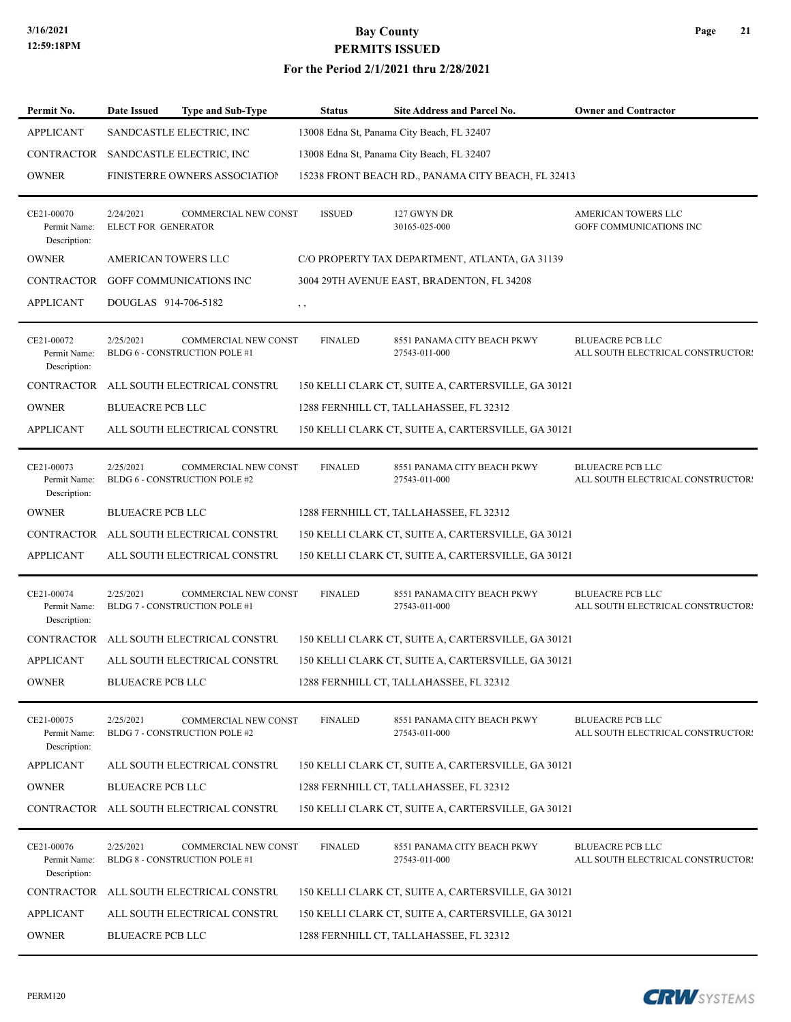#### **For the Period 2/1/2021 thru 2/28/2021**

| Permit No.                                 | Date Issued                                | <b>Type and Sub-Type</b>    | <b>Status</b>  | Site Address and Parcel No.                         | <b>Owner and Contractor</b>                                  |
|--------------------------------------------|--------------------------------------------|-----------------------------|----------------|-----------------------------------------------------|--------------------------------------------------------------|
| <b>APPLICANT</b>                           | SANDCASTLE ELECTRIC, INC                   |                             |                | 13008 Edna St, Panama City Beach, FL 32407          |                                                              |
|                                            | CONTRACTOR SANDCASTLE ELECTRIC, INC        |                             |                | 13008 Edna St, Panama City Beach, FL 32407          |                                                              |
| <b>OWNER</b>                               | <b>FINISTERRE OWNERS ASSOCIATION</b>       |                             |                | 15238 FRONT BEACH RD., PANAMA CITY BEACH, FL 32413  |                                                              |
| CE21-00070<br>Permit Name:<br>Description: | 2/24/2021<br>ELECT FOR GENERATOR           | COMMERCIAL NEW CONST        | <b>ISSUED</b>  | 127 GWYN DR<br>30165-025-000                        | AMERICAN TOWERS LLC<br>GOFF COMMUNICATIONS INC               |
| <b>OWNER</b>                               | AMERICAN TOWERS LLC                        |                             |                | C/O PROPERTY TAX DEPARTMENT, ATLANTA, GA 31139      |                                                              |
| CONTRACTOR                                 | GOFF COMMUNICATIONS INC                    |                             |                | 3004 29TH AVENUE EAST, BRADENTON, FL 34208          |                                                              |
| <b>APPLICANT</b>                           | DOUGLAS 914-706-5182                       |                             | $, \, , \,$    |                                                     |                                                              |
| CE21-00072<br>Permit Name:<br>Description: | 2/25/2021<br>BLDG 6 - CONSTRUCTION POLE #1 | COMMERCIAL NEW CONST        | <b>FINALED</b> | 8551 PANAMA CITY BEACH PKWY<br>27543-011-000        | <b>BLUEACRE PCB LLC</b><br>ALL SOUTH ELECTRICAL CONSTRUCTORS |
| CONTRACTOR                                 | ALL SOUTH ELECTRICAL CONSTRU               |                             |                | 150 KELLI CLARK CT, SUITE A, CARTERSVILLE, GA 30121 |                                                              |
| <b>OWNER</b>                               | <b>BLUEACRE PCB LLC</b>                    |                             |                | 1288 FERNHILL CT, TALLAHASSEE, FL 32312             |                                                              |
| <b>APPLICANT</b>                           | ALL SOUTH ELECTRICAL CONSTRU               |                             |                | 150 KELLI CLARK CT, SUITE A, CARTERSVILLE, GA 30121 |                                                              |
| CE21-00073<br>Permit Name:<br>Description: | 2/25/2021<br>BLDG 6 - CONSTRUCTION POLE #2 | COMMERCIAL NEW CONST        | <b>FINALED</b> | 8551 PANAMA CITY BEACH PKWY<br>27543-011-000        | <b>BLUEACRE PCB LLC</b><br>ALL SOUTH ELECTRICAL CONSTRUCTOR! |
| <b>OWNER</b>                               | <b>BLUEACRE PCB LLC</b>                    |                             |                | 1288 FERNHILL CT, TALLAHASSEE, FL 32312             |                                                              |
| CONTRACTOR                                 | ALL SOUTH ELECTRICAL CONSTRU               |                             |                | 150 KELLI CLARK CT, SUITE A, CARTERSVILLE, GA 30121 |                                                              |
| <b>APPLICANT</b>                           | ALL SOUTH ELECTRICAL CONSTRU               |                             |                | 150 KELLI CLARK CT, SUITE A, CARTERSVILLE, GA 30121 |                                                              |
| CE21-00074<br>Permit Name:<br>Description: | 2/25/2021<br>BLDG 7 - CONSTRUCTION POLE #1 | <b>COMMERCIAL NEW CONST</b> | <b>FINALED</b> | 8551 PANAMA CITY BEACH PKWY<br>27543-011-000        | <b>BLUEACRE PCB LLC</b><br>ALL SOUTH ELECTRICAL CONSTRUCTORS |
|                                            | CONTRACTOR ALL SOUTH ELECTRICAL CONSTRU    |                             |                | 150 KELLI CLARK CT, SUITE A, CARTERSVILLE, GA 30121 |                                                              |
| <b>APPLICANT</b>                           | ALL SOUTH ELECTRICAL CONSTRU               |                             |                | 150 KELLI CLARK CT, SUITE A, CARTERSVILLE, GA 30121 |                                                              |
| <b>OWNER</b>                               | <b>BLUEACRE PCB LLC</b>                    |                             |                | 1288 FERNHILL CT, TALLAHASSEE, FL 32312             |                                                              |
| CE21-00075<br>Permit Name:<br>Description: | 2/25/2021<br>BLDG 7 - CONSTRUCTION POLE #2 | COMMERCIAL NEW CONST        | <b>FINALED</b> | 8551 PANAMA CITY BEACH PKWY<br>27543-011-000        | <b>BLUEACRE PCB LLC</b><br>ALL SOUTH ELECTRICAL CONSTRUCTORS |
| <b>APPLICANT</b>                           | ALL SOUTH ELECTRICAL CONSTRU               |                             |                | 150 KELLI CLARK CT, SUITE A, CARTERSVILLE, GA 30121 |                                                              |
| <b>OWNER</b>                               | <b>BLUEACRE PCB LLC</b>                    |                             |                | 1288 FERNHILL CT, TALLAHASSEE, FL 32312             |                                                              |
|                                            | CONTRACTOR ALL SOUTH ELECTRICAL CONSTRU    |                             |                | 150 KELLI CLARK CT, SUITE A, CARTERSVILLE, GA 30121 |                                                              |
| CE21-00076<br>Permit Name:<br>Description: | 2/25/2021<br>BLDG 8 - CONSTRUCTION POLE #1 | COMMERCIAL NEW CONST        | <b>FINALED</b> | 8551 PANAMA CITY BEACH PKWY<br>27543-011-000        | <b>BLUEACRE PCB LLC</b><br>ALL SOUTH ELECTRICAL CONSTRUCTORS |
| CONTRACTOR                                 | ALL SOUTH ELECTRICAL CONSTRU               |                             |                | 150 KELLI CLARK CT, SUITE A, CARTERSVILLE, GA 30121 |                                                              |
| <b>APPLICANT</b>                           | ALL SOUTH ELECTRICAL CONSTRU               |                             |                | 150 KELLI CLARK CT, SUITE A, CARTERSVILLE, GA 30121 |                                                              |
| <b>OWNER</b>                               | <b>BLUEACRE PCB LLC</b>                    |                             |                | 1288 FERNHILL CT, TALLAHASSEE, FL 32312             |                                                              |

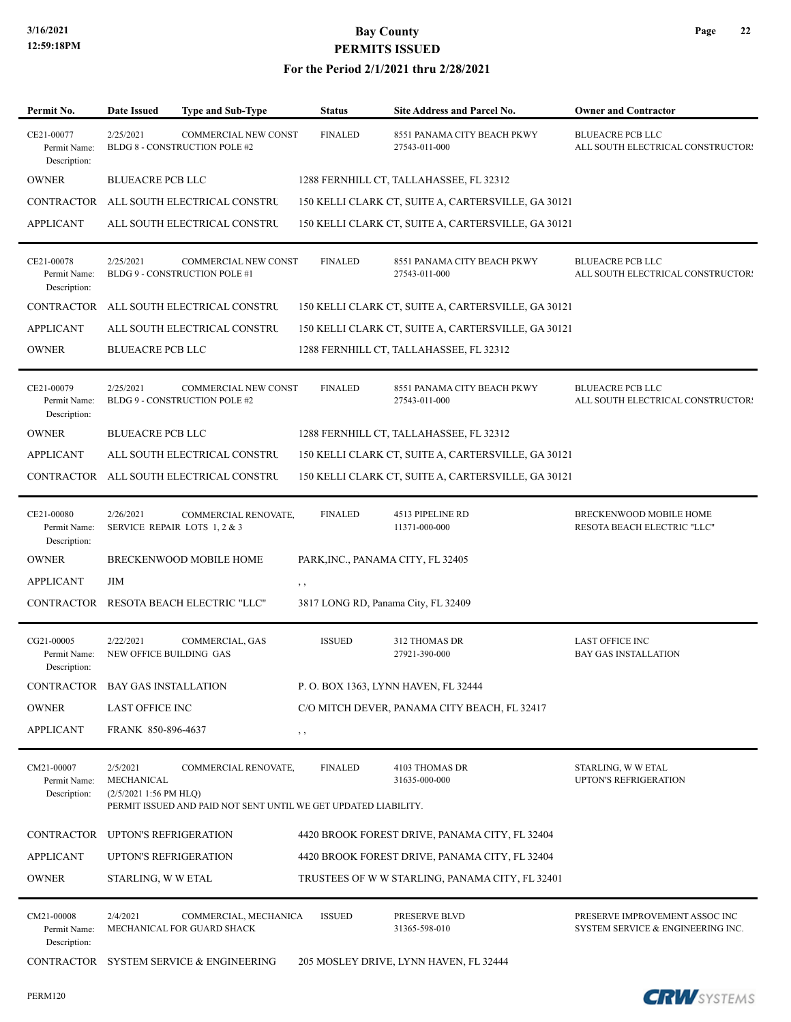#### **For the Period 2/1/2021 thru 2/28/2021**

| Permit No.                                 | <b>Date Issued</b>                                | <b>Type and Sub-Type</b>                                                                | <b>Status</b>                     | Site Address and Parcel No.                         | <b>Owner and Contractor</b>                                         |
|--------------------------------------------|---------------------------------------------------|-----------------------------------------------------------------------------------------|-----------------------------------|-----------------------------------------------------|---------------------------------------------------------------------|
| CE21-00077<br>Permit Name:<br>Description: | 2/25/2021                                         | COMMERCIAL NEW CONST<br>BLDG 8 - CONSTRUCTION POLE #2                                   | <b>FINALED</b>                    | 8551 PANAMA CITY BEACH PKWY<br>27543-011-000        | <b>BLUEACRE PCB LLC</b><br>ALL SOUTH ELECTRICAL CONSTRUCTORS        |
| <b>OWNER</b>                               | <b>BLUEACRE PCB LLC</b>                           |                                                                                         |                                   | 1288 FERNHILL CT, TALLAHASSEE, FL 32312             |                                                                     |
|                                            |                                                   | CONTRACTOR ALL SOUTH ELECTRICAL CONSTRU                                                 |                                   | 150 KELLI CLARK CT, SUITE A, CARTERSVILLE, GA 30121 |                                                                     |
| <b>APPLICANT</b>                           |                                                   | ALL SOUTH ELECTRICAL CONSTRU                                                            |                                   | 150 KELLI CLARK CT, SUITE A, CARTERSVILLE, GA 30121 |                                                                     |
| CE21-00078<br>Permit Name:<br>Description: | 2/25/2021                                         | COMMERCIAL NEW CONST<br>BLDG 9 - CONSTRUCTION POLE #1                                   | <b>FINALED</b>                    | 8551 PANAMA CITY BEACH PKWY<br>27543-011-000        | <b>BLUEACRE PCB LLC</b><br>ALL SOUTH ELECTRICAL CONSTRUCTORS        |
|                                            |                                                   | CONTRACTOR ALL SOUTH ELECTRICAL CONSTRU                                                 |                                   | 150 KELLI CLARK CT, SUITE A, CARTERSVILLE, GA 30121 |                                                                     |
| <b>APPLICANT</b>                           |                                                   | ALL SOUTH ELECTRICAL CONSTRU                                                            |                                   | 150 KELLI CLARK CT, SUITE A, CARTERSVILLE, GA 30121 |                                                                     |
| <b>OWNER</b>                               | <b>BLUEACRE PCB LLC</b>                           |                                                                                         |                                   | 1288 FERNHILL CT, TALLAHASSEE, FL 32312             |                                                                     |
| CE21-00079<br>Permit Name:<br>Description: | 2/25/2021                                         | <b>COMMERCIAL NEW CONST</b><br>BLDG 9 - CONSTRUCTION POLE #2                            | <b>FINALED</b>                    | 8551 PANAMA CITY BEACH PKWY<br>27543-011-000        | <b>BLUEACRE PCB LLC</b><br>ALL SOUTH ELECTRICAL CONSTRUCTORS        |
| <b>OWNER</b>                               | <b>BLUEACRE PCB LLC</b>                           |                                                                                         |                                   | 1288 FERNHILL CT, TALLAHASSEE, FL 32312             |                                                                     |
| <b>APPLICANT</b>                           |                                                   | ALL SOUTH ELECTRICAL CONSTRU                                                            |                                   | 150 KELLI CLARK CT, SUITE A, CARTERSVILLE, GA 30121 |                                                                     |
|                                            |                                                   | CONTRACTOR ALL SOUTH ELECTRICAL CONSTRU                                                 |                                   | 150 KELLI CLARK CT, SUITE A, CARTERSVILLE, GA 30121 |                                                                     |
| CE21-00080<br>Permit Name:<br>Description: | 2/26/2021                                         | COMMERCIAL RENOVATE,<br>SERVICE REPAIR LOTS 1, 2 & 3                                    | <b>FINALED</b>                    | 4513 PIPELINE RD<br>11371-000-000                   | BRECKENWOOD MOBILE HOME<br>RESOTA BEACH ELECTRIC "LLC"              |
| <b>OWNER</b>                               |                                                   | BRECKENWOOD MOBILE HOME                                                                 | PARK, INC., PANAMA CITY, FL 32405 |                                                     |                                                                     |
| <b>APPLICANT</b>                           | ЛM                                                |                                                                                         | , ,                               |                                                     |                                                                     |
|                                            |                                                   | CONTRACTOR RESOTA BEACH ELECTRIC "LLC"                                                  |                                   | 3817 LONG RD, Panama City, FL 32409                 |                                                                     |
| CG21-00005<br>Permit Name:<br>Description: | 2/22/2021<br>NEW OFFICE BUILDING GAS              | COMMERCIAL, GAS                                                                         | <b>ISSUED</b>                     | 312 THOMAS DR<br>27921-390-000                      | <b>LAST OFFICE INC</b><br><b>BAY GAS INSTALLATION</b>               |
| CONTRACTOR BAY GAS INSTALLATION            |                                                   |                                                                                         |                                   | P. O. BOX 1363, LYNN HAVEN, FL 32444                |                                                                     |
| <b>OWNER</b>                               | <b>LAST OFFICE INC</b>                            |                                                                                         |                                   | C/O MITCH DEVER, PANAMA CITY BEACH, FL 32417        |                                                                     |
| <b>APPLICANT</b>                           | FRANK 850-896-4637                                |                                                                                         | $, \, ,$                          |                                                     |                                                                     |
| CM21-00007<br>Permit Name:<br>Description: | 2/5/2021<br>MECHANICAL<br>$(2/5/20211:56$ PM HLQ) | COMMERCIAL RENOVATE,<br>PERMIT ISSUED AND PAID NOT SENT UNTIL WE GET UPDATED LIABILITY. | <b>FINALED</b>                    | 4103 THOMAS DR<br>31635-000-000                     | STARLING, W W ETAL<br><b>UPTON'S REFRIGERATION</b>                  |
| CONTRACTOR UPTON'S REFRIGERATION           |                                                   |                                                                                         |                                   | 4420 BROOK FOREST DRIVE, PANAMA CITY, FL 32404      |                                                                     |
| <b>APPLICANT</b>                           |                                                   | <b>UPTON'S REFRIGERATION</b>                                                            |                                   | 4420 BROOK FOREST DRIVE, PANAMA CITY, FL 32404      |                                                                     |
| <b>OWNER</b>                               | STARLING, W W ETAL                                |                                                                                         |                                   | TRUSTEES OF WW STARLING, PANAMA CITY, FL 32401      |                                                                     |
| CM21-00008<br>Permit Name:<br>Description: | 2/4/2021                                          | COMMERCIAL, MECHANICA<br>MECHANICAL FOR GUARD SHACK                                     | <b>ISSUED</b>                     | PRESERVE BLVD<br>31365-598-010                      | PRESERVE IMPROVEMENT ASSOC INC<br>SYSTEM SERVICE & ENGINEERING INC. |
| CONTRACTOR                                 |                                                   | SYSTEM SERVICE & ENGINEERING                                                            |                                   | 205 MOSLEY DRIVE, LYNN HAVEN, FL 32444              |                                                                     |

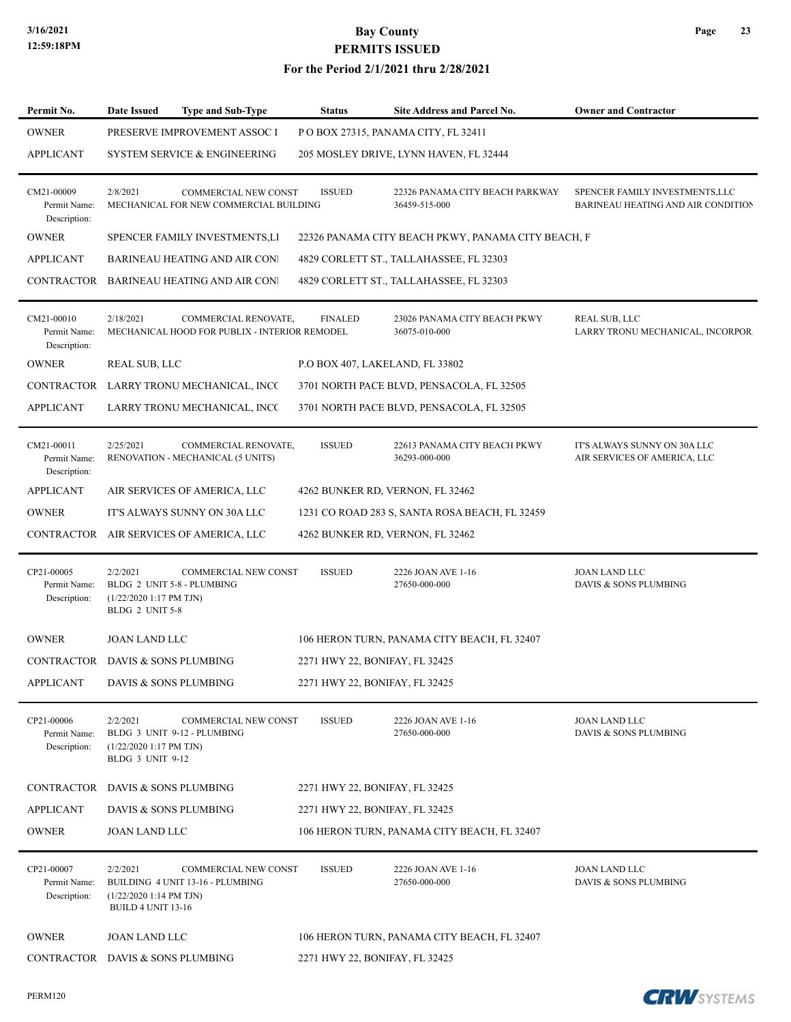#### **For the Period 2/1/2021 thru 2/28/2021**

| Permit No.                                 | Date Issued                                                       | <b>Type and Sub-Type</b>                                              | <b>Status</b>                  | Site Address and Parcel No.                        | <b>Owner and Contractor</b>                                           |
|--------------------------------------------|-------------------------------------------------------------------|-----------------------------------------------------------------------|--------------------------------|----------------------------------------------------|-----------------------------------------------------------------------|
| <b>OWNER</b>                               |                                                                   | PRESERVE IMPROVEMENT ASSOC I                                          |                                | POBOX 27315, PANAMA CITY, FL 32411                 |                                                                       |
| <b>APPLICANT</b>                           |                                                                   | <b>SYSTEM SERVICE &amp; ENGINEERING</b>                               |                                | 205 MOSLEY DRIVE, LYNN HAVEN, FL 32444             |                                                                       |
| CM21-00009<br>Permit Name:<br>Description: | 2/8/2021                                                          | <b>COMMERCIAL NEW CONST</b><br>MECHANICAL FOR NEW COMMERCIAL BUILDING | <b>ISSUED</b>                  | 22326 PANAMA CITY BEACH PARKWAY<br>36459-515-000   | SPENCER FAMILY INVESTMENTS, LLC<br>BARINEAU HEATING AND AIR CONDITION |
| <b>OWNER</b>                               |                                                                   | SPENCER FAMILY INVESTMENTS, LI                                        |                                | 22326 PANAMA CITY BEACH PKWY, PANAMA CITY BEACH, F |                                                                       |
| <b>APPLICANT</b>                           |                                                                   | <b>BARINEAU HEATING AND AIR CON!</b>                                  |                                | 4829 CORLETT ST., TALLAHASSEE, FL 32303            |                                                                       |
|                                            |                                                                   | CONTRACTOR BARINEAU HEATING AND AIR CON                               |                                | 4829 CORLETT ST., TALLAHASSEE, FL 32303            |                                                                       |
| CM21-00010<br>Permit Name:<br>Description: | 2/18/2021                                                         | COMMERCIAL RENOVATE,<br>MECHANICAL HOOD FOR PUBLIX - INTERIOR REMODEL | <b>FINALED</b>                 | 23026 PANAMA CITY BEACH PKWY<br>36075-010-000      | <b>REAL SUB, LLC</b><br>LARRY TRONU MECHANICAL, INCORPOR.             |
| <b>OWNER</b>                               | REAL SUB, LLC                                                     |                                                                       |                                | P.O BOX 407, LAKELAND, FL 33802                    |                                                                       |
|                                            |                                                                   | CONTRACTOR LARRY TRONU MECHANICAL, INCC                               |                                | 3701 NORTH PACE BLVD, PENSACOLA, FL 32505          |                                                                       |
| <b>APPLICANT</b>                           |                                                                   | LARRY TRONU MECHANICAL, INCC                                          |                                | 3701 NORTH PACE BLVD, PENSACOLA, FL 32505          |                                                                       |
| CM21-00011<br>Permit Name:<br>Description: | 2/25/2021                                                         | COMMERCIAL RENOVATE,<br>RENOVATION - MECHANICAL (5 UNITS)             | <b>ISSUED</b>                  | 22613 PANAMA CITY BEACH PKWY<br>36293-000-000      | IT'S ALWAYS SUNNY ON 30A LLC<br>AIR SERVICES OF AMERICA, LLC          |
| <b>APPLICANT</b>                           |                                                                   | AIR SERVICES OF AMERICA, LLC                                          |                                | 4262 BUNKER RD, VERNON, FL 32462                   |                                                                       |
| <b>OWNER</b>                               |                                                                   | IT'S ALWAYS SUNNY ON 30A LLC                                          |                                | 1231 CO ROAD 283 S, SANTA ROSA BEACH, FL 32459     |                                                                       |
|                                            |                                                                   | CONTRACTOR AIR SERVICES OF AMERICA, LLC                               |                                | 4262 BUNKER RD, VERNON, FL 32462                   |                                                                       |
| CP21-00005<br>Permit Name:<br>Description: | 2/2/2021<br>$(1/22/20201:17$ PM TJN)<br>BLDG 2 UNIT 5-8           | <b>COMMERCIAL NEW CONST</b><br>BLDG 2 UNIT 5-8 - PLUMBING             | <b>ISSUED</b>                  | 2226 JOAN AVE 1-16<br>27650-000-000                | <b>JOAN LAND LLC</b><br>DAVIS & SONS PLUMBING                         |
| <b>OWNER</b>                               | <b>JOAN LAND LLC</b>                                              |                                                                       |                                | 106 HERON TURN, PANAMA CITY BEACH, FL 32407        |                                                                       |
| CONTRACTOR DAVIS & SONS PLUMBING           |                                                                   |                                                                       | 2271 HWY 22, BONIFAY, FL 32425 |                                                    |                                                                       |
| APPLICANT                                  |                                                                   | DAVIS & SONS PLUMBING                                                 | 2271 HWY 22, BONIFAY, FL 32425 |                                                    |                                                                       |
| CP21-00006<br>Permit Name:<br>Description: | 2/2/2021<br>$(1/22/20201:17$ PM TJN)<br>BLDG 3 UNIT 9-12          | COMMERCIAL NEW CONST<br>BLDG 3 UNIT 9-12 - PLUMBING                   | <b>ISSUED</b>                  | 2226 JOAN AVE 1-16<br>27650-000-000                | JOAN LAND LLC<br>DAVIS & SONS PLUMBING                                |
| <b>CONTRACTOR</b>                          | DAVIS & SONS PLUMBING                                             |                                                                       | 2271 HWY 22, BONIFAY, FL 32425 |                                                    |                                                                       |
| <b>APPLICANT</b>                           |                                                                   | DAVIS & SONS PLUMBING                                                 | 2271 HWY 22, BONIFAY, FL 32425 |                                                    |                                                                       |
| <b>OWNER</b>                               | <b>JOAN LAND LLC</b>                                              |                                                                       |                                | 106 HERON TURN, PANAMA CITY BEACH, FL 32407        |                                                                       |
| CP21-00007<br>Permit Name:<br>Description: | 2/2/2021<br>$(1/22/20201:14$ PM TJN)<br><b>BUILD 4 UNIT 13-16</b> | COMMERCIAL NEW CONST<br>BUILDING 4 UNIT 13-16 - PLUMBING              | <b>ISSUED</b>                  | 2226 JOAN AVE 1-16<br>27650-000-000                | <b>JOAN LAND LLC</b><br>DAVIS & SONS PLUMBING                         |
| <b>OWNER</b>                               | <b>JOAN LAND LLC</b>                                              |                                                                       |                                | 106 HERON TURN, PANAMA CITY BEACH, FL 32407        |                                                                       |
| CONTRACTOR DAVIS & SONS PLUMBING           |                                                                   |                                                                       | 2271 HWY 22, BONIFAY, FL 32425 |                                                    |                                                                       |
|                                            |                                                                   |                                                                       |                                |                                                    |                                                                       |

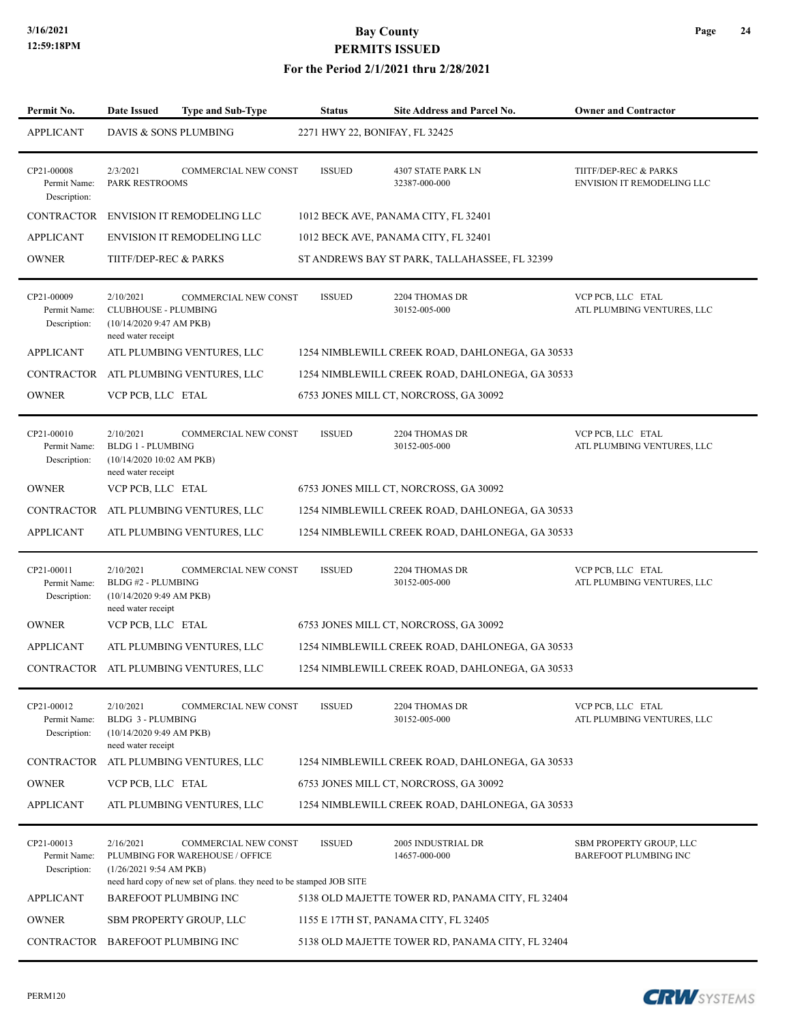| Permit No.                                 | <b>Date Issued</b>                                                                        | <b>Type and Sub-Type</b>                                                                                                               | <b>Status</b>                  | Site Address and Parcel No.                      | <b>Owner and Contractor</b>                         |
|--------------------------------------------|-------------------------------------------------------------------------------------------|----------------------------------------------------------------------------------------------------------------------------------------|--------------------------------|--------------------------------------------------|-----------------------------------------------------|
| <b>APPLICANT</b>                           | DAVIS & SONS PLUMBING                                                                     |                                                                                                                                        | 2271 HWY 22, BONIFAY, FL 32425 |                                                  |                                                     |
| CP21-00008<br>Permit Name:<br>Description: | 2/3/2021<br>PARK RESTROOMS                                                                | COMMERCIAL NEW CONST                                                                                                                   | <b>ISSUED</b>                  | 4307 STATE PARK LN<br>32387-000-000              | TIITF/DEP-REC & PARKS<br>ENVISION IT REMODELING LLC |
| CONTRACTOR                                 |                                                                                           | <b>ENVISION IT REMODELING LLC</b>                                                                                                      |                                | 1012 BECK AVE, PANAMA CITY, FL 32401             |                                                     |
| <b>APPLICANT</b>                           |                                                                                           | <b>ENVISION IT REMODELING LLC</b>                                                                                                      |                                | 1012 BECK AVE, PANAMA CITY, FL 32401             |                                                     |
| <b>OWNER</b>                               | TIITF/DEP-REC & PARKS                                                                     |                                                                                                                                        |                                | ST ANDREWS BAY ST PARK, TALLAHASSEE, FL 32399    |                                                     |
| CP21-00009<br>Permit Name:<br>Description: | 2/10/2021<br><b>CLUBHOUSE - PLUMBING</b><br>(10/14/20209:47 AM PKB)<br>need water receipt | COMMERCIAL NEW CONST                                                                                                                   | <b>ISSUED</b>                  | 2204 THOMAS DR<br>30152-005-000                  | VCP PCB, LLC ETAL<br>ATL PLUMBING VENTURES, LLC     |
| <b>APPLICANT</b>                           |                                                                                           | ATL PLUMBING VENTURES, LLC                                                                                                             |                                | 1254 NIMBLEWILL CREEK ROAD, DAHLONEGA, GA 30533  |                                                     |
| CONTRACTOR                                 |                                                                                           | ATL PLUMBING VENTURES, LLC                                                                                                             |                                | 1254 NIMBLEWILL CREEK ROAD, DAHLONEGA, GA 30533  |                                                     |
| <b>OWNER</b>                               | VCP PCB, LLC ETAL                                                                         |                                                                                                                                        |                                | 6753 JONES MILL CT, NORCROSS, GA 30092           |                                                     |
| CP21-00010<br>Permit Name:<br>Description: | 2/10/2021<br><b>BLDG 1 - PLUMBING</b><br>(10/14/2020 10:02 AM PKB)<br>need water receipt  | COMMERCIAL NEW CONST                                                                                                                   | <b>ISSUED</b>                  | 2204 THOMAS DR<br>30152-005-000                  | VCP PCB, LLC ETAL<br>ATL PLUMBING VENTURES, LLC     |
| <b>OWNER</b>                               | VCP PCB, LLC ETAL                                                                         |                                                                                                                                        |                                | 6753 JONES MILL CT, NORCROSS, GA 30092           |                                                     |
| CONTRACTOR                                 |                                                                                           | ATL PLUMBING VENTURES, LLC                                                                                                             |                                | 1254 NIMBLEWILL CREEK ROAD, DAHLONEGA, GA 30533  |                                                     |
| <b>APPLICANT</b>                           |                                                                                           | ATL PLUMBING VENTURES, LLC                                                                                                             |                                | 1254 NIMBLEWILL CREEK ROAD, DAHLONEGA, GA 30533  |                                                     |
| CP21-00011<br>Permit Name:<br>Description: | 2/10/2021<br>BLDG #2 - PLUMBING<br>(10/14/20209:49 AM PKB)<br>need water receipt          | COMMERCIAL NEW CONST                                                                                                                   | <b>ISSUED</b>                  | 2204 THOMAS DR<br>30152-005-000                  | VCP PCB, LLC ETAL<br>ATL PLUMBING VENTURES, LLC     |
| <b>OWNER</b>                               | VCP PCB, LLC ETAL                                                                         |                                                                                                                                        |                                | 6753 JONES MILL CT, NORCROSS, GA 30092           |                                                     |
| <b>APPLICANT</b>                           |                                                                                           | ATL PLUMBING VENTURES, LLC                                                                                                             |                                | 1254 NIMBLEWILL CREEK ROAD, DAHLONEGA, GA 30533  |                                                     |
|                                            |                                                                                           | CONTRACTOR ATL PLUMBING VENTURES, LLC                                                                                                  |                                | 1254 NIMBLEWILL CREEK ROAD, DAHLONEGA, GA 30533  |                                                     |
| CP21-00012<br>Permit Name:<br>Description: | 2/10/2021<br>BLDG 3 - PLUMBING<br>(10/14/20209:49 AM PKB)<br>need water receipt           | <b>COMMERCIAL NEW CONST</b>                                                                                                            | <b>ISSUED</b>                  | 2204 THOMAS DR<br>30152-005-000                  | VCP PCB, LLC ETAL<br>ATL PLUMBING VENTURES, LLC     |
| <b>CONTRACTOR</b>                          |                                                                                           | ATL PLUMBING VENTURES, LLC                                                                                                             |                                | 1254 NIMBLEWILL CREEK ROAD, DAHLONEGA, GA 30533  |                                                     |
| <b>OWNER</b>                               | VCP PCB, LLC ETAL                                                                         |                                                                                                                                        |                                | 6753 JONES MILL CT, NORCROSS, GA 30092           |                                                     |
| <b>APPLICANT</b>                           |                                                                                           | ATL PLUMBING VENTURES, LLC                                                                                                             |                                | 1254 NIMBLEWILL CREEK ROAD, DAHLONEGA, GA 30533  |                                                     |
| CP21-00013<br>Permit Name:<br>Description: | 2/16/2021<br>(1/26/20219:54 AM PKB)                                                       | <b>COMMERCIAL NEW CONST</b><br>PLUMBING FOR WAREHOUSE / OFFICE<br>need hard copy of new set of plans. they need to be stamped JOB SITE | <b>ISSUED</b>                  | 2005 INDUSTRIAL DR<br>14657-000-000              | SBM PROPERTY GROUP, LLC<br>BAREFOOT PLUMBING INC    |
| <b>APPLICANT</b>                           |                                                                                           | <b>BAREFOOT PLUMBING INC</b>                                                                                                           |                                | 5138 OLD MAJETTE TOWER RD, PANAMA CITY, FL 32404 |                                                     |
| <b>OWNER</b>                               |                                                                                           | <b>SBM PROPERTY GROUP, LLC</b>                                                                                                         |                                | 1155 E 17TH ST, PANAMA CITY, FL 32405            |                                                     |
| CONTRACTOR BAREFOOT PLUMBING INC           |                                                                                           |                                                                                                                                        |                                | 5138 OLD MAJETTE TOWER RD, PANAMA CITY, FL 32404 |                                                     |

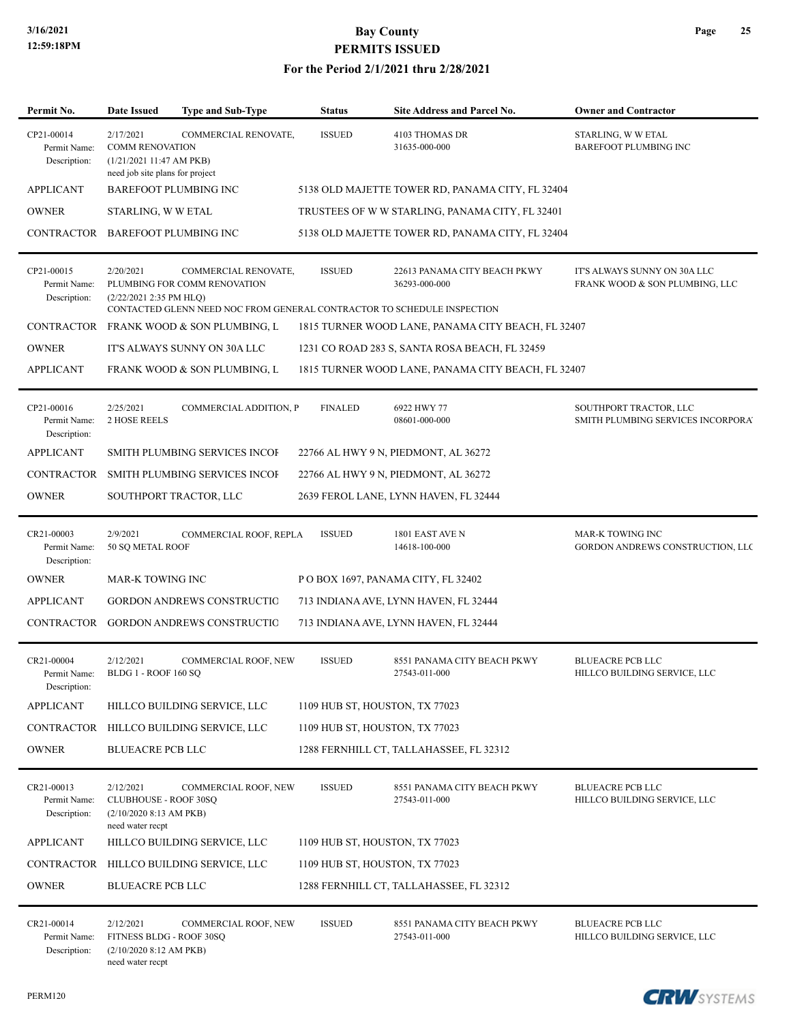| Permit No.                                 | <b>Date Issued</b>                                                                                | <b>Type and Sub-Type</b>                                                                                                        | <b>Status</b>                  | <b>Site Address and Parcel No.</b>                 | <b>Owner and Contractor</b>                                    |
|--------------------------------------------|---------------------------------------------------------------------------------------------------|---------------------------------------------------------------------------------------------------------------------------------|--------------------------------|----------------------------------------------------|----------------------------------------------------------------|
| CP21-00014<br>Permit Name:<br>Description: | 2/17/2021<br><b>COMM RENOVATION</b><br>(1/21/202111:47 AM PKB)<br>need job site plans for project | COMMERCIAL RENOVATE,                                                                                                            | <b>ISSUED</b>                  | 4103 THOMAS DR<br>31635-000-000                    | STARLING, W W ETAL<br><b>BAREFOOT PLUMBING INC</b>             |
| <b>APPLICANT</b>                           |                                                                                                   | <b>BAREFOOT PLUMBING INC</b>                                                                                                    |                                | 5138 OLD MAJETTE TOWER RD, PANAMA CITY, FL 32404   |                                                                |
| <b>OWNER</b>                               | STARLING, W W ETAL                                                                                |                                                                                                                                 |                                | TRUSTEES OF WW STARLING, PANAMA CITY, FL 32401     |                                                                |
| CONTRACTOR BAREFOOT PLUMBING INC           |                                                                                                   |                                                                                                                                 |                                | 5138 OLD MAJETTE TOWER RD, PANAMA CITY, FL 32404   |                                                                |
| CP21-00015<br>Permit Name:<br>Description: | 2/20/2021<br>(2/22/2021 2:35 PM HLQ)                                                              | COMMERCIAL RENOVATE,<br>PLUMBING FOR COMM RENOVATION<br>CONTACTED GLENN NEED NOC FROM GENERAL CONTRACTOR TO SCHEDULE INSPECTION | <b>ISSUED</b>                  | 22613 PANAMA CITY BEACH PKWY<br>36293-000-000      | IT'S ALWAYS SUNNY ON 30A LLC<br>FRANK WOOD & SON PLUMBING, LLC |
|                                            |                                                                                                   | CONTRACTOR FRANK WOOD & SON PLUMBING, L                                                                                         |                                | 1815 TURNER WOOD LANE, PANAMA CITY BEACH, FL 32407 |                                                                |
| <b>OWNER</b>                               |                                                                                                   | IT'S ALWAYS SUNNY ON 30A LLC                                                                                                    |                                | 1231 CO ROAD 283 S, SANTA ROSA BEACH, FL 32459     |                                                                |
| <b>APPLICANT</b>                           |                                                                                                   | FRANK WOOD & SON PLUMBING, L                                                                                                    |                                | 1815 TURNER WOOD LANE, PANAMA CITY BEACH, FL 32407 |                                                                |
| CP21-00016<br>Permit Name:<br>Description: | 2/25/2021<br><b>2 HOSE REELS</b>                                                                  | COMMERCIAL ADDITION, P                                                                                                          | <b>FINALED</b>                 | 6922 HWY 77<br>08601-000-000                       | SOUTHPORT TRACTOR, LLC<br>SMITH PLUMBING SERVICES INCORPORA'   |
| <b>APPLICANT</b>                           |                                                                                                   | SMITH PLUMBING SERVICES INCOF                                                                                                   |                                | 22766 AL HWY 9 N, PIEDMONT, AL 36272               |                                                                |
|                                            |                                                                                                   | CONTRACTOR SMITH PLUMBING SERVICES INCOI                                                                                        |                                | 22766 AL HWY 9 N, PIEDMONT, AL 36272               |                                                                |
| <b>OWNER</b>                               |                                                                                                   | SOUTHPORT TRACTOR, LLC                                                                                                          |                                | 2639 FEROL LANE, LYNN HAVEN, FL 32444              |                                                                |
| CR21-00003<br>Permit Name:<br>Description: | 2/9/2021<br>50 SQ METAL ROOF                                                                      | COMMERCIAL ROOF, REPLA                                                                                                          | <b>ISSUED</b>                  | 1801 EAST AVE N<br>14618-100-000                   | <b>MAR-K TOWING INC</b><br>GORDON ANDREWS CONSTRUCTION, LLC    |
| <b>OWNER</b>                               | MAR-K TOWING INC                                                                                  |                                                                                                                                 |                                | POBOX 1697, PANAMA CITY, FL 32402                  |                                                                |
| <b>APPLICANT</b>                           |                                                                                                   | <b>GORDON ANDREWS CONSTRUCTIC</b>                                                                                               |                                | 713 INDIANA AVE, LYNN HAVEN, FL 32444              |                                                                |
|                                            |                                                                                                   | CONTRACTOR GORDON ANDREWS CONSTRUCTIC                                                                                           |                                | 713 INDIANA AVE, LYNN HAVEN, FL 32444              |                                                                |
| CR21-00004<br>Permit Name:<br>Description: | 2/12/2021<br><b>BLDG 1 - ROOF 160 SO</b>                                                          | COMMERCIAL ROOF, NEW                                                                                                            | <b>ISSUED</b>                  | 8551 PANAMA CITY BEACH PKWY<br>27543-011-000       | <b>BLUEACRE PCB LLC</b><br>HILLCO BUILDING SERVICE, LLC        |
| <b>APPLICANT</b>                           |                                                                                                   | HILLCO BUILDING SERVICE, LLC                                                                                                    | 1109 HUB ST, HOUSTON, TX 77023 |                                                    |                                                                |
| CONTRACTOR                                 |                                                                                                   | HILLCO BUILDING SERVICE, LLC                                                                                                    | 1109 HUB ST, HOUSTON, TX 77023 |                                                    |                                                                |
| <b>OWNER</b>                               | <b>BLUEACRE PCB LLC</b>                                                                           |                                                                                                                                 |                                | 1288 FERNHILL CT, TALLAHASSEE, FL 32312            |                                                                |
| CR21-00013<br>Permit Name:<br>Description: | 2/12/2021<br><b>CLUBHOUSE - ROOF 30SQ</b><br>$(2/10/2020 8:13$ AM PKB)<br>need water recpt        | COMMERCIAL ROOF, NEW                                                                                                            | <b>ISSUED</b>                  | 8551 PANAMA CITY BEACH PKWY<br>27543-011-000       | <b>BLUEACRE PCB LLC</b><br>HILLCO BUILDING SERVICE, LLC        |
| <b>APPLICANT</b>                           |                                                                                                   | HILLCO BUILDING SERVICE, LLC                                                                                                    | 1109 HUB ST, HOUSTON, TX 77023 |                                                    |                                                                |
|                                            |                                                                                                   | CONTRACTOR HILLCO BUILDING SERVICE, LLC                                                                                         | 1109 HUB ST, HOUSTON, TX 77023 |                                                    |                                                                |
| <b>OWNER</b>                               | <b>BLUEACRE PCB LLC</b>                                                                           |                                                                                                                                 |                                | 1288 FERNHILL CT, TALLAHASSEE, FL 32312            |                                                                |
| CR21-00014<br>Permit Name:<br>Description: | 2/12/2021<br>FITNESS BLDG - ROOF 30SQ<br>$(2/10/2020 8:12$ AM PKB)<br>need water recpt            | COMMERCIAL ROOF, NEW                                                                                                            | <b>ISSUED</b>                  | 8551 PANAMA CITY BEACH PKWY<br>27543-011-000       | <b>BLUEACRE PCB LLC</b><br>HILLCO BUILDING SERVICE, LLC        |

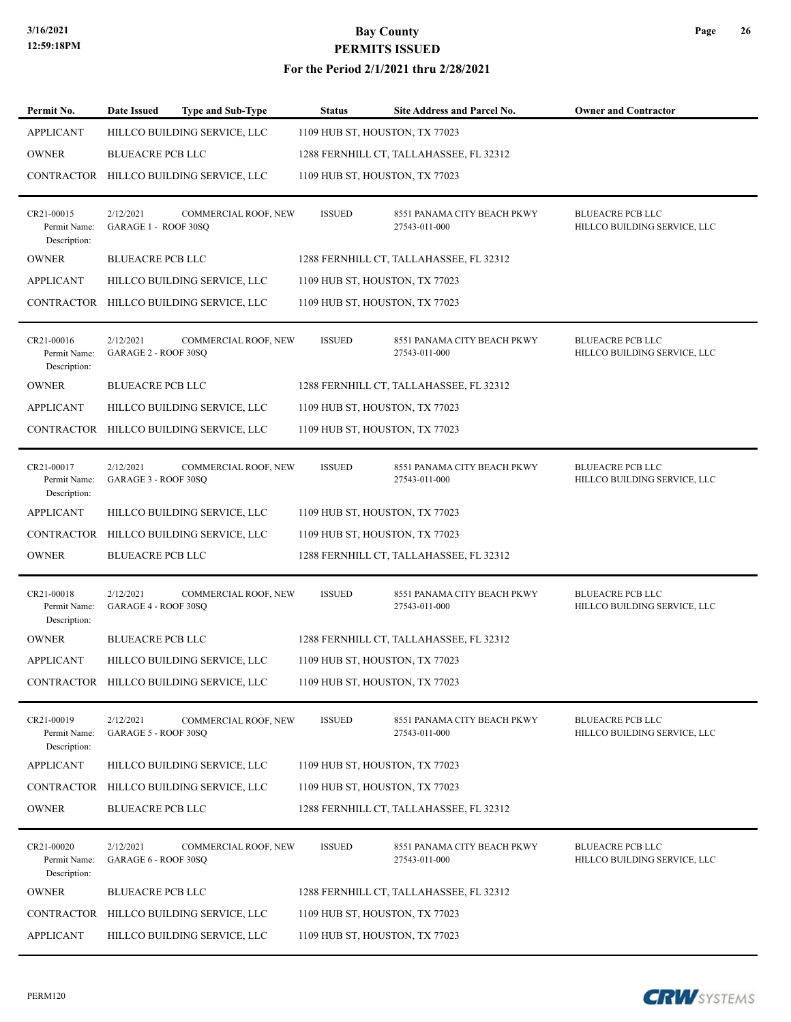#### **For the Period 2/1/2021 thru 2/28/2021**

| Permit No.                                 | <b>Date Issued</b>                | <b>Type and Sub-Type</b>                | <b>Status</b> | Site Address and Parcel No.                  | <b>Owner and Contractor</b>                             |
|--------------------------------------------|-----------------------------------|-----------------------------------------|---------------|----------------------------------------------|---------------------------------------------------------|
| <b>APPLICANT</b>                           |                                   | HILLCO BUILDING SERVICE, LLC            |               | 1109 HUB ST, HOUSTON, TX 77023               |                                                         |
| <b>OWNER</b>                               | <b>BLUEACRE PCB LLC</b>           |                                         |               | 1288 FERNHILL CT, TALLAHASSEE, FL 32312      |                                                         |
|                                            |                                   | CONTRACTOR HILLCO BUILDING SERVICE, LLC |               | 1109 HUB ST, HOUSTON, TX 77023               |                                                         |
|                                            |                                   |                                         |               |                                              |                                                         |
| CR21-00015<br>Permit Name:<br>Description: | 2/12/2021<br>GARAGE 1 - ROOF 30SQ | COMMERCIAL ROOF, NEW                    | <b>ISSUED</b> | 8551 PANAMA CITY BEACH PKWY<br>27543-011-000 | <b>BLUEACRE PCB LLC</b><br>HILLCO BUILDING SERVICE, LLC |
| <b>OWNER</b>                               | <b>BLUEACRE PCB LLC</b>           |                                         |               | 1288 FERNHILL CT, TALLAHASSEE, FL 32312      |                                                         |
| <b>APPLICANT</b>                           |                                   | HILLCO BUILDING SERVICE, LLC            |               | 1109 HUB ST, HOUSTON, TX 77023               |                                                         |
|                                            |                                   | CONTRACTOR HILLCO BUILDING SERVICE, LLC |               | 1109 HUB ST, HOUSTON, TX 77023               |                                                         |
| CR21-00016<br>Permit Name:<br>Description: | 2/12/2021<br>GARAGE 2 - ROOF 30SO | COMMERCIAL ROOF, NEW                    | <b>ISSUED</b> | 8551 PANAMA CITY BEACH PKWY<br>27543-011-000 | <b>BLUEACRE PCB LLC</b><br>HILLCO BUILDING SERVICE, LLC |
| <b>OWNER</b>                               | <b>BLUEACRE PCB LLC</b>           |                                         |               | 1288 FERNHILL CT, TALLAHASSEE, FL 32312      |                                                         |
| <b>APPLICANT</b>                           |                                   | HILLCO BUILDING SERVICE, LLC            |               | 1109 HUB ST, HOUSTON, TX 77023               |                                                         |
|                                            |                                   | CONTRACTOR HILLCO BUILDING SERVICE, LLC |               | 1109 HUB ST, HOUSTON, TX 77023               |                                                         |
| CR21-00017<br>Permit Name:<br>Description: | 2/12/2021<br>GARAGE 3 - ROOF 30SQ | COMMERCIAL ROOF, NEW                    | <b>ISSUED</b> | 8551 PANAMA CITY BEACH PKWY<br>27543-011-000 | <b>BLUEACRE PCB LLC</b><br>HILLCO BUILDING SERVICE, LLC |
| <b>APPLICANT</b>                           |                                   | HILLCO BUILDING SERVICE, LLC            |               | 1109 HUB ST, HOUSTON, TX 77023               |                                                         |
|                                            |                                   | CONTRACTOR HILLCO BUILDING SERVICE, LLC |               | 1109 HUB ST, HOUSTON, TX 77023               |                                                         |
| <b>OWNER</b>                               | <b>BLUEACRE PCB LLC</b>           |                                         |               | 1288 FERNHILL CT, TALLAHASSEE, FL 32312      |                                                         |
|                                            |                                   |                                         |               |                                              |                                                         |
| CR21-00018<br>Permit Name:<br>Description: | 2/12/2021<br>GARAGE 4 - ROOF 30SQ | COMMERCIAL ROOF, NEW                    | <b>ISSUED</b> | 8551 PANAMA CITY BEACH PKWY<br>27543-011-000 | <b>BLUEACRE PCB LLC</b><br>HILLCO BUILDING SERVICE, LLC |
| <b>OWNER</b>                               | <b>BLUEACRE PCB LLC</b>           |                                         |               | 1288 FERNHILL CT, TALLAHASSEE, FL 32312      |                                                         |
| <b>APPLICANT</b>                           |                                   | HILLCO BUILDING SERVICE, LLC            |               | 1109 HUB ST, HOUSTON, TX 77023               |                                                         |
|                                            |                                   | CONTRACTOR HILLCO BUILDING SERVICE, LLC |               | 1109 HUB ST, HOUSTON, TX 77023               |                                                         |
| CR21-00019<br>Permit Name:<br>Description: | 2/12/2021<br>GARAGE 5 - ROOF 30SQ | COMMERCIAL ROOF, NEW                    | <b>ISSUED</b> | 8551 PANAMA CITY BEACH PKWY<br>27543-011-000 | <b>BLUEACRE PCB LLC</b><br>HILLCO BUILDING SERVICE, LLC |
| <b>APPLICANT</b>                           |                                   | HILLCO BUILDING SERVICE, LLC            |               | 1109 HUB ST, HOUSTON, TX 77023               |                                                         |
| <b>CONTRACTOR</b>                          |                                   | HILLCO BUILDING SERVICE, LLC            |               | 1109 HUB ST, HOUSTON, TX 77023               |                                                         |
| <b>OWNER</b>                               | <b>BLUEACRE PCB LLC</b>           |                                         |               | 1288 FERNHILL CT, TALLAHASSEE, FL 32312      |                                                         |
|                                            |                                   |                                         |               |                                              |                                                         |
| CR21-00020<br>Permit Name:<br>Description: | 2/12/2021<br>GARAGE 6 - ROOF 30SQ | COMMERCIAL ROOF, NEW                    | <b>ISSUED</b> | 8551 PANAMA CITY BEACH PKWY<br>27543-011-000 | <b>BLUEACRE PCB LLC</b><br>HILLCO BUILDING SERVICE, LLC |
| <b>OWNER</b>                               | <b>BLUEACRE PCB LLC</b>           |                                         |               | 1288 FERNHILL CT, TALLAHASSEE, FL 32312      |                                                         |
|                                            |                                   | CONTRACTOR HILLCO BUILDING SERVICE, LLC |               | 1109 HUB ST, HOUSTON, TX 77023               |                                                         |
| <b>APPLICANT</b>                           |                                   | HILLCO BUILDING SERVICE, LLC            |               | 1109 HUB ST, HOUSTON, TX 77023               |                                                         |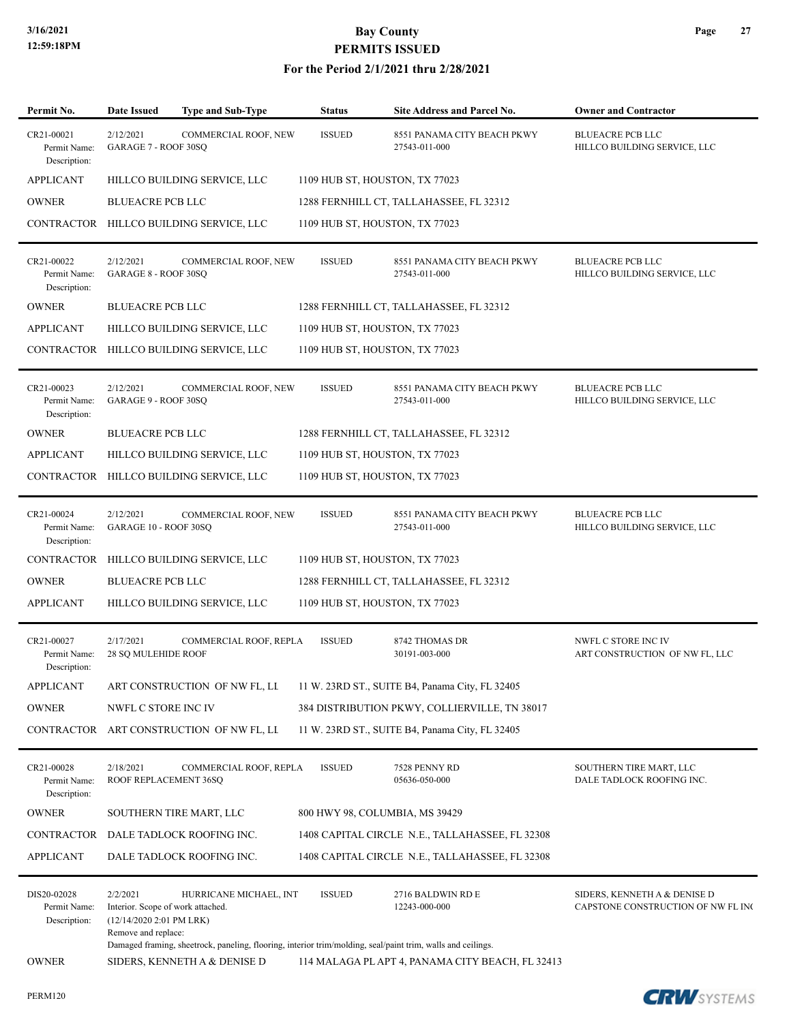| Permit No.                                  | <b>Date Issued</b>                                                                               | Type and Sub-Type                                                                                                                     | <b>Status</b>                  | Site Address and Parcel No.                      | <b>Owner and Contractor</b>                                        |
|---------------------------------------------|--------------------------------------------------------------------------------------------------|---------------------------------------------------------------------------------------------------------------------------------------|--------------------------------|--------------------------------------------------|--------------------------------------------------------------------|
| CR21-00021<br>Permit Name:<br>Description:  | 2/12/2021<br>GARAGE 7 - ROOF 30SQ                                                                | COMMERCIAL ROOF, NEW                                                                                                                  | <b>ISSUED</b>                  | 8551 PANAMA CITY BEACH PKWY<br>27543-011-000     | <b>BLUEACRE PCB LLC</b><br>HILLCO BUILDING SERVICE, LLC            |
| <b>APPLICANT</b>                            |                                                                                                  | HILLCO BUILDING SERVICE, LLC                                                                                                          | 1109 HUB ST, HOUSTON, TX 77023 |                                                  |                                                                    |
| <b>OWNER</b>                                | <b>BLUEACRE PCB LLC</b>                                                                          |                                                                                                                                       |                                | 1288 FERNHILL CT, TALLAHASSEE, FL 32312          |                                                                    |
|                                             |                                                                                                  | CONTRACTOR HILLCO BUILDING SERVICE, LLC                                                                                               | 1109 HUB ST, HOUSTON, TX 77023 |                                                  |                                                                    |
| CR21-00022<br>Permit Name:<br>Description:  | 2/12/2021<br>GARAGE 8 - ROOF 30SQ                                                                | COMMERCIAL ROOF, NEW                                                                                                                  | <b>ISSUED</b>                  | 8551 PANAMA CITY BEACH PKWY<br>27543-011-000     | <b>BLUEACRE PCB LLC</b><br>HILLCO BUILDING SERVICE, LLC            |
| <b>OWNER</b>                                | <b>BLUEACRE PCB LLC</b>                                                                          |                                                                                                                                       |                                | 1288 FERNHILL CT, TALLAHASSEE, FL 32312          |                                                                    |
| <b>APPLICANT</b>                            |                                                                                                  | HILLCO BUILDING SERVICE, LLC                                                                                                          | 1109 HUB ST, HOUSTON, TX 77023 |                                                  |                                                                    |
| CONTRACTOR                                  |                                                                                                  | HILLCO BUILDING SERVICE, LLC                                                                                                          | 1109 HUB ST, HOUSTON, TX 77023 |                                                  |                                                                    |
| CR21-00023<br>Permit Name:<br>Description:  | 2/12/2021<br>GARAGE 9 - ROOF 30SQ                                                                | COMMERCIAL ROOF, NEW                                                                                                                  | <b>ISSUED</b>                  | 8551 PANAMA CITY BEACH PKWY<br>27543-011-000     | <b>BLUEACRE PCB LLC</b><br>HILLCO BUILDING SERVICE, LLC            |
| <b>OWNER</b>                                | <b>BLUEACRE PCB LLC</b>                                                                          |                                                                                                                                       |                                | 1288 FERNHILL CT, TALLAHASSEE, FL 32312          |                                                                    |
| <b>APPLICANT</b>                            |                                                                                                  | HILLCO BUILDING SERVICE, LLC                                                                                                          | 1109 HUB ST, HOUSTON, TX 77023 |                                                  |                                                                    |
| CONTRACTOR                                  |                                                                                                  | HILLCO BUILDING SERVICE, LLC                                                                                                          | 1109 HUB ST, HOUSTON, TX 77023 |                                                  |                                                                    |
| CR21-00024<br>Permit Name:<br>Description:  | 2/12/2021<br>GARAGE 10 - ROOF 30SQ                                                               | COMMERCIAL ROOF, NEW                                                                                                                  | <b>ISSUED</b>                  | 8551 PANAMA CITY BEACH PKWY<br>27543-011-000     | <b>BLUEACRE PCB LLC</b><br>HILLCO BUILDING SERVICE, LLC            |
| <b>CONTRACTOR</b>                           |                                                                                                  | HILLCO BUILDING SERVICE, LLC                                                                                                          | 1109 HUB ST, HOUSTON, TX 77023 |                                                  |                                                                    |
| <b>OWNER</b>                                | <b>BLUEACRE PCB LLC</b>                                                                          |                                                                                                                                       |                                | 1288 FERNHILL CT, TALLAHASSEE, FL 32312          |                                                                    |
| <b>APPLICANT</b>                            |                                                                                                  | HILLCO BUILDING SERVICE, LLC                                                                                                          | 1109 HUB ST, HOUSTON, TX 77023 |                                                  |                                                                    |
| CR21-00027<br>Permit Name:<br>Description:  | 2/17/2021<br><b>28 SQ MULEHIDE ROOF</b>                                                          | COMMERCIAL ROOF, REPLA                                                                                                                | <b>ISSUED</b>                  | 8742 THOMAS DR<br>30191-003-000                  | NWFL C STORE INC IV<br>ART CONSTRUCTION OF NW FL, LLC              |
| <b>APPLICANT</b>                            |                                                                                                  | ART CONSTRUCTION OF NW FL, LI                                                                                                         |                                | 11 W. 23RD ST., SUITE B4, Panama City, FL 32405  |                                                                    |
| <b>OWNER</b>                                | NWFL C STORE INC IV                                                                              |                                                                                                                                       |                                | 384 DISTRIBUTION PKWY, COLLIERVILLE, TN 38017    |                                                                    |
| CONTRACTOR                                  |                                                                                                  | ART CONSTRUCTION OF NW FL, LI                                                                                                         |                                | 11 W. 23RD ST., SUITE B4, Panama City, FL 32405  |                                                                    |
| CR21-00028<br>Permit Name:<br>Description:  | 2/18/2021<br>ROOF REPLACEMENT 36SQ                                                               | COMMERCIAL ROOF, REPLA                                                                                                                | <b>ISSUED</b>                  | 7528 PENNY RD<br>05636-050-000                   | SOUTHERN TIRE MART, LLC<br>DALE TADLOCK ROOFING INC.               |
| <b>OWNER</b>                                |                                                                                                  | SOUTHERN TIRE MART, LLC                                                                                                               | 800 HWY 98, COLUMBIA, MS 39429 |                                                  |                                                                    |
| <b>CONTRACTOR</b>                           |                                                                                                  | DALE TADLOCK ROOFING INC.                                                                                                             |                                | 1408 CAPITAL CIRCLE N.E., TALLAHASSEE, FL 32308  |                                                                    |
| <b>APPLICANT</b>                            |                                                                                                  | DALE TADLOCK ROOFING INC.                                                                                                             |                                | 1408 CAPITAL CIRCLE N.E., TALLAHASSEE, FL 32308  |                                                                    |
| DIS20-02028<br>Permit Name:<br>Description: | 2/2/2021<br>Interior. Scope of work attached.<br>(12/14/2020 2:01 PM LRK)<br>Remove and replace: | HURRICANE MICHAEL, INT<br>Damaged framing, sheetrock, paneling, flooring, interior trim/molding, seal/paint trim, walls and ceilings. | <b>ISSUED</b>                  | 2716 BALDWIN RD E<br>12243-000-000               | SIDERS, KENNETH A & DENISE D<br>CAPSTONE CONSTRUCTION OF NW FL INC |
| <b>OWNER</b>                                |                                                                                                  | SIDERS, KENNETH A & DENISE D                                                                                                          |                                | 114 MALAGA PL APT 4, PANAMA CITY BEACH, FL 32413 |                                                                    |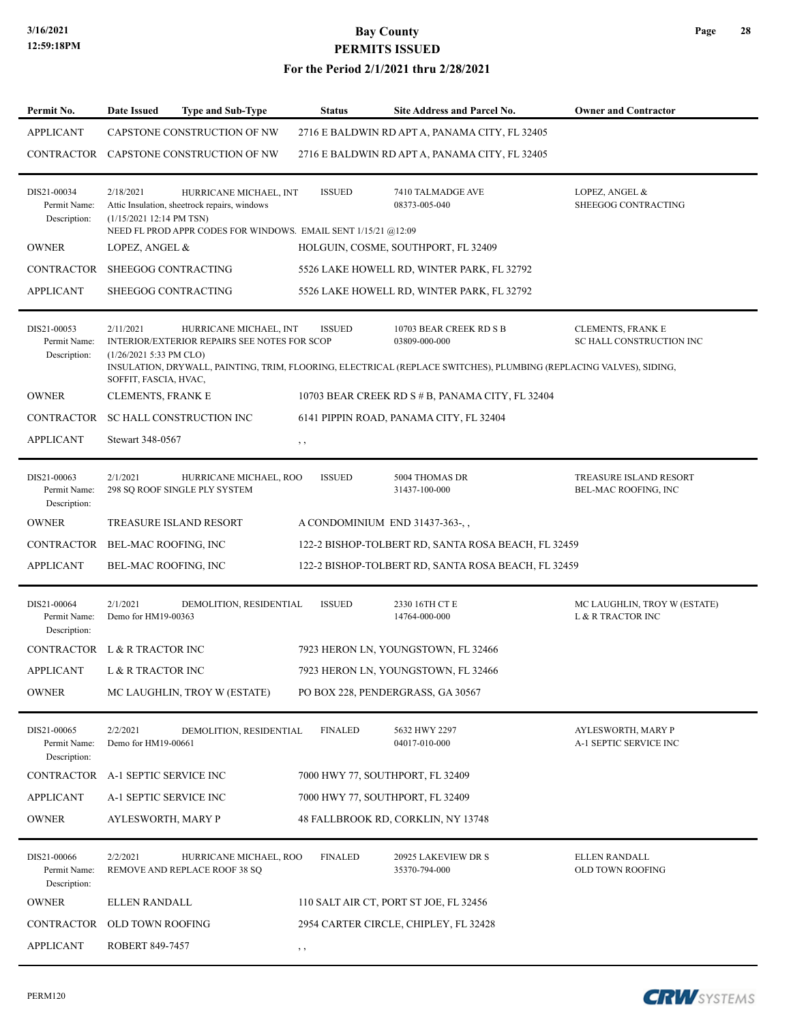| Permit No.                                  | Date Issued                               | Type and Sub-Type                                                                                                                        | <b>Status</b>                    | Site Address and Parcel No.                                                                                                                                    | <b>Owner and Contractor</b>                          |
|---------------------------------------------|-------------------------------------------|------------------------------------------------------------------------------------------------------------------------------------------|----------------------------------|----------------------------------------------------------------------------------------------------------------------------------------------------------------|------------------------------------------------------|
| <b>APPLICANT</b>                            |                                           | CAPSTONE CONSTRUCTION OF NW                                                                                                              |                                  | 2716 E BALDWIN RD APT A, PANAMA CITY, FL 32405                                                                                                                 |                                                      |
| CONTRACTOR                                  |                                           | CAPSTONE CONSTRUCTION OF NW                                                                                                              |                                  | 2716 E BALDWIN RD APT A, PANAMA CITY, FL 32405                                                                                                                 |                                                      |
| DIS21-00034<br>Permit Name:<br>Description: | 2/18/2021<br>(1/15/2021 12:14 PM TSN)     | HURRICANE MICHAEL, INT<br>Attic Insulation, sheetrock repairs, windows<br>NEED FL PROD APPR CODES FOR WINDOWS. EMAIL SENT 1/15/21 @12:09 | <b>ISSUED</b>                    | 7410 TALMADGE AVE<br>08373-005-040                                                                                                                             | LOPEZ, ANGEL &<br>SHEEGOG CONTRACTING                |
| <b>OWNER</b>                                | LOPEZ, ANGEL &                            |                                                                                                                                          |                                  | HOLGUIN, COSME, SOUTHPORT, FL 32409                                                                                                                            |                                                      |
| <b>CONTRACTOR</b>                           | SHEEGOG CONTRACTING                       |                                                                                                                                          |                                  | 5526 LAKE HOWELL RD, WINTER PARK, FL 32792                                                                                                                     |                                                      |
| <b>APPLICANT</b>                            | SHEEGOG CONTRACTING                       |                                                                                                                                          |                                  | 5526 LAKE HOWELL RD, WINTER PARK, FL 32792                                                                                                                     |                                                      |
|                                             |                                           |                                                                                                                                          |                                  |                                                                                                                                                                |                                                      |
| DIS21-00053<br>Permit Name:<br>Description: | 2/11/2021<br>(1/26/2021 5:33 PM CLO)      | HURRICANE MICHAEL, INT<br><b>INTERIOR/EXTERIOR REPAIRS SEE NOTES FOR SCOP</b>                                                            | <b>ISSUED</b>                    | 10703 BEAR CREEK RD S B<br>03809-000-000<br>INSULATION, DRYWALL, PAINTING, TRIM, FLOORING, ELECTRICAL (REPLACE SWITCHES), PLUMBING (REPLACING VALVES), SIDING, | <b>CLEMENTS, FRANK E</b><br>SC HALL CONSTRUCTION INC |
|                                             | SOFFIT, FASCIA, HVAC,                     |                                                                                                                                          |                                  |                                                                                                                                                                |                                                      |
| <b>OWNER</b>                                | <b>CLEMENTS, FRANK E</b>                  |                                                                                                                                          |                                  | 10703 BEAR CREEK RD S # B, PANAMA CITY, FL 32404                                                                                                               |                                                      |
| <b>CONTRACTOR</b>                           | SC HALL CONSTRUCTION INC                  |                                                                                                                                          |                                  | 6141 PIPPIN ROAD, PANAMA CITY, FL 32404                                                                                                                        |                                                      |
| APPLICANT                                   | Stewart 348-0567                          |                                                                                                                                          | $, \, , \,$                      |                                                                                                                                                                |                                                      |
| DIS21-00063<br>Permit Name:<br>Description: | 2/1/2021<br>298 SQ ROOF SINGLE PLY SYSTEM | HURRICANE MICHAEL, ROO                                                                                                                   | <b>ISSUED</b>                    | 5004 THOMAS DR<br>31437-100-000                                                                                                                                | TREASURE ISLAND RESORT<br>BEL-MAC ROOFING, INC       |
| <b>OWNER</b>                                | TREASURE ISLAND RESORT                    |                                                                                                                                          | A CONDOMINIUM END 31437-363-,    |                                                                                                                                                                |                                                      |
| <b>CONTRACTOR</b>                           | BEL-MAC ROOFING, INC                      |                                                                                                                                          |                                  | 122-2 BISHOP-TOLBERT RD, SANTA ROSA BEACH, FL 32459                                                                                                            |                                                      |
| <b>APPLICANT</b>                            | BEL-MAC ROOFING, INC                      |                                                                                                                                          |                                  | 122-2 BISHOP-TOLBERT RD, SANTA ROSA BEACH, FL 32459                                                                                                            |                                                      |
|                                             |                                           |                                                                                                                                          |                                  |                                                                                                                                                                |                                                      |
| DIS21-00064<br>Permit Name:<br>Description: | 2/1/2021<br>Demo for HM19-00363           | DEMOLITION, RESIDENTIAL                                                                                                                  | <b>ISSUED</b>                    | 2330 16TH CT E<br>14764-000-000                                                                                                                                | MC LAUGHLIN, TROY W (ESTATE)<br>L & R TRACTOR INC    |
|                                             | CONTRACTOR L & R TRACTOR INC              |                                                                                                                                          |                                  | 7923 HERON LN, YOUNGSTOWN, FL 32466                                                                                                                            |                                                      |
| <b>APPLICANT</b>                            | L & R TRACTOR INC                         |                                                                                                                                          |                                  | 7923 HERON LN, YOUNGSTOWN, FL 32466                                                                                                                            |                                                      |
| <b>OWNER</b>                                |                                           | MC LAUGHLIN, TROY W (ESTATE)                                                                                                             |                                  | PO BOX 228, PENDERGRASS, GA 30567                                                                                                                              |                                                      |
| DIS21-00065<br>Permit Name:<br>Description: | 2/2/2021<br>Demo for HM19-00661           | DEMOLITION, RESIDENTIAL                                                                                                                  | <b>FINALED</b>                   | 5632 HWY 2297<br>04017-010-000                                                                                                                                 | AYLESWORTH, MARY P<br>A-1 SEPTIC SERVICE INC         |
| CONTRACTOR                                  | A-1 SEPTIC SERVICE INC                    |                                                                                                                                          | 7000 HWY 77, SOUTHPORT, FL 32409 |                                                                                                                                                                |                                                      |
| <b>APPLICANT</b>                            | A-1 SEPTIC SERVICE INC                    |                                                                                                                                          | 7000 HWY 77, SOUTHPORT, FL 32409 |                                                                                                                                                                |                                                      |
| <b>OWNER</b>                                | AYLESWORTH, MARY P                        |                                                                                                                                          |                                  | 48 FALLBROOK RD, CORKLIN, NY 13748                                                                                                                             |                                                      |
|                                             |                                           |                                                                                                                                          |                                  |                                                                                                                                                                |                                                      |
| DIS21-00066<br>Permit Name:<br>Description: | 2/2/2021<br>REMOVE AND REPLACE ROOF 38 SQ | HURRICANE MICHAEL, ROO                                                                                                                   | <b>FINALED</b>                   | 20925 LAKEVIEW DR S<br>35370-794-000                                                                                                                           | ELLEN RANDALL<br>OLD TOWN ROOFING                    |
| <b>OWNER</b>                                | ELLEN RANDALL                             |                                                                                                                                          |                                  | 110 SALT AIR CT, PORT ST JOE, FL 32456                                                                                                                         |                                                      |
| CONTRACTOR                                  | OLD TOWN ROOFING                          |                                                                                                                                          |                                  | 2954 CARTER CIRCLE, CHIPLEY, FL 32428                                                                                                                          |                                                      |
| <b>APPLICANT</b>                            | ROBERT 849-7457                           |                                                                                                                                          | $, \, , \,$                      |                                                                                                                                                                |                                                      |



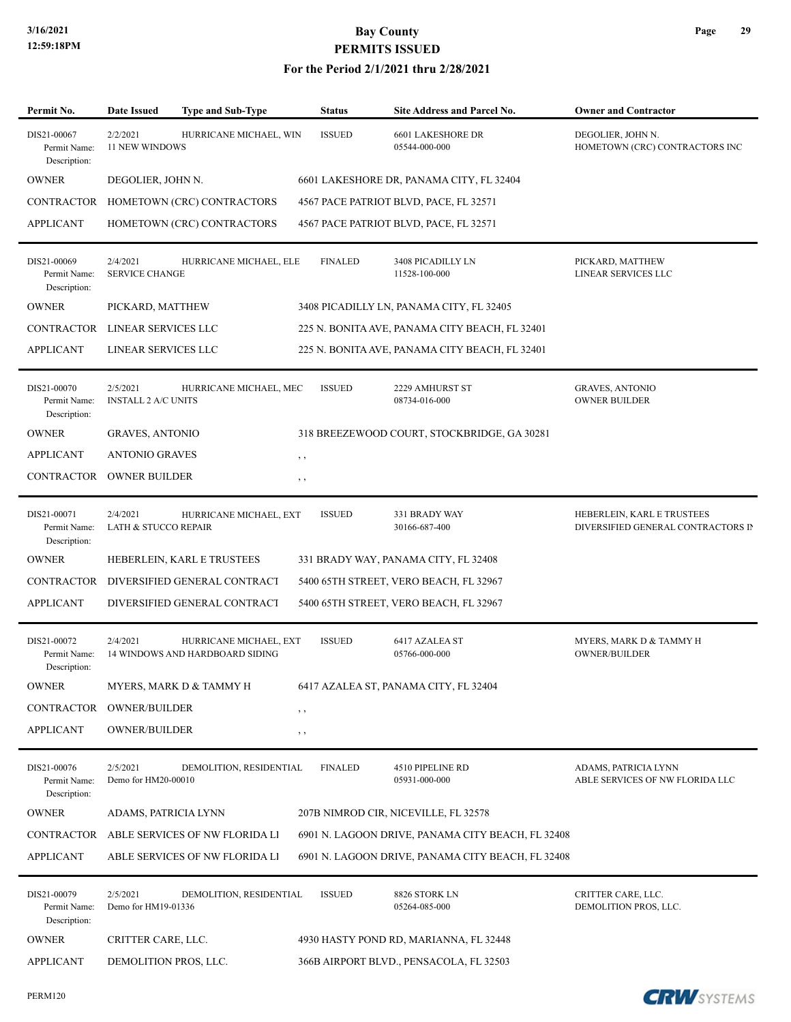| Permit No.                                  | <b>Date Issued</b>                          | <b>Type and Sub-Type</b>                                  | <b>Status</b>  | <b>Site Address and Parcel No.</b>                | <b>Owner and Contractor</b>                                      |
|---------------------------------------------|---------------------------------------------|-----------------------------------------------------------|----------------|---------------------------------------------------|------------------------------------------------------------------|
| DIS21-00067<br>Permit Name:<br>Description: | 2/2/2021<br>11 NEW WINDOWS                  | HURRICANE MICHAEL, WIN                                    | <b>ISSUED</b>  | <b>6601 LAKESHORE DR</b><br>05544-000-000         | DEGOLIER, JOHN N.<br>HOMETOWN (CRC) CONTRACTORS INC              |
| <b>OWNER</b>                                | DEGOLIER, JOHN N.                           |                                                           |                | 6601 LAKESHORE DR, PANAMA CITY, FL 32404          |                                                                  |
| <b>CONTRACTOR</b>                           |                                             | HOMETOWN (CRC) CONTRACTORS                                |                | 4567 PACE PATRIOT BLVD, PACE, FL 32571            |                                                                  |
| <b>APPLICANT</b>                            |                                             | HOMETOWN (CRC) CONTRACTORS                                |                | 4567 PACE PATRIOT BLVD, PACE, FL 32571            |                                                                  |
| DIS21-00069<br>Permit Name:<br>Description: | 2/4/2021<br><b>SERVICE CHANGE</b>           | HURRICANE MICHAEL, ELE                                    | <b>FINALED</b> | 3408 PICADILLY LN<br>11528-100-000                | PICKARD, MATTHEW<br>LINEAR SERVICES LLC                          |
| <b>OWNER</b>                                | PICKARD, MATTHEW                            |                                                           |                | 3408 PICADILLY LN, PANAMA CITY, FL 32405          |                                                                  |
| CONTRACTOR LINEAR SERVICES LLC              |                                             |                                                           |                | 225 N. BONITA AVE, PANAMA CITY BEACH, FL 32401    |                                                                  |
| <b>APPLICANT</b>                            | LINEAR SERVICES LLC                         |                                                           |                | 225 N. BONITA AVE, PANAMA CITY BEACH, FL 32401    |                                                                  |
| DIS21-00070<br>Permit Name:<br>Description: | 2/5/2021<br>INSTALL 2 A/C UNITS             | HURRICANE MICHAEL, MEC                                    | <b>ISSUED</b>  | 2229 AMHURST ST<br>08734-016-000                  | <b>GRAVES, ANTONIO</b><br><b>OWNER BUILDER</b>                   |
| <b>OWNER</b>                                | GRAVES, ANTONIO                             |                                                           |                | 318 BREEZEWOOD COURT, STOCKBRIDGE, GA 30281       |                                                                  |
| <b>APPLICANT</b>                            | <b>ANTONIO GRAVES</b>                       |                                                           | $, \, , \,$    |                                                   |                                                                  |
| CONTRACTOR                                  | <b>OWNER BUILDER</b>                        |                                                           | , ,            |                                                   |                                                                  |
| DIS21-00071<br>Permit Name:<br>Description: | 2/4/2021<br><b>LATH &amp; STUCCO REPAIR</b> | HURRICANE MICHAEL, EXT                                    | <b>ISSUED</b>  | 331 BRADY WAY<br>30166-687-400                    | HEBERLEIN, KARL E TRUSTEES<br>DIVERSIFIED GENERAL CONTRACTORS IN |
| <b>OWNER</b>                                |                                             | HEBERLEIN, KARL E TRUSTEES                                |                | 331 BRADY WAY, PANAMA CITY, FL 32408              |                                                                  |
| CONTRACTOR                                  |                                             | DIVERSIFIED GENERAL CONTRACT                              |                | 5400 65TH STREET, VERO BEACH, FL 32967            |                                                                  |
| <b>APPLICANT</b>                            |                                             | DIVERSIFIED GENERAL CONTRACT                              |                | 5400 65TH STREET, VERO BEACH, FL 32967            |                                                                  |
| DIS21-00072<br>Permit Name:<br>Description: | 2/4/2021                                    | HURRICANE MICHAEL, EXT<br>14 WINDOWS AND HARDBOARD SIDING | <b>ISSUED</b>  | 6417 AZALEA ST<br>05766-000-000                   | MYERS, MARK D & TAMMY H<br>OWNER/BUILDER                         |
| <b>OWNER</b>                                |                                             | MYERS, MARK D & TAMMY H                                   |                | 6417 AZALEA ST, PANAMA CITY, FL 32404             |                                                                  |
| CONTRACTOR                                  | <b>OWNER/BUILDER</b>                        |                                                           | $, \, , \,$    |                                                   |                                                                  |
| <b>APPLICANT</b>                            | <b>OWNER/BUILDER</b>                        |                                                           | $, \, \cdot$   |                                                   |                                                                  |
| DIS21-00076<br>Permit Name:<br>Description: | 2/5/2021<br>Demo for HM20-00010             | DEMOLITION, RESIDENTIAL                                   | <b>FINALED</b> | 4510 PIPELINE RD<br>05931-000-000                 | ADAMS, PATRICIA LYNN<br>ABLE SERVICES OF NW FLORIDA LLC          |
| <b>OWNER</b>                                | ADAMS, PATRICIA LYNN                        |                                                           |                | 207B NIMROD CIR, NICEVILLE, FL 32578              |                                                                  |
| CONTRACTOR                                  |                                             | ABLE SERVICES OF NW FLORIDA LI                            |                | 6901 N. LAGOON DRIVE, PANAMA CITY BEACH, FL 32408 |                                                                  |
| <b>APPLICANT</b>                            |                                             | ABLE SERVICES OF NW FLORIDA LI                            |                | 6901 N. LAGOON DRIVE, PANAMA CITY BEACH, FL 32408 |                                                                  |
| DIS21-00079<br>Permit Name:<br>Description: | 2/5/2021<br>Demo for HM19-01336             | DEMOLITION, RESIDENTIAL                                   | <b>ISSUED</b>  | 8826 STORK LN<br>05264-085-000                    | CRITTER CARE, LLC.<br>DEMOLITION PROS, LLC.                      |
| <b>OWNER</b>                                | CRITTER CARE, LLC.                          |                                                           |                | 4930 HASTY POND RD, MARIANNA, FL 32448            |                                                                  |
| <b>APPLICANT</b>                            | DEMOLITION PROS, LLC.                       |                                                           |                | 366B AIRPORT BLVD., PENSACOLA, FL 32503           |                                                                  |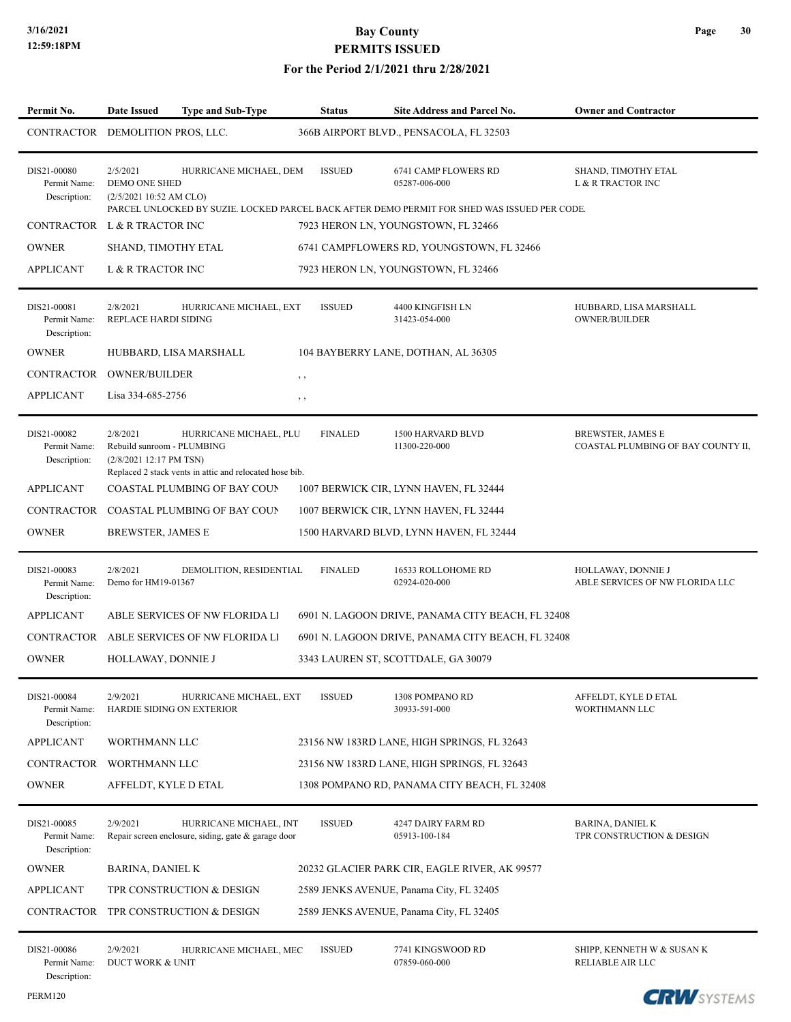| Permit No.                                  | Date Issued                                                       | Type and Sub-Type                                                                 |             | <b>Status</b>  | <b>Site Address and Parcel No.</b>                                                                                                    | <b>Owner and Contractor</b>                                    |
|---------------------------------------------|-------------------------------------------------------------------|-----------------------------------------------------------------------------------|-------------|----------------|---------------------------------------------------------------------------------------------------------------------------------------|----------------------------------------------------------------|
| CONTRACTOR DEMOLITION PROS, LLC.            |                                                                   |                                                                                   |             |                | 366B AIRPORT BLVD., PENSACOLA, FL 32503                                                                                               |                                                                |
| DIS21-00080<br>Permit Name:<br>Description: | 2/5/2021<br>DEMO ONE SHED<br>(2/5/2021 10:52 AM CLO)              | HURRICANE MICHAEL, DEM                                                            |             | <b>ISSUED</b>  | 6741 CAMP FLOWERS RD<br>05287-006-000<br>PARCEL UNLOCKED BY SUZIE. LOCKED PARCEL BACK AFTER DEMO PERMIT FOR SHED WAS ISSUED PER CODE. | SHAND, TIMOTHY ETAL<br><b>L &amp; R TRACTOR INC</b>            |
| CONTRACTOR L & R TRACTOR INC                |                                                                   |                                                                                   |             |                | 7923 HERON LN, YOUNGSTOWN, FL 32466                                                                                                   |                                                                |
| <b>OWNER</b>                                | SHAND, TIMOTHY ETAL                                               |                                                                                   |             |                | 6741 CAMPFLOWERS RD, YOUNGSTOWN, FL 32466                                                                                             |                                                                |
| <b>APPLICANT</b>                            | L & R TRACTOR INC                                                 |                                                                                   |             |                | 7923 HERON LN, YOUNGSTOWN, FL 32466                                                                                                   |                                                                |
| DIS21-00081<br>Permit Name:<br>Description: | 2/8/2021<br>REPLACE HARDI SIDING                                  | HURRICANE MICHAEL, EXT                                                            |             | <b>ISSUED</b>  | 4400 KINGFISH LN<br>31423-054-000                                                                                                     | HUBBARD, LISA MARSHALL<br>OWNER/BUILDER                        |
| <b>OWNER</b>                                |                                                                   | HUBBARD, LISA MARSHALL                                                            |             |                | 104 BAYBERRY LANE, DOTHAN, AL 36305                                                                                                   |                                                                |
| CONTRACTOR OWNER/BUILDER                    |                                                                   |                                                                                   | $, \, , \,$ |                |                                                                                                                                       |                                                                |
| <b>APPLICANT</b>                            | Lisa 334-685-2756                                                 |                                                                                   | $, \, ,$    |                |                                                                                                                                       |                                                                |
| DIS21-00082<br>Permit Name:<br>Description: | 2/8/2021<br>Rebuild sunroom - PLUMBING<br>(2/8/2021 12:17 PM TSN) | HURRICANE MICHAEL, PLU<br>Replaced 2 stack vents in attic and relocated hose bib. |             | <b>FINALED</b> | 1500 HARVARD BLVD<br>11300-220-000                                                                                                    | <b>BREWSTER, JAMES E</b><br>COASTAL PLUMBING OF BAY COUNTY II, |
| <b>APPLICANT</b>                            |                                                                   | COASTAL PLUMBING OF BAY COUN                                                      |             |                | 1007 BERWICK CIR, LYNN HAVEN, FL 32444                                                                                                |                                                                |
|                                             |                                                                   | CONTRACTOR COASTAL PLUMBING OF BAY COUP                                           |             |                | 1007 BERWICK CIR, LYNN HAVEN, FL 32444                                                                                                |                                                                |
| <b>OWNER</b>                                | BREWSTER, JAMES E                                                 |                                                                                   |             |                | 1500 HARVARD BLVD, LYNN HAVEN, FL 32444                                                                                               |                                                                |
| DIS21-00083<br>Permit Name:<br>Description: | 2/8/2021<br>Demo for HM19-01367                                   | DEMOLITION, RESIDENTIAL                                                           |             | <b>FINALED</b> | 16533 ROLLOHOME RD<br>02924-020-000                                                                                                   | HOLLAWAY, DONNIE J<br>ABLE SERVICES OF NW FLORIDA LLC          |
| <b>APPLICANT</b>                            |                                                                   | ABLE SERVICES OF NW FLORIDA LI                                                    |             |                | 6901 N. LAGOON DRIVE, PANAMA CITY BEACH, FL 32408                                                                                     |                                                                |
|                                             |                                                                   | CONTRACTOR ABLE SERVICES OF NW FLORIDA LI                                         |             |                | 6901 N. LAGOON DRIVE, PANAMA CITY BEACH, FL 32408                                                                                     |                                                                |
| <b>OWNER</b>                                | HOLLAWAY, DONNIE J                                                |                                                                                   |             |                | 3343 LAUREN ST, SCOTTDALE, GA 30079                                                                                                   |                                                                |
| DIS21-00084<br>Permit Name:<br>Description: | 2/9/2021                                                          | HURRICANE MICHAEL, EXT<br>HARDIE SIDING ON EXTERIOR                               |             | <b>ISSUED</b>  | 1308 POMPANO RD<br>30933-591-000                                                                                                      | AFFELDT, KYLE D ETAL<br>WORTHMANN LLC                          |
| <b>APPLICANT</b>                            | WORTHMANN LLC                                                     |                                                                                   |             |                | 23156 NW 183RD LANE, HIGH SPRINGS, FL 32643                                                                                           |                                                                |
| CONTRACTOR                                  | WORTHMANN LLC                                                     |                                                                                   |             |                | 23156 NW 183RD LANE, HIGH SPRINGS, FL 32643                                                                                           |                                                                |
| <b>OWNER</b>                                | AFFELDT, KYLE D ETAL                                              |                                                                                   |             |                | 1308 POMPANO RD, PANAMA CITY BEACH, FL 32408                                                                                          |                                                                |
| DIS21-00085<br>Permit Name:<br>Description: | 2/9/2021                                                          | HURRICANE MICHAEL, INT<br>Repair screen enclosure, siding, gate & garage door     |             | <b>ISSUED</b>  | 4247 DAIRY FARM RD<br>05913-100-184                                                                                                   | <b>BARINA, DANIEL K</b><br>TPR CONSTRUCTION & DESIGN           |
| <b>OWNER</b>                                | BARINA, DANIEL K                                                  |                                                                                   |             |                | 20232 GLACIER PARK CIR, EAGLE RIVER, AK 99577                                                                                         |                                                                |
| <b>APPLICANT</b>                            |                                                                   | TPR CONSTRUCTION & DESIGN                                                         |             |                | 2589 JENKS AVENUE, Panama City, FL 32405                                                                                              |                                                                |
| CONTRACTOR                                  |                                                                   | TPR CONSTRUCTION & DESIGN                                                         |             |                | 2589 JENKS AVENUE, Panama City, FL 32405                                                                                              |                                                                |
| DIS21-00086<br>Permit Name:<br>Description: | 2/9/2021<br>DUCT WORK & UNIT                                      | HURRICANE MICHAEL, MEC                                                            |             | <b>ISSUED</b>  | 7741 KINGSWOOD RD<br>07859-060-000                                                                                                    | SHIPP, KENNETH W & SUSAN K<br>RELIABLE AIR LLC                 |

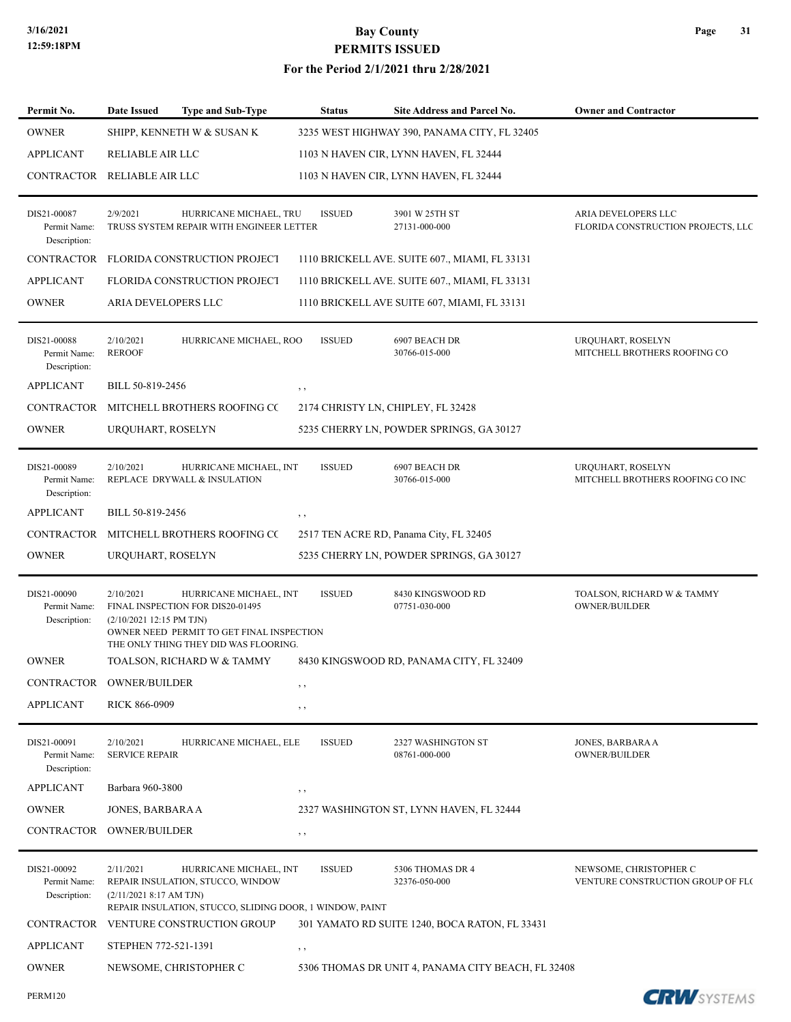| Permit No.                                  | <b>Date Issued</b>                    | <b>Type and Sub-Type</b>                                                                                                                         | <b>Status</b> | <b>Site Address and Parcel No.</b>                 | <b>Owner and Contractor</b>                                 |
|---------------------------------------------|---------------------------------------|--------------------------------------------------------------------------------------------------------------------------------------------------|---------------|----------------------------------------------------|-------------------------------------------------------------|
| <b>OWNER</b>                                |                                       | SHIPP, KENNETH W & SUSAN K                                                                                                                       |               | 3235 WEST HIGHWAY 390, PANAMA CITY, FL 32405       |                                                             |
| <b>APPLICANT</b>                            | RELIABLE AIR LLC                      |                                                                                                                                                  |               | 1103 N HAVEN CIR, LYNN HAVEN, FL 32444             |                                                             |
| CONTRACTOR                                  | RELIABLE AIR LLC                      |                                                                                                                                                  |               | 1103 N HAVEN CIR, LYNN HAVEN, FL 32444             |                                                             |
| DIS21-00087<br>Permit Name:<br>Description: | 2/9/2021                              | HURRICANE MICHAEL, TRU<br>TRUSS SYSTEM REPAIR WITH ENGINEER LETTER                                                                               | <b>ISSUED</b> | 3901 W 25TH ST<br>27131-000-000                    | ARIA DEVELOPERS LLC<br>FLORIDA CONSTRUCTION PROJECTS, LLC   |
| CONTRACTOR                                  |                                       | FLORIDA CONSTRUCTION PROJECT                                                                                                                     |               | 1110 BRICKELL AVE. SUITE 607., MIAMI, FL 33131     |                                                             |
| <b>APPLICANT</b>                            |                                       | FLORIDA CONSTRUCTION PROJECT                                                                                                                     |               | 1110 BRICKELL AVE. SUITE 607., MIAMI, FL 33131     |                                                             |
| <b>OWNER</b>                                | ARIA DEVELOPERS LLC                   |                                                                                                                                                  |               | 1110 BRICKELL AVE SUITE 607, MIAMI, FL 33131       |                                                             |
| DIS21-00088<br>Permit Name:<br>Description: | 2/10/2021<br><b>REROOF</b>            | HURRICANE MICHAEL, ROO                                                                                                                           | <b>ISSUED</b> | 6907 BEACH DR<br>30766-015-000                     | URQUHART, ROSELYN<br>MITCHELL BROTHERS ROOFING CO           |
| <b>APPLICANT</b>                            | BILL 50-819-2456                      |                                                                                                                                                  | $, \, , \,$   |                                                    |                                                             |
| <b>CONTRACTOR</b>                           |                                       | MITCHELL BROTHERS ROOFING CC                                                                                                                     |               | 2174 CHRISTY LN, CHIPLEY, FL 32428                 |                                                             |
| <b>OWNER</b>                                | URQUHART, ROSELYN                     |                                                                                                                                                  |               | 5235 CHERRY LN, POWDER SPRINGS, GA 30127           |                                                             |
| DIS21-00089<br>Permit Name:<br>Description: | 2/10/2021                             | HURRICANE MICHAEL, INT<br>REPLACE DRYWALL & INSULATION                                                                                           | <b>ISSUED</b> | 6907 BEACH DR<br>30766-015-000                     | URQUHART, ROSELYN<br>MITCHELL BROTHERS ROOFING CO INC       |
| <b>APPLICANT</b>                            | BILL 50-819-2456                      |                                                                                                                                                  | $, \, , \,$   |                                                    |                                                             |
| <b>CONTRACTOR</b>                           |                                       | MITCHELL BROTHERS ROOFING CC                                                                                                                     |               | 2517 TEN ACRE RD, Panama City, FL 32405            |                                                             |
| <b>OWNER</b>                                | URQUHART, ROSELYN                     |                                                                                                                                                  |               | 5235 CHERRY LN, POWDER SPRINGS, GA 30127           |                                                             |
| DIS21-00090<br>Permit Name:<br>Description: | 2/10/2021<br>(2/10/2021 12:15 PM TJN) | HURRICANE MICHAEL, INT<br>FINAL INSPECTION FOR DIS20-01495<br>OWNER NEED PERMIT TO GET FINAL INSPECTION<br>THE ONLY THING THEY DID WAS FLOORING. | <b>ISSUED</b> | 8430 KINGSWOOD RD<br>07751-030-000                 | TOALSON, RICHARD W & TAMMY<br><b>OWNER/BUILDER</b>          |
| <b>OWNER</b>                                |                                       | TOALSON, RICHARD W & TAMMY                                                                                                                       |               | 8430 KINGSWOOD RD, PANAMA CITY, FL 32409           |                                                             |
| CONTRACTOR                                  | <b>OWNER/BUILDER</b>                  |                                                                                                                                                  | , ,           |                                                    |                                                             |
| <b>APPLICANT</b>                            | <b>RICK 866-0909</b>                  |                                                                                                                                                  | , ,           |                                                    |                                                             |
| DIS21-00091<br>Permit Name:<br>Description: | 2/10/2021<br><b>SERVICE REPAIR</b>    | HURRICANE MICHAEL, ELE                                                                                                                           | <b>ISSUED</b> | 2327 WASHINGTON ST<br>08761-000-000                | JONES, BARBARA A<br>OWNER/BUILDER                           |
| <b>APPLICANT</b>                            | Barbara 960-3800                      |                                                                                                                                                  | , ,           |                                                    |                                                             |
| <b>OWNER</b>                                | JONES, BARBARA A                      |                                                                                                                                                  |               | 2327 WASHINGTON ST, LYNN HAVEN, FL 32444           |                                                             |
| CONTRACTOR                                  | <b>OWNER/BUILDER</b>                  |                                                                                                                                                  | $, \, ,$      |                                                    |                                                             |
| DIS21-00092<br>Permit Name:<br>Description: | 2/11/2021<br>(2/11/2021 8:17 AM TJN)  | HURRICANE MICHAEL, INT<br>REPAIR INSULATION, STUCCO, WINDOW<br>REPAIR INSULATION, STUCCO, SLIDING DOOR, 1 WINDOW, PAINT                          | <b>ISSUED</b> | 5306 THOMAS DR 4<br>32376-050-000                  | NEWSOME, CHRISTOPHER C<br>VENTURE CONSTRUCTION GROUP OF FLC |
| CONTRACTOR                                  |                                       | <b>VENTURE CONSTRUCTION GROUP</b>                                                                                                                |               | 301 YAMATO RD SUITE 1240, BOCA RATON, FL 33431     |                                                             |
| <b>APPLICANT</b>                            | STEPHEN 772-521-1391                  |                                                                                                                                                  | $, \, \,$     |                                                    |                                                             |
| <b>OWNER</b>                                |                                       | NEWSOME, CHRISTOPHER C                                                                                                                           |               | 5306 THOMAS DR UNIT 4, PANAMA CITY BEACH, FL 32408 |                                                             |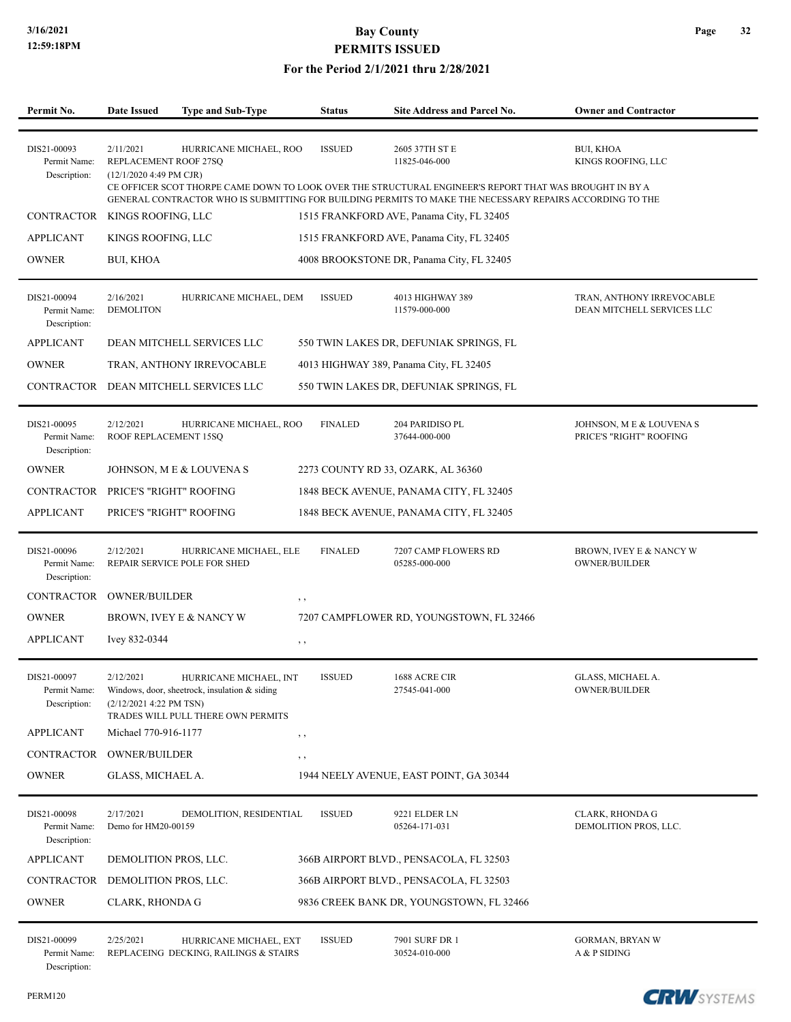#### **For the Period 2/1/2021 thru 2/28/2021**

| Permit No.                                  | <b>Date Issued</b>                                            | <b>Type and Sub-Type</b>                                                                                      | <b>Status</b>  | Site Address and Parcel No.                                                                                                                | <b>Owner and Contractor</b>                             |
|---------------------------------------------|---------------------------------------------------------------|---------------------------------------------------------------------------------------------------------------|----------------|--------------------------------------------------------------------------------------------------------------------------------------------|---------------------------------------------------------|
|                                             |                                                               |                                                                                                               |                |                                                                                                                                            |                                                         |
| DIS21-00093<br>Permit Name:<br>Description: | 2/11/2021<br>REPLACEMENT ROOF 27SQ<br>(12/1/2020 4:49 PM CJR) | HURRICANE MICHAEL, ROO                                                                                        | <b>ISSUED</b>  | 2605 37TH ST E<br>11825-046-000<br>CE OFFICER SCOT THORPE CAME DOWN TO LOOK OVER THE STRUCTURAL ENGINEER'S REPORT THAT WAS BROUGHT IN BY A | <b>BUI, KHOA</b><br>KINGS ROOFING, LLC                  |
|                                             |                                                               |                                                                                                               |                | GENERAL CONTRACTOR WHO IS SUBMITTING FOR BUILDING PERMITS TO MAKE THE NECESSARY REPAIRS ACCORDING TO THE                                   |                                                         |
| <b>CONTRACTOR</b>                           | KINGS ROOFING, LLC                                            |                                                                                                               |                | 1515 FRANKFORD AVE, Panama City, FL 32405                                                                                                  |                                                         |
| <b>APPLICANT</b>                            | KINGS ROOFING, LLC                                            |                                                                                                               |                | 1515 FRANKFORD AVE, Panama City, FL 32405                                                                                                  |                                                         |
| <b>OWNER</b>                                | <b>BUI, KHOA</b>                                              |                                                                                                               |                | 4008 BROOKSTONE DR, Panama City, FL 32405                                                                                                  |                                                         |
| DIS21-00094<br>Permit Name:<br>Description: | 2/16/2021<br><b>DEMOLITON</b>                                 | HURRICANE MICHAEL, DEM                                                                                        | <b>ISSUED</b>  | 4013 HIGHWAY 389<br>11579-000-000                                                                                                          | TRAN, ANTHONY IRREVOCABLE<br>DEAN MITCHELL SERVICES LLC |
| <b>APPLICANT</b>                            |                                                               | DEAN MITCHELL SERVICES LLC                                                                                    |                | 550 TWIN LAKES DR, DEFUNIAK SPRINGS, FL                                                                                                    |                                                         |
| <b>OWNER</b>                                |                                                               | TRAN, ANTHONY IRREVOCABLE                                                                                     |                | 4013 HIGHWAY 389, Panama City, FL 32405                                                                                                    |                                                         |
| CONTRACTOR                                  |                                                               | DEAN MITCHELL SERVICES LLC                                                                                    |                | 550 TWIN LAKES DR, DEFUNIAK SPRINGS, FL                                                                                                    |                                                         |
| DIS21-00095<br>Permit Name:<br>Description: | 2/12/2021<br>ROOF REPLACEMENT 15SQ                            | HURRICANE MICHAEL, ROO                                                                                        | <b>FINALED</b> | 204 PARIDISO PL<br>37644-000-000                                                                                                           | JOHNSON, M E & LOUVENA S<br>PRICE'S "RIGHT" ROOFING     |
| <b>OWNER</b>                                |                                                               | JOHNSON, M E & LOUVENA S                                                                                      |                | 2273 COUNTY RD 33, OZARK, AL 36360                                                                                                         |                                                         |
| <b>CONTRACTOR</b>                           | PRICE'S "RIGHT" ROOFING                                       |                                                                                                               |                | 1848 BECK AVENUE, PANAMA CITY, FL 32405                                                                                                    |                                                         |
| <b>APPLICANT</b>                            | PRICE'S "RIGHT" ROOFING                                       |                                                                                                               |                | 1848 BECK AVENUE, PANAMA CITY, FL 32405                                                                                                    |                                                         |
| DIS21-00096<br>Permit Name:<br>Description: | 2/12/2021                                                     | HURRICANE MICHAEL, ELE<br>REPAIR SERVICE POLE FOR SHED                                                        | <b>FINALED</b> | 7207 CAMP FLOWERS RD<br>05285-000-000                                                                                                      | BROWN, IVEY E & NANCY W<br>OWNER/BUILDER                |
| <b>CONTRACTOR</b>                           | <b>OWNER/BUILDER</b>                                          |                                                                                                               | , ,            |                                                                                                                                            |                                                         |
| <b>OWNER</b>                                |                                                               | BROWN, IVEY E & NANCY W                                                                                       |                | 7207 CAMPFLOWER RD, YOUNGSTOWN, FL 32466                                                                                                   |                                                         |
| <b>APPLICANT</b>                            | Ivey 832-0344                                                 |                                                                                                               | $, \, \cdot$   |                                                                                                                                            |                                                         |
|                                             |                                                               |                                                                                                               |                |                                                                                                                                            |                                                         |
| DIS21-00097<br>Permit Name:<br>Description: | 2/12/2021<br>(2/12/2021 4:22 PM TSN)                          | HURRICANE MICHAEL, INT<br>Windows, door, sheetrock, insulation & siding<br>TRADES WILL PULL THERE OWN PERMITS | <b>ISSUED</b>  | 1688 ACRE CIR<br>27545-041-000                                                                                                             | GLASS, MICHAEL A.<br>OWNER/BUILDER                      |
| <b>APPLICANT</b>                            | Michael 770-916-1177                                          |                                                                                                               | $, \, \cdot$   |                                                                                                                                            |                                                         |
| CONTRACTOR                                  | <b>OWNER/BUILDER</b>                                          |                                                                                                               | $, \, ,$       |                                                                                                                                            |                                                         |
| <b>OWNER</b>                                | GLASS, MICHAEL A.                                             |                                                                                                               |                | 1944 NEELY AVENUE, EAST POINT, GA 30344                                                                                                    |                                                         |
| DIS21-00098<br>Permit Name:<br>Description: | 2/17/2021<br>Demo for HM20-00159                              | DEMOLITION, RESIDENTIAL                                                                                       | <b>ISSUED</b>  | 9221 ELDER LN<br>05264-171-031                                                                                                             | <b>CLARK, RHONDA G</b><br>DEMOLITION PROS, LLC.         |
| <b>APPLICANT</b>                            | DEMOLITION PROS, LLC.                                         |                                                                                                               |                | 366B AIRPORT BLVD., PENSACOLA, FL 32503                                                                                                    |                                                         |
| CONTRACTOR                                  | DEMOLITION PROS, LLC.                                         |                                                                                                               |                | 366B AIRPORT BLVD., PENSACOLA, FL 32503                                                                                                    |                                                         |
| <b>OWNER</b>                                | <b>CLARK, RHONDA G</b>                                        |                                                                                                               |                | 9836 CREEK BANK DR, YOUNGSTOWN, FL 32466                                                                                                   |                                                         |
| DIS21-00099<br>Permit Name:                 | 2/25/2021                                                     | HURRICANE MICHAEL, EXT<br>REPLACEING DECKING, RAILINGS & STAIRS                                               | <b>ISSUED</b>  | 7901 SURF DR 1<br>30524-010-000                                                                                                            | GORMAN, BRYAN W<br>A & P SIDING                         |



**Page 32**

Description: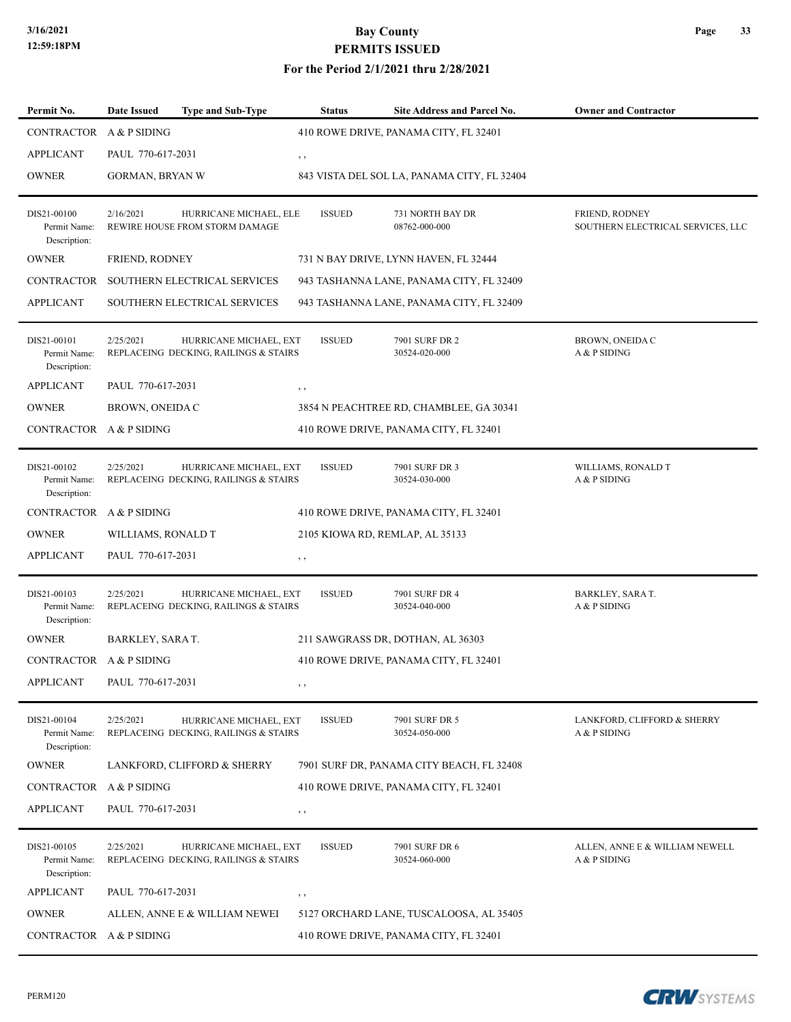#### **For the Period 2/1/2021 thru 2/28/2021**

| Permit No.                                  | Date Issued                                 | <b>Type and Sub-Type</b>                                        | <b>Status</b> | Site Address and Parcel No.                                                      | <b>Owner and Contractor</b>                         |
|---------------------------------------------|---------------------------------------------|-----------------------------------------------------------------|---------------|----------------------------------------------------------------------------------|-----------------------------------------------------|
| CONTRACTOR                                  | A & P SIDING                                |                                                                 |               | 410 ROWE DRIVE, PANAMA CITY, FL 32401                                            |                                                     |
| <b>APPLICANT</b>                            | PAUL 770-617-2031                           |                                                                 | $, \, ,$      |                                                                                  |                                                     |
| <b>OWNER</b>                                | GORMAN, BRYAN W                             |                                                                 |               | 843 VISTA DEL SOL LA, PANAMA CITY, FL 32404                                      |                                                     |
| DIS21-00100<br>Permit Name:<br>Description: | 2/16/2021                                   | HURRICANE MICHAEL, ELE<br>REWIRE HOUSE FROM STORM DAMAGE        | <b>ISSUED</b> | 731 NORTH BAY DR<br>08762-000-000                                                | FRIEND, RODNEY<br>SOUTHERN ELECTRICAL SERVICES, LLC |
| <b>OWNER</b>                                | FRIEND, RODNEY                              |                                                                 |               | 731 N BAY DRIVE, LYNN HAVEN, FL 32444                                            |                                                     |
| <b>CONTRACTOR</b>                           |                                             | SOUTHERN ELECTRICAL SERVICES                                    |               | 943 TASHANNA LANE, PANAMA CITY, FL 32409                                         |                                                     |
| <b>APPLICANT</b>                            |                                             | SOUTHERN ELECTRICAL SERVICES                                    |               | 943 TASHANNA LANE, PANAMA CITY, FL 32409                                         |                                                     |
| DIS21-00101<br>Permit Name:<br>Description: | 2/25/2021                                   | HURRICANE MICHAEL, EXT<br>REPLACEING DECKING, RAILINGS & STAIRS | <b>ISSUED</b> | 7901 SURF DR 2<br>30524-020-000                                                  | BROWN, ONEIDA C<br>A & P SIDING                     |
| <b>APPLICANT</b>                            | PAUL 770-617-2031<br><b>BROWN, ONEIDA C</b> |                                                                 | , ,           |                                                                                  |                                                     |
| <b>OWNER</b><br>CONTRACTOR A & P SIDING     |                                             |                                                                 |               | 3854 N PEACHTREE RD, CHAMBLEE, GA 30341<br>410 ROWE DRIVE, PANAMA CITY, FL 32401 |                                                     |
|                                             |                                             |                                                                 |               |                                                                                  |                                                     |
| DIS21-00102<br>Permit Name:<br>Description: | 2/25/2021                                   | HURRICANE MICHAEL, EXT<br>REPLACEING DECKING, RAILINGS & STAIRS | <b>ISSUED</b> | 7901 SURF DR 3<br>30524-030-000                                                  | WILLIAMS, RONALD T<br>A & P SIDING                  |
| CONTRACTOR                                  | A & P SIDING                                |                                                                 |               | 410 ROWE DRIVE, PANAMA CITY, FL 32401                                            |                                                     |
| <b>OWNER</b>                                | WILLIAMS, RONALD T                          |                                                                 |               | 2105 KIOWA RD, REMLAP, AL 35133                                                  |                                                     |
| <b>APPLICANT</b>                            | PAUL 770-617-2031                           |                                                                 | $, \, , \,$   |                                                                                  |                                                     |
| DIS21-00103<br>Permit Name:<br>Description: | 2/25/2021                                   | HURRICANE MICHAEL, EXT<br>REPLACEING DECKING, RAILINGS & STAIRS | <b>ISSUED</b> | 7901 SURF DR 4<br>30524-040-000                                                  | BARKLEY, SARA T.<br>A & P SIDING                    |
| <b>OWNER</b>                                | BARKLEY, SARA T.                            |                                                                 |               | 211 SAWGRASS DR, DOTHAN, AL 36303                                                |                                                     |
| CONTRACTOR A & P SIDING                     |                                             |                                                                 |               | 410 ROWE DRIVE, PANAMA CITY, FL 32401                                            |                                                     |
| <b>APPLICANT</b>                            | PAUL 770-617-2031                           |                                                                 | , ,           |                                                                                  |                                                     |
| DIS21-00104<br>Permit Name:<br>Description: | 2/25/2021                                   | HURRICANE MICHAEL, EXT<br>REPLACEING DECKING, RAILINGS & STAIRS | <b>ISSUED</b> | 7901 SURF DR 5<br>30524-050-000                                                  | LANKFORD, CLIFFORD & SHERRY<br>A & P SIDING         |
| <b>OWNER</b>                                |                                             | LANKFORD, CLIFFORD & SHERRY                                     |               | 7901 SURF DR, PANAMA CITY BEACH, FL 32408                                        |                                                     |
| CONTRACTOR                                  | A & P SIDING                                |                                                                 |               | 410 ROWE DRIVE, PANAMA CITY, FL 32401                                            |                                                     |
| <b>APPLICANT</b>                            | PAUL 770-617-2031                           |                                                                 | , ,           |                                                                                  |                                                     |
| DIS21-00105<br>Permit Name:<br>Description: | 2/25/2021                                   | HURRICANE MICHAEL, EXT<br>REPLACEING DECKING, RAILINGS & STAIRS | <b>ISSUED</b> | 7901 SURF DR 6<br>30524-060-000                                                  | ALLEN, ANNE E & WILLIAM NEWELL<br>A & P SIDING      |
| <b>APPLICANT</b>                            | PAUL 770-617-2031                           |                                                                 | , ,           |                                                                                  |                                                     |
| <b>OWNER</b>                                |                                             | ALLEN, ANNE E & WILLIAM NEWEI                                   |               | 5127 ORCHARD LANE, TUSCALOOSA, AL 35405                                          |                                                     |
| CONTRACTOR A & P SIDING                     |                                             |                                                                 |               | 410 ROWE DRIVE, PANAMA CITY, FL 32401                                            |                                                     |

**CRW**SYSTEMS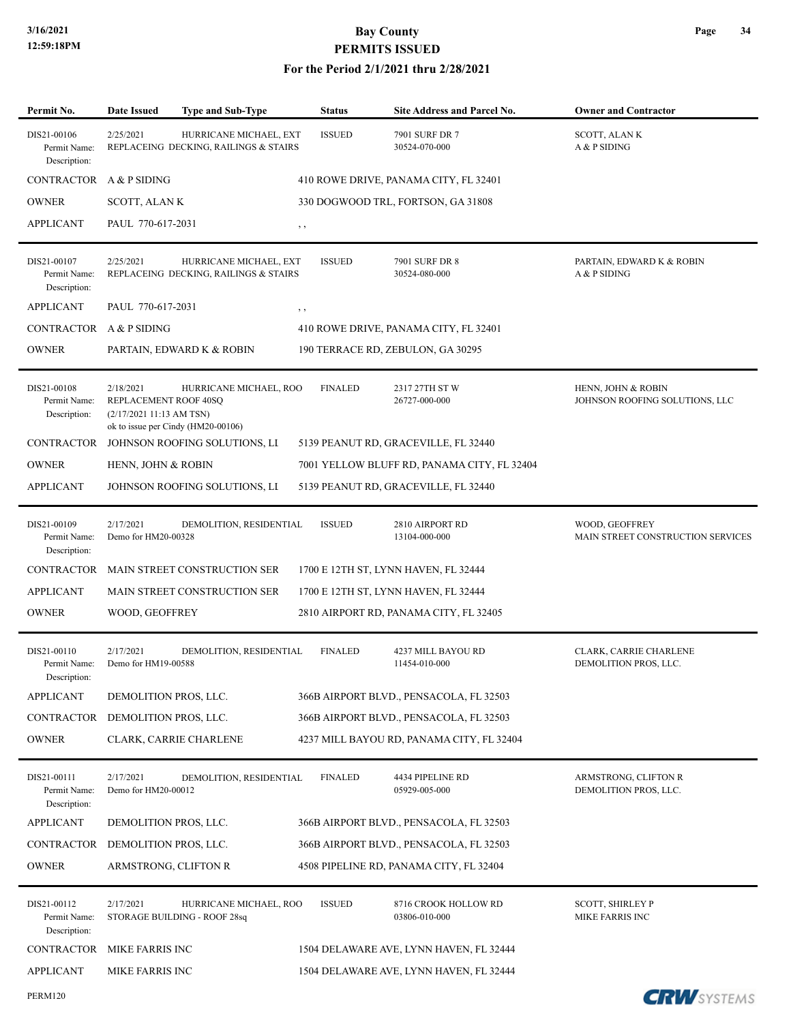| Permit No.                                  | <b>Date Issued</b>                                            | <b>Type and Sub-Type</b>                                        | <b>Status</b>  | Site Address and Parcel No.                 | <b>Owner and Contractor</b>                          |
|---------------------------------------------|---------------------------------------------------------------|-----------------------------------------------------------------|----------------|---------------------------------------------|------------------------------------------------------|
| DIS21-00106<br>Permit Name:<br>Description: | 2/25/2021                                                     | HURRICANE MICHAEL, EXT<br>REPLACEING DECKING, RAILINGS & STAIRS | <b>ISSUED</b>  | 7901 SURF DR 7<br>30524-070-000             | SCOTT, ALANK<br>A & P SIDING                         |
| CONTRACTOR A & P SIDING                     |                                                               |                                                                 |                | 410 ROWE DRIVE, PANAMA CITY, FL 32401       |                                                      |
| <b>OWNER</b>                                | <b>SCOTT, ALANK</b>                                           |                                                                 |                | 330 DOGWOOD TRL, FORTSON, GA 31808          |                                                      |
| <b>APPLICANT</b>                            | PAUL 770-617-2031                                             |                                                                 | $, \, , \,$    |                                             |                                                      |
| DIS21-00107<br>Permit Name:<br>Description: | 2/25/2021                                                     | HURRICANE MICHAEL, EXT<br>REPLACEING DECKING, RAILINGS & STAIRS | <b>ISSUED</b>  | 7901 SURF DR 8<br>30524-080-000             | PARTAIN, EDWARD K & ROBIN<br>A & P SIDING            |
| <b>APPLICANT</b>                            | PAUL 770-617-2031                                             |                                                                 | , ,            |                                             |                                                      |
| CONTRACTOR A & P SIDING                     |                                                               |                                                                 |                | 410 ROWE DRIVE, PANAMA CITY, FL 32401       |                                                      |
| <b>OWNER</b>                                |                                                               | PARTAIN, EDWARD K & ROBIN                                       |                | 190 TERRACE RD, ZEBULON, GA 30295           |                                                      |
| DIS21-00108<br>Permit Name:<br>Description: | 2/18/2021<br>REPLACEMENT ROOF 40SQ<br>(2/17/202111:13 AM TSN) | HURRICANE MICHAEL, ROO<br>ok to issue per Cindy (HM20-00106)    | <b>FINALED</b> | 2317 27TH ST W<br>26727-000-000             | HENN, JOHN & ROBIN<br>JOHNSON ROOFING SOLUTIONS, LLC |
| <b>CONTRACTOR</b>                           |                                                               | JOHNSON ROOFING SOLUTIONS, LI                                   |                | 5139 PEANUT RD, GRACEVILLE, FL 32440        |                                                      |
| <b>OWNER</b>                                | HENN, JOHN & ROBIN                                            |                                                                 |                | 7001 YELLOW BLUFF RD, PANAMA CITY, FL 32404 |                                                      |
| <b>APPLICANT</b>                            |                                                               | JOHNSON ROOFING SOLUTIONS, LI                                   |                | 5139 PEANUT RD, GRACEVILLE, FL 32440        |                                                      |
| DIS21-00109<br>Permit Name:<br>Description: | 2/17/2021<br>Demo for HM20-00328                              | DEMOLITION, RESIDENTIAL                                         | <b>ISSUED</b>  | 2810 AIRPORT RD<br>13104-000-000            | WOOD, GEOFFREY<br>MAIN STREET CONSTRUCTION SERVICES  |
| CONTRACTOR                                  |                                                               | MAIN STREET CONSTRUCTION SER                                    |                | 1700 E 12TH ST, LYNN HAVEN, FL 32444        |                                                      |
| <b>APPLICANT</b>                            |                                                               | <b>MAIN STREET CONSTRUCTION SER</b>                             |                | 1700 E 12TH ST, LYNN HAVEN, FL 32444        |                                                      |
| <b>OWNER</b>                                | WOOD, GEOFFREY                                                |                                                                 |                | 2810 AIRPORT RD, PANAMA CITY, FL 32405      |                                                      |
| DIS21-00110<br>Permit Name:<br>Description: | 2/17/2021<br>Demo for HM19-00588                              | DEMOLITION, RESIDENTIAL                                         | <b>FINALED</b> | 4237 MILL BAYOU RD<br>11454-010-000         | CLARK, CARRIE CHARLENE<br>DEMOLITION PROS, LLC.      |
| <b>APPLICANT</b>                            | DEMOLITION PROS, LLC.                                         |                                                                 |                | 366B AIRPORT BLVD., PENSACOLA, FL 32503     |                                                      |
| CONTRACTOR                                  | DEMOLITION PROS, LLC.                                         |                                                                 |                | 366B AIRPORT BLVD., PENSACOLA, FL 32503     |                                                      |
| <b>OWNER</b>                                |                                                               | CLARK, CARRIE CHARLENE                                          |                | 4237 MILL BAYOU RD, PANAMA CITY, FL 32404   |                                                      |
| DIS21-00111<br>Permit Name:<br>Description: | 2/17/2021<br>Demo for HM20-00012                              | DEMOLITION, RESIDENTIAL                                         | <b>FINALED</b> | 4434 PIPELINE RD<br>05929-005-000           | ARMSTRONG, CLIFTON R<br>DEMOLITION PROS, LLC.        |
| <b>APPLICANT</b>                            | DEMOLITION PROS, LLC.                                         |                                                                 |                | 366B AIRPORT BLVD., PENSACOLA, FL 32503     |                                                      |
| CONTRACTOR                                  | DEMOLITION PROS, LLC.                                         |                                                                 |                | 366B AIRPORT BLVD., PENSACOLA, FL 32503     |                                                      |
| <b>OWNER</b>                                | ARMSTRONG, CLIFTON R                                          |                                                                 |                | 4508 PIPELINE RD, PANAMA CITY, FL 32404     |                                                      |
| DIS21-00112<br>Permit Name:<br>Description: | 2/17/2021                                                     | HURRICANE MICHAEL, ROO<br>STORAGE BUILDING - ROOF 28sq          | <b>ISSUED</b>  | 8716 CROOK HOLLOW RD<br>03806-010-000       | <b>SCOTT, SHIRLEY P</b><br>MIKE FARRIS INC           |
| <b>CONTRACTOR</b>                           | MIKE FARRIS INC                                               |                                                                 |                | 1504 DELAWARE AVE, LYNN HAVEN, FL 32444     |                                                      |
| <b>APPLICANT</b>                            | MIKE FARRIS INC                                               |                                                                 |                | 1504 DELAWARE AVE, LYNN HAVEN, FL 32444     |                                                      |
| PERM120                                     |                                                               |                                                                 |                |                                             | <b>CRW</b> SYSTEMS                                   |

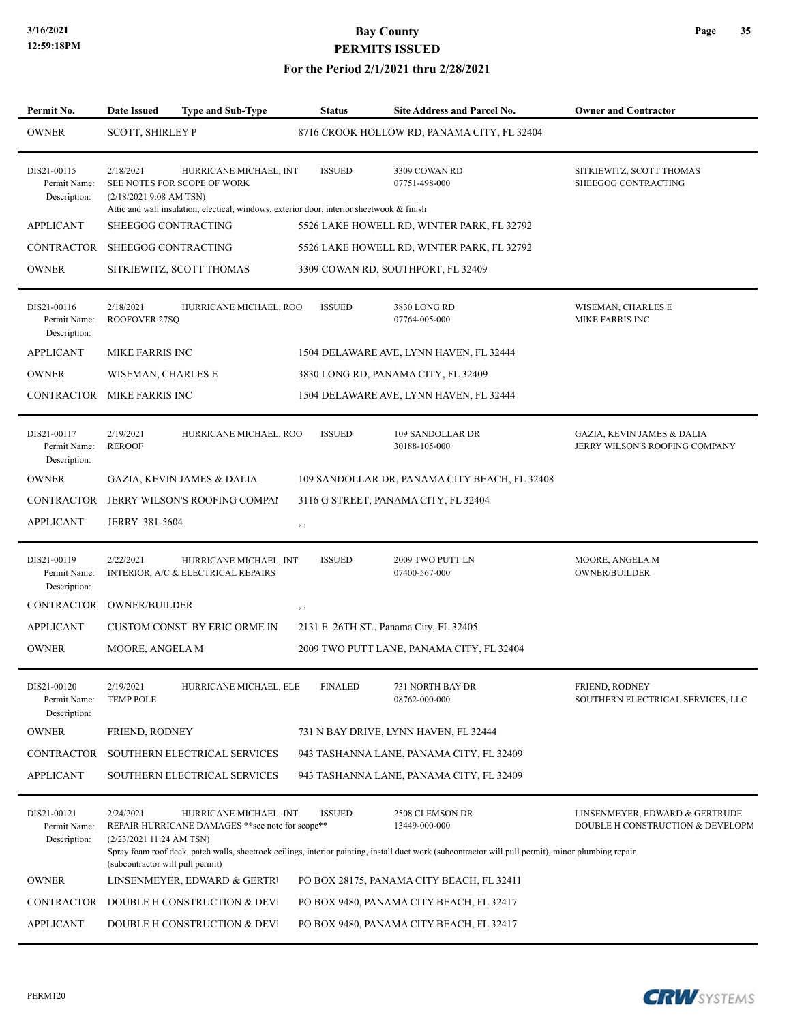| Permit No.                                  | <b>Date Issued</b>                                                       | <b>Type and Sub-Type</b>                                                                                                                           | <b>Status</b>  | <b>Site Address and Parcel No.</b>                                                                                                                                                      | <b>Owner and Contractor</b>                                             |
|---------------------------------------------|--------------------------------------------------------------------------|----------------------------------------------------------------------------------------------------------------------------------------------------|----------------|-----------------------------------------------------------------------------------------------------------------------------------------------------------------------------------------|-------------------------------------------------------------------------|
| <b>OWNER</b>                                | <b>SCOTT, SHIRLEY P</b>                                                  |                                                                                                                                                    |                | 8716 CROOK HOLLOW RD, PANAMA CITY, FL 32404                                                                                                                                             |                                                                         |
| DIS21-00115<br>Permit Name:<br>Description: | 2/18/2021<br>$(2/18/20219:08$ AM TSN)                                    | HURRICANE MICHAEL, INT<br>SEE NOTES FOR SCOPE OF WORK<br>Attic and wall insulation, electical, windows, exterior door, interior sheetwook & finish | <b>ISSUED</b>  | 3309 COWAN RD<br>07751-498-000                                                                                                                                                          | SITKIEWITZ, SCOTT THOMAS<br>SHEEGOG CONTRACTING                         |
| <b>APPLICANT</b>                            |                                                                          | SHEEGOG CONTRACTING                                                                                                                                |                | 5526 LAKE HOWELL RD, WINTER PARK, FL 32792                                                                                                                                              |                                                                         |
| CONTRACTOR                                  | SHEEGOG CONTRACTING                                                      |                                                                                                                                                    |                | 5526 LAKE HOWELL RD, WINTER PARK, FL 32792                                                                                                                                              |                                                                         |
| <b>OWNER</b>                                |                                                                          | SITKIEWITZ, SCOTT THOMAS                                                                                                                           |                | 3309 COWAN RD, SOUTHPORT, FL 32409                                                                                                                                                      |                                                                         |
| DIS21-00116<br>Permit Name:<br>Description: | 2/18/2021<br>ROOFOVER 27SQ                                               | HURRICANE MICHAEL, ROO                                                                                                                             | <b>ISSUED</b>  | 3830 LONG RD<br>07764-005-000                                                                                                                                                           | WISEMAN, CHARLES E<br>MIKE FARRIS INC                                   |
| <b>APPLICANT</b>                            | <b>MIKE FARRIS INC</b>                                                   |                                                                                                                                                    |                | 1504 DELAWARE AVE, LYNN HAVEN, FL 32444                                                                                                                                                 |                                                                         |
| <b>OWNER</b>                                | WISEMAN, CHARLES E                                                       |                                                                                                                                                    |                | 3830 LONG RD, PANAMA CITY, FL 32409                                                                                                                                                     |                                                                         |
| CONTRACTOR MIKE FARRIS INC                  |                                                                          |                                                                                                                                                    |                | 1504 DELAWARE AVE, LYNN HAVEN, FL 32444                                                                                                                                                 |                                                                         |
| DIS21-00117<br>Permit Name:<br>Description: | 2/19/2021<br><b>REROOF</b>                                               | HURRICANE MICHAEL, ROO                                                                                                                             | <b>ISSUED</b>  | 109 SANDOLLAR DR<br>30188-105-000                                                                                                                                                       | <b>GAZIA, KEVIN JAMES &amp; DALIA</b><br>JERRY WILSON'S ROOFING COMPANY |
| <b>OWNER</b>                                |                                                                          | <b>GAZIA, KEVIN JAMES &amp; DALIA</b>                                                                                                              |                | 109 SANDOLLAR DR, PANAMA CITY BEACH, FL 32408                                                                                                                                           |                                                                         |
| CONTRACTOR                                  |                                                                          | JERRY WILSON'S ROOFING COMPAI                                                                                                                      |                | 3116 G STREET, PANAMA CITY, FL 32404                                                                                                                                                    |                                                                         |
| <b>APPLICANT</b>                            | JERRY 381-5604                                                           |                                                                                                                                                    | $, \, , \,$    |                                                                                                                                                                                         |                                                                         |
| DIS21-00119<br>Permit Name:<br>Description: | 2/22/2021                                                                | HURRICANE MICHAEL, INT<br>INTERIOR, A/C & ELECTRICAL REPAIRS                                                                                       | <b>ISSUED</b>  | 2009 TWO PUTT LN<br>07400-567-000                                                                                                                                                       | MOORE, ANGELA M<br><b>OWNER/BUILDER</b>                                 |
| <b>CONTRACTOR</b>                           | <b>OWNER/BUILDER</b>                                                     |                                                                                                                                                    | , ,            |                                                                                                                                                                                         |                                                                         |
| <b>APPLICANT</b>                            |                                                                          | CUSTOM CONST. BY ERIC ORME IN                                                                                                                      |                | 2131 E. 26TH ST., Panama City, FL 32405                                                                                                                                                 |                                                                         |
| <b>OWNER</b>                                | MOORE, ANGELA M                                                          |                                                                                                                                                    |                | 2009 TWO PUTT LANE, PANAMA CITY, FL 32404                                                                                                                                               |                                                                         |
| DIS21-00120<br>Permit Name:<br>Description: | 2/19/2021<br><b>TEMP POLE</b>                                            | HURRICANE MICHAEL, ELE                                                                                                                             | <b>FINALED</b> | 731 NORTH BAY DR<br>08762-000-000                                                                                                                                                       | FRIEND, RODNEY<br>SOUTHERN ELECTRICAL SERVICES, LLC                     |
| <b>OWNER</b>                                | FRIEND, RODNEY                                                           |                                                                                                                                                    |                | 731 N BAY DRIVE, LYNN HAVEN, FL 32444                                                                                                                                                   |                                                                         |
| <b>CONTRACTOR</b>                           |                                                                          | SOUTHERN ELECTRICAL SERVICES                                                                                                                       |                | 943 TASHANNA LANE, PANAMA CITY, FL 32409                                                                                                                                                |                                                                         |
| <b>APPLICANT</b>                            |                                                                          | SOUTHERN ELECTRICAL SERVICES                                                                                                                       |                | 943 TASHANNA LANE, PANAMA CITY, FL 32409                                                                                                                                                |                                                                         |
| DIS21-00121<br>Permit Name:<br>Description: | 2/24/2021<br>(2/23/202111:24 AM TSN)<br>(subcontractor will pull permit) | HURRICANE MICHAEL, INT<br>REPAIR HURRICANE DAMAGES ** see note for scope**                                                                         | <b>ISSUED</b>  | 2508 CLEMSON DR<br>13449-000-000<br>Spray foam roof deck, patch walls, sheetrock ceilings, interior painting, install duct work (subcontractor will pull permit), minor plumbing repair | LINSENMEYER, EDWARD & GERTRUDE<br>DOUBLE H CONSTRUCTION & DEVELOPM      |
| <b>OWNER</b>                                |                                                                          | LINSENMEYER, EDWARD & GERTRI                                                                                                                       |                | PO BOX 28175, PANAMA CITY BEACH, FL 32411                                                                                                                                               |                                                                         |
| CONTRACTOR                                  |                                                                          | DOUBLE H CONSTRUCTION & DEVI                                                                                                                       |                | PO BOX 9480, PANAMA CITY BEACH, FL 32417                                                                                                                                                |                                                                         |
| <b>APPLICANT</b>                            |                                                                          | DOUBLE H CONSTRUCTION & DEVI                                                                                                                       |                | PO BOX 9480, PANAMA CITY BEACH, FL 32417                                                                                                                                                |                                                                         |

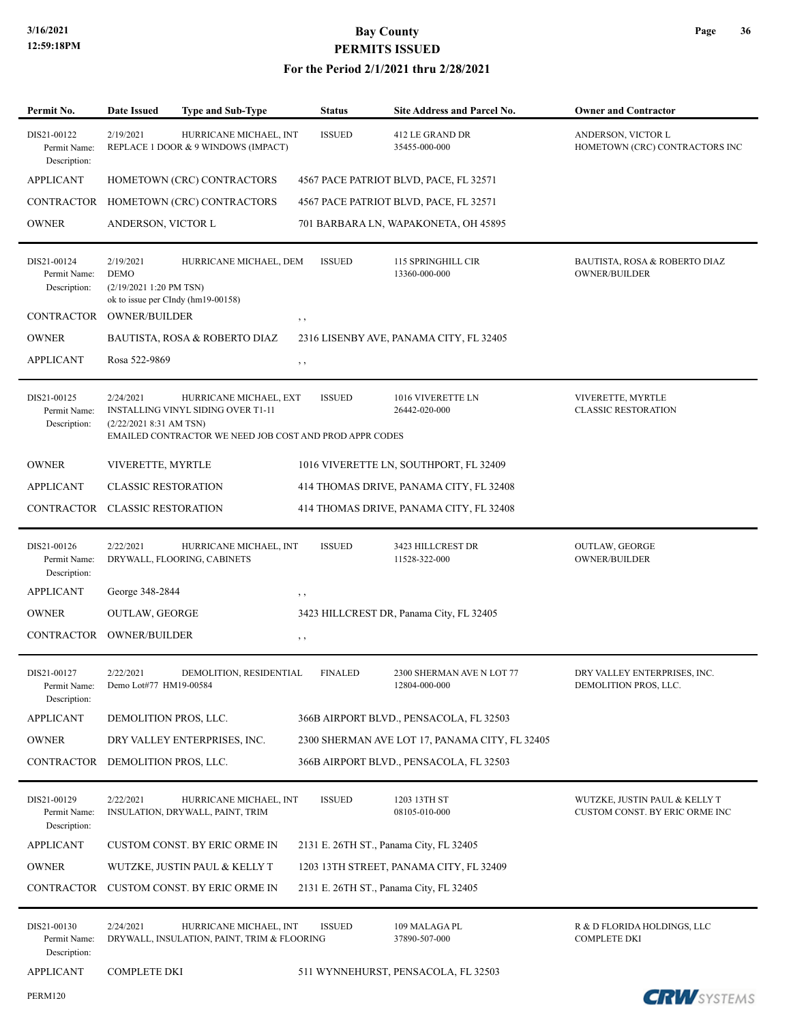| Permit No.                                  | <b>Date Issued</b>                                  | <b>Type and Sub-Type</b>                                                                                                | <b>Status</b>  | Site Address and Parcel No.                    | <b>Owner and Contractor</b>                                     |
|---------------------------------------------|-----------------------------------------------------|-------------------------------------------------------------------------------------------------------------------------|----------------|------------------------------------------------|-----------------------------------------------------------------|
| DIS21-00122<br>Permit Name:<br>Description: | 2/19/2021                                           | HURRICANE MICHAEL, INT<br>REPLACE 1 DOOR & 9 WINDOWS (IMPACT)                                                           | <b>ISSUED</b>  | 412 LE GRAND DR<br>35455-000-000               | ANDERSON, VICTOR L<br>HOMETOWN (CRC) CONTRACTORS INC            |
| <b>APPLICANT</b>                            |                                                     | HOMETOWN (CRC) CONTRACTORS                                                                                              |                | 4567 PACE PATRIOT BLVD, PACE, FL 32571         |                                                                 |
| <b>CONTRACTOR</b>                           |                                                     | HOMETOWN (CRC) CONTRACTORS                                                                                              |                | 4567 PACE PATRIOT BLVD, PACE, FL 32571         |                                                                 |
| <b>OWNER</b>                                | ANDERSON, VICTOR L                                  |                                                                                                                         |                | 701 BARBARA LN, WAPAKONETA, OH 45895           |                                                                 |
| DIS21-00124<br>Permit Name:<br>Description: | 2/19/2021<br><b>DEMO</b><br>(2/19/2021 1:20 PM TSN) | HURRICANE MICHAEL, DEM<br>ok to issue per CIndy (hm19-00158)                                                            | <b>ISSUED</b>  | 115 SPRINGHILL CIR<br>13360-000-000            | BAUTISTA, ROSA & ROBERTO DIAZ<br><b>OWNER/BUILDER</b>           |
| CONTRACTOR                                  | <b>OWNER/BUILDER</b>                                |                                                                                                                         | $, \, , \,$    |                                                |                                                                 |
| <b>OWNER</b>                                |                                                     | BAUTISTA, ROSA & ROBERTO DIAZ                                                                                           |                | 2316 LISENBY AVE, PANAMA CITY, FL 32405        |                                                                 |
| <b>APPLICANT</b>                            | Rosa 522-9869                                       |                                                                                                                         | $, \, , \,$    |                                                |                                                                 |
| DIS21-00125<br>Permit Name:<br>Description: | 2/24/2021<br>$(2/22/20218:31$ AM TSN)               | HURRICANE MICHAEL, EXT<br>INSTALLING VINYL SIDING OVER T1-11<br>EMAILED CONTRACTOR WE NEED JOB COST AND PROD APPR CODES | <b>ISSUED</b>  | 1016 VIVERETTE LN<br>26442-020-000             | VIVERETTE, MYRTLE<br><b>CLASSIC RESTORATION</b>                 |
| <b>OWNER</b>                                | VIVERETTE, MYRTLE                                   |                                                                                                                         |                | 1016 VIVERETTE LN, SOUTHPORT, FL 32409         |                                                                 |
| <b>APPLICANT</b>                            | <b>CLASSIC RESTORATION</b>                          |                                                                                                                         |                | 414 THOMAS DRIVE, PANAMA CITY, FL 32408        |                                                                 |
| CONTRACTOR                                  | <b>CLASSIC RESTORATION</b>                          |                                                                                                                         |                | 414 THOMAS DRIVE, PANAMA CITY, FL 32408        |                                                                 |
| DIS21-00126<br>Permit Name:<br>Description: | 2/22/2021                                           | HURRICANE MICHAEL, INT<br>DRYWALL, FLOORING, CABINETS                                                                   | <b>ISSUED</b>  | 3423 HILLCREST DR<br>11528-322-000             | <b>OUTLAW, GEORGE</b><br><b>OWNER/BUILDER</b>                   |
| <b>APPLICANT</b>                            | George 348-2844                                     |                                                                                                                         | $, \, \cdot$   |                                                |                                                                 |
| <b>OWNER</b>                                | <b>OUTLAW, GEORGE</b>                               |                                                                                                                         |                | 3423 HILLCREST DR, Panama City, FL 32405       |                                                                 |
| <b>CONTRACTOR</b>                           | <b>OWNER/BUILDER</b>                                |                                                                                                                         | $, \, , \,$    |                                                |                                                                 |
| DIS21-00127<br>Permit Name:<br>Description: | 2/22/2021<br>Demo Lot#77 HM19-00584                 | DEMOLITION, RESIDENTIAL                                                                                                 | <b>FINALED</b> | 2300 SHERMAN AVE N LOT 77<br>12804-000-000     | DRY VALLEY ENTERPRISES, INC.<br>DEMOLITION PROS, LLC.           |
| <b>APPLICANT</b>                            | DEMOLITION PROS, LLC.                               |                                                                                                                         |                | 366B AIRPORT BLVD., PENSACOLA, FL 32503        |                                                                 |
| <b>OWNER</b>                                |                                                     | DRY VALLEY ENTERPRISES, INC.                                                                                            |                | 2300 SHERMAN AVE LOT 17, PANAMA CITY, FL 32405 |                                                                 |
| <b>CONTRACTOR</b>                           | DEMOLITION PROS, LLC.                               |                                                                                                                         |                | 366B AIRPORT BLVD., PENSACOLA, FL 32503        |                                                                 |
| DIS21-00129<br>Permit Name:<br>Description: | 2/22/2021                                           | HURRICANE MICHAEL, INT<br>INSULATION, DRYWALL, PAINT, TRIM                                                              | <b>ISSUED</b>  | 1203 13TH ST<br>08105-010-000                  | WUTZKE, JUSTIN PAUL & KELLY T<br>CUSTOM CONST. BY ERIC ORME INC |
| <b>APPLICANT</b>                            |                                                     | <b>CUSTOM CONST. BY ERIC ORME IN</b>                                                                                    |                | 2131 E. 26TH ST., Panama City, FL 32405        |                                                                 |
| <b>OWNER</b>                                |                                                     | WUTZKE, JUSTIN PAUL & KELLY T                                                                                           |                | 1203 13TH STREET, PANAMA CITY, FL 32409        |                                                                 |
| CONTRACTOR                                  |                                                     | CUSTOM CONST. BY ERIC ORME IN                                                                                           |                | 2131 E. 26TH ST., Panama City, FL 32405        |                                                                 |
| DIS21-00130<br>Permit Name:<br>Description: | 2/24/2021                                           | HURRICANE MICHAEL, INT<br>DRYWALL, INSULATION, PAINT, TRIM & FLOORING                                                   | <b>ISSUED</b>  | 109 MALAGA PL<br>37890-507-000                 | R & D FLORIDA HOLDINGS, LLC<br><b>COMPLETE DKI</b>              |
| <b>APPLICANT</b>                            | <b>COMPLETE DKI</b>                                 |                                                                                                                         |                | 511 WYNNEHURST, PENSACOLA, FL 32503            |                                                                 |
| <b>PERM120</b>                              |                                                     |                                                                                                                         |                |                                                | <b>CRW</b> SYSTEMS                                              |

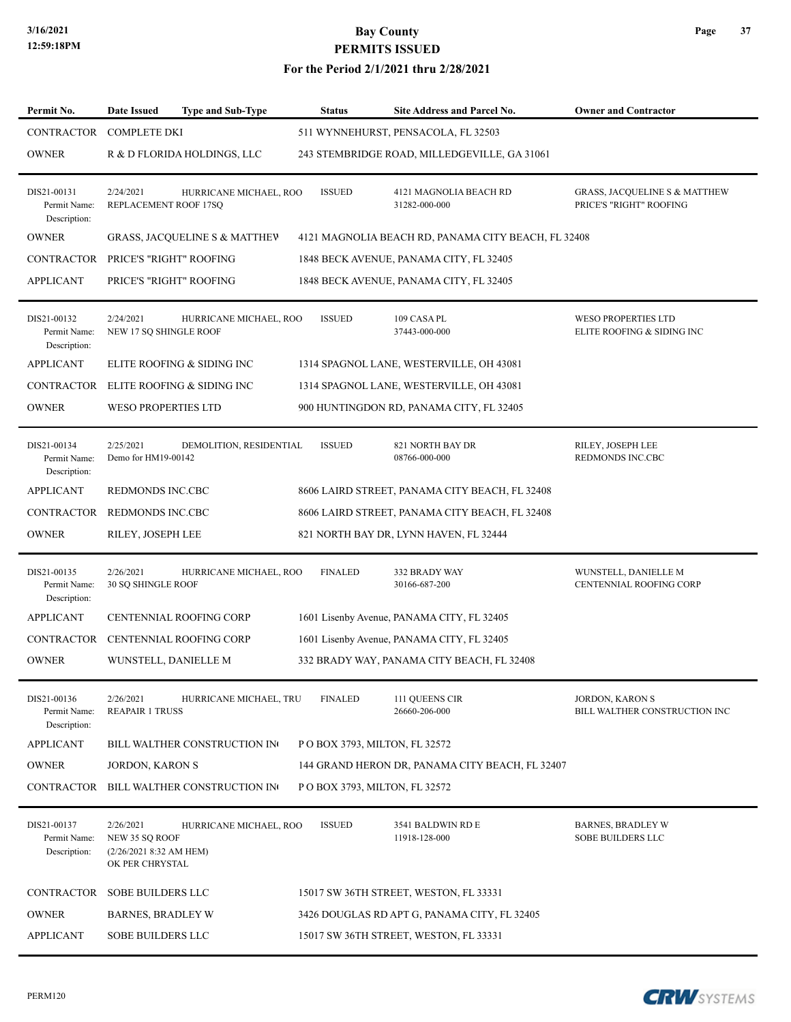#### **For the Period 2/1/2021 thru 2/28/2021**

| Permit No.                                  | Date Issued                                                               | <b>Type and Sub-Type</b>                 | <b>Status</b>  | Site Address and Parcel No.                         | <b>Owner and Contractor</b>                                         |
|---------------------------------------------|---------------------------------------------------------------------------|------------------------------------------|----------------|-----------------------------------------------------|---------------------------------------------------------------------|
| CONTRACTOR                                  | <b>COMPLETE DKI</b>                                                       |                                          |                | 511 WYNNEHURST, PENSACOLA, FL 32503                 |                                                                     |
| <b>OWNER</b>                                |                                                                           | R & D FLORIDA HOLDINGS, LLC              |                | 243 STEMBRIDGE ROAD, MILLEDGEVILLE, GA 31061        |                                                                     |
| DIS21-00131<br>Permit Name:<br>Description: | 2/24/2021<br>REPLACEMENT ROOF 17SQ                                        | HURRICANE MICHAEL, ROO                   | <b>ISSUED</b>  | 4121 MAGNOLIA BEACH RD<br>31282-000-000             | <b>GRASS, JACQUELINE S &amp; MATTHEW</b><br>PRICE'S "RIGHT" ROOFING |
| <b>OWNER</b>                                |                                                                           | <b>GRASS, JACQUELINE S &amp; MATTHEV</b> |                | 4121 MAGNOLIA BEACH RD, PANAMA CITY BEACH, FL 32408 |                                                                     |
| CONTRACTOR PRICE'S "RIGHT" ROOFING          |                                                                           |                                          |                | 1848 BECK AVENUE, PANAMA CITY, FL 32405             |                                                                     |
| <b>APPLICANT</b>                            | PRICE'S "RIGHT" ROOFING                                                   |                                          |                | 1848 BECK AVENUE, PANAMA CITY, FL 32405             |                                                                     |
| DIS21-00132<br>Permit Name:<br>Description: | 2/24/2021<br>NEW 17 SQ SHINGLE ROOF                                       | HURRICANE MICHAEL, ROO                   | <b>ISSUED</b>  | 109 CASA PL<br>37443-000-000                        | <b>WESO PROPERTIES LTD</b><br>ELITE ROOFING & SIDING INC            |
| <b>APPLICANT</b>                            |                                                                           | ELITE ROOFING & SIDING INC               |                | 1314 SPAGNOL LANE, WESTERVILLE, OH 43081            |                                                                     |
| <b>CONTRACTOR</b>                           |                                                                           | ELITE ROOFING & SIDING INC               |                | 1314 SPAGNOL LANE, WESTERVILLE, OH 43081            |                                                                     |
| <b>OWNER</b>                                | <b>WESO PROPERTIES LTD</b>                                                |                                          |                | 900 HUNTINGDON RD, PANAMA CITY, FL 32405            |                                                                     |
| DIS21-00134<br>Permit Name:<br>Description: | 2/25/2021<br>Demo for HM19-00142                                          | DEMOLITION, RESIDENTIAL                  | <b>ISSUED</b>  | 821 NORTH BAY DR<br>08766-000-000                   | RILEY, JOSEPH LEE<br><b>REDMONDS INC.CBC</b>                        |
| <b>APPLICANT</b>                            | REDMONDS INC.CBC                                                          |                                          |                | 8606 LAIRD STREET, PANAMA CITY BEACH, FL 32408      |                                                                     |
| CONTRACTOR REDMONDS INC.CBC                 |                                                                           |                                          |                | 8606 LAIRD STREET, PANAMA CITY BEACH, FL 32408      |                                                                     |
| <b>OWNER</b>                                | RILEY, JOSEPH LEE                                                         |                                          |                | 821 NORTH BAY DR, LYNN HAVEN, FL 32444              |                                                                     |
| DIS21-00135<br>Permit Name:<br>Description: | 2/26/2021<br>30 SQ SHINGLE ROOF                                           | HURRICANE MICHAEL, ROO                   | <b>FINALED</b> | 332 BRADY WAY<br>30166-687-200                      | WUNSTELL, DANIELLE M<br>CENTENNIAL ROOFING CORP                     |
| <b>APPLICANT</b>                            |                                                                           | <b>CENTENNIAL ROOFING CORP</b>           |                | 1601 Lisenby Avenue, PANAMA CITY, FL 32405          |                                                                     |
|                                             |                                                                           | CONTRACTOR CENTENNIAL ROOFING CORP       |                | 1601 Lisenby Avenue, PANAMA CITY, FL 32405          |                                                                     |
| <b>OWNER</b>                                | WUNSTELL, DANIELLE M                                                      |                                          |                | 332 BRADY WAY, PANAMA CITY BEACH, FL 32408          |                                                                     |
| DIS21-00136<br>Permit Name:<br>Description: | 2/26/2021<br><b>REAPAIR 1 TRUSS</b>                                       | HURRICANE MICHAEL, TRU                   | <b>FINALED</b> | 111 QUEENS CIR<br>26660-206-000                     | JORDON, KARON S<br>BILL WALTHER CONSTRUCTION INC                    |
| <b>APPLICANT</b>                            |                                                                           | BILL WALTHER CONSTRUCTION IN             |                | P O BOX 3793, MILTON, FL 32572                      |                                                                     |
| <b>OWNER</b>                                | JORDON, KARON S                                                           |                                          |                | 144 GRAND HERON DR, PANAMA CITY BEACH, FL 32407     |                                                                     |
|                                             |                                                                           | CONTRACTOR BILL WALTHER CONSTRUCTION IN  |                | P O BOX 3793, MILTON, FL 32572                      |                                                                     |
| DIS21-00137<br>Permit Name:<br>Description: | 2/26/2021<br>NEW 35 SQ ROOF<br>(2/26/2021 8:32 AM HEM)<br>OK PER CHRYSTAL | HURRICANE MICHAEL, ROO                   | <b>ISSUED</b>  | 3541 BALDWIN RD E<br>11918-128-000                  | <b>BARNES, BRADLEY W</b><br>SOBE BUILDERS LLC                       |
| CONTRACTOR                                  | SOBE BUILDERS LLC                                                         |                                          |                | 15017 SW 36TH STREET, WESTON, FL 33331              |                                                                     |
| <b>OWNER</b>                                | <b>BARNES, BRADLEY W</b>                                                  |                                          |                | 3426 DOUGLAS RD APT G, PANAMA CITY, FL 32405        |                                                                     |
| <b>APPLICANT</b>                            | <b>SOBE BUILDERS LLC</b>                                                  |                                          |                | 15017 SW 36TH STREET, WESTON, FL 33331              |                                                                     |

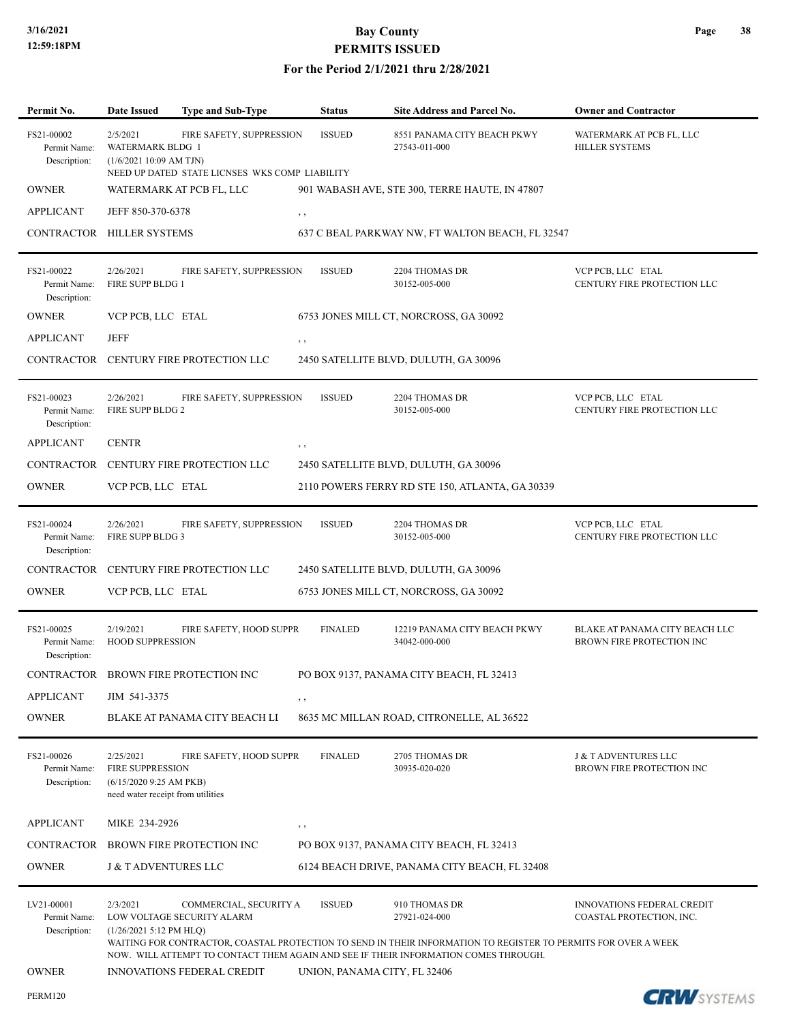### **3/16/2021 Bay County PERMITS ISSUED**

| Permit No.                                 | <b>Date Issued</b>                                                                                   | Type and Sub-Type                                                          | <b>Status</b>                | <b>Site Address and Parcel No.</b>                                                                                                                                                                                                      | <b>Owner and Contractor</b>                                   |
|--------------------------------------------|------------------------------------------------------------------------------------------------------|----------------------------------------------------------------------------|------------------------------|-----------------------------------------------------------------------------------------------------------------------------------------------------------------------------------------------------------------------------------------|---------------------------------------------------------------|
| FS21-00002<br>Permit Name:<br>Description: | 2/5/2021<br>WATERMARK BLDG 1<br>(1/6/202110:09 AM TJN)                                               | FIRE SAFETY, SUPPRESSION<br>NEED UP DATED STATE LICNSES WKS COMP LIABILITY | <b>ISSUED</b>                | 8551 PANAMA CITY BEACH PKWY<br>27543-011-000                                                                                                                                                                                            | WATERMARK AT PCB FL, LLC<br><b>HILLER SYSTEMS</b>             |
| <b>OWNER</b>                               |                                                                                                      | WATERMARK AT PCB FL, LLC                                                   |                              | 901 WABASH AVE, STE 300, TERRE HAUTE, IN 47807                                                                                                                                                                                          |                                                               |
| <b>APPLICANT</b>                           | JEFF 850-370-6378                                                                                    |                                                                            | , ,                          |                                                                                                                                                                                                                                         |                                                               |
| CONTRACTOR HILLER SYSTEMS                  |                                                                                                      |                                                                            |                              | 637 C BEAL PARKWAY NW, FT WALTON BEACH, FL 32547                                                                                                                                                                                        |                                                               |
| FS21-00022<br>Permit Name:<br>Description: | 2/26/2021<br>FIRE SUPP BLDG 1                                                                        | FIRE SAFETY, SUPPRESSION                                                   | <b>ISSUED</b>                | 2204 THOMAS DR<br>30152-005-000                                                                                                                                                                                                         | VCP PCB, LLC ETAL<br>CENTURY FIRE PROTECTION LLC              |
| <b>OWNER</b>                               | VCP PCB, LLC ETAL                                                                                    |                                                                            |                              | 6753 JONES MILL CT, NORCROSS, GA 30092                                                                                                                                                                                                  |                                                               |
| <b>APPLICANT</b>                           | JEFF                                                                                                 |                                                                            | , ,                          |                                                                                                                                                                                                                                         |                                                               |
|                                            |                                                                                                      | CONTRACTOR CENTURY FIRE PROTECTION LLC                                     |                              | 2450 SATELLITE BLVD, DULUTH, GA 30096                                                                                                                                                                                                   |                                                               |
| FS21-00023<br>Permit Name:<br>Description: | 2/26/2021<br>FIRE SUPP BLDG 2                                                                        | FIRE SAFETY, SUPPRESSION                                                   | <b>ISSUED</b>                | 2204 THOMAS DR<br>30152-005-000                                                                                                                                                                                                         | VCP PCB, LLC ETAL<br>CENTURY FIRE PROTECTION LLC              |
| <b>APPLICANT</b>                           | <b>CENTR</b>                                                                                         |                                                                            | , ,                          |                                                                                                                                                                                                                                         |                                                               |
| CONTRACTOR                                 |                                                                                                      | CENTURY FIRE PROTECTION LLC                                                |                              | 2450 SATELLITE BLVD, DULUTH, GA 30096                                                                                                                                                                                                   |                                                               |
| <b>OWNER</b>                               | VCP PCB, LLC ETAL                                                                                    |                                                                            |                              | 2110 POWERS FERRY RD STE 150, ATLANTA, GA 30339                                                                                                                                                                                         |                                                               |
| FS21-00024<br>Permit Name:<br>Description: | 2/26/2021<br>FIRE SUPP BLDG 3                                                                        | FIRE SAFETY, SUPPRESSION                                                   | <b>ISSUED</b>                | 2204 THOMAS DR<br>30152-005-000                                                                                                                                                                                                         | VCP PCB, LLC ETAL<br>CENTURY FIRE PROTECTION LLC              |
| <b>CONTRACTOR</b>                          |                                                                                                      | CENTURY FIRE PROTECTION LLC                                                |                              | 2450 SATELLITE BLVD, DULUTH, GA 30096                                                                                                                                                                                                   |                                                               |
| <b>OWNER</b>                               | VCP PCB, LLC ETAL                                                                                    |                                                                            |                              | 6753 JONES MILL CT, NORCROSS, GA 30092                                                                                                                                                                                                  |                                                               |
| FS21-00025<br>Permit Name:<br>Description: | 2/19/2021<br><b>HOOD SUPPRESSION</b>                                                                 | FIRE SAFETY, HOOD SUPPR                                                    | <b>FINALED</b>               | 12219 PANAMA CITY BEACH PKWY<br>34042-000-000                                                                                                                                                                                           | BLAKE AT PANAMA CITY BEACH LLC<br>BROWN FIRE PROTECTION INC   |
| CONTRACTOR                                 |                                                                                                      | BROWN FIRE PROTECTION INC                                                  |                              | PO BOX 9137, PANAMA CITY BEACH, FL 32413                                                                                                                                                                                                |                                                               |
| <b>APPLICANT</b>                           | JIM 541-3375                                                                                         |                                                                            | $, \, \cdot$                 |                                                                                                                                                                                                                                         |                                                               |
| <b>OWNER</b>                               |                                                                                                      | BLAKE AT PANAMA CITY BEACH LI                                              |                              | 8635 MC MILLAN ROAD, CITRONELLE, AL 36522                                                                                                                                                                                               |                                                               |
| FS21-00026<br>Permit Name:<br>Description: | 2/25/2021<br><b>FIRE SUPPRESSION</b><br>(6/15/2020 9:25 AM PKB)<br>need water receipt from utilities | FIRE SAFETY, HOOD SUPPR                                                    | <b>FINALED</b>               | 2705 THOMAS DR<br>30935-020-020                                                                                                                                                                                                         | <b>J &amp; TADVENTURES LLC</b><br>BROWN FIRE PROTECTION INC   |
| <b>APPLICANT</b>                           | MIKE 234-2926                                                                                        |                                                                            | $, \, ,$                     |                                                                                                                                                                                                                                         |                                                               |
| CONTRACTOR                                 |                                                                                                      | BROWN FIRE PROTECTION INC                                                  |                              | PO BOX 9137, PANAMA CITY BEACH, FL 32413                                                                                                                                                                                                |                                                               |
| <b>OWNER</b>                               | <b>J &amp; T ADVENTURES LLC</b>                                                                      |                                                                            |                              | 6124 BEACH DRIVE, PANAMA CITY BEACH, FL 32408                                                                                                                                                                                           |                                                               |
| LV21-00001<br>Permit Name:<br>Description: | 2/3/2021<br>$(1/26/20215:12$ PM HLQ)                                                                 | COMMERCIAL, SECURITY A<br>LOW VOLTAGE SECURITY ALARM                       | <b>ISSUED</b>                | 910 THOMAS DR<br>27921-024-000<br>WAITING FOR CONTRACTOR, COASTAL PROTECTION TO SEND IN THEIR INFORMATION TO REGISTER TO PERMITS FOR OVER A WEEK<br>NOW. WILL ATTEMPT TO CONTACT THEM AGAIN AND SEE IF THEIR INFORMATION COMES THROUGH. | <b>INNOVATIONS FEDERAL CREDIT</b><br>COASTAL PROTECTION, INC. |
| <b>OWNER</b>                               |                                                                                                      | <b>INNOVATIONS FEDERAL CREDIT</b>                                          | UNION, PANAMA CITY, FL 32406 |                                                                                                                                                                                                                                         |                                                               |
| <b>PERM120</b>                             |                                                                                                      |                                                                            |                              |                                                                                                                                                                                                                                         | <b>CRW</b> SYSTEMS                                            |

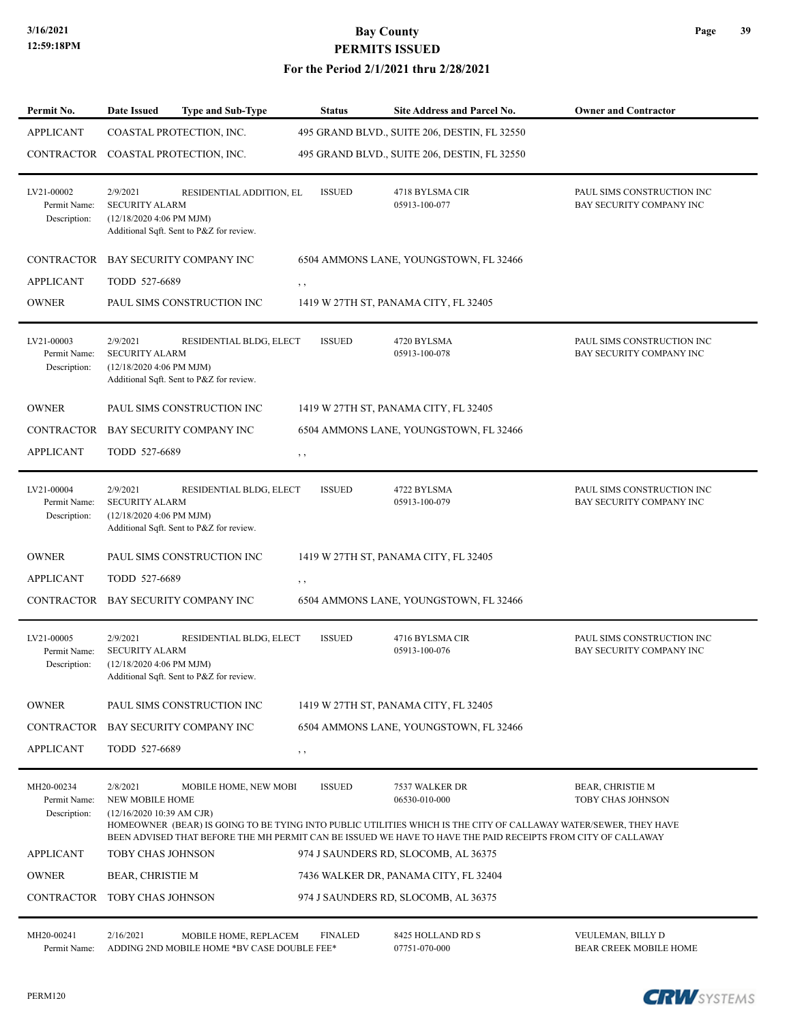#### **For the Period 2/1/2021 thru 2/28/2021**

| Permit No.                                 | Date Issued                                                     | <b>Type and Sub-Type</b>                                             | <b>Status</b>  | Site Address and Parcel No.                                                                                                                                                                                                                                         | <b>Owner and Contractor</b>                            |
|--------------------------------------------|-----------------------------------------------------------------|----------------------------------------------------------------------|----------------|---------------------------------------------------------------------------------------------------------------------------------------------------------------------------------------------------------------------------------------------------------------------|--------------------------------------------------------|
| <b>APPLICANT</b>                           |                                                                 | COASTAL PROTECTION, INC.                                             |                | 495 GRAND BLVD., SUITE 206, DESTIN, FL 32550                                                                                                                                                                                                                        |                                                        |
| CONTRACTOR COASTAL PROTECTION, INC.        |                                                                 |                                                                      |                | 495 GRAND BLVD., SUITE 206, DESTIN, FL 32550                                                                                                                                                                                                                        |                                                        |
| LV21-00002<br>Permit Name:<br>Description: | 2/9/2021<br><b>SECURITY ALARM</b><br>(12/18/2020 4:06 PM MJM)   | RESIDENTIAL ADDITION, EL<br>Additional Sqft. Sent to P&Z for review. | <b>ISSUED</b>  | 4718 BYLSMA CIR<br>05913-100-077                                                                                                                                                                                                                                    | PAUL SIMS CONSTRUCTION INC<br>BAY SECURITY COMPANY INC |
| <b>CONTRACTOR</b>                          |                                                                 | BAY SECURITY COMPANY INC                                             |                | 6504 AMMONS LANE, YOUNGSTOWN, FL 32466                                                                                                                                                                                                                              |                                                        |
| <b>APPLICANT</b>                           | TODD 527-6689                                                   |                                                                      | , ,            |                                                                                                                                                                                                                                                                     |                                                        |
| <b>OWNER</b>                               |                                                                 | PAUL SIMS CONSTRUCTION INC                                           |                | 1419 W 27TH ST, PANAMA CITY, FL 32405                                                                                                                                                                                                                               |                                                        |
| LV21-00003<br>Permit Name:<br>Description: | 2/9/2021<br><b>SECURITY ALARM</b><br>(12/18/2020 4:06 PM MJM)   | RESIDENTIAL BLDG, ELECT<br>Additional Sqft. Sent to P&Z for review.  | <b>ISSUED</b>  | 4720 BYLSMA<br>05913-100-078                                                                                                                                                                                                                                        | PAUL SIMS CONSTRUCTION INC<br>BAY SECURITY COMPANY INC |
| <b>OWNER</b>                               |                                                                 | PAUL SIMS CONSTRUCTION INC                                           |                | 1419 W 27TH ST, PANAMA CITY, FL 32405                                                                                                                                                                                                                               |                                                        |
| CONTRACTOR                                 |                                                                 | BAY SECURITY COMPANY INC                                             |                | 6504 AMMONS LANE, YOUNGSTOWN, FL 32466                                                                                                                                                                                                                              |                                                        |
| <b>APPLICANT</b>                           | TODD 527-6689                                                   |                                                                      | $, \, , \,$    |                                                                                                                                                                                                                                                                     |                                                        |
| LV21-00004<br>Permit Name:<br>Description: | 2/9/2021<br><b>SECURITY ALARM</b><br>(12/18/2020 4:06 PM MJM)   | RESIDENTIAL BLDG, ELECT<br>Additional Sqft. Sent to P&Z for review.  | <b>ISSUED</b>  | 4722 BYLSMA<br>05913-100-079                                                                                                                                                                                                                                        | PAUL SIMS CONSTRUCTION INC<br>BAY SECURITY COMPANY INC |
| <b>OWNER</b>                               |                                                                 | PAUL SIMS CONSTRUCTION INC                                           |                | 1419 W 27TH ST, PANAMA CITY, FL 32405                                                                                                                                                                                                                               |                                                        |
| <b>APPLICANT</b>                           | TODD 527-6689                                                   |                                                                      | , ,            |                                                                                                                                                                                                                                                                     |                                                        |
|                                            |                                                                 | CONTRACTOR BAY SECURITY COMPANY INC                                  |                | 6504 AMMONS LANE, YOUNGSTOWN, FL 32466                                                                                                                                                                                                                              |                                                        |
| LV21-00005<br>Permit Name:<br>Description: | 2/9/2021<br><b>SECURITY ALARM</b><br>(12/18/2020 4:06 PM MJM)   | RESIDENTIAL BLDG, ELECT<br>Additional Sqft. Sent to P&Z for review.  | <b>ISSUED</b>  | 4716 BYLSMA CIR<br>05913-100-076                                                                                                                                                                                                                                    | PAUL SIMS CONSTRUCTION INC<br>BAY SECURITY COMPANY INC |
| <b>OWNER</b>                               |                                                                 | PAUL SIMS CONSTRUCTION INC                                           |                | 1419 W 27TH ST, PANAMA CITY, FL 32405                                                                                                                                                                                                                               |                                                        |
| <b>CONTRACTOR</b>                          |                                                                 | BAY SECURITY COMPANY INC                                             |                | 6504 AMMONS LANE, YOUNGSTOWN, FL 32466                                                                                                                                                                                                                              |                                                        |
| <b>APPLICANT</b>                           | TODD 527-6689                                                   |                                                                      | $, \, , \,$    |                                                                                                                                                                                                                                                                     |                                                        |
| MH20-00234<br>Permit Name:<br>Description: | 2/8/2021<br><b>NEW MOBILE HOME</b><br>(12/16/2020 10:39 AM CJR) | MOBILE HOME, NEW MOBI                                                | <b>ISSUED</b>  | 7537 WALKER DR<br>06530-010-000<br>HOMEOWNER (BEAR) IS GOING TO BE TYING INTO PUBLIC UTILITIES WHICH IS THE CITY OF CALLAWAY WATER/SEWER, THEY HAVE<br>BEEN ADVISED THAT BEFORE THE MH PERMIT CAN BE ISSUED WE HAVE TO HAVE THE PAID RECEIPTS FROM CITY OF CALLAWAY | <b>BEAR, CHRISTIE M</b><br><b>TOBY CHAS JOHNSON</b>    |
| <b>APPLICANT</b>                           | TOBY CHAS JOHNSON                                               |                                                                      |                | 974 J SAUNDERS RD, SLOCOMB, AL 36375                                                                                                                                                                                                                                |                                                        |
| <b>OWNER</b>                               | <b>BEAR, CHRISTIE M</b>                                         |                                                                      |                | 7436 WALKER DR, PANAMA CITY, FL 32404                                                                                                                                                                                                                               |                                                        |
| CONTRACTOR                                 | TOBY CHAS JOHNSON                                               |                                                                      |                | 974 J SAUNDERS RD, SLOCOMB, AL 36375                                                                                                                                                                                                                                |                                                        |
| MH20-00241                                 | 2/16/2021                                                       | MOBILE HOME, REPLACEM                                                | <b>FINALED</b> | 8425 HOLLAND RD S                                                                                                                                                                                                                                                   | VEULEMAN, BILLY D                                      |



Permit Name: ADDING 2ND MOBILE HOME \*BV CASE DOUBLE FEE\* 07751-070-000 BEAR CREEK MOBILE HOME

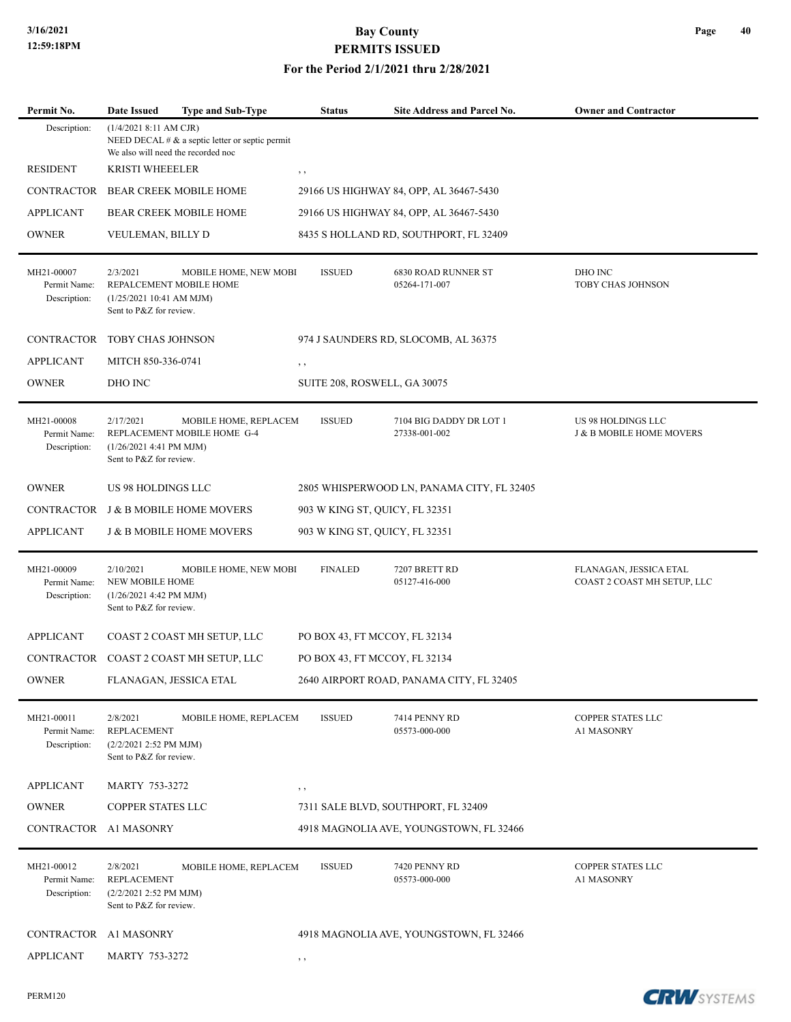#### **For the Period 2/1/2021 thru 2/28/2021**

| Permit No.                                 | Date Issued                                                                                | <b>Type and Sub-Type</b>                             | <b>Status</b>                  | Site Address and Parcel No.                 | <b>Owner and Contractor</b>                           |
|--------------------------------------------|--------------------------------------------------------------------------------------------|------------------------------------------------------|--------------------------------|---------------------------------------------|-------------------------------------------------------|
| Description:                               | (1/4/2021 8:11 AM CJR)<br>We also will need the recorded noc                               | NEED DECAL $# \& a$ septic letter or septic permit   |                                |                                             |                                                       |
| <b>RESIDENT</b>                            | <b>KRISTI WHEEELER</b>                                                                     |                                                      | $, \, , \,$                    |                                             |                                                       |
| <b>CONTRACTOR</b>                          |                                                                                            | <b>BEAR CREEK MOBILE HOME</b>                        |                                | 29166 US HIGHWAY 84, OPP, AL 36467-5430     |                                                       |
| <b>APPLICANT</b>                           |                                                                                            | <b>BEAR CREEK MOBILE HOME</b>                        |                                | 29166 US HIGHWAY 84, OPP, AL 36467-5430     |                                                       |
| <b>OWNER</b>                               | VEULEMAN, BILLY D                                                                          |                                                      |                                | 8435 S HOLLAND RD, SOUTHPORT, FL 32409      |                                                       |
| MH21-00007<br>Permit Name:<br>Description: | 2/3/2021<br>REPALCEMENT MOBILE HOME<br>(1/25/2021 10:41 AM MJM)<br>Sent to P&Z for review. | MOBILE HOME, NEW MOBI                                | <b>ISSUED</b>                  | <b>6830 ROAD RUNNER ST</b><br>05264-171-007 | DHO INC<br>TOBY CHAS JOHNSON                          |
| <b>CONTRACTOR</b>                          | TOBY CHAS JOHNSON                                                                          |                                                      |                                | 974 J SAUNDERS RD, SLOCOMB, AL 36375        |                                                       |
| <b>APPLICANT</b>                           | MITCH 850-336-0741                                                                         |                                                      | , ,                            |                                             |                                                       |
| <b>OWNER</b>                               | DHO INC                                                                                    |                                                      | SUITE 208, ROSWELL, GA 30075   |                                             |                                                       |
| MH21-00008<br>Permit Name:<br>Description: | 2/17/2021<br>(1/26/2021 4:41 PM MJM)<br>Sent to P&Z for review.                            | MOBILE HOME, REPLACEM<br>REPLACEMENT MOBILE HOME G-4 | <b>ISSUED</b>                  | 7104 BIG DADDY DR LOT 1<br>27338-001-002    | US 98 HOLDINGS LLC<br>J & B MOBILE HOME MOVERS        |
| <b>OWNER</b>                               | US 98 HOLDINGS LLC                                                                         |                                                      |                                | 2805 WHISPERWOOD LN, PANAMA CITY, FL 32405  |                                                       |
|                                            |                                                                                            | CONTRACTOR J & B MOBILE HOME MOVERS                  | 903 W KING ST, QUICY, FL 32351 |                                             |                                                       |
| <b>APPLICANT</b>                           |                                                                                            | <b>J &amp; B MOBILE HOME MOVERS</b>                  | 903 W KING ST, QUICY, FL 32351 |                                             |                                                       |
| MH21-00009<br>Permit Name:<br>Description: | 2/10/2021<br><b>NEW MOBILE HOME</b><br>(1/26/2021 4:42 PM MJM)<br>Sent to P&Z for review.  | MOBILE HOME, NEW MOBI                                | <b>FINALED</b>                 | 7207 BRETT RD<br>05127-416-000              | FLANAGAN, JESSICA ETAL<br>COAST 2 COAST MH SETUP, LLC |
| <b>APPLICANT</b>                           |                                                                                            | COAST 2 COAST MH SETUP, LLC                          | PO BOX 43, FT MCCOY, FL 32134  |                                             |                                                       |
|                                            |                                                                                            | CONTRACTOR COAST 2 COAST MH SETUP, LLC               | PO BOX 43, FT MCCOY, FL 32134  |                                             |                                                       |
| <b>OWNER</b>                               | FLANAGAN, JESSICA ETAL                                                                     |                                                      |                                | 2640 AIRPORT ROAD, PANAMA CITY, FL 32405    |                                                       |
| MH21-00011<br>Permit Name:<br>Description: | 2/8/2021<br><b>REPLACEMENT</b><br>(2/2/2021 2:52 PM MJM)<br>Sent to P&Z for review.        | MOBILE HOME, REPLACEM                                | <b>ISSUED</b>                  | 7414 PENNY RD<br>05573-000-000              | COPPER STATES LLC<br>A1 MASONRY                       |
| <b>APPLICANT</b>                           | <b>MARTY 753-3272</b>                                                                      |                                                      | , ,                            |                                             |                                                       |
| <b>OWNER</b>                               | COPPER STATES LLC                                                                          |                                                      |                                | 7311 SALE BLVD, SOUTHPORT, FL 32409         |                                                       |
| CONTRACTOR A1 MASONRY                      |                                                                                            |                                                      |                                | 4918 MAGNOLIA AVE, YOUNGSTOWN, FL 32466     |                                                       |
| MH21-00012<br>Permit Name:<br>Description: | 2/8/2021<br><b>REPLACEMENT</b><br>(2/2/2021 2:52 PM MJM)<br>Sent to P&Z for review.        | MOBILE HOME, REPLACEM                                | <b>ISSUED</b>                  | 7420 PENNY RD<br>05573-000-000              | COPPER STATES LLC<br>A1 MASONRY                       |
| CONTRACTOR A1 MASONRY                      |                                                                                            |                                                      |                                | 4918 MAGNOLIA AVE, YOUNGSTOWN, FL 32466     |                                                       |
| <b>APPLICANT</b>                           | MARTY 753-3272                                                                             |                                                      | , ,                            |                                             |                                                       |

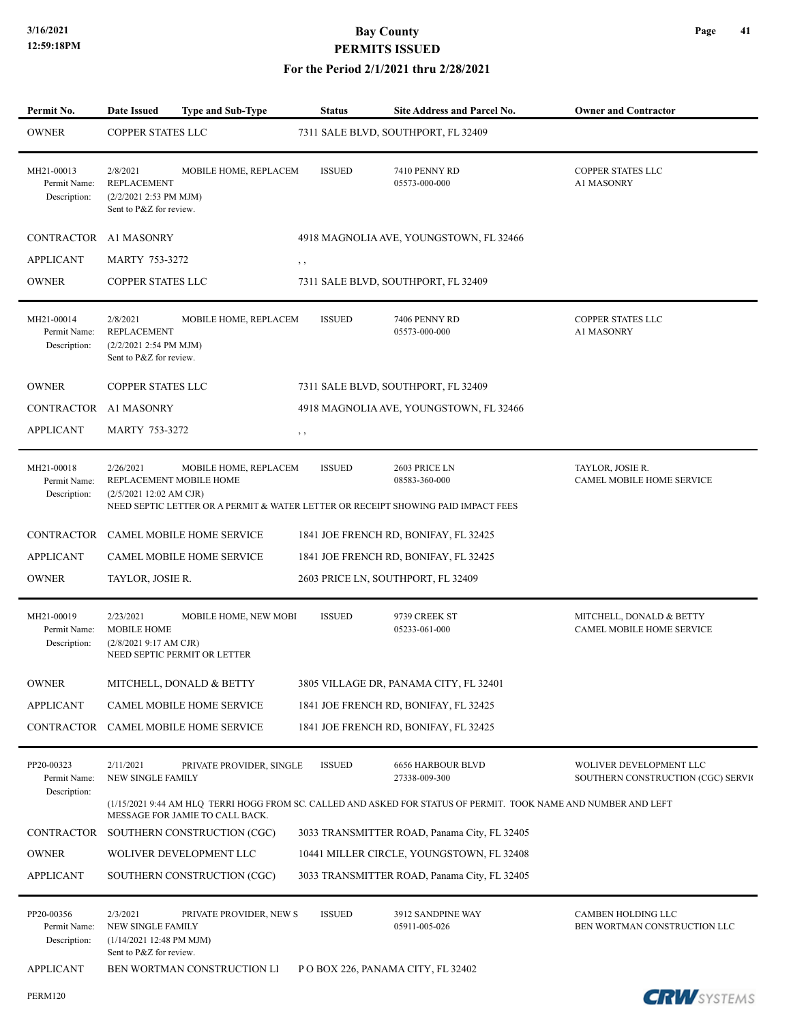#### **For the Period 2/1/2021 thru 2/28/2021**

| Permit No.                                                     | <b>Date Issued</b>                                                                   | Type and Sub-Type                                            | <b>Status</b> | Site Address and Parcel No.                                                                                         | <b>Owner and Contractor</b>                                   |
|----------------------------------------------------------------|--------------------------------------------------------------------------------------|--------------------------------------------------------------|---------------|---------------------------------------------------------------------------------------------------------------------|---------------------------------------------------------------|
| <b>OWNER</b>                                                   | <b>COPPER STATES LLC</b>                                                             |                                                              |               | 7311 SALE BLVD, SOUTHPORT, FL 32409                                                                                 |                                                               |
| MH21-00013<br>Permit Name:<br>Description:                     | 2/8/2021<br><b>REPLACEMENT</b><br>(2/2/2021 2:53 PM MJM)<br>Sent to P&Z for review.  | MOBILE HOME, REPLACEM                                        | <b>ISSUED</b> | 7410 PENNY RD<br>05573-000-000                                                                                      | <b>COPPER STATES LLC</b><br>A1 MASONRY                        |
| CONTRACTOR A1 MASONRY                                          |                                                                                      |                                                              |               | 4918 MAGNOLIA AVE, YOUNGSTOWN, FL 32466                                                                             |                                                               |
| <b>APPLICANT</b>                                               | <b>MARTY 753-3272</b>                                                                |                                                              | , ,           |                                                                                                                     |                                                               |
| <b>OWNER</b>                                                   | COPPER STATES LLC                                                                    |                                                              |               | 7311 SALE BLVD, SOUTHPORT, FL 32409                                                                                 |                                                               |
| MH21-00014<br>Permit Name:<br>Description:                     | 2/8/2021<br><b>REPLACEMENT</b><br>(2/2/2021 2:54 PM MJM)<br>Sent to P&Z for review.  | MOBILE HOME, REPLACEM                                        | <b>ISSUED</b> | 7406 PENNY RD<br>05573-000-000                                                                                      | COPPER STATES LLC<br>A1 MASONRY                               |
| <b>OWNER</b>                                                   | COPPER STATES LLC                                                                    |                                                              |               | 7311 SALE BLVD, SOUTHPORT, FL 32409                                                                                 |                                                               |
| CONTRACTOR A1 MASONRY                                          |                                                                                      |                                                              |               | 4918 MAGNOLIA AVE, YOUNGSTOWN, FL 32466                                                                             |                                                               |
| <b>APPLICANT</b>                                               | <b>MARTY 753-3272</b>                                                                |                                                              | , ,           |                                                                                                                     |                                                               |
| MH21-00018<br>Permit Name:<br>Description:                     | 2/26/2021<br>REPLACEMENT MOBILE HOME<br>(2/5/2021 12:02 AM CJR)                      | MOBILE HOME, REPLACEM                                        | <b>ISSUED</b> | 2603 PRICE LN<br>08583-360-000<br>NEED SEPTIC LETTER OR A PERMIT & WATER LETTER OR RECEIPT SHOWING PAID IMPACT FEES | TAYLOR, JOSIE R.<br>CAMEL MOBILE HOME SERVICE                 |
| CONTRACTOR                                                     |                                                                                      | <b>CAMEL MOBILE HOME SERVICE</b>                             |               | 1841 JOE FRENCH RD, BONIFAY, FL 32425                                                                               |                                                               |
| <b>APPLICANT</b>                                               |                                                                                      | <b>CAMEL MOBILE HOME SERVICE</b>                             |               | 1841 JOE FRENCH RD, BONIFAY, FL 32425                                                                               |                                                               |
| <b>OWNER</b>                                                   | TAYLOR, JOSIE R.                                                                     |                                                              |               | 2603 PRICE LN, SOUTHPORT, FL 32409                                                                                  |                                                               |
| MH21-00019<br>Permit Name:<br>Description:                     | 2/23/2021<br><b>MOBILE HOME</b><br>(2/8/20219:17 AM CJR)                             | <b>MOBILE HOME, NEW MOBI</b><br>NEED SEPTIC PERMIT OR LETTER | <b>ISSUED</b> | 9739 CREEK ST<br>05233-061-000                                                                                      | MITCHELL, DONALD & BETTY<br>CAMEL MOBILE HOME SERVICE         |
| <b>OWNER</b>                                                   |                                                                                      | MITCHELL, DONALD & BETTY                                     |               | 3805 VILLAGE DR, PANAMA CITY, FL 32401                                                                              |                                                               |
| <b>APPLICANT</b>                                               |                                                                                      | <b>CAMEL MOBILE HOME SERVICE</b>                             |               | 1841 JOE FRENCH RD, BONIFAY, FL 32425                                                                               |                                                               |
|                                                                |                                                                                      | CONTRACTOR CAMEL MOBILE HOME SERVICE                         |               | 1841 JOE FRENCH RD, BONIFAY, FL 32425                                                                               |                                                               |
| PP20-00323<br>Permit Name:<br>Description:                     | 2/11/2021<br><b>NEW SINGLE FAMILY</b>                                                | PRIVATE PROVIDER, SINGLE                                     | <b>ISSUED</b> | <b>6656 HARBOUR BLVD</b><br>27338-009-300                                                                           | WOLIVER DEVELOPMENT LLC<br>SOUTHERN CONSTRUCTION (CGC) SERVIC |
|                                                                |                                                                                      | MESSAGE FOR JAMIE TO CALL BACK.                              |               | (1/15/2021 9:44 AM HLQ TERRI HOGG FROM SC. CALLED AND ASKED FOR STATUS OF PERMIT. TOOK NAME AND NUMBER AND LEFT     |                                                               |
| CONTRACTOR                                                     |                                                                                      | SOUTHERN CONSTRUCTION (CGC)                                  |               | 3033 TRANSMITTER ROAD, Panama City, FL 32405                                                                        |                                                               |
| <b>OWNER</b>                                                   |                                                                                      | WOLIVER DEVELOPMENT LLC                                      |               | 10441 MILLER CIRCLE, YOUNGSTOWN, FL 32408                                                                           |                                                               |
| <b>APPLICANT</b>                                               |                                                                                      | SOUTHERN CONSTRUCTION (CGC)                                  |               | 3033 TRANSMITTER ROAD, Panama City, FL 32405                                                                        |                                                               |
| PP20-00356<br>Permit Name:<br>Description:<br><b>APPLICANT</b> | 2/3/2021<br>NEW SINGLE FAMILY<br>(1/14/2021 12:48 PM MJM)<br>Sent to P&Z for review. | PRIVATE PROVIDER, NEW S<br>BEN WORTMAN CONSTRUCTION LI       | <b>ISSUED</b> | 3912 SANDPINE WAY<br>05911-005-026<br>P O BOX 226, PANAMA CITY, FL 32402                                            | CAMBEN HOLDING LLC<br>BEN WORTMAN CONSTRUCTION LLC            |
|                                                                |                                                                                      |                                                              |               |                                                                                                                     |                                                               |

PERM120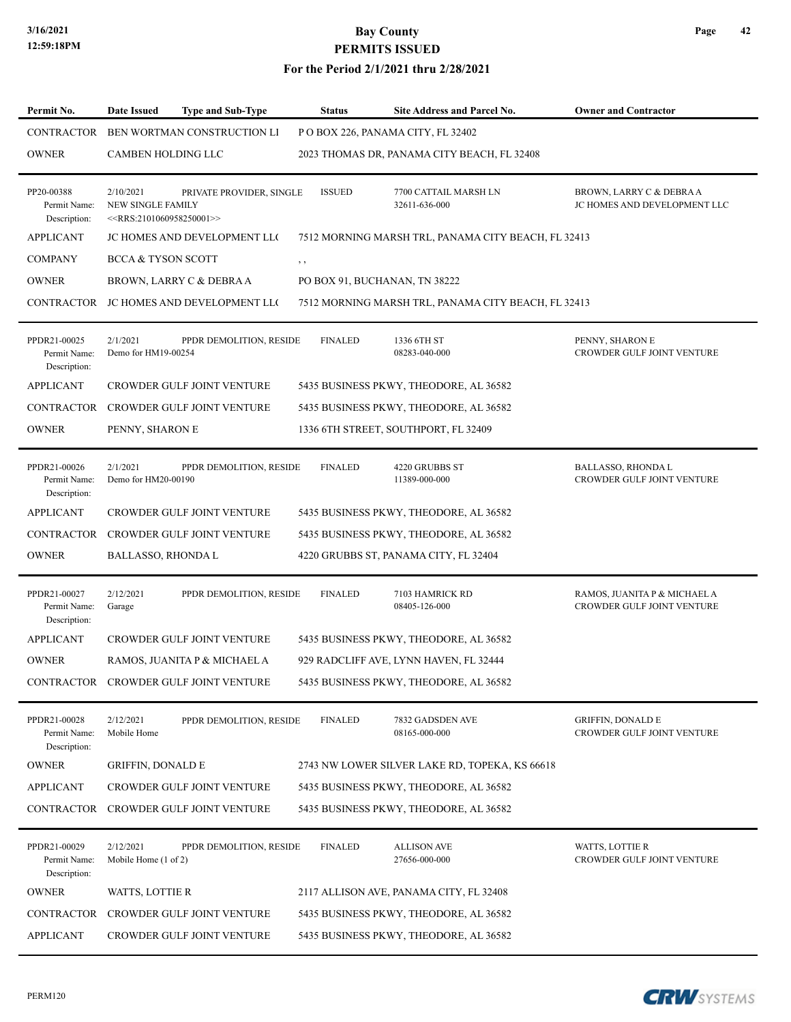#### **For the Period 2/1/2021 thru 2/28/2021**

| Permit No.                                   | Date Issued                                                          | <b>Type and Sub-Type</b>              | <b>Status</b>                 | Site Address and Parcel No.                         | <b>Owner and Contractor</b>                                |
|----------------------------------------------|----------------------------------------------------------------------|---------------------------------------|-------------------------------|-----------------------------------------------------|------------------------------------------------------------|
| CONTRACTOR                                   |                                                                      | <b>BEN WORTMAN CONSTRUCTION LI</b>    |                               | P O BOX 226, PANAMA CITY, FL 32402                  |                                                            |
| <b>OWNER</b>                                 | <b>CAMBEN HOLDING LLC</b>                                            |                                       |                               | 2023 THOMAS DR, PANAMA CITY BEACH, FL 32408         |                                                            |
| PP20-00388<br>Permit Name:<br>Description:   | 2/10/2021<br><b>NEW SINGLE FAMILY</b><br>$<<$ RRS:2101060958250001>> | PRIVATE PROVIDER, SINGLE              | <b>ISSUED</b>                 | 7700 CATTAIL MARSH LN<br>32611-636-000              | BROWN, LARRY C & DEBRA A<br>JC HOMES AND DEVELOPMENT LLC   |
| <b>APPLICANT</b>                             |                                                                      | <b>JC HOMES AND DEVELOPMENT LLO</b>   |                               | 7512 MORNING MARSH TRL, PANAMA CITY BEACH, FL 32413 |                                                            |
| <b>COMPANY</b>                               | <b>BCCA &amp; TYSON SCOTT</b>                                        |                                       | $, \, , \,$                   |                                                     |                                                            |
| <b>OWNER</b>                                 |                                                                      | BROWN, LARRY C & DEBRA A              | PO BOX 91, BUCHANAN, TN 38222 |                                                     |                                                            |
| CONTRACTOR                                   |                                                                      | JC HOMES AND DEVELOPMENT LLO          |                               | 7512 MORNING MARSH TRL, PANAMA CITY BEACH, FL 32413 |                                                            |
| PPDR21-00025<br>Permit Name:<br>Description: | 2/1/2021<br>Demo for HM19-00254                                      | PPDR DEMOLITION, RESIDE               | <b>FINALED</b>                | 1336 6TH ST<br>08283-040-000                        | PENNY, SHARON E<br>CROWDER GULF JOINT VENTURE              |
| <b>APPLICANT</b>                             |                                                                      | <b>CROWDER GULF JOINT VENTURE</b>     |                               | 5435 BUSINESS PKWY, THEODORE, AL 36582              |                                                            |
| <b>CONTRACTOR</b>                            |                                                                      | <b>CROWDER GULF JOINT VENTURE</b>     |                               | 5435 BUSINESS PKWY, THEODORE, AL 36582              |                                                            |
| <b>OWNER</b>                                 | PENNY, SHARON E                                                      |                                       |                               | 1336 6TH STREET, SOUTHPORT, FL 32409                |                                                            |
| PPDR21-00026<br>Permit Name:<br>Description: | 2/1/2021<br>Demo for HM20-00190                                      | PPDR DEMOLITION, RESIDE               | <b>FINALED</b>                | 4220 GRUBBS ST<br>11389-000-000                     | <b>BALLASSO, RHONDA L</b><br>CROWDER GULF JOINT VENTURE    |
| <b>APPLICANT</b>                             |                                                                      | CROWDER GULF JOINT VENTURE            |                               | 5435 BUSINESS PKWY, THEODORE, AL 36582              |                                                            |
| <b>CONTRACTOR</b>                            |                                                                      | <b>CROWDER GULF JOINT VENTURE</b>     |                               | 5435 BUSINESS PKWY, THEODORE, AL 36582              |                                                            |
| <b>OWNER</b>                                 | <b>BALLASSO, RHONDAL</b>                                             |                                       |                               | 4220 GRUBBS ST, PANAMA CITY, FL 32404               |                                                            |
| PPDR21-00027<br>Permit Name:<br>Description: | 2/12/2021<br>Garage                                                  | PPDR DEMOLITION, RESIDE               | <b>FINALED</b>                | 7103 HAMRICK RD<br>08405-126-000                    | RAMOS, JUANITA P & MICHAEL A<br>CROWDER GULF JOINT VENTURE |
| <b>APPLICANT</b>                             |                                                                      | <b>CROWDER GULF JOINT VENTURE</b>     |                               | 5435 BUSINESS PKWY, THEODORE, AL 36582              |                                                            |
| <b>OWNER</b>                                 |                                                                      | RAMOS, JUANITA P & MICHAEL A          |                               | 929 RADCLIFF AVE, LYNN HAVEN, FL 32444              |                                                            |
|                                              |                                                                      | CONTRACTOR CROWDER GULF JOINT VENTURE |                               | 5435 BUSINESS PKWY, THEODORE, AL 36582              |                                                            |
| PPDR21-00028<br>Permit Name:<br>Description: | 2/12/2021<br>Mobile Home                                             | PPDR DEMOLITION, RESIDE               | <b>FINALED</b>                | 7832 GADSDEN AVE<br>08165-000-000                   | <b>GRIFFIN, DONALD E</b><br>CROWDER GULF JOINT VENTURE     |
| <b>OWNER</b>                                 | <b>GRIFFIN, DONALD E</b>                                             |                                       |                               | 2743 NW LOWER SILVER LAKE RD, TOPEKA, KS 66618      |                                                            |
| <b>APPLICANT</b>                             |                                                                      | CROWDER GULF JOINT VENTURE            |                               | 5435 BUSINESS PKWY, THEODORE, AL 36582              |                                                            |
|                                              |                                                                      | CONTRACTOR CROWDER GULF JOINT VENTURE |                               | 5435 BUSINESS PKWY, THEODORE, AL 36582              |                                                            |
| PPDR21-00029<br>Permit Name:<br>Description: | 2/12/2021<br>Mobile Home (1 of 2)                                    | PPDR DEMOLITION, RESIDE               | <b>FINALED</b>                | <b>ALLISON AVE</b><br>27656-000-000                 | <b>WATTS, LOTTIE R</b><br>CROWDER GULF JOINT VENTURE       |
| <b>OWNER</b>                                 | WATTS, LOTTIE R                                                      |                                       |                               | 2117 ALLISON AVE, PANAMA CITY, FL 32408             |                                                            |
| CONTRACTOR                                   |                                                                      | CROWDER GULF JOINT VENTURE            |                               | 5435 BUSINESS PKWY, THEODORE, AL 36582              |                                                            |
| <b>APPLICANT</b>                             |                                                                      | CROWDER GULF JOINT VENTURE            |                               | 5435 BUSINESS PKWY, THEODORE, AL 36582              |                                                            |

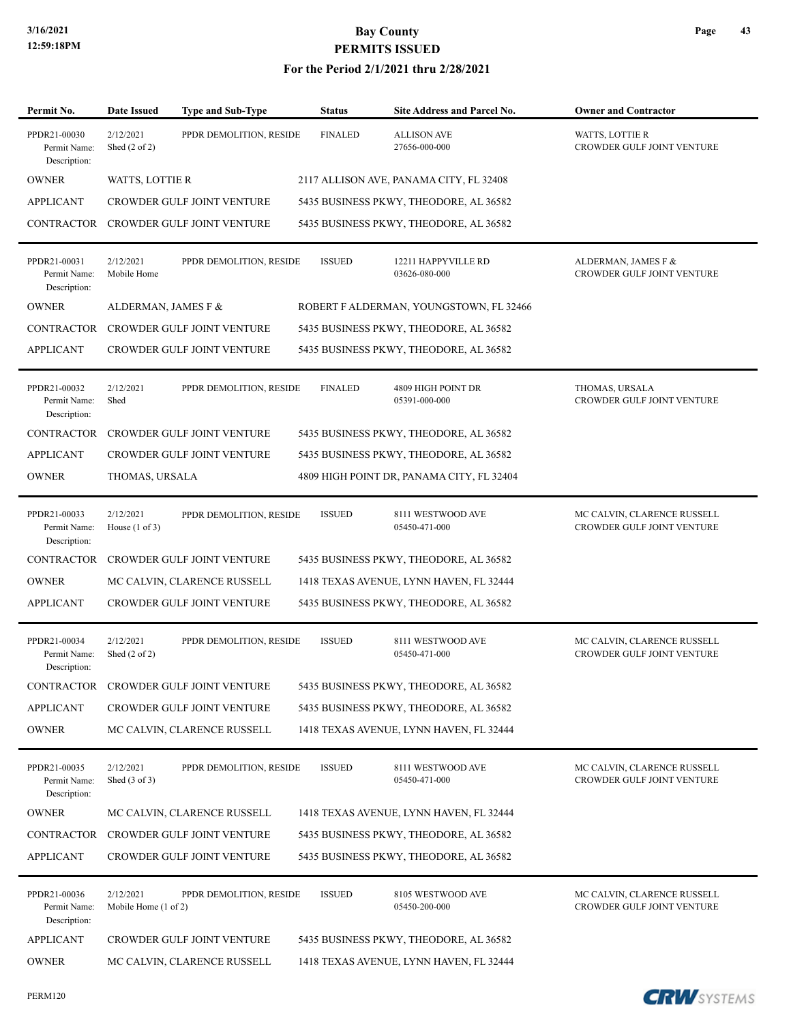| Permit No.                                   | <b>Date Issued</b>                     | <b>Type and Sub-Type</b>          | <b>Status</b>  | <b>Site Address and Parcel No.</b>        | <b>Owner and Contractor</b>                               |
|----------------------------------------------|----------------------------------------|-----------------------------------|----------------|-------------------------------------------|-----------------------------------------------------------|
| PPDR21-00030<br>Permit Name:<br>Description: | 2/12/2021<br>Shed $(2 \text{ of } 2)$  | PPDR DEMOLITION, RESIDE           | <b>FINALED</b> | <b>ALLISON AVE</b><br>27656-000-000       | WATTS, LOTTIE R<br>CROWDER GULF JOINT VENTURE             |
| <b>OWNER</b>                                 | <b>WATTS, LOTTIE R</b>                 |                                   |                | 2117 ALLISON AVE, PANAMA CITY, FL 32408   |                                                           |
| <b>APPLICANT</b>                             |                                        | CROWDER GULF JOINT VENTURE        |                | 5435 BUSINESS PKWY, THEODORE, AL 36582    |                                                           |
| CONTRACTOR                                   |                                        | <b>CROWDER GULF JOINT VENTURE</b> |                | 5435 BUSINESS PKWY, THEODORE, AL 36582    |                                                           |
| PPDR21-00031<br>Permit Name:<br>Description: | 2/12/2021<br>Mobile Home               | PPDR DEMOLITION, RESIDE           | <b>ISSUED</b>  | 12211 HAPPYVILLE RD<br>03626-080-000      | ALDERMAN, JAMES F &<br>CROWDER GULF JOINT VENTURE         |
| <b>OWNER</b>                                 | ALDERMAN, JAMES F &                    |                                   |                | ROBERT F ALDERMAN, YOUNGSTOWN, FL 32466   |                                                           |
| CONTRACTOR                                   |                                        | <b>CROWDER GULF JOINT VENTURE</b> |                | 5435 BUSINESS PKWY, THEODORE, AL 36582    |                                                           |
| <b>APPLICANT</b>                             |                                        | CROWDER GULF JOINT VENTURE        |                | 5435 BUSINESS PKWY, THEODORE, AL 36582    |                                                           |
| PPDR21-00032<br>Permit Name:<br>Description: | 2/12/2021<br>Shed                      | PPDR DEMOLITION, RESIDE           | <b>FINALED</b> | 4809 HIGH POINT DR<br>05391-000-000       | THOMAS, URSALA<br>CROWDER GULF JOINT VENTURE              |
| <b>CONTRACTOR</b>                            |                                        | <b>CROWDER GULF JOINT VENTURE</b> |                | 5435 BUSINESS PKWY, THEODORE, AL 36582    |                                                           |
| <b>APPLICANT</b>                             |                                        | CROWDER GULF JOINT VENTURE        |                | 5435 BUSINESS PKWY, THEODORE, AL 36582    |                                                           |
| <b>OWNER</b>                                 | THOMAS, URSALA                         |                                   |                | 4809 HIGH POINT DR, PANAMA CITY, FL 32404 |                                                           |
| PPDR21-00033<br>Permit Name:<br>Description: | 2/12/2021<br>House $(1 \text{ of } 3)$ | PPDR DEMOLITION, RESIDE           | <b>ISSUED</b>  | 8111 WESTWOOD AVE<br>05450-471-000        | MC CALVIN, CLARENCE RUSSELL<br>CROWDER GULF JOINT VENTURE |
| <b>CONTRACTOR</b>                            |                                        | CROWDER GULF JOINT VENTURE        |                | 5435 BUSINESS PKWY, THEODORE, AL 36582    |                                                           |
| <b>OWNER</b>                                 |                                        | MC CALVIN, CLARENCE RUSSELL       |                | 1418 TEXAS AVENUE, LYNN HAVEN, FL 32444   |                                                           |
| <b>APPLICANT</b>                             |                                        | CROWDER GULF JOINT VENTURE        |                | 5435 BUSINESS PKWY, THEODORE, AL 36582    |                                                           |
| PPDR21-00034<br>Permit Name:<br>Description: | 2/12/2021<br>Shed $(2 \text{ of } 2)$  | PPDR DEMOLITION, RESIDE           | <b>ISSUED</b>  | 8111 WESTWOOD AVE<br>05450-471-000        | MC CALVIN, CLARENCE RUSSELL<br>CROWDER GULF JOINT VENTURE |
| CONTRACTOR                                   |                                        | CROWDER GULF JOINT VENTURE        |                | 5435 BUSINESS PKWY, THEODORE, AL 36582    |                                                           |
| <b>APPLICANT</b>                             |                                        | CROWDER GULF JOINT VENTURE        |                | 5435 BUSINESS PKWY, THEODORE, AL 36582    |                                                           |
| <b>OWNER</b>                                 |                                        | MC CALVIN, CLARENCE RUSSELL       |                | 1418 TEXAS AVENUE, LYNN HAVEN, FL 32444   |                                                           |
| PPDR21-00035<br>Permit Name:<br>Description: | 2/12/2021<br>Shed $(3 \text{ of } 3)$  | PPDR DEMOLITION, RESIDE           | <b>ISSUED</b>  | 8111 WESTWOOD AVE<br>05450-471-000        | MC CALVIN, CLARENCE RUSSELL<br>CROWDER GULF JOINT VENTURE |
| <b>OWNER</b>                                 |                                        | MC CALVIN, CLARENCE RUSSELL       |                | 1418 TEXAS AVENUE, LYNN HAVEN, FL 32444   |                                                           |
| <b>CONTRACTOR</b>                            |                                        | CROWDER GULF JOINT VENTURE        |                | 5435 BUSINESS PKWY, THEODORE, AL 36582    |                                                           |
| <b>APPLICANT</b>                             |                                        | CROWDER GULF JOINT VENTURE        |                | 5435 BUSINESS PKWY, THEODORE, AL 36582    |                                                           |
| PPDR21-00036<br>Permit Name:<br>Description: | 2/12/2021<br>Mobile Home (1 of 2)      | PPDR DEMOLITION, RESIDE           | <b>ISSUED</b>  | 8105 WESTWOOD AVE<br>05450-200-000        | MC CALVIN, CLARENCE RUSSELL<br>CROWDER GULF JOINT VENTURE |
| <b>APPLICANT</b>                             |                                        | CROWDER GULF JOINT VENTURE        |                | 5435 BUSINESS PKWY, THEODORE, AL 36582    |                                                           |
| <b>OWNER</b>                                 |                                        | MC CALVIN, CLARENCE RUSSELL       |                | 1418 TEXAS AVENUE, LYNN HAVEN, FL 32444   |                                                           |



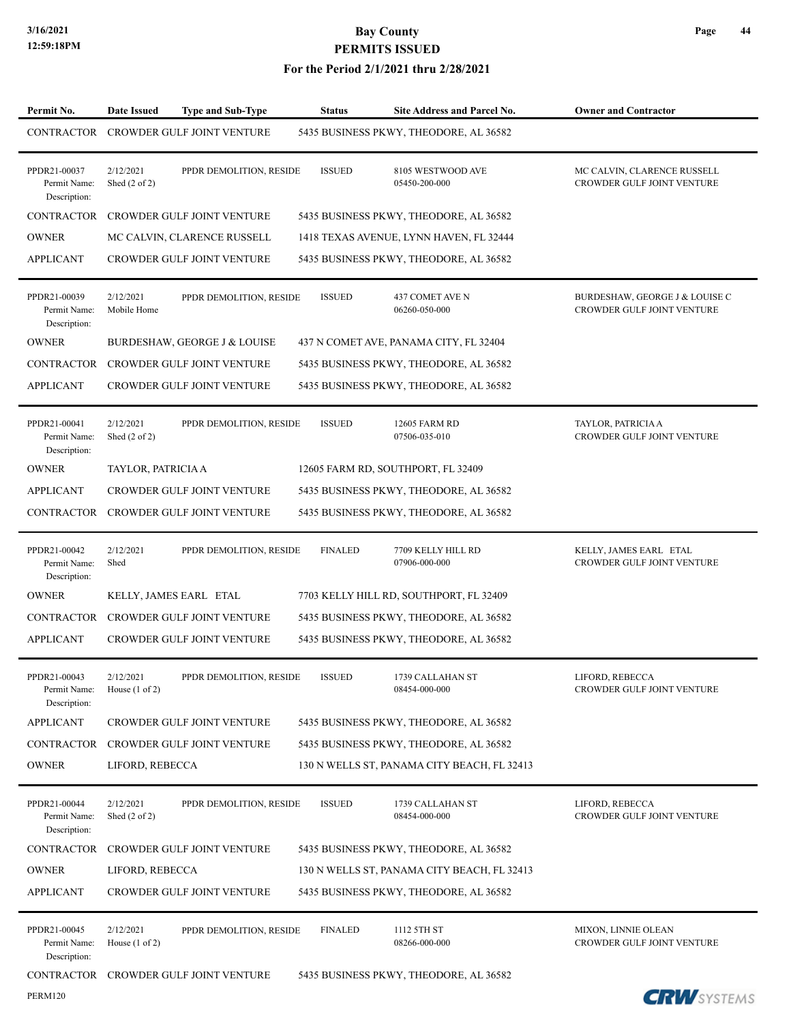| Permit No.                                   | Date Issued                            | <b>Type and Sub-Type</b>          | <b>Status</b>  | Site Address and Parcel No.                 | <b>Owner and Contractor</b>                                  |
|----------------------------------------------|----------------------------------------|-----------------------------------|----------------|---------------------------------------------|--------------------------------------------------------------|
| CONTRACTOR                                   |                                        | CROWDER GULF JOINT VENTURE        |                | 5435 BUSINESS PKWY, THEODORE, AL 36582      |                                                              |
| PPDR21-00037<br>Permit Name:<br>Description: | 2/12/2021<br>Shed $(2 \text{ of } 2)$  | PPDR DEMOLITION, RESIDE           | <b>ISSUED</b>  | 8105 WESTWOOD AVE<br>05450-200-000          | MC CALVIN, CLARENCE RUSSELL<br>CROWDER GULF JOINT VENTURE    |
| <b>CONTRACTOR</b>                            |                                        | <b>CROWDER GULF JOINT VENTURE</b> |                | 5435 BUSINESS PKWY, THEODORE, AL 36582      |                                                              |
| <b>OWNER</b>                                 |                                        | MC CALVIN, CLARENCE RUSSELL       |                | 1418 TEXAS AVENUE, LYNN HAVEN, FL 32444     |                                                              |
| <b>APPLICANT</b>                             |                                        | CROWDER GULF JOINT VENTURE        |                | 5435 BUSINESS PKWY, THEODORE, AL 36582      |                                                              |
| PPDR21-00039<br>Permit Name:<br>Description: | 2/12/2021<br>Mobile Home               | PPDR DEMOLITION, RESIDE           | <b>ISSUED</b>  | 437 COMET AVE N<br>06260-050-000            | BURDESHAW, GEORGE J & LOUISE C<br>CROWDER GULF JOINT VENTURE |
| <b>OWNER</b>                                 |                                        | BURDESHAW, GEORGE J & LOUISE      |                | 437 N COMET AVE, PANAMA CITY, FL 32404      |                                                              |
| <b>CONTRACTOR</b>                            |                                        | <b>CROWDER GULF JOINT VENTURE</b> |                | 5435 BUSINESS PKWY, THEODORE, AL 36582      |                                                              |
| <b>APPLICANT</b>                             |                                        | <b>CROWDER GULF JOINT VENTURE</b> |                | 5435 BUSINESS PKWY, THEODORE, AL 36582      |                                                              |
| PPDR21-00041<br>Permit Name:<br>Description: | 2/12/2021<br>Shed $(2 \text{ of } 2)$  | PPDR DEMOLITION, RESIDE           | <b>ISSUED</b>  | 12605 FARM RD<br>07506-035-010              | TAYLOR, PATRICIA A<br>CROWDER GULF JOINT VENTURE             |
| <b>OWNER</b>                                 | TAYLOR, PATRICIA A                     |                                   |                | 12605 FARM RD, SOUTHPORT, FL 32409          |                                                              |
| <b>APPLICANT</b>                             |                                        | CROWDER GULF JOINT VENTURE        |                | 5435 BUSINESS PKWY, THEODORE, AL 36582      |                                                              |
| CONTRACTOR                                   |                                        | CROWDER GULF JOINT VENTURE        |                | 5435 BUSINESS PKWY, THEODORE, AL 36582      |                                                              |
| PPDR21-00042<br>Permit Name:<br>Description: | 2/12/2021<br>Shed                      | PPDR DEMOLITION, RESIDE           | <b>FINALED</b> | 7709 KELLY HILL RD<br>07906-000-000         | KELLY, JAMES EARL ETAL<br>CROWDER GULF JOINT VENTURE         |
| <b>OWNER</b>                                 |                                        | KELLY, JAMES EARL ETAL            |                | 7703 KELLY HILL RD, SOUTHPORT, FL 32409     |                                                              |
| <b>CONTRACTOR</b>                            |                                        | <b>CROWDER GULF JOINT VENTURE</b> |                | 5435 BUSINESS PKWY, THEODORE, AL 36582      |                                                              |
| <b>APPLICANT</b>                             |                                        | CROWDER GULF JOINT VENTURE        |                | 5435 BUSINESS PKWY, THEODORE, AL 36582      |                                                              |
| PPDR21-00043<br>Permit Name:<br>Description: | 2/12/2021<br>House $(1 \text{ of } 2)$ | PPDR DEMOLITION, RESIDE           | <b>ISSUED</b>  | 1739 CALLAHAN ST<br>08454-000-000           | LIFORD, REBECCA<br>CROWDER GULF JOINT VENTURE                |
| <b>APPLICANT</b>                             |                                        | CROWDER GULF JOINT VENTURE        |                | 5435 BUSINESS PKWY, THEODORE, AL 36582      |                                                              |
| <b>CONTRACTOR</b>                            |                                        | CROWDER GULF JOINT VENTURE        |                | 5435 BUSINESS PKWY, THEODORE, AL 36582      |                                                              |
| <b>OWNER</b>                                 | LIFORD, REBECCA                        |                                   |                | 130 N WELLS ST, PANAMA CITY BEACH, FL 32413 |                                                              |
| PPDR21-00044<br>Permit Name:<br>Description: | 2/12/2021<br>Shed $(2 \text{ of } 2)$  | PPDR DEMOLITION, RESIDE           | <b>ISSUED</b>  | 1739 CALLAHAN ST<br>08454-000-000           | LIFORD, REBECCA<br>CROWDER GULF JOINT VENTURE                |
| <b>CONTRACTOR</b>                            |                                        | CROWDER GULF JOINT VENTURE        |                | 5435 BUSINESS PKWY, THEODORE, AL 36582      |                                                              |
| <b>OWNER</b>                                 | LIFORD, REBECCA                        |                                   |                | 130 N WELLS ST, PANAMA CITY BEACH, FL 32413 |                                                              |
| <b>APPLICANT</b>                             |                                        | CROWDER GULF JOINT VENTURE        |                | 5435 BUSINESS PKWY, THEODORE, AL 36582      |                                                              |
| PPDR21-00045<br>Permit Name:<br>Description: | 2/12/2021<br>House $(1 \text{ of } 2)$ | PPDR DEMOLITION, RESIDE           | <b>FINALED</b> | 1112 5TH ST<br>08266-000-000                | MIXON, LINNIE OLEAN<br>CROWDER GULF JOINT VENTURE            |
| CONTRACTOR                                   |                                        | CROWDER GULF JOINT VENTURE        |                | 5435 BUSINESS PKWY, THEODORE, AL 36582      |                                                              |
| <b>PERM120</b>                               |                                        |                                   |                |                                             | <b>CRW</b> SYSTEMS                                           |

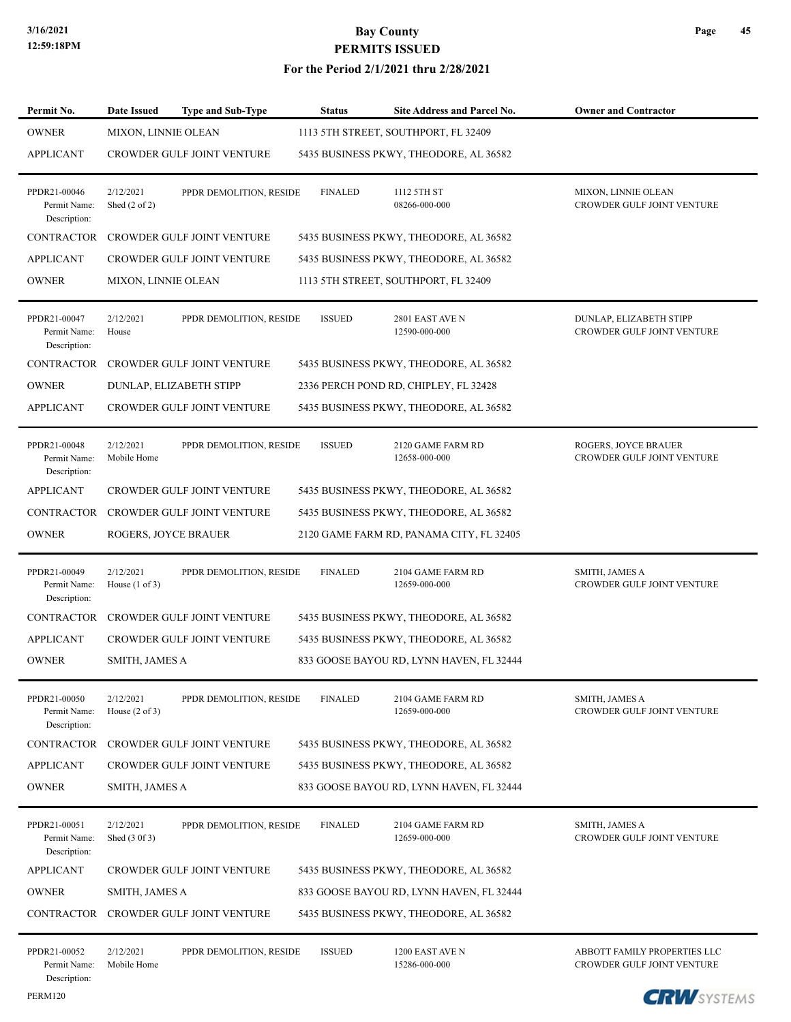#### **For the Period 2/1/2021 thru 2/28/2021**

| Permit No.                                   | <b>Date Issued</b>                     | <b>Type and Sub-Type</b>          | <b>Status</b>  | Site Address and Parcel No.              | <b>Owner and Contractor</b>                                |
|----------------------------------------------|----------------------------------------|-----------------------------------|----------------|------------------------------------------|------------------------------------------------------------|
| <b>OWNER</b>                                 | <b>MIXON, LINNIE OLEAN</b>             |                                   |                | 1113 5TH STREET, SOUTHPORT, FL 32409     |                                                            |
| <b>APPLICANT</b>                             |                                        | <b>CROWDER GULF JOINT VENTURE</b> |                | 5435 BUSINESS PKWY, THEODORE, AL 36582   |                                                            |
| PPDR21-00046<br>Permit Name:<br>Description: | 2/12/2021<br>Shed $(2 \text{ of } 2)$  | PPDR DEMOLITION, RESIDE           | <b>FINALED</b> | 1112 5TH ST<br>08266-000-000             | MIXON, LINNIE OLEAN<br>CROWDER GULF JOINT VENTURE          |
| <b>CONTRACTOR</b>                            |                                        | CROWDER GULF JOINT VENTURE        |                | 5435 BUSINESS PKWY, THEODORE, AL 36582   |                                                            |
| <b>APPLICANT</b>                             |                                        | <b>CROWDER GULF JOINT VENTURE</b> |                | 5435 BUSINESS PKWY, THEODORE, AL 36582   |                                                            |
| <b>OWNER</b>                                 | <b>MIXON, LINNIE OLEAN</b>             |                                   |                | 1113 5TH STREET, SOUTHPORT, FL 32409     |                                                            |
| PPDR21-00047<br>Permit Name:<br>Description: | 2/12/2021<br>House                     | PPDR DEMOLITION, RESIDE           | <b>ISSUED</b>  | 2801 EAST AVE N<br>12590-000-000         | DUNLAP, ELIZABETH STIPP<br>CROWDER GULF JOINT VENTURE      |
| <b>CONTRACTOR</b>                            |                                        | <b>CROWDER GULF JOINT VENTURE</b> |                | 5435 BUSINESS PKWY, THEODORE, AL 36582   |                                                            |
| <b>OWNER</b>                                 | DUNLAP, ELIZABETH STIPP                |                                   |                | 2336 PERCH POND RD, CHIPLEY, FL 32428    |                                                            |
| <b>APPLICANT</b>                             |                                        | CROWDER GULF JOINT VENTURE        |                | 5435 BUSINESS PKWY, THEODORE, AL 36582   |                                                            |
| PPDR21-00048<br>Permit Name:<br>Description: | 2/12/2021<br>Mobile Home               | PPDR DEMOLITION, RESIDE           | <b>ISSUED</b>  | 2120 GAME FARM RD<br>12658-000-000       | ROGERS, JOYCE BRAUER<br>CROWDER GULF JOINT VENTURE         |
| <b>APPLICANT</b>                             |                                        | CROWDER GULF JOINT VENTURE        |                | 5435 BUSINESS PKWY, THEODORE, AL 36582   |                                                            |
| CONTRACTOR                                   |                                        | CROWDER GULF JOINT VENTURE        |                | 5435 BUSINESS PKWY, THEODORE, AL 36582   |                                                            |
| <b>OWNER</b>                                 | ROGERS, JOYCE BRAUER                   |                                   |                | 2120 GAME FARM RD, PANAMA CITY, FL 32405 |                                                            |
| PPDR21-00049<br>Permit Name:<br>Description: | 2/12/2021<br>House $(1 \text{ of } 3)$ | PPDR DEMOLITION, RESIDE           | <b>FINALED</b> | 2104 GAME FARM RD<br>12659-000-000       | SMITH, JAMES A<br>CROWDER GULF JOINT VENTURE               |
| <b>CONTRACTOR</b>                            |                                        | <b>CROWDER GULF JOINT VENTURE</b> |                | 5435 BUSINESS PKWY, THEODORE, AL 36582   |                                                            |
| <b>APPLICANT</b>                             |                                        | <b>CROWDER GULF JOINT VENTURE</b> |                | 5435 BUSINESS PKWY, THEODORE, AL 36582   |                                                            |
| <b>OWNER</b>                                 | SMITH, JAMES A                         |                                   |                | 833 GOOSE BAYOU RD, LYNN HAVEN, FL 32444 |                                                            |
| PPDR21-00050<br>Permit Name:<br>Description: | 2/12/2021<br>House $(2 \text{ of } 3)$ | PPDR DEMOLITION, RESIDE           | <b>FINALED</b> | 2104 GAME FARM RD<br>12659-000-000       | SMITH, JAMES A<br><b>CROWDER GULF JOINT VENTURE</b>        |
| <b>CONTRACTOR</b>                            |                                        | CROWDER GULF JOINT VENTURE        |                | 5435 BUSINESS PKWY, THEODORE, AL 36582   |                                                            |
| <b>APPLICANT</b>                             |                                        | <b>CROWDER GULF JOINT VENTURE</b> |                | 5435 BUSINESS PKWY, THEODORE, AL 36582   |                                                            |
| <b>OWNER</b>                                 | SMITH, JAMES A                         |                                   |                | 833 GOOSE BAYOU RD, LYNN HAVEN, FL 32444 |                                                            |
| PPDR21-00051<br>Permit Name:<br>Description: | 2/12/2021<br>Shed (3 0f 3)             | PPDR DEMOLITION, RESIDE           | <b>FINALED</b> | 2104 GAME FARM RD<br>12659-000-000       | <b>SMITH, JAMES A</b><br>CROWDER GULF JOINT VENTURE        |
| <b>APPLICANT</b>                             |                                        | CROWDER GULF JOINT VENTURE        |                | 5435 BUSINESS PKWY, THEODORE, AL 36582   |                                                            |
| <b>OWNER</b>                                 | SMITH, JAMES A                         |                                   |                | 833 GOOSE BAYOU RD, LYNN HAVEN, FL 32444 |                                                            |
| <b>CONTRACTOR</b>                            |                                        | <b>CROWDER GULF JOINT VENTURE</b> |                | 5435 BUSINESS PKWY, THEODORE, AL 36582   |                                                            |
| PPDR21-00052<br>Permit Name:<br>Description: | 2/12/2021<br>Mobile Home               | PPDR DEMOLITION, RESIDE           | <b>ISSUED</b>  | 1200 EAST AVE N<br>15286-000-000         | ABBOTT FAMILY PROPERTIES LLC<br>CROWDER GULF JOINT VENTURE |

PERM120

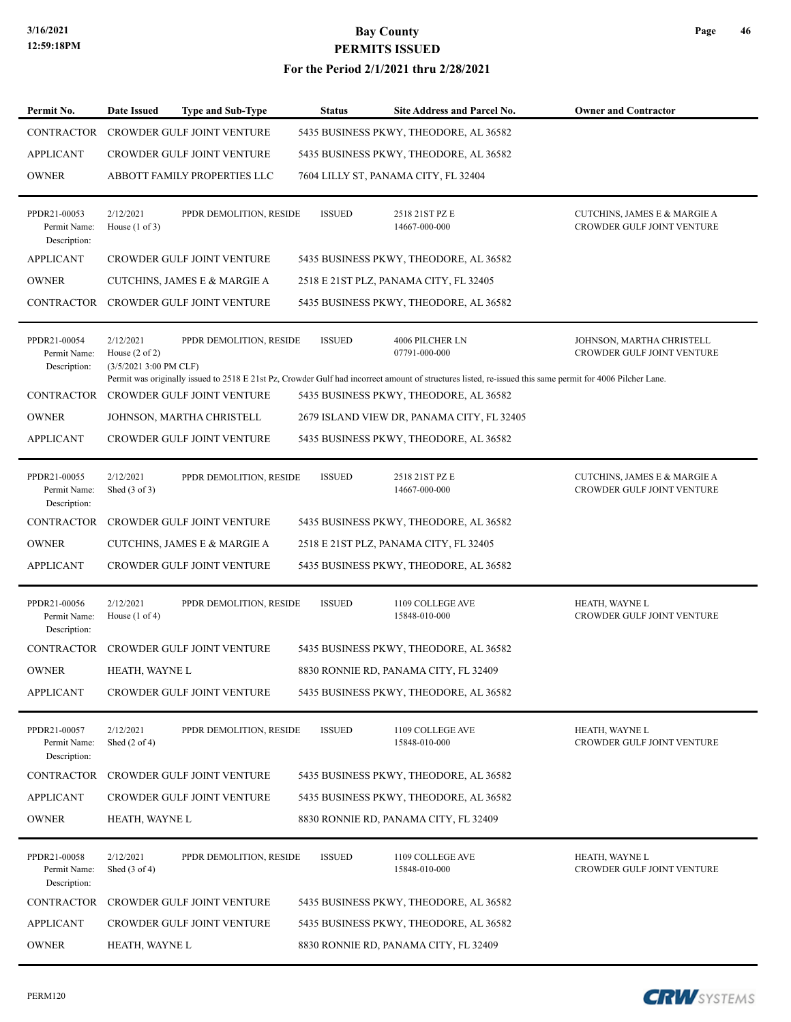#### **For the Period 2/1/2021 thru 2/28/2021**

| Permit No.                                   | Date Issued                                                       | <b>Type and Sub-Type</b>          | <b>Status</b> | Site Address and Parcel No.                                                                                                                                                                         | <b>Owner and Contractor</b>                                |
|----------------------------------------------|-------------------------------------------------------------------|-----------------------------------|---------------|-----------------------------------------------------------------------------------------------------------------------------------------------------------------------------------------------------|------------------------------------------------------------|
| CONTRACTOR                                   |                                                                   | <b>CROWDER GULF JOINT VENTURE</b> |               | 5435 BUSINESS PKWY, THEODORE, AL 36582                                                                                                                                                              |                                                            |
| <b>APPLICANT</b>                             |                                                                   | <b>CROWDER GULF JOINT VENTURE</b> |               | 5435 BUSINESS PKWY, THEODORE, AL 36582                                                                                                                                                              |                                                            |
| <b>OWNER</b>                                 |                                                                   | ABBOTT FAMILY PROPERTIES LLC      |               | 7604 LILLY ST, PANAMA CITY, FL 32404                                                                                                                                                                |                                                            |
| PPDR21-00053<br>Permit Name:<br>Description: | 2/12/2021<br>House $(1 \text{ of } 3)$                            | PPDR DEMOLITION, RESIDE           | <b>ISSUED</b> | 2518 21ST PZ E<br>14667-000-000                                                                                                                                                                     | CUTCHINS, JAMES E & MARGIE A<br>CROWDER GULF JOINT VENTURE |
| <b>APPLICANT</b>                             |                                                                   | CROWDER GULF JOINT VENTURE        |               | 5435 BUSINESS PKWY, THEODORE, AL 36582                                                                                                                                                              |                                                            |
| <b>OWNER</b>                                 |                                                                   | CUTCHINS, JAMES E & MARGIE A      |               | 2518 E 21ST PLZ, PANAMA CITY, FL 32405                                                                                                                                                              |                                                            |
| <b>CONTRACTOR</b>                            |                                                                   | <b>CROWDER GULF JOINT VENTURE</b> |               | 5435 BUSINESS PKWY, THEODORE, AL 36582                                                                                                                                                              |                                                            |
| PPDR21-00054<br>Permit Name:<br>Description: | 2/12/2021<br>House $(2 \text{ of } 2)$<br>$(3/5/20213:00$ PM CLF) | PPDR DEMOLITION, RESIDE           | <b>ISSUED</b> | 4006 PILCHER LN<br>07791-000-000                                                                                                                                                                    | JOHNSON, MARTHA CHRISTELL<br>CROWDER GULF JOINT VENTURE    |
| <b>CONTRACTOR</b>                            |                                                                   | CROWDER GULF JOINT VENTURE        |               | Permit was originally issued to 2518 E 21st Pz, Crowder Gulf had incorrect amount of structures listed, re-issued this same permit for 4006 Pilcher Lane.<br>5435 BUSINESS PKWY, THEODORE, AL 36582 |                                                            |
| <b>OWNER</b>                                 |                                                                   | JOHNSON, MARTHA CHRISTELL         |               | 2679 ISLAND VIEW DR, PANAMA CITY, FL 32405                                                                                                                                                          |                                                            |
| <b>APPLICANT</b>                             |                                                                   | CROWDER GULF JOINT VENTURE        |               | 5435 BUSINESS PKWY, THEODORE, AL 36582                                                                                                                                                              |                                                            |
|                                              |                                                                   |                                   |               |                                                                                                                                                                                                     |                                                            |
| PPDR21-00055<br>Permit Name:<br>Description: | 2/12/2021<br>Shed $(3 \text{ of } 3)$                             | PPDR DEMOLITION, RESIDE           | <b>ISSUED</b> | 2518 21ST PZ E<br>14667-000-000                                                                                                                                                                     | CUTCHINS, JAMES E & MARGIE A<br>CROWDER GULF JOINT VENTURE |
| <b>CONTRACTOR</b>                            |                                                                   | CROWDER GULF JOINT VENTURE        |               | 5435 BUSINESS PKWY, THEODORE, AL 36582                                                                                                                                                              |                                                            |
| <b>OWNER</b>                                 |                                                                   | CUTCHINS, JAMES E & MARGIE A      |               | 2518 E 21ST PLZ, PANAMA CITY, FL 32405                                                                                                                                                              |                                                            |
| <b>APPLICANT</b>                             |                                                                   | <b>CROWDER GULF JOINT VENTURE</b> |               | 5435 BUSINESS PKWY, THEODORE, AL 36582                                                                                                                                                              |                                                            |
| PPDR21-00056<br>Permit Name:<br>Description: | 2/12/2021<br>House $(1 \text{ of } 4)$                            | PPDR DEMOLITION, RESIDE           | <b>ISSUED</b> | 1109 COLLEGE AVE<br>15848-010-000                                                                                                                                                                   | HEATH, WAYNE L<br>CROWDER GULF JOINT VENTURE               |
| CONTRACTOR                                   |                                                                   | <b>CROWDER GULF JOINT VENTURE</b> |               | 5435 BUSINESS PKWY, THEODORE, AL 36582                                                                                                                                                              |                                                            |
| <b>OWNER</b>                                 | HEATH, WAYNE L                                                    |                                   |               | 8830 RONNIE RD. PANAMA CITY, FL 32409                                                                                                                                                               |                                                            |
| <b>APPLICANT</b>                             |                                                                   | CROWDER GULF JOINT VENTURE        |               | 5435 BUSINESS PKWY, THEODORE, AL 36582                                                                                                                                                              |                                                            |
| PPDR21-00057<br>Permit Name:<br>Description: | 2/12/2021<br>Shed $(2 \text{ of } 4)$                             | PPDR DEMOLITION, RESIDE           | <b>ISSUED</b> | 1109 COLLEGE AVE<br>15848-010-000                                                                                                                                                                   | HEATH, WAYNE L<br>CROWDER GULF JOINT VENTURE               |
| <b>CONTRACTOR</b>                            |                                                                   | CROWDER GULF JOINT VENTURE        |               | 5435 BUSINESS PKWY, THEODORE, AL 36582                                                                                                                                                              |                                                            |
| <b>APPLICANT</b>                             |                                                                   | CROWDER GULF JOINT VENTURE        |               | 5435 BUSINESS PKWY, THEODORE, AL 36582                                                                                                                                                              |                                                            |
| <b>OWNER</b>                                 | HEATH, WAYNE L                                                    |                                   |               | 8830 RONNIE RD, PANAMA CITY, FL 32409                                                                                                                                                               |                                                            |
| PPDR21-00058<br>Permit Name:<br>Description: | 2/12/2021<br>Shed $(3 \text{ of } 4)$                             | PPDR DEMOLITION, RESIDE           | <b>ISSUED</b> | 1109 COLLEGE AVE<br>15848-010-000                                                                                                                                                                   | HEATH, WAYNE L<br>CROWDER GULF JOINT VENTURE               |
| CONTRACTOR                                   |                                                                   | CROWDER GULF JOINT VENTURE        |               | 5435 BUSINESS PKWY, THEODORE, AL 36582                                                                                                                                                              |                                                            |
| <b>APPLICANT</b>                             |                                                                   | <b>CROWDER GULF JOINT VENTURE</b> |               | 5435 BUSINESS PKWY, THEODORE, AL 36582                                                                                                                                                              |                                                            |
| <b>OWNER</b>                                 | HEATH, WAYNE L                                                    |                                   |               | 8830 RONNIE RD, PANAMA CITY, FL 32409                                                                                                                                                               |                                                            |

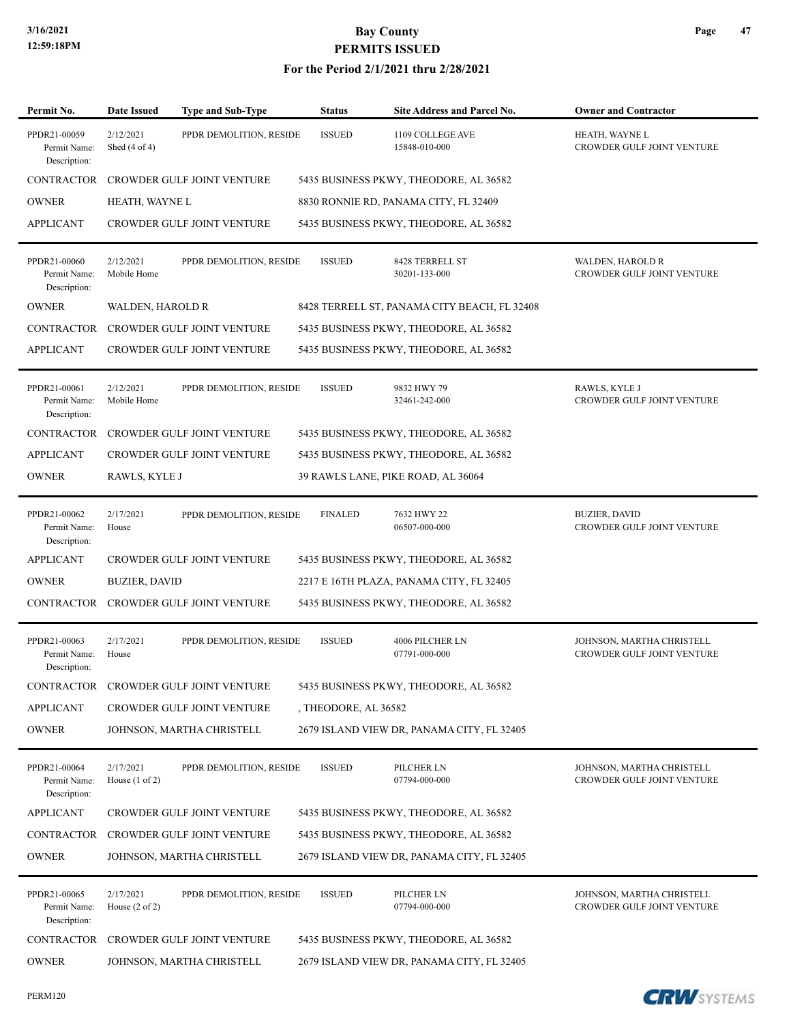| Permit No.                                   | <b>Date Issued</b>                     | <b>Type and Sub-Type</b>              | <b>Status</b>        | Site Address and Parcel No.                  | <b>Owner and Contractor</b>                             |
|----------------------------------------------|----------------------------------------|---------------------------------------|----------------------|----------------------------------------------|---------------------------------------------------------|
| PPDR21-00059<br>Permit Name:<br>Description: | 2/12/2021<br>Shed $(4 \text{ of } 4)$  | PPDR DEMOLITION, RESIDE               | <b>ISSUED</b>        | 1109 COLLEGE AVE<br>15848-010-000            | HEATH, WAYNE L<br>CROWDER GULF JOINT VENTURE            |
| <b>CONTRACTOR</b>                            |                                        | <b>CROWDER GULF JOINT VENTURE</b>     |                      | 5435 BUSINESS PKWY, THEODORE, AL 36582       |                                                         |
| <b>OWNER</b>                                 | HEATH, WAYNE L                         |                                       |                      | 8830 RONNIE RD, PANAMA CITY, FL 32409        |                                                         |
| <b>APPLICANT</b>                             |                                        | CROWDER GULF JOINT VENTURE            |                      | 5435 BUSINESS PKWY, THEODORE, AL 36582       |                                                         |
| PPDR21-00060<br>Permit Name:<br>Description: | 2/12/2021<br>Mobile Home               | PPDR DEMOLITION, RESIDE               | <b>ISSUED</b>        | 8428 TERRELL ST<br>30201-133-000             | <b>WALDEN, HAROLD R</b><br>CROWDER GULF JOINT VENTURE   |
| <b>OWNER</b>                                 | WALDEN, HAROLD R                       |                                       |                      | 8428 TERRELL ST, PANAMA CITY BEACH, FL 32408 |                                                         |
| CONTRACTOR                                   |                                        | CROWDER GULF JOINT VENTURE            |                      | 5435 BUSINESS PKWY, THEODORE, AL 36582       |                                                         |
| <b>APPLICANT</b>                             |                                        | <b>CROWDER GULF JOINT VENTURE</b>     |                      | 5435 BUSINESS PKWY, THEODORE, AL 36582       |                                                         |
| PPDR21-00061<br>Permit Name:<br>Description: | 2/12/2021<br>Mobile Home               | PPDR DEMOLITION, RESIDE               | <b>ISSUED</b>        | 9832 HWY 79<br>32461-242-000                 | RAWLS, KYLE J<br>CROWDER GULF JOINT VENTURE             |
| <b>CONTRACTOR</b>                            |                                        | <b>CROWDER GULF JOINT VENTURE</b>     |                      | 5435 BUSINESS PKWY, THEODORE, AL 36582       |                                                         |
| <b>APPLICANT</b>                             |                                        | <b>CROWDER GULF JOINT VENTURE</b>     |                      | 5435 BUSINESS PKWY, THEODORE, AL 36582       |                                                         |
| <b>OWNER</b>                                 | RAWLS, KYLE J                          |                                       |                      | 39 RAWLS LANE, PIKE ROAD, AL 36064           |                                                         |
| PPDR21-00062<br>Permit Name:<br>Description: | 2/17/2021<br>House                     | PPDR DEMOLITION, RESIDE               | <b>FINALED</b>       | 7632 HWY 22<br>06507-000-000                 | <b>BUZIER, DAVID</b><br>CROWDER GULF JOINT VENTURE      |
| <b>APPLICANT</b>                             |                                        | <b>CROWDER GULF JOINT VENTURE</b>     |                      | 5435 BUSINESS PKWY, THEODORE, AL 36582       |                                                         |
| <b>OWNER</b>                                 | <b>BUZIER, DAVID</b>                   |                                       |                      | 2217 E 16TH PLAZA, PANAMA CITY, FL 32405     |                                                         |
| CONTRACTOR                                   |                                        | CROWDER GULF JOINT VENTURE            |                      | 5435 BUSINESS PKWY, THEODORE, AL 36582       |                                                         |
| PPDR21-00063<br>Permit Name:<br>Description: | 2/17/2021<br>House                     | PPDR DEMOLITION, RESIDE               | <b>ISSUED</b>        | 4006 PILCHER LN<br>07791-000-000             | JOHNSON, MARTHA CHRISTELL<br>CROWDER GULF JOINT VENTURE |
|                                              |                                        | CONTRACTOR CROWDER GULF JOINT VENTURE |                      | 5435 BUSINESS PKWY, THEODORE, AL 36582       |                                                         |
| <b>APPLICANT</b>                             |                                        | CROWDER GULF JOINT VENTURE            | , THEODORE, AL 36582 |                                              |                                                         |
| <b>OWNER</b>                                 |                                        | JOHNSON, MARTHA CHRISTELL             |                      | 2679 ISLAND VIEW DR, PANAMA CITY, FL 32405   |                                                         |
| PPDR21-00064<br>Permit Name:<br>Description: | 2/17/2021<br>House $(1 \text{ of } 2)$ | PPDR DEMOLITION, RESIDE               | <b>ISSUED</b>        | PILCHER LN<br>07794-000-000                  | JOHNSON, MARTHA CHRISTELL<br>CROWDER GULF JOINT VENTURE |
| <b>APPLICANT</b>                             |                                        | CROWDER GULF JOINT VENTURE            |                      | 5435 BUSINESS PKWY, THEODORE, AL 36582       |                                                         |
| CONTRACTOR                                   |                                        | CROWDER GULF JOINT VENTURE            |                      | 5435 BUSINESS PKWY, THEODORE, AL 36582       |                                                         |
| <b>OWNER</b>                                 |                                        | JOHNSON, MARTHA CHRISTELL             |                      | 2679 ISLAND VIEW DR, PANAMA CITY, FL 32405   |                                                         |
| PPDR21-00065<br>Permit Name:<br>Description: | 2/17/2021<br>House $(2 \text{ of } 2)$ | PPDR DEMOLITION, RESIDE               | <b>ISSUED</b>        | PILCHER LN<br>07794-000-000                  | JOHNSON, MARTHA CHRISTELL<br>CROWDER GULF JOINT VENTURE |
| CONTRACTOR                                   |                                        | CROWDER GULF JOINT VENTURE            |                      | 5435 BUSINESS PKWY, THEODORE, AL 36582       |                                                         |
| <b>OWNER</b>                                 |                                        | JOHNSON, MARTHA CHRISTELL             |                      | 2679 ISLAND VIEW DR, PANAMA CITY, FL 32405   |                                                         |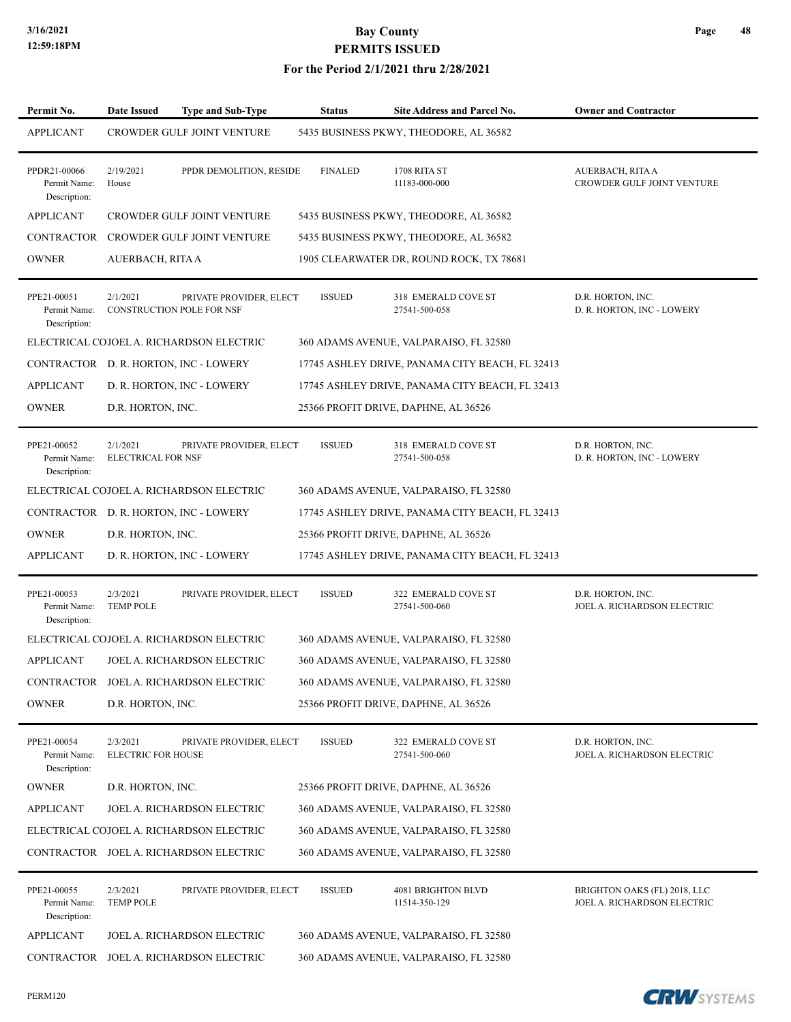| Permit No.                                   | <b>Date Issued</b>                    | <b>Type and Sub-Type</b>                                    | <b>Status</b>  | <b>Site Address and Parcel No.</b>              | <b>Owner and Contractor</b>                                 |
|----------------------------------------------|---------------------------------------|-------------------------------------------------------------|----------------|-------------------------------------------------|-------------------------------------------------------------|
| <b>APPLICANT</b>                             |                                       | <b>CROWDER GULF JOINT VENTURE</b>                           |                | 5435 BUSINESS PKWY, THEODORE, AL 36582          |                                                             |
| PPDR21-00066<br>Permit Name:<br>Description: | 2/19/2021<br>House                    | PPDR DEMOLITION, RESIDE                                     | <b>FINALED</b> | 1708 RITA ST<br>11183-000-000                   | AUERBACH, RITA A<br>CROWDER GULF JOINT VENTURE              |
| <b>APPLICANT</b>                             |                                       | CROWDER GULF JOINT VENTURE                                  |                | 5435 BUSINESS PKWY, THEODORE, AL 36582          |                                                             |
|                                              |                                       | CONTRACTOR CROWDER GULF JOINT VENTURE                       |                | 5435 BUSINESS PKWY, THEODORE, AL 36582          |                                                             |
| <b>OWNER</b>                                 | AUERBACH, RITA A                      |                                                             |                | 1905 CLEARWATER DR, ROUND ROCK, TX 78681        |                                                             |
| PPE21-00051<br>Permit Name:<br>Description:  | 2/1/2021                              | PRIVATE PROVIDER, ELECT<br><b>CONSTRUCTION POLE FOR NSF</b> | <b>ISSUED</b>  | 318 EMERALD COVE ST<br>27541-500-058            | D.R. HORTON, INC.<br>D. R. HORTON, INC - LOWERY             |
|                                              |                                       | ELECTRICAL COJOEL A. RICHARDSON ELECTRIC                    |                | 360 ADAMS AVENUE, VALPARAISO, FL 32580          |                                                             |
|                                              |                                       | CONTRACTOR D. R. HORTON, INC - LOWERY                       |                | 17745 ASHLEY DRIVE, PANAMA CITY BEACH, FL 32413 |                                                             |
| <b>APPLICANT</b>                             |                                       | D. R. HORTON, INC - LOWERY                                  |                | 17745 ASHLEY DRIVE, PANAMA CITY BEACH, FL 32413 |                                                             |
| <b>OWNER</b>                                 | D.R. HORTON, INC.                     |                                                             |                | 25366 PROFIT DRIVE, DAPHNE, AL 36526            |                                                             |
| PPE21-00052<br>Permit Name:<br>Description:  | 2/1/2021<br><b>ELECTRICAL FOR NSF</b> | PRIVATE PROVIDER, ELECT                                     | <b>ISSUED</b>  | 318 EMERALD COVE ST<br>27541-500-058            | D.R. HORTON, INC.<br>D. R. HORTON, INC - LOWERY             |
|                                              |                                       | ELECTRICAL COJOEL A. RICHARDSON ELECTRIC                    |                | 360 ADAMS AVENUE, VALPARAISO, FL 32580          |                                                             |
|                                              |                                       | CONTRACTOR D. R. HORTON, INC - LOWERY                       |                | 17745 ASHLEY DRIVE, PANAMA CITY BEACH, FL 32413 |                                                             |
| <b>OWNER</b>                                 | D.R. HORTON, INC.                     |                                                             |                | 25366 PROFIT DRIVE, DAPHNE, AL 36526            |                                                             |
| <b>APPLICANT</b>                             |                                       | D. R. HORTON, INC - LOWERY                                  |                | 17745 ASHLEY DRIVE, PANAMA CITY BEACH, FL 32413 |                                                             |
| PPE21-00053<br>Permit Name:<br>Description:  | 2/3/2021<br><b>TEMP POLE</b>          | PRIVATE PROVIDER, ELECT                                     | <b>ISSUED</b>  | 322 EMERALD COVE ST<br>27541-500-060            | D.R. HORTON, INC.<br>JOEL A. RICHARDSON ELECTRIC            |
|                                              |                                       | ELECTRICAL COJOEL A. RICHARDSON ELECTRIC                    |                | 360 ADAMS AVENUE, VALPARAISO, FL 32580          |                                                             |
| <b>APPLICANT</b>                             |                                       | JOEL A. RICHARDSON ELECTRIC                                 |                | 360 ADAMS AVENUE, VALPARAISO, FL 32580          |                                                             |
|                                              |                                       | CONTRACTOR JOEL A. RICHARDSON ELECTRIC                      |                | 360 ADAMS AVENUE, VALPARAISO, FL 32580          |                                                             |
| <b>OWNER</b>                                 | D.R. HORTON, INC.                     |                                                             |                | 25366 PROFIT DRIVE, DAPHNE, AL 36526            |                                                             |
| PPE21-00054<br>Permit Name:<br>Description:  | 2/3/2021<br><b>ELECTRIC FOR HOUSE</b> | PRIVATE PROVIDER, ELECT                                     | <b>ISSUED</b>  | 322 EMERALD COVE ST<br>27541-500-060            | D.R. HORTON, INC.<br>JOEL A. RICHARDSON ELECTRIC            |
| <b>OWNER</b>                                 | D.R. HORTON, INC.                     |                                                             |                | 25366 PROFIT DRIVE, DAPHNE, AL 36526            |                                                             |
| <b>APPLICANT</b>                             |                                       | JOEL A. RICHARDSON ELECTRIC                                 |                | 360 ADAMS AVENUE, VALPARAISO, FL 32580          |                                                             |
|                                              |                                       | ELECTRICAL COJOEL A. RICHARDSON ELECTRIC                    |                | 360 ADAMS AVENUE, VALPARAISO, FL 32580          |                                                             |
|                                              |                                       | CONTRACTOR JOEL A. RICHARDSON ELECTRIC                      |                | 360 ADAMS AVENUE, VALPARAISO, FL 32580          |                                                             |
| PPE21-00055<br>Permit Name:<br>Description:  | 2/3/2021<br><b>TEMP POLE</b>          | PRIVATE PROVIDER, ELECT                                     | <b>ISSUED</b>  | 4081 BRIGHTON BLVD<br>11514-350-129             | BRIGHTON OAKS (FL) 2018, LLC<br>JOEL A. RICHARDSON ELECTRIC |
| <b>APPLICANT</b>                             |                                       | JOEL A. RICHARDSON ELECTRIC                                 |                | 360 ADAMS AVENUE, VALPARAISO, FL 32580          |                                                             |
|                                              |                                       | CONTRACTOR JOEL A. RICHARDSON ELECTRIC                      |                | 360 ADAMS AVENUE, VALPARAISO, FL 32580          |                                                             |

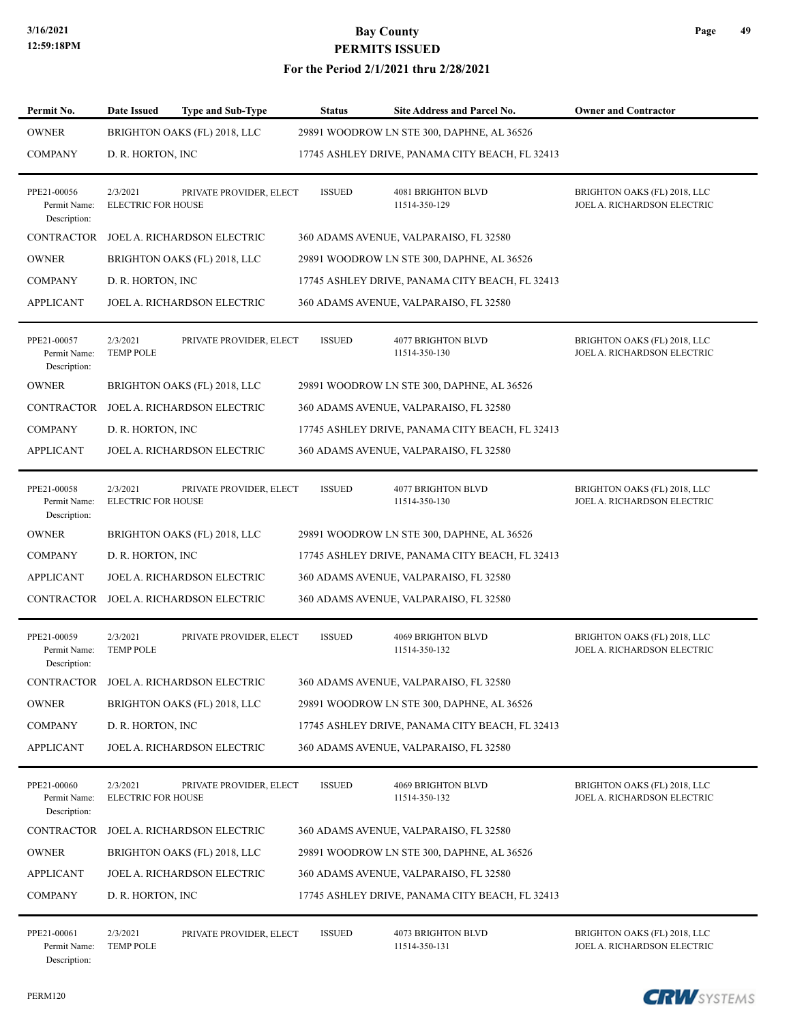#### **For the Period 2/1/2021 thru 2/28/2021**

| Permit No.                                  | <b>Date Issued</b>                    | <b>Type and Sub-Type</b>               | Status        | Site Address and Parcel No.                     | <b>Owner and Contractor</b>                                 |
|---------------------------------------------|---------------------------------------|----------------------------------------|---------------|-------------------------------------------------|-------------------------------------------------------------|
| <b>OWNER</b>                                |                                       | BRIGHTON OAKS (FL) 2018, LLC           |               | 29891 WOODROW LN STE 300, DAPHNE, AL 36526      |                                                             |
| <b>COMPANY</b>                              | D. R. HORTON, INC                     |                                        |               | 17745 ASHLEY DRIVE, PANAMA CITY BEACH, FL 32413 |                                                             |
| PPE21-00056<br>Permit Name:<br>Description: | 2/3/2021<br><b>ELECTRIC FOR HOUSE</b> | PRIVATE PROVIDER, ELECT                | <b>ISSUED</b> | 4081 BRIGHTON BLVD<br>11514-350-129             | BRIGHTON OAKS (FL) 2018, LLC<br>JOEL A. RICHARDSON ELECTRIC |
| <b>CONTRACTOR</b>                           |                                       | JOEL A. RICHARDSON ELECTRIC            |               | 360 ADAMS AVENUE, VALPARAISO, FL 32580          |                                                             |
| <b>OWNER</b>                                |                                       | BRIGHTON OAKS (FL) 2018, LLC           |               | 29891 WOODROW LN STE 300, DAPHNE, AL 36526      |                                                             |
| <b>COMPANY</b>                              | D. R. HORTON, INC                     |                                        |               | 17745 ASHLEY DRIVE, PANAMA CITY BEACH, FL 32413 |                                                             |
| <b>APPLICANT</b>                            |                                       | JOEL A. RICHARDSON ELECTRIC            |               | 360 ADAMS AVENUE, VALPARAISO, FL 32580          |                                                             |
| PPE21-00057<br>Permit Name:<br>Description: | 2/3/2021<br><b>TEMP POLE</b>          | PRIVATE PROVIDER, ELECT                | <b>ISSUED</b> | <b>4077 BRIGHTON BLVD</b><br>11514-350-130      | BRIGHTON OAKS (FL) 2018, LLC<br>JOEL A. RICHARDSON ELECTRIC |
| <b>OWNER</b>                                |                                       | BRIGHTON OAKS (FL) 2018, LLC           |               | 29891 WOODROW LN STE 300, DAPHNE, AL 36526      |                                                             |
| <b>CONTRACTOR</b>                           |                                       | JOEL A. RICHARDSON ELECTRIC            |               | 360 ADAMS AVENUE, VALPARAISO, FL 32580          |                                                             |
| <b>COMPANY</b>                              | D. R. HORTON, INC                     |                                        |               | 17745 ASHLEY DRIVE, PANAMA CITY BEACH, FL 32413 |                                                             |
| <b>APPLICANT</b>                            |                                       | JOEL A. RICHARDSON ELECTRIC            |               | 360 ADAMS AVENUE, VALPARAISO, FL 32580          |                                                             |
| PPE21-00058<br>Permit Name:<br>Description: | 2/3/2021<br><b>ELECTRIC FOR HOUSE</b> | PRIVATE PROVIDER, ELECT                | <b>ISSUED</b> | 4077 BRIGHTON BLVD<br>11514-350-130             | BRIGHTON OAKS (FL) 2018, LLC<br>JOEL A. RICHARDSON ELECTRIC |
| <b>OWNER</b>                                |                                       | BRIGHTON OAKS (FL) 2018, LLC           |               | 29891 WOODROW LN STE 300, DAPHNE, AL 36526      |                                                             |
| <b>COMPANY</b>                              | D. R. HORTON, INC.                    |                                        |               | 17745 ASHLEY DRIVE, PANAMA CITY BEACH, FL 32413 |                                                             |
| <b>APPLICANT</b>                            |                                       | JOEL A. RICHARDSON ELECTRIC            |               | 360 ADAMS AVENUE, VALPARAISO, FL 32580          |                                                             |
| CONTRACTOR                                  |                                       | JOEL A. RICHARDSON ELECTRIC            |               | 360 ADAMS AVENUE, VALPARAISO, FL 32580          |                                                             |
| PPE21-00059<br>Permit Name:<br>Description: | 2/3/2021<br><b>TEMP POLE</b>          | PRIVATE PROVIDER, ELECT                | <b>ISSUED</b> | <b>4069 BRIGHTON BLVD</b><br>11514-350-132      | BRIGHTON OAKS (FL) 2018, LLC<br>JOEL A. RICHARDSON ELECTRIC |
|                                             |                                       | CONTRACTOR JOEL A. RICHARDSON ELECTRIC |               | 360 ADAMS AVENUE, VALPARAISO, FL 32580          |                                                             |
| <b>OWNER</b>                                |                                       | BRIGHTON OAKS (FL) 2018, LLC           |               | 29891 WOODROW LN STE 300, DAPHNE, AL 36526      |                                                             |
| <b>COMPANY</b>                              | D. R. HORTON, INC.                    |                                        |               | 17745 ASHLEY DRIVE, PANAMA CITY BEACH, FL 32413 |                                                             |
| <b>APPLICANT</b>                            |                                       | JOEL A. RICHARDSON ELECTRIC            |               | 360 ADAMS AVENUE, VALPARAISO, FL 32580          |                                                             |
| PPE21-00060<br>Permit Name:<br>Description: | 2/3/2021<br><b>ELECTRIC FOR HOUSE</b> | PRIVATE PROVIDER, ELECT                | <b>ISSUED</b> | 4069 BRIGHTON BLVD<br>11514-350-132             | BRIGHTON OAKS (FL) 2018, LLC<br>JOEL A. RICHARDSON ELECTRIC |
| CONTRACTOR                                  |                                       | JOEL A. RICHARDSON ELECTRIC            |               | 360 ADAMS AVENUE, VALPARAISO, FL 32580          |                                                             |
| <b>OWNER</b>                                |                                       | BRIGHTON OAKS (FL) 2018, LLC           |               | 29891 WOODROW LN STE 300, DAPHNE, AL 36526      |                                                             |
| <b>APPLICANT</b>                            |                                       | JOEL A. RICHARDSON ELECTRIC            |               | 360 ADAMS AVENUE, VALPARAISO, FL 32580          |                                                             |
| <b>COMPANY</b>                              | D. R. HORTON, INC.                    |                                        |               | 17745 ASHLEY DRIVE, PANAMA CITY BEACH, FL 32413 |                                                             |
| PPE21-00061                                 | 2/3/2021                              | PRIVATE PROVIDER, ELECT                | <b>ISSUED</b> | 4073 BRIGHTON BLVD                              | BRIGHTON OAKS (FL) 2018, LLC                                |

Description:

Permit Name: TEMP POLE 11514-350-131 JOEL A. RICHARDSON ELECTRIC

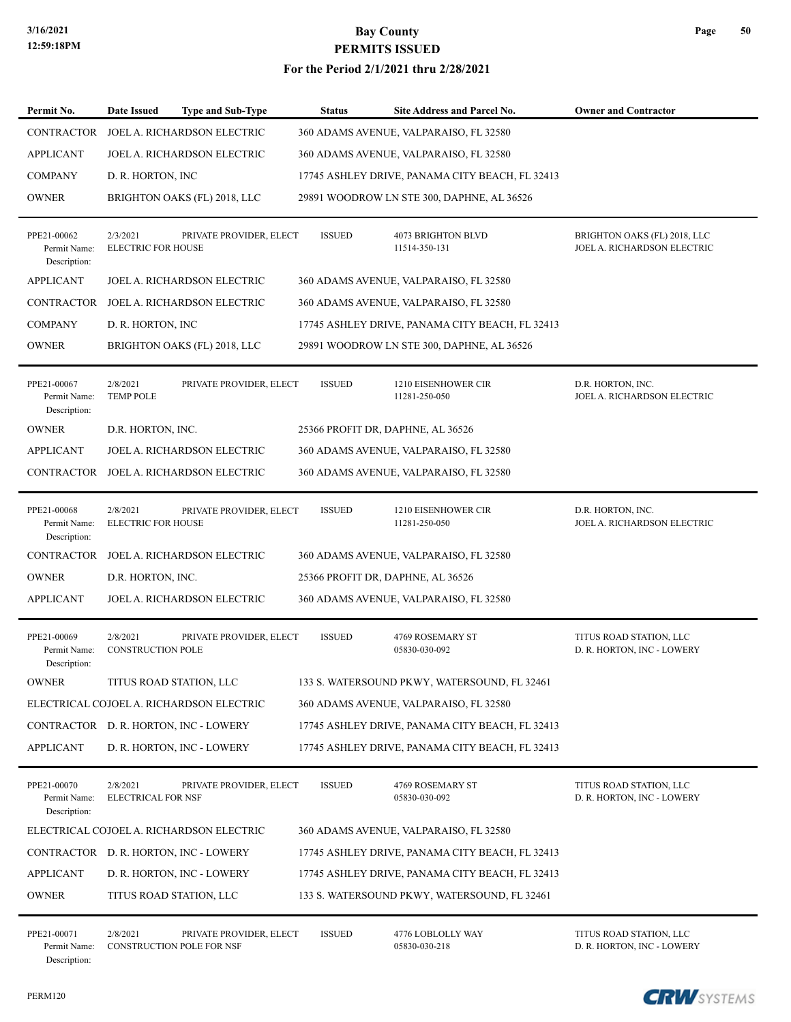#### **For the Period 2/1/2021 thru 2/28/2021**

| Permit No.                                  | <b>Date Issued</b>                    | <b>Type and Sub-Type</b>                             | <b>Status</b> | <b>Site Address and Parcel No.</b>              | <b>Owner and Contractor</b>                                 |
|---------------------------------------------|---------------------------------------|------------------------------------------------------|---------------|-------------------------------------------------|-------------------------------------------------------------|
| CONTRACTOR                                  |                                       | JOEL A. RICHARDSON ELECTRIC                          |               | 360 ADAMS AVENUE, VALPARAISO, FL 32580          |                                                             |
| <b>APPLICANT</b>                            |                                       | JOEL A. RICHARDSON ELECTRIC                          |               | 360 ADAMS AVENUE, VALPARAISO, FL 32580          |                                                             |
| <b>COMPANY</b>                              | D. R. HORTON, INC.                    |                                                      |               | 17745 ASHLEY DRIVE, PANAMA CITY BEACH, FL 32413 |                                                             |
| <b>OWNER</b>                                |                                       | BRIGHTON OAKS (FL) 2018, LLC                         |               | 29891 WOODROW LN STE 300, DAPHNE, AL 36526      |                                                             |
| PPE21-00062<br>Permit Name:<br>Description: | 2/3/2021<br><b>ELECTRIC FOR HOUSE</b> | PRIVATE PROVIDER, ELECT                              | <b>ISSUED</b> | <b>4073 BRIGHTON BLVD</b><br>11514-350-131      | BRIGHTON OAKS (FL) 2018, LLC<br>JOEL A. RICHARDSON ELECTRIC |
| <b>APPLICANT</b>                            |                                       | JOEL A. RICHARDSON ELECTRIC                          |               | 360 ADAMS AVENUE, VALPARAISO, FL 32580          |                                                             |
| <b>CONTRACTOR</b>                           |                                       | JOEL A. RICHARDSON ELECTRIC                          |               | 360 ADAMS AVENUE, VALPARAISO, FL 32580          |                                                             |
| <b>COMPANY</b>                              | D. R. HORTON, INC.                    |                                                      |               | 17745 ASHLEY DRIVE, PANAMA CITY BEACH, FL 32413 |                                                             |
| <b>OWNER</b>                                |                                       | BRIGHTON OAKS (FL) 2018, LLC                         |               | 29891 WOODROW LN STE 300, DAPHNE, AL 36526      |                                                             |
| PPE21-00067<br>Permit Name:<br>Description: | 2/8/2021<br><b>TEMP POLE</b>          | PRIVATE PROVIDER, ELECT                              | <b>ISSUED</b> | 1210 EISENHOWER CIR<br>11281-250-050            | D.R. HORTON, INC.<br>JOEL A. RICHARDSON ELECTRIC            |
| <b>OWNER</b>                                | D.R. HORTON, INC.                     |                                                      |               | 25366 PROFIT DR, DAPHNE, AL 36526               |                                                             |
| <b>APPLICANT</b>                            |                                       | JOEL A. RICHARDSON ELECTRIC                          |               | 360 ADAMS AVENUE, VALPARAISO, FL 32580          |                                                             |
|                                             |                                       | CONTRACTOR JOEL A. RICHARDSON ELECTRIC               |               | 360 ADAMS AVENUE, VALPARAISO, FL 32580          |                                                             |
| PPE21-00068<br>Permit Name:<br>Description: | 2/8/2021<br><b>ELECTRIC FOR HOUSE</b> | PRIVATE PROVIDER, ELECT                              | <b>ISSUED</b> | 1210 EISENHOWER CIR<br>11281-250-050            | D.R. HORTON, INC.<br>JOEL A. RICHARDSON ELECTRIC            |
| CONTRACTOR                                  |                                       | JOEL A. RICHARDSON ELECTRIC                          |               | 360 ADAMS AVENUE, VALPARAISO, FL 32580          |                                                             |
| <b>OWNER</b>                                | D.R. HORTON, INC.                     |                                                      |               | 25366 PROFIT DR, DAPHNE, AL 36526               |                                                             |
| <b>APPLICANT</b>                            |                                       | JOEL A. RICHARDSON ELECTRIC                          |               | 360 ADAMS AVENUE, VALPARAISO, FL 32580          |                                                             |
| PPE21-00069<br>Permit Name:<br>Description: | 2/8/2021<br><b>CONSTRUCTION POLE</b>  | PRIVATE PROVIDER, ELECT                              | <b>ISSUED</b> | 4769 ROSEMARY ST<br>05830-030-092               | TITUS ROAD STATION, LLC<br>D. R. HORTON, INC - LOWERY       |
| OWNER                                       |                                       | TITUS ROAD STATION, LLC                              |               | 133 S. WATERSOUND PKWY, WATERSOUND, FL 32461    |                                                             |
|                                             |                                       | ELECTRICAL COJOEL A. RICHARDSON ELECTRIC             |               | 360 ADAMS AVENUE, VALPARAISO, FL 32580          |                                                             |
|                                             |                                       | CONTRACTOR D. R. HORTON, INC - LOWERY                |               | 17745 ASHLEY DRIVE, PANAMA CITY BEACH, FL 32413 |                                                             |
| <b>APPLICANT</b>                            |                                       | D. R. HORTON, INC - LOWERY                           |               | 17745 ASHLEY DRIVE, PANAMA CITY BEACH, FL 32413 |                                                             |
| PPE21-00070<br>Permit Name:<br>Description: | 2/8/2021<br><b>ELECTRICAL FOR NSF</b> | PRIVATE PROVIDER, ELECT                              | <b>ISSUED</b> | 4769 ROSEMARY ST<br>05830-030-092               | TITUS ROAD STATION, LLC<br>D. R. HORTON, INC - LOWERY       |
|                                             |                                       | ELECTRICAL COJOEL A. RICHARDSON ELECTRIC             |               | 360 ADAMS AVENUE, VALPARAISO, FL 32580          |                                                             |
|                                             |                                       | CONTRACTOR D. R. HORTON, INC - LOWERY                |               | 17745 ASHLEY DRIVE, PANAMA CITY BEACH, FL 32413 |                                                             |
| <b>APPLICANT</b>                            |                                       | D. R. HORTON, INC - LOWERY                           |               | 17745 ASHLEY DRIVE, PANAMA CITY BEACH, FL 32413 |                                                             |
| <b>OWNER</b>                                |                                       | TITUS ROAD STATION, LLC                              |               | 133 S. WATERSOUND PKWY, WATERSOUND, FL 32461    |                                                             |
| PPE21-00071<br>Permit Name:                 | 2/8/2021                              | PRIVATE PROVIDER, ELECT<br>CONSTRUCTION POLE FOR NSF | <b>ISSUED</b> | 4776 LOBLOLLY WAY<br>05830-030-218              | TITUS ROAD STATION, LLC<br>D. R. HORTON, INC - LOWERY       |



**Page 50**

Description: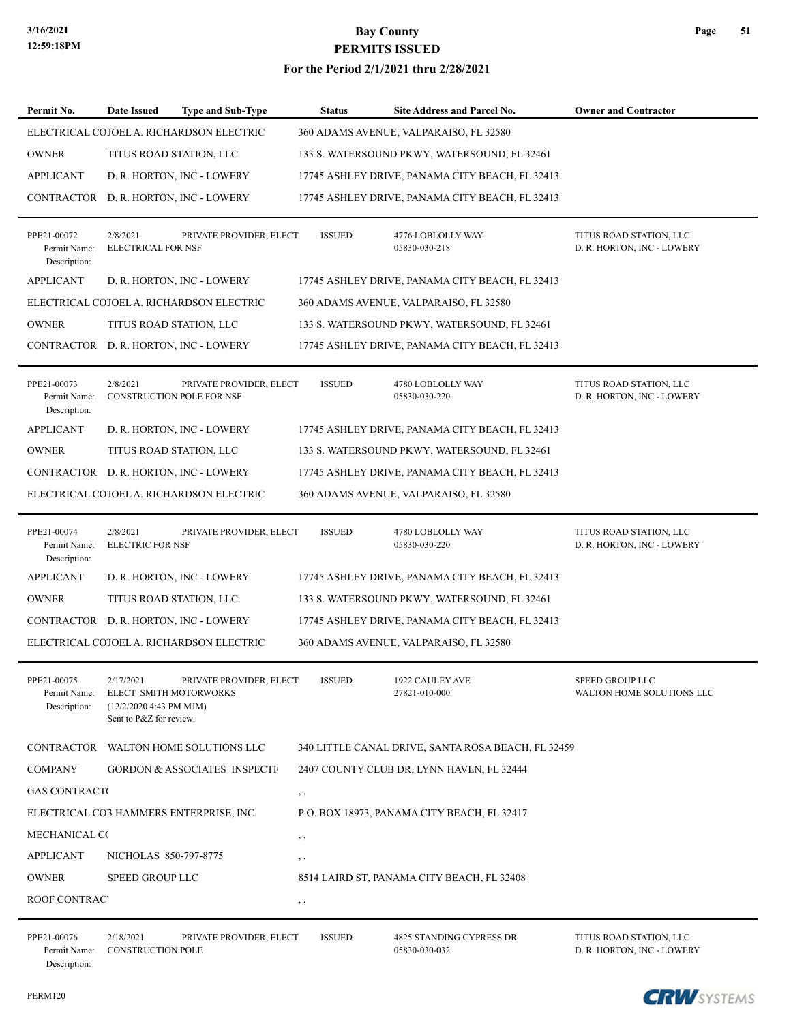#### **For the Period 2/1/2021 thru 2/28/2021**

| Permit No.                                  | Date Issued                                                                               | <b>Type and Sub-Type</b>                             | <b>Status</b> | Site Address and Parcel No.                        | <b>Owner and Contractor</b>                           |
|---------------------------------------------|-------------------------------------------------------------------------------------------|------------------------------------------------------|---------------|----------------------------------------------------|-------------------------------------------------------|
|                                             |                                                                                           | ELECTRICAL COJOEL A. RICHARDSON ELECTRIC             |               | 360 ADAMS AVENUE, VALPARAISO, FL 32580             |                                                       |
| <b>OWNER</b>                                | TITUS ROAD STATION, LLC                                                                   |                                                      |               | 133 S. WATERSOUND PKWY, WATERSOUND, FL 32461       |                                                       |
| <b>APPLICANT</b>                            |                                                                                           | D. R. HORTON, INC - LOWERY                           |               | 17745 ASHLEY DRIVE, PANAMA CITY BEACH, FL 32413    |                                                       |
|                                             |                                                                                           | CONTRACTOR D. R. HORTON, INC - LOWERY                |               | 17745 ASHLEY DRIVE, PANAMA CITY BEACH, FL 32413    |                                                       |
| PPE21-00072<br>Permit Name:<br>Description: | 2/8/2021<br><b>ELECTRICAL FOR NSF</b>                                                     | PRIVATE PROVIDER, ELECT                              | <b>ISSUED</b> | 4776 LOBLOLLY WAY<br>05830-030-218                 | TITUS ROAD STATION, LLC<br>D. R. HORTON, INC - LOWERY |
| <b>APPLICANT</b>                            |                                                                                           | D. R. HORTON, INC - LOWERY                           |               | 17745 ASHLEY DRIVE, PANAMA CITY BEACH, FL 32413    |                                                       |
|                                             |                                                                                           | ELECTRICAL COJOEL A. RICHARDSON ELECTRIC             |               | 360 ADAMS AVENUE, VALPARAISO, FL 32580             |                                                       |
| <b>OWNER</b>                                | TITUS ROAD STATION, LLC                                                                   |                                                      |               | 133 S. WATERSOUND PKWY, WATERSOUND, FL 32461       |                                                       |
|                                             |                                                                                           | CONTRACTOR D. R. HORTON, INC - LOWERY                |               | 17745 ASHLEY DRIVE, PANAMA CITY BEACH, FL 32413    |                                                       |
| PPE21-00073<br>Permit Name:<br>Description: | 2/8/2021                                                                                  | PRIVATE PROVIDER, ELECT<br>CONSTRUCTION POLE FOR NSF | <b>ISSUED</b> | 4780 LOBLOLLY WAY<br>05830-030-220                 | TITUS ROAD STATION, LLC<br>D. R. HORTON, INC - LOWERY |
| <b>APPLICANT</b>                            |                                                                                           | D. R. HORTON, INC - LOWERY                           |               | 17745 ASHLEY DRIVE, PANAMA CITY BEACH, FL 32413    |                                                       |
| <b>OWNER</b>                                | TITUS ROAD STATION, LLC                                                                   |                                                      |               | 133 S. WATERSOUND PKWY, WATERSOUND, FL 32461       |                                                       |
|                                             |                                                                                           | CONTRACTOR D. R. HORTON, INC - LOWERY                |               | 17745 ASHLEY DRIVE, PANAMA CITY BEACH, FL 32413    |                                                       |
|                                             |                                                                                           | ELECTRICAL COJOEL A. RICHARDSON ELECTRIC             |               | 360 ADAMS AVENUE, VALPARAISO, FL 32580             |                                                       |
| PPE21-00074<br>Permit Name:<br>Description: | 2/8/2021<br><b>ELECTRIC FOR NSF</b>                                                       | PRIVATE PROVIDER, ELECT                              | <b>ISSUED</b> | 4780 LOBLOLLY WAY<br>05830-030-220                 | TITUS ROAD STATION, LLC<br>D. R. HORTON, INC - LOWERY |
| <b>APPLICANT</b>                            |                                                                                           | D. R. HORTON, INC - LOWERY                           |               | 17745 ASHLEY DRIVE, PANAMA CITY BEACH, FL 32413    |                                                       |
| <b>OWNER</b>                                | TITUS ROAD STATION, LLC                                                                   |                                                      |               | 133 S. WATERSOUND PKWY, WATERSOUND, FL 32461       |                                                       |
|                                             |                                                                                           | CONTRACTOR D. R. HORTON, INC - LOWERY                |               | 17745 ASHLEY DRIVE, PANAMA CITY BEACH, FL 32413    |                                                       |
|                                             |                                                                                           | ELECTRICAL COJOEL A. RICHARDSON ELECTRIC             |               | 360 ADAMS AVENUE, VALPARAISO, FL 32580             |                                                       |
| PPE21-00075<br>Permit Name:<br>Description: | 2/17/2021<br>ELECT SMITH MOTORWORKS<br>(12/2/2020 4:43 PM MJM)<br>Sent to P&Z for review. | PRIVATE PROVIDER, ELECT                              | <b>ISSUED</b> | 1922 CAULEY AVE<br>27821-010-000                   | SPEED GROUP LLC<br>WALTON HOME SOLUTIONS LLC          |
|                                             |                                                                                           | CONTRACTOR WALTON HOME SOLUTIONS LLC                 |               | 340 LITTLE CANAL DRIVE, SANTA ROSA BEACH, FL 32459 |                                                       |
| <b>COMPANY</b>                              |                                                                                           | <b>GORDON &amp; ASSOCIATES INSPECTI</b>              |               | 2407 COUNTY CLUB DR, LYNN HAVEN, FL 32444          |                                                       |
| <b>GAS CONTRACT</b>                         |                                                                                           |                                                      | $, \, , \,$   |                                                    |                                                       |
|                                             |                                                                                           | ELECTRICAL CO3 HAMMERS ENTERPRISE, INC.              |               | P.O. BOX 18973, PANAMA CITY BEACH, FL 32417        |                                                       |
| MECHANICAL CO                               |                                                                                           |                                                      | $, \, , \,$   |                                                    |                                                       |
| <b>APPLICANT</b>                            | NICHOLAS 850-797-8775                                                                     |                                                      | $, \, , \,$   |                                                    |                                                       |
| <b>OWNER</b>                                | SPEED GROUP LLC                                                                           |                                                      |               | 8514 LAIRD ST, PANAMA CITY BEACH, FL 32408         |                                                       |
| ROOF CONTRACT                               |                                                                                           |                                                      | $, \, , \,$   |                                                    |                                                       |
| PPE21-00076                                 | 2/18/2021                                                                                 | PRIVATE PROVIDER, ELECT                              | <b>ISSUED</b> | 4825 STANDING CYPRESS DR                           | TITUS ROAD STATION, LLC                               |

Description: Permit Name: CONSTRUCTION POLE 05830-030-032 D. R. HORTON, INC - LOWERY PRIVATE PROVIDER, ELECT

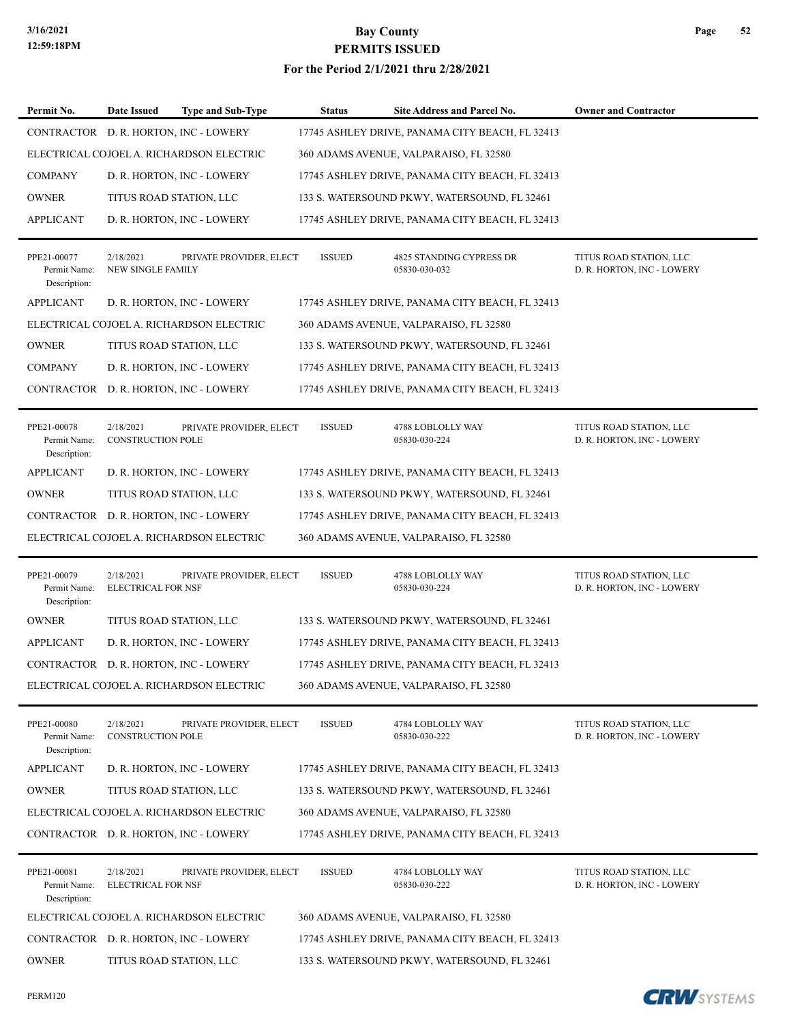### **3/16/2021 Bay County PERMITS ISSUED For the Period 2/1/2021 thru 2/28/2021**

| Permit No.                                  | Date Issued                            | <b>Type and Sub-Type</b>                 | <b>Status</b> | <b>Site Address and Parcel No.</b>              | <b>Owner and Contractor</b>                           |
|---------------------------------------------|----------------------------------------|------------------------------------------|---------------|-------------------------------------------------|-------------------------------------------------------|
|                                             |                                        | CONTRACTOR D. R. HORTON, INC - LOWERY    |               | 17745 ASHLEY DRIVE, PANAMA CITY BEACH, FL 32413 |                                                       |
|                                             |                                        | ELECTRICAL COJOEL A. RICHARDSON ELECTRIC |               | 360 ADAMS AVENUE, VALPARAISO, FL 32580          |                                                       |
| <b>COMPANY</b>                              |                                        | D. R. HORTON, INC - LOWERY               |               | 17745 ASHLEY DRIVE, PANAMA CITY BEACH, FL 32413 |                                                       |
| <b>OWNER</b>                                |                                        | TITUS ROAD STATION, LLC                  |               | 133 S. WATERSOUND PKWY, WATERSOUND, FL 32461    |                                                       |
| <b>APPLICANT</b>                            |                                        | D. R. HORTON, INC - LOWERY               |               | 17745 ASHLEY DRIVE, PANAMA CITY BEACH, FL 32413 |                                                       |
| PPE21-00077<br>Permit Name:<br>Description: | 2/18/2021<br>NEW SINGLE FAMILY         | PRIVATE PROVIDER, ELECT                  | <b>ISSUED</b> | 4825 STANDING CYPRESS DR<br>05830-030-032       | TITUS ROAD STATION, LLC<br>D. R. HORTON, INC - LOWERY |
| <b>APPLICANT</b>                            |                                        | D. R. HORTON, INC - LOWERY               |               | 17745 ASHLEY DRIVE, PANAMA CITY BEACH, FL 32413 |                                                       |
|                                             |                                        | ELECTRICAL COJOEL A. RICHARDSON ELECTRIC |               | 360 ADAMS AVENUE, VALPARAISO, FL 32580          |                                                       |
| <b>OWNER</b>                                |                                        | TITUS ROAD STATION, LLC                  |               | 133 S. WATERSOUND PKWY, WATERSOUND, FL 32461    |                                                       |
| <b>COMPANY</b>                              |                                        | D. R. HORTON, INC - LOWERY               |               | 17745 ASHLEY DRIVE, PANAMA CITY BEACH, FL 32413 |                                                       |
|                                             |                                        | CONTRACTOR D. R. HORTON, INC - LOWERY    |               | 17745 ASHLEY DRIVE, PANAMA CITY BEACH, FL 32413 |                                                       |
| PPE21-00078<br>Permit Name:<br>Description: | 2/18/2021<br><b>CONSTRUCTION POLE</b>  | PRIVATE PROVIDER, ELECT                  | <b>ISSUED</b> | 4788 LOBLOLLY WAY<br>05830-030-224              | TITUS ROAD STATION, LLC<br>D. R. HORTON, INC - LOWERY |
| <b>APPLICANT</b>                            |                                        | D. R. HORTON, INC - LOWERY               |               | 17745 ASHLEY DRIVE, PANAMA CITY BEACH, FL 32413 |                                                       |
| <b>OWNER</b>                                |                                        | TITUS ROAD STATION, LLC                  |               | 133 S. WATERSOUND PKWY, WATERSOUND, FL 32461    |                                                       |
|                                             |                                        | CONTRACTOR D. R. HORTON, INC - LOWERY    |               | 17745 ASHLEY DRIVE, PANAMA CITY BEACH, FL 32413 |                                                       |
|                                             |                                        | ELECTRICAL COJOEL A. RICHARDSON ELECTRIC |               | 360 ADAMS AVENUE, VALPARAISO, FL 32580          |                                                       |
| PPE21-00079<br>Permit Name:<br>Description: | 2/18/2021<br><b>ELECTRICAL FOR NSF</b> | PRIVATE PROVIDER, ELECT                  | <b>ISSUED</b> | 4788 LOBLOLLY WAY<br>05830-030-224              | TITUS ROAD STATION, LLC<br>D. R. HORTON, INC - LOWERY |
| <b>OWNER</b>                                |                                        | TITUS ROAD STATION, LLC                  |               | 133 S. WATERSOUND PKWY, WATERSOUND, FL 32461    |                                                       |
| <b>APPLICANT</b>                            |                                        | D. R. HORTON, INC - LOWERY               |               | 17745 ASHLEY DRIVE, PANAMA CITY BEACH, FL 32413 |                                                       |
|                                             |                                        | CONTRACTOR D. R. HORTON, INC - LOWERY    |               | 17745 ASHLEY DRIVE, PANAMA CITY BEACH, FL 32413 |                                                       |
|                                             |                                        | ELECTRICAL COJOEL A. RICHARDSON ELECTRIC |               | 360 ADAMS AVENUE, VALPARAISO, FL 32580          |                                                       |
| PPE21-00080<br>Permit Name:<br>Description: | 2/18/2021<br><b>CONSTRUCTION POLE</b>  | PRIVATE PROVIDER, ELECT                  | <b>ISSUED</b> | 4784 LOBLOLLY WAY<br>05830-030-222              | TITUS ROAD STATION, LLC<br>D. R. HORTON, INC - LOWERY |
| <b>APPLICANT</b>                            |                                        | D. R. HORTON, INC - LOWERY               |               | 17745 ASHLEY DRIVE, PANAMA CITY BEACH, FL 32413 |                                                       |
| <b>OWNER</b>                                |                                        | TITUS ROAD STATION, LLC                  |               | 133 S. WATERSOUND PKWY, WATERSOUND, FL 32461    |                                                       |
|                                             |                                        | ELECTRICAL COJOEL A. RICHARDSON ELECTRIC |               | 360 ADAMS AVENUE, VALPARAISO, FL 32580          |                                                       |
|                                             |                                        | CONTRACTOR D. R. HORTON, INC - LOWERY    |               | 17745 ASHLEY DRIVE, PANAMA CITY BEACH, FL 32413 |                                                       |
| PPE21-00081<br>Permit Name:                 | 2/18/2021<br><b>ELECTRICAL FOR NSF</b> | PRIVATE PROVIDER, ELECT                  | <b>ISSUED</b> | 4784 LOBLOLLY WAY<br>05830-030-222              | TITUS ROAD STATION, LLC<br>D. R. HORTON, INC - LOWERY |
| Description:                                |                                        |                                          |               |                                                 |                                                       |
|                                             |                                        | ELECTRICAL COJOEL A. RICHARDSON ELECTRIC |               | 360 ADAMS AVENUE, VALPARAISO, FL 32580          |                                                       |
|                                             |                                        | CONTRACTOR D. R. HORTON, INC - LOWERY    |               | 17745 ASHLEY DRIVE, PANAMA CITY BEACH, FL 32413 |                                                       |
| <b>OWNER</b>                                |                                        | TITUS ROAD STATION, LLC                  |               | 133 S. WATERSOUND PKWY, WATERSOUND, FL 32461    |                                                       |

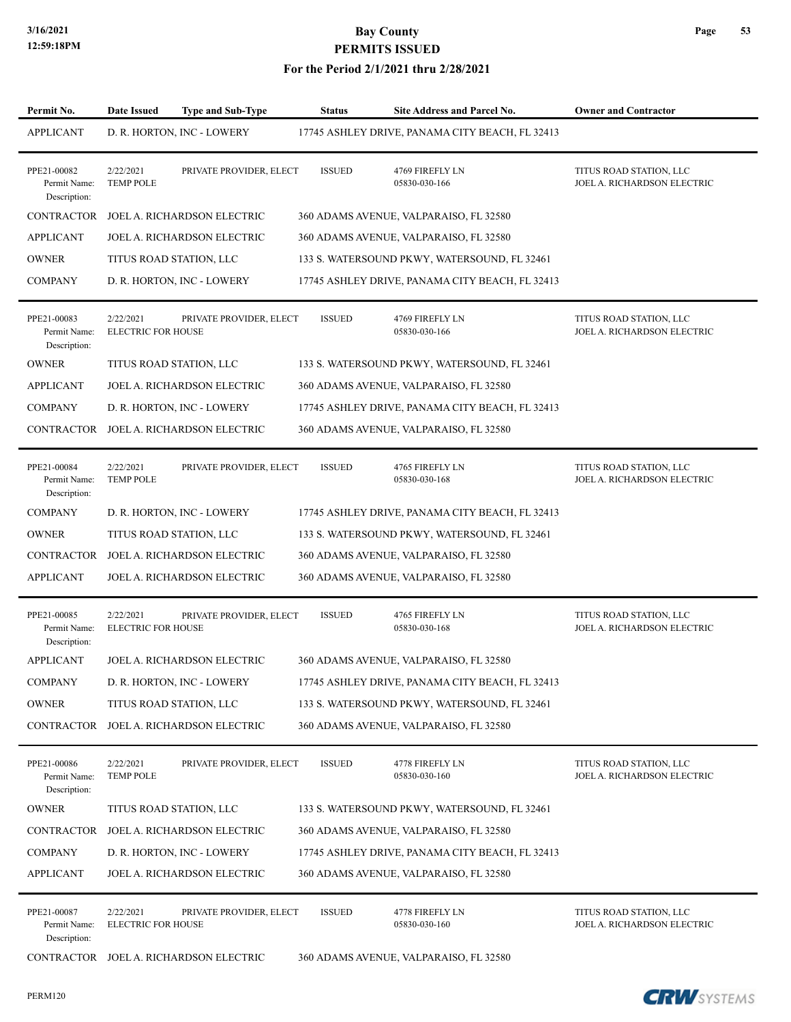| Permit No.                                  | <b>Date Issued</b>                     | <b>Type and Sub-Type</b>               | <b>Status</b> | <b>Site Address and Parcel No.</b>              | <b>Owner and Contractor</b>                            |
|---------------------------------------------|----------------------------------------|----------------------------------------|---------------|-------------------------------------------------|--------------------------------------------------------|
| <b>APPLICANT</b>                            |                                        | D. R. HORTON, INC - LOWERY             |               | 17745 ASHLEY DRIVE, PANAMA CITY BEACH, FL 32413 |                                                        |
| PPE21-00082<br>Permit Name:<br>Description: | 2/22/2021<br><b>TEMP POLE</b>          | PRIVATE PROVIDER, ELECT                | <b>ISSUED</b> | 4769 FIREFLY LN<br>05830-030-166                | TITUS ROAD STATION, LLC<br>JOEL A. RICHARDSON ELECTRIC |
| <b>CONTRACTOR</b>                           |                                        | JOEL A. RICHARDSON ELECTRIC            |               | 360 ADAMS AVENUE, VALPARAISO, FL 32580          |                                                        |
| <b>APPLICANT</b>                            |                                        | JOEL A. RICHARDSON ELECTRIC            |               | 360 ADAMS AVENUE, VALPARAISO, FL 32580          |                                                        |
| <b>OWNER</b>                                |                                        | TITUS ROAD STATION, LLC                |               | 133 S. WATERSOUND PKWY, WATERSOUND, FL 32461    |                                                        |
| <b>COMPANY</b>                              |                                        | D. R. HORTON, INC - LOWERY             |               | 17745 ASHLEY DRIVE, PANAMA CITY BEACH, FL 32413 |                                                        |
| PPE21-00083<br>Permit Name:<br>Description: | 2/22/2021<br><b>ELECTRIC FOR HOUSE</b> | PRIVATE PROVIDER, ELECT                | <b>ISSUED</b> | 4769 FIREFLY LN<br>05830-030-166                | TITUS ROAD STATION, LLC<br>JOEL A. RICHARDSON ELECTRIC |
| <b>OWNER</b>                                |                                        | TITUS ROAD STATION, LLC                |               | 133 S. WATERSOUND PKWY, WATERSOUND, FL 32461    |                                                        |
| <b>APPLICANT</b>                            |                                        | JOEL A. RICHARDSON ELECTRIC            |               | 360 ADAMS AVENUE, VALPARAISO, FL 32580          |                                                        |
| <b>COMPANY</b>                              |                                        | D. R. HORTON, INC - LOWERY             |               | 17745 ASHLEY DRIVE, PANAMA CITY BEACH, FL 32413 |                                                        |
| CONTRACTOR                                  |                                        | JOEL A. RICHARDSON ELECTRIC            |               | 360 ADAMS AVENUE, VALPARAISO, FL 32580          |                                                        |
| PPE21-00084<br>Permit Name:<br>Description: | 2/22/2021<br><b>TEMP POLE</b>          | PRIVATE PROVIDER, ELECT                | <b>ISSUED</b> | 4765 FIREFLY LN<br>05830-030-168                | TITUS ROAD STATION, LLC<br>JOEL A. RICHARDSON ELECTRIC |
| <b>COMPANY</b>                              |                                        | D. R. HORTON, INC - LOWERY             |               | 17745 ASHLEY DRIVE, PANAMA CITY BEACH, FL 32413 |                                                        |
| <b>OWNER</b>                                |                                        | TITUS ROAD STATION, LLC                |               | 133 S. WATERSOUND PKWY, WATERSOUND, FL 32461    |                                                        |
| <b>CONTRACTOR</b>                           |                                        | JOEL A. RICHARDSON ELECTRIC            |               | 360 ADAMS AVENUE, VALPARAISO, FL 32580          |                                                        |
| <b>APPLICANT</b>                            |                                        | JOEL A. RICHARDSON ELECTRIC            |               | 360 ADAMS AVENUE, VALPARAISO, FL 32580          |                                                        |
| PPE21-00085<br>Permit Name:<br>Description: | 2/22/2021<br><b>ELECTRIC FOR HOUSE</b> | PRIVATE PROVIDER, ELECT                | <b>ISSUED</b> | 4765 FIREFLY LN<br>05830-030-168                | TITUS ROAD STATION, LLC<br>JOEL A. RICHARDSON ELECTRIC |
| <b>APPLICANT</b>                            |                                        | JOEL A. RICHARDSON ELECTRIC            |               | 360 ADAMS AVENUE, VALPARAISO, FL 32580          |                                                        |
| COMPANY                                     |                                        | D. R. HORTON, INC - LOWERY             |               | 17745 ASHLEY DRIVE, PANAMA CITY BEACH, FL 32413 |                                                        |
| <b>OWNER</b>                                |                                        | TITUS ROAD STATION, LLC                |               | 133 S. WATERSOUND PKWY, WATERSOUND, FL 32461    |                                                        |
| CONTRACTOR                                  |                                        | JOEL A. RICHARDSON ELECTRIC            |               | 360 ADAMS AVENUE, VALPARAISO, FL 32580          |                                                        |
| PPE21-00086<br>Permit Name:<br>Description: | 2/22/2021<br><b>TEMP POLE</b>          | PRIVATE PROVIDER, ELECT                | <b>ISSUED</b> | 4778 FIREFLY LN<br>05830-030-160                | TITUS ROAD STATION, LLC<br>JOEL A. RICHARDSON ELECTRIC |
| <b>OWNER</b>                                |                                        | TITUS ROAD STATION, LLC                |               | 133 S. WATERSOUND PKWY, WATERSOUND, FL 32461    |                                                        |
| <b>CONTRACTOR</b>                           |                                        | JOEL A. RICHARDSON ELECTRIC            |               | 360 ADAMS AVENUE, VALPARAISO, FL 32580          |                                                        |
| <b>COMPANY</b>                              |                                        | D. R. HORTON, INC - LOWERY             |               | 17745 ASHLEY DRIVE, PANAMA CITY BEACH, FL 32413 |                                                        |
| <b>APPLICANT</b>                            |                                        | JOEL A. RICHARDSON ELECTRIC            |               | 360 ADAMS AVENUE, VALPARAISO, FL 32580          |                                                        |
| PPE21-00087<br>Permit Name:<br>Description: | 2/22/2021<br><b>ELECTRIC FOR HOUSE</b> | PRIVATE PROVIDER, ELECT                | <b>ISSUED</b> | 4778 FIREFLY LN<br>05830-030-160                | TITUS ROAD STATION, LLC<br>JOEL A. RICHARDSON ELECTRIC |
|                                             |                                        | CONTRACTOR JOEL A. RICHARDSON ELECTRIC |               | 360 ADAMS AVENUE, VALPARAISO, FL 32580          |                                                        |

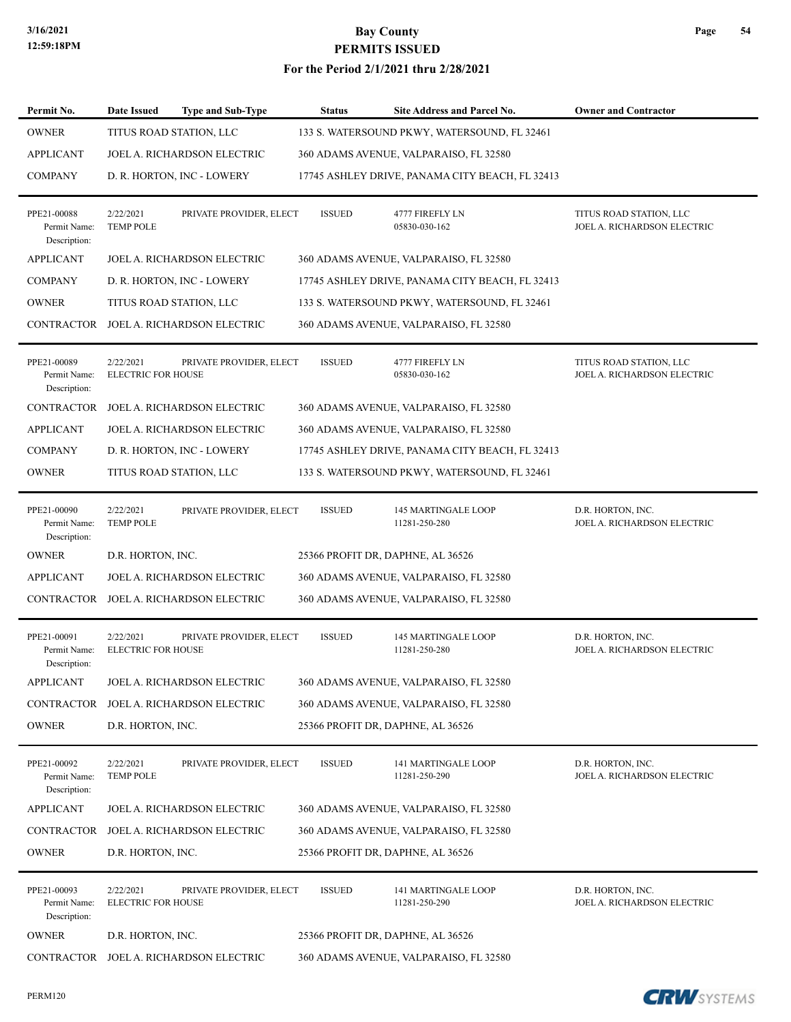#### **For the Period 2/1/2021 thru 2/28/2021**

| Permit No.                                  | <b>Date Issued</b>                     | <b>Type and Sub-Type</b>    | <b>Status</b> | <b>Site Address and Parcel No.</b>              | <b>Owner and Contractor</b>                            |
|---------------------------------------------|----------------------------------------|-----------------------------|---------------|-------------------------------------------------|--------------------------------------------------------|
| <b>OWNER</b>                                |                                        | TITUS ROAD STATION, LLC     |               | 133 S. WATERSOUND PKWY, WATERSOUND, FL 32461    |                                                        |
| <b>APPLICANT</b>                            |                                        | JOEL A. RICHARDSON ELECTRIC |               | 360 ADAMS AVENUE, VALPARAISO, FL 32580          |                                                        |
| <b>COMPANY</b>                              |                                        | D. R. HORTON, INC - LOWERY  |               | 17745 ASHLEY DRIVE, PANAMA CITY BEACH, FL 32413 |                                                        |
| PPE21-00088<br>Permit Name:<br>Description: | 2/22/2021<br><b>TEMP POLE</b>          | PRIVATE PROVIDER, ELECT     | <b>ISSUED</b> | 4777 FIREFLY LN<br>05830-030-162                | TITUS ROAD STATION, LLC<br>JOEL A. RICHARDSON ELECTRIC |
| <b>APPLICANT</b>                            |                                        | JOEL A. RICHARDSON ELECTRIC |               | 360 ADAMS AVENUE, VALPARAISO, FL 32580          |                                                        |
| <b>COMPANY</b>                              |                                        | D. R. HORTON, INC - LOWERY  |               | 17745 ASHLEY DRIVE, PANAMA CITY BEACH, FL 32413 |                                                        |
| <b>OWNER</b>                                |                                        | TITUS ROAD STATION, LLC     |               | 133 S. WATERSOUND PKWY, WATERSOUND, FL 32461    |                                                        |
| CONTRACTOR                                  |                                        | JOEL A. RICHARDSON ELECTRIC |               | 360 ADAMS AVENUE, VALPARAISO, FL 32580          |                                                        |
| PPE21-00089<br>Permit Name:<br>Description: | 2/22/2021<br><b>ELECTRIC FOR HOUSE</b> | PRIVATE PROVIDER, ELECT     | <b>ISSUED</b> | 4777 FIREFLY LN<br>05830-030-162                | TITUS ROAD STATION, LLC<br>JOEL A. RICHARDSON ELECTRIC |
| <b>CONTRACTOR</b>                           |                                        | JOEL A. RICHARDSON ELECTRIC |               | 360 ADAMS AVENUE, VALPARAISO, FL 32580          |                                                        |
| <b>APPLICANT</b>                            |                                        | JOEL A. RICHARDSON ELECTRIC |               | 360 ADAMS AVENUE, VALPARAISO, FL 32580          |                                                        |
| <b>COMPANY</b>                              |                                        | D. R. HORTON, INC - LOWERY  |               | 17745 ASHLEY DRIVE, PANAMA CITY BEACH, FL 32413 |                                                        |
| <b>OWNER</b>                                |                                        | TITUS ROAD STATION, LLC     |               | 133 S. WATERSOUND PKWY, WATERSOUND, FL 32461    |                                                        |
| PPE21-00090<br>Permit Name:<br>Description: | 2/22/2021<br><b>TEMP POLE</b>          | PRIVATE PROVIDER, ELECT     | <b>ISSUED</b> | 145 MARTINGALE LOOP<br>11281-250-280            | D.R. HORTON, INC.<br>JOEL A. RICHARDSON ELECTRIC       |
| <b>OWNER</b>                                | D.R. HORTON, INC.                      |                             |               | 25366 PROFIT DR, DAPHNE, AL 36526               |                                                        |
| <b>APPLICANT</b>                            |                                        | JOEL A. RICHARDSON ELECTRIC |               | 360 ADAMS AVENUE, VALPARAISO, FL 32580          |                                                        |
| <b>CONTRACTOR</b>                           |                                        | JOEL A. RICHARDSON ELECTRIC |               | 360 ADAMS AVENUE, VALPARAISO, FL 32580          |                                                        |
| PPE21-00091<br>Permit Name:<br>Description: | 2/22/2021<br><b>ELECTRIC FOR HOUSE</b> | PRIVATE PROVIDER, ELECT     | <b>ISSUED</b> | 145 MARTINGALE LOOP<br>11281-250-280            | D.R. HORTON, INC.<br>JOEL A. RICHARDSON ELECTRIC       |
| <b>APPLICANT</b>                            |                                        | JOEL A. RICHARDSON ELECTRIC |               | 360 ADAMS AVENUE, VALPARAISO, FL 32580          |                                                        |
| CONTRACTOR                                  |                                        | JOEL A. RICHARDSON ELECTRIC |               | 360 ADAMS AVENUE, VALPARAISO, FL 32580          |                                                        |
| <b>OWNER</b>                                | D.R. HORTON, INC.                      |                             |               | 25366 PROFIT DR, DAPHNE, AL 36526               |                                                        |
| PPE21-00092<br>Permit Name:<br>Description: | 2/22/2021<br><b>TEMP POLE</b>          | PRIVATE PROVIDER, ELECT     | <b>ISSUED</b> | 141 MARTINGALE LOOP<br>11281-250-290            | D.R. HORTON, INC.<br>JOEL A. RICHARDSON ELECTRIC       |
| <b>APPLICANT</b>                            |                                        | JOEL A. RICHARDSON ELECTRIC |               | 360 ADAMS AVENUE, VALPARAISO, FL 32580          |                                                        |
| CONTRACTOR                                  |                                        | JOEL A. RICHARDSON ELECTRIC |               | 360 ADAMS AVENUE, VALPARAISO, FL 32580          |                                                        |
| <b>OWNER</b>                                | D.R. HORTON, INC.                      |                             |               | 25366 PROFIT DR, DAPHNE, AL 36526               |                                                        |
| PPE21-00093<br>Permit Name:<br>Description: | 2/22/2021<br><b>ELECTRIC FOR HOUSE</b> | PRIVATE PROVIDER, ELECT     | <b>ISSUED</b> | 141 MARTINGALE LOOP<br>11281-250-290            | D.R. HORTON, INC.<br>JOEL A. RICHARDSON ELECTRIC       |
| <b>OWNER</b>                                | D.R. HORTON, INC.                      |                             |               | 25366 PROFIT DR, DAPHNE, AL 36526               |                                                        |
| CONTRACTOR                                  |                                        | JOEL A. RICHARDSON ELECTRIC |               | 360 ADAMS AVENUE, VALPARAISO, FL 32580          |                                                        |

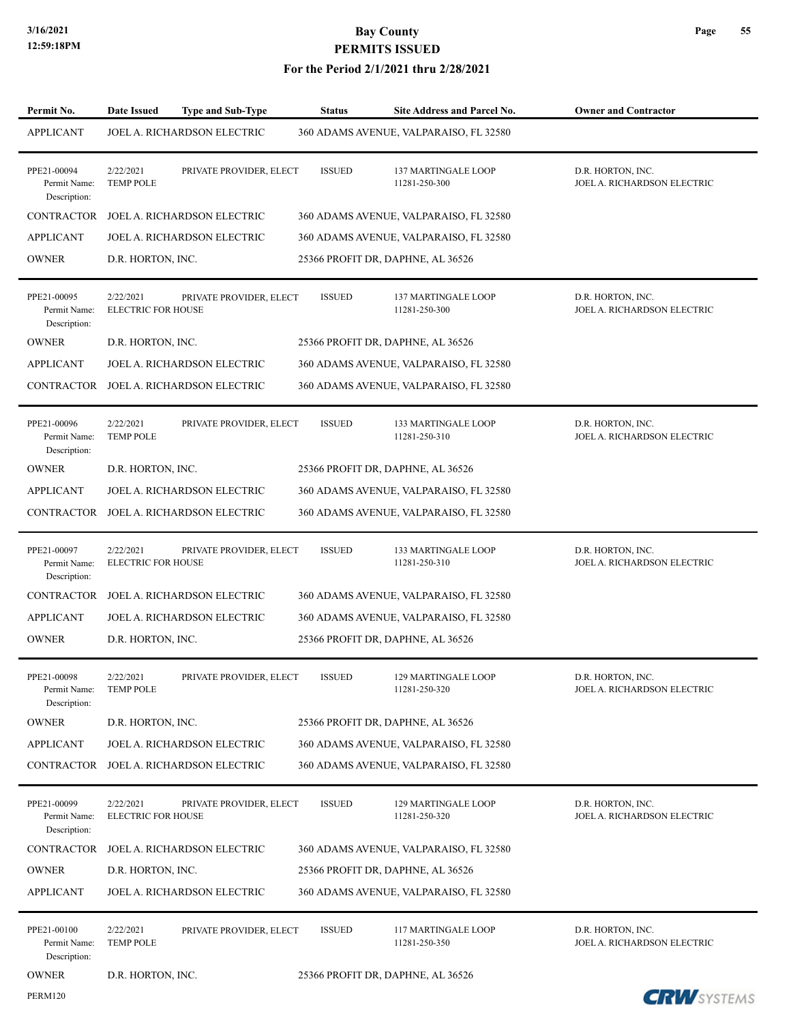PERM120

## **3/16/2021 Bay County PERMITS ISSUED**

| Permit No.                                  | <b>Date Issued</b>                     | <b>Type and Sub-Type</b>    | <b>Status</b> | Site Address and Parcel No.                 | <b>Owner and Contractor</b>                      |
|---------------------------------------------|----------------------------------------|-----------------------------|---------------|---------------------------------------------|--------------------------------------------------|
| <b>APPLICANT</b>                            |                                        | JOEL A. RICHARDSON ELECTRIC |               | 360 ADAMS AVENUE, VALPARAISO, FL 32580      |                                                  |
| PPE21-00094<br>Permit Name:<br>Description: | 2/22/2021<br><b>TEMP POLE</b>          | PRIVATE PROVIDER, ELECT     | <b>ISSUED</b> | <b>137 MARTINGALE LOOP</b><br>11281-250-300 | D.R. HORTON, INC.<br>JOEL A. RICHARDSON ELECTRIC |
| <b>CONTRACTOR</b>                           |                                        | JOEL A. RICHARDSON ELECTRIC |               | 360 ADAMS AVENUE, VALPARAISO, FL 32580      |                                                  |
| <b>APPLICANT</b>                            |                                        | JOEL A. RICHARDSON ELECTRIC |               | 360 ADAMS AVENUE, VALPARAISO, FL 32580      |                                                  |
| <b>OWNER</b>                                | D.R. HORTON, INC.                      |                             |               | 25366 PROFIT DR, DAPHNE, AL 36526           |                                                  |
| PPE21-00095<br>Permit Name:<br>Description: | 2/22/2021<br><b>ELECTRIC FOR HOUSE</b> | PRIVATE PROVIDER, ELECT     | <b>ISSUED</b> | 137 MARTINGALE LOOP<br>11281-250-300        | D.R. HORTON, INC.<br>JOEL A. RICHARDSON ELECTRIC |
| <b>OWNER</b>                                | D.R. HORTON, INC.                      |                             |               | 25366 PROFIT DR, DAPHNE, AL 36526           |                                                  |
| <b>APPLICANT</b>                            |                                        | JOEL A. RICHARDSON ELECTRIC |               | 360 ADAMS AVENUE, VALPARAISO, FL 32580      |                                                  |
| CONTRACTOR                                  |                                        | JOEL A. RICHARDSON ELECTRIC |               | 360 ADAMS AVENUE, VALPARAISO, FL 32580      |                                                  |
| PPE21-00096<br>Permit Name:<br>Description: | 2/22/2021<br><b>TEMP POLE</b>          | PRIVATE PROVIDER, ELECT     | <b>ISSUED</b> | 133 MARTINGALE LOOP<br>11281-250-310        | D.R. HORTON, INC.<br>JOEL A. RICHARDSON ELECTRIC |
| <b>OWNER</b>                                | D.R. HORTON, INC.                      |                             |               | 25366 PROFIT DR, DAPHNE, AL 36526           |                                                  |
| <b>APPLICANT</b>                            |                                        | JOEL A. RICHARDSON ELECTRIC |               | 360 ADAMS AVENUE, VALPARAISO, FL 32580      |                                                  |
| CONTRACTOR                                  |                                        | JOEL A. RICHARDSON ELECTRIC |               | 360 ADAMS AVENUE, VALPARAISO, FL 32580      |                                                  |
| PPE21-00097<br>Permit Name:<br>Description: | 2/22/2021<br><b>ELECTRIC FOR HOUSE</b> | PRIVATE PROVIDER, ELECT     | <b>ISSUED</b> | 133 MARTINGALE LOOP<br>11281-250-310        | D.R. HORTON, INC.<br>JOEL A. RICHARDSON ELECTRIC |
| CONTRACTOR                                  |                                        | JOEL A. RICHARDSON ELECTRIC |               | 360 ADAMS AVENUE, VALPARAISO, FL 32580      |                                                  |
| <b>APPLICANT</b>                            |                                        | JOEL A. RICHARDSON ELECTRIC |               | 360 ADAMS AVENUE, VALPARAISO, FL 32580      |                                                  |
| <b>OWNER</b>                                | D.R. HORTON, INC.                      |                             |               | 25366 PROFIT DR, DAPHNE, AL 36526           |                                                  |
| PPE21-00098<br>Permit Name:<br>Description: | 2/22/2021<br><b>TEMP POLE</b>          | PRIVATE PROVIDER, ELECT     | <b>ISSUED</b> | 129 MARTINGALE LOOP<br>11281-250-320        | D.R. HORTON, INC.<br>JOEL A. RICHARDSON ELECTRIC |
| <b>OWNER</b>                                | D.R. HORTON, INC.                      |                             |               | 25366 PROFIT DR, DAPHNE, AL 36526           |                                                  |
| <b>APPLICANT</b>                            |                                        | JOEL A. RICHARDSON ELECTRIC |               | 360 ADAMS AVENUE, VALPARAISO, FL 32580      |                                                  |
| <b>CONTRACTOR</b>                           |                                        | JOEL A. RICHARDSON ELECTRIC |               | 360 ADAMS AVENUE, VALPARAISO, FL 32580      |                                                  |
| PPE21-00099<br>Permit Name:<br>Description: | 2/22/2021<br><b>ELECTRIC FOR HOUSE</b> | PRIVATE PROVIDER, ELECT     | <b>ISSUED</b> | 129 MARTINGALE LOOP<br>11281-250-320        | D.R. HORTON, INC.<br>JOEL A. RICHARDSON ELECTRIC |
| <b>CONTRACTOR</b>                           |                                        | JOEL A. RICHARDSON ELECTRIC |               | 360 ADAMS AVENUE, VALPARAISO, FL 32580      |                                                  |
| <b>OWNER</b>                                | D.R. HORTON, INC.                      |                             |               | 25366 PROFIT DR, DAPHNE, AL 36526           |                                                  |
| APPLICANT                                   |                                        | JOEL A. RICHARDSON ELECTRIC |               | 360 ADAMS AVENUE, VALPARAISO, FL 32580      |                                                  |
| PPE21-00100<br>Permit Name:<br>Description: | 2/22/2021<br><b>TEMP POLE</b>          | PRIVATE PROVIDER, ELECT     | <b>ISSUED</b> | 117 MARTINGALE LOOP<br>11281-250-350        | D.R. HORTON, INC.<br>JOEL A. RICHARDSON ELECTRIC |
| <b>OWNER</b>                                | D.R. HORTON, INC.                      |                             |               | 25366 PROFIT DR, DAPHNE, AL 36526           |                                                  |

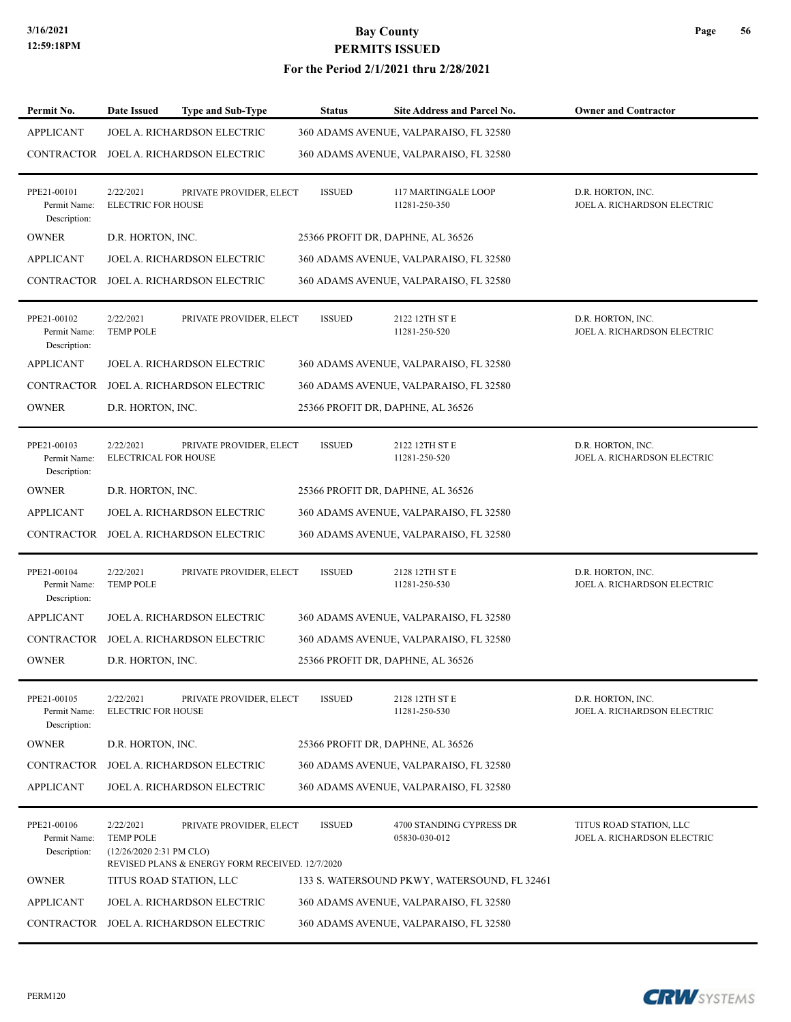#### **For the Period 2/1/2021 thru 2/28/2021**

| Permit No.                                  | Date Issued                                               | <b>Type and Sub-Type</b>                                                   | <b>Status</b> | Site Address and Parcel No.                  | <b>Owner and Contractor</b>                            |
|---------------------------------------------|-----------------------------------------------------------|----------------------------------------------------------------------------|---------------|----------------------------------------------|--------------------------------------------------------|
| <b>APPLICANT</b>                            |                                                           | JOEL A. RICHARDSON ELECTRIC                                                |               | 360 ADAMS AVENUE, VALPARAISO, FL 32580       |                                                        |
|                                             |                                                           | CONTRACTOR JOEL A. RICHARDSON ELECTRIC                                     |               | 360 ADAMS AVENUE, VALPARAISO, FL 32580       |                                                        |
| PPE21-00101<br>Permit Name:<br>Description: | 2/22/2021<br><b>ELECTRIC FOR HOUSE</b>                    | PRIVATE PROVIDER, ELECT                                                    | <b>ISSUED</b> | 117 MARTINGALE LOOP<br>11281-250-350         | D.R. HORTON, INC.<br>JOEL A. RICHARDSON ELECTRIC       |
| <b>OWNER</b>                                | D.R. HORTON, INC.                                         |                                                                            |               | 25366 PROFIT DR, DAPHNE, AL 36526            |                                                        |
| <b>APPLICANT</b>                            |                                                           | JOEL A. RICHARDSON ELECTRIC                                                |               | 360 ADAMS AVENUE, VALPARAISO, FL 32580       |                                                        |
| CONTRACTOR                                  |                                                           | JOEL A. RICHARDSON ELECTRIC                                                |               | 360 ADAMS AVENUE, VALPARAISO, FL 32580       |                                                        |
| PPE21-00102<br>Permit Name:<br>Description: | 2/22/2021<br><b>TEMP POLE</b>                             | PRIVATE PROVIDER, ELECT                                                    | <b>ISSUED</b> | 2122 12TH ST E<br>11281-250-520              | D.R. HORTON, INC.<br>JOEL A. RICHARDSON ELECTRIC       |
| <b>APPLICANT</b>                            |                                                           | JOEL A. RICHARDSON ELECTRIC                                                |               | 360 ADAMS AVENUE, VALPARAISO, FL 32580       |                                                        |
|                                             |                                                           | CONTRACTOR JOEL A. RICHARDSON ELECTRIC                                     |               | 360 ADAMS AVENUE, VALPARAISO, FL 32580       |                                                        |
| <b>OWNER</b>                                | D.R. HORTON, INC.                                         |                                                                            |               | 25366 PROFIT DR, DAPHNE, AL 36526            |                                                        |
| PPE21-00103<br>Permit Name:<br>Description: | 2/22/2021<br><b>ELECTRICAL FOR HOUSE</b>                  | PRIVATE PROVIDER, ELECT                                                    | <b>ISSUED</b> | 2122 12TH ST E<br>11281-250-520              | D.R. HORTON, INC.<br>JOEL A. RICHARDSON ELECTRIC       |
| <b>OWNER</b>                                | D.R. HORTON, INC.                                         |                                                                            |               | 25366 PROFIT DR, DAPHNE, AL 36526            |                                                        |
| <b>APPLICANT</b>                            |                                                           | JOEL A. RICHARDSON ELECTRIC                                                |               | 360 ADAMS AVENUE, VALPARAISO, FL 32580       |                                                        |
| CONTRACTOR                                  |                                                           | JOEL A. RICHARDSON ELECTRIC                                                |               | 360 ADAMS AVENUE, VALPARAISO, FL 32580       |                                                        |
| PPE21-00104<br>Permit Name:<br>Description: | 2/22/2021<br><b>TEMP POLE</b>                             | PRIVATE PROVIDER, ELECT                                                    | <b>ISSUED</b> | 2128 12TH ST E<br>11281-250-530              | D.R. HORTON, INC.<br>JOEL A. RICHARDSON ELECTRIC       |
| <b>APPLICANT</b>                            |                                                           | JOEL A. RICHARDSON ELECTRIC                                                |               | 360 ADAMS AVENUE, VALPARAISO, FL 32580       |                                                        |
|                                             |                                                           | CONTRACTOR JOEL A. RICHARDSON ELECTRIC                                     |               | 360 ADAMS AVENUE, VALPARAISO, FL 32580       |                                                        |
| <b>OWNER</b>                                | D.R. HORTON, INC.                                         |                                                                            |               | 25366 PROFIT DR, DAPHNE, AL 36526            |                                                        |
| PPE21-00105<br>Permit Name:<br>Description: | 2/22/2021<br><b>ELECTRIC FOR HOUSE</b>                    | PRIVATE PROVIDER, ELECT                                                    | <b>ISSUED</b> | 2128 12TH ST E<br>11281-250-530              | D.R. HORTON, INC.<br>JOEL A. RICHARDSON ELECTRIC       |
| <b>OWNER</b>                                | D.R. HORTON, INC.                                         |                                                                            |               | 25366 PROFIT DR, DAPHNE, AL 36526            |                                                        |
| <b>CONTRACTOR</b>                           |                                                           | JOEL A. RICHARDSON ELECTRIC                                                |               | 360 ADAMS AVENUE, VALPARAISO, FL 32580       |                                                        |
| <b>APPLICANT</b>                            |                                                           | JOEL A. RICHARDSON ELECTRIC                                                |               | 360 ADAMS AVENUE, VALPARAISO, FL 32580       |                                                        |
| PPE21-00106<br>Permit Name:<br>Description: | 2/22/2021<br><b>TEMP POLE</b><br>(12/26/2020 2:31 PM CLO) | PRIVATE PROVIDER, ELECT<br>REVISED PLANS & ENERGY FORM RECEIVED. 12/7/2020 | <b>ISSUED</b> | 4700 STANDING CYPRESS DR<br>05830-030-012    | TITUS ROAD STATION, LLC<br>JOEL A. RICHARDSON ELECTRIC |
| <b>OWNER</b>                                |                                                           | TITUS ROAD STATION, LLC                                                    |               | 133 S. WATERSOUND PKWY, WATERSOUND, FL 32461 |                                                        |
| <b>APPLICANT</b>                            |                                                           | JOEL A. RICHARDSON ELECTRIC                                                |               | 360 ADAMS AVENUE, VALPARAISO, FL 32580       |                                                        |
|                                             |                                                           | CONTRACTOR JOEL A. RICHARDSON ELECTRIC                                     |               | 360 ADAMS AVENUE, VALPARAISO, FL 32580       |                                                        |

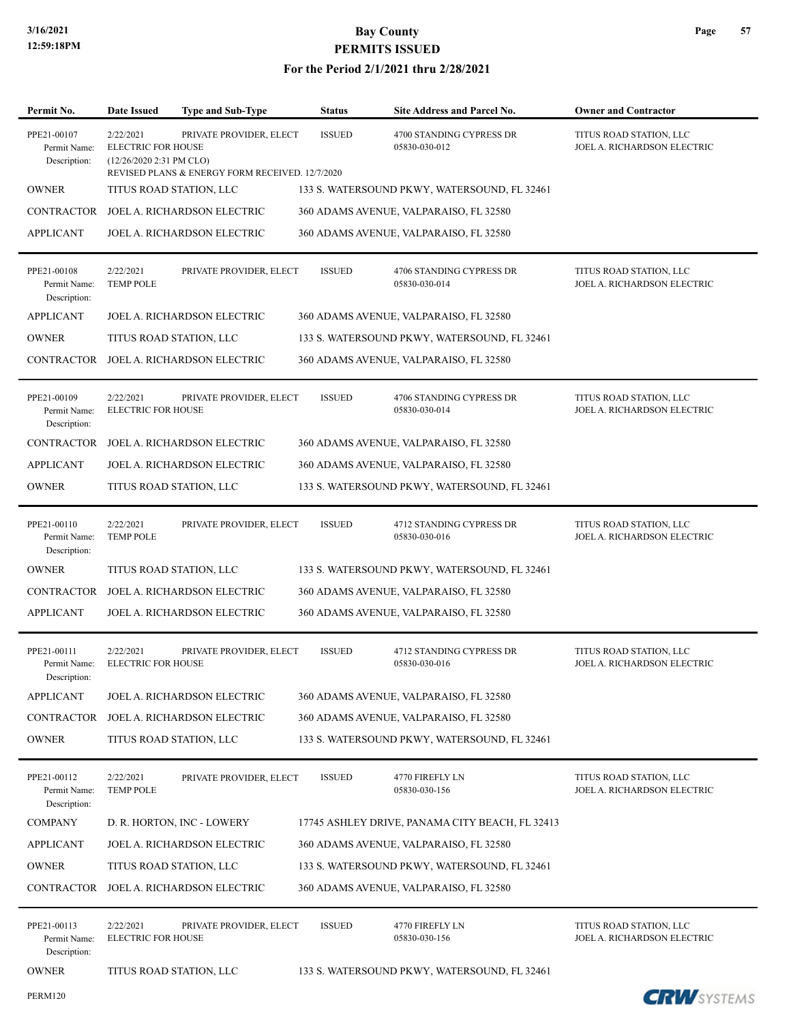| Permit No.                                  | Date Issued                                                        | <b>Type and Sub-Type</b>                                                   | <b>Status</b> | Site Address and Parcel No.                     | <b>Owner and Contractor</b>                            |
|---------------------------------------------|--------------------------------------------------------------------|----------------------------------------------------------------------------|---------------|-------------------------------------------------|--------------------------------------------------------|
| PPE21-00107<br>Permit Name:<br>Description: | 2/22/2021<br><b>ELECTRIC FOR HOUSE</b><br>(12/26/2020 2:31 PM CLO) | PRIVATE PROVIDER, ELECT<br>REVISED PLANS & ENERGY FORM RECEIVED. 12/7/2020 | <b>ISSUED</b> | 4700 STANDING CYPRESS DR<br>05830-030-012       | TITUS ROAD STATION, LLC<br>JOEL A. RICHARDSON ELECTRIC |
| <b>OWNER</b>                                | TITUS ROAD STATION, LLC                                            |                                                                            |               | 133 S. WATERSOUND PKWY, WATERSOUND, FL 32461    |                                                        |
| CONTRACTOR                                  |                                                                    | JOEL A. RICHARDSON ELECTRIC                                                |               | 360 ADAMS AVENUE, VALPARAISO, FL 32580          |                                                        |
| <b>APPLICANT</b>                            |                                                                    | JOEL A. RICHARDSON ELECTRIC                                                |               | 360 ADAMS AVENUE, VALPARAISO, FL 32580          |                                                        |
| PPE21-00108<br>Permit Name:<br>Description: | 2/22/2021<br><b>TEMP POLE</b>                                      | PRIVATE PROVIDER, ELECT                                                    | <b>ISSUED</b> | 4706 STANDING CYPRESS DR<br>05830-030-014       | TITUS ROAD STATION, LLC<br>JOEL A. RICHARDSON ELECTRIC |
| <b>APPLICANT</b>                            |                                                                    | <b>JOEL A. RICHARDSON ELECTRIC</b>                                         |               | 360 ADAMS AVENUE, VALPARAISO, FL 32580          |                                                        |
| <b>OWNER</b>                                | TITUS ROAD STATION, LLC                                            |                                                                            |               | 133 S. WATERSOUND PKWY, WATERSOUND, FL 32461    |                                                        |
|                                             |                                                                    | CONTRACTOR JOEL A. RICHARDSON ELECTRIC                                     |               | 360 ADAMS AVENUE, VALPARAISO, FL 32580          |                                                        |
| PPE21-00109<br>Permit Name:<br>Description: | 2/22/2021<br><b>ELECTRIC FOR HOUSE</b>                             | PRIVATE PROVIDER, ELECT                                                    | <b>ISSUED</b> | 4706 STANDING CYPRESS DR<br>05830-030-014       | TITUS ROAD STATION, LLC<br>JOEL A. RICHARDSON ELECTRIC |
| <b>CONTRACTOR</b>                           |                                                                    | JOEL A. RICHARDSON ELECTRIC                                                |               | 360 ADAMS AVENUE, VALPARAISO, FL 32580          |                                                        |
| <b>APPLICANT</b>                            |                                                                    | JOEL A. RICHARDSON ELECTRIC                                                |               | 360 ADAMS AVENUE, VALPARAISO, FL 32580          |                                                        |
| <b>OWNER</b>                                | TITUS ROAD STATION, LLC                                            |                                                                            |               | 133 S. WATERSOUND PKWY, WATERSOUND, FL 32461    |                                                        |
| PPE21-00110<br>Permit Name:<br>Description: | 2/22/2021<br><b>TEMP POLE</b>                                      | PRIVATE PROVIDER, ELECT                                                    | <b>ISSUED</b> | 4712 STANDING CYPRESS DR<br>05830-030-016       | TITUS ROAD STATION, LLC<br>JOEL A. RICHARDSON ELECTRIC |
| <b>OWNER</b>                                | TITUS ROAD STATION, LLC                                            |                                                                            |               | 133 S. WATERSOUND PKWY, WATERSOUND, FL 32461    |                                                        |
| CONTRACTOR                                  |                                                                    | JOEL A. RICHARDSON ELECTRIC                                                |               | 360 ADAMS AVENUE, VALPARAISO, FL 32580          |                                                        |
| <b>APPLICANT</b>                            |                                                                    | JOEL A. RICHARDSON ELECTRIC                                                |               | 360 ADAMS AVENUE, VALPARAISO, FL 32580          |                                                        |
| PPE21-00111<br>Permit Name:<br>Description: | 2/22/2021<br><b>ELECTRIC FOR HOUSE</b>                             | PRIVATE PROVIDER, ELECT                                                    | <b>ISSUED</b> | 4712 STANDING CYPRESS DR<br>05830-030-016       | TITUS ROAD STATION, LLC<br>JOEL A. RICHARDSON ELECTRIC |
| <b>APPLICANT</b>                            |                                                                    | JOEL A. RICHARDSON ELECTRIC                                                |               | 360 ADAMS AVENUE, VALPARAISO, FL 32580          |                                                        |
| CONTRACTOR                                  |                                                                    | JOEL A. RICHARDSON ELECTRIC                                                |               | 360 ADAMS AVENUE, VALPARAISO, FL 32580          |                                                        |
| <b>OWNER</b>                                | TITUS ROAD STATION, LLC                                            |                                                                            |               | 133 S. WATERSOUND PKWY, WATERSOUND, FL 32461    |                                                        |
| PPE21-00112<br>Permit Name:<br>Description: | 2/22/2021<br><b>TEMP POLE</b>                                      | PRIVATE PROVIDER, ELECT                                                    | <b>ISSUED</b> | 4770 FIREFLY LN<br>05830-030-156                | TITUS ROAD STATION, LLC<br>JOEL A. RICHARDSON ELECTRIC |
| <b>COMPANY</b>                              |                                                                    | D. R. HORTON, INC - LOWERY                                                 |               | 17745 ASHLEY DRIVE, PANAMA CITY BEACH, FL 32413 |                                                        |
| <b>APPLICANT</b>                            |                                                                    | JOEL A. RICHARDSON ELECTRIC                                                |               | 360 ADAMS AVENUE, VALPARAISO, FL 32580          |                                                        |
| <b>OWNER</b>                                | TITUS ROAD STATION, LLC                                            |                                                                            |               | 133 S. WATERSOUND PKWY, WATERSOUND, FL 32461    |                                                        |
| <b>CONTRACTOR</b>                           |                                                                    | JOEL A. RICHARDSON ELECTRIC                                                |               | 360 ADAMS AVENUE, VALPARAISO, FL 32580          |                                                        |
| PPE21-00113<br>Permit Name:<br>Description: | 2/22/2021<br>ELECTRIC FOR HOUSE                                    | PRIVATE PROVIDER, ELECT                                                    | <b>ISSUED</b> | 4770 FIREFLY LN<br>05830-030-156                | TITUS ROAD STATION, LLC<br>JOEL A. RICHARDSON ELECTRIC |
| <b>OWNER</b>                                | TITUS ROAD STATION, LLC                                            |                                                                            |               | 133 S. WATERSOUND PKWY, WATERSOUND, FL 32461    |                                                        |
| <b>PERM120</b>                              |                                                                    |                                                                            |               |                                                 | <b>CRW</b> SYSTEMS                                     |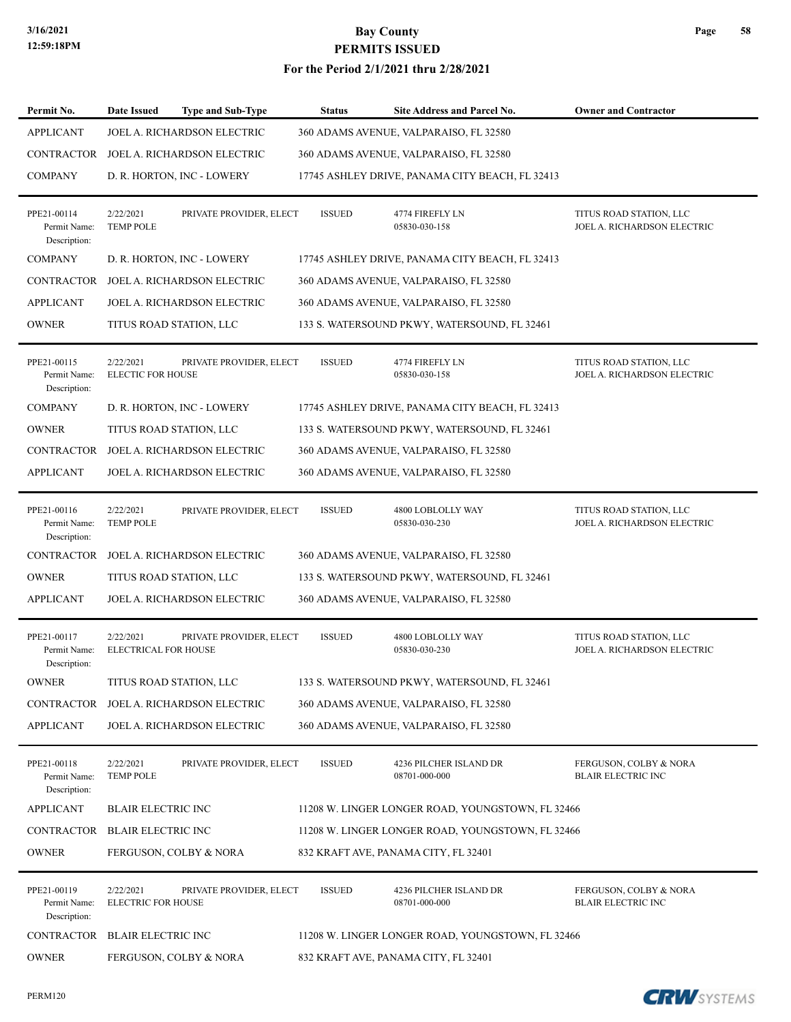#### **For the Period 2/1/2021 thru 2/28/2021**

| Permit No.                                  | Date Issued                              | <b>Type and Sub-Type</b>    | <b>Status</b> | Site Address and Parcel No.                       | <b>Owner and Contractor</b>                            |
|---------------------------------------------|------------------------------------------|-----------------------------|---------------|---------------------------------------------------|--------------------------------------------------------|
| <b>APPLICANT</b>                            |                                          | JOEL A. RICHARDSON ELECTRIC |               | 360 ADAMS AVENUE, VALPARAISO, FL 32580            |                                                        |
| <b>CONTRACTOR</b>                           |                                          | JOEL A. RICHARDSON ELECTRIC |               | 360 ADAMS AVENUE, VALPARAISO, FL 32580            |                                                        |
| <b>COMPANY</b>                              |                                          | D. R. HORTON, INC - LOWERY  |               | 17745 ASHLEY DRIVE, PANAMA CITY BEACH, FL 32413   |                                                        |
| PPE21-00114<br>Permit Name:<br>Description: | 2/22/2021<br><b>TEMP POLE</b>            | PRIVATE PROVIDER, ELECT     | <b>ISSUED</b> | 4774 FIREFLY LN<br>05830-030-158                  | TITUS ROAD STATION, LLC<br>JOEL A. RICHARDSON ELECTRIC |
| <b>COMPANY</b>                              |                                          | D. R. HORTON, INC - LOWERY  |               | 17745 ASHLEY DRIVE, PANAMA CITY BEACH, FL 32413   |                                                        |
| <b>CONTRACTOR</b>                           |                                          | JOEL A. RICHARDSON ELECTRIC |               | 360 ADAMS AVENUE, VALPARAISO, FL 32580            |                                                        |
| <b>APPLICANT</b>                            |                                          | JOEL A. RICHARDSON ELECTRIC |               | 360 ADAMS AVENUE, VALPARAISO, FL 32580            |                                                        |
| <b>OWNER</b>                                |                                          | TITUS ROAD STATION, LLC     |               | 133 S. WATERSOUND PKWY, WATERSOUND, FL 32461      |                                                        |
| PPE21-00115<br>Permit Name:<br>Description: | 2/22/2021<br><b>ELECTIC FOR HOUSE</b>    | PRIVATE PROVIDER, ELECT     | <b>ISSUED</b> | 4774 FIREFLY LN<br>05830-030-158                  | TITUS ROAD STATION, LLC<br>JOEL A. RICHARDSON ELECTRIC |
| <b>COMPANY</b>                              |                                          | D. R. HORTON, INC - LOWERY  |               | 17745 ASHLEY DRIVE, PANAMA CITY BEACH, FL 32413   |                                                        |
| <b>OWNER</b>                                |                                          | TITUS ROAD STATION, LLC     |               | 133 S. WATERSOUND PKWY, WATERSOUND, FL 32461      |                                                        |
| <b>CONTRACTOR</b>                           |                                          | JOEL A. RICHARDSON ELECTRIC |               | 360 ADAMS AVENUE, VALPARAISO, FL 32580            |                                                        |
| <b>APPLICANT</b>                            |                                          | JOEL A. RICHARDSON ELECTRIC |               | 360 ADAMS AVENUE, VALPARAISO, FL 32580            |                                                        |
| PPE21-00116<br>Permit Name:<br>Description: | 2/22/2021<br><b>TEMP POLE</b>            | PRIVATE PROVIDER, ELECT     | <b>ISSUED</b> | 4800 LOBLOLLY WAY<br>05830-030-230                | TITUS ROAD STATION, LLC<br>JOEL A. RICHARDSON ELECTRIC |
| <b>CONTRACTOR</b>                           |                                          | JOEL A. RICHARDSON ELECTRIC |               | 360 ADAMS AVENUE, VALPARAISO, FL 32580            |                                                        |
| <b>OWNER</b>                                |                                          | TITUS ROAD STATION, LLC     |               | 133 S. WATERSOUND PKWY, WATERSOUND, FL 32461      |                                                        |
| <b>APPLICANT</b>                            |                                          | JOEL A. RICHARDSON ELECTRIC |               | 360 ADAMS AVENUE, VALPARAISO, FL 32580            |                                                        |
| PPE21-00117<br>Permit Name:<br>Description: | 2/22/2021<br><b>ELECTRICAL FOR HOUSE</b> | PRIVATE PROVIDER, ELECT     | <b>ISSUED</b> | 4800 LOBLOLLY WAY<br>05830-030-230                | TITUS ROAD STATION, LLC<br>JOEL A. RICHARDSON ELECTRIC |
| <b>OWNER</b>                                |                                          | TITUS ROAD STATION, LLC     |               | 133 S. WATERSOUND PKWY, WATERSOUND, FL 32461      |                                                        |
| CONTRACTOR                                  |                                          | JOEL A. RICHARDSON ELECTRIC |               | 360 ADAMS AVENUE, VALPARAISO, FL 32580            |                                                        |
| <b>APPLICANT</b>                            |                                          | JOEL A. RICHARDSON ELECTRIC |               | 360 ADAMS AVENUE, VALPARAISO, FL 32580            |                                                        |
| PPE21-00118<br>Permit Name:<br>Description: | 2/22/2021<br><b>TEMP POLE</b>            | PRIVATE PROVIDER, ELECT     | ISSUED        | 4236 PILCHER ISLAND DR<br>08701-000-000           | FERGUSON, COLBY & NORA<br><b>BLAIR ELECTRIC INC</b>    |
| <b>APPLICANT</b>                            | <b>BLAIR ELECTRIC INC</b>                |                             |               | 11208 W. LINGER LONGER ROAD, YOUNGSTOWN, FL 32466 |                                                        |
| <b>CONTRACTOR</b>                           | <b>BLAIR ELECTRIC INC</b>                |                             |               | 11208 W. LINGER LONGER ROAD, YOUNGSTOWN, FL 32466 |                                                        |
| <b>OWNER</b>                                |                                          | FERGUSON, COLBY & NORA      |               | 832 KRAFT AVE, PANAMA CITY, FL 32401              |                                                        |
| PPE21-00119<br>Permit Name:<br>Description: | 2/22/2021<br><b>ELECTRIC FOR HOUSE</b>   | PRIVATE PROVIDER, ELECT     | <b>ISSUED</b> | 4236 PILCHER ISLAND DR<br>08701-000-000           | FERGUSON, COLBY & NORA<br><b>BLAIR ELECTRIC INC</b>    |
| CONTRACTOR                                  | <b>BLAIR ELECTRIC INC</b>                |                             |               | 11208 W. LINGER LONGER ROAD, YOUNGSTOWN, FL 32466 |                                                        |
| <b>OWNER</b>                                |                                          | FERGUSON, COLBY & NORA      |               | 832 KRAFT AVE, PANAMA CITY, FL 32401              |                                                        |

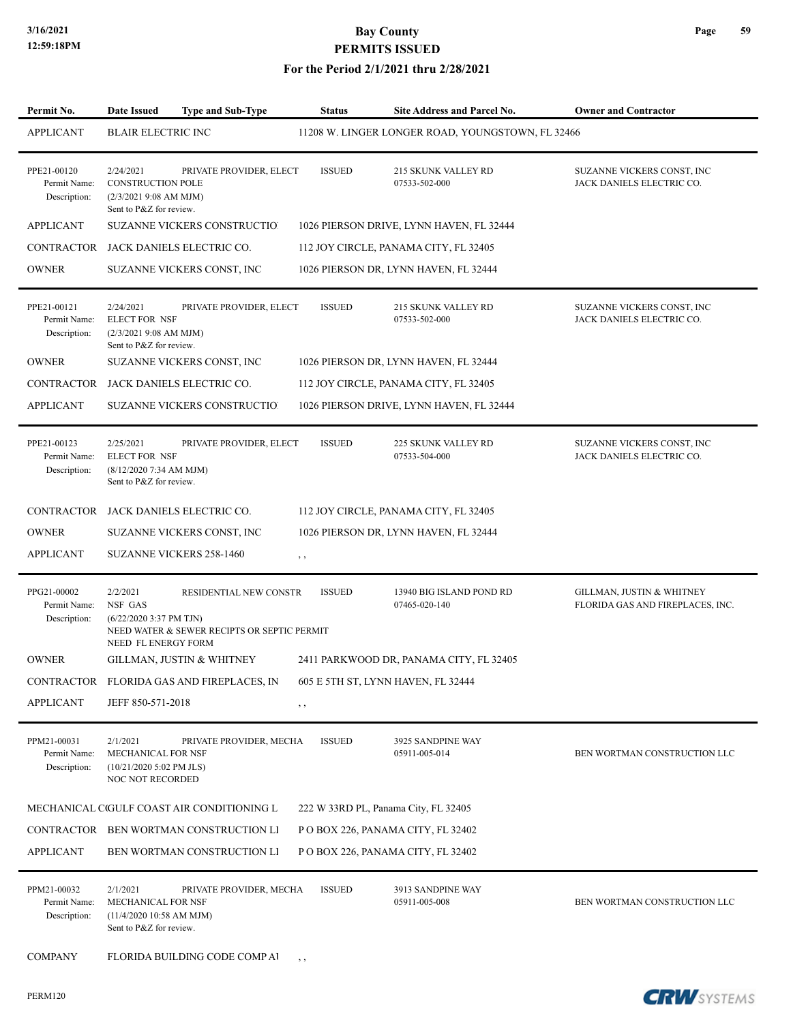| Permit No.                                  | <b>Date Issued</b>                                                                          | Type and Sub-Type                                                     | <b>Status</b> | <b>Site Address and Parcel No.</b>                | <b>Owner and Contractor</b>                                   |
|---------------------------------------------|---------------------------------------------------------------------------------------------|-----------------------------------------------------------------------|---------------|---------------------------------------------------|---------------------------------------------------------------|
| <b>APPLICANT</b>                            | <b>BLAIR ELECTRIC INC</b>                                                                   |                                                                       |               | 11208 W. LINGER LONGER ROAD, YOUNGSTOWN, FL 32466 |                                                               |
| PPE21-00120<br>Permit Name:<br>Description: | 2/24/2021<br><b>CONSTRUCTION POLE</b><br>$(2/3/20219:08$ AM MJM)<br>Sent to P&Z for review. | PRIVATE PROVIDER, ELECT                                               | <b>ISSUED</b> | 215 SKUNK VALLEY RD<br>07533-502-000              | SUZANNE VICKERS CONST, INC<br>JACK DANIELS ELECTRIC CO.       |
| <b>APPLICANT</b>                            |                                                                                             | <b>SUZANNE VICKERS CONSTRUCTIO</b>                                    |               | 1026 PIERSON DRIVE, LYNN HAVEN, FL 32444          |                                                               |
|                                             |                                                                                             | CONTRACTOR JACK DANIELS ELECTRIC CO.                                  |               | 112 JOY CIRCLE, PANAMA CITY, FL 32405             |                                                               |
| <b>OWNER</b>                                |                                                                                             | SUZANNE VICKERS CONST, INC                                            |               | 1026 PIERSON DR, LYNN HAVEN, FL 32444             |                                                               |
| PPE21-00121<br>Permit Name:<br>Description: | 2/24/2021<br><b>ELECT FOR NSF</b><br>(2/3/20219:08 AM MJM)<br>Sent to P&Z for review.       | PRIVATE PROVIDER, ELECT                                               | <b>ISSUED</b> | 215 SKUNK VALLEY RD<br>07533-502-000              | SUZANNE VICKERS CONST, INC<br>JACK DANIELS ELECTRIC CO.       |
| <b>OWNER</b>                                |                                                                                             | SUZANNE VICKERS CONST, INC                                            |               | 1026 PIERSON DR, LYNN HAVEN, FL 32444             |                                                               |
| <b>CONTRACTOR</b>                           |                                                                                             | JACK DANIELS ELECTRIC CO.                                             |               | 112 JOY CIRCLE, PANAMA CITY, FL 32405             |                                                               |
| <b>APPLICANT</b>                            |                                                                                             | <b>SUZANNE VICKERS CONSTRUCTIO</b>                                    |               | 1026 PIERSON DRIVE, LYNN HAVEN, FL 32444          |                                                               |
| PPE21-00123<br>Permit Name:<br>Description: | 2/25/2021<br><b>ELECT FOR NSF</b><br>(8/12/2020 7:34 AM MJM)<br>Sent to P&Z for review.     | PRIVATE PROVIDER, ELECT                                               | <b>ISSUED</b> | 225 SKUNK VALLEY RD<br>07533-504-000              | SUZANNE VICKERS CONST, INC<br>JACK DANIELS ELECTRIC CO.       |
|                                             |                                                                                             | CONTRACTOR JACK DANIELS ELECTRIC CO.                                  |               | 112 JOY CIRCLE, PANAMA CITY, FL 32405             |                                                               |
| <b>OWNER</b>                                |                                                                                             | SUZANNE VICKERS CONST, INC                                            |               | 1026 PIERSON DR, LYNN HAVEN, FL 32444             |                                                               |
| <b>APPLICANT</b>                            |                                                                                             | <b>SUZANNE VICKERS 258-1460</b>                                       | $, \,$        |                                                   |                                                               |
| PPG21-00002<br>Permit Name:<br>Description: | 2/2/2021<br>NSF GAS<br>$(6/22/20203:37 \text{ PM} \text{ TJN})$<br>NEED FL ENERGY FORM      | RESIDENTIAL NEW CONSTR<br>NEED WATER & SEWER RECIPTS OR SEPTIC PERMIT | <b>ISSUED</b> | 13940 BIG ISLAND POND RD<br>07465-020-140         | GILLMAN, JUSTIN & WHITNEY<br>FLORIDA GAS AND FIREPLACES, INC. |
| <b>OWNER</b>                                |                                                                                             | GILLMAN, JUSTIN & WHITNEY                                             |               | 2411 PARKWOOD DR, PANAMA CITY, FL 32405           |                                                               |
| CONTRACTOR                                  |                                                                                             | FLORIDA GAS AND FIREPLACES, IN                                        |               | 605 E 5TH ST, LYNN HAVEN, FL 32444                |                                                               |
| <b>APPLICANT</b>                            | JEFF 850-571-2018                                                                           |                                                                       | , ,           |                                                   |                                                               |
| PPM21-00031<br>Permit Name:<br>Description: | 2/1/2021<br>MECHANICAL FOR NSF<br>(10/21/2020 5:02 PM JLS)<br><b>NOC NOT RECORDED</b>       | PRIVATE PROVIDER, MECHA                                               | <b>ISSUED</b> | 3925 SANDPINE WAY<br>05911-005-014                | BEN WORTMAN CONSTRUCTION LLC                                  |
|                                             |                                                                                             | MECHANICAL CIGULF COAST AIR CONDITIONING L                            |               | 222 W 33RD PL, Panama City, FL 32405              |                                                               |
|                                             |                                                                                             | CONTRACTOR BEN WORTMAN CONSTRUCTION LI                                |               | POBOX 226, PANAMA CITY, FL 32402                  |                                                               |
| <b>APPLICANT</b>                            |                                                                                             | BEN WORTMAN CONSTRUCTION LI                                           |               | P O BOX 226, PANAMA CITY, FL 32402                |                                                               |
| PPM21-00032<br>Permit Name:<br>Description: | 2/1/2021<br>MECHANICAL FOR NSF<br>$(11/4/2020 10:58$ AM MJM)<br>Sent to P&Z for review.     | PRIVATE PROVIDER, MECHA                                               | <b>ISSUED</b> | 3913 SANDPINE WAY<br>05911-005-008                | BEN WORTMAN CONSTRUCTION LLC                                  |
| <b>COMPANY</b>                              |                                                                                             | FLORIDA BUILDING CODE COMP AI                                         | $, \, , \,$   |                                                   |                                                               |

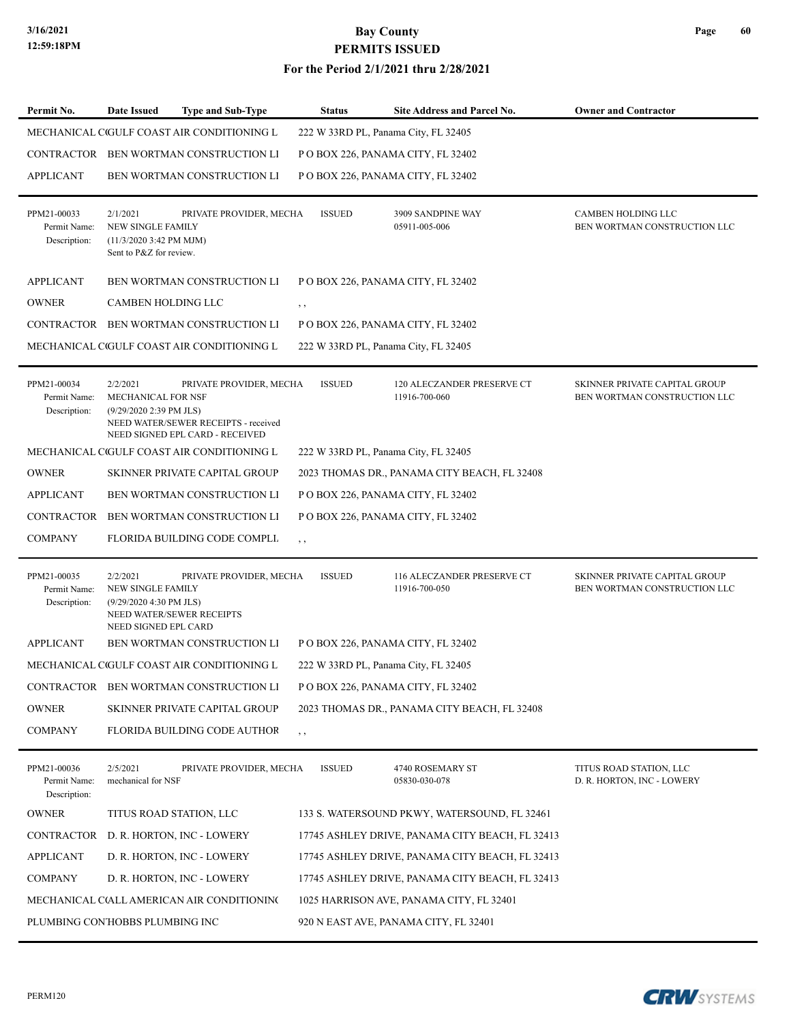#### **For the Period 2/1/2021 thru 2/28/2021**

| Permit No.                                  | <b>Date Issued</b>                                                                           | <b>Type and Sub-Type</b>                                                                           | <b>Status</b> | <b>Site Address and Parcel No.</b>              | <b>Owner and Contractor</b>                                   |
|---------------------------------------------|----------------------------------------------------------------------------------------------|----------------------------------------------------------------------------------------------------|---------------|-------------------------------------------------|---------------------------------------------------------------|
|                                             |                                                                                              | MECHANICAL CIGULF COAST AIR CONDITIONING L                                                         |               | 222 W 33RD PL, Panama City, FL 32405            |                                                               |
|                                             |                                                                                              | CONTRACTOR BEN WORTMAN CONSTRUCTION LI                                                             |               | POBOX 226, PANAMA CITY, FL 32402                |                                                               |
| <b>APPLICANT</b>                            |                                                                                              | BEN WORTMAN CONSTRUCTION LI                                                                        |               | POBOX 226, PANAMA CITY, FL 32402                |                                                               |
| PPM21-00033<br>Permit Name:<br>Description: | 2/1/2021<br>NEW SINGLE FAMILY<br>$(11/3/20203:42 \text{ PM MJM})$<br>Sent to P&Z for review. | PRIVATE PROVIDER, MECHA                                                                            | <b>ISSUED</b> | 3909 SANDPINE WAY<br>05911-005-006              | CAMBEN HOLDING LLC<br>BEN WORTMAN CONSTRUCTION LLC            |
| <b>APPLICANT</b>                            |                                                                                              | <b>BEN WORTMAN CONSTRUCTION LI</b>                                                                 |               | P O BOX 226, PANAMA CITY, FL 32402              |                                                               |
| <b>OWNER</b>                                | CAMBEN HOLDING LLC                                                                           |                                                                                                    | , ,           |                                                 |                                                               |
|                                             |                                                                                              | CONTRACTOR BEN WORTMAN CONSTRUCTION LI                                                             |               | POBOX 226, PANAMA CITY, FL 32402                |                                                               |
|                                             |                                                                                              | MECHANICAL CIGULF COAST AIR CONDITIONING L                                                         |               | 222 W 33RD PL, Panama City, FL 32405            |                                                               |
| PPM21-00034<br>Permit Name:<br>Description: | 2/2/2021<br><b>MECHANICAL FOR NSF</b><br>(9/29/2020 2:39 PM JLS)                             | PRIVATE PROVIDER, MECHA<br>NEED WATER/SEWER RECEIPTS - received<br>NEED SIGNED EPL CARD - RECEIVED | <b>ISSUED</b> | 120 ALECZANDER PRESERVE CT<br>11916-700-060     | SKINNER PRIVATE CAPITAL GROUP<br>BEN WORTMAN CONSTRUCTION LLC |
|                                             |                                                                                              | MECHANICAL CIGULF COAST AIR CONDITIONING L                                                         |               | 222 W 33RD PL, Panama City, FL 32405            |                                                               |
| <b>OWNER</b>                                |                                                                                              | SKINNER PRIVATE CAPITAL GROUP                                                                      |               | 2023 THOMAS DR., PANAMA CITY BEACH, FL 32408    |                                                               |
| <b>APPLICANT</b>                            |                                                                                              | BEN WORTMAN CONSTRUCTION LI                                                                        |               | P O BOX 226, PANAMA CITY, FL 32402              |                                                               |
| <b>CONTRACTOR</b>                           |                                                                                              | BEN WORTMAN CONSTRUCTION LI                                                                        |               | POBOX 226, PANAMA CITY, FL 32402                |                                                               |
| <b>COMPANY</b>                              |                                                                                              | FLORIDA BUILDING CODE COMPLI.                                                                      | $, \, ,$      |                                                 |                                                               |
| PPM21-00035<br>Permit Name:<br>Description: | 2/2/2021<br>NEW SINGLE FAMILY<br>(9/29/2020 4:30 PM JLS)<br>NEED SIGNED EPL CARD             | PRIVATE PROVIDER, MECHA<br>NEED WATER/SEWER RECEIPTS                                               | <b>ISSUED</b> | 116 ALECZANDER PRESERVE CT<br>11916-700-050     | SKINNER PRIVATE CAPITAL GROUP<br>BEN WORTMAN CONSTRUCTION LLC |
| <b>APPLICANT</b>                            |                                                                                              | <b>BEN WORTMAN CONSTRUCTION LI</b>                                                                 |               | P O BOX 226, PANAMA CITY, FL 32402              |                                                               |
|                                             |                                                                                              | MECHANICAL CIGULF COAST AIR CONDITIONING L                                                         |               | 222 W 33RD PL, Panama City, FL 32405            |                                                               |
|                                             |                                                                                              | CONTRACTOR BEN WORTMAN CONSTRUCTION LI                                                             |               | P O BOX 226, PANAMA CITY, FL 32402              |                                                               |
| <b>OWNER</b>                                |                                                                                              | SKINNER PRIVATE CAPITAL GROUP                                                                      |               | 2023 THOMAS DR., PANAMA CITY BEACH, FL 32408    |                                                               |
| <b>COMPANY</b>                              |                                                                                              | FLORIDA BUILDING CODE AUTHOR                                                                       | , ,           |                                                 |                                                               |
| PPM21-00036<br>Permit Name:<br>Description: | 2/5/2021<br>mechanical for NSF                                                               | PRIVATE PROVIDER, MECHA                                                                            | <b>ISSUED</b> | 4740 ROSEMARY ST<br>05830-030-078               | TITUS ROAD STATION, LLC<br>D. R. HORTON, INC - LOWERY         |
| <b>OWNER</b>                                |                                                                                              | TITUS ROAD STATION, LLC                                                                            |               | 133 S. WATERSOUND PKWY, WATERSOUND, FL 32461    |                                                               |
| CONTRACTOR                                  |                                                                                              | D. R. HORTON, INC - LOWERY                                                                         |               | 17745 ASHLEY DRIVE, PANAMA CITY BEACH, FL 32413 |                                                               |
| <b>APPLICANT</b>                            |                                                                                              | D. R. HORTON, INC - LOWERY                                                                         |               | 17745 ASHLEY DRIVE, PANAMA CITY BEACH, FL 32413 |                                                               |
| <b>COMPANY</b>                              |                                                                                              | D. R. HORTON, INC - LOWERY                                                                         |               | 17745 ASHLEY DRIVE, PANAMA CITY BEACH, FL 32413 |                                                               |
|                                             |                                                                                              | MECHANICAL C(ALL AMERICAN AIR CONDITIONING                                                         |               | 1025 HARRISON AVE, PANAMA CITY, FL 32401        |                                                               |
| PLUMBING CON'HOBBS PLUMBING INC             |                                                                                              |                                                                                                    |               | 920 N EAST AVE, PANAMA CITY, FL 32401           |                                                               |

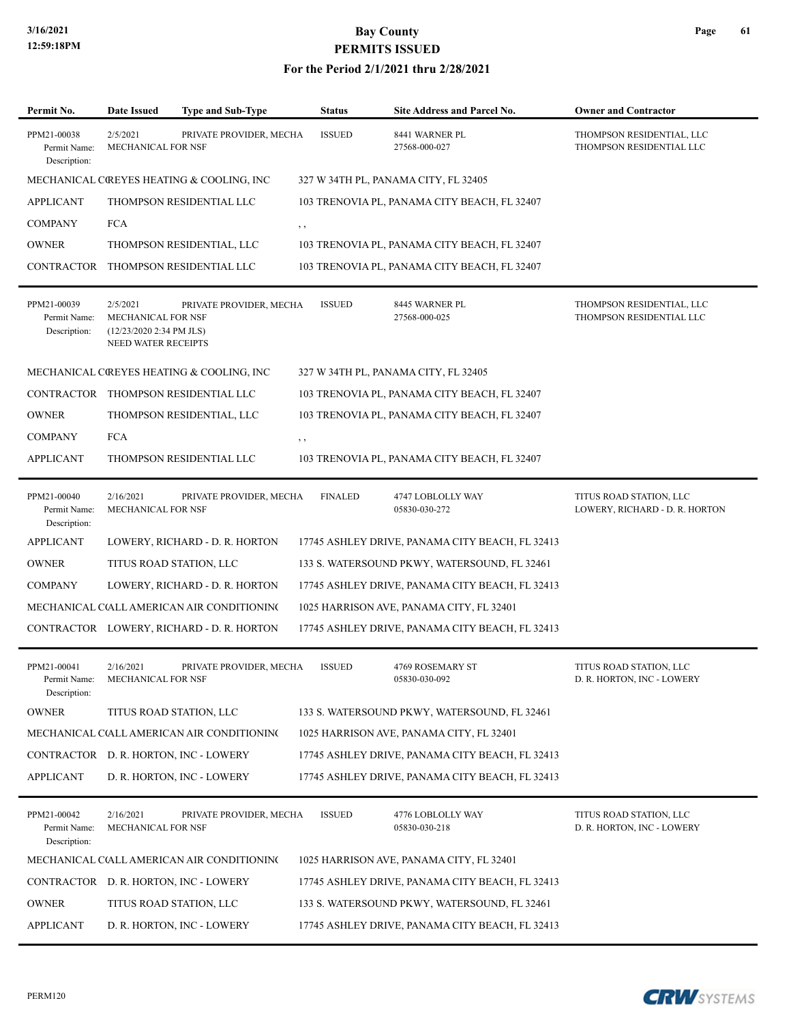#### **For the Period 2/1/2021 thru 2/28/2021**

| Permit No.                                  | <b>Date Issued</b>                                                                              | <b>Type and Sub-Type</b>                   | <b>Status</b>  | <b>Site Address and Parcel No.</b>              | <b>Owner and Contractor</b>                               |
|---------------------------------------------|-------------------------------------------------------------------------------------------------|--------------------------------------------|----------------|-------------------------------------------------|-----------------------------------------------------------|
| PPM21-00038<br>Permit Name:<br>Description: | 2/5/2021<br>MECHANICAL FOR NSF                                                                  | PRIVATE PROVIDER, MECHA                    | <b>ISSUED</b>  | 8441 WARNER PL<br>27568-000-027                 | THOMPSON RESIDENTIAL, LLC<br>THOMPSON RESIDENTIAL LLC     |
|                                             |                                                                                                 | MECHANICAL COREYES HEATING & COOLING, INC  |                | 327 W 34TH PL, PANAMA CITY, FL 32405            |                                                           |
| <b>APPLICANT</b>                            |                                                                                                 | THOMPSON RESIDENTIAL LLC                   |                | 103 TRENOVIA PL, PANAMA CITY BEACH, FL 32407    |                                                           |
| <b>COMPANY</b>                              | <b>FCA</b>                                                                                      |                                            | $, \, \cdot$   |                                                 |                                                           |
| <b>OWNER</b>                                |                                                                                                 | THOMPSON RESIDENTIAL, LLC                  |                | 103 TRENOVIA PL, PANAMA CITY BEACH, FL 32407    |                                                           |
| <b>CONTRACTOR</b>                           |                                                                                                 | THOMPSON RESIDENTIAL LLC                   |                | 103 TRENOVIA PL, PANAMA CITY BEACH, FL 32407    |                                                           |
| PPM21-00039<br>Permit Name:<br>Description: | 2/5/2021<br><b>MECHANICAL FOR NSF</b><br>(12/23/2020 2:34 PM JLS)<br><b>NEED WATER RECEIPTS</b> | PRIVATE PROVIDER, MECHA                    | <b>ISSUED</b>  | 8445 WARNER PL<br>27568-000-025                 | THOMPSON RESIDENTIAL, LLC<br>THOMPSON RESIDENTIAL LLC     |
|                                             |                                                                                                 | MECHANICAL COREYES HEATING & COOLING, INC  |                | 327 W 34TH PL, PANAMA CITY, FL 32405            |                                                           |
|                                             |                                                                                                 | CONTRACTOR THOMPSON RESIDENTIAL LLC        |                | 103 TRENOVIA PL, PANAMA CITY BEACH, FL 32407    |                                                           |
| <b>OWNER</b>                                |                                                                                                 | THOMPSON RESIDENTIAL, LLC                  |                | 103 TRENOVIA PL, PANAMA CITY BEACH, FL 32407    |                                                           |
| <b>COMPANY</b>                              | <b>FCA</b>                                                                                      |                                            | $, \, , \,$    |                                                 |                                                           |
| <b>APPLICANT</b>                            |                                                                                                 | THOMPSON RESIDENTIAL LLC                   |                | 103 TRENOVIA PL, PANAMA CITY BEACH, FL 32407    |                                                           |
| PPM21-00040<br>Permit Name:<br>Description: | 2/16/2021<br>MECHANICAL FOR NSF                                                                 | PRIVATE PROVIDER, MECHA                    | <b>FINALED</b> | 4747 LOBLOLLY WAY<br>05830-030-272              | TITUS ROAD STATION, LLC<br>LOWERY, RICHARD - D. R. HORTON |
| <b>APPLICANT</b>                            |                                                                                                 | LOWERY, RICHARD - D. R. HORTON             |                | 17745 ASHLEY DRIVE, PANAMA CITY BEACH, FL 32413 |                                                           |
| <b>OWNER</b>                                |                                                                                                 | TITUS ROAD STATION, LLC                    |                | 133 S. WATERSOUND PKWY, WATERSOUND, FL 32461    |                                                           |
| <b>COMPANY</b>                              |                                                                                                 | LOWERY, RICHARD - D. R. HORTON             |                | 17745 ASHLEY DRIVE, PANAMA CITY BEACH, FL 32413 |                                                           |
|                                             |                                                                                                 | MECHANICAL C(ALL AMERICAN AIR CONDITIONING |                | 1025 HARRISON AVE, PANAMA CITY, FL 32401        |                                                           |
|                                             |                                                                                                 | CONTRACTOR LOWERY, RICHARD - D. R. HORTON  |                | 17745 ASHLEY DRIVE, PANAMA CITY BEACH, FL 32413 |                                                           |
| PPM21-00041<br>Permit Name:<br>Description: | 2/16/2021<br>MECHANICAL FOR NSF                                                                 | PRIVATE PROVIDER, MECHA                    | <b>ISSUED</b>  | 4769 ROSEMARY ST<br>05830-030-092               | TITUS ROAD STATION, LLC<br>D. R. HORTON, INC - LOWERY     |
| <b>OWNER</b>                                |                                                                                                 | TITUS ROAD STATION, LLC                    |                | 133 S. WATERSOUND PKWY, WATERSOUND, FL 32461    |                                                           |
|                                             |                                                                                                 | MECHANICAL C(ALL AMERICAN AIR CONDITIONING |                | 1025 HARRISON AVE, PANAMA CITY, FL 32401        |                                                           |
|                                             |                                                                                                 | CONTRACTOR D. R. HORTON, INC - LOWERY      |                | 17745 ASHLEY DRIVE, PANAMA CITY BEACH, FL 32413 |                                                           |
| <b>APPLICANT</b>                            |                                                                                                 | D. R. HORTON, INC - LOWERY                 |                | 17745 ASHLEY DRIVE, PANAMA CITY BEACH, FL 32413 |                                                           |
| PPM21-00042<br>Permit Name:<br>Description: | 2/16/2021<br>MECHANICAL FOR NSF                                                                 | PRIVATE PROVIDER, MECHA                    | <b>ISSUED</b>  | 4776 LOBLOLLY WAY<br>05830-030-218              | TITUS ROAD STATION, LLC<br>D. R. HORTON, INC - LOWERY     |
|                                             |                                                                                                 | MECHANICAL C(ALL AMERICAN AIR CONDITIONING |                | 1025 HARRISON AVE, PANAMA CITY, FL 32401        |                                                           |
|                                             |                                                                                                 | CONTRACTOR D. R. HORTON, INC - LOWERY      |                | 17745 ASHLEY DRIVE, PANAMA CITY BEACH, FL 32413 |                                                           |
| <b>OWNER</b>                                |                                                                                                 | TITUS ROAD STATION, LLC                    |                | 133 S. WATERSOUND PKWY, WATERSOUND, FL 32461    |                                                           |
| <b>APPLICANT</b>                            |                                                                                                 | D. R. HORTON, INC - LOWERY                 |                | 17745 ASHLEY DRIVE, PANAMA CITY BEACH, FL 32413 |                                                           |

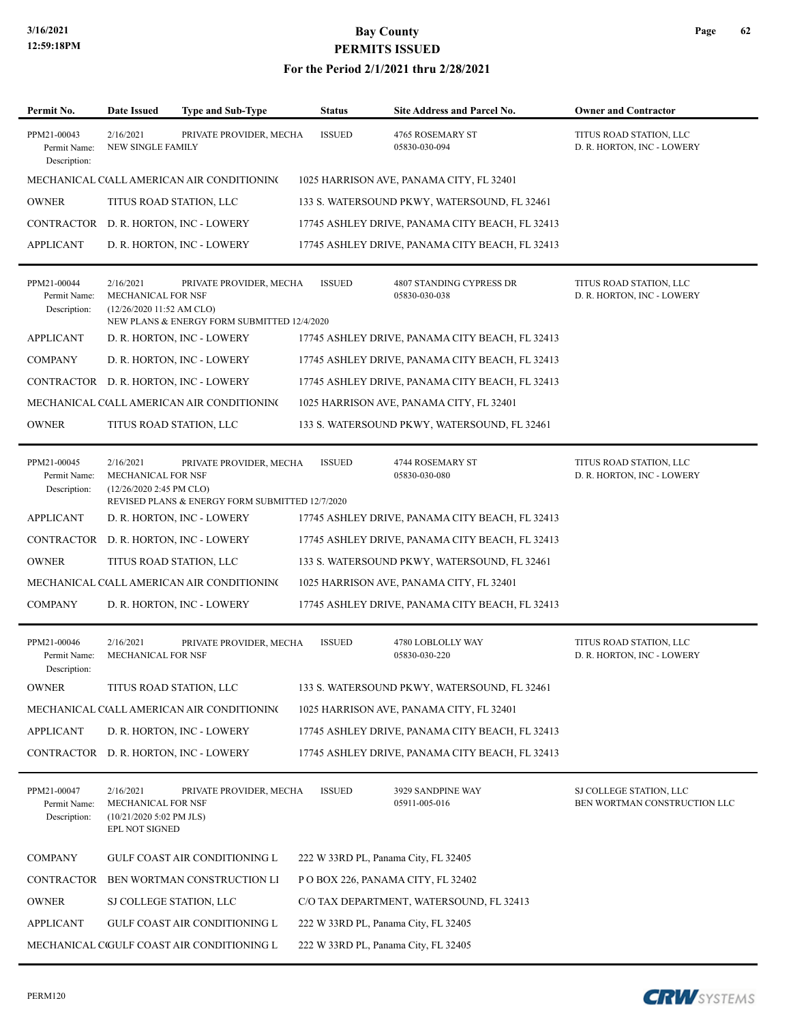#### **For the Period 2/1/2021 thru 2/28/2021**

| Permit No.                                  | Date Issued                                                                    | <b>Type and Sub-Type</b>                                               | <b>Status</b> | <b>Site Address and Parcel No.</b>              | <b>Owner and Contractor</b>                             |
|---------------------------------------------|--------------------------------------------------------------------------------|------------------------------------------------------------------------|---------------|-------------------------------------------------|---------------------------------------------------------|
| PPM21-00043<br>Permit Name:<br>Description: | 2/16/2021<br>NEW SINGLE FAMILY                                                 | PRIVATE PROVIDER, MECHA                                                | <b>ISSUED</b> | 4765 ROSEMARY ST<br>05830-030-094               | TITUS ROAD STATION, LLC<br>D. R. HORTON, INC - LOWERY   |
|                                             |                                                                                | MECHANICAL C(ALL AMERICAN AIR CONDITIONING                             |               | 1025 HARRISON AVE, PANAMA CITY, FL 32401        |                                                         |
| <b>OWNER</b>                                | TITUS ROAD STATION, LLC                                                        |                                                                        |               | 133 S. WATERSOUND PKWY, WATERSOUND, FL 32461    |                                                         |
|                                             |                                                                                | CONTRACTOR D. R. HORTON, INC - LOWERY                                  |               | 17745 ASHLEY DRIVE, PANAMA CITY BEACH, FL 32413 |                                                         |
| <b>APPLICANT</b>                            |                                                                                | D. R. HORTON, INC - LOWERY                                             |               | 17745 ASHLEY DRIVE, PANAMA CITY BEACH, FL 32413 |                                                         |
| PPM21-00044<br>Permit Name:<br>Description: | 2/16/2021<br><b>MECHANICAL FOR NSF</b><br>(12/26/2020 11:52 AM CLO)            | PRIVATE PROVIDER, MECHA<br>NEW PLANS & ENERGY FORM SUBMITTED 12/4/2020 | <b>ISSUED</b> | 4807 STANDING CYPRESS DR<br>05830-030-038       | TITUS ROAD STATION, LLC<br>D. R. HORTON, INC - LOWERY   |
| <b>APPLICANT</b>                            |                                                                                | D. R. HORTON, INC - LOWERY                                             |               | 17745 ASHLEY DRIVE, PANAMA CITY BEACH, FL 32413 |                                                         |
| <b>COMPANY</b>                              |                                                                                | D. R. HORTON, INC - LOWERY                                             |               | 17745 ASHLEY DRIVE, PANAMA CITY BEACH, FL 32413 |                                                         |
| CONTRACTOR                                  |                                                                                | D. R. HORTON, INC - LOWERY                                             |               | 17745 ASHLEY DRIVE, PANAMA CITY BEACH, FL 32413 |                                                         |
|                                             |                                                                                | MECHANICAL C(ALL AMERICAN AIR CONDITIONING                             |               | 1025 HARRISON AVE, PANAMA CITY, FL 32401        |                                                         |
| <b>OWNER</b>                                | TITUS ROAD STATION, LLC                                                        |                                                                        |               | 133 S. WATERSOUND PKWY, WATERSOUND, FL 32461    |                                                         |
| PPM21-00045<br>Permit Name:<br>Description: | 2/16/2021<br>MECHANICAL FOR NSF<br>$(12/26/20202:45 \text{ PM CLO})$           | PRIVATE PROVIDER, MECHA                                                | <b>ISSUED</b> | 4744 ROSEMARY ST<br>05830-030-080               | TITUS ROAD STATION, LLC<br>D. R. HORTON, INC - LOWERY   |
|                                             |                                                                                | REVISED PLANS & ENERGY FORM SUBMITTED 12/7/2020                        |               |                                                 |                                                         |
| <b>APPLICANT</b>                            |                                                                                | D. R. HORTON, INC - LOWERY                                             |               | 17745 ASHLEY DRIVE, PANAMA CITY BEACH, FL 32413 |                                                         |
| CONTRACTOR                                  |                                                                                | D. R. HORTON, INC - LOWERY                                             |               | 17745 ASHLEY DRIVE, PANAMA CITY BEACH, FL 32413 |                                                         |
| <b>OWNER</b>                                | TITUS ROAD STATION, LLC                                                        |                                                                        |               | 133 S. WATERSOUND PKWY, WATERSOUND, FL 32461    |                                                         |
|                                             |                                                                                | MECHANICAL C(ALL AMERICAN AIR CONDITIONING                             |               | 1025 HARRISON AVE, PANAMA CITY, FL 32401        |                                                         |
| <b>COMPANY</b>                              |                                                                                | D. R. HORTON, INC - LOWERY                                             |               | 17745 ASHLEY DRIVE, PANAMA CITY BEACH, FL 32413 |                                                         |
| PPM21-00046<br>Permit Name:<br>Description: | 2/16/2021<br><b>MECHANICAL FOR NSF</b>                                         | PRIVATE PROVIDER, MECHA                                                | <b>ISSUED</b> | 4780 LOBLOLLY WAY<br>05830-030-220              | TITUS ROAD STATION, LLC<br>D. R. HORTON, INC - LOWERY   |
| <b>OWNER</b>                                | TITUS ROAD STATION, LLC                                                        |                                                                        |               | 133 S. WATERSOUND PKWY, WATERSOUND, FL 32461    |                                                         |
|                                             |                                                                                | MECHANICAL C(ALL AMERICAN AIR CONDITIONING                             |               | 1025 HARRISON AVE, PANAMA CITY, FL 32401        |                                                         |
| APPLICANT                                   |                                                                                | D. R. HORTON, INC - LOWERY                                             |               | 17745 ASHLEY DRIVE, PANAMA CITY BEACH, FL 32413 |                                                         |
|                                             |                                                                                | CONTRACTOR D. R. HORTON, INC - LOWERY                                  |               | 17745 ASHLEY DRIVE, PANAMA CITY BEACH, FL 32413 |                                                         |
| PPM21-00047<br>Permit Name:<br>Description: | 2/16/2021<br>MECHANICAL FOR NSF<br>$(10/21/20205:02$ PM JLS)<br>EPL NOT SIGNED | PRIVATE PROVIDER, MECHA                                                | <b>ISSUED</b> | 3929 SANDPINE WAY<br>05911-005-016              | SJ COLLEGE STATION, LLC<br>BEN WORTMAN CONSTRUCTION LLC |
| <b>COMPANY</b>                              |                                                                                | GULF COAST AIR CONDITIONING L                                          |               | 222 W 33RD PL, Panama City, FL 32405            |                                                         |
| CONTRACTOR                                  |                                                                                | BEN WORTMAN CONSTRUCTION LI                                            |               | P O BOX 226, PANAMA CITY, FL 32402              |                                                         |
| <b>OWNER</b>                                | SJ COLLEGE STATION, LLC                                                        |                                                                        |               | C/O TAX DEPARTMENT, WATERSOUND, FL 32413        |                                                         |
| <b>APPLICANT</b>                            |                                                                                | GULF COAST AIR CONDITIONING L                                          |               | 222 W 33RD PL, Panama City, FL 32405            |                                                         |
|                                             |                                                                                | MECHANICAL CIGULF COAST AIR CONDITIONING L                             |               | 222 W 33RD PL, Panama City, FL 32405            |                                                         |
|                                             |                                                                                |                                                                        |               |                                                 |                                                         |

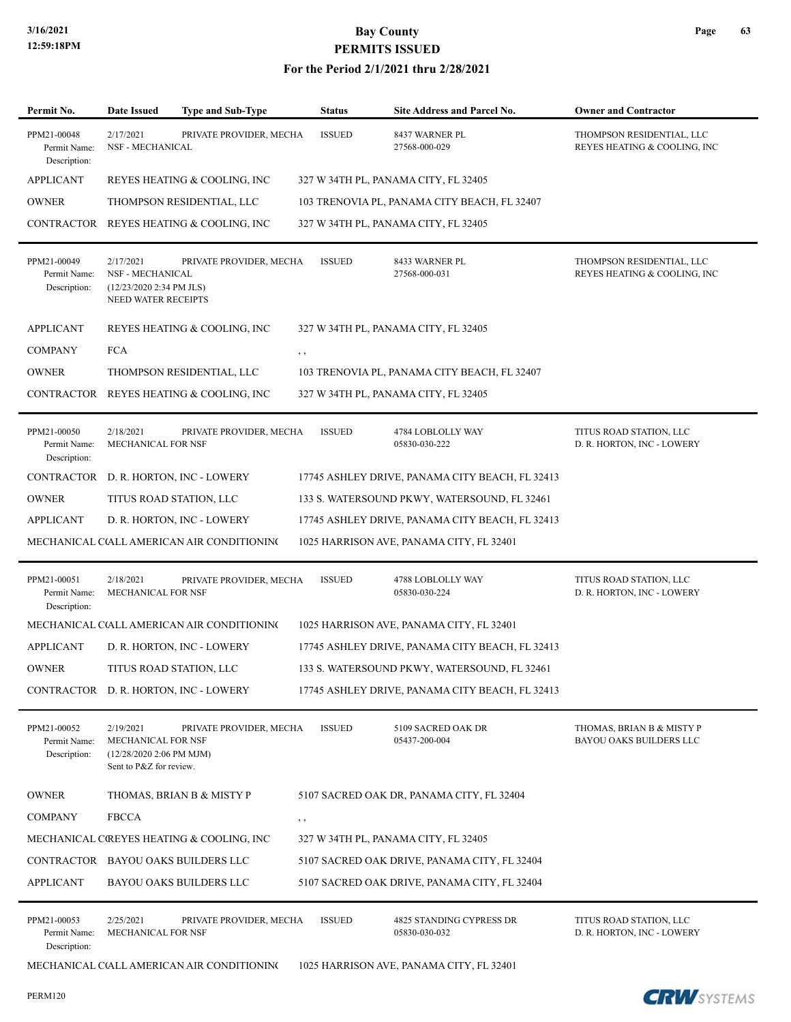| Permit No.                                  | <b>Date Issued</b>                                                                             | <b>Type and Sub-Type</b>                   | <b>Status</b> | <b>Site Address and Parcel No.</b>              | <b>Owner and Contractor</b>                                 |
|---------------------------------------------|------------------------------------------------------------------------------------------------|--------------------------------------------|---------------|-------------------------------------------------|-------------------------------------------------------------|
| PPM21-00048<br>Permit Name:<br>Description: | 2/17/2021<br>NSF - MECHANICAL                                                                  | PRIVATE PROVIDER, MECHA                    | <b>ISSUED</b> | 8437 WARNER PL<br>27568-000-029                 | THOMPSON RESIDENTIAL, LLC<br>REYES HEATING & COOLING, INC   |
| <b>APPLICANT</b>                            |                                                                                                | REYES HEATING & COOLING, INC               |               | 327 W 34TH PL, PANAMA CITY, FL 32405            |                                                             |
| <b>OWNER</b>                                |                                                                                                | THOMPSON RESIDENTIAL, LLC                  |               | 103 TRENOVIA PL, PANAMA CITY BEACH, FL 32407    |                                                             |
|                                             |                                                                                                | CONTRACTOR REYES HEATING & COOLING, INC    |               | 327 W 34TH PL, PANAMA CITY, FL 32405            |                                                             |
| PPM21-00049<br>Permit Name:<br>Description: | 2/17/2021<br><b>NSF - MECHANICAL</b><br>(12/23/2020 2:34 PM JLS)<br><b>NEED WATER RECEIPTS</b> | PRIVATE PROVIDER, MECHA                    | <b>ISSUED</b> | 8433 WARNER PL<br>27568-000-031                 | THOMPSON RESIDENTIAL, LLC<br>REYES HEATING & COOLING, INC   |
| APPLICANT                                   |                                                                                                | REYES HEATING & COOLING, INC               |               | 327 W 34TH PL, PANAMA CITY, FL 32405            |                                                             |
| <b>COMPANY</b>                              | <b>FCA</b>                                                                                     |                                            | $, \, \cdot$  |                                                 |                                                             |
| <b>OWNER</b>                                |                                                                                                | THOMPSON RESIDENTIAL, LLC                  |               | 103 TRENOVIA PL, PANAMA CITY BEACH, FL 32407    |                                                             |
|                                             |                                                                                                | CONTRACTOR REYES HEATING & COOLING, INC    |               | 327 W 34TH PL, PANAMA CITY, FL 32405            |                                                             |
| PPM21-00050<br>Permit Name:<br>Description: | 2/18/2021<br>MECHANICAL FOR NSF                                                                | PRIVATE PROVIDER, MECHA                    | <b>ISSUED</b> | 4784 LOBLOLLY WAY<br>05830-030-222              | TITUS ROAD STATION, LLC<br>D. R. HORTON, INC - LOWERY       |
| <b>CONTRACTOR</b>                           |                                                                                                | D. R. HORTON, INC - LOWERY                 |               | 17745 ASHLEY DRIVE, PANAMA CITY BEACH, FL 32413 |                                                             |
| <b>OWNER</b>                                |                                                                                                | TITUS ROAD STATION, LLC                    |               | 133 S. WATERSOUND PKWY, WATERSOUND, FL 32461    |                                                             |
| <b>APPLICANT</b>                            |                                                                                                | D. R. HORTON, INC - LOWERY                 |               | 17745 ASHLEY DRIVE, PANAMA CITY BEACH, FL 32413 |                                                             |
|                                             |                                                                                                | MECHANICAL C(ALL AMERICAN AIR CONDITIONING |               | 1025 HARRISON AVE, PANAMA CITY, FL 32401        |                                                             |
| PPM21-00051<br>Permit Name:<br>Description: | 2/18/2021<br>MECHANICAL FOR NSF                                                                | PRIVATE PROVIDER, MECHA                    | <b>ISSUED</b> | 4788 LOBLOLLY WAY<br>05830-030-224              | TITUS ROAD STATION, LLC<br>D. R. HORTON, INC - LOWERY       |
|                                             |                                                                                                | MECHANICAL C(ALL AMERICAN AIR CONDITIONING |               | 1025 HARRISON AVE, PANAMA CITY, FL 32401        |                                                             |
| <b>APPLICANT</b>                            |                                                                                                | D. R. HORTON, INC - LOWERY                 |               | 17745 ASHLEY DRIVE, PANAMA CITY BEACH, FL 32413 |                                                             |
| <b>OWNER</b>                                |                                                                                                | TITUS ROAD STATION, LLC                    |               | 133 S. WATERSOUND PKWY, WATERSOUND, FL 32461    |                                                             |
|                                             |                                                                                                | CONTRACTOR D. R. HORTON, INC - LOWERY      |               | 17745 ASHLEY DRIVE, PANAMA CITY BEACH, FL 32413 |                                                             |
| PPM21-00052<br>Permit Name:<br>Description: | 2/19/2021<br>MECHANICAL FOR NSF<br>(12/28/2020 2:06 PM MJM)<br>Sent to P&Z for review.         | PRIVATE PROVIDER, MECHA                    | <b>ISSUED</b> | 5109 SACRED OAK DR<br>05437-200-004             | THOMAS, BRIAN B & MISTY P<br><b>BAYOU OAKS BUILDERS LLC</b> |
| <b>OWNER</b>                                |                                                                                                | THOMAS, BRIAN B & MISTY P                  |               | 5107 SACRED OAK DR, PANAMA CITY, FL 32404       |                                                             |
| <b>COMPANY</b>                              | <b>FBCCA</b>                                                                                   |                                            | $, \, \,$     |                                                 |                                                             |
|                                             |                                                                                                | MECHANICAL CREYES HEATING & COOLING, INC   |               | 327 W 34TH PL, PANAMA CITY, FL 32405            |                                                             |
|                                             |                                                                                                | CONTRACTOR BAYOU OAKS BUILDERS LLC         |               | 5107 SACRED OAK DRIVE, PANAMA CITY, FL 32404    |                                                             |
| <b>APPLICANT</b>                            |                                                                                                | BAYOU OAKS BUILDERS LLC                    |               | 5107 SACRED OAK DRIVE, PANAMA CITY, FL 32404    |                                                             |
| PPM21-00053<br>Permit Name:<br>Description: | 2/25/2021<br><b>MECHANICAL FOR NSF</b>                                                         | PRIVATE PROVIDER, MECHA                    | <b>ISSUED</b> | 4825 STANDING CYPRESS DR<br>05830-030-032       | TITUS ROAD STATION, LLC<br>D. R. HORTON, INC - LOWERY       |
|                                             |                                                                                                | MECHANICAL C(ALL AMERICAN AIR CONDITIONING |               | 1025 HARRISON AVE, PANAMA CITY, FL 32401        |                                                             |

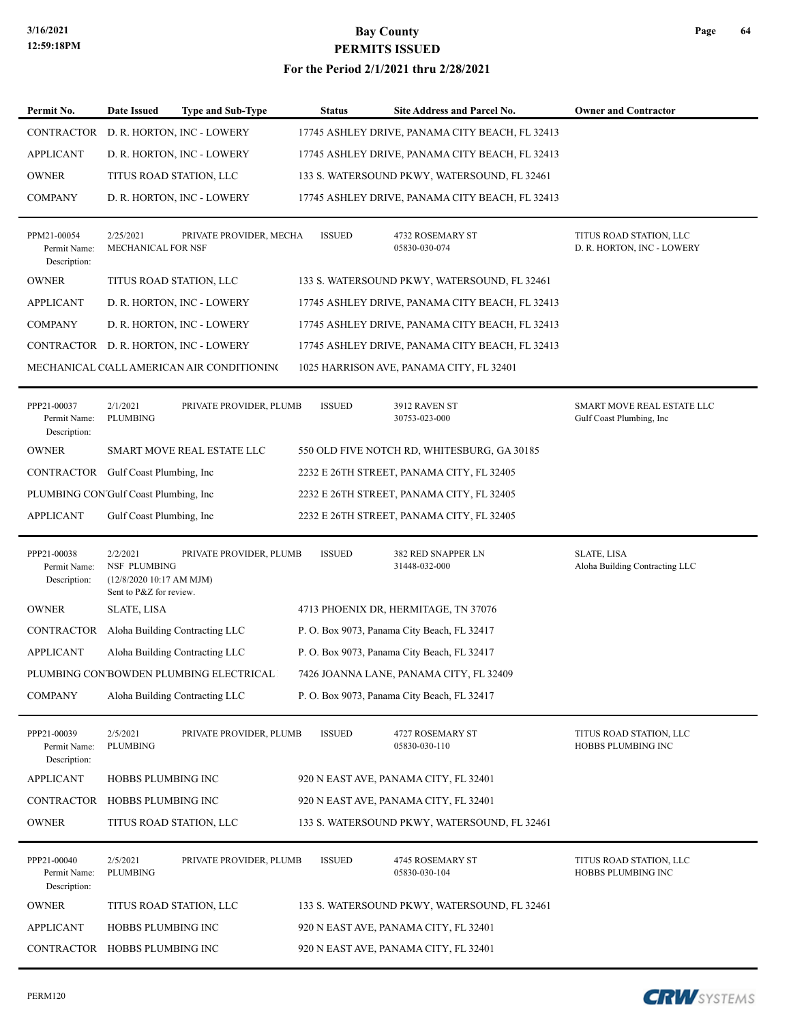### **3/16/2021 Bay County PERMITS ISSUED For the Period 2/1/2021 thru 2/28/2021**

| Permit No.                                  | Date Issued                                                                     | <b>Type and Sub-Type</b> | <b>Status</b> | Site Address and Parcel No.                     | <b>Owner and Contractor</b>                            |
|---------------------------------------------|---------------------------------------------------------------------------------|--------------------------|---------------|-------------------------------------------------|--------------------------------------------------------|
| CONTRACTOR                                  | D. R. HORTON, INC - LOWERY                                                      |                          |               | 17745 ASHLEY DRIVE, PANAMA CITY BEACH, FL 32413 |                                                        |
| <b>APPLICANT</b>                            | D. R. HORTON, INC - LOWERY                                                      |                          |               | 17745 ASHLEY DRIVE, PANAMA CITY BEACH, FL 32413 |                                                        |
| <b>OWNER</b>                                | TITUS ROAD STATION, LLC                                                         |                          |               | 133 S. WATERSOUND PKWY, WATERSOUND, FL 32461    |                                                        |
| <b>COMPANY</b>                              | D. R. HORTON, INC - LOWERY                                                      |                          |               | 17745 ASHLEY DRIVE, PANAMA CITY BEACH, FL 32413 |                                                        |
| PPM21-00054<br>Permit Name:<br>Description: | 2/25/2021<br>MECHANICAL FOR NSF                                                 | PRIVATE PROVIDER, MECHA  | <b>ISSUED</b> | 4732 ROSEMARY ST<br>05830-030-074               | TITUS ROAD STATION, LLC<br>D. R. HORTON, INC - LOWERY  |
| <b>OWNER</b>                                | TITUS ROAD STATION, LLC                                                         |                          |               | 133 S. WATERSOUND PKWY, WATERSOUND, FL 32461    |                                                        |
| <b>APPLICANT</b>                            | D. R. HORTON, INC - LOWERY                                                      |                          |               | 17745 ASHLEY DRIVE, PANAMA CITY BEACH, FL 32413 |                                                        |
| <b>COMPANY</b>                              | D. R. HORTON, INC - LOWERY                                                      |                          |               | 17745 ASHLEY DRIVE, PANAMA CITY BEACH, FL 32413 |                                                        |
|                                             | CONTRACTOR D. R. HORTON, INC - LOWERY                                           |                          |               | 17745 ASHLEY DRIVE, PANAMA CITY BEACH, FL 32413 |                                                        |
|                                             | MECHANICAL C(ALL AMERICAN AIR CONDITIONING                                      |                          |               | 1025 HARRISON AVE, PANAMA CITY, FL 32401        |                                                        |
| PPP21-00037<br>Permit Name:<br>Description: | 2/1/2021<br>PLUMBING                                                            | PRIVATE PROVIDER, PLUMB  | <b>ISSUED</b> | 3912 RAVEN ST<br>30753-023-000                  | SMART MOVE REAL ESTATE LLC<br>Gulf Coast Plumbing, Inc |
| <b>OWNER</b>                                | SMART MOVE REAL ESTATE LLC                                                      |                          |               | 550 OLD FIVE NOTCH RD, WHITESBURG, GA 30185     |                                                        |
|                                             | CONTRACTOR Gulf Coast Plumbing, Inc                                             |                          |               | 2232 E 26TH STREET, PANAMA CITY, FL 32405       |                                                        |
|                                             | PLUMBING CON'Gulf Coast Plumbing, Inc                                           |                          |               | 2232 E 26TH STREET, PANAMA CITY, FL 32405       |                                                        |
| <b>APPLICANT</b>                            | Gulf Coast Plumbing, Inc.                                                       |                          |               | 2232 E 26TH STREET, PANAMA CITY, FL 32405       |                                                        |
| PPP21-00038<br>Permit Name:<br>Description: | 2/2/2021<br>NSF PLUMBING<br>(12/8/2020 10:17 AM MJM)<br>Sent to P&Z for review. | PRIVATE PROVIDER, PLUMB  | <b>ISSUED</b> | 382 RED SNAPPER LN<br>31448-032-000             | <b>SLATE, LISA</b><br>Aloha Building Contracting LLC   |
| <b>OWNER</b>                                | <b>SLATE, LISA</b>                                                              |                          |               | 4713 PHOENIX DR, HERMITAGE, TN 37076            |                                                        |
| CONTRACTOR                                  | Aloha Building Contracting LLC                                                  |                          |               | P. O. Box 9073, Panama City Beach, FL 32417     |                                                        |
| <b>APPLICANT</b>                            | Aloha Building Contracting LLC                                                  |                          |               | P.O. Box 9073, Panama City Beach, FL 32417      |                                                        |
|                                             | PLUMBING CON'BOWDEN PLUMBING ELECTRICAL                                         |                          |               | 7426 JOANNA LANE, PANAMA CITY, FL 32409         |                                                        |
| <b>COMPANY</b>                              | Aloha Building Contracting LLC                                                  |                          |               | P. O. Box 9073, Panama City Beach, FL 32417     |                                                        |
| PPP21-00039<br>Permit Name:<br>Description: | 2/5/2021<br>PLUMBING                                                            | PRIVATE PROVIDER, PLUMB  | <b>ISSUED</b> | 4727 ROSEMARY ST<br>05830-030-110               | TITUS ROAD STATION, LLC<br>HOBBS PLUMBING INC          |
| <b>APPLICANT</b>                            | HOBBS PLUMBING INC                                                              |                          |               | 920 N EAST AVE, PANAMA CITY, FL 32401           |                                                        |
| <b>CONTRACTOR</b>                           | HOBBS PLUMBING INC                                                              |                          |               | 920 N EAST AVE, PANAMA CITY, FL 32401           |                                                        |
| <b>OWNER</b>                                | TITUS ROAD STATION, LLC                                                         |                          |               | 133 S. WATERSOUND PKWY, WATERSOUND, FL 32461    |                                                        |
| PPP21-00040<br>Permit Name:<br>Description: | 2/5/2021<br>PLUMBING                                                            | PRIVATE PROVIDER, PLUMB  | <b>ISSUED</b> | 4745 ROSEMARY ST<br>05830-030-104               | TITUS ROAD STATION, LLC<br>HOBBS PLUMBING INC          |
| <b>OWNER</b>                                | TITUS ROAD STATION, LLC                                                         |                          |               | 133 S. WATERSOUND PKWY, WATERSOUND, FL 32461    |                                                        |
| <b>APPLICANT</b>                            | HOBBS PLUMBING INC                                                              |                          |               | 920 N EAST AVE, PANAMA CITY, FL 32401           |                                                        |
|                                             | CONTRACTOR HOBBS PLUMBING INC                                                   |                          |               | 920 N EAST AVE, PANAMA CITY, FL 32401           |                                                        |

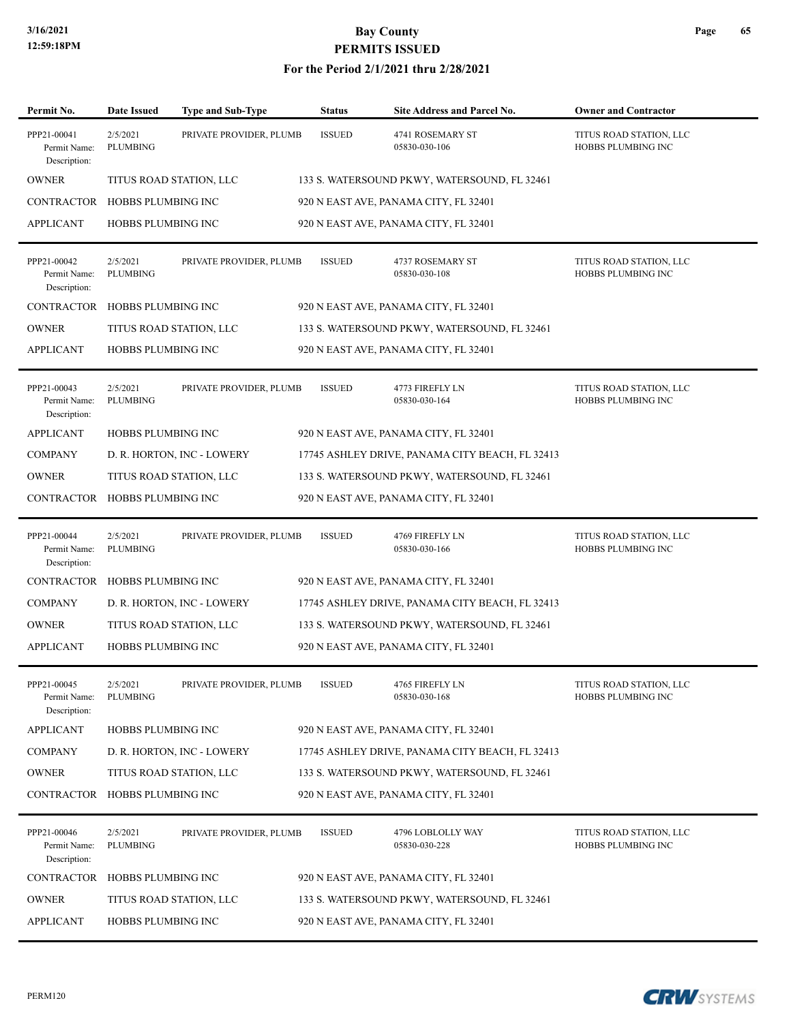#### **For the Period 2/1/2021 thru 2/28/2021**

| Permit No.                                  | <b>Date Issued</b>          | <b>Type and Sub-Type</b>   | <b>Status</b> | <b>Site Address and Parcel No.</b>              | <b>Owner and Contractor</b>                   |
|---------------------------------------------|-----------------------------|----------------------------|---------------|-------------------------------------------------|-----------------------------------------------|
| PPP21-00041<br>Permit Name:<br>Description: | 2/5/2021<br>PLUMBING        | PRIVATE PROVIDER, PLUMB    | <b>ISSUED</b> | 4741 ROSEMARY ST<br>05830-030-106               | TITUS ROAD STATION, LLC<br>HOBBS PLUMBING INC |
| <b>OWNER</b>                                | TITUS ROAD STATION, LLC     |                            |               | 133 S. WATERSOUND PKWY, WATERSOUND, FL 32461    |                                               |
| CONTRACTOR HOBBS PLUMBING INC               |                             |                            |               | 920 N EAST AVE, PANAMA CITY, FL 32401           |                                               |
| <b>APPLICANT</b>                            | <b>HOBBS PLUMBING INC</b>   |                            |               | 920 N EAST AVE, PANAMA CITY, FL 32401           |                                               |
| PPP21-00042<br>Permit Name:<br>Description: | 2/5/2021<br><b>PLUMBING</b> | PRIVATE PROVIDER, PLUMB    | <b>ISSUED</b> | 4737 ROSEMARY ST<br>05830-030-108               | TITUS ROAD STATION, LLC<br>HOBBS PLUMBING INC |
| CONTRACTOR HOBBS PLUMBING INC               |                             |                            |               | 920 N EAST AVE, PANAMA CITY, FL 32401           |                                               |
| <b>OWNER</b>                                | TITUS ROAD STATION, LLC     |                            |               | 133 S. WATERSOUND PKWY, WATERSOUND, FL 32461    |                                               |
| <b>APPLICANT</b>                            | HOBBS PLUMBING INC          |                            |               | 920 N EAST AVE, PANAMA CITY, FL 32401           |                                               |
| PPP21-00043<br>Permit Name:<br>Description: | 2/5/2021<br>PLUMBING        | PRIVATE PROVIDER, PLUMB    | <b>ISSUED</b> | 4773 FIREFLY LN<br>05830-030-164                | TITUS ROAD STATION, LLC<br>HOBBS PLUMBING INC |
| <b>APPLICANT</b>                            | HOBBS PLUMBING INC          |                            |               | 920 N EAST AVE, PANAMA CITY, FL 32401           |                                               |
| <b>COMPANY</b>                              |                             | D. R. HORTON, INC - LOWERY |               | 17745 ASHLEY DRIVE, PANAMA CITY BEACH, FL 32413 |                                               |
| <b>OWNER</b>                                | TITUS ROAD STATION, LLC     |                            |               | 133 S. WATERSOUND PKWY, WATERSOUND, FL 32461    |                                               |
| CONTRACTOR HOBBS PLUMBING INC               |                             |                            |               | 920 N EAST AVE, PANAMA CITY, FL 32401           |                                               |
| PPP21-00044<br>Permit Name:<br>Description: | 2/5/2021<br>PLUMBING        | PRIVATE PROVIDER, PLUMB    | <b>ISSUED</b> | 4769 FIREFLY LN<br>05830-030-166                | TITUS ROAD STATION, LLC<br>HOBBS PLUMBING INC |
| CONTRACTOR HOBBS PLUMBING INC               |                             |                            |               | 920 N EAST AVE, PANAMA CITY, FL 32401           |                                               |
| <b>COMPANY</b>                              |                             | D. R. HORTON, INC - LOWERY |               | 17745 ASHLEY DRIVE, PANAMA CITY BEACH, FL 32413 |                                               |
| <b>OWNER</b>                                | TITUS ROAD STATION, LLC     |                            |               | 133 S. WATERSOUND PKWY, WATERSOUND, FL 32461    |                                               |
| <b>APPLICANT</b>                            | HOBBS PLUMBING INC          |                            |               | 920 N EAST AVE, PANAMA CITY, FL 32401           |                                               |
| PPP21-00045<br>Permit Name:<br>Description: | 2/5/2021<br>PLUMBING        | PRIVATE PROVIDER, PLUMB    | <b>ISSUED</b> | 4765 FIREFLY LN<br>05830-030-168                | TITUS ROAD STATION, LLC<br>HOBBS PLUMBING INC |
| <b>APPLICANT</b>                            | HOBBS PLUMBING INC          |                            |               | 920 N EAST AVE, PANAMA CITY, FL 32401           |                                               |
| <b>COMPANY</b>                              |                             | D. R. HORTON, INC - LOWERY |               | 17745 ASHLEY DRIVE, PANAMA CITY BEACH, FL 32413 |                                               |
| <b>OWNER</b>                                | TITUS ROAD STATION, LLC     |                            |               | 133 S. WATERSOUND PKWY, WATERSOUND, FL 32461    |                                               |
| CONTRACTOR HOBBS PLUMBING INC               |                             |                            |               | 920 N EAST AVE, PANAMA CITY, FL 32401           |                                               |
| PPP21-00046<br>Permit Name:<br>Description: | 2/5/2021<br>PLUMBING        | PRIVATE PROVIDER, PLUMB    | <b>ISSUED</b> | 4796 LOBLOLLY WAY<br>05830-030-228              | TITUS ROAD STATION, LLC<br>HOBBS PLUMBING INC |
| CONTRACTOR                                  | HOBBS PLUMBING INC          |                            |               | 920 N EAST AVE, PANAMA CITY, FL 32401           |                                               |
| <b>OWNER</b>                                | TITUS ROAD STATION, LLC     |                            |               | 133 S. WATERSOUND PKWY, WATERSOUND, FL 32461    |                                               |
| <b>APPLICANT</b>                            | HOBBS PLUMBING INC          |                            |               | 920 N EAST AVE, PANAMA CITY, FL 32401           |                                               |

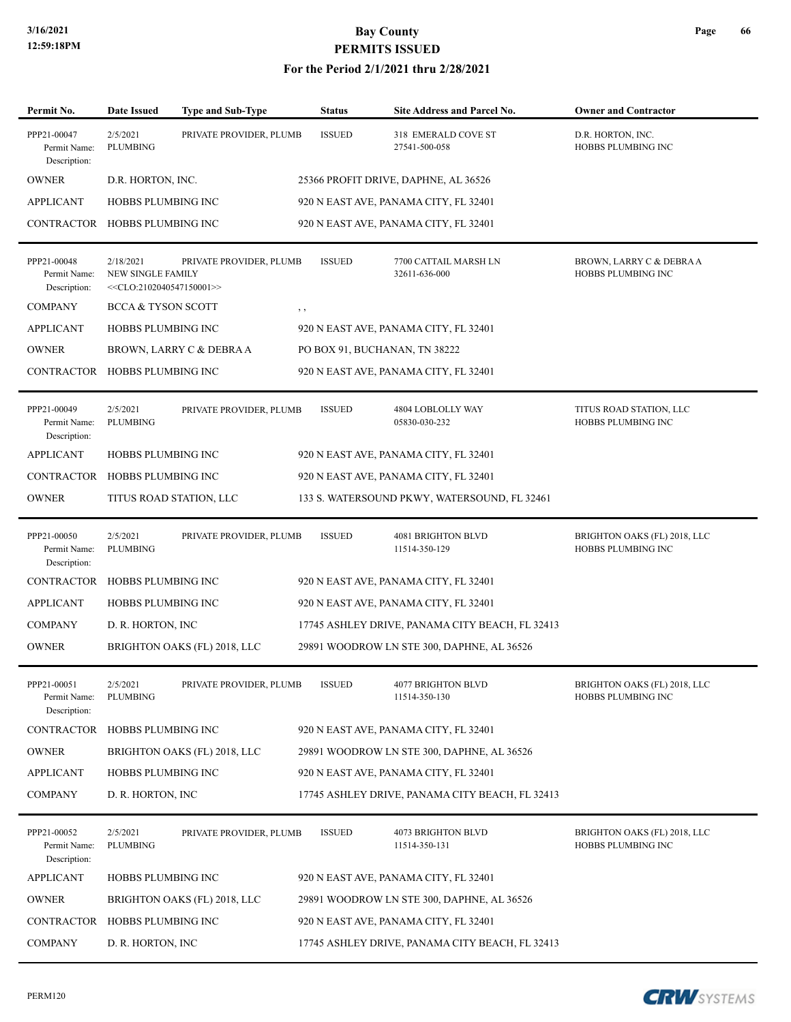| Permit No.                                  | <b>Date Issued</b>                                            | <b>Type and Sub-Type</b>     | <b>Status</b> | Site Address and Parcel No.                     | <b>Owner and Contractor</b>                               |
|---------------------------------------------|---------------------------------------------------------------|------------------------------|---------------|-------------------------------------------------|-----------------------------------------------------------|
| PPP21-00047<br>Permit Name:<br>Description: | 2/5/2021<br>PLUMBING                                          | PRIVATE PROVIDER, PLUMB      | <b>ISSUED</b> | 318 EMERALD COVE ST<br>27541-500-058            | D.R. HORTON, INC.<br>HOBBS PLUMBING INC                   |
| <b>OWNER</b>                                | D.R. HORTON, INC.                                             |                              |               | 25366 PROFIT DRIVE, DAPHNE, AL 36526            |                                                           |
| <b>APPLICANT</b>                            | <b>HOBBS PLUMBING INC</b>                                     |                              |               | 920 N EAST AVE, PANAMA CITY, FL 32401           |                                                           |
| CONTRACTOR HOBBS PLUMBING INC               |                                                               |                              |               | 920 N EAST AVE, PANAMA CITY, FL 32401           |                                                           |
| PPP21-00048<br>Permit Name:<br>Description: | 2/18/2021<br>NEW SINGLE FAMILY<br>$<<$ CLO:2102040547150001>> | PRIVATE PROVIDER, PLUMB      | <b>ISSUED</b> | 7700 CATTAIL MARSH LN<br>32611-636-000          | BROWN, LARRY C & DEBRA A<br>HOBBS PLUMBING INC            |
| <b>COMPANY</b>                              | <b>BCCA &amp; TYSON SCOTT</b>                                 |                              | $, \, \cdot$  |                                                 |                                                           |
| <b>APPLICANT</b>                            | <b>HOBBS PLUMBING INC</b>                                     |                              |               | 920 N EAST AVE, PANAMA CITY, FL 32401           |                                                           |
| <b>OWNER</b>                                |                                                               | BROWN, LARRY C & DEBRA A     |               | PO BOX 91, BUCHANAN, TN 38222                   |                                                           |
| CONTRACTOR HOBBS PLUMBING INC               |                                                               |                              |               | 920 N EAST AVE, PANAMA CITY, FL 32401           |                                                           |
| PPP21-00049<br>Permit Name:<br>Description: | 2/5/2021<br>PLUMBING                                          | PRIVATE PROVIDER, PLUMB      | <b>ISSUED</b> | 4804 LOBLOLLY WAY<br>05830-030-232              | TITUS ROAD STATION, LLC<br>HOBBS PLUMBING INC             |
| <b>APPLICANT</b>                            | HOBBS PLUMBING INC                                            |                              |               | 920 N EAST AVE, PANAMA CITY, FL 32401           |                                                           |
| <b>CONTRACTOR</b>                           | HOBBS PLUMBING INC                                            |                              |               | 920 N EAST AVE, PANAMA CITY, FL 32401           |                                                           |
| <b>OWNER</b>                                |                                                               | TITUS ROAD STATION, LLC      |               | 133 S. WATERSOUND PKWY, WATERSOUND, FL 32461    |                                                           |
| PPP21-00050<br>Permit Name:<br>Description: | 2/5/2021<br>PLUMBING                                          | PRIVATE PROVIDER, PLUMB      | <b>ISSUED</b> | 4081 BRIGHTON BLVD<br>11514-350-129             | BRIGHTON OAKS (FL) 2018, LLC<br>HOBBS PLUMBING INC        |
| CONTRACTOR HOBBS PLUMBING INC               |                                                               |                              |               | 920 N EAST AVE, PANAMA CITY, FL 32401           |                                                           |
| <b>APPLICANT</b>                            | HOBBS PLUMBING INC                                            |                              |               | 920 N EAST AVE, PANAMA CITY, FL 32401           |                                                           |
| <b>COMPANY</b>                              | D. R. HORTON, INC.                                            |                              |               | 17745 ASHLEY DRIVE, PANAMA CITY BEACH, FL 32413 |                                                           |
| <b>OWNER</b>                                |                                                               | BRIGHTON OAKS (FL) 2018, LLC |               | 29891 WOODROW LN STE 300, DAPHNE, AL 36526      |                                                           |
| PPP21-00051<br>Permit Name:<br>Description: | 2/5/2021<br>PLUMBING                                          | PRIVATE PROVIDER, PLUMB      | <b>ISSUED</b> | <b>4077 BRIGHTON BLVD</b><br>11514-350-130      | BRIGHTON OAKS (FL) 2018, LLC<br>HOBBS PLUMBING INC        |
| CONTRACTOR HOBBS PLUMBING INC               |                                                               |                              |               | 920 N EAST AVE, PANAMA CITY, FL 32401           |                                                           |
| <b>OWNER</b>                                |                                                               | BRIGHTON OAKS (FL) 2018, LLC |               | 29891 WOODROW LN STE 300, DAPHNE, AL 36526      |                                                           |
| <b>APPLICANT</b>                            | HOBBS PLUMBING INC                                            |                              |               | 920 N EAST AVE, PANAMA CITY, FL 32401           |                                                           |
| <b>COMPANY</b>                              | D. R. HORTON, INC                                             |                              |               | 17745 ASHLEY DRIVE, PANAMA CITY BEACH, FL 32413 |                                                           |
| PPP21-00052<br>Permit Name:<br>Description: | 2/5/2021<br>PLUMBING                                          | PRIVATE PROVIDER, PLUMB      | <b>ISSUED</b> | 4073 BRIGHTON BLVD<br>11514-350-131             | BRIGHTON OAKS (FL) 2018, LLC<br><b>HOBBS PLUMBING INC</b> |
| <b>APPLICANT</b>                            | HOBBS PLUMBING INC                                            |                              |               | 920 N EAST AVE, PANAMA CITY, FL 32401           |                                                           |
| <b>OWNER</b>                                |                                                               | BRIGHTON OAKS (FL) 2018, LLC |               | 29891 WOODROW LN STE 300, DAPHNE, AL 36526      |                                                           |
| CONTRACTOR                                  | HOBBS PLUMBING INC                                            |                              |               | 920 N EAST AVE, PANAMA CITY, FL 32401           |                                                           |
| <b>COMPANY</b>                              | D. R. HORTON, INC.                                            |                              |               | 17745 ASHLEY DRIVE, PANAMA CITY BEACH, FL 32413 |                                                           |

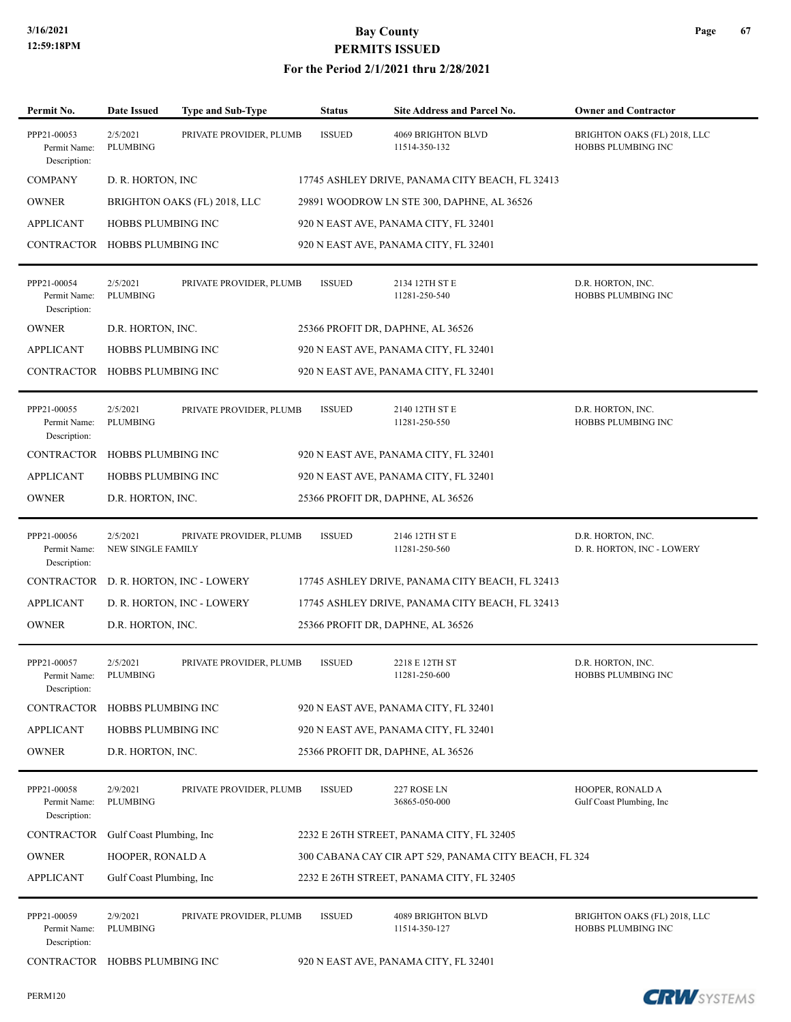| Permit No.                                  | <b>Date Issued</b>                   | <b>Type and Sub-Type</b>     | <b>Status</b> | Site Address and Parcel No.                           | <b>Owner and Contractor</b>                        |
|---------------------------------------------|--------------------------------------|------------------------------|---------------|-------------------------------------------------------|----------------------------------------------------|
| PPP21-00053<br>Permit Name:<br>Description: | 2/5/2021<br>PLUMBING                 | PRIVATE PROVIDER, PLUMB      | <b>ISSUED</b> | <b>4069 BRIGHTON BLVD</b><br>11514-350-132            | BRIGHTON OAKS (FL) 2018, LLC<br>HOBBS PLUMBING INC |
| <b>COMPANY</b>                              | D. R. HORTON, INC                    |                              |               | 17745 ASHLEY DRIVE, PANAMA CITY BEACH, FL 32413       |                                                    |
| <b>OWNER</b>                                |                                      | BRIGHTON OAKS (FL) 2018, LLC |               | 29891 WOODROW LN STE 300, DAPHNE, AL 36526            |                                                    |
| <b>APPLICANT</b>                            | <b>HOBBS PLUMBING INC</b>            |                              |               | 920 N EAST AVE, PANAMA CITY, FL 32401                 |                                                    |
| CONTRACTOR HOBBS PLUMBING INC               |                                      |                              |               | 920 N EAST AVE, PANAMA CITY, FL 32401                 |                                                    |
| PPP21-00054<br>Permit Name:<br>Description: | 2/5/2021<br><b>PLUMBING</b>          | PRIVATE PROVIDER, PLUMB      | <b>ISSUED</b> | 2134 12TH ST E<br>11281-250-540                       | D.R. HORTON, INC.<br>HOBBS PLUMBING INC            |
| <b>OWNER</b>                                | D.R. HORTON, INC.                    |                              |               | 25366 PROFIT DR, DAPHNE, AL 36526                     |                                                    |
| <b>APPLICANT</b>                            | HOBBS PLUMBING INC                   |                              |               | 920 N EAST AVE, PANAMA CITY, FL 32401                 |                                                    |
| CONTRACTOR HOBBS PLUMBING INC               |                                      |                              |               | 920 N EAST AVE, PANAMA CITY, FL 32401                 |                                                    |
| PPP21-00055<br>Permit Name:<br>Description: | 2/5/2021<br><b>PLUMBING</b>          | PRIVATE PROVIDER, PLUMB      | <b>ISSUED</b> | 2140 12TH ST E<br>11281-250-550                       | D.R. HORTON, INC.<br>HOBBS PLUMBING INC            |
| CONTRACTOR                                  | HOBBS PLUMBING INC                   |                              |               | 920 N EAST AVE, PANAMA CITY, FL 32401                 |                                                    |
| <b>APPLICANT</b>                            | <b>HOBBS PLUMBING INC</b>            |                              |               | 920 N EAST AVE, PANAMA CITY, FL 32401                 |                                                    |
| <b>OWNER</b>                                | D.R. HORTON, INC.                    |                              |               | 25366 PROFIT DR, DAPHNE, AL 36526                     |                                                    |
| PPP21-00056<br>Permit Name:<br>Description: | 2/5/2021<br><b>NEW SINGLE FAMILY</b> | PRIVATE PROVIDER, PLUMB      | <b>ISSUED</b> | 2146 12TH ST E<br>11281-250-560                       | D.R. HORTON, INC.<br>D. R. HORTON, INC - LOWERY    |
| CONTRACTOR                                  |                                      | D. R. HORTON, INC - LOWERY   |               | 17745 ASHLEY DRIVE, PANAMA CITY BEACH, FL 32413       |                                                    |
| <b>APPLICANT</b>                            |                                      | D. R. HORTON, INC - LOWERY   |               | 17745 ASHLEY DRIVE, PANAMA CITY BEACH, FL 32413       |                                                    |
| <b>OWNER</b>                                | D.R. HORTON, INC.                    |                              |               | 25366 PROFIT DR, DAPHNE, AL 36526                     |                                                    |
| PPP21-00057<br>Permit Name:<br>Description: | 2/5/2021<br><b>PLUMBING</b>          | PRIVATE PROVIDER, PLUMB      | <b>ISSUED</b> | 2218 E 12TH ST<br>11281-250-600                       | D.R. HORTON, INC.<br>HOBBS PLUMBING INC            |
| <b>CONTRACTOR</b>                           | HOBBS PLUMBING INC                   |                              |               | 920 N EAST AVE, PANAMA CITY, FL 32401                 |                                                    |
| <b>APPLICANT</b>                            | HOBBS PLUMBING INC                   |                              |               | 920 N EAST AVE, PANAMA CITY, FL 32401                 |                                                    |
| <b>OWNER</b>                                | D.R. HORTON, INC.                    |                              |               | 25366 PROFIT DR, DAPHNE, AL 36526                     |                                                    |
| PPP21-00058<br>Permit Name:<br>Description: | 2/9/2021<br>PLUMBING                 | PRIVATE PROVIDER, PLUMB      | <b>ISSUED</b> | 227 ROSE LN<br>36865-050-000                          | HOOPER, RONALD A<br>Gulf Coast Plumbing, Inc       |
| CONTRACTOR                                  | Gulf Coast Plumbing, Inc.            |                              |               | 2232 E 26TH STREET, PANAMA CITY, FL 32405             |                                                    |
| <b>OWNER</b>                                | HOOPER, RONALD A                     |                              |               | 300 CABANA CAY CIR APT 529, PANAMA CITY BEACH, FL 324 |                                                    |
| <b>APPLICANT</b>                            | Gulf Coast Plumbing, Inc             |                              |               | 2232 E 26TH STREET, PANAMA CITY, FL 32405             |                                                    |
| PPP21-00059<br>Permit Name:<br>Description: | 2/9/2021<br>PLUMBING                 | PRIVATE PROVIDER, PLUMB      | <b>ISSUED</b> | 4089 BRIGHTON BLVD<br>11514-350-127                   | BRIGHTON OAKS (FL) 2018, LLC<br>HOBBS PLUMBING INC |
| CONTRACTOR HOBBS PLUMBING INC               |                                      |                              |               | 920 N EAST AVE, PANAMA CITY, FL 32401                 |                                                    |

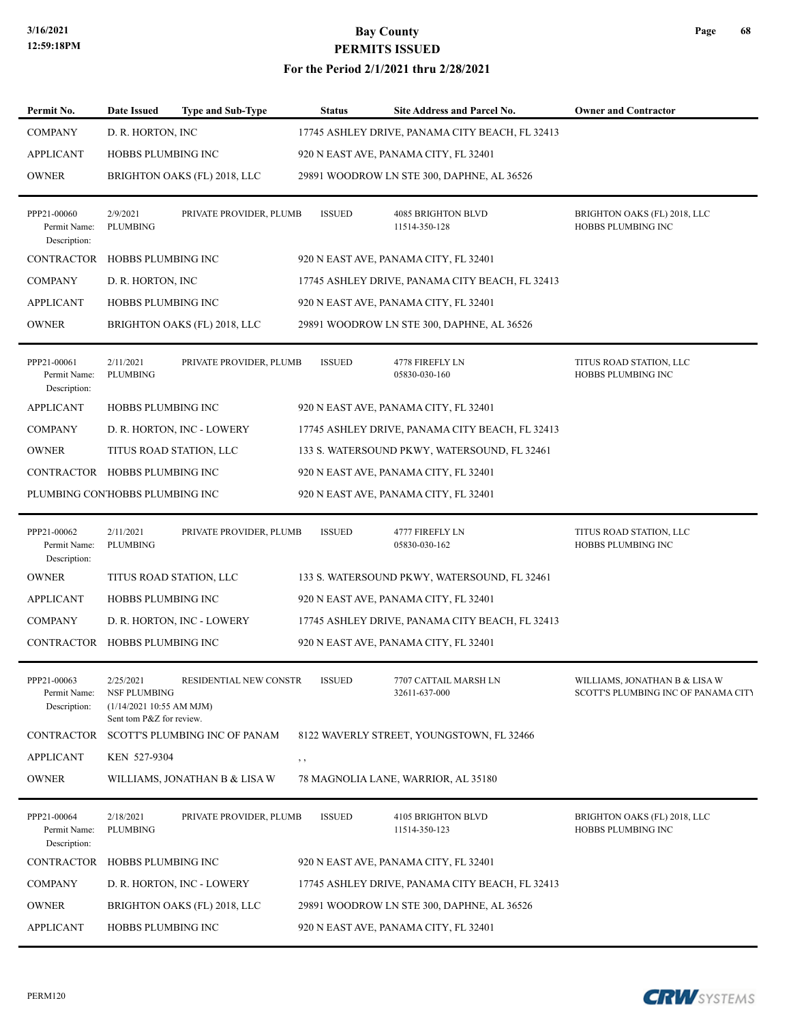#### **For the Period 2/1/2021 thru 2/28/2021**

| Permit No.                                  | <b>Date Issued</b>                                                                       | <b>Type and Sub-Type</b>                 |     | <b>Status</b> | Site Address and Parcel No.                     | <b>Owner and Contractor</b>                                                 |
|---------------------------------------------|------------------------------------------------------------------------------------------|------------------------------------------|-----|---------------|-------------------------------------------------|-----------------------------------------------------------------------------|
| <b>COMPANY</b>                              | D. R. HORTON, INC                                                                        |                                          |     |               | 17745 ASHLEY DRIVE, PANAMA CITY BEACH, FL 32413 |                                                                             |
| <b>APPLICANT</b>                            | <b>HOBBS PLUMBING INC</b>                                                                |                                          |     |               | 920 N EAST AVE, PANAMA CITY, FL 32401           |                                                                             |
| <b>OWNER</b>                                |                                                                                          | BRIGHTON OAKS (FL) 2018, LLC             |     |               | 29891 WOODROW LN STE 300, DAPHNE, AL 36526      |                                                                             |
| PPP21-00060<br>Permit Name:<br>Description: | 2/9/2021<br>PLUMBING                                                                     | PRIVATE PROVIDER, PLUMB                  |     | <b>ISSUED</b> | 4085 BRIGHTON BLVD<br>11514-350-128             | BRIGHTON OAKS (FL) 2018, LLC<br>HOBBS PLUMBING INC                          |
| CONTRACTOR HOBBS PLUMBING INC               |                                                                                          |                                          |     |               | 920 N EAST AVE, PANAMA CITY, FL 32401           |                                                                             |
| <b>COMPANY</b>                              | D. R. HORTON, INC.                                                                       |                                          |     |               | 17745 ASHLEY DRIVE, PANAMA CITY BEACH, FL 32413 |                                                                             |
| <b>APPLICANT</b>                            | <b>HOBBS PLUMBING INC</b>                                                                |                                          |     |               | 920 N EAST AVE, PANAMA CITY, FL 32401           |                                                                             |
| <b>OWNER</b>                                |                                                                                          | BRIGHTON OAKS (FL) 2018, LLC             |     |               | 29891 WOODROW LN STE 300, DAPHNE, AL 36526      |                                                                             |
| PPP21-00061<br>Permit Name:<br>Description: | 2/11/2021<br>PLUMBING                                                                    | PRIVATE PROVIDER, PLUMB                  |     | <b>ISSUED</b> | 4778 FIREFLY LN<br>05830-030-160                | TITUS ROAD STATION, LLC<br>HOBBS PLUMBING INC                               |
| <b>APPLICANT</b>                            | <b>HOBBS PLUMBING INC</b>                                                                |                                          |     |               | 920 N EAST AVE, PANAMA CITY, FL 32401           |                                                                             |
| <b>COMPANY</b>                              |                                                                                          | D. R. HORTON, INC - LOWERY               |     |               | 17745 ASHLEY DRIVE, PANAMA CITY BEACH, FL 32413 |                                                                             |
| <b>OWNER</b>                                |                                                                                          | TITUS ROAD STATION, LLC                  |     |               | 133 S. WATERSOUND PKWY, WATERSOUND, FL 32461    |                                                                             |
| CONTRACTOR HOBBS PLUMBING INC               |                                                                                          |                                          |     |               | 920 N EAST AVE, PANAMA CITY, FL 32401           |                                                                             |
| PLUMBING CON'HOBBS PLUMBING INC             |                                                                                          |                                          |     |               | 920 N EAST AVE, PANAMA CITY, FL 32401           |                                                                             |
| PPP21-00062<br>Permit Name:<br>Description: | 2/11/2021<br>PLUMBING                                                                    | PRIVATE PROVIDER, PLUMB                  |     | <b>ISSUED</b> | 4777 FIREFLY LN<br>05830-030-162                | TITUS ROAD STATION, LLC<br>HOBBS PLUMBING INC                               |
| <b>OWNER</b>                                |                                                                                          | TITUS ROAD STATION, LLC                  |     |               | 133 S. WATERSOUND PKWY, WATERSOUND, FL 32461    |                                                                             |
| <b>APPLICANT</b>                            | HOBBS PLUMBING INC                                                                       |                                          |     |               | 920 N EAST AVE, PANAMA CITY, FL 32401           |                                                                             |
| <b>COMPANY</b>                              |                                                                                          | D. R. HORTON, INC - LOWERY               |     |               | 17745 ASHLEY DRIVE, PANAMA CITY BEACH, FL 32413 |                                                                             |
| CONTRACTOR HOBBS PLUMBING INC               |                                                                                          |                                          |     |               | 920 N EAST AVE, PANAMA CITY, FL 32401           |                                                                             |
| PPP21-00063<br>Permit Name:<br>Description: | 2/25/2021<br><b>NSF PLUMBING</b><br>(1/14/2021 10:55 AM MJM)<br>Sent tom P&Z for review. | RESIDENTIAL NEW CONSTR                   |     | <b>ISSUED</b> | 7707 CATTAIL MARSH LN<br>32611-637-000          | WILLIAMS, JONATHAN B & LISA W<br><b>SCOTT'S PLUMBING INC OF PANAMA CITY</b> |
|                                             |                                                                                          | CONTRACTOR SCOTT'S PLUMBING INC OF PANAM |     |               | 8122 WAVERLY STREET, YOUNGSTOWN, FL 32466       |                                                                             |
| <b>APPLICANT</b>                            | KEN 527-9304                                                                             |                                          | , , |               |                                                 |                                                                             |
| <b>OWNER</b>                                |                                                                                          | WILLIAMS, JONATHAN B & LISA W            |     |               | 78 MAGNOLIA LANE, WARRIOR, AL 35180             |                                                                             |
| PPP21-00064<br>Permit Name:<br>Description: | 2/18/2021<br>PLUMBING                                                                    | PRIVATE PROVIDER, PLUMB                  |     | <b>ISSUED</b> | 4105 BRIGHTON BLVD<br>11514-350-123             | BRIGHTON OAKS (FL) 2018, LLC<br>HOBBS PLUMBING INC                          |
| CONTRACTOR HOBBS PLUMBING INC               |                                                                                          |                                          |     |               | 920 N EAST AVE, PANAMA CITY, FL 32401           |                                                                             |
| <b>COMPANY</b>                              |                                                                                          | D. R. HORTON, INC - LOWERY               |     |               | 17745 ASHLEY DRIVE, PANAMA CITY BEACH, FL 32413 |                                                                             |
| <b>OWNER</b>                                |                                                                                          | BRIGHTON OAKS (FL) 2018, LLC             |     |               | 29891 WOODROW LN STE 300, DAPHNE, AL 36526      |                                                                             |
| <b>APPLICANT</b>                            | HOBBS PLUMBING INC                                                                       |                                          |     |               | 920 N EAST AVE, PANAMA CITY, FL 32401           |                                                                             |

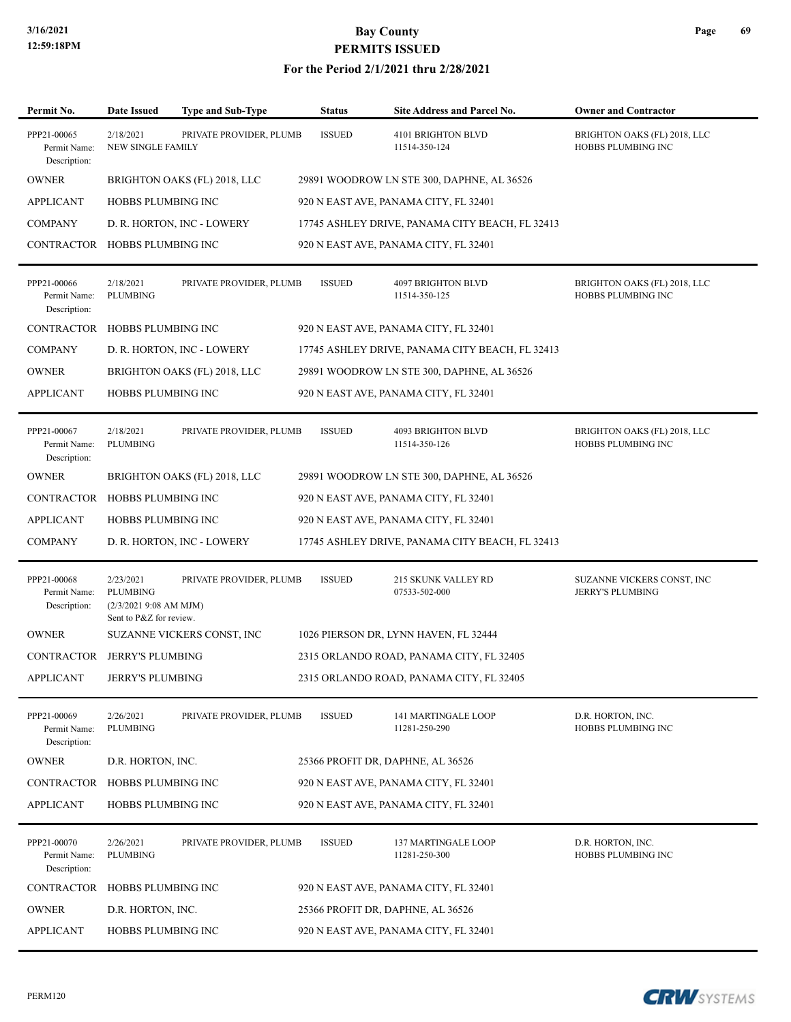| Permit No.                                  | <b>Date Issued</b>                                                        | <b>Type and Sub-Type</b>     | <b>Status</b> | <b>Site Address and Parcel No.</b>              | <b>Owner and Contractor</b>                        |
|---------------------------------------------|---------------------------------------------------------------------------|------------------------------|---------------|-------------------------------------------------|----------------------------------------------------|
| PPP21-00065<br>Permit Name:<br>Description: | 2/18/2021<br>NEW SINGLE FAMILY                                            | PRIVATE PROVIDER, PLUMB      | <b>ISSUED</b> | 4101 BRIGHTON BLVD<br>11514-350-124             | BRIGHTON OAKS (FL) 2018, LLC<br>HOBBS PLUMBING INC |
| <b>OWNER</b>                                |                                                                           | BRIGHTON OAKS (FL) 2018, LLC |               | 29891 WOODROW LN STE 300, DAPHNE, AL 36526      |                                                    |
| <b>APPLICANT</b>                            | <b>HOBBS PLUMBING INC</b>                                                 |                              |               | 920 N EAST AVE, PANAMA CITY, FL 32401           |                                                    |
| <b>COMPANY</b>                              |                                                                           | D. R. HORTON, INC - LOWERY   |               | 17745 ASHLEY DRIVE, PANAMA CITY BEACH, FL 32413 |                                                    |
| CONTRACTOR HOBBS PLUMBING INC               |                                                                           |                              |               | 920 N EAST AVE, PANAMA CITY, FL 32401           |                                                    |
| PPP21-00066<br>Permit Name:<br>Description: | 2/18/2021<br><b>PLUMBING</b>                                              | PRIVATE PROVIDER, PLUMB      | <b>ISSUED</b> | 4097 BRIGHTON BLVD<br>11514-350-125             | BRIGHTON OAKS (FL) 2018, LLC<br>HOBBS PLUMBING INC |
| <b>CONTRACTOR</b>                           | HOBBS PLUMBING INC                                                        |                              |               | 920 N EAST AVE, PANAMA CITY, FL 32401           |                                                    |
| <b>COMPANY</b>                              |                                                                           | D. R. HORTON, INC - LOWERY   |               | 17745 ASHLEY DRIVE, PANAMA CITY BEACH, FL 32413 |                                                    |
| <b>OWNER</b>                                |                                                                           | BRIGHTON OAKS (FL) 2018, LLC |               | 29891 WOODROW LN STE 300, DAPHNE, AL 36526      |                                                    |
| APPLICANT                                   | <b>HOBBS PLUMBING INC</b>                                                 |                              |               | 920 N EAST AVE, PANAMA CITY, FL 32401           |                                                    |
| PPP21-00067<br>Permit Name:<br>Description: | 2/18/2021<br><b>PLUMBING</b>                                              | PRIVATE PROVIDER, PLUMB      | <b>ISSUED</b> | 4093 BRIGHTON BLVD<br>11514-350-126             | BRIGHTON OAKS (FL) 2018, LLC<br>HOBBS PLUMBING INC |
| <b>OWNER</b>                                |                                                                           | BRIGHTON OAKS (FL) 2018, LLC |               | 29891 WOODROW LN STE 300, DAPHNE, AL 36526      |                                                    |
| CONTRACTOR HOBBS PLUMBING INC               |                                                                           |                              |               | 920 N EAST AVE, PANAMA CITY, FL 32401           |                                                    |
| <b>APPLICANT</b>                            | <b>HOBBS PLUMBING INC</b>                                                 |                              |               | 920 N EAST AVE, PANAMA CITY, FL 32401           |                                                    |
| <b>COMPANY</b>                              |                                                                           | D. R. HORTON, INC - LOWERY   |               | 17745 ASHLEY DRIVE, PANAMA CITY BEACH, FL 32413 |                                                    |
| PPP21-00068<br>Permit Name:<br>Description: | 2/23/2021<br>PLUMBING<br>(2/3/20219:08 AM MJM)<br>Sent to P&Z for review. | PRIVATE PROVIDER, PLUMB      | <b>ISSUED</b> | 215 SKUNK VALLEY RD<br>07533-502-000            | SUZANNE VICKERS CONST, INC<br>JERRY'S PLUMBING     |
| <b>OWNER</b>                                |                                                                           | SUZANNE VICKERS CONST, INC   |               | 1026 PIERSON DR, LYNN HAVEN, FL 32444           |                                                    |
| CONTRACTOR JERRY'S PLUMBING                 |                                                                           |                              |               | 2315 ORLANDO ROAD, PANAMA CITY, FL 32405        |                                                    |
| <b>APPLICANT</b>                            | <b>JERRY'S PLUMBING</b>                                                   |                              |               | 2315 ORLANDO ROAD, PANAMA CITY, FL 32405        |                                                    |
| PPP21-00069<br>Permit Name:<br>Description: | 2/26/2021<br>PLUMBING                                                     | PRIVATE PROVIDER, PLUMB      | <b>ISSUED</b> | 141 MARTINGALE LOOP<br>11281-250-290            | D.R. HORTON, INC.<br>HOBBS PLUMBING INC            |
| <b>OWNER</b>                                | D.R. HORTON, INC.                                                         |                              |               | 25366 PROFIT DR, DAPHNE, AL 36526               |                                                    |
| CONTRACTOR HOBBS PLUMBING INC               |                                                                           |                              |               | 920 N EAST AVE, PANAMA CITY, FL 32401           |                                                    |
| <b>APPLICANT</b>                            | HOBBS PLUMBING INC                                                        |                              |               | 920 N EAST AVE, PANAMA CITY, FL 32401           |                                                    |
| PPP21-00070<br>Permit Name:<br>Description: | 2/26/2021<br>PLUMBING                                                     | PRIVATE PROVIDER, PLUMB      | <b>ISSUED</b> | 137 MARTINGALE LOOP<br>11281-250-300            | D.R. HORTON, INC.<br>HOBBS PLUMBING INC            |
| CONTRACTOR HOBBS PLUMBING INC               |                                                                           |                              |               | 920 N EAST AVE, PANAMA CITY, FL 32401           |                                                    |
| <b>OWNER</b>                                | D.R. HORTON, INC.                                                         |                              |               | 25366 PROFIT DR, DAPHNE, AL 36526               |                                                    |
| <b>APPLICANT</b>                            | HOBBS PLUMBING INC                                                        |                              |               | 920 N EAST AVE, PANAMA CITY, FL 32401           |                                                    |

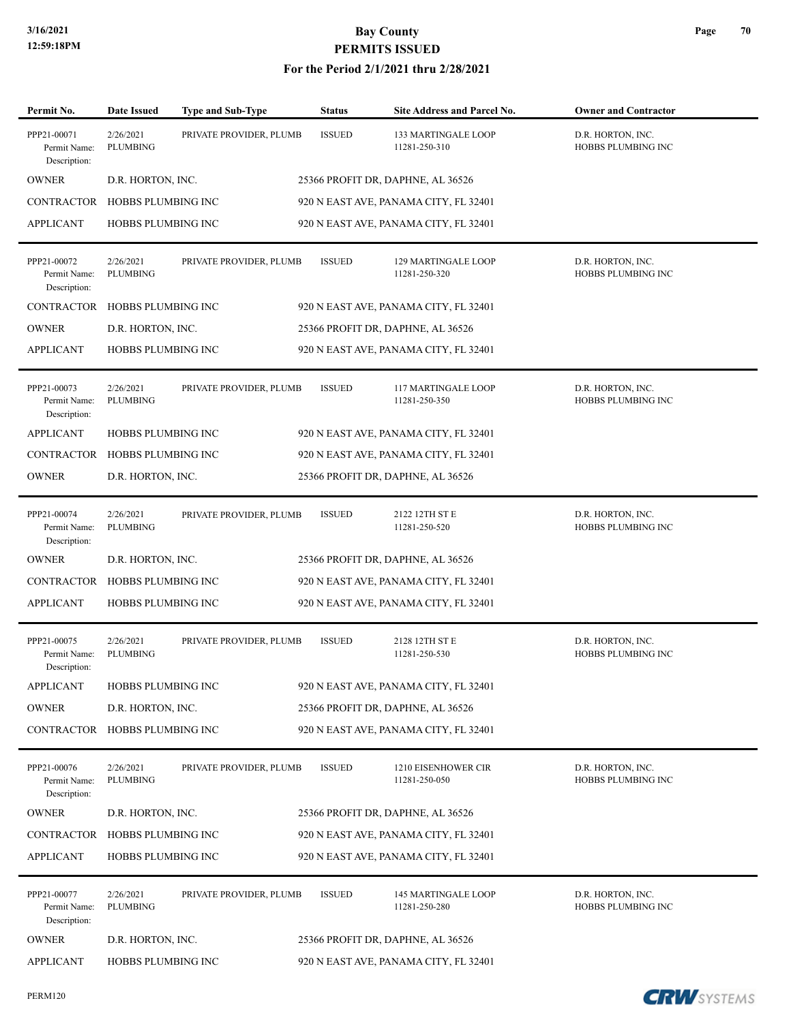| Permit No.                                  | <b>Date Issued</b>           | <b>Type and Sub-Type</b> | <b>Status</b> | Site Address and Parcel No.           | <b>Owner and Contractor</b>                    |
|---------------------------------------------|------------------------------|--------------------------|---------------|---------------------------------------|------------------------------------------------|
| PPP21-00071<br>Permit Name:<br>Description: | 2/26/2021<br><b>PLUMBING</b> | PRIVATE PROVIDER, PLUMB  | <b>ISSUED</b> | 133 MARTINGALE LOOP<br>11281-250-310  | D.R. HORTON, INC.<br>HOBBS PLUMBING INC        |
| <b>OWNER</b>                                | D.R. HORTON, INC.            |                          |               | 25366 PROFIT DR, DAPHNE, AL 36526     |                                                |
| CONTRACTOR                                  | HOBBS PLUMBING INC           |                          |               | 920 N EAST AVE, PANAMA CITY, FL 32401 |                                                |
| <b>APPLICANT</b>                            | <b>HOBBS PLUMBING INC</b>    |                          |               | 920 N EAST AVE, PANAMA CITY, FL 32401 |                                                |
| PPP21-00072<br>Permit Name:<br>Description: | 2/26/2021<br><b>PLUMBING</b> | PRIVATE PROVIDER, PLUMB  | <b>ISSUED</b> | 129 MARTINGALE LOOP<br>11281-250-320  | D.R. HORTON, INC.<br>HOBBS PLUMBING INC        |
| CONTRACTOR                                  | HOBBS PLUMBING INC           |                          |               | 920 N EAST AVE, PANAMA CITY, FL 32401 |                                                |
| <b>OWNER</b>                                | D.R. HORTON, INC.            |                          |               | 25366 PROFIT DR, DAPHNE, AL 36526     |                                                |
| <b>APPLICANT</b>                            | <b>HOBBS PLUMBING INC</b>    |                          |               | 920 N EAST AVE, PANAMA CITY, FL 32401 |                                                |
| PPP21-00073<br>Permit Name:<br>Description: | 2/26/2021<br><b>PLUMBING</b> | PRIVATE PROVIDER, PLUMB  | <b>ISSUED</b> | 117 MARTINGALE LOOP<br>11281-250-350  | D.R. HORTON, INC.<br><b>HOBBS PLUMBING INC</b> |
| <b>APPLICANT</b>                            | <b>HOBBS PLUMBING INC</b>    |                          |               | 920 N EAST AVE, PANAMA CITY, FL 32401 |                                                |
| <b>CONTRACTOR</b>                           | <b>HOBBS PLUMBING INC</b>    |                          |               | 920 N EAST AVE, PANAMA CITY, FL 32401 |                                                |
| <b>OWNER</b>                                | D.R. HORTON, INC.            |                          |               | 25366 PROFIT DR, DAPHNE, AL 36526     |                                                |
| PPP21-00074<br>Permit Name:<br>Description: | 2/26/2021<br><b>PLUMBING</b> | PRIVATE PROVIDER, PLUMB  | <b>ISSUED</b> | 2122 12TH ST E<br>11281-250-520       | D.R. HORTON, INC.<br>HOBBS PLUMBING INC        |
| <b>OWNER</b>                                | D.R. HORTON, INC.            |                          |               | 25366 PROFIT DR, DAPHNE, AL 36526     |                                                |
| CONTRACTOR                                  | HOBBS PLUMBING INC           |                          |               | 920 N EAST AVE, PANAMA CITY, FL 32401 |                                                |
| <b>APPLICANT</b>                            | <b>HOBBS PLUMBING INC</b>    |                          |               | 920 N EAST AVE, PANAMA CITY, FL 32401 |                                                |
| PPP21-00075<br>Permit Name:<br>Description: | 2/26/2021<br><b>PLUMBING</b> | PRIVATE PROVIDER, PLUMB  | <b>ISSUED</b> | 2128 12TH ST E<br>11281-250-530       | D.R. HORTON, INC.<br><b>HOBBS PLUMBING INC</b> |
| <b>APPLICANT</b>                            | HOBBS PLUMBING INC           |                          |               | 920 N EAST AVE, PANAMA CITY, FL 32401 |                                                |
| <b>OWNER</b>                                | D.R. HORTON, INC.            |                          |               | 25366 PROFIT DR, DAPHNE, AL 36526     |                                                |
| CONTRACTOR HOBBS PLUMBING INC               |                              |                          |               | 920 N EAST AVE, PANAMA CITY, FL 32401 |                                                |
| PPP21-00076<br>Permit Name:<br>Description: | 2/26/2021<br><b>PLUMBING</b> | PRIVATE PROVIDER, PLUMB  | <b>ISSUED</b> | 1210 EISENHOWER CIR<br>11281-250-050  | D.R. HORTON, INC.<br>HOBBS PLUMBING INC        |
| <b>OWNER</b>                                | D.R. HORTON, INC.            |                          |               | 25366 PROFIT DR, DAPHNE, AL 36526     |                                                |
| CONTRACTOR                                  | HOBBS PLUMBING INC           |                          |               | 920 N EAST AVE, PANAMA CITY, FL 32401 |                                                |
| <b>APPLICANT</b>                            | HOBBS PLUMBING INC           |                          |               | 920 N EAST AVE, PANAMA CITY, FL 32401 |                                                |
| PPP21-00077<br>Permit Name:<br>Description: | 2/26/2021<br>PLUMBING        | PRIVATE PROVIDER, PLUMB  | <b>ISSUED</b> | 145 MARTINGALE LOOP<br>11281-250-280  | D.R. HORTON, INC.<br>HOBBS PLUMBING INC        |
| <b>OWNER</b>                                | D.R. HORTON, INC.            |                          |               | 25366 PROFIT DR, DAPHNE, AL 36526     |                                                |
| <b>APPLICANT</b>                            | <b>HOBBS PLUMBING INC</b>    |                          |               | 920 N EAST AVE, PANAMA CITY, FL 32401 |                                                |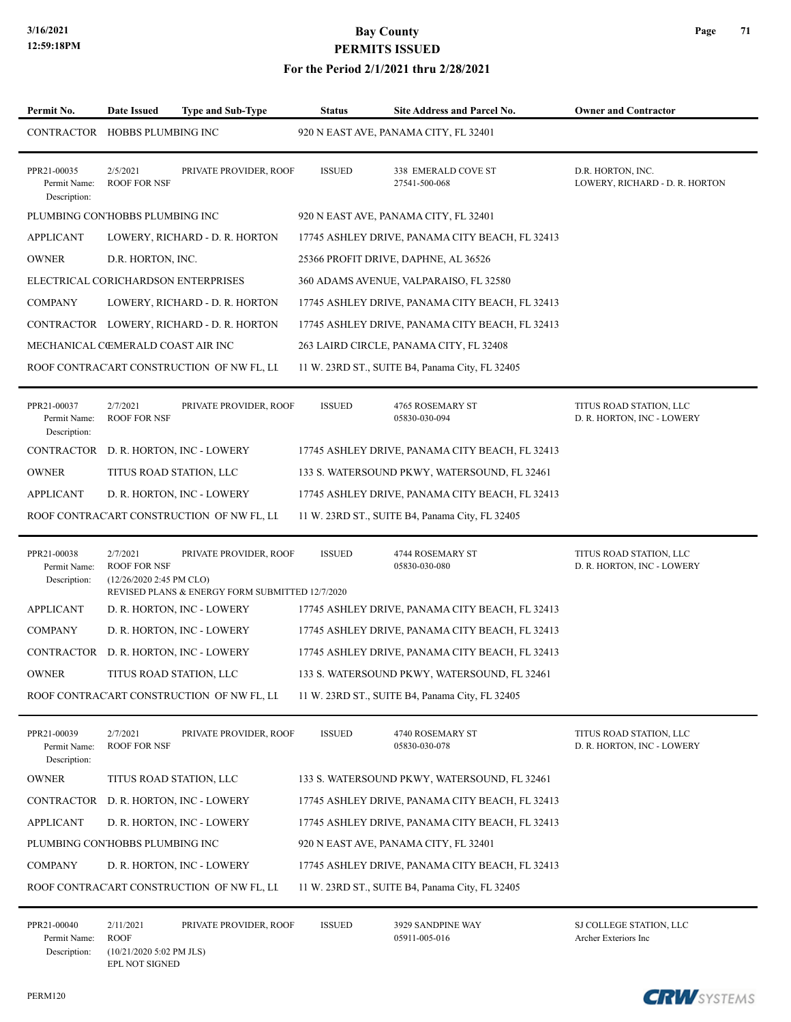#### **For the Period 2/1/2021 thru 2/28/2021**

| Permit No.                                  | Date Issued                                                          | <b>Type and Sub-Type</b>                                                  | <b>Status</b> | Site Address and Parcel No.                     | <b>Owner and Contractor</b>                           |
|---------------------------------------------|----------------------------------------------------------------------|---------------------------------------------------------------------------|---------------|-------------------------------------------------|-------------------------------------------------------|
| CONTRACTOR HOBBS PLUMBING INC               |                                                                      |                                                                           |               | 920 N EAST AVE, PANAMA CITY, FL 32401           |                                                       |
| PPR21-00035<br>Permit Name:<br>Description: | 2/5/2021<br><b>ROOF FOR NSF</b>                                      | PRIVATE PROVIDER, ROOF                                                    | <b>ISSUED</b> | 338 EMERALD COVE ST<br>27541-500-068            | D.R. HORTON, INC.<br>LOWERY, RICHARD - D. R. HORTON   |
| PLUMBING CON'HOBBS PLUMBING INC             |                                                                      |                                                                           |               | 920 N EAST AVE, PANAMA CITY, FL 32401           |                                                       |
| <b>APPLICANT</b>                            |                                                                      | LOWERY, RICHARD - D. R. HORTON                                            |               | 17745 ASHLEY DRIVE, PANAMA CITY BEACH, FL 32413 |                                                       |
| <b>OWNER</b>                                | D.R. HORTON, INC.                                                    |                                                                           |               | 25366 PROFIT DRIVE, DAPHNE, AL 36526            |                                                       |
| ELECTRICAL CORICHARDSON ENTERPRISES         |                                                                      |                                                                           |               | 360 ADAMS AVENUE, VALPARAISO, FL 32580          |                                                       |
| <b>COMPANY</b>                              |                                                                      | LOWERY, RICHARD - D. R. HORTON                                            |               | 17745 ASHLEY DRIVE, PANAMA CITY BEACH, FL 32413 |                                                       |
|                                             |                                                                      | CONTRACTOR LOWERY, RICHARD - D. R. HORTON                                 |               | 17745 ASHLEY DRIVE, PANAMA CITY BEACH, FL 32413 |                                                       |
| MECHANICAL CŒMERALD COAST AIR INC           |                                                                      |                                                                           |               | 263 LAIRD CIRCLE, PANAMA CITY, FL 32408         |                                                       |
|                                             |                                                                      | ROOF CONTRACART CONSTRUCTION OF NW FL, LL                                 |               | 11 W. 23RD ST., SUITE B4, Panama City, FL 32405 |                                                       |
| PPR21-00037<br>Permit Name:<br>Description: | 2/7/2021<br><b>ROOF FOR NSF</b>                                      | PRIVATE PROVIDER, ROOF                                                    | <b>ISSUED</b> | 4765 ROSEMARY ST<br>05830-030-094               | TITUS ROAD STATION, LLC<br>D. R. HORTON, INC - LOWERY |
| CONTRACTOR                                  |                                                                      | D. R. HORTON, INC - LOWERY                                                |               | 17745 ASHLEY DRIVE, PANAMA CITY BEACH, FL 32413 |                                                       |
| <b>OWNER</b>                                | TITUS ROAD STATION, LLC                                              |                                                                           |               | 133 S. WATERSOUND PKWY, WATERSOUND, FL 32461    |                                                       |
| APPLICANT                                   |                                                                      | D. R. HORTON, INC - LOWERY                                                |               | 17745 ASHLEY DRIVE, PANAMA CITY BEACH, FL 32413 |                                                       |
|                                             |                                                                      | ROOF CONTRACART CONSTRUCTION OF NW FL, LL                                 |               | 11 W. 23RD ST., SUITE B4, Panama City, FL 32405 |                                                       |
| PPR21-00038<br>Permit Name:<br>Description: | 2/7/2021<br><b>ROOF FOR NSF</b><br>$(12/26/20202:45 \text{ PM CLO})$ | PRIVATE PROVIDER, ROOF<br>REVISED PLANS & ENERGY FORM SUBMITTED 12/7/2020 | <b>ISSUED</b> | 4744 ROSEMARY ST<br>05830-030-080               | TITUS ROAD STATION, LLC<br>D. R. HORTON, INC - LOWERY |
| <b>APPLICANT</b>                            |                                                                      | D. R. HORTON, INC - LOWERY                                                |               | 17745 ASHLEY DRIVE, PANAMA CITY BEACH, FL 32413 |                                                       |
| <b>COMPANY</b>                              |                                                                      | D. R. HORTON, INC - LOWERY                                                |               | 17745 ASHLEY DRIVE, PANAMA CITY BEACH, FL 32413 |                                                       |
| CONTRACTOR                                  |                                                                      | D. R. HORTON, INC - LOWERY                                                |               | 17745 ASHLEY DRIVE, PANAMA CITY BEACH, FL 32413 |                                                       |
| <b>OWNER</b>                                |                                                                      | TITUS ROAD STATION, LLC                                                   |               | 133 S. WATERSOUND PKWY, WATERSOUND, FL 32461    |                                                       |
|                                             |                                                                      | ROOF CONTRACART CONSTRUCTION OF NW FL, LL                                 |               | 11 W. 23RD ST., SUITE B4, Panama City, FL 32405 |                                                       |
| PPR21-00039<br>Permit Name:<br>Description: | 2/7/2021<br><b>ROOF FOR NSF</b>                                      | PRIVATE PROVIDER, ROOF                                                    | <b>ISSUED</b> | 4740 ROSEMARY ST<br>05830-030-078               | TITUS ROAD STATION, LLC<br>D. R. HORTON, INC - LOWERY |
| <b>OWNER</b>                                | TITUS ROAD STATION, LLC                                              |                                                                           |               | 133 S. WATERSOUND PKWY, WATERSOUND, FL 32461    |                                                       |
| <b>CONTRACTOR</b>                           |                                                                      | D. R. HORTON, INC - LOWERY                                                |               | 17745 ASHLEY DRIVE, PANAMA CITY BEACH, FL 32413 |                                                       |
| <b>APPLICANT</b>                            |                                                                      | D. R. HORTON, INC - LOWERY                                                |               | 17745 ASHLEY DRIVE, PANAMA CITY BEACH, FL 32413 |                                                       |
| PLUMBING CON'HOBBS PLUMBING INC             |                                                                      |                                                                           |               | 920 N EAST AVE, PANAMA CITY, FL 32401           |                                                       |
| <b>COMPANY</b>                              |                                                                      | D. R. HORTON, INC - LOWERY                                                |               | 17745 ASHLEY DRIVE, PANAMA CITY BEACH, FL 32413 |                                                       |
|                                             |                                                                      | ROOF CONTRACART CONSTRUCTION OF NW FL, LI                                 |               | 11 W. 23RD ST., SUITE B4, Panama City, FL 32405 |                                                       |
| PPR21-00040<br>Permit Name: ROOF            | 2/11/2021                                                            | PRIVATE PROVIDER, ROOF                                                    | <b>ISSUED</b> | 3929 SANDPINE WAY<br>05911-005-016              | SJ COLLEGE STATION, LLC<br>Archer Exteriors Inc       |

PERM120

Description: (10/21/2020 5:02 PM JLS) EPL NOT SIGNED



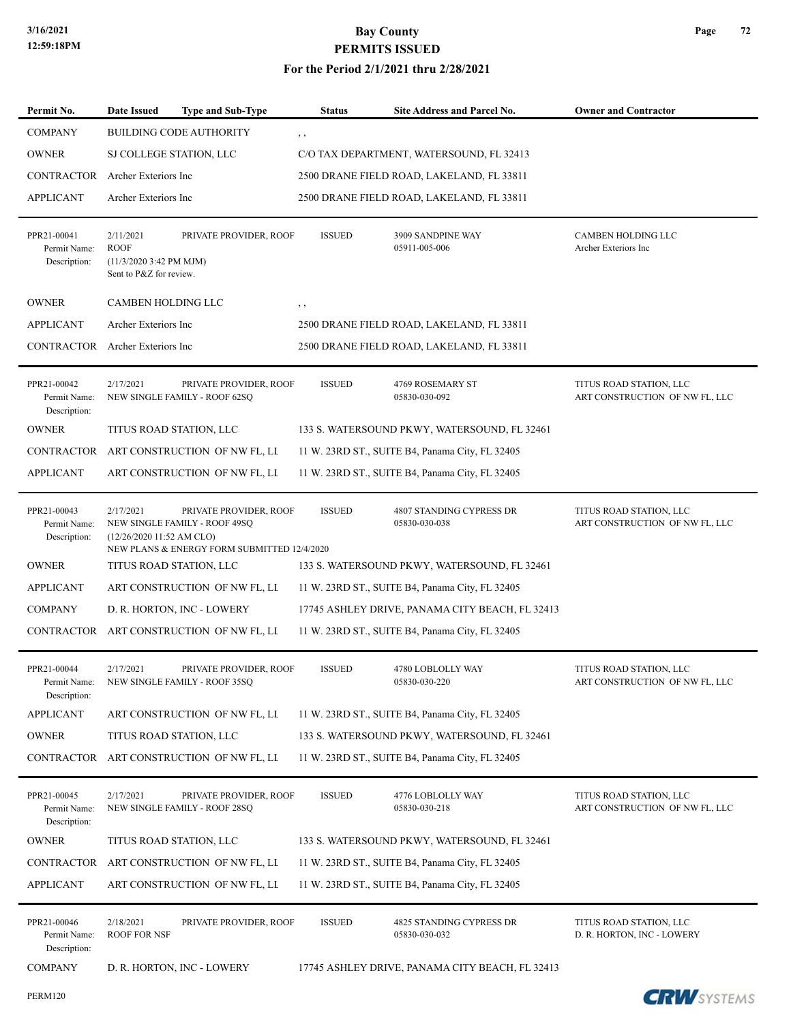| Permit No.                                  | <b>Date Issued</b>                                                                      | <b>Type and Sub-Type</b>                                                                               | <b>Status</b> | Site Address and Parcel No.                     | <b>Owner and Contractor</b>                               |
|---------------------------------------------|-----------------------------------------------------------------------------------------|--------------------------------------------------------------------------------------------------------|---------------|-------------------------------------------------|-----------------------------------------------------------|
| <b>COMPANY</b>                              |                                                                                         | <b>BUILDING CODE AUTHORITY</b>                                                                         | , ,           |                                                 |                                                           |
| <b>OWNER</b>                                | SJ COLLEGE STATION, LLC                                                                 |                                                                                                        |               | C/O TAX DEPARTMENT, WATERSOUND, FL 32413        |                                                           |
| CONTRACTOR                                  | Archer Exteriors Inc                                                                    |                                                                                                        |               | 2500 DRANE FIELD ROAD, LAKELAND, FL 33811       |                                                           |
| <b>APPLICANT</b>                            | Archer Exteriors Inc                                                                    |                                                                                                        |               | 2500 DRANE FIELD ROAD, LAKELAND, FL 33811       |                                                           |
| PPR21-00041<br>Permit Name:<br>Description: | 2/11/2021<br><b>ROOF</b><br>$(11/3/20203:42 \text{ PM MJM})$<br>Sent to P&Z for review. | PRIVATE PROVIDER, ROOF                                                                                 | <b>ISSUED</b> | 3909 SANDPINE WAY<br>05911-005-006              | <b>CAMBEN HOLDING LLC</b><br>Archer Exteriors Inc         |
| <b>OWNER</b>                                | <b>CAMBEN HOLDING LLC</b>                                                               |                                                                                                        | , ,           |                                                 |                                                           |
| <b>APPLICANT</b>                            | Archer Exteriors Inc                                                                    |                                                                                                        |               | 2500 DRANE FIELD ROAD, LAKELAND, FL 33811       |                                                           |
| CONTRACTOR                                  | Archer Exteriors Inc                                                                    |                                                                                                        |               | 2500 DRANE FIELD ROAD, LAKELAND, FL 33811       |                                                           |
| PPR21-00042<br>Permit Name:<br>Description: | 2/17/2021                                                                               | PRIVATE PROVIDER, ROOF<br>NEW SINGLE FAMILY - ROOF 62SQ                                                | <b>ISSUED</b> | 4769 ROSEMARY ST<br>05830-030-092               | TITUS ROAD STATION, LLC<br>ART CONSTRUCTION OF NW FL, LLC |
| <b>OWNER</b>                                |                                                                                         | TITUS ROAD STATION, LLC                                                                                |               | 133 S. WATERSOUND PKWY, WATERSOUND, FL 32461    |                                                           |
| CONTRACTOR                                  |                                                                                         | ART CONSTRUCTION OF NW FL, LL                                                                          |               | 11 W. 23RD ST., SUITE B4, Panama City, FL 32405 |                                                           |
| <b>APPLICANT</b>                            |                                                                                         | ART CONSTRUCTION OF NW FL, LI                                                                          |               | 11 W. 23RD ST., SUITE B4, Panama City, FL 32405 |                                                           |
| PPR21-00043<br>Permit Name:<br>Description: | 2/17/2021<br>(12/26/2020 11:52 AM CLO)                                                  | PRIVATE PROVIDER, ROOF<br>NEW SINGLE FAMILY - ROOF 49SQ<br>NEW PLANS & ENERGY FORM SUBMITTED 12/4/2020 | <b>ISSUED</b> | 4807 STANDING CYPRESS DR<br>05830-030-038       | TITUS ROAD STATION, LLC<br>ART CONSTRUCTION OF NW FL, LLC |
| <b>OWNER</b>                                |                                                                                         | TITUS ROAD STATION, LLC                                                                                |               | 133 S. WATERSOUND PKWY, WATERSOUND, FL 32461    |                                                           |
| <b>APPLICANT</b>                            |                                                                                         | ART CONSTRUCTION OF NW FL, LI                                                                          |               | 11 W. 23RD ST., SUITE B4, Panama City, FL 32405 |                                                           |
| <b>COMPANY</b>                              |                                                                                         | D. R. HORTON, INC - LOWERY                                                                             |               | 17745 ASHLEY DRIVE, PANAMA CITY BEACH, FL 32413 |                                                           |
| CONTRACTOR                                  |                                                                                         | ART CONSTRUCTION OF NW FL, LL                                                                          |               | 11 W. 23RD ST., SUITE B4, Panama City, FL 32405 |                                                           |
| PPR21-00044<br>Permit Name:<br>Description: | 2/17/2021                                                                               | PRIVATE PROVIDER, ROOF<br>NEW SINGLE FAMILY - ROOF 35SQ                                                | <b>ISSUED</b> | 4780 LOBLOLLY WAY<br>05830-030-220              | TITUS ROAD STATION, LLC<br>ART CONSTRUCTION OF NW FL, LLC |
| <b>APPLICANT</b>                            |                                                                                         | ART CONSTRUCTION OF NW FL, LI                                                                          |               | 11 W. 23RD ST., SUITE B4, Panama City, FL 32405 |                                                           |
| <b>OWNER</b>                                |                                                                                         | TITUS ROAD STATION, LLC                                                                                |               | 133 S. WATERSOUND PKWY, WATERSOUND, FL 32461    |                                                           |
| CONTRACTOR                                  |                                                                                         | ART CONSTRUCTION OF NW FL, LI                                                                          |               | 11 W. 23RD ST., SUITE B4, Panama City, FL 32405 |                                                           |
| PPR21-00045<br>Permit Name:<br>Description: | 2/17/2021                                                                               | PRIVATE PROVIDER, ROOF<br>NEW SINGLE FAMILY - ROOF 28SQ                                                | <b>ISSUED</b> | 4776 LOBLOLLY WAY<br>05830-030-218              | TITUS ROAD STATION, LLC<br>ART CONSTRUCTION OF NW FL, LLC |
| <b>OWNER</b>                                |                                                                                         | TITUS ROAD STATION, LLC                                                                                |               | 133 S. WATERSOUND PKWY, WATERSOUND, FL 32461    |                                                           |
| CONTRACTOR                                  |                                                                                         | ART CONSTRUCTION OF NW FL, LI                                                                          |               | 11 W. 23RD ST., SUITE B4, Panama City, FL 32405 |                                                           |
| <b>APPLICANT</b>                            |                                                                                         | ART CONSTRUCTION OF NW FL, LI                                                                          |               | 11 W. 23RD ST., SUITE B4, Panama City, FL 32405 |                                                           |
| PPR21-00046<br>Permit Name:<br>Description: | 2/18/2021<br><b>ROOF FOR NSF</b>                                                        | PRIVATE PROVIDER, ROOF                                                                                 | <b>ISSUED</b> | 4825 STANDING CYPRESS DR<br>05830-030-032       | TITUS ROAD STATION, LLC<br>D. R. HORTON, INC - LOWERY     |
| <b>COMPANY</b>                              |                                                                                         | D. R. HORTON, INC - LOWERY                                                                             |               | 17745 ASHLEY DRIVE, PANAMA CITY BEACH, FL 32413 |                                                           |

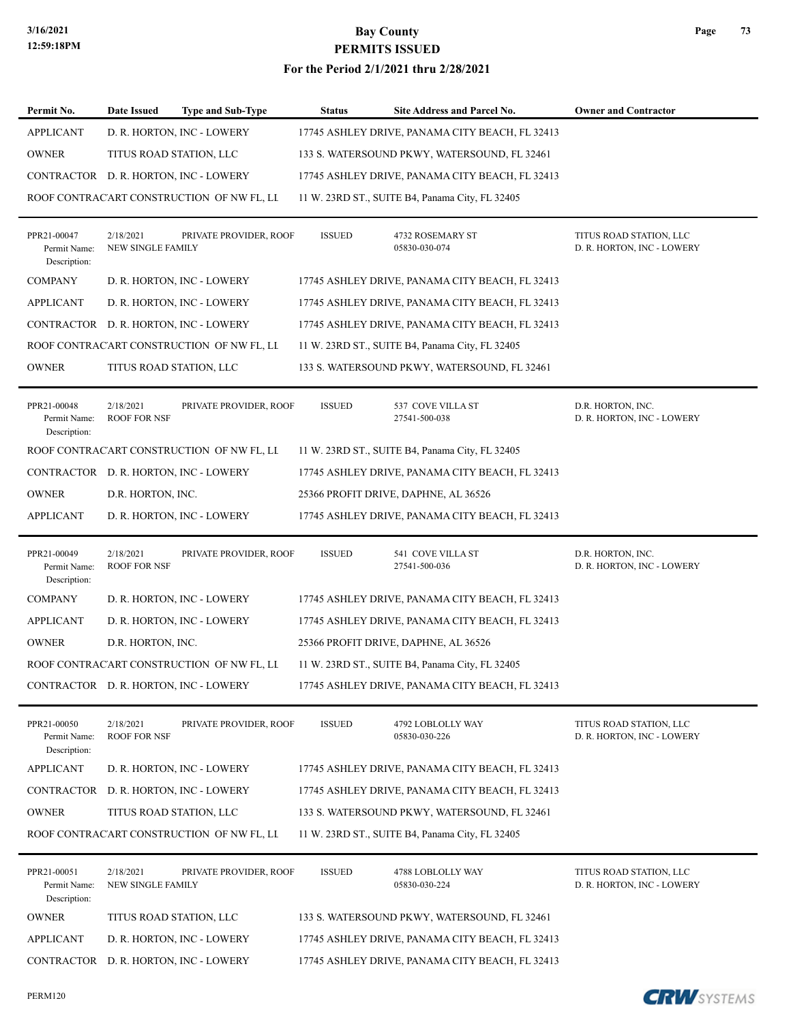#### **For the Period 2/1/2021 thru 2/28/2021**

| Permit No.                                  | <b>Date Issued</b>               | <b>Type and Sub-Type</b>                  | <b>Status</b> | Site Address and Parcel No.                     | <b>Owner and Contractor</b>                           |
|---------------------------------------------|----------------------------------|-------------------------------------------|---------------|-------------------------------------------------|-------------------------------------------------------|
| <b>APPLICANT</b>                            |                                  | D. R. HORTON, INC - LOWERY                |               | 17745 ASHLEY DRIVE, PANAMA CITY BEACH, FL 32413 |                                                       |
| <b>OWNER</b>                                | TITUS ROAD STATION, LLC          |                                           |               | 133 S. WATERSOUND PKWY, WATERSOUND, FL 32461    |                                                       |
|                                             |                                  | CONTRACTOR D. R. HORTON, INC - LOWERY     |               | 17745 ASHLEY DRIVE, PANAMA CITY BEACH, FL 32413 |                                                       |
|                                             |                                  | ROOF CONTRACART CONSTRUCTION OF NW FL, LL |               | 11 W. 23RD ST., SUITE B4, Panama City, FL 32405 |                                                       |
| PPR21-00047<br>Permit Name:<br>Description: | 2/18/2021<br>NEW SINGLE FAMILY   | PRIVATE PROVIDER, ROOF                    | <b>ISSUED</b> | 4732 ROSEMARY ST<br>05830-030-074               | TITUS ROAD STATION, LLC<br>D. R. HORTON, INC - LOWERY |
| <b>COMPANY</b>                              |                                  | D. R. HORTON, INC - LOWERY                |               | 17745 ASHLEY DRIVE, PANAMA CITY BEACH, FL 32413 |                                                       |
| <b>APPLICANT</b>                            |                                  | D. R. HORTON, INC - LOWERY                |               | 17745 ASHLEY DRIVE, PANAMA CITY BEACH, FL 32413 |                                                       |
|                                             |                                  | CONTRACTOR D. R. HORTON, INC - LOWERY     |               | 17745 ASHLEY DRIVE, PANAMA CITY BEACH, FL 32413 |                                                       |
|                                             |                                  | ROOF CONTRACART CONSTRUCTION OF NW FL, LL |               | 11 W. 23RD ST., SUITE B4, Panama City, FL 32405 |                                                       |
| <b>OWNER</b>                                | TITUS ROAD STATION, LLC          |                                           |               | 133 S. WATERSOUND PKWY, WATERSOUND, FL 32461    |                                                       |
| PPR21-00048<br>Permit Name:<br>Description: | 2/18/2021<br><b>ROOF FOR NSF</b> | PRIVATE PROVIDER, ROOF                    | <b>ISSUED</b> | 537 COVE VILLA ST<br>27541-500-038              | D.R. HORTON, INC.<br>D. R. HORTON, INC - LOWERY       |
|                                             |                                  | ROOF CONTRACART CONSTRUCTION OF NW FL, LL |               | 11 W. 23RD ST., SUITE B4, Panama City, FL 32405 |                                                       |
|                                             |                                  | CONTRACTOR D. R. HORTON, INC - LOWERY     |               | 17745 ASHLEY DRIVE, PANAMA CITY BEACH, FL 32413 |                                                       |
| <b>OWNER</b>                                | D.R. HORTON, INC.                |                                           |               | 25366 PROFIT DRIVE, DAPHNE, AL 36526            |                                                       |
| <b>APPLICANT</b>                            |                                  | D. R. HORTON, INC - LOWERY                |               | 17745 ASHLEY DRIVE, PANAMA CITY BEACH, FL 32413 |                                                       |
| PPR21-00049<br>Permit Name:<br>Description: | 2/18/2021<br><b>ROOF FOR NSF</b> | PRIVATE PROVIDER, ROOF                    | <b>ISSUED</b> | 541 COVE VILLA ST<br>27541-500-036              | D.R. HORTON, INC.<br>D. R. HORTON, INC - LOWERY       |
| <b>COMPANY</b>                              |                                  | D. R. HORTON, INC - LOWERY                |               | 17745 ASHLEY DRIVE, PANAMA CITY BEACH, FL 32413 |                                                       |
| <b>APPLICANT</b>                            |                                  | D. R. HORTON, INC - LOWERY                |               | 17745 ASHLEY DRIVE, PANAMA CITY BEACH, FL 32413 |                                                       |
| <b>OWNER</b>                                | D.R. HORTON, INC.                |                                           |               | 25366 PROFIT DRIVE, DAPHNE, AL 36526            |                                                       |
|                                             |                                  | ROOF CONTRACART CONSTRUCTION OF NW FL, LL |               | 11 W. 23RD ST., SUITE B4, Panama City, FL 32405 |                                                       |
|                                             |                                  | CONTRACTOR D. R. HORTON, INC - LOWERY     |               | 17745 ASHLEY DRIVE, PANAMA CITY BEACH, FL 32413 |                                                       |
| PPR21-00050<br>Permit Name:<br>Description: | 2/18/2021<br><b>ROOF FOR NSF</b> | PRIVATE PROVIDER, ROOF                    | <b>ISSUED</b> | 4792 LOBLOLLY WAY<br>05830-030-226              | TITUS ROAD STATION, LLC<br>D. R. HORTON, INC - LOWERY |
| APPLICANT                                   |                                  | D. R. HORTON, INC - LOWERY                |               | 17745 ASHLEY DRIVE, PANAMA CITY BEACH, FL 32413 |                                                       |
|                                             |                                  | CONTRACTOR D. R. HORTON, INC - LOWERY     |               | 17745 ASHLEY DRIVE, PANAMA CITY BEACH, FL 32413 |                                                       |
| <b>OWNER</b>                                | TITUS ROAD STATION, LLC          |                                           |               | 133 S. WATERSOUND PKWY, WATERSOUND, FL 32461    |                                                       |
|                                             |                                  | ROOF CONTRACART CONSTRUCTION OF NW FL, LL |               | 11 W. 23RD ST., SUITE B4, Panama City, FL 32405 |                                                       |
| PPR21-00051<br>Permit Name:<br>Description: | 2/18/2021<br>NEW SINGLE FAMILY   | PRIVATE PROVIDER, ROOF                    | <b>ISSUED</b> | 4788 LOBLOLLY WAY<br>05830-030-224              | TITUS ROAD STATION, LLC<br>D. R. HORTON, INC - LOWERY |
| <b>OWNER</b>                                | TITUS ROAD STATION, LLC          |                                           |               | 133 S. WATERSOUND PKWY, WATERSOUND, FL 32461    |                                                       |
| <b>APPLICANT</b>                            |                                  | D. R. HORTON, INC - LOWERY                |               | 17745 ASHLEY DRIVE, PANAMA CITY BEACH, FL 32413 |                                                       |
|                                             |                                  | CONTRACTOR D. R. HORTON, INC - LOWERY     |               | 17745 ASHLEY DRIVE, PANAMA CITY BEACH, FL 32413 |                                                       |

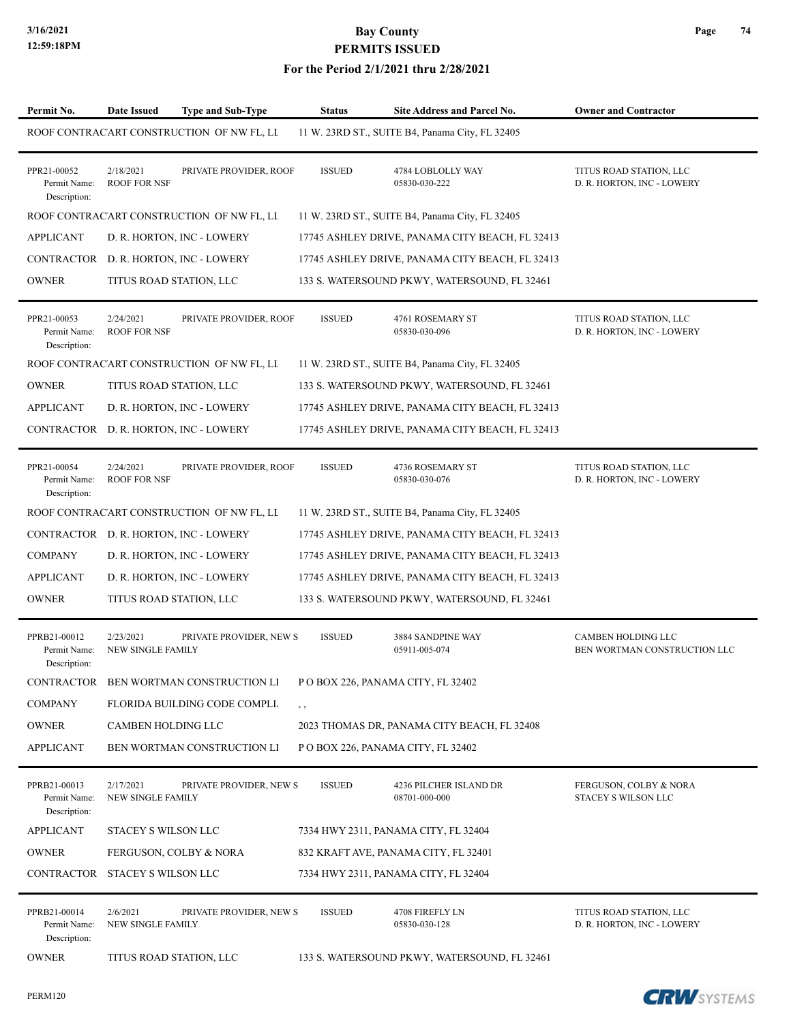#### **For the Period 2/1/2021 thru 2/28/2021**

| Permit No.                                   | <b>Date Issued</b>                    | <b>Type and Sub-Type</b>                  | <b>Status</b> | <b>Site Address and Parcel No.</b>              | <b>Owner and Contractor</b>                               |
|----------------------------------------------|---------------------------------------|-------------------------------------------|---------------|-------------------------------------------------|-----------------------------------------------------------|
|                                              |                                       | ROOF CONTRACART CONSTRUCTION OF NW FL, LL |               | 11 W. 23RD ST., SUITE B4, Panama City, FL 32405 |                                                           |
| PPR21-00052<br>Permit Name:<br>Description:  | 2/18/2021<br><b>ROOF FOR NSF</b>      | PRIVATE PROVIDER, ROOF                    | <b>ISSUED</b> | 4784 LOBLOLLY WAY<br>05830-030-222              | TITUS ROAD STATION, LLC<br>D. R. HORTON, INC - LOWERY     |
|                                              |                                       | ROOF CONTRACART CONSTRUCTION OF NW FL, LL |               | 11 W. 23RD ST., SUITE B4, Panama City, FL 32405 |                                                           |
| <b>APPLICANT</b>                             |                                       | D. R. HORTON, INC - LOWERY                |               | 17745 ASHLEY DRIVE, PANAMA CITY BEACH, FL 32413 |                                                           |
|                                              |                                       | CONTRACTOR D. R. HORTON, INC - LOWERY     |               | 17745 ASHLEY DRIVE, PANAMA CITY BEACH, FL 32413 |                                                           |
| <b>OWNER</b>                                 |                                       | TITUS ROAD STATION, LLC                   |               | 133 S. WATERSOUND PKWY, WATERSOUND, FL 32461    |                                                           |
| PPR21-00053<br>Permit Name:<br>Description:  | 2/24/2021<br><b>ROOF FOR NSF</b>      | PRIVATE PROVIDER, ROOF                    | <b>ISSUED</b> | 4761 ROSEMARY ST<br>05830-030-096               | TITUS ROAD STATION, LLC<br>D. R. HORTON, INC - LOWERY     |
|                                              |                                       | ROOF CONTRACART CONSTRUCTION OF NW FL, LI |               | 11 W. 23RD ST., SUITE B4, Panama City, FL 32405 |                                                           |
| <b>OWNER</b>                                 | TITUS ROAD STATION, LLC               |                                           |               | 133 S. WATERSOUND PKWY, WATERSOUND, FL 32461    |                                                           |
| <b>APPLICANT</b>                             |                                       | D. R. HORTON, INC - LOWERY                |               | 17745 ASHLEY DRIVE, PANAMA CITY BEACH, FL 32413 |                                                           |
|                                              |                                       | CONTRACTOR D. R. HORTON, INC - LOWERY     |               | 17745 ASHLEY DRIVE, PANAMA CITY BEACH, FL 32413 |                                                           |
| PPR21-00054<br>Permit Name:<br>Description:  | 2/24/2021<br><b>ROOF FOR NSF</b>      | PRIVATE PROVIDER, ROOF                    | <b>ISSUED</b> | 4736 ROSEMARY ST<br>05830-030-076               | TITUS ROAD STATION, LLC<br>D. R. HORTON, INC - LOWERY     |
|                                              |                                       | ROOF CONTRACART CONSTRUCTION OF NW FL, LL |               | 11 W. 23RD ST., SUITE B4, Panama City, FL 32405 |                                                           |
|                                              |                                       | CONTRACTOR D. R. HORTON, INC - LOWERY     |               | 17745 ASHLEY DRIVE, PANAMA CITY BEACH, FL 32413 |                                                           |
| <b>COMPANY</b>                               |                                       | D. R. HORTON, INC - LOWERY                |               | 17745 ASHLEY DRIVE, PANAMA CITY BEACH, FL 32413 |                                                           |
| <b>APPLICANT</b>                             |                                       | D. R. HORTON, INC - LOWERY                |               | 17745 ASHLEY DRIVE, PANAMA CITY BEACH, FL 32413 |                                                           |
| <b>OWNER</b>                                 |                                       | TITUS ROAD STATION, LLC                   |               | 133 S. WATERSOUND PKWY, WATERSOUND, FL 32461    |                                                           |
| PPRB21-00012<br>Permit Name:<br>Description: | 2/23/2021<br><b>NEW SINGLE FAMILY</b> | PRIVATE PROVIDER, NEW S                   | <b>ISSUED</b> | 3884 SANDPINE WAY<br>05911-005-074              | <b>CAMBEN HOLDING LLC</b><br>BEN WORTMAN CONSTRUCTION LLC |
|                                              |                                       | CONTRACTOR BEN WORTMAN CONSTRUCTION LI    |               | P O BOX 226, PANAMA CITY, FL 32402              |                                                           |
| <b>COMPANY</b>                               |                                       | FLORIDA BUILDING CODE COMPLI.             | , ,           |                                                 |                                                           |
| <b>OWNER</b>                                 | <b>CAMBEN HOLDING LLC</b>             |                                           |               | 2023 THOMAS DR, PANAMA CITY BEACH, FL 32408     |                                                           |
| <b>APPLICANT</b>                             |                                       | BEN WORTMAN CONSTRUCTION LI               |               | P O BOX 226, PANAMA CITY, FL 32402              |                                                           |
| PPRB21-00013<br>Permit Name:<br>Description: | 2/17/2021<br>NEW SINGLE FAMILY        | PRIVATE PROVIDER, NEW S                   | <b>ISSUED</b> | 4236 PILCHER ISLAND DR<br>08701-000-000         | FERGUSON, COLBY & NORA<br>STACEY S WILSON LLC             |
| <b>APPLICANT</b>                             | STACEY S WILSON LLC                   |                                           |               | 7334 HWY 2311, PANAMA CITY, FL 32404            |                                                           |
| <b>OWNER</b>                                 |                                       | FERGUSON, COLBY & NORA                    |               | 832 KRAFT AVE, PANAMA CITY, FL 32401            |                                                           |
| CONTRACTOR STACEY S WILSON LLC               |                                       |                                           |               | 7334 HWY 2311, PANAMA CITY, FL 32404            |                                                           |
| PPRB21-00014<br>Permit Name:<br>Description: | 2/6/2021<br>NEW SINGLE FAMILY         | PRIVATE PROVIDER, NEW S                   | <b>ISSUED</b> | 4708 FIREFLY LN<br>05830-030-128                | TITUS ROAD STATION, LLC<br>D. R. HORTON, INC - LOWERY     |
| <b>OWNER</b>                                 | TITUS ROAD STATION, LLC               |                                           |               | 133 S. WATERSOUND PKWY, WATERSOUND, FL 32461    |                                                           |

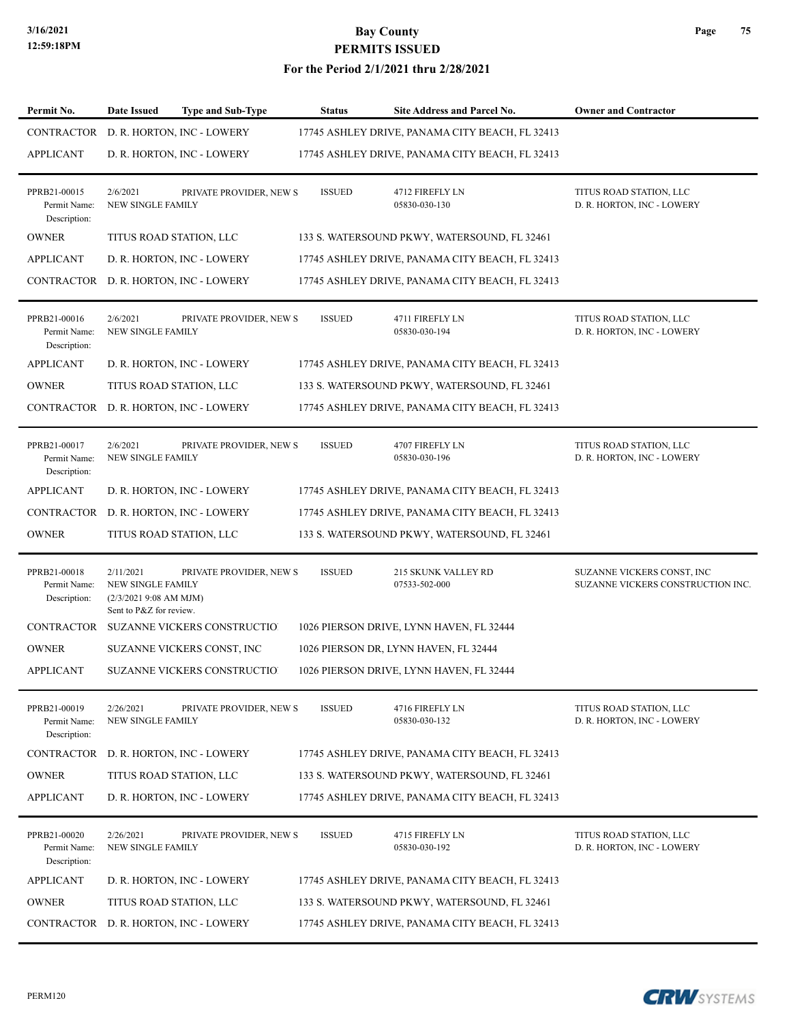#### **For the Period 2/1/2021 thru 2/28/2021**

| Permit No.                                   | <b>Date Issued</b>                                                                 | <b>Type and Sub-Type</b>    | <b>Status</b> | <b>Site Address and Parcel No.</b>              | <b>Owner and Contractor</b>                                     |
|----------------------------------------------|------------------------------------------------------------------------------------|-----------------------------|---------------|-------------------------------------------------|-----------------------------------------------------------------|
| CONTRACTOR                                   |                                                                                    | D. R. HORTON, INC - LOWERY  |               | 17745 ASHLEY DRIVE, PANAMA CITY BEACH, FL 32413 |                                                                 |
| <b>APPLICANT</b>                             |                                                                                    | D. R. HORTON, INC - LOWERY  |               | 17745 ASHLEY DRIVE, PANAMA CITY BEACH, FL 32413 |                                                                 |
| PPRB21-00015<br>Permit Name:<br>Description: | 2/6/2021<br>NEW SINGLE FAMILY                                                      | PRIVATE PROVIDER, NEW S     | <b>ISSUED</b> | 4712 FIREFLY LN<br>05830-030-130                | TITUS ROAD STATION, LLC<br>D. R. HORTON, INC - LOWERY           |
| <b>OWNER</b>                                 | TITUS ROAD STATION, LLC                                                            |                             |               | 133 S. WATERSOUND PKWY, WATERSOUND, FL 32461    |                                                                 |
| <b>APPLICANT</b>                             |                                                                                    | D. R. HORTON, INC - LOWERY  |               | 17745 ASHLEY DRIVE, PANAMA CITY BEACH, FL 32413 |                                                                 |
| CONTRACTOR                                   |                                                                                    | D. R. HORTON, INC - LOWERY  |               | 17745 ASHLEY DRIVE, PANAMA CITY BEACH, FL 32413 |                                                                 |
| PPRB21-00016<br>Permit Name:<br>Description: | 2/6/2021<br>NEW SINGLE FAMILY                                                      | PRIVATE PROVIDER, NEW S     | <b>ISSUED</b> | 4711 FIREFLY LN<br>05830-030-194                | TITUS ROAD STATION, LLC<br>D. R. HORTON, INC - LOWERY           |
| <b>APPLICANT</b>                             |                                                                                    | D. R. HORTON, INC - LOWERY  |               | 17745 ASHLEY DRIVE, PANAMA CITY BEACH, FL 32413 |                                                                 |
| <b>OWNER</b>                                 | TITUS ROAD STATION, LLC                                                            |                             |               | 133 S. WATERSOUND PKWY, WATERSOUND, FL 32461    |                                                                 |
| CONTRACTOR                                   |                                                                                    | D. R. HORTON, INC - LOWERY  |               | 17745 ASHLEY DRIVE, PANAMA CITY BEACH, FL 32413 |                                                                 |
| PPRB21-00017<br>Permit Name:<br>Description: | 2/6/2021<br><b>NEW SINGLE FAMILY</b>                                               | PRIVATE PROVIDER, NEW S     | <b>ISSUED</b> | 4707 FIREFLY LN<br>05830-030-196                | TITUS ROAD STATION, LLC<br>D. R. HORTON, INC - LOWERY           |
| <b>APPLICANT</b>                             |                                                                                    | D. R. HORTON, INC - LOWERY  |               | 17745 ASHLEY DRIVE, PANAMA CITY BEACH, FL 32413 |                                                                 |
| <b>CONTRACTOR</b>                            |                                                                                    | D. R. HORTON, INC - LOWERY  |               | 17745 ASHLEY DRIVE, PANAMA CITY BEACH, FL 32413 |                                                                 |
| <b>OWNER</b>                                 | TITUS ROAD STATION, LLC                                                            |                             |               | 133 S. WATERSOUND PKWY, WATERSOUND, FL 32461    |                                                                 |
| PPRB21-00018<br>Permit Name:<br>Description: | 2/11/2021<br>NEW SINGLE FAMILY<br>(2/3/20219:08 AM MJM)<br>Sent to P&Z for review. | PRIVATE PROVIDER, NEW S     | <b>ISSUED</b> | 215 SKUNK VALLEY RD<br>07533-502-000            | SUZANNE VICKERS CONST, INC<br>SUZANNE VICKERS CONSTRUCTION INC. |
| <b>CONTRACTOR</b>                            |                                                                                    | SUZANNE VICKERS CONSTRUCTIO |               | 1026 PIERSON DRIVE, LYNN HAVEN, FL 32444        |                                                                 |
| <b>OWNER</b>                                 |                                                                                    | SUZANNE VICKERS CONST, INC  |               | 1026 PIERSON DR, LYNN HAVEN, FL 32444           |                                                                 |
| <b>APPLICANT</b>                             |                                                                                    | SUZANNE VICKERS CONSTRUCTIO |               | 1026 PIERSON DRIVE, LYNN HAVEN, FL 32444        |                                                                 |
| PPRB21-00019<br>Permit Name:<br>Description: | 2/26/2021<br>NEW SINGLE FAMILY                                                     | PRIVATE PROVIDER, NEW S     | <b>ISSUED</b> | 4716 FIREFLY LN<br>05830-030-132                | TITUS ROAD STATION, LLC<br>D. R. HORTON, INC - LOWERY           |
| CONTRACTOR                                   |                                                                                    | D. R. HORTON, INC - LOWERY  |               | 17745 ASHLEY DRIVE, PANAMA CITY BEACH, FL 32413 |                                                                 |
| <b>OWNER</b>                                 | TITUS ROAD STATION, LLC                                                            |                             |               | 133 S. WATERSOUND PKWY, WATERSOUND, FL 32461    |                                                                 |
| <b>APPLICANT</b>                             |                                                                                    | D. R. HORTON, INC - LOWERY  |               | 17745 ASHLEY DRIVE, PANAMA CITY BEACH, FL 32413 |                                                                 |
| PPRB21-00020<br>Permit Name:<br>Description: | 2/26/2021<br>NEW SINGLE FAMILY                                                     | PRIVATE PROVIDER, NEW S     | <b>ISSUED</b> | 4715 FIREFLY LN<br>05830-030-192                | TITUS ROAD STATION, LLC<br>D. R. HORTON, INC - LOWERY           |
| <b>APPLICANT</b>                             |                                                                                    | D. R. HORTON, INC - LOWERY  |               | 17745 ASHLEY DRIVE, PANAMA CITY BEACH, FL 32413 |                                                                 |
| <b>OWNER</b>                                 | TITUS ROAD STATION, LLC                                                            |                             |               | 133 S. WATERSOUND PKWY, WATERSOUND, FL 32461    |                                                                 |
| CONTRACTOR                                   |                                                                                    | D. R. HORTON, INC - LOWERY  |               | 17745 ASHLEY DRIVE, PANAMA CITY BEACH, FL 32413 |                                                                 |

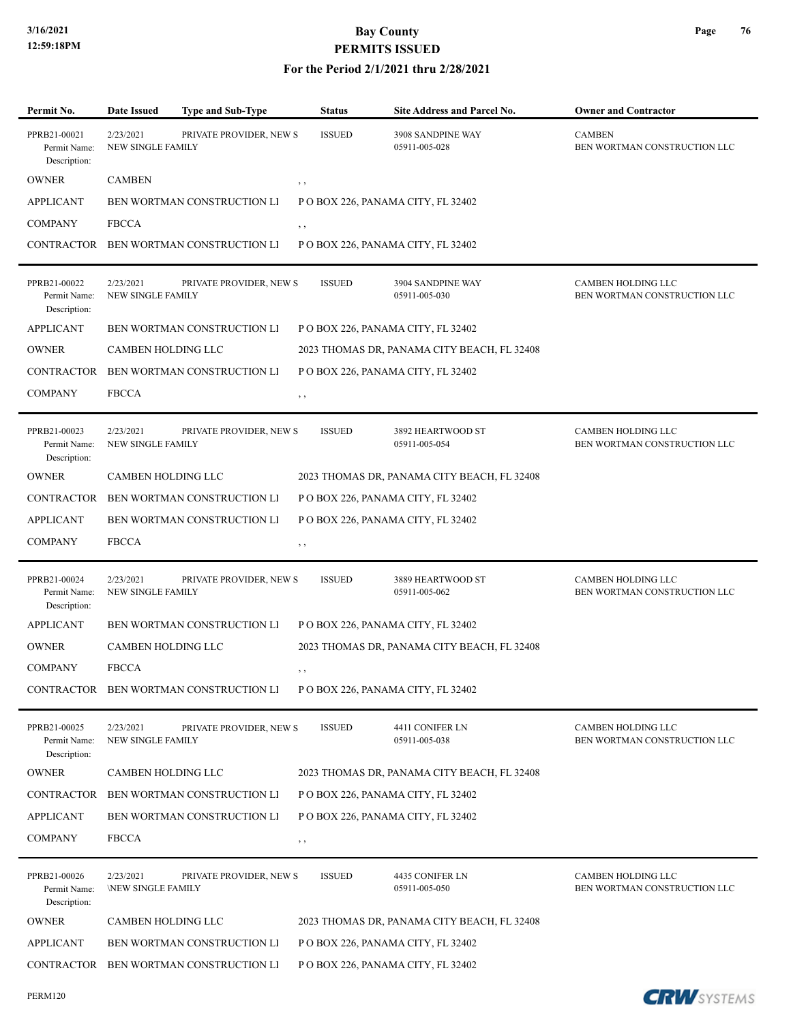| Permit No.                                   | <b>Date Issued</b>                    | Type and Sub-Type                      | <b>Status</b> | <b>Site Address and Parcel No.</b>          | <b>Owner and Contractor</b>                        |
|----------------------------------------------|---------------------------------------|----------------------------------------|---------------|---------------------------------------------|----------------------------------------------------|
| PPRB21-00021<br>Permit Name:<br>Description: | 2/23/2021<br>NEW SINGLE FAMILY        | PRIVATE PROVIDER, NEW S                | <b>ISSUED</b> | 3908 SANDPINE WAY<br>05911-005-028          | <b>CAMBEN</b><br>BEN WORTMAN CONSTRUCTION LLC      |
| <b>OWNER</b>                                 | <b>CAMBEN</b>                         |                                        | , ,           |                                             |                                                    |
| <b>APPLICANT</b>                             |                                       | BEN WORTMAN CONSTRUCTION LI            |               | P O BOX 226, PANAMA CITY, FL 32402          |                                                    |
| <b>COMPANY</b>                               | <b>FBCCA</b>                          |                                        | $, \, , \,$   |                                             |                                                    |
|                                              |                                       | CONTRACTOR BEN WORTMAN CONSTRUCTION LI |               | P O BOX 226, PANAMA CITY, FL 32402          |                                                    |
| PPRB21-00022<br>Permit Name:<br>Description: | 2/23/2021<br><b>NEW SINGLE FAMILY</b> | PRIVATE PROVIDER, NEW S                | <b>ISSUED</b> | 3904 SANDPINE WAY<br>05911-005-030          | CAMBEN HOLDING LLC<br>BEN WORTMAN CONSTRUCTION LLC |
| <b>APPLICANT</b>                             |                                       | BEN WORTMAN CONSTRUCTION LI            |               | P O BOX 226, PANAMA CITY, FL 32402          |                                                    |
| <b>OWNER</b>                                 | CAMBEN HOLDING LLC                    |                                        |               | 2023 THOMAS DR, PANAMA CITY BEACH, FL 32408 |                                                    |
| <b>CONTRACTOR</b>                            |                                       | BEN WORTMAN CONSTRUCTION LI            |               | POBOX 226, PANAMA CITY, FL 32402            |                                                    |
| <b>COMPANY</b>                               | <b>FBCCA</b>                          |                                        | , ,           |                                             |                                                    |
| PPRB21-00023<br>Permit Name:<br>Description: | 2/23/2021<br>NEW SINGLE FAMILY        | PRIVATE PROVIDER, NEW S                | <b>ISSUED</b> | 3892 HEARTWOOD ST<br>05911-005-054          | CAMBEN HOLDING LLC<br>BEN WORTMAN CONSTRUCTION LLC |
| <b>OWNER</b>                                 | CAMBEN HOLDING LLC                    |                                        |               | 2023 THOMAS DR, PANAMA CITY BEACH, FL 32408 |                                                    |
| CONTRACTOR                                   |                                       | BEN WORTMAN CONSTRUCTION LI            |               | P O BOX 226, PANAMA CITY, FL 32402          |                                                    |
| <b>APPLICANT</b>                             |                                       | BEN WORTMAN CONSTRUCTION LI            |               | P O BOX 226, PANAMA CITY, FL 32402          |                                                    |
| <b>COMPANY</b>                               | <b>FBCCA</b>                          |                                        | $, \, ,$      |                                             |                                                    |
| PPRB21-00024<br>Permit Name:<br>Description: | 2/23/2021<br><b>NEW SINGLE FAMILY</b> | PRIVATE PROVIDER, NEW S                | <b>ISSUED</b> | 3889 HEARTWOOD ST<br>05911-005-062          | CAMBEN HOLDING LLC<br>BEN WORTMAN CONSTRUCTION LLC |
| <b>APPLICANT</b>                             |                                       | BEN WORTMAN CONSTRUCTION LI            |               | P O BOX 226, PANAMA CITY, FL 32402          |                                                    |
| <b>OWNER</b>                                 | CAMBEN HOLDING LLC                    |                                        |               | 2023 THOMAS DR, PANAMA CITY BEACH, FL 32408 |                                                    |
| <b>COMPANY</b>                               | <b>FBCCA</b>                          |                                        | $, \, \cdot$  |                                             |                                                    |
|                                              |                                       | CONTRACTOR BEN WORTMAN CONSTRUCTION LI |               | P O BOX 226, PANAMA CITY, FL 32402          |                                                    |
| PPRB21-00025<br>Permit Name:<br>Description: | 2/23/2021<br>NEW SINGLE FAMILY        | PRIVATE PROVIDER, NEW S                | <b>ISSUED</b> | 4411 CONIFER LN<br>05911-005-038            | CAMBEN HOLDING LLC<br>BEN WORTMAN CONSTRUCTION LLC |
| <b>OWNER</b>                                 | CAMBEN HOLDING LLC                    |                                        |               | 2023 THOMAS DR, PANAMA CITY BEACH, FL 32408 |                                                    |
| <b>CONTRACTOR</b>                            |                                       | BEN WORTMAN CONSTRUCTION LI            |               | P O BOX 226, PANAMA CITY, FL 32402          |                                                    |
| <b>APPLICANT</b>                             |                                       | BEN WORTMAN CONSTRUCTION LI            |               | P O BOX 226, PANAMA CITY, FL 32402          |                                                    |
| <b>COMPANY</b>                               | <b>FBCCA</b>                          |                                        | , ,           |                                             |                                                    |
| PPRB21-00026<br>Permit Name:<br>Description: | 2/23/2021<br><b>NEW SINGLE FAMILY</b> | PRIVATE PROVIDER, NEW S                | <b>ISSUED</b> | 4435 CONIFER LN<br>05911-005-050            | CAMBEN HOLDING LLC<br>BEN WORTMAN CONSTRUCTION LLC |
| <b>OWNER</b>                                 | CAMBEN HOLDING LLC                    |                                        |               | 2023 THOMAS DR, PANAMA CITY BEACH, FL 32408 |                                                    |
| <b>APPLICANT</b>                             |                                       | BEN WORTMAN CONSTRUCTION LI            |               | P O BOX 226, PANAMA CITY, FL 32402          |                                                    |
| CONTRACTOR                                   |                                       | BEN WORTMAN CONSTRUCTION LI            |               | P O BOX 226, PANAMA CITY, FL 32402          |                                                    |

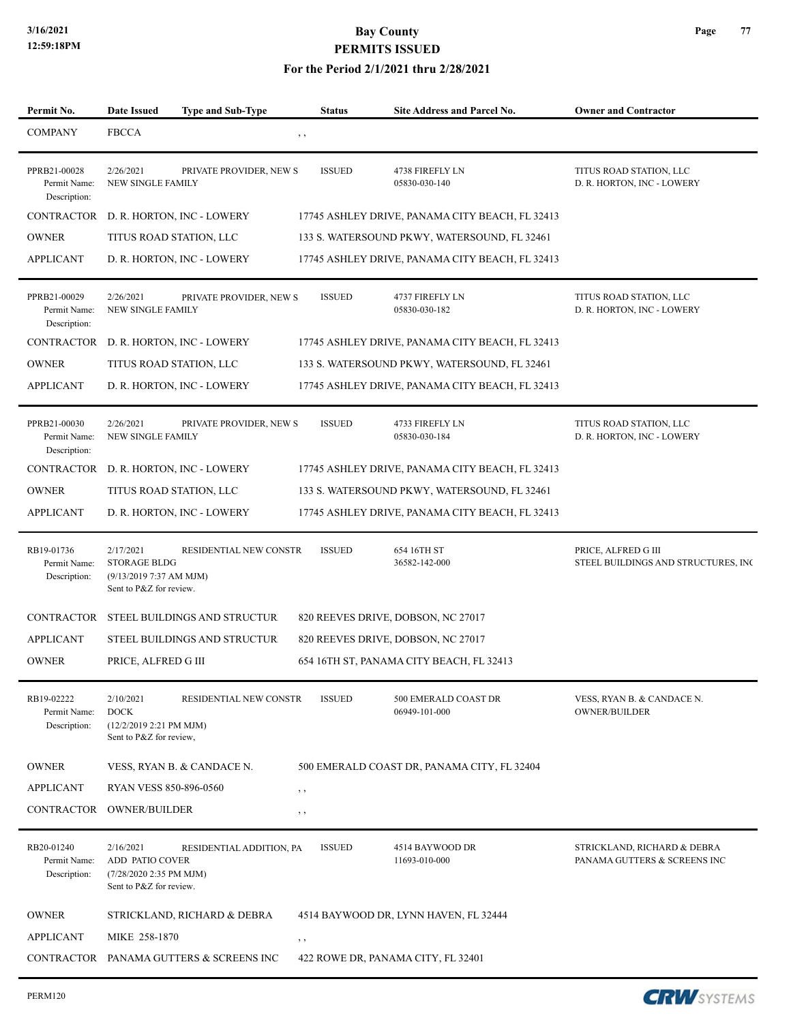#### **For the Period 2/1/2021 thru 2/28/2021**

| Permit No.                                   | <b>Date Issued</b>                                                                    | <b>Type and Sub-Type</b>                | <b>Status</b> | Site Address and Parcel No.                     | <b>Owner and Contractor</b>                                 |
|----------------------------------------------|---------------------------------------------------------------------------------------|-----------------------------------------|---------------|-------------------------------------------------|-------------------------------------------------------------|
| <b>COMPANY</b>                               | <b>FBCCA</b>                                                                          |                                         | $, \, \,$     |                                                 |                                                             |
| PPRB21-00028<br>Permit Name:<br>Description: | 2/26/2021<br><b>NEW SINGLE FAMILY</b>                                                 | PRIVATE PROVIDER, NEW S                 | <b>ISSUED</b> | 4738 FIREFLY LN<br>05830-030-140                | TITUS ROAD STATION, LLC<br>D. R. HORTON, INC - LOWERY       |
| <b>CONTRACTOR</b>                            |                                                                                       | D. R. HORTON, INC - LOWERY              |               | 17745 ASHLEY DRIVE, PANAMA CITY BEACH, FL 32413 |                                                             |
| <b>OWNER</b>                                 |                                                                                       | TITUS ROAD STATION, LLC                 |               | 133 S. WATERSOUND PKWY, WATERSOUND, FL 32461    |                                                             |
| <b>APPLICANT</b>                             |                                                                                       | D. R. HORTON, INC - LOWERY              |               | 17745 ASHLEY DRIVE, PANAMA CITY BEACH, FL 32413 |                                                             |
| PPRB21-00029<br>Permit Name:<br>Description: | 2/26/2021<br><b>NEW SINGLE FAMILY</b>                                                 | PRIVATE PROVIDER, NEW S                 | <b>ISSUED</b> | 4737 FIREFLY LN<br>05830-030-182                | TITUS ROAD STATION, LLC<br>D. R. HORTON, INC - LOWERY       |
| CONTRACTOR                                   |                                                                                       | D. R. HORTON, INC - LOWERY              |               | 17745 ASHLEY DRIVE, PANAMA CITY BEACH, FL 32413 |                                                             |
| <b>OWNER</b>                                 |                                                                                       | TITUS ROAD STATION, LLC                 |               | 133 S. WATERSOUND PKWY, WATERSOUND, FL 32461    |                                                             |
| <b>APPLICANT</b>                             |                                                                                       | D. R. HORTON, INC - LOWERY              |               | 17745 ASHLEY DRIVE, PANAMA CITY BEACH, FL 32413 |                                                             |
| PPRB21-00030<br>Permit Name:<br>Description: | 2/26/2021<br>NEW SINGLE FAMILY                                                        | PRIVATE PROVIDER, NEW S                 | <b>ISSUED</b> | 4733 FIREFLY LN<br>05830-030-184                | TITUS ROAD STATION, LLC<br>D. R. HORTON, INC - LOWERY       |
|                                              |                                                                                       | CONTRACTOR D. R. HORTON, INC - LOWERY   |               | 17745 ASHLEY DRIVE, PANAMA CITY BEACH, FL 32413 |                                                             |
| <b>OWNER</b>                                 |                                                                                       | TITUS ROAD STATION, LLC                 |               | 133 S. WATERSOUND PKWY, WATERSOUND, FL 32461    |                                                             |
| <b>APPLICANT</b>                             |                                                                                       | D. R. HORTON, INC - LOWERY              |               | 17745 ASHLEY DRIVE, PANAMA CITY BEACH, FL 32413 |                                                             |
| RB19-01736<br>Permit Name:<br>Description:   | 2/17/2021<br><b>STORAGE BLDG</b><br>(9/13/20197:37 AM MJM)<br>Sent to P&Z for review. | RESIDENTIAL NEW CONSTR                  | <b>ISSUED</b> | 654 16TH ST<br>36582-142-000                    | PRICE, ALFRED G III<br>STEEL BUILDINGS AND STRUCTURES, INC  |
| CONTRACTOR                                   |                                                                                       | STEEL BUILDINGS AND STRUCTUR            |               | 820 REEVES DRIVE, DOBSON, NC 27017              |                                                             |
| <b>APPLICANT</b>                             |                                                                                       | STEEL BUILDINGS AND STRUCTUR            |               | 820 REEVES DRIVE, DOBSON, NC 27017              |                                                             |
| <b>OWNER</b>                                 | PRICE, ALFRED G III                                                                   |                                         |               | 654 16TH ST, PANAMA CITY BEACH, FL 32413        |                                                             |
| RB19-02222<br>Permit Name:<br>Description:   | 2/10/2021<br><b>DOCK</b><br>(12/2/2019 2:21 PM MJM)<br>Sent to P&Z for review,        | RESIDENTIAL NEW CONSTR                  | <b>ISSUED</b> | 500 EMERALD COAST DR<br>06949-101-000           | VESS, RYAN B. & CANDACE N.<br><b>OWNER/BUILDER</b>          |
| <b>OWNER</b>                                 |                                                                                       | VESS, RYAN B. & CANDACE N.              |               | 500 EMERALD COAST DR, PANAMA CITY, FL 32404     |                                                             |
| <b>APPLICANT</b>                             | RYAN VESS 850-896-0560                                                                |                                         | $, \, \cdot$  |                                                 |                                                             |
| CONTRACTOR                                   | <b>OWNER/BUILDER</b>                                                                  |                                         | , ,           |                                                 |                                                             |
| RB20-01240<br>Permit Name:<br>Description:   | 2/16/2021<br>ADD PATIO COVER<br>(7/28/2020 2:35 PM MJM)<br>Sent to P&Z for review.    | RESIDENTIAL ADDITION, PA                | <b>ISSUED</b> | 4514 BAYWOOD DR<br>11693-010-000                | STRICKLAND, RICHARD & DEBRA<br>PANAMA GUTTERS & SCREENS INC |
| <b>OWNER</b>                                 |                                                                                       | STRICKLAND, RICHARD & DEBRA             |               | 4514 BAYWOOD DR, LYNN HAVEN, FL 32444           |                                                             |
| <b>APPLICANT</b>                             | MIKE 258-1870                                                                         |                                         | $, \, \cdot$  |                                                 |                                                             |
|                                              |                                                                                       | CONTRACTOR PANAMA GUTTERS & SCREENS INC |               | 422 ROWE DR, PANAMA CITY, FL 32401              |                                                             |

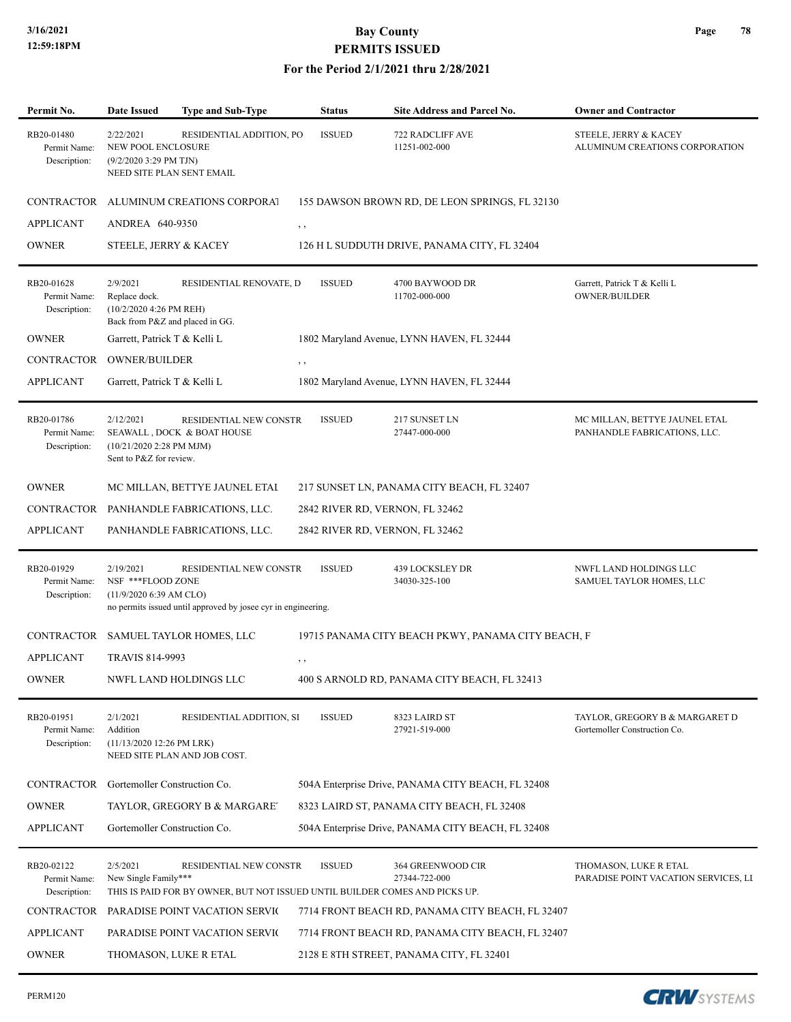#### **For the Period 2/1/2021 thru 2/28/2021**

| Permit No.                                 | <b>Date Issued</b>                                                                      | <b>Type and Sub-Type</b>                                                                              | <b>Status</b>                   | Site Address and Parcel No.                        | <b>Owner and Contractor</b>                                    |
|--------------------------------------------|-----------------------------------------------------------------------------------------|-------------------------------------------------------------------------------------------------------|---------------------------------|----------------------------------------------------|----------------------------------------------------------------|
| RB20-01480<br>Permit Name:<br>Description: | 2/22/2021<br>NEW POOL ENCLOSURE<br>$(9/2/20203:29$ PM TJN)<br>NEED SITE PLAN SENT EMAIL | RESIDENTIAL ADDITION, PO                                                                              | <b>ISSUED</b>                   | 722 RADCLIFF AVE<br>11251-002-000                  | STEELE, JERRY & KACEY<br>ALUMINUM CREATIONS CORPORATION        |
| CONTRACTOR                                 |                                                                                         | ALUMINUM CREATIONS CORPORAT                                                                           |                                 | 155 DAWSON BROWN RD, DE LEON SPRINGS, FL 32130     |                                                                |
| <b>APPLICANT</b>                           | ANDREA 640-9350                                                                         |                                                                                                       | $, \, , \,$                     |                                                    |                                                                |
| <b>OWNER</b>                               | STEELE, JERRY & KACEY                                                                   |                                                                                                       |                                 | 126 H L SUDDUTH DRIVE, PANAMA CITY, FL 32404       |                                                                |
| RB20-01628<br>Permit Name:<br>Description: | 2/9/2021<br>Replace dock.<br>(10/2/2020 4:26 PM REH)<br>Back from P&Z and placed in GG. | RESIDENTIAL RENOVATE, D                                                                               | <b>ISSUED</b>                   | 4700 BAYWOOD DR<br>11702-000-000                   | Garrett, Patrick T & Kelli L<br><b>OWNER/BUILDER</b>           |
| <b>OWNER</b>                               | Garrett, Patrick T & Kelli L                                                            |                                                                                                       |                                 | 1802 Maryland Avenue, LYNN HAVEN, FL 32444         |                                                                |
| CONTRACTOR                                 | <b>OWNER/BUILDER</b>                                                                    |                                                                                                       | $, \, , \,$                     |                                                    |                                                                |
| <b>APPLICANT</b>                           | Garrett, Patrick T & Kelli L                                                            |                                                                                                       |                                 | 1802 Maryland Avenue, LYNN HAVEN, FL 32444         |                                                                |
| RB20-01786<br>Permit Name:<br>Description: | 2/12/2021<br>(10/21/2020 2:28 PM MJM)<br>Sent to P&Z for review.                        | RESIDENTIAL NEW CONSTR<br>SEAWALL, DOCK & BOAT HOUSE                                                  | <b>ISSUED</b>                   | 217 SUNSET LN<br>27447-000-000                     | MC MILLAN, BETTYE JAUNEL ETAL<br>PANHANDLE FABRICATIONS, LLC.  |
| <b>OWNER</b>                               |                                                                                         | MC MILLAN, BETTYE JAUNEL ETAI                                                                         |                                 | 217 SUNSET LN, PANAMA CITY BEACH, FL 32407         |                                                                |
| CONTRACTOR                                 |                                                                                         | PANHANDLE FABRICATIONS, LLC.                                                                          | 2842 RIVER RD, VERNON, FL 32462 |                                                    |                                                                |
| <b>APPLICANT</b>                           |                                                                                         | PANHANDLE FABRICATIONS, LLC.                                                                          | 2842 RIVER RD, VERNON, FL 32462 |                                                    |                                                                |
| RB20-01929<br>Permit Name:<br>Description: | 2/19/2021<br>NSF *** FLOOD ZONE<br>$(11/9/2020 6:39$ AM CLO)                            | RESIDENTIAL NEW CONSTR<br>no permits issued until approved by josee cyr in engineering.               | <b>ISSUED</b>                   | 439 LOCKSLEY DR<br>34030-325-100                   | NWFL LAND HOLDINGS LLC<br>SAMUEL TAYLOR HOMES, LLC             |
| CONTRACTOR                                 |                                                                                         | SAMUEL TAYLOR HOMES, LLC                                                                              |                                 | 19715 PANAMA CITY BEACH PKWY, PANAMA CITY BEACH, F |                                                                |
| <b>APPLICANT</b>                           | <b>TRAVIS 814-9993</b>                                                                  |                                                                                                       | , ,                             |                                                    |                                                                |
| <b>OWNER</b>                               |                                                                                         | NWFL LAND HOLDINGS LLC                                                                                |                                 | 400 S ARNOLD RD, PANAMA CITY BEACH, FL 32413       |                                                                |
| RB20-01951<br>Permit Name:<br>Description: | 2/1/2021<br>Addition<br>(11/13/2020 12:26 PM LRK)                                       | RESIDENTIAL ADDITION, SI<br>NEED SITE PLAN AND JOB COST.                                              | <b>ISSUED</b>                   | 8323 LAIRD ST<br>27921-519-000                     | TAYLOR, GREGORY B & MARGARET D<br>Gortemoller Construction Co. |
| CONTRACTOR                                 | Gortemoller Construction Co.                                                            |                                                                                                       |                                 | 504A Enterprise Drive, PANAMA CITY BEACH, FL 32408 |                                                                |
| <b>OWNER</b>                               |                                                                                         | TAYLOR, GREGORY B & MARGARET                                                                          |                                 | 8323 LAIRD ST, PANAMA CITY BEACH, FL 32408         |                                                                |
| <b>APPLICANT</b>                           | Gortemoller Construction Co.                                                            |                                                                                                       |                                 | 504A Enterprise Drive, PANAMA CITY BEACH, FL 32408 |                                                                |
| RB20-02122<br>Permit Name:<br>Description: | 2/5/2021<br>New Single Family***                                                        | RESIDENTIAL NEW CONSTR<br>THIS IS PAID FOR BY OWNER, BUT NOT ISSUED UNTIL BUILDER COMES AND PICKS UP. | <b>ISSUED</b>                   | 364 GREENWOOD CIR<br>27344-722-000                 | THOMASON, LUKE R ETAL<br>PARADISE POINT VACATION SERVICES, LI  |
| CONTRACTOR                                 |                                                                                         | PARADISE POINT VACATION SERVIC                                                                        |                                 | 7714 FRONT BEACH RD, PANAMA CITY BEACH, FL 32407   |                                                                |
| <b>APPLICANT</b>                           |                                                                                         | PARADISE POINT VACATION SERVIC                                                                        |                                 | 7714 FRONT BEACH RD, PANAMA CITY BEACH, FL 32407   |                                                                |
| <b>OWNER</b>                               | THOMASON, LUKE R ETAL                                                                   |                                                                                                       |                                 | 2128 E 8TH STREET, PANAMA CITY, FL 32401           |                                                                |

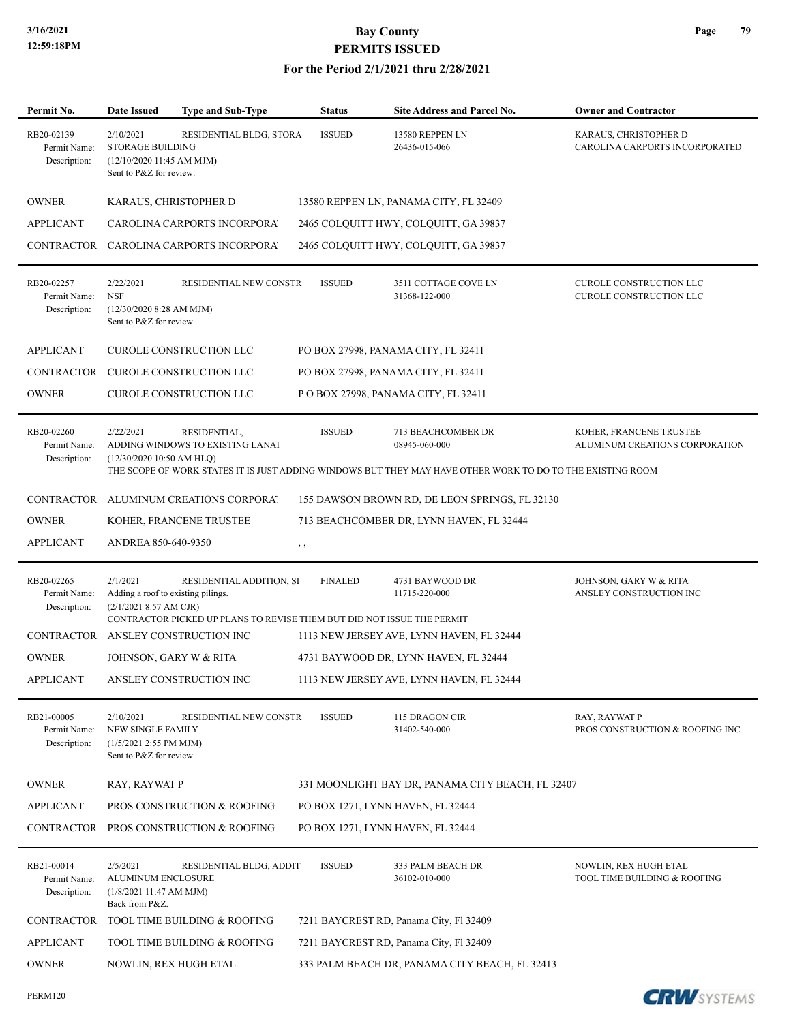| Permit No.                                 | <b>Date Issued</b>                                                                           | Type and Sub-Type                                                                                  | <b>Status</b>  | Site Address and Parcel No.                                                                                                                       | <b>Owner and Contractor</b>                               |
|--------------------------------------------|----------------------------------------------------------------------------------------------|----------------------------------------------------------------------------------------------------|----------------|---------------------------------------------------------------------------------------------------------------------------------------------------|-----------------------------------------------------------|
| RB20-02139<br>Permit Name:<br>Description: | 2/10/2021<br><b>STORAGE BUILDING</b><br>(12/10/2020 11:45 AM MJM)<br>Sent to P&Z for review. | RESIDENTIAL BLDG, STORA                                                                            | <b>ISSUED</b>  | 13580 REPPEN LN<br>26436-015-066                                                                                                                  | KARAUS, CHRISTOPHER D<br>CAROLINA CARPORTS INCORPORATED   |
| <b>OWNER</b>                               | KARAUS, CHRISTOPHER D                                                                        |                                                                                                    |                | 13580 REPPEN LN, PANAMA CITY, FL 32409                                                                                                            |                                                           |
| <b>APPLICANT</b>                           |                                                                                              | CAROLINA CARPORTS INCORPORA                                                                        |                | 2465 COLQUITT HWY, COLQUITT, GA 39837                                                                                                             |                                                           |
|                                            |                                                                                              | CONTRACTOR CAROLINA CARPORTS INCORPORA                                                             |                | 2465 COLQUITT HWY, COLQUITT, GA 39837                                                                                                             |                                                           |
| RB20-02257<br>Permit Name:<br>Description: | 2/22/2021<br><b>NSF</b><br>(12/30/2020 8:28 AM MJM)<br>Sent to P&Z for review.               | RESIDENTIAL NEW CONSTR                                                                             | <b>ISSUED</b>  | 3511 COTTAGE COVE LN<br>31368-122-000                                                                                                             | CUROLE CONSTRUCTION LLC<br>CUROLE CONSTRUCTION LLC        |
| <b>APPLICANT</b>                           |                                                                                              | CUROLE CONSTRUCTION LLC                                                                            |                | PO BOX 27998, PANAMA CITY, FL 32411                                                                                                               |                                                           |
| <b>CONTRACTOR</b>                          |                                                                                              | CUROLE CONSTRUCTION LLC                                                                            |                | PO BOX 27998, PANAMA CITY, FL 32411                                                                                                               |                                                           |
| <b>OWNER</b>                               |                                                                                              | CUROLE CONSTRUCTION LLC                                                                            |                | P O BOX 27998, PANAMA CITY, FL 32411                                                                                                              |                                                           |
| RB20-02260<br>Permit Name:<br>Description: | 2/22/2021<br>$(12/30/202010:50$ AM HLQ)                                                      | RESIDENTIAL,<br>ADDING WINDOWS TO EXISTING LANAI                                                   | <b>ISSUED</b>  | 713 BEACHCOMBER DR<br>08945-060-000<br>THE SCOPE OF WORK STATES IT IS JUST ADDING WINDOWS BUT THEY MAY HAVE OTHER WORK TO DO TO THE EXISTING ROOM | KOHER, FRANCENE TRUSTEE<br>ALUMINUM CREATIONS CORPORATION |
|                                            |                                                                                              | CONTRACTOR ALUMINUM CREATIONS CORPORAT                                                             |                | 155 DAWSON BROWN RD, DE LEON SPRINGS, FL 32130                                                                                                    |                                                           |
| <b>OWNER</b>                               |                                                                                              | KOHER, FRANCENE TRUSTEE                                                                            |                | 713 BEACHCOMBER DR, LYNN HAVEN, FL 32444                                                                                                          |                                                           |
| <b>APPLICANT</b>                           | ANDREA 850-640-9350                                                                          |                                                                                                    | , ,            |                                                                                                                                                   |                                                           |
| RB20-02265<br>Permit Name:<br>Description: | 2/1/2021<br>Adding a roof to existing pilings.<br>(2/1/2021 8:57 AM CJR)                     | RESIDENTIAL ADDITION, SI<br>CONTRACTOR PICKED UP PLANS TO REVISE THEM BUT DID NOT ISSUE THE PERMIT | <b>FINALED</b> | 4731 BAYWOOD DR<br>11715-220-000                                                                                                                  | JOHNSON, GARY W & RITA<br>ANSLEY CONSTRUCTION INC         |
| <b>CONTRACTOR</b>                          |                                                                                              | ANSLEY CONSTRUCTION INC                                                                            |                | 1113 NEW JERSEY AVE, LYNN HAVEN, FL 32444                                                                                                         |                                                           |
| <b>OWNER</b>                               | JOHNSON, GARY W & RITA                                                                       |                                                                                                    |                | 4731 BAYWOOD DR, LYNN HAVEN, FL 32444                                                                                                             |                                                           |
| <b>APPLICANT</b>                           |                                                                                              | ANSLEY CONSTRUCTION INC                                                                            |                | 1113 NEW JERSEY AVE, LYNN HAVEN, FL 32444                                                                                                         |                                                           |
| RB21-00005<br>Permit Name:<br>Description: | 2/10/2021<br><b>NEW SINGLE FAMILY</b><br>(1/5/2021 2:55 PM MJM)<br>Sent to P&Z for review.   | RESIDENTIAL NEW CONSTR                                                                             | <b>ISSUED</b>  | 115 DRAGON CIR<br>31402-540-000                                                                                                                   | RAY, RAYWAT P<br>PROS CONSTRUCTION & ROOFING INC          |
| <b>OWNER</b>                               | RAY, RAYWAT P                                                                                |                                                                                                    |                | 331 MOONLIGHT BAY DR, PANAMA CITY BEACH, FL 32407                                                                                                 |                                                           |
| <b>APPLICANT</b>                           |                                                                                              | PROS CONSTRUCTION & ROOFING                                                                        |                | PO BOX 1271, LYNN HAVEN, FL 32444                                                                                                                 |                                                           |
| <b>CONTRACTOR</b>                          |                                                                                              | PROS CONSTRUCTION & ROOFING                                                                        |                | PO BOX 1271, LYNN HAVEN, FL 32444                                                                                                                 |                                                           |
| RB21-00014<br>Permit Name:<br>Description: | 2/5/2021<br>ALUMINUM ENCLOSURE<br>(1/8/202111:47 AM MJM)<br>Back from P&Z.                   | RESIDENTIAL BLDG, ADDIT                                                                            | <b>ISSUED</b>  | 333 PALM BEACH DR<br>36102-010-000                                                                                                                | NOWLIN, REX HUGH ETAL<br>TOOL TIME BUILDING & ROOFING     |
| <b>CONTRACTOR</b>                          |                                                                                              | TOOL TIME BUILDING & ROOFING                                                                       |                | 7211 BAYCREST RD, Panama City, Fl 32409                                                                                                           |                                                           |
| <b>APPLICANT</b>                           |                                                                                              | TOOL TIME BUILDING & ROOFING                                                                       |                | 7211 BAYCREST RD, Panama City, Fl 32409                                                                                                           |                                                           |
| <b>OWNER</b>                               | NOWLIN, REX HUGH ETAL                                                                        |                                                                                                    |                | 333 PALM BEACH DR, PANAMA CITY BEACH, FL 32413                                                                                                    |                                                           |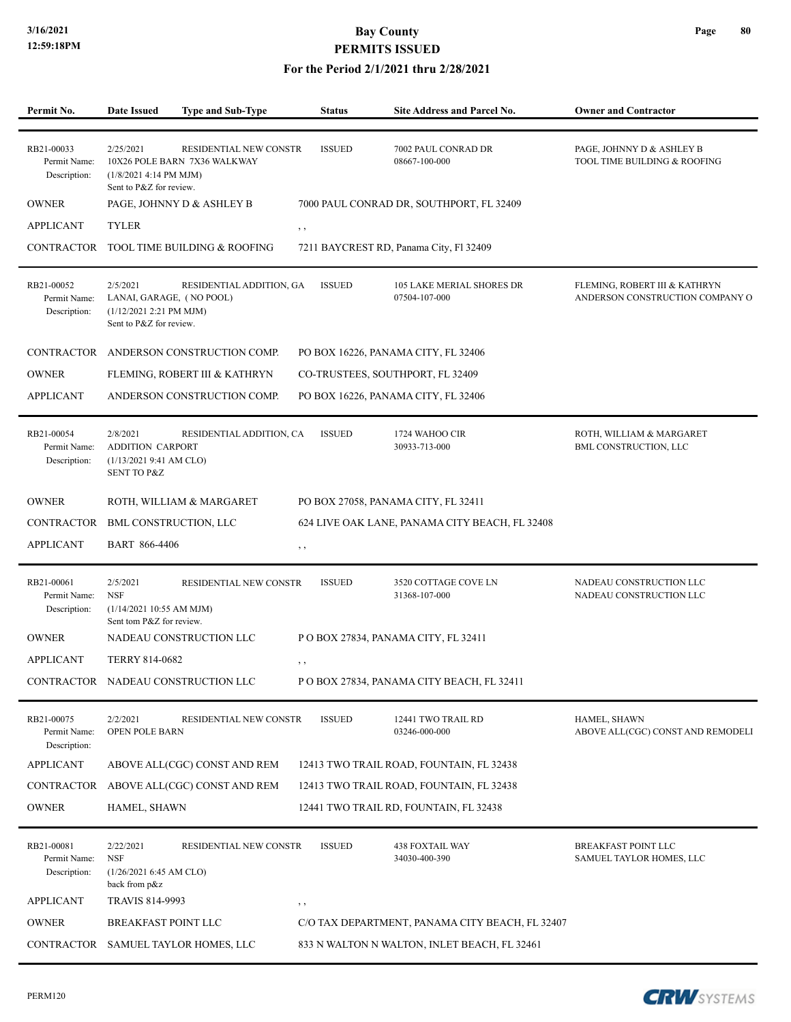#### **For the Period 2/1/2021 thru 2/28/2021**

| Permit No.                                 | <b>Date Issued</b>                                                                         | <b>Type and Sub-Type</b>                               | <b>Status</b> | Site Address and Parcel No.                       | <b>Owner and Contractor</b>                                      |
|--------------------------------------------|--------------------------------------------------------------------------------------------|--------------------------------------------------------|---------------|---------------------------------------------------|------------------------------------------------------------------|
|                                            |                                                                                            |                                                        |               |                                                   |                                                                  |
| RB21-00033<br>Permit Name:<br>Description: | 2/25/2021<br>(1/8/2021 4:14 PM MJM)<br>Sent to P&Z for review.                             | RESIDENTIAL NEW CONSTR<br>10X26 POLE BARN 7X36 WALKWAY | <b>ISSUED</b> | 7002 PAUL CONRAD DR<br>08667-100-000              | PAGE, JOHNNY D & ASHLEY B<br>TOOL TIME BUILDING & ROOFING        |
| <b>OWNER</b>                               |                                                                                            | PAGE, JOHNNY D & ASHLEY B                              |               | 7000 PAUL CONRAD DR, SOUTHPORT, FL 32409          |                                                                  |
| <b>APPLICANT</b>                           | <b>TYLER</b>                                                                               |                                                        | $, \, \cdot$  |                                                   |                                                                  |
|                                            |                                                                                            | CONTRACTOR TOOL TIME BUILDING & ROOFING                |               | 7211 BAYCREST RD, Panama City, Fl 32409           |                                                                  |
| RB21-00052<br>Permit Name:<br>Description: | 2/5/2021<br>LANAI, GARAGE, (NO POOL)<br>(1/12/2021 2:21 PM MJM)<br>Sent to P&Z for review. | RESIDENTIAL ADDITION, GA                               | <b>ISSUED</b> | <b>105 LAKE MERIAL SHORES DR</b><br>07504-107-000 | FLEMING, ROBERT III & KATHRYN<br>ANDERSON CONSTRUCTION COMPANY O |
|                                            |                                                                                            | CONTRACTOR ANDERSON CONSTRUCTION COMP.                 |               | PO BOX 16226, PANAMA CITY, FL 32406               |                                                                  |
| <b>OWNER</b>                               |                                                                                            | FLEMING, ROBERT III & KATHRYN                          |               | CO-TRUSTEES, SOUTHPORT, FL 32409                  |                                                                  |
| <b>APPLICANT</b>                           |                                                                                            | ANDERSON CONSTRUCTION COMP.                            |               | PO BOX 16226, PANAMA CITY, FL 32406               |                                                                  |
| RB21-00054<br>Permit Name:<br>Description: | 2/8/2021<br><b>ADDITION CARPORT</b><br>(1/13/20219:41 AM CLO)<br><b>SENT TO P&amp;Z</b>    | RESIDENTIAL ADDITION, CA                               | <b>ISSUED</b> | 1724 WAHOO CIR<br>30933-713-000                   | ROTH, WILLIAM & MARGARET<br>BML CONSTRUCTION, LLC                |
| <b>OWNER</b>                               |                                                                                            | ROTH, WILLIAM & MARGARET                               |               | PO BOX 27058, PANAMA CITY, FL 32411               |                                                                  |
| CONTRACTOR BML CONSTRUCTION, LLC           |                                                                                            |                                                        |               | 624 LIVE OAK LANE, PANAMA CITY BEACH, FL 32408    |                                                                  |
| <b>APPLICANT</b>                           | BART 866-4406                                                                              |                                                        | $, \, ,$      |                                                   |                                                                  |
| RB21-00061<br>Permit Name:<br>Description: | 2/5/2021<br><b>NSF</b><br>(1/14/2021 10:55 AM MJM)<br>Sent tom P&Z for review.             | RESIDENTIAL NEW CONSTR                                 | <b>ISSUED</b> | 3520 COTTAGE COVE LN<br>31368-107-000             | NADEAU CONSTRUCTION LLC<br>NADEAU CONSTRUCTION LLC               |
| <b>OWNER</b>                               |                                                                                            | NADEAU CONSTRUCTION LLC                                |               | POBOX 27834, PANAMA CITY, FL 32411                |                                                                  |
| <b>APPLICANT</b>                           | TERRY 814-0682                                                                             |                                                        | $, \, \cdot$  |                                                   |                                                                  |
|                                            |                                                                                            | CONTRACTOR NADEAU CONSTRUCTION LLC                     |               | P O BOX 27834, PANAMA CITY BEACH, FL 32411        |                                                                  |
| RB21-00075<br>Permit Name:<br>Description: | 2/2/2021<br>OPEN POLE BARN                                                                 | RESIDENTIAL NEW CONSTR                                 | <b>ISSUED</b> | 12441 TWO TRAIL RD<br>03246-000-000               | HAMEL, SHAWN<br>ABOVE ALL(CGC) CONST AND REMODELI                |
| <b>APPLICANT</b>                           |                                                                                            | ABOVE ALL(CGC) CONST AND REM                           |               | 12413 TWO TRAIL ROAD, FOUNTAIN, FL 32438          |                                                                  |
|                                            |                                                                                            | CONTRACTOR ABOVE ALL(CGC) CONST AND REM                |               | 12413 TWO TRAIL ROAD, FOUNTAIN, FL 32438          |                                                                  |
| <b>OWNER</b>                               | HAMEL, SHAWN                                                                               |                                                        |               | 12441 TWO TRAIL RD, FOUNTAIN, FL 32438            |                                                                  |
| RB21-00081<br>Permit Name:<br>Description: | 2/22/2021<br><b>NSF</b><br>(1/26/20216:45 AM CLO)<br>back from p&z                         | RESIDENTIAL NEW CONSTR                                 | <b>ISSUED</b> | <b>438 FOXTAIL WAY</b><br>34030-400-390           | <b>BREAKFAST POINT LLC</b><br>SAMUEL TAYLOR HOMES, LLC           |
| <b>APPLICANT</b>                           | TRAVIS 814-9993                                                                            |                                                        | $, \, ,$      |                                                   |                                                                  |
| <b>OWNER</b>                               | <b>BREAKFAST POINT LLC</b>                                                                 |                                                        |               | C/O TAX DEPARTMENT, PANAMA CITY BEACH, FL 32407   |                                                                  |
|                                            |                                                                                            | CONTRACTOR SAMUEL TAYLOR HOMES, LLC                    |               | 833 N WALTON N WALTON, INLET BEACH, FL 32461      |                                                                  |

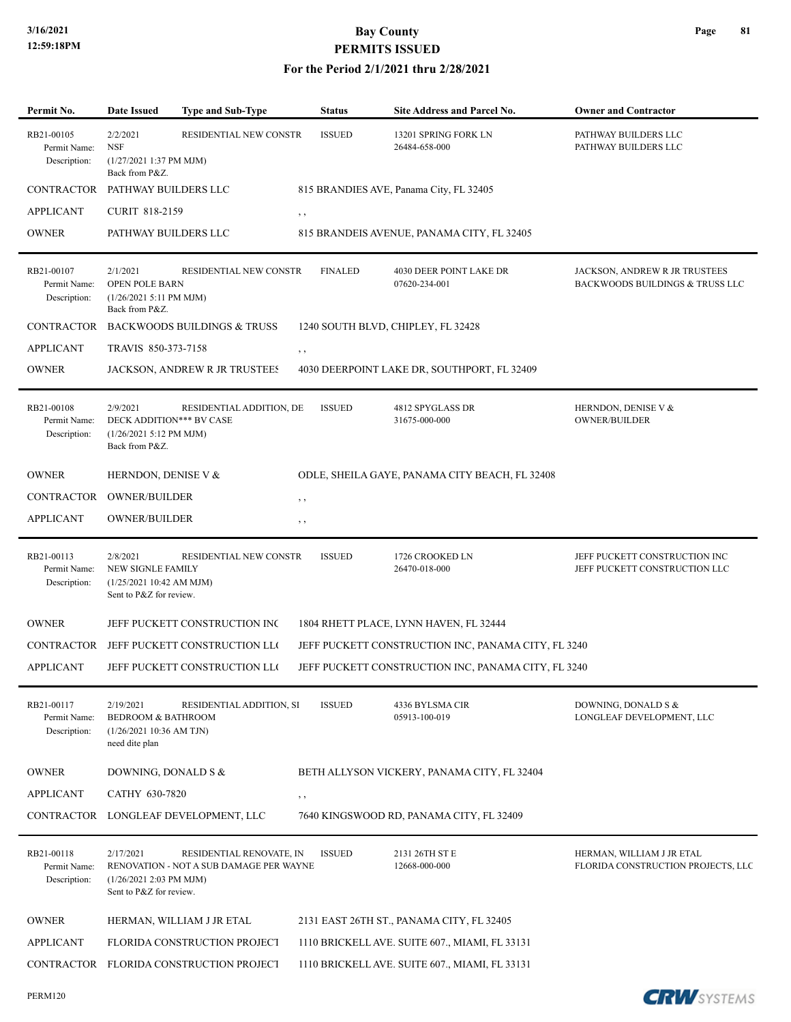PERM120

# **3/16/2021 Bay County PERMITS ISSUED**

| Permit No.                                 | <b>Date Issued</b>                                                                       | <b>Type and Sub-Type</b>                                            | <b>Status</b>  | <b>Site Address and Parcel No.</b>                  | <b>Owner and Contractor</b>                                      |
|--------------------------------------------|------------------------------------------------------------------------------------------|---------------------------------------------------------------------|----------------|-----------------------------------------------------|------------------------------------------------------------------|
| RB21-00105<br>Permit Name:<br>Description: | 2/2/2021<br><b>NSF</b><br>$(1/27/20211:37$ PM MJM)<br>Back from P&Z.                     | RESIDENTIAL NEW CONSTR                                              | <b>ISSUED</b>  | 13201 SPRING FORK LN<br>26484-658-000               | PATHWAY BUILDERS LLC<br>PATHWAY BUILDERS LLC                     |
| CONTRACTOR PATHWAY BUILDERS LLC            |                                                                                          |                                                                     |                | 815 BRANDIES AVE, Panama City, FL 32405             |                                                                  |
| <b>APPLICANT</b>                           | <b>CURIT 818-2159</b>                                                                    | $, \, , \,$                                                         |                |                                                     |                                                                  |
| <b>OWNER</b>                               | PATHWAY BUILDERS LLC                                                                     |                                                                     |                | 815 BRANDEIS AVENUE, PANAMA CITY, FL 32405          |                                                                  |
| RB21-00107<br>Permit Name:<br>Description: | 2/1/2021<br>OPEN POLE BARN<br>$(1/26/20215:11$ PM MJM)<br>Back from P&Z.                 | RESIDENTIAL NEW CONSTR                                              | <b>FINALED</b> | 4030 DEER POINT LAKE DR<br>07620-234-001            | JACKSON, ANDREW R JR TRUSTEES<br>BACKWOODS BUILDINGS & TRUSS LLC |
|                                            |                                                                                          | CONTRACTOR BACKWOODS BUILDINGS & TRUSS                              |                | 1240 SOUTH BLVD, CHIPLEY, FL 32428                  |                                                                  |
| <b>APPLICANT</b>                           | TRAVIS 850-373-7158                                                                      | , ,                                                                 |                |                                                     |                                                                  |
| <b>OWNER</b>                               |                                                                                          | JACKSON, ANDREW R JR TRUSTEES                                       |                | 4030 DEERPOINT LAKE DR, SOUTHPORT, FL 32409         |                                                                  |
| RB21-00108<br>Permit Name:<br>Description: | 2/9/2021<br>DECK ADDITION*** BV CASE<br>$(1/26/20215:12$ PM MJM)<br>Back from P&Z.       | RESIDENTIAL ADDITION, DE                                            | <b>ISSUED</b>  | 4812 SPYGLASS DR<br>31675-000-000                   | HERNDON, DENISE V &<br><b>OWNER/BUILDER</b>                      |
| <b>OWNER</b>                               | HERNDON, DENISE V &                                                                      |                                                                     |                | ODLE, SHEILA GAYE, PANAMA CITY BEACH, FL 32408      |                                                                  |
| CONTRACTOR OWNER/BUILDER                   |                                                                                          | , ,                                                                 |                |                                                     |                                                                  |
| <b>APPLICANT</b>                           | OWNER/BUILDER                                                                            | , ,                                                                 |                |                                                     |                                                                  |
| RB21-00113<br>Permit Name:<br>Description: | 2/8/2021<br>NEW SIGNLE FAMILY<br>(1/25/202110:42 AM MJM)<br>Sent to P&Z for review.      | RESIDENTIAL NEW CONSTR                                              | <b>ISSUED</b>  | 1726 CROOKED LN<br>26470-018-000                    | JEFF PUCKETT CONSTRUCTION INC<br>JEFF PUCKETT CONSTRUCTION LLC   |
| <b>OWNER</b>                               |                                                                                          | JEFF PUCKETT CONSTRUCTION INC                                       |                | 1804 RHETT PLACE, LYNN HAVEN, FL 32444              |                                                                  |
|                                            |                                                                                          | CONTRACTOR JEFF PUCKETT CONSTRUCTION LLO                            |                | JEFF PUCKETT CONSTRUCTION INC, PANAMA CITY, FL 3240 |                                                                  |
| <b>APPLICANT</b>                           |                                                                                          | JEFF PUCKETT CONSTRUCTION LLO                                       |                | JEFF PUCKETT CONSTRUCTION INC, PANAMA CITY, FL 3240 |                                                                  |
| RB21-00117<br>Permit Name:<br>Description: | 2/19/2021<br><b>BEDROOM &amp; BATHROOM</b><br>(1/26/2021 10:36 AM TJN)<br>need dite plan | RESIDENTIAL ADDITION, SI                                            | <b>ISSUED</b>  | 4336 BYLSMA CIR<br>05913-100-019                    | DOWNING, DONALD S &<br>LONGLEAF DEVELOPMENT, LLC                 |
| <b>OWNER</b>                               | DOWNING, DONALD S &                                                                      |                                                                     |                | BETH ALLYSON VICKERY, PANAMA CITY, FL 32404         |                                                                  |
| <b>APPLICANT</b>                           | CATHY 630-7820                                                                           | $, \, , \,$                                                         |                |                                                     |                                                                  |
|                                            |                                                                                          | CONTRACTOR LONGLEAF DEVELOPMENT, LLC                                |                | 7640 KINGSWOOD RD, PANAMA CITY, FL 32409            |                                                                  |
| RB21-00118<br>Permit Name:<br>Description: | 2/17/2021<br>(1/26/2021 2:03 PM MJM)<br>Sent to P&Z for review.                          | RESIDENTIAL RENOVATE, IN<br>RENOVATION - NOT A SUB DAMAGE PER WAYNE | <b>ISSUED</b>  | 2131 26TH ST E<br>12668-000-000                     | HERMAN, WILLIAM J JR ETAL<br>FLORIDA CONSTRUCTION PROJECTS, LLC  |
| <b>OWNER</b>                               |                                                                                          | HERMAN, WILLIAM J JR ETAL                                           |                | 2131 EAST 26TH ST., PANAMA CITY, FL 32405           |                                                                  |
| <b>APPLICANT</b>                           |                                                                                          | FLORIDA CONSTRUCTION PROJECT                                        |                | 1110 BRICKELL AVE. SUITE 607., MIAMI, FL 33131      |                                                                  |
|                                            |                                                                                          | CONTRACTOR FLORIDA CONSTRUCTION PROJECT                             |                | 1110 BRICKELL AVE. SUITE 607., MIAMI, FL 33131      |                                                                  |
|                                            |                                                                                          |                                                                     |                |                                                     |                                                                  |

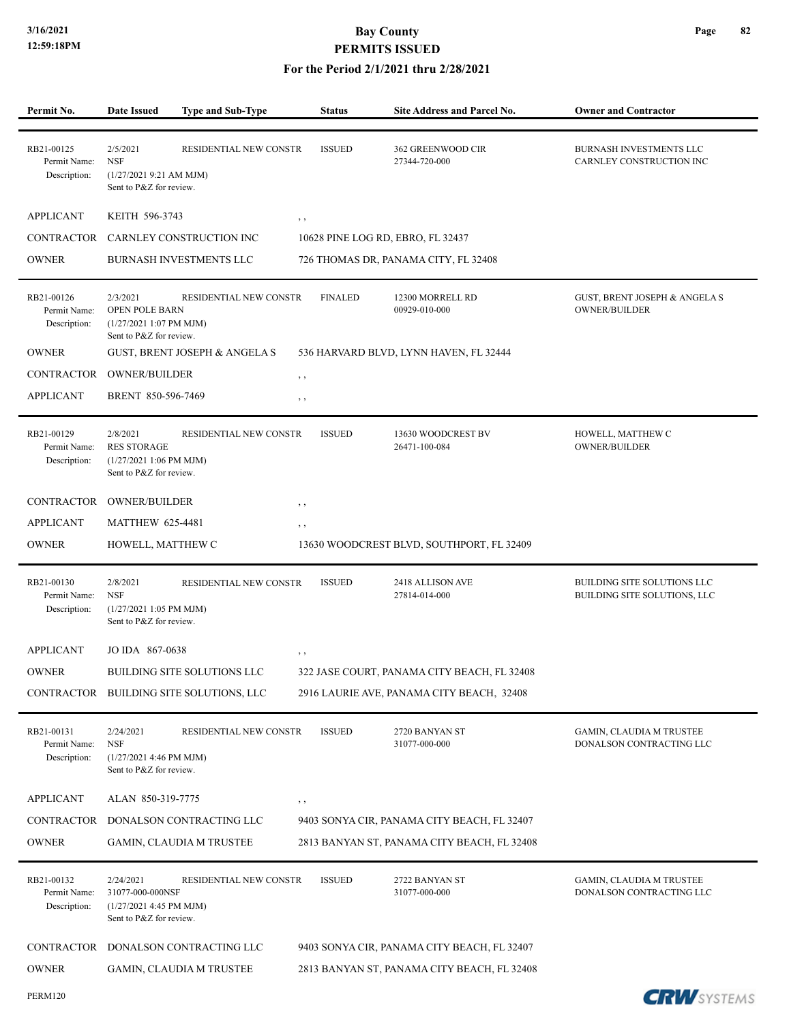| Permit No.                                 | <b>Date Issued</b>                                                                       | Type and Sub-Type             | <b>Status</b>  | Site Address and Parcel No.                 | <b>Owner and Contractor</b>                                      |
|--------------------------------------------|------------------------------------------------------------------------------------------|-------------------------------|----------------|---------------------------------------------|------------------------------------------------------------------|
| RB21-00125<br>Permit Name:<br>Description: | 2/5/2021<br><b>NSF</b><br>(1/27/20219:21 AM MJM)<br>Sent to P&Z for review.              | RESIDENTIAL NEW CONSTR        | <b>ISSUED</b>  | 362 GREENWOOD CIR<br>27344-720-000          | BURNASH INVESTMENTS LLC<br>CARNLEY CONSTRUCTION INC              |
| <b>APPLICANT</b>                           | KEITH 596-3743                                                                           | $, \, , \,$                   |                |                                             |                                                                  |
|                                            | CONTRACTOR CARNLEY CONSTRUCTION INC                                                      |                               |                | 10628 PINE LOG RD, EBRO, FL 32437           |                                                                  |
| <b>OWNER</b>                               | BURNASH INVESTMENTS LLC                                                                  |                               |                | 726 THOMAS DR, PANAMA CITY, FL 32408        |                                                                  |
|                                            |                                                                                          |                               |                |                                             |                                                                  |
| RB21-00126<br>Permit Name:<br>Description: | 2/3/2021<br><b>OPEN POLE BARN</b><br>$(1/27/20211:07$ PM MJM)<br>Sent to P&Z for review. | RESIDENTIAL NEW CONSTR        | <b>FINALED</b> | 12300 MORRELL RD<br>00929-010-000           | <b>GUST, BRENT JOSEPH &amp; ANGELA S</b><br><b>OWNER/BUILDER</b> |
| <b>OWNER</b>                               |                                                                                          | GUST, BRENT JOSEPH & ANGELA S |                | 536 HARVARD BLVD, LYNN HAVEN, FL 32444      |                                                                  |
| <b>CONTRACTOR</b>                          | <b>OWNER/BUILDER</b>                                                                     | , ,                           |                |                                             |                                                                  |
| <b>APPLICANT</b>                           | BRENT 850-596-7469                                                                       | $, \, , \,$                   |                |                                             |                                                                  |
| RB21-00129<br>Permit Name:<br>Description: | 2/8/2021<br><b>RES STORAGE</b><br>$(1/27/20211:06$ PM MJM)<br>Sent to P&Z for review.    | RESIDENTIAL NEW CONSTR        | <b>ISSUED</b>  | 13630 WOODCREST BV<br>26471-100-084         | HOWELL, MATTHEW C<br><b>OWNER/BUILDER</b>                        |
| CONTRACTOR                                 | <b>OWNER/BUILDER</b>                                                                     | $, \, , \,$                   |                |                                             |                                                                  |
| <b>APPLICANT</b>                           | <b>MATTHEW 625-4481</b>                                                                  | , ,                           |                |                                             |                                                                  |
| <b>OWNER</b>                               | HOWELL, MATTHEW C                                                                        |                               |                | 13630 WOODCREST BLVD, SOUTHPORT, FL 32409   |                                                                  |
| RB21-00130<br>Permit Name:<br>Description: | 2/8/2021<br><b>NSF</b><br>$(1/27/20211:05$ PM MJM)<br>Sent to P&Z for review.            | RESIDENTIAL NEW CONSTR        | <b>ISSUED</b>  | 2418 ALLISON AVE<br>27814-014-000           | BUILDING SITE SOLUTIONS LLC<br>BUILDING SITE SOLUTIONS, LLC      |
| <b>APPLICANT</b>                           | JO IDA 867-0638                                                                          |                               |                |                                             |                                                                  |
| <b>OWNER</b>                               | <b>BUILDING SITE SOLUTIONS LLC</b>                                                       | , ,                           |                | 322 JASE COURT, PANAMA CITY BEACH, FL 32408 |                                                                  |
|                                            | CONTRACTOR BUILDING SITE SOLUTIONS, LLC                                                  |                               |                | 2916 LAURIE AVE, PANAMA CITY BEACH, 32408   |                                                                  |
|                                            |                                                                                          |                               |                |                                             |                                                                  |
| RB21-00131<br>Permit Name:<br>Description: | 2/24/2021<br><b>NSF</b><br>$(1/27/20214:46$ PM MJM)<br>Sent to P&Z for review.           | RESIDENTIAL NEW CONSTR        | <b>ISSUED</b>  | 2720 BANYAN ST<br>31077-000-000             | GAMIN, CLAUDIA M TRUSTEE<br>DONALSON CONTRACTING LLC             |
| <b>APPLICANT</b>                           | ALAN 850-319-7775                                                                        | , ,                           |                |                                             |                                                                  |
| <b>CONTRACTOR</b>                          | DONALSON CONTRACTING LLC                                                                 |                               |                | 9403 SONYA CIR, PANAMA CITY BEACH, FL 32407 |                                                                  |
| <b>OWNER</b>                               | GAMIN, CLAUDIA M TRUSTEE                                                                 |                               |                | 2813 BANYAN ST, PANAMA CITY BEACH, FL 32408 |                                                                  |
| RB21-00132<br>Permit Name:<br>Description: | 2/24/2021<br>31077-000-000NSF<br>$(1/27/2021$ 4:45 PM MJM)<br>Sent to P&Z for review.    | RESIDENTIAL NEW CONSTR        | <b>ISSUED</b>  | 2722 BANYAN ST<br>31077-000-000             | GAMIN, CLAUDIA M TRUSTEE<br>DONALSON CONTRACTING LLC             |
| CONTRACTOR                                 | DONALSON CONTRACTING LLC                                                                 |                               |                | 9403 SONYA CIR, PANAMA CITY BEACH, FL 32407 |                                                                  |
| <b>OWNER</b>                               | <b>GAMIN, CLAUDIA M TRUSTEE</b>                                                          |                               |                | 2813 BANYAN ST, PANAMA CITY BEACH, FL 32408 |                                                                  |
| PERM120                                    |                                                                                          |                               |                |                                             | <b>CRW</b> SYSTEMS                                               |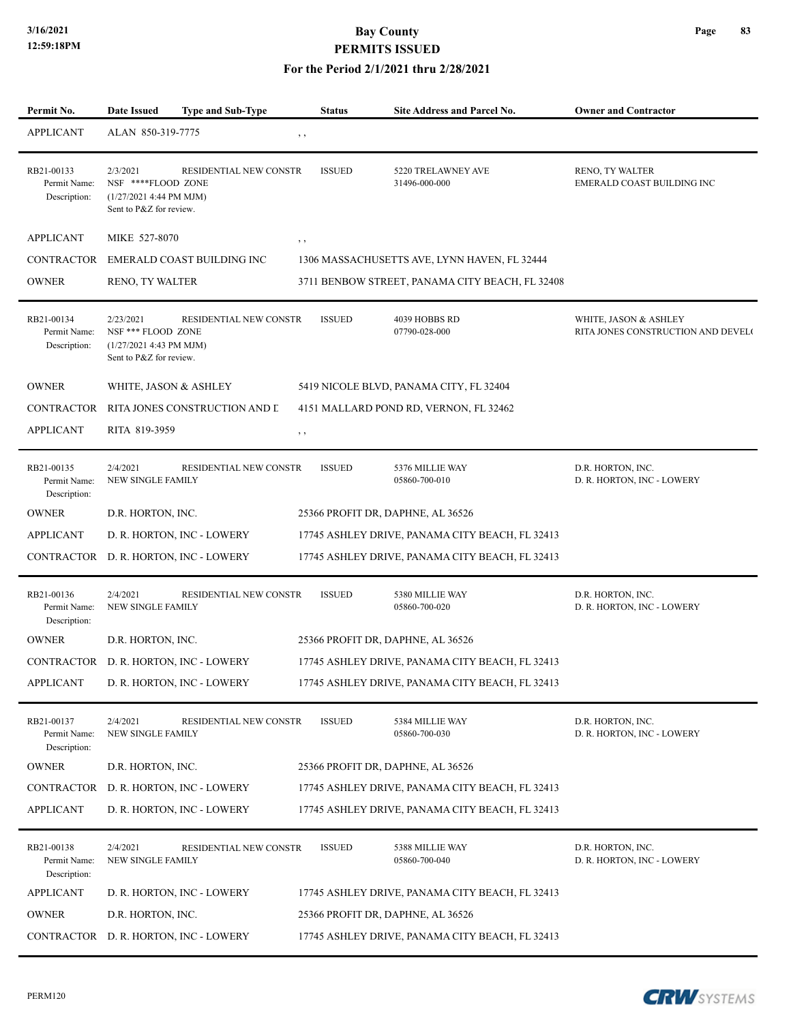#### **For the Period 2/1/2021 thru 2/28/2021**

| Permit No.                                 | <b>Date Issued</b>                                                                      | <b>Type and Sub-Type</b>              | <b>Status</b> | Site Address and Parcel No.                     | <b>Owner and Contractor</b>                                 |
|--------------------------------------------|-----------------------------------------------------------------------------------------|---------------------------------------|---------------|-------------------------------------------------|-------------------------------------------------------------|
| <b>APPLICANT</b>                           | ALAN 850-319-7775                                                                       |                                       | , ,           |                                                 |                                                             |
| RB21-00133<br>Permit Name:<br>Description: | 2/3/2021<br>NSF ****FLOOD ZONE<br>$(1/27/2021$ 4:44 PM MJM)<br>Sent to P&Z for review.  | <b>RESIDENTIAL NEW CONSTR</b>         | <b>ISSUED</b> | 5220 TRELAWNEY AVE<br>31496-000-000             | RENO, TY WALTER<br>EMERALD COAST BUILDING INC               |
| <b>APPLICANT</b>                           | MIKE 527-8070                                                                           |                                       | , ,           |                                                 |                                                             |
| CONTRACTOR                                 |                                                                                         | EMERALD COAST BUILDING INC            |               | 1306 MASSACHUSETTS AVE, LYNN HAVEN, FL 32444    |                                                             |
| <b>OWNER</b>                               | RENO, TY WALTER                                                                         |                                       |               | 3711 BENBOW STREET, PANAMA CITY BEACH, FL 32408 |                                                             |
| RB21-00134<br>Permit Name:<br>Description: | 2/23/2021<br>NSF *** FLOOD ZONE<br>$(1/27/2021$ 4:43 PM MJM)<br>Sent to P&Z for review. | RESIDENTIAL NEW CONSTR                | <b>ISSUED</b> | 4039 HOBBS RD<br>07790-028-000                  | WHITE, JASON & ASHLEY<br>RITA JONES CONSTRUCTION AND DEVEL( |
| <b>OWNER</b>                               | WHITE, JASON & ASHLEY                                                                   |                                       |               | 5419 NICOLE BLVD, PANAMA CITY, FL 32404         |                                                             |
| CONTRACTOR                                 |                                                                                         | RITA JONES CONSTRUCTION AND L         |               | 4151 MALLARD POND RD, VERNON, FL 32462          |                                                             |
| <b>APPLICANT</b>                           | RITA 819-3959                                                                           |                                       | $, \,$        |                                                 |                                                             |
| RB21-00135<br>Permit Name:<br>Description: | 2/4/2021<br>NEW SINGLE FAMILY                                                           | RESIDENTIAL NEW CONSTR                | <b>ISSUED</b> | 5376 MILLIE WAY<br>05860-700-010                | D.R. HORTON, INC.<br>D. R. HORTON, INC - LOWERY             |
| <b>OWNER</b>                               | D.R. HORTON, INC.                                                                       |                                       |               | 25366 PROFIT DR, DAPHNE, AL 36526               |                                                             |
| <b>APPLICANT</b>                           |                                                                                         | D. R. HORTON, INC - LOWERY            |               | 17745 ASHLEY DRIVE, PANAMA CITY BEACH, FL 32413 |                                                             |
|                                            |                                                                                         | CONTRACTOR D. R. HORTON, INC - LOWERY |               | 17745 ASHLEY DRIVE, PANAMA CITY BEACH, FL 32413 |                                                             |
| RB21-00136<br>Permit Name:<br>Description: | 2/4/2021<br><b>NEW SINGLE FAMILY</b>                                                    | RESIDENTIAL NEW CONSTR                | <b>ISSUED</b> | 5380 MILLIE WAY<br>05860-700-020                | D.R. HORTON, INC.<br>D. R. HORTON, INC - LOWERY             |
| <b>OWNER</b>                               | D.R. HORTON, INC.                                                                       |                                       |               | 25366 PROFIT DR, DAPHNE, AL 36526               |                                                             |
|                                            |                                                                                         | CONTRACTOR D. R. HORTON, INC - LOWERY |               | 17745 ASHLEY DRIVE, PANAMA CITY BEACH, FL 32413 |                                                             |
| <b>APPLICANT</b>                           |                                                                                         | D. R. HORTON, INC - LOWERY            |               | 17745 ASHLEY DRIVE, PANAMA CITY BEACH, FL 32413 |                                                             |
| RB21-00137<br>Permit Name:<br>Description: | 2/4/2021<br>NEW SINGLE FAMILY                                                           | RESIDENTIAL NEW CONSTR                | <b>ISSUED</b> | 5384 MILLIE WAY<br>05860-700-030                | D.R. HORTON, INC.<br>D. R. HORTON, INC - LOWERY             |
| <b>OWNER</b>                               | D.R. HORTON, INC.                                                                       |                                       |               | 25366 PROFIT DR, DAPHNE, AL 36526               |                                                             |
|                                            |                                                                                         | CONTRACTOR D. R. HORTON, INC - LOWERY |               | 17745 ASHLEY DRIVE, PANAMA CITY BEACH, FL 32413 |                                                             |
| <b>APPLICANT</b>                           |                                                                                         | D. R. HORTON, INC - LOWERY            |               | 17745 ASHLEY DRIVE, PANAMA CITY BEACH, FL 32413 |                                                             |
| RB21-00138<br>Permit Name:<br>Description: | 2/4/2021<br>NEW SINGLE FAMILY                                                           | RESIDENTIAL NEW CONSTR                | <b>ISSUED</b> | 5388 MILLIE WAY<br>05860-700-040                | D.R. HORTON, INC.<br>D. R. HORTON, INC - LOWERY             |
| <b>APPLICANT</b>                           |                                                                                         | D. R. HORTON, INC - LOWERY            |               | 17745 ASHLEY DRIVE, PANAMA CITY BEACH, FL 32413 |                                                             |
| <b>OWNER</b>                               | D.R. HORTON, INC.                                                                       |                                       |               | 25366 PROFIT DR, DAPHNE, AL 36526               |                                                             |
|                                            |                                                                                         | CONTRACTOR D. R. HORTON, INC - LOWERY |               | 17745 ASHLEY DRIVE, PANAMA CITY BEACH, FL 32413 |                                                             |

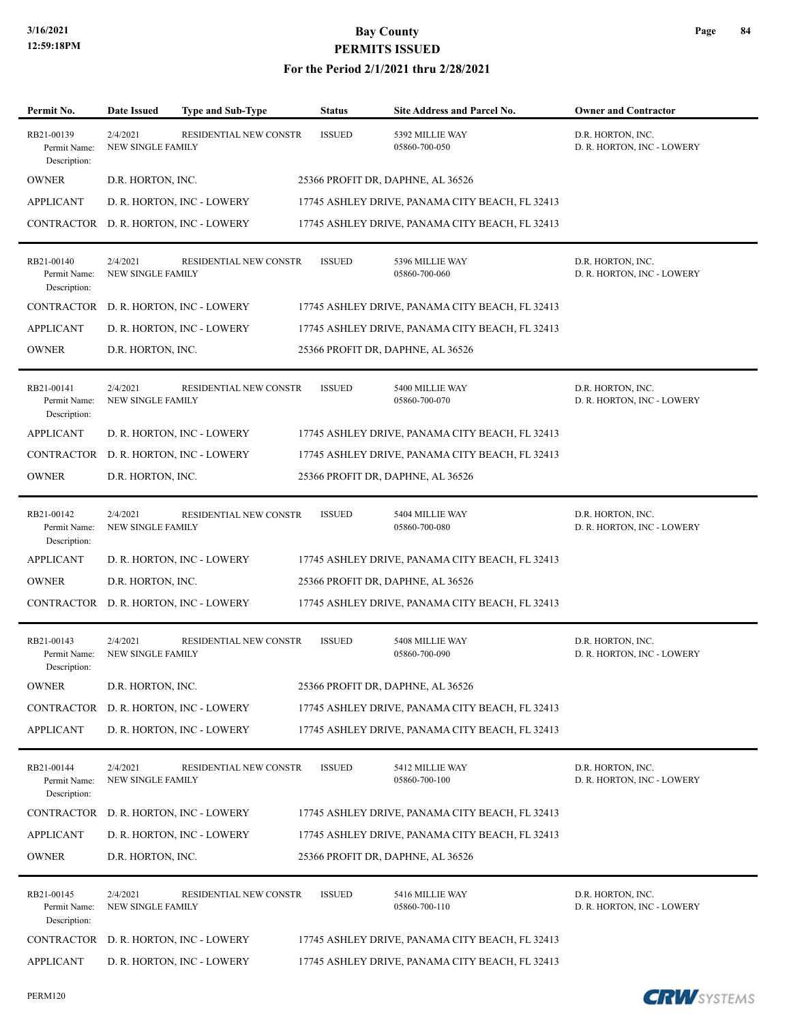| Permit No.                                 | <b>Date Issued</b>                   | <b>Type and Sub-Type</b>   | <b>Status</b> | Site Address and Parcel No.                     | <b>Owner and Contractor</b>                     |
|--------------------------------------------|--------------------------------------|----------------------------|---------------|-------------------------------------------------|-------------------------------------------------|
| RB21-00139<br>Permit Name:<br>Description: | 2/4/2021<br>NEW SINGLE FAMILY        | RESIDENTIAL NEW CONSTR     | <b>ISSUED</b> | 5392 MILLIE WAY<br>05860-700-050                | D.R. HORTON, INC.<br>D. R. HORTON, INC - LOWERY |
| <b>OWNER</b>                               | D.R. HORTON, INC.                    |                            |               | 25366 PROFIT DR, DAPHNE, AL 36526               |                                                 |
| <b>APPLICANT</b>                           |                                      | D. R. HORTON, INC - LOWERY |               | 17745 ASHLEY DRIVE, PANAMA CITY BEACH, FL 32413 |                                                 |
| CONTRACTOR                                 |                                      | D. R. HORTON, INC - LOWERY |               | 17745 ASHLEY DRIVE, PANAMA CITY BEACH, FL 32413 |                                                 |
| RB21-00140<br>Permit Name:<br>Description: | 2/4/2021<br><b>NEW SINGLE FAMILY</b> | RESIDENTIAL NEW CONSTR     | <b>ISSUED</b> | 5396 MILLIE WAY<br>05860-700-060                | D.R. HORTON, INC.<br>D. R. HORTON, INC - LOWERY |
| <b>CONTRACTOR</b>                          |                                      | D. R. HORTON, INC - LOWERY |               | 17745 ASHLEY DRIVE, PANAMA CITY BEACH, FL 32413 |                                                 |
| <b>APPLICANT</b>                           |                                      | D. R. HORTON, INC - LOWERY |               | 17745 ASHLEY DRIVE, PANAMA CITY BEACH, FL 32413 |                                                 |
| <b>OWNER</b>                               | D.R. HORTON, INC.                    |                            |               | 25366 PROFIT DR, DAPHNE, AL 36526               |                                                 |
| RB21-00141<br>Permit Name:<br>Description: | 2/4/2021<br><b>NEW SINGLE FAMILY</b> | RESIDENTIAL NEW CONSTR     | <b>ISSUED</b> | 5400 MILLIE WAY<br>05860-700-070                | D.R. HORTON, INC.<br>D. R. HORTON, INC - LOWERY |
| <b>APPLICANT</b>                           |                                      | D. R. HORTON, INC - LOWERY |               | 17745 ASHLEY DRIVE, PANAMA CITY BEACH, FL 32413 |                                                 |
| CONTRACTOR                                 |                                      | D. R. HORTON, INC - LOWERY |               | 17745 ASHLEY DRIVE, PANAMA CITY BEACH, FL 32413 |                                                 |
| <b>OWNER</b>                               | D.R. HORTON, INC.                    |                            |               | 25366 PROFIT DR, DAPHNE, AL 36526               |                                                 |
| RB21-00142<br>Permit Name:<br>Description: | 2/4/2021<br><b>NEW SINGLE FAMILY</b> | RESIDENTIAL NEW CONSTR     | <b>ISSUED</b> | 5404 MILLIE WAY<br>05860-700-080                | D.R. HORTON, INC.<br>D. R. HORTON, INC - LOWERY |
| <b>APPLICANT</b>                           |                                      | D. R. HORTON, INC - LOWERY |               | 17745 ASHLEY DRIVE, PANAMA CITY BEACH, FL 32413 |                                                 |
| <b>OWNER</b>                               | D.R. HORTON, INC.                    |                            |               | 25366 PROFIT DR, DAPHNE, AL 36526               |                                                 |
| CONTRACTOR                                 |                                      | D. R. HORTON, INC - LOWERY |               | 17745 ASHLEY DRIVE, PANAMA CITY BEACH, FL 32413 |                                                 |
| RB21-00143<br>Permit Name:<br>Description: | 2/4/2021<br><b>NEW SINGLE FAMILY</b> | RESIDENTIAL NEW CONSTR     | <b>ISSUED</b> | 5408 MILLIE WAY<br>05860-700-090                | D.R. HORTON, INC.<br>D. R. HORTON, INC - LOWERY |
| <b>OWNER</b>                               | D.R. HORTON, INC.                    |                            |               | 25366 PROFIT DR, DAPHNE, AL 36526               |                                                 |
| CONTRACTOR                                 |                                      | D. R. HORTON, INC - LOWERY |               | 17745 ASHLEY DRIVE, PANAMA CITY BEACH, FL 32413 |                                                 |
| <b>APPLICANT</b>                           |                                      | D. R. HORTON, INC - LOWERY |               | 17745 ASHLEY DRIVE, PANAMA CITY BEACH, FL 32413 |                                                 |
| RB21-00144<br>Permit Name:<br>Description: | 2/4/2021<br>NEW SINGLE FAMILY        | RESIDENTIAL NEW CONSTR     | <b>ISSUED</b> | 5412 MILLIE WAY<br>05860-700-100                | D.R. HORTON, INC.<br>D. R. HORTON, INC - LOWERY |
| <b>CONTRACTOR</b>                          |                                      | D. R. HORTON, INC - LOWERY |               | 17745 ASHLEY DRIVE, PANAMA CITY BEACH, FL 32413 |                                                 |
| <b>APPLICANT</b>                           |                                      | D. R. HORTON, INC - LOWERY |               | 17745 ASHLEY DRIVE, PANAMA CITY BEACH, FL 32413 |                                                 |
| <b>OWNER</b>                               | D.R. HORTON, INC.                    |                            |               | 25366 PROFIT DR, DAPHNE, AL 36526               |                                                 |
| RB21-00145<br>Permit Name:<br>Description: | 2/4/2021<br>NEW SINGLE FAMILY        | RESIDENTIAL NEW CONSTR     | <b>ISSUED</b> | 5416 MILLIE WAY<br>05860-700-110                | D.R. HORTON, INC.<br>D. R. HORTON, INC - LOWERY |
| CONTRACTOR                                 |                                      | D. R. HORTON, INC - LOWERY |               | 17745 ASHLEY DRIVE, PANAMA CITY BEACH, FL 32413 |                                                 |
| <b>APPLICANT</b>                           |                                      | D. R. HORTON, INC - LOWERY |               | 17745 ASHLEY DRIVE, PANAMA CITY BEACH, FL 32413 |                                                 |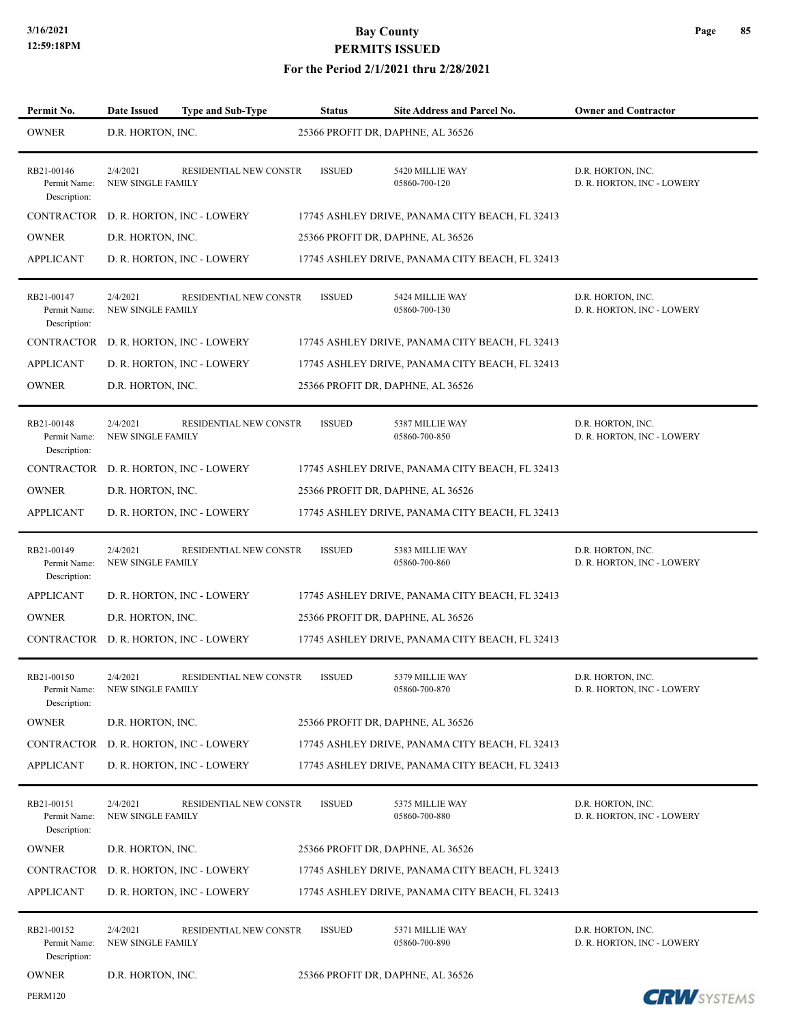## **3/16/2021 Bay County PERMITS ISSUED**

| Permit No.                                 | <b>Date Issued</b>                    | <b>Type and Sub-Type</b>      | <b>Status</b> | <b>Site Address and Parcel No.</b>              | <b>Owner and Contractor</b>                     |
|--------------------------------------------|---------------------------------------|-------------------------------|---------------|-------------------------------------------------|-------------------------------------------------|
| <b>OWNER</b>                               | D.R. HORTON, INC.                     |                               |               | 25366 PROFIT DR, DAPHNE, AL 36526               |                                                 |
| RB21-00146<br>Permit Name:<br>Description: | 2/4/2021<br><b>NEW SINGLE FAMILY</b>  | <b>RESIDENTIAL NEW CONSTR</b> | <b>ISSUED</b> | 5420 MILLIE WAY<br>05860-700-120                | D.R. HORTON, INC.<br>D. R. HORTON, INC - LOWERY |
| CONTRACTOR                                 | D. R. HORTON, INC - LOWERY            |                               |               | 17745 ASHLEY DRIVE, PANAMA CITY BEACH, FL 32413 |                                                 |
| <b>OWNER</b>                               | D.R. HORTON, INC.                     |                               |               | 25366 PROFIT DR, DAPHNE, AL 36526               |                                                 |
| <b>APPLICANT</b>                           | D. R. HORTON, INC - LOWERY            |                               |               | 17745 ASHLEY DRIVE, PANAMA CITY BEACH, FL 32413 |                                                 |
| RB21-00147<br>Permit Name:<br>Description: | 2/4/2021<br><b>NEW SINGLE FAMILY</b>  | RESIDENTIAL NEW CONSTR        | <b>ISSUED</b> | 5424 MILLIE WAY<br>05860-700-130                | D.R. HORTON, INC.<br>D. R. HORTON, INC - LOWERY |
| CONTRACTOR                                 | D. R. HORTON, INC - LOWERY            |                               |               | 17745 ASHLEY DRIVE, PANAMA CITY BEACH, FL 32413 |                                                 |
| <b>APPLICANT</b>                           | D. R. HORTON, INC - LOWERY            |                               |               | 17745 ASHLEY DRIVE, PANAMA CITY BEACH, FL 32413 |                                                 |
| <b>OWNER</b>                               | D.R. HORTON, INC.                     |                               |               | 25366 PROFIT DR, DAPHNE, AL 36526               |                                                 |
| RB21-00148<br>Permit Name:<br>Description: | 2/4/2021<br><b>NEW SINGLE FAMILY</b>  | RESIDENTIAL NEW CONSTR        | <b>ISSUED</b> | 5387 MILLIE WAY<br>05860-700-850                | D.R. HORTON, INC.<br>D. R. HORTON, INC - LOWERY |
| CONTRACTOR                                 | D. R. HORTON, INC - LOWERY            |                               |               | 17745 ASHLEY DRIVE, PANAMA CITY BEACH, FL 32413 |                                                 |
| <b>OWNER</b>                               | D.R. HORTON, INC.                     |                               |               | 25366 PROFIT DR, DAPHNE, AL 36526               |                                                 |
| <b>APPLICANT</b>                           | D. R. HORTON, INC - LOWERY            |                               |               | 17745 ASHLEY DRIVE, PANAMA CITY BEACH, FL 32413 |                                                 |
| RB21-00149<br>Permit Name:<br>Description: | 2/4/2021<br><b>NEW SINGLE FAMILY</b>  | RESIDENTIAL NEW CONSTR        | <b>ISSUED</b> | 5383 MILLIE WAY<br>05860-700-860                | D.R. HORTON, INC.<br>D. R. HORTON, INC - LOWERY |
| <b>APPLICANT</b>                           | D. R. HORTON, INC - LOWERY            |                               |               | 17745 ASHLEY DRIVE, PANAMA CITY BEACH, FL 32413 |                                                 |
| <b>OWNER</b>                               | D.R. HORTON, INC.                     |                               |               | 25366 PROFIT DR, DAPHNE, AL 36526               |                                                 |
|                                            | CONTRACTOR D. R. HORTON, INC - LOWERY |                               |               | 17745 ASHLEY DRIVE, PANAMA CITY BEACH, FL 32413 |                                                 |
| RB21-00150<br>Permit Name:<br>Description: | 2/4/2021<br>NEW SINGLE FAMILY         | RESIDENTIAL NEW CONSTR        | <b>ISSUED</b> | 5379 MILLIE WAY<br>05860-700-870                | D.R. HORTON, INC.<br>D. R. HORTON, INC - LOWERY |
| <b>OWNER</b>                               | D.R. HORTON, INC.                     |                               |               | 25366 PROFIT DR, DAPHNE, AL 36526               |                                                 |
| CONTRACTOR                                 | D. R. HORTON, INC - LOWERY            |                               |               | 17745 ASHLEY DRIVE, PANAMA CITY BEACH, FL 32413 |                                                 |
| <b>APPLICANT</b>                           | D. R. HORTON, INC - LOWERY            |                               |               | 17745 ASHLEY DRIVE, PANAMA CITY BEACH, FL 32413 |                                                 |
| RB21-00151<br>Permit Name:<br>Description: | 2/4/2021<br><b>NEW SINGLE FAMILY</b>  | RESIDENTIAL NEW CONSTR        | <b>ISSUED</b> | 5375 MILLIE WAY<br>05860-700-880                | D.R. HORTON, INC.<br>D. R. HORTON, INC - LOWERY |
| <b>OWNER</b>                               | D.R. HORTON, INC.                     |                               |               | 25366 PROFIT DR, DAPHNE, AL 36526               |                                                 |
| CONTRACTOR                                 | D. R. HORTON, INC - LOWERY            |                               |               | 17745 ASHLEY DRIVE, PANAMA CITY BEACH, FL 32413 |                                                 |
| <b>APPLICANT</b>                           | D. R. HORTON, INC - LOWERY            |                               |               | 17745 ASHLEY DRIVE, PANAMA CITY BEACH, FL 32413 |                                                 |
| RB21-00152<br>Permit Name:<br>Description: | 2/4/2021<br><b>NEW SINGLE FAMILY</b>  | RESIDENTIAL NEW CONSTR        | <b>ISSUED</b> | 5371 MILLIE WAY<br>05860-700-890                | D.R. HORTON, INC.<br>D. R. HORTON, INC - LOWERY |
| <b>OWNER</b>                               | D.R. HORTON, INC.                     |                               |               | 25366 PROFIT DR, DAPHNE, AL 36526               |                                                 |
| <b>PERM120</b>                             |                                       |                               |               |                                                 | <b>CRW</b> SYSTEMS                              |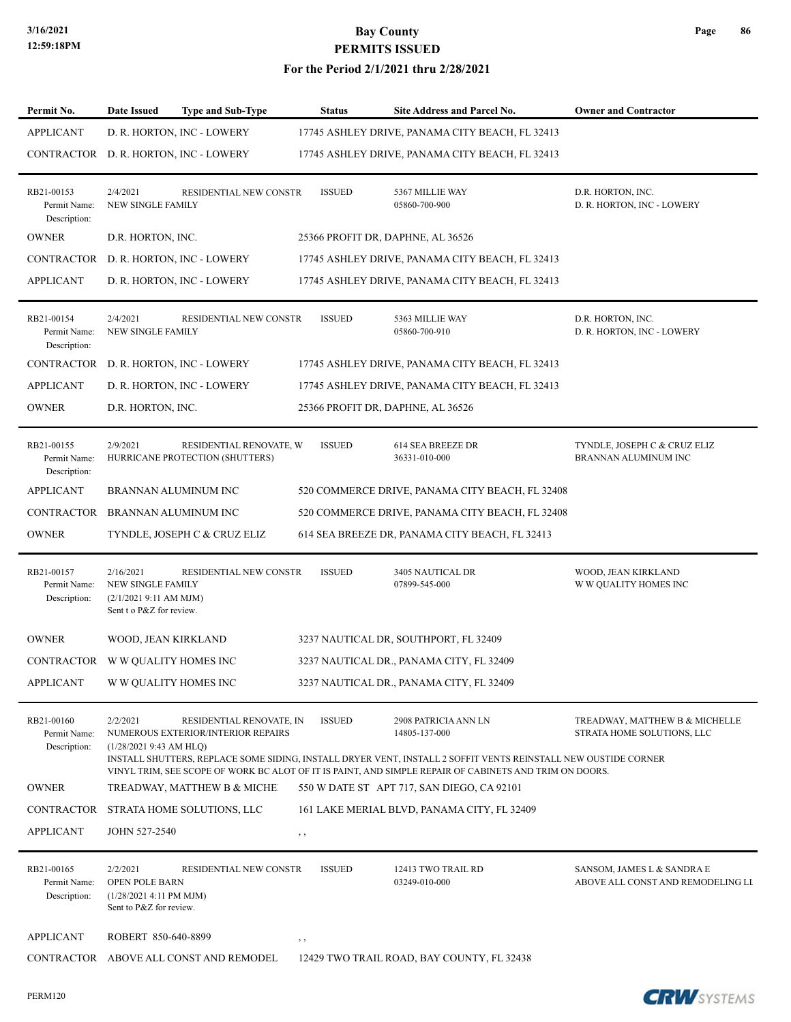| Permit No.                                 | Date Issued                                                                                | Type and Sub-Type                                              | <b>Status</b> | Site Address and Parcel No.                                                                                                                             | <b>Owner and Contractor</b>                                     |
|--------------------------------------------|--------------------------------------------------------------------------------------------|----------------------------------------------------------------|---------------|---------------------------------------------------------------------------------------------------------------------------------------------------------|-----------------------------------------------------------------|
| <b>APPLICANT</b>                           |                                                                                            | D. R. HORTON, INC - LOWERY                                     |               | 17745 ASHLEY DRIVE, PANAMA CITY BEACH, FL 32413                                                                                                         |                                                                 |
|                                            |                                                                                            | CONTRACTOR D. R. HORTON, INC - LOWERY                          |               | 17745 ASHLEY DRIVE, PANAMA CITY BEACH, FL 32413                                                                                                         |                                                                 |
| RB21-00153<br>Permit Name:<br>Description: | 2/4/2021<br><b>NEW SINGLE FAMILY</b>                                                       | RESIDENTIAL NEW CONSTR                                         | <b>ISSUED</b> | 5367 MILLIE WAY<br>05860-700-900                                                                                                                        | D.R. HORTON, INC.<br>D. R. HORTON, INC - LOWERY                 |
| <b>OWNER</b>                               | D.R. HORTON, INC.                                                                          |                                                                |               | 25366 PROFIT DR, DAPHNE, AL 36526                                                                                                                       |                                                                 |
|                                            |                                                                                            | CONTRACTOR D. R. HORTON, INC - LOWERY                          |               | 17745 ASHLEY DRIVE, PANAMA CITY BEACH, FL 32413                                                                                                         |                                                                 |
| <b>APPLICANT</b>                           |                                                                                            | D. R. HORTON, INC - LOWERY                                     |               | 17745 ASHLEY DRIVE, PANAMA CITY BEACH, FL 32413                                                                                                         |                                                                 |
| RB21-00154<br>Permit Name:<br>Description: | 2/4/2021<br><b>NEW SINGLE FAMILY</b>                                                       | RESIDENTIAL NEW CONSTR                                         | <b>ISSUED</b> | 5363 MILLIE WAY<br>05860-700-910                                                                                                                        | D.R. HORTON, INC.<br>D. R. HORTON, INC - LOWERY                 |
|                                            |                                                                                            | CONTRACTOR D. R. HORTON, INC - LOWERY                          |               | 17745 ASHLEY DRIVE, PANAMA CITY BEACH, FL 32413                                                                                                         |                                                                 |
| <b>APPLICANT</b>                           |                                                                                            | D. R. HORTON, INC - LOWERY                                     |               | 17745 ASHLEY DRIVE, PANAMA CITY BEACH, FL 32413                                                                                                         |                                                                 |
| <b>OWNER</b>                               | D.R. HORTON, INC.                                                                          |                                                                |               | 25366 PROFIT DR, DAPHNE, AL 36526                                                                                                                       |                                                                 |
| RB21-00155<br>Permit Name:<br>Description: | 2/9/2021                                                                                   | RESIDENTIAL RENOVATE, W<br>HURRICANE PROTECTION (SHUTTERS)     | <b>ISSUED</b> | <b>614 SEA BREEZE DR</b><br>36331-010-000                                                                                                               | TYNDLE, JOSEPH C & CRUZ ELIZ<br>BRANNAN ALUMINUM INC            |
| <b>APPLICANT</b>                           | <b>BRANNAN ALUMINUM INC</b>                                                                |                                                                |               | 520 COMMERCE DRIVE, PANAMA CITY BEACH, FL 32408                                                                                                         |                                                                 |
| CONTRACTOR BRANNAN ALUMINUM INC            |                                                                                            |                                                                |               | 520 COMMERCE DRIVE, PANAMA CITY BEACH, FL 32408                                                                                                         |                                                                 |
| <b>OWNER</b>                               |                                                                                            | TYNDLE, JOSEPH C & CRUZ ELIZ                                   |               | 614 SEA BREEZE DR, PANAMA CITY BEACH, FL 32413                                                                                                          |                                                                 |
| RB21-00157<br>Permit Name:<br>Description: | 2/16/2021<br><b>NEW SINGLE FAMILY</b><br>(2/1/20219:11 AM MJM)<br>Sent t o P&Z for review. | RESIDENTIAL NEW CONSTR                                         | <b>ISSUED</b> | 3405 NAUTICAL DR<br>07899-545-000                                                                                                                       | WOOD, JEAN KIRKLAND<br>W W QUALITY HOMES INC                    |
| <b>OWNER</b>                               | WOOD, JEAN KIRKLAND                                                                        |                                                                |               | 3237 NAUTICAL DR, SOUTHPORT, FL 32409                                                                                                                   |                                                                 |
| CONTRACTOR WW QUALITY HOMES INC            |                                                                                            |                                                                |               | 3237 NAUTICAL DR., PANAMA CITY, FL 32409                                                                                                                |                                                                 |
| APPLICANT                                  | W W QUALITY HOMES INC                                                                      |                                                                |               | 3237 NAUTICAL DR., PANAMA CITY, FL 32409                                                                                                                |                                                                 |
| RB21-00160<br>Permit Name:<br>Description: | 2/2/2021<br>(1/28/20219:43 AM H LQ)                                                        | RESIDENTIAL RENOVATE, IN<br>NUMEROUS EXTERIOR/INTERIOR REPAIRS | <b>ISSUED</b> | 2908 PATRICIA ANN LN<br>14805-137-000<br>INSTALL SHUTTERS, REPLACE SOME SIDING, INSTALL DRYER VENT, INSTALL 2 SOFFIT VENTS REINSTALL NEW OUSTIDE CORNER | TREADWAY, MATTHEW B & MICHELLE<br>STRATA HOME SOLUTIONS, LLC    |
| <b>OWNER</b>                               |                                                                                            | TREADWAY, MATTHEW B & MICHE                                    |               | VINYL TRIM, SEE SCOPE OF WORK BC ALOT OF IT IS PAINT, AND SIMPLE REPAIR OF CABINETS AND TRIM ON DOORS.<br>550 W DATE ST APT 717, SAN DIEGO, CA 92101    |                                                                 |
|                                            |                                                                                            | CONTRACTOR STRATA HOME SOLUTIONS, LLC                          |               | 161 LAKE MERIAL BLVD, PANAMA CITY, FL 32409                                                                                                             |                                                                 |
| <b>APPLICANT</b>                           | JOHN 527-2540                                                                              |                                                                | $, \, , \,$   |                                                                                                                                                         |                                                                 |
| RB21-00165<br>Permit Name:<br>Description: | 2/2/2021<br>OPEN POLE BARN<br>(1/28/2021 4:11 PM MJM)<br>Sent to P&Z for review.           | RESIDENTIAL NEW CONSTR                                         | <b>ISSUED</b> | 12413 TWO TRAIL RD<br>03249-010-000                                                                                                                     | SANSOM, JAMES L & SANDRA E<br>ABOVE ALL CONST AND REMODELING LL |
| <b>APPLICANT</b>                           | ROBERT 850-640-8899                                                                        |                                                                | , ,           |                                                                                                                                                         |                                                                 |
|                                            |                                                                                            | CONTRACTOR ABOVE ALL CONST AND REMODEL                         |               | 12429 TWO TRAIL ROAD, BAY COUNTY, FL 32438                                                                                                              |                                                                 |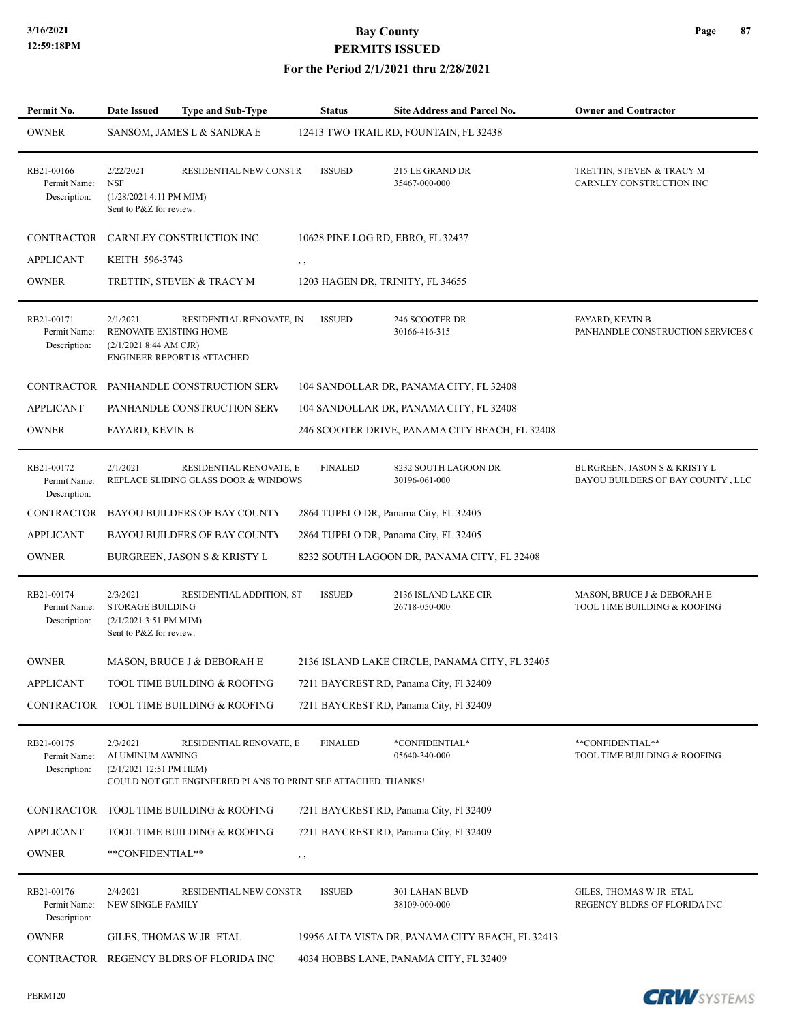| Permit No.                                 | <b>Date Issued</b>                                                                        | <b>Type and Sub-Type</b>                                                                 | <b>Status</b>                     | Site Address and Parcel No.                      | <b>Owner and Contractor</b>                                                  |
|--------------------------------------------|-------------------------------------------------------------------------------------------|------------------------------------------------------------------------------------------|-----------------------------------|--------------------------------------------------|------------------------------------------------------------------------------|
| <b>OWNER</b>                               |                                                                                           | SANSOM, JAMES L & SANDRA E                                                               |                                   | 12413 TWO TRAIL RD, FOUNTAIN, FL 32438           |                                                                              |
| RB21-00166<br>Permit Name:<br>Description: | 2/22/2021<br><b>NSF</b><br>(1/28/2021 4:11 PM MJM)<br>Sent to P&Z for review.             | RESIDENTIAL NEW CONSTR                                                                   | <b>ISSUED</b>                     | 215 LE GRAND DR<br>35467-000-000                 | TRETTIN, STEVEN & TRACY M<br>CARNLEY CONSTRUCTION INC                        |
|                                            |                                                                                           | CONTRACTOR CARNLEY CONSTRUCTION INC                                                      | 10628 PINE LOG RD, EBRO, FL 32437 |                                                  |                                                                              |
| <b>APPLICANT</b>                           | KEITH 596-3743                                                                            |                                                                                          | , ,                               |                                                  |                                                                              |
| <b>OWNER</b>                               |                                                                                           | TRETTIN, STEVEN & TRACY M                                                                | 1203 HAGEN DR, TRINITY, FL 34655  |                                                  |                                                                              |
| RB21-00171<br>Permit Name:<br>Description: | 2/1/2021<br>RENOVATE EXISTING HOME<br>(2/1/20218:44 AM CJR)                               | RESIDENTIAL RENOVATE, IN<br><b>ENGINEER REPORT IS ATTACHED</b>                           | <b>ISSUED</b>                     | 246 SCOOTER DR<br>30166-416-315                  | FAYARD, KEVIN B<br>PANHANDLE CONSTRUCTION SERVICES C                         |
| <b>CONTRACTOR</b>                          |                                                                                           | PANHANDLE CONSTRUCTION SERV                                                              |                                   | 104 SANDOLLAR DR, PANAMA CITY, FL 32408          |                                                                              |
| <b>APPLICANT</b>                           |                                                                                           | PANHANDLE CONSTRUCTION SERV                                                              |                                   | 104 SANDOLLAR DR, PANAMA CITY, FL 32408          |                                                                              |
| <b>OWNER</b>                               | FAYARD, KEVIN B                                                                           |                                                                                          |                                   | 246 SCOOTER DRIVE, PANAMA CITY BEACH, FL 32408   |                                                                              |
| RB21-00172<br>Permit Name:<br>Description: | 2/1/2021                                                                                  | RESIDENTIAL RENOVATE, E<br>REPLACE SLIDING GLASS DOOR & WINDOWS                          | <b>FINALED</b>                    | 8232 SOUTH LAGOON DR<br>30196-061-000            | <b>BURGREEN, JASON S &amp; KRISTY L</b><br>BAYOU BUILDERS OF BAY COUNTY, LLC |
| CONTRACTOR                                 |                                                                                           | <b>BAYOU BUILDERS OF BAY COUNTY</b>                                                      |                                   | 2864 TUPELO DR, Panama City, FL 32405            |                                                                              |
| <b>APPLICANT</b>                           |                                                                                           | <b>BAYOU BUILDERS OF BAY COUNTY</b>                                                      |                                   | 2864 TUPELO DR, Panama City, FL 32405            |                                                                              |
| <b>OWNER</b>                               |                                                                                           | <b>BURGREEN, JASON S &amp; KRISTY L</b>                                                  |                                   | 8232 SOUTH LAGOON DR, PANAMA CITY, FL 32408      |                                                                              |
| RB21-00174<br>Permit Name:<br>Description: | 2/3/2021<br><b>STORAGE BUILDING</b><br>$(2/1/20213:51$ PM MJM)<br>Sent to P&Z for review. | RESIDENTIAL ADDITION, ST                                                                 | <b>ISSUED</b>                     | 2136 ISLAND LAKE CIR<br>26718-050-000            | MASON, BRUCE J & DEBORAH E<br>TOOL TIME BUILDING & ROOFING                   |
| <b>OWNER</b>                               |                                                                                           | MASON, BRUCE J & DEBORAH E                                                               |                                   | 2136 ISLAND LAKE CIRCLE, PANAMA CITY, FL 32405   |                                                                              |
| APPLICANT                                  |                                                                                           | TOOL TIME BUILDING & ROOFING                                                             |                                   | 7211 BAYCREST RD, Panama City, Fl 32409          |                                                                              |
|                                            |                                                                                           | CONTRACTOR TOOL TIME BUILDING & ROOFING                                                  |                                   | 7211 BAYCREST RD, Panama City, Fl 32409          |                                                                              |
| RB21-00175<br>Permit Name:<br>Description: | 2/3/2021<br>ALUMINUM AWNING<br>(2/1/2021 12:51 PM HEM)                                    | RESIDENTIAL RENOVATE, E<br>COULD NOT GET ENGINEERED PLANS TO PRINT SEE ATTACHED. THANKS! | <b>FINALED</b>                    | *CONFIDENTIAL*<br>05640-340-000                  | **CONFIDENTIAL**<br>TOOL TIME BUILDING & ROOFING                             |
|                                            |                                                                                           | CONTRACTOR TOOL TIME BUILDING & ROOFING                                                  |                                   | 7211 BAYCREST RD, Panama City, Fl 32409          |                                                                              |
| <b>APPLICANT</b>                           |                                                                                           | TOOL TIME BUILDING & ROOFING                                                             |                                   | 7211 BAYCREST RD, Panama City, Fl 32409          |                                                                              |
| <b>OWNER</b>                               | **CONFIDENTIAL**                                                                          |                                                                                          | $, \, \,$                         |                                                  |                                                                              |
| RB21-00176<br>Permit Name:<br>Description: | 2/4/2021<br>NEW SINGLE FAMILY                                                             | RESIDENTIAL NEW CONSTR                                                                   | <b>ISSUED</b>                     | 301 LAHAN BLVD<br>38109-000-000                  | GILES, THOMAS W JR ETAL<br>REGENCY BLDRS OF FLORIDA INC                      |
| <b>OWNER</b>                               |                                                                                           | GILES, THOMAS W JR ETAL                                                                  |                                   | 19956 ALTA VISTA DR, PANAMA CITY BEACH, FL 32413 |                                                                              |
|                                            |                                                                                           | CONTRACTOR REGENCY BLDRS OF FLORIDA INC                                                  |                                   | 4034 HOBBS LANE, PANAMA CITY, FL 32409           |                                                                              |
|                                            |                                                                                           |                                                                                          |                                   |                                                  |                                                                              |

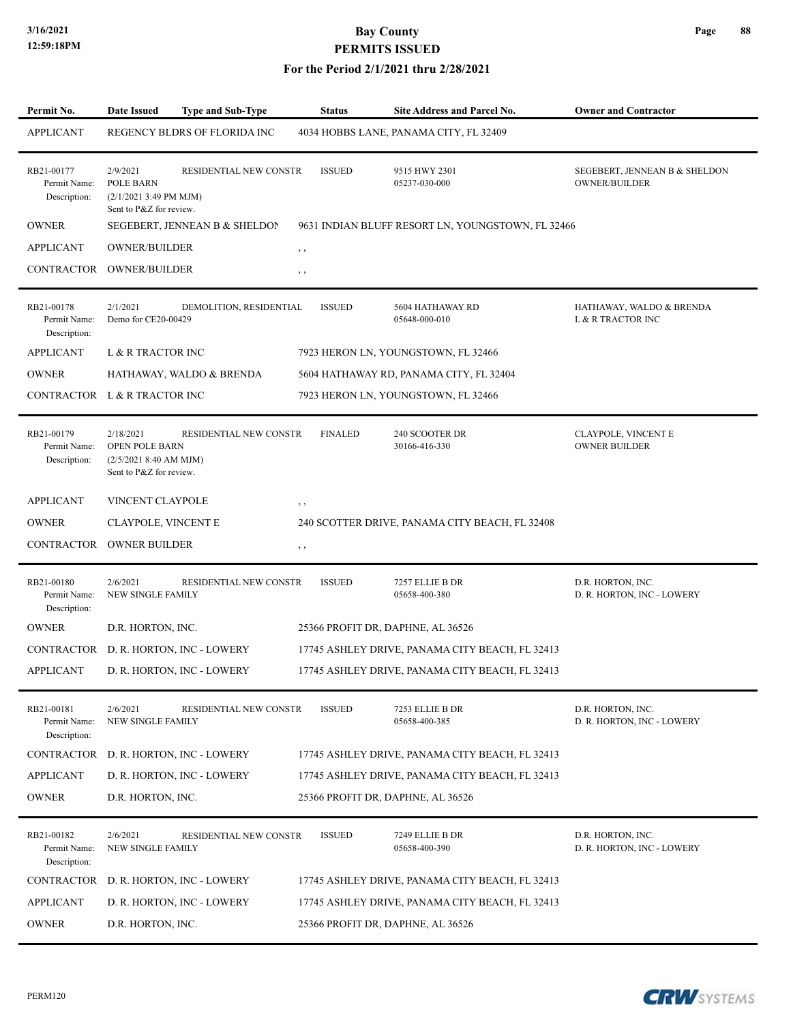#### **For the Period 2/1/2021 thru 2/28/2021**

| Permit No.                                 | <b>Date Issued</b>                                                                      | <b>Type and Sub-Type</b>              | <b>Status</b>  | <b>Site Address and Parcel No.</b>                | <b>Owner and Contractor</b>                           |
|--------------------------------------------|-----------------------------------------------------------------------------------------|---------------------------------------|----------------|---------------------------------------------------|-------------------------------------------------------|
| <b>APPLICANT</b>                           |                                                                                         | REGENCY BLDRS OF FLORIDA INC          |                | 4034 HOBBS LANE, PANAMA CITY, FL 32409            |                                                       |
| RB21-00177<br>Permit Name:<br>Description: | 2/9/2021<br>POLE BARN<br>$(2/1/20213:49 \text{ PM MJM})$<br>Sent to P&Z for review.     | RESIDENTIAL NEW CONSTR                | <b>ISSUED</b>  | 9515 HWY 2301<br>05237-030-000                    | SEGEBERT, JENNEAN B & SHELDON<br><b>OWNER/BUILDER</b> |
| <b>OWNER</b>                               |                                                                                         | SEGEBERT, JENNEAN B & SHELDON         |                | 9631 INDIAN BLUFF RESORT LN, YOUNGSTOWN, FL 32466 |                                                       |
| <b>APPLICANT</b>                           | <b>OWNER/BUILDER</b>                                                                    |                                       | , ,            |                                                   |                                                       |
| CONTRACTOR OWNER/BUILDER                   |                                                                                         |                                       | $, \, ,$       |                                                   |                                                       |
| RB21-00178<br>Permit Name:<br>Description: | 2/1/2021<br>Demo for CE20-00429                                                         | DEMOLITION, RESIDENTIAL               | <b>ISSUED</b>  | 5604 HATHAWAY RD<br>05648-000-010                 | HATHAWAY, WALDO & BRENDA<br>L & R TRACTOR INC         |
| <b>APPLICANT</b>                           | L & R TRACTOR INC                                                                       |                                       |                | 7923 HERON LN, YOUNGSTOWN, FL 32466               |                                                       |
| <b>OWNER</b>                               |                                                                                         | HATHAWAY, WALDO & BRENDA              |                | 5604 HATHAWAY RD, PANAMA CITY, FL 32404           |                                                       |
| CONTRACTOR L & R TRACTOR INC               |                                                                                         |                                       |                | 7923 HERON LN, YOUNGSTOWN, FL 32466               |                                                       |
| RB21-00179<br>Permit Name:<br>Description: | 2/18/2021<br><b>OPEN POLE BARN</b><br>(2/5/2021 8:40 AM MJM)<br>Sent to P&Z for review. | <b>RESIDENTIAL NEW CONSTR</b>         | <b>FINALED</b> | 240 SCOOTER DR<br>30166-416-330                   | CLAYPOLE, VINCENT E<br><b>OWNER BUILDER</b>           |
| <b>APPLICANT</b>                           | VINCENT CLAYPOLE                                                                        |                                       | $, \, ,$       |                                                   |                                                       |
| <b>OWNER</b>                               | CLAYPOLE, VINCENT E                                                                     |                                       |                | 240 SCOTTER DRIVE, PANAMA CITY BEACH, FL 32408    |                                                       |
| CONTRACTOR                                 | <b>OWNER BUILDER</b>                                                                    |                                       | , ,            |                                                   |                                                       |
| RB21-00180<br>Permit Name:<br>Description: | 2/6/2021<br>NEW SINGLE FAMILY                                                           | RESIDENTIAL NEW CONSTR                | <b>ISSUED</b>  | 7257 ELLIE B DR<br>05658-400-380                  | D.R. HORTON, INC.<br>D. R. HORTON, INC - LOWERY       |
| <b>OWNER</b>                               | D.R. HORTON, INC.                                                                       |                                       |                | 25366 PROFIT DR, DAPHNE, AL 36526                 |                                                       |
|                                            |                                                                                         | CONTRACTOR D. R. HORTON, INC - LOWERY |                | 17745 ASHLEY DRIVE, PANAMA CITY BEACH, FL 32413   |                                                       |
| <b>APPLICANT</b>                           |                                                                                         | D. R. HORTON, INC - LOWERY            |                | 17745 ASHLEY DRIVE, PANAMA CITY BEACH, FL 32413   |                                                       |
| RB21-00181<br>Permit Name:<br>Description: | 2/6/2021<br><b>NEW SINGLE FAMILY</b>                                                    | RESIDENTIAL NEW CONSTR                | <b>ISSUED</b>  | 7253 ELLIE B DR<br>05658-400-385                  | D.R. HORTON, INC.<br>D. R. HORTON, INC - LOWERY       |
| CONTRACTOR                                 |                                                                                         | D. R. HORTON, INC - LOWERY            |                | 17745 ASHLEY DRIVE, PANAMA CITY BEACH, FL 32413   |                                                       |
| <b>APPLICANT</b>                           |                                                                                         | D. R. HORTON, INC - LOWERY            |                | 17745 ASHLEY DRIVE, PANAMA CITY BEACH, FL 32413   |                                                       |
| <b>OWNER</b>                               | D.R. HORTON, INC.                                                                       |                                       |                | 25366 PROFIT DR, DAPHNE, AL 36526                 |                                                       |
| RB21-00182<br>Permit Name:<br>Description: | 2/6/2021<br><b>NEW SINGLE FAMILY</b>                                                    | RESIDENTIAL NEW CONSTR                | <b>ISSUED</b>  | 7249 ELLIE B DR<br>05658-400-390                  | D.R. HORTON, INC.<br>D. R. HORTON, INC - LOWERY       |
|                                            |                                                                                         | CONTRACTOR D. R. HORTON, INC - LOWERY |                | 17745 ASHLEY DRIVE, PANAMA CITY BEACH, FL 32413   |                                                       |
| <b>APPLICANT</b>                           |                                                                                         | D. R. HORTON, INC - LOWERY            |                | 17745 ASHLEY DRIVE, PANAMA CITY BEACH, FL 32413   |                                                       |
| <b>OWNER</b>                               | D.R. HORTON, INC.                                                                       |                                       |                | 25366 PROFIT DR, DAPHNE, AL 36526                 |                                                       |

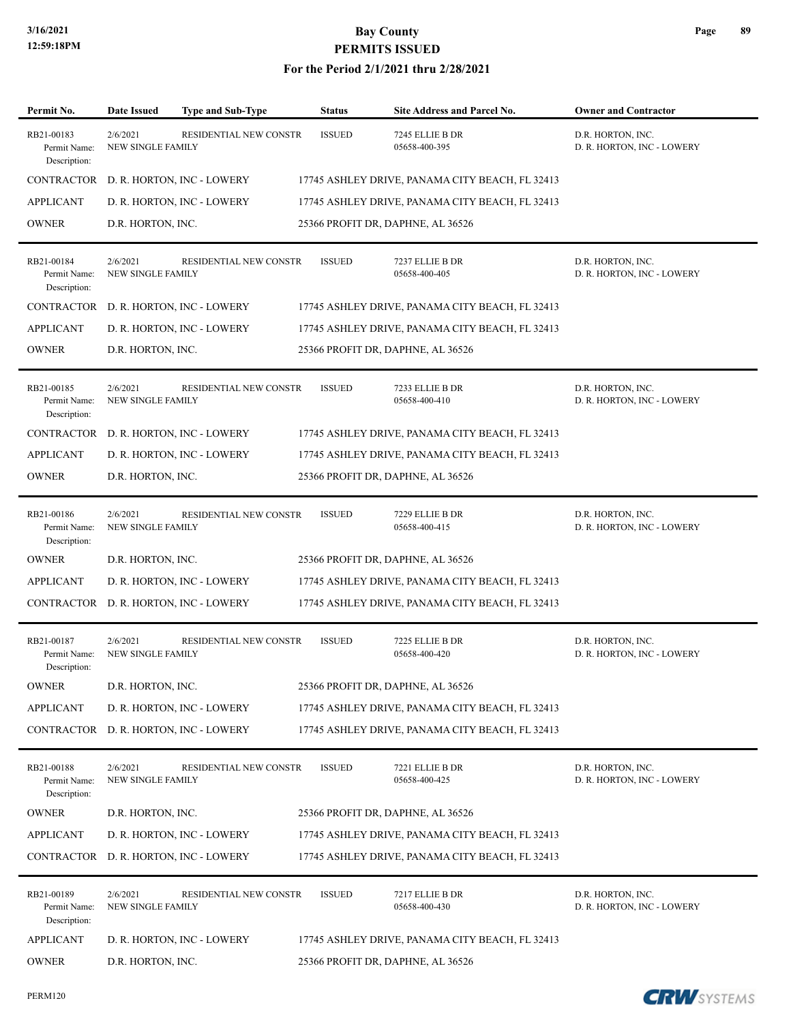| Permit No.                                 | <b>Date Issued</b>                   | <b>Type and Sub-Type</b>              | <b>Status</b> | <b>Site Address and Parcel No.</b>              | <b>Owner and Contractor</b>                     |
|--------------------------------------------|--------------------------------------|---------------------------------------|---------------|-------------------------------------------------|-------------------------------------------------|
| RB21-00183<br>Permit Name:<br>Description: | 2/6/2021<br><b>NEW SINGLE FAMILY</b> | RESIDENTIAL NEW CONSTR                | <b>ISSUED</b> | 7245 ELLIE B DR<br>05658-400-395                | D.R. HORTON, INC.<br>D. R. HORTON, INC - LOWERY |
| CONTRACTOR                                 |                                      | D. R. HORTON, INC - LOWERY            |               | 17745 ASHLEY DRIVE, PANAMA CITY BEACH, FL 32413 |                                                 |
| <b>APPLICANT</b>                           |                                      | D. R. HORTON, INC - LOWERY            |               | 17745 ASHLEY DRIVE, PANAMA CITY BEACH, FL 32413 |                                                 |
| <b>OWNER</b>                               | D.R. HORTON, INC.                    |                                       |               | 25366 PROFIT DR, DAPHNE, AL 36526               |                                                 |
| RB21-00184<br>Permit Name:<br>Description: | 2/6/2021<br><b>NEW SINGLE FAMILY</b> | RESIDENTIAL NEW CONSTR                | <b>ISSUED</b> | 7237 ELLIE B DR<br>05658-400-405                | D.R. HORTON, INC.<br>D. R. HORTON, INC - LOWERY |
| <b>CONTRACTOR</b>                          |                                      | D. R. HORTON, INC - LOWERY            |               | 17745 ASHLEY DRIVE, PANAMA CITY BEACH, FL 32413 |                                                 |
| <b>APPLICANT</b>                           |                                      | D. R. HORTON, INC - LOWERY            |               | 17745 ASHLEY DRIVE, PANAMA CITY BEACH, FL 32413 |                                                 |
| <b>OWNER</b>                               | D.R. HORTON, INC.                    |                                       |               | 25366 PROFIT DR, DAPHNE, AL 36526               |                                                 |
| RB21-00185<br>Permit Name:<br>Description: | 2/6/2021<br><b>NEW SINGLE FAMILY</b> | RESIDENTIAL NEW CONSTR                | <b>ISSUED</b> | 7233 ELLIE B DR<br>05658-400-410                | D.R. HORTON, INC.<br>D. R. HORTON, INC - LOWERY |
| CONTRACTOR                                 |                                      | D. R. HORTON, INC - LOWERY            |               | 17745 ASHLEY DRIVE, PANAMA CITY BEACH, FL 32413 |                                                 |
| <b>APPLICANT</b>                           |                                      | D. R. HORTON, INC - LOWERY            |               | 17745 ASHLEY DRIVE, PANAMA CITY BEACH, FL 32413 |                                                 |
| <b>OWNER</b>                               | D.R. HORTON, INC.                    |                                       |               | 25366 PROFIT DR, DAPHNE, AL 36526               |                                                 |
| RB21-00186<br>Permit Name:<br>Description: | 2/6/2021<br>NEW SINGLE FAMILY        | RESIDENTIAL NEW CONSTR                | <b>ISSUED</b> | 7229 ELLIE B DR<br>05658-400-415                | D.R. HORTON, INC.<br>D. R. HORTON, INC - LOWERY |
| <b>OWNER</b>                               | D.R. HORTON, INC.                    |                                       |               | 25366 PROFIT DR, DAPHNE, AL 36526               |                                                 |
| <b>APPLICANT</b>                           |                                      | D. R. HORTON, INC - LOWERY            |               | 17745 ASHLEY DRIVE, PANAMA CITY BEACH, FL 32413 |                                                 |
| CONTRACTOR                                 |                                      | D. R. HORTON, INC - LOWERY            |               | 17745 ASHLEY DRIVE, PANAMA CITY BEACH, FL 32413 |                                                 |
| RB21-00187<br>Permit Name:<br>Description: | 2/6/2021<br><b>NEW SINGLE FAMILY</b> | RESIDENTIAL NEW CONSTR                | <b>ISSUED</b> | 7225 ELLIE B DR<br>05658-400-420                | D.R. HORTON, INC.<br>D. R. HORTON, INC - LOWERY |
| <b>OWNER</b>                               | D.R. HORTON, INC.                    |                                       |               | 25366 PROFIT DR, DAPHNE, AL 36526               |                                                 |
| <b>APPLICANT</b>                           |                                      | D. R. HORTON, INC - LOWERY            |               | 17745 ASHLEY DRIVE, PANAMA CITY BEACH, FL 32413 |                                                 |
| CONTRACTOR                                 |                                      | D. R. HORTON, INC - LOWERY            |               | 17745 ASHLEY DRIVE, PANAMA CITY BEACH, FL 32413 |                                                 |
| RB21-00188<br>Permit Name:<br>Description: | 2/6/2021<br><b>NEW SINGLE FAMILY</b> | RESIDENTIAL NEW CONSTR                | <b>ISSUED</b> | 7221 ELLIE B DR<br>05658-400-425                | D.R. HORTON, INC.<br>D. R. HORTON, INC - LOWERY |
| <b>OWNER</b>                               | D.R. HORTON, INC.                    |                                       |               | 25366 PROFIT DR, DAPHNE, AL 36526               |                                                 |
| <b>APPLICANT</b>                           |                                      | D. R. HORTON, INC - LOWERY            |               | 17745 ASHLEY DRIVE, PANAMA CITY BEACH, FL 32413 |                                                 |
|                                            |                                      | CONTRACTOR D. R. HORTON, INC - LOWERY |               | 17745 ASHLEY DRIVE, PANAMA CITY BEACH, FL 32413 |                                                 |
| RB21-00189<br>Permit Name:<br>Description: | 2/6/2021<br>NEW SINGLE FAMILY        | RESIDENTIAL NEW CONSTR                | <b>ISSUED</b> | 7217 ELLIE B DR<br>05658-400-430                | D.R. HORTON, INC.<br>D. R. HORTON, INC - LOWERY |
| <b>APPLICANT</b>                           |                                      | D. R. HORTON, INC - LOWERY            |               | 17745 ASHLEY DRIVE, PANAMA CITY BEACH, FL 32413 |                                                 |
| <b>OWNER</b>                               | D.R. HORTON, INC.                    |                                       |               | 25366 PROFIT DR, DAPHNE, AL 36526               |                                                 |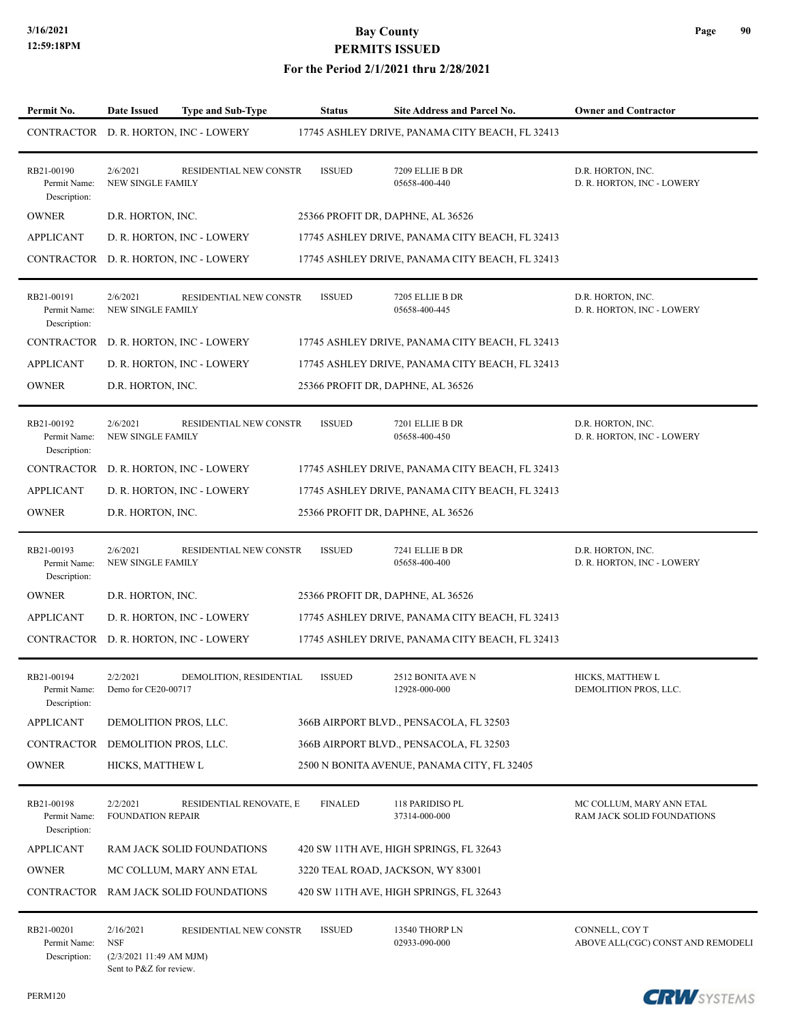| Permit No.                                 | Date Issued<br><b>Type and Sub-Type</b>                                                                        | <b>Status</b>  | Site Address and Parcel No.                     | <b>Owner and Contractor</b>                            |
|--------------------------------------------|----------------------------------------------------------------------------------------------------------------|----------------|-------------------------------------------------|--------------------------------------------------------|
|                                            | CONTRACTOR D. R. HORTON, INC - LOWERY                                                                          |                | 17745 ASHLEY DRIVE, PANAMA CITY BEACH, FL 32413 |                                                        |
| RB21-00190<br>Permit Name:<br>Description: | 2/6/2021<br>RESIDENTIAL NEW CONSTR<br>NEW SINGLE FAMILY                                                        | <b>ISSUED</b>  | 7209 ELLIE B DR<br>05658-400-440                | D.R. HORTON, INC.<br>D. R. HORTON, INC - LOWERY        |
| <b>OWNER</b>                               | D.R. HORTON, INC.                                                                                              |                | 25366 PROFIT DR, DAPHNE, AL 36526               |                                                        |
| <b>APPLICANT</b>                           | D. R. HORTON, INC - LOWERY                                                                                     |                | 17745 ASHLEY DRIVE, PANAMA CITY BEACH, FL 32413 |                                                        |
| CONTRACTOR                                 | D. R. HORTON, INC - LOWERY                                                                                     |                | 17745 ASHLEY DRIVE, PANAMA CITY BEACH, FL 32413 |                                                        |
| RB21-00191<br>Permit Name:<br>Description: | 2/6/2021<br>RESIDENTIAL NEW CONSTR<br><b>NEW SINGLE FAMILY</b>                                                 | <b>ISSUED</b>  | 7205 ELLIE B DR<br>05658-400-445                | D.R. HORTON, INC.<br>D. R. HORTON, INC - LOWERY        |
| CONTRACTOR                                 | D. R. HORTON, INC - LOWERY                                                                                     |                | 17745 ASHLEY DRIVE, PANAMA CITY BEACH, FL 32413 |                                                        |
| <b>APPLICANT</b>                           | D. R. HORTON, INC - LOWERY                                                                                     |                | 17745 ASHLEY DRIVE, PANAMA CITY BEACH, FL 32413 |                                                        |
| <b>OWNER</b>                               | D.R. HORTON, INC.                                                                                              |                | 25366 PROFIT DR, DAPHNE, AL 36526               |                                                        |
| RB21-00192<br>Permit Name:<br>Description: | 2/6/2021<br>RESIDENTIAL NEW CONSTR<br>NEW SINGLE FAMILY                                                        | <b>ISSUED</b>  | 7201 ELLIE B DR<br>05658-400-450                | D.R. HORTON, INC.<br>D. R. HORTON, INC - LOWERY        |
|                                            | CONTRACTOR D. R. HORTON, INC - LOWERY                                                                          |                | 17745 ASHLEY DRIVE, PANAMA CITY BEACH, FL 32413 |                                                        |
| <b>APPLICANT</b>                           | D. R. HORTON, INC - LOWERY                                                                                     |                | 17745 ASHLEY DRIVE, PANAMA CITY BEACH, FL 32413 |                                                        |
| <b>OWNER</b>                               | D.R. HORTON, INC.                                                                                              |                | 25366 PROFIT DR, DAPHNE, AL 36526               |                                                        |
| RB21-00193<br>Permit Name:<br>Description: | 2/6/2021<br>RESIDENTIAL NEW CONSTR<br><b>NEW SINGLE FAMILY</b>                                                 | <b>ISSUED</b>  | 7241 ELLIE B DR<br>05658-400-400                | D.R. HORTON, INC.<br>D. R. HORTON, INC - LOWERY        |
| <b>OWNER</b>                               | D.R. HORTON, INC.                                                                                              |                | 25366 PROFIT DR, DAPHNE, AL 36526               |                                                        |
| <b>APPLICANT</b>                           | D. R. HORTON, INC - LOWERY                                                                                     |                | 17745 ASHLEY DRIVE, PANAMA CITY BEACH, FL 32413 |                                                        |
|                                            | CONTRACTOR D. R. HORTON, INC - LOWERY                                                                          |                | 17745 ASHLEY DRIVE, PANAMA CITY BEACH, FL 32413 |                                                        |
| RB21-00194<br>Permit Name:<br>Description: | 2/2/2021<br>DEMOLITION, RESIDENTIAL<br>Demo for CE20-00717                                                     | <b>ISSUED</b>  | 2512 BONITA AVE N<br>12928-000-000              | HICKS, MATTHEW L<br>DEMOLITION PROS, LLC.              |
| <b>APPLICANT</b>                           | DEMOLITION PROS, LLC.                                                                                          |                | 366B AIRPORT BLVD., PENSACOLA, FL 32503         |                                                        |
| <b>CONTRACTOR</b>                          | DEMOLITION PROS, LLC.                                                                                          |                | 366B AIRPORT BLVD., PENSACOLA, FL 32503         |                                                        |
| <b>OWNER</b>                               | HICKS, MATTHEW L                                                                                               |                | 2500 N BONITA AVENUE, PANAMA CITY, FL 32405     |                                                        |
| RB21-00198<br>Permit Name:<br>Description: | 2/2/2021<br>RESIDENTIAL RENOVATE, E<br>FOUNDATION REPAIR                                                       | <b>FINALED</b> | 118 PARIDISO PL<br>37314-000-000                | MC COLLUM, MARY ANN ETAL<br>RAM JACK SOLID FOUNDATIONS |
| <b>APPLICANT</b>                           | RAM JACK SOLID FOUNDATIONS                                                                                     |                | 420 SW 11TH AVE, HIGH SPRINGS, FL 32643         |                                                        |
| <b>OWNER</b>                               | MC COLLUM, MARY ANN ETAL                                                                                       |                | 3220 TEAL ROAD, JACKSON, WY 83001               |                                                        |
| CONTRACTOR                                 | RAM JACK SOLID FOUNDATIONS                                                                                     |                | 420 SW 11TH AVE, HIGH SPRINGS, FL 32643         |                                                        |
| RB21-00201<br>Permit Name:<br>Description: | 2/16/2021<br><b>RESIDENTIAL NEW CONSTR</b><br><b>NSF</b><br>(2/3/2021 11:49 AM MJM)<br>Sent to P&Z for review. | <b>ISSUED</b>  | 13540 THORP LN<br>02933-090-000                 | CONNELL, COY T<br>ABOVE ALL(CGC) CONST AND REMODELI    |

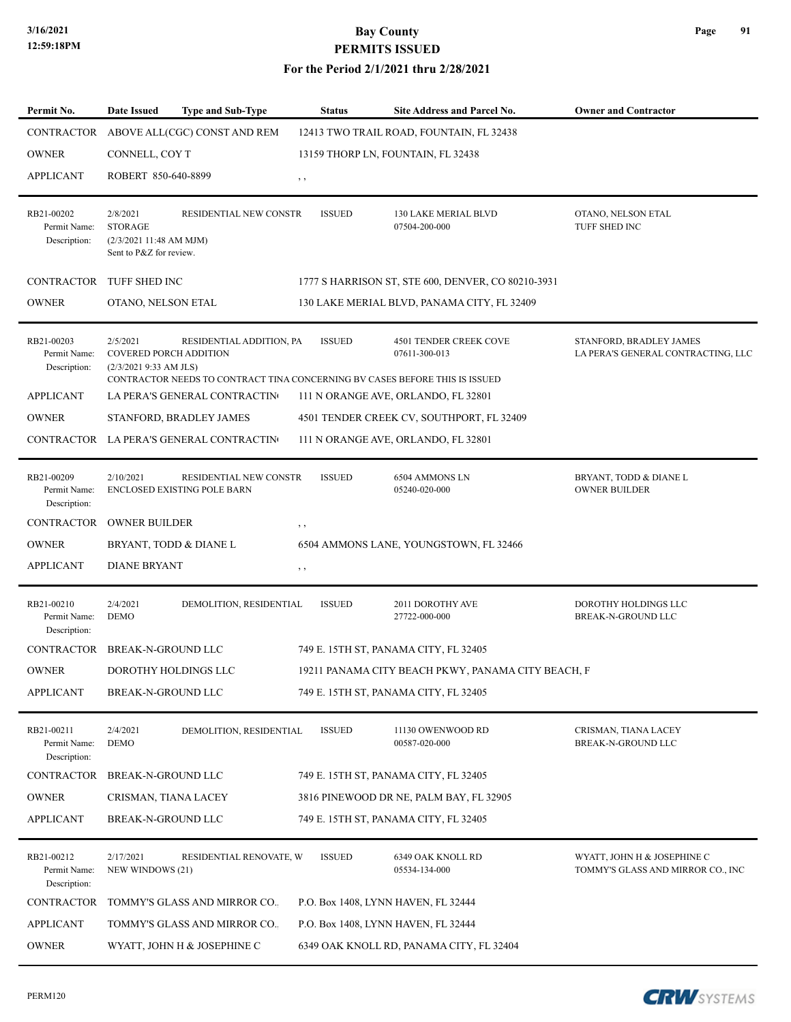#### **For the Period 2/1/2021 thru 2/28/2021**

| Permit No.                                 | <b>Date Issued</b>                                                              | <b>Type and Sub-Type</b>                                                                                    |             | <b>Status</b> | Site Address and Parcel No.                        | <b>Owner and Contractor</b>                                      |
|--------------------------------------------|---------------------------------------------------------------------------------|-------------------------------------------------------------------------------------------------------------|-------------|---------------|----------------------------------------------------|------------------------------------------------------------------|
| <b>CONTRACTOR</b>                          |                                                                                 | ABOVE ALL(CGC) CONST AND REM                                                                                |             |               | 12413 TWO TRAIL ROAD, FOUNTAIN, FL 32438           |                                                                  |
| <b>OWNER</b>                               | CONNELL, COY T                                                                  |                                                                                                             |             |               | 13159 THORP LN, FOUNTAIN, FL 32438                 |                                                                  |
| <b>APPLICANT</b>                           | ROBERT 850-640-8899                                                             |                                                                                                             | $, \, , \,$ |               |                                                    |                                                                  |
|                                            |                                                                                 |                                                                                                             |             |               |                                                    |                                                                  |
| RB21-00202<br>Permit Name:<br>Description: | 2/8/2021<br><b>STORAGE</b><br>(2/3/202111:48 AM MJM)<br>Sent to P&Z for review. | RESIDENTIAL NEW CONSTR                                                                                      |             | <b>ISSUED</b> | 130 LAKE MERIAL BLVD<br>07504-200-000              | OTANO, NELSON ETAL<br>TUFF SHED INC                              |
| <b>CONTRACTOR</b>                          | TUFF SHED INC                                                                   |                                                                                                             |             |               | 1777 S HARRISON ST, STE 600, DENVER, CO 80210-3931 |                                                                  |
| <b>OWNER</b>                               | OTANO, NELSON ETAL                                                              |                                                                                                             |             |               | 130 LAKE MERIAL BLVD, PANAMA CITY, FL 32409        |                                                                  |
|                                            |                                                                                 |                                                                                                             |             |               |                                                    |                                                                  |
| RB21-00203<br>Permit Name:<br>Description: | 2/5/2021<br><b>COVERED PORCH ADDITION</b><br>(2/3/2021 9:33 AM JLS)             | RESIDENTIAL ADDITION, PA                                                                                    |             | <b>ISSUED</b> | 4501 TENDER CREEK COVE<br>07611-300-013            | STANFORD, BRADLEY JAMES<br>LA PERA'S GENERAL CONTRACTING, LLC    |
| <b>APPLICANT</b>                           |                                                                                 | CONTRACTOR NEEDS TO CONTRACT TINA CONCERNING BV CASES BEFORE THIS IS ISSUED<br>LA PERA'S GENERAL CONTRACTIN |             |               | 111 N ORANGE AVE, ORLANDO, FL 32801                |                                                                  |
| <b>OWNER</b>                               |                                                                                 | STANFORD, BRADLEY JAMES                                                                                     |             |               | 4501 TENDER CREEK CV, SOUTHPORT, FL 32409          |                                                                  |
|                                            |                                                                                 | CONTRACTOR LA PERA'S GENERAL CONTRACTIN                                                                     |             |               | 111 N ORANGE AVE, ORLANDO, FL 32801                |                                                                  |
|                                            |                                                                                 |                                                                                                             |             |               |                                                    |                                                                  |
| RB21-00209<br>Permit Name:<br>Description: | 2/10/2021                                                                       | RESIDENTIAL NEW CONSTR<br>ENCLOSED EXISTING POLE BARN                                                       |             | <b>ISSUED</b> | 6504 AMMONS LN<br>05240-020-000                    | BRYANT, TODD & DIANE L<br>OWNER BUILDER                          |
| <b>CONTRACTOR</b>                          | <b>OWNER BUILDER</b>                                                            |                                                                                                             | , ,         |               |                                                    |                                                                  |
| <b>OWNER</b>                               |                                                                                 | BRYANT, TODD & DIANE L                                                                                      |             |               | 6504 AMMONS LANE, YOUNGSTOWN, FL 32466             |                                                                  |
| <b>APPLICANT</b>                           | <b>DIANE BRYANT</b>                                                             |                                                                                                             | $, \, , \,$ |               |                                                    |                                                                  |
| RB21-00210<br>Permit Name:<br>Description: | 2/4/2021<br><b>DEMO</b>                                                         | DEMOLITION, RESIDENTIAL                                                                                     |             | <b>ISSUED</b> | 2011 DOROTHY AVE<br>27722-000-000                  | DOROTHY HOLDINGS LLC<br><b>BREAK-N-GROUND LLC</b>                |
| <b>CONTRACTOR</b>                          | <b>BREAK-N-GROUND LLC</b>                                                       |                                                                                                             |             |               | 749 E. 15TH ST, PANAMA CITY, FL 32405              |                                                                  |
| <b>OWNER</b>                               | DOROTHY HOLDINGS LLC                                                            |                                                                                                             |             |               | 19211 PANAMA CITY BEACH PKWY, PANAMA CITY BEACH, F |                                                                  |
| <b>APPLICANT</b>                           | BREAK-N-GROUND LLC                                                              |                                                                                                             |             |               | 749 E. 15TH ST, PANAMA CITY, FL 32405              |                                                                  |
|                                            |                                                                                 |                                                                                                             |             |               |                                                    |                                                                  |
| RB21-00211<br>Permit Name:<br>Description: | 2/4/2021<br><b>DEMO</b>                                                         | DEMOLITION, RESIDENTIAL                                                                                     |             | <b>ISSUED</b> | 11130 OWENWOOD RD<br>00587-020-000                 | CRISMAN, TIANA LACEY<br>BREAK-N-GROUND LLC                       |
| CONTRACTOR                                 | BREAK-N-GROUND LLC                                                              |                                                                                                             |             |               | 749 E. 15TH ST, PANAMA CITY, FL 32405              |                                                                  |
| <b>OWNER</b>                               | CRISMAN, TIANA LACEY                                                            |                                                                                                             |             |               | 3816 PINEWOOD DR NE, PALM BAY, FL 32905            |                                                                  |
| <b>APPLICANT</b>                           | BREAK-N-GROUND LLC                                                              |                                                                                                             |             |               | 749 E. 15TH ST, PANAMA CITY, FL 32405              |                                                                  |
| RB21-00212<br>Permit Name:<br>Description: | 2/17/2021<br>NEW WINDOWS (21)                                                   | RESIDENTIAL RENOVATE, W                                                                                     |             | <b>ISSUED</b> | 6349 OAK KNOLL RD<br>05534-134-000                 | WYATT, JOHN H & JOSEPHINE C<br>TOMMY'S GLASS AND MIRROR CO., INC |
| CONTRACTOR                                 |                                                                                 | TOMMY'S GLASS AND MIRROR CO.                                                                                |             |               | P.O. Box 1408, LYNN HAVEN, FL 32444                |                                                                  |
| <b>APPLICANT</b>                           |                                                                                 | TOMMY'S GLASS AND MIRROR CO.                                                                                |             |               | P.O. Box 1408, LYNN HAVEN, FL 32444                |                                                                  |
| <b>OWNER</b>                               |                                                                                 | WYATT, JOHN H & JOSEPHINE C                                                                                 |             |               | 6349 OAK KNOLL RD, PANAMA CITY, FL 32404           |                                                                  |

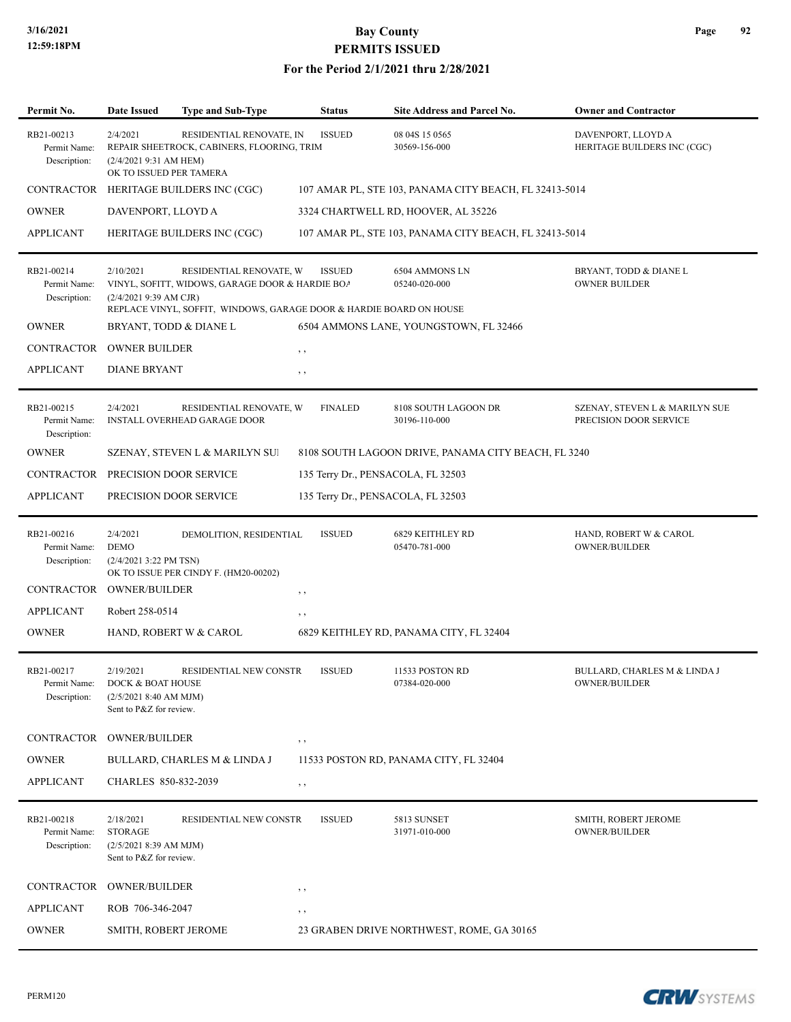| Permit No.                                 | <b>Date Issued</b>                                                                 | <b>Type and Sub-Type</b>                                                                                                                          | <b>Status</b>  | Site Address and Parcel No.                            | <b>Owner and Contractor</b>                              |
|--------------------------------------------|------------------------------------------------------------------------------------|---------------------------------------------------------------------------------------------------------------------------------------------------|----------------|--------------------------------------------------------|----------------------------------------------------------|
| RB21-00213<br>Permit Name:<br>Description: | 2/4/2021<br>$(2/4/20219:31$ AM HEM)<br>OK TO ISSUED PER TAMERA                     | RESIDENTIAL RENOVATE, IN<br>REPAIR SHEETROCK, CABINERS, FLOORING, TRIM                                                                            | <b>ISSUED</b>  | 08 04S 15 0565<br>30569-156-000                        | DAVENPORT, LLOYD A<br>HERITAGE BUILDERS INC (CGC)        |
|                                            |                                                                                    | CONTRACTOR HERITAGE BUILDERS INC (CGC)                                                                                                            |                | 107 AMAR PL, STE 103, PANAMA CITY BEACH, FL 32413-5014 |                                                          |
| <b>OWNER</b>                               | DAVENPORT, LLOYD A                                                                 |                                                                                                                                                   |                | 3324 CHARTWELL RD, HOOVER, AL 35226                    |                                                          |
| <b>APPLICANT</b>                           |                                                                                    | HERITAGE BUILDERS INC (CGC)                                                                                                                       |                | 107 AMAR PL, STE 103, PANAMA CITY BEACH, FL 32413-5014 |                                                          |
| RB21-00214<br>Permit Name:<br>Description: | 2/10/2021<br>(2/4/2021 9:39 AM CJR)                                                | RESIDENTIAL RENOVATE, W<br>VINYL, SOFITT, WIDOWS, GARAGE DOOR & HARDIE BOA<br>REPLACE VINYL, SOFFIT, WINDOWS, GARAGE DOOR & HARDIE BOARD ON HOUSE | <b>ISSUED</b>  | 6504 AMMONS LN<br>05240-020-000                        | BRYANT, TODD & DIANE L<br><b>OWNER BUILDER</b>           |
| <b>OWNER</b>                               | BRYANT, TODD & DIANE L                                                             |                                                                                                                                                   |                | 6504 AMMONS LANE, YOUNGSTOWN, FL 32466                 |                                                          |
| CONTRACTOR                                 | <b>OWNER BUILDER</b>                                                               |                                                                                                                                                   | $, \, , \,$    |                                                        |                                                          |
| <b>APPLICANT</b>                           | <b>DIANE BRYANT</b>                                                                |                                                                                                                                                   | $, \, , \,$    |                                                        |                                                          |
| RB21-00215<br>Permit Name:<br>Description: | 2/4/2021                                                                           | RESIDENTIAL RENOVATE, W<br><b>INSTALL OVERHEAD GARAGE DOOR</b>                                                                                    | <b>FINALED</b> | 8108 SOUTH LAGOON DR<br>30196-110-000                  | SZENAY, STEVEN L & MARILYN SUE<br>PRECISION DOOR SERVICE |
| <b>OWNER</b>                               |                                                                                    | SZENAY, STEVEN L & MARILYN SU!                                                                                                                    |                | 8108 SOUTH LAGOON DRIVE, PANAMA CITY BEACH, FL 3240    |                                                          |
|                                            | CONTRACTOR PRECISION DOOR SERVICE                                                  |                                                                                                                                                   |                | 135 Terry Dr., PENSACOLA, FL 32503                     |                                                          |
| <b>APPLICANT</b>                           | PRECISION DOOR SERVICE                                                             |                                                                                                                                                   |                | 135 Terry Dr., PENSACOLA, FL 32503                     |                                                          |
| RB21-00216<br>Permit Name:<br>Description: | 2/4/2021<br><b>DEMO</b><br>$(2/4/2021$ 3:22 PM TSN)<br>CONTRACTOR OWNER/BUILDER    | DEMOLITION, RESIDENTIAL<br>OK TO ISSUE PER CINDY F. (HM20-00202)                                                                                  | <b>ISSUED</b>  | 6829 KEITHLEY RD<br>05470-781-000                      | HAND, ROBERT W & CAROL<br><b>OWNER/BUILDER</b>           |
| <b>APPLICANT</b>                           | Robert 258-0514                                                                    |                                                                                                                                                   | $, \, \cdot$   |                                                        |                                                          |
| <b>OWNER</b>                               |                                                                                    | HAND, ROBERT W & CAROL                                                                                                                            | $, \, \cdot$   | 6829 KEITHLEY RD, PANAMA CITY, FL 32404                |                                                          |
|                                            |                                                                                    |                                                                                                                                                   |                |                                                        |                                                          |
| RB21-00217<br>Permit Name:<br>Description: | 2/19/2021<br>DOCK & BOAT HOUSE<br>(2/5/20218:40 AM MJM)<br>Sent to P&Z for review. | <b>RESIDENTIAL NEW CONSTR</b>                                                                                                                     | <b>ISSUED</b>  | 11533 POSTON RD<br>07384-020-000                       | BULLARD, CHARLES M & LINDA J<br>OWNER/BUILDER            |
|                                            | CONTRACTOR OWNER/BUILDER                                                           |                                                                                                                                                   | $, \,$         |                                                        |                                                          |
| <b>OWNER</b>                               |                                                                                    | BULLARD, CHARLES M & LINDA J                                                                                                                      |                | 11533 POSTON RD, PANAMA CITY, FL 32404                 |                                                          |
| <b>APPLICANT</b>                           | CHARLES 850-832-2039                                                               |                                                                                                                                                   | $, \, , \,$    |                                                        |                                                          |
| RB21-00218<br>Permit Name:<br>Description: | 2/18/2021<br><b>STORAGE</b><br>(2/5/2021 8:39 AM MJM)<br>Sent to P&Z for review.   | RESIDENTIAL NEW CONSTR                                                                                                                            | <b>ISSUED</b>  | 5813 SUNSET<br>31971-010-000                           | SMITH, ROBERT JEROME<br><b>OWNER/BUILDER</b>             |
|                                            | CONTRACTOR OWNER/BUILDER                                                           |                                                                                                                                                   | , ,            |                                                        |                                                          |
| <b>APPLICANT</b>                           | ROB 706-346-2047                                                                   |                                                                                                                                                   | $, \, \cdot$   |                                                        |                                                          |
| <b>OWNER</b>                               | SMITH, ROBERT JEROME                                                               |                                                                                                                                                   |                | 23 GRABEN DRIVE NORTHWEST, ROME, GA 30165              |                                                          |

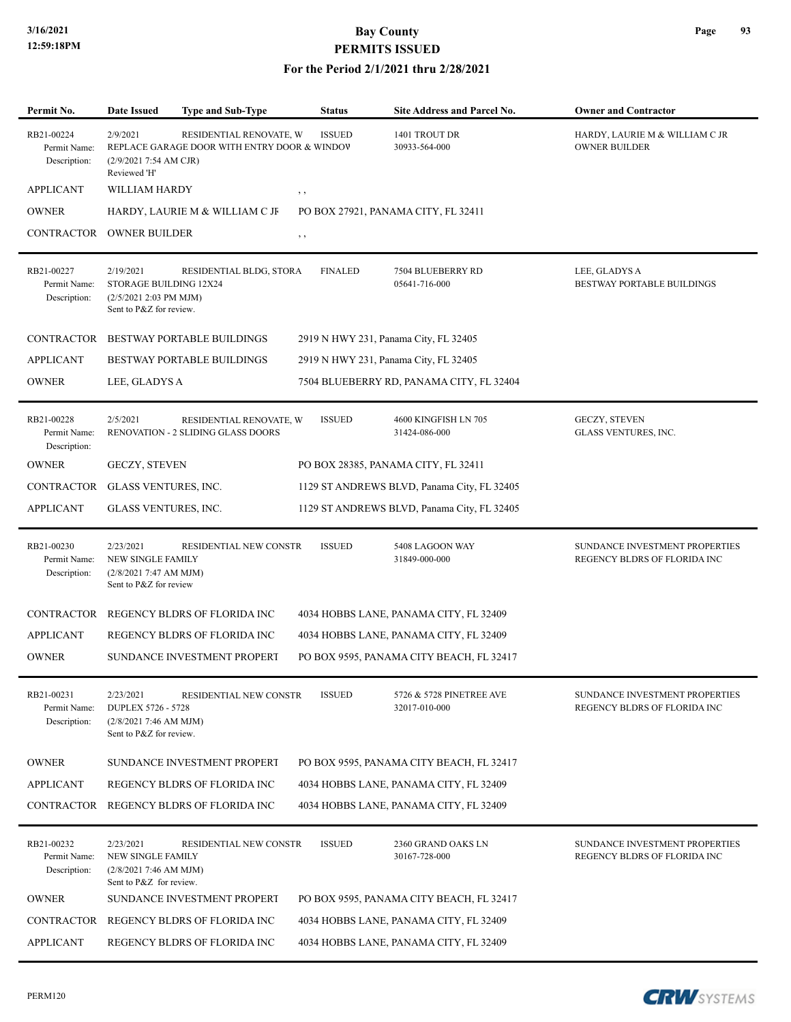| Permit No.                                 | <b>Date Issued</b>                                                                         | Type and Sub-Type                                                       | <b>Status</b>  | <b>Site Address and Parcel No.</b>          | <b>Owner and Contractor</b>                                    |
|--------------------------------------------|--------------------------------------------------------------------------------------------|-------------------------------------------------------------------------|----------------|---------------------------------------------|----------------------------------------------------------------|
| RB21-00224<br>Permit Name:<br>Description: | 2/9/2021<br>(2/9/2021 7:54 AM CJR)<br>Reviewed 'H'                                         | RESIDENTIAL RENOVATE, W<br>REPLACE GARAGE DOOR WITH ENTRY DOOR & WINDOV | <b>ISSUED</b>  | 1401 TROUT DR<br>30933-564-000              | HARDY, LAURIE M & WILLIAM C JR<br><b>OWNER BUILDER</b>         |
| <b>APPLICANT</b>                           | WILLIAM HARDY                                                                              |                                                                         | , ,            |                                             |                                                                |
| <b>OWNER</b>                               |                                                                                            | HARDY, LAURIE M & WILLIAM C JF                                          |                | PO BOX 27921, PANAMA CITY, FL 32411         |                                                                |
| CONTRACTOR                                 | <b>OWNER BUILDER</b>                                                                       |                                                                         | , ,            |                                             |                                                                |
| RB21-00227<br>Permit Name:<br>Description: | 2/19/2021<br>STORAGE BUILDING 12X24<br>(2/5/2021 2:03 PM MJM)<br>Sent to P&Z for review.   | RESIDENTIAL BLDG, STORA                                                 | <b>FINALED</b> | 7504 BLUEBERRY RD<br>05641-716-000          | LEE, GLADYS A<br>BESTWAY PORTABLE BUILDINGS                    |
|                                            |                                                                                            | CONTRACTOR BESTWAY PORTABLE BUILDINGS                                   |                | 2919 N HWY 231, Panama City, FL 32405       |                                                                |
| <b>APPLICANT</b>                           |                                                                                            | <b>BESTWAY PORTABLE BUILDINGS</b>                                       |                | 2919 N HWY 231, Panama City, FL 32405       |                                                                |
| <b>OWNER</b>                               | LEE, GLADYS A                                                                              |                                                                         |                | 7504 BLUEBERRY RD, PANAMA CITY, FL 32404    |                                                                |
| RB21-00228<br>Permit Name:<br>Description: | 2/5/2021                                                                                   | RESIDENTIAL RENOVATE, W<br>RENOVATION - 2 SLIDING GLASS DOORS           | <b>ISSUED</b>  | 4600 KINGFISH LN 705<br>31424-086-000       | <b>GECZY, STEVEN</b><br>GLASS VENTURES, INC.                   |
| <b>OWNER</b>                               | <b>GECZY, STEVEN</b>                                                                       |                                                                         |                | PO BOX 28385, PANAMA CITY, FL 32411         |                                                                |
| CONTRACTOR                                 | GLASS VENTURES, INC.                                                                       |                                                                         |                | 1129 ST ANDREWS BLVD, Panama City, FL 32405 |                                                                |
| <b>APPLICANT</b>                           | GLASS VENTURES, INC.                                                                       |                                                                         |                | 1129 ST ANDREWS BLVD, Panama City, FL 32405 |                                                                |
| RB21-00230<br>Permit Name:<br>Description: | 2/23/2021<br><b>NEW SINGLE FAMILY</b><br>(2/8/2021 7:47 AM MJM)<br>Sent to P&Z for review  | RESIDENTIAL NEW CONSTR                                                  | <b>ISSUED</b>  | 5408 LAGOON WAY<br>31849-000-000            | SUNDANCE INVESTMENT PROPERTIES<br>REGENCY BLDRS OF FLORIDA INC |
|                                            |                                                                                            | CONTRACTOR REGENCY BLDRS OF FLORIDA INC                                 |                | 4034 HOBBS LANE, PANAMA CITY, FL 32409      |                                                                |
| <b>APPLICANT</b>                           |                                                                                            | REGENCY BLDRS OF FLORIDA INC                                            |                | 4034 HOBBS LANE, PANAMA CITY, FL 32409      |                                                                |
| <b>OWNER</b>                               |                                                                                            | SUNDANCE INVESTMENT PROPERT                                             |                | PO BOX 9595, PANAMA CITY BEACH, FL 32417    |                                                                |
| RB21-00231<br>Permit Name:<br>Description: | 2/23/2021<br><b>DUPLEX 5726 - 5728</b><br>(2/8/20217:46 AM MJM)<br>Sent to P&Z for review. | RESIDENTIAL NEW CONSTR                                                  | <b>ISSUED</b>  | 5726 & 5728 PINETREE AVE<br>32017-010-000   | SUNDANCE INVESTMENT PROPERTIES<br>REGENCY BLDRS OF FLORIDA INC |
| <b>OWNER</b>                               |                                                                                            | SUNDANCE INVESTMENT PROPERT                                             |                | PO BOX 9595, PANAMA CITY BEACH, FL 32417    |                                                                |
| <b>APPLICANT</b>                           |                                                                                            | REGENCY BLDRS OF FLORIDA INC                                            |                | 4034 HOBBS LANE, PANAMA CITY, FL 32409      |                                                                |
|                                            |                                                                                            | CONTRACTOR REGENCY BLDRS OF FLORIDA INC                                 |                | 4034 HOBBS LANE, PANAMA CITY, FL 32409      |                                                                |
| RB21-00232<br>Permit Name:<br>Description: | 2/23/2021<br>NEW SINGLE FAMILY<br>(2/8/20217:46 AM MJM)<br>Sent to P&Z for review.         | RESIDENTIAL NEW CONSTR                                                  | <b>ISSUED</b>  | 2360 GRAND OAKS LN<br>30167-728-000         | SUNDANCE INVESTMENT PROPERTIES<br>REGENCY BLDRS OF FLORIDA INC |
| <b>OWNER</b>                               |                                                                                            | SUNDANCE INVESTMENT PROPERT                                             |                | PO BOX 9595, PANAMA CITY BEACH, FL 32417    |                                                                |
|                                            |                                                                                            | CONTRACTOR REGENCY BLDRS OF FLORIDA INC                                 |                | 4034 HOBBS LANE, PANAMA CITY, FL 32409      |                                                                |
| <b>APPLICANT</b>                           |                                                                                            | REGENCY BLDRS OF FLORIDA INC                                            |                | 4034 HOBBS LANE, PANAMA CITY, FL 32409      |                                                                |

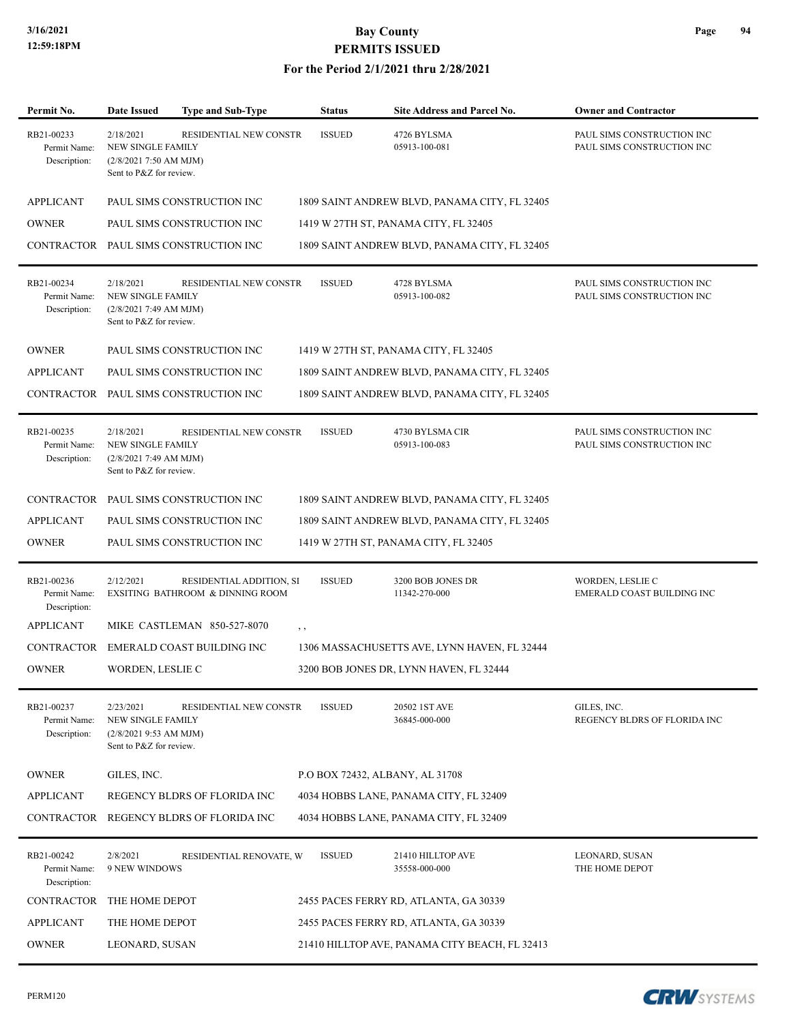#### **For the Period 2/1/2021 thru 2/28/2021**

| Permit No.                                 | <b>Date Issued</b>                                                                          | Type and Sub-Type                                            | <b>Status</b>                   | <b>Site Address and Parcel No.</b>             | <b>Owner and Contractor</b>                              |
|--------------------------------------------|---------------------------------------------------------------------------------------------|--------------------------------------------------------------|---------------------------------|------------------------------------------------|----------------------------------------------------------|
| RB21-00233<br>Permit Name:<br>Description: | 2/18/2021<br><b>NEW SINGLE FAMILY</b><br>$(2/8/20217:50$ AM MJM)<br>Sent to P&Z for review. | RESIDENTIAL NEW CONSTR                                       | <b>ISSUED</b>                   | 4726 BYLSMA<br>05913-100-081                   | PAUL SIMS CONSTRUCTION INC<br>PAUL SIMS CONSTRUCTION INC |
| <b>APPLICANT</b>                           |                                                                                             | PAUL SIMS CONSTRUCTION INC                                   |                                 | 1809 SAINT ANDREW BLVD, PANAMA CITY, FL 32405  |                                                          |
| <b>OWNER</b>                               |                                                                                             | PAUL SIMS CONSTRUCTION INC                                   |                                 | 1419 W 27TH ST, PANAMA CITY, FL 32405          |                                                          |
|                                            |                                                                                             | CONTRACTOR PAUL SIMS CONSTRUCTION INC                        |                                 | 1809 SAINT ANDREW BLVD, PANAMA CITY, FL 32405  |                                                          |
| RB21-00234<br>Permit Name:<br>Description: | 2/18/2021<br><b>NEW SINGLE FAMILY</b><br>(2/8/20217:49 AM MJM)<br>Sent to P&Z for review.   | <b>RESIDENTIAL NEW CONSTR</b>                                | <b>ISSUED</b>                   | 4728 BYLSMA<br>05913-100-082                   | PAUL SIMS CONSTRUCTION INC<br>PAUL SIMS CONSTRUCTION INC |
| <b>OWNER</b>                               |                                                                                             | PAUL SIMS CONSTRUCTION INC                                   |                                 | 1419 W 27TH ST, PANAMA CITY, FL 32405          |                                                          |
| <b>APPLICANT</b>                           |                                                                                             | PAUL SIMS CONSTRUCTION INC                                   |                                 | 1809 SAINT ANDREW BLVD, PANAMA CITY, FL 32405  |                                                          |
|                                            |                                                                                             | CONTRACTOR PAUL SIMS CONSTRUCTION INC                        |                                 | 1809 SAINT ANDREW BLVD, PANAMA CITY, FL 32405  |                                                          |
| RB21-00235<br>Permit Name:<br>Description: | 2/18/2021<br>NEW SINGLE FAMILY<br>(2/8/20217:49 AM MJM)<br>Sent to P&Z for review.          | RESIDENTIAL NEW CONSTR                                       | <b>ISSUED</b>                   | 4730 BYLSMA CIR<br>05913-100-083               | PAUL SIMS CONSTRUCTION INC<br>PAUL SIMS CONSTRUCTION INC |
|                                            |                                                                                             | CONTRACTOR PAUL SIMS CONSTRUCTION INC                        |                                 | 1809 SAINT ANDREW BLVD, PANAMA CITY, FL 32405  |                                                          |
| <b>APPLICANT</b>                           |                                                                                             | PAUL SIMS CONSTRUCTION INC                                   |                                 | 1809 SAINT ANDREW BLVD, PANAMA CITY, FL 32405  |                                                          |
| <b>OWNER</b>                               |                                                                                             | PAUL SIMS CONSTRUCTION INC                                   |                                 | 1419 W 27TH ST, PANAMA CITY, FL 32405          |                                                          |
| RB21-00236<br>Permit Name:<br>Description: | 2/12/2021                                                                                   | RESIDENTIAL ADDITION, SI<br>EXSITING BATHROOM & DINNING ROOM | <b>ISSUED</b>                   | 3200 BOB JONES DR<br>11342-270-000             | WORDEN, LESLIE C<br>EMERALD COAST BUILDING INC           |
| <b>APPLICANT</b>                           |                                                                                             | MIKE CASTLEMAN 850-527-8070                                  | $, \, , \,$                     |                                                |                                                          |
| CONTRACTOR                                 |                                                                                             | EMERALD COAST BUILDING INC                                   |                                 | 1306 MASSACHUSETTS AVE, LYNN HAVEN, FL 32444   |                                                          |
| <b>OWNER</b>                               | WORDEN, LESLIE C                                                                            |                                                              |                                 | 3200 BOB JONES DR, LYNN HAVEN, FL 32444        |                                                          |
| RB21-00237<br>Permit Name:<br>Description: | 2/23/2021<br>NEW SINGLE FAMILY<br>$(2/8/20219:53$ AM MJM)<br>Sent to P&Z for review.        | RESIDENTIAL NEW CONSTR                                       | <b>ISSUED</b>                   | 20502 1ST AVE<br>36845-000-000                 | GILES, INC.<br>REGENCY BLDRS OF FLORIDA INC              |
| <b>OWNER</b>                               | GILES, INC.                                                                                 |                                                              | P.O BOX 72432, ALBANY, AL 31708 |                                                |                                                          |
| <b>APPLICANT</b>                           |                                                                                             | REGENCY BLDRS OF FLORIDA INC                                 |                                 | 4034 HOBBS LANE, PANAMA CITY, FL 32409         |                                                          |
| CONTRACTOR                                 |                                                                                             | REGENCY BLDRS OF FLORIDA INC                                 |                                 | 4034 HOBBS LANE, PANAMA CITY, FL 32409         |                                                          |
| RB21-00242<br>Permit Name:<br>Description: | 2/8/2021<br>9 NEW WINDOWS                                                                   | RESIDENTIAL RENOVATE, W                                      | <b>ISSUED</b>                   | 21410 HILLTOP AVE<br>35558-000-000             | LEONARD, SUSAN<br>THE HOME DEPOT                         |
| CONTRACTOR                                 | THE HOME DEPOT                                                                              |                                                              |                                 | 2455 PACES FERRY RD, ATLANTA, GA 30339         |                                                          |
| <b>APPLICANT</b>                           | THE HOME DEPOT                                                                              |                                                              |                                 | 2455 PACES FERRY RD, ATLANTA, GA 30339         |                                                          |
| <b>OWNER</b>                               | LEONARD, SUSAN                                                                              |                                                              |                                 | 21410 HILLTOP AVE, PANAMA CITY BEACH, FL 32413 |                                                          |

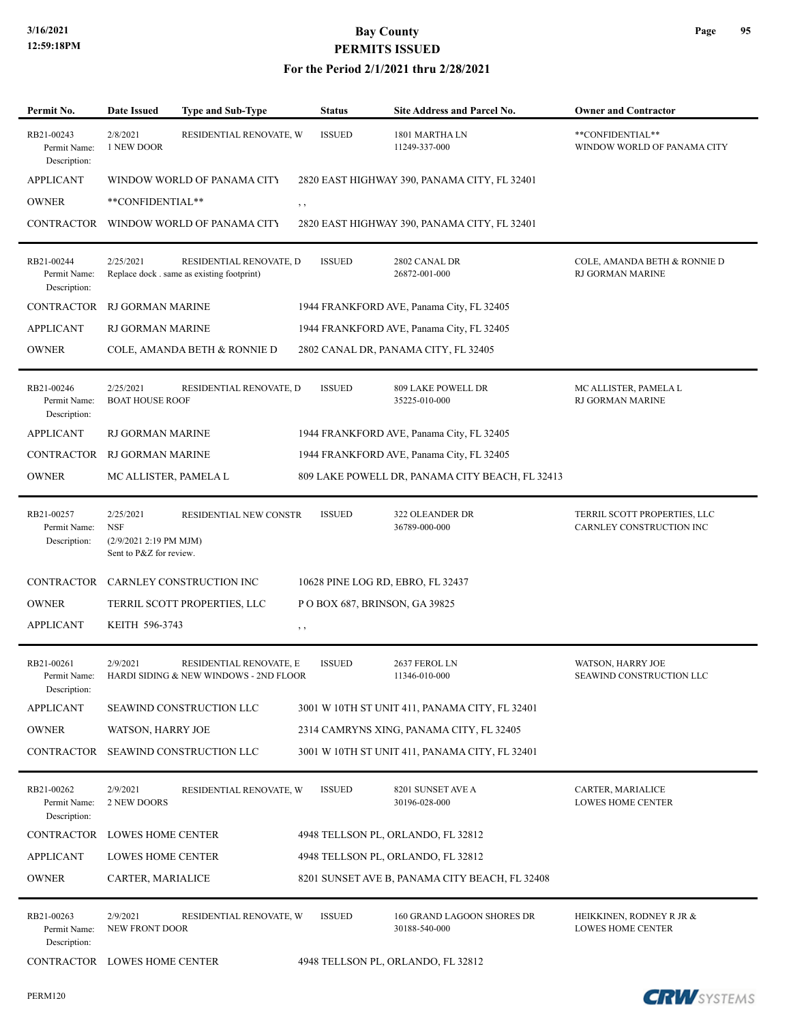#### **For the Period 2/1/2021 thru 2/28/2021**

| Permit No.                                 | <b>Date Issued</b>                                                           | <b>Type and Sub-Type</b>                                              | <b>Status</b> | <b>Site Address and Parcel No.</b>              | <b>Owner and Contractor</b>                              |
|--------------------------------------------|------------------------------------------------------------------------------|-----------------------------------------------------------------------|---------------|-------------------------------------------------|----------------------------------------------------------|
| RB21-00243<br>Permit Name:<br>Description: | 2/8/2021<br>1 NEW DOOR                                                       | RESIDENTIAL RENOVATE, W                                               | <b>ISSUED</b> | 1801 MARTHA LN<br>11249-337-000                 | **CONFIDENTIAL**<br>WINDOW WORLD OF PANAMA CITY          |
| <b>APPLICANT</b>                           |                                                                              | WINDOW WORLD OF PANAMA CITY                                           |               | 2820 EAST HIGHWAY 390, PANAMA CITY, FL 32401    |                                                          |
| <b>OWNER</b>                               | **CONFIDENTIAL**                                                             |                                                                       | $, \,$        |                                                 |                                                          |
| <b>CONTRACTOR</b>                          |                                                                              | WINDOW WORLD OF PANAMA CITY                                           |               | 2820 EAST HIGHWAY 390, PANAMA CITY, FL 32401    |                                                          |
| RB21-00244<br>Permit Name:<br>Description: | 2/25/2021                                                                    | RESIDENTIAL RENOVATE, D<br>Replace dock . same as existing footprint) | <b>ISSUED</b> | 2802 CANAL DR<br>26872-001-000                  | COLE, AMANDA BETH & RONNIE D<br>RJ GORMAN MARINE         |
| <b>CONTRACTOR</b>                          | <b>RJ GORMAN MARINE</b>                                                      |                                                                       |               | 1944 FRANKFORD AVE, Panama City, FL 32405       |                                                          |
| <b>APPLICANT</b>                           | RJ GORMAN MARINE                                                             |                                                                       |               | 1944 FRANKFORD AVE, Panama City, FL 32405       |                                                          |
| <b>OWNER</b>                               |                                                                              | COLE, AMANDA BETH & RONNIE D                                          |               | 2802 CANAL DR, PANAMA CITY, FL 32405            |                                                          |
| RB21-00246<br>Permit Name:<br>Description: | 2/25/2021<br><b>BOAT HOUSE ROOF</b>                                          | RESIDENTIAL RENOVATE, D                                               | <b>ISSUED</b> | 809 LAKE POWELL DR<br>35225-010-000             | MC ALLISTER, PAMELA L<br>RJ GORMAN MARINE                |
| <b>APPLICANT</b>                           | RJ GORMAN MARINE                                                             |                                                                       |               | 1944 FRANKFORD AVE, Panama City, FL 32405       |                                                          |
| CONTRACTOR                                 | RJ GORMAN MARINE                                                             |                                                                       |               | 1944 FRANKFORD AVE, Panama City, FL 32405       |                                                          |
| <b>OWNER</b>                               | MC ALLISTER, PAMELA L                                                        |                                                                       |               | 809 LAKE POWELL DR, PANAMA CITY BEACH, FL 32413 |                                                          |
| RB21-00257<br>Permit Name:<br>Description: | 2/25/2021<br><b>NSF</b><br>(2/9/2021 2:19 PM MJM)<br>Sent to P&Z for review. | RESIDENTIAL NEW CONSTR                                                | <b>ISSUED</b> | 322 OLEANDER DR<br>36789-000-000                | TERRIL SCOTT PROPERTIES, LLC<br>CARNLEY CONSTRUCTION INC |
| CONTRACTOR                                 |                                                                              | CARNLEY CONSTRUCTION INC                                              |               | 10628 PINE LOG RD, EBRO, FL 32437               |                                                          |
| <b>OWNER</b>                               |                                                                              | TERRIL SCOTT PROPERTIES, LLC                                          |               | POBOX 687, BRINSON, GA 39825                    |                                                          |
| <b>APPLICANT</b>                           | KEITH 596-3743                                                               |                                                                       | $, \, \cdot$  |                                                 |                                                          |
| RB21-00261<br>Permit Name:<br>Description: | 2/9/2021                                                                     | RESIDENTIAL RENOVATE, E<br>HARDI SIDING & NEW WINDOWS - 2ND FLOOR     | <b>ISSUED</b> | 2637 FEROL LN<br>11346-010-000                  | WATSON, HARRY JOE<br>SEAWIND CONSTRUCTION LLC            |
| <b>APPLICANT</b>                           |                                                                              | SEAWIND CONSTRUCTION LLC                                              |               | 3001 W 10TH ST UNIT 411, PANAMA CITY, FL 32401  |                                                          |
| <b>OWNER</b>                               | WATSON, HARRY JOE                                                            |                                                                       |               | 2314 CAMRYNS XING, PANAMA CITY, FL 32405        |                                                          |
| CONTRACTOR                                 |                                                                              | SEAWIND CONSTRUCTION LLC                                              |               | 3001 W 10TH ST UNIT 411, PANAMA CITY, FL 32401  |                                                          |
| RB21-00262<br>Permit Name:<br>Description: | 2/9/2021<br>2 NEW DOORS                                                      | RESIDENTIAL RENOVATE, W                                               | <b>ISSUED</b> | 8201 SUNSET AVE A<br>30196-028-000              | CARTER, MARIALICE<br>LOWES HOME CENTER                   |
| CONTRACTOR                                 | <b>LOWES HOME CENTER</b>                                                     |                                                                       |               | 4948 TELLSON PL, ORLANDO, FL 32812              |                                                          |
| <b>APPLICANT</b>                           | LOWES HOME CENTER                                                            |                                                                       |               | 4948 TELLSON PL, ORLANDO, FL 32812              |                                                          |
| <b>OWNER</b>                               | CARTER, MARIALICE                                                            |                                                                       |               | 8201 SUNSET AVE B, PANAMA CITY BEACH, FL 32408  |                                                          |
| RB21-00263<br>Permit Name:<br>Description: | 2/9/2021<br>NEW FRONT DOOR                                                   | RESIDENTIAL RENOVATE, W                                               | <b>ISSUED</b> | 160 GRAND LAGOON SHORES DR<br>30188-540-000     | HEIKKINEN, RODNEY R JR &<br><b>LOWES HOME CENTER</b>     |
| CONTRACTOR LOWES HOME CENTER               |                                                                              |                                                                       |               | 4948 TELLSON PL, ORLANDO, FL 32812              |                                                          |

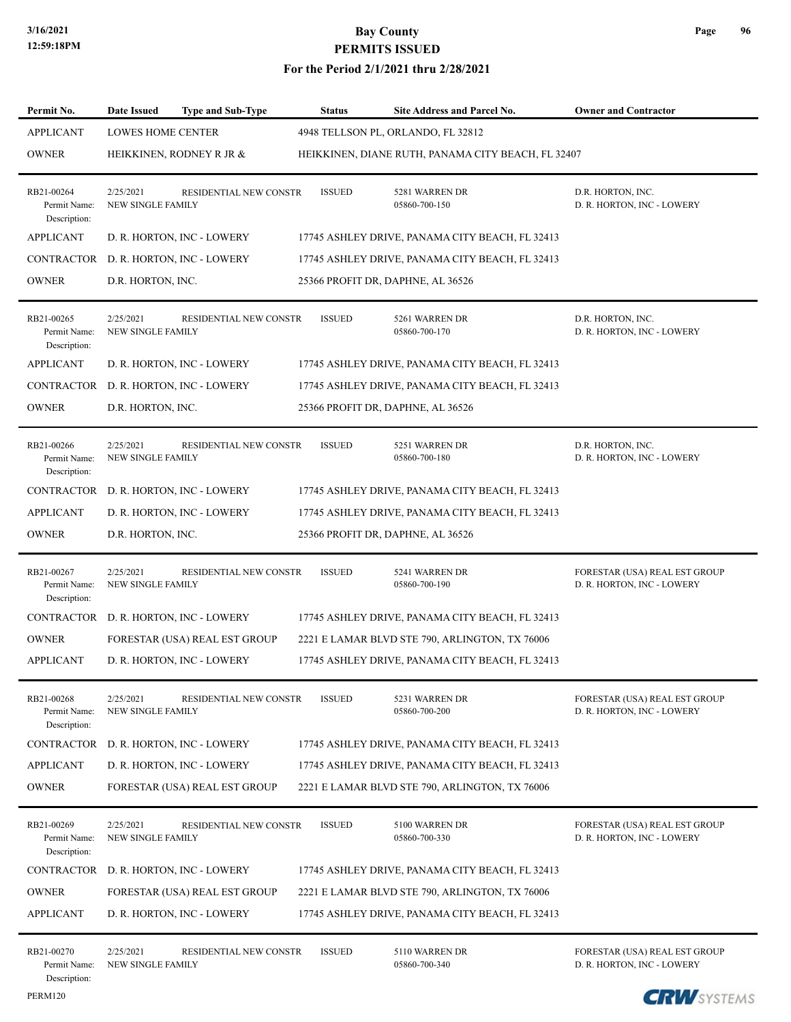| Permit No.                                 | Date Issued                           | <b>Type and Sub-Type</b>              | <b>Status</b> | Site Address and Parcel No.                        | <b>Owner and Contractor</b>                                 |
|--------------------------------------------|---------------------------------------|---------------------------------------|---------------|----------------------------------------------------|-------------------------------------------------------------|
| <b>APPLICANT</b>                           | <b>LOWES HOME CENTER</b>              |                                       |               | 4948 TELLSON PL, ORLANDO, FL 32812                 |                                                             |
| <b>OWNER</b>                               |                                       | HEIKKINEN, RODNEY R JR &              |               | HEIKKINEN, DIANE RUTH, PANAMA CITY BEACH, FL 32407 |                                                             |
| RB21-00264<br>Permit Name:<br>Description: | 2/25/2021<br><b>NEW SINGLE FAMILY</b> | <b>RESIDENTIAL NEW CONSTR</b>         | <b>ISSUED</b> | 5281 WARREN DR<br>05860-700-150                    | D.R. HORTON, INC.<br>D. R. HORTON, INC - LOWERY             |
| <b>APPLICANT</b>                           |                                       | D. R. HORTON, INC - LOWERY            |               | 17745 ASHLEY DRIVE, PANAMA CITY BEACH, FL 32413    |                                                             |
|                                            |                                       | CONTRACTOR D. R. HORTON, INC - LOWERY |               | 17745 ASHLEY DRIVE, PANAMA CITY BEACH, FL 32413    |                                                             |
| <b>OWNER</b>                               | D.R. HORTON, INC.                     |                                       |               | 25366 PROFIT DR, DAPHNE, AL 36526                  |                                                             |
| RB21-00265<br>Permit Name:<br>Description: | 2/25/2021<br><b>NEW SINGLE FAMILY</b> | RESIDENTIAL NEW CONSTR                | <b>ISSUED</b> | 5261 WARREN DR<br>05860-700-170                    | D.R. HORTON, INC.<br>D. R. HORTON, INC - LOWERY             |
| <b>APPLICANT</b>                           |                                       | D. R. HORTON, INC - LOWERY            |               | 17745 ASHLEY DRIVE, PANAMA CITY BEACH, FL 32413    |                                                             |
|                                            |                                       | CONTRACTOR D. R. HORTON, INC - LOWERY |               | 17745 ASHLEY DRIVE, PANAMA CITY BEACH, FL 32413    |                                                             |
| <b>OWNER</b>                               | D.R. HORTON, INC.                     |                                       |               | 25366 PROFIT DR, DAPHNE, AL 36526                  |                                                             |
| RB21-00266<br>Permit Name:<br>Description: | 2/25/2021<br><b>NEW SINGLE FAMILY</b> | RESIDENTIAL NEW CONSTR                | <b>ISSUED</b> | 5251 WARREN DR<br>05860-700-180                    | D.R. HORTON, INC.<br>D. R. HORTON, INC - LOWERY             |
|                                            |                                       | CONTRACTOR D. R. HORTON, INC - LOWERY |               | 17745 ASHLEY DRIVE, PANAMA CITY BEACH, FL 32413    |                                                             |
| <b>APPLICANT</b>                           |                                       | D. R. HORTON, INC - LOWERY            |               | 17745 ASHLEY DRIVE, PANAMA CITY BEACH, FL 32413    |                                                             |
| <b>OWNER</b>                               | D.R. HORTON, INC.                     |                                       |               | 25366 PROFIT DR, DAPHNE, AL 36526                  |                                                             |
| RB21-00267<br>Permit Name:<br>Description: | 2/25/2021<br><b>NEW SINGLE FAMILY</b> | RESIDENTIAL NEW CONSTR                | <b>ISSUED</b> | 5241 WARREN DR<br>05860-700-190                    | FORESTAR (USA) REAL EST GROUP<br>D. R. HORTON, INC - LOWERY |
|                                            |                                       | CONTRACTOR D. R. HORTON, INC - LOWERY |               | 17745 ASHLEY DRIVE, PANAMA CITY BEACH, FL 32413    |                                                             |
| <b>OWNER</b>                               |                                       | FORESTAR (USA) REAL EST GROUP         |               | 2221 E LAMAR BLVD STE 790, ARLINGTON, TX 76006     |                                                             |
| <b>APPLICANT</b>                           |                                       | D. R. HORTON, INC - LOWERY            |               | 17745 ASHLEY DRIVE, PANAMA CITY BEACH, FL 32413    |                                                             |
| RB21-00268<br>Permit Name:<br>Description: | 2/25/2021<br>NEW SINGLE FAMILY        | RESIDENTIAL NEW CONSTR                | <b>ISSUED</b> | 5231 WARREN DR<br>05860-700-200                    | FORESTAR (USA) REAL EST GROUP<br>D. R. HORTON, INC - LOWERY |
| CONTRACTOR                                 |                                       | D. R. HORTON, INC - LOWERY            |               | 17745 ASHLEY DRIVE, PANAMA CITY BEACH, FL 32413    |                                                             |
| <b>APPLICANT</b>                           |                                       | D. R. HORTON, INC - LOWERY            |               | 17745 ASHLEY DRIVE, PANAMA CITY BEACH, FL 32413    |                                                             |
| <b>OWNER</b>                               |                                       | FORESTAR (USA) REAL EST GROUP         |               | 2221 E LAMAR BLVD STE 790, ARLINGTON, TX 76006     |                                                             |
| RB21-00269<br>Permit Name:<br>Description: | 2/25/2021<br><b>NEW SINGLE FAMILY</b> | RESIDENTIAL NEW CONSTR                | <b>ISSUED</b> | 5100 WARREN DR<br>05860-700-330                    | FORESTAR (USA) REAL EST GROUP<br>D. R. HORTON, INC - LOWERY |
| CONTRACTOR                                 |                                       | D. R. HORTON, INC - LOWERY            |               | 17745 ASHLEY DRIVE, PANAMA CITY BEACH, FL 32413    |                                                             |
| <b>OWNER</b>                               |                                       | FORESTAR (USA) REAL EST GROUP         |               | 2221 E LAMAR BLVD STE 790, ARLINGTON, TX 76006     |                                                             |
| <b>APPLICANT</b>                           |                                       | D. R. HORTON, INC - LOWERY            |               | 17745 ASHLEY DRIVE, PANAMA CITY BEACH, FL 32413    |                                                             |
| RB21-00270<br>Permit Name:<br>Description: | 2/25/2021<br><b>NEW SINGLE FAMILY</b> | RESIDENTIAL NEW CONSTR                | <b>ISSUED</b> | 5110 WARREN DR<br>05860-700-340                    | FORESTAR (USA) REAL EST GROUP<br>D. R. HORTON, INC - LOWERY |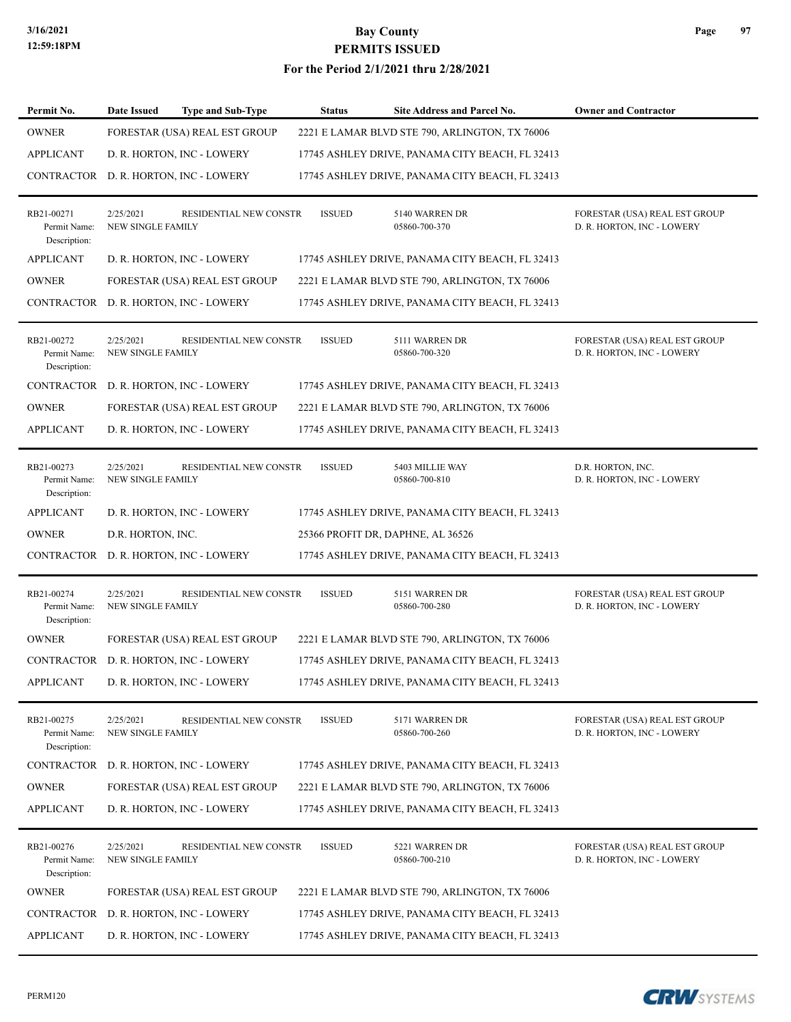#### **For the Period 2/1/2021 thru 2/28/2021**

| Permit No.                                 | <b>Date Issued</b>                    | <b>Type and Sub-Type</b>              | <b>Status</b> | Site Address and Parcel No.                     | <b>Owner and Contractor</b>                                 |
|--------------------------------------------|---------------------------------------|---------------------------------------|---------------|-------------------------------------------------|-------------------------------------------------------------|
| <b>OWNER</b>                               |                                       | FORESTAR (USA) REAL EST GROUP         |               | 2221 E LAMAR BLVD STE 790, ARLINGTON, TX 76006  |                                                             |
| <b>APPLICANT</b>                           |                                       | D. R. HORTON, INC - LOWERY            |               | 17745 ASHLEY DRIVE, PANAMA CITY BEACH, FL 32413 |                                                             |
| CONTRACTOR                                 |                                       | D. R. HORTON, INC - LOWERY            |               | 17745 ASHLEY DRIVE, PANAMA CITY BEACH, FL 32413 |                                                             |
| RB21-00271<br>Permit Name:<br>Description: | 2/25/2021<br><b>NEW SINGLE FAMILY</b> | RESIDENTIAL NEW CONSTR                | <b>ISSUED</b> | 5140 WARREN DR<br>05860-700-370                 | FORESTAR (USA) REAL EST GROUP<br>D. R. HORTON, INC - LOWERY |
| <b>APPLICANT</b>                           |                                       | D. R. HORTON, INC - LOWERY            |               | 17745 ASHLEY DRIVE, PANAMA CITY BEACH, FL 32413 |                                                             |
| <b>OWNER</b>                               |                                       | FORESTAR (USA) REAL EST GROUP         |               | 2221 E LAMAR BLVD STE 790, ARLINGTON, TX 76006  |                                                             |
| CONTRACTOR                                 |                                       | D. R. HORTON, INC - LOWERY            |               | 17745 ASHLEY DRIVE, PANAMA CITY BEACH, FL 32413 |                                                             |
| RB21-00272<br>Permit Name:<br>Description: | 2/25/2021<br><b>NEW SINGLE FAMILY</b> | RESIDENTIAL NEW CONSTR                | <b>ISSUED</b> | 5111 WARREN DR<br>05860-700-320                 | FORESTAR (USA) REAL EST GROUP<br>D. R. HORTON, INC - LOWERY |
| CONTRACTOR                                 |                                       | D. R. HORTON, INC - LOWERY            |               | 17745 ASHLEY DRIVE, PANAMA CITY BEACH, FL 32413 |                                                             |
| <b>OWNER</b>                               |                                       | FORESTAR (USA) REAL EST GROUP         |               | 2221 E LAMAR BLVD STE 790, ARLINGTON, TX 76006  |                                                             |
| <b>APPLICANT</b>                           |                                       | D. R. HORTON, INC - LOWERY            |               | 17745 ASHLEY DRIVE, PANAMA CITY BEACH, FL 32413 |                                                             |
| RB21-00273<br>Permit Name:<br>Description: | 2/25/2021<br>NEW SINGLE FAMILY        | RESIDENTIAL NEW CONSTR                | <b>ISSUED</b> | 5403 MILLIE WAY<br>05860-700-810                | D.R. HORTON, INC.<br>D. R. HORTON, INC - LOWERY             |
| <b>APPLICANT</b>                           |                                       | D. R. HORTON, INC - LOWERY            |               | 17745 ASHLEY DRIVE, PANAMA CITY BEACH, FL 32413 |                                                             |
| <b>OWNER</b>                               | D.R. HORTON, INC.                     |                                       |               | 25366 PROFIT DR, DAPHNE, AL 36526               |                                                             |
| CONTRACTOR                                 |                                       | D. R. HORTON, INC - LOWERY            |               | 17745 ASHLEY DRIVE, PANAMA CITY BEACH, FL 32413 |                                                             |
| RB21-00274<br>Permit Name:<br>Description: | 2/25/2021<br><b>NEW SINGLE FAMILY</b> | RESIDENTIAL NEW CONSTR                | <b>ISSUED</b> | 5151 WARREN DR<br>05860-700-280                 | FORESTAR (USA) REAL EST GROUP<br>D. R. HORTON, INC - LOWERY |
| <b>OWNER</b>                               |                                       | FORESTAR (USA) REAL EST GROUP         |               | 2221 E LAMAR BLVD STE 790, ARLINGTON, TX 76006  |                                                             |
|                                            |                                       | CONTRACTOR D. R. HORTON, INC - LOWERY |               | 17745 ASHLEY DRIVE, PANAMA CITY BEACH, FL 32413 |                                                             |
| APPLICANT                                  |                                       | D. R. HORTON, INC - LOWERY            |               | 17745 ASHLEY DRIVE, PANAMA CITY BEACH, FL 32413 |                                                             |
| RB21-00275<br>Permit Name:<br>Description: | 2/25/2021<br>NEW SINGLE FAMILY        | RESIDENTIAL NEW CONSTR                | <b>ISSUED</b> | 5171 WARREN DR<br>05860-700-260                 | FORESTAR (USA) REAL EST GROUP<br>D. R. HORTON, INC - LOWERY |
| <b>CONTRACTOR</b>                          |                                       | D. R. HORTON, INC - LOWERY            |               | 17745 ASHLEY DRIVE, PANAMA CITY BEACH, FL 32413 |                                                             |
| <b>OWNER</b>                               |                                       | FORESTAR (USA) REAL EST GROUP         |               | 2221 E LAMAR BLVD STE 790, ARLINGTON, TX 76006  |                                                             |
| <b>APPLICANT</b>                           |                                       | D. R. HORTON, INC - LOWERY            |               | 17745 ASHLEY DRIVE, PANAMA CITY BEACH, FL 32413 |                                                             |
| RB21-00276<br>Permit Name:<br>Description: | 2/25/2021<br>NEW SINGLE FAMILY        | RESIDENTIAL NEW CONSTR                | <b>ISSUED</b> | 5221 WARREN DR<br>05860-700-210                 | FORESTAR (USA) REAL EST GROUP<br>D. R. HORTON, INC - LOWERY |
| <b>OWNER</b>                               |                                       | FORESTAR (USA) REAL EST GROUP         |               | 2221 E LAMAR BLVD STE 790, ARLINGTON, TX 76006  |                                                             |
| CONTRACTOR                                 |                                       | D. R. HORTON, INC - LOWERY            |               | 17745 ASHLEY DRIVE, PANAMA CITY BEACH, FL 32413 |                                                             |
| <b>APPLICANT</b>                           |                                       | D. R. HORTON, INC - LOWERY            |               | 17745 ASHLEY DRIVE, PANAMA CITY BEACH, FL 32413 |                                                             |



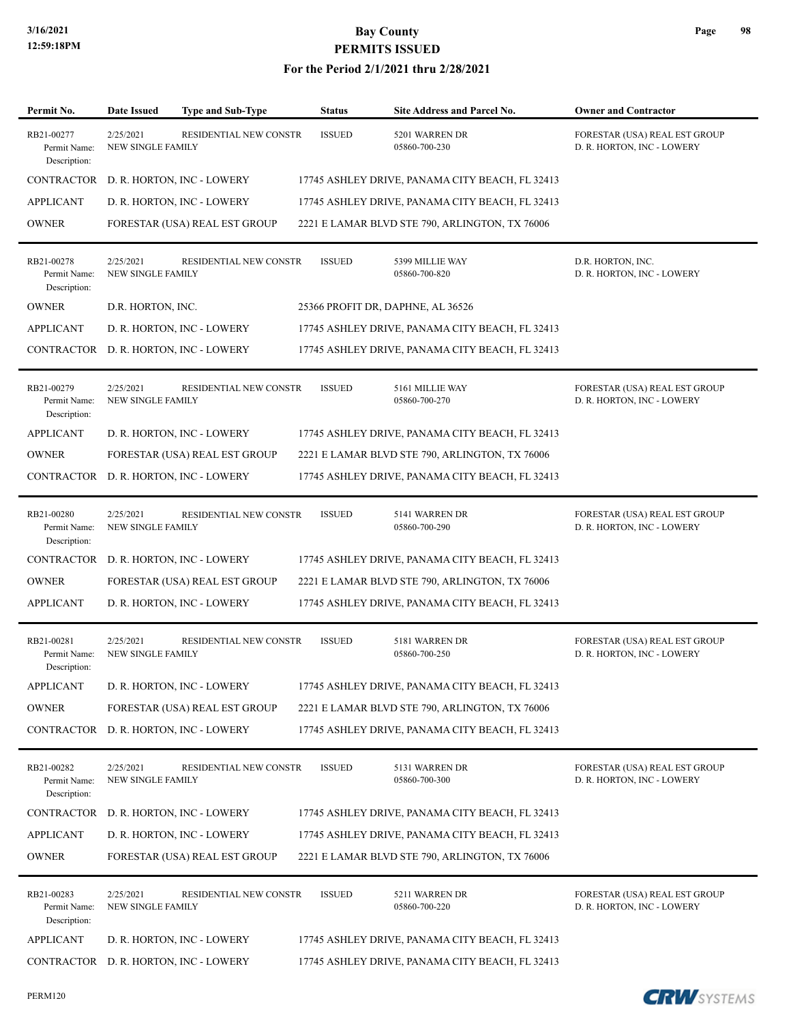| Permit No.                                 | Date Issued                           | <b>Type and Sub-Type</b>      | <b>Status</b> | Site Address and Parcel No.                     | <b>Owner and Contractor</b>                                 |
|--------------------------------------------|---------------------------------------|-------------------------------|---------------|-------------------------------------------------|-------------------------------------------------------------|
| RB21-00277<br>Permit Name:<br>Description: | 2/25/2021<br>NEW SINGLE FAMILY        | RESIDENTIAL NEW CONSTR        | <b>ISSUED</b> | 5201 WARREN DR<br>05860-700-230                 | FORESTAR (USA) REAL EST GROUP<br>D. R. HORTON, INC - LOWERY |
| <b>CONTRACTOR</b>                          |                                       | D. R. HORTON, INC - LOWERY    |               | 17745 ASHLEY DRIVE, PANAMA CITY BEACH, FL 32413 |                                                             |
| <b>APPLICANT</b>                           |                                       | D. R. HORTON, INC - LOWERY    |               | 17745 ASHLEY DRIVE, PANAMA CITY BEACH, FL 32413 |                                                             |
| <b>OWNER</b>                               |                                       | FORESTAR (USA) REAL EST GROUP |               | 2221 E LAMAR BLVD STE 790, ARLINGTON, TX 76006  |                                                             |
| RB21-00278<br>Permit Name:<br>Description: | 2/25/2021<br>NEW SINGLE FAMILY        | RESIDENTIAL NEW CONSTR        | <b>ISSUED</b> | 5399 MILLIE WAY<br>05860-700-820                | D.R. HORTON, INC.<br>D. R. HORTON, INC - LOWERY             |
| <b>OWNER</b>                               | D.R. HORTON, INC.                     |                               |               | 25366 PROFIT DR, DAPHNE, AL 36526               |                                                             |
| <b>APPLICANT</b>                           |                                       | D. R. HORTON, INC - LOWERY    |               | 17745 ASHLEY DRIVE, PANAMA CITY BEACH, FL 32413 |                                                             |
| <b>CONTRACTOR</b>                          |                                       | D. R. HORTON, INC - LOWERY    |               | 17745 ASHLEY DRIVE, PANAMA CITY BEACH, FL 32413 |                                                             |
| RB21-00279<br>Permit Name:<br>Description: | 2/25/2021<br><b>NEW SINGLE FAMILY</b> | RESIDENTIAL NEW CONSTR        | <b>ISSUED</b> | 5161 MILLIE WAY<br>05860-700-270                | FORESTAR (USA) REAL EST GROUP<br>D. R. HORTON, INC - LOWERY |
| <b>APPLICANT</b>                           |                                       | D. R. HORTON, INC - LOWERY    |               | 17745 ASHLEY DRIVE, PANAMA CITY BEACH, FL 32413 |                                                             |
| <b>OWNER</b>                               |                                       | FORESTAR (USA) REAL EST GROUP |               | 2221 E LAMAR BLVD STE 790, ARLINGTON, TX 76006  |                                                             |
| CONTRACTOR                                 |                                       | D. R. HORTON, INC - LOWERY    |               | 17745 ASHLEY DRIVE, PANAMA CITY BEACH, FL 32413 |                                                             |
| RB21-00280<br>Permit Name:<br>Description: | 2/25/2021<br>NEW SINGLE FAMILY        | RESIDENTIAL NEW CONSTR        | <b>ISSUED</b> | 5141 WARREN DR<br>05860-700-290                 | FORESTAR (USA) REAL EST GROUP<br>D. R. HORTON, INC - LOWERY |
| CONTRACTOR                                 |                                       | D. R. HORTON, INC - LOWERY    |               | 17745 ASHLEY DRIVE, PANAMA CITY BEACH, FL 32413 |                                                             |
| <b>OWNER</b>                               |                                       | FORESTAR (USA) REAL EST GROUP |               | 2221 E LAMAR BLVD STE 790, ARLINGTON, TX 76006  |                                                             |
| <b>APPLICANT</b>                           |                                       | D. R. HORTON, INC - LOWERY    |               | 17745 ASHLEY DRIVE, PANAMA CITY BEACH, FL 32413 |                                                             |
| RB21-00281<br>Permit Name:<br>Description: | 2/25/2021<br><b>NEW SINGLE FAMILY</b> | RESIDENTIAL NEW CONSTR        | <b>ISSUED</b> | 5181 WARREN DR<br>05860-700-250                 | FORESTAR (USA) REAL EST GROUP<br>D. R. HORTON, INC - LOWERY |
| <b>APPLICANT</b>                           |                                       | D. R. HORTON, INC - LOWERY    |               | 17745 ASHLEY DRIVE, PANAMA CITY BEACH, FL 32413 |                                                             |
| <b>OWNER</b>                               |                                       | FORESTAR (USA) REAL EST GROUP |               | 2221 E LAMAR BLVD STE 790, ARLINGTON, TX 76006  |                                                             |
| CONTRACTOR                                 |                                       | D. R. HORTON, INC - LOWERY    |               | 17745 ASHLEY DRIVE, PANAMA CITY BEACH, FL 32413 |                                                             |
| RB21-00282<br>Permit Name:<br>Description: | 2/25/2021<br>NEW SINGLE FAMILY        | RESIDENTIAL NEW CONSTR        | <b>ISSUED</b> | 5131 WARREN DR<br>05860-700-300                 | FORESTAR (USA) REAL EST GROUP<br>D. R. HORTON, INC - LOWERY |
| CONTRACTOR                                 |                                       | D. R. HORTON, INC - LOWERY    |               | 17745 ASHLEY DRIVE, PANAMA CITY BEACH, FL 32413 |                                                             |
| <b>APPLICANT</b>                           |                                       | D. R. HORTON, INC - LOWERY    |               | 17745 ASHLEY DRIVE, PANAMA CITY BEACH, FL 32413 |                                                             |
| <b>OWNER</b>                               |                                       | FORESTAR (USA) REAL EST GROUP |               | 2221 E LAMAR BLVD STE 790, ARLINGTON, TX 76006  |                                                             |
| RB21-00283<br>Permit Name:<br>Description: | 2/25/2021<br>NEW SINGLE FAMILY        | RESIDENTIAL NEW CONSTR        | <b>ISSUED</b> | 5211 WARREN DR<br>05860-700-220                 | FORESTAR (USA) REAL EST GROUP<br>D. R. HORTON, INC - LOWERY |
| <b>APPLICANT</b>                           |                                       | D. R. HORTON, INC - LOWERY    |               | 17745 ASHLEY DRIVE, PANAMA CITY BEACH, FL 32413 |                                                             |
| CONTRACTOR                                 |                                       | D. R. HORTON, INC - LOWERY    |               | 17745 ASHLEY DRIVE, PANAMA CITY BEACH, FL 32413 |                                                             |

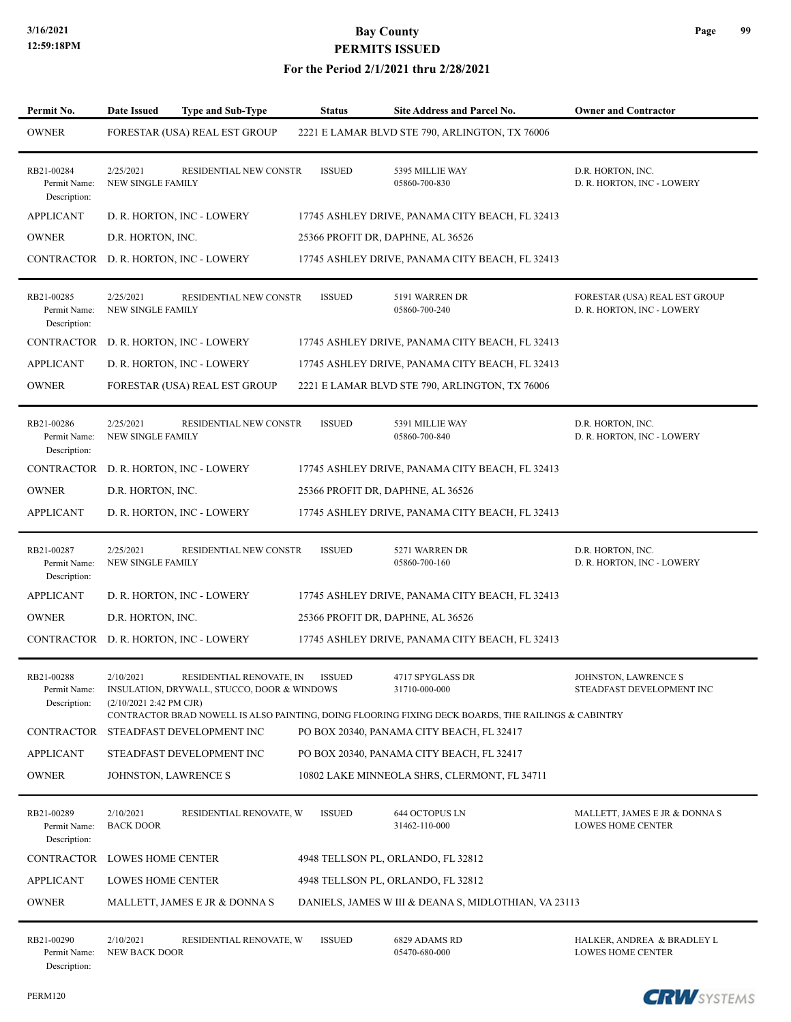#### **For the Period 2/1/2021 thru 2/28/2021**

| Permit No.                                 | Date Issued                                                                         | <b>Type and Sub-Type</b> | <b>Status</b> | <b>Site Address and Parcel No.</b>                                                                                                               | <b>Owner and Contractor</b>                                 |
|--------------------------------------------|-------------------------------------------------------------------------------------|--------------------------|---------------|--------------------------------------------------------------------------------------------------------------------------------------------------|-------------------------------------------------------------|
| <b>OWNER</b>                               | FORESTAR (USA) REAL EST GROUP                                                       |                          |               | 2221 E LAMAR BLVD STE 790, ARLINGTON, TX 76006                                                                                                   |                                                             |
| RB21-00284<br>Permit Name:<br>Description: | 2/25/2021<br><b>NEW SINGLE FAMILY</b>                                               | RESIDENTIAL NEW CONSTR   | <b>ISSUED</b> | 5395 MILLIE WAY<br>05860-700-830                                                                                                                 | D.R. HORTON, INC.<br>D. R. HORTON, INC - LOWERY             |
| <b>APPLICANT</b>                           | D. R. HORTON, INC - LOWERY                                                          |                          |               | 17745 ASHLEY DRIVE, PANAMA CITY BEACH, FL 32413                                                                                                  |                                                             |
| <b>OWNER</b>                               | D.R. HORTON, INC.                                                                   |                          |               | 25366 PROFIT DR, DAPHNE, AL 36526                                                                                                                |                                                             |
| CONTRACTOR                                 | D. R. HORTON, INC - LOWERY                                                          |                          |               | 17745 ASHLEY DRIVE, PANAMA CITY BEACH, FL 32413                                                                                                  |                                                             |
| RB21-00285<br>Permit Name:<br>Description: | 2/25/2021<br><b>NEW SINGLE FAMILY</b>                                               | RESIDENTIAL NEW CONSTR   | <b>ISSUED</b> | 5191 WARREN DR<br>05860-700-240                                                                                                                  | FORESTAR (USA) REAL EST GROUP<br>D. R. HORTON, INC - LOWERY |
| CONTRACTOR                                 | D. R. HORTON, INC - LOWERY                                                          |                          |               | 17745 ASHLEY DRIVE, PANAMA CITY BEACH, FL 32413                                                                                                  |                                                             |
| <b>APPLICANT</b>                           | D. R. HORTON, INC - LOWERY                                                          |                          |               | 17745 ASHLEY DRIVE, PANAMA CITY BEACH, FL 32413                                                                                                  |                                                             |
| <b>OWNER</b>                               | FORESTAR (USA) REAL EST GROUP                                                       |                          |               | 2221 E LAMAR BLVD STE 790, ARLINGTON, TX 76006                                                                                                   |                                                             |
| RB21-00286<br>Permit Name:<br>Description: | 2/25/2021<br><b>NEW SINGLE FAMILY</b>                                               | RESIDENTIAL NEW CONSTR   | <b>ISSUED</b> | 5391 MILLIE WAY<br>05860-700-840                                                                                                                 | D.R. HORTON, INC.<br>D. R. HORTON, INC - LOWERY             |
| CONTRACTOR                                 | D. R. HORTON, INC - LOWERY                                                          |                          |               | 17745 ASHLEY DRIVE, PANAMA CITY BEACH, FL 32413                                                                                                  |                                                             |
| <b>OWNER</b>                               | D.R. HORTON, INC.                                                                   |                          |               | 25366 PROFIT DR, DAPHNE, AL 36526                                                                                                                |                                                             |
| APPLICANT                                  | D. R. HORTON, INC - LOWERY                                                          |                          |               | 17745 ASHLEY DRIVE, PANAMA CITY BEACH, FL 32413                                                                                                  |                                                             |
| RB21-00287<br>Permit Name:<br>Description: | 2/25/2021<br><b>NEW SINGLE FAMILY</b>                                               | RESIDENTIAL NEW CONSTR   | <b>ISSUED</b> | 5271 WARREN DR<br>05860-700-160                                                                                                                  | D.R. HORTON, INC.<br>D. R. HORTON, INC - LOWERY             |
| <b>APPLICANT</b>                           | D. R. HORTON, INC - LOWERY                                                          |                          |               | 17745 ASHLEY DRIVE, PANAMA CITY BEACH, FL 32413                                                                                                  |                                                             |
| <b>OWNER</b>                               | D.R. HORTON, INC.                                                                   |                          |               | 25366 PROFIT DR, DAPHNE, AL 36526                                                                                                                |                                                             |
|                                            | CONTRACTOR D. R. HORTON, INC - LOWERY                                               |                          |               | 17745 ASHLEY DRIVE, PANAMA CITY BEACH, FL 32413                                                                                                  |                                                             |
| RB21-00288<br>Permit Name:<br>Description: | 2/10/2021<br>INSULATION, DRYWALL, STUCCO, DOOR & WINDOWS<br>(2/10/2021 2:42 PM CJR) | RESIDENTIAL RENOVATE, IN | <b>ISSUED</b> | 4717 SPYGLASS DR<br>31710-000-000                                                                                                                | JOHNSTON, LAWRENCE S<br>STEADFAST DEVELOPMENT INC           |
| CONTRACTOR                                 | STEADFAST DEVELOPMENT INC                                                           |                          |               | CONTRACTOR BRAD NOWELL IS ALSO PAINTING, DOING FLOORING FIXING DECK BOARDS, THE RAILINGS & CABINTRY<br>PO BOX 20340, PANAMA CITY BEACH, FL 32417 |                                                             |
| <b>APPLICANT</b>                           | STEADFAST DEVELOPMENT INC                                                           |                          |               | PO BOX 20340, PANAMA CITY BEACH, FL 32417                                                                                                        |                                                             |
| <b>OWNER</b>                               | JOHNSTON, LAWRENCE S                                                                |                          |               | 10802 LAKE MINNEOLA SHRS, CLERMONT, FL 34711                                                                                                     |                                                             |
| RB21-00289<br>Permit Name:<br>Description: | 2/10/2021<br><b>BACK DOOR</b>                                                       | RESIDENTIAL RENOVATE, W  | <b>ISSUED</b> | 644 OCTOPUS LN<br>31462-110-000                                                                                                                  | MALLETT, JAMES E JR & DONNA S<br>LOWES HOME CENTER          |
| CONTRACTOR                                 | LOWES HOME CENTER                                                                   |                          |               | 4948 TELLSON PL, ORLANDO, FL 32812                                                                                                               |                                                             |
| <b>APPLICANT</b>                           | LOWES HOME CENTER                                                                   |                          |               | 4948 TELLSON PL, ORLANDO, FL 32812                                                                                                               |                                                             |
| <b>OWNER</b>                               | MALLETT, JAMES E JR & DONNA S                                                       |                          |               | DANIELS, JAMES W III & DEANA S, MIDLOTHIAN, VA 23113                                                                                             |                                                             |
| RB21-00290<br>Permit Name:<br>Description: | 2/10/2021<br>NEW BACK DOOR                                                          | RESIDENTIAL RENOVATE, W  | <b>ISSUED</b> | 6829 ADAMS RD<br>05470-680-000                                                                                                                   | HALKER, ANDREA & BRADLEY L<br><b>LOWES HOME CENTER</b>      |

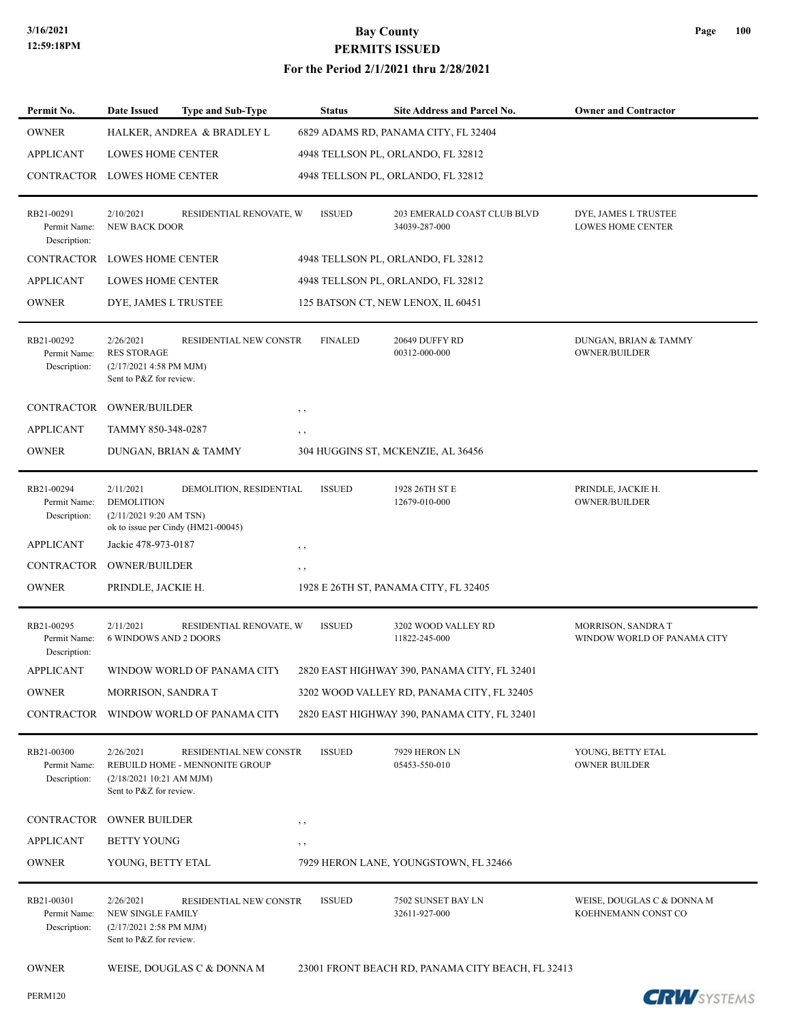| Permit No.                                                     | <b>Date Issued</b>                                                                    | <b>Type and Sub-Type</b>                                      |             | <b>Status</b>  | <b>Site Address and Parcel No.</b>                                                       | <b>Owner and Contractor</b>                       |
|----------------------------------------------------------------|---------------------------------------------------------------------------------------|---------------------------------------------------------------|-------------|----------------|------------------------------------------------------------------------------------------|---------------------------------------------------|
| <b>OWNER</b>                                                   |                                                                                       | HALKER, ANDREA & BRADLEY L                                    |             |                | 6829 ADAMS RD, PANAMA CITY, FL 32404                                                     |                                                   |
| <b>APPLICANT</b>                                               | <b>LOWES HOME CENTER</b>                                                              |                                                               |             |                | 4948 TELLSON PL, ORLANDO, FL 32812                                                       |                                                   |
| CONTRACTOR LOWES HOME CENTER                                   |                                                                                       |                                                               |             |                | 4948 TELLSON PL, ORLANDO, FL 32812                                                       |                                                   |
| RB21-00291<br>Permit Name:<br>Description:                     | 2/10/2021<br><b>NEW BACK DOOR</b>                                                     | RESIDENTIAL RENOVATE, W                                       |             | <b>ISSUED</b>  | 203 EMERALD COAST CLUB BLVD<br>34039-287-000                                             | DYE, JAMES L TRUSTEE<br><b>LOWES HOME CENTER</b>  |
| <b>CONTRACTOR</b>                                              | <b>LOWES HOME CENTER</b>                                                              |                                                               |             |                | 4948 TELLSON PL, ORLANDO, FL 32812                                                       |                                                   |
| <b>APPLICANT</b>                                               | LOWES HOME CENTER                                                                     |                                                               |             |                | 4948 TELLSON PL, ORLANDO, FL 32812                                                       |                                                   |
| <b>OWNER</b>                                                   | DYE, JAMES L TRUSTEE                                                                  |                                                               |             |                | 125 BATSON CT, NEW LENOX, IL 60451                                                       |                                                   |
| RB21-00292<br>Permit Name:<br>Description:                     | 2/26/2021<br><b>RES STORAGE</b><br>(2/17/2021 4:58 PM MJM)<br>Sent to P&Z for review. | RESIDENTIAL NEW CONSTR                                        |             | <b>FINALED</b> | 20649 DUFFY RD<br>00312-000-000                                                          | DUNGAN, BRIAN & TAMMY<br><b>OWNER/BUILDER</b>     |
| CONTRACTOR                                                     | <b>OWNER/BUILDER</b>                                                                  |                                                               | $, \, \,$   |                |                                                                                          |                                                   |
| <b>APPLICANT</b>                                               | TAMMY 850-348-0287                                                                    |                                                               | $, \, ,$    |                |                                                                                          |                                                   |
| <b>OWNER</b>                                                   | DUNGAN, BRIAN & TAMMY                                                                 |                                                               |             |                | 304 HUGGINS ST, MCKENZIE, AL 36456                                                       |                                                   |
| RB21-00294<br>Permit Name:<br>Description:<br><b>APPLICANT</b> | 2/11/2021<br><b>DEMOLITION</b><br>(2/11/20219:20 AM TSN)<br>Jackie 478-973-0187       | DEMOLITION, RESIDENTIAL<br>ok to issue per Cindy (HM21-00045) | , ,         | <b>ISSUED</b>  | 1928 26TH ST E<br>12679-010-000                                                          | PRINDLE, JACKIE H.<br><b>OWNER/BUILDER</b>        |
| CONTRACTOR                                                     | <b>OWNER/BUILDER</b>                                                                  |                                                               | $, \, , \,$ |                |                                                                                          |                                                   |
| <b>OWNER</b>                                                   | PRINDLE, JACKIE H.                                                                    |                                                               |             |                | 1928 E 26TH ST, PANAMA CITY, FL 32405                                                    |                                                   |
| RB21-00295<br>Permit Name:<br>Description:                     | 2/11/2021<br><b>6 WINDOWS AND 2 DOORS</b>                                             | RESIDENTIAL RENOVATE, W                                       |             | <b>ISSUED</b>  | 3202 WOOD VALLEY RD<br>11822-245-000                                                     | MORRISON, SANDRAT<br>WINDOW WORLD OF PANAMA CITY  |
| <b>APPLICANT</b>                                               |                                                                                       | WINDOW WORLD OF PANAMA CITY                                   |             |                | 2820 EAST HIGHWAY 390, PANAMA CITY, FL 32401                                             |                                                   |
| <b>OWNER</b>                                                   | <b>MORRISON, SANDRA T</b>                                                             |                                                               |             |                | 3202 WOOD VALLEY RD, PANAMA CITY, FL 32405                                               |                                                   |
| CONTRACTOR                                                     |                                                                                       | WINDOW WORLD OF PANAMA CITY                                   |             |                | 2820 EAST HIGHWAY 390, PANAMA CITY, FL 32401                                             |                                                   |
| RB21-00300<br>Permit Name:<br>Description:                     | 2/26/2021<br>(2/18/2021 10:21 AM MJM)<br>Sent to P&Z for review.                      | RESIDENTIAL NEW CONSTR<br>REBUILD HOME - MENNONITE GROUP      |             | <b>ISSUED</b>  | 7929 HERON LN<br>05453-550-010                                                           | YOUNG, BETTY ETAL<br><b>OWNER BUILDER</b>         |
| CONTRACTOR                                                     | <b>OWNER BUILDER</b>                                                                  |                                                               | $, \, ,$    |                |                                                                                          |                                                   |
| <b>APPLICANT</b>                                               | <b>BETTY YOUNG</b>                                                                    |                                                               | $, \,$      |                |                                                                                          |                                                   |
| <b>OWNER</b>                                                   | YOUNG, BETTY ETAL                                                                     |                                                               |             |                | 7929 HERON LANE, YOUNGSTOWN, FL 32466                                                    |                                                   |
| RB21-00301<br>Permit Name:<br>Description:<br><b>OWNER</b>     | 2/26/2021<br>NEW SINGLE FAMILY<br>(2/17/2021 2:58 PM MJM)<br>Sent to P&Z for review.  | RESIDENTIAL NEW CONSTR<br>WEISE, DOUGLAS C & DONNA M          |             | <b>ISSUED</b>  | 7502 SUNSET BAY LN<br>32611-927-000<br>23001 FRONT BEACH RD, PANAMA CITY BEACH, FL 32413 | WEISE, DOUGLAS C & DONNA M<br>KOEHNEMANN CONST CO |
|                                                                |                                                                                       |                                                               |             |                |                                                                                          |                                                   |

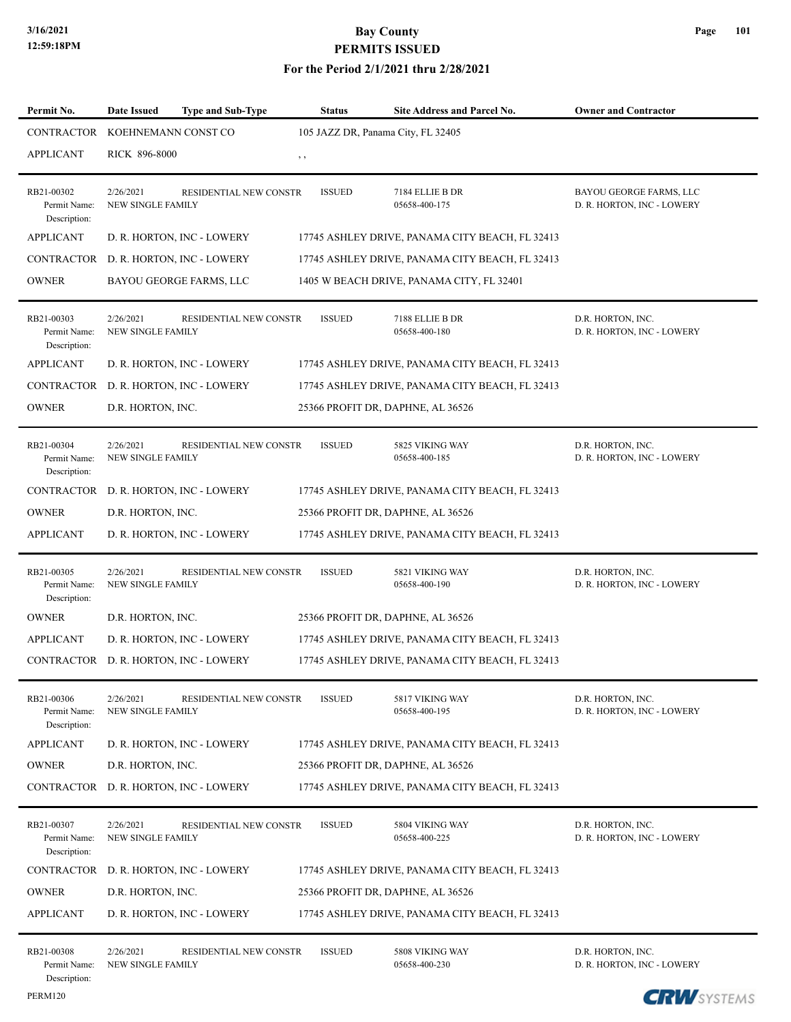| Permit No.                                 | <b>Date Issued</b>                    | <b>Type and Sub-Type</b>              | <b>Status</b> | Site Address and Parcel No.                     | <b>Owner and Contractor</b>                           |
|--------------------------------------------|---------------------------------------|---------------------------------------|---------------|-------------------------------------------------|-------------------------------------------------------|
| CONTRACTOR KOEHNEMANN CONST CO             |                                       |                                       |               | 105 JAZZ DR, Panama City, FL 32405              |                                                       |
| <b>APPLICANT</b>                           | RICK 896-8000                         |                                       | $, \, \,$     |                                                 |                                                       |
| RB21-00302<br>Permit Name:<br>Description: | 2/26/2021<br><b>NEW SINGLE FAMILY</b> | <b>RESIDENTIAL NEW CONSTR</b>         | <b>ISSUED</b> | 7184 ELLIE B DR<br>05658-400-175                | BAYOU GEORGE FARMS, LLC<br>D. R. HORTON, INC - LOWERY |
| <b>APPLICANT</b>                           |                                       | D. R. HORTON, INC - LOWERY            |               | 17745 ASHLEY DRIVE, PANAMA CITY BEACH, FL 32413 |                                                       |
|                                            |                                       | CONTRACTOR D. R. HORTON, INC - LOWERY |               | 17745 ASHLEY DRIVE, PANAMA CITY BEACH, FL 32413 |                                                       |
| <b>OWNER</b>                               |                                       | BAYOU GEORGE FARMS, LLC               |               | 1405 W BEACH DRIVE, PANAMA CITY, FL 32401       |                                                       |
| RB21-00303<br>Permit Name:<br>Description: | 2/26/2021<br><b>NEW SINGLE FAMILY</b> | RESIDENTIAL NEW CONSTR                | <b>ISSUED</b> | 7188 ELLIE B DR<br>05658-400-180                | D.R. HORTON, INC.<br>D. R. HORTON, INC - LOWERY       |
| <b>APPLICANT</b>                           |                                       | D. R. HORTON, INC - LOWERY            |               | 17745 ASHLEY DRIVE, PANAMA CITY BEACH, FL 32413 |                                                       |
| CONTRACTOR                                 |                                       | D. R. HORTON, INC - LOWERY            |               | 17745 ASHLEY DRIVE, PANAMA CITY BEACH, FL 32413 |                                                       |
| <b>OWNER</b>                               | D.R. HORTON, INC.                     |                                       |               | 25366 PROFIT DR, DAPHNE, AL 36526               |                                                       |
| RB21-00304<br>Permit Name:<br>Description: | 2/26/2021<br>NEW SINGLE FAMILY        | RESIDENTIAL NEW CONSTR                | <b>ISSUED</b> | 5825 VIKING WAY<br>05658-400-185                | D.R. HORTON, INC.<br>D. R. HORTON, INC - LOWERY       |
|                                            |                                       | CONTRACTOR D. R. HORTON, INC - LOWERY |               | 17745 ASHLEY DRIVE, PANAMA CITY BEACH, FL 32413 |                                                       |
| <b>OWNER</b>                               | D.R. HORTON, INC.                     |                                       |               | 25366 PROFIT DR, DAPHNE, AL 36526               |                                                       |
| <b>APPLICANT</b>                           |                                       | D. R. HORTON, INC - LOWERY            |               | 17745 ASHLEY DRIVE, PANAMA CITY BEACH, FL 32413 |                                                       |
| RB21-00305<br>Permit Name:<br>Description: | 2/26/2021<br><b>NEW SINGLE FAMILY</b> | RESIDENTIAL NEW CONSTR                | <b>ISSUED</b> | 5821 VIKING WAY<br>05658-400-190                | D.R. HORTON, INC.<br>D. R. HORTON, INC - LOWERY       |
| <b>OWNER</b>                               | D.R. HORTON, INC.                     |                                       |               | 25366 PROFIT DR, DAPHNE, AL 36526               |                                                       |
| <b>APPLICANT</b>                           |                                       | D. R. HORTON, INC - LOWERY            |               | 17745 ASHLEY DRIVE, PANAMA CITY BEACH, FL 32413 |                                                       |
|                                            |                                       | CONTRACTOR D. R. HORTON, INC - LOWERY |               | 17745 ASHLEY DRIVE, PANAMA CITY BEACH, FL 32413 |                                                       |
| RB21-00306<br>Permit Name:<br>Description: | 2/26/2021<br>NEW SINGLE FAMILY        | RESIDENTIAL NEW CONSTR                | <b>ISSUED</b> | 5817 VIKING WAY<br>05658-400-195                | D.R. HORTON, INC.<br>D. R. HORTON, INC - LOWERY       |
| <b>APPLICANT</b>                           |                                       | D. R. HORTON, INC - LOWERY            |               | 17745 ASHLEY DRIVE, PANAMA CITY BEACH, FL 32413 |                                                       |
| <b>OWNER</b>                               | D.R. HORTON, INC.                     |                                       |               | 25366 PROFIT DR, DAPHNE, AL 36526               |                                                       |
|                                            |                                       | CONTRACTOR D. R. HORTON, INC - LOWERY |               | 17745 ASHLEY DRIVE, PANAMA CITY BEACH, FL 32413 |                                                       |
| RB21-00307<br>Permit Name:<br>Description: | 2/26/2021<br><b>NEW SINGLE FAMILY</b> | RESIDENTIAL NEW CONSTR                | <b>ISSUED</b> | 5804 VIKING WAY<br>05658-400-225                | D.R. HORTON, INC.<br>D. R. HORTON, INC - LOWERY       |
|                                            |                                       | CONTRACTOR D. R. HORTON, INC - LOWERY |               | 17745 ASHLEY DRIVE, PANAMA CITY BEACH, FL 32413 |                                                       |
| <b>OWNER</b>                               | D.R. HORTON, INC.                     |                                       |               | 25366 PROFIT DR, DAPHNE, AL 36526               |                                                       |
| <b>APPLICANT</b>                           |                                       | D. R. HORTON, INC - LOWERY            |               | 17745 ASHLEY DRIVE, PANAMA CITY BEACH, FL 32413 |                                                       |
| RB21-00308<br>Permit Name:<br>Description: | 2/26/2021<br><b>NEW SINGLE FAMILY</b> | <b>RESIDENTIAL NEW CONSTR</b>         | <b>ISSUED</b> | 5808 VIKING WAY<br>05658-400-230                | D.R. HORTON, INC.<br>D. R. HORTON, INC - LOWERY       |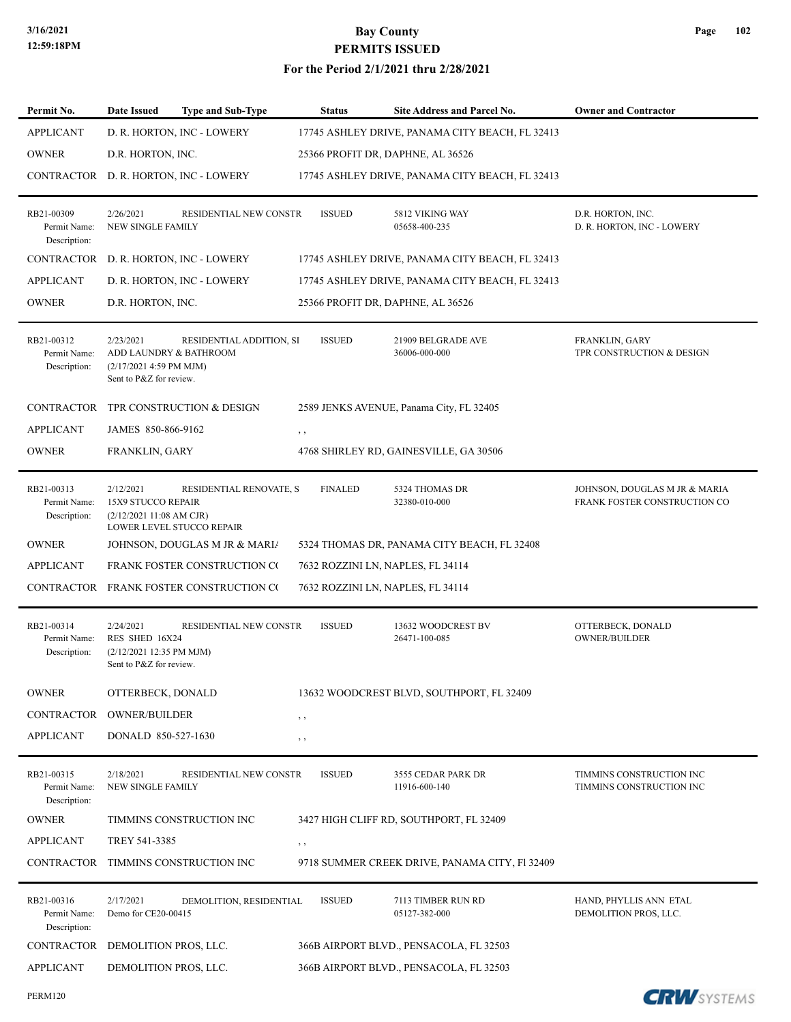PERM120

# **3/16/2021 Bay County PERMITS ISSUED**

| Permit No.                                 | Date Issued                                                                               | <b>Type and Sub-Type</b>                             | <b>Status</b>  | Site Address and Parcel No.                     | <b>Owner and Contractor</b>                                   |
|--------------------------------------------|-------------------------------------------------------------------------------------------|------------------------------------------------------|----------------|-------------------------------------------------|---------------------------------------------------------------|
| <b>APPLICANT</b>                           |                                                                                           | D. R. HORTON, INC - LOWERY                           |                | 17745 ASHLEY DRIVE, PANAMA CITY BEACH, FL 32413 |                                                               |
| <b>OWNER</b>                               | D.R. HORTON, INC.                                                                         |                                                      |                | 25366 PROFIT DR, DAPHNE, AL 36526               |                                                               |
| CONTRACTOR                                 |                                                                                           | D. R. HORTON, INC - LOWERY                           |                | 17745 ASHLEY DRIVE, PANAMA CITY BEACH, FL 32413 |                                                               |
| RB21-00309<br>Permit Name:<br>Description: | 2/26/2021<br>NEW SINGLE FAMILY                                                            | RESIDENTIAL NEW CONSTR                               | <b>ISSUED</b>  | 5812 VIKING WAY<br>05658-400-235                | D.R. HORTON, INC.<br>D. R. HORTON, INC - LOWERY               |
| <b>CONTRACTOR</b>                          |                                                                                           | D. R. HORTON, INC - LOWERY                           |                | 17745 ASHLEY DRIVE, PANAMA CITY BEACH, FL 32413 |                                                               |
| <b>APPLICANT</b>                           |                                                                                           | D. R. HORTON, INC - LOWERY                           |                | 17745 ASHLEY DRIVE, PANAMA CITY BEACH, FL 32413 |                                                               |
| <b>OWNER</b>                               | D.R. HORTON, INC.                                                                         |                                                      |                | 25366 PROFIT DR, DAPHNE, AL 36526               |                                                               |
| RB21-00312<br>Permit Name:<br>Description: | 2/23/2021<br>ADD LAUNDRY & BATHROOM<br>(2/17/2021 4:59 PM MJM)<br>Sent to P&Z for review. | RESIDENTIAL ADDITION, SI                             | <b>ISSUED</b>  | 21909 BELGRADE AVE<br>36006-000-000             | FRANKLIN, GARY<br>TPR CONSTRUCTION & DESIGN                   |
| <b>CONTRACTOR</b>                          |                                                                                           | TPR CONSTRUCTION & DESIGN                            |                | 2589 JENKS AVENUE, Panama City, FL 32405        |                                                               |
| <b>APPLICANT</b>                           | JAMES 850-866-9162                                                                        |                                                      | $, \, , \,$    |                                                 |                                                               |
| <b>OWNER</b>                               | FRANKLIN, GARY                                                                            |                                                      |                | 4768 SHIRLEY RD, GAINESVILLE, GA 30506          |                                                               |
| RB21-00313<br>Permit Name:<br>Description: | 2/12/2021<br>15X9 STUCCO REPAIR<br>(2/12/202111:08 AM CJR)                                | RESIDENTIAL RENOVATE, S<br>LOWER LEVEL STUCCO REPAIR | <b>FINALED</b> | 5324 THOMAS DR<br>32380-010-000                 | JOHNSON, DOUGLAS M JR & MARIA<br>FRANK FOSTER CONSTRUCTION CO |
| <b>OWNER</b>                               |                                                                                           | JOHNSON, DOUGLAS M JR & MARIA                        |                | 5324 THOMAS DR, PANAMA CITY BEACH, FL 32408     |                                                               |
| <b>APPLICANT</b>                           |                                                                                           | FRANK FOSTER CONSTRUCTION CO                         |                | 7632 ROZZINI LN, NAPLES, FL 34114               |                                                               |
| CONTRACTOR                                 |                                                                                           | FRANK FOSTER CONSTRUCTION CO                         |                | 7632 ROZZINI LN, NAPLES, FL 34114               |                                                               |
| RB21-00314<br>Permit Name:<br>Description: | 2/24/2021<br>RES SHED 16X24<br>(2/12/2021 12:35 PM MJM)<br>Sent to P&Z for review.        | RESIDENTIAL NEW CONSTR                               | <b>ISSUED</b>  | 13632 WOODCREST BV<br>26471-100-085             | OTTERBECK, DONALD<br><b>OWNER/BUILDER</b>                     |
| <b>OWNER</b>                               | OTTERBECK, DONALD                                                                         |                                                      |                | 13632 WOODCREST BLVD, SOUTHPORT, FL 32409       |                                                               |
| CONTRACTOR                                 | <b>OWNER/BUILDER</b>                                                                      |                                                      | $, \, , \,$    |                                                 |                                                               |
| <b>APPLICANT</b>                           | DONALD 850-527-1630                                                                       |                                                      | $, \,$         |                                                 |                                                               |
| RB21-00315<br>Permit Name:<br>Description: | 2/18/2021<br>NEW SINGLE FAMILY                                                            | RESIDENTIAL NEW CONSTR                               | <b>ISSUED</b>  | 3555 CEDAR PARK DR<br>11916-600-140             | TIMMINS CONSTRUCTION INC<br>TIMMINS CONSTRUCTION INC          |
| <b>OWNER</b>                               |                                                                                           | TIMMINS CONSTRUCTION INC                             |                | 3427 HIGH CLIFF RD, SOUTHPORT, FL 32409         |                                                               |
| <b>APPLICANT</b>                           | TREY 541-3385                                                                             |                                                      | $, \,$         |                                                 |                                                               |
| CONTRACTOR                                 |                                                                                           | TIMMINS CONSTRUCTION INC                             |                | 9718 SUMMER CREEK DRIVE, PANAMA CITY, F1 32409  |                                                               |
| RB21-00316<br>Permit Name:<br>Description: | 2/17/2021<br>Demo for CE20-00415                                                          | DEMOLITION, RESIDENTIAL                              | <b>ISSUED</b>  | 7113 TIMBER RUN RD<br>05127-382-000             | HAND, PHYLLIS ANN ETAL<br>DEMOLITION PROS, LLC.               |
| CONTRACTOR                                 | DEMOLITION PROS, LLC.                                                                     |                                                      |                | 366B AIRPORT BLVD., PENSACOLA, FL 32503         |                                                               |
| <b>APPLICANT</b>                           | DEMOLITION PROS, LLC.                                                                     |                                                      |                | 366B AIRPORT BLVD., PENSACOLA, FL 32503         |                                                               |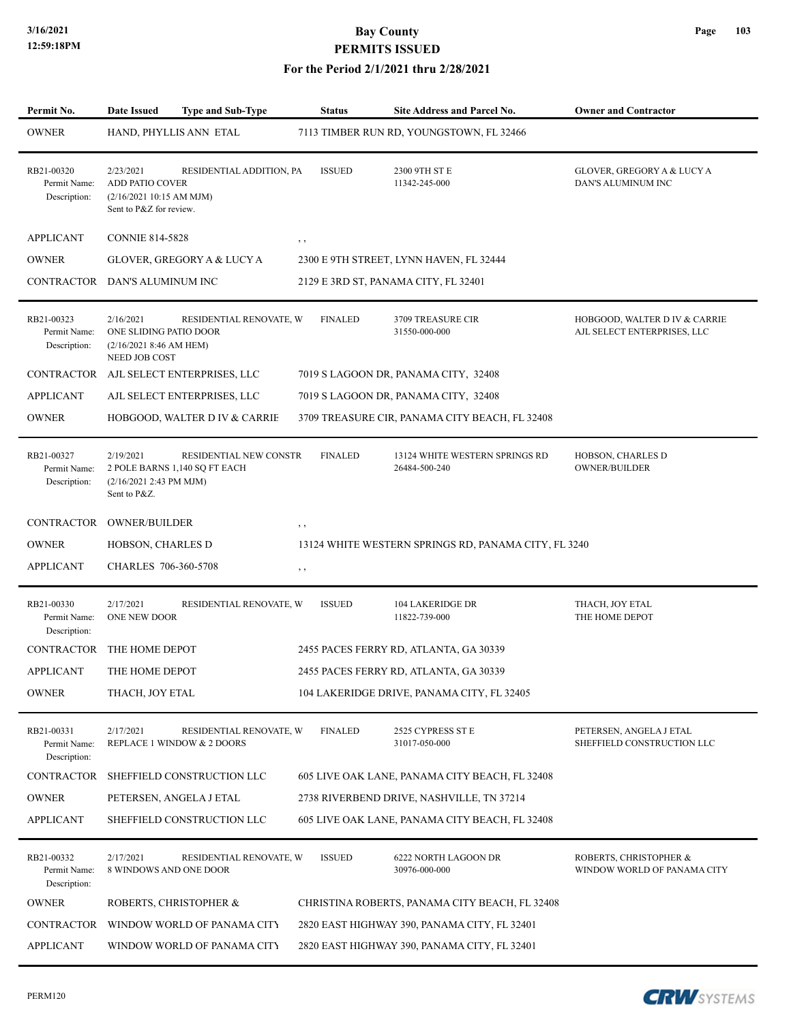#### **For the Period 2/1/2021 thru 2/28/2021**

| Permit No.                                 | Date Issued                                                                            | <b>Type and Sub-Type</b>                                | <b>Status</b>  | <b>Site Address and Parcel No.</b>                   | <b>Owner and Contractor</b>                                  |
|--------------------------------------------|----------------------------------------------------------------------------------------|---------------------------------------------------------|----------------|------------------------------------------------------|--------------------------------------------------------------|
| OWNER                                      |                                                                                        | HAND, PHYLLIS ANN ETAL                                  |                | 7113 TIMBER RUN RD, YOUNGSTOWN, FL 32466             |                                                              |
| RB21-00320<br>Permit Name:<br>Description: | 2/23/2021<br>ADD PATIO COVER<br>(2/16/2021 10:15 AM MJM)<br>Sent to P&Z for review.    | RESIDENTIAL ADDITION, PA                                | <b>ISSUED</b>  | 2300 9TH ST E<br>11342-245-000                       | GLOVER, GREGORY A & LUCY A<br>DAN'S ALUMINUM INC             |
| APPLICANT                                  | <b>CONNIE 814-5828</b>                                                                 |                                                         | $, \, \,$      |                                                      |                                                              |
| OWNER                                      |                                                                                        | GLOVER, GREGORY A & LUCY A                              |                | 2300 E 9TH STREET, LYNN HAVEN, FL 32444              |                                                              |
| CONTRACTOR DAN'S ALUMINUM INC              |                                                                                        |                                                         |                | 2129 E 3RD ST, PANAMA CITY, FL 32401                 |                                                              |
| RB21-00323<br>Permit Name:<br>Description: | 2/16/2021<br>ONE SLIDING PATIO DOOR<br>(2/16/2021 8:46 AM HEM)<br><b>NEED JOB COST</b> | RESIDENTIAL RENOVATE, W                                 | <b>FINALED</b> | 3709 TREASURE CIR<br>31550-000-000                   | HOBGOOD, WALTER D IV & CARRIE<br>AJL SELECT ENTERPRISES, LLC |
| CONTRACTOR                                 |                                                                                        | AJL SELECT ENTERPRISES, LLC                             |                | 7019 S LAGOON DR, PANAMA CITY, 32408                 |                                                              |
| <b>APPLICANT</b>                           |                                                                                        | AJL SELECT ENTERPRISES, LLC                             |                | 7019 S LAGOON DR, PANAMA CITY, 32408                 |                                                              |
| OWNER                                      |                                                                                        | HOBGOOD, WALTER D IV & CARRIE                           |                | 3709 TREASURE CIR, PANAMA CITY BEACH, FL 32408       |                                                              |
| RB21-00327<br>Permit Name:<br>Description: | 2/19/2021<br>(2/16/2021 2:43 PM MJM)<br>Sent to P&Z.                                   | RESIDENTIAL NEW CONSTR<br>2 POLE BARNS 1,140 SQ FT EACH | <b>FINALED</b> | 13124 WHITE WESTERN SPRINGS RD<br>26484-500-240      | HOBSON, CHARLES D<br><b>OWNER/BUILDER</b>                    |
| CONTRACTOR                                 | <b>OWNER/BUILDER</b>                                                                   |                                                         | , ,            |                                                      |                                                              |
| OWNER                                      | HOBSON, CHARLES D                                                                      |                                                         |                | 13124 WHITE WESTERN SPRINGS RD, PANAMA CITY, FL 3240 |                                                              |
| APPLICANT                                  | CHARLES 706-360-5708                                                                   |                                                         | , ,            |                                                      |                                                              |
| RB21-00330<br>Permit Name:<br>Description: | 2/17/2021<br>ONE NEW DOOR                                                              | RESIDENTIAL RENOVATE, W                                 | <b>ISSUED</b>  | 104 LAKERIDGE DR<br>11822-739-000                    | THACH, JOY ETAL<br>THE HOME DEPOT                            |
| CONTRACTOR                                 | THE HOME DEPOT                                                                         |                                                         |                | 2455 PACES FERRY RD, ATLANTA, GA 30339               |                                                              |
| APPLICANT                                  | THE HOME DEPOT                                                                         |                                                         |                | 2455 PACES FERRY RD, ATLANTA, GA 30339               |                                                              |
| OWNER                                      | THACH, JOY ETAL                                                                        |                                                         |                | 104 LAKERIDGE DRIVE, PANAMA CITY, FL 32405           |                                                              |
| RB21-00331<br>Permit Name:<br>Description: | 2/17/2021                                                                              | RESIDENTIAL RENOVATE, W<br>REPLACE 1 WINDOW & 2 DOORS   | <b>FINALED</b> | 2525 CYPRESS ST E<br>31017-050-000                   | PETERSEN, ANGELA J ETAL<br>SHEFFIELD CONSTRUCTION LLC        |
| CONTRACTOR                                 |                                                                                        | SHEFFIELD CONSTRUCTION LLC                              |                | 605 LIVE OAK LANE, PANAMA CITY BEACH, FL 32408       |                                                              |
| OWNER                                      |                                                                                        | PETERSEN, ANGELA J ETAL                                 |                | 2738 RIVERBEND DRIVE, NASHVILLE, TN 37214            |                                                              |
| <b>APPLICANT</b>                           |                                                                                        | SHEFFIELD CONSTRUCTION LLC                              |                | 605 LIVE OAK LANE, PANAMA CITY BEACH, FL 32408       |                                                              |
| RB21-00332<br>Permit Name:<br>Description: | 2/17/2021<br>8 WINDOWS AND ONE DOOR                                                    | RESIDENTIAL RENOVATE, W                                 | <b>ISSUED</b>  | 6222 NORTH LAGOON DR<br>30976-000-000                | ROBERTS, CHRISTOPHER &<br>WINDOW WORLD OF PANAMA CITY        |
| OWNER                                      |                                                                                        | ROBERTS, CHRISTOPHER &                                  |                | CHRISTINA ROBERTS, PANAMA CITY BEACH, FL 32408       |                                                              |
| CONTRACTOR                                 |                                                                                        | WINDOW WORLD OF PANAMA CITY                             |                | 2820 EAST HIGHWAY 390, PANAMA CITY, FL 32401         |                                                              |
| APPLICANT                                  |                                                                                        | WINDOW WORLD OF PANAMA CITY                             |                | 2820 EAST HIGHWAY 390, PANAMA CITY, FL 32401         |                                                              |
|                                            |                                                                                        |                                                         |                |                                                      |                                                              |

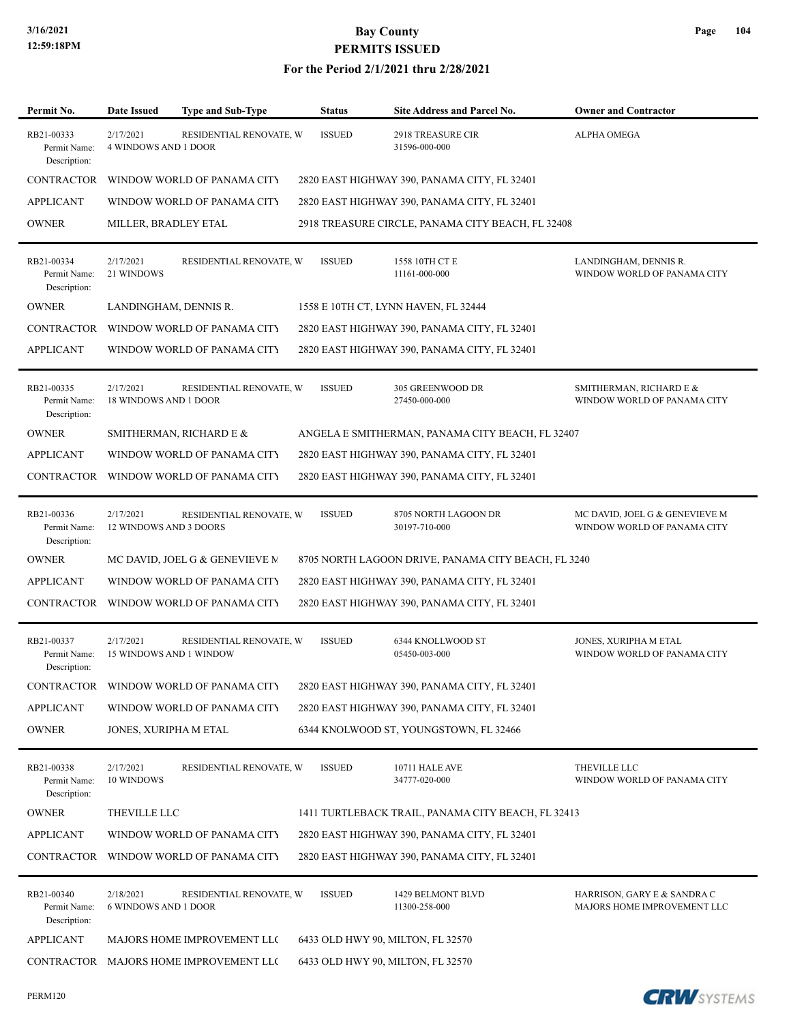#### **For the Period 2/1/2021 thru 2/28/2021**

| Permit No.                                 | <b>Date Issued</b>                          | <b>Type and Sub-Type</b>               | <b>Status</b> | Site Address and Parcel No.                         | <b>Owner and Contractor</b>                                   |
|--------------------------------------------|---------------------------------------------|----------------------------------------|---------------|-----------------------------------------------------|---------------------------------------------------------------|
| RB21-00333<br>Permit Name:<br>Description: | 2/17/2021<br><b>4 WINDOWS AND 1 DOOR</b>    | RESIDENTIAL RENOVATE, W                | <b>ISSUED</b> | <b>2918 TREASURE CIR</b><br>31596-000-000           | <b>ALPHA OMEGA</b>                                            |
| <b>CONTRACTOR</b>                          |                                             | WINDOW WORLD OF PANAMA CITY            |               | 2820 EAST HIGHWAY 390, PANAMA CITY, FL 32401        |                                                               |
| APPLICANT                                  |                                             | WINDOW WORLD OF PANAMA CITY            |               | 2820 EAST HIGHWAY 390, PANAMA CITY, FL 32401        |                                                               |
| <b>OWNER</b>                               | MILLER, BRADLEY ETAL                        |                                        |               | 2918 TREASURE CIRCLE, PANAMA CITY BEACH, FL 32408   |                                                               |
| RB21-00334<br>Permit Name:<br>Description: | 2/17/2021<br>21 WINDOWS                     | RESIDENTIAL RENOVATE, W                | <b>ISSUED</b> | 1558 10TH CT E<br>11161-000-000                     | LANDINGHAM, DENNIS R.<br>WINDOW WORLD OF PANAMA CITY          |
| <b>OWNER</b>                               | LANDINGHAM, DENNIS R.                       |                                        |               | 1558 E 10TH CT, LYNN HAVEN, FL 32444                |                                                               |
| CONTRACTOR                                 |                                             | WINDOW WORLD OF PANAMA CITY            |               | 2820 EAST HIGHWAY 390, PANAMA CITY, FL 32401        |                                                               |
| APPLICANT                                  |                                             | WINDOW WORLD OF PANAMA CITY            |               | 2820 EAST HIGHWAY 390, PANAMA CITY, FL 32401        |                                                               |
| RB21-00335<br>Permit Name:<br>Description: | 2/17/2021<br>18 WINDOWS AND 1 DOOR          | RESIDENTIAL RENOVATE, W                | <b>ISSUED</b> | 305 GREENWOOD DR<br>27450-000-000                   | SMITHERMAN, RICHARD E &<br>WINDOW WORLD OF PANAMA CITY        |
| <b>OWNER</b>                               |                                             | SMITHERMAN, RICHARD E &                |               | ANGELA E SMITHERMAN, PANAMA CITY BEACH, FL 32407    |                                                               |
| APPLICANT                                  |                                             | WINDOW WORLD OF PANAMA CITY            |               | 2820 EAST HIGHWAY 390, PANAMA CITY, FL 32401        |                                                               |
| CONTRACTOR                                 |                                             | WINDOW WORLD OF PANAMA CITY            |               | 2820 EAST HIGHWAY 390, PANAMA CITY, FL 32401        |                                                               |
| RB21-00336<br>Permit Name:<br>Description: | 2/17/2021<br>12 WINDOWS AND 3 DOORS         | RESIDENTIAL RENOVATE, W                | <b>ISSUED</b> | 8705 NORTH LAGOON DR<br>30197-710-000               | MC DAVID, JOEL G & GENEVIEVE M<br>WINDOW WORLD OF PANAMA CITY |
| <b>OWNER</b>                               |                                             | MC DAVID, JOEL G & GENEVIEVE M         |               | 8705 NORTH LAGOON DRIVE, PANAMA CITY BEACH, FL 3240 |                                                               |
| <b>APPLICANT</b>                           |                                             | WINDOW WORLD OF PANAMA CITY            |               | 2820 EAST HIGHWAY 390, PANAMA CITY, FL 32401        |                                                               |
| CONTRACTOR                                 |                                             | WINDOW WORLD OF PANAMA CITY            |               | 2820 EAST HIGHWAY 390, PANAMA CITY, FL 32401        |                                                               |
| RB21-00337<br>Permit Name:<br>Description: | 2/17/2021<br><b>15 WINDOWS AND 1 WINDOW</b> | RESIDENTIAL RENOVATE, W                | <b>ISSUED</b> | 6344 KNOLLWOOD ST<br>05450-003-000                  | JONES, XURIPHA M ETAL<br>WINDOW WORLD OF PANAMA CITY          |
| CONTRACTOR                                 |                                             | WINDOW WORLD OF PANAMA CITY            |               | 2820 EAST HIGHWAY 390, PANAMA CITY, FL 32401        |                                                               |
| APPLICANT                                  |                                             | WINDOW WORLD OF PANAMA CITY            |               | 2820 EAST HIGHWAY 390, PANAMA CITY, FL 32401        |                                                               |
| OWNER                                      | JONES, XURIPHA M ETAL                       |                                        |               | 6344 KNOLWOOD ST, YOUNGSTOWN, FL 32466              |                                                               |
| RB21-00338<br>Permit Name:<br>Description: | 2/17/2021<br>10 WINDOWS                     | RESIDENTIAL RENOVATE, W                | <b>ISSUED</b> | <b>10711 HALE AVE</b><br>34777-020-000              | THEVILLE LLC<br>WINDOW WORLD OF PANAMA CITY                   |
| OWNER                                      | THEVILLE LLC                                |                                        |               | 1411 TURTLEBACK TRAIL, PANAMA CITY BEACH, FL 32413  |                                                               |
| APPLICANT                                  |                                             | WINDOW WORLD OF PANAMA CITY            |               | 2820 EAST HIGHWAY 390, PANAMA CITY, FL 32401        |                                                               |
| CONTRACTOR                                 |                                             | WINDOW WORLD OF PANAMA CITY            |               | 2820 EAST HIGHWAY 390, PANAMA CITY, FL 32401        |                                                               |
| RB21-00340<br>Permit Name:<br>Description: | 2/18/2021<br><b>6 WINDOWS AND 1 DOOR</b>    | RESIDENTIAL RENOVATE, W                | <b>ISSUED</b> | 1429 BELMONT BLVD<br>11300-258-000                  | HARRISON, GARY E & SANDRA C<br>MAJORS HOME IMPROVEMENT LLC    |
| <b>APPLICANT</b>                           |                                             | MAJORS HOME IMPROVEMENT LLC            |               | 6433 OLD HWY 90, MILTON, FL 32570                   |                                                               |
|                                            |                                             | CONTRACTOR MAJORS HOME IMPROVEMENT LLO |               | 6433 OLD HWY 90, MILTON, FL 32570                   |                                                               |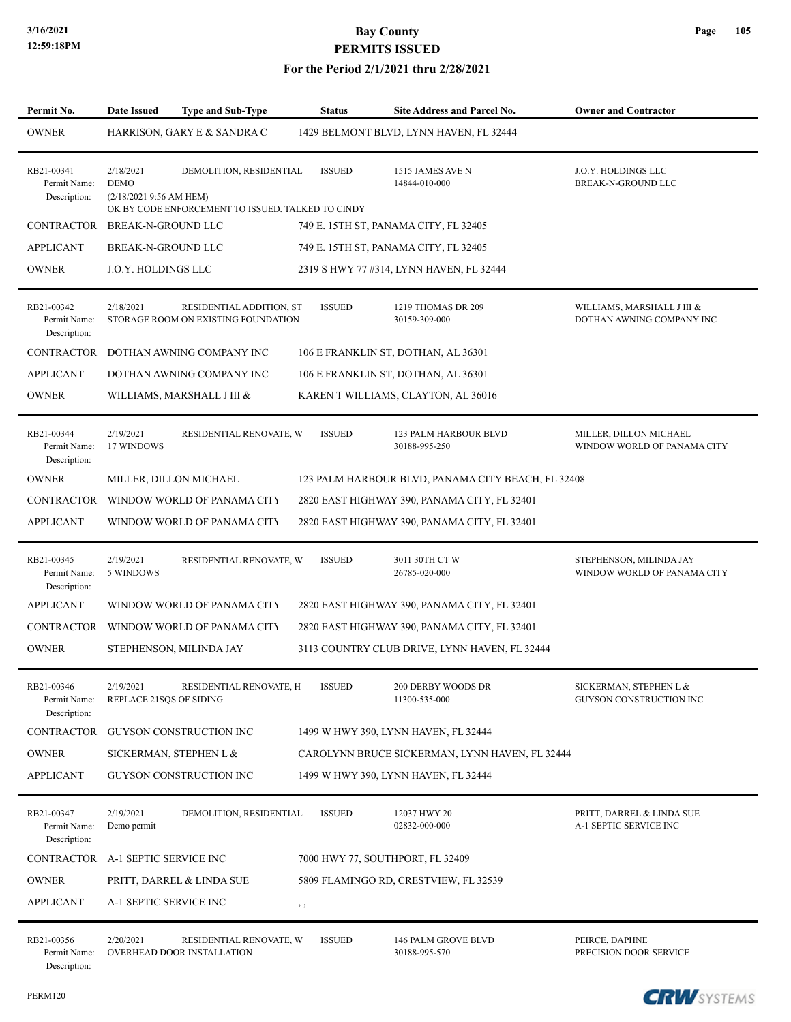#### **For the Period 2/1/2021 thru 2/28/2021**

| Permit No.                                 | <b>Date Issued</b>                                  | Type and Sub-Type                                                            | <b>Status</b> | Site Address and Parcel No.                        | <b>Owner and Contractor</b>                             |
|--------------------------------------------|-----------------------------------------------------|------------------------------------------------------------------------------|---------------|----------------------------------------------------|---------------------------------------------------------|
| <b>OWNER</b>                               |                                                     | HARRISON, GARY E & SANDRA C                                                  |               | 1429 BELMONT BLVD, LYNN HAVEN, FL 32444            |                                                         |
| RB21-00341<br>Permit Name:<br>Description: | 2/18/2021<br><b>DEMO</b><br>(2/18/2021 9:56 AM HEM) | DEMOLITION, RESIDENTIAL<br>OK BY CODE ENFORCEMENT TO ISSUED. TALKED TO CINDY | <b>ISSUED</b> | 1515 JAMES AVE N<br>14844-010-000                  | J.O.Y. HOLDINGS LLC<br>BREAK-N-GROUND LLC               |
| CONTRACTOR BREAK-N-GROUND LLC              |                                                     |                                                                              |               | 749 E. 15TH ST, PANAMA CITY, FL 32405              |                                                         |
| <b>APPLICANT</b>                           | <b>BREAK-N-GROUND LLC</b>                           |                                                                              |               | 749 E. 15TH ST, PANAMA CITY, FL 32405              |                                                         |
| <b>OWNER</b>                               | J.O.Y. HOLDINGS LLC                                 |                                                                              |               | 2319 S HWY 77 #314, LYNN HAVEN, FL 32444           |                                                         |
| RB21-00342<br>Permit Name:<br>Description: | 2/18/2021                                           | RESIDENTIAL ADDITION, ST<br>STORAGE ROOM ON EXISTING FOUNDATION              | <b>ISSUED</b> | 1219 THOMAS DR 209<br>30159-309-000                | WILLIAMS, MARSHALL J III &<br>DOTHAN AWNING COMPANY INC |
| CONTRACTOR                                 |                                                     | DOTHAN AWNING COMPANY INC                                                    |               | 106 E FRANKLIN ST, DOTHAN, AL 36301                |                                                         |
| <b>APPLICANT</b>                           |                                                     | DOTHAN AWNING COMPANY INC                                                    |               | 106 E FRANKLIN ST, DOTHAN, AL 36301                |                                                         |
| <b>OWNER</b>                               |                                                     | WILLIAMS, MARSHALL J III &                                                   |               | KAREN T WILLIAMS, CLAYTON, AL 36016                |                                                         |
| RB21-00344<br>Permit Name:<br>Description: | 2/19/2021<br>17 WINDOWS                             | RESIDENTIAL RENOVATE, W                                                      | <b>ISSUED</b> | 123 PALM HARBOUR BLVD<br>30188-995-250             | MILLER, DILLON MICHAEL<br>WINDOW WORLD OF PANAMA CITY   |
| <b>OWNER</b>                               |                                                     | MILLER, DILLON MICHAEL                                                       |               | 123 PALM HARBOUR BLVD, PANAMA CITY BEACH, FL 32408 |                                                         |
| CONTRACTOR                                 |                                                     | WINDOW WORLD OF PANAMA CITY                                                  |               | 2820 EAST HIGHWAY 390, PANAMA CITY, FL 32401       |                                                         |
| <b>APPLICANT</b>                           |                                                     | WINDOW WORLD OF PANAMA CITY                                                  |               | 2820 EAST HIGHWAY 390, PANAMA CITY, FL 32401       |                                                         |
| RB21-00345<br>Permit Name:<br>Description: | 2/19/2021<br>5 WINDOWS                              | RESIDENTIAL RENOVATE, W                                                      | <b>ISSUED</b> | 3011 30TH CT W<br>26785-020-000                    | STEPHENSON, MILINDA JAY<br>WINDOW WORLD OF PANAMA CITY  |
| <b>APPLICANT</b>                           |                                                     | WINDOW WORLD OF PANAMA CITY                                                  |               | 2820 EAST HIGHWAY 390, PANAMA CITY, FL 32401       |                                                         |
|                                            |                                                     | CONTRACTOR WINDOW WORLD OF PANAMA CITY                                       |               | 2820 EAST HIGHWAY 390, PANAMA CITY, FL 32401       |                                                         |
| <b>OWNER</b>                               |                                                     | STEPHENSON, MILINDA JAY                                                      |               | 3113 COUNTRY CLUB DRIVE, LYNN HAVEN, FL 32444      |                                                         |
| RB21-00346<br>Permit Name:<br>Description: | 2/19/2021<br>REPLACE 21SQS OF SIDING                | RESIDENTIAL RENOVATE, H                                                      | <b>ISSUED</b> | 200 DERBY WOODS DR<br>11300-535-000                | SICKERMAN, STEPHEN L &<br>GUYSON CONSTRUCTION INC       |
| <b>CONTRACTOR</b>                          |                                                     | GUYSON CONSTRUCTION INC                                                      |               | 1499 W HWY 390, LYNN HAVEN, FL 32444               |                                                         |
| <b>OWNER</b>                               | SICKERMAN, STEPHEN L &                              |                                                                              |               | CAROLYNN BRUCE SICKERMAN, LYNN HAVEN, FL 32444     |                                                         |
| <b>APPLICANT</b>                           |                                                     | GUYSON CONSTRUCTION INC                                                      |               | 1499 W HWY 390, LYNN HAVEN, FL 32444               |                                                         |
| RB21-00347<br>Permit Name:<br>Description: | 2/19/2021<br>Demo permit                            | DEMOLITION, RESIDENTIAL                                                      | <b>ISSUED</b> | 12037 HWY 20<br>02832-000-000                      | PRITT, DARREL & LINDA SUE<br>A-1 SEPTIC SERVICE INC     |
| CONTRACTOR A-1 SEPTIC SERVICE INC          |                                                     |                                                                              |               | 7000 HWY 77, SOUTHPORT, FL 32409                   |                                                         |
| <b>OWNER</b>                               |                                                     | PRITT, DARREL & LINDA SUE                                                    |               | 5809 FLAMINGO RD, CRESTVIEW, FL 32539              |                                                         |
| <b>APPLICANT</b>                           | A-1 SEPTIC SERVICE INC                              |                                                                              | , ,           |                                                    |                                                         |
| RB21-00356<br>Permit Name:<br>Description: | 2/20/2021                                           | RESIDENTIAL RENOVATE, W<br>OVERHEAD DOOR INSTALLATION                        | <b>ISSUED</b> | 146 PALM GROVE BLVD<br>30188-995-570               | PEIRCE, DAPHNE<br>PRECISION DOOR SERVICE                |

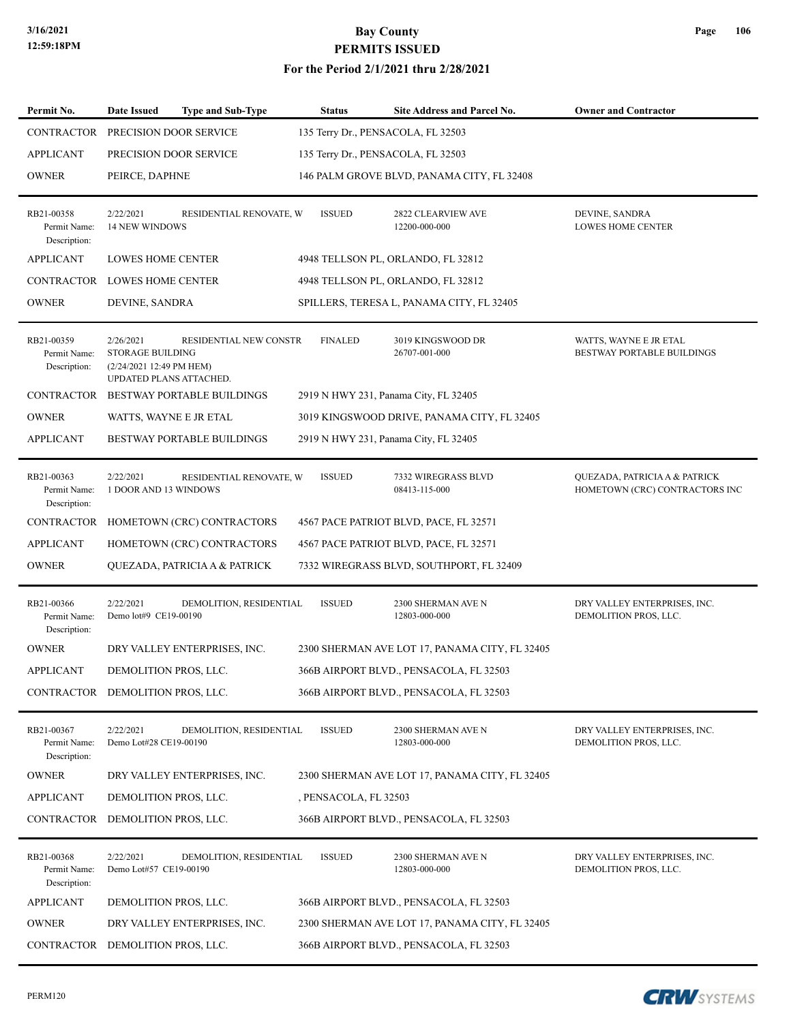| Permit No.                                 | <b>Date Issued</b>                                                                          | <b>Type and Sub-Type</b>              | <b>Status</b>         | <b>Site Address and Parcel No.</b>             | <b>Owner and Contractor</b>                                     |
|--------------------------------------------|---------------------------------------------------------------------------------------------|---------------------------------------|-----------------------|------------------------------------------------|-----------------------------------------------------------------|
| CONTRACTOR PRECISION DOOR SERVICE          |                                                                                             |                                       |                       | 135 Terry Dr., PENSACOLA, FL 32503             |                                                                 |
| <b>APPLICANT</b>                           | PRECISION DOOR SERVICE                                                                      |                                       |                       | 135 Terry Dr., PENSACOLA, FL 32503             |                                                                 |
| <b>OWNER</b>                               | PEIRCE, DAPHNE                                                                              |                                       |                       | 146 PALM GROVE BLVD, PANAMA CITY, FL 32408     |                                                                 |
|                                            |                                                                                             |                                       |                       |                                                |                                                                 |
| RB21-00358<br>Permit Name:<br>Description: | 2/22/2021<br>14 NEW WINDOWS                                                                 | RESIDENTIAL RENOVATE, W               | <b>ISSUED</b>         | 2822 CLEARVIEW AVE<br>12200-000-000            | DEVINE, SANDRA<br><b>LOWES HOME CENTER</b>                      |
| <b>APPLICANT</b>                           | <b>LOWES HOME CENTER</b>                                                                    |                                       |                       | 4948 TELLSON PL, ORLANDO, FL 32812             |                                                                 |
| CONTRACTOR LOWES HOME CENTER               |                                                                                             |                                       |                       | 4948 TELLSON PL, ORLANDO, FL 32812             |                                                                 |
| <b>OWNER</b>                               | DEVINE, SANDRA                                                                              |                                       |                       | SPILLERS, TERESA L, PANAMA CITY, FL 32405      |                                                                 |
| RB21-00359<br>Permit Name:<br>Description: | 2/26/2021<br><b>STORAGE BUILDING</b><br>(2/24/2021 12:49 PM HEM)<br>UPDATED PLANS ATTACHED. | RESIDENTIAL NEW CONSTR                | <b>FINALED</b>        | 3019 KINGSWOOD DR<br>26707-001-000             | WATTS, WAYNE E JR ETAL<br>BESTWAY PORTABLE BUILDINGS            |
|                                            |                                                                                             | CONTRACTOR BESTWAY PORTABLE BUILDINGS |                       | 2919 N HWY 231, Panama City, FL 32405          |                                                                 |
| <b>OWNER</b>                               | WATTS, WAYNE E JR ETAL                                                                      |                                       |                       | 3019 KINGSWOOD DRIVE, PANAMA CITY, FL 32405    |                                                                 |
| <b>APPLICANT</b>                           |                                                                                             | BESTWAY PORTABLE BUILDINGS            |                       | 2919 N HWY 231, Panama City, FL 32405          |                                                                 |
| RB21-00363<br>Permit Name:<br>Description: | 2/22/2021<br>1 DOOR AND 13 WINDOWS                                                          | RESIDENTIAL RENOVATE, W               | <b>ISSUED</b>         | 7332 WIREGRASS BLVD<br>08413-115-000           | QUEZADA, PATRICIA A & PATRICK<br>HOMETOWN (CRC) CONTRACTORS INC |
| CONTRACTOR                                 |                                                                                             | HOMETOWN (CRC) CONTRACTORS            |                       | 4567 PACE PATRIOT BLVD, PACE, FL 32571         |                                                                 |
| <b>APPLICANT</b>                           |                                                                                             | HOMETOWN (CRC) CONTRACTORS            |                       | 4567 PACE PATRIOT BLVD, PACE, FL 32571         |                                                                 |
| <b>OWNER</b>                               |                                                                                             | QUEZADA, PATRICIA A & PATRICK         |                       | 7332 WIREGRASS BLVD, SOUTHPORT, FL 32409       |                                                                 |
| RB21-00366<br>Permit Name:<br>Description: | 2/22/2021<br>Demo lot#9 CE19-00190                                                          | DEMOLITION, RESIDENTIAL               | <b>ISSUED</b>         | 2300 SHERMAN AVE N<br>12803-000-000            | DRY VALLEY ENTERPRISES, INC.<br>DEMOLITION PROS, LLC.           |
| <b>OWNER</b>                               |                                                                                             | DRY VALLEY ENTERPRISES, INC.          |                       | 2300 SHERMAN AVE LOT 17, PANAMA CITY, FL 32405 |                                                                 |
| <b>APPLICANT</b>                           | DEMOLITION PROS, LLC.                                                                       |                                       |                       | 366B AIRPORT BLVD., PENSACOLA, FL 32503        |                                                                 |
| CONTRACTOR DEMOLITION PROS, LLC.           |                                                                                             |                                       |                       | 366B AIRPORT BLVD., PENSACOLA, FL 32503        |                                                                 |
| RB21-00367<br>Permit Name:<br>Description: | 2/22/2021<br>Demo Lot#28 CE19-00190                                                         | DEMOLITION, RESIDENTIAL               | <b>ISSUED</b>         | 2300 SHERMAN AVE N<br>12803-000-000            | DRY VALLEY ENTERPRISES, INC.<br>DEMOLITION PROS, LLC.           |
| <b>OWNER</b>                               |                                                                                             | DRY VALLEY ENTERPRISES, INC.          |                       | 2300 SHERMAN AVE LOT 17, PANAMA CITY, FL 32405 |                                                                 |
| <b>APPLICANT</b>                           | DEMOLITION PROS, LLC.                                                                       |                                       | , PENSACOLA, FL 32503 |                                                |                                                                 |
| CONTRACTOR                                 | DEMOLITION PROS, LLC.                                                                       |                                       |                       | 366B AIRPORT BLVD., PENSACOLA, FL 32503        |                                                                 |
| RB21-00368<br>Permit Name:<br>Description: | 2/22/2021<br>Demo Lot#57 CE19-00190                                                         | DEMOLITION, RESIDENTIAL               | <b>ISSUED</b>         | 2300 SHERMAN AVE N<br>12803-000-000            | DRY VALLEY ENTERPRISES, INC.<br>DEMOLITION PROS, LLC.           |
| <b>APPLICANT</b>                           | DEMOLITION PROS, LLC.                                                                       |                                       |                       | 366B AIRPORT BLVD., PENSACOLA, FL 32503        |                                                                 |
| <b>OWNER</b>                               |                                                                                             | DRY VALLEY ENTERPRISES, INC.          |                       | 2300 SHERMAN AVE LOT 17, PANAMA CITY, FL 32405 |                                                                 |
| CONTRACTOR DEMOLITION PROS, LLC.           |                                                                                             |                                       |                       | 366B AIRPORT BLVD., PENSACOLA, FL 32503        |                                                                 |

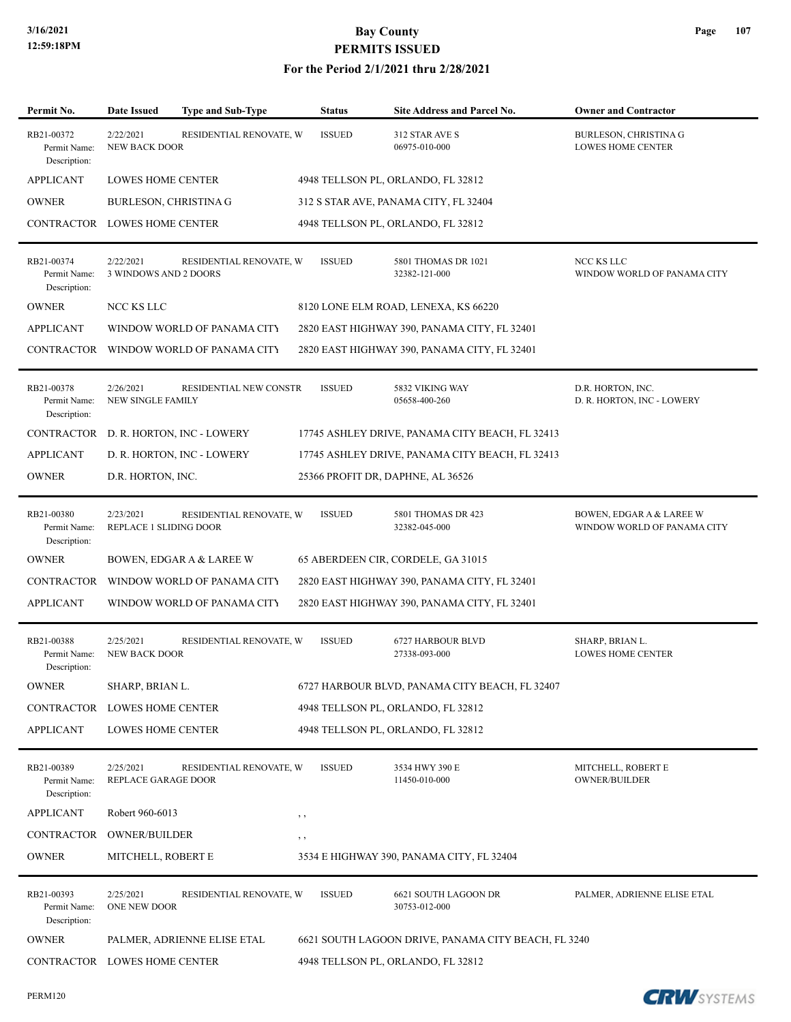| Permit No.                                 | <b>Date Issued</b>                    | Type and Sub-Type           |          | <b>Status</b> | <b>Site Address and Parcel No.</b>                  | <b>Owner and Contractor</b>                              |
|--------------------------------------------|---------------------------------------|-----------------------------|----------|---------------|-----------------------------------------------------|----------------------------------------------------------|
| RB21-00372<br>Permit Name:<br>Description: | 2/22/2021<br><b>NEW BACK DOOR</b>     | RESIDENTIAL RENOVATE, W     |          | <b>ISSUED</b> | 312 STAR AVE S<br>06975-010-000                     | <b>BURLESON, CHRISTINA G</b><br><b>LOWES HOME CENTER</b> |
| <b>APPLICANT</b>                           | <b>LOWES HOME CENTER</b>              |                             |          |               | 4948 TELLSON PL, ORLANDO, FL 32812                  |                                                          |
| <b>OWNER</b>                               | <b>BURLESON, CHRISTINA G</b>          |                             |          |               | 312 S STAR AVE, PANAMA CITY, FL 32404               |                                                          |
| CONTRACTOR LOWES HOME CENTER               |                                       |                             |          |               | 4948 TELLSON PL, ORLANDO, FL 32812                  |                                                          |
| RB21-00374<br>Permit Name:<br>Description: | 2/22/2021<br>3 WINDOWS AND 2 DOORS    | RESIDENTIAL RENOVATE, W     |          | <b>ISSUED</b> | 5801 THOMAS DR 1021<br>32382-121-000                | NCC KS LLC<br>WINDOW WORLD OF PANAMA CITY                |
| <b>OWNER</b>                               | NCC KS LLC                            |                             |          |               | 8120 LONE ELM ROAD, LENEXA, KS 66220                |                                                          |
| <b>APPLICANT</b>                           |                                       | WINDOW WORLD OF PANAMA CITY |          |               | 2820 EAST HIGHWAY 390, PANAMA CITY, FL 32401        |                                                          |
| CONTRACTOR                                 |                                       | WINDOW WORLD OF PANAMA CITY |          |               | 2820 EAST HIGHWAY 390, PANAMA CITY, FL 32401        |                                                          |
| RB21-00378<br>Permit Name:<br>Description: | 2/26/2021<br><b>NEW SINGLE FAMILY</b> | RESIDENTIAL NEW CONSTR      |          | <b>ISSUED</b> | 5832 VIKING WAY<br>05658-400-260                    | D.R. HORTON, INC.<br>D. R. HORTON, INC - LOWERY          |
| <b>CONTRACTOR</b>                          |                                       | D. R. HORTON, INC - LOWERY  |          |               | 17745 ASHLEY DRIVE, PANAMA CITY BEACH, FL 32413     |                                                          |
| <b>APPLICANT</b>                           |                                       | D. R. HORTON, INC - LOWERY  |          |               | 17745 ASHLEY DRIVE, PANAMA CITY BEACH, FL 32413     |                                                          |
| <b>OWNER</b>                               | D.R. HORTON, INC.                     |                             |          |               | 25366 PROFIT DR, DAPHNE, AL 36526                   |                                                          |
| RB21-00380<br>Permit Name:<br>Description: | 2/23/2021<br>REPLACE 1 SLIDING DOOR   | RESIDENTIAL RENOVATE, W     |          | <b>ISSUED</b> | 5801 THOMAS DR 423<br>32382-045-000                 | BOWEN, EDGAR A & LAREE W<br>WINDOW WORLD OF PANAMA CITY  |
| <b>OWNER</b>                               |                                       | BOWEN, EDGAR A & LAREE W    |          |               | 65 ABERDEEN CIR, CORDELE, GA 31015                  |                                                          |
| <b>CONTRACTOR</b>                          |                                       | WINDOW WORLD OF PANAMA CITY |          |               | 2820 EAST HIGHWAY 390, PANAMA CITY, FL 32401        |                                                          |
| <b>APPLICANT</b>                           |                                       | WINDOW WORLD OF PANAMA CITY |          |               | 2820 EAST HIGHWAY 390, PANAMA CITY, FL 32401        |                                                          |
| RB21-00388<br>Permit Name:<br>Description: | 2/25/2021<br><b>NEW BACK DOOR</b>     | RESIDENTIAL RENOVATE, W     |          | <b>ISSUED</b> | 6727 HARBOUR BLVD<br>27338-093-000                  | SHARP, BRIAN L.<br><b>LOWES HOME CENTER</b>              |
| <b>OWNER</b>                               | SHARP, BRIAN L.                       |                             |          |               | 6727 HARBOUR BLVD, PANAMA CITY BEACH, FL 32407      |                                                          |
| CONTRACTOR LOWES HOME CENTER               |                                       |                             |          |               | 4948 TELLSON PL, ORLANDO, FL 32812                  |                                                          |
| <b>APPLICANT</b>                           | LOWES HOME CENTER                     |                             |          |               | 4948 TELLSON PL, ORLANDO, FL 32812                  |                                                          |
| RB21-00389<br>Permit Name:<br>Description: | 2/25/2021<br>REPLACE GARAGE DOOR      | RESIDENTIAL RENOVATE, W     |          | <b>ISSUED</b> | 3534 HWY 390 E<br>11450-010-000                     | MITCHELL, ROBERT E<br><b>OWNER/BUILDER</b>               |
| <b>APPLICANT</b>                           | Robert 960-6013                       |                             | $, \, ,$ |               |                                                     |                                                          |
| CONTRACTOR OWNER/BUILDER                   |                                       |                             | $, \, ,$ |               |                                                     |                                                          |
| <b>OWNER</b>                               | MITCHELL, ROBERT E                    |                             |          |               | 3534 E HIGHWAY 390, PANAMA CITY, FL 32404           |                                                          |
| RB21-00393<br>Permit Name:<br>Description: | 2/25/2021<br>ONE NEW DOOR             | RESIDENTIAL RENOVATE, W     |          | <b>ISSUED</b> | 6621 SOUTH LAGOON DR<br>30753-012-000               | PALMER, ADRIENNE ELISE ETAL                              |
| <b>OWNER</b>                               |                                       | PALMER, ADRIENNE ELISE ETAL |          |               | 6621 SOUTH LAGOON DRIVE, PANAMA CITY BEACH, FL 3240 |                                                          |
| CONTRACTOR LOWES HOME CENTER               |                                       |                             |          |               | 4948 TELLSON PL, ORLANDO, FL 32812                  |                                                          |

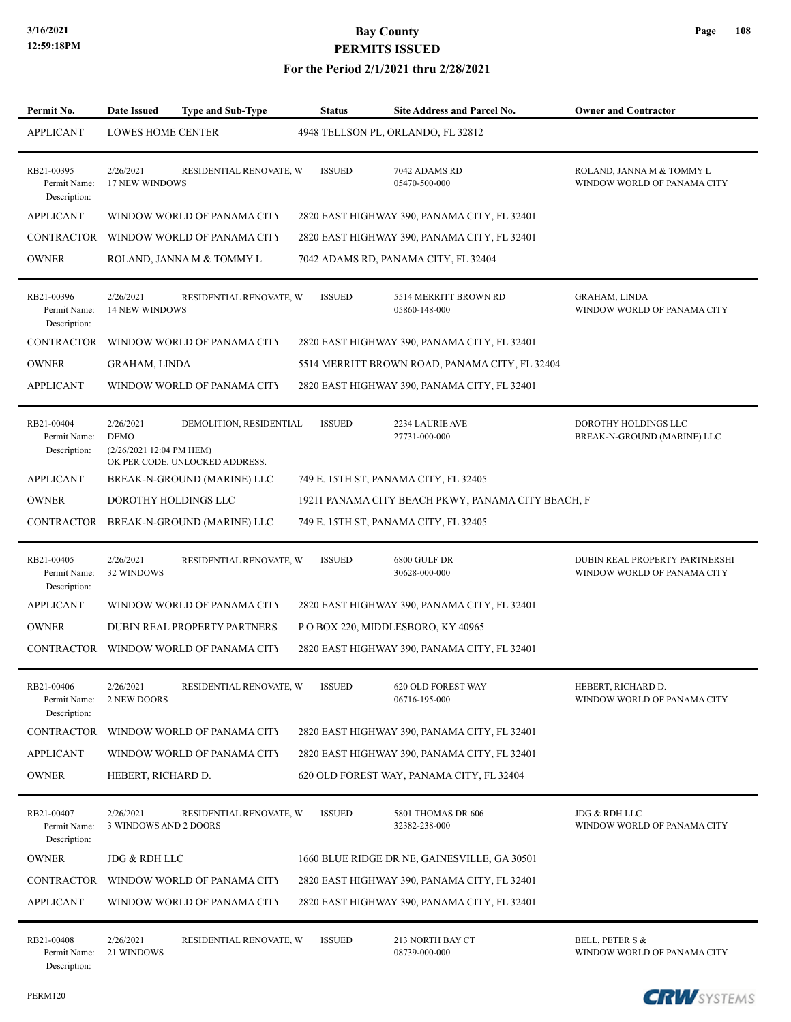#### **For the Period 2/1/2021 thru 2/28/2021**

| Permit No.                                 | <b>Date Issued</b><br><b>Type and Sub-Type</b>                                         |                         | <b>Status</b> | <b>Site Address and Parcel No.</b>                 | <b>Owner and Contractor</b>                                   |
|--------------------------------------------|----------------------------------------------------------------------------------------|-------------------------|---------------|----------------------------------------------------|---------------------------------------------------------------|
| <b>APPLICANT</b>                           | <b>LOWES HOME CENTER</b>                                                               |                         |               | 4948 TELLSON PL, ORLANDO, FL 32812                 |                                                               |
| RB21-00395<br>Permit Name:<br>Description: | 2/26/2021<br>17 NEW WINDOWS                                                            | RESIDENTIAL RENOVATE, W | <b>ISSUED</b> | 7042 ADAMS RD<br>05470-500-000                     | ROLAND, JANNA M & TOMMY L<br>WINDOW WORLD OF PANAMA CITY      |
| <b>APPLICANT</b>                           | WINDOW WORLD OF PANAMA CITY                                                            |                         |               | 2820 EAST HIGHWAY 390, PANAMA CITY, FL 32401       |                                                               |
| <b>CONTRACTOR</b>                          | WINDOW WORLD OF PANAMA CITY                                                            |                         |               | 2820 EAST HIGHWAY 390, PANAMA CITY, FL 32401       |                                                               |
| <b>OWNER</b>                               | ROLAND, JANNA M & TOMMY L                                                              |                         |               | 7042 ADAMS RD, PANAMA CITY, FL 32404               |                                                               |
| RB21-00396<br>Permit Name:<br>Description: | 2/26/2021<br><b>14 NEW WINDOWS</b>                                                     | RESIDENTIAL RENOVATE, W | <b>ISSUED</b> | 5514 MERRITT BROWN RD<br>05860-148-000             | <b>GRAHAM, LINDA</b><br>WINDOW WORLD OF PANAMA CITY           |
| <b>CONTRACTOR</b>                          | WINDOW WORLD OF PANAMA CITY                                                            |                         |               | 2820 EAST HIGHWAY 390, PANAMA CITY, FL 32401       |                                                               |
| <b>OWNER</b>                               | GRAHAM, LINDA                                                                          |                         |               | 5514 MERRITT BROWN ROAD, PANAMA CITY, FL 32404     |                                                               |
| <b>APPLICANT</b>                           | WINDOW WORLD OF PANAMA CITY                                                            |                         |               | 2820 EAST HIGHWAY 390, PANAMA CITY, FL 32401       |                                                               |
| RB21-00404<br>Permit Name:<br>Description: | 2/26/2021<br><b>DEMO</b><br>(2/26/2021 12:04 PM HEM)<br>OK PER CODE. UNLOCKED ADDRESS. | DEMOLITION, RESIDENTIAL | <b>ISSUED</b> | 2234 LAURIE AVE<br>27731-000-000                   | DOROTHY HOLDINGS LLC<br>BREAK-N-GROUND (MARINE) LLC           |
| <b>APPLICANT</b>                           | BREAK-N-GROUND (MARINE) LLC                                                            |                         |               | 749 E. 15TH ST, PANAMA CITY, FL 32405              |                                                               |
| <b>OWNER</b>                               | DOROTHY HOLDINGS LLC                                                                   |                         |               | 19211 PANAMA CITY BEACH PKWY, PANAMA CITY BEACH, F |                                                               |
| CONTRACTOR                                 | BREAK-N-GROUND (MARINE) LLC                                                            |                         |               | 749 E. 15TH ST, PANAMA CITY, FL 32405              |                                                               |
| RB21-00405<br>Permit Name:<br>Description: | 2/26/2021<br>32 WINDOWS                                                                | RESIDENTIAL RENOVATE, W | <b>ISSUED</b> | 6800 GULF DR<br>30628-000-000                      | DUBIN REAL PROPERTY PARTNERSHI<br>WINDOW WORLD OF PANAMA CITY |
| <b>APPLICANT</b>                           | WINDOW WORLD OF PANAMA CITY                                                            |                         |               | 2820 EAST HIGHWAY 390, PANAMA CITY, FL 32401       |                                                               |
| <b>OWNER</b>                               | DUBIN REAL PROPERTY PARTNERS                                                           |                         |               | PO BOX 220, MIDDLESBORO, KY 40965                  |                                                               |
| CONTRACTOR                                 | WINDOW WORLD OF PANAMA CITY                                                            |                         |               | 2820 EAST HIGHWAY 390, PANAMA CITY, FL 32401       |                                                               |
| RB21-00406<br>Permit Name:<br>Description: | 2/26/2021<br>2 NEW DOORS                                                               | RESIDENTIAL RENOVATE, W | <b>ISSUED</b> | 620 OLD FOREST WAY<br>06716-195-000                | HEBERT, RICHARD D.<br>WINDOW WORLD OF PANAMA CITY             |
| <b>CONTRACTOR</b>                          | WINDOW WORLD OF PANAMA CITY                                                            |                         |               | 2820 EAST HIGHWAY 390, PANAMA CITY, FL 32401       |                                                               |
| <b>APPLICANT</b>                           | WINDOW WORLD OF PANAMA CITY                                                            |                         |               | 2820 EAST HIGHWAY 390, PANAMA CITY, FL 32401       |                                                               |
| <b>OWNER</b>                               | HEBERT, RICHARD D.                                                                     |                         |               | 620 OLD FOREST WAY, PANAMA CITY, FL 32404          |                                                               |
| RB21-00407<br>Permit Name:<br>Description: | 2/26/2021<br>3 WINDOWS AND 2 DOORS                                                     | RESIDENTIAL RENOVATE, W | <b>ISSUED</b> | 5801 THOMAS DR 606<br>32382-238-000                | JDG & RDH LLC<br>WINDOW WORLD OF PANAMA CITY                  |
| <b>OWNER</b>                               | JDG & RDH LLC                                                                          |                         |               | 1660 BLUE RIDGE DR NE, GAINESVILLE, GA 30501       |                                                               |
| CONTRACTOR                                 | WINDOW WORLD OF PANAMA CITY                                                            |                         |               | 2820 EAST HIGHWAY 390, PANAMA CITY, FL 32401       |                                                               |
| <b>APPLICANT</b>                           | WINDOW WORLD OF PANAMA CITY                                                            |                         |               | 2820 EAST HIGHWAY 390, PANAMA CITY, FL 32401       |                                                               |
| RB21-00408<br>Permit Name:<br>Description: | 2/26/2021<br>21 WINDOWS                                                                | RESIDENTIAL RENOVATE, W | <b>ISSUED</b> | 213 NORTH BAY CT<br>08739-000-000                  | BELL, PETER S &<br>WINDOW WORLD OF PANAMA CITY                |

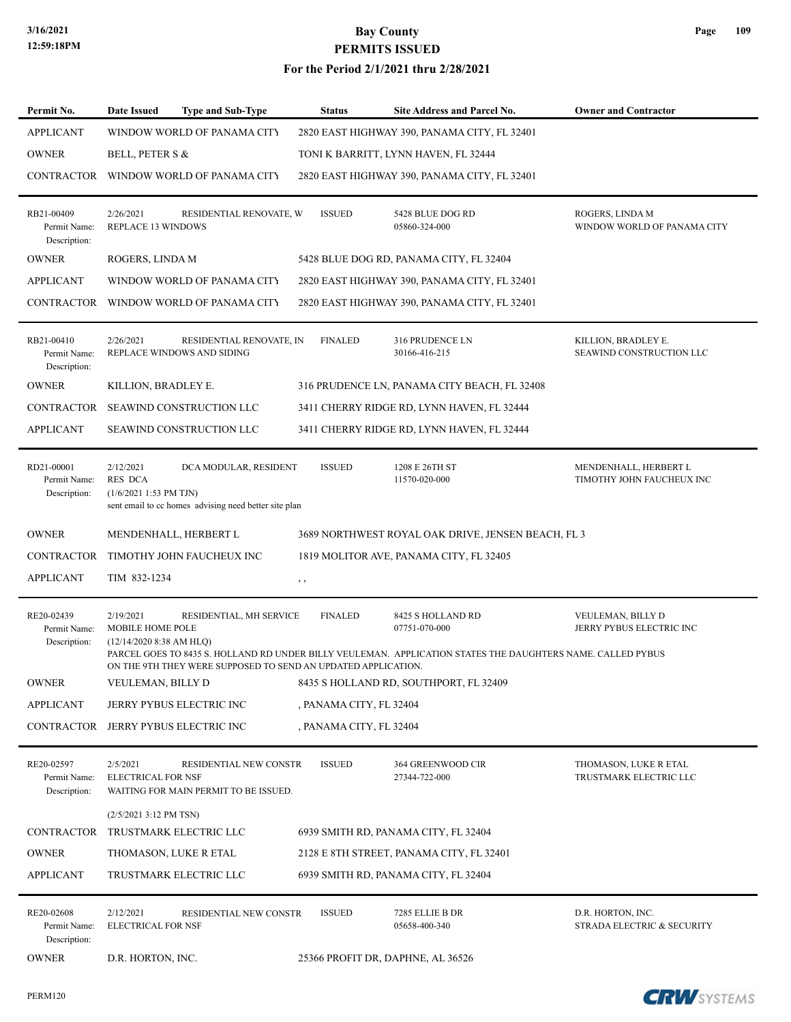| Permit No.                                 | Date Issued                                                 | <b>Type and Sub-Type</b>                                                       | <b>Status</b>           | Site Address and Parcel No.                                                                                                                       | <b>Owner and Contractor</b>                        |
|--------------------------------------------|-------------------------------------------------------------|--------------------------------------------------------------------------------|-------------------------|---------------------------------------------------------------------------------------------------------------------------------------------------|----------------------------------------------------|
| <b>APPLICANT</b>                           |                                                             | WINDOW WORLD OF PANAMA CITY                                                    |                         | 2820 EAST HIGHWAY 390, PANAMA CITY, FL 32401                                                                                                      |                                                    |
| <b>OWNER</b>                               | BELL, PETER S &                                             |                                                                                |                         | TONI K BARRITT, LYNN HAVEN, FL 32444                                                                                                              |                                                    |
| CONTRACTOR                                 |                                                             | WINDOW WORLD OF PANAMA CITY                                                    |                         | 2820 EAST HIGHWAY 390, PANAMA CITY, FL 32401                                                                                                      |                                                    |
| RB21-00409<br>Permit Name:<br>Description: | 2/26/2021<br>REPLACE 13 WINDOWS                             | RESIDENTIAL RENOVATE, W                                                        | <b>ISSUED</b>           | 5428 BLUE DOG RD<br>05860-324-000                                                                                                                 | ROGERS, LINDA M<br>WINDOW WORLD OF PANAMA CITY     |
| <b>OWNER</b>                               | ROGERS, LINDA M                                             |                                                                                |                         | 5428 BLUE DOG RD, PANAMA CITY, FL 32404                                                                                                           |                                                    |
| <b>APPLICANT</b>                           |                                                             | WINDOW WORLD OF PANAMA CITY                                                    |                         | 2820 EAST HIGHWAY 390, PANAMA CITY, FL 32401                                                                                                      |                                                    |
| CONTRACTOR                                 |                                                             | WINDOW WORLD OF PANAMA CITY                                                    |                         | 2820 EAST HIGHWAY 390, PANAMA CITY, FL 32401                                                                                                      |                                                    |
| RB21-00410<br>Permit Name:<br>Description: | 2/26/2021                                                   | RESIDENTIAL RENOVATE, IN<br>REPLACE WINDOWS AND SIDING                         | <b>FINALED</b>          | 316 PRUDENCE LN<br>30166-416-215                                                                                                                  | KILLION, BRADLEY E.<br>SEAWIND CONSTRUCTION LLC    |
| <b>OWNER</b>                               | KILLION, BRADLEY E.                                         |                                                                                |                         | 316 PRUDENCE LN, PANAMA CITY BEACH, FL 32408                                                                                                      |                                                    |
| <b>CONTRACTOR</b>                          |                                                             | SEAWIND CONSTRUCTION LLC                                                       |                         | 3411 CHERRY RIDGE RD, LYNN HAVEN, FL 32444                                                                                                        |                                                    |
| <b>APPLICANT</b>                           |                                                             | SEAWIND CONSTRUCTION LLC                                                       |                         | 3411 CHERRY RIDGE RD, LYNN HAVEN, FL 32444                                                                                                        |                                                    |
| RD21-00001<br>Permit Name:<br>Description: | 2/12/2021<br><b>RES DCA</b><br>$(1/6/20211:53$ PM TJN)      | DCA MODULAR, RESIDENT<br>sent email to cc homes advising need better site plan | <b>ISSUED</b>           | 1208 E 26TH ST<br>11570-020-000                                                                                                                   | MENDENHALL, HERBERT L<br>TIMOTHY JOHN FAUCHEUX INC |
| <b>OWNER</b>                               |                                                             | MENDENHALL, HERBERT L                                                          |                         | 3689 NORTHWEST ROYAL OAK DRIVE, JENSEN BEACH, FL 3                                                                                                |                                                    |
| <b>CONTRACTOR</b>                          |                                                             | TIMOTHY JOHN FAUCHEUX INC                                                      |                         | 1819 MOLITOR AVE, PANAMA CITY, FL 32405                                                                                                           |                                                    |
| <b>APPLICANT</b>                           | TIM 832-1234                                                |                                                                                | , ,                     |                                                                                                                                                   |                                                    |
| RE20-02439<br>Permit Name:<br>Description: | 2/19/2021<br>MOBILE HOME POLE<br>$(12/14/2020 8:38$ AM HLO) | RESIDENTIAL, MH SERVICE                                                        | <b>FINALED</b>          | 8425 S HOLLAND RD<br>07751-070-000<br>PARCEL GOES TO 8435 S. HOLLAND RD UNDER BILLY VEULEMAN. APPLICATION STATES THE DAUGHTERS NAME. CALLED PYBUS | VEULEMAN, BILLY D<br>JERRY PYBUS ELECTRIC INC      |
|                                            |                                                             | ON THE 9TH THEY WERE SUPPOSED TO SEND AN UPDATED APPLICATION.                  |                         |                                                                                                                                                   |                                                    |
| <b>OWNER</b>                               | VEULEMAN, BILLY D                                           |                                                                                |                         | 8435 S HOLLAND RD, SOUTHPORT, FL 32409                                                                                                            |                                                    |
| <b>APPLICANT</b>                           |                                                             | JERRY PYBUS ELECTRIC INC                                                       | , PANAMA CITY, FL 32404 |                                                                                                                                                   |                                                    |
| CONTRACTOR                                 |                                                             | JERRY PYBUS ELECTRIC INC                                                       | , PANAMA CITY, FL 32404 |                                                                                                                                                   |                                                    |
| RE20-02597<br>Permit Name:<br>Description: | 2/5/2021<br><b>ELECTRICAL FOR NSF</b>                       | RESIDENTIAL NEW CONSTR<br>WAITING FOR MAIN PERMIT TO BE ISSUED.                | <b>ISSUED</b>           | 364 GREENWOOD CIR<br>27344-722-000                                                                                                                | THOMASON, LUKE R ETAL<br>TRUSTMARK ELECTRIC LLC    |
|                                            | (2/5/2021 3:12 PM TSN)                                      |                                                                                |                         |                                                                                                                                                   |                                                    |
| <b>CONTRACTOR</b>                          |                                                             | TRUSTMARK ELECTRIC LLC                                                         |                         | 6939 SMITH RD, PANAMA CITY, FL 32404                                                                                                              |                                                    |
| <b>OWNER</b>                               |                                                             | THOMASON, LUKE R ETAL                                                          |                         | 2128 E 8TH STREET, PANAMA CITY, FL 32401                                                                                                          |                                                    |
| <b>APPLICANT</b>                           |                                                             | TRUSTMARK ELECTRIC LLC                                                         |                         | 6939 SMITH RD, PANAMA CITY, FL 32404                                                                                                              |                                                    |
| RE20-02608<br>Permit Name:<br>Description: | 2/12/2021<br><b>ELECTRICAL FOR NSF</b>                      | RESIDENTIAL NEW CONSTR                                                         | <b>ISSUED</b>           | 7285 ELLIE B DR<br>05658-400-340                                                                                                                  | D.R. HORTON, INC.<br>STRADA ELECTRIC & SECURITY    |
| <b>OWNER</b>                               | D.R. HORTON, INC.                                           |                                                                                |                         | 25366 PROFIT DR, DAPHNE, AL 36526                                                                                                                 |                                                    |

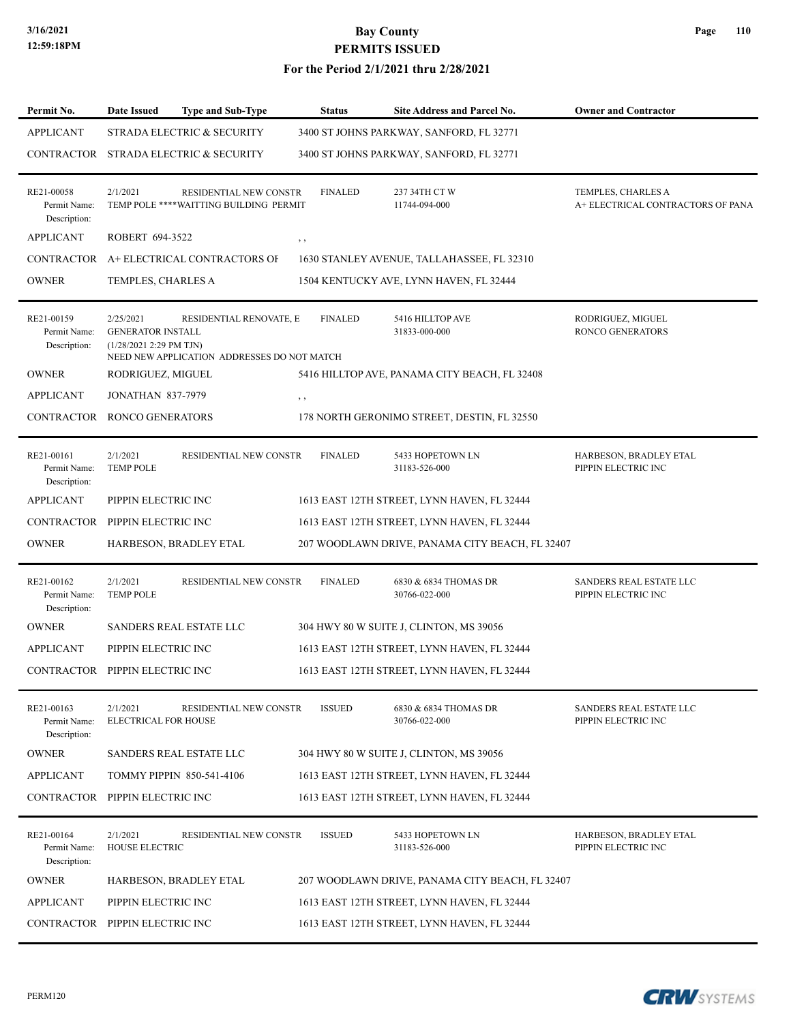| Page | 110 |
|------|-----|
|------|-----|

| <b>APPLICANT</b>                           | 2/1/2021                                                         | STRADA ELECTRIC & SECURITY<br>CONTRACTOR STRADA ELECTRIC & SECURITY    |                | 3400 ST JOHNS PARKWAY, SANFORD, FL 32771        |                                                         |
|--------------------------------------------|------------------------------------------------------------------|------------------------------------------------------------------------|----------------|-------------------------------------------------|---------------------------------------------------------|
|                                            |                                                                  |                                                                        |                |                                                 |                                                         |
|                                            |                                                                  |                                                                        |                | 3400 ST JOHNS PARKWAY, SANFORD, FL 32771        |                                                         |
| RE21-00058<br>Permit Name:<br>Description: |                                                                  | RESIDENTIAL NEW CONSTR<br>TEMP POLE **** WAITTING BUILDING PERMIT      | <b>FINALED</b> | 237 34TH CT W<br>11744-094-000                  | TEMPLES, CHARLES A<br>A+ ELECTRICAL CONTRACTORS OF PANA |
| <b>APPLICANT</b>                           | ROBERT 694-3522                                                  |                                                                        | , ,            |                                                 |                                                         |
|                                            |                                                                  | CONTRACTOR A+ ELECTRICAL CONTRACTORS OF                                |                | 1630 STANLEY AVENUE, TALLAHASSEE, FL 32310      |                                                         |
| <b>OWNER</b>                               | TEMPLES, CHARLES A                                               |                                                                        |                | 1504 KENTUCKY AVE, LYNN HAVEN, FL 32444         |                                                         |
| RE21-00159<br>Permit Name:<br>Description: | 2/25/2021<br><b>GENERATOR INSTALL</b><br>(1/28/2021 2:29 PM TJN) | RESIDENTIAL RENOVATE, E<br>NEED NEW APPLICATION ADDRESSES DO NOT MATCH | <b>FINALED</b> | 5416 HILLTOP AVE<br>31833-000-000               | RODRIGUEZ, MIGUEL<br><b>RONCO GENERATORS</b>            |
| <b>OWNER</b>                               | RODRIGUEZ, MIGUEL                                                |                                                                        |                | 5416 HILLTOP AVE, PANAMA CITY BEACH, FL 32408   |                                                         |
| <b>APPLICANT</b>                           | <b>JONATHAN 837-7979</b>                                         |                                                                        | $, \, , \,$    |                                                 |                                                         |
| CONTRACTOR RONCO GENERATORS                |                                                                  |                                                                        |                | 178 NORTH GERONIMO STREET, DESTIN, FL 32550     |                                                         |
| RE21-00161<br>Permit Name:<br>Description: | 2/1/2021<br><b>TEMP POLE</b>                                     | RESIDENTIAL NEW CONSTR                                                 | <b>FINALED</b> | 5433 HOPETOWN LN<br>31183-526-000               | HARBESON, BRADLEY ETAL<br>PIPPIN ELECTRIC INC           |
| <b>APPLICANT</b>                           | PIPPIN ELECTRIC INC                                              |                                                                        |                | 1613 EAST 12TH STREET, LYNN HAVEN, FL 32444     |                                                         |
| CONTRACTOR PIPPIN ELECTRIC INC             |                                                                  |                                                                        |                | 1613 EAST 12TH STREET, LYNN HAVEN, FL 32444     |                                                         |
| <b>OWNER</b>                               |                                                                  | HARBESON, BRADLEY ETAL                                                 |                | 207 WOODLAWN DRIVE, PANAMA CITY BEACH, FL 32407 |                                                         |
| RE21-00162<br>Permit Name:<br>Description: | 2/1/2021<br><b>TEMP POLE</b>                                     | RESIDENTIAL NEW CONSTR                                                 | <b>FINALED</b> | 6830 & 6834 THOMAS DR<br>30766-022-000          | SANDERS REAL ESTATE LLC<br>PIPPIN ELECTRIC INC          |
| <b>OWNER</b>                               |                                                                  | SANDERS REAL ESTATE LLC                                                |                | 304 HWY 80 W SUITE J, CLINTON, MS 39056         |                                                         |
| <b>APPLICANT</b>                           | PIPPIN ELECTRIC INC                                              |                                                                        |                | 1613 EAST 12TH STREET, LYNN HAVEN, FL 32444     |                                                         |
| CONTRACTOR                                 | PIPPIN ELECTRIC INC                                              |                                                                        |                | 1613 EAST 12TH STREET, LYNN HAVEN, FL 32444     |                                                         |
| RE21-00163<br>Permit Name:<br>Description: | 2/1/2021<br>ELECTRICAL FOR HOUSE                                 | RESIDENTIAL NEW CONSTR                                                 | <b>ISSUED</b>  | 6830 & 6834 THOMAS DR<br>30766-022-000          | SANDERS REAL ESTATE LLC<br>PIPPIN ELECTRIC INC          |
| <b>OWNER</b>                               |                                                                  | SANDERS REAL ESTATE LLC                                                |                | 304 HWY 80 W SUITE J, CLINTON, MS 39056         |                                                         |
| <b>APPLICANT</b>                           |                                                                  | <b>TOMMY PIPPIN 850-541-4106</b>                                       |                | 1613 EAST 12TH STREET, LYNN HAVEN, FL 32444     |                                                         |
| CONTRACTOR PIPPIN ELECTRIC INC             |                                                                  |                                                                        |                | 1613 EAST 12TH STREET, LYNN HAVEN, FL 32444     |                                                         |
| RE21-00164<br>Permit Name:<br>Description: | 2/1/2021<br><b>HOUSE ELECTRIC</b>                                | RESIDENTIAL NEW CONSTR                                                 | <b>ISSUED</b>  | 5433 HOPETOWN LN<br>31183-526-000               | HARBESON, BRADLEY ETAL<br>PIPPIN ELECTRIC INC           |
| <b>OWNER</b>                               |                                                                  | HARBESON, BRADLEY ETAL                                                 |                | 207 WOODLAWN DRIVE, PANAMA CITY BEACH, FL 32407 |                                                         |
| <b>APPLICANT</b>                           | PIPPIN ELECTRIC INC                                              |                                                                        |                | 1613 EAST 12TH STREET, LYNN HAVEN, FL 32444     |                                                         |
| CONTRACTOR PIPPIN ELECTRIC INC             |                                                                  |                                                                        |                | 1613 EAST 12TH STREET, LYNN HAVEN, FL 32444     |                                                         |

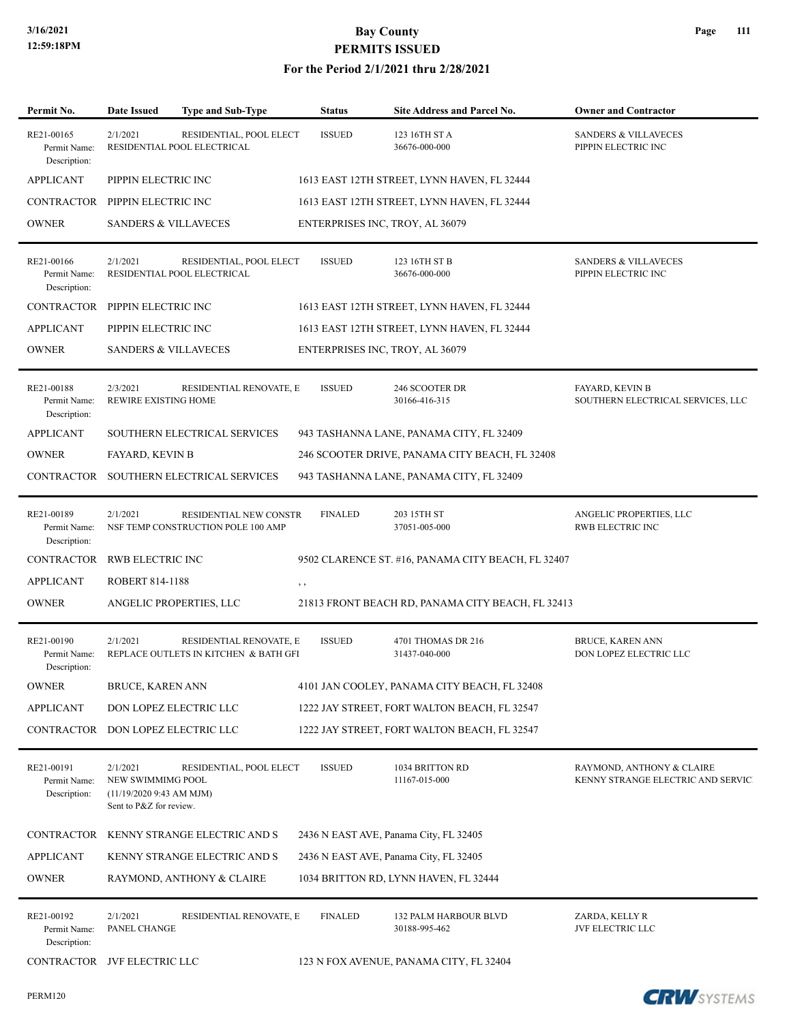| Permit No.                                 | <b>Date Issued</b>                                                                  | <b>Type and Sub-Type</b>                                         | <b>Status</b>  | Site Address and Parcel No.                        | <b>Owner and Contractor</b>                                     |
|--------------------------------------------|-------------------------------------------------------------------------------------|------------------------------------------------------------------|----------------|----------------------------------------------------|-----------------------------------------------------------------|
| RE21-00165<br>Permit Name:<br>Description: | 2/1/2021                                                                            | RESIDENTIAL, POOL ELECT<br>RESIDENTIAL POOL ELECTRICAL           | <b>ISSUED</b>  | 123 16TH ST A<br>36676-000-000                     | <b>SANDERS &amp; VILLAVECES</b><br>PIPPIN ELECTRIC INC          |
| <b>APPLICANT</b>                           | PIPPIN ELECTRIC INC                                                                 |                                                                  |                | 1613 EAST 12TH STREET, LYNN HAVEN, FL 32444        |                                                                 |
| CONTRACTOR PIPPIN ELECTRIC INC             |                                                                                     |                                                                  |                | 1613 EAST 12TH STREET, LYNN HAVEN, FL 32444        |                                                                 |
| <b>OWNER</b>                               | <b>SANDERS &amp; VILLAVECES</b>                                                     |                                                                  |                | ENTERPRISES INC, TROY, AL 36079                    |                                                                 |
| RE21-00166<br>Permit Name:<br>Description: | 2/1/2021                                                                            | RESIDENTIAL, POOL ELECT<br>RESIDENTIAL POOL ELECTRICAL           | <b>ISSUED</b>  | 123 16TH ST B<br>36676-000-000                     | <b>SANDERS &amp; VILLAVECES</b><br>PIPPIN ELECTRIC INC          |
| CONTRACTOR PIPPIN ELECTRIC INC             |                                                                                     |                                                                  |                | 1613 EAST 12TH STREET, LYNN HAVEN, FL 32444        |                                                                 |
| <b>APPLICANT</b>                           | PIPPIN ELECTRIC INC                                                                 |                                                                  |                | 1613 EAST 12TH STREET, LYNN HAVEN, FL 32444        |                                                                 |
| <b>OWNER</b>                               | <b>SANDERS &amp; VILLAVECES</b>                                                     |                                                                  |                | ENTERPRISES INC, TROY, AL 36079                    |                                                                 |
| RE21-00188<br>Permit Name:<br>Description: | 2/3/2021<br>REWIRE EXISTING HOME                                                    | RESIDENTIAL RENOVATE, E                                          | <b>ISSUED</b>  | 246 SCOOTER DR<br>30166-416-315                    | <b>FAYARD, KEVIN B</b><br>SOUTHERN ELECTRICAL SERVICES, LLC     |
| <b>APPLICANT</b>                           |                                                                                     | SOUTHERN ELECTRICAL SERVICES                                     |                | 943 TASHANNA LANE, PANAMA CITY, FL 32409           |                                                                 |
| <b>OWNER</b>                               | <b>FAYARD, KEVIN B</b>                                                              |                                                                  |                | 246 SCOOTER DRIVE, PANAMA CITY BEACH, FL 32408     |                                                                 |
|                                            |                                                                                     | CONTRACTOR SOUTHERN ELECTRICAL SERVICES                          |                | 943 TASHANNA LANE, PANAMA CITY, FL 32409           |                                                                 |
| RE21-00189<br>Permit Name:<br>Description: | 2/1/2021                                                                            | RESIDENTIAL NEW CONSTR<br>NSF TEMP CONSTRUCTION POLE 100 AMP     | <b>FINALED</b> | 203 15TH ST<br>37051-005-000                       | ANGELIC PROPERTIES, LLC<br>RWB ELECTRIC INC                     |
| CONTRACTOR                                 | <b>RWB ELECTRIC INC</b>                                                             |                                                                  |                | 9502 CLARENCE ST. #16, PANAMA CITY BEACH, FL 32407 |                                                                 |
| <b>APPLICANT</b>                           | <b>ROBERT 814-1188</b>                                                              |                                                                  | , ,            |                                                    |                                                                 |
| <b>OWNER</b>                               |                                                                                     | ANGELIC PROPERTIES, LLC                                          |                | 21813 FRONT BEACH RD, PANAMA CITY BEACH, FL 32413  |                                                                 |
| RE21-00190<br>Permit Name:<br>Description: | 2/1/2021                                                                            | RESIDENTIAL RENOVATE, E<br>REPLACE OUTLETS IN KITCHEN & BATH GFI | <b>ISSUED</b>  | 4701 THOMAS DR 216<br>31437-040-000                | BRUCE, KAREN ANN<br>DON LOPEZ ELECTRIC LLC                      |
| <b>OWNER</b>                               | BRUCE, KAREN ANN                                                                    |                                                                  |                | 4101 JAN COOLEY, PANAMA CITY BEACH, FL 32408       |                                                                 |
| <b>APPLICANT</b>                           |                                                                                     | DON LOPEZ ELECTRIC LLC                                           |                | 1222 JAY STREET, FORT WALTON BEACH, FL 32547       |                                                                 |
| CONTRACTOR                                 |                                                                                     | DON LOPEZ ELECTRIC LLC                                           |                | 1222 JAY STREET, FORT WALTON BEACH, FL 32547       |                                                                 |
| RE21-00191<br>Permit Name:<br>Description: | 2/1/2021<br>NEW SWIMMIMG POOL<br>(11/19/20209:43 AM MJM)<br>Sent to P&Z for review. | RESIDENTIAL, POOL ELECT                                          | <b>ISSUED</b>  | 1034 BRITTON RD<br>11167-015-000                   | RAYMOND, ANTHONY & CLAIRE<br>KENNY STRANGE ELECTRIC AND SERVICI |
| CONTRACTOR                                 |                                                                                     | KENNY STRANGE ELECTRIC AND S                                     |                | 2436 N EAST AVE, Panama City, FL 32405             |                                                                 |
| <b>APPLICANT</b>                           |                                                                                     | KENNY STRANGE ELECTRIC AND S                                     |                | 2436 N EAST AVE, Panama City, FL 32405             |                                                                 |
| <b>OWNER</b>                               |                                                                                     | RAYMOND, ANTHONY & CLAIRE                                        |                | 1034 BRITTON RD, LYNN HAVEN, FL 32444              |                                                                 |
| RE21-00192<br>Permit Name:<br>Description: | 2/1/2021<br>PANEL CHANGE                                                            | RESIDENTIAL RENOVATE, E                                          | <b>FINALED</b> | 132 PALM HARBOUR BLVD<br>30188-995-462             | ZARDA, KELLY R<br>JVF ELECTRIC LLC                              |
| CONTRACTOR JVF ELECTRIC LLC                |                                                                                     |                                                                  |                | 123 N FOX AVENUE, PANAMA CITY, FL 32404            |                                                                 |
|                                            |                                                                                     |                                                                  |                |                                                    |                                                                 |

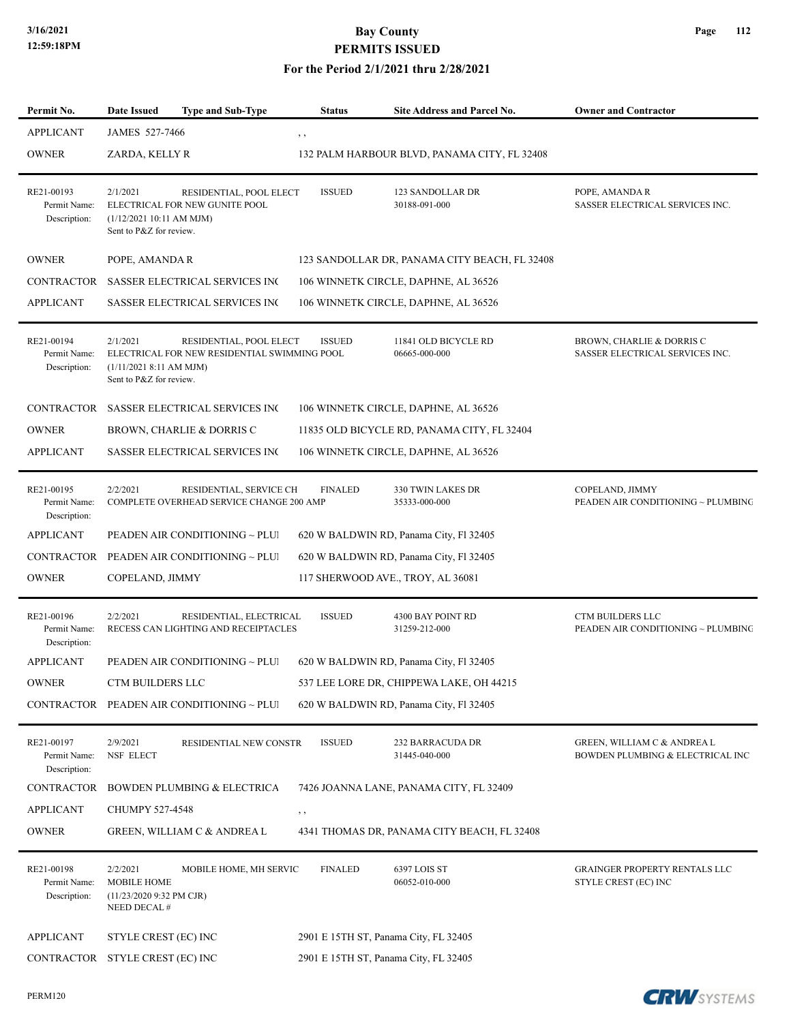| Permit No.                                 | Date Issued                                                                        | <b>Type and Sub-Type</b>                                                | <b>Status</b>                         | Site Address and Parcel No.                   | <b>Owner and Contractor</b>                                     |
|--------------------------------------------|------------------------------------------------------------------------------------|-------------------------------------------------------------------------|---------------------------------------|-----------------------------------------------|-----------------------------------------------------------------|
| <b>APPLICANT</b>                           | JAMES 527-7466                                                                     |                                                                         | , ,                                   |                                               |                                                                 |
| <b>OWNER</b>                               | ZARDA, KELLY R                                                                     |                                                                         |                                       | 132 PALM HARBOUR BLVD, PANAMA CITY, FL 32408  |                                                                 |
| RE21-00193<br>Permit Name:<br>Description: | 2/1/2021<br>(1/12/2021 10:11 AM MJM)<br>Sent to P&Z for review.                    | RESIDENTIAL, POOL ELECT<br>ELECTRICAL FOR NEW GUNITE POOL               | <b>ISSUED</b>                         | 123 SANDOLLAR DR<br>30188-091-000             | POPE, AMANDA R<br>SASSER ELECTRICAL SERVICES INC.               |
| <b>OWNER</b>                               | POPE, AMANDA R                                                                     |                                                                         |                                       | 123 SANDOLLAR DR, PANAMA CITY BEACH, FL 32408 |                                                                 |
| CONTRACTOR                                 |                                                                                    | <b>SASSER ELECTRICAL SERVICES INC</b>                                   |                                       | 106 WINNETK CIRCLE, DAPHNE, AL 36526          |                                                                 |
| <b>APPLICANT</b>                           |                                                                                    | SASSER ELECTRICAL SERVICES INC                                          |                                       | 106 WINNETK CIRCLE, DAPHNE, AL 36526          |                                                                 |
| RE21-00194<br>Permit Name:<br>Description: | 2/1/2021<br>(1/11/2021 8:11 AM MJM)<br>Sent to P&Z for review.                     | RESIDENTIAL, POOL ELECT<br>ELECTRICAL FOR NEW RESIDENTIAL SWIMMING POOL | <b>ISSUED</b>                         | 11841 OLD BICYCLE RD<br>06665-000-000         | BROWN, CHARLIE & DORRIS C<br>SASSER ELECTRICAL SERVICES INC.    |
| CONTRACTOR                                 |                                                                                    | SASSER ELECTRICAL SERVICES INC                                          |                                       | 106 WINNETK CIRCLE, DAPHNE, AL 36526          |                                                                 |
| <b>OWNER</b>                               |                                                                                    | BROWN, CHARLIE & DORRIS C                                               |                                       | 11835 OLD BICYCLE RD, PANAMA CITY, FL 32404   |                                                                 |
| <b>APPLICANT</b>                           |                                                                                    | <b>SASSER ELECTRICAL SERVICES INC</b>                                   |                                       | 106 WINNETK CIRCLE, DAPHNE, AL 36526          |                                                                 |
| RE21-00195<br>Permit Name:<br>Description: | 2/2/2021                                                                           | RESIDENTIAL, SERVICE CH<br>COMPLETE OVERHEAD SERVICE CHANGE 200 AMP     | <b>FINALED</b>                        | 330 TWIN LAKES DR<br>35333-000-000            | COPELAND, JIMMY<br>PEADEN AIR CONDITIONING ~ PLUMBING           |
| <b>APPLICANT</b>                           |                                                                                    | PEADEN AIR CONDITIONING ~ PLUI                                          |                                       | 620 W BALDWIN RD, Panama City, Fl 32405       |                                                                 |
| CONTRACTOR                                 |                                                                                    | PEADEN AIR CONDITIONING ~ PLUI                                          |                                       | 620 W BALDWIN RD, Panama City, Fl 32405       |                                                                 |
| <b>OWNER</b>                               | COPELAND, JIMMY                                                                    |                                                                         |                                       | 117 SHERWOOD AVE., TROY, AL 36081             |                                                                 |
| RE21-00196<br>Permit Name:<br>Description: | 2/2/2021                                                                           | RESIDENTIAL, ELECTRICAL<br>RECESS CAN LIGHTING AND RECEIPTACLES         | <b>ISSUED</b>                         | 4300 BAY POINT RD<br>31259-212-000            | CTM BUILDERS LLC<br>PEADEN AIR CONDITIONING ~ PLUMBING          |
| <b>APPLICANT</b>                           |                                                                                    | PEADEN AIR CONDITIONING ~ PLUI                                          |                                       | 620 W BALDWIN RD, Panama City, Fl 32405       |                                                                 |
| <b>OWNER</b>                               | CTM BUILDERS LLC                                                                   |                                                                         |                                       | 537 LEE LORE DR, CHIPPEWA LAKE, OH 44215      |                                                                 |
|                                            |                                                                                    | CONTRACTOR PEADEN AIR CONDITIONING ~ PLUI                               |                                       | 620 W BALDWIN RD, Panama City, Fl 32405       |                                                                 |
| RE21-00197<br>Permit Name:<br>Description: | 2/9/2021<br><b>NSF ELECT</b>                                                       | RESIDENTIAL NEW CONSTR                                                  | <b>ISSUED</b>                         | <b>232 BARRACUDA DR</b><br>31445-040-000      | GREEN, WILLIAM C & ANDREA L<br>BOWDEN PLUMBING & ELECTRICAL INC |
| CONTRACTOR                                 |                                                                                    | <b>BOWDEN PLUMBING &amp; ELECTRICA</b>                                  |                                       | 7426 JOANNA LANE, PANAMA CITY, FL 32409       |                                                                 |
| <b>APPLICANT</b>                           | CHUMPY 527-4548                                                                    |                                                                         | $, \, ,$                              |                                               |                                                                 |
| <b>OWNER</b>                               |                                                                                    | GREEN, WILLIAM C & ANDREA L                                             |                                       | 4341 THOMAS DR, PANAMA CITY BEACH, FL 32408   |                                                                 |
| RE21-00198<br>Permit Name:<br>Description: | 2/2/2021<br><b>MOBILE HOME</b><br>$(11/23/20209:32 \text{ PM CJR})$<br>NEED DECAL# | MOBILE HOME, MH SERVIC                                                  | <b>FINALED</b>                        | 6397 LOIS ST<br>06052-010-000                 | GRAINGER PROPERTY RENTALS LLC<br>STYLE CREST (EC) INC           |
| <b>APPLICANT</b>                           | STYLE CREST (EC) INC                                                               |                                                                         | 2901 E 15TH ST, Panama City, FL 32405 |                                               |                                                                 |
| CONTRACTOR                                 | STYLE CREST (EC) INC                                                               |                                                                         | 2901 E 15TH ST, Panama City, FL 32405 |                                               |                                                                 |

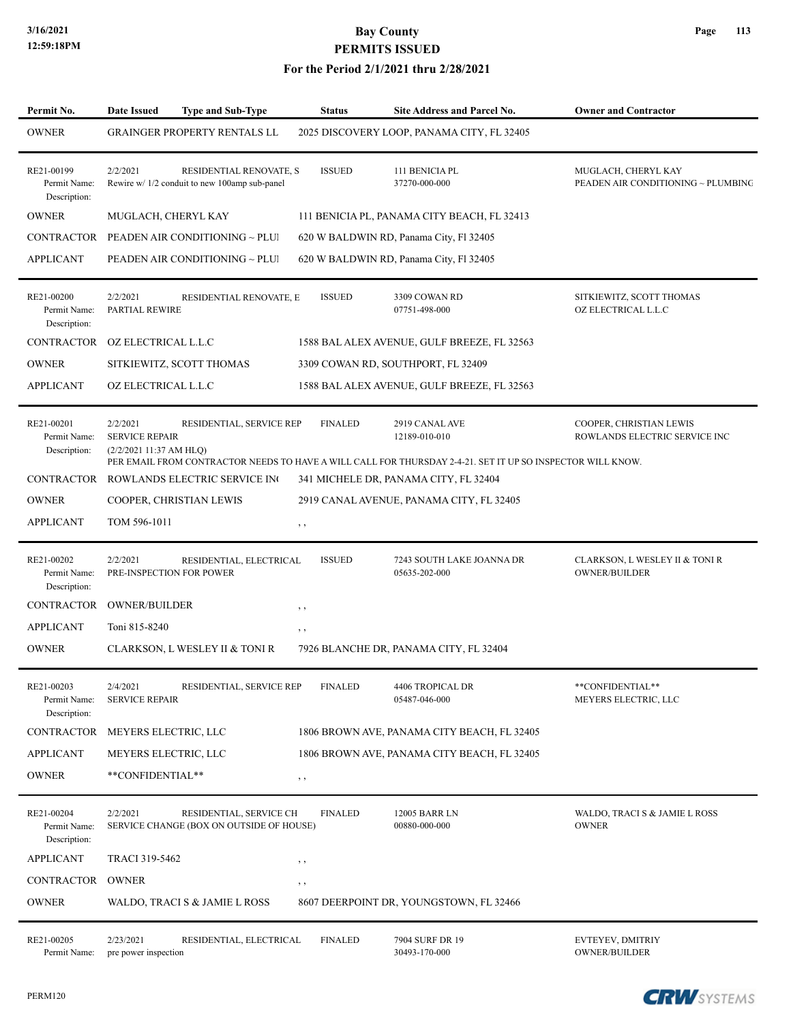| Permit No.                                 | <b>Date Issued</b>                                           | <b>Type and Sub-Type</b>                                                 | <b>Status</b>  | Site Address and Parcel No.                                                                                                                   | <b>Owner and Contractor</b>                               |
|--------------------------------------------|--------------------------------------------------------------|--------------------------------------------------------------------------|----------------|-----------------------------------------------------------------------------------------------------------------------------------------------|-----------------------------------------------------------|
| <b>OWNER</b>                               |                                                              | <b>GRAINGER PROPERTY RENTALS LL</b>                                      |                | 2025 DISCOVERY LOOP, PANAMA CITY, FL 32405                                                                                                    |                                                           |
| RE21-00199<br>Permit Name:<br>Description: | 2/2/2021                                                     | RESIDENTIAL RENOVATE, S<br>Rewire w/ 1/2 conduit to new 100amp sub-panel | <b>ISSUED</b>  | 111 BENICIA PL<br>37270-000-000                                                                                                               | MUGLACH, CHERYL KAY<br>PEADEN AIR CONDITIONING ~ PLUMBING |
| <b>OWNER</b>                               | MUGLACH, CHERYL KAY                                          |                                                                          |                | 111 BENICIA PL, PANAMA CITY BEACH, FL 32413                                                                                                   |                                                           |
| CONTRACTOR                                 |                                                              | PEADEN AIR CONDITIONING ~ PLUI                                           |                | 620 W BALDWIN RD, Panama City, Fl 32405                                                                                                       |                                                           |
| <b>APPLICANT</b>                           |                                                              | PEADEN AIR CONDITIONING ~ PLUI                                           |                | 620 W BALDWIN RD, Panama City, Fl 32405                                                                                                       |                                                           |
| RE21-00200<br>Permit Name:<br>Description: | 2/2/2021<br>PARTIAL REWIRE                                   | RESIDENTIAL RENOVATE, E                                                  | <b>ISSUED</b>  | 3309 COWAN RD<br>07751-498-000                                                                                                                | SITKIEWITZ, SCOTT THOMAS<br>OZ ELECTRICAL L.L.C           |
| CONTRACTOR                                 | OZ ELECTRICAL L.L.C                                          |                                                                          |                | 1588 BAL ALEX AVENUE, GULF BREEZE, FL 32563                                                                                                   |                                                           |
| <b>OWNER</b>                               | SITKIEWITZ, SCOTT THOMAS                                     |                                                                          |                | 3309 COWAN RD, SOUTHPORT, FL 32409                                                                                                            |                                                           |
| <b>APPLICANT</b>                           | OZ ELECTRICAL L.L.C                                          |                                                                          |                | 1588 BAL ALEX AVENUE, GULF BREEZE, FL 32563                                                                                                   |                                                           |
| RE21-00201<br>Permit Name:<br>Description: | 2/2/2021<br><b>SERVICE REPAIR</b><br>(2/2/2021 11:37 AM HLQ) | RESIDENTIAL, SERVICE REP                                                 | <b>FINALED</b> | 2919 CANAL AVE<br>12189-010-010<br>PER EMAIL FROM CONTRACTOR NEEDS TO HAVE A WILL CALL FOR THURSDAY 2-4-21. SET IT UP SO INSPECTOR WILL KNOW. | COOPER, CHRISTIAN LEWIS<br>ROWLANDS ELECTRIC SERVICE INC  |
| CONTRACTOR                                 |                                                              | ROWLANDS ELECTRIC SERVICE IN                                             |                | 341 MICHELE DR, PANAMA CITY, FL 32404                                                                                                         |                                                           |
| <b>OWNER</b>                               | COOPER, CHRISTIAN LEWIS                                      |                                                                          |                | 2919 CANAL AVENUE, PANAMA CITY, FL 32405                                                                                                      |                                                           |
| <b>APPLICANT</b>                           | TOM 596-1011                                                 |                                                                          | $, \, , \,$    |                                                                                                                                               |                                                           |
| RE21-00202<br>Permit Name:<br>Description: | 2/2/2021<br>PRE-INSPECTION FOR POWER                         | RESIDENTIAL, ELECTRICAL                                                  | <b>ISSUED</b>  | 7243 SOUTH LAKE JOANNA DR<br>05635-202-000                                                                                                    | CLARKSON, L WESLEY II & TONI R<br><b>OWNER/BUILDER</b>    |
| CONTRACTOR                                 | <b>OWNER/BUILDER</b>                                         |                                                                          | $, \, \cdot$   |                                                                                                                                               |                                                           |
| <b>APPLICANT</b>                           | Toni 815-8240                                                |                                                                          | $, \, \cdot$   |                                                                                                                                               |                                                           |
| <b>OWNER</b>                               |                                                              | CLARKSON, L WESLEY II & TONI R                                           |                | 7926 BLANCHE DR, PANAMA CITY, FL 32404                                                                                                        |                                                           |
| RE21-00203<br>Permit Name:<br>Description: | 2/4/2021<br><b>SERVICE REPAIR</b>                            | RESIDENTIAL, SERVICE REP                                                 | <b>FINALED</b> | 4406 TROPICAL DR<br>05487-046-000                                                                                                             | **CONFIDENTIAL**<br>MEYERS ELECTRIC, LLC                  |
| CONTRACTOR                                 | MEYERS ELECTRIC, LLC                                         |                                                                          |                | 1806 BROWN AVE, PANAMA CITY BEACH, FL 32405                                                                                                   |                                                           |
| <b>APPLICANT</b>                           | MEYERS ELECTRIC, LLC                                         |                                                                          |                | 1806 BROWN AVE, PANAMA CITY BEACH, FL 32405                                                                                                   |                                                           |
| <b>OWNER</b>                               | **CONFIDENTIAL**                                             |                                                                          | $, \, ,$       |                                                                                                                                               |                                                           |
| RE21-00204<br>Permit Name:<br>Description: | 2/2/2021                                                     | RESIDENTIAL, SERVICE CH<br>SERVICE CHANGE (BOX ON OUTSIDE OF HOUSE)      | <b>FINALED</b> | 12005 BARR LN<br>00880-000-000                                                                                                                | WALDO, TRACI S & JAMIE L ROSS<br><b>OWNER</b>             |
| <b>APPLICANT</b>                           | TRACI 319-5462                                               |                                                                          | $, \, \cdot$   |                                                                                                                                               |                                                           |
| CONTRACTOR                                 | OWNER                                                        |                                                                          | $, \, \cdot$   |                                                                                                                                               |                                                           |
| <b>OWNER</b>                               |                                                              | WALDO, TRACI S & JAMIE L ROSS                                            |                | 8607 DEERPOINT DR, YOUNGSTOWN, FL 32466                                                                                                       |                                                           |
| RE21-00205<br>Permit Name:                 | 2/23/2021<br>pre power inspection                            | RESIDENTIAL, ELECTRICAL                                                  | <b>FINALED</b> | 7904 SURF DR 19<br>30493-170-000                                                                                                              | EVTEYEV, DMITRIY<br><b>OWNER/BUILDER</b>                  |

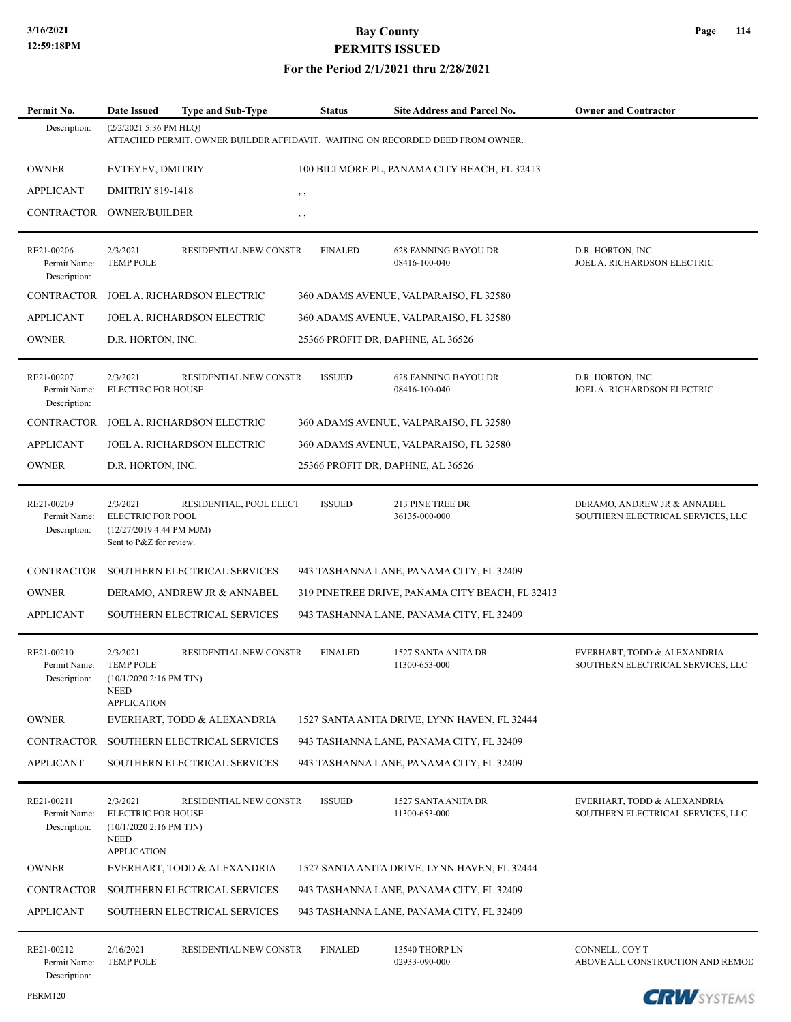| Permit No.                                 | Date Issued                                                                                           | <b>Type and Sub-Type</b>     | Status         | <b>Site Address and Parcel No.</b>                                             | <b>Owner and Contractor</b>                                      |
|--------------------------------------------|-------------------------------------------------------------------------------------------------------|------------------------------|----------------|--------------------------------------------------------------------------------|------------------------------------------------------------------|
| Description:                               | (2/2/2021 5:36 PM HLQ)                                                                                |                              |                | ATTACHED PERMIT, OWNER BUILDER AFFIDAVIT. WAITING ON RECORDED DEED FROM OWNER. |                                                                  |
| <b>OWNER</b>                               | EVTEYEV, DMITRIY                                                                                      |                              |                | 100 BILTMORE PL, PANAMA CITY BEACH, FL 32413                                   |                                                                  |
| <b>APPLICANT</b>                           | <b>DMITRIY 819-1418</b>                                                                               |                              | $, \, , \,$    |                                                                                |                                                                  |
| <b>CONTRACTOR</b>                          | <b>OWNER/BUILDER</b>                                                                                  |                              | , ,            |                                                                                |                                                                  |
| RE21-00206<br>Permit Name:<br>Description: | 2/3/2021<br><b>TEMP POLE</b>                                                                          | RESIDENTIAL NEW CONSTR       | <b>FINALED</b> | 628 FANNING BAYOU DR<br>08416-100-040                                          | D.R. HORTON, INC.<br>JOEL A. RICHARDSON ELECTRIC                 |
| CONTRACTOR                                 |                                                                                                       | JOEL A. RICHARDSON ELECTRIC  |                | 360 ADAMS AVENUE, VALPARAISO, FL 32580                                         |                                                                  |
| <b>APPLICANT</b>                           |                                                                                                       | JOEL A. RICHARDSON ELECTRIC  |                | 360 ADAMS AVENUE, VALPARAISO, FL 32580                                         |                                                                  |
| <b>OWNER</b>                               | D.R. HORTON, INC.                                                                                     |                              |                | 25366 PROFIT DR, DAPHNE, AL 36526                                              |                                                                  |
| RE21-00207<br>Permit Name:<br>Description: | 2/3/2021<br>ELECTIRC FOR HOUSE                                                                        | RESIDENTIAL NEW CONSTR       | <b>ISSUED</b>  | <b>628 FANNING BAYOU DR</b><br>08416-100-040                                   | D.R. HORTON, INC.<br>JOEL A. RICHARDSON ELECTRIC                 |
| <b>CONTRACTOR</b>                          |                                                                                                       | JOEL A. RICHARDSON ELECTRIC  |                | 360 ADAMS AVENUE, VALPARAISO, FL 32580                                         |                                                                  |
| <b>APPLICANT</b>                           |                                                                                                       | JOEL A. RICHARDSON ELECTRIC  |                | 360 ADAMS AVENUE, VALPARAISO, FL 32580                                         |                                                                  |
| <b>OWNER</b>                               | D.R. HORTON, INC.                                                                                     |                              |                | 25366 PROFIT DR, DAPHNE, AL 36526                                              |                                                                  |
| RE21-00209<br>Permit Name:<br>Description: | 2/3/2021<br>ELECTRIC FOR POOL<br>(12/27/2019 4:44 PM MJM)<br>Sent to P&Z for review.                  | RESIDENTIAL, POOL ELECT      | <b>ISSUED</b>  | 213 PINE TREE DR<br>36135-000-000                                              | DERAMO, ANDREW JR & ANNABEL<br>SOUTHERN ELECTRICAL SERVICES, LLC |
| <b>CONTRACTOR</b>                          |                                                                                                       | SOUTHERN ELECTRICAL SERVICES |                | 943 TASHANNA LANE, PANAMA CITY, FL 32409                                       |                                                                  |
| <b>OWNER</b>                               |                                                                                                       | DERAMO, ANDREW JR & ANNABEL  |                | 319 PINETREE DRIVE, PANAMA CITY BEACH, FL 32413                                |                                                                  |
| <b>APPLICANT</b>                           |                                                                                                       | SOUTHERN ELECTRICAL SERVICES |                | 943 TASHANNA LANE, PANAMA CITY, FL 32409                                       |                                                                  |
| RE21-00210<br>Permit Name:<br>Description: | 2/3/2021<br><b>TEMP POLE</b><br>(10/1/2020 2:16 PM TJN)<br><b>NEED</b><br><b>APPLICATION</b>          | RESIDENTIAL NEW CONSTR       | <b>FINALED</b> | 1527 SANTA ANITA DR<br>11300-653-000                                           | EVERHART, TODD & ALEXANDRIA<br>SOUTHERN ELECTRICAL SERVICES, LLC |
| <b>OWNER</b>                               |                                                                                                       | EVERHART, TODD & ALEXANDRIA  |                | 1527 SANTA ANITA DRIVE, LYNN HAVEN, FL 32444                                   |                                                                  |
| CONTRACTOR                                 |                                                                                                       | SOUTHERN ELECTRICAL SERVICES |                | 943 TASHANNA LANE, PANAMA CITY, FL 32409                                       |                                                                  |
| <b>APPLICANT</b>                           |                                                                                                       | SOUTHERN ELECTRICAL SERVICES |                | 943 TASHANNA LANE, PANAMA CITY, FL 32409                                       |                                                                  |
| RE21-00211<br>Permit Name:<br>Description: | 2/3/2021<br><b>ELECTRIC FOR HOUSE</b><br>(10/1/2020 2:16 PM TJN)<br><b>NEED</b><br><b>APPLICATION</b> | RESIDENTIAL NEW CONSTR       | <b>ISSUED</b>  | 1527 SANTA ANITA DR<br>11300-653-000                                           | EVERHART, TODD & ALEXANDRIA<br>SOUTHERN ELECTRICAL SERVICES, LLC |
| <b>OWNER</b>                               |                                                                                                       | EVERHART, TODD & ALEXANDRIA  |                | 1527 SANTA ANITA DRIVE, LYNN HAVEN, FL 32444                                   |                                                                  |
| CONTRACTOR                                 |                                                                                                       | SOUTHERN ELECTRICAL SERVICES |                | 943 TASHANNA LANE, PANAMA CITY, FL 32409                                       |                                                                  |
| <b>APPLICANT</b>                           |                                                                                                       | SOUTHERN ELECTRICAL SERVICES |                | 943 TASHANNA LANE, PANAMA CITY, FL 32409                                       |                                                                  |
| RE21-00212<br>Permit Name:<br>Description: | 2/16/2021<br><b>TEMP POLE</b>                                                                         | RESIDENTIAL NEW CONSTR       | <b>FINALED</b> | 13540 THORP LN<br>02933-090-000                                                | CONNELL, COY T<br>ABOVE ALL CONSTRUCTION AND REMOD               |

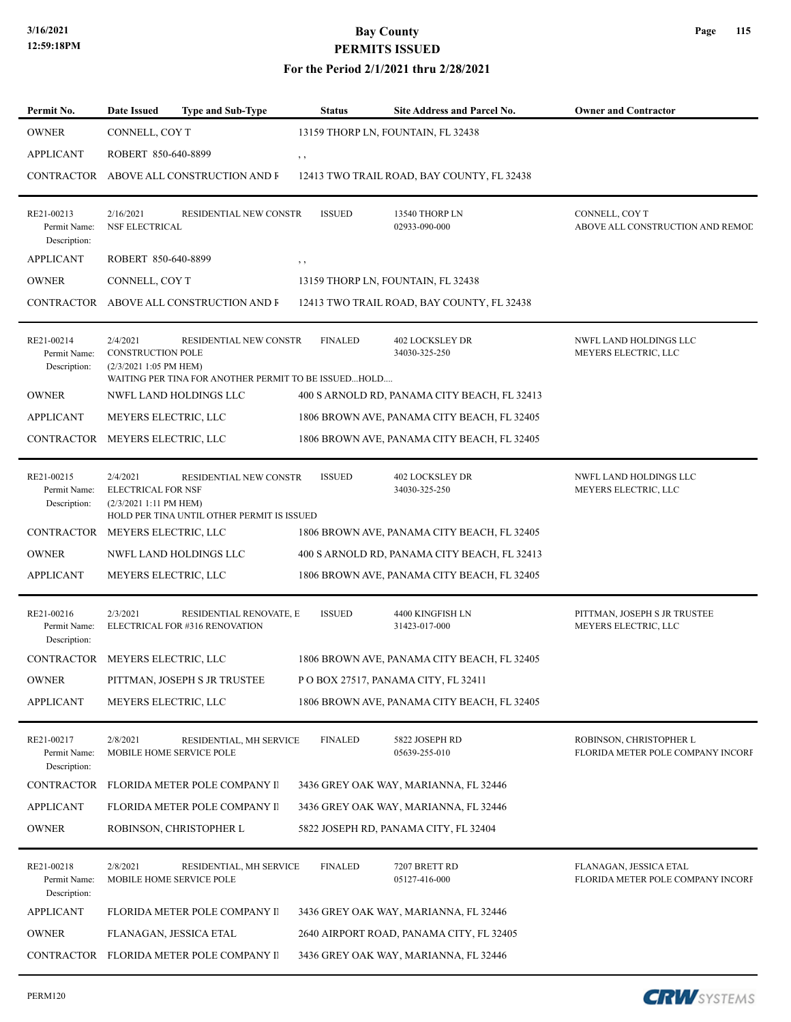#### **For the Period 2/1/2021 thru 2/28/2021**

| Permit No.                                 | Date Issued                                                     | <b>Type and Sub-Type</b>                                                       | <b>Status</b>  | <b>Site Address and Parcel No.</b>           | <b>Owner and Contractor</b>                                  |
|--------------------------------------------|-----------------------------------------------------------------|--------------------------------------------------------------------------------|----------------|----------------------------------------------|--------------------------------------------------------------|
| <b>OWNER</b>                               | CONNELL, COY T                                                  |                                                                                |                | 13159 THORP LN, FOUNTAIN, FL 32438           |                                                              |
| <b>APPLICANT</b>                           | ROBERT 850-640-8899                                             |                                                                                | , ,            |                                              |                                                              |
|                                            |                                                                 | CONTRACTOR ABOVE ALL CONSTRUCTION AND F                                        |                | 12413 TWO TRAIL ROAD, BAY COUNTY, FL 32438   |                                                              |
| RE21-00213<br>Permit Name:<br>Description: | 2/16/2021<br><b>NSF ELECTRICAL</b>                              | RESIDENTIAL NEW CONSTR                                                         | <b>ISSUED</b>  | 13540 THORP LN<br>02933-090-000              | CONNELL, COY T<br>ABOVE ALL CONSTRUCTION AND REMOD           |
| <b>APPLICANT</b>                           | ROBERT 850-640-8899                                             |                                                                                | $, \, , \,$    |                                              |                                                              |
| <b>OWNER</b>                               | CONNELL, COY T                                                  |                                                                                |                | 13159 THORP LN, FOUNTAIN, FL 32438           |                                                              |
|                                            |                                                                 | CONTRACTOR ABOVE ALL CONSTRUCTION AND F                                        |                | 12413 TWO TRAIL ROAD, BAY COUNTY, FL 32438   |                                                              |
| RE21-00214<br>Permit Name:<br>Description: | 2/4/2021<br>CONSTRUCTION POLE<br>(2/3/2021 1:05 PM HEM)         | RESIDENTIAL NEW CONSTR<br>WAITING PER TINA FOR ANOTHER PERMIT TO BE ISSUEDHOLD | <b>FINALED</b> | <b>402 LOCKSLEY DR</b><br>34030-325-250      | NWFL LAND HOLDINGS LLC<br>MEYERS ELECTRIC, LLC               |
| <b>OWNER</b>                               |                                                                 | NWFL LAND HOLDINGS LLC                                                         |                | 400 S ARNOLD RD, PANAMA CITY BEACH, FL 32413 |                                                              |
| <b>APPLICANT</b>                           | MEYERS ELECTRIC, LLC                                            |                                                                                |                | 1806 BROWN AVE, PANAMA CITY BEACH, FL 32405  |                                                              |
| CONTRACTOR MEYERS ELECTRIC, LLC            |                                                                 |                                                                                |                | 1806 BROWN AVE, PANAMA CITY BEACH, FL 32405  |                                                              |
| RE21-00215<br>Permit Name:<br>Description: | 2/4/2021<br><b>ELECTRICAL FOR NSF</b><br>(2/3/2021 1:11 PM HEM) | RESIDENTIAL NEW CONSTR<br>HOLD PER TINA UNTIL OTHER PERMIT IS ISSUED           | <b>ISSUED</b>  | <b>402 LOCKSLEY DR</b><br>34030-325-250      | NWFL LAND HOLDINGS LLC<br>MEYERS ELECTRIC, LLC               |
| CONTRACTOR                                 | MEYERS ELECTRIC, LLC                                            |                                                                                |                | 1806 BROWN AVE, PANAMA CITY BEACH, FL 32405  |                                                              |
| <b>OWNER</b>                               |                                                                 | NWFL LAND HOLDINGS LLC                                                         |                | 400 S ARNOLD RD, PANAMA CITY BEACH, FL 32413 |                                                              |
| <b>APPLICANT</b>                           | MEYERS ELECTRIC, LLC                                            |                                                                                |                | 1806 BROWN AVE, PANAMA CITY BEACH, FL 32405  |                                                              |
| RE21-00216<br>Permit Name:<br>Description: | 2/3/2021                                                        | RESIDENTIAL RENOVATE, E<br>ELECTRICAL FOR #316 RENOVATION                      | <b>ISSUED</b>  | 4400 KINGFISH LN<br>31423-017-000            | PITTMAN, JOSEPH S JR TRUSTEE<br>MEYERS ELECTRIC, LLC         |
| CONTRACTOR MEYERS ELECTRIC, LLC            |                                                                 |                                                                                |                | 1806 BROWN AVE, PANAMA CITY BEACH, FL 32405  |                                                              |
| OWNER                                      |                                                                 | PITTMAN, JOSEPH S JR TRUSTEE                                                   |                | P O BOX 27517, PANAMA CITY, FL 32411         |                                                              |
| <b>APPLICANT</b>                           |                                                                 | MEYERS ELECTRIC, LLC                                                           |                | 1806 BROWN AVE, PANAMA CITY BEACH, FL 32405  |                                                              |
| RE21-00217<br>Permit Name:<br>Description: | 2/8/2021                                                        | RESIDENTIAL, MH SERVICE<br>MOBILE HOME SERVICE POLE                            | <b>FINALED</b> | 5822 JOSEPH RD<br>05639-255-010              | ROBINSON, CHRISTOPHER L<br>FLORIDA METER POLE COMPANY INCORP |
| CONTRACTOR                                 |                                                                 | FLORIDA METER POLE COMPANY II                                                  |                | 3436 GREY OAK WAY, MARIANNA, FL 32446        |                                                              |
| <b>APPLICANT</b>                           |                                                                 | FLORIDA METER POLE COMPANY II                                                  |                | 3436 GREY OAK WAY, MARIANNA, FL 32446        |                                                              |
| <b>OWNER</b>                               |                                                                 | ROBINSON, CHRISTOPHER L                                                        |                | 5822 JOSEPH RD, PANAMA CITY, FL 32404        |                                                              |
| RE21-00218<br>Permit Name:<br>Description: | 2/8/2021                                                        | RESIDENTIAL, MH SERVICE<br>MOBILE HOME SERVICE POLE                            | <b>FINALED</b> | 7207 BRETT RD<br>05127-416-000               | FLANAGAN, JESSICA ETAL<br>FLORIDA METER POLE COMPANY INCORP  |
| <b>APPLICANT</b>                           |                                                                 | FLORIDA METER POLE COMPANY II                                                  |                | 3436 GREY OAK WAY, MARIANNA, FL 32446        |                                                              |
| <b>OWNER</b>                               |                                                                 | FLANAGAN, JESSICA ETAL                                                         |                | 2640 AIRPORT ROAD, PANAMA CITY, FL 32405     |                                                              |
| CONTRACTOR                                 |                                                                 | FLORIDA METER POLE COMPANY II                                                  |                | 3436 GREY OAK WAY, MARIANNA, FL 32446        |                                                              |

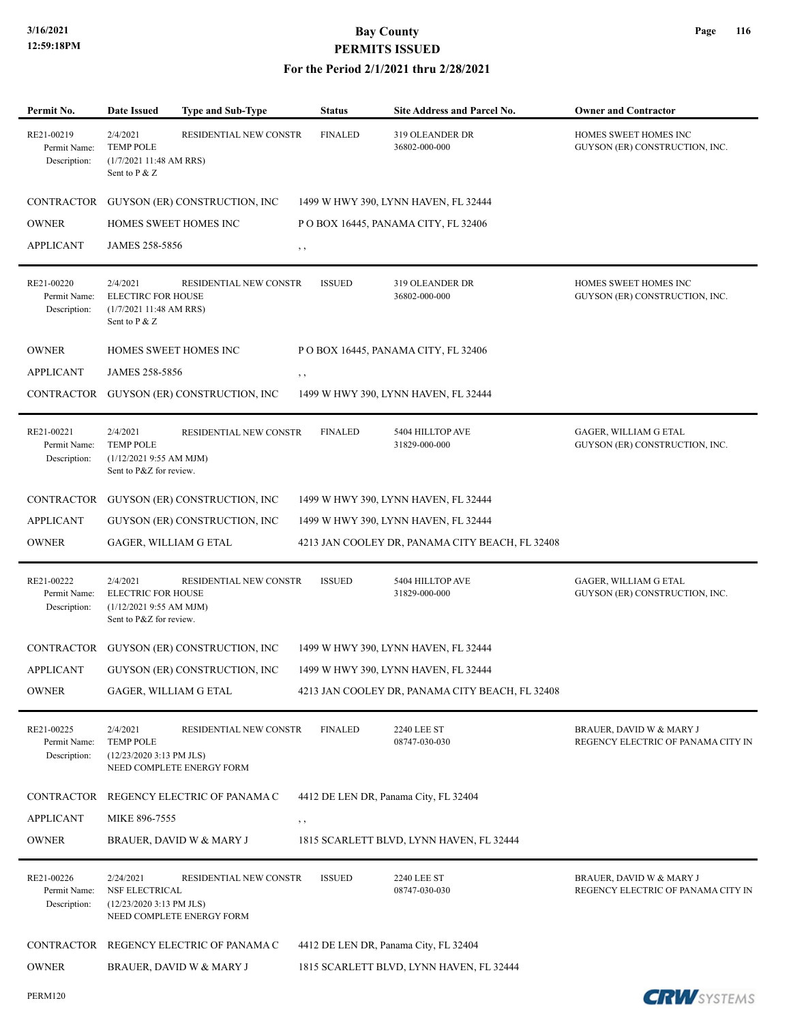| Permit No.                                 | <b>Date Issued</b>                                                                         | <b>Type and Sub-Type</b>                            | <b>Status</b>  | Site Address and Parcel No.                     | <b>Owner and Contractor</b>                                    |
|--------------------------------------------|--------------------------------------------------------------------------------------------|-----------------------------------------------------|----------------|-------------------------------------------------|----------------------------------------------------------------|
| RE21-00219<br>Permit Name:<br>Description: | 2/4/2021<br><b>TEMP POLE</b><br>(1/7/202111:48 AMRRS)<br>Sent to P & Z                     | RESIDENTIAL NEW CONSTR                              | <b>FINALED</b> | 319 OLEANDER DR<br>36802-000-000                | HOMES SWEET HOMES INC<br>GUYSON (ER) CONSTRUCTION, INC.        |
| CONTRACTOR                                 |                                                                                            | GUYSON (ER) CONSTRUCTION, INC                       |                | 1499 W HWY 390, LYNN HAVEN, FL 32444            |                                                                |
| OWNER                                      |                                                                                            | HOMES SWEET HOMES INC                               |                | POBOX 16445, PANAMA CITY, FL 32406              |                                                                |
| APPLICANT                                  | JAMES 258-5856                                                                             |                                                     | , ,            |                                                 |                                                                |
| RE21-00220<br>Permit Name:<br>Description: | 2/4/2021<br><b>ELECTIRC FOR HOUSE</b><br>(1/7/202111:48 AMRRS)<br>Sent to P & Z            | RESIDENTIAL NEW CONSTR                              | <b>ISSUED</b>  | 319 OLEANDER DR<br>36802-000-000                | HOMES SWEET HOMES INC<br>GUYSON (ER) CONSTRUCTION, INC.        |
| <b>OWNER</b>                               |                                                                                            | HOMES SWEET HOMES INC                               |                | POBOX 16445, PANAMA CITY, FL 32406              |                                                                |
| <b>APPLICANT</b>                           | JAMES 258-5856                                                                             |                                                     | $, \, , \,$    |                                                 |                                                                |
|                                            |                                                                                            | CONTRACTOR GUYSON (ER) CONSTRUCTION, INC            |                | 1499 W HWY 390, LYNN HAVEN, FL 32444            |                                                                |
| RE21-00221<br>Permit Name:<br>Description: | 2/4/2021<br><b>TEMP POLE</b><br>$(1/12/20219:55$ AM MJM)<br>Sent to P&Z for review.        | RESIDENTIAL NEW CONSTR                              | <b>FINALED</b> | 5404 HILLTOP AVE<br>31829-000-000               | GAGER, WILLIAM G ETAL<br>GUYSON (ER) CONSTRUCTION, INC.        |
| CONTRACTOR                                 |                                                                                            | GUYSON (ER) CONSTRUCTION, INC                       |                | 1499 W HWY 390, LYNN HAVEN, FL 32444            |                                                                |
| <b>APPLICANT</b>                           |                                                                                            | GUYSON (ER) CONSTRUCTION, INC                       |                | 1499 W HWY 390, LYNN HAVEN, FL 32444            |                                                                |
| <b>OWNER</b>                               | GAGER, WILLIAM G ETAL                                                                      |                                                     |                | 4213 JAN COOLEY DR, PANAMA CITY BEACH, FL 32408 |                                                                |
| RE21-00222<br>Permit Name:<br>Description: | 2/4/2021<br><b>ELECTRIC FOR HOUSE</b><br>(1/12/20219:55 AM MJM)<br>Sent to P&Z for review. | RESIDENTIAL NEW CONSTR                              | <b>ISSUED</b>  | 5404 HILLTOP AVE<br>31829-000-000               | GAGER, WILLIAM G ETAL<br>GUYSON (ER) CONSTRUCTION, INC.        |
| CONTRACTOR                                 |                                                                                            | GUYSON (ER) CONSTRUCTION, INC                       |                | 1499 W HWY 390, LYNN HAVEN, FL 32444            |                                                                |
| APPLICANT                                  |                                                                                            | GUYSON (ER) CONSTRUCTION, INC                       |                | 1499 W HWY 390, LYNN HAVEN, FL 32444            |                                                                |
| <b>OWNER</b>                               | GAGER, WILLIAM G ETAL                                                                      |                                                     |                | 4213 JAN COOLEY DR, PANAMA CITY BEACH, FL 32408 |                                                                |
| RE21-00225<br>Permit Name:<br>Description: | 2/4/2021<br><b>TEMP POLE</b><br>$(12/23/20203:13$ PM JLS)                                  | RESIDENTIAL NEW CONSTR<br>NEED COMPLETE ENERGY FORM | <b>FINALED</b> | <b>2240 LEE ST</b><br>08747-030-030             | BRAUER, DAVID W & MARY J<br>REGENCY ELECTRIC OF PANAMA CITY IN |
| CONTRACTOR                                 |                                                                                            | REGENCY ELECTRIC OF PANAMA C                        |                | 4412 DE LEN DR, Panama City, FL 32404           |                                                                |
| APPLICANT                                  | MIKE 896-7555                                                                              |                                                     | $, \, , \,$    |                                                 |                                                                |
| OWNER                                      |                                                                                            | BRAUER, DAVID W & MARY J                            |                | 1815 SCARLETT BLVD, LYNN HAVEN, FL 32444        |                                                                |
| RE21-00226<br>Permit Name:<br>Description: | 2/24/2021<br>NSF ELECTRICAL<br>(12/23/2020 3:13 PM JLS)                                    | RESIDENTIAL NEW CONSTR<br>NEED COMPLETE ENERGY FORM | <b>ISSUED</b>  | <b>2240 LEE ST</b><br>08747-030-030             | BRAUER, DAVID W & MARY J<br>REGENCY ELECTRIC OF PANAMA CITY IN |
| CONTRACTOR                                 |                                                                                            | REGENCY ELECTRIC OF PANAMA C                        |                | 4412 DE LEN DR, Panama City, FL 32404           |                                                                |
| OWNER                                      |                                                                                            | BRAUER, DAVID W & MARY J                            |                | 1815 SCARLETT BLVD, LYNN HAVEN, FL 32444        |                                                                |
| <b>PERM120</b>                             |                                                                                            |                                                     |                |                                                 | <b>CRW</b> SYSTEMS                                             |

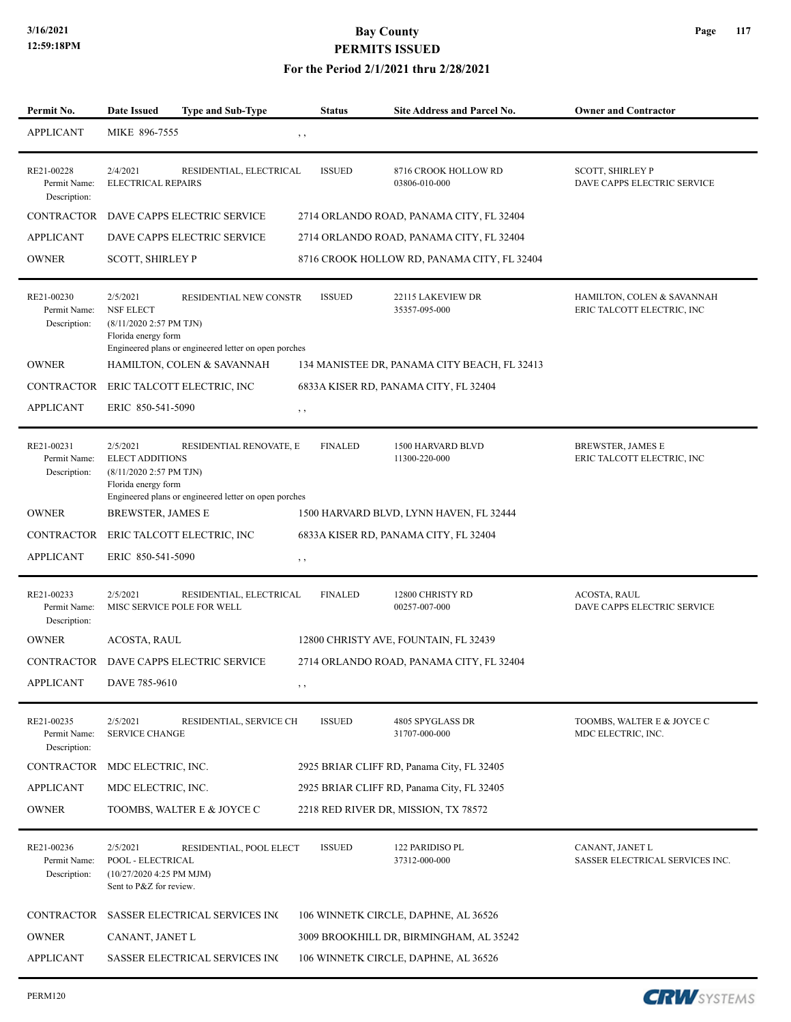### **For the Period 2/1/2021 thru 2/28/2021**

| Permit No.                                 | <b>Date Issued</b><br><b>Type and Sub-Type</b>                                                                                                                           | <b>Status</b>  | <b>Site Address and Parcel No.</b>           | <b>Owner and Contractor</b>                              |
|--------------------------------------------|--------------------------------------------------------------------------------------------------------------------------------------------------------------------------|----------------|----------------------------------------------|----------------------------------------------------------|
| <b>APPLICANT</b>                           | MIKE 896-7555                                                                                                                                                            | , ,            |                                              |                                                          |
| RE21-00228<br>Permit Name:<br>Description: | 2/4/2021<br>RESIDENTIAL, ELECTRICAL<br><b>ELECTRICAL REPAIRS</b>                                                                                                         | <b>ISSUED</b>  | 8716 CROOK HOLLOW RD<br>03806-010-000        | <b>SCOTT, SHIRLEY P</b><br>DAVE CAPPS ELECTRIC SERVICE   |
| CONTRACTOR                                 | DAVE CAPPS ELECTRIC SERVICE                                                                                                                                              |                | 2714 ORLANDO ROAD, PANAMA CITY, FL 32404     |                                                          |
| <b>APPLICANT</b>                           | DAVE CAPPS ELECTRIC SERVICE                                                                                                                                              |                | 2714 ORLANDO ROAD, PANAMA CITY, FL 32404     |                                                          |
| <b>OWNER</b>                               | <b>SCOTT, SHIRLEY P</b>                                                                                                                                                  |                | 8716 CROOK HOLLOW RD, PANAMA CITY, FL 32404  |                                                          |
| RE21-00230<br>Permit Name:<br>Description: | 2/5/2021<br>RESIDENTIAL NEW CONSTR<br><b>NSF ELECT</b><br>(8/11/2020 2:57 PM TJN)<br>Florida energy form<br>Engineered plans or engineered letter on open porches        | <b>ISSUED</b>  | 22115 LAKEVIEW DR<br>35357-095-000           | HAMILTON, COLEN & SAVANNAH<br>ERIC TALCOTT ELECTRIC, INC |
| <b>OWNER</b>                               | HAMILTON, COLEN & SAVANNAH                                                                                                                                               |                | 134 MANISTEE DR, PANAMA CITY BEACH, FL 32413 |                                                          |
| CONTRACTOR                                 | ERIC TALCOTT ELECTRIC, INC                                                                                                                                               |                | 6833A KISER RD, PANAMA CITY, FL 32404        |                                                          |
| <b>APPLICANT</b>                           | ERIC 850-541-5090                                                                                                                                                        | , ,            |                                              |                                                          |
| RE21-00231<br>Permit Name:<br>Description: | 2/5/2021<br>RESIDENTIAL RENOVATE, E<br><b>ELECT ADDITIONS</b><br>(8/11/2020 2:57 PM TJN)<br>Florida energy form<br>Engineered plans or engineered letter on open porches | <b>FINALED</b> | <b>1500 HARVARD BLVD</b><br>11300-220-000    | <b>BREWSTER, JAMES E</b><br>ERIC TALCOTT ELECTRIC, INC   |
| <b>OWNER</b>                               | <b>BREWSTER, JAMES E</b>                                                                                                                                                 |                | 1500 HARVARD BLVD, LYNN HAVEN, FL 32444      |                                                          |
| CONTRACTOR                                 | ERIC TALCOTT ELECTRIC, INC                                                                                                                                               |                | 6833A KISER RD, PANAMA CITY, FL 32404        |                                                          |
| <b>APPLICANT</b>                           | ERIC 850-541-5090                                                                                                                                                        | $, \, \,$      |                                              |                                                          |
| RE21-00233<br>Permit Name:<br>Description: | 2/5/2021<br>RESIDENTIAL, ELECTRICAL<br>MISC SERVICE POLE FOR WELL                                                                                                        | <b>FINALED</b> | 12800 CHRISTY RD<br>00257-007-000            | <b>ACOSTA, RAUL</b><br>DAVE CAPPS ELECTRIC SERVICE       |
| <b>OWNER</b>                               | ACOSTA, RAUL                                                                                                                                                             |                | 12800 CHRISTY AVE, FOUNTAIN, FL 32439        |                                                          |
| CONTRACTOR                                 | DAVE CAPPS ELECTRIC SERVICE                                                                                                                                              |                | 2714 ORLANDO ROAD, PANAMA CITY, FL 32404     |                                                          |
| APPLICANT                                  | DAVE 785-9610                                                                                                                                                            |                |                                              |                                                          |
| RE21-00235<br>Permit Name:<br>Description: | 2/5/2021<br>RESIDENTIAL, SERVICE CH<br><b>SERVICE CHANGE</b>                                                                                                             | <b>ISSUED</b>  | 4805 SPYGLASS DR<br>31707-000-000            | TOOMBS, WALTER E & JOYCE C<br>MDC ELECTRIC, INC.         |
| <b>CONTRACTOR</b>                          | MDC ELECTRIC, INC.                                                                                                                                                       |                | 2925 BRIAR CLIFF RD, Panama City, FL 32405   |                                                          |
| <b>APPLICANT</b>                           | MDC ELECTRIC, INC.                                                                                                                                                       |                | 2925 BRIAR CLIFF RD, Panama City, FL 32405   |                                                          |
| <b>OWNER</b>                               | TOOMBS, WALTER E & JOYCE C                                                                                                                                               |                | 2218 RED RIVER DR, MISSION, TX 78572         |                                                          |
| RE21-00236<br>Permit Name:<br>Description: | 2/5/2021<br>RESIDENTIAL, POOL ELECT<br>POOL - ELECTRICAL<br>(10/27/2020 4:25 PM MJM)<br>Sent to P&Z for review.                                                          | <b>ISSUED</b>  | 122 PARIDISO PL<br>37312-000-000             | CANANT, JANET L<br>SASSER ELECTRICAL SERVICES INC.       |
| CONTRACTOR                                 | SASSER ELECTRICAL SERVICES INC                                                                                                                                           |                | 106 WINNETK CIRCLE, DAPHNE, AL 36526         |                                                          |
| <b>OWNER</b>                               | CANANT, JANET L                                                                                                                                                          |                | 3009 BROOKHILL DR, BIRMINGHAM, AL 35242      |                                                          |
| <b>APPLICANT</b>                           | SASSER ELECTRICAL SERVICES INC                                                                                                                                           |                | 106 WINNETK CIRCLE, DAPHNE, AL 36526         |                                                          |
|                                            |                                                                                                                                                                          |                |                                              |                                                          |

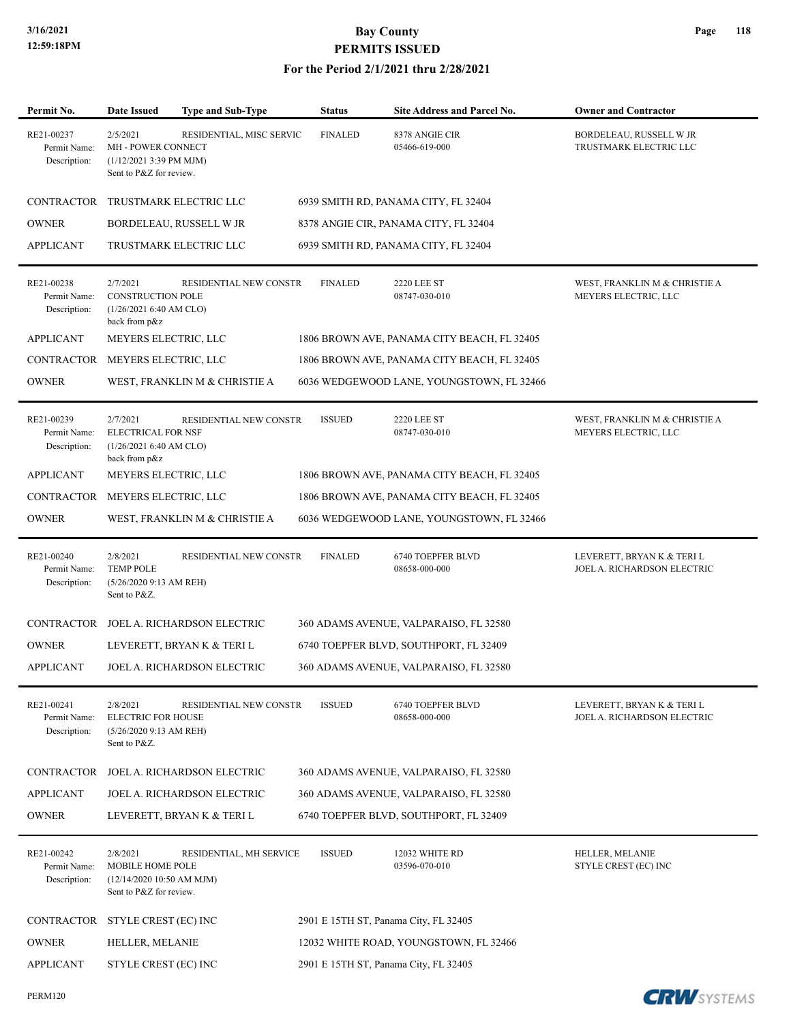| Permit No.                                 | Date Issued                                                                                 | <b>Type and Sub-Type</b>      | <b>Status</b>  | Site Address and Parcel No.                 | <b>Owner and Contractor</b>                               |
|--------------------------------------------|---------------------------------------------------------------------------------------------|-------------------------------|----------------|---------------------------------------------|-----------------------------------------------------------|
| RE21-00237<br>Permit Name:<br>Description: | 2/5/2021<br>MH - POWER CONNECT<br>$(1/12/20213:39$ PM MJM)<br>Sent to P&Z for review.       | RESIDENTIAL, MISC SERVIC      | <b>FINALED</b> | 8378 ANGIE CIR<br>05466-619-000             | BORDELEAU, RUSSELL W JR<br>TRUSTMARK ELECTRIC LLC         |
| <b>CONTRACTOR</b>                          |                                                                                             | TRUSTMARK ELECTRIC LLC        |                | 6939 SMITH RD, PANAMA CITY, FL 32404        |                                                           |
| <b>OWNER</b>                               |                                                                                             | BORDELEAU, RUSSELL W JR       |                | 8378 ANGIE CIR, PANAMA CITY, FL 32404       |                                                           |
| <b>APPLICANT</b>                           |                                                                                             | TRUSTMARK ELECTRIC LLC        |                | 6939 SMITH RD, PANAMA CITY, FL 32404        |                                                           |
| RE21-00238<br>Permit Name:<br>Description: | 2/7/2021<br><b>CONSTRUCTION POLE</b><br>(1/26/20216:40 AM CLO)<br>back from p&z             | RESIDENTIAL NEW CONSTR        | <b>FINALED</b> | <b>2220 LEE ST</b><br>08747-030-010         | WEST, FRANKLIN M & CHRISTIE A<br>MEYERS ELECTRIC, LLC     |
| <b>APPLICANT</b>                           | MEYERS ELECTRIC, LLC                                                                        |                               |                | 1806 BROWN AVE, PANAMA CITY BEACH, FL 32405 |                                                           |
| CONTRACTOR                                 | MEYERS ELECTRIC, LLC                                                                        |                               |                | 1806 BROWN AVE, PANAMA CITY BEACH, FL 32405 |                                                           |
| <b>OWNER</b>                               |                                                                                             | WEST, FRANKLIN M & CHRISTIE A |                | 6036 WEDGEWOOD LANE, YOUNGSTOWN, FL 32466   |                                                           |
| RE21-00239<br>Permit Name:<br>Description: | 2/7/2021<br><b>ELECTRICAL FOR NSF</b><br>(1/26/20216:40 AM CLO)<br>back from p&z            | RESIDENTIAL NEW CONSTR        | <b>ISSUED</b>  | <b>2220 LEE ST</b><br>08747-030-010         | WEST, FRANKLIN M & CHRISTIE A<br>MEYERS ELECTRIC, LLC     |
| <b>APPLICANT</b>                           | MEYERS ELECTRIC, LLC                                                                        |                               |                | 1806 BROWN AVE, PANAMA CITY BEACH, FL 32405 |                                                           |
| CONTRACTOR                                 | MEYERS ELECTRIC, LLC                                                                        |                               |                | 1806 BROWN AVE, PANAMA CITY BEACH, FL 32405 |                                                           |
| <b>OWNER</b>                               |                                                                                             | WEST, FRANKLIN M & CHRISTIE A |                | 6036 WEDGEWOOD LANE, YOUNGSTOWN, FL 32466   |                                                           |
| RE21-00240<br>Permit Name:<br>Description: | 2/8/2021<br><b>TEMP POLE</b><br>(5/26/2020 9:13 AM REH)<br>Sent to P&Z.                     | RESIDENTIAL NEW CONSTR        | <b>FINALED</b> | 6740 TOEPFER BLVD<br>08658-000-000          | LEVERETT, BRYAN K & TERI L<br>JOEL A. RICHARDSON ELECTRIC |
| CONTRACTOR                                 |                                                                                             | JOEL A. RICHARDSON ELECTRIC   |                | 360 ADAMS AVENUE, VALPARAISO, FL 32580      |                                                           |
| <b>OWNER</b>                               |                                                                                             | LEVERETT, BRYAN K & TERI L    |                | 6740 TOEPFER BLVD, SOUTHPORT, FL 32409      |                                                           |
| <b>APPLICANT</b>                           |                                                                                             | JOEL A. RICHARDSON ELECTRIC   |                | 360 ADAMS AVENUE, VALPARAISO, FL 32580      |                                                           |
| RE21-00241<br>Permit Name:<br>Description: | 2/8/2021<br><b>ELECTRIC FOR HOUSE</b><br>(5/26/2020 9:13 AM REH)<br>Sent to P&Z.            | RESIDENTIAL NEW CONSTR        | <b>ISSUED</b>  | 6740 TOEPFER BLVD<br>08658-000-000          | LEVERETT, BRYAN K & TERI L<br>JOEL A. RICHARDSON ELECTRIC |
| <b>CONTRACTOR</b>                          |                                                                                             | JOEL A. RICHARDSON ELECTRIC   |                | 360 ADAMS AVENUE, VALPARAISO, FL 32580      |                                                           |
| <b>APPLICANT</b>                           |                                                                                             | JOEL A. RICHARDSON ELECTRIC   |                | 360 ADAMS AVENUE, VALPARAISO, FL 32580      |                                                           |
| <b>OWNER</b>                               |                                                                                             | LEVERETT, BRYAN K & TERI L    |                | 6740 TOEPFER BLVD, SOUTHPORT, FL 32409      |                                                           |
| RE21-00242<br>Permit Name:<br>Description: | 2/8/2021<br><b>MOBILE HOME POLE</b><br>(12/14/2020 10:50 AM MJM)<br>Sent to P&Z for review. | RESIDENTIAL, MH SERVICE       | <b>ISSUED</b>  | 12032 WHITE RD<br>03596-070-010             | HELLER, MELANIE<br>STYLE CREST (EC) INC                   |
| CONTRACTOR                                 | STYLE CREST (EC) INC                                                                        |                               |                | 2901 E 15TH ST, Panama City, FL 32405       |                                                           |
| <b>OWNER</b>                               | HELLER, MELANIE                                                                             |                               |                | 12032 WHITE ROAD, YOUNGSTOWN, FL 32466      |                                                           |
| <b>APPLICANT</b>                           | STYLE CREST (EC) INC                                                                        |                               |                | 2901 E 15TH ST, Panama City, FL 32405       |                                                           |

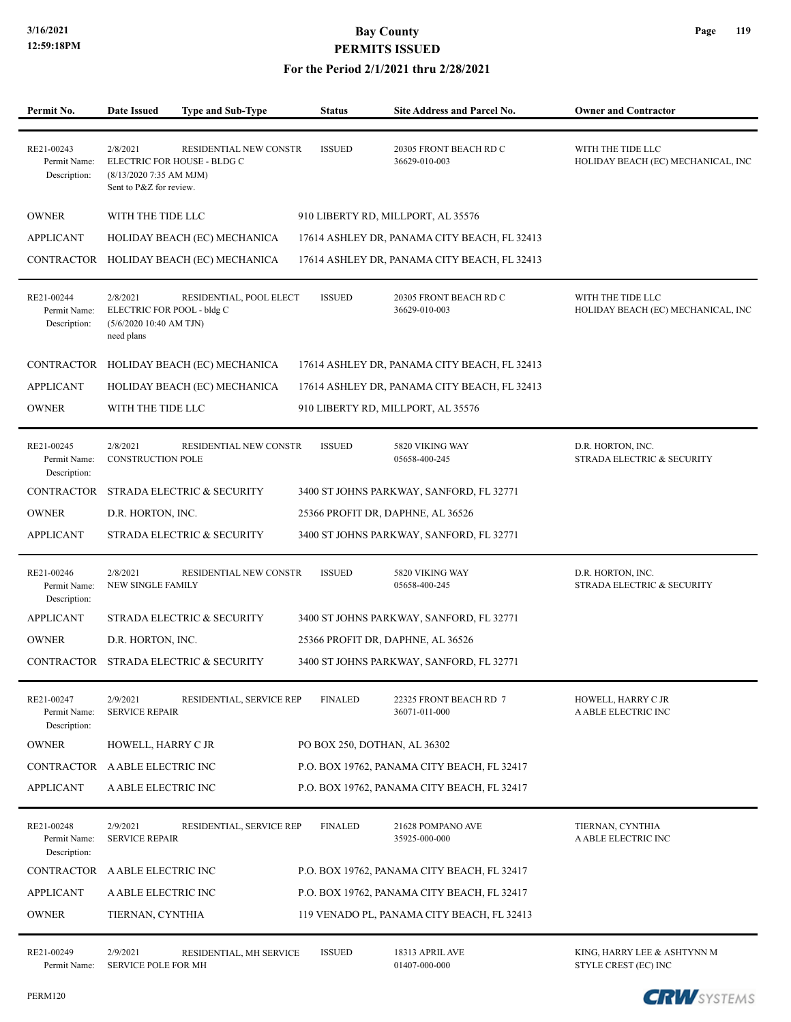### **For the Period 2/1/2021 thru 2/28/2021**

| Permit No.                                 | <b>Date Issued</b>                                                              | <b>Type and Sub-Type</b>                              | <b>Status</b>                | Site Address and Parcel No.                  | <b>Owner and Contractor</b>                             |
|--------------------------------------------|---------------------------------------------------------------------------------|-------------------------------------------------------|------------------------------|----------------------------------------------|---------------------------------------------------------|
|                                            |                                                                                 |                                                       |                              |                                              |                                                         |
| RE21-00243<br>Permit Name:<br>Description: | 2/8/2021<br>$(8/13/20207:35$ AM MJM)<br>Sent to P&Z for review.                 | RESIDENTIAL NEW CONSTR<br>ELECTRIC FOR HOUSE - BLDG C | <b>ISSUED</b>                | 20305 FRONT BEACH RD C<br>36629-010-003      | WITH THE TIDE LLC<br>HOLIDAY BEACH (EC) MECHANICAL, INC |
| <b>OWNER</b>                               | WITH THE TIDE LLC                                                               |                                                       |                              | 910 LIBERTY RD, MILLPORT, AL 35576           |                                                         |
| <b>APPLICANT</b>                           |                                                                                 | HOLIDAY BEACH (EC) MECHANICA                          |                              | 17614 ASHLEY DR, PANAMA CITY BEACH, FL 32413 |                                                         |
| CONTRACTOR                                 |                                                                                 | HOLIDAY BEACH (EC) MECHANICA                          |                              | 17614 ASHLEY DR, PANAMA CITY BEACH, FL 32413 |                                                         |
| RE21-00244<br>Permit Name:<br>Description: | 2/8/2021<br>ELECTRIC FOR POOL - bldg C<br>(5/6/2020 10:40 AM TJN)<br>need plans | RESIDENTIAL, POOL ELECT                               | <b>ISSUED</b>                | 20305 FRONT BEACH RD C<br>36629-010-003      | WITH THE TIDE LLC<br>HOLIDAY BEACH (EC) MECHANICAL, INC |
|                                            |                                                                                 | CONTRACTOR HOLIDAY BEACH (EC) MECHANICA               |                              | 17614 ASHLEY DR, PANAMA CITY BEACH, FL 32413 |                                                         |
| <b>APPLICANT</b>                           |                                                                                 | HOLIDAY BEACH (EC) MECHANICA                          |                              | 17614 ASHLEY DR, PANAMA CITY BEACH, FL 32413 |                                                         |
| <b>OWNER</b>                               | WITH THE TIDE LLC                                                               |                                                       |                              | 910 LIBERTY RD, MILLPORT, AL 35576           |                                                         |
| RE21-00245<br>Permit Name:<br>Description: | 2/8/2021<br><b>CONSTRUCTION POLE</b>                                            | RESIDENTIAL NEW CONSTR                                | <b>ISSUED</b>                | 5820 VIKING WAY<br>05658-400-245             | D.R. HORTON, INC.<br>STRADA ELECTRIC & SECURITY         |
| <b>CONTRACTOR</b>                          |                                                                                 | STRADA ELECTRIC & SECURITY                            |                              | 3400 ST JOHNS PARKWAY, SANFORD, FL 32771     |                                                         |
| <b>OWNER</b>                               | D.R. HORTON, INC.                                                               |                                                       |                              | 25366 PROFIT DR, DAPHNE, AL 36526            |                                                         |
| <b>APPLICANT</b>                           |                                                                                 | STRADA ELECTRIC & SECURITY                            |                              | 3400 ST JOHNS PARKWAY, SANFORD, FL 32771     |                                                         |
| RE21-00246<br>Permit Name:<br>Description: | 2/8/2021<br><b>NEW SINGLE FAMILY</b>                                            | RESIDENTIAL NEW CONSTR                                | <b>ISSUED</b>                | 5820 VIKING WAY<br>05658-400-245             | D.R. HORTON, INC.<br>STRADA ELECTRIC & SECURITY         |
| <b>APPLICANT</b>                           |                                                                                 | STRADA ELECTRIC & SECURITY                            |                              | 3400 ST JOHNS PARKWAY, SANFORD, FL 32771     |                                                         |
| <b>OWNER</b>                               | D.R. HORTON, INC.                                                               |                                                       |                              | 25366 PROFIT DR, DAPHNE, AL 36526            |                                                         |
| <b>CONTRACTOR</b>                          |                                                                                 | STRADA ELECTRIC & SECURITY                            |                              | 3400 ST JOHNS PARKWAY, SANFORD, FL 32771     |                                                         |
| RE21-00247<br>Permit Name:<br>Description: | 2/9/2021<br><b>SERVICE REPAIR</b>                                               | RESIDENTIAL, SERVICE REP                              | <b>FINALED</b>               | 22325 FRONT BEACH RD 7<br>36071-011-000      | HOWELL, HARRY C JR<br>A ABLE ELECTRIC INC               |
| <b>OWNER</b>                               | HOWELL, HARRY C JR                                                              |                                                       | PO BOX 250, DOTHAN, AL 36302 |                                              |                                                         |
| <b>CONTRACTOR</b>                          | A ABLE ELECTRIC INC                                                             |                                                       |                              | P.O. BOX 19762, PANAMA CITY BEACH, FL 32417  |                                                         |
| <b>APPLICANT</b>                           | A ABLE ELECTRIC INC                                                             |                                                       |                              | P.O. BOX 19762, PANAMA CITY BEACH, FL 32417  |                                                         |
| RE21-00248<br>Permit Name:<br>Description: | 2/9/2021<br><b>SERVICE REPAIR</b>                                               | RESIDENTIAL, SERVICE REP                              | <b>FINALED</b>               | 21628 POMPANO AVE<br>35925-000-000           | TIERNAN, CYNTHIA<br>A ABLE ELECTRIC INC                 |
| CONTRACTOR                                 | A ABLE ELECTRIC INC                                                             |                                                       |                              | P.O. BOX 19762, PANAMA CITY BEACH, FL 32417  |                                                         |
| <b>APPLICANT</b>                           | A ABLE ELECTRIC INC                                                             |                                                       |                              | P.O. BOX 19762, PANAMA CITY BEACH, FL 32417  |                                                         |
| <b>OWNER</b>                               | TIERNAN, CYNTHIA                                                                |                                                       |                              | 119 VENADO PL, PANAMA CITY BEACH, FL 32413   |                                                         |
| RE21-00249                                 | 2/9/2021                                                                        | RESIDENTIAL, MH SERVICE                               | <b>ISSUED</b>                | 18313 APRIL AVE                              | KING, HARRY LEE & ASHTYNN M                             |

Permit Name: SERVICE POLE FOR MH 01407-000-000 STYLE CREST (EC) INC

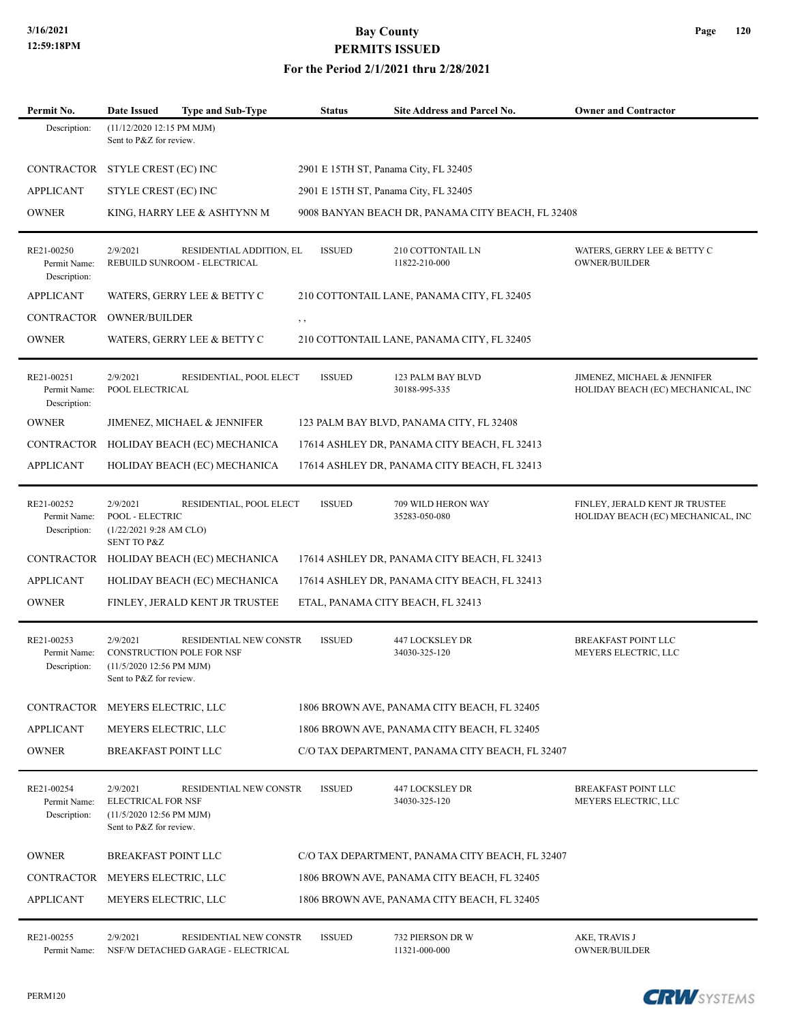### **For the Period 2/1/2021 thru 2/28/2021**

| Permit No.                                 | <b>Date Issued</b>                                                                           | <b>Type and Sub-Type</b>                                 | <b>Status</b> | <b>Site Address and Parcel No.</b>                | <b>Owner and Contractor</b>                                          |
|--------------------------------------------|----------------------------------------------------------------------------------------------|----------------------------------------------------------|---------------|---------------------------------------------------|----------------------------------------------------------------------|
| Description:                               | (11/12/2020 12:15 PM MJM)<br>Sent to P&Z for review.                                         |                                                          |               |                                                   |                                                                      |
| <b>CONTRACTOR</b>                          | STYLE CREST (EC) INC                                                                         |                                                          |               | 2901 E 15TH ST, Panama City, FL 32405             |                                                                      |
| <b>APPLICANT</b>                           | STYLE CREST (EC) INC                                                                         |                                                          |               | 2901 E 15TH ST, Panama City, FL 32405             |                                                                      |
| <b>OWNER</b>                               |                                                                                              | KING, HARRY LEE & ASHTYNN M                              |               | 9008 BANYAN BEACH DR, PANAMA CITY BEACH, FL 32408 |                                                                      |
| RE21-00250<br>Permit Name:<br>Description: | 2/9/2021                                                                                     | RESIDENTIAL ADDITION, EL<br>REBUILD SUNROOM - ELECTRICAL | <b>ISSUED</b> | 210 COTTONTAIL LN<br>11822-210-000                | WATERS, GERRY LEE & BETTY C<br>OWNER/BUILDER                         |
| <b>APPLICANT</b>                           |                                                                                              | WATERS, GERRY LEE & BETTY C                              |               | 210 COTTONTAIL LANE, PANAMA CITY, FL 32405        |                                                                      |
| <b>CONTRACTOR</b>                          | <b>OWNER/BUILDER</b>                                                                         |                                                          | $, \, , \,$   |                                                   |                                                                      |
| <b>OWNER</b>                               |                                                                                              | WATERS, GERRY LEE & BETTY C                              |               | 210 COTTONTAIL LANE, PANAMA CITY, FL 32405        |                                                                      |
| RE21-00251<br>Permit Name:<br>Description: | 2/9/2021<br>POOL ELECTRICAL                                                                  | RESIDENTIAL, POOL ELECT                                  | <b>ISSUED</b> | 123 PALM BAY BLVD<br>30188-995-335                | JIMENEZ, MICHAEL & JENNIFER<br>HOLIDAY BEACH (EC) MECHANICAL, INC    |
| <b>OWNER</b>                               |                                                                                              | JIMENEZ, MICHAEL & JENNIFER                              |               | 123 PALM BAY BLVD, PANAMA CITY, FL 32408          |                                                                      |
| CONTRACTOR                                 |                                                                                              | HOLIDAY BEACH (EC) MECHANICA                             |               | 17614 ASHLEY DR, PANAMA CITY BEACH, FL 32413      |                                                                      |
| <b>APPLICANT</b>                           |                                                                                              | HOLIDAY BEACH (EC) MECHANICA                             |               | 17614 ASHLEY DR, PANAMA CITY BEACH, FL 32413      |                                                                      |
| RE21-00252<br>Permit Name:<br>Description: | 2/9/2021<br>POOL - ELECTRIC<br>(1/22/20219:28 AM CLO)<br><b>SENT TO P&amp;Z</b>              | RESIDENTIAL, POOL ELECT                                  | <b>ISSUED</b> | 709 WILD HERON WAY<br>35283-050-080               | FINLEY, JERALD KENT JR TRUSTEE<br>HOLIDAY BEACH (EC) MECHANICAL, INC |
| CONTRACTOR                                 |                                                                                              | HOLIDAY BEACH (EC) MECHANICA                             |               | 17614 ASHLEY DR, PANAMA CITY BEACH, FL 32413      |                                                                      |
| <b>APPLICANT</b>                           |                                                                                              | HOLIDAY BEACH (EC) MECHANICA                             |               | 17614 ASHLEY DR, PANAMA CITY BEACH, FL 32413      |                                                                      |
| <b>OWNER</b>                               |                                                                                              | FINLEY, JERALD KENT JR TRUSTEE                           |               | ETAL, PANAMA CITY BEACH, FL 32413                 |                                                                      |
| RE21-00253<br>Permit Name:<br>Description: | 2/9/2021<br>CONSTRUCTION POLE FOR NSF<br>(11/5/2020 12:56 PM MJM)<br>Sent to P&Z for review. | RESIDENTIAL NEW CONSTR                                   | <b>ISSUED</b> | 447 LOCKSLEY DR<br>34030-325-120                  | BREAKFAST POINT LLC<br>MEYERS ELECTRIC, LLC                          |
|                                            | CONTRACTOR MEYERS ELECTRIC, LLC                                                              |                                                          |               | 1806 BROWN AVE, PANAMA CITY BEACH, FL 32405       |                                                                      |
| <b>APPLICANT</b>                           | MEYERS ELECTRIC, LLC                                                                         |                                                          |               | 1806 BROWN AVE, PANAMA CITY BEACH, FL 32405       |                                                                      |
| <b>OWNER</b>                               | <b>BREAKFAST POINT LLC</b>                                                                   |                                                          |               | C/O TAX DEPARTMENT, PANAMA CITY BEACH, FL 32407   |                                                                      |
| RE21-00254<br>Permit Name:<br>Description: | 2/9/2021<br><b>ELECTRICAL FOR NSF</b><br>(11/5/2020 12:56 PM MJM)<br>Sent to P&Z for review. | <b>RESIDENTIAL NEW CONSTR</b>                            | <b>ISSUED</b> | 447 LOCKSLEY DR<br>34030-325-120                  | <b>BREAKFAST POINT LLC</b><br>MEYERS ELECTRIC, LLC                   |
| <b>OWNER</b>                               | BREAKFAST POINT LLC                                                                          |                                                          |               | C/O TAX DEPARTMENT, PANAMA CITY BEACH, FL 32407   |                                                                      |
| CONTRACTOR                                 | MEYERS ELECTRIC, LLC                                                                         |                                                          |               | 1806 BROWN AVE, PANAMA CITY BEACH, FL 32405       |                                                                      |
| <b>APPLICANT</b>                           | MEYERS ELECTRIC, LLC                                                                         |                                                          |               | 1806 BROWN AVE, PANAMA CITY BEACH, FL 32405       |                                                                      |
| RE21-00255                                 | 2/9/2021                                                                                     | RESIDENTIAL NEW CONSTR                                   | <b>ISSUED</b> | 732 PIERSON DR W                                  | AKE, TRAVIS J                                                        |

Permit Name: NSF/W DETACHED GARAGE - ELECTRICAL 11321-000-000 OWNER/BUILDER

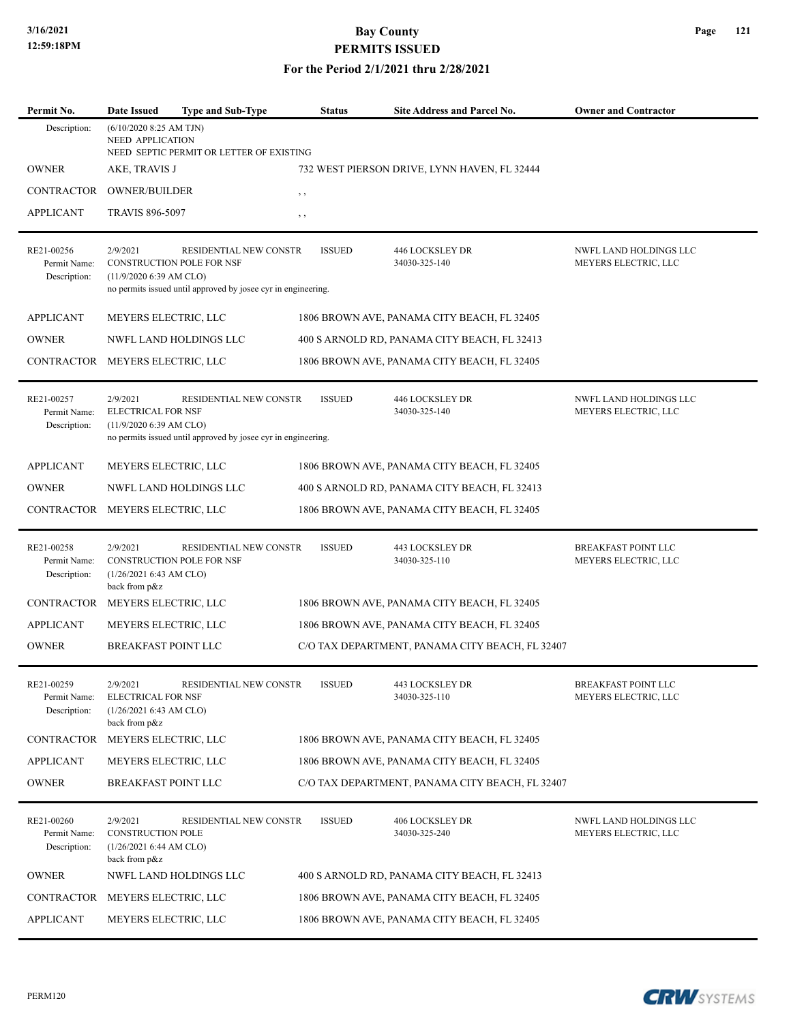### **For the Period 2/1/2021 thru 2/28/2021**

| Permit No.                                 | <b>Date Issued</b>                                                                      | Type and Sub-Type                                                                         | Status        | Site Address and Parcel No.                     | <b>Owner and Contractor</b>                    |  |  |  |  |
|--------------------------------------------|-----------------------------------------------------------------------------------------|-------------------------------------------------------------------------------------------|---------------|-------------------------------------------------|------------------------------------------------|--|--|--|--|
| Description:                               |                                                                                         | $(6/10/2020$ 8:25 AM TJN)<br>NEED APPLICATION<br>NEED SEPTIC PERMIT OR LETTER OF EXISTING |               |                                                 |                                                |  |  |  |  |
| <b>OWNER</b>                               |                                                                                         | AKE, TRAVIS J<br>732 WEST PIERSON DRIVE, LYNN HAVEN, FL 32444                             |               |                                                 |                                                |  |  |  |  |
| CONTRACTOR                                 | <b>OWNER/BUILDER</b>                                                                    |                                                                                           | $, \, , \,$   |                                                 |                                                |  |  |  |  |
| <b>APPLICANT</b>                           | <b>TRAVIS 896-5097</b>                                                                  |                                                                                           | , ,           |                                                 |                                                |  |  |  |  |
| RE21-00256<br>Permit Name:<br>Description: | 2/9/2021<br><b>CONSTRUCTION POLE FOR NSF</b><br>$(11/9/2020 6:39$ AM CLO)               | RESIDENTIAL NEW CONSTR<br>no permits issued until approved by josee cyr in engineering.   | <b>ISSUED</b> | 446 LOCKSLEY DR<br>34030-325-140                | NWFL LAND HOLDINGS LLC<br>MEYERS ELECTRIC, LLC |  |  |  |  |
| <b>APPLICANT</b>                           | MEYERS ELECTRIC, LLC                                                                    |                                                                                           |               | 1806 BROWN AVE, PANAMA CITY BEACH, FL 32405     |                                                |  |  |  |  |
| <b>OWNER</b>                               |                                                                                         | NWFL LAND HOLDINGS LLC                                                                    |               | 400 S ARNOLD RD, PANAMA CITY BEACH, FL 32413    |                                                |  |  |  |  |
| CONTRACTOR MEYERS ELECTRIC, LLC            |                                                                                         |                                                                                           |               | 1806 BROWN AVE, PANAMA CITY BEACH, FL 32405     |                                                |  |  |  |  |
| RE21-00257<br>Permit Name:<br>Description: | 2/9/2021<br><b>ELECTRICAL FOR NSF</b><br>(11/9/2020 6:39 AM CLO)                        | RESIDENTIAL NEW CONSTR<br>no permits issued until approved by josee cyr in engineering.   | <b>ISSUED</b> | <b>446 LOCKSLEY DR</b><br>34030-325-140         | NWFL LAND HOLDINGS LLC<br>MEYERS ELECTRIC, LLC |  |  |  |  |
| <b>APPLICANT</b>                           | MEYERS ELECTRIC, LLC                                                                    |                                                                                           |               | 1806 BROWN AVE, PANAMA CITY BEACH, FL 32405     |                                                |  |  |  |  |
| <b>OWNER</b>                               |                                                                                         | NWFL LAND HOLDINGS LLC                                                                    |               | 400 S ARNOLD RD, PANAMA CITY BEACH, FL 32413    |                                                |  |  |  |  |
| CONTRACTOR                                 | MEYERS ELECTRIC, LLC                                                                    |                                                                                           |               | 1806 BROWN AVE, PANAMA CITY BEACH, FL 32405     |                                                |  |  |  |  |
| RE21-00258<br>Permit Name:<br>Description: | 2/9/2021<br><b>CONSTRUCTION POLE FOR NSF</b><br>(1/26/20216:43 AM CLO)<br>back from p&z | RESIDENTIAL NEW CONSTR                                                                    | <b>ISSUED</b> | 443 LOCKSLEY DR<br>34030-325-110                | BREAKFAST POINT LLC<br>MEYERS ELECTRIC, LLC    |  |  |  |  |
| <b>CONTRACTOR</b>                          | MEYERS ELECTRIC, LLC                                                                    |                                                                                           |               | 1806 BROWN AVE, PANAMA CITY BEACH, FL 32405     |                                                |  |  |  |  |
| <b>APPLICANT</b>                           | MEYERS ELECTRIC, LLC                                                                    |                                                                                           |               | 1806 BROWN AVE, PANAMA CITY BEACH, FL 32405     |                                                |  |  |  |  |
| <b>OWNER</b>                               | <b>BREAKFAST POINT LLC</b>                                                              |                                                                                           |               | C/O TAX DEPARTMENT, PANAMA CITY BEACH, FL 32407 |                                                |  |  |  |  |
| RE21-00259<br>Permit Name:<br>Description: | 2/9/2021<br><b>ELECTRICAL FOR NSF</b><br>(1/26/20216:43 AM CLO)<br>back from p&z        | RESIDENTIAL NEW CONSTR                                                                    | <b>ISSUED</b> | 443 LOCKSLEY DR<br>34030-325-110                | BREAKFAST POINT LLC<br>MEYERS ELECTRIC, LLC    |  |  |  |  |
| CONTRACTOR                                 | MEYERS ELECTRIC, LLC                                                                    |                                                                                           |               | 1806 BROWN AVE, PANAMA CITY BEACH, FL 32405     |                                                |  |  |  |  |
| APPLICANT                                  | MEYERS ELECTRIC, LLC                                                                    |                                                                                           |               | 1806 BROWN AVE, PANAMA CITY BEACH, FL 32405     |                                                |  |  |  |  |
| <b>OWNER</b>                               | <b>BREAKFAST POINT LLC</b>                                                              |                                                                                           |               | C/O TAX DEPARTMENT, PANAMA CITY BEACH, FL 32407 |                                                |  |  |  |  |
| RE21-00260<br>Permit Name:<br>Description: | 2/9/2021<br><b>CONSTRUCTION POLE</b><br>(1/26/20216:44 AM CLO)<br>back from p&z         | RESIDENTIAL NEW CONSTR                                                                    | <b>ISSUED</b> | <b>406 LOCKSLEY DR</b><br>34030-325-240         | NWFL LAND HOLDINGS LLC<br>MEYERS ELECTRIC, LLC |  |  |  |  |
| <b>OWNER</b>                               |                                                                                         | NWFL LAND HOLDINGS LLC                                                                    |               | 400 S ARNOLD RD, PANAMA CITY BEACH, FL 32413    |                                                |  |  |  |  |
| CONTRACTOR                                 | MEYERS ELECTRIC, LLC                                                                    |                                                                                           |               | 1806 BROWN AVE, PANAMA CITY BEACH, FL 32405     |                                                |  |  |  |  |
| <b>APPLICANT</b>                           | MEYERS ELECTRIC, LLC                                                                    |                                                                                           |               | 1806 BROWN AVE, PANAMA CITY BEACH, FL 32405     |                                                |  |  |  |  |

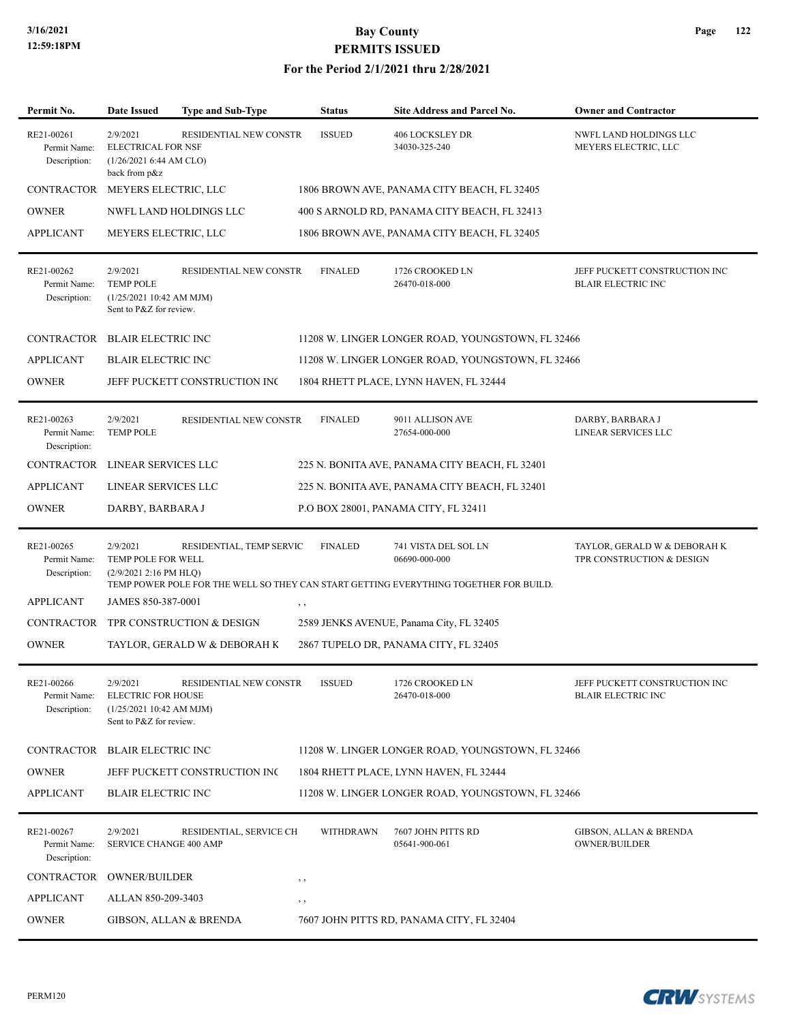### **For the Period 2/1/2021 thru 2/28/2021**

| Permit No.                                 | <b>Date Issued</b>                                                                          | <b>Type and Sub-Type</b>             | <b>Status</b>  | Site Address and Parcel No.                                                                                                    | <b>Owner and Contractor</b>                                |
|--------------------------------------------|---------------------------------------------------------------------------------------------|--------------------------------------|----------------|--------------------------------------------------------------------------------------------------------------------------------|------------------------------------------------------------|
| RE21-00261<br>Permit Name:<br>Description: | 2/9/2021<br><b>ELECTRICAL FOR NSF</b><br>(1/26/20216:44 AM CLO)<br>back from p&z            | RESIDENTIAL NEW CONSTR               | <b>ISSUED</b>  | <b>406 LOCKSLEY DR</b><br>34030-325-240                                                                                        | NWFL LAND HOLDINGS LLC<br>MEYERS ELECTRIC, LLC             |
| CONTRACTOR MEYERS ELECTRIC, LLC            |                                                                                             |                                      |                | 1806 BROWN AVE, PANAMA CITY BEACH, FL 32405                                                                                    |                                                            |
| <b>OWNER</b>                               |                                                                                             | NWFL LAND HOLDINGS LLC               |                | 400 S ARNOLD RD, PANAMA CITY BEACH, FL 32413                                                                                   |                                                            |
| <b>APPLICANT</b>                           | MEYERS ELECTRIC, LLC                                                                        |                                      |                | 1806 BROWN AVE, PANAMA CITY BEACH, FL 32405                                                                                    |                                                            |
| RE21-00262<br>Permit Name:<br>Description: | 2/9/2021<br><b>TEMP POLE</b><br>(1/25/202110:42 AM MJM)<br>Sent to P&Z for review.          | RESIDENTIAL NEW CONSTR               | <b>FINALED</b> | 1726 CROOKED LN<br>26470-018-000                                                                                               | JEFF PUCKETT CONSTRUCTION INC<br><b>BLAIR ELECTRIC INC</b> |
| CONTRACTOR BLAIR ELECTRIC INC              |                                                                                             |                                      |                | 11208 W. LINGER LONGER ROAD, YOUNGSTOWN, FL 32466                                                                              |                                                            |
| <b>APPLICANT</b>                           | <b>BLAIR ELECTRIC INC</b>                                                                   |                                      |                | 11208 W. LINGER LONGER ROAD, YOUNGSTOWN, FL 32466                                                                              |                                                            |
| <b>OWNER</b>                               |                                                                                             | JEFF PUCKETT CONSTRUCTION INC        |                | 1804 RHETT PLACE, LYNN HAVEN, FL 32444                                                                                         |                                                            |
| RE21-00263<br>Permit Name:<br>Description: | 2/9/2021<br><b>TEMP POLE</b>                                                                | RESIDENTIAL NEW CONSTR               | <b>FINALED</b> | 9011 ALLISON AVE<br>27654-000-000                                                                                              | DARBY, BARBARA J<br>LINEAR SERVICES LLC                    |
| CONTRACTOR                                 | LINEAR SERVICES LLC                                                                         |                                      |                | 225 N. BONITA AVE, PANAMA CITY BEACH, FL 32401                                                                                 |                                                            |
| <b>APPLICANT</b>                           | LINEAR SERVICES LLC                                                                         |                                      |                | 225 N. BONITA AVE, PANAMA CITY BEACH, FL 32401                                                                                 |                                                            |
| <b>OWNER</b>                               | DARBY, BARBARA J                                                                            |                                      |                | P.O BOX 28001, PANAMA CITY, FL 32411                                                                                           |                                                            |
| RE21-00265<br>Permit Name:<br>Description: | 2/9/2021<br>TEMP POLE FOR WELL<br>$(2/9/20212:16$ PM HLQ)                                   | RESIDENTIAL, TEMP SERVIC             | <b>FINALED</b> | 741 VISTA DEL SOL LN<br>06690-000-000<br>TEMP POWER POLE FOR THE WELL SO THEY CAN START GETTING EVERYTHING TOGETHER FOR BUILD. | TAYLOR, GERALD W & DEBORAH K<br>TPR CONSTRUCTION & DESIGN  |
| <b>APPLICANT</b>                           | JAMES 850-387-0001                                                                          |                                      | , ,            |                                                                                                                                |                                                            |
|                                            |                                                                                             | CONTRACTOR TPR CONSTRUCTION & DESIGN |                | 2589 JENKS AVENUE, Panama City, FL 32405                                                                                       |                                                            |
| <b>OWNER</b>                               |                                                                                             | TAYLOR, GERALD W & DEBORAH K         |                | 2867 TUPELO DR, PANAMA CITY, FL 32405                                                                                          |                                                            |
| RE21-00266<br>Permit Name:<br>Description: | 2/9/2021<br><b>ELECTRIC FOR HOUSE</b><br>(1/25/202110:42 AM MJM)<br>Sent to P&Z for review. | <b>RESIDENTIAL NEW CONSTR</b>        | <b>ISSUED</b>  | 1726 CROOKED LN<br>26470-018-000                                                                                               | JEFF PUCKETT CONSTRUCTION INC<br><b>BLAIR ELECTRIC INC</b> |
| CONTRACTOR BLAIR ELECTRIC INC              |                                                                                             |                                      |                | 11208 W. LINGER LONGER ROAD, YOUNGSTOWN, FL 32466                                                                              |                                                            |
| <b>OWNER</b>                               |                                                                                             | JEFF PUCKETT CONSTRUCTION INC        |                | 1804 RHETT PLACE, LYNN HAVEN, FL 32444                                                                                         |                                                            |
| <b>APPLICANT</b>                           | <b>BLAIR ELECTRIC INC</b>                                                                   |                                      |                | 11208 W. LINGER LONGER ROAD, YOUNGSTOWN, FL 32466                                                                              |                                                            |
| RE21-00267<br>Permit Name:<br>Description: | 2/9/2021<br>SERVICE CHANGE 400 AMP                                                          | RESIDENTIAL, SERVICE CH              | WITHDRAWN      | 7607 JOHN PITTS RD<br>05641-900-061                                                                                            | GIBSON, ALLAN & BRENDA<br><b>OWNER/BUILDER</b>             |
| CONTRACTOR                                 | <b>OWNER/BUILDER</b>                                                                        |                                      | $, \, \cdot$   |                                                                                                                                |                                                            |
| <b>APPLICANT</b>                           | ALLAN 850-209-3403                                                                          |                                      | $, \, \cdot$   |                                                                                                                                |                                                            |
| <b>OWNER</b>                               |                                                                                             | GIBSON, ALLAN & BRENDA               |                | 7607 JOHN PITTS RD, PANAMA CITY, FL 32404                                                                                      |                                                            |

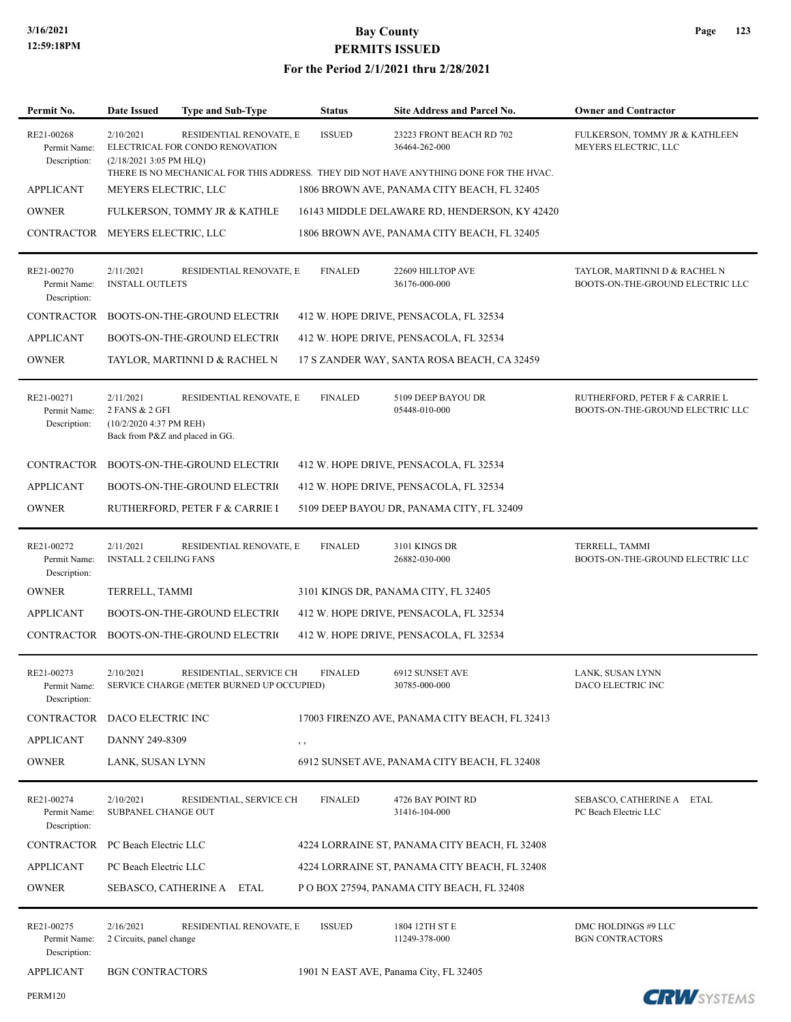PERM120

## **3/16/2021 Bay County PERMITS ISSUED**

| Permit No.                                 | Date Issued                                                                               | <b>Type and Sub-Type</b>                                             | <b>Status</b>  | <b>Site Address and Parcel No.</b>                                                                                                  | <b>Owner and Contractor</b>                                        |
|--------------------------------------------|-------------------------------------------------------------------------------------------|----------------------------------------------------------------------|----------------|-------------------------------------------------------------------------------------------------------------------------------------|--------------------------------------------------------------------|
| RE21-00268<br>Permit Name:<br>Description: | 2/10/2021<br>(2/18/2021 3:05 PM HLQ)                                                      | RESIDENTIAL RENOVATE, E<br>ELECTRICAL FOR CONDO RENOVATION           | <b>ISSUED</b>  | 23223 FRONT BEACH RD 702<br>36464-262-000<br>THERE IS NO MECHANICAL FOR THIS ADDRESS. THEY DID NOT HAVE ANYTHING DONE FOR THE HVAC. | FULKERSON, TOMMY JR & KATHLEEN<br>MEYERS ELECTRIC, LLC             |
| <b>APPLICANT</b>                           | MEYERS ELECTRIC, LLC                                                                      |                                                                      |                | 1806 BROWN AVE, PANAMA CITY BEACH, FL 32405                                                                                         |                                                                    |
| <b>OWNER</b>                               |                                                                                           | FULKERSON, TOMMY JR & KATHLE                                         |                | 16143 MIDDLE DELAWARE RD, HENDERSON, KY 42420                                                                                       |                                                                    |
| CONTRACTOR MEYERS ELECTRIC, LLC            |                                                                                           |                                                                      |                | 1806 BROWN AVE, PANAMA CITY BEACH, FL 32405                                                                                         |                                                                    |
| RE21-00270<br>Permit Name:<br>Description: | 2/11/2021<br><b>INSTALL OUTLETS</b>                                                       | RESIDENTIAL RENOVATE, E                                              | <b>FINALED</b> | 22609 HILLTOP AVE<br>36176-000-000                                                                                                  | TAYLOR, MARTINNI D & RACHEL N<br>BOOTS-ON-THE-GROUND ELECTRIC LLC  |
| <b>CONTRACTOR</b>                          |                                                                                           | BOOTS-ON-THE-GROUND ELECTRIC                                         |                | 412 W. HOPE DRIVE, PENSACOLA, FL 32534                                                                                              |                                                                    |
| <b>APPLICANT</b>                           |                                                                                           | BOOTS-ON-THE-GROUND ELECTRIC                                         |                | 412 W. HOPE DRIVE, PENSACOLA, FL 32534                                                                                              |                                                                    |
| <b>OWNER</b>                               |                                                                                           | TAYLOR, MARTINNI D & RACHEL N                                        |                | 17 S ZANDER WAY, SANTA ROSA BEACH, CA 32459                                                                                         |                                                                    |
| RE21-00271<br>Permit Name:<br>Description: | 2/11/2021<br>2 FANS & 2 GFI<br>(10/2/2020 4:37 PM REH)<br>Back from P&Z and placed in GG. | RESIDENTIAL RENOVATE, E                                              | <b>FINALED</b> | 5109 DEEP BAYOU DR<br>05448-010-000                                                                                                 | RUTHERFORD, PETER F & CARRIE L<br>BOOTS-ON-THE-GROUND ELECTRIC LLC |
| CONTRACTOR                                 |                                                                                           | <b>BOOTS-ON-THE-GROUND ELECTRIC</b>                                  |                | 412 W. HOPE DRIVE, PENSACOLA, FL 32534                                                                                              |                                                                    |
| <b>APPLICANT</b>                           |                                                                                           | BOOTS-ON-THE-GROUND ELECTRIC                                         |                | 412 W. HOPE DRIVE, PENSACOLA, FL 32534                                                                                              |                                                                    |
| <b>OWNER</b>                               |                                                                                           | RUTHERFORD, PETER F & CARRIE I                                       |                | 5109 DEEP BAYOU DR, PANAMA CITY, FL 32409                                                                                           |                                                                    |
| RE21-00272<br>Permit Name:<br>Description: | 2/11/2021<br><b>INSTALL 2 CEILING FANS</b>                                                | RESIDENTIAL RENOVATE, E                                              | <b>FINALED</b> | 3101 KINGS DR<br>26882-030-000                                                                                                      | TERRELL, TAMMI<br>BOOTS-ON-THE-GROUND ELECTRIC LLC                 |
| <b>OWNER</b>                               | TERRELL, TAMMI                                                                            |                                                                      |                | 3101 KINGS DR, PANAMA CITY, FL 32405                                                                                                |                                                                    |
| <b>APPLICANT</b>                           |                                                                                           | BOOTS-ON-THE-GROUND ELECTRIC                                         |                | 412 W. HOPE DRIVE, PENSACOLA, FL 32534                                                                                              |                                                                    |
| CONTRACTOR                                 |                                                                                           | <b>BOOTS-ON-THE-GROUND ELECTRIC</b>                                  |                | 412 W. HOPE DRIVE, PENSACOLA, FL 32534                                                                                              |                                                                    |
| RE21-00273<br>Permit Name:<br>Description: | 2/10/2021                                                                                 | RESIDENTIAL, SERVICE CH<br>SERVICE CHARGE (METER BURNED UP OCCUPIED) | <b>FINALED</b> | 6912 SUNSET AVE<br>30785-000-000                                                                                                    | LANK, SUSAN LYNN<br>DACO ELECTRIC INC                              |
| <b>CONTRACTOR</b>                          | DACO ELECTRIC INC                                                                         |                                                                      |                | 17003 FIRENZO AVE, PANAMA CITY BEACH, FL 32413                                                                                      |                                                                    |
| <b>APPLICANT</b>                           | DANNY 249-8309                                                                            |                                                                      | , ,            |                                                                                                                                     |                                                                    |
| <b>OWNER</b>                               | LANK, SUSAN LYNN                                                                          |                                                                      |                | 6912 SUNSET AVE, PANAMA CITY BEACH, FL 32408                                                                                        |                                                                    |
| RE21-00274<br>Permit Name:<br>Description: | 2/10/2021<br>SUBPANEL CHANGE OUT                                                          | RESIDENTIAL, SERVICE CH                                              | <b>FINALED</b> | 4726 BAY POINT RD<br>31416-104-000                                                                                                  | SEBASCO, CATHERINE A ETAL<br>PC Beach Electric LLC                 |
| <b>CONTRACTOR</b>                          | PC Beach Electric LLC                                                                     |                                                                      |                | 4224 LORRAINE ST, PANAMA CITY BEACH, FL 32408                                                                                       |                                                                    |
| <b>APPLICANT</b>                           | PC Beach Electric LLC                                                                     |                                                                      |                | 4224 LORRAINE ST, PANAMA CITY BEACH, FL 32408                                                                                       |                                                                    |
| <b>OWNER</b>                               |                                                                                           | SEBASCO, CATHERINE A ETAL                                            |                | P O BOX 27594, PANAMA CITY BEACH, FL 32408                                                                                          |                                                                    |
| RE21-00275<br>Permit Name:<br>Description: | 2/16/2021<br>2 Circuits, panel change                                                     | RESIDENTIAL RENOVATE, E                                              | <b>ISSUED</b>  | 1804 12TH ST E<br>11249-378-000                                                                                                     | DMC HOLDINGS #9 LLC<br><b>BGN CONTRACTORS</b>                      |
| <b>APPLICANT</b>                           | <b>BGN CONTRACTORS</b>                                                                    |                                                                      |                | 1901 N EAST AVE, Panama City, FL 32405                                                                                              |                                                                    |

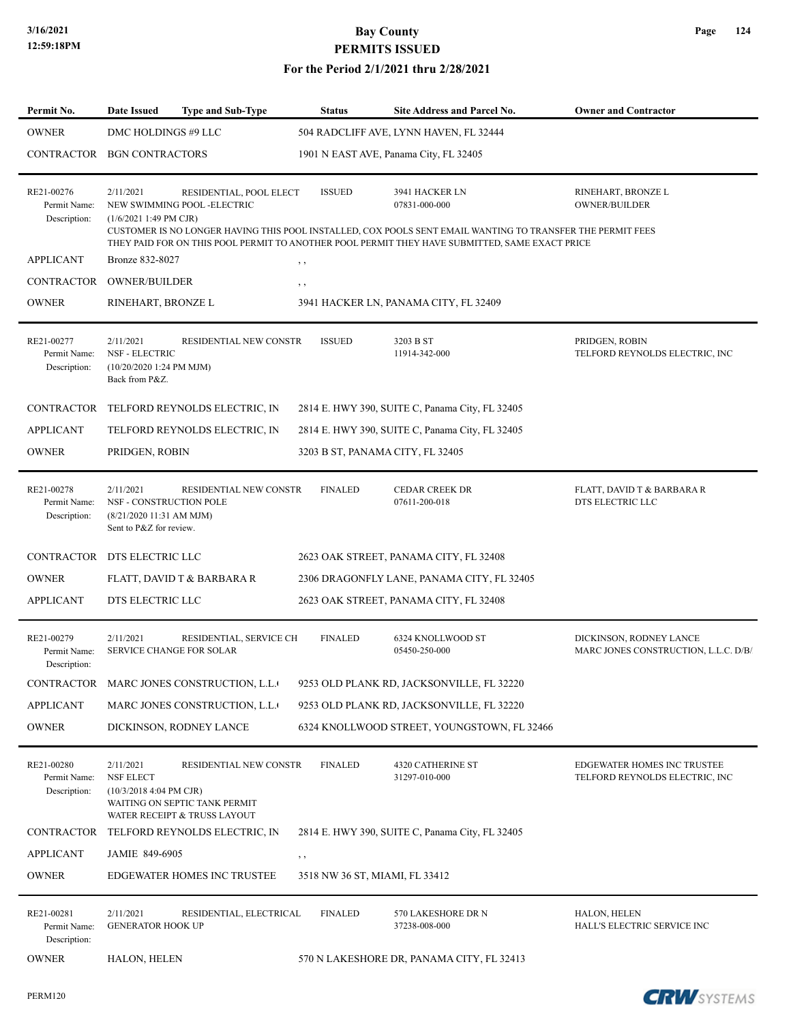| Permit No.                                 | Date Issued<br><b>Type and Sub-Type</b>                                                                                                                      | <b>Status</b>                  | Site Address and Parcel No.                                                                                                                                                                                                                     | <b>Owner and Contractor</b>                                     |
|--------------------------------------------|--------------------------------------------------------------------------------------------------------------------------------------------------------------|--------------------------------|-------------------------------------------------------------------------------------------------------------------------------------------------------------------------------------------------------------------------------------------------|-----------------------------------------------------------------|
| <b>OWNER</b>                               | DMC HOLDINGS #9 LLC                                                                                                                                          |                                | 504 RADCLIFF AVE, LYNN HAVEN, FL 32444                                                                                                                                                                                                          |                                                                 |
|                                            | CONTRACTOR BGN CONTRACTORS                                                                                                                                   |                                | 1901 N EAST AVE, Panama City, FL 32405                                                                                                                                                                                                          |                                                                 |
| RE21-00276<br>Permit Name:<br>Description: | 2/11/2021<br>RESIDENTIAL, POOL ELECT<br>NEW SWIMMING POOL -ELECTRIC<br>$(1/6/20211:49 \text{ PM CJR})$                                                       | <b>ISSUED</b>                  | 3941 HACKER LN<br>07831-000-000<br>CUSTOMER IS NO LONGER HAVING THIS POOL INSTALLED, COX POOLS SENT EMAIL WANTING TO TRANSFER THE PERMIT FEES<br>THEY PAID FOR ON THIS POOL PERMIT TO ANOTHER POOL PERMIT THEY HAVE SUBMITTED, SAME EXACT PRICE | RINEHART, BRONZE L<br><b>OWNER/BUILDER</b>                      |
| <b>APPLICANT</b>                           | Bronze 832-8027                                                                                                                                              | $, \, , \,$                    |                                                                                                                                                                                                                                                 |                                                                 |
| CONTRACTOR                                 | <b>OWNER/BUILDER</b>                                                                                                                                         | , ,                            |                                                                                                                                                                                                                                                 |                                                                 |
| <b>OWNER</b>                               | RINEHART, BRONZE L                                                                                                                                           |                                | 3941 HACKER LN, PANAMA CITY, FL 32409                                                                                                                                                                                                           |                                                                 |
| RE21-00277<br>Permit Name:<br>Description: | 2/11/2021<br>RESIDENTIAL NEW CONSTR<br><b>NSF - ELECTRIC</b><br>(10/20/2020 1:24 PM MJM)<br>Back from P&Z.                                                   | <b>ISSUED</b>                  | 3203 B ST<br>11914-342-000                                                                                                                                                                                                                      | PRIDGEN, ROBIN<br>TELFORD REYNOLDS ELECTRIC, INC                |
| <b>CONTRACTOR</b>                          | TELFORD REYNOLDS ELECTRIC, IN                                                                                                                                |                                | 2814 E. HWY 390, SUITE C, Panama City, FL 32405                                                                                                                                                                                                 |                                                                 |
| <b>APPLICANT</b>                           | TELFORD REYNOLDS ELECTRIC, IN                                                                                                                                |                                | 2814 E. HWY 390, SUITE C, Panama City, FL 32405                                                                                                                                                                                                 |                                                                 |
| <b>OWNER</b>                               | PRIDGEN, ROBIN                                                                                                                                               |                                | 3203 B ST, PANAMA CITY, FL 32405                                                                                                                                                                                                                |                                                                 |
| RE21-00278<br>Permit Name:<br>Description: | 2/11/2021<br>RESIDENTIAL NEW CONSTR<br>NSF - CONSTRUCTION POLE<br>(8/21/2020 11:31 AM MJM)<br>Sent to P&Z for review.                                        | <b>FINALED</b>                 | <b>CEDAR CREEK DR</b><br>07611-200-018                                                                                                                                                                                                          | FLATT, DAVID T & BARBARA R<br>DTS ELECTRIC LLC                  |
|                                            | CONTRACTOR DTS ELECTRIC LLC                                                                                                                                  |                                | 2623 OAK STREET, PANAMA CITY, FL 32408                                                                                                                                                                                                          |                                                                 |
| <b>OWNER</b>                               | FLATT, DAVID T & BARBARA R                                                                                                                                   |                                | 2306 DRAGONFLY LANE, PANAMA CITY, FL 32405                                                                                                                                                                                                      |                                                                 |
| <b>APPLICANT</b>                           | DTS ELECTRIC LLC                                                                                                                                             |                                | 2623 OAK STREET, PANAMA CITY, FL 32408                                                                                                                                                                                                          |                                                                 |
| RE21-00279<br>Permit Name:<br>Description: | 2/11/2021<br>RESIDENTIAL, SERVICE CH<br><b>SERVICE CHANGE FOR SOLAR</b>                                                                                      | <b>FINALED</b>                 | 6324 KNOLLWOOD ST<br>05450-250-000                                                                                                                                                                                                              | DICKINSON, RODNEY LANCE<br>MARC JONES CONSTRUCTION, L.L.C. D/B/ |
|                                            | CONTRACTOR MARC JONES CONSTRUCTION, L.L.                                                                                                                     |                                | 9253 OLD PLANK RD, JACKSONVILLE, FL 32220                                                                                                                                                                                                       |                                                                 |
| <b>APPLICANT</b>                           | MARC JONES CONSTRUCTION, L.L.                                                                                                                                |                                | 9253 OLD PLANK RD, JACKSONVILLE, FL 32220                                                                                                                                                                                                       |                                                                 |
| <b>OWNER</b>                               | DICKINSON, RODNEY LANCE                                                                                                                                      |                                | 6324 KNOLLWOOD STREET, YOUNGSTOWN, FL 32466                                                                                                                                                                                                     |                                                                 |
| RE21-00280<br>Permit Name:<br>Description: | 2/11/2021<br>RESIDENTIAL NEW CONSTR<br><b>NSF ELECT</b><br>$(10/3/20184:04 \text{ PM CJR})$<br>WAITING ON SEPTIC TANK PERMIT<br>WATER RECEIPT & TRUSS LAYOUT | <b>FINALED</b>                 | <b>4320 CATHERINE ST</b><br>31297-010-000                                                                                                                                                                                                       | EDGEWATER HOMES INC TRUSTEE<br>TELFORD REYNOLDS ELECTRIC, INC   |
| CONTRACTOR                                 | TELFORD REYNOLDS ELECTRIC, IN                                                                                                                                |                                | 2814 E. HWY 390, SUITE C, Panama City, FL 32405                                                                                                                                                                                                 |                                                                 |
| <b>APPLICANT</b>                           | JAMIE 849-6905                                                                                                                                               | , ,                            |                                                                                                                                                                                                                                                 |                                                                 |
| <b>OWNER</b>                               | <b>EDGEWATER HOMES INC TRUSTEE</b>                                                                                                                           | 3518 NW 36 ST, MIAMI, FL 33412 |                                                                                                                                                                                                                                                 |                                                                 |
| RE21-00281<br>Permit Name:<br>Description: | 2/11/2021<br>RESIDENTIAL, ELECTRICAL<br><b>GENERATOR HOOK UP</b>                                                                                             | <b>FINALED</b>                 | 570 LAKESHORE DR N<br>37238-008-000                                                                                                                                                                                                             | HALON, HELEN<br>HALL'S ELECTRIC SERVICE INC                     |
| <b>OWNER</b>                               | HALON, HELEN                                                                                                                                                 |                                | 570 N LAKESHORE DR, PANAMA CITY, FL 32413                                                                                                                                                                                                       |                                                                 |

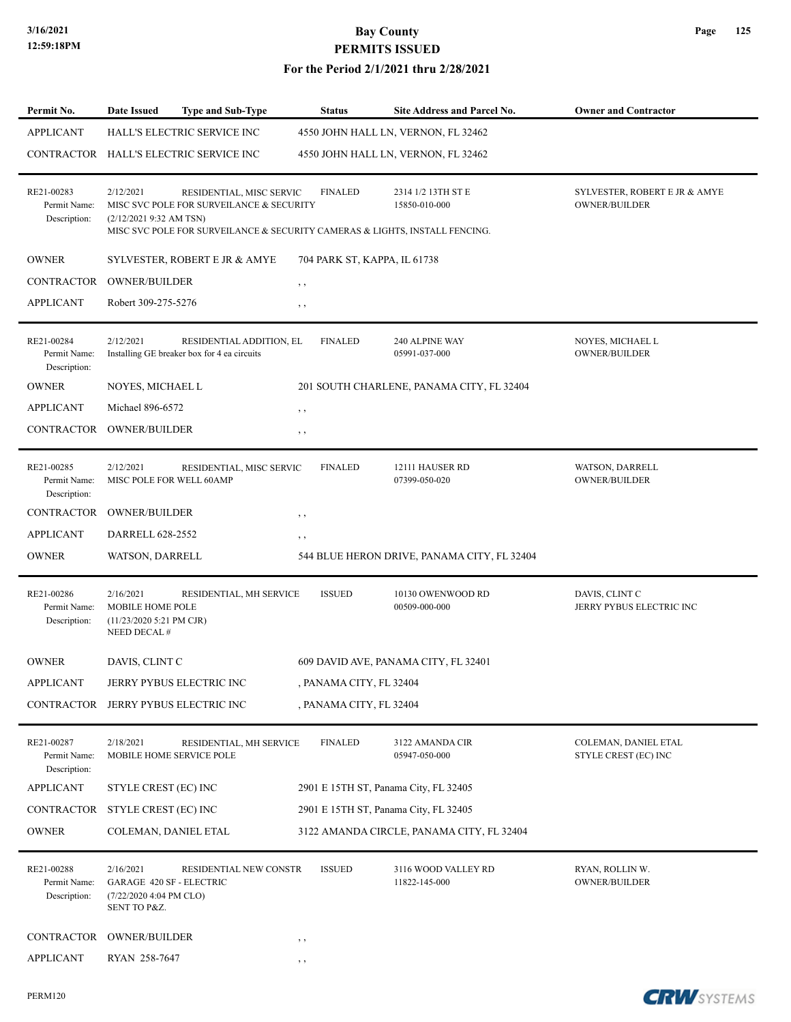### **For the Period 2/1/2021 thru 2/28/2021**

| Permit No.                                 | <b>Date Issued</b><br>Type and Sub-Type                                                                                                                        |                          | <b>Status</b>                | Site Address and Parcel No.                 | <b>Owner and Contractor</b>                           |
|--------------------------------------------|----------------------------------------------------------------------------------------------------------------------------------------------------------------|--------------------------|------------------------------|---------------------------------------------|-------------------------------------------------------|
| <b>APPLICANT</b>                           | HALL'S ELECTRIC SERVICE INC                                                                                                                                    |                          |                              | 4550 JOHN HALL LN, VERNON, FL 32462         |                                                       |
|                                            | CONTRACTOR HALL'S ELECTRIC SERVICE INC                                                                                                                         |                          |                              | 4550 JOHN HALL LN, VERNON, FL 32462         |                                                       |
| RE21-00283<br>Permit Name:<br>Description: | 2/12/2021<br>MISC SVC POLE FOR SURVEILANCE & SECURITY<br>(2/12/20219:32 AM TSN)<br>MISC SVC POLE FOR SURVEILANCE & SECURITY CAMERAS & LIGHTS, INSTALL FENCING. | RESIDENTIAL, MISC SERVIC | <b>FINALED</b>               | 2314 1/2 13TH ST E<br>15850-010-000         | SYLVESTER, ROBERT E JR & AMYE<br><b>OWNER/BUILDER</b> |
| <b>OWNER</b>                               | SYLVESTER, ROBERT E JR & AMYE                                                                                                                                  |                          | 704 PARK ST, KAPPA, IL 61738 |                                             |                                                       |
| CONTRACTOR                                 | <b>OWNER/BUILDER</b>                                                                                                                                           | $, \, \cdot$             |                              |                                             |                                                       |
| <b>APPLICANT</b>                           | Robert 309-275-5276                                                                                                                                            | $, \, \cdot$             |                              |                                             |                                                       |
| RE21-00284<br>Permit Name:<br>Description: | 2/12/2021<br>Installing GE breaker box for 4 ea circuits                                                                                                       | RESIDENTIAL ADDITION, EL | <b>FINALED</b>               | 240 ALPINE WAY<br>05991-037-000             | NOYES, MICHAEL L<br>OWNER/BUILDER                     |
| <b>OWNER</b>                               | NOYES, MICHAEL L                                                                                                                                               |                          |                              | 201 SOUTH CHARLENE, PANAMA CITY, FL 32404   |                                                       |
| <b>APPLICANT</b>                           | Michael 896-6572                                                                                                                                               | , ,                      |                              |                                             |                                                       |
| CONTRACTOR                                 | <b>OWNER/BUILDER</b>                                                                                                                                           | $, \, \,$                |                              |                                             |                                                       |
| RE21-00285<br>Permit Name:<br>Description: | 2/12/2021<br>MISC POLE FOR WELL 60AMP                                                                                                                          | RESIDENTIAL, MISC SERVIC | <b>FINALED</b>               | 12111 HAUSER RD<br>07399-050-020            | WATSON, DARRELL<br><b>OWNER/BUILDER</b>               |
| <b>CONTRACTOR</b>                          | <b>OWNER/BUILDER</b>                                                                                                                                           | , ,                      |                              |                                             |                                                       |
| <b>APPLICANT</b>                           | DARRELL 628-2552                                                                                                                                               | , ,                      |                              |                                             |                                                       |
| <b>OWNER</b>                               | WATSON, DARRELL                                                                                                                                                |                          |                              | 544 BLUE HERON DRIVE, PANAMA CITY, FL 32404 |                                                       |
| RE21-00286<br>Permit Name:<br>Description: | 2/16/2021<br><b>MOBILE HOME POLE</b><br>(11/23/2020 5:21 PM CJR)<br>NEED DECAL #                                                                               | RESIDENTIAL, MH SERVICE  | <b>ISSUED</b>                | 10130 OWENWOOD RD<br>00509-000-000          | DAVIS, CLINT C<br>JERRY PYBUS ELECTRIC INC            |
| <b>OWNER</b>                               | DAVIS, CLINT C                                                                                                                                                 |                          |                              | 609 DAVID AVE, PANAMA CITY, FL 32401        |                                                       |
| APPLICANT                                  | JERRY PYBUS ELECTRIC INC                                                                                                                                       |                          | , PANAMA CITY, FL 32404      |                                             |                                                       |
|                                            | CONTRACTOR JERRY PYBUS ELECTRIC INC                                                                                                                            |                          | , PANAMA CITY, FL 32404      |                                             |                                                       |
| RE21-00287<br>Permit Name:<br>Description: | 2/18/2021<br>MOBILE HOME SERVICE POLE                                                                                                                          | RESIDENTIAL, MH SERVICE  | <b>FINALED</b>               | 3122 AMANDA CIR<br>05947-050-000            | COLEMAN, DANIEL ETAL<br>STYLE CREST (EC) INC          |
| <b>APPLICANT</b>                           | STYLE CREST (EC) INC                                                                                                                                           |                          |                              | 2901 E 15TH ST, Panama City, FL 32405       |                                                       |
| <b>CONTRACTOR</b>                          | STYLE CREST (EC) INC                                                                                                                                           |                          |                              | 2901 E 15TH ST, Panama City, FL 32405       |                                                       |
| <b>OWNER</b>                               | COLEMAN, DANIEL ETAL                                                                                                                                           |                          |                              | 3122 AMANDA CIRCLE, PANAMA CITY, FL 32404   |                                                       |
| RE21-00288<br>Permit Name:<br>Description: | 2/16/2021<br><b>GARAGE 420 SF - ELECTRIC</b><br>(7/22/2020 4:04 PM CLO)<br>SENT TO P&Z.                                                                        | RESIDENTIAL NEW CONSTR   | <b>ISSUED</b>                | 3116 WOOD VALLEY RD<br>11822-145-000        | RYAN, ROLLIN W.<br>OWNER/BUILDER                      |
| CONTRACTOR                                 | <b>OWNER/BUILDER</b>                                                                                                                                           | $, \, \,$                |                              |                                             |                                                       |
| <b>APPLICANT</b>                           | RYAN 258-7647                                                                                                                                                  | , ,                      |                              |                                             |                                                       |

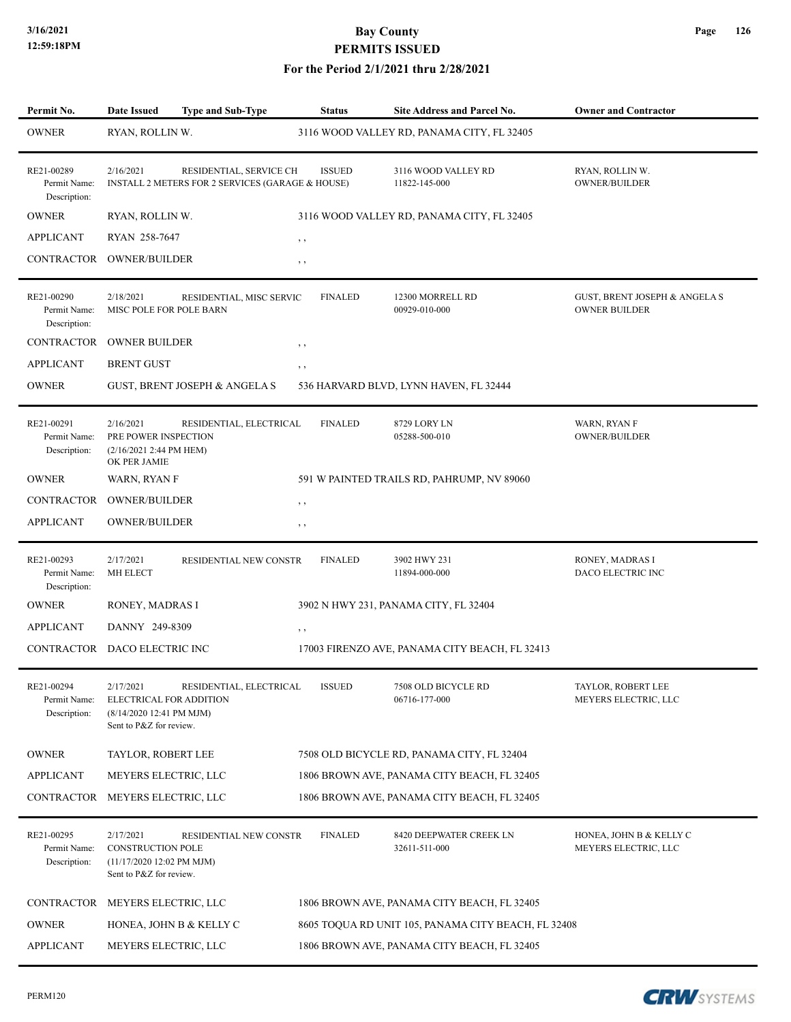### **For the Period 2/1/2021 thru 2/28/2021**

| Permit No.                                 | <b>Date Issued</b>                                                                            | <b>Type and Sub-Type</b>                                                    | <b>Status</b>  | <b>Site Address and Parcel No.</b>                  | <b>Owner and Contractor</b>                                      |
|--------------------------------------------|-----------------------------------------------------------------------------------------------|-----------------------------------------------------------------------------|----------------|-----------------------------------------------------|------------------------------------------------------------------|
| <b>OWNER</b>                               | RYAN, ROLLIN W.                                                                               |                                                                             |                | 3116 WOOD VALLEY RD, PANAMA CITY, FL 32405          |                                                                  |
| RE21-00289<br>Permit Name:<br>Description: | 2/16/2021                                                                                     | RESIDENTIAL, SERVICE CH<br>INSTALL 2 METERS FOR 2 SERVICES (GARAGE & HOUSE) | <b>ISSUED</b>  | 3116 WOOD VALLEY RD<br>11822-145-000                | RYAN, ROLLIN W.<br><b>OWNER/BUILDER</b>                          |
| <b>OWNER</b>                               | RYAN, ROLLIN W.                                                                               |                                                                             |                | 3116 WOOD VALLEY RD, PANAMA CITY, FL 32405          |                                                                  |
| <b>APPLICANT</b>                           | RYAN 258-7647                                                                                 |                                                                             | $, \, , \,$    |                                                     |                                                                  |
| CONTRACTOR                                 | <b>OWNER/BUILDER</b>                                                                          |                                                                             | , ,            |                                                     |                                                                  |
| RE21-00290<br>Permit Name:<br>Description: | 2/18/2021<br>MISC POLE FOR POLE BARN                                                          | RESIDENTIAL, MISC SERVIC                                                    | <b>FINALED</b> | 12300 MORRELL RD<br>00929-010-000                   | <b>GUST, BRENT JOSEPH &amp; ANGELA S</b><br><b>OWNER BUILDER</b> |
| <b>CONTRACTOR</b>                          | <b>OWNER BUILDER</b>                                                                          |                                                                             | , ,            |                                                     |                                                                  |
| <b>APPLICANT</b>                           | <b>BRENT GUST</b>                                                                             |                                                                             | $, \, , \,$    |                                                     |                                                                  |
| <b>OWNER</b>                               | <b>GUST, BRENT JOSEPH &amp; ANGELA S</b>                                                      |                                                                             |                | 536 HARVARD BLVD, LYNN HAVEN, FL 32444              |                                                                  |
| RE21-00291<br>Permit Name:<br>Description: | 2/16/2021<br>PRE POWER INSPECTION<br>(2/16/2021 2:44 PM HEM)<br>OK PER JAMIE                  | RESIDENTIAL, ELECTRICAL                                                     | <b>FINALED</b> | 8729 LORY LN<br>05288-500-010                       | WARN, RYAN F<br><b>OWNER/BUILDER</b>                             |
| <b>OWNER</b>                               | WARN, RYAN F                                                                                  |                                                                             |                | 591 W PAINTED TRAILS RD, PAHRUMP, NV 89060          |                                                                  |
| CONTRACTOR                                 | <b>OWNER/BUILDER</b>                                                                          |                                                                             | $, \, \,$      |                                                     |                                                                  |
| <b>APPLICANT</b>                           | OWNER/BUILDER                                                                                 |                                                                             | , ,            |                                                     |                                                                  |
| RE21-00293<br>Permit Name:<br>Description: | 2/17/2021<br>MH ELECT                                                                         | RESIDENTIAL NEW CONSTR                                                      | <b>FINALED</b> | 3902 HWY 231<br>11894-000-000                       | RONEY, MADRAS I<br>DACO ELECTRIC INC                             |
| <b>OWNER</b>                               | RONEY, MADRAS I                                                                               |                                                                             |                | 3902 N HWY 231, PANAMA CITY, FL 32404               |                                                                  |
| <b>APPLICANT</b>                           | DANNY 249-8309                                                                                |                                                                             | $, \, , \,$    |                                                     |                                                                  |
|                                            | CONTRACTOR DACO ELECTRIC INC                                                                  |                                                                             |                | 17003 FIRENZO AVE, PANAMA CITY BEACH, FL 32413      |                                                                  |
| RE21-00294<br>Permit Name:<br>Description: | 2/17/2021<br>ELECTRICAL FOR ADDITION<br>(8/14/2020 12:41 PM MJM)<br>Sent to P&Z for review.   | RESIDENTIAL, ELECTRICAL ISSUED                                              |                | 7508 OLD BICYCLE RD<br>06716-177-000                | TAYLOR, ROBERT LEE<br>MEYERS ELECTRIC, LLC                       |
| <b>OWNER</b>                               | TAYLOR, ROBERT LEE                                                                            |                                                                             |                | 7508 OLD BICYCLE RD, PANAMA CITY, FL 32404          |                                                                  |
| <b>APPLICANT</b>                           | MEYERS ELECTRIC, LLC                                                                          |                                                                             |                | 1806 BROWN AVE, PANAMA CITY BEACH, FL 32405         |                                                                  |
| CONTRACTOR                                 | MEYERS ELECTRIC, LLC                                                                          |                                                                             |                | 1806 BROWN AVE, PANAMA CITY BEACH, FL 32405         |                                                                  |
| RE21-00295<br>Permit Name:<br>Description: | 2/17/2021<br><b>CONSTRUCTION POLE</b><br>(11/17/2020 12:02 PM MJM)<br>Sent to P&Z for review. | RESIDENTIAL NEW CONSTR                                                      | <b>FINALED</b> | 8420 DEEPWATER CREEK LN<br>32611-511-000            | HONEA, JOHN B & KELLY C<br>MEYERS ELECTRIC, LLC                  |
| CONTRACTOR                                 | MEYERS ELECTRIC, LLC                                                                          |                                                                             |                | 1806 BROWN AVE, PANAMA CITY BEACH, FL 32405         |                                                                  |
| <b>OWNER</b>                               | HONEA, JOHN B & KELLY C                                                                       |                                                                             |                | 8605 TOQUA RD UNIT 105, PANAMA CITY BEACH, FL 32408 |                                                                  |
| <b>APPLICANT</b>                           | MEYERS ELECTRIC, LLC                                                                          |                                                                             |                | 1806 BROWN AVE, PANAMA CITY BEACH, FL 32405         |                                                                  |

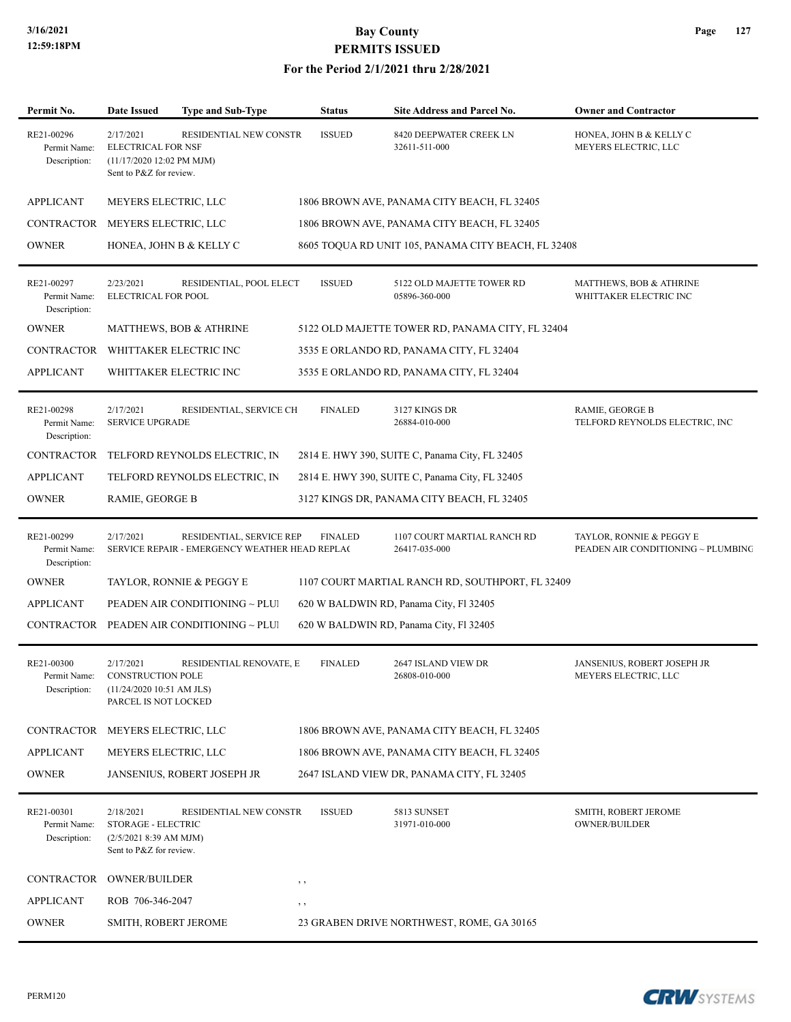### **For the Period 2/1/2021 thru 2/28/2021**

| Permit No.                                 | Date Issued                                                                                    | <b>Type and Sub-Type</b>                                                   | <b>Status</b>  | <b>Site Address and Parcel No.</b>                  | <b>Owner and Contractor</b>                                    |
|--------------------------------------------|------------------------------------------------------------------------------------------------|----------------------------------------------------------------------------|----------------|-----------------------------------------------------|----------------------------------------------------------------|
| RE21-00296<br>Permit Name:<br>Description: | 2/17/2021<br><b>ELECTRICAL FOR NSF</b><br>(11/17/2020 12:02 PM MJM)<br>Sent to P&Z for review. | RESIDENTIAL NEW CONSTR                                                     | <b>ISSUED</b>  | 8420 DEEPWATER CREEK LN<br>32611-511-000            | HONEA, JOHN B & KELLY C<br>MEYERS ELECTRIC, LLC                |
| <b>APPLICANT</b>                           | MEYERS ELECTRIC, LLC                                                                           |                                                                            |                | 1806 BROWN AVE, PANAMA CITY BEACH, FL 32405         |                                                                |
| CONTRACTOR                                 | MEYERS ELECTRIC, LLC                                                                           |                                                                            |                | 1806 BROWN AVE, PANAMA CITY BEACH, FL 32405         |                                                                |
| <b>OWNER</b>                               | HONEA, JOHN B & KELLY C                                                                        |                                                                            |                | 8605 TOQUA RD UNIT 105, PANAMA CITY BEACH, FL 32408 |                                                                |
| RE21-00297<br>Permit Name:<br>Description: | 2/23/2021<br>ELECTRICAL FOR POOL                                                               | RESIDENTIAL, POOL ELECT                                                    | <b>ISSUED</b>  | 5122 OLD MAJETTE TOWER RD<br>05896-360-000          | MATTHEWS, BOB & ATHRINE<br>WHITTAKER ELECTRIC INC              |
| <b>OWNER</b>                               |                                                                                                | MATTHEWS, BOB & ATHRINE                                                    |                | 5122 OLD MAJETTE TOWER RD, PANAMA CITY, FL 32404    |                                                                |
| CONTRACTOR                                 | WHITTAKER ELECTRIC INC                                                                         |                                                                            |                | 3535 E ORLANDO RD, PANAMA CITY, FL 32404            |                                                                |
| <b>APPLICANT</b>                           | WHITTAKER ELECTRIC INC                                                                         |                                                                            |                | 3535 E ORLANDO RD, PANAMA CITY, FL 32404            |                                                                |
| RE21-00298<br>Permit Name:<br>Description: | 2/17/2021<br><b>SERVICE UPGRADE</b>                                                            | RESIDENTIAL, SERVICE CH                                                    | <b>FINALED</b> | 3127 KINGS DR<br>26884-010-000                      | RAMIE, GEORGE B<br>TELFORD REYNOLDS ELECTRIC, INC              |
| CONTRACTOR                                 |                                                                                                | TELFORD REYNOLDS ELECTRIC, IN                                              |                | 2814 E. HWY 390, SUITE C, Panama City, FL 32405     |                                                                |
| <b>APPLICANT</b>                           |                                                                                                | TELFORD REYNOLDS ELECTRIC, IN                                              |                | 2814 E. HWY 390, SUITE C, Panama City, FL 32405     |                                                                |
| <b>OWNER</b>                               | RAMIE, GEORGE B                                                                                |                                                                            |                | 3127 KINGS DR, PANAMA CITY BEACH, FL 32405          |                                                                |
| RE21-00299<br>Permit Name:<br>Description: | 2/17/2021                                                                                      | RESIDENTIAL, SERVICE REP<br>SERVICE REPAIR - EMERGENCY WEATHER HEAD REPLAC | <b>FINALED</b> | 1107 COURT MARTIAL RANCH RD<br>26417-035-000        | TAYLOR, RONNIE & PEGGY E<br>PEADEN AIR CONDITIONING ~ PLUMBING |
| <b>OWNER</b>                               |                                                                                                | TAYLOR, RONNIE & PEGGY E                                                   |                | 1107 COURT MARTIAL RANCH RD, SOUTHPORT, FL 32409    |                                                                |
| <b>APPLICANT</b>                           |                                                                                                | PEADEN AIR CONDITIONING ~ PLUI                                             |                | 620 W BALDWIN RD, Panama City, Fl 32405             |                                                                |
|                                            |                                                                                                | CONTRACTOR PEADEN AIR CONDITIONING ~ PLUI                                  |                | 620 W BALDWIN RD, Panama City, Fl 32405             |                                                                |
| RE21-00300<br>Permit Name:<br>Description: | 2/17/2021<br><b>CONSTRUCTION POLE</b><br>(11/24/2020 10:51 AM JLS)<br>PARCEL IS NOT LOCKED     | RESIDENTIAL RENOVATE, E                                                    | <b>FINALED</b> | 2647 ISLAND VIEW DR<br>26808-010-000                | JANSENIUS, ROBERT JOSEPH JR<br>MEYERS ELECTRIC, LLC            |
| CONTRACTOR                                 | MEYERS ELECTRIC, LLC                                                                           |                                                                            |                | 1806 BROWN AVE, PANAMA CITY BEACH, FL 32405         |                                                                |
| <b>APPLICANT</b>                           | MEYERS ELECTRIC, LLC                                                                           |                                                                            |                | 1806 BROWN AVE, PANAMA CITY BEACH, FL 32405         |                                                                |
| <b>OWNER</b>                               |                                                                                                | JANSENIUS, ROBERT JOSEPH JR                                                |                | 2647 ISLAND VIEW DR, PANAMA CITY, FL 32405          |                                                                |
| RE21-00301<br>Permit Name:<br>Description: | 2/18/2021<br>STORAGE - ELECTRIC<br>(2/5/2021 8:39 AM MJM)<br>Sent to P&Z for review.           | RESIDENTIAL NEW CONSTR                                                     | <b>ISSUED</b>  | 5813 SUNSET<br>31971-010-000                        | SMITH, ROBERT JEROME<br><b>OWNER/BUILDER</b>                   |
| CONTRACTOR                                 | <b>OWNER/BUILDER</b>                                                                           |                                                                            | $, \, \cdot$   |                                                     |                                                                |
| <b>APPLICANT</b>                           | ROB 706-346-2047                                                                               |                                                                            | $, \, \,$      |                                                     |                                                                |
| <b>OWNER</b>                               | SMITH, ROBERT JEROME                                                                           |                                                                            |                | 23 GRABEN DRIVE NORTHWEST, ROME, GA 30165           |                                                                |
|                                            |                                                                                                |                                                                            |                |                                                     |                                                                |

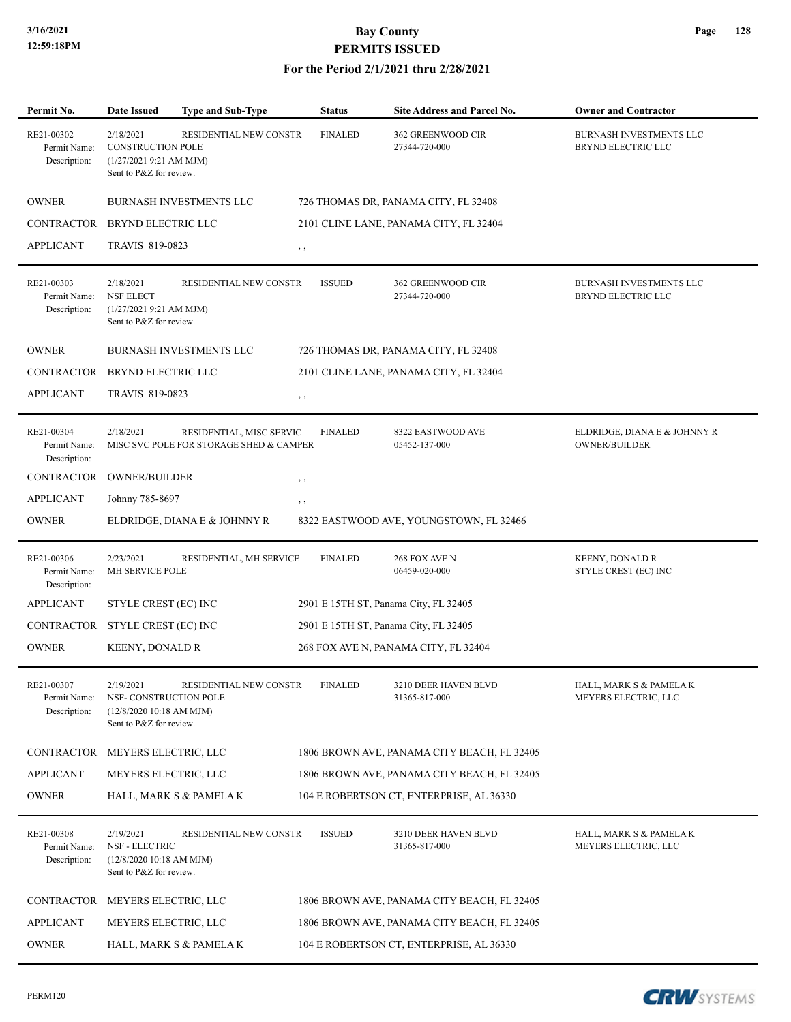| Permit No.                                 | <b>Date Issued</b>                                                                           | <b>Type and Sub-Type</b>                                            | <b>Status</b>  | Site Address and Parcel No.                 | <b>Owner and Contractor</b>                          |
|--------------------------------------------|----------------------------------------------------------------------------------------------|---------------------------------------------------------------------|----------------|---------------------------------------------|------------------------------------------------------|
| RE21-00302<br>Permit Name:<br>Description: | 2/18/2021<br><b>CONSTRUCTION POLE</b><br>(1/27/20219::21 AM MJM)<br>Sent to P&Z for review.  | RESIDENTIAL NEW CONSTR                                              | <b>FINALED</b> | 362 GREENWOOD CIR<br>27344-720-000          | BURNASH INVESTMENTS LLC<br>BRYND ELECTRIC LLC        |
| <b>OWNER</b>                               |                                                                                              | <b>BURNASH INVESTMENTS LLC</b>                                      |                | 726 THOMAS DR, PANAMA CITY, FL 32408        |                                                      |
| CONTRACTOR                                 | BRYND ELECTRIC LLC                                                                           |                                                                     |                | 2101 CLINE LANE, PANAMA CITY, FL 32404      |                                                      |
| <b>APPLICANT</b>                           | TRAVIS 819-0823                                                                              |                                                                     | $, \, \cdot$   |                                             |                                                      |
| RE21-00303<br>Permit Name:<br>Description: | 2/18/2021<br><b>NSF ELECT</b><br>(1/27/20219:21 AM MJM)<br>Sent to P&Z for review.           | RESIDENTIAL NEW CONSTR                                              | <b>ISSUED</b>  | 362 GREENWOOD CIR<br>27344-720-000          | BURNASH INVESTMENTS LLC<br>BRYND ELECTRIC LLC        |
| <b>OWNER</b>                               |                                                                                              | BURNASH INVESTMENTS LLC                                             |                | 726 THOMAS DR, PANAMA CITY, FL 32408        |                                                      |
| CONTRACTOR                                 | BRYND ELECTRIC LLC                                                                           |                                                                     |                | 2101 CLINE LANE, PANAMA CITY, FL 32404      |                                                      |
| <b>APPLICANT</b>                           | TRAVIS 819-0823                                                                              |                                                                     | $, \, \cdot$   |                                             |                                                      |
| RE21-00304<br>Permit Name:<br>Description: | 2/18/2021                                                                                    | RESIDENTIAL, MISC SERVIC<br>MISC SVC POLE FOR STORAGE SHED & CAMPER | <b>FINALED</b> | 8322 EASTWOOD AVE<br>05452-137-000          | ELDRIDGE, DIANA E & JOHNNY R<br><b>OWNER/BUILDER</b> |
| <b>CONTRACTOR</b>                          | <b>OWNER/BUILDER</b>                                                                         |                                                                     | $, \, \,$      |                                             |                                                      |
| <b>APPLICANT</b>                           | Johnny 785-8697                                                                              |                                                                     | , ,            |                                             |                                                      |
| <b>OWNER</b>                               |                                                                                              | ELDRIDGE, DIANA E & JOHNNY R                                        |                | 8322 EASTWOOD AVE, YOUNGSTOWN, FL 32466     |                                                      |
| RE21-00306<br>Permit Name:<br>Description: | 2/23/2021<br>MH SERVICE POLE                                                                 | RESIDENTIAL, MH SERVICE                                             | <b>FINALED</b> | 268 FOX AVE N<br>06459-020-000              | <b>KEENY, DONALD R</b><br>STYLE CREST (EC) INC       |
| <b>APPLICANT</b>                           | STYLE CREST (EC) INC                                                                         |                                                                     |                | 2901 E 15TH ST, Panama City, FL 32405       |                                                      |
| <b>CONTRACTOR</b>                          | STYLE CREST (EC) INC                                                                         |                                                                     |                | 2901 E 15TH ST, Panama City, FL 32405       |                                                      |
| <b>OWNER</b>                               | <b>KEENY, DONALD R</b>                                                                       |                                                                     |                | 268 FOX AVE N, PANAMA CITY, FL 32404        |                                                      |
| RE21-00307<br>Permit Name:<br>Description: | 2/19/2021<br>NSF- CONSTRUCTION POLE<br>$(12/8/2020 10:18$ AM MJM)<br>Sent to P&Z for review. | RESIDENTIAL NEW CONSTR                                              | <b>FINALED</b> | 3210 DEER HAVEN BLVD<br>31365-817-000       | HALL, MARK S & PAMELA K<br>MEYERS ELECTRIC, LLC      |
| CONTRACTOR MEYERS ELECTRIC, LLC            |                                                                                              |                                                                     |                | 1806 BROWN AVE, PANAMA CITY BEACH, FL 32405 |                                                      |
| <b>APPLICANT</b>                           | MEYERS ELECTRIC, LLC                                                                         |                                                                     |                | 1806 BROWN AVE, PANAMA CITY BEACH, FL 32405 |                                                      |
| <b>OWNER</b>                               |                                                                                              | HALL, MARK S & PAMELA K                                             |                | 104 E ROBERTSON CT, ENTERPRISE, AL 36330    |                                                      |
| RE21-00308<br>Permit Name:<br>Description: | 2/19/2021<br>NSF - ELECTRIC<br>(12/8/2020 10:18 AM MJM)<br>Sent to P&Z for review.           | RESIDENTIAL NEW CONSTR                                              | <b>ISSUED</b>  | 3210 DEER HAVEN BLVD<br>31365-817-000       | HALL, MARK S & PAMELA K<br>MEYERS ELECTRIC, LLC      |
| CONTRACTOR                                 | MEYERS ELECTRIC, LLC                                                                         |                                                                     |                | 1806 BROWN AVE, PANAMA CITY BEACH, FL 32405 |                                                      |
| <b>APPLICANT</b>                           | MEYERS ELECTRIC, LLC                                                                         |                                                                     |                | 1806 BROWN AVE, PANAMA CITY BEACH, FL 32405 |                                                      |
| <b>OWNER</b>                               |                                                                                              | HALL, MARK S & PAMELA K                                             |                | 104 E ROBERTSON CT, ENTERPRISE, AL 36330    |                                                      |

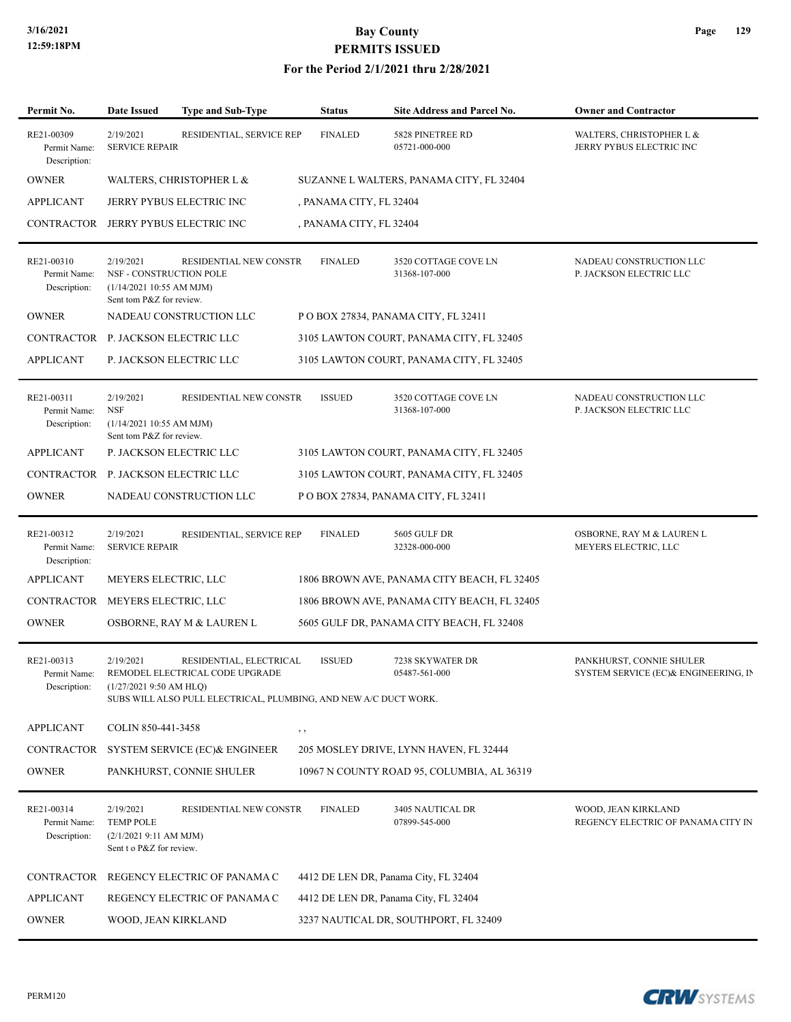### **For the Period 2/1/2021 thru 2/28/2021**

| Permit No.                                 | <b>Date Issued</b>                                                                           | <b>Type and Sub-Type</b>                                                                                                       | <b>Status</b>           | Site Address and Parcel No.                 | <b>Owner and Contractor</b>                                      |
|--------------------------------------------|----------------------------------------------------------------------------------------------|--------------------------------------------------------------------------------------------------------------------------------|-------------------------|---------------------------------------------|------------------------------------------------------------------|
| RE21-00309<br>Permit Name:<br>Description: | 2/19/2021<br><b>SERVICE REPAIR</b>                                                           | RESIDENTIAL, SERVICE REP                                                                                                       | <b>FINALED</b>          | 5828 PINETREE RD<br>05721-000-000           | WALTERS, CHRISTOPHER L &<br>JERRY PYBUS ELECTRIC INC             |
| <b>OWNER</b>                               |                                                                                              | WALTERS, CHRISTOPHER L &                                                                                                       |                         | SUZANNE L WALTERS, PANAMA CITY, FL 32404    |                                                                  |
| <b>APPLICANT</b>                           |                                                                                              | <b>JERRY PYBUS ELECTRIC INC</b>                                                                                                | , PANAMA CITY, FL 32404 |                                             |                                                                  |
| CONTRACTOR                                 |                                                                                              | JERRY PYBUS ELECTRIC INC                                                                                                       | , PANAMA CITY, FL 32404 |                                             |                                                                  |
| RE21-00310<br>Permit Name:<br>Description: | 2/19/2021<br>NSF - CONSTRUCTION POLE<br>(1/14/2021 10:55 AM MJM)<br>Sent tom P&Z for review. | RESIDENTIAL NEW CONSTR                                                                                                         | <b>FINALED</b>          | 3520 COTTAGE COVE LN<br>31368-107-000       | NADEAU CONSTRUCTION LLC<br>P. JACKSON ELECTRIC LLC               |
| <b>OWNER</b>                               |                                                                                              | NADEAU CONSTRUCTION LLC                                                                                                        |                         | POBOX 27834, PANAMA CITY, FL 32411          |                                                                  |
| CONTRACTOR P. JACKSON ELECTRIC LLC         |                                                                                              |                                                                                                                                |                         | 3105 LAWTON COURT, PANAMA CITY, FL 32405    |                                                                  |
| <b>APPLICANT</b>                           |                                                                                              | P. JACKSON ELECTRIC LLC                                                                                                        |                         | 3105 LAWTON COURT, PANAMA CITY, FL 32405    |                                                                  |
| RE21-00311<br>Permit Name:<br>Description: | 2/19/2021<br><b>NSF</b><br>(1/14/2021 10:55 AM MJM)<br>Sent tom P&Z for review.              | RESIDENTIAL NEW CONSTR                                                                                                         | <b>ISSUED</b>           | 3520 COTTAGE COVE LN<br>31368-107-000       | NADEAU CONSTRUCTION LLC<br>P. JACKSON ELECTRIC LLC               |
| <b>APPLICANT</b>                           |                                                                                              | P. JACKSON ELECTRIC LLC                                                                                                        |                         | 3105 LAWTON COURT, PANAMA CITY, FL 32405    |                                                                  |
| CONTRACTOR P. JACKSON ELECTRIC LLC         |                                                                                              |                                                                                                                                |                         | 3105 LAWTON COURT, PANAMA CITY, FL 32405    |                                                                  |
| <b>OWNER</b>                               |                                                                                              | NADEAU CONSTRUCTION LLC                                                                                                        |                         | POBOX 27834, PANAMA CITY, FL 32411          |                                                                  |
| RE21-00312<br>Permit Name:<br>Description: | 2/19/2021<br><b>SERVICE REPAIR</b>                                                           | RESIDENTIAL, SERVICE REP                                                                                                       | <b>FINALED</b>          | 5605 GULF DR<br>32328-000-000               | OSBORNE, RAY M & LAUREN L<br>MEYERS ELECTRIC, LLC                |
| <b>APPLICANT</b>                           | MEYERS ELECTRIC, LLC                                                                         |                                                                                                                                |                         | 1806 BROWN AVE, PANAMA CITY BEACH, FL 32405 |                                                                  |
| <b>CONTRACTOR</b>                          | MEYERS ELECTRIC, LLC                                                                         |                                                                                                                                |                         | 1806 BROWN AVE, PANAMA CITY BEACH, FL 32405 |                                                                  |
| <b>OWNER</b>                               |                                                                                              | OSBORNE, RAY M & LAUREN L                                                                                                      |                         | 5605 GULF DR, PANAMA CITY BEACH, FL 32408   |                                                                  |
| RE21-00313<br>Permit Name:<br>Description: | 2/19/2021<br>$(1/27/20219:50$ AM HLQ)                                                        | RESIDENTIAL, ELECTRICAL<br>REMODEL ELECTRICAL CODE UPGRADE<br>SUBS WILL ALSO PULL ELECTRICAL, PLUMBING, AND NEW A/C DUCT WORK. | <b>ISSUED</b>           | 7238 SKYWATER DR<br>05487-561-000           | PANKHURST, CONNIE SHULER<br>SYSTEM SERVICE (EC)& ENGINEERING, IN |
| <b>APPLICANT</b>                           | COLIN 850-441-3458                                                                           |                                                                                                                                | $, \, ,$                |                                             |                                                                  |
| CONTRACTOR                                 |                                                                                              | SYSTEM SERVICE (EC) & ENGINEER                                                                                                 |                         | 205 MOSLEY DRIVE, LYNN HAVEN, FL 32444      |                                                                  |
| <b>OWNER</b>                               |                                                                                              | PANKHURST, CONNIE SHULER                                                                                                       |                         | 10967 N COUNTY ROAD 95, COLUMBIA, AL 36319  |                                                                  |
| RE21-00314<br>Permit Name:<br>Description: | 2/19/2021<br><b>TEMP POLE</b><br>(2/1/20219:11 AM MJM)<br>Sent t o P&Z for review.           | RESIDENTIAL NEW CONSTR                                                                                                         | <b>FINALED</b>          | 3405 NAUTICAL DR<br>07899-545-000           | WOOD, JEAN KIRKLAND<br>REGENCY ELECTRIC OF PANAMA CITY IN        |
| CONTRACTOR                                 |                                                                                              | REGENCY ELECTRIC OF PANAMA C                                                                                                   |                         | 4412 DE LEN DR, Panama City, FL 32404       |                                                                  |
| <b>APPLICANT</b>                           |                                                                                              | REGENCY ELECTRIC OF PANAMA C                                                                                                   |                         | 4412 DE LEN DR, Panama City, FL 32404       |                                                                  |
| <b>OWNER</b>                               | WOOD, JEAN KIRKLAND                                                                          |                                                                                                                                |                         | 3237 NAUTICAL DR, SOUTHPORT, FL 32409       |                                                                  |

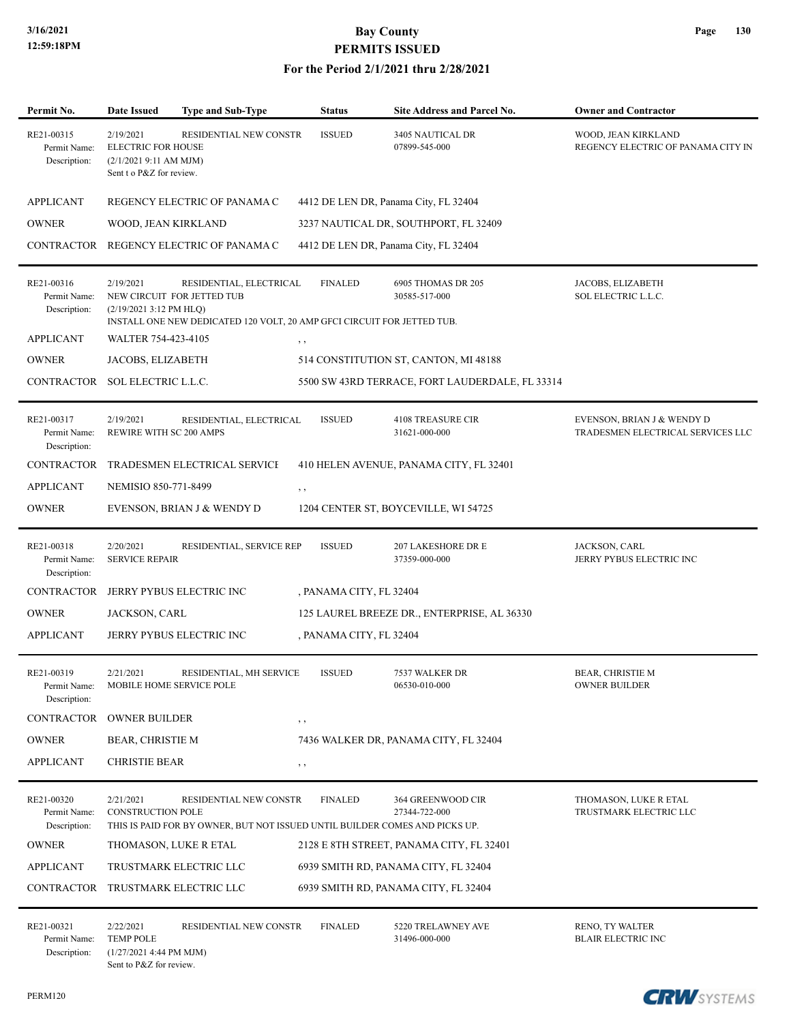| Permit No.                                 | Date Issued                                                                                 | <b>Type and Sub-Type</b>                                                                                                         | <b>Status</b>           | Site Address and Parcel No.                     | <b>Owner and Contractor</b>                                     |
|--------------------------------------------|---------------------------------------------------------------------------------------------|----------------------------------------------------------------------------------------------------------------------------------|-------------------------|-------------------------------------------------|-----------------------------------------------------------------|
| RE21-00315<br>Permit Name:<br>Description: | 2/19/2021<br><b>ELECTRIC FOR HOUSE</b><br>(2/1/20219:11 AM MJM)<br>Sent t o P&Z for review. | RESIDENTIAL NEW CONSTR                                                                                                           | <b>ISSUED</b>           | 3405 NAUTICAL DR<br>07899-545-000               | WOOD, JEAN KIRKLAND<br>REGENCY ELECTRIC OF PANAMA CITY IN       |
| <b>APPLICANT</b>                           |                                                                                             | REGENCY ELECTRIC OF PANAMA C                                                                                                     |                         | 4412 DE LEN DR, Panama City, FL 32404           |                                                                 |
| <b>OWNER</b>                               | WOOD, JEAN KIRKLAND                                                                         |                                                                                                                                  |                         | 3237 NAUTICAL DR, SOUTHPORT, FL 32409           |                                                                 |
|                                            |                                                                                             | CONTRACTOR REGENCY ELECTRIC OF PANAMA C                                                                                          |                         | 4412 DE LEN DR, Panama City, FL 32404           |                                                                 |
| RE21-00316<br>Permit Name:<br>Description: | 2/19/2021<br>(2/19/2021 3:12 PM HLQ)                                                        | RESIDENTIAL, ELECTRICAL<br>NEW CIRCUIT FOR JETTED TUB<br>INSTALL ONE NEW DEDICATED 120 VOLT, 20 AMP GFCI CIRCUIT FOR JETTED TUB. | <b>FINALED</b>          | 6905 THOMAS DR 205<br>30585-517-000             | JACOBS, ELIZABETH<br>SOL ELECTRIC L.L.C.                        |
| <b>APPLICANT</b>                           | WALTER 754-423-4105                                                                         |                                                                                                                                  | $, \, , \,$             |                                                 |                                                                 |
| <b>OWNER</b>                               | JACOBS, ELIZABETH                                                                           |                                                                                                                                  |                         | 514 CONSTITUTION ST, CANTON, MI 48188           |                                                                 |
| CONTRACTOR                                 | SOL ELECTRIC L.L.C.                                                                         |                                                                                                                                  |                         | 5500 SW 43RD TERRACE, FORT LAUDERDALE, FL 33314 |                                                                 |
| RE21-00317<br>Permit Name:<br>Description: | 2/19/2021<br>REWIRE WITH SC 200 AMPS                                                        | RESIDENTIAL, ELECTRICAL                                                                                                          | <b>ISSUED</b>           | <b>4108 TREASURE CIR</b><br>31621-000-000       | EVENSON, BRIAN J & WENDY D<br>TRADESMEN ELECTRICAL SERVICES LLC |
| <b>CONTRACTOR</b>                          |                                                                                             | TRADESMEN ELECTRICAL SERVICE                                                                                                     |                         | 410 HELEN AVENUE, PANAMA CITY, FL 32401         |                                                                 |
| <b>APPLICANT</b>                           | NEMISIO 850-771-8499                                                                        |                                                                                                                                  | , ,                     |                                                 |                                                                 |
| <b>OWNER</b>                               |                                                                                             | EVENSON, BRIAN J & WENDY D                                                                                                       |                         | 1204 CENTER ST, BOYCEVILLE, WI 54725            |                                                                 |
| RE21-00318<br>Permit Name:<br>Description: | 2/20/2021<br><b>SERVICE REPAIR</b>                                                          | RESIDENTIAL, SERVICE REP                                                                                                         | <b>ISSUED</b>           | 207 LAKESHORE DR E<br>37359-000-000             | JACKSON, CARL<br>JERRY PYBUS ELECTRIC INC                       |
| <b>CONTRACTOR</b>                          |                                                                                             | JERRY PYBUS ELECTRIC INC                                                                                                         | , PANAMA CITY, FL 32404 |                                                 |                                                                 |
| <b>OWNER</b>                               | JACKSON, CARL                                                                               |                                                                                                                                  |                         | 125 LAUREL BREEZE DR., ENTERPRISE, AL 36330     |                                                                 |
| <b>APPLICANT</b>                           |                                                                                             | JERRY PYBUS ELECTRIC INC                                                                                                         | , PANAMA CITY, FL 32404 |                                                 |                                                                 |
| RE21-00319<br>Permit Name:<br>Description: | 2/21/2021                                                                                   | RESIDENTIAL, MH SERVICE<br>MOBILE HOME SERVICE POLE                                                                              | <b>ISSUED</b>           | 7537 WALKER DR<br>06530-010-000                 | <b>BEAR, CHRISTIE M</b><br><b>OWNER BUILDER</b>                 |
| CONTRACTOR                                 | <b>OWNER BUILDER</b>                                                                        |                                                                                                                                  | $, \, , \,$             |                                                 |                                                                 |
| <b>OWNER</b>                               | BEAR, CHRISTIE M                                                                            |                                                                                                                                  |                         | 7436 WALKER DR, PANAMA CITY, FL 32404           |                                                                 |
| <b>APPLICANT</b>                           | <b>CHRISTIE BEAR</b>                                                                        |                                                                                                                                  | $, \, , \,$             |                                                 |                                                                 |
| RE21-00320<br>Permit Name:<br>Description: | 2/21/2021<br><b>CONSTRUCTION POLE</b>                                                       | RESIDENTIAL NEW CONSTR<br>THIS IS PAID FOR BY OWNER, BUT NOT ISSUED UNTIL BUILDER COMES AND PICKS UP.                            | <b>FINALED</b>          | 364 GREENWOOD CIR<br>27344-722-000              | THOMASON, LUKE R ETAL<br>TRUSTMARK ELECTRIC LLC                 |
| <b>OWNER</b>                               |                                                                                             | THOMASON, LUKE R ETAL                                                                                                            |                         | 2128 E 8TH STREET, PANAMA CITY, FL 32401        |                                                                 |
| <b>APPLICANT</b>                           |                                                                                             | TRUSTMARK ELECTRIC LLC                                                                                                           |                         | 6939 SMITH RD, PANAMA CITY, FL 32404            |                                                                 |
|                                            |                                                                                             | CONTRACTOR TRUSTMARK ELECTRIC LLC                                                                                                |                         | 6939 SMITH RD, PANAMA CITY, FL 32404            |                                                                 |
| RE21-00321<br>Permit Name:<br>Description: | 2/22/2021<br><b>TEMP POLE</b><br>$(1/27/2021$ 4:44 PM MJM)<br>Sent to P&Z for review.       | RESIDENTIAL NEW CONSTR                                                                                                           | <b>FINALED</b>          | 5220 TRELAWNEY AVE<br>31496-000-000             | RENO, TY WALTER<br><b>BLAIR ELECTRIC INC</b>                    |

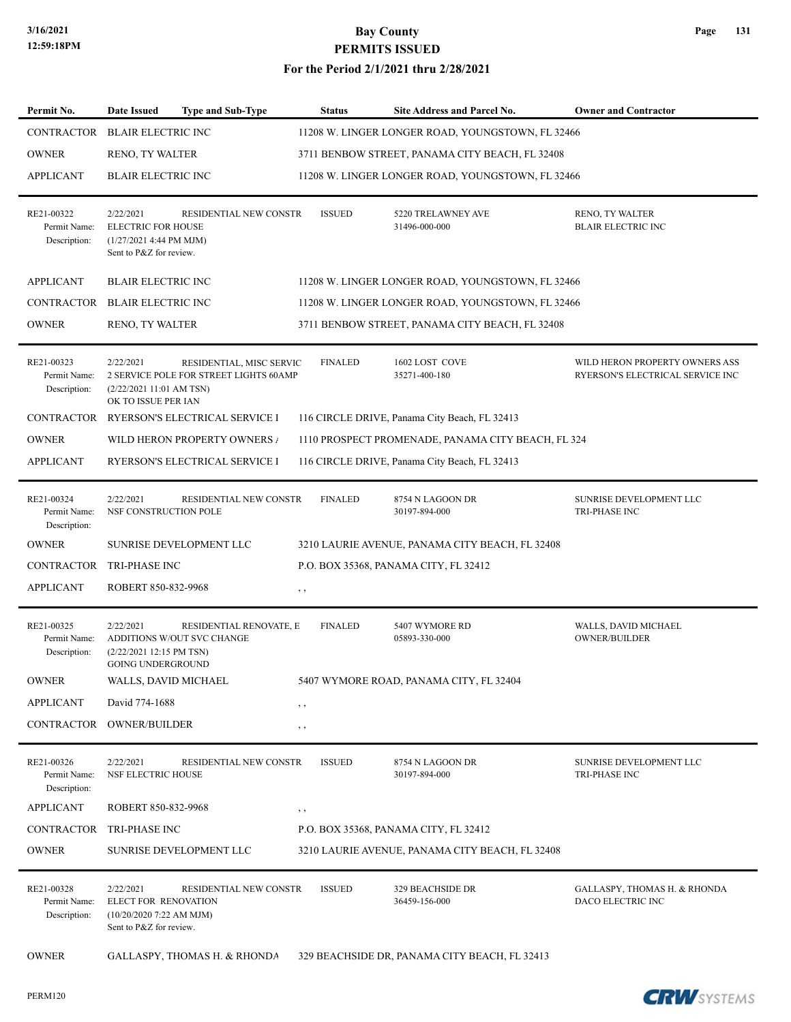| Permit No.                                 | <b>Date Issued</b>                                                                             | <b>Type and Sub-Type</b>                                           |          | <b>Status</b>  | Site Address and Parcel No.                        | <b>Owner and Contractor</b>                                        |
|--------------------------------------------|------------------------------------------------------------------------------------------------|--------------------------------------------------------------------|----------|----------------|----------------------------------------------------|--------------------------------------------------------------------|
| CONTRACTOR                                 | <b>BLAIR ELECTRIC INC</b>                                                                      |                                                                    |          |                | 11208 W. LINGER LONGER ROAD, YOUNGSTOWN, FL 32466  |                                                                    |
| <b>OWNER</b>                               | RENO, TY WALTER                                                                                |                                                                    |          |                | 3711 BENBOW STREET, PANAMA CITY BEACH, FL 32408    |                                                                    |
| <b>APPLICANT</b>                           | <b>BLAIR ELECTRIC INC</b>                                                                      |                                                                    |          |                | 11208 W. LINGER LONGER ROAD, YOUNGSTOWN, FL 32466  |                                                                    |
|                                            |                                                                                                |                                                                    |          |                |                                                    |                                                                    |
| RE21-00322<br>Permit Name:<br>Description: | 2/22/2021<br><b>ELECTRIC FOR HOUSE</b><br>$(1/27/2021$ 4:44 PM MJM)<br>Sent to P&Z for review. | RESIDENTIAL NEW CONSTR                                             |          | <b>ISSUED</b>  | 5220 TRELAWNEY AVE<br>31496-000-000                | RENO, TY WALTER<br><b>BLAIR ELECTRIC INC</b>                       |
| <b>APPLICANT</b>                           | <b>BLAIR ELECTRIC INC</b>                                                                      |                                                                    |          |                | 11208 W. LINGER LONGER ROAD, YOUNGSTOWN, FL 32466  |                                                                    |
| CONTRACTOR                                 | <b>BLAIR ELECTRIC INC</b>                                                                      |                                                                    |          |                | 11208 W. LINGER LONGER ROAD, YOUNGSTOWN, FL 32466  |                                                                    |
| <b>OWNER</b>                               | RENO, TY WALTER                                                                                |                                                                    |          |                | 3711 BENBOW STREET, PANAMA CITY BEACH, FL 32408    |                                                                    |
|                                            |                                                                                                |                                                                    |          |                |                                                    |                                                                    |
| RE21-00323<br>Permit Name:<br>Description: | 2/22/2021<br>(2/22/202111:01 AM TSN)<br>OK TO ISSUE PER IAN                                    | RESIDENTIAL, MISC SERVIC<br>2 SERVICE POLE FOR STREET LIGHTS 60AMP |          | <b>FINALED</b> | 1602 LOST COVE<br>35271-400-180                    | WILD HERON PROPERTY OWNERS ASS<br>RYERSON'S ELECTRICAL SERVICE INC |
| <b>CONTRACTOR</b>                          |                                                                                                | RYERSON'S ELECTRICAL SERVICE I                                     |          |                | 116 CIRCLE DRIVE, Panama City Beach, FL 32413      |                                                                    |
| <b>OWNER</b>                               |                                                                                                | WILD HERON PROPERTY OWNERS /                                       |          |                | 1110 PROSPECT PROMENADE, PANAMA CITY BEACH, FL 324 |                                                                    |
| <b>APPLICANT</b>                           |                                                                                                | RYERSON'S ELECTRICAL SERVICE I                                     |          |                | 116 CIRCLE DRIVE, Panama City Beach, FL 32413      |                                                                    |
| RE21-00324<br>Permit Name:<br>Description: | 2/22/2021<br>NSF CONSTRUCTION POLE                                                             | RESIDENTIAL NEW CONSTR                                             |          | <b>FINALED</b> | 8754 N LAGOON DR<br>30197-894-000                  | SUNRISE DEVELOPMENT LLC<br>TRI-PHASE INC                           |
| <b>OWNER</b>                               |                                                                                                | SUNRISE DEVELOPMENT LLC                                            |          |                | 3210 LAURIE AVENUE, PANAMA CITY BEACH, FL 32408    |                                                                    |
| CONTRACTOR                                 | TRI-PHASE INC                                                                                  |                                                                    |          |                | P.O. BOX 35368, PANAMA CITY, FL 32412              |                                                                    |
| <b>APPLICANT</b>                           | ROBERT 850-832-9968                                                                            |                                                                    | , ,      |                |                                                    |                                                                    |
| RE21-00325<br>Permit Name:<br>Description: | 2/22/2021<br>(2/22/2021 12:15 PM TSN)<br><b>GOING UNDERGROUND</b>                              | RESIDENTIAL RENOVATE, E<br>ADDITIONS W/OUT SVC CHANGE              |          | <b>FINALED</b> | 5407 WYMORE RD<br>05893-330-000                    | WALLS, DAVID MICHAEL<br><b>OWNER/BUILDER</b>                       |
| <b>OWNER</b>                               | WALLS, DAVID MICHAEL                                                                           |                                                                    |          |                | 5407 WYMORE ROAD, PANAMA CITY, FL 32404            |                                                                    |
| <b>APPLICANT</b>                           | David 774-1688                                                                                 |                                                                    | , ,      |                |                                                    |                                                                    |
| CONTRACTOR                                 | <b>OWNER/BUILDER</b>                                                                           |                                                                    | $, \, ,$ |                |                                                    |                                                                    |
| RE21-00326<br>Permit Name:<br>Description: | 2/22/2021<br>NSF ELECTRIC HOUSE                                                                | RESIDENTIAL NEW CONSTR                                             |          | <b>ISSUED</b>  | 8754 N LAGOON DR<br>30197-894-000                  | SUNRISE DEVELOPMENT LLC<br>TRI-PHASE INC                           |
| <b>APPLICANT</b>                           | ROBERT 850-832-9968                                                                            |                                                                    | , ,      |                |                                                    |                                                                    |
| <b>CONTRACTOR</b>                          | TRI-PHASE INC                                                                                  |                                                                    |          |                | P.O. BOX 35368, PANAMA CITY, FL 32412              |                                                                    |
| <b>OWNER</b>                               |                                                                                                | <b>SUNRISE DEVELOPMENT LLC</b>                                     |          |                | 3210 LAURIE AVENUE, PANAMA CITY BEACH, FL 32408    |                                                                    |
| RE21-00328<br>Permit Name:<br>Description: | 2/22/2021<br>ELECT FOR RENOVATION<br>$(10/20/20207:22$ AM MJM)<br>Sent to P&Z for review.      | RESIDENTIAL NEW CONSTR                                             |          | <b>ISSUED</b>  | 329 BEACHSIDE DR<br>36459-156-000                  | GALLASPY, THOMAS H. & RHONDA<br>DACO ELECTRIC INC                  |
| <b>OWNER</b>                               |                                                                                                | GALLASPY, THOMAS H. & RHONDA                                       |          |                | 329 BEACHSIDE DR, PANAMA CITY BEACH, FL 32413      |                                                                    |

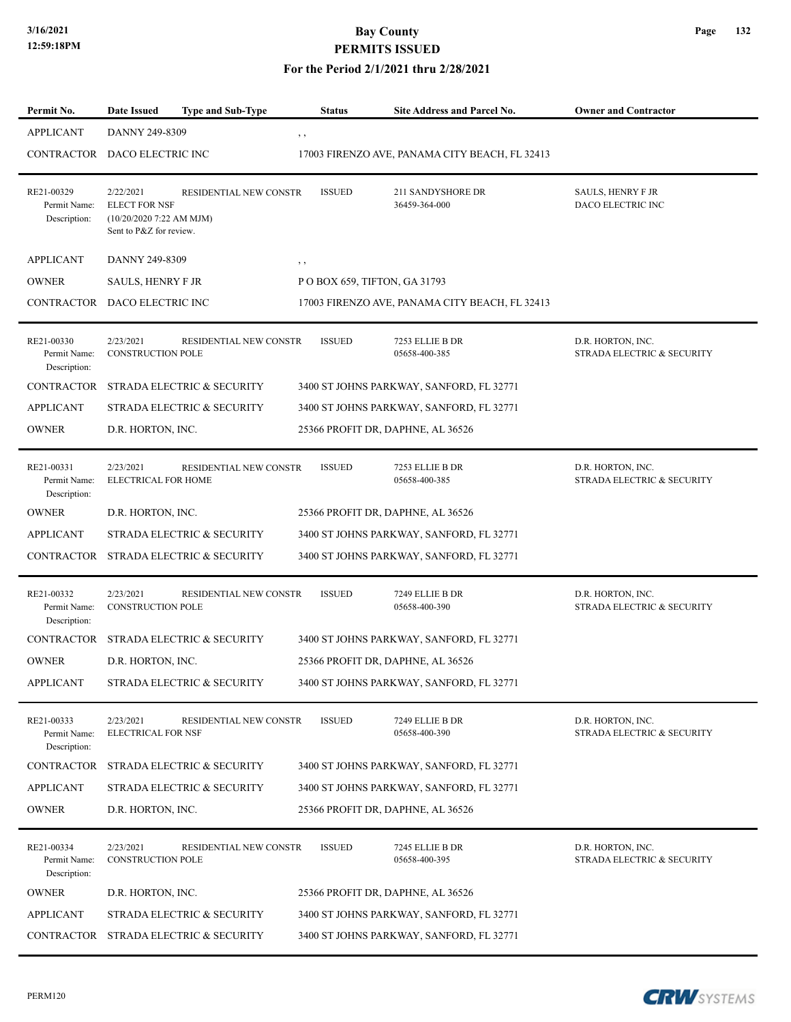### **For the Period 2/1/2021 thru 2/28/2021**

| Permit No.                                 | <b>Date Issued</b>                                                                        | <b>Type and Sub-Type</b>   | <b>Status</b> | Site Address and Parcel No.                    | <b>Owner and Contractor</b>                     |
|--------------------------------------------|-------------------------------------------------------------------------------------------|----------------------------|---------------|------------------------------------------------|-------------------------------------------------|
| <b>APPLICANT</b>                           | DANNY 249-8309                                                                            |                            | $, \, , \,$   |                                                |                                                 |
| CONTRACTOR                                 | DACO ELECTRIC INC                                                                         |                            |               | 17003 FIRENZO AVE, PANAMA CITY BEACH, FL 32413 |                                                 |
| RE21-00329<br>Permit Name:<br>Description: | 2/22/2021<br><b>ELECT FOR NSF</b><br>$(10/20/20207:22$ AM MJM)<br>Sent to P&Z for review. | RESIDENTIAL NEW CONSTR     | <b>ISSUED</b> | 211 SANDYSHORE DR<br>36459-364-000             | <b>SAULS, HENRY F JR</b><br>DACO ELECTRIC INC   |
| <b>APPLICANT</b>                           | DANNY 249-8309                                                                            |                            | , ,           |                                                |                                                 |
| <b>OWNER</b>                               | SAULS, HENRY F JR                                                                         |                            |               | POBOX 659, TIFTON, GA 31793                    |                                                 |
| CONTRACTOR DACO ELECTRIC INC               |                                                                                           |                            |               | 17003 FIRENZO AVE, PANAMA CITY BEACH, FL 32413 |                                                 |
| RE21-00330<br>Permit Name:<br>Description: | 2/23/2021<br><b>CONSTRUCTION POLE</b>                                                     | RESIDENTIAL NEW CONSTR     | <b>ISSUED</b> | 7253 ELLIE B DR<br>05658-400-385               | D.R. HORTON, INC.<br>STRADA ELECTRIC & SECURITY |
| <b>CONTRACTOR</b>                          |                                                                                           | STRADA ELECTRIC & SECURITY |               | 3400 ST JOHNS PARKWAY, SANFORD, FL 32771       |                                                 |
| <b>APPLICANT</b>                           |                                                                                           | STRADA ELECTRIC & SECURITY |               | 3400 ST JOHNS PARKWAY, SANFORD, FL 32771       |                                                 |
| <b>OWNER</b>                               | D.R. HORTON, INC.                                                                         |                            |               | 25366 PROFIT DR, DAPHNE, AL 36526              |                                                 |
| RE21-00331<br>Permit Name:<br>Description: | 2/23/2021<br>ELECTRICAL FOR HOME                                                          | RESIDENTIAL NEW CONSTR     | <b>ISSUED</b> | 7253 ELLIE B DR<br>05658-400-385               | D.R. HORTON, INC.<br>STRADA ELECTRIC & SECURITY |
| <b>OWNER</b>                               | D.R. HORTON, INC.                                                                         |                            |               | 25366 PROFIT DR, DAPHNE, AL 36526              |                                                 |
| <b>APPLICANT</b>                           |                                                                                           | STRADA ELECTRIC & SECURITY |               | 3400 ST JOHNS PARKWAY, SANFORD, FL 32771       |                                                 |
| CONTRACTOR                                 |                                                                                           | STRADA ELECTRIC & SECURITY |               | 3400 ST JOHNS PARKWAY, SANFORD, FL 32771       |                                                 |
| RE21-00332<br>Permit Name:<br>Description: | 2/23/2021<br><b>CONSTRUCTION POLE</b>                                                     | RESIDENTIAL NEW CONSTR     | <b>ISSUED</b> | 7249 ELLIE B DR<br>05658-400-390               | D.R. HORTON, INC.<br>STRADA ELECTRIC & SECURITY |
| <b>CONTRACTOR</b>                          |                                                                                           | STRADA ELECTRIC & SECURITY |               | 3400 ST JOHNS PARKWAY, SANFORD, FL 32771       |                                                 |
| <b>OWNER</b>                               | D.R. HORTON, INC.                                                                         |                            |               | 25366 PROFIT DR, DAPHNE, AL 36526              |                                                 |
| <b>APPLICANT</b>                           |                                                                                           | STRADA ELECTRIC & SECURITY |               | 3400 ST JOHNS PARKWAY, SANFORD, FL 32771       |                                                 |
| RE21-00333<br>Permit Name:<br>Description: | 2/23/2021<br><b>ELECTRICAL FOR NSF</b>                                                    | RESIDENTIAL NEW CONSTR     | <b>ISSUED</b> | 7249 ELLIE B DR<br>05658-400-390               | D.R. HORTON, INC.<br>STRADA ELECTRIC & SECURITY |
| <b>CONTRACTOR</b>                          |                                                                                           | STRADA ELECTRIC & SECURITY |               | 3400 ST JOHNS PARKWAY, SANFORD, FL 32771       |                                                 |
| <b>APPLICANT</b>                           |                                                                                           | STRADA ELECTRIC & SECURITY |               | 3400 ST JOHNS PARKWAY, SANFORD, FL 32771       |                                                 |
| <b>OWNER</b>                               | D.R. HORTON, INC.                                                                         |                            |               | 25366 PROFIT DR, DAPHNE, AL 36526              |                                                 |
| RE21-00334<br>Permit Name:<br>Description: | 2/23/2021<br><b>CONSTRUCTION POLE</b>                                                     | RESIDENTIAL NEW CONSTR     | <b>ISSUED</b> | 7245 ELLIE B DR<br>05658-400-395               | D.R. HORTON, INC.<br>STRADA ELECTRIC & SECURITY |
| <b>OWNER</b>                               | D.R. HORTON, INC.                                                                         |                            |               | 25366 PROFIT DR, DAPHNE, AL 36526              |                                                 |
| <b>APPLICANT</b>                           |                                                                                           | STRADA ELECTRIC & SECURITY |               | 3400 ST JOHNS PARKWAY, SANFORD, FL 32771       |                                                 |
| CONTRACTOR                                 |                                                                                           | STRADA ELECTRIC & SECURITY |               | 3400 ST JOHNS PARKWAY, SANFORD, FL 32771       |                                                 |

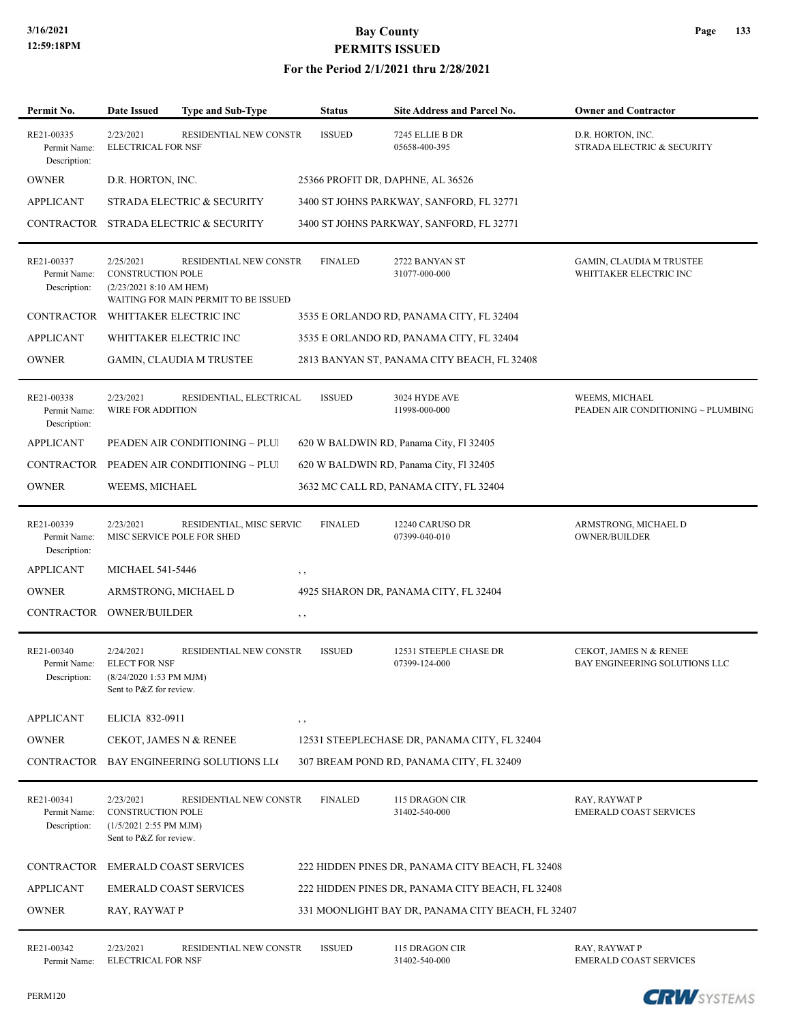### **For the Period 2/1/2021 thru 2/28/2021**

| Permit No.                                 | <b>Date Issued</b>                                                                         | <b>Type and Sub-Type</b>                                              | <b>Status</b>  | <b>Site Address and Parcel No.</b>                | <b>Owner and Contractor</b>                               |
|--------------------------------------------|--------------------------------------------------------------------------------------------|-----------------------------------------------------------------------|----------------|---------------------------------------------------|-----------------------------------------------------------|
| RE21-00335<br>Permit Name:<br>Description: | 2/23/2021<br><b>ELECTRICAL FOR NSF</b>                                                     | RESIDENTIAL NEW CONSTR                                                | <b>ISSUED</b>  | 7245 ELLIE B DR<br>05658-400-395                  | D.R. HORTON, INC.<br>STRADA ELECTRIC & SECURITY           |
| <b>OWNER</b>                               | D.R. HORTON, INC.                                                                          |                                                                       |                | 25366 PROFIT DR, DAPHNE, AL 36526                 |                                                           |
| <b>APPLICANT</b>                           |                                                                                            | STRADA ELECTRIC & SECURITY                                            |                | 3400 ST JOHNS PARKWAY, SANFORD, FL 32771          |                                                           |
| CONTRACTOR                                 |                                                                                            | STRADA ELECTRIC & SECURITY                                            |                | 3400 ST JOHNS PARKWAY, SANFORD, FL 32771          |                                                           |
| RE21-00337<br>Permit Name:<br>Description: | 2/25/2021<br><b>CONSTRUCTION POLE</b><br>(2/23/2021 8:10 AM HEM)                           | <b>RESIDENTIAL NEW CONSTR</b><br>WAITING FOR MAIN PERMIT TO BE ISSUED | <b>FINALED</b> | 2722 BANYAN ST<br>31077-000-000                   | <b>GAMIN, CLAUDIA M TRUSTEE</b><br>WHITTAKER ELECTRIC INC |
| <b>CONTRACTOR</b>                          |                                                                                            | WHITTAKER ELECTRIC INC                                                |                | 3535 E ORLANDO RD, PANAMA CITY, FL 32404          |                                                           |
| <b>APPLICANT</b>                           |                                                                                            | WHITTAKER ELECTRIC INC                                                |                | 3535 E ORLANDO RD, PANAMA CITY, FL 32404          |                                                           |
| <b>OWNER</b>                               |                                                                                            | <b>GAMIN, CLAUDIA M TRUSTEE</b>                                       |                | 2813 BANYAN ST, PANAMA CITY BEACH, FL 32408       |                                                           |
| RE21-00338<br>Permit Name:<br>Description: | 2/23/2021<br>WIRE FOR ADDITION                                                             | RESIDENTIAL, ELECTRICAL                                               | <b>ISSUED</b>  | 3024 HYDE AVE<br>11998-000-000                    | WEEMS, MICHAEL<br>PEADEN AIR CONDITIONING ~ PLUMBING      |
| <b>APPLICANT</b>                           |                                                                                            | PEADEN AIR CONDITIONING ~ PLUI                                        |                | 620 W BALDWIN RD, Panama City, Fl 32405           |                                                           |
| CONTRACTOR                                 |                                                                                            | PEADEN AIR CONDITIONING ~ PLUI                                        |                | 620 W BALDWIN RD, Panama City, Fl 32405           |                                                           |
| <b>OWNER</b>                               | WEEMS, MICHAEL                                                                             |                                                                       |                | 3632 MC CALL RD, PANAMA CITY, FL 32404            |                                                           |
| RE21-00339<br>Permit Name:<br>Description: | 2/23/2021                                                                                  | RESIDENTIAL, MISC SERVIC<br>MISC SERVICE POLE FOR SHED                | <b>FINALED</b> | 12240 CARUSO DR<br>07399-040-010                  | ARMSTRONG, MICHAEL D<br><b>OWNER/BUILDER</b>              |
| <b>APPLICANT</b>                           | <b>MICHAEL 541-5446</b>                                                                    |                                                                       | , ,            |                                                   |                                                           |
| <b>OWNER</b>                               |                                                                                            | ARMSTRONG, MICHAEL D                                                  |                | 4925 SHARON DR, PANAMA CITY, FL 32404             |                                                           |
| CONTRACTOR                                 | <b>OWNER/BUILDER</b>                                                                       |                                                                       | , ,            |                                                   |                                                           |
| RE21-00340<br>Permit Name:<br>Description: | 2/24/2021<br><b>ELECT FOR NSF</b><br>(8/24/2020 1:53 PM MJM)<br>Sent to P&Z for review.    | RESIDENTIAL NEW CONSTR                                                | <b>ISSUED</b>  | 12531 STEEPLE CHASE DR<br>07399-124-000           | CEKOT, JAMES N & RENEE<br>BAY ENGINEERING SOLUTIONS LLC   |
| <b>APPLICANT</b>                           | ELICIA 832-0911                                                                            |                                                                       | $, \, \cdot$   |                                                   |                                                           |
| <b>OWNER</b>                               |                                                                                            | CEKOT, JAMES N & RENEE                                                |                | 12531 STEEPLECHASE DR, PANAMA CITY, FL 32404      |                                                           |
| CONTRACTOR                                 |                                                                                            | BAY ENGINEERING SOLUTIONS LLO                                         |                | 307 BREAM POND RD, PANAMA CITY, FL 32409          |                                                           |
| RE21-00341<br>Permit Name:<br>Description: | 2/23/2021<br><b>CONSTRUCTION POLE</b><br>(1/5/2021 2:55 PM MJM)<br>Sent to P&Z for review. | RESIDENTIAL NEW CONSTR                                                | <b>FINALED</b> | 115 DRAGON CIR<br>31402-540-000                   | RAY, RAYWAT P<br><b>EMERALD COAST SERVICES</b>            |
|                                            |                                                                                            | CONTRACTOR EMERALD COAST SERVICES                                     |                | 222 HIDDEN PINES DR, PANAMA CITY BEACH, FL 32408  |                                                           |
| <b>APPLICANT</b>                           |                                                                                            | <b>EMERALD COAST SERVICES</b>                                         |                | 222 HIDDEN PINES DR, PANAMA CITY BEACH, FL 32408  |                                                           |
| <b>OWNER</b>                               | RAY, RAYWAT P                                                                              |                                                                       |                | 331 MOONLIGHT BAY DR, PANAMA CITY BEACH, FL 32407 |                                                           |
| RE21-00342<br>Permit Name:                 | 2/23/2021<br><b>ELECTRICAL FOR NSF</b>                                                     | RESIDENTIAL NEW CONSTR                                                | <b>ISSUED</b>  | 115 DRAGON CIR<br>31402-540-000                   | RAY, RAYWAT P<br>EMERALD COAST SERVICES                   |

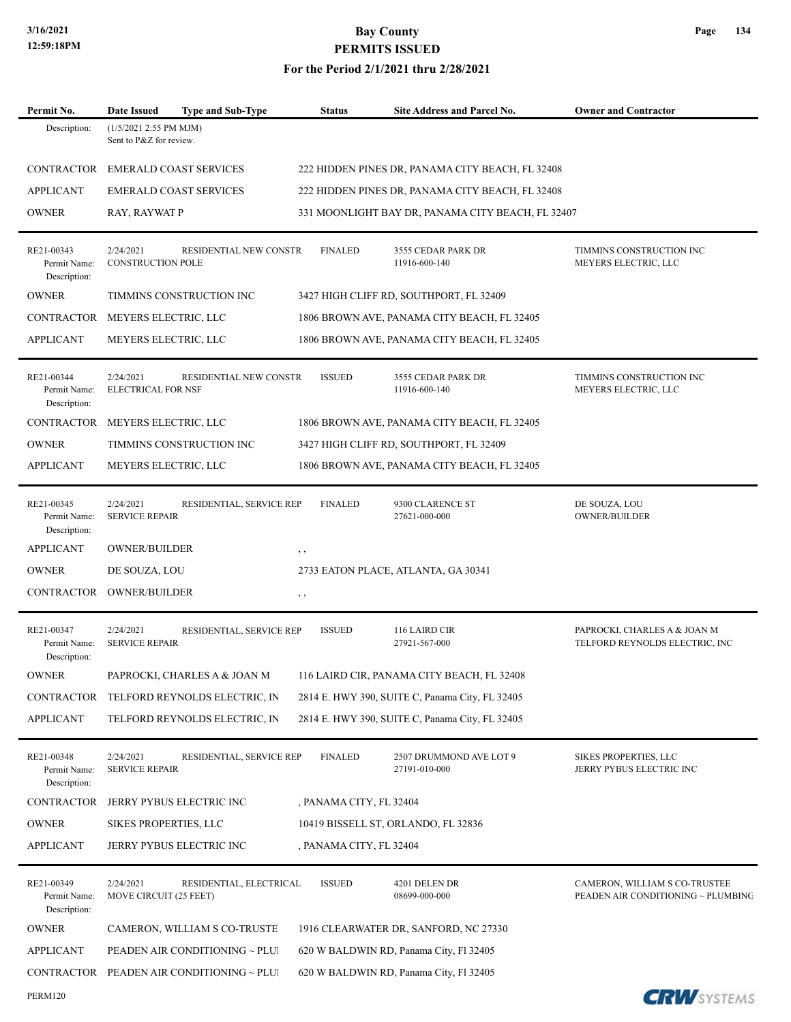**Page 134**

| Permit No.                                 | Date Issued<br><b>Type and Sub-Type</b>                          | <b>Status</b>           | <b>Site Address and Parcel No.</b>                | <b>Owner and Contractor</b>                                         |
|--------------------------------------------|------------------------------------------------------------------|-------------------------|---------------------------------------------------|---------------------------------------------------------------------|
| Description:                               | (1/5/2021 2:55 PM MJM)<br>Sent to P&Z for review.                |                         |                                                   |                                                                     |
|                                            | CONTRACTOR EMERALD COAST SERVICES                                |                         | 222 HIDDEN PINES DR, PANAMA CITY BEACH, FL 32408  |                                                                     |
| <b>APPLICANT</b>                           | <b>EMERALD COAST SERVICES</b>                                    |                         | 222 HIDDEN PINES DR, PANAMA CITY BEACH, FL 32408  |                                                                     |
| <b>OWNER</b>                               | RAY, RAYWAT P                                                    |                         | 331 MOONLIGHT BAY DR, PANAMA CITY BEACH, FL 32407 |                                                                     |
| RE21-00343<br>Permit Name:<br>Description: | 2/24/2021<br>RESIDENTIAL NEW CONSTR<br><b>CONSTRUCTION POLE</b>  | <b>FINALED</b>          | 3555 CEDAR PARK DR<br>11916-600-140               | TIMMINS CONSTRUCTION INC<br>MEYERS ELECTRIC, LLC                    |
| <b>OWNER</b>                               | TIMMINS CONSTRUCTION INC                                         |                         | 3427 HIGH CLIFF RD, SOUTHPORT, FL 32409           |                                                                     |
| CONTRACTOR                                 | MEYERS ELECTRIC, LLC                                             |                         | 1806 BROWN AVE, PANAMA CITY BEACH, FL 32405       |                                                                     |
| <b>APPLICANT</b>                           | MEYERS ELECTRIC, LLC                                             |                         | 1806 BROWN AVE, PANAMA CITY BEACH, FL 32405       |                                                                     |
| RE21-00344<br>Permit Name:<br>Description: | 2/24/2021<br>RESIDENTIAL NEW CONSTR<br><b>ELECTRICAL FOR NSF</b> | <b>ISSUED</b>           | 3555 CEDAR PARK DR<br>11916-600-140               | TIMMINS CONSTRUCTION INC<br>MEYERS ELECTRIC, LLC                    |
| CONTRACTOR                                 | MEYERS ELECTRIC, LLC                                             |                         | 1806 BROWN AVE, PANAMA CITY BEACH, FL 32405       |                                                                     |
| <b>OWNER</b>                               | TIMMINS CONSTRUCTION INC                                         |                         | 3427 HIGH CLIFF RD, SOUTHPORT, FL 32409           |                                                                     |
| <b>APPLICANT</b>                           | MEYERS ELECTRIC, LLC                                             |                         | 1806 BROWN AVE, PANAMA CITY BEACH, FL 32405       |                                                                     |
| RE21-00345<br>Permit Name:<br>Description: | 2/24/2021<br>RESIDENTIAL, SERVICE REP<br><b>SERVICE REPAIR</b>   | <b>FINALED</b>          | 9300 CLARENCE ST<br>27621-000-000                 | DE SOUZA, LOU<br><b>OWNER/BUILDER</b>                               |
| <b>APPLICANT</b>                           | <b>OWNER/BUILDER</b>                                             | $, \, , \,$             |                                                   |                                                                     |
| <b>OWNER</b>                               | DE SOUZA, LOU                                                    |                         | 2733 EATON PLACE, ATLANTA, GA 30341               |                                                                     |
| CONTRACTOR                                 | <b>OWNER/BUILDER</b>                                             | $, \, \,$               |                                                   |                                                                     |
| RE21-00347<br>Permit Name:<br>Description: | 2/24/2021<br>RESIDENTIAL, SERVICE REP<br><b>SERVICE REPAIR</b>   | <b>ISSUED</b>           | 116 LAIRD CIR<br>27921-567-000                    | PAPROCKI, CHARLES A & JOAN M<br>TELFORD REYNOLDS ELECTRIC, INC      |
| <b>OWNER</b>                               | PAPROCKI, CHARLES A & JOAN M                                     |                         | 116 LAIRD CIR, PANAMA CITY BEACH, FL 32408        |                                                                     |
| CONTRACTOR                                 | TELFORD REYNOLDS ELECTRIC, IN                                    |                         | 2814 E. HWY 390, SUITE C, Panama City, FL 32405   |                                                                     |
| <b>APPLICANT</b>                           | TELFORD REYNOLDS ELECTRIC, IN                                    |                         | 2814 E. HWY 390, SUITE C, Panama City, FL 32405   |                                                                     |
| RE21-00348<br>Permit Name:<br>Description: | 2/24/2021<br>RESIDENTIAL, SERVICE REP<br><b>SERVICE REPAIR</b>   | <b>FINALED</b>          | 2507 DRUMMOND AVE LOT 9<br>27191-010-000          | SIKES PROPERTIES, LLC<br>JERRY PYBUS ELECTRIC INC                   |
| CONTRACTOR                                 | JERRY PYBUS ELECTRIC INC                                         | , PANAMA CITY, FL 32404 |                                                   |                                                                     |
| <b>OWNER</b>                               | SIKES PROPERTIES, LLC                                            |                         | 10419 BISSELL ST, ORLANDO, FL 32836               |                                                                     |
| <b>APPLICANT</b>                           | JERRY PYBUS ELECTRIC INC                                         | , PANAMA CITY, FL 32404 |                                                   |                                                                     |
| RE21-00349<br>Permit Name:<br>Description: | 2/24/2021<br>RESIDENTIAL, ELECTRICAL<br>MOVE CIRCUIT (25 FEET)   | <b>ISSUED</b>           | 4201 DELEN DR<br>08699-000-000                    | CAMERON, WILLIAM S CO-TRUSTEE<br>PEADEN AIR CONDITIONING ~ PLUMBING |
| <b>OWNER</b>                               | CAMERON, WILLIAM S CO-TRUSTE                                     |                         | 1916 CLEARWATER DR, SANFORD, NC 27330             |                                                                     |
| <b>APPLICANT</b>                           | PEADEN AIR CONDITIONING ~ PLUI                                   |                         | 620 W BALDWIN RD, Panama City, Fl 32405           |                                                                     |
| CONTRACTOR                                 | PEADEN AIR CONDITIONING ~ PLUI                                   |                         | 620 W BALDWIN RD, Panama City, Fl 32405           |                                                                     |
| PERM120                                    |                                                                  |                         |                                                   | <b>CRW</b> SYSTEMS                                                  |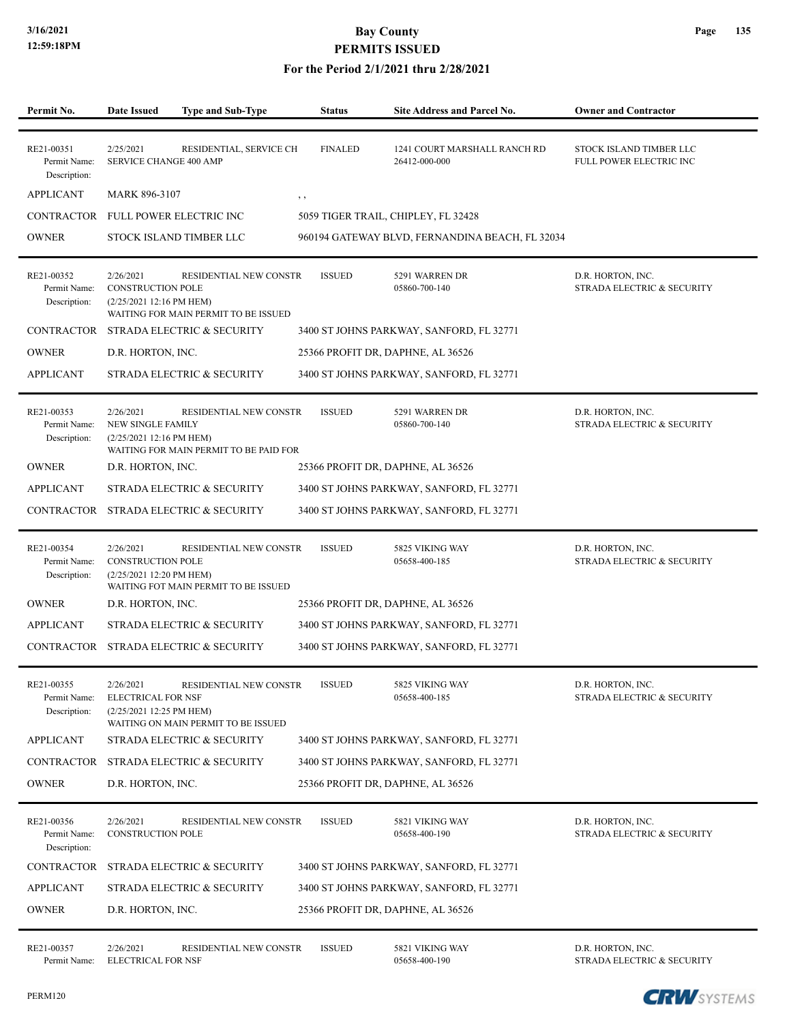### **For the Period 2/1/2021 thru 2/28/2021**

| Permit No.                                 | <b>Date Issued</b>                                                 | Type and Sub-Type                                                     | <b>Status</b>  | Site Address and Parcel No.                     | <b>Owner and Contractor</b>                        |
|--------------------------------------------|--------------------------------------------------------------------|-----------------------------------------------------------------------|----------------|-------------------------------------------------|----------------------------------------------------|
|                                            |                                                                    |                                                                       |                |                                                 |                                                    |
| RE21-00351<br>Permit Name:<br>Description: | 2/25/2021<br>SERVICE CHANGE 400 AMP                                | RESIDENTIAL, SERVICE CH                                               | <b>FINALED</b> | 1241 COURT MARSHALL RANCH RD<br>26412-000-000   | STOCK ISLAND TIMBER LLC<br>FULL POWER ELECTRIC INC |
| <b>APPLICANT</b>                           | <b>MARK 896-3107</b>                                               |                                                                       | $, \, \,$      |                                                 |                                                    |
| CONTRACTOR                                 |                                                                    | FULL POWER ELECTRIC INC                                               |                | 5059 TIGER TRAIL, CHIPLEY, FL 32428             |                                                    |
| <b>OWNER</b>                               |                                                                    | STOCK ISLAND TIMBER LLC                                               |                | 960194 GATEWAY BLVD, FERNANDINA BEACH, FL 32034 |                                                    |
| RE21-00352<br>Permit Name:<br>Description: | 2/26/2021<br><b>CONSTRUCTION POLE</b><br>(2/25/2021 12:16 PM HEM)  | <b>RESIDENTIAL NEW CONSTR</b><br>WAITING FOR MAIN PERMIT TO BE ISSUED | <b>ISSUED</b>  | 5291 WARREN DR<br>05860-700-140                 | D.R. HORTON, INC.<br>STRADA ELECTRIC & SECURITY    |
|                                            |                                                                    | CONTRACTOR STRADA ELECTRIC & SECURITY                                 |                | 3400 ST JOHNS PARKWAY, SANFORD, FL 32771        |                                                    |
| <b>OWNER</b>                               | D.R. HORTON, INC.                                                  |                                                                       |                | 25366 PROFIT DR, DAPHNE, AL 36526               |                                                    |
| <b>APPLICANT</b>                           |                                                                    | STRADA ELECTRIC & SECURITY                                            |                | 3400 ST JOHNS PARKWAY, SANFORD, FL 32771        |                                                    |
| RE21-00353<br>Permit Name:<br>Description: | 2/26/2021<br><b>NEW SINGLE FAMILY</b><br>(2/25/2021 12:16 PM HEM)  | RESIDENTIAL NEW CONSTR<br>WAITING FOR MAIN PERMIT TO BE PAID FOR      | <b>ISSUED</b>  | 5291 WARREN DR<br>05860-700-140                 | D.R. HORTON, INC.<br>STRADA ELECTRIC & SECURITY    |
| <b>OWNER</b>                               | D.R. HORTON, INC.                                                  |                                                                       |                | 25366 PROFIT DR, DAPHNE, AL 36526               |                                                    |
| <b>APPLICANT</b>                           |                                                                    | STRADA ELECTRIC & SECURITY                                            |                | 3400 ST JOHNS PARKWAY, SANFORD, FL 32771        |                                                    |
| CONTRACTOR                                 |                                                                    | STRADA ELECTRIC & SECURITY                                            |                | 3400 ST JOHNS PARKWAY, SANFORD, FL 32771        |                                                    |
| RE21-00354<br>Permit Name:<br>Description: | 2/26/2021<br><b>CONSTRUCTION POLE</b><br>(2/25/2021 12:20 PM HEM)  | RESIDENTIAL NEW CONSTR<br>WAITING FOT MAIN PERMIT TO BE ISSUED        | <b>ISSUED</b>  | 5825 VIKING WAY<br>05658-400-185                | D.R. HORTON, INC.<br>STRADA ELECTRIC & SECURITY    |
| <b>OWNER</b>                               | D.R. HORTON, INC.                                                  |                                                                       |                | 25366 PROFIT DR, DAPHNE, AL 36526               |                                                    |
| <b>APPLICANT</b>                           |                                                                    | STRADA ELECTRIC & SECURITY                                            |                | 3400 ST JOHNS PARKWAY, SANFORD, FL 32771        |                                                    |
|                                            |                                                                    | CONTRACTOR STRADA ELECTRIC & SECURITY                                 |                | 3400 ST JOHNS PARKWAY, SANFORD, FL 32771        |                                                    |
| RE21-00355<br>Permit Name:<br>Description: | 2/26/2021<br><b>ELECTRICAL FOR NSF</b><br>(2/25/2021 12:25 PM HEM) | RESIDENTIAL NEW CONSTR<br>WAITING ON MAIN PERMIT TO BE ISSUED         | <b>ISSUED</b>  | 5825 VIKING WAY<br>05658-400-185                | D.R. HORTON, INC.<br>STRADA ELECTRIC & SECURITY    |
| <b>APPLICANT</b>                           |                                                                    | STRADA ELECTRIC & SECURITY                                            |                | 3400 ST JOHNS PARKWAY, SANFORD, FL 32771        |                                                    |
| <b>CONTRACTOR</b>                          |                                                                    | STRADA ELECTRIC & SECURITY                                            |                | 3400 ST JOHNS PARKWAY, SANFORD, FL 32771        |                                                    |
| <b>OWNER</b>                               | D.R. HORTON, INC.                                                  |                                                                       |                | 25366 PROFIT DR, DAPHNE, AL 36526               |                                                    |
| RE21-00356<br>Permit Name:<br>Description: | 2/26/2021<br><b>CONSTRUCTION POLE</b>                              | RESIDENTIAL NEW CONSTR                                                | <b>ISSUED</b>  | 5821 VIKING WAY<br>05658-400-190                | D.R. HORTON, INC.<br>STRADA ELECTRIC & SECURITY    |
| <b>CONTRACTOR</b>                          |                                                                    | STRADA ELECTRIC & SECURITY                                            |                | 3400 ST JOHNS PARKWAY, SANFORD, FL 32771        |                                                    |
| <b>APPLICANT</b>                           |                                                                    | STRADA ELECTRIC & SECURITY                                            |                | 3400 ST JOHNS PARKWAY, SANFORD, FL 32771        |                                                    |
| <b>OWNER</b>                               | D.R. HORTON, INC.                                                  |                                                                       |                | 25366 PROFIT DR, DAPHNE, AL 36526               |                                                    |
| RE21-00357<br>Permit Name:                 | 2/26/2021<br>ELECTRICAL FOR NSF                                    | <b>RESIDENTIAL NEW CONSTR</b>                                         | <b>ISSUED</b>  | 5821 VIKING WAY<br>05658-400-190                | D.R. HORTON, INC.<br>STRADA ELECTRIC & SECURITY    |

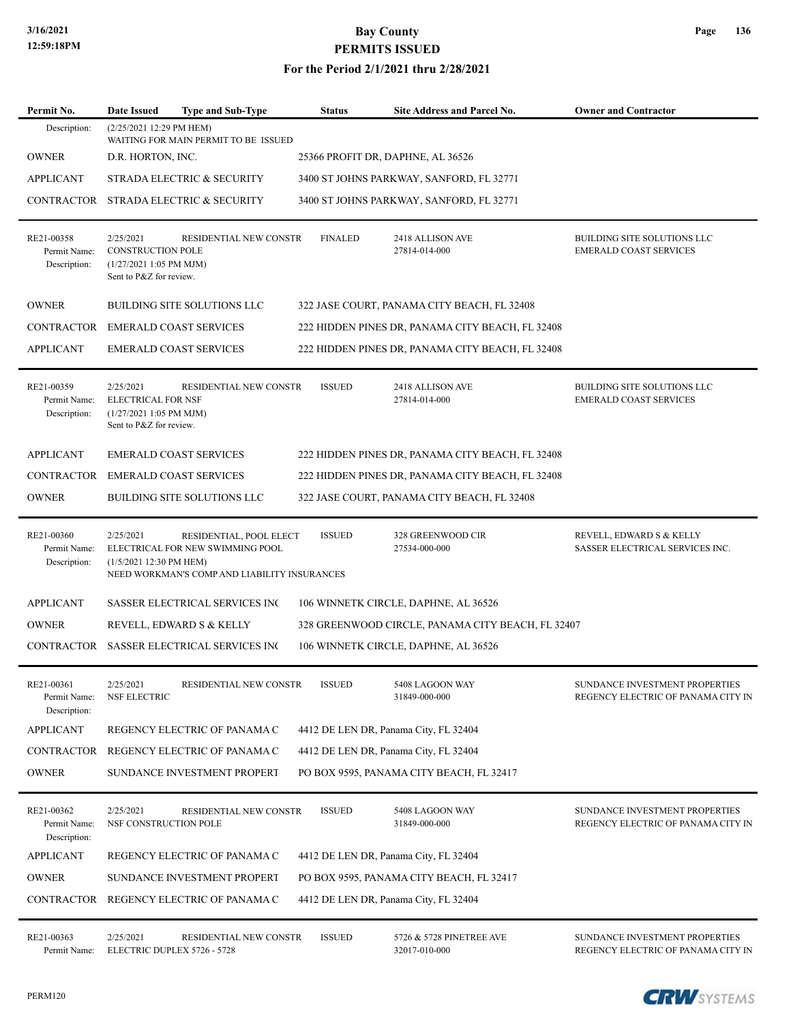#### **For the Period 2/1/2021 thru 2/28/2021**

| Permit No.                                 | <b>Type and Sub-Type</b><br>Date Issued                                                                                                             | <b>Status</b>  | <b>Site Address and Parcel No.</b>                | <b>Owner and Contractor</b>                                          |
|--------------------------------------------|-----------------------------------------------------------------------------------------------------------------------------------------------------|----------------|---------------------------------------------------|----------------------------------------------------------------------|
| Description:                               | (2/25/2021 12:29 PM HEM)<br>WAITING FOR MAIN PERMIT TO BE ISSUED                                                                                    |                |                                                   |                                                                      |
| <b>OWNER</b>                               | D.R. HORTON, INC.                                                                                                                                   |                | 25366 PROFIT DR, DAPHNE, AL 36526                 |                                                                      |
| <b>APPLICANT</b>                           | STRADA ELECTRIC & SECURITY                                                                                                                          |                | 3400 ST JOHNS PARKWAY, SANFORD, FL 32771          |                                                                      |
| CONTRACTOR                                 | STRADA ELECTRIC & SECURITY                                                                                                                          |                | 3400 ST JOHNS PARKWAY, SANFORD, FL 32771          |                                                                      |
| RE21-00358<br>Permit Name:<br>Description: | 2/25/2021<br>RESIDENTIAL NEW CONSTR<br><b>CONSTRUCTION POLE</b><br>$(1/27/20211:05$ PM MJM)<br>Sent to P&Z for review.                              | <b>FINALED</b> | 2418 ALLISON AVE<br>27814-014-000                 | BUILDING SITE SOLUTIONS LLC<br><b>EMERALD COAST SERVICES</b>         |
| <b>OWNER</b>                               | BUILDING SITE SOLUTIONS LLC                                                                                                                         |                | 322 JASE COURT, PANAMA CITY BEACH, FL 32408       |                                                                      |
| CONTRACTOR                                 | <b>EMERALD COAST SERVICES</b>                                                                                                                       |                | 222 HIDDEN PINES DR, PANAMA CITY BEACH, FL 32408  |                                                                      |
| <b>APPLICANT</b>                           | <b>EMERALD COAST SERVICES</b>                                                                                                                       |                | 222 HIDDEN PINES DR, PANAMA CITY BEACH, FL 32408  |                                                                      |
| RE21-00359<br>Permit Name:<br>Description: | 2/25/2021<br>RESIDENTIAL NEW CONSTR<br><b>ELECTRICAL FOR NSF</b><br>$(1/27/20211:05$ PM MJM)<br>Sent to P&Z for review.                             | <b>ISSUED</b>  | 2418 ALLISON AVE<br>27814-014-000                 | BUILDING SITE SOLUTIONS LLC<br><b>EMERALD COAST SERVICES</b>         |
| <b>APPLICANT</b>                           | <b>EMERALD COAST SERVICES</b>                                                                                                                       |                | 222 HIDDEN PINES DR, PANAMA CITY BEACH, FL 32408  |                                                                      |
| CONTRACTOR                                 | <b>EMERALD COAST SERVICES</b>                                                                                                                       |                | 222 HIDDEN PINES DR, PANAMA CITY BEACH, FL 32408  |                                                                      |
| <b>OWNER</b>                               | BUILDING SITE SOLUTIONS LLC                                                                                                                         |                | 322 JASE COURT, PANAMA CITY BEACH, FL 32408       |                                                                      |
| RE21-00360<br>Permit Name:<br>Description: | RESIDENTIAL, POOL ELECT<br>2/25/2021<br>ELECTRICAL FOR NEW SWIMMING POOL<br>(1/5/2021 12:30 PM HEM)<br>NEED WORKMAN'S COMP AND LIABILITY INSURANCES | <b>ISSUED</b>  | 328 GREENWOOD CIR<br>27534-000-000                | REVELL, EDWARD S & KELLY<br>SASSER ELECTRICAL SERVICES INC.          |
| <b>APPLICANT</b>                           | <b>SASSER ELECTRICAL SERVICES INC</b>                                                                                                               |                | 106 WINNETK CIRCLE, DAPHNE, AL 36526              |                                                                      |
| <b>OWNER</b>                               | REVELL, EDWARD S & KELLY                                                                                                                            |                | 328 GREENWOOD CIRCLE, PANAMA CITY BEACH, FL 32407 |                                                                      |
|                                            | CONTRACTOR SASSER ELECTRICAL SERVICES INC                                                                                                           |                | 106 WINNETK CIRCLE, DAPHNE, AL 36526              |                                                                      |
| RE21-00361<br>Permit Name:<br>Description: | 2/25/2021<br>RESIDENTIAL NEW CONSTR<br>NSF ELECTRIC                                                                                                 | <b>ISSUED</b>  | 5408 LAGOON WAY<br>31849-000-000                  | SUNDANCE INVESTMENT PROPERTIES<br>REGENCY ELECTRIC OF PANAMA CITY IN |
| <b>APPLICANT</b>                           | REGENCY ELECTRIC OF PANAMA C                                                                                                                        |                | 4412 DE LEN DR, Panama City, FL 32404             |                                                                      |
| CONTRACTOR                                 | REGENCY ELECTRIC OF PANAMA C                                                                                                                        |                | 4412 DE LEN DR, Panama City, FL 32404             |                                                                      |
| <b>OWNER</b>                               | SUNDANCE INVESTMENT PROPERT                                                                                                                         |                | PO BOX 9595, PANAMA CITY BEACH, FL 32417          |                                                                      |
| RE21-00362<br>Permit Name:<br>Description: | 2/25/2021<br>RESIDENTIAL NEW CONSTR<br>NSF CONSTRUCTION POLE                                                                                        | <b>ISSUED</b>  | 5408 LAGOON WAY<br>31849-000-000                  | SUNDANCE INVESTMENT PROPERTIES<br>REGENCY ELECTRIC OF PANAMA CITY IN |
| <b>APPLICANT</b>                           | REGENCY ELECTRIC OF PANAMA C                                                                                                                        |                | 4412 DE LEN DR, Panama City, FL 32404             |                                                                      |
| <b>OWNER</b>                               | SUNDANCE INVESTMENT PROPERT                                                                                                                         |                | PO BOX 9595, PANAMA CITY BEACH, FL 32417          |                                                                      |
| CONTRACTOR                                 | REGENCY ELECTRIC OF PANAMA C                                                                                                                        |                | 4412 DE LEN DR, Panama City, FL 32404             |                                                                      |
| RE21-00363                                 | 2/25/2021<br>RESIDENTIAL NEW CONSTR                                                                                                                 | <b>ISSUED</b>  | 5726 & 5728 PINETREE AVE                          | SUNDANCE INVESTMENT PROPERTIES                                       |

Permit Name: ELECTRIC DUPLEX 5726 - 5728 32017-010-000 32017-010-000 REGENCY ELECTRIC OF PANAMA CITY IN



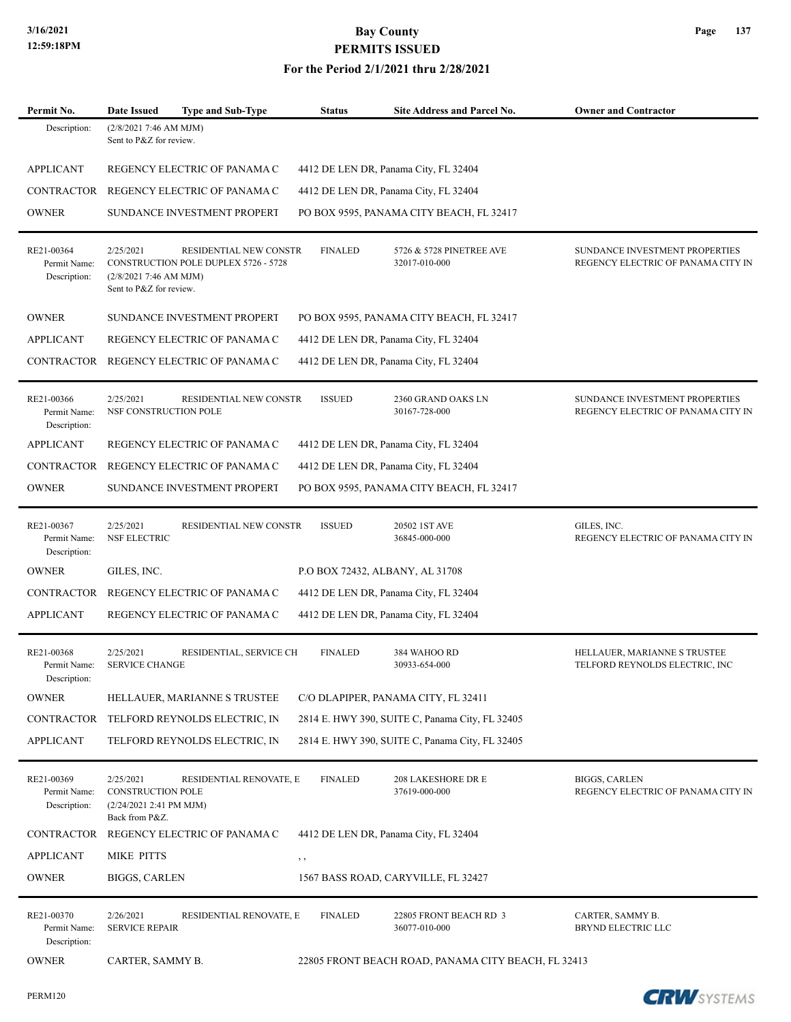| Permit No.                                 | <b>Date Issued</b><br><b>Type and Sub-Type</b>                                                                                   | <b>Status</b>  | <b>Site Address and Parcel No.</b>                  | <b>Owner and Contractor</b>                                          |
|--------------------------------------------|----------------------------------------------------------------------------------------------------------------------------------|----------------|-----------------------------------------------------|----------------------------------------------------------------------|
| Description:                               | (2/8/20217:46 AM MJM)<br>Sent to P&Z for review.                                                                                 |                |                                                     |                                                                      |
| <b>APPLICANT</b>                           | REGENCY ELECTRIC OF PANAMA C                                                                                                     |                | 4412 DE LEN DR, Panama City, FL 32404               |                                                                      |
| <b>CONTRACTOR</b>                          | REGENCY ELECTRIC OF PANAMA C                                                                                                     |                | 4412 DE LEN DR, Panama City, FL 32404               |                                                                      |
| <b>OWNER</b>                               | SUNDANCE INVESTMENT PROPERT                                                                                                      |                | PO BOX 9595, PANAMA CITY BEACH, FL 32417            |                                                                      |
| RE21-00364<br>Permit Name:<br>Description: | 2/25/2021<br>RESIDENTIAL NEW CONSTR<br>CONSTRUCTION POLE DUPLEX 5726 - 5728<br>(2/8/2021 7:46 AM MJM)<br>Sent to P&Z for review. | <b>FINALED</b> | 5726 & 5728 PINETREE AVE<br>32017-010-000           | SUNDANCE INVESTMENT PROPERTIES<br>REGENCY ELECTRIC OF PANAMA CITY IN |
| <b>OWNER</b>                               | SUNDANCE INVESTMENT PROPERT                                                                                                      |                | PO BOX 9595, PANAMA CITY BEACH, FL 32417            |                                                                      |
| <b>APPLICANT</b>                           | REGENCY ELECTRIC OF PANAMA C                                                                                                     |                | 4412 DE LEN DR, Panama City, FL 32404               |                                                                      |
| <b>CONTRACTOR</b>                          | REGENCY ELECTRIC OF PANAMA C                                                                                                     |                | 4412 DE LEN DR, Panama City, FL 32404               |                                                                      |
| RE21-00366<br>Permit Name:<br>Description: | 2/25/2021<br>RESIDENTIAL NEW CONSTR<br>NSF CONSTRUCTION POLE                                                                     | <b>ISSUED</b>  | 2360 GRAND OAKS LN<br>30167-728-000                 | SUNDANCE INVESTMENT PROPERTIES<br>REGENCY ELECTRIC OF PANAMA CITY IN |
| <b>APPLICANT</b>                           | REGENCY ELECTRIC OF PANAMA C                                                                                                     |                | 4412 DE LEN DR, Panama City, FL 32404               |                                                                      |
| <b>CONTRACTOR</b>                          | REGENCY ELECTRIC OF PANAMA C                                                                                                     |                | 4412 DE LEN DR, Panama City, FL 32404               |                                                                      |
| <b>OWNER</b>                               | SUNDANCE INVESTMENT PROPERT                                                                                                      |                | PO BOX 9595, PANAMA CITY BEACH, FL 32417            |                                                                      |
| RE21-00367<br>Permit Name:<br>Description: | 2/25/2021<br>RESIDENTIAL NEW CONSTR<br>NSF ELECTRIC                                                                              | <b>ISSUED</b>  | 20502 IST AVE<br>36845-000-000                      | GILES, INC.<br>REGENCY ELECTRIC OF PANAMA CITY IN                    |
| <b>OWNER</b>                               | GILES, INC.                                                                                                                      |                | P.O BOX 72432, ALBANY, AL 31708                     |                                                                      |
| <b>CONTRACTOR</b>                          | REGENCY ELECTRIC OF PANAMA C                                                                                                     |                | 4412 DE LEN DR, Panama City, FL 32404               |                                                                      |
| <b>APPLICANT</b>                           | REGENCY ELECTRIC OF PANAMA C                                                                                                     |                | 4412 DE LEN DR, Panama City, FL 32404               |                                                                      |
| RE21-00368<br>Permit Name:<br>Description: | 2/25/2021<br>RESIDENTIAL, SERVICE CH<br><b>SERVICE CHANGE</b>                                                                    | <b>FINALED</b> | 384 WAHOO RD<br>30933-654-000                       | HELLAUER, MARIANNE S TRUSTEE<br>TELFORD REYNOLDS ELECTRIC, INC       |
| <b>OWNER</b>                               | HELLAUER, MARIANNE S TRUSTEE                                                                                                     |                | C/O DLAPIPER, PANAMA CITY, FL 32411                 |                                                                      |
| CONTRACTOR                                 | TELFORD REYNOLDS ELECTRIC, IN                                                                                                    |                | 2814 E. HWY 390, SUITE C, Panama City, FL 32405     |                                                                      |
| <b>APPLICANT</b>                           | TELFORD REYNOLDS ELECTRIC, IN                                                                                                    |                | 2814 E. HWY 390, SUITE C, Panama City, FL 32405     |                                                                      |
| RE21-00369<br>Permit Name:<br>Description: | 2/25/2021<br>RESIDENTIAL RENOVATE, E<br>CONSTRUCTION POLE<br>(2/24/2021 2:41 PM MJM)<br>Back from P&Z.                           | <b>FINALED</b> | 208 LAKESHORE DR E<br>37619-000-000                 | <b>BIGGS, CARLEN</b><br>REGENCY ELECTRIC OF PANAMA CITY IN           |
| CONTRACTOR                                 | REGENCY ELECTRIC OF PANAMA C                                                                                                     |                | 4412 DE LEN DR, Panama City, FL 32404               |                                                                      |
| <b>APPLICANT</b>                           | MIKE PITTS                                                                                                                       | , ,            |                                                     |                                                                      |
| <b>OWNER</b>                               | <b>BIGGS, CARLEN</b>                                                                                                             |                | 1567 BASS ROAD, CARYVILLE, FL 32427                 |                                                                      |
| RE21-00370<br>Permit Name:<br>Description: | 2/26/2021<br>RESIDENTIAL RENOVATE, E<br><b>SERVICE REPAIR</b>                                                                    | <b>FINALED</b> | 22805 FRONT BEACH RD 3<br>36077-010-000             | CARTER, SAMMY B.<br>BRYND ELECTRIC LLC                               |
| <b>OWNER</b>                               | CARTER, SAMMY B.                                                                                                                 |                | 22805 FRONT BEACH ROAD, PANAMA CITY BEACH, FL 32413 |                                                                      |

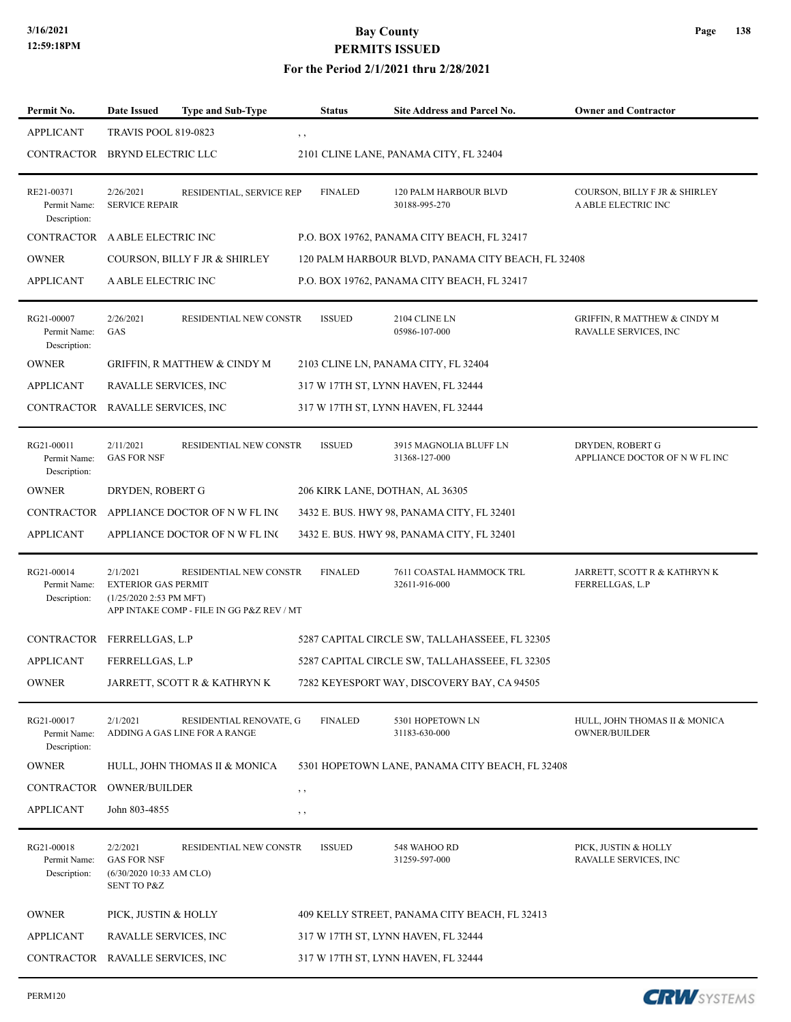### **For the Period 2/1/2021 thru 2/28/2021**

| Permit No.                                 | <b>Date Issued</b>                                                                   | <b>Type and Sub-Type</b>                                            |          | <b>Status</b>  | <b>Site Address and Parcel No.</b>                 | <b>Owner and Contractor</b>                                      |
|--------------------------------------------|--------------------------------------------------------------------------------------|---------------------------------------------------------------------|----------|----------------|----------------------------------------------------|------------------------------------------------------------------|
| <b>APPLICANT</b>                           | <b>TRAVIS POOL 819-0823</b>                                                          |                                                                     | , ,      |                |                                                    |                                                                  |
| CONTRACTOR BRYND ELECTRIC LLC              |                                                                                      |                                                                     |          |                | 2101 CLINE LANE, PANAMA CITY, FL 32404             |                                                                  |
| RE21-00371<br>Permit Name:<br>Description: | 2/26/2021<br><b>SERVICE REPAIR</b>                                                   | RESIDENTIAL, SERVICE REP                                            |          | <b>FINALED</b> | <b>120 PALM HARBOUR BLVD</b><br>30188-995-270      | COURSON, BILLY F JR & SHIRLEY<br>A ABLE ELECTRIC INC             |
| CONTRACTOR A ABLE ELECTRIC INC             |                                                                                      |                                                                     |          |                | P.O. BOX 19762, PANAMA CITY BEACH, FL 32417        |                                                                  |
| <b>OWNER</b>                               |                                                                                      | COURSON, BILLY F JR & SHIRLEY                                       |          |                | 120 PALM HARBOUR BLVD, PANAMA CITY BEACH, FL 32408 |                                                                  |
| <b>APPLICANT</b>                           | A ABLE ELECTRIC INC                                                                  |                                                                     |          |                | P.O. BOX 19762, PANAMA CITY BEACH, FL 32417        |                                                                  |
| RG21-00007<br>Permit Name:<br>Description: | 2/26/2021<br>GAS                                                                     | RESIDENTIAL NEW CONSTR                                              |          | <b>ISSUED</b>  | 2104 CLINE LN<br>05986-107-000                     | <b>GRIFFIN, R MATTHEW &amp; CINDY M</b><br>RAVALLE SERVICES, INC |
| <b>OWNER</b>                               |                                                                                      | GRIFFIN, R MATTHEW & CINDY M                                        |          |                | 2103 CLINE LN, PANAMA CITY, FL 32404               |                                                                  |
| APPLICANT                                  | RAVALLE SERVICES, INC                                                                |                                                                     |          |                | 317 W 17TH ST, LYNN HAVEN, FL 32444                |                                                                  |
| CONTRACTOR RAVALLE SERVICES, INC           |                                                                                      |                                                                     |          |                | 317 W 17TH ST, LYNN HAVEN, FL 32444                |                                                                  |
| RG21-00011<br>Permit Name:<br>Description: | 2/11/2021<br><b>GAS FOR NSF</b>                                                      | RESIDENTIAL NEW CONSTR                                              |          | <b>ISSUED</b>  | 3915 MAGNOLIA BLUFF LN<br>31368-127-000            | DRYDEN, ROBERT G<br>APPLIANCE DOCTOR OF N W FL INC               |
| <b>OWNER</b>                               | DRYDEN, ROBERT G                                                                     |                                                                     |          |                | 206 KIRK LANE, DOTHAN, AL 36305                    |                                                                  |
|                                            |                                                                                      | CONTRACTOR APPLIANCE DOCTOR OF NWFL INC                             |          |                | 3432 E. BUS. HWY 98, PANAMA CITY, FL 32401         |                                                                  |
| <b>APPLICANT</b>                           |                                                                                      | APPLIANCE DOCTOR OF N W FL INC                                      |          |                | 3432 E. BUS. HWY 98, PANAMA CITY, FL 32401         |                                                                  |
| RG21-00014<br>Permit Name:<br>Description: | 2/1/2021<br><b>EXTERIOR GAS PERMIT</b><br>(1/25/2020 2:53 PM MFT)                    | RESIDENTIAL NEW CONSTR<br>APP INTAKE COMP - FILE IN GG P&Z REV / MT |          | <b>FINALED</b> | 7611 COASTAL HAMMOCK TRL<br>32611-916-000          | JARRETT, SCOTT R & KATHRYN K<br>FERRELLGAS, L.P                  |
| CONTRACTOR FERRELLGAS, L.P                 |                                                                                      |                                                                     |          |                | 5287 CAPITAL CIRCLE SW, TALLAHASSEEE, FL 32305     |                                                                  |
| <b>APPLICANT</b>                           | FERRELLGAS, L.P                                                                      |                                                                     |          |                | 5287 CAPITAL CIRCLE SW, TALLAHASSEEE, FL 32305     |                                                                  |
| OWNER                                      |                                                                                      | JARRETT, SCOTT R & KATHRYN K                                        |          |                | 7282 KEYESPORT WAY, DISCOVERY BAY, CA 94505        |                                                                  |
| RG21-00017<br>Permit Name:<br>Description: | 2/1/2021                                                                             | RESIDENTIAL RENOVATE, G<br>ADDING A GAS LINE FOR A RANGE            |          | <b>FINALED</b> | 5301 HOPETOWN LN<br>31183-630-000                  | HULL, JOHN THOMAS II & MONICA<br><b>OWNER/BUILDER</b>            |
| <b>OWNER</b>                               |                                                                                      | HULL, JOHN THOMAS II & MONICA                                       |          |                | 5301 HOPETOWN LANE, PANAMA CITY BEACH, FL 32408    |                                                                  |
| CONTRACTOR                                 | <b>OWNER/BUILDER</b>                                                                 |                                                                     | $, \,$   |                |                                                    |                                                                  |
| <b>APPLICANT</b>                           | John 803-4855                                                                        |                                                                     | $, \, ,$ |                |                                                    |                                                                  |
| RG21-00018<br>Permit Name:<br>Description: | 2/2/2021<br><b>GAS FOR NSF</b><br>(6/30/2020 10:33 AM CLO)<br><b>SENT TO P&amp;Z</b> | RESIDENTIAL NEW CONSTR                                              |          | <b>ISSUED</b>  | 548 WAHOO RD<br>31259-597-000                      | PICK, JUSTIN & HOLLY<br>RAVALLE SERVICES, INC                    |
| <b>OWNER</b>                               | PICK, JUSTIN & HOLLY                                                                 |                                                                     |          |                | 409 KELLY STREET, PANAMA CITY BEACH, FL 32413      |                                                                  |
| APPLICANT                                  | RAVALLE SERVICES, INC                                                                |                                                                     |          |                | 317 W 17TH ST, LYNN HAVEN, FL 32444                |                                                                  |
| CONTRACTOR RAVALLE SERVICES, INC           |                                                                                      |                                                                     |          |                | 317 W 17TH ST, LYNN HAVEN, FL 32444                |                                                                  |

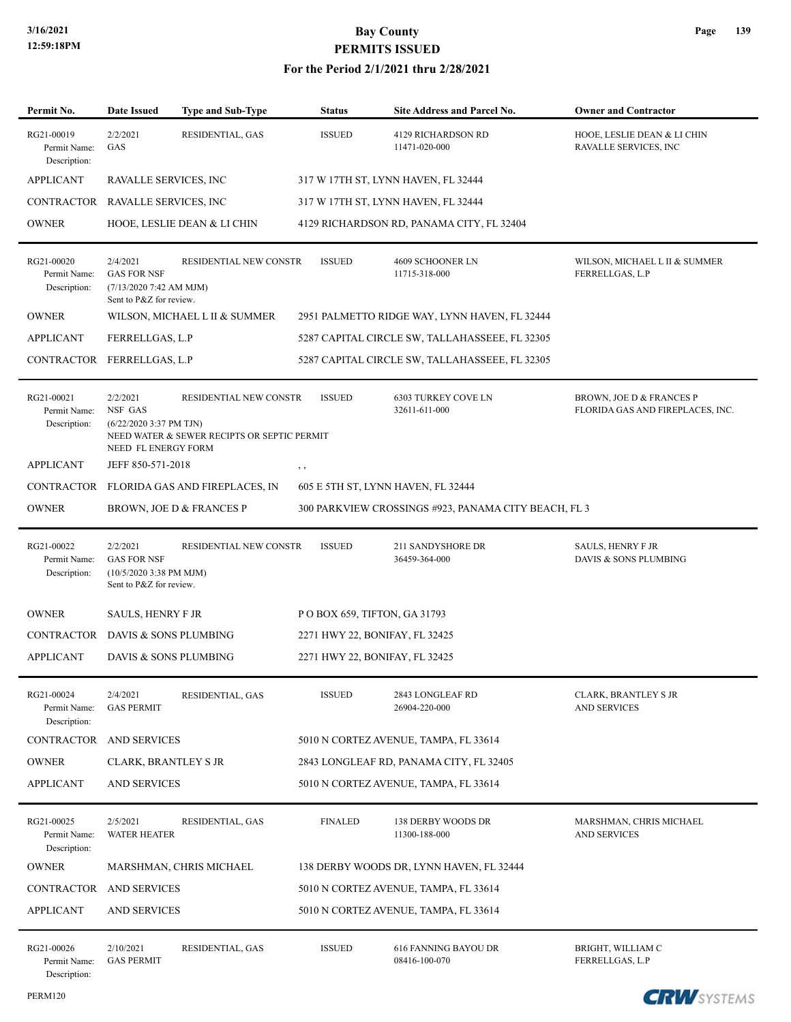| Permit No.                                 | <b>Date Issued</b>                                                                            | <b>Type and Sub-Type</b>                                              | <b>Status</b>                  | <b>Site Address and Parcel No.</b>                   | <b>Owner and Contractor</b>                                             |
|--------------------------------------------|-----------------------------------------------------------------------------------------------|-----------------------------------------------------------------------|--------------------------------|------------------------------------------------------|-------------------------------------------------------------------------|
| RG21-00019<br>Permit Name:<br>Description: | 2/2/2021<br>GAS                                                                               | RESIDENTIAL, GAS                                                      | <b>ISSUED</b>                  | <b>4129 RICHARDSON RD</b><br>11471-020-000           | HOOE, LESLIE DEAN & LI CHIN<br>RAVALLE SERVICES, INC                    |
| <b>APPLICANT</b>                           | RAVALLE SERVICES, INC                                                                         |                                                                       |                                | 317 W 17TH ST, LYNN HAVEN, FL 32444                  |                                                                         |
| CONTRACTOR RAVALLE SERVICES, INC           |                                                                                               |                                                                       |                                | 317 W 17TH ST, LYNN HAVEN, FL 32444                  |                                                                         |
| <b>OWNER</b>                               |                                                                                               | HOOE, LESLIE DEAN & LI CHIN                                           |                                | 4129 RICHARDSON RD, PANAMA CITY, FL 32404            |                                                                         |
| RG21-00020<br>Permit Name:<br>Description: | 2/4/2021<br><b>GAS FOR NSF</b><br>(7/13/20207:42 AM MJM)<br>Sent to P&Z for review.           | RESIDENTIAL NEW CONSTR                                                | <b>ISSUED</b>                  | 4609 SCHOONER LN<br>11715-318-000                    | WILSON, MICHAEL L II & SUMMER<br>FERRELLGAS, L.P                        |
| <b>OWNER</b>                               |                                                                                               | WILSON, MICHAEL L II & SUMMER                                         |                                | 2951 PALMETTO RIDGE WAY, LYNN HAVEN, FL 32444        |                                                                         |
| <b>APPLICANT</b>                           | FERRELLGAS, L.P                                                                               |                                                                       |                                | 5287 CAPITAL CIRCLE SW, TALLAHASSEEE, FL 32305       |                                                                         |
| CONTRACTOR FERRELLGAS, L.P                 |                                                                                               |                                                                       |                                | 5287 CAPITAL CIRCLE SW, TALLAHASSEEE, FL 32305       |                                                                         |
| RG21-00021<br>Permit Name:<br>Description: | 2/2/2021<br>NSF GAS<br>$(6/22/20203:37$ PM TJN)<br>NEED FL ENERGY FORM                        | RESIDENTIAL NEW CONSTR<br>NEED WATER & SEWER RECIPTS OR SEPTIC PERMIT | <b>ISSUED</b>                  | <b>6303 TURKEY COVE LN</b><br>32611-611-000          | <b>BROWN, JOE D &amp; FRANCES P</b><br>FLORIDA GAS AND FIREPLACES, INC. |
| <b>APPLICANT</b>                           | JEFF 850-571-2018                                                                             |                                                                       | , ,                            |                                                      |                                                                         |
|                                            |                                                                                               | CONTRACTOR FLORIDA GAS AND FIREPLACES, IN                             |                                | 605 E 5TH ST, LYNN HAVEN, FL 32444                   |                                                                         |
| <b>OWNER</b>                               |                                                                                               | BROWN, JOE D & FRANCES P                                              |                                | 300 PARKVIEW CROSSINGS #923, PANAMA CITY BEACH, FL 3 |                                                                         |
| RG21-00022<br>Permit Name:<br>Description: | 2/2/2021<br><b>GAS FOR NSF</b><br>$(10/5/20203:38 \text{ PM MJM})$<br>Sent to P&Z for review. | RESIDENTIAL NEW CONSTR                                                | <b>ISSUED</b>                  | <b>211 SANDYSHORE DR</b><br>36459-364-000            | <b>SAULS, HENRY F JR</b><br>DAVIS & SONS PLUMBING                       |
| <b>OWNER</b>                               | <b>SAULS, HENRY F JR</b>                                                                      |                                                                       | POBOX 659, TIFTON, GA 31793    |                                                      |                                                                         |
| CONTRACTOR DAVIS & SONS PLUMBING           |                                                                                               |                                                                       | 2271 HWY 22, BONIFAY, FL 32425 |                                                      |                                                                         |
| <b>APPLICANT</b>                           | DAVIS & SONS PLUMBING                                                                         |                                                                       | 2271 HWY 22, BONIFAY, FL 32425 |                                                      |                                                                         |
| RG21-00024<br>Permit Name:<br>Description: | 2/4/2021<br><b>GAS PERMIT</b>                                                                 | RESIDENTIAL, GAS                                                      | <b>ISSUED</b>                  | 2843 LONGLEAF RD<br>26904-220-000                    | <b>CLARK, BRANTLEY S JR</b><br><b>AND SERVICES</b>                      |
| <b>CONTRACTOR</b>                          | <b>AND SERVICES</b>                                                                           |                                                                       |                                | 5010 N CORTEZ AVENUE, TAMPA, FL 33614                |                                                                         |
| <b>OWNER</b>                               | <b>CLARK, BRANTLEY S JR</b>                                                                   |                                                                       |                                | 2843 LONGLEAF RD, PANAMA CITY, FL 32405              |                                                                         |
| <b>APPLICANT</b>                           | <b>AND SERVICES</b>                                                                           |                                                                       |                                | 5010 N CORTEZ AVENUE, TAMPA, FL 33614                |                                                                         |
| RG21-00025<br>Permit Name:<br>Description: | 2/5/2021<br><b>WATER HEATER</b>                                                               | RESIDENTIAL, GAS                                                      | <b>FINALED</b>                 | <b>138 DERBY WOODS DR</b><br>11300-188-000           | MARSHMAN, CHRIS MICHAEL<br><b>AND SERVICES</b>                          |
| <b>OWNER</b>                               |                                                                                               | MARSHMAN, CHRIS MICHAEL                                               |                                | 138 DERBY WOODS DR, LYNN HAVEN, FL 32444             |                                                                         |
| CONTRACTOR                                 | <b>AND SERVICES</b>                                                                           |                                                                       |                                | 5010 N CORTEZ AVENUE, TAMPA, FL 33614                |                                                                         |
| <b>APPLICANT</b>                           | <b>AND SERVICES</b>                                                                           |                                                                       |                                | 5010 N CORTEZ AVENUE, TAMPA, FL 33614                |                                                                         |
| RG21-00026<br>Permit Name:<br>Description: | 2/10/2021<br><b>GAS PERMIT</b>                                                                | RESIDENTIAL, GAS                                                      | <b>ISSUED</b>                  | <b>616 FANNING BAYOU DR</b><br>08416-100-070         | BRIGHT, WILLIAM C<br>FERRELLGAS, L.P                                    |

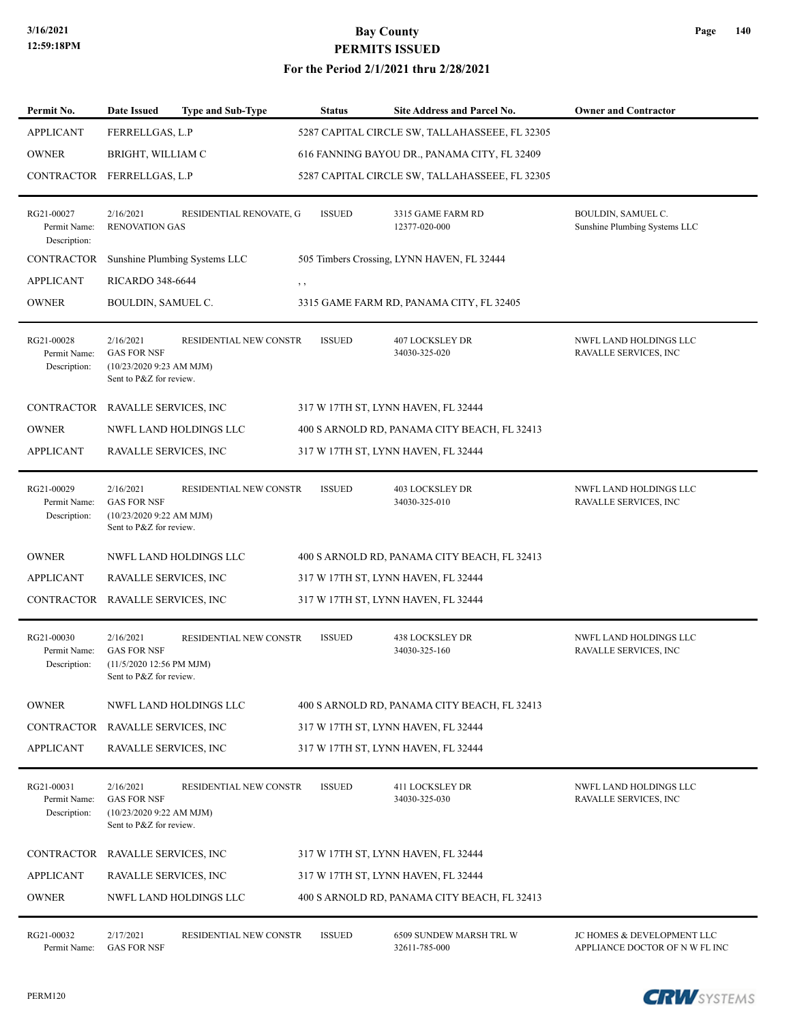### **For the Period 2/1/2021 thru 2/28/2021**

| Permit No.                                 | <b>Date Issued</b>                                                                      | <b>Type and Sub-Type</b>      | <b>Status</b> | Site Address and Parcel No.                    | <b>Owner and Contractor</b>                                  |
|--------------------------------------------|-----------------------------------------------------------------------------------------|-------------------------------|---------------|------------------------------------------------|--------------------------------------------------------------|
| <b>APPLICANT</b>                           | FERRELLGAS, L.P                                                                         |                               |               | 5287 CAPITAL CIRCLE SW, TALLAHASSEEE, FL 32305 |                                                              |
| <b>OWNER</b>                               | BRIGHT, WILLIAM C                                                                       |                               |               | 616 FANNING BAYOU DR., PANAMA CITY, FL 32409   |                                                              |
| <b>CONTRACTOR</b>                          | FERRELLGAS, L.P                                                                         |                               |               | 5287 CAPITAL CIRCLE SW, TALLAHASSEEE, FL 32305 |                                                              |
| RG21-00027<br>Permit Name:<br>Description: | 2/16/2021<br><b>RENOVATION GAS</b>                                                      | RESIDENTIAL RENOVATE, G       | <b>ISSUED</b> | 3315 GAME FARM RD<br>12377-020-000             | BOULDIN, SAMUEL C.<br>Sunshine Plumbing Systems LLC          |
| CONTRACTOR                                 |                                                                                         | Sunshine Plumbing Systems LLC |               | 505 Timbers Crossing, LYNN HAVEN, FL 32444     |                                                              |
| <b>APPLICANT</b>                           | <b>RICARDO 348-6644</b>                                                                 |                               | $, \, , \,$   |                                                |                                                              |
| <b>OWNER</b>                               | BOULDIN, SAMUEL C.                                                                      |                               |               | 3315 GAME FARM RD, PANAMA CITY, FL 32405       |                                                              |
| RG21-00028<br>Permit Name:<br>Description: | 2/16/2021<br><b>GAS FOR NSF</b><br>(10/23/2020 9:23 AM MJM)<br>Sent to P&Z for review.  | <b>RESIDENTIAL NEW CONSTR</b> | <b>ISSUED</b> | <b>407 LOCKSLEY DR</b><br>34030-325-020        | NWFL LAND HOLDINGS LLC<br>RAVALLE SERVICES, INC              |
| CONTRACTOR RAVALLE SERVICES, INC           |                                                                                         |                               |               | 317 W 17TH ST, LYNN HAVEN, FL 32444            |                                                              |
| <b>OWNER</b>                               |                                                                                         | NWFL LAND HOLDINGS LLC        |               | 400 S ARNOLD RD, PANAMA CITY BEACH, FL 32413   |                                                              |
| <b>APPLICANT</b>                           | RAVALLE SERVICES, INC                                                                   |                               |               | 317 W 17TH ST, LYNN HAVEN, FL 32444            |                                                              |
| RG21-00029<br>Permit Name:<br>Description: | 2/16/2021<br><b>GAS FOR NSF</b><br>(10/23/2020 9:22 AM MJM)<br>Sent to P&Z for review.  | RESIDENTIAL NEW CONSTR        | <b>ISSUED</b> | <b>403 LOCKSLEY DR</b><br>34030-325-010        | NWFL LAND HOLDINGS LLC<br>RAVALLE SERVICES, INC              |
| <b>OWNER</b>                               |                                                                                         | NWFL LAND HOLDINGS LLC        |               | 400 S ARNOLD RD, PANAMA CITY BEACH, FL 32413   |                                                              |
| <b>APPLICANT</b>                           | RAVALLE SERVICES, INC                                                                   |                               |               | 317 W 17TH ST, LYNN HAVEN, FL 32444            |                                                              |
| CONTRACTOR                                 | RAVALLE SERVICES, INC                                                                   |                               |               | 317 W 17TH ST, LYNN HAVEN, FL 32444            |                                                              |
| RG21-00030<br>Permit Name:<br>Description: | 2/16/2021<br><b>GAS FOR NSF</b><br>(11/5/2020 12:56 PM MJM)<br>Sent to P&Z for review.  | RESIDENTIAL NEW CONSTR        | <b>ISSUED</b> | <b>438 LOCKSLEY DR</b><br>34030-325-160        | NWFL LAND HOLDINGS LLC<br>RAVALLE SERVICES, INC              |
| <b>OWNER</b>                               |                                                                                         | NWFL LAND HOLDINGS LLC        |               | 400 S ARNOLD RD, PANAMA CITY BEACH, FL 32413   |                                                              |
| CONTRACTOR                                 | RAVALLE SERVICES, INC                                                                   |                               |               | 317 W 17TH ST, LYNN HAVEN, FL 32444            |                                                              |
| <b>APPLICANT</b>                           | RAVALLE SERVICES, INC                                                                   |                               |               | 317 W 17TH ST, LYNN HAVEN, FL 32444            |                                                              |
| RG21-00031<br>Permit Name:<br>Description: | 2/16/2021<br><b>GAS FOR NSF</b><br>$(10/23/20209:22$ AM MJM)<br>Sent to P&Z for review. | RESIDENTIAL NEW CONSTR        | <b>ISSUED</b> | <b>411 LOCKSLEY DR</b><br>34030-325-030        | NWFL LAND HOLDINGS LLC<br>RAVALLE SERVICES, INC              |
| CONTRACTOR                                 | RAVALLE SERVICES, INC                                                                   |                               |               | 317 W 17TH ST, LYNN HAVEN, FL 32444            |                                                              |
| <b>APPLICANT</b>                           | RAVALLE SERVICES, INC                                                                   |                               |               | 317 W 17TH ST, LYNN HAVEN, FL 32444            |                                                              |
| <b>OWNER</b>                               |                                                                                         | NWFL LAND HOLDINGS LLC        |               | 400 S ARNOLD RD, PANAMA CITY BEACH, FL 32413   |                                                              |
| RG21-00032<br>Permit Name:                 | 2/17/2021<br><b>GAS FOR NSF</b>                                                         | <b>RESIDENTIAL NEW CONSTR</b> | <b>ISSUED</b> | 6509 SUNDEW MARSH TRL W<br>32611-785-000       | JC HOMES & DEVELOPMENT LLC<br>APPLIANCE DOCTOR OF N W FL INC |

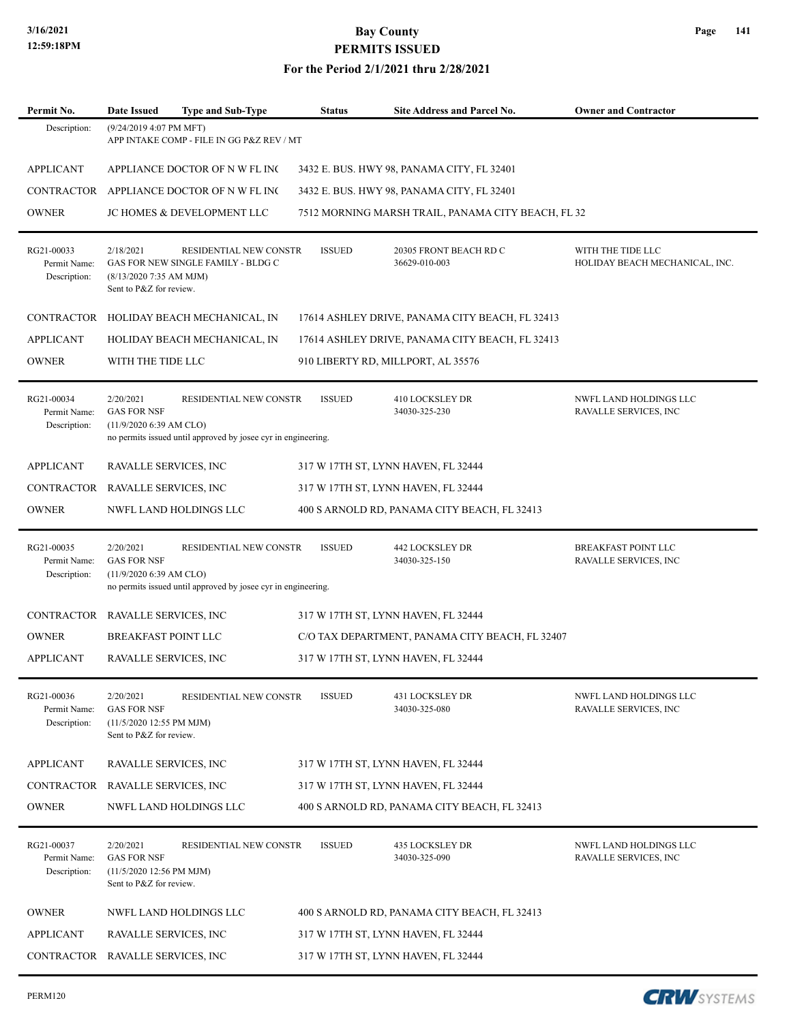**For the Period 2/1/2021 thru 2/28/2021**

| Permit No.                                 | <b>Date Issued</b>                                                                     | Type and Sub-Type                                                                       | Status        | Site Address and Parcel No.                        | <b>Owner and Contractor</b>                            |
|--------------------------------------------|----------------------------------------------------------------------------------------|-----------------------------------------------------------------------------------------|---------------|----------------------------------------------------|--------------------------------------------------------|
| Description:                               | (9/24/2019 4:07 PM MFT)                                                                | APP INTAKE COMP - FILE IN GG P&Z REV / MT                                               |               |                                                    |                                                        |
| <b>APPLICANT</b>                           |                                                                                        | APPLIANCE DOCTOR OF N W FL INC                                                          |               | 3432 E. BUS. HWY 98, PANAMA CITY, FL 32401         |                                                        |
|                                            |                                                                                        | CONTRACTOR APPLIANCE DOCTOR OF NWFL INC                                                 |               | 3432 E. BUS. HWY 98, PANAMA CITY, FL 32401         |                                                        |
| <b>OWNER</b>                               |                                                                                        | <b>JC HOMES &amp; DEVELOPMENT LLC</b>                                                   |               | 7512 MORNING MARSH TRAIL, PANAMA CITY BEACH, FL 32 |                                                        |
| RG21-00033<br>Permit Name:<br>Description: | 2/18/2021<br>$(8/13/20207:35$ AM MJM)<br>Sent to P&Z for review.                       | RESIDENTIAL NEW CONSTR<br>GAS FOR NEW SINGLE FAMILY - BLDG C                            | <b>ISSUED</b> | 20305 FRONT BEACH RD C<br>36629-010-003            | WITH THE TIDE LLC<br>HOLIDAY BEACH MECHANICAL, INC.    |
|                                            |                                                                                        | CONTRACTOR HOLIDAY BEACH MECHANICAL, IN                                                 |               | 17614 ASHLEY DRIVE, PANAMA CITY BEACH, FL 32413    |                                                        |
| <b>APPLICANT</b>                           |                                                                                        | HOLIDAY BEACH MECHANICAL, IN                                                            |               | 17614 ASHLEY DRIVE, PANAMA CITY BEACH, FL 32413    |                                                        |
| <b>OWNER</b>                               | WITH THE TIDE LLC                                                                      |                                                                                         |               | 910 LIBERTY RD, MILLPORT, AL 35576                 |                                                        |
| RG21-00034<br>Permit Name:<br>Description: | 2/20/2021<br><b>GAS FOR NSF</b><br>$(11/9/2020 6:39$ AM CLO)                           | RESIDENTIAL NEW CONSTR<br>no permits issued until approved by josee cyr in engineering. | <b>ISSUED</b> | <b>410 LOCKSLEY DR</b><br>34030-325-230            | <b>NWFL LAND HOLDINGS LLC</b><br>RAVALLE SERVICES, INC |
| <b>APPLICANT</b>                           | RAVALLE SERVICES, INC                                                                  |                                                                                         |               | 317 W 17TH ST, LYNN HAVEN, FL 32444                |                                                        |
| CONTRACTOR RAVALLE SERVICES, INC           |                                                                                        |                                                                                         |               | 317 W 17TH ST, LYNN HAVEN, FL 32444                |                                                        |
| <b>OWNER</b>                               |                                                                                        | NWFL LAND HOLDINGS LLC                                                                  |               | 400 S ARNOLD RD, PANAMA CITY BEACH, FL 32413       |                                                        |
| RG21-00035<br>Permit Name:<br>Description: | 2/20/2021<br><b>GAS FOR NSF</b><br>(11/9/2020 6:39 AM CLO)                             | RESIDENTIAL NEW CONSTR<br>no permits issued until approved by josee cyr in engineering. | <b>ISSUED</b> | <b>442 LOCKSLEY DR</b><br>34030-325-150            | BREAKFAST POINT LLC<br>RAVALLE SERVICES, INC           |
| CONTRACTOR RAVALLE SERVICES, INC           |                                                                                        |                                                                                         |               | 317 W 17TH ST, LYNN HAVEN, FL 32444                |                                                        |
| <b>OWNER</b>                               | <b>BREAKFAST POINT LLC</b>                                                             |                                                                                         |               | C/O TAX DEPARTMENT, PANAMA CITY BEACH, FL 32407    |                                                        |
| <b>APPLICANT</b>                           | RAVALLE SERVICES, INC                                                                  |                                                                                         |               | 317 W 17TH ST, LYNN HAVEN, FL 32444                |                                                        |
| RG21-00036<br>Permit Name:<br>Description: | 2/20/2021<br><b>GAS FOR NSF</b><br>(11/5/2020 12:55 PM MJM)<br>Sent to P&Z for review. | RESIDENTIAL NEW CONSTR                                                                  | <b>ISSUED</b> | 431 LOCKSLEY DR<br>34030-325-080                   | NWFL LAND HOLDINGS LLC<br>RAVALLE SERVICES, INC        |
| <b>APPLICANT</b>                           | RAVALLE SERVICES, INC                                                                  |                                                                                         |               | 317 W 17TH ST, LYNN HAVEN, FL 32444                |                                                        |
| CONTRACTOR RAVALLE SERVICES, INC           |                                                                                        |                                                                                         |               | 317 W 17TH ST, LYNN HAVEN, FL 32444                |                                                        |
| <b>OWNER</b>                               |                                                                                        | NWFL LAND HOLDINGS LLC                                                                  |               | 400 S ARNOLD RD, PANAMA CITY BEACH, FL 32413       |                                                        |
| RG21-00037<br>Permit Name:<br>Description: | 2/20/2021<br><b>GAS FOR NSF</b><br>(11/5/2020 12:56 PM MJM)<br>Sent to P&Z for review. | RESIDENTIAL NEW CONSTR                                                                  | <b>ISSUED</b> | 435 LOCKSLEY DR<br>34030-325-090                   | NWFL LAND HOLDINGS LLC<br>RAVALLE SERVICES, INC        |
| <b>OWNER</b>                               |                                                                                        | NWFL LAND HOLDINGS LLC                                                                  |               | 400 S ARNOLD RD, PANAMA CITY BEACH, FL 32413       |                                                        |
| <b>APPLICANT</b>                           | RAVALLE SERVICES, INC                                                                  |                                                                                         |               | 317 W 17TH ST, LYNN HAVEN, FL 32444                |                                                        |
| CONTRACTOR RAVALLE SERVICES, INC           |                                                                                        |                                                                                         |               | 317 W 17TH ST, LYNN HAVEN, FL 32444                |                                                        |

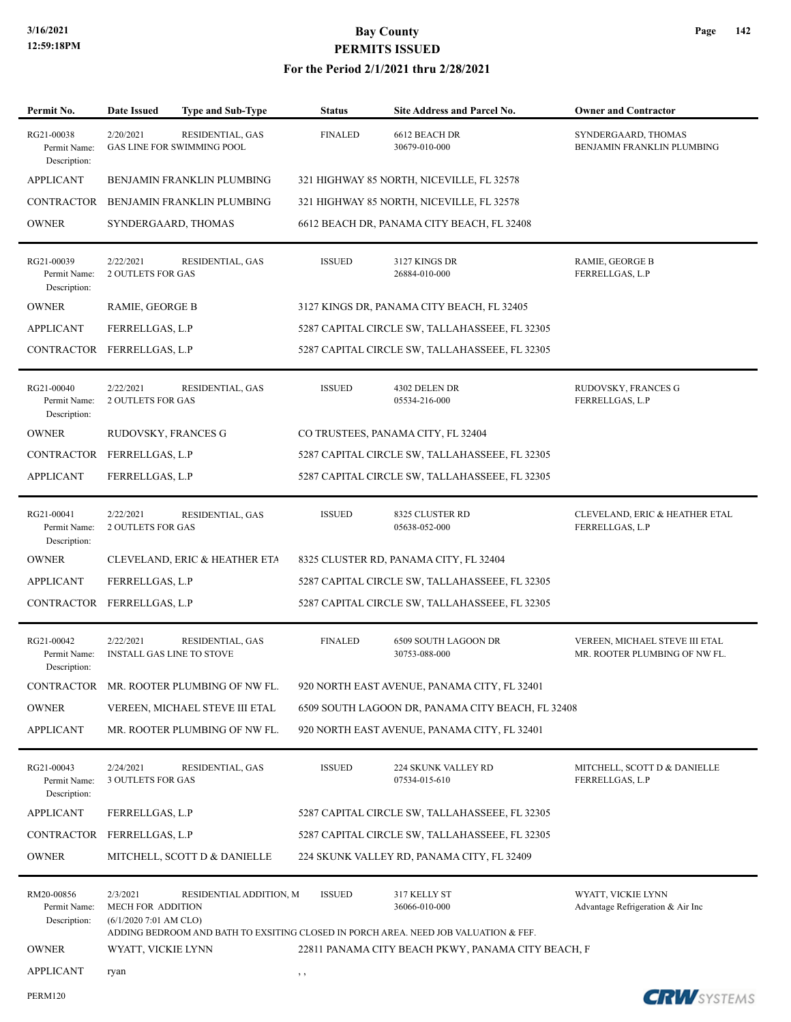| Permit No.                                 | Date Issued                                              | Type and Sub-Type                                     | <b>Status</b>                          | <b>Site Address and Parcel No.</b>                                                                                   | <b>Owner and Contractor</b>                                     |  |  |
|--------------------------------------------|----------------------------------------------------------|-------------------------------------------------------|----------------------------------------|----------------------------------------------------------------------------------------------------------------------|-----------------------------------------------------------------|--|--|
| RG21-00038<br>Permit Name:<br>Description: | 2/20/2021                                                | RESIDENTIAL, GAS<br><b>GAS LINE FOR SWIMMING POOL</b> | <b>FINALED</b>                         | 6612 BEACH DR<br>30679-010-000                                                                                       | SYNDERGAARD, THOMAS<br>BENJAMIN FRANKLIN PLUMBING               |  |  |
| <b>APPLICANT</b>                           |                                                          | BENJAMIN FRANKLIN PLUMBING                            |                                        | 321 HIGHWAY 85 NORTH, NICEVILLE, FL 32578                                                                            |                                                                 |  |  |
| <b>CONTRACTOR</b>                          |                                                          | BENJAMIN FRANKLIN PLUMBING                            |                                        | 321 HIGHWAY 85 NORTH, NICEVILLE, FL 32578                                                                            |                                                                 |  |  |
| <b>OWNER</b>                               |                                                          | SYNDERGAARD, THOMAS                                   |                                        | 6612 BEACH DR, PANAMA CITY BEACH, FL 32408                                                                           |                                                                 |  |  |
| RG21-00039<br>Permit Name:<br>Description: | 2/22/2021<br><b>2 OUTLETS FOR GAS</b>                    | RESIDENTIAL, GAS                                      | <b>ISSUED</b>                          | 3127 KINGS DR<br>26884-010-000                                                                                       | RAMIE, GEORGE B<br>FERRELLGAS, L.P                              |  |  |
| <b>OWNER</b>                               | RAMIE, GEORGE B                                          |                                                       |                                        | 3127 KINGS DR, PANAMA CITY BEACH, FL 32405                                                                           |                                                                 |  |  |
| APPLICANT                                  | FERRELLGAS, L.P                                          |                                                       |                                        | 5287 CAPITAL CIRCLE SW, TALLAHASSEEE, FL 32305                                                                       |                                                                 |  |  |
| CONTRACTOR FERRELLGAS, L.P                 |                                                          |                                                       |                                        | 5287 CAPITAL CIRCLE SW, TALLAHASSEEE, FL 32305                                                                       |                                                                 |  |  |
| RG21-00040<br>Permit Name:<br>Description: | 2/22/2021<br><b>2 OUTLETS FOR GAS</b>                    | RESIDENTIAL, GAS                                      | <b>ISSUED</b>                          | 4302 DELEN DR<br>05534-216-000                                                                                       | RUDOVSKY, FRANCES G<br>FERRELLGAS, L.P                          |  |  |
| <b>OWNER</b>                               | RUDOVSKY, FRANCES G                                      |                                                       |                                        | CO TRUSTEES, PANAMA CITY, FL 32404                                                                                   |                                                                 |  |  |
| CONTRACTOR FERRELLGAS, L.P                 |                                                          |                                                       |                                        | 5287 CAPITAL CIRCLE SW, TALLAHASSEEE, FL 32305                                                                       |                                                                 |  |  |
| <b>APPLICANT</b>                           | FERRELLGAS, L.P                                          |                                                       |                                        | 5287 CAPITAL CIRCLE SW, TALLAHASSEEE, FL 32305                                                                       |                                                                 |  |  |
| RG21-00041<br>Permit Name:<br>Description: | 2/22/2021<br><b>2 OUTLETS FOR GAS</b>                    | RESIDENTIAL, GAS                                      | <b>ISSUED</b>                          | 8325 CLUSTER RD<br>05638-052-000                                                                                     | CLEVELAND, ERIC & HEATHER ETAL<br>FERRELLGAS, L.P               |  |  |
| <b>OWNER</b>                               |                                                          | <b>CLEVELAND, ERIC &amp; HEATHER ETA</b>              | 8325 CLUSTER RD, PANAMA CITY, FL 32404 |                                                                                                                      |                                                                 |  |  |
| <b>APPLICANT</b>                           | FERRELLGAS, L.P                                          |                                                       |                                        | 5287 CAPITAL CIRCLE SW, TALLAHASSEEE, FL 32305                                                                       |                                                                 |  |  |
| CONTRACTOR FERRELLGAS, L.P                 |                                                          |                                                       |                                        | 5287 CAPITAL CIRCLE SW, TALLAHASSEEE, FL 32305                                                                       |                                                                 |  |  |
| RG21-00042<br>Permit Name:<br>Description: | 2/22/2021                                                | RESIDENTIAL, GAS<br><b>INSTALL GAS LINE TO STOVE</b>  | <b>FINALED</b>                         | 6509 SOUTH LAGOON DR<br>30753-088-000                                                                                | VEREEN, MICHAEL STEVE III ETAL<br>MR. ROOTER PLUMBING OF NW FL. |  |  |
|                                            |                                                          | CONTRACTOR MR. ROOTER PLUMBING OF NW FL.              |                                        | 920 NORTH EAST AVENUE, PANAMA CITY, FL 32401                                                                         |                                                                 |  |  |
| <b>OWNER</b>                               |                                                          | VEREEN, MICHAEL STEVE III ETAL                        |                                        | 6509 SOUTH LAGOON DR, PANAMA CITY BEACH, FL 32408                                                                    |                                                                 |  |  |
| <b>APPLICANT</b>                           |                                                          | MR. ROOTER PLUMBING OF NW FL.                         |                                        | 920 NORTH EAST AVENUE, PANAMA CITY, FL 32401                                                                         |                                                                 |  |  |
| RG21-00043<br>Permit Name:<br>Description: | 2/24/2021<br><b>3 OUTLETS FOR GAS</b>                    | RESIDENTIAL, GAS                                      | <b>ISSUED</b>                          | 224 SKUNK VALLEY RD<br>07534-015-610                                                                                 | MITCHELL, SCOTT D & DANIELLE<br>FERRELLGAS, L.P                 |  |  |
| <b>APPLICANT</b>                           | FERRELLGAS, L.P                                          |                                                       |                                        | 5287 CAPITAL CIRCLE SW, TALLAHASSEEE, FL 32305                                                                       |                                                                 |  |  |
| CONTRACTOR FERRELLGAS, L.P                 |                                                          |                                                       |                                        | 5287 CAPITAL CIRCLE SW, TALLAHASSEEE, FL 32305                                                                       |                                                                 |  |  |
| <b>OWNER</b>                               |                                                          | MITCHELL, SCOTT D & DANIELLE                          |                                        | 224 SKUNK VALLEY RD, PANAMA CITY, FL 32409                                                                           |                                                                 |  |  |
| RM20-00856<br>Permit Name:<br>Description: | 2/3/2021<br>MECH FOR ADDITION<br>$(6/1/20207:01$ AM CLO) | RESIDENTIAL ADDITION, M                               | <b>ISSUED</b>                          | 317 KELLY ST<br>36066-010-000<br>ADDING BEDROOM AND BATH TO EXSITING CLOSED IN PORCH AREA. NEED JOB VALUATION & FEF. | WYATT, VICKIE LYNN<br>Advantage Refrigeration & Air Inc         |  |  |
| <b>OWNER</b>                               | WYATT, VICKIE LYNN                                       |                                                       |                                        | 22811 PANAMA CITY BEACH PKWY, PANAMA CITY BEACH, F                                                                   |                                                                 |  |  |
| <b>APPLICANT</b>                           | ryan                                                     |                                                       | $, \, , \,$                            |                                                                                                                      |                                                                 |  |  |
| <b>PERM120</b>                             |                                                          |                                                       |                                        |                                                                                                                      | <b>CRW</b> SYSTEMS                                              |  |  |

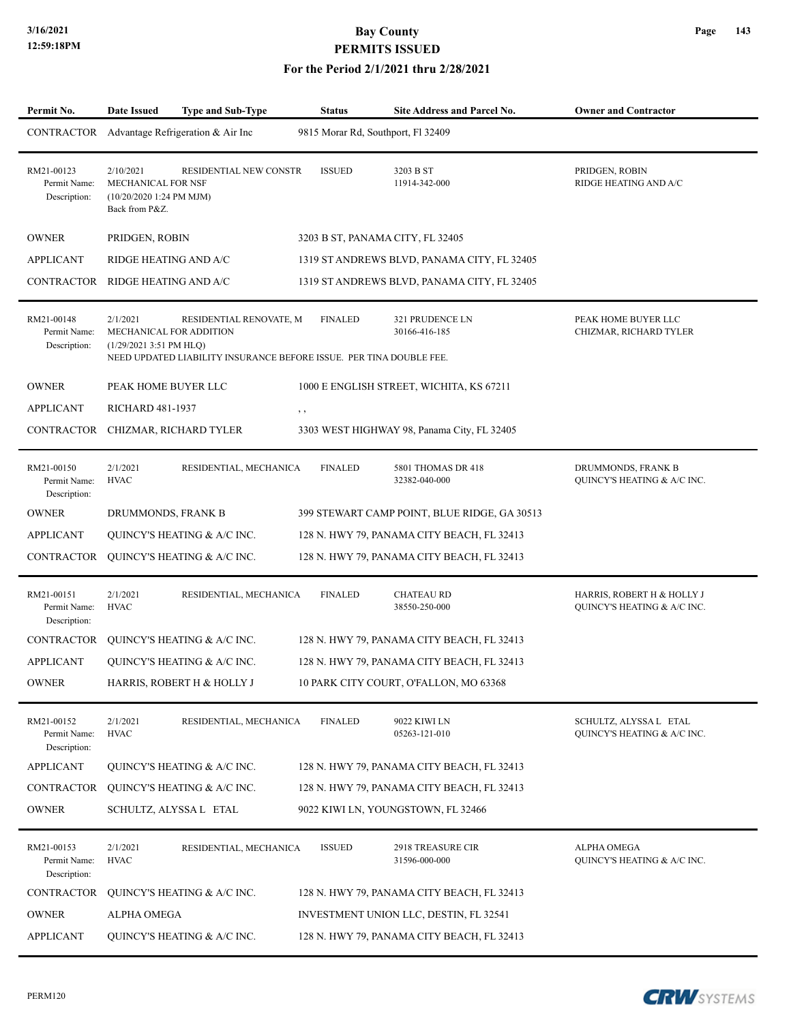| Permit No.                                 | <b>Date Issued</b>                                                             | <b>Type and Sub-Type</b>                                                                       | <b>Status</b>                      | <b>Site Address and Parcel No.</b>           | <b>Owner and Contractor</b>                               |
|--------------------------------------------|--------------------------------------------------------------------------------|------------------------------------------------------------------------------------------------|------------------------------------|----------------------------------------------|-----------------------------------------------------------|
|                                            |                                                                                | CONTRACTOR Advantage Refrigeration & Air Inc                                                   | 9815 Morar Rd, Southport, Fl 32409 |                                              |                                                           |
| RM21-00123<br>Permit Name:<br>Description: | 2/10/2021<br>MECHANICAL FOR NSF<br>$(10/20/20201:24$ PM MJM)<br>Back from P&Z. | RESIDENTIAL NEW CONSTR                                                                         | <b>ISSUED</b>                      | 3203 B ST<br>11914-342-000                   | PRIDGEN, ROBIN<br>RIDGE HEATING AND A/C                   |
| <b>OWNER</b>                               | PRIDGEN, ROBIN                                                                 |                                                                                                |                                    | 3203 B ST, PANAMA CITY, FL 32405             |                                                           |
| <b>APPLICANT</b>                           | RIDGE HEATING AND A/C                                                          |                                                                                                |                                    | 1319 ST ANDREWS BLVD, PANAMA CITY, FL 32405  |                                                           |
| CONTRACTOR                                 | RIDGE HEATING AND A/C                                                          |                                                                                                |                                    | 1319 ST ANDREWS BLVD, PANAMA CITY, FL 32405  |                                                           |
| RM21-00148<br>Permit Name:<br>Description: | 2/1/2021<br>MECHANICAL FOR ADDITION<br>$(1/29/20213:51$ PM HLQ)                | RESIDENTIAL RENOVATE, M<br>NEED UPDATED LIABILITY INSURANCE BEFORE ISSUE. PER TINA DOUBLE FEE. | <b>FINALED</b>                     | 321 PRUDENCE LN<br>30166-416-185             | PEAK HOME BUYER LLC<br>CHIZMAR, RICHARD TYLER             |
| <b>OWNER</b>                               | PEAK HOME BUYER LLC                                                            |                                                                                                |                                    | 1000 E ENGLISH STREET, WICHITA, KS 67211     |                                                           |
| APPLICANT                                  | <b>RICHARD 481-1937</b>                                                        |                                                                                                | , ,                                |                                              |                                                           |
| CONTRACTOR                                 |                                                                                | CHIZMAR, RICHARD TYLER                                                                         |                                    | 3303 WEST HIGHWAY 98, Panama City, FL 32405  |                                                           |
| RM21-00150<br>Permit Name:<br>Description: | 2/1/2021<br><b>HVAC</b>                                                        | RESIDENTIAL, MECHANICA                                                                         | <b>FINALED</b>                     | 5801 THOMAS DR 418<br>32382-040-000          | DRUMMONDS, FRANK B<br>QUINCY'S HEATING & A/C INC.         |
| <b>OWNER</b>                               | DRUMMONDS, FRANK B                                                             |                                                                                                |                                    | 399 STEWART CAMP POINT, BLUE RIDGE, GA 30513 |                                                           |
| <b>APPLICANT</b>                           |                                                                                | QUINCY'S HEATING & A/C INC.                                                                    |                                    | 128 N. HWY 79, PANAMA CITY BEACH, FL 32413   |                                                           |
| CONTRACTOR                                 |                                                                                | QUINCY'S HEATING & A/C INC.                                                                    |                                    | 128 N. HWY 79, PANAMA CITY BEACH, FL 32413   |                                                           |
| RM21-00151<br>Permit Name:<br>Description: | 2/1/2021<br><b>HVAC</b>                                                        | RESIDENTIAL, MECHANICA                                                                         | <b>FINALED</b>                     | <b>CHATEAU RD</b><br>38550-250-000           | HARRIS, ROBERT H & HOLLY J<br>QUINCY'S HEATING & A/C INC. |
| CONTRACTOR                                 |                                                                                | QUINCY'S HEATING & A/C INC.                                                                    |                                    | 128 N. HWY 79, PANAMA CITY BEACH, FL 32413   |                                                           |
| <b>APPLICANT</b>                           |                                                                                | <b>OUINCY'S HEATING &amp; A/C INC.</b>                                                         |                                    | 128 N. HWY 79, PANAMA CITY BEACH, FL 32413   |                                                           |
| OWNER                                      |                                                                                | HARRIS, ROBERT H & HOLLY J                                                                     |                                    | 10 PARK CITY COURT. O'FALLON, MO 63368       |                                                           |
| RM21-00152<br>Permit Name:<br>Description: | 2/1/2021<br><b>HVAC</b>                                                        | RESIDENTIAL, MECHANICA                                                                         | <b>FINALED</b>                     | 9022 KIWI LN<br>05263-121-010                | SCHULTZ, ALYSSA L ETAL<br>QUINCY'S HEATING & A/C INC.     |
| <b>APPLICANT</b>                           |                                                                                | QUINCY'S HEATING & A/C INC.                                                                    |                                    | 128 N. HWY 79, PANAMA CITY BEACH, FL 32413   |                                                           |
| CONTRACTOR                                 |                                                                                | QUINCY'S HEATING & A/C INC.                                                                    |                                    | 128 N. HWY 79, PANAMA CITY BEACH, FL 32413   |                                                           |
| <b>OWNER</b>                               |                                                                                | SCHULTZ, ALYSSA L ETAL                                                                         |                                    | 9022 KIWI LN, YOUNGSTOWN, FL 32466           |                                                           |
| RM21-00153<br>Permit Name:<br>Description: | 2/1/2021<br><b>HVAC</b>                                                        | RESIDENTIAL, MECHANICA                                                                         | <b>ISSUED</b>                      | 2918 TREASURE CIR<br>31596-000-000           | ALPHA OMEGA<br>QUINCY'S HEATING & A/C INC.                |
| CONTRACTOR                                 |                                                                                | QUINCY'S HEATING & A/C INC.                                                                    |                                    | 128 N. HWY 79, PANAMA CITY BEACH, FL 32413   |                                                           |
| <b>OWNER</b>                               | ALPHA OMEGA                                                                    |                                                                                                |                                    | INVESTMENT UNION LLC, DESTIN, FL 32541       |                                                           |
| <b>APPLICANT</b>                           |                                                                                | QUINCY'S HEATING & A/C INC.                                                                    |                                    | 128 N. HWY 79, PANAMA CITY BEACH, FL 32413   |                                                           |

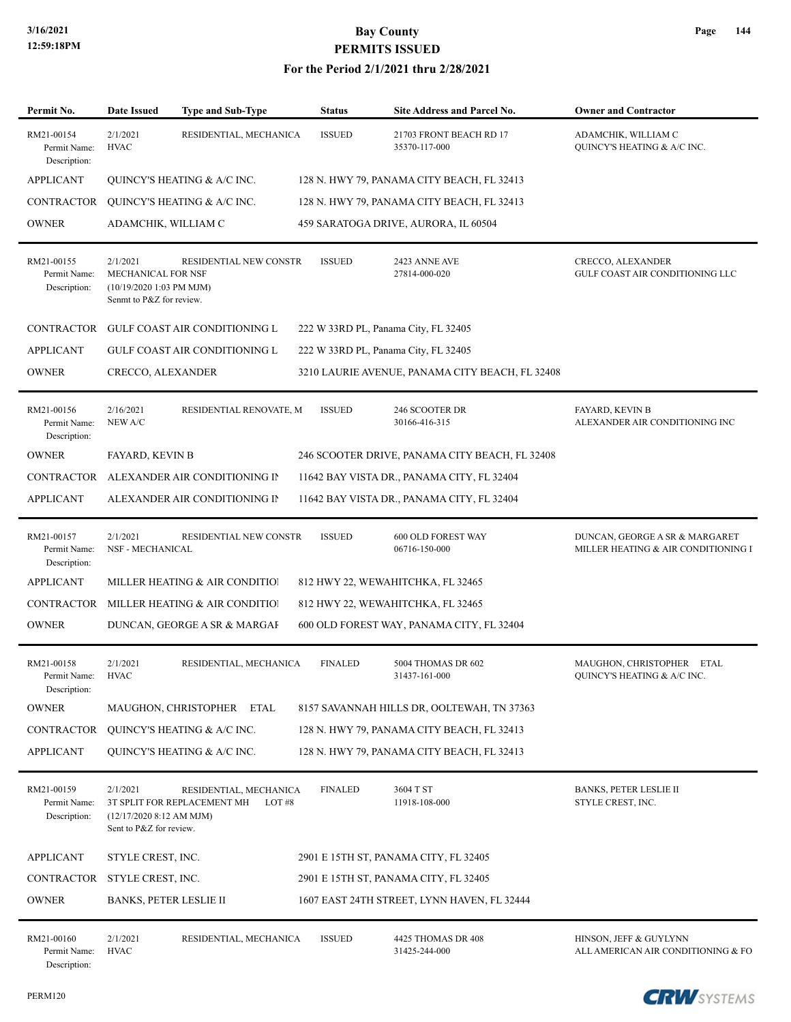### **For the Period 2/1/2021 thru 2/28/2021**

| Permit No.                                 | <b>Date Issued</b>                                                                                             | Type and Sub-Type                                              | <b>Status</b>  | Site Address and Parcel No.               | <b>Owner and Contractor</b>                                           |
|--------------------------------------------|----------------------------------------------------------------------------------------------------------------|----------------------------------------------------------------|----------------|-------------------------------------------|-----------------------------------------------------------------------|
| RM21-00154<br>Permit Name:<br>Description: | <b>ISSUED</b><br>2/1/2021<br>RESIDENTIAL, MECHANICA<br>21703 FRONT BEACH RD 17<br><b>HVAC</b><br>35370-117-000 |                                                                |                |                                           | ADAMCHIK, WILLIAM C<br><b>QUINCY'S HEATING &amp; A/C INC.</b>         |
| <b>APPLICANT</b>                           | QUINCY'S HEATING & A/C INC.<br>128 N. HWY 79, PANAMA CITY BEACH, FL 32413                                      |                                                                |                |                                           |                                                                       |
| CONTRACTOR                                 | QUINCY'S HEATING & A/C INC.<br>128 N. HWY 79, PANAMA CITY BEACH, FL 32413                                      |                                                                |                |                                           |                                                                       |
| <b>OWNER</b>                               | ADAMCHIK, WILLIAM C<br>459 SARATOGA DRIVE, AURORA, IL 60504                                                    |                                                                |                |                                           |                                                                       |
| RM21-00155<br>Permit Name:<br>Description: | 2/1/2021<br>MECHANICAL FOR NSF<br>(10/19/2020 1:03 PM MJM)<br>Senmt to P&Z for review.                         | RESIDENTIAL NEW CONSTR                                         | <b>ISSUED</b>  | 2423 ANNE AVE<br>27814-000-020            | CRECCO, ALEXANDER<br>GULF COAST AIR CONDITIONING LLC                  |
| CONTRACTOR                                 | <b>GULF COAST AIR CONDITIONING L</b><br>222 W 33RD PL, Panama City, FL 32405                                   |                                                                |                |                                           |                                                                       |
| <b>APPLICANT</b>                           | 222 W 33RD PL, Panama City, FL 32405<br>GULF COAST AIR CONDITIONING L                                          |                                                                |                |                                           |                                                                       |
| <b>OWNER</b>                               | <b>CRECCO, ALEXANDER</b><br>3210 LAURIE AVENUE, PANAMA CITY BEACH, FL 32408                                    |                                                                |                |                                           |                                                                       |
| RM21-00156<br>Permit Name:<br>Description: | 2/16/2021<br>NEW A/C                                                                                           | RESIDENTIAL RENOVATE, M                                        | <b>ISSUED</b>  | 246 SCOOTER DR<br>30166-416-315           | <b>FAYARD, KEVIN B</b><br>ALEXANDER AIR CONDITIONING INC              |
| <b>OWNER</b>                               | <b>FAYARD, KEVIN B</b><br>246 SCOOTER DRIVE, PANAMA CITY BEACH, FL 32408                                       |                                                                |                |                                           |                                                                       |
| CONTRACTOR                                 | ALEXANDER AIR CONDITIONING IN<br>11642 BAY VISTA DR., PANAMA CITY, FL 32404                                    |                                                                |                |                                           |                                                                       |
| <b>APPLICANT</b>                           | ALEXANDER AIR CONDITIONING II                                                                                  |                                                                |                |                                           |                                                                       |
| RM21-00157<br>Permit Name:<br>Description: | 2/1/2021<br><b>NSF - MECHANICAL</b>                                                                            | RESIDENTIAL NEW CONSTR                                         | <b>ISSUED</b>  | 600 OLD FOREST WAY<br>06716-150-000       | DUNCAN, GEORGE A SR & MARGARET<br>MILLER HEATING & AIR CONDITIONING I |
| <b>APPLICANT</b>                           | MILLER HEATING & AIR CONDITIO!<br>812 HWY 22, WEWAHITCHKA, FL 32465                                            |                                                                |                |                                           |                                                                       |
| <b>CONTRACTOR</b>                          | MILLER HEATING & AIR CONDITIO!<br>812 HWY 22, WEWAHITCHKA, FL 32465                                            |                                                                |                |                                           |                                                                       |
| <b>OWNER</b>                               |                                                                                                                | DUNCAN, GEORGE A SR & MARGAI                                   |                | 600 OLD FOREST WAY, PANAMA CITY, FL 32404 |                                                                       |
| RM21-00158<br>Permit Name:<br>Description: | 2/1/2021<br><b>HVAC</b>                                                                                        | RESIDENTIAL, MECHANICA                                         | <b>FINALED</b> | 5004 THOMAS DR 602<br>31437-161-000       | MAUGHON, CHRISTOPHER ETAL<br>QUINCY'S HEATING & A/C INC.              |
| <b>OWNER</b>                               | MAUGHON, CHRISTOPHER ETAL<br>8157 SAVANNAH HILLS DR, OOLTEWAH, TN 37363                                        |                                                                |                |                                           |                                                                       |
| CONTRACTOR                                 | QUINCY'S HEATING & A/C INC.<br>128 N. HWY 79, PANAMA CITY BEACH, FL 32413                                      |                                                                |                |                                           |                                                                       |
| <b>APPLICANT</b>                           | QUINCY'S HEATING & A/C INC.<br>128 N. HWY 79, PANAMA CITY BEACH, FL 32413                                      |                                                                |                |                                           |                                                                       |
| RM21-00159<br>Permit Name:<br>Description: | 2/1/2021<br>$(12/17/2020 8:12$ AM MJM)<br>Sent to P&Z for review.                                              | RESIDENTIAL, MECHANICA<br>3T SPLIT FOR REPLACEMENT MH<br>LOT#8 | <b>FINALED</b> | 3604 T ST<br>11918-108-000                | <b>BANKS, PETER LESLIE II</b><br>STYLE CREST, INC.                    |
| <b>APPLICANT</b>                           | STYLE CREST, INC.<br>2901 E 15TH ST, PANAMA CITY, FL 32405                                                     |                                                                |                |                                           |                                                                       |
|                                            | CONTRACTOR STYLE CREST, INC.<br>2901 E 15TH ST, PANAMA CITY, FL 32405                                          |                                                                |                |                                           |                                                                       |
| <b>OWNER</b>                               | <b>BANKS, PETER LESLIE II</b>                                                                                  |                                                                |                |                                           |                                                                       |
| RM21-00160<br>Permit Name:<br>Description: | 2/1/2021<br><b>HVAC</b>                                                                                        | RESIDENTIAL, MECHANICA                                         | <b>ISSUED</b>  | 4425 THOMAS DR 408<br>31425-244-000       | HINSON, JEFF & GUYLYNN<br>ALL AMERICAN AIR CONDITIONING & FO.         |

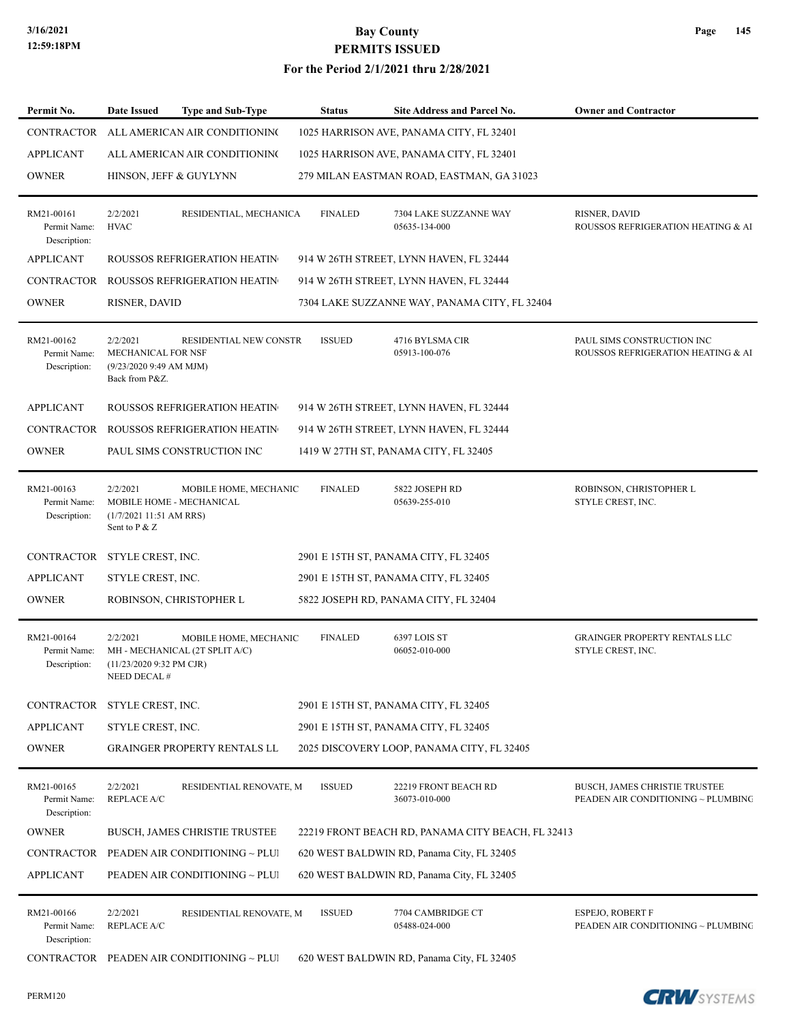#### **For the Period 2/1/2021 thru 2/28/2021**

| Permit No.                                 | Date Issued                                                                 | <b>Type and Sub-Type</b>                                | <b>Status</b>  | Site Address and Parcel No.                       | <b>Owner and Contractor</b>                                                |
|--------------------------------------------|-----------------------------------------------------------------------------|---------------------------------------------------------|----------------|---------------------------------------------------|----------------------------------------------------------------------------|
| CONTRACTOR                                 |                                                                             | ALL AMERICAN AIR CONDITIONING                           |                | 1025 HARRISON AVE, PANAMA CITY, FL 32401          |                                                                            |
| <b>APPLICANT</b>                           |                                                                             | ALL AMERICAN AIR CONDITIONING                           |                | 1025 HARRISON AVE, PANAMA CITY, FL 32401          |                                                                            |
| <b>OWNER</b>                               |                                                                             | HINSON, JEFF & GUYLYNN                                  |                | 279 MILAN EASTMAN ROAD, EASTMAN, GA 31023         |                                                                            |
| RM21-00161<br>Permit Name:<br>Description: | 2/2/2021<br><b>HVAC</b>                                                     | RESIDENTIAL, MECHANICA                                  | <b>FINALED</b> | 7304 LAKE SUZZANNE WAY<br>05635-134-000           | RISNER, DAVID<br>ROUSSOS REFRIGERATION HEATING & AI                        |
| <b>APPLICANT</b>                           |                                                                             | ROUSSOS REFRIGERATION HEATIN                            |                | 914 W 26TH STREET, LYNN HAVEN, FL 32444           |                                                                            |
| <b>CONTRACTOR</b>                          |                                                                             | <b>ROUSSOS REFRIGERATION HEATIN</b>                     |                | 914 W 26TH STREET, LYNN HAVEN, FL 32444           |                                                                            |
| <b>OWNER</b>                               | RISNER, DAVID                                                               |                                                         |                | 7304 LAKE SUZZANNE WAY, PANAMA CITY, FL 32404     |                                                                            |
| RM21-00162<br>Permit Name:<br>Description: | 2/2/2021<br>MECHANICAL FOR NSF<br>(9/23/2020 9:49 AM MJM)<br>Back from P&Z. | RESIDENTIAL NEW CONSTR                                  | <b>ISSUED</b>  | 4716 BYLSMA CIR<br>05913-100-076                  | PAUL SIMS CONSTRUCTION INC<br>ROUSSOS REFRIGERATION HEATING & AI           |
| <b>APPLICANT</b>                           |                                                                             | ROUSSOS REFRIGERATION HEATIN                            |                | 914 W 26TH STREET, LYNN HAVEN, FL 32444           |                                                                            |
| CONTRACTOR                                 |                                                                             | ROUSSOS REFRIGERATION HEATIN                            |                | 914 W 26TH STREET, LYNN HAVEN, FL 32444           |                                                                            |
| <b>OWNER</b>                               |                                                                             | PAUL SIMS CONSTRUCTION INC                              |                | 1419 W 27TH ST, PANAMA CITY, FL 32405             |                                                                            |
| RM21-00163<br>Permit Name:<br>Description: | 2/2/2021<br>(1/7/2021 11:51 AM RRS)<br>Sent to P & Z                        | MOBILE HOME, MECHANIC<br>MOBILE HOME - MECHANICAL       | <b>FINALED</b> | 5822 JOSEPH RD<br>05639-255-010                   | ROBINSON, CHRISTOPHER L<br>STYLE CREST, INC.                               |
| CONTRACTOR STYLE CREST, INC.               |                                                                             |                                                         |                | 2901 E 15TH ST, PANAMA CITY, FL 32405             |                                                                            |
| <b>APPLICANT</b>                           | STYLE CREST, INC.                                                           |                                                         |                | 2901 E 15TH ST, PANAMA CITY, FL 32405             |                                                                            |
| <b>OWNER</b>                               |                                                                             | ROBINSON, CHRISTOPHER L                                 |                | 5822 JOSEPH RD, PANAMA CITY, FL 32404             |                                                                            |
| RM21-00164<br>Permit Name:<br>Description: | 2/2/2021<br>$(11/23/20209:32 \text{ PM CJR})$<br><b>NEED DECAL#</b>         | MOBILE HOME, MECHANIC<br>MH - MECHANICAL (2T SPLIT A/C) | <b>FINALED</b> | 6397 LOIS ST<br>06052-010-000                     | <b>GRAINGER PROPERTY RENTALS LLC</b><br>STYLE CREST, INC.                  |
| CONTRACTOR STYLE CREST, INC.               |                                                                             |                                                         |                | 2901 E 15TH ST, PANAMA CITY, FL 32405             |                                                                            |
| <b>APPLICANT</b>                           | STYLE CREST, INC.                                                           |                                                         |                | 2901 E 15TH ST, PANAMA CITY, FL 32405             |                                                                            |
| <b>OWNER</b>                               |                                                                             | <b>GRAINGER PROPERTY RENTALS LL</b>                     |                | 2025 DISCOVERY LOOP, PANAMA CITY, FL 32405        |                                                                            |
| RM21-00165<br>Permit Name:<br>Description: | 2/2/2021<br><b>REPLACE A/C</b>                                              | RESIDENTIAL RENOVATE, M                                 | <b>ISSUED</b>  | 22219 FRONT BEACH RD<br>36073-010-000             | <b>BUSCH, JAMES CHRISTIE TRUSTEE</b><br>PEADEN AIR CONDITIONING ~ PLUMBING |
| <b>OWNER</b>                               |                                                                             | BUSCH, JAMES CHRISTIE TRUSTEE                           |                | 22219 FRONT BEACH RD, PANAMA CITY BEACH, FL 32413 |                                                                            |
| CONTRACTOR                                 |                                                                             | PEADEN AIR CONDITIONING ~ PLUI                          |                | 620 WEST BALDWIN RD, Panama City, FL 32405        |                                                                            |
| <b>APPLICANT</b>                           |                                                                             | PEADEN AIR CONDITIONING ~ PLUI                          |                | 620 WEST BALDWIN RD, Panama City, FL 32405        |                                                                            |
| RM21-00166<br>Permit Name:<br>Description: | 2/2/2021<br><b>REPLACE A/C</b>                                              | RESIDENTIAL RENOVATE, M                                 | <b>ISSUED</b>  | 7704 CAMBRIDGE CT<br>05488-024-000                | <b>ESPEJO, ROBERT F</b><br>PEADEN AIR CONDITIONING ~ PLUMBING              |
| CONTRACTOR                                 |                                                                             | PEADEN AIR CONDITIONING ~ PLUI                          |                | 620 WEST BALDWIN RD, Panama City, FL 32405        |                                                                            |

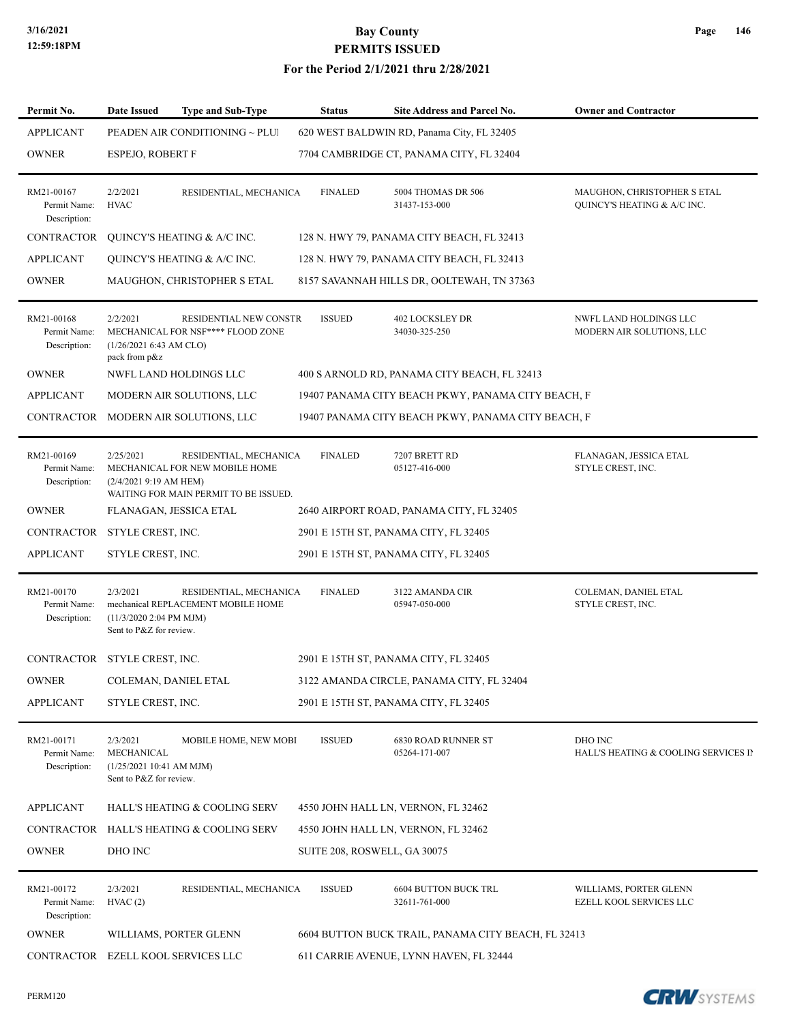#### **For the Period 2/1/2021 thru 2/28/2021**

| Permit No.                                 | Date Issued                                                                  | <b>Type and Sub-Type</b>                                                                          | <b>Status</b>  | <b>Site Address and Parcel No.</b>                  | <b>Owner and Contractor</b>                                |
|--------------------------------------------|------------------------------------------------------------------------------|---------------------------------------------------------------------------------------------------|----------------|-----------------------------------------------------|------------------------------------------------------------|
| <b>APPLICANT</b>                           |                                                                              | PEADEN AIR CONDITIONING ~ PLUI                                                                    |                | 620 WEST BALDWIN RD, Panama City, FL 32405          |                                                            |
| <b>OWNER</b>                               | ESPEJO, ROBERT F                                                             |                                                                                                   |                | 7704 CAMBRIDGE CT, PANAMA CITY, FL 32404            |                                                            |
| RM21-00167<br>Permit Name:<br>Description: | 2/2/2021<br><b>HVAC</b>                                                      | RESIDENTIAL, MECHANICA                                                                            | <b>FINALED</b> | 5004 THOMAS DR 506<br>31437-153-000                 | MAUGHON, CHRISTOPHER S ETAL<br>QUINCY'S HEATING & A/C INC. |
| CONTRACTOR                                 |                                                                              | QUINCY'S HEATING & A/C INC.                                                                       |                | 128 N. HWY 79, PANAMA CITY BEACH, FL 32413          |                                                            |
| <b>APPLICANT</b>                           |                                                                              | QUINCY'S HEATING & A/C INC.                                                                       |                | 128 N. HWY 79, PANAMA CITY BEACH, FL 32413          |                                                            |
| <b>OWNER</b>                               |                                                                              | MAUGHON, CHRISTOPHER S ETAL                                                                       |                | 8157 SAVANNAH HILLS DR, OOLTEWAH, TN 37363          |                                                            |
| RM21-00168<br>Permit Name:<br>Description: | 2/2/2021<br>(1/26/20216:43 AM CLO)<br>pack from p&z                          | RESIDENTIAL NEW CONSTR<br>MECHANICAL FOR NSF**** FLOOD ZONE                                       | <b>ISSUED</b>  | <b>402 LOCKSLEY DR</b><br>34030-325-250             | NWFL LAND HOLDINGS LLC<br>MODERN AIR SOLUTIONS, LLC        |
| <b>OWNER</b>                               |                                                                              | NWFL LAND HOLDINGS LLC                                                                            |                | 400 S ARNOLD RD, PANAMA CITY BEACH, FL 32413        |                                                            |
| <b>APPLICANT</b>                           |                                                                              | MODERN AIR SOLUTIONS, LLC                                                                         |                | 19407 PANAMA CITY BEACH PKWY, PANAMA CITY BEACH, F  |                                                            |
| CONTRACTOR                                 |                                                                              | MODERN AIR SOLUTIONS, LLC                                                                         |                | 19407 PANAMA CITY BEACH PKWY, PANAMA CITY BEACH, F  |                                                            |
| RM21-00169<br>Permit Name:<br>Description: | 2/25/2021<br>$(2/4/2021919)$ AM HEM)                                         | RESIDENTIAL, MECHANICA<br>MECHANICAL FOR NEW MOBILE HOME<br>WAITING FOR MAIN PERMIT TO BE ISSUED. | <b>FINALED</b> | 7207 BRETT RD<br>05127-416-000                      | FLANAGAN, JESSICA ETAL<br>STYLE CREST, INC.                |
| <b>OWNER</b>                               | FLANAGAN, JESSICA ETAL                                                       |                                                                                                   |                | 2640 AIRPORT ROAD, PANAMA CITY, FL 32405            |                                                            |
| CONTRACTOR                                 | STYLE CREST, INC.                                                            |                                                                                                   |                | 2901 E 15TH ST, PANAMA CITY, FL 32405               |                                                            |
| <b>APPLICANT</b>                           | STYLE CREST, INC.                                                            |                                                                                                   |                | 2901 E 15TH ST, PANAMA CITY, FL 32405               |                                                            |
| RM21-00170<br>Permit Name:<br>Description: | 2/3/2021<br>(11/3/2020 2:04 PM MJM)<br>Sent to P&Z for review.               | RESIDENTIAL, MECHANICA<br>mechanical REPLACEMENT MOBILE HOME                                      | <b>FINALED</b> | 3122 AMANDA CIR<br>05947-050-000                    | COLEMAN, DANIEL ETAL<br>STYLE CREST, INC.                  |
| CONTRACTOR STYLE CREST, INC.               |                                                                              |                                                                                                   |                | 2901 E 15TH ST, PANAMA CITY, FL 32405               |                                                            |
| <b>OWNER</b>                               | COLEMAN, DANIEL ETAL                                                         |                                                                                                   |                | 3122 AMANDA CIRCLE, PANAMA CITY, FL 32404           |                                                            |
| <b>APPLICANT</b>                           | STYLE CREST, INC.                                                            |                                                                                                   |                | 2901 E 15TH ST, PANAMA CITY, FL 32405               |                                                            |
| RM21-00171<br>Permit Name:<br>Description: | 2/3/2021<br>MECHANICAL<br>(1/25/202110:41 AM MJM)<br>Sent to P&Z for review. | MOBILE HOME, NEW MOBI                                                                             | <b>ISSUED</b>  | 6830 ROAD RUNNER ST<br>05264-171-007                | DHO INC<br>HALL'S HEATING & COOLING SERVICES IP            |
| <b>APPLICANT</b>                           |                                                                              | HALL'S HEATING & COOLING SERV                                                                     |                | 4550 JOHN HALL LN, VERNON, FL 32462                 |                                                            |
| CONTRACTOR                                 |                                                                              | HALL'S HEATING & COOLING SERV                                                                     |                | 4550 JOHN HALL LN, VERNON, FL 32462                 |                                                            |
| <b>OWNER</b>                               | DHO INC                                                                      |                                                                                                   |                | SUITE 208, ROSWELL, GA 30075                        |                                                            |
| RM21-00172<br>Permit Name:<br>Description: | 2/3/2021<br>HVAC(2)                                                          | RESIDENTIAL, MECHANICA                                                                            | <b>ISSUED</b>  | <b>6604 BUTTON BUCK TRL</b><br>32611-761-000        | WILLIAMS, PORTER GLENN<br>EZELL KOOL SERVICES LLC          |
| <b>OWNER</b>                               |                                                                              | WILLIAMS, PORTER GLENN                                                                            |                | 6604 BUTTON BUCK TRAIL, PANAMA CITY BEACH, FL 32413 |                                                            |
| CONTRACTOR EZELL KOOL SERVICES LLC         |                                                                              |                                                                                                   |                | 611 CARRIE AVENUE, LYNN HAVEN, FL 32444             |                                                            |

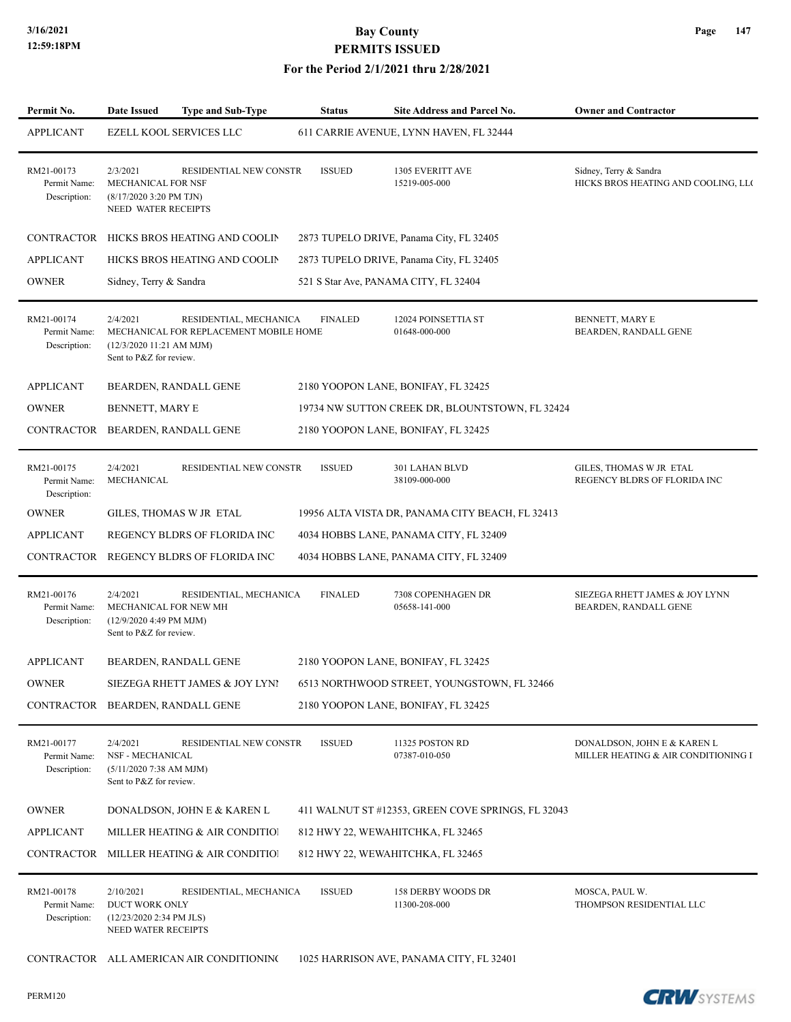#### **For the Period 2/1/2021 thru 2/28/2021**

| Permit No.                                 | <b>Date Issued</b>                                                                                  | <b>Type and Sub-Type</b>                                         | <b>Status</b>  | Site Address and Parcel No.                        | <b>Owner and Contractor</b>                                        |
|--------------------------------------------|-----------------------------------------------------------------------------------------------------|------------------------------------------------------------------|----------------|----------------------------------------------------|--------------------------------------------------------------------|
| <b>APPLICANT</b>                           |                                                                                                     | EZELL KOOL SERVICES LLC                                          |                | 611 CARRIE AVENUE, LYNN HAVEN, FL 32444            |                                                                    |
| RM21-00173<br>Permit Name:<br>Description: | 2/3/2021<br>MECHANICAL FOR NSF<br>$(8/17/20203:20$ PM TJN)<br>NEED WATER RECEIPTS                   | RESIDENTIAL NEW CONSTR                                           | <b>ISSUED</b>  | 1305 EVERITT AVE<br>15219-005-000                  | Sidney, Terry & Sandra<br>HICKS BROS HEATING AND COOLING, LLC      |
| CONTRACTOR                                 |                                                                                                     | HICKS BROS HEATING AND COOLIN                                    |                | 2873 TUPELO DRIVE, Panama City, FL 32405           |                                                                    |
| <b>APPLICANT</b>                           |                                                                                                     | HICKS BROS HEATING AND COOLIN                                    |                | 2873 TUPELO DRIVE, Panama City, FL 32405           |                                                                    |
| <b>OWNER</b>                               | Sidney, Terry & Sandra                                                                              |                                                                  |                | 521 S Star Ave, PANAMA CITY, FL 32404              |                                                                    |
| RM21-00174<br>Permit Name:<br>Description: | 2/4/2021<br>(12/3/2020 11:21 AM MJM)<br>Sent to P&Z for review.                                     | RESIDENTIAL, MECHANICA<br>MECHANICAL FOR REPLACEMENT MOBILE HOME | <b>FINALED</b> | 12024 POINSETTIA ST<br>01648-000-000               | BENNETT, MARY E<br>BEARDEN, RANDALL GENE                           |
| <b>APPLICANT</b>                           |                                                                                                     | BEARDEN, RANDALL GENE                                            |                | 2180 YOOPON LANE, BONIFAY, FL 32425                |                                                                    |
| <b>OWNER</b>                               | BENNETT, MARY E                                                                                     |                                                                  |                | 19734 NW SUTTON CREEK DR, BLOUNTSTOWN, FL 32424    |                                                                    |
| CONTRACTOR                                 |                                                                                                     | BEARDEN, RANDALL GENE                                            |                | 2180 YOOPON LANE, BONIFAY, FL 32425                |                                                                    |
| RM21-00175<br>Permit Name:<br>Description: | 2/4/2021<br><b>MECHANICAL</b>                                                                       | RESIDENTIAL NEW CONSTR                                           | <b>ISSUED</b>  | 301 LAHAN BLVD<br>38109-000-000                    | <b>GILES. THOMAS W JR ETAL</b><br>REGENCY BLDRS OF FLORIDA INC     |
| <b>OWNER</b>                               |                                                                                                     | GILES, THOMAS W JR ETAL                                          |                | 19956 ALTA VISTA DR, PANAMA CITY BEACH, FL 32413   |                                                                    |
| <b>APPLICANT</b>                           |                                                                                                     | REGENCY BLDRS OF FLORIDA INC                                     |                | 4034 HOBBS LANE, PANAMA CITY, FL 32409             |                                                                    |
| CONTRACTOR                                 |                                                                                                     | REGENCY BLDRS OF FLORIDA INC                                     |                | 4034 HOBBS LANE, PANAMA CITY, FL 32409             |                                                                    |
| RM21-00176<br>Permit Name:<br>Description: | 2/4/2021<br>MECHANICAL FOR NEW MH<br>(12/9/2020 4:49 PM MJM)<br>Sent to P&Z for review.             | RESIDENTIAL, MECHANICA                                           | <b>FINALED</b> | 7308 COPENHAGEN DR<br>05658-141-000                | SIEZEGA RHETT JAMES & JOY LYNN<br>BEARDEN, RANDALL GENE            |
| <b>APPLICANT</b>                           |                                                                                                     | BEARDEN, RANDALL GENE                                            |                | 2180 YOOPON LANE, BONIFAY, FL 32425                |                                                                    |
| <b>OWNER</b>                               |                                                                                                     | SIEZEGA RHETT JAMES & JOY LYNI                                   |                | 6513 NORTHWOOD STREET, YOUNGSTOWN, FL 32466        |                                                                    |
| CONTRACTOR BEARDEN, RANDALL GENE           |                                                                                                     |                                                                  |                | 2180 YOOPON LANE, BONIFAY, FL 32425                |                                                                    |
| RM21-00177<br>Permit Name:<br>Description: | 2/4/2021<br>NSF - MECHANICAL<br>$(5/11/20207:38 \text{ AM} \text{ MJM})$<br>Sent to P&Z for review. | RESIDENTIAL NEW CONSTR                                           | <b>ISSUED</b>  | 11325 POSTON RD<br>07387-010-050                   | DONALDSON, JOHN E & KAREN L<br>MILLER HEATING & AIR CONDITIONING I |
| <b>OWNER</b>                               |                                                                                                     | DONALDSON, JOHN E & KAREN L                                      |                | 411 WALNUT ST #12353, GREEN COVE SPRINGS, FL 32043 |                                                                    |
| <b>APPLICANT</b>                           |                                                                                                     | MILLER HEATING & AIR CONDITIO!                                   |                | 812 HWY 22, WEWAHITCHKA, FL 32465                  |                                                                    |
| CONTRACTOR                                 |                                                                                                     | MILLER HEATING & AIR CONDITIO!                                   |                | 812 HWY 22, WEWAHITCHKA, FL 32465                  |                                                                    |
| RM21-00178<br>Permit Name:<br>Description: | 2/10/2021<br>DUCT WORK ONLY<br>$(12/23/20202:34 \text{ PM JLS})$<br>NEED WATER RECEIPTS             | RESIDENTIAL, MECHANICA                                           | <b>ISSUED</b>  | <b>158 DERBY WOODS DR</b><br>11300-208-000         | MOSCA, PAUL W.<br>THOMPSON RESIDENTIAL LLC                         |
|                                            |                                                                                                     | CONTRACTOR ALL AMERICAN AIR CONDITIONING                         |                | 1025 HARRISON AVE, PANAMA CITY, FL 32401           |                                                                    |

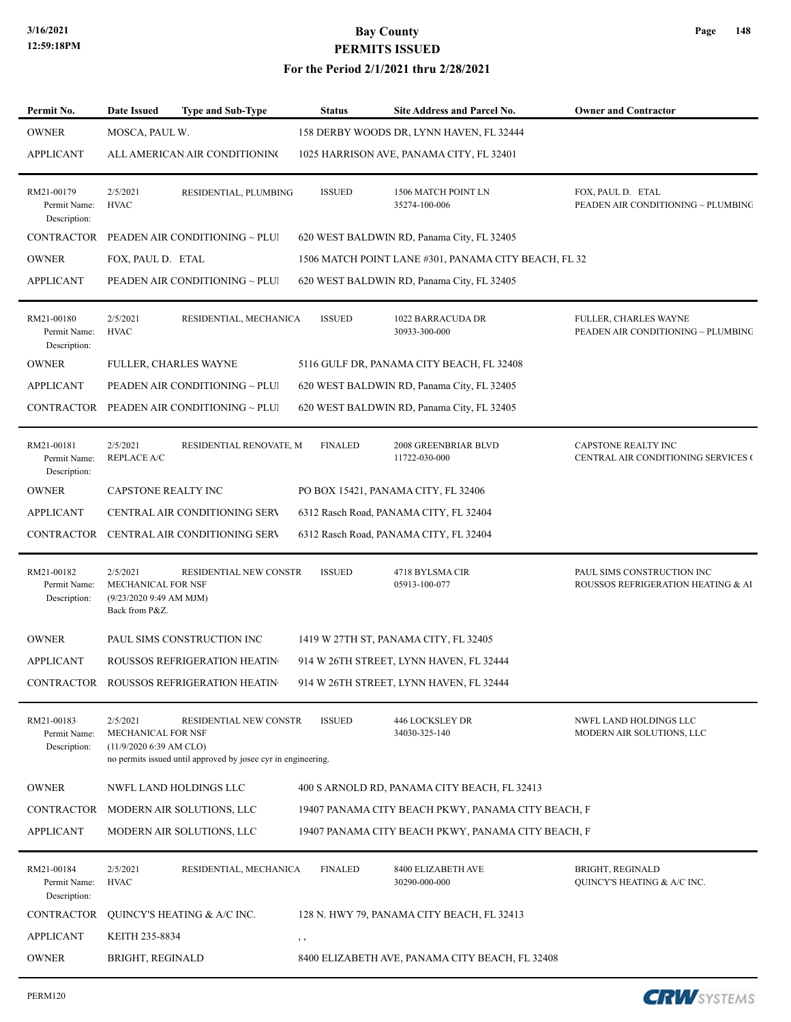| MOSCA, PAUL W.<br>158 DERBY WOODS DR, LYNN HAVEN, FL 32444<br>ALL AMERICAN AIR CONDITIONING<br>1025 HARRISON AVE, PANAMA CITY, FL 32401<br>2/5/2021<br>RESIDENTIAL, PLUMBING<br><b>ISSUED</b><br>1506 MATCH POINT LN<br>FOX, PAUL D. ETAL<br>Permit Name:<br><b>HVAC</b><br>35274-100-006<br>PEADEN AIR CONDITIONING ~ PLUMBING<br>Description:<br>PEADEN AIR CONDITIONING ~ PLUI<br>620 WEST BALDWIN RD, Panama City, FL 32405<br>FOX, PAUL D. ETAL<br>1506 MATCH POINT LANE #301, PANAMA CITY BEACH, FL 32<br>PEADEN AIR CONDITIONING ~ PLUI<br>620 WEST BALDWIN RD, Panama City, FL 32405<br><b>ISSUED</b><br>2/5/2021<br>RESIDENTIAL, MECHANICA<br>1022 BARRACUDA DR<br>FULLER, CHARLES WAYNE<br><b>HVAC</b><br>30933-300-000<br>PEADEN AIR CONDITIONING ~ PLUMBING<br>Permit Name:<br>Description:<br>FULLER, CHARLES WAYNE<br>5116 GULF DR, PANAMA CITY BEACH, FL 32408<br>PEADEN AIR CONDITIONING ~ PLUI<br>620 WEST BALDWIN RD, Panama City, FL 32405<br>PEADEN AIR CONDITIONING ~ PLUI<br>620 WEST BALDWIN RD, Panama City, FL 32405<br>2/5/2021<br>RESIDENTIAL RENOVATE, M<br><b>FINALED</b><br>2008 GREENBRIAR BLVD<br>CAPSTONE REALTY INC<br><b>REPLACE A/C</b><br>Permit Name:<br>11722-030-000<br>CENTRAL AIR CONDITIONING SERVICES (<br>Description:<br>CAPSTONE REALTY INC<br>PO BOX 15421, PANAMA CITY, FL 32406<br><b>CENTRAL AIR CONDITIONING SERV</b><br>6312 Rasch Road, PANAMA CITY, FL 32404<br>CENTRAL AIR CONDITIONING SERV<br>6312 Rasch Road, PANAMA CITY, FL 32404<br>2/5/2021<br>RESIDENTIAL NEW CONSTR<br><b>ISSUED</b><br>4718 BYLSMA CIR<br>PAUL SIMS CONSTRUCTION INC<br>Permit Name:<br>MECHANICAL FOR NSF<br>05913-100-077<br>ROUSSOS REFRIGERATION HEATING & AI<br>Description:<br>(9/23/2020 9:49 AM MJM)<br>Back from P&Z.<br>PAUL SIMS CONSTRUCTION INC<br>1419 W 27TH ST, PANAMA CITY, FL 32405<br>ROUSSOS REFRIGERATION HEATIN<br>914 W 26TH STREET, LYNN HAVEN, FL 32444<br>CONTRACTOR ROUSSOS REFRIGERATION HEATIN<br>914 W 26TH STREET, LYNN HAVEN, FL 32444<br>2/5/2021<br>RESIDENTIAL NEW CONSTR<br><b>ISSUED</b><br>446 LOCKSLEY DR<br>NWFL LAND HOLDINGS LLC<br>Permit Name:<br>MECHANICAL FOR NSF<br>34030-325-140<br>MODERN AIR SOLUTIONS, LLC<br>$(11/9/2020 6:39$ AM CLO)<br>Description:<br>no permits issued until approved by josee cyr in engineering.<br>NWFL LAND HOLDINGS LLC<br>400 S ARNOLD RD, PANAMA CITY BEACH, FL 32413<br>MODERN AIR SOLUTIONS, LLC<br>19407 PANAMA CITY BEACH PKWY, PANAMA CITY BEACH, F<br>MODERN AIR SOLUTIONS, LLC<br>19407 PANAMA CITY BEACH PKWY, PANAMA CITY BEACH, F<br>2/5/2021<br>RESIDENTIAL, MECHANICA<br><b>FINALED</b><br>8400 ELIZABETH AVE<br><b>BRIGHT, REGINALD</b><br><b>HVAC</b><br>Permit Name:<br>30290-000-000<br>QUINCY'S HEATING & A/C INC.<br>Description:<br>QUINCY'S HEATING & A/C INC.<br>128 N. HWY 79, PANAMA CITY BEACH, FL 32413<br>KEITH 235-8834<br>$, \,$<br>BRIGHT, REGINALD<br>8400 ELIZABETH AVE, PANAMA CITY BEACH, FL 32408 | Permit No.        | <b>Date Issued</b> | <b>Type and Sub-Type</b> | <b>Status</b> | <b>Site Address and Parcel No.</b> | <b>Owner and Contractor</b> |
|--------------------------------------------------------------------------------------------------------------------------------------------------------------------------------------------------------------------------------------------------------------------------------------------------------------------------------------------------------------------------------------------------------------------------------------------------------------------------------------------------------------------------------------------------------------------------------------------------------------------------------------------------------------------------------------------------------------------------------------------------------------------------------------------------------------------------------------------------------------------------------------------------------------------------------------------------------------------------------------------------------------------------------------------------------------------------------------------------------------------------------------------------------------------------------------------------------------------------------------------------------------------------------------------------------------------------------------------------------------------------------------------------------------------------------------------------------------------------------------------------------------------------------------------------------------------------------------------------------------------------------------------------------------------------------------------------------------------------------------------------------------------------------------------------------------------------------------------------------------------------------------------------------------------------------------------------------------------------------------------------------------------------------------------------------------------------------------------------------------------------------------------------------------------------------------------------------------------------------------------------------------------------------------------------------------------------------------------------------------------------------------------------------------------------------------------------------------------------------------------------------------------------------------------------------------------------------------------------------------------------------------------------------------------------------------------------------------------------------------------------------------------------------------------------------------------------------------------------------------------------------------------------------------------------------------------------------|-------------------|--------------------|--------------------------|---------------|------------------------------------|-----------------------------|
|                                                                                                                                                                                                                                                                                                                                                                                                                                                                                                                                                                                                                                                                                                                                                                                                                                                                                                                                                                                                                                                                                                                                                                                                                                                                                                                                                                                                                                                                                                                                                                                                                                                                                                                                                                                                                                                                                                                                                                                                                                                                                                                                                                                                                                                                                                                                                                                                                                                                                                                                                                                                                                                                                                                                                                                                                                                                                                                                                        | <b>OWNER</b>      |                    |                          |               |                                    |                             |
|                                                                                                                                                                                                                                                                                                                                                                                                                                                                                                                                                                                                                                                                                                                                                                                                                                                                                                                                                                                                                                                                                                                                                                                                                                                                                                                                                                                                                                                                                                                                                                                                                                                                                                                                                                                                                                                                                                                                                                                                                                                                                                                                                                                                                                                                                                                                                                                                                                                                                                                                                                                                                                                                                                                                                                                                                                                                                                                                                        | <b>APPLICANT</b>  |                    |                          |               |                                    |                             |
|                                                                                                                                                                                                                                                                                                                                                                                                                                                                                                                                                                                                                                                                                                                                                                                                                                                                                                                                                                                                                                                                                                                                                                                                                                                                                                                                                                                                                                                                                                                                                                                                                                                                                                                                                                                                                                                                                                                                                                                                                                                                                                                                                                                                                                                                                                                                                                                                                                                                                                                                                                                                                                                                                                                                                                                                                                                                                                                                                        | RM21-00179        |                    |                          |               |                                    |                             |
|                                                                                                                                                                                                                                                                                                                                                                                                                                                                                                                                                                                                                                                                                                                                                                                                                                                                                                                                                                                                                                                                                                                                                                                                                                                                                                                                                                                                                                                                                                                                                                                                                                                                                                                                                                                                                                                                                                                                                                                                                                                                                                                                                                                                                                                                                                                                                                                                                                                                                                                                                                                                                                                                                                                                                                                                                                                                                                                                                        | CONTRACTOR        |                    |                          |               |                                    |                             |
|                                                                                                                                                                                                                                                                                                                                                                                                                                                                                                                                                                                                                                                                                                                                                                                                                                                                                                                                                                                                                                                                                                                                                                                                                                                                                                                                                                                                                                                                                                                                                                                                                                                                                                                                                                                                                                                                                                                                                                                                                                                                                                                                                                                                                                                                                                                                                                                                                                                                                                                                                                                                                                                                                                                                                                                                                                                                                                                                                        | <b>OWNER</b>      |                    |                          |               |                                    |                             |
|                                                                                                                                                                                                                                                                                                                                                                                                                                                                                                                                                                                                                                                                                                                                                                                                                                                                                                                                                                                                                                                                                                                                                                                                                                                                                                                                                                                                                                                                                                                                                                                                                                                                                                                                                                                                                                                                                                                                                                                                                                                                                                                                                                                                                                                                                                                                                                                                                                                                                                                                                                                                                                                                                                                                                                                                                                                                                                                                                        | <b>APPLICANT</b>  |                    |                          |               |                                    |                             |
|                                                                                                                                                                                                                                                                                                                                                                                                                                                                                                                                                                                                                                                                                                                                                                                                                                                                                                                                                                                                                                                                                                                                                                                                                                                                                                                                                                                                                                                                                                                                                                                                                                                                                                                                                                                                                                                                                                                                                                                                                                                                                                                                                                                                                                                                                                                                                                                                                                                                                                                                                                                                                                                                                                                                                                                                                                                                                                                                                        | RM21-00180        |                    |                          |               |                                    |                             |
|                                                                                                                                                                                                                                                                                                                                                                                                                                                                                                                                                                                                                                                                                                                                                                                                                                                                                                                                                                                                                                                                                                                                                                                                                                                                                                                                                                                                                                                                                                                                                                                                                                                                                                                                                                                                                                                                                                                                                                                                                                                                                                                                                                                                                                                                                                                                                                                                                                                                                                                                                                                                                                                                                                                                                                                                                                                                                                                                                        | <b>OWNER</b>      |                    |                          |               |                                    |                             |
|                                                                                                                                                                                                                                                                                                                                                                                                                                                                                                                                                                                                                                                                                                                                                                                                                                                                                                                                                                                                                                                                                                                                                                                                                                                                                                                                                                                                                                                                                                                                                                                                                                                                                                                                                                                                                                                                                                                                                                                                                                                                                                                                                                                                                                                                                                                                                                                                                                                                                                                                                                                                                                                                                                                                                                                                                                                                                                                                                        | <b>APPLICANT</b>  |                    |                          |               |                                    |                             |
|                                                                                                                                                                                                                                                                                                                                                                                                                                                                                                                                                                                                                                                                                                                                                                                                                                                                                                                                                                                                                                                                                                                                                                                                                                                                                                                                                                                                                                                                                                                                                                                                                                                                                                                                                                                                                                                                                                                                                                                                                                                                                                                                                                                                                                                                                                                                                                                                                                                                                                                                                                                                                                                                                                                                                                                                                                                                                                                                                        | CONTRACTOR        |                    |                          |               |                                    |                             |
|                                                                                                                                                                                                                                                                                                                                                                                                                                                                                                                                                                                                                                                                                                                                                                                                                                                                                                                                                                                                                                                                                                                                                                                                                                                                                                                                                                                                                                                                                                                                                                                                                                                                                                                                                                                                                                                                                                                                                                                                                                                                                                                                                                                                                                                                                                                                                                                                                                                                                                                                                                                                                                                                                                                                                                                                                                                                                                                                                        | RM21-00181        |                    |                          |               |                                    |                             |
|                                                                                                                                                                                                                                                                                                                                                                                                                                                                                                                                                                                                                                                                                                                                                                                                                                                                                                                                                                                                                                                                                                                                                                                                                                                                                                                                                                                                                                                                                                                                                                                                                                                                                                                                                                                                                                                                                                                                                                                                                                                                                                                                                                                                                                                                                                                                                                                                                                                                                                                                                                                                                                                                                                                                                                                                                                                                                                                                                        | <b>OWNER</b>      |                    |                          |               |                                    |                             |
|                                                                                                                                                                                                                                                                                                                                                                                                                                                                                                                                                                                                                                                                                                                                                                                                                                                                                                                                                                                                                                                                                                                                                                                                                                                                                                                                                                                                                                                                                                                                                                                                                                                                                                                                                                                                                                                                                                                                                                                                                                                                                                                                                                                                                                                                                                                                                                                                                                                                                                                                                                                                                                                                                                                                                                                                                                                                                                                                                        | <b>APPLICANT</b>  |                    |                          |               |                                    |                             |
|                                                                                                                                                                                                                                                                                                                                                                                                                                                                                                                                                                                                                                                                                                                                                                                                                                                                                                                                                                                                                                                                                                                                                                                                                                                                                                                                                                                                                                                                                                                                                                                                                                                                                                                                                                                                                                                                                                                                                                                                                                                                                                                                                                                                                                                                                                                                                                                                                                                                                                                                                                                                                                                                                                                                                                                                                                                                                                                                                        | <b>CONTRACTOR</b> |                    |                          |               |                                    |                             |
|                                                                                                                                                                                                                                                                                                                                                                                                                                                                                                                                                                                                                                                                                                                                                                                                                                                                                                                                                                                                                                                                                                                                                                                                                                                                                                                                                                                                                                                                                                                                                                                                                                                                                                                                                                                                                                                                                                                                                                                                                                                                                                                                                                                                                                                                                                                                                                                                                                                                                                                                                                                                                                                                                                                                                                                                                                                                                                                                                        | RM21-00182        |                    |                          |               |                                    |                             |
|                                                                                                                                                                                                                                                                                                                                                                                                                                                                                                                                                                                                                                                                                                                                                                                                                                                                                                                                                                                                                                                                                                                                                                                                                                                                                                                                                                                                                                                                                                                                                                                                                                                                                                                                                                                                                                                                                                                                                                                                                                                                                                                                                                                                                                                                                                                                                                                                                                                                                                                                                                                                                                                                                                                                                                                                                                                                                                                                                        | <b>OWNER</b>      |                    |                          |               |                                    |                             |
|                                                                                                                                                                                                                                                                                                                                                                                                                                                                                                                                                                                                                                                                                                                                                                                                                                                                                                                                                                                                                                                                                                                                                                                                                                                                                                                                                                                                                                                                                                                                                                                                                                                                                                                                                                                                                                                                                                                                                                                                                                                                                                                                                                                                                                                                                                                                                                                                                                                                                                                                                                                                                                                                                                                                                                                                                                                                                                                                                        | <b>APPLICANT</b>  |                    |                          |               |                                    |                             |
|                                                                                                                                                                                                                                                                                                                                                                                                                                                                                                                                                                                                                                                                                                                                                                                                                                                                                                                                                                                                                                                                                                                                                                                                                                                                                                                                                                                                                                                                                                                                                                                                                                                                                                                                                                                                                                                                                                                                                                                                                                                                                                                                                                                                                                                                                                                                                                                                                                                                                                                                                                                                                                                                                                                                                                                                                                                                                                                                                        |                   |                    |                          |               |                                    |                             |
|                                                                                                                                                                                                                                                                                                                                                                                                                                                                                                                                                                                                                                                                                                                                                                                                                                                                                                                                                                                                                                                                                                                                                                                                                                                                                                                                                                                                                                                                                                                                                                                                                                                                                                                                                                                                                                                                                                                                                                                                                                                                                                                                                                                                                                                                                                                                                                                                                                                                                                                                                                                                                                                                                                                                                                                                                                                                                                                                                        | RM21-00183        |                    |                          |               |                                    |                             |
|                                                                                                                                                                                                                                                                                                                                                                                                                                                                                                                                                                                                                                                                                                                                                                                                                                                                                                                                                                                                                                                                                                                                                                                                                                                                                                                                                                                                                                                                                                                                                                                                                                                                                                                                                                                                                                                                                                                                                                                                                                                                                                                                                                                                                                                                                                                                                                                                                                                                                                                                                                                                                                                                                                                                                                                                                                                                                                                                                        | <b>OWNER</b>      |                    |                          |               |                                    |                             |
|                                                                                                                                                                                                                                                                                                                                                                                                                                                                                                                                                                                                                                                                                                                                                                                                                                                                                                                                                                                                                                                                                                                                                                                                                                                                                                                                                                                                                                                                                                                                                                                                                                                                                                                                                                                                                                                                                                                                                                                                                                                                                                                                                                                                                                                                                                                                                                                                                                                                                                                                                                                                                                                                                                                                                                                                                                                                                                                                                        | CONTRACTOR        |                    |                          |               |                                    |                             |
|                                                                                                                                                                                                                                                                                                                                                                                                                                                                                                                                                                                                                                                                                                                                                                                                                                                                                                                                                                                                                                                                                                                                                                                                                                                                                                                                                                                                                                                                                                                                                                                                                                                                                                                                                                                                                                                                                                                                                                                                                                                                                                                                                                                                                                                                                                                                                                                                                                                                                                                                                                                                                                                                                                                                                                                                                                                                                                                                                        | <b>APPLICANT</b>  |                    |                          |               |                                    |                             |
|                                                                                                                                                                                                                                                                                                                                                                                                                                                                                                                                                                                                                                                                                                                                                                                                                                                                                                                                                                                                                                                                                                                                                                                                                                                                                                                                                                                                                                                                                                                                                                                                                                                                                                                                                                                                                                                                                                                                                                                                                                                                                                                                                                                                                                                                                                                                                                                                                                                                                                                                                                                                                                                                                                                                                                                                                                                                                                                                                        | RM21-00184        |                    |                          |               |                                    |                             |
|                                                                                                                                                                                                                                                                                                                                                                                                                                                                                                                                                                                                                                                                                                                                                                                                                                                                                                                                                                                                                                                                                                                                                                                                                                                                                                                                                                                                                                                                                                                                                                                                                                                                                                                                                                                                                                                                                                                                                                                                                                                                                                                                                                                                                                                                                                                                                                                                                                                                                                                                                                                                                                                                                                                                                                                                                                                                                                                                                        | <b>CONTRACTOR</b> |                    |                          |               |                                    |                             |
|                                                                                                                                                                                                                                                                                                                                                                                                                                                                                                                                                                                                                                                                                                                                                                                                                                                                                                                                                                                                                                                                                                                                                                                                                                                                                                                                                                                                                                                                                                                                                                                                                                                                                                                                                                                                                                                                                                                                                                                                                                                                                                                                                                                                                                                                                                                                                                                                                                                                                                                                                                                                                                                                                                                                                                                                                                                                                                                                                        | <b>APPLICANT</b>  |                    |                          |               |                                    |                             |
|                                                                                                                                                                                                                                                                                                                                                                                                                                                                                                                                                                                                                                                                                                                                                                                                                                                                                                                                                                                                                                                                                                                                                                                                                                                                                                                                                                                                                                                                                                                                                                                                                                                                                                                                                                                                                                                                                                                                                                                                                                                                                                                                                                                                                                                                                                                                                                                                                                                                                                                                                                                                                                                                                                                                                                                                                                                                                                                                                        | <b>OWNER</b>      |                    |                          |               |                                    |                             |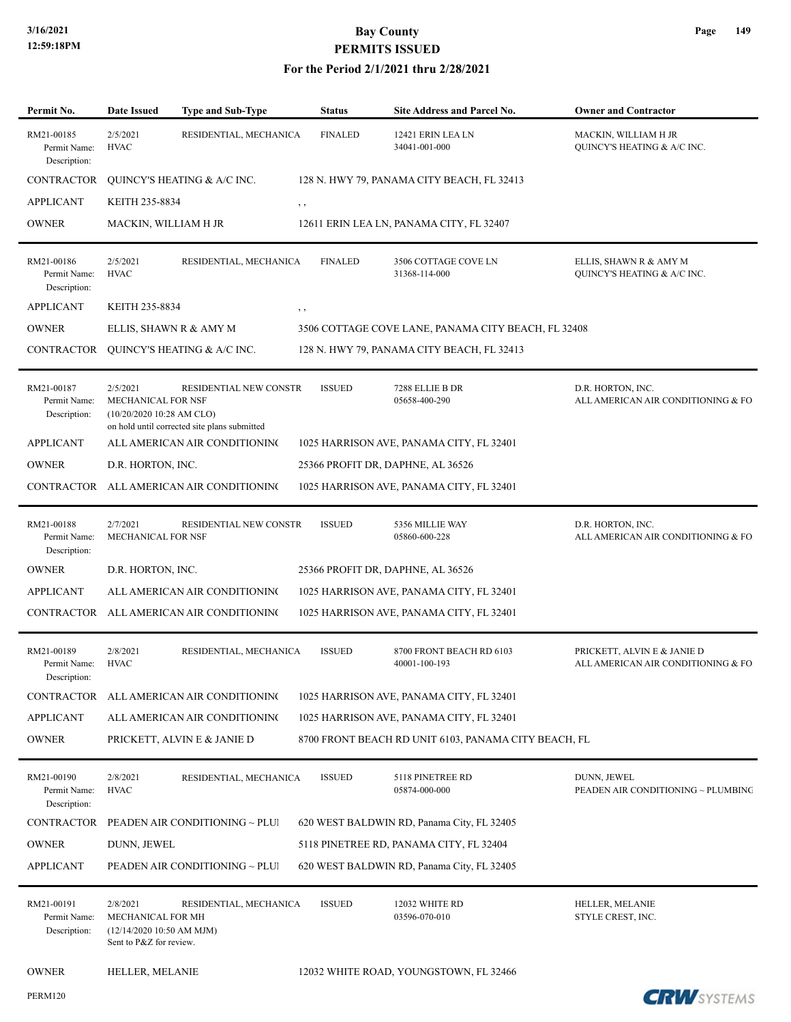| Permit No.                                 | Date Issued                                                                           | Type and Sub-Type                                                      | <b>Status</b>  | Site Address and Parcel No.                          | <b>Owner and Contractor</b>                                        |
|--------------------------------------------|---------------------------------------------------------------------------------------|------------------------------------------------------------------------|----------------|------------------------------------------------------|--------------------------------------------------------------------|
| RM21-00185<br>Permit Name:<br>Description: | 2/5/2021<br><b>HVAC</b>                                                               | RESIDENTIAL, MECHANICA                                                 | <b>FINALED</b> | 12421 ERIN LEA LN<br>34041-001-000                   | MACKIN, WILLIAM H JR<br><b>QUINCY'S HEATING &amp; A/C INC.</b>     |
| <b>CONTRACTOR</b>                          |                                                                                       | QUINCY'S HEATING & A/C INC.                                            |                | 128 N. HWY 79, PANAMA CITY BEACH, FL 32413           |                                                                    |
| <b>APPLICANT</b>                           | KEITH 235-8834                                                                        | , ,                                                                    |                |                                                      |                                                                    |
| <b>OWNER</b>                               | MACKIN, WILLIAM H JR                                                                  |                                                                        |                | 12611 ERIN LEA LN, PANAMA CITY, FL 32407             |                                                                    |
| RM21-00186<br>Permit Name:<br>Description: | 2/5/2021<br><b>HVAC</b>                                                               | RESIDENTIAL, MECHANICA                                                 | <b>FINALED</b> | 3506 COTTAGE COVE LN<br>31368-114-000                | ELLIS, SHAWN R & AMY M<br>QUINCY'S HEATING & A/C INC.              |
| <b>APPLICANT</b>                           | KEITH 235-8834                                                                        | , ,                                                                    |                |                                                      |                                                                    |
| <b>OWNER</b>                               |                                                                                       | ELLIS, SHAWN R & AMY M                                                 |                | 3506 COTTAGE COVE LANE, PANAMA CITY BEACH, FL 32408  |                                                                    |
| CONTRACTOR                                 |                                                                                       | QUINCY'S HEATING & A/C INC.                                            |                | 128 N. HWY 79, PANAMA CITY BEACH, FL 32413           |                                                                    |
| RM21-00187<br>Permit Name:<br>Description: | 2/5/2021<br>MECHANICAL FOR NSF<br>(10/20/2020 10:28 AM CLO)                           | RESIDENTIAL NEW CONSTR<br>on hold until corrected site plans submitted | <b>ISSUED</b>  | 7288 ELLIE B DR<br>05658-400-290                     | D.R. HORTON, INC.<br>ALL AMERICAN AIR CONDITIONING & FO.           |
| <b>APPLICANT</b>                           |                                                                                       | ALL AMERICAN AIR CONDITIONING                                          |                | 1025 HARRISON AVE, PANAMA CITY, FL 32401             |                                                                    |
| <b>OWNER</b>                               | D.R. HORTON, INC.                                                                     |                                                                        |                | 25366 PROFIT DR, DAPHNE, AL 36526                    |                                                                    |
| CONTRACTOR                                 |                                                                                       | ALL AMERICAN AIR CONDITIONING                                          |                | 1025 HARRISON AVE, PANAMA CITY, FL 32401             |                                                                    |
| RM21-00188<br>Permit Name:<br>Description: | 2/7/2021<br>MECHANICAL FOR NSF                                                        | RESIDENTIAL NEW CONSTR                                                 | <b>ISSUED</b>  | 5356 MILLIE WAY<br>05860-600-228                     | D.R. HORTON, INC.<br>ALL AMERICAN AIR CONDITIONING & FO.           |
| <b>OWNER</b>                               | D.R. HORTON, INC.                                                                     |                                                                        |                | 25366 PROFIT DR, DAPHNE, AL 36526                    |                                                                    |
| <b>APPLICANT</b>                           |                                                                                       | ALL AMERICAN AIR CONDITIONING                                          |                | 1025 HARRISON AVE, PANAMA CITY, FL 32401             |                                                                    |
| CONTRACTOR                                 |                                                                                       | ALL AMERICAN AIR CONDITIONING                                          |                | 1025 HARRISON AVE, PANAMA CITY, FL 32401             |                                                                    |
| RM21-00189<br>Permit Name:<br>Description: | 2/8/2021<br><b>HVAC</b>                                                               | RESIDENTIAL, MECHANICA                                                 | <b>ISSUED</b>  | 8700 FRONT BEACH RD 6103<br>40001-100-193            | PRICKETT, ALVIN E & JANIE D<br>ALL AMERICAN AIR CONDITIONING & FO. |
|                                            |                                                                                       | CONTRACTOR ALL AMERICAN AIR CONDITIONING                               |                | 1025 HARRISON AVE, PANAMA CITY, FL 32401             |                                                                    |
| <b>APPLICANT</b>                           |                                                                                       | ALL AMERICAN AIR CONDITIONING                                          |                | 1025 HARRISON AVE, PANAMA CITY, FL 32401             |                                                                    |
| <b>OWNER</b>                               |                                                                                       | PRICKETT, ALVIN E & JANIE D                                            |                | 8700 FRONT BEACH RD UNIT 6103, PANAMA CITY BEACH, FL |                                                                    |
| RM21-00190<br>Permit Name:<br>Description: | 2/8/2021<br><b>HVAC</b>                                                               | RESIDENTIAL, MECHANICA                                                 | <b>ISSUED</b>  | 5118 PINETREE RD<br>05874-000-000                    | DUNN, JEWEL<br>PEADEN AIR CONDITIONING ~ PLUMBING                  |
| <b>CONTRACTOR</b>                          |                                                                                       | PEADEN AIR CONDITIONING ~ PLUI                                         |                | 620 WEST BALDWIN RD, Panama City, FL 32405           |                                                                    |
| <b>OWNER</b>                               | DUNN, JEWEL                                                                           |                                                                        |                | 5118 PINETREE RD, PANAMA CITY, FL 32404              |                                                                    |
| <b>APPLICANT</b>                           |                                                                                       | PEADEN AIR CONDITIONING ~ PLUI                                         |                | 620 WEST BALDWIN RD, Panama City, FL 32405           |                                                                    |
| RM21-00191<br>Permit Name:<br>Description: | 2/8/2021<br>MECHANICAL FOR MH<br>(12/14/2020 10:50 AM MJM)<br>Sent to P&Z for review. | RESIDENTIAL, MECHANICA                                                 | <b>ISSUED</b>  | 12032 WHITE RD<br>03596-070-010                      | HELLER, MELANIE<br>STYLE CREST, INC.                               |
| <b>OWNER</b>                               | HELLER, MELANIE                                                                       |                                                                        |                | 12032 WHITE ROAD, YOUNGSTOWN, FL 32466               |                                                                    |
| <b>PERM120</b>                             |                                                                                       |                                                                        |                |                                                      | <b>CRW</b> SYSTEMS                                                 |

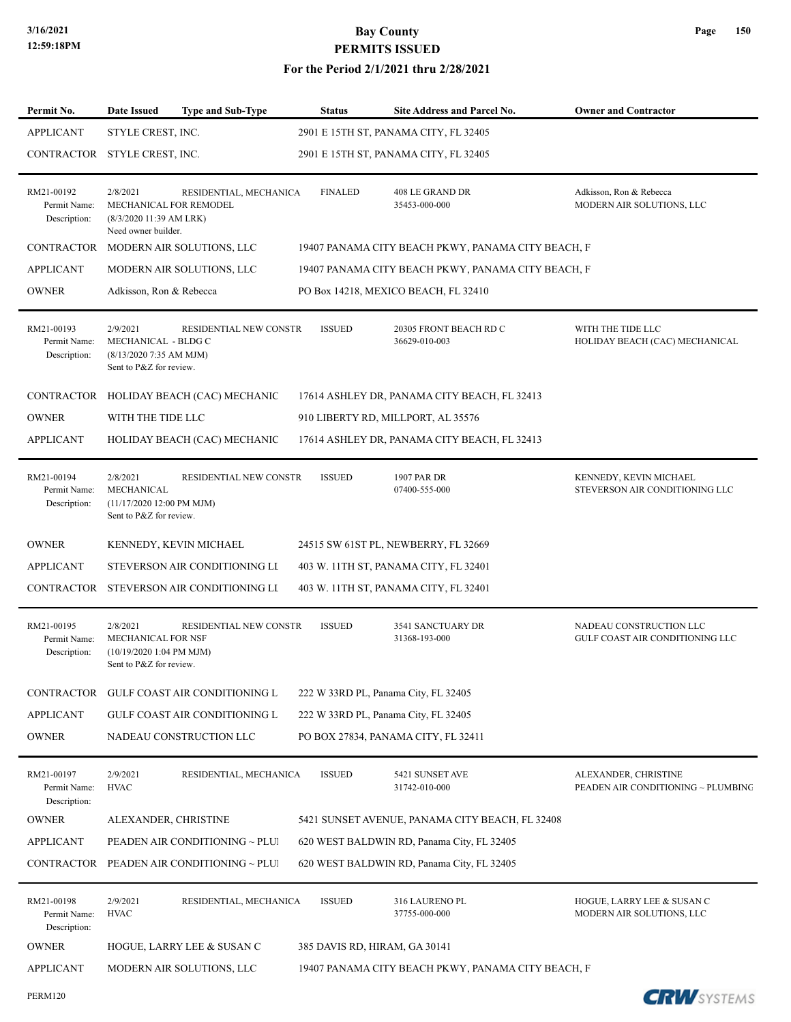PERM120

# **3/16/2021 Bay County PERMITS ISSUED**

| Page | 150 |
|------|-----|
|------|-----|

| Permit No.                                 | <b>Date Issued</b>                                                                            | <b>Type and Sub-Type</b>                 | <b>Status</b>                 | <b>Site Address and Parcel No.</b>                 | <b>Owner and Contractor</b>                                |
|--------------------------------------------|-----------------------------------------------------------------------------------------------|------------------------------------------|-------------------------------|----------------------------------------------------|------------------------------------------------------------|
| <b>APPLICANT</b>                           | STYLE CREST, INC.                                                                             |                                          |                               | 2901 E 15TH ST, PANAMA CITY, FL 32405              |                                                            |
| CONTRACTOR STYLE CREST, INC.               |                                                                                               |                                          |                               | 2901 E 15TH ST, PANAMA CITY, FL 32405              |                                                            |
| RM21-00192<br>Permit Name:<br>Description: | 2/8/2021<br>MECHANICAL FOR REMODEL<br>(8/3/2020 11:39 AM LRK)<br>Need owner builder.          | RESIDENTIAL, MECHANICA                   | <b>FINALED</b>                | 408 LE GRAND DR<br>35453-000-000                   | Adkisson, Ron & Rebecca<br>MODERN AIR SOLUTIONS, LLC       |
|                                            |                                                                                               | CONTRACTOR MODERN AIR SOLUTIONS, LLC     |                               | 19407 PANAMA CITY BEACH PKWY, PANAMA CITY BEACH, F |                                                            |
| <b>APPLICANT</b>                           |                                                                                               | MODERN AIR SOLUTIONS, LLC                |                               | 19407 PANAMA CITY BEACH PKWY, PANAMA CITY BEACH, F |                                                            |
| <b>OWNER</b>                               | Adkisson, Ron & Rebecca                                                                       |                                          |                               | PO Box 14218, MEXICO BEACH, FL 32410               |                                                            |
| RM21-00193<br>Permit Name:<br>Description: | 2/9/2021<br>MECHANICAL - BLDG C<br>(8/13/2020 7:35 AM MJM)<br>Sent to P&Z for review.         | RESIDENTIAL NEW CONSTR                   | <b>ISSUED</b>                 | 20305 FRONT BEACH RD C<br>36629-010-003            | WITH THE TIDE LLC<br>HOLIDAY BEACH (CAC) MECHANICAL        |
|                                            |                                                                                               | CONTRACTOR HOLIDAY BEACH (CAC) MECHANIC  |                               | 17614 ASHLEY DR, PANAMA CITY BEACH, FL 32413       |                                                            |
| <b>OWNER</b>                               | WITH THE TIDE LLC                                                                             |                                          |                               | 910 LIBERTY RD, MILLPORT, AL 35576                 |                                                            |
| <b>APPLICANT</b>                           |                                                                                               | HOLIDAY BEACH (CAC) MECHANIC             |                               | 17614 ASHLEY DR, PANAMA CITY BEACH, FL 32413       |                                                            |
| RM21-00194<br>Permit Name:<br>Description: | 2/8/2021<br>MECHANICAL<br>(11/17/2020 12:00 PM MJM)<br>Sent to P&Z for review.                | RESIDENTIAL NEW CONSTR                   | <b>ISSUED</b>                 | 1907 PAR DR<br>07400-555-000                       | KENNEDY, KEVIN MICHAEL<br>STEVERSON AIR CONDITIONING LLC   |
| <b>OWNER</b>                               |                                                                                               | KENNEDY, KEVIN MICHAEL                   |                               | 24515 SW 61ST PL, NEWBERRY, FL 32669               |                                                            |
| <b>APPLICANT</b>                           |                                                                                               | STEVERSON AIR CONDITIONING LI            |                               | 403 W. 11TH ST, PANAMA CITY, FL 32401              |                                                            |
|                                            |                                                                                               | CONTRACTOR STEVERSON AIR CONDITIONING LI |                               | 403 W. 11TH ST, PANAMA CITY, FL 32401              |                                                            |
| RM21-00195<br>Permit Name:<br>Description: | 2/8/2021<br><b>MECHANICAL FOR NSF</b><br>$(10/19/20201:04$ PM MJM)<br>Sent to P&Z for review. | RESIDENTIAL NEW CONSTR                   | <b>ISSUED</b>                 | 3541 SANCTUARY DR<br>31368-193-000                 | NADEAU CONSTRUCTION LLC<br>GULF COAST AIR CONDITIONING LLC |
|                                            |                                                                                               | CONTRACTOR GULF COAST AIR CONDITIONING L |                               | 222 W 33RD PL, Panama City, FL 32405               |                                                            |
| <b>APPLICANT</b>                           |                                                                                               | GULF COAST AIR CONDITIONING L            |                               | 222 W 33RD PL, Panama City, FL 32405               |                                                            |
| OWNER                                      |                                                                                               | NADEAU CONSTRUCTION LLC                  |                               | PO BOX 27834, PANAMA CITY, FL 32411                |                                                            |
| RM21-00197<br>Permit Name:<br>Description: | 2/9/2021<br><b>HVAC</b>                                                                       | RESIDENTIAL, MECHANICA                   | <b>ISSUED</b>                 | 5421 SUNSET AVE<br>31742-010-000                   | ALEXANDER, CHRISTINE<br>PEADEN AIR CONDITIONING ~ PLUMBING |
| <b>OWNER</b>                               | ALEXANDER, CHRISTINE                                                                          |                                          |                               | 5421 SUNSET AVENUE, PANAMA CITY BEACH, FL 32408    |                                                            |
| <b>APPLICANT</b>                           |                                                                                               | PEADEN AIR CONDITIONING ~ PLUI           |                               | 620 WEST BALDWIN RD, Panama City, FL 32405         |                                                            |
| CONTRACTOR                                 |                                                                                               | PEADEN AIR CONDITIONING ~ PLUI           |                               | 620 WEST BALDWIN RD, Panama City, FL 32405         |                                                            |
| RM21-00198<br>Permit Name:<br>Description: | 2/9/2021<br><b>HVAC</b>                                                                       | RESIDENTIAL, MECHANICA                   | <b>ISSUED</b>                 | 316 LAURENO PL<br>37755-000-000                    | HOGUE, LARRY LEE & SUSAN C<br>MODERN AIR SOLUTIONS, LLC    |
| <b>OWNER</b>                               |                                                                                               | HOGUE, LARRY LEE & SUSAN C               | 385 DAVIS RD, HIRAM, GA 30141 |                                                    |                                                            |
| <b>APPLICANT</b>                           |                                                                                               | MODERN AIR SOLUTIONS, LLC                |                               | 19407 PANAMA CITY BEACH PKWY, PANAMA CITY BEACH, F |                                                            |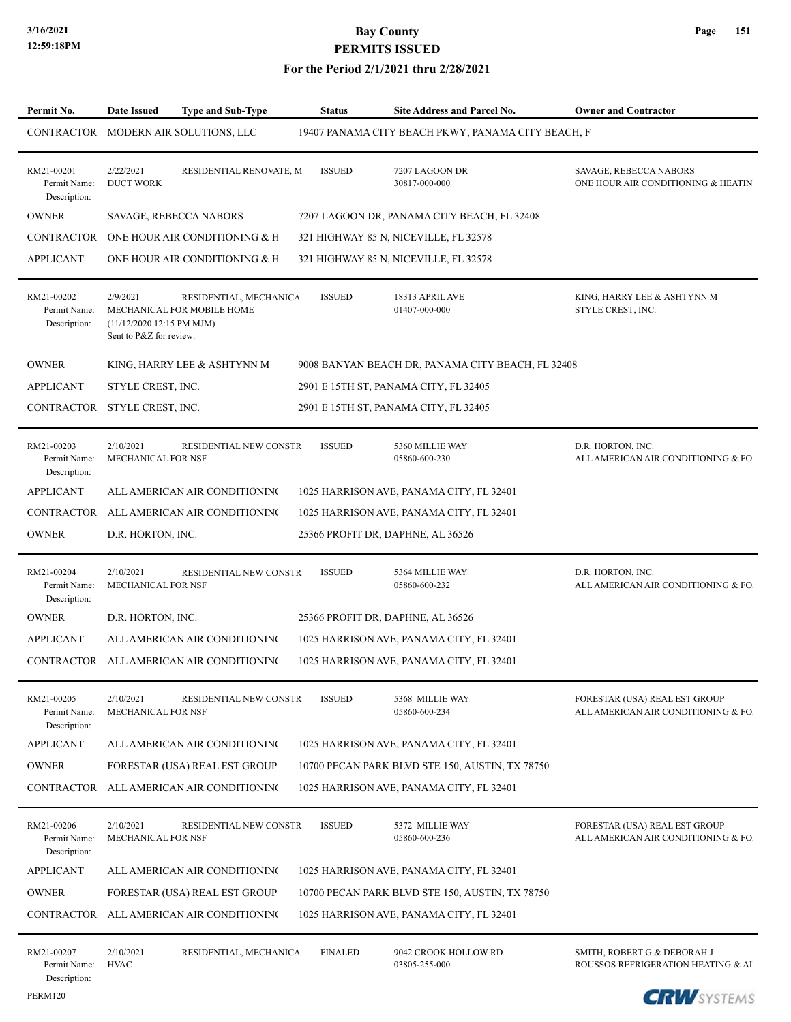PERM120

# **3/16/2021 Bay County PERMITS ISSUED**

| Permit No.                                 | Date Issued<br><b>Type and Sub-Type</b>                                                                                  | <b>Status</b>  | <b>Site Address and Parcel No.</b>                 | <b>Owner and Contractor</b>                                          |
|--------------------------------------------|--------------------------------------------------------------------------------------------------------------------------|----------------|----------------------------------------------------|----------------------------------------------------------------------|
| CONTRACTOR                                 | MODERN AIR SOLUTIONS, LLC                                                                                                |                | 19407 PANAMA CITY BEACH PKWY, PANAMA CITY BEACH, F |                                                                      |
| RM21-00201<br>Permit Name:<br>Description: | 2/22/2021<br>RESIDENTIAL RENOVATE, M<br><b>DUCT WORK</b>                                                                 | <b>ISSUED</b>  | 7207 LAGOON DR<br>30817-000-000                    | SAVAGE, REBECCA NABORS<br>ONE HOUR AIR CONDITIONING & HEATIN         |
| <b>OWNER</b>                               | SAVAGE, REBECCA NABORS                                                                                                   |                | 7207 LAGOON DR, PANAMA CITY BEACH, FL 32408        |                                                                      |
| <b>CONTRACTOR</b>                          | ONE HOUR AIR CONDITIONING & H                                                                                            |                | 321 HIGHWAY 85 N, NICEVILLE, FL 32578              |                                                                      |
| <b>APPLICANT</b>                           | ONE HOUR AIR CONDITIONING & H                                                                                            |                | 321 HIGHWAY 85 N, NICEVILLE, FL 32578              |                                                                      |
| RM21-00202<br>Permit Name:<br>Description: | 2/9/2021<br>RESIDENTIAL, MECHANICA<br>MECHANICAL FOR MOBILE HOME<br>(11/12/2020 12:15 PM MJM)<br>Sent to P&Z for review. | <b>ISSUED</b>  | 18313 APRIL AVE<br>01407-000-000                   | KING, HARRY LEE & ASHTYNN M<br>STYLE CREST, INC.                     |
| <b>OWNER</b>                               | KING, HARRY LEE & ASHTYNN M                                                                                              |                | 9008 BANYAN BEACH DR, PANAMA CITY BEACH, FL 32408  |                                                                      |
| <b>APPLICANT</b>                           | STYLE CREST, INC.                                                                                                        |                | 2901 E 15TH ST, PANAMA CITY, FL 32405              |                                                                      |
| CONTRACTOR                                 | STYLE CREST, INC.                                                                                                        |                | 2901 E 15TH ST, PANAMA CITY, FL 32405              |                                                                      |
| RM21-00203<br>Permit Name:<br>Description: | 2/10/2021<br>RESIDENTIAL NEW CONSTR<br>MECHANICAL FOR NSF                                                                | <b>ISSUED</b>  | 5360 MILLIE WAY<br>05860-600-230                   | D.R. HORTON, INC.<br>ALL AMERICAN AIR CONDITIONING & FO.             |
| <b>APPLICANT</b>                           | ALL AMERICAN AIR CONDITIONING                                                                                            |                | 1025 HARRISON AVE, PANAMA CITY, FL 32401           |                                                                      |
| <b>CONTRACTOR</b>                          | ALL AMERICAN AIR CONDITIONING                                                                                            |                | 1025 HARRISON AVE, PANAMA CITY, FL 32401           |                                                                      |
| <b>OWNER</b>                               | D.R. HORTON, INC.                                                                                                        |                | 25366 PROFIT DR, DAPHNE, AL 36526                  |                                                                      |
| RM21-00204<br>Permit Name:<br>Description: | 2/10/2021<br>RESIDENTIAL NEW CONSTR<br>MECHANICAL FOR NSF                                                                | <b>ISSUED</b>  | 5364 MILLIE WAY<br>05860-600-232                   | D.R. HORTON, INC.<br>ALL AMERICAN AIR CONDITIONING & FO.             |
| <b>OWNER</b>                               | D.R. HORTON, INC.                                                                                                        |                | 25366 PROFIT DR, DAPHNE, AL 36526                  |                                                                      |
| <b>APPLICANT</b>                           | ALL AMERICAN AIR CONDITIONING                                                                                            |                | 1025 HARRISON AVE, PANAMA CITY, FL 32401           |                                                                      |
| CONTRACTOR                                 | ALL AMERICAN AIR CONDITIONING                                                                                            |                | 1025 HARRISON AVE, PANAMA CITY, FL 32401           |                                                                      |
| RM21-00205<br>Permit Name:<br>Description: | 2/10/2021<br>RESIDENTIAL NEW CONSTR<br>MECHANICAL FOR NSF                                                                | <b>ISSUED</b>  | 5368 MILLIE WAY<br>05860-600-234                   | FORESTAR (USA) REAL EST GROUP<br>ALL AMERICAN AIR CONDITIONING & FO. |
| <b>APPLICANT</b>                           | ALL AMERICAN AIR CONDITIONING                                                                                            |                | 1025 HARRISON AVE, PANAMA CITY, FL 32401           |                                                                      |
| <b>OWNER</b>                               | FORESTAR (USA) REAL EST GROUP                                                                                            |                | 10700 PECAN PARK BLVD STE 150, AUSTIN, TX 78750    |                                                                      |
| CONTRACTOR                                 | ALL AMERICAN AIR CONDITIONING                                                                                            |                | 1025 HARRISON AVE, PANAMA CITY, FL 32401           |                                                                      |
| RM21-00206<br>Permit Name:<br>Description: | 2/10/2021<br>RESIDENTIAL NEW CONSTR<br>MECHANICAL FOR NSF                                                                | <b>ISSUED</b>  | 5372 MILLIE WAY<br>05860-600-236                   | FORESTAR (USA) REAL EST GROUP<br>ALL AMERICAN AIR CONDITIONING & FO. |
| <b>APPLICANT</b>                           | ALL AMERICAN AIR CONDITIONING                                                                                            |                | 1025 HARRISON AVE, PANAMA CITY, FL 32401           |                                                                      |
| <b>OWNER</b>                               | FORESTAR (USA) REAL EST GROUP                                                                                            |                | 10700 PECAN PARK BLVD STE 150, AUSTIN, TX 78750    |                                                                      |
| CONTRACTOR                                 | ALL AMERICAN AIR CONDITIONING                                                                                            |                | 1025 HARRISON AVE, PANAMA CITY, FL 32401           |                                                                      |
| RM21-00207<br>Permit Name:<br>Description: | 2/10/2021<br>RESIDENTIAL, MECHANICA<br><b>HVAC</b>                                                                       | <b>FINALED</b> | 9042 CROOK HOLLOW RD<br>03805-255-000              | SMITH, ROBERT G & DEBORAH J<br>ROUSSOS REFRIGERATION HEATING & AI    |

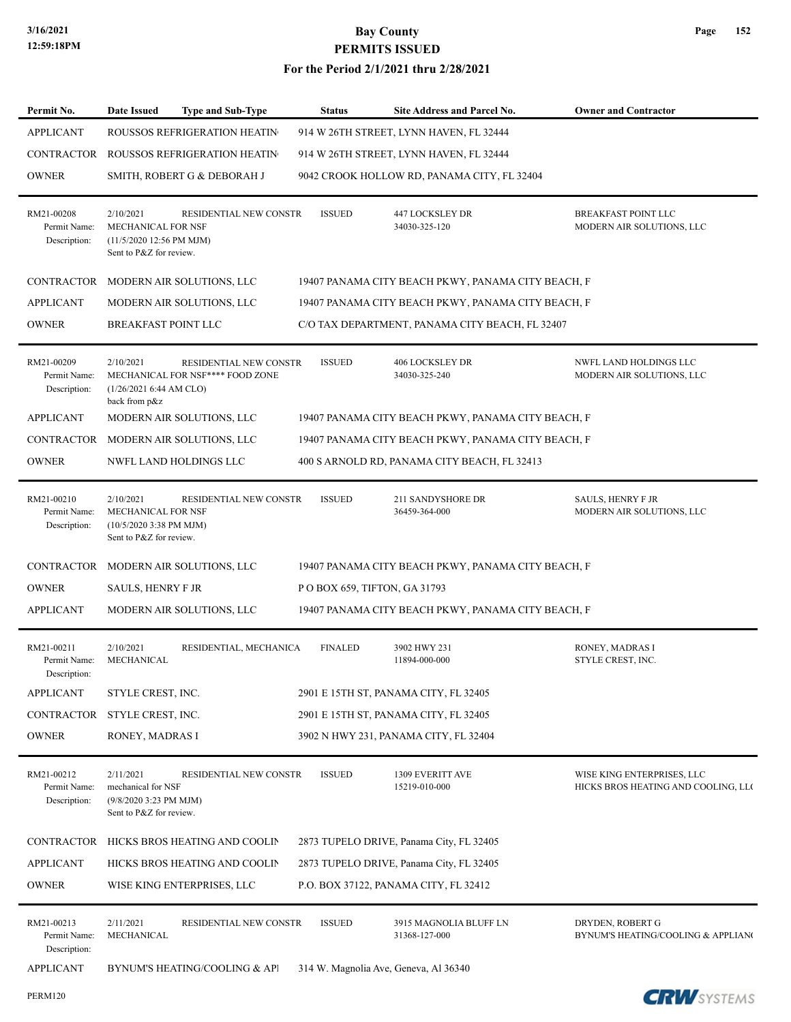| Permit No.                                 | <b>Type and Sub-Type</b><br>Date Issued                                                                                  | <b>Status</b>                 | <b>Site Address and Parcel No.</b>                 | <b>Owner and Contractor</b>                                       |
|--------------------------------------------|--------------------------------------------------------------------------------------------------------------------------|-------------------------------|----------------------------------------------------|-------------------------------------------------------------------|
| <b>APPLICANT</b>                           | ROUSSOS REFRIGERATION HEATIN                                                                                             |                               | 914 W 26TH STREET, LYNN HAVEN, FL 32444            |                                                                   |
| CONTRACTOR                                 | ROUSSOS REFRIGERATION HEATIN                                                                                             |                               | 914 W 26TH STREET, LYNN HAVEN, FL 32444            |                                                                   |
| <b>OWNER</b>                               | SMITH, ROBERT G & DEBORAH J                                                                                              |                               | 9042 CROOK HOLLOW RD, PANAMA CITY, FL 32404        |                                                                   |
| RM21-00208<br>Permit Name:<br>Description: | 2/10/2021<br>RESIDENTIAL NEW CONSTR<br>MECHANICAL FOR NSF<br>(11/5/2020 12:56 PM MJM)<br>Sent to P&Z for review.         | <b>ISSUED</b>                 | 447 LOCKSLEY DR<br>34030-325-120                   | <b>BREAKFAST POINT LLC</b><br>MODERN AIR SOLUTIONS, LLC           |
|                                            | CONTRACTOR MODERN AIR SOLUTIONS, LLC                                                                                     |                               | 19407 PANAMA CITY BEACH PKWY, PANAMA CITY BEACH, F |                                                                   |
| <b>APPLICANT</b>                           | MODERN AIR SOLUTIONS, LLC                                                                                                |                               | 19407 PANAMA CITY BEACH PKWY, PANAMA CITY BEACH, F |                                                                   |
| <b>OWNER</b>                               | <b>BREAKFAST POINT LLC</b>                                                                                               |                               | C/O TAX DEPARTMENT, PANAMA CITY BEACH, FL 32407    |                                                                   |
| RM21-00209<br>Permit Name:<br>Description: | 2/10/2021<br>RESIDENTIAL NEW CONSTR<br>MECHANICAL FOR NSF**** FOOD ZONE<br>(1/26/2021 6:44 AM CLO)<br>back from p&z      | <b>ISSUED</b>                 | <b>406 LOCKSLEY DR</b><br>34030-325-240            | NWFL LAND HOLDINGS LLC<br>MODERN AIR SOLUTIONS, LLC               |
| <b>APPLICANT</b>                           | MODERN AIR SOLUTIONS, LLC                                                                                                |                               | 19407 PANAMA CITY BEACH PKWY, PANAMA CITY BEACH, F |                                                                   |
| CONTRACTOR                                 | MODERN AIR SOLUTIONS, LLC                                                                                                |                               | 19407 PANAMA CITY BEACH PKWY, PANAMA CITY BEACH, F |                                                                   |
| <b>OWNER</b>                               | NWFL LAND HOLDINGS LLC                                                                                                   |                               | 400 S ARNOLD RD, PANAMA CITY BEACH, FL 32413       |                                                                   |
| RM21-00210<br>Permit Name:<br>Description: | 2/10/2021<br>RESIDENTIAL NEW CONSTR<br>MECHANICAL FOR NSF<br>$(10/5/20203:38 \text{ PM MJM})$<br>Sent to P&Z for review. | <b>ISSUED</b>                 | 211 SANDYSHORE DR<br>36459-364-000                 | <b>SAULS, HENRY F JR</b><br>MODERN AIR SOLUTIONS, LLC             |
|                                            | CONTRACTOR MODERN AIR SOLUTIONS, LLC                                                                                     |                               | 19407 PANAMA CITY BEACH PKWY, PANAMA CITY BEACH, F |                                                                   |
| <b>OWNER</b>                               | SAULS, HENRY F JR                                                                                                        | P O BOX 659, TIFTON, GA 31793 |                                                    |                                                                   |
| <b>APPLICANT</b>                           | MODERN AIR SOLUTIONS, LLC                                                                                                |                               | 19407 PANAMA CITY BEACH PKWY, PANAMA CITY BEACH, F |                                                                   |
| RM21-00211<br>Permit Name:<br>Description: | 2/10/2021<br>RESIDENTIAL, MECHANICA<br>MECHANICAL                                                                        | <b>FINALED</b>                | 3902 HWY 231<br>11894-000-000                      | RONEY, MADRAS I<br>STYLE CREST, INC.                              |
| <b>APPLICANT</b>                           | STYLE CREST, INC.                                                                                                        |                               | 2901 E 15TH ST, PANAMA CITY, FL 32405              |                                                                   |
| CONTRACTOR                                 | STYLE CREST, INC.                                                                                                        |                               | 2901 E 15TH ST, PANAMA CITY, FL 32405              |                                                                   |
| <b>OWNER</b>                               | RONEY, MADRAS I                                                                                                          |                               | 3902 N HWY 231, PANAMA CITY, FL 32404              |                                                                   |
| RM21-00212<br>Permit Name:<br>Description: | 2/11/2021<br>RESIDENTIAL NEW CONSTR<br>mechanical for NSF<br>(9/8/2020 3:23 PM MJM)<br>Sent to P&Z for review.           | <b>ISSUED</b>                 | 1309 EVERITT AVE<br>15219-010-000                  | WISE KING ENTERPRISES, LLC<br>HICKS BROS HEATING AND COOLING, LLC |
| CONTRACTOR                                 | HICKS BROS HEATING AND COOLIN                                                                                            |                               | 2873 TUPELO DRIVE, Panama City, FL 32405           |                                                                   |
| <b>APPLICANT</b>                           | HICKS BROS HEATING AND COOLIN                                                                                            |                               | 2873 TUPELO DRIVE, Panama City, FL 32405           |                                                                   |
| <b>OWNER</b>                               | WISE KING ENTERPRISES, LLC                                                                                               |                               | P.O. BOX 37122, PANAMA CITY, FL 32412              |                                                                   |
| RM21-00213<br>Permit Name:<br>Description: | 2/11/2021<br>RESIDENTIAL NEW CONSTR<br>MECHANICAL                                                                        | <b>ISSUED</b>                 | 3915 MAGNOLIA BLUFF LN<br>31368-127-000            | DRYDEN, ROBERT G<br>BYNUM'S HEATING/COOLING & APPLIANO            |
| <b>APPLICANT</b>                           | BYNUM'S HEATING/COOLING & API                                                                                            |                               | 314 W. Magnolia Ave, Geneva, Al 36340              |                                                                   |

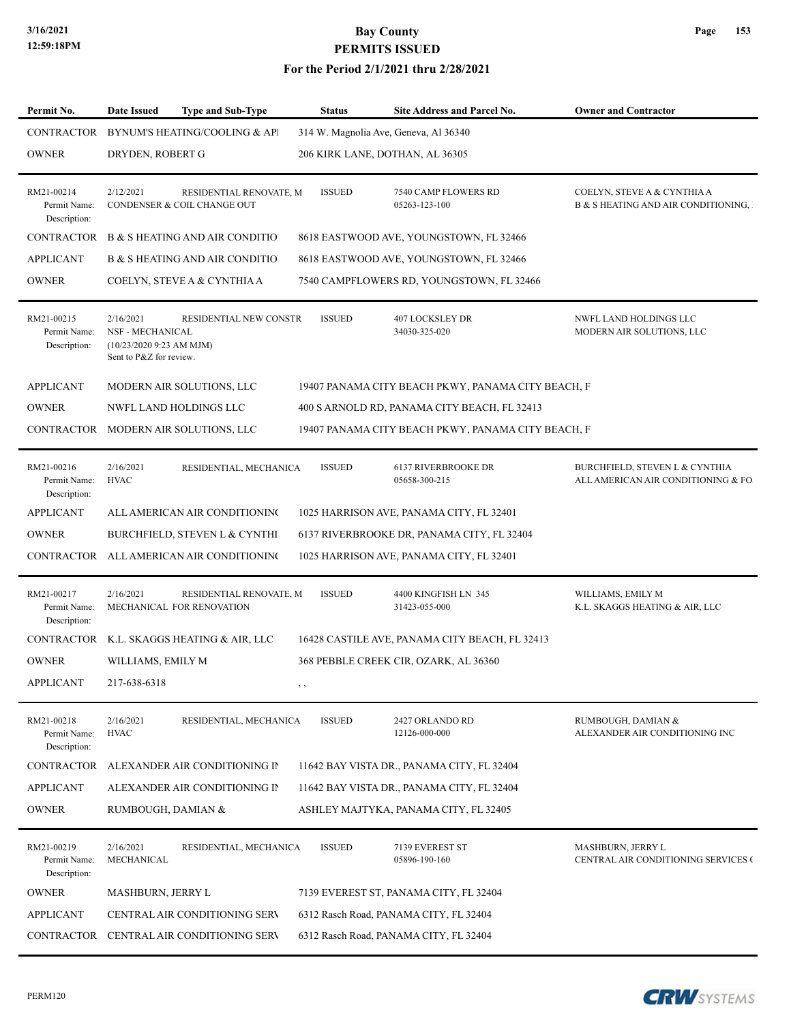### **3/16/2021 Bay County PERMITS ISSUED**

#### **For the Period 2/1/2021 thru 2/28/2021**

| Permit No.                                 | Date Issued                                                                           | <b>Type and Sub-Type</b>                               | <b>Status</b> | Site Address and Parcel No.                        | <b>Owner and Contractor</b>                                           |
|--------------------------------------------|---------------------------------------------------------------------------------------|--------------------------------------------------------|---------------|----------------------------------------------------|-----------------------------------------------------------------------|
| CONTRACTOR                                 |                                                                                       | BYNUM'S HEATING/COOLING & API                          |               | 314 W. Magnolia Ave, Geneva, Al 36340              |                                                                       |
| <b>OWNER</b>                               | DRYDEN, ROBERT G                                                                      |                                                        |               | 206 KIRK LANE, DOTHAN, AL 36305                    |                                                                       |
| RM21-00214<br>Permit Name:<br>Description: | 2/12/2021                                                                             | RESIDENTIAL RENOVATE, M<br>CONDENSER & COIL CHANGE OUT | <b>ISSUED</b> | 7540 CAMP FLOWERS RD<br>05263-123-100              | COELYN, STEVE A & CYNTHIA A<br>B & S HEATING AND AIR CONDITIONING, I  |
| <b>CONTRACTOR</b>                          |                                                                                       | <b>B &amp; S HEATING AND AIR CONDITIO</b>              |               | 8618 EASTWOOD AVE, YOUNGSTOWN, FL 32466            |                                                                       |
| APPLICANT                                  |                                                                                       | <b>B &amp; S HEATING AND AIR CONDITIO</b>              |               | 8618 EASTWOOD AVE, YOUNGSTOWN, FL 32466            |                                                                       |
| <b>OWNER</b>                               |                                                                                       | COELYN, STEVE A & CYNTHIA A                            |               | 7540 CAMPFLOWERS RD, YOUNGSTOWN, FL 32466          |                                                                       |
| RM21-00215<br>Permit Name:<br>Description: | 2/16/2021<br>NSF - MECHANICAL<br>$(10/23/20209:23$ AM MJM)<br>Sent to P&Z for review. | <b>RESIDENTIAL NEW CONSTR</b>                          | <b>ISSUED</b> | 407 LOCKSLEY DR<br>34030-325-020                   | NWFL LAND HOLDINGS LLC<br>MODERN AIR SOLUTIONS, LLC                   |
| <b>APPLICANT</b>                           |                                                                                       | MODERN AIR SOLUTIONS, LLC                              |               | 19407 PANAMA CITY BEACH PKWY, PANAMA CITY BEACH, F |                                                                       |
| <b>OWNER</b>                               |                                                                                       | <b>NWFL LAND HOLDINGS LLC</b>                          |               | 400 S ARNOLD RD, PANAMA CITY BEACH, FL 32413       |                                                                       |
|                                            |                                                                                       | CONTRACTOR MODERN AIR SOLUTIONS, LLC                   |               | 19407 PANAMA CITY BEACH PKWY, PANAMA CITY BEACH, F |                                                                       |
| RM21-00216<br>Permit Name:<br>Description: | 2/16/2021<br><b>HVAC</b>                                                              | RESIDENTIAL, MECHANICA                                 | <b>ISSUED</b> | <b>6137 RIVERBROOKE DR</b><br>05658-300-215        | BURCHFIELD, STEVEN L & CYNTHIA<br>ALL AMERICAN AIR CONDITIONING & FO. |
| <b>APPLICANT</b>                           |                                                                                       | ALL AMERICAN AIR CONDITIONING                          |               | 1025 HARRISON AVE, PANAMA CITY, FL 32401           |                                                                       |
| <b>OWNER</b>                               |                                                                                       | BURCHFIELD, STEVEN L & CYNTHI                          |               | 6137 RIVERBROOKE DR, PANAMA CITY, FL 32404         |                                                                       |
| <b>CONTRACTOR</b>                          |                                                                                       | ALL AMERICAN AIR CONDITIONING                          |               | 1025 HARRISON AVE, PANAMA CITY, FL 32401           |                                                                       |
| RM21-00217<br>Permit Name:<br>Description: | 2/16/2021                                                                             | RESIDENTIAL RENOVATE, M<br>MECHANICAL FOR RENOVATION   | <b>ISSUED</b> | 4400 KINGFISH LN 345<br>31423-055-000              | WILLIAMS, EMILY M<br>K.L. SKAGGS HEATING & AIR, LLC                   |
| <b>CONTRACTOR</b>                          |                                                                                       | K.L. SKAGGS HEATING & AIR, LLC                         |               | 16428 CASTILE AVE, PANAMA CITY BEACH, FL 32413     |                                                                       |
| <b>OWNER</b>                               | WILLIAMS, EMILY M                                                                     |                                                        |               | 368 PEBBLE CREEK CIR, OZARK, AL 36360              |                                                                       |
| APPLICANT                                  | 217-638-6318                                                                          |                                                        | , ,           |                                                    |                                                                       |
| RM21-00218<br>Permit Name:<br>Description: | 2/16/2021<br><b>HVAC</b>                                                              | RESIDENTIAL, MECHANICA                                 | <b>ISSUED</b> | 2427 ORLANDO RD<br>12126-000-000                   | RUMBOUGH, DAMIAN &<br>ALEXANDER AIR CONDITIONING INC                  |
| <b>CONTRACTOR</b>                          |                                                                                       | ALEXANDER AIR CONDITIONING II                          |               | 11642 BAY VISTA DR., PANAMA CITY, FL 32404         |                                                                       |
| <b>APPLICANT</b>                           |                                                                                       | ALEXANDER AIR CONDITIONING II                          |               | 11642 BAY VISTA DR., PANAMA CITY, FL 32404         |                                                                       |
| <b>OWNER</b>                               | RUMBOUGH, DAMIAN &                                                                    |                                                        |               | ASHLEY MAJTYKA, PANAMA CITY, FL 32405              |                                                                       |
| RM21-00219<br>Permit Name:<br>Description: | 2/16/2021<br>MECHANICAL                                                               | RESIDENTIAL, MECHANICA                                 | <b>ISSUED</b> | 7139 EVEREST ST<br>05896-190-160                   | MASHBURN, JERRY L<br>CENTRAL AIR CONDITIONING SERVICES (              |
| <b>OWNER</b>                               | MASHBURN, JERRY L                                                                     |                                                        |               | 7139 EVEREST ST, PANAMA CITY, FL 32404             |                                                                       |
| <b>APPLICANT</b>                           |                                                                                       | CENTRAL AIR CONDITIONING SERV                          |               | 6312 Rasch Road, PANAMA CITY, FL 32404             |                                                                       |
| CONTRACTOR                                 |                                                                                       | CENTRAL AIR CONDITIONING SERV                          |               | 6312 Rasch Road, PANAMA CITY, FL 32404             |                                                                       |



**Page 153**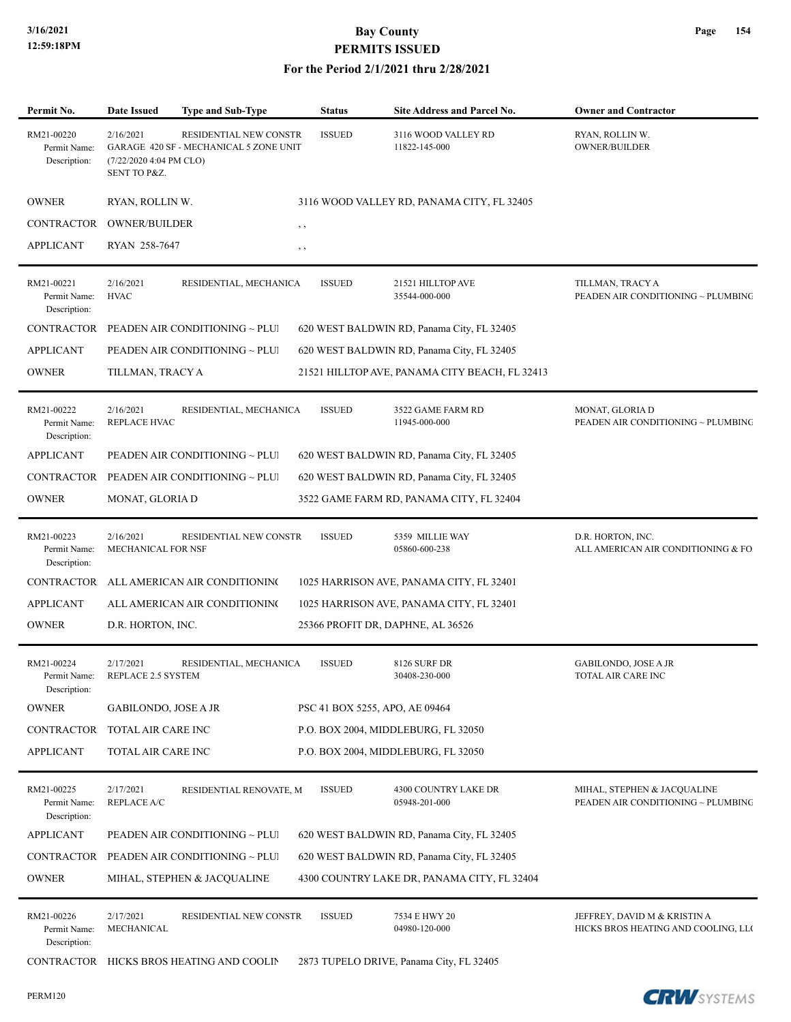#### **For the Period 2/1/2021 thru 2/28/2021**

| Permit No.                                 | <b>Date Issued</b>                                   | <b>Type and Sub-Type</b>                                         | <b>Status</b>                  | Site Address and Parcel No.                    | <b>Owner and Contractor</b>                                         |
|--------------------------------------------|------------------------------------------------------|------------------------------------------------------------------|--------------------------------|------------------------------------------------|---------------------------------------------------------------------|
| RM21-00220<br>Permit Name:<br>Description: | 2/16/2021<br>(7/22/2020 4:04 PM CLO)<br>SENT TO P&Z. | RESIDENTIAL NEW CONSTR<br>GARAGE 420 SF - MECHANICAL 5 ZONE UNIT | <b>ISSUED</b>                  | 3116 WOOD VALLEY RD<br>11822-145-000           | RYAN, ROLLIN W.<br><b>OWNER/BUILDER</b>                             |
| <b>OWNER</b>                               | RYAN, ROLLIN W.                                      |                                                                  |                                | 3116 WOOD VALLEY RD, PANAMA CITY, FL 32405     |                                                                     |
| CONTRACTOR                                 | <b>OWNER/BUILDER</b>                                 | , ,                                                              |                                |                                                |                                                                     |
| <b>APPLICANT</b>                           | RYAN 258-7647                                        | $, \,$                                                           |                                |                                                |                                                                     |
| RM21-00221<br>Permit Name:<br>Description: | 2/16/2021<br><b>HVAC</b>                             | RESIDENTIAL, MECHANICA                                           | <b>ISSUED</b>                  | 21521 HILLTOP AVE<br>35544-000-000             | TILLMAN, TRACY A<br>PEADEN AIR CONDITIONING ~ PLUMBING              |
| CONTRACTOR                                 |                                                      | PEADEN AIR CONDITIONING ~ PLUI                                   |                                | 620 WEST BALDWIN RD, Panama City, FL 32405     |                                                                     |
| <b>APPLICANT</b>                           |                                                      | PEADEN AIR CONDITIONING ~ PLUI                                   |                                | 620 WEST BALDWIN RD, Panama City, FL 32405     |                                                                     |
| <b>OWNER</b>                               | TILLMAN, TRACY A                                     |                                                                  |                                | 21521 HILLTOP AVE, PANAMA CITY BEACH, FL 32413 |                                                                     |
| RM21-00222<br>Permit Name:<br>Description: | 2/16/2021<br><b>REPLACE HVAC</b>                     | RESIDENTIAL, MECHANICA                                           | <b>ISSUED</b>                  | 3522 GAME FARM RD<br>11945-000-000             | MONAT, GLORIA D<br>PEADEN AIR CONDITIONING ~ PLUMBING               |
| <b>APPLICANT</b>                           |                                                      | PEADEN AIR CONDITIONING ~ PLUI                                   |                                | 620 WEST BALDWIN RD, Panama City, FL 32405     |                                                                     |
|                                            |                                                      | CONTRACTOR PEADEN AIR CONDITIONING ~ PLUI                        |                                | 620 WEST BALDWIN RD, Panama City, FL 32405     |                                                                     |
| <b>OWNER</b>                               | MONAT, GLORIA D                                      |                                                                  |                                | 3522 GAME FARM RD, PANAMA CITY, FL 32404       |                                                                     |
| RM21-00223<br>Permit Name:<br>Description: | 2/16/2021<br>MECHANICAL FOR NSF                      | RESIDENTIAL NEW CONSTR                                           | <b>ISSUED</b>                  | 5359 MILLIE WAY<br>05860-600-238               | D.R. HORTON, INC.<br>ALL AMERICAN AIR CONDITIONING & FO.            |
| CONTRACTOR                                 |                                                      | ALL AMERICAN AIR CONDITIONING                                    |                                | 1025 HARRISON AVE, PANAMA CITY, FL 32401       |                                                                     |
| <b>APPLICANT</b>                           |                                                      | ALL AMERICAN AIR CONDITIONING                                    |                                | 1025 HARRISON AVE, PANAMA CITY, FL 32401       |                                                                     |
| <b>OWNER</b>                               | D.R. HORTON, INC.                                    |                                                                  |                                | 25366 PROFIT DR, DAPHNE, AL 36526              |                                                                     |
| RM21-00224<br>Permit Name:<br>Description: | 2/17/2021<br>REPLACE 2.5 SYSTEM                      | RESIDENTIAL, MECHANICA                                           | <b>ISSUED</b>                  | 8126 SURF DR<br>30408-230-000                  | <b>GABILONDO, JOSE A JR</b><br><b>TOTAL AIR CARE INC</b>            |
| <b>OWNER</b>                               | GABILONDO, JOSE A JR                                 |                                                                  | PSC 41 BOX 5255, APO, AE 09464 |                                                |                                                                     |
| <b>CONTRACTOR</b>                          | TOTAL AIR CARE INC                                   |                                                                  |                                | P.O. BOX 2004, MIDDLEBURG, FL 32050            |                                                                     |
| <b>APPLICANT</b>                           | TOTAL AIR CARE INC                                   |                                                                  |                                | P.O. BOX 2004, MIDDLEBURG, FL 32050            |                                                                     |
| RM21-00225<br>Permit Name:<br>Description: | 2/17/2021<br><b>REPLACE A/C</b>                      | RESIDENTIAL RENOVATE, M                                          | <b>ISSUED</b>                  | 4300 COUNTRY LAKE DR<br>05948-201-000          | MIHAL, STEPHEN & JACQUALINE<br>PEADEN AIR CONDITIONING ~ PLUMBING   |
| <b>APPLICANT</b>                           |                                                      | PEADEN AIR CONDITIONING ~ PLUI                                   |                                | 620 WEST BALDWIN RD, Panama City, FL 32405     |                                                                     |
| CONTRACTOR                                 |                                                      | PEADEN AIR CONDITIONING ~ PLUI                                   |                                | 620 WEST BALDWIN RD, Panama City, FL 32405     |                                                                     |
| <b>OWNER</b>                               |                                                      | MIHAL, STEPHEN & JACQUALINE                                      |                                | 4300 COUNTRY LAKE DR, PANAMA CITY, FL 32404    |                                                                     |
| RM21-00226<br>Permit Name:<br>Description: | 2/17/2021<br>MECHANICAL                              | RESIDENTIAL NEW CONSTR                                           | <b>ISSUED</b>                  | 7534 E HWY 20<br>04980-120-000                 | JEFFREY, DAVID M & KRISTIN A<br>HICKS BROS HEATING AND COOLING, LLO |
| CONTRACTOR                                 |                                                      | HICKS BROS HEATING AND COOLIN                                    |                                | 2873 TUPELO DRIVE, Panama City, FL 32405       |                                                                     |

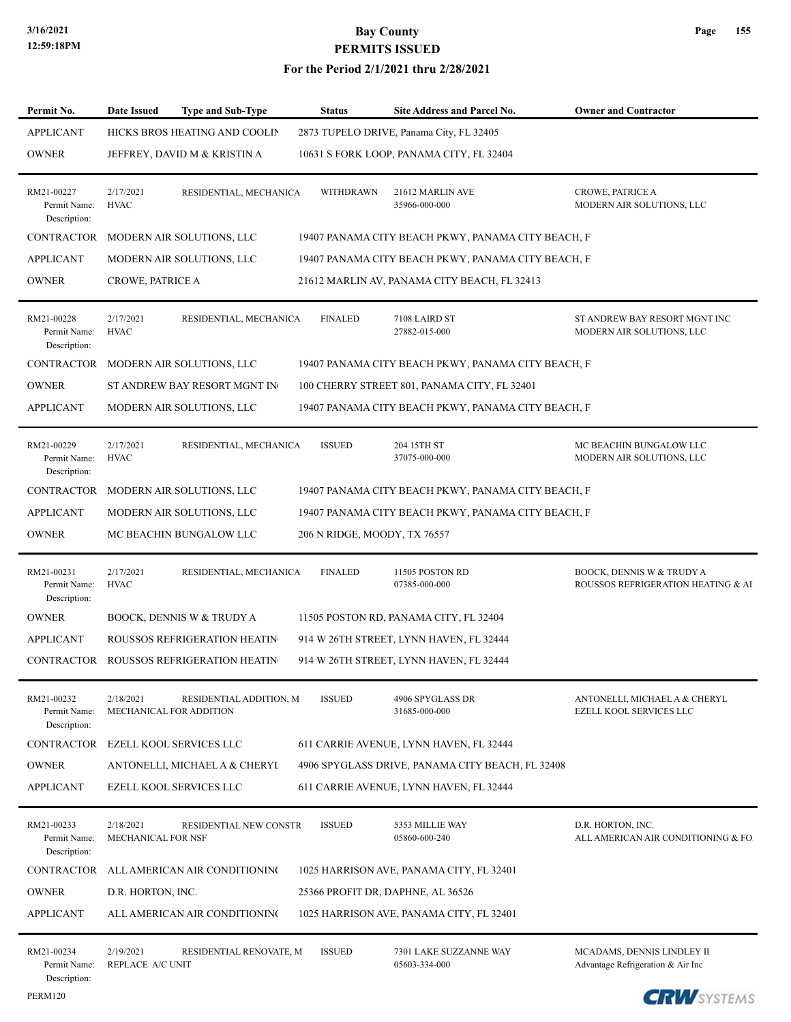#### **For the Period 2/1/2021 thru 2/28/2021**

| Permit No.                                 | <b>Date Issued</b><br><b>Type and Sub-Type</b>                   | <b>Status</b>                | Site Address and Parcel No.                        | <b>Owner and Contractor</b>                                                |
|--------------------------------------------|------------------------------------------------------------------|------------------------------|----------------------------------------------------|----------------------------------------------------------------------------|
| <b>APPLICANT</b>                           | HICKS BROS HEATING AND COOLIN                                    |                              | 2873 TUPELO DRIVE, Panama City, FL 32405           |                                                                            |
| <b>OWNER</b>                               | JEFFREY, DAVID M & KRISTIN A                                     |                              | 10631 S FORK LOOP, PANAMA CITY, FL 32404           |                                                                            |
| RM21-00227<br>Permit Name:<br>Description: | 2/17/2021<br>RESIDENTIAL, MECHANICA<br><b>HVAC</b>               | <b>WITHDRAWN</b>             | 21612 MARLIN AVE<br>35966-000-000                  | <b>CROWE, PATRICE A</b><br>MODERN AIR SOLUTIONS, LLC                       |
| CONTRACTOR                                 | MODERN AIR SOLUTIONS, LLC                                        |                              | 19407 PANAMA CITY BEACH PKWY, PANAMA CITY BEACH, F |                                                                            |
| <b>APPLICANT</b>                           | MODERN AIR SOLUTIONS, LLC                                        |                              | 19407 PANAMA CITY BEACH PKWY, PANAMA CITY BEACH, F |                                                                            |
| <b>OWNER</b>                               | CROWE, PATRICE A                                                 |                              | 21612 MARLIN AV, PANAMA CITY BEACH, FL 32413       |                                                                            |
| RM21-00228<br>Permit Name:<br>Description: | 2/17/2021<br>RESIDENTIAL, MECHANICA<br><b>HVAC</b>               | <b>FINALED</b>               | 7108 LAIRD ST<br>27882-015-000                     | ST ANDREW BAY RESORT MGNT INC<br>MODERN AIR SOLUTIONS, LLC                 |
| <b>CONTRACTOR</b>                          | MODERN AIR SOLUTIONS, LLC                                        |                              | 19407 PANAMA CITY BEACH PKWY, PANAMA CITY BEACH, F |                                                                            |
| <b>OWNER</b>                               | ST ANDREW BAY RESORT MGNT IN                                     |                              | 100 CHERRY STREET 801, PANAMA CITY, FL 32401       |                                                                            |
| <b>APPLICANT</b>                           | MODERN AIR SOLUTIONS, LLC                                        |                              | 19407 PANAMA CITY BEACH PKWY, PANAMA CITY BEACH, F |                                                                            |
| RM21-00229<br>Permit Name:<br>Description: | 2/17/2021<br>RESIDENTIAL, MECHANICA<br><b>HVAC</b>               | <b>ISSUED</b>                | 204 15TH ST<br>37075-000-000                       | MC BEACHIN BUNGALOW LLC<br>MODERN AIR SOLUTIONS, LLC                       |
| CONTRACTOR                                 | MODERN AIR SOLUTIONS, LLC                                        |                              | 19407 PANAMA CITY BEACH PKWY, PANAMA CITY BEACH, F |                                                                            |
| <b>APPLICANT</b>                           | MODERN AIR SOLUTIONS, LLC                                        |                              | 19407 PANAMA CITY BEACH PKWY, PANAMA CITY BEACH, F |                                                                            |
| <b>OWNER</b>                               | MC BEACHIN BUNGALOW LLC                                          | 206 N RIDGE, MOODY, TX 76557 |                                                    |                                                                            |
| RM21-00231<br>Permit Name:<br>Description: | 2/17/2021<br>RESIDENTIAL, MECHANICA<br><b>HVAC</b>               | <b>FINALED</b>               | 11505 POSTON RD<br>07385-000-000                   | <b>BOOCK, DENNIS W &amp; TRUDY A</b><br>ROUSSOS REFRIGERATION HEATING & AI |
| <b>OWNER</b>                               | <b>BOOCK, DENNIS W &amp; TRUDY A</b>                             |                              | 11505 POSTON RD, PANAMA CITY, FL 32404             |                                                                            |
| <b>APPLICANT</b>                           | <b>ROUSSOS REFRIGERATION HEATIN</b>                              |                              | 914 W 26TH STREET, LYNN HAVEN, FL 32444            |                                                                            |
| CONTRACTOR                                 | ROUSSOS REFRIGERATION HEATIN                                     |                              | 914 W 26TH STREET, LYNN HAVEN, FL 32444            |                                                                            |
| RM21-00232<br>Permit Name:<br>Description: | 2/18/2021<br>RESIDENTIAL ADDITION, M<br>MECHANICAL FOR ADDITION  | <b>ISSUED</b>                | 4906 SPYGLASS DR<br>31685-000-000                  | ANTONELLI, MICHAEL A & CHERYL<br>EZELL KOOL SERVICES LLC                   |
| CONTRACTOR                                 | EZELL KOOL SERVICES LLC                                          |                              | 611 CARRIE AVENUE, LYNN HAVEN, FL 32444            |                                                                            |
| <b>OWNER</b>                               | ANTONELLI, MICHAEL A & CHERYI                                    |                              | 4906 SPYGLASS DRIVE, PANAMA CITY BEACH, FL 32408   |                                                                            |
| <b>APPLICANT</b>                           | EZELL KOOL SERVICES LLC                                          |                              | 611 CARRIE AVENUE, LYNN HAVEN, FL 32444            |                                                                            |
| RM21-00233<br>Permit Name:<br>Description: | 2/18/2021<br>RESIDENTIAL NEW CONSTR<br><b>MECHANICAL FOR NSF</b> | <b>ISSUED</b>                | 5353 MILLIE WAY<br>05860-600-240                   | D.R. HORTON, INC.<br>ALL AMERICAN AIR CONDITIONING & FO.                   |
| <b>CONTRACTOR</b>                          | ALL AMERICAN AIR CONDITIONING                                    |                              | 1025 HARRISON AVE, PANAMA CITY, FL 32401           |                                                                            |
| <b>OWNER</b>                               | D.R. HORTON, INC.                                                |                              | 25366 PROFIT DR, DAPHNE, AL 36526                  |                                                                            |
| <b>APPLICANT</b>                           | ALL AMERICAN AIR CONDITIONING                                    |                              | 1025 HARRISON AVE, PANAMA CITY, FL 32401           |                                                                            |
| RM21-00234<br>Permit Name:<br>Description: | 2/19/2021<br>RESIDENTIAL RENOVATE, M<br>REPLACE A/C UNIT         | <b>ISSUED</b>                | 7301 LAKE SUZZANNE WAY<br>05603-334-000            | MCADAMS, DENNIS LINDLEY II<br>Advantage Refrigeration & Air Inc            |

PERM120

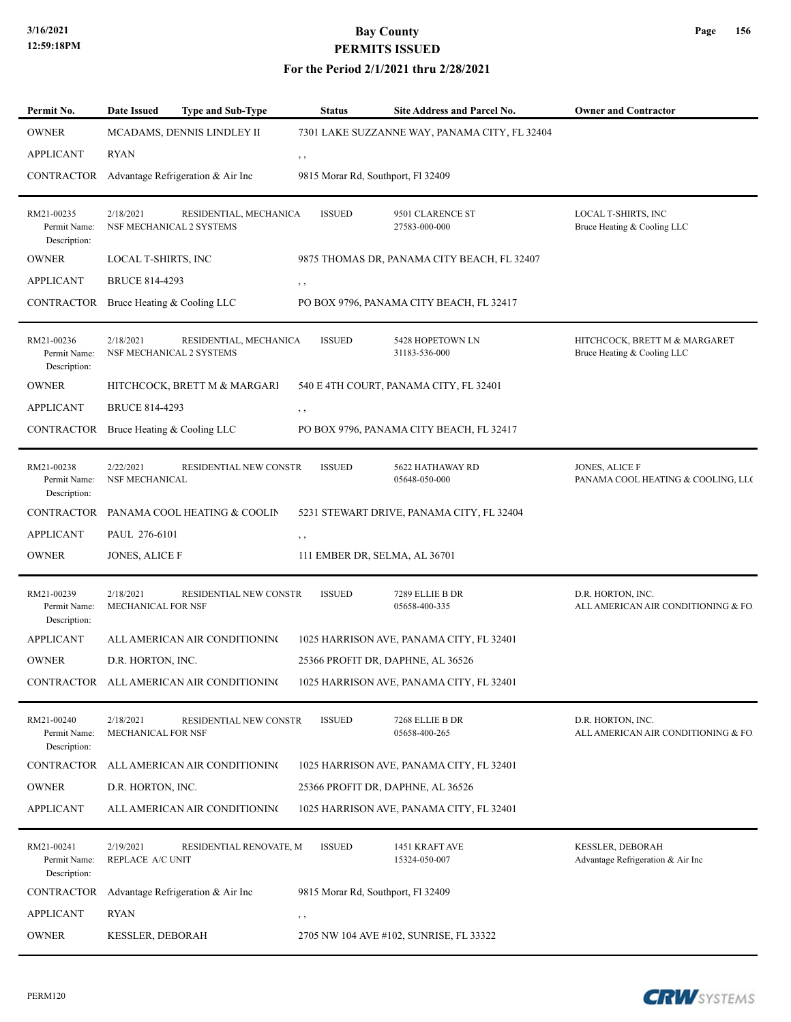#### **For the Period 2/1/2021 thru 2/28/2021**

| Permit No.                                 | <b>Date Issued</b>                    | <b>Type and Sub-Type</b>                 | <b>Status</b>                      | Site Address and Parcel No.                   | <b>Owner and Contractor</b>                                  |
|--------------------------------------------|---------------------------------------|------------------------------------------|------------------------------------|-----------------------------------------------|--------------------------------------------------------------|
| <b>OWNER</b>                               |                                       | MCADAMS, DENNIS LINDLEY II               |                                    | 7301 LAKE SUZZANNE WAY, PANAMA CITY, FL 32404 |                                                              |
| <b>APPLICANT</b>                           | <b>RYAN</b>                           |                                          | , ,                                |                                               |                                                              |
| CONTRACTOR                                 |                                       | Advantage Refrigeration & Air Inc        | 9815 Morar Rd, Southport, Fl 32409 |                                               |                                                              |
| RM21-00235<br>Permit Name:<br>Description: | 2/18/2021<br>NSF MECHANICAL 2 SYSTEMS | RESIDENTIAL, MECHANICA                   | <b>ISSUED</b>                      | 9501 CLARENCE ST<br>27583-000-000             | LOCAL T-SHIRTS, INC<br>Bruce Heating & Cooling LLC           |
| <b>OWNER</b>                               | LOCAL T-SHIRTS, INC                   |                                          |                                    | 9875 THOMAS DR, PANAMA CITY BEACH, FL 32407   |                                                              |
| <b>APPLICANT</b>                           | <b>BRUCE 814-4293</b>                 |                                          | , ,                                |                                               |                                                              |
| CONTRACTOR                                 | Bruce Heating & Cooling LLC           |                                          |                                    | PO BOX 9796, PANAMA CITY BEACH, FL 32417      |                                                              |
| RM21-00236<br>Permit Name:<br>Description: | 2/18/2021<br>NSF MECHANICAL 2 SYSTEMS | RESIDENTIAL, MECHANICA                   | <b>ISSUED</b>                      | 5428 HOPETOWN LN<br>31183-536-000             | HITCHCOCK, BRETT M & MARGARET<br>Bruce Heating & Cooling LLC |
| <b>OWNER</b>                               |                                       | HITCHCOCK, BRETT M & MARGARI             |                                    | 540 E 4TH COURT, PANAMA CITY, FL 32401        |                                                              |
| <b>APPLICANT</b>                           | <b>BRUCE 814-4293</b>                 |                                          | $, \, , \,$                        |                                               |                                                              |
| CONTRACTOR                                 | Bruce Heating & Cooling LLC           |                                          |                                    | PO BOX 9796, PANAMA CITY BEACH, FL 32417      |                                                              |
| RM21-00238<br>Permit Name:<br>Description: | 2/22/2021<br><b>NSF MECHANICAL</b>    | RESIDENTIAL NEW CONSTR                   | <b>ISSUED</b>                      | 5622 HATHAWAY RD<br>05648-050-000             | <b>JONES, ALICE F</b><br>PANAMA COOL HEATING & COOLING, LLC  |
| <b>CONTRACTOR</b>                          |                                       | PANAMA COOL HEATING & COOLIN             |                                    | 5231 STEWART DRIVE, PANAMA CITY, FL 32404     |                                                              |
| <b>APPLICANT</b>                           | PAUL 276-6101                         |                                          | , ,                                |                                               |                                                              |
| <b>OWNER</b>                               | JONES, ALICE F                        |                                          | 111 EMBER DR, SELMA, AL 36701      |                                               |                                                              |
| RM21-00239<br>Permit Name:<br>Description: | 2/18/2021<br>MECHANICAL FOR NSF       | RESIDENTIAL NEW CONSTR                   | <b>ISSUED</b>                      | 7289 ELLIE B DR<br>05658-400-335              | D.R. HORTON, INC.<br>ALL AMERICAN AIR CONDITIONING & FO.     |
| <b>APPLICANT</b>                           |                                       | ALL AMERICAN AIR CONDITIONING            |                                    | 1025 HARRISON AVE, PANAMA CITY, FL 32401      |                                                              |
| <b>OWNER</b>                               | D.R. HORTON, INC.                     |                                          |                                    | 25366 PROFIT DR, DAPHNE, AL 36526             |                                                              |
|                                            |                                       | CONTRACTOR ALL AMERICAN AIR CONDITIONING |                                    | 1025 HARRISON AVE, PANAMA CITY, FL 32401      |                                                              |
| RM21-00240<br>Permit Name:<br>Description: | 2/18/2021<br>MECHANICAL FOR NSF       | RESIDENTIAL NEW CONSTR                   | <b>ISSUED</b>                      | 7268 ELLIE B DR<br>05658-400-265              | D.R. HORTON, INC.<br>ALL AMERICAN AIR CONDITIONING & FO.     |
| CONTRACTOR                                 |                                       | ALL AMERICAN AIR CONDITIONING            |                                    | 1025 HARRISON AVE, PANAMA CITY, FL 32401      |                                                              |
| <b>OWNER</b>                               | D.R. HORTON, INC.                     |                                          |                                    | 25366 PROFIT DR, DAPHNE, AL 36526             |                                                              |
| <b>APPLICANT</b>                           |                                       | ALL AMERICAN AIR CONDITIONING            |                                    | 1025 HARRISON AVE, PANAMA CITY, FL 32401      |                                                              |
| RM21-00241<br>Permit Name:<br>Description: | 2/19/2021<br>REPLACE A/C UNIT         | RESIDENTIAL RENOVATE, M                  | <b>ISSUED</b>                      | 1451 KRAFT AVE<br>15324-050-007               | <b>KESSLER, DEBORAH</b><br>Advantage Refrigeration & Air Inc |
| CONTRACTOR                                 |                                       | Advantage Refrigeration & Air Inc        | 9815 Morar Rd, Southport, Fl 32409 |                                               |                                                              |
| <b>APPLICANT</b>                           | RYAN                                  |                                          | , ,                                |                                               |                                                              |
| <b>OWNER</b>                               | KESSLER, DEBORAH                      |                                          |                                    | 2705 NW 104 AVE #102, SUNRISE, FL 33322       |                                                              |

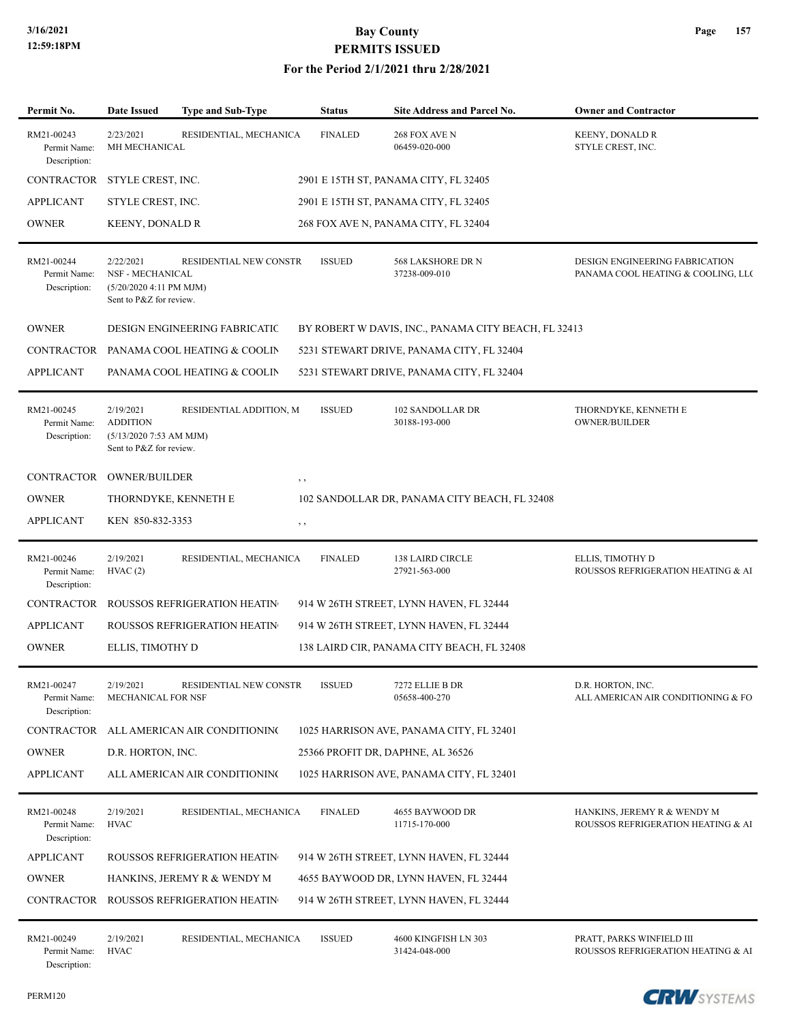#### **For the Period 2/1/2021 thru 2/28/2021**

| Permit No.                                 | <b>Date Issued</b>                                                                   | Type and Sub-Type                     | <b>Status</b>  | <b>Site Address and Parcel No.</b>                   | <b>Owner and Contractor</b>                                          |
|--------------------------------------------|--------------------------------------------------------------------------------------|---------------------------------------|----------------|------------------------------------------------------|----------------------------------------------------------------------|
| RM21-00243<br>Permit Name:<br>Description: | 2/23/2021<br>MH MECHANICAL                                                           | RESIDENTIAL, MECHANICA                | <b>FINALED</b> | 268 FOX AVE N<br>06459-020-000                       | <b>KEENY, DONALD R</b><br>STYLE CREST, INC.                          |
| CONTRACTOR                                 | STYLE CREST, INC.                                                                    | 2901 E 15TH ST, PANAMA CITY, FL 32405 |                |                                                      |                                                                      |
| <b>APPLICANT</b>                           | STYLE CREST, INC.                                                                    |                                       |                | 2901 E 15TH ST, PANAMA CITY, FL 32405                |                                                                      |
| <b>OWNER</b>                               | <b>KEENY, DONALD R</b>                                                               |                                       |                | 268 FOX AVE N, PANAMA CITY, FL 32404                 |                                                                      |
| RM21-00244<br>Permit Name:<br>Description: | 2/22/2021<br>NSF - MECHANICAL<br>$(5/20/20204:11$ PM MJM)<br>Sent to P&Z for review. | RESIDENTIAL NEW CONSTR                | <b>ISSUED</b>  | 568 LAKSHORE DR N<br>37238-009-010                   | DESIGN ENGINEERING FABRICATION<br>PANAMA COOL HEATING & COOLING, LLC |
| <b>OWNER</b>                               |                                                                                      | <b>DESIGN ENGINEERING FABRICATIC</b>  |                | BY ROBERT W DAVIS, INC., PANAMA CITY BEACH, FL 32413 |                                                                      |
| CONTRACTOR                                 |                                                                                      | PANAMA COOL HEATING & COOLIN          |                | 5231 STEWART DRIVE, PANAMA CITY, FL 32404            |                                                                      |
| <b>APPLICANT</b>                           |                                                                                      | PANAMA COOL HEATING & COOLIN          |                | 5231 STEWART DRIVE, PANAMA CITY, FL 32404            |                                                                      |
| RM21-00245<br>Permit Name:<br>Description: | 2/19/2021<br><b>ADDITION</b><br>$(5/13/20207:53$ AM MJM)<br>Sent to P&Z for review.  | RESIDENTIAL ADDITION, M               | <b>ISSUED</b>  | 102 SANDOLLAR DR<br>30188-193-000                    | THORNDYKE, KENNETH E<br>OWNER/BUILDER                                |
| CONTRACTOR                                 | <b>OWNER/BUILDER</b>                                                                 |                                       | , ,            |                                                      |                                                                      |
| <b>OWNER</b>                               | THORNDYKE, KENNETH E                                                                 |                                       |                | 102 SANDOLLAR DR, PANAMA CITY BEACH, FL 32408        |                                                                      |
| <b>APPLICANT</b>                           | KEN 850-832-3353                                                                     |                                       | $, \, , \,$    |                                                      |                                                                      |
| RM21-00246<br>Permit Name:<br>Description: | 2/19/2021<br>HVAC(2)                                                                 | RESIDENTIAL, MECHANICA                | <b>FINALED</b> | 138 LAIRD CIRCLE<br>27921-563-000                    | ELLIS, TIMOTHY D<br>ROUSSOS REFRIGERATION HEATING & AI               |
| <b>CONTRACTOR</b>                          |                                                                                      | ROUSSOS REFRIGERATION HEATIN          |                | 914 W 26TH STREET, LYNN HAVEN, FL 32444              |                                                                      |
| <b>APPLICANT</b>                           |                                                                                      | <b>ROUSSOS REFRIGERATION HEATIN</b>   |                | 914 W 26TH STREET, LYNN HAVEN, FL 32444              |                                                                      |
| <b>OWNER</b>                               | ELLIS, TIMOTHY D                                                                     |                                       |                | 138 LAIRD CIR, PANAMA CITY BEACH, FL 32408           |                                                                      |
| RM21-00247<br>Permit Name:<br>Description: | 2/19/2021<br>MECHANICAL FOR NSF                                                      | RESIDENTIAL NEW CONSTR                | <b>ISSUED</b>  | 7272 ELLIE B DR<br>05658-400-270                     | D.R. HORTON, INC.<br>ALL AMERICAN AIR CONDITIONING & FO.             |
| CONTRACTOR                                 |                                                                                      | ALL AMERICAN AIR CONDITIONING         |                | 1025 HARRISON AVE, PANAMA CITY, FL 32401             |                                                                      |
| <b>OWNER</b>                               | D.R. HORTON, INC.                                                                    |                                       |                | 25366 PROFIT DR, DAPHNE, AL 36526                    |                                                                      |
| <b>APPLICANT</b>                           |                                                                                      | ALL AMERICAN AIR CONDITIONING         |                | 1025 HARRISON AVE, PANAMA CITY, FL 32401             |                                                                      |
| RM21-00248<br>Permit Name:<br>Description: | 2/19/2021<br><b>HVAC</b>                                                             | RESIDENTIAL, MECHANICA                | <b>FINALED</b> | 4655 BAYWOOD DR<br>11715-170-000                     | HANKINS, JEREMY R & WENDY M<br>ROUSSOS REFRIGERATION HEATING & AI    |
| <b>APPLICANT</b>                           |                                                                                      | ROUSSOS REFRIGERATION HEATIN          |                | 914 W 26TH STREET, LYNN HAVEN, FL 32444              |                                                                      |
| <b>OWNER</b>                               |                                                                                      | HANKINS, JEREMY R & WENDY M           |                | 4655 BAYWOOD DR, LYNN HAVEN, FL 32444                |                                                                      |
| <b>CONTRACTOR</b>                          |                                                                                      | <b>ROUSSOS REFRIGERATION HEATIN</b>   |                | 914 W 26TH STREET, LYNN HAVEN, FL 32444              |                                                                      |
| RM21-00249<br>Permit Name:                 | 2/19/2021<br><b>HVAC</b>                                                             | RESIDENTIAL, MECHANICA                | <b>ISSUED</b>  | 4600 KINGFISH LN 303<br>31424-048-000                | PRATT, PARKS WINFIELD III<br>ROUSSOS REFRIGERATION HEATING & AI      |

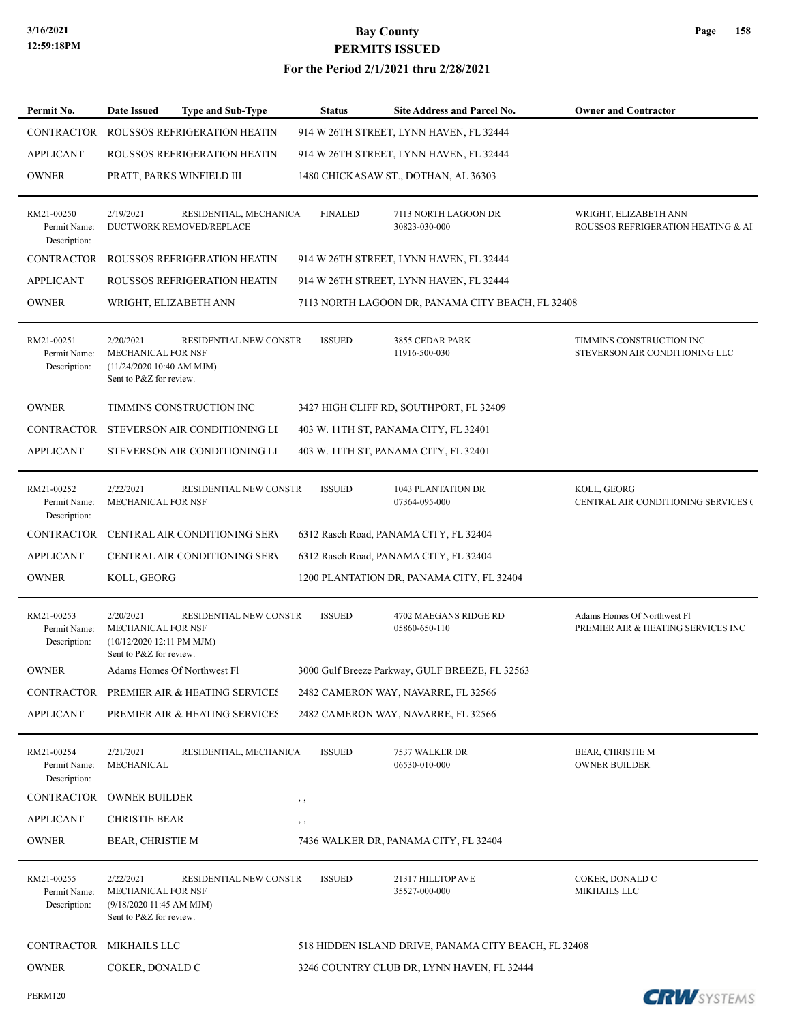| Permit No.                                 | Date Issued                                                                                    | <b>Type and Sub-Type</b>      | <b>Status</b>  | Site Address and Parcel No.                          | <b>Owner and Contractor</b>                                       |
|--------------------------------------------|------------------------------------------------------------------------------------------------|-------------------------------|----------------|------------------------------------------------------|-------------------------------------------------------------------|
| <b>CONTRACTOR</b>                          | <b>ROUSSOS REFRIGERATION HEATIN</b>                                                            |                               |                | 914 W 26TH STREET, LYNN HAVEN, FL 32444              |                                                                   |
| <b>APPLICANT</b>                           | ROUSSOS REFRIGERATION HEATIN                                                                   |                               |                | 914 W 26TH STREET, LYNN HAVEN, FL 32444              |                                                                   |
| <b>OWNER</b>                               | PRATT, PARKS WINFIELD III                                                                      |                               |                | 1480 CHICKASAW ST., DOTHAN, AL 36303                 |                                                                   |
| RM21-00250<br>Permit Name:<br>Description: | 2/19/2021<br>DUCTWORK REMOVED/REPLACE                                                          | RESIDENTIAL, MECHANICA        | <b>FINALED</b> | 7113 NORTH LAGOON DR<br>30823-030-000                | WRIGHT, ELIZABETH ANN<br>ROUSSOS REFRIGERATION HEATING & AI       |
| CONTRACTOR                                 | ROUSSOS REFRIGERATION HEATIN                                                                   |                               |                | 914 W 26TH STREET, LYNN HAVEN, FL 32444              |                                                                   |
| <b>APPLICANT</b>                           | ROUSSOS REFRIGERATION HEATIN                                                                   |                               |                | 914 W 26TH STREET, LYNN HAVEN, FL 32444              |                                                                   |
| <b>OWNER</b>                               | WRIGHT, ELIZABETH ANN                                                                          |                               |                | 7113 NORTH LAGOON DR, PANAMA CITY BEACH, FL 32408    |                                                                   |
| RM21-00251<br>Permit Name:<br>Description: | 2/20/2021<br>MECHANICAL FOR NSF<br>(11/24/2020 10:40 AM MJM)<br>Sent to P&Z for review.        | <b>RESIDENTIAL NEW CONSTR</b> | <b>ISSUED</b>  | 3855 CEDAR PARK<br>11916-500-030                     | TIMMINS CONSTRUCTION INC<br>STEVERSON AIR CONDITIONING LLC        |
| <b>OWNER</b>                               | TIMMINS CONSTRUCTION INC                                                                       |                               |                | 3427 HIGH CLIFF RD, SOUTHPORT, FL 32409              |                                                                   |
| CONTRACTOR                                 | STEVERSON AIR CONDITIONING LI                                                                  |                               |                | 403 W. 11TH ST, PANAMA CITY, FL 32401                |                                                                   |
| <b>APPLICANT</b>                           | STEVERSON AIR CONDITIONING LI                                                                  |                               |                | 403 W. 11TH ST, PANAMA CITY, FL 32401                |                                                                   |
| RM21-00252<br>Permit Name:<br>Description: | 2/22/2021<br>MECHANICAL FOR NSF                                                                | RESIDENTIAL NEW CONSTR        | <b>ISSUED</b>  | 1043 PLANTATION DR<br>07364-095-000                  | KOLL, GEORG<br>CENTRAL AIR CONDITIONING SERVICES (                |
| <b>CONTRACTOR</b>                          | CENTRAL AIR CONDITIONING SERV                                                                  |                               |                | 6312 Rasch Road, PANAMA CITY, FL 32404               |                                                                   |
| <b>APPLICANT</b>                           | <b>CENTRAL AIR CONDITIONING SERV</b>                                                           |                               |                | 6312 Rasch Road, PANAMA CITY, FL 32404               |                                                                   |
| <b>OWNER</b>                               | KOLL, GEORG                                                                                    |                               |                | 1200 PLANTATION DR, PANAMA CITY, FL 32404            |                                                                   |
| RM21-00253<br>Permit Name:<br>Description: | 2/20/2021<br><b>MECHANICAL FOR NSF</b><br>(10/12/2020 12:11 PM MJM)<br>Sent to P&Z for review. | RESIDENTIAL NEW CONSTR        | <b>ISSUED</b>  | 4702 MAEGANS RIDGE RD<br>05860-650-110               | Adams Homes Of Northwest Fl<br>PREMIER AIR & HEATING SERVICES INC |
| <b>OWNER</b>                               | Adams Homes Of Northwest Fl                                                                    |                               |                | 3000 Gulf Breeze Parkway, GULF BREEZE, FL 32563      |                                                                   |
|                                            | CONTRACTOR PREMIER AIR & HEATING SERVICES                                                      |                               |                | 2482 CAMERON WAY, NAVARRE, FL 32566                  |                                                                   |
| <b>APPLICANT</b>                           | PREMIER AIR & HEATING SERVICES                                                                 |                               |                | 2482 CAMERON WAY, NAVARRE, FL 32566                  |                                                                   |
| RM21-00254<br>Permit Name:<br>Description: | 2/21/2021<br>MECHANICAL                                                                        | RESIDENTIAL, MECHANICA        | <b>ISSUED</b>  | 7537 WALKER DR<br>06530-010-000                      | <b>BEAR, CHRISTIE M</b><br><b>OWNER BUILDER</b>                   |
| CONTRACTOR                                 | <b>OWNER BUILDER</b>                                                                           |                               | , ,            |                                                      |                                                                   |
| <b>APPLICANT</b>                           | <b>CHRISTIE BEAR</b>                                                                           |                               | $, \,$         |                                                      |                                                                   |
| <b>OWNER</b>                               | <b>BEAR, CHRISTIE M</b>                                                                        |                               |                | 7436 WALKER DR, PANAMA CITY, FL 32404                |                                                                   |
| RM21-00255<br>Permit Name:<br>Description: | 2/22/2021<br>MECHANICAL FOR NSF<br>(9/18/2020 11:45 AM MJM)<br>Sent to P&Z for review.         | RESIDENTIAL NEW CONSTR        | <b>ISSUED</b>  | 21317 HILLTOP AVE<br>35527-000-000                   | COKER, DONALD C<br>MIKHAILS LLC                                   |
| CONTRACTOR                                 | <b>MIKHAILS LLC</b>                                                                            |                               |                | 518 HIDDEN ISLAND DRIVE, PANAMA CITY BEACH, FL 32408 |                                                                   |
| <b>OWNER</b>                               | COKER, DONALD C                                                                                |                               |                | 3246 COUNTRY CLUB DR, LYNN HAVEN, FL 32444           |                                                                   |
| <b>PERM120</b>                             |                                                                                                |                               |                |                                                      | <b>CRW</b> SYSTEMS                                                |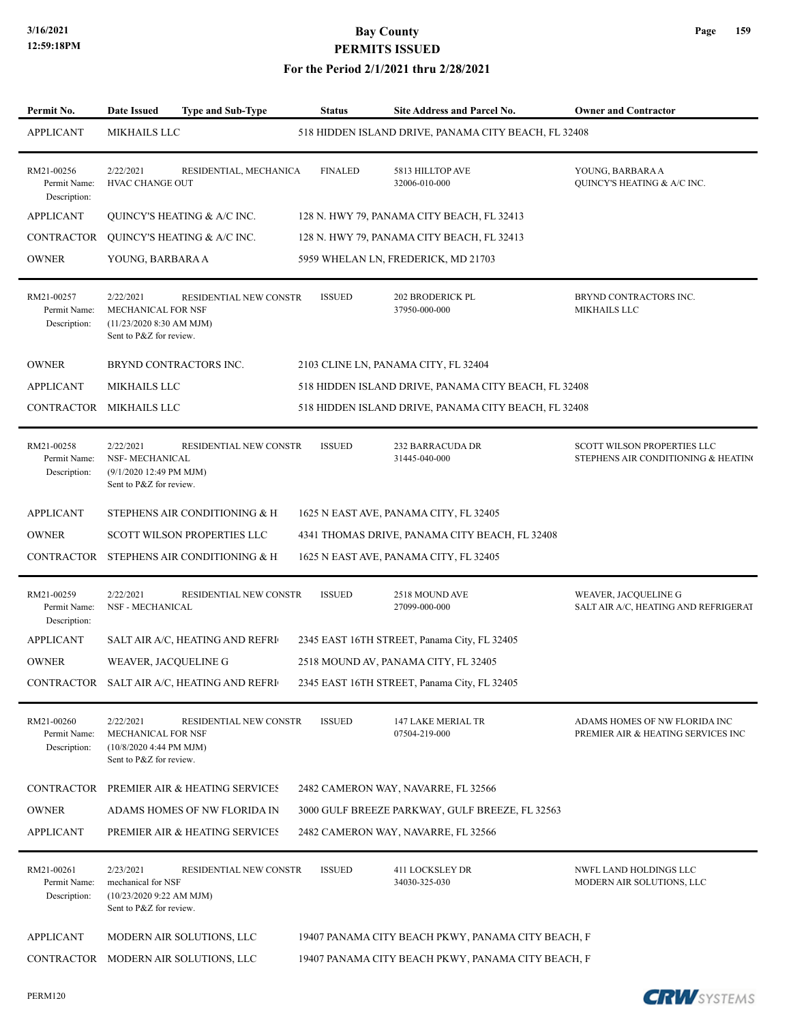#### **For the Period 2/1/2021 thru 2/28/2021**

| Permit No.                                 | <b>Date Issued</b><br><b>Type and Sub-Type</b>                                                                     | <b>Status</b>  | Site Address and Parcel No.                          | <b>Owner and Contractor</b>                                         |
|--------------------------------------------|--------------------------------------------------------------------------------------------------------------------|----------------|------------------------------------------------------|---------------------------------------------------------------------|
| <b>APPLICANT</b>                           | MIKHAILS LLC                                                                                                       |                | 518 HIDDEN ISLAND DRIVE, PANAMA CITY BEACH, FL 32408 |                                                                     |
| RM21-00256<br>Permit Name:<br>Description: | 2/22/2021<br>RESIDENTIAL, MECHANICA<br><b>HVAC CHANGE OUT</b>                                                      | <b>FINALED</b> | 5813 HILLTOP AVE<br>32006-010-000                    | YOUNG, BARBARA A<br><b>QUINCY'S HEATING &amp; A/C INC.</b>          |
| <b>APPLICANT</b>                           | QUINCY'S HEATING & A/C INC.                                                                                        |                | 128 N. HWY 79, PANAMA CITY BEACH, FL 32413           |                                                                     |
| CONTRACTOR                                 | QUINCY'S HEATING & A/C INC.                                                                                        |                | 128 N. HWY 79, PANAMA CITY BEACH, FL 32413           |                                                                     |
| <b>OWNER</b>                               | YOUNG, BARBARA A                                                                                                   |                | 5959 WHELAN LN, FREDERICK, MD 21703                  |                                                                     |
| RM21-00257<br>Permit Name:<br>Description: | 2/22/2021<br>RESIDENTIAL NEW CONSTR<br>MECHANICAL FOR NSF<br>$(11/23/2020 8:30$ AM MJM)<br>Sent to P&Z for review. | <b>ISSUED</b>  | 202 BRODERICK PL<br>37950-000-000                    | BRYND CONTRACTORS INC.<br><b>MIKHAILS LLC</b>                       |
| <b>OWNER</b>                               | BRYND CONTRACTORS INC.                                                                                             |                | 2103 CLINE LN, PANAMA CITY, FL 32404                 |                                                                     |
| <b>APPLICANT</b>                           | <b>MIKHAILS LLC</b>                                                                                                |                | 518 HIDDEN ISLAND DRIVE, PANAMA CITY BEACH, FL 32408 |                                                                     |
|                                            | CONTRACTOR MIKHAILS LLC                                                                                            |                | 518 HIDDEN ISLAND DRIVE, PANAMA CITY BEACH, FL 32408 |                                                                     |
| RM21-00258<br>Permit Name:<br>Description: | 2/22/2021<br>RESIDENTIAL NEW CONSTR<br>NSF- MECHANICAL<br>(9/1/2020 12:49 PM MJM)<br>Sent to P&Z for review.       | <b>ISSUED</b>  | 232 BARRACUDA DR<br>31445-040-000                    | SCOTT WILSON PROPERTIES LLC<br>STEPHENS AIR CONDITIONING & HEATING  |
| <b>APPLICANT</b>                           | STEPHENS AIR CONDITIONING & H                                                                                      |                | 1625 N EAST AVE, PANAMA CITY, FL 32405               |                                                                     |
| <b>OWNER</b>                               | <b>SCOTT WILSON PROPERTIES LLC</b>                                                                                 |                | 4341 THOMAS DRIVE, PANAMA CITY BEACH, FL 32408       |                                                                     |
| CONTRACTOR                                 | STEPHENS AIR CONDITIONING & H                                                                                      |                | 1625 N EAST AVE, PANAMA CITY, FL 32405               |                                                                     |
| RM21-00259<br>Permit Name:<br>Description: | 2/22/2021<br>RESIDENTIAL NEW CONSTR<br>NSF - MECHANICAL                                                            | <b>ISSUED</b>  | 2518 MOUND AVE<br>27099-000-000                      | WEAVER, JACQUELINE G<br>SALT AIR A/C, HEATING AND REFRIGERAT        |
| <b>APPLICANT</b>                           | SALT AIR A/C, HEATING AND REFRI                                                                                    |                | 2345 EAST 16TH STREET, Panama City, FL 32405         |                                                                     |
| <b>OWNER</b>                               | WEAVER, JACQUELINE G                                                                                               |                | 2518 MOUND AV, PANAMA CITY, FL 32405                 |                                                                     |
|                                            | CONTRACTOR SALT AIR A/C, HEATING AND REFRI                                                                         |                | 2345 EAST 16TH STREET, Panama City, FL 32405         |                                                                     |
| RM21-00260<br>Permit Name:<br>Description: | 2/22/2021<br>RESIDENTIAL NEW CONSTR<br>MECHANICAL FOR NSF<br>(10/8/2020 4:44 PM MJM)<br>Sent to P&Z for review.    | <b>ISSUED</b>  | 147 LAKE MERIAL TR<br>07504-219-000                  | ADAMS HOMES OF NW FLORIDA INC<br>PREMIER AIR & HEATING SERVICES INC |
|                                            | CONTRACTOR PREMIER AIR & HEATING SERVICES                                                                          |                | 2482 CAMERON WAY, NAVARRE, FL 32566                  |                                                                     |
| <b>OWNER</b>                               | ADAMS HOMES OF NW FLORIDA IN                                                                                       |                | 3000 GULF BREEZE PARKWAY, GULF BREEZE, FL 32563      |                                                                     |
| <b>APPLICANT</b>                           | PREMIER AIR & HEATING SERVICES                                                                                     |                | 2482 CAMERON WAY, NAVARRE, FL 32566                  |                                                                     |
| RM21-00261<br>Permit Name:<br>Description: | 2/23/2021<br>RESIDENTIAL NEW CONSTR<br>mechanical for NSF<br>(10/23/2020 9:22 AM MJM)<br>Sent to P&Z for review.   | <b>ISSUED</b>  | <b>411 LOCKSLEY DR</b><br>34030-325-030              | NWFL LAND HOLDINGS LLC<br>MODERN AIR SOLUTIONS, LLC                 |
| <b>APPLICANT</b>                           | MODERN AIR SOLUTIONS, LLC                                                                                          |                | 19407 PANAMA CITY BEACH PKWY, PANAMA CITY BEACH, F   |                                                                     |
|                                            | CONTRACTOR MODERN AIR SOLUTIONS, LLC                                                                               |                | 19407 PANAMA CITY BEACH PKWY, PANAMA CITY BEACH, F   |                                                                     |
|                                            |                                                                                                                    |                |                                                      |                                                                     |

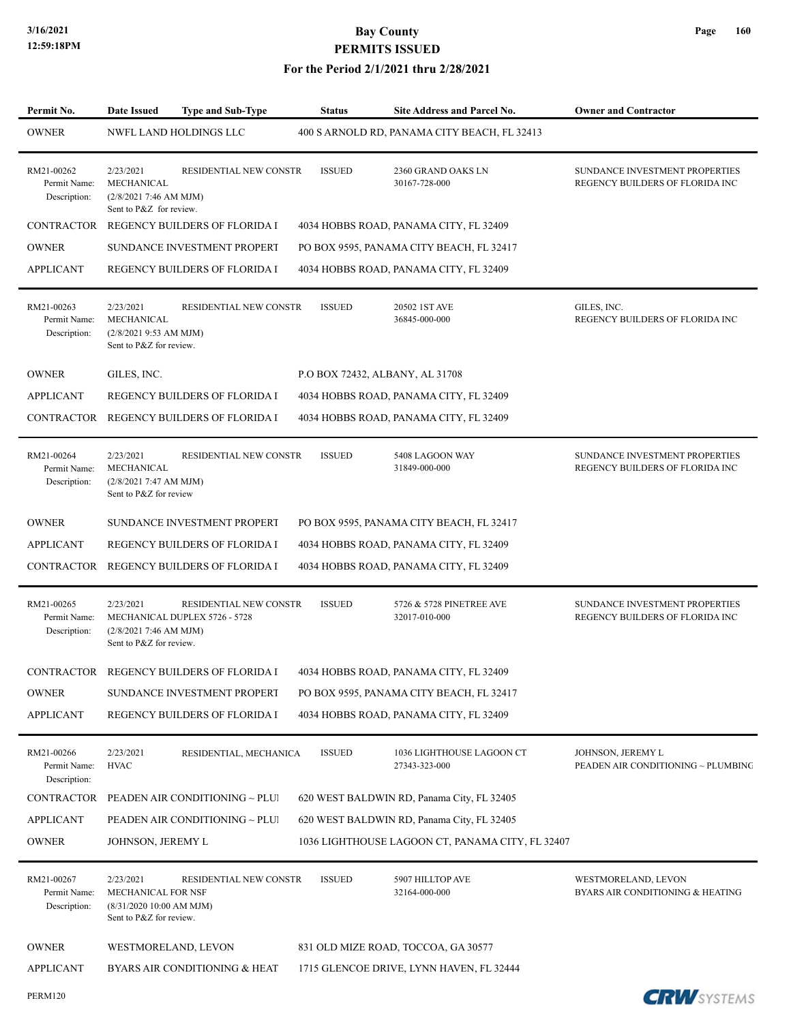| Permit No.                                 | <b>Date Issued</b>                                                                    | <b>Type and Sub-Type</b>                                | <b>Status</b>                   | <b>Site Address and Parcel No.</b>               | <b>Owner and Contractor</b>                                       |
|--------------------------------------------|---------------------------------------------------------------------------------------|---------------------------------------------------------|---------------------------------|--------------------------------------------------|-------------------------------------------------------------------|
| <b>OWNER</b>                               |                                                                                       | NWFL LAND HOLDINGS LLC                                  |                                 | 400 S ARNOLD RD, PANAMA CITY BEACH, FL 32413     |                                                                   |
| RM21-00262<br>Permit Name:<br>Description: | 2/23/2021<br>MECHANICAL<br>(2/8/20217:46 AM MJM)<br>Sent to P&Z for review.           | RESIDENTIAL NEW CONSTR                                  | <b>ISSUED</b>                   | 2360 GRAND OAKS LN<br>30167-728-000              | SUNDANCE INVESTMENT PROPERTIES<br>REGENCY BUILDERS OF FLORIDA INC |
| <b>CONTRACTOR</b>                          |                                                                                       | REGENCY BUILDERS OF FLORIDA I                           |                                 | 4034 HOBBS ROAD, PANAMA CITY, FL 32409           |                                                                   |
| <b>OWNER</b>                               |                                                                                       | SUNDANCE INVESTMENT PROPERT                             |                                 | PO BOX 9595, PANAMA CITY BEACH, FL 32417         |                                                                   |
| <b>APPLICANT</b>                           |                                                                                       | REGENCY BUILDERS OF FLORIDA I                           |                                 | 4034 HOBBS ROAD, PANAMA CITY, FL 32409           |                                                                   |
| RM21-00263<br>Permit Name:<br>Description: | 2/23/2021<br>MECHANICAL<br>(2/8/2021 9:53 AM MJM)<br>Sent to P&Z for review.          | RESIDENTIAL NEW CONSTR                                  | <b>ISSUED</b>                   | 20502 1ST AVE<br>36845-000-000                   | GILES, INC.<br>REGENCY BUILDERS OF FLORIDA INC                    |
| <b>OWNER</b>                               | GILES, INC.                                                                           |                                                         | P.O BOX 72432, ALBANY, AL 31708 |                                                  |                                                                   |
| <b>APPLICANT</b>                           |                                                                                       | <b>REGENCY BUILDERS OF FLORIDA I</b>                    |                                 | 4034 HOBBS ROAD, PANAMA CITY, FL 32409           |                                                                   |
| CONTRACTOR                                 |                                                                                       | REGENCY BUILDERS OF FLORIDA I                           |                                 | 4034 HOBBS ROAD, PANAMA CITY, FL 32409           |                                                                   |
| RM21-00264<br>Permit Name:<br>Description: | 2/23/2021<br>MECHANICAL<br>(2/8/20217:47 AM MJM)<br>Sent to P&Z for review            | RESIDENTIAL NEW CONSTR                                  | <b>ISSUED</b>                   | 5408 LAGOON WAY<br>31849-000-000                 | SUNDANCE INVESTMENT PROPERTIES<br>REGENCY BUILDERS OF FLORIDA INC |
| <b>OWNER</b>                               |                                                                                       | SUNDANCE INVESTMENT PROPERT                             |                                 | PO BOX 9595, PANAMA CITY BEACH, FL 32417         |                                                                   |
| <b>APPLICANT</b>                           |                                                                                       | REGENCY BUILDERS OF FLORIDA I                           |                                 | 4034 HOBBS ROAD, PANAMA CITY, FL 32409           |                                                                   |
| CONTRACTOR                                 |                                                                                       | REGENCY BUILDERS OF FLORIDA I                           |                                 | 4034 HOBBS ROAD, PANAMA CITY, FL 32409           |                                                                   |
| RM21-00265<br>Permit Name:<br>Description: | 2/23/2021<br>(2/8/20217:46 AM MJM)<br>Sent to P&Z for review.                         | RESIDENTIAL NEW CONSTR<br>MECHANICAL DUPLEX 5726 - 5728 | <b>ISSUED</b>                   | 5726 & 5728 PINETREE AVE<br>32017-010-000        | SUNDANCE INVESTMENT PROPERTIES<br>REGENCY BUILDERS OF FLORIDA INC |
|                                            |                                                                                       | CONTRACTOR REGENCY BUILDERS OF FLORIDA I                |                                 | 4034 HOBBS ROAD, PANAMA CITY, FL 32409           |                                                                   |
| <b>OWNER</b>                               |                                                                                       | SUNDANCE INVESTMENT PROPERT                             |                                 | PO BOX 9595, PANAMA CITY BEACH, FL 32417         |                                                                   |
| <b>APPLICANT</b>                           |                                                                                       | REGENCY BUILDERS OF FLORIDA I                           |                                 | 4034 HOBBS ROAD, PANAMA CITY, FL 32409           |                                                                   |
| RM21-00266<br>Permit Name:<br>Description: | 2/23/2021<br><b>HVAC</b>                                                              | RESIDENTIAL, MECHANICA                                  | <b>ISSUED</b>                   | 1036 LIGHTHOUSE LAGOON CT<br>27343-323-000       | JOHNSON, JEREMY L<br>PEADEN AIR CONDITIONING ~ PLUMBING           |
| CONTRACTOR                                 |                                                                                       | PEADEN AIR CONDITIONING ~ PLUI                          |                                 | 620 WEST BALDWIN RD, Panama City, FL 32405       |                                                                   |
| <b>APPLICANT</b>                           |                                                                                       | PEADEN AIR CONDITIONING ~ PLUI                          |                                 | 620 WEST BALDWIN RD, Panama City, FL 32405       |                                                                   |
| <b>OWNER</b>                               | JOHNSON, JEREMY L                                                                     |                                                         |                                 | 1036 LIGHTHOUSE LAGOON CT, PANAMA CITY, FL 32407 |                                                                   |
| RM21-00267<br>Permit Name:<br>Description: | 2/23/2021<br>MECHANICAL FOR NSF<br>(8/31/202010:00 AM MJM)<br>Sent to P&Z for review. | RESIDENTIAL NEW CONSTR                                  | <b>ISSUED</b>                   | 5907 HILLTOP AVE<br>32164-000-000                | WESTMORELAND, LEVON<br>BYARS AIR CONDITIONING & HEATING           |
| <b>OWNER</b>                               | WESTMORELAND, LEVON                                                                   |                                                         |                                 | 831 OLD MIZE ROAD, TOCCOA, GA 30577              |                                                                   |
| <b>APPLICANT</b>                           |                                                                                       | BYARS AIR CONDITIONING & HEAT                           |                                 | 1715 GLENCOE DRIVE, LYNN HAVEN, FL 32444         |                                                                   |
| PERM120                                    |                                                                                       |                                                         |                                 |                                                  | <b>CRW</b> SYSTEMS                                                |

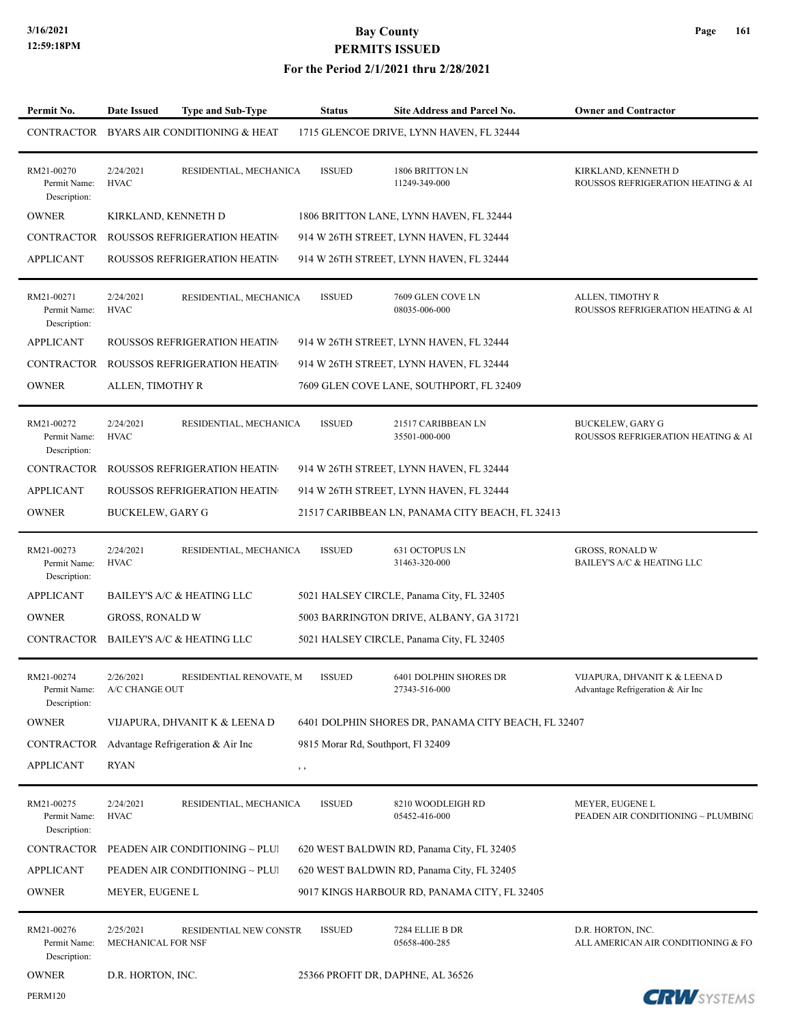| Permit No.                                 | Date Issued                     | <b>Type and Sub-Type</b>            | <b>Status</b>                      | <b>Site Address and Parcel No.</b>                  | <b>Owner and Contractor</b>                                        |
|--------------------------------------------|---------------------------------|-------------------------------------|------------------------------------|-----------------------------------------------------|--------------------------------------------------------------------|
| CONTRACTOR                                 |                                 | BYARS AIR CONDITIONING & HEAT       |                                    | 1715 GLENCOE DRIVE, LYNN HAVEN, FL 32444            |                                                                    |
| RM21-00270<br>Permit Name:<br>Description: | 2/24/2021<br><b>HVAC</b>        | RESIDENTIAL, MECHANICA              | <b>ISSUED</b>                      | 1806 BRITTON LN<br>11249-349-000                    | KIRKLAND, KENNETH D<br>ROUSSOS REFRIGERATION HEATING & AI          |
| <b>OWNER</b>                               | KIRKLAND, KENNETH D             |                                     |                                    | 1806 BRITTON LANE, LYNN HAVEN, FL 32444             |                                                                    |
| <b>CONTRACTOR</b>                          |                                 | <b>ROUSSOS REFRIGERATION HEATIN</b> |                                    | 914 W 26TH STREET, LYNN HAVEN, FL 32444             |                                                                    |
| <b>APPLICANT</b>                           |                                 | ROUSSOS REFRIGERATION HEATIN        |                                    | 914 W 26TH STREET, LYNN HAVEN, FL 32444             |                                                                    |
| RM21-00271<br>Permit Name:<br>Description: | 2/24/2021<br><b>HVAC</b>        | RESIDENTIAL, MECHANICA              | <b>ISSUED</b>                      | 7609 GLEN COVE LN<br>08035-006-000                  | ALLEN, TIMOTHY R<br>ROUSSOS REFRIGERATION HEATING & AI             |
| <b>APPLICANT</b>                           |                                 | ROUSSOS REFRIGERATION HEATIN        |                                    | 914 W 26TH STREET, LYNN HAVEN, FL 32444             |                                                                    |
| <b>CONTRACTOR</b>                          |                                 | <b>ROUSSOS REFRIGERATION HEATIN</b> |                                    | 914 W 26TH STREET, LYNN HAVEN, FL 32444             |                                                                    |
| <b>OWNER</b>                               | ALLEN, TIMOTHY R                |                                     |                                    | 7609 GLEN COVE LANE, SOUTHPORT, FL 32409            |                                                                    |
| RM21-00272<br>Permit Name:<br>Description: | 2/24/2021<br><b>HVAC</b>        | RESIDENTIAL, MECHANICA              | <b>ISSUED</b>                      | 21517 CARIBBEAN LN<br>35501-000-000                 | <b>BUCKELEW, GARY G</b><br>ROUSSOS REFRIGERATION HEATING & AI      |
| <b>CONTRACTOR</b>                          |                                 | <b>ROUSSOS REFRIGERATION HEATIN</b> |                                    | 914 W 26TH STREET, LYNN HAVEN, FL 32444             |                                                                    |
| <b>APPLICANT</b>                           |                                 | ROUSSOS REFRIGERATION HEATIN        |                                    | 914 W 26TH STREET, LYNN HAVEN, FL 32444             |                                                                    |
| <b>OWNER</b>                               | <b>BUCKELEW, GARY G</b>         |                                     |                                    | 21517 CARIBBEAN LN, PANAMA CITY BEACH, FL 32413     |                                                                    |
| RM21-00273<br>Permit Name:<br>Description: | 2/24/2021<br><b>HVAC</b>        | RESIDENTIAL, MECHANICA              | <b>ISSUED</b>                      | 631 OCTOPUS LN<br>31463-320-000                     | <b>GROSS, RONALD W</b><br>BAILEY'S A/C & HEATING LLC               |
| <b>APPLICANT</b>                           |                                 | BAILEY'S A/C & HEATING LLC          |                                    | 5021 HALSEY CIRCLE, Panama City, FL 32405           |                                                                    |
| <b>OWNER</b>                               | <b>GROSS, RONALD W</b>          |                                     |                                    | 5003 BARRINGTON DRIVE, ALBANY, GA 31721             |                                                                    |
| CONTRACTOR                                 |                                 | BAILEY'S A/C & HEATING LLC          |                                    | 5021 HALSEY CIRCLE, Panama City, FL 32405           |                                                                    |
| RM21-00274<br>Permit Name:<br>Description: | 2/26/2021<br>A/C CHANGE OUT     | RESIDENTIAL RENOVATE, M             | <b>ISSUED</b>                      | 6401 DOLPHIN SHORES DR<br>27343-516-000             | VIJAPURA, DHVANIT K & LEENA D<br>Advantage Refrigeration & Air Inc |
| <b>OWNER</b>                               |                                 | VIJAPURA, DHVANIT K & LEENA D       |                                    | 6401 DOLPHIN SHORES DR, PANAMA CITY BEACH, FL 32407 |                                                                    |
| CONTRACTOR                                 |                                 | Advantage Refrigeration & Air Inc   | 9815 Morar Rd, Southport, Fl 32409 |                                                     |                                                                    |
| <b>APPLICANT</b>                           | <b>RYAN</b>                     |                                     | , ,                                |                                                     |                                                                    |
| RM21-00275<br>Permit Name:<br>Description: | 2/24/2021<br><b>HVAC</b>        | RESIDENTIAL, MECHANICA              | <b>ISSUED</b>                      | 8210 WOODLEIGH RD<br>05452-416-000                  | MEYER, EUGENE L<br>PEADEN AIR CONDITIONING ~ PLUMBING              |
| CONTRACTOR                                 |                                 | PEADEN AIR CONDITIONING ~ PLUI      |                                    | 620 WEST BALDWIN RD, Panama City, FL 32405          |                                                                    |
| <b>APPLICANT</b>                           |                                 | PEADEN AIR CONDITIONING ~ PLUI      |                                    | 620 WEST BALDWIN RD, Panama City, FL 32405          |                                                                    |
| <b>OWNER</b>                               | MEYER, EUGENE L                 |                                     |                                    | 9017 KINGS HARBOUR RD, PANAMA CITY, FL 32405        |                                                                    |
| RM21-00276<br>Permit Name:<br>Description: | 2/25/2021<br>MECHANICAL FOR NSF | RESIDENTIAL NEW CONSTR              | <b>ISSUED</b>                      | 7284 ELLIE B DR<br>05658-400-285                    | D.R. HORTON, INC.<br>ALL AMERICAN AIR CONDITIONING & FO.           |
| <b>OWNER</b>                               | D.R. HORTON, INC.               |                                     |                                    | 25366 PROFIT DR, DAPHNE, AL 36526                   |                                                                    |
| <b>PERM120</b>                             |                                 |                                     |                                    |                                                     | <b>CRU</b> SVSTEMS                                                 |

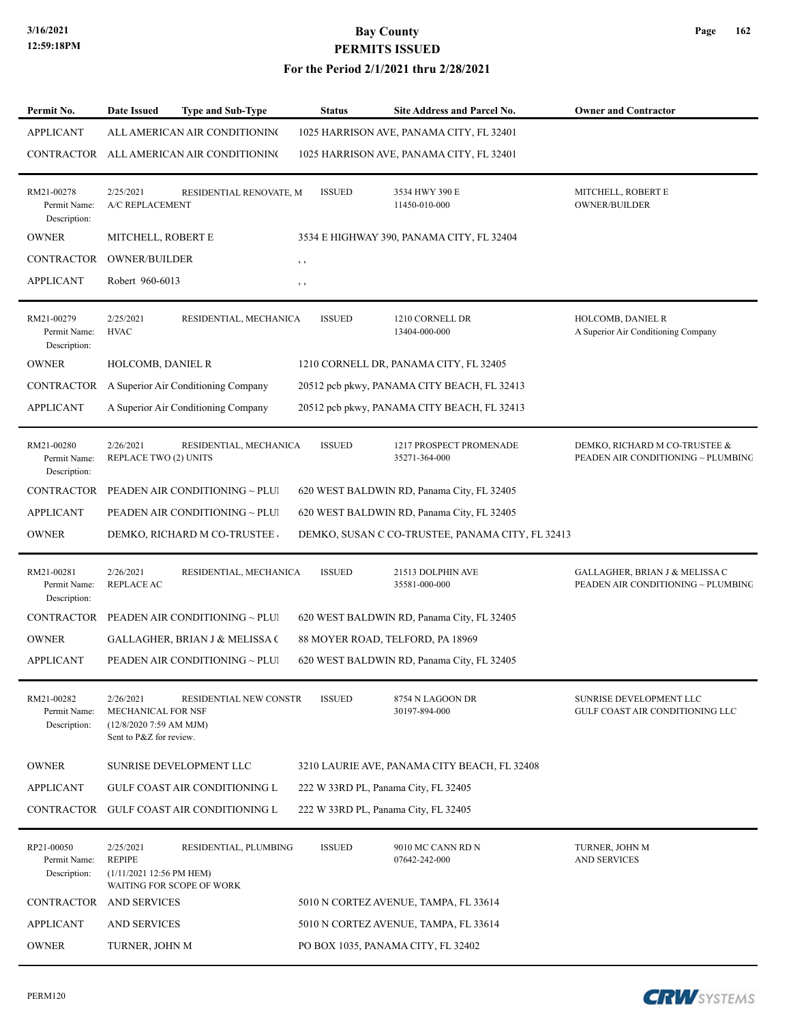#### **For the Period 2/1/2021 thru 2/28/2021**

| Permit No.                                 | <b>Date Issued</b>                                                                            | <b>Type and Sub-Type</b> | <b>Status</b>                        | <b>Site Address and Parcel No.</b>               | <b>Owner and Contractor</b>                                          |
|--------------------------------------------|-----------------------------------------------------------------------------------------------|--------------------------|--------------------------------------|--------------------------------------------------|----------------------------------------------------------------------|
| <b>APPLICANT</b>                           | ALL AMERICAN AIR CONDITIONING                                                                 |                          |                                      | 1025 HARRISON AVE, PANAMA CITY, FL 32401         |                                                                      |
| CONTRACTOR                                 | ALL AMERICAN AIR CONDITIONING                                                                 |                          |                                      | 1025 HARRISON AVE, PANAMA CITY, FL 32401         |                                                                      |
| RM21-00278<br>Permit Name:<br>Description: | 2/25/2021<br>A/C REPLACEMENT                                                                  | RESIDENTIAL RENOVATE, M  | <b>ISSUED</b>                        | 3534 HWY 390 E<br>11450-010-000                  | MITCHELL, ROBERT E<br><b>OWNER/BUILDER</b>                           |
| <b>OWNER</b>                               | MITCHELL, ROBERT E                                                                            |                          |                                      | 3534 E HIGHWAY 390, PANAMA CITY, FL 32404        |                                                                      |
| CONTRACTOR                                 | <b>OWNER/BUILDER</b>                                                                          |                          | $, \, \,$                            |                                                  |                                                                      |
| <b>APPLICANT</b>                           | Robert 960-6013                                                                               |                          | $, \, \,$                            |                                                  |                                                                      |
| RM21-00279<br>Permit Name:<br>Description: | 2/25/2021<br><b>HVAC</b>                                                                      | RESIDENTIAL, MECHANICA   | <b>ISSUED</b>                        | 1210 CORNELL DR<br>13404-000-000                 | HOLCOMB, DANIEL R<br>A Superior Air Conditioning Company             |
| <b>OWNER</b>                               | <b>HOLCOMB, DANIEL R</b>                                                                      |                          |                                      | 1210 CORNELL DR, PANAMA CITY, FL 32405           |                                                                      |
| CONTRACTOR                                 | A Superior Air Conditioning Company                                                           |                          |                                      | 20512 pcb pkwy, PANAMA CITY BEACH, FL 32413      |                                                                      |
| APPLICANT                                  | A Superior Air Conditioning Company                                                           |                          |                                      | 20512 pcb pkwy, PANAMA CITY BEACH, FL 32413      |                                                                      |
| RM21-00280<br>Permit Name:<br>Description: | 2/26/2021<br>REPLACE TWO (2) UNITS                                                            | RESIDENTIAL, MECHANICA   | <b>ISSUED</b>                        | 1217 PROSPECT PROMENADE<br>35271-364-000         | DEMKO, RICHARD M CO-TRUSTEE &<br>PEADEN AIR CONDITIONING ~ PLUMBING  |
| CONTRACTOR                                 | PEADEN AIR CONDITIONING ~ PLUI                                                                |                          |                                      | 620 WEST BALDWIN RD, Panama City, FL 32405       |                                                                      |
| <b>APPLICANT</b>                           | PEADEN AIR CONDITIONING ~ PLUI                                                                |                          |                                      | 620 WEST BALDWIN RD, Panama City, FL 32405       |                                                                      |
| <b>OWNER</b>                               | DEMKO, RICHARD M CO-TRUSTEE                                                                   |                          |                                      | DEMKO, SUSAN C CO-TRUSTEE, PANAMA CITY, FL 32413 |                                                                      |
| RM21-00281<br>Permit Name:<br>Description: | 2/26/2021<br><b>REPLACE AC</b>                                                                | RESIDENTIAL, MECHANICA   | <b>ISSUED</b>                        | 21513 DOLPHIN AVE<br>35581-000-000               | GALLAGHER, BRIAN J & MELISSA C<br>PEADEN AIR CONDITIONING ~ PLUMBING |
| CONTRACTOR                                 | PEADEN AIR CONDITIONING ~ PLUI                                                                |                          |                                      | 620 WEST BALDWIN RD, Panama City, FL 32405       |                                                                      |
| <b>OWNER</b>                               | <b>GALLAGHER, BRIAN J &amp; MELISSA (</b>                                                     |                          | 88 MOYER ROAD, TELFORD, PA 18969     |                                                  |                                                                      |
| <b>APPLICANT</b>                           | PEADEN AIR CONDITIONING ~ PLUI                                                                |                          |                                      | 620 WEST BALDWIN RD, Panama City, FL 32405       |                                                                      |
| RM21-00282<br>Permit Name:<br>Description: | 2/26/2021<br><b>MECHANICAL FOR NSF</b><br>$(12/8/20207:59$ AM MJM)<br>Sent to P&Z for review. | RESIDENTIAL NEW CONSTR   | <b>ISSUED</b>                        | 8754 N LAGOON DR<br>30197-894-000                | SUNRISE DEVELOPMENT LLC<br>GULF COAST AIR CONDITIONING LLC           |
| <b>OWNER</b>                               | SUNRISE DEVELOPMENT LLC                                                                       |                          |                                      | 3210 LAURIE AVE, PANAMA CITY BEACH, FL 32408     |                                                                      |
| <b>APPLICANT</b>                           | <b>GULF COAST AIR CONDITIONING L</b>                                                          |                          | 222 W 33RD PL, Panama City, FL 32405 |                                                  |                                                                      |
|                                            | CONTRACTOR GULF COAST AIR CONDITIONING L                                                      |                          | 222 W 33RD PL, Panama City, FL 32405 |                                                  |                                                                      |
| RP21-00050<br>Permit Name:<br>Description: | 2/25/2021<br><b>REPIPE</b><br>(1/11/2021 12:56 PM HEM)<br>WAITING FOR SCOPE OF WORK           | RESIDENTIAL, PLUMBING    | <b>ISSUED</b>                        | 9010 MC CANN RD N<br>07642-242-000               | TURNER, JOHN M<br><b>AND SERVICES</b>                                |
|                                            | CONTRACTOR AND SERVICES                                                                       |                          |                                      | 5010 N CORTEZ AVENUE, TAMPA, FL 33614            |                                                                      |
| <b>APPLICANT</b>                           | <b>AND SERVICES</b>                                                                           |                          |                                      | 5010 N CORTEZ AVENUE, TAMPA, FL 33614            |                                                                      |
| <b>OWNER</b>                               | TURNER, JOHN M                                                                                |                          |                                      | PO BOX 1035, PANAMA CITY, FL 32402               |                                                                      |

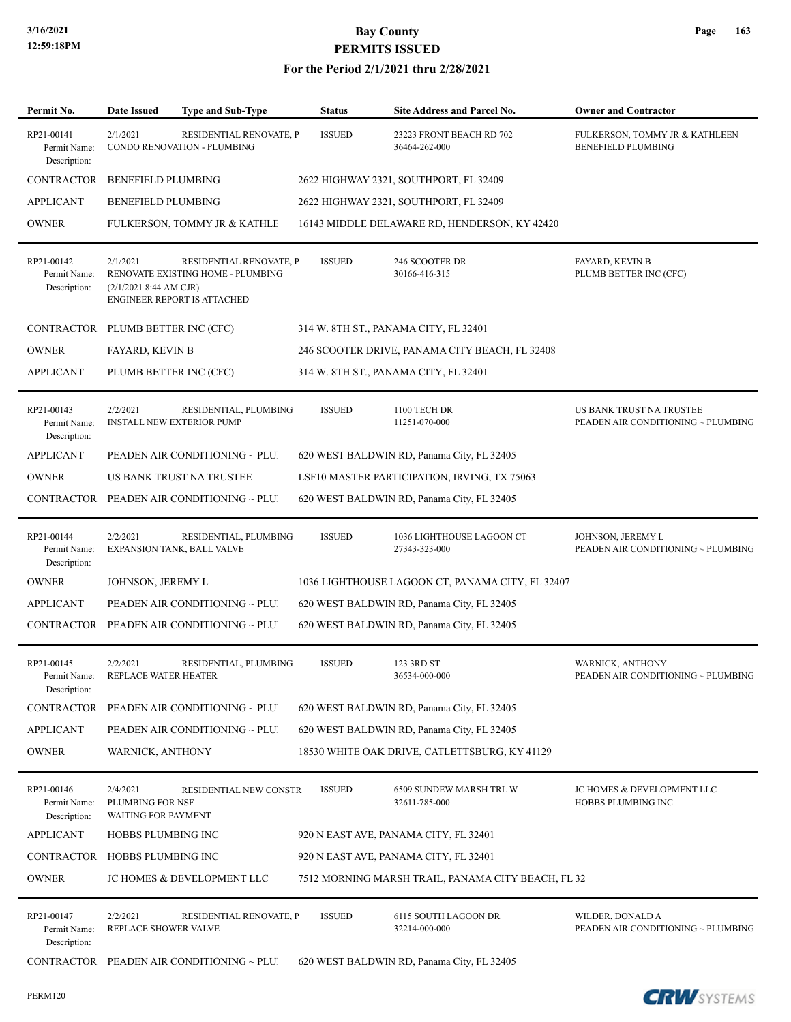| Permit No.                                 | Date Issued                                         | <b>Type and Sub-Type</b>                                                                    | <b>Status</b> | <b>Site Address and Parcel No.</b>                 | <b>Owner and Contractor</b>                                    |
|--------------------------------------------|-----------------------------------------------------|---------------------------------------------------------------------------------------------|---------------|----------------------------------------------------|----------------------------------------------------------------|
| RP21-00141<br>Permit Name:<br>Description: | 2/1/2021                                            | RESIDENTIAL RENOVATE, P<br>CONDO RENOVATION - PLUMBING                                      | <b>ISSUED</b> | 23223 FRONT BEACH RD 702<br>36464-262-000          | FULKERSON, TOMMY JR & KATHLEEN<br><b>BENEFIELD PLUMBING</b>    |
| CONTRACTOR                                 | <b>BENEFIELD PLUMBING</b>                           |                                                                                             |               | 2622 HIGHWAY 2321, SOUTHPORT, FL 32409             |                                                                |
| <b>APPLICANT</b>                           | BENEFIELD PLUMBING                                  |                                                                                             |               | 2622 HIGHWAY 2321, SOUTHPORT, FL 32409             |                                                                |
| <b>OWNER</b>                               |                                                     | FULKERSON, TOMMY JR & KATHLE                                                                |               | 16143 MIDDLE DELAWARE RD, HENDERSON, KY 42420      |                                                                |
| RP21-00142<br>Permit Name:<br>Description: | 2/1/2021<br>(2/1/2021 8:44 AM CJR)                  | RESIDENTIAL RENOVATE, P<br>RENOVATE EXISTING HOME - PLUMBING<br>ENGINEER REPORT IS ATTACHED | <b>ISSUED</b> | 246 SCOOTER DR<br>30166-416-315                    | <b>FAYARD, KEVIN B</b><br>PLUMB BETTER INC (CFC)               |
| CONTRACTOR PLUMB BETTER INC (CFC)          |                                                     |                                                                                             |               | 314 W. 8TH ST., PANAMA CITY, FL 32401              |                                                                |
| <b>OWNER</b>                               | FAYARD, KEVIN B                                     |                                                                                             |               | 246 SCOOTER DRIVE, PANAMA CITY BEACH, FL 32408     |                                                                |
| <b>APPLICANT</b>                           | PLUMB BETTER INC (CFC)                              |                                                                                             |               | 314 W. 8TH ST., PANAMA CITY, FL 32401              |                                                                |
| RP21-00143<br>Permit Name:<br>Description: | 2/2/2021                                            | RESIDENTIAL, PLUMBING<br><b>INSTALL NEW EXTERIOR PUMP</b>                                   | <b>ISSUED</b> | 1100 TECH DR<br>11251-070-000                      | US BANK TRUST NA TRUSTEE<br>PEADEN AIR CONDITIONING ~ PLUMBING |
| <b>APPLICANT</b>                           |                                                     | PEADEN AIR CONDITIONING ~ PLUI                                                              |               | 620 WEST BALDWIN RD, Panama City, FL 32405         |                                                                |
| <b>OWNER</b>                               |                                                     | US BANK TRUST NA TRUSTEE                                                                    |               | LSF10 MASTER PARTICIPATION, IRVING, TX 75063       |                                                                |
|                                            |                                                     | CONTRACTOR PEADEN AIR CONDITIONING ~ PLUI                                                   |               | 620 WEST BALDWIN RD, Panama City, FL 32405         |                                                                |
| RP21-00144<br>Permit Name:<br>Description: | 2/2/2021                                            | RESIDENTIAL, PLUMBING<br>EXPANSION TANK, BALL VALVE                                         | <b>ISSUED</b> | 1036 LIGHTHOUSE LAGOON CT<br>27343-323-000         | JOHNSON, JEREMY L<br>PEADEN AIR CONDITIONING ~ PLUMBING        |
| <b>OWNER</b>                               | JOHNSON, JEREMY L                                   |                                                                                             |               | 1036 LIGHTHOUSE LAGOON CT, PANAMA CITY, FL 32407   |                                                                |
| <b>APPLICANT</b>                           |                                                     | PEADEN AIR CONDITIONING ~ PLUI                                                              |               | 620 WEST BALDWIN RD, Panama City, FL 32405         |                                                                |
|                                            |                                                     | $\textbf{CONTRACTOR} \quad \textbf{PEADER} \textbf{ AIR CONDITIONING} \sim \textbf{PLUI}$   |               | 620 WEST BALDWIN RD, Panama City, FL 32405         |                                                                |
| RP21-00145<br>Permit Name:<br>Description: | 2/2/2021<br>REPLACE WATER HEATER                    | RESIDENTIAL, PLUMBING                                                                       | <b>ISSUED</b> | 123 3RD ST<br>36534-000-000                        | <b>WARNICK, ANTHONY</b><br>PEADEN AIR CONDITIONING ~ PLUMBING  |
| CONTRACTOR                                 |                                                     | PEADEN AIR CONDITIONING $\sim$ PLUI                                                         |               | 620 WEST BALDWIN RD, Panama City, FL 32405         |                                                                |
| <b>APPLICANT</b>                           |                                                     | PEADEN AIR CONDITIONING ~ PLUI                                                              |               | 620 WEST BALDWIN RD, Panama City, FL 32405         |                                                                |
| <b>OWNER</b>                               | <b>WARNICK, ANTHONY</b>                             |                                                                                             |               | 18530 WHITE OAK DRIVE, CATLETTSBURG, KY 41129      |                                                                |
| RP21-00146<br>Permit Name:<br>Description: | 2/4/2021<br>PLUMBING FOR NSF<br>WAITING FOR PAYMENT | RESIDENTIAL NEW CONSTR                                                                      | <b>ISSUED</b> | 6509 SUNDEW MARSH TRL W<br>32611-785-000           | JC HOMES & DEVELOPMENT LLC<br>HOBBS PLUMBING INC               |
| <b>APPLICANT</b>                           | HOBBS PLUMBING INC                                  |                                                                                             |               | 920 N EAST AVE, PANAMA CITY, FL 32401              |                                                                |
| CONTRACTOR HOBBS PLUMBING INC              |                                                     |                                                                                             |               | 920 N EAST AVE, PANAMA CITY, FL 32401              |                                                                |
| <b>OWNER</b>                               |                                                     | JC HOMES & DEVELOPMENT LLC                                                                  |               | 7512 MORNING MARSH TRAIL, PANAMA CITY BEACH, FL 32 |                                                                |
| RP21-00147<br>Permit Name:<br>Description: | 2/2/2021<br>REPLACE SHOWER VALVE                    | RESIDENTIAL RENOVATE, P                                                                     | <b>ISSUED</b> | 6115 SOUTH LAGOON DR<br>32214-000-000              | WILDER, DONALD A<br>PEADEN AIR CONDITIONING ~ PLUMBING         |
|                                            |                                                     | CONTRACTOR PEADEN AIR CONDITIONING ~ PLUI                                                   |               | 620 WEST BALDWIN RD, Panama City, FL 32405         |                                                                |

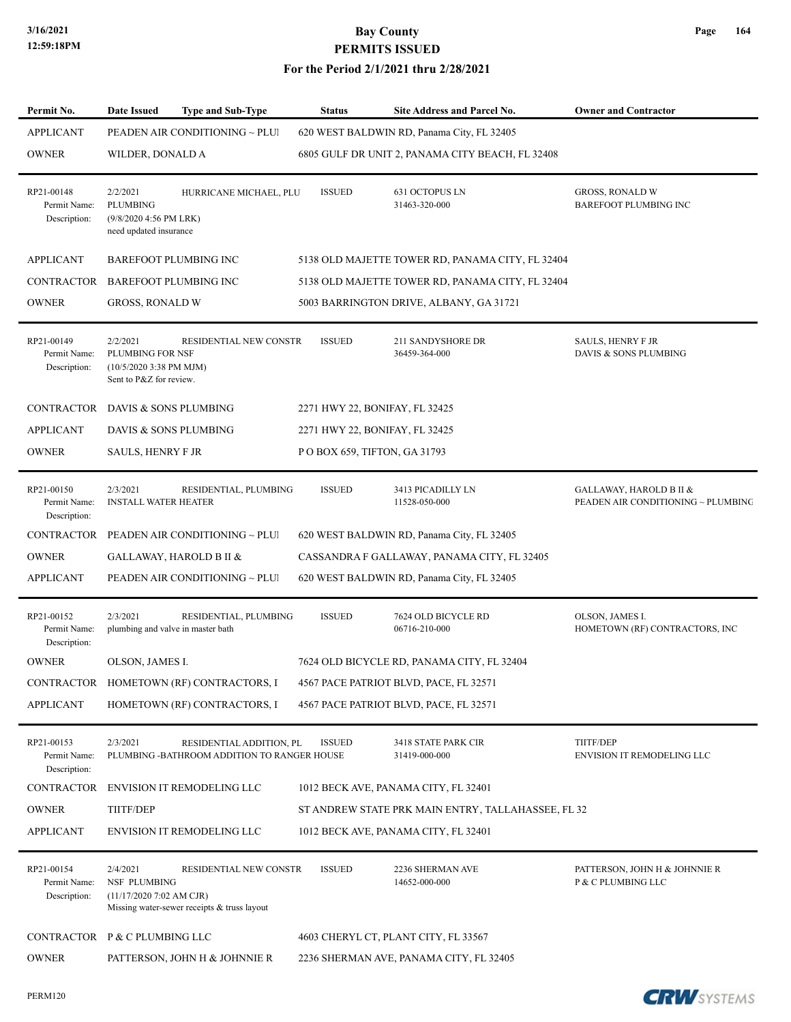#### **For the Period 2/1/2021 thru 2/28/2021**

| Permit No.                                 | <b>Date Issued</b>                                                                   | <b>Type and Sub-Type</b>                                                | <b>Status</b>                  | <b>Site Address and Parcel No.</b>                 | <b>Owner and Contractor</b>                                   |
|--------------------------------------------|--------------------------------------------------------------------------------------|-------------------------------------------------------------------------|--------------------------------|----------------------------------------------------|---------------------------------------------------------------|
| <b>APPLICANT</b>                           |                                                                                      | PEADEN AIR CONDITIONING ~ PLUI                                          |                                | 620 WEST BALDWIN RD, Panama City, FL 32405         |                                                               |
| <b>OWNER</b>                               | WILDER, DONALD A                                                                     |                                                                         |                                | 6805 GULF DR UNIT 2, PANAMA CITY BEACH, FL 32408   |                                                               |
| RP21-00148<br>Permit Name:<br>Description: | 2/2/2021<br><b>PLUMBING</b><br>(9/8/2020 4:56 PM LRK)<br>need updated insurance      | HURRICANE MICHAEL, PLU                                                  | <b>ISSUED</b>                  | 631 OCTOPUS LN<br>31463-320-000                    | <b>GROSS, RONALD W</b><br><b>BAREFOOT PLUMBING INC</b>        |
| <b>APPLICANT</b>                           |                                                                                      | <b>BAREFOOT PLUMBING INC</b>                                            |                                | 5138 OLD MAJETTE TOWER RD, PANAMA CITY, FL 32404   |                                                               |
| <b>CONTRACTOR</b>                          | <b>BAREFOOT PLUMBING INC</b>                                                         |                                                                         |                                | 5138 OLD MAJETTE TOWER RD, PANAMA CITY, FL 32404   |                                                               |
| <b>OWNER</b>                               | <b>GROSS, RONALD W</b>                                                               |                                                                         |                                | 5003 BARRINGTON DRIVE, ALBANY, GA 31721            |                                                               |
| RP21-00149<br>Permit Name:<br>Description: | 2/2/2021<br>PLUMBING FOR NSF<br>$(10/5/2020$ 3:38 PM MJM)<br>Sent to P&Z for review. | RESIDENTIAL NEW CONSTR                                                  | <b>ISSUED</b>                  | 211 SANDYSHORE DR<br>36459-364-000                 | <b>SAULS, HENRY F JR</b><br>DAVIS & SONS PLUMBING             |
| CONTRACTOR DAVIS & SONS PLUMBING           |                                                                                      |                                                                         | 2271 HWY 22, BONIFAY, FL 32425 |                                                    |                                                               |
| <b>APPLICANT</b>                           | DAVIS & SONS PLUMBING                                                                |                                                                         | 2271 HWY 22, BONIFAY, FL 32425 |                                                    |                                                               |
| <b>OWNER</b>                               | SAULS, HENRY F JR                                                                    |                                                                         | POBOX 659, TIFTON, GA 31793    |                                                    |                                                               |
| RP21-00150<br>Permit Name:<br>Description: | 2/3/2021<br><b>INSTALL WATER HEATER</b>                                              | RESIDENTIAL, PLUMBING                                                   | <b>ISSUED</b>                  | 3413 PICADILLY LN<br>11528-050-000                 | GALLAWAY, HAROLD B II &<br>PEADEN AIR CONDITIONING ~ PLUMBING |
| CONTRACTOR                                 |                                                                                      | PEADEN AIR CONDITIONING ~ PLUI                                          |                                | 620 WEST BALDWIN RD, Panama City, FL 32405         |                                                               |
| <b>OWNER</b>                               |                                                                                      | GALLAWAY, HAROLD B II &                                                 |                                | CASSANDRA F GALLAWAY, PANAMA CITY, FL 32405        |                                                               |
| <b>APPLICANT</b>                           |                                                                                      | PEADEN AIR CONDITIONING ~ PLUI                                          |                                | 620 WEST BALDWIN RD, Panama City, FL 32405         |                                                               |
| RP21-00152<br>Permit Name:<br>Description: | 2/3/2021<br>plumbing and valve in master bath                                        | RESIDENTIAL, PLUMBING                                                   | <b>ISSUED</b>                  | 7624 OLD BICYCLE RD<br>06716-210-000               | OLSON, JAMES I.<br>HOMETOWN (RF) CONTRACTORS, INC             |
| <b>OWNER</b>                               | OLSON, JAMES I.                                                                      |                                                                         |                                | 7624 OLD BICYCLE RD, PANAMA CITY, FL 32404         |                                                               |
|                                            |                                                                                      | CONTRACTOR HOMETOWN (RF) CONTRACTORS, I                                 |                                | 4567 PACE PATRIOT BLVD, PACE, FL 32571             |                                                               |
| <b>APPLICANT</b>                           |                                                                                      | HOMETOWN (RF) CONTRACTORS, I                                            |                                | 4567 PACE PATRIOT BLVD, PACE, FL 32571             |                                                               |
| RP21-00153<br>Permit Name:<br>Description: | 2/3/2021                                                                             | RESIDENTIAL ADDITION, PL<br>PLUMBING -BATHROOM ADDITION TO RANGER HOUSE | <b>ISSUED</b>                  | 3418 STATE PARK CIR<br>31419-000-000               | <b>TIITF/DEP</b><br>ENVISION IT REMODELING LLC                |
| CONTRACTOR                                 |                                                                                      | <b>ENVISION IT REMODELING LLC</b>                                       |                                | 1012 BECK AVE, PANAMA CITY, FL 32401               |                                                               |
| <b>OWNER</b>                               | TIITF/DEP                                                                            |                                                                         |                                | ST ANDREW STATE PRK MAIN ENTRY, TALLAHASSEE, FL 32 |                                                               |
| <b>APPLICANT</b>                           |                                                                                      | <b>ENVISION IT REMODELING LLC</b>                                       |                                | 1012 BECK AVE, PANAMA CITY, FL 32401               |                                                               |
| RP21-00154<br>Permit Name:<br>Description: | 2/4/2021<br>NSF PLUMBING<br>$(11/17/20207:02$ AM CJR)                                | RESIDENTIAL NEW CONSTR<br>Missing water-sewer receipts & truss layout   | <b>ISSUED</b>                  | 2236 SHERMAN AVE<br>14652-000-000                  | PATTERSON, JOHN H & JOHNNIE R<br>P & C PLUMBING LLC           |
| CONTRACTOR P & C PLUMBING LLC              |                                                                                      |                                                                         |                                | 4603 CHERYL CT, PLANT CITY, FL 33567               |                                                               |
| <b>OWNER</b>                               |                                                                                      | PATTERSON, JOHN H & JOHNNIE R                                           |                                | 2236 SHERMAN AVE, PANAMA CITY, FL 32405            |                                                               |

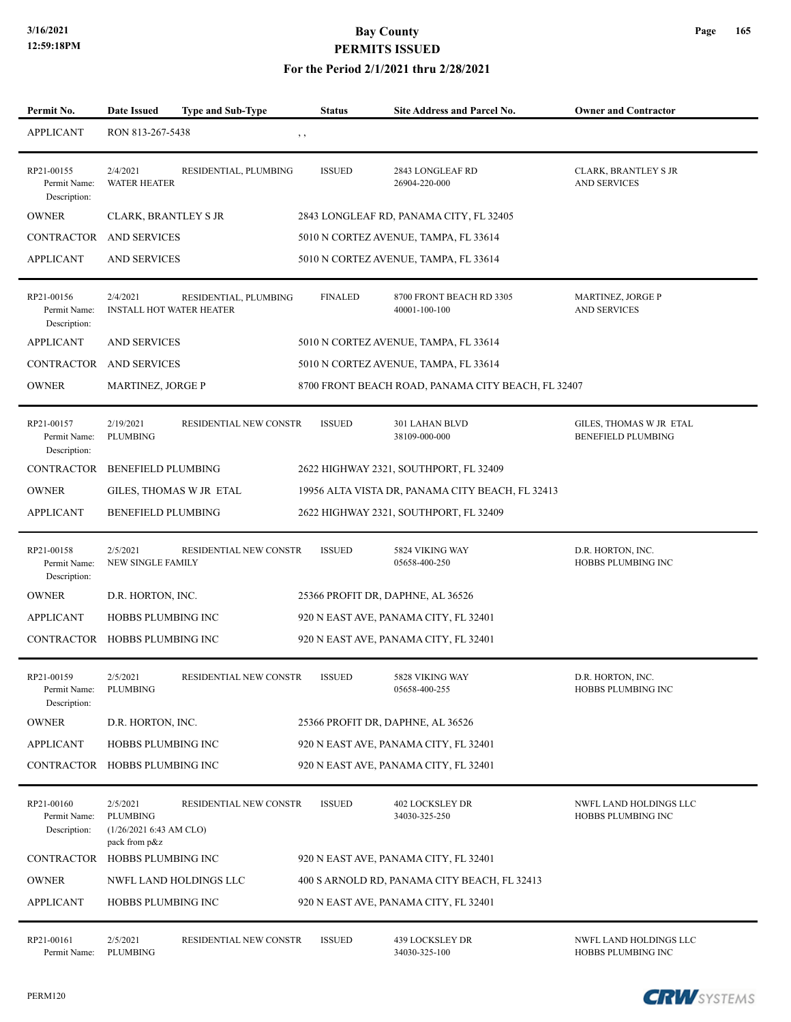#### **For the Period 2/1/2021 thru 2/28/2021**

| Permit No.                                 | Date Issued                                                            | <b>Type and Sub-Type</b> | <b>Status</b>  | <b>Site Address and Parcel No.</b>                 | <b>Owner and Contractor</b>                          |
|--------------------------------------------|------------------------------------------------------------------------|--------------------------|----------------|----------------------------------------------------|------------------------------------------------------|
| <b>APPLICANT</b>                           | RON 813-267-5438                                                       |                          | $, \, , \,$    |                                                    |                                                      |
| RP21-00155<br>Permit Name:<br>Description: | 2/4/2021<br><b>WATER HEATER</b>                                        | RESIDENTIAL, PLUMBING    | <b>ISSUED</b>  | 2843 LONGLEAF RD<br>26904-220-000                  | <b>CLARK, BRANTLEY S JR</b><br><b>AND SERVICES</b>   |
| <b>OWNER</b>                               | CLARK, BRANTLEY S JR                                                   |                          |                | 2843 LONGLEAF RD, PANAMA CITY, FL 32405            |                                                      |
| CONTRACTOR                                 | <b>AND SERVICES</b>                                                    |                          |                | 5010 N CORTEZ AVENUE, TAMPA, FL 33614              |                                                      |
| <b>APPLICANT</b>                           | <b>AND SERVICES</b>                                                    |                          |                | 5010 N CORTEZ AVENUE, TAMPA, FL 33614              |                                                      |
| RP21-00156<br>Permit Name:<br>Description: | 2/4/2021<br><b>INSTALL HOT WATER HEATER</b>                            | RESIDENTIAL, PLUMBING    | <b>FINALED</b> | 8700 FRONT BEACH RD 3305<br>40001-100-100          | MARTINEZ, JORGE P<br><b>AND SERVICES</b>             |
| <b>APPLICANT</b>                           | <b>AND SERVICES</b>                                                    |                          |                | 5010 N CORTEZ AVENUE, TAMPA, FL 33614              |                                                      |
| CONTRACTOR                                 | AND SERVICES                                                           |                          |                | 5010 N CORTEZ AVENUE, TAMPA, FL 33614              |                                                      |
| <b>OWNER</b>                               | MARTINEZ, JORGE P                                                      |                          |                | 8700 FRONT BEACH ROAD, PANAMA CITY BEACH, FL 32407 |                                                      |
| RP21-00157<br>Permit Name:<br>Description: | 2/19/2021<br><b>PLUMBING</b>                                           | RESIDENTIAL NEW CONSTR   | <b>ISSUED</b>  | 301 LAHAN BLVD<br>38109-000-000                    | GILES, THOMAS W JR ETAL<br><b>BENEFIELD PLUMBING</b> |
| CONTRACTOR                                 | <b>BENEFIELD PLUMBING</b>                                              |                          |                | 2622 HIGHWAY 2321, SOUTHPORT, FL 32409             |                                                      |
| <b>OWNER</b>                               |                                                                        | GILES, THOMAS W JR ETAL  |                | 19956 ALTA VISTA DR, PANAMA CITY BEACH, FL 32413   |                                                      |
| <b>APPLICANT</b>                           | <b>BENEFIELD PLUMBING</b>                                              |                          |                | 2622 HIGHWAY 2321, SOUTHPORT, FL 32409             |                                                      |
| RP21-00158<br>Permit Name:<br>Description: | 2/5/2021<br>NEW SINGLE FAMILY                                          | RESIDENTIAL NEW CONSTR   | <b>ISSUED</b>  | 5824 VIKING WAY<br>05658-400-250                   | D.R. HORTON, INC.<br>HOBBS PLUMBING INC              |
| <b>OWNER</b>                               | D.R. HORTON, INC.                                                      |                          |                | 25366 PROFIT DR, DAPHNE, AL 36526                  |                                                      |
| <b>APPLICANT</b>                           | HOBBS PLUMBING INC                                                     |                          |                | 920 N EAST AVE, PANAMA CITY, FL 32401              |                                                      |
| CONTRACTOR HOBBS PLUMBING INC              |                                                                        |                          |                | 920 N EAST AVE, PANAMA CITY, FL 32401              |                                                      |
| RP21-00159<br>Permit Name:<br>Description: | 2/5/2021<br>PLUMBING                                                   | RESIDENTIAL NEW CONSTR   | <b>ISSUED</b>  | 5828 VIKING WAY<br>05658-400-255                   | D.R. HORTON, INC.<br>HOBBS PLUMBING INC              |
| <b>OWNER</b>                               | D.R. HORTON, INC.                                                      |                          |                | 25366 PROFIT DR, DAPHNE, AL 36526                  |                                                      |
| <b>APPLICANT</b>                           | HOBBS PLUMBING INC                                                     |                          |                | 920 N EAST AVE, PANAMA CITY, FL 32401              |                                                      |
| CONTRACTOR                                 | HOBBS PLUMBING INC                                                     |                          |                | 920 N EAST AVE, PANAMA CITY, FL 32401              |                                                      |
| RP21-00160<br>Permit Name:<br>Description: | 2/5/2021<br><b>PLUMBING</b><br>(1/26/20216:43 AM CLO)<br>pack from p&z | RESIDENTIAL NEW CONSTR   | <b>ISSUED</b>  | 402 LOCKSLEY DR<br>34030-325-250                   | NWFL LAND HOLDINGS LLC<br>HOBBS PLUMBING INC         |
| <b>CONTRACTOR</b>                          | HOBBS PLUMBING INC                                                     |                          |                | 920 N EAST AVE, PANAMA CITY, FL 32401              |                                                      |
| <b>OWNER</b>                               |                                                                        | NWFL LAND HOLDINGS LLC   |                | 400 S ARNOLD RD, PANAMA CITY BEACH, FL 32413       |                                                      |
| <b>APPLICANT</b>                           | HOBBS PLUMBING INC                                                     |                          |                | 920 N EAST AVE, PANAMA CITY, FL 32401              |                                                      |
| RP21-00161<br>Permit Name:                 | 2/5/2021<br>PLUMBING                                                   | RESIDENTIAL NEW CONSTR   | <b>ISSUED</b>  | 439 LOCKSLEY DR<br>34030-325-100                   | NWFL LAND HOLDINGS LLC<br>HOBBS PLUMBING INC         |

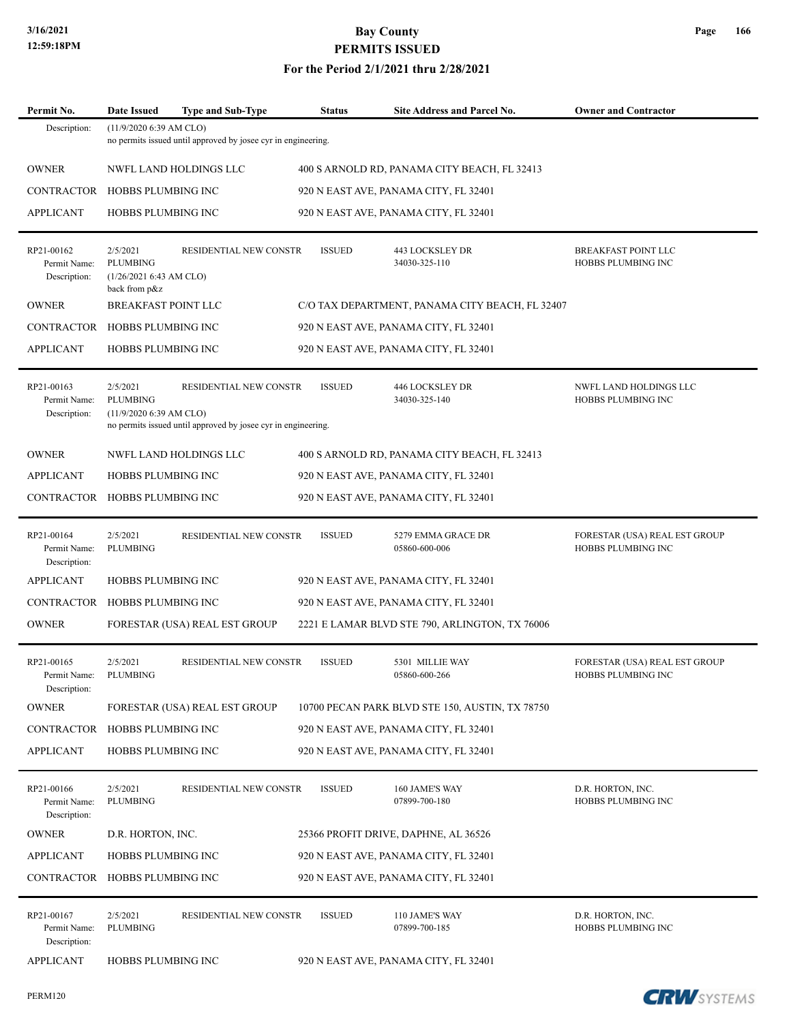#### **For the Period 2/1/2021 thru 2/28/2021**

| Permit No.                                 | <b>Date Issued</b>                                                     | <b>Type and Sub-Type</b>                                                                | <b>Status</b> | <b>Site Address and Parcel No.</b>              | <b>Owner and Contractor</b>                                |  |  |  |
|--------------------------------------------|------------------------------------------------------------------------|-----------------------------------------------------------------------------------------|---------------|-------------------------------------------------|------------------------------------------------------------|--|--|--|
| Description:                               | $(11/9/2020 6:39$ AM CLO)                                              | no permits issued until approved by josee cyr in engineering.                           |               |                                                 |                                                            |  |  |  |
| <b>OWNER</b>                               |                                                                        | NWFL LAND HOLDINGS LLC                                                                  |               | 400 S ARNOLD RD, PANAMA CITY BEACH, FL 32413    |                                                            |  |  |  |
| <b>CONTRACTOR</b>                          |                                                                        | HOBBS PLUMBING INC<br>920 N EAST AVE, PANAMA CITY, FL 32401                             |               |                                                 |                                                            |  |  |  |
| <b>APPLICANT</b>                           | HOBBS PLUMBING INC                                                     |                                                                                         |               | 920 N EAST AVE, PANAMA CITY, FL 32401           |                                                            |  |  |  |
| RP21-00162<br>Permit Name:<br>Description: | 2/5/2021<br><b>PLUMBING</b><br>(1/26/20216:43 AM CLO)<br>back from p&z | RESIDENTIAL NEW CONSTR                                                                  | <b>ISSUED</b> | 443 LOCKSLEY DR<br>34030-325-110                | <b>BREAKFAST POINT LLC</b><br>HOBBS PLUMBING INC           |  |  |  |
| <b>OWNER</b>                               | BREAKFAST POINT LLC                                                    |                                                                                         |               | C/O TAX DEPARTMENT, PANAMA CITY BEACH, FL 32407 |                                                            |  |  |  |
| CONTRACTOR                                 | HOBBS PLUMBING INC                                                     |                                                                                         |               | 920 N EAST AVE, PANAMA CITY, FL 32401           |                                                            |  |  |  |
| <b>APPLICANT</b>                           | <b>HOBBS PLUMBING INC</b>                                              |                                                                                         |               | 920 N EAST AVE, PANAMA CITY, FL 32401           |                                                            |  |  |  |
| RP21-00163<br>Permit Name:<br>Description: | 2/5/2021<br><b>PLUMBING</b><br>$(11/9/2020 6:39$ AM CLO)               | RESIDENTIAL NEW CONSTR<br>no permits issued until approved by josee cyr in engineering. | <b>ISSUED</b> | 446 LOCKSLEY DR<br>34030-325-140                | NWFL LAND HOLDINGS LLC<br>HOBBS PLUMBING INC               |  |  |  |
| <b>OWNER</b>                               |                                                                        | NWFL LAND HOLDINGS LLC                                                                  |               | 400 S ARNOLD RD, PANAMA CITY BEACH, FL 32413    |                                                            |  |  |  |
| <b>APPLICANT</b>                           | <b>HOBBS PLUMBING INC</b>                                              |                                                                                         |               | 920 N EAST AVE, PANAMA CITY, FL 32401           |                                                            |  |  |  |
| CONTRACTOR                                 | HOBBS PLUMBING INC                                                     |                                                                                         |               | 920 N EAST AVE, PANAMA CITY, FL 32401           |                                                            |  |  |  |
| RP21-00164<br>Permit Name:<br>Description: | 2/5/2021<br><b>PLUMBING</b>                                            | RESIDENTIAL NEW CONSTR                                                                  | <b>ISSUED</b> | 5279 EMMA GRACE DR<br>05860-600-006             | FORESTAR (USA) REAL EST GROUP<br>HOBBS PLUMBING INC        |  |  |  |
| <b>APPLICANT</b>                           | <b>HOBBS PLUMBING INC</b>                                              |                                                                                         |               | 920 N EAST AVE, PANAMA CITY, FL 32401           |                                                            |  |  |  |
| <b>CONTRACTOR</b>                          | HOBBS PLUMBING INC                                                     |                                                                                         |               | 920 N EAST AVE, PANAMA CITY, FL 32401           |                                                            |  |  |  |
| <b>OWNER</b>                               |                                                                        | FORESTAR (USA) REAL EST GROUP                                                           |               | 2221 E LAMAR BLVD STE 790, ARLINGTON, TX 76006  |                                                            |  |  |  |
| RP21-00165<br>Permit Name:<br>Description: | 2/5/2021<br><b>PLUMBING</b>                                            | RESIDENTIAL NEW CONSTR                                                                  | <b>ISSUED</b> | 5301 MILLIE WAY<br>05860-600-266                | FORESTAR (USA) REAL EST GROUP<br><b>HOBBS PLUMBING INC</b> |  |  |  |
| <b>OWNER</b>                               |                                                                        | FORESTAR (USA) REAL EST GROUP                                                           |               | 10700 PECAN PARK BLVD STE 150, AUSTIN, TX 78750 |                                                            |  |  |  |
| CONTRACTOR                                 | <b>HOBBS PLUMBING INC</b>                                              |                                                                                         |               | 920 N EAST AVE, PANAMA CITY, FL 32401           |                                                            |  |  |  |
| <b>APPLICANT</b>                           | HOBBS PLUMBING INC                                                     |                                                                                         |               | 920 N EAST AVE, PANAMA CITY, FL 32401           |                                                            |  |  |  |
| RP21-00166<br>Permit Name:<br>Description: | 2/5/2021<br>PLUMBING                                                   | RESIDENTIAL NEW CONSTR                                                                  | <b>ISSUED</b> | 160 JAME'S WAY<br>07899-700-180                 | D.R. HORTON, INC.<br>HOBBS PLUMBING INC                    |  |  |  |
| <b>OWNER</b>                               | D.R. HORTON, INC.                                                      |                                                                                         |               | 25366 PROFIT DRIVE, DAPHNE, AL 36526            |                                                            |  |  |  |
| <b>APPLICANT</b>                           | <b>HOBBS PLUMBING INC</b>                                              |                                                                                         |               | 920 N EAST AVE, PANAMA CITY, FL 32401           |                                                            |  |  |  |
| CONTRACTOR                                 | HOBBS PLUMBING INC                                                     |                                                                                         |               | 920 N EAST AVE, PANAMA CITY, FL 32401           |                                                            |  |  |  |
| RP21-00167<br>Permit Name:<br>Description: | 2/5/2021<br><b>PLUMBING</b>                                            | RESIDENTIAL NEW CONSTR                                                                  | <b>ISSUED</b> | 110 JAME'S WAY<br>07899-700-185                 | D.R. HORTON, INC.<br>HOBBS PLUMBING INC                    |  |  |  |
| <b>APPLICANT</b>                           | HOBBS PLUMBING INC                                                     |                                                                                         |               | 920 N EAST AVE, PANAMA CITY, FL 32401           |                                                            |  |  |  |

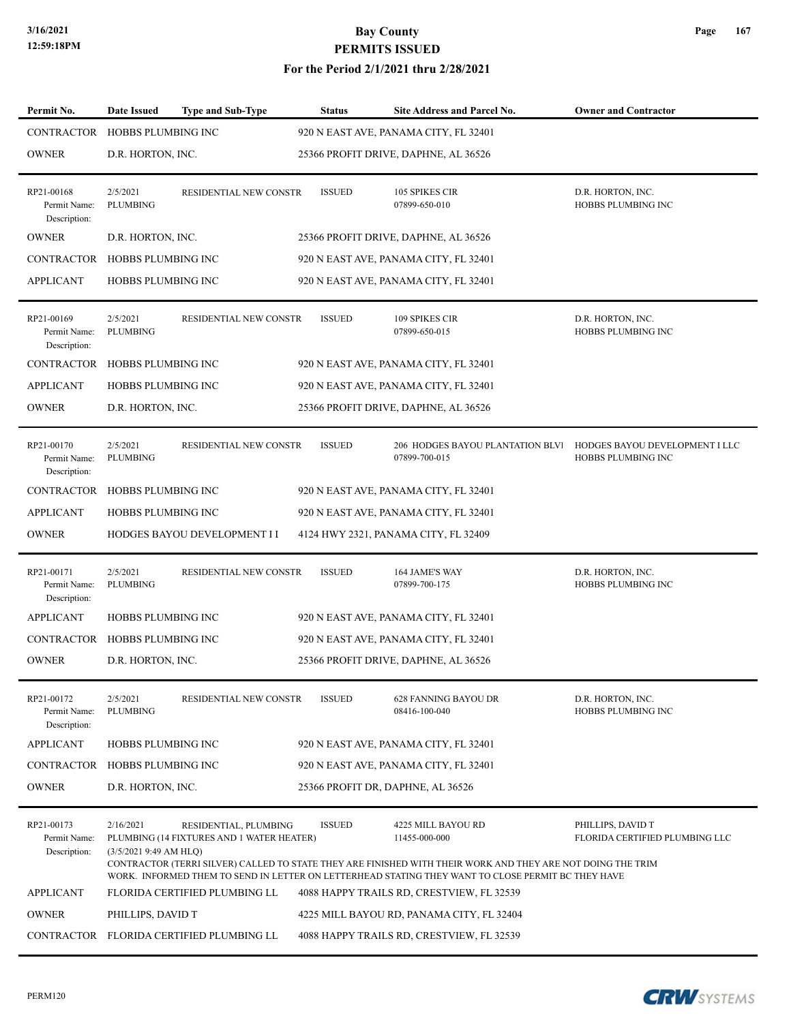| Permit No.                                 | <b>Date Issued</b>                 | <b>Type and Sub-Type</b>                                           | <b>Status</b>                     | <b>Site Address and Parcel No.</b>                                                                                                                                                                                                                       | <b>Owner and Contractor</b>                          |
|--------------------------------------------|------------------------------------|--------------------------------------------------------------------|-----------------------------------|----------------------------------------------------------------------------------------------------------------------------------------------------------------------------------------------------------------------------------------------------------|------------------------------------------------------|
| CONTRACTOR                                 | HOBBS PLUMBING INC                 |                                                                    |                                   | 920 N EAST AVE, PANAMA CITY, FL 32401                                                                                                                                                                                                                    |                                                      |
| OWNER                                      | D.R. HORTON, INC.                  |                                                                    |                                   | 25366 PROFIT DRIVE, DAPHNE, AL 36526                                                                                                                                                                                                                     |                                                      |
| RP21-00168<br>Permit Name:<br>Description: | 2/5/2021<br><b>PLUMBING</b>        | RESIDENTIAL NEW CONSTR                                             | <b>ISSUED</b>                     | 105 SPIKES CIR<br>07899-650-010                                                                                                                                                                                                                          | D.R. HORTON, INC.<br>HOBBS PLUMBING INC              |
| OWNER                                      | D.R. HORTON, INC.                  |                                                                    |                                   | 25366 PROFIT DRIVE, DAPHNE, AL 36526                                                                                                                                                                                                                     |                                                      |
| CONTRACTOR                                 | HOBBS PLUMBING INC                 |                                                                    |                                   | 920 N EAST AVE, PANAMA CITY, FL 32401                                                                                                                                                                                                                    |                                                      |
| APPLICANT                                  | <b>HOBBS PLUMBING INC</b>          |                                                                    |                                   | 920 N EAST AVE, PANAMA CITY, FL 32401                                                                                                                                                                                                                    |                                                      |
| RP21-00169<br>Permit Name:<br>Description: | 2/5/2021<br>PLUMBING               | RESIDENTIAL NEW CONSTR                                             | <b>ISSUED</b>                     | 109 SPIKES CIR<br>07899-650-015                                                                                                                                                                                                                          | D.R. HORTON, INC.<br>HOBBS PLUMBING INC              |
| CONTRACTOR                                 | HOBBS PLUMBING INC                 |                                                                    |                                   | 920 N EAST AVE, PANAMA CITY, FL 32401                                                                                                                                                                                                                    |                                                      |
| <b>APPLICANT</b>                           | HOBBS PLUMBING INC                 |                                                                    |                                   | 920 N EAST AVE, PANAMA CITY, FL 32401                                                                                                                                                                                                                    |                                                      |
| OWNER                                      | D.R. HORTON, INC.                  |                                                                    |                                   | 25366 PROFIT DRIVE, DAPHNE, AL 36526                                                                                                                                                                                                                     |                                                      |
| RP21-00170<br>Permit Name:<br>Description: | 2/5/2021<br>PLUMBING               | RESIDENTIAL NEW CONSTR                                             | <b>ISSUED</b>                     | 206 HODGES BAYOU PLANTATION BLVI<br>07899-700-015                                                                                                                                                                                                        | HODGES BAYOU DEVELOPMENT I LLC<br>HOBBS PLUMBING INC |
| CONTRACTOR                                 | HOBBS PLUMBING INC                 |                                                                    |                                   | 920 N EAST AVE, PANAMA CITY, FL 32401                                                                                                                                                                                                                    |                                                      |
| APPLICANT                                  | HOBBS PLUMBING INC                 |                                                                    |                                   | 920 N EAST AVE, PANAMA CITY, FL 32401                                                                                                                                                                                                                    |                                                      |
| OWNER                                      |                                    | HODGES BAYOU DEVELOPMENT I I                                       |                                   | 4124 HWY 2321, PANAMA CITY, FL 32409                                                                                                                                                                                                                     |                                                      |
| RP21-00171<br>Permit Name:<br>Description: | 2/5/2021<br><b>PLUMBING</b>        | RESIDENTIAL NEW CONSTR                                             | <b>ISSUED</b>                     | 164 JAME'S WAY<br>07899-700-175                                                                                                                                                                                                                          | D.R. HORTON, INC.<br>HOBBS PLUMBING INC              |
| APPLICANT                                  | HOBBS PLUMBING INC                 |                                                                    |                                   | 920 N EAST AVE, PANAMA CITY, FL 32401                                                                                                                                                                                                                    |                                                      |
| CONTRACTOR                                 | HOBBS PLUMBING INC                 |                                                                    |                                   | 920 N EAST AVE, PANAMA CITY, FL 32401                                                                                                                                                                                                                    |                                                      |
| OWNER                                      | D.R. HORTON, INC.                  |                                                                    |                                   | 25366 PROFIT DRIVE, DAPHNE, AL 36526                                                                                                                                                                                                                     |                                                      |
| RP21-00172<br>Permit Name:<br>Description: | 2/5/2021<br>PLUMBING               | <b>RESIDENTIAL NEW CONSTR</b>                                      | <b>ISSUED</b>                     | 628 FANNING BAYOU DR<br>08416-100-040                                                                                                                                                                                                                    | D.R. HORTON, INC.<br>HOBBS PLUMBING INC              |
| APPLICANT                                  | HOBBS PLUMBING INC                 |                                                                    |                                   | 920 N EAST AVE, PANAMA CITY, FL 32401                                                                                                                                                                                                                    |                                                      |
| CONTRACTOR                                 | HOBBS PLUMBING INC                 |                                                                    |                                   | 920 N EAST AVE, PANAMA CITY, FL 32401                                                                                                                                                                                                                    |                                                      |
| OWNER                                      | D.R. HORTON, INC.                  |                                                                    | 25366 PROFIT DR, DAPHNE, AL 36526 |                                                                                                                                                                                                                                                          |                                                      |
| RP21-00173<br>Permit Name:<br>Description: | 2/16/2021<br>(3/5/20219:49 AM HLQ) | RESIDENTIAL, PLUMBING<br>PLUMBING (14 FIXTURES AND 1 WATER HEATER) | <b>ISSUED</b>                     | 4225 MILL BAYOU RD<br>11455-000-000<br>CONTRACTOR (TERRI SILVER) CALLED TO STATE THEY ARE FINISHED WITH THEIR WORK AND THEY ARE NOT DOING THE TRIM<br>WORK. INFORMED THEM TO SEND IN LETTER ON LETTERHEAD STATING THEY WANT TO CLOSE PERMIT BC THEY HAVE | PHILLIPS, DAVID T<br>FLORIDA CERTIFIED PLUMBING LLC  |
| APPLICANT                                  |                                    | FLORIDA CERTIFIED PLUMBING LL                                      |                                   | 4088 HAPPY TRAILS RD, CRESTVIEW, FL 32539                                                                                                                                                                                                                |                                                      |
| OWNER                                      | PHILLIPS, DAVID T                  |                                                                    |                                   | 4225 MILL BAYOU RD, PANAMA CITY, FL 32404                                                                                                                                                                                                                |                                                      |
|                                            |                                    | CONTRACTOR FLORIDA CERTIFIED PLUMBING LL                           |                                   | 4088 HAPPY TRAILS RD, CRESTVIEW, FL 32539                                                                                                                                                                                                                |                                                      |
|                                            |                                    |                                                                    |                                   |                                                                                                                                                                                                                                                          |                                                      |

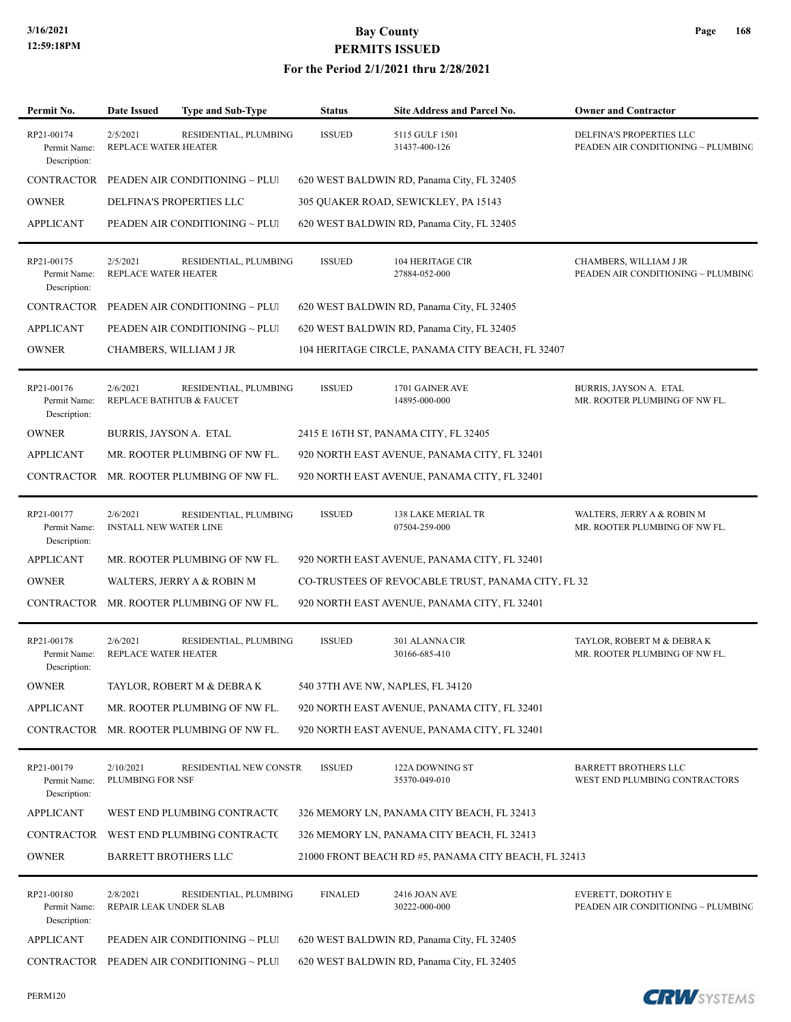| Permit No.                                 | <b>Date Issued</b>                        | <b>Type and Sub-Type</b>                          | <b>Status</b>  | Site Address and Parcel No.                          | <b>Owner and Contractor</b>                                       |
|--------------------------------------------|-------------------------------------------|---------------------------------------------------|----------------|------------------------------------------------------|-------------------------------------------------------------------|
| RP21-00174<br>Permit Name:<br>Description: | 2/5/2021<br>REPLACE WATER HEATER          | RESIDENTIAL, PLUMBING                             | <b>ISSUED</b>  | 5115 GULF 1501<br>31437-400-126                      | DELFINA'S PROPERTIES LLC<br>PEADEN AIR CONDITIONING ~ PLUMBING    |
| CONTRACTOR                                 |                                           | PEADEN AIR CONDITIONING ~ PLUI                    |                | 620 WEST BALDWIN RD, Panama City, FL 32405           |                                                                   |
| <b>OWNER</b>                               |                                           | DELFINA'S PROPERTIES LLC                          |                | 305 QUAKER ROAD, SEWICKLEY, PA 15143                 |                                                                   |
| <b>APPLICANT</b>                           |                                           | PEADEN AIR CONDITIONING ~ PLUI                    |                | 620 WEST BALDWIN RD, Panama City, FL 32405           |                                                                   |
| RP21-00175<br>Permit Name:<br>Description: | 2/5/2021<br>REPLACE WATER HEATER          | RESIDENTIAL, PLUMBING                             | <b>ISSUED</b>  | <b>104 HERITAGE CIR</b><br>27884-052-000             | CHAMBERS, WILLIAM J JR<br>PEADEN AIR CONDITIONING $\sim$ PLUMBING |
| CONTRACTOR                                 |                                           | PEADEN AIR CONDITIONING ~ PLUI                    |                | 620 WEST BALDWIN RD, Panama City, FL 32405           |                                                                   |
| <b>APPLICANT</b>                           |                                           | PEADEN AIR CONDITIONING ~ PLUI                    |                | 620 WEST BALDWIN RD, Panama City, FL 32405           |                                                                   |
| <b>OWNER</b>                               |                                           | CHAMBERS, WILLIAM J JR                            |                | 104 HERITAGE CIRCLE, PANAMA CITY BEACH, FL 32407     |                                                                   |
| RP21-00176<br>Permit Name:<br>Description: | 2/6/2021                                  | RESIDENTIAL, PLUMBING<br>REPLACE BATHTUB & FAUCET | <b>ISSUED</b>  | 1701 GAINER AVE<br>14895-000-000                     | BURRIS, JAYSON A. ETAL<br>MR. ROOTER PLUMBING OF NW FL.           |
| <b>OWNER</b>                               | BURRIS, JAYSON A. ETAL                    |                                                   |                | 2415 E 16TH ST, PANAMA CITY, FL 32405                |                                                                   |
| <b>APPLICANT</b>                           |                                           | MR. ROOTER PLUMBING OF NW FL.                     |                | 920 NORTH EAST AVENUE, PANAMA CITY, FL 32401         |                                                                   |
| CONTRACTOR                                 |                                           | MR. ROOTER PLUMBING OF NW FL.                     |                | 920 NORTH EAST AVENUE, PANAMA CITY, FL 32401         |                                                                   |
| RP21-00177<br>Permit Name:<br>Description: | 2/6/2021<br><b>INSTALL NEW WATER LINE</b> | RESIDENTIAL, PLUMBING                             | <b>ISSUED</b>  | 138 LAKE MERIAL TR<br>07504-259-000                  | WALTERS, JERRY A & ROBIN M<br>MR. ROOTER PLUMBING OF NW FL.       |
| <b>APPLICANT</b>                           |                                           | MR. ROOTER PLUMBING OF NW FL.                     |                | 920 NORTH EAST AVENUE, PANAMA CITY, FL 32401         |                                                                   |
| <b>OWNER</b>                               |                                           | WALTERS, JERRY A & ROBIN M                        |                | CO-TRUSTEES OF REVOCABLE TRUST, PANAMA CITY, FL 32   |                                                                   |
| CONTRACTOR                                 |                                           | MR. ROOTER PLUMBING OF NW FL.                     |                | 920 NORTH EAST AVENUE, PANAMA CITY, FL 32401         |                                                                   |
| RP21-00178<br>Permit Name:<br>Description: | 2/6/2021<br>REPLACE WATER HEATER          | RESIDENTIAL, PLUMBING                             | <b>ISSUED</b>  | 301 ALANNA CIR<br>30166-685-410                      | TAYLOR, ROBERT M & DEBRA K<br>MR. ROOTER PLUMBING OF NW FL.       |
| <b>OWNER</b>                               |                                           | TAYLOR, ROBERT M & DEBRA K                        |                | 540 37TH AVE NW, NAPLES, FL 34120                    |                                                                   |
| <b>APPLICANT</b>                           |                                           | MR. ROOTER PLUMBING OF NW FL.                     |                | 920 NORTH EAST AVENUE, PANAMA CITY, FL 32401         |                                                                   |
| CONTRACTOR                                 |                                           | MR. ROOTER PLUMBING OF NW FL.                     |                | 920 NORTH EAST AVENUE, PANAMA CITY, FL 32401         |                                                                   |
| RP21-00179<br>Permit Name:<br>Description: | 2/10/2021<br>PLUMBING FOR NSF             | RESIDENTIAL NEW CONSTR                            | <b>ISSUED</b>  | 122A DOWNING ST<br>35370-049-010                     | <b>BARRETT BROTHERS LLC</b><br>WEST END PLUMBING CONTRACTORS      |
| <b>APPLICANT</b>                           |                                           | WEST END PLUMBING CONTRACT(                       |                | 326 MEMORY LN, PANAMA CITY BEACH, FL 32413           |                                                                   |
| CONTRACTOR                                 |                                           | WEST END PLUMBING CONTRACTO                       |                | 326 MEMORY LN, PANAMA CITY BEACH, FL 32413           |                                                                   |
| <b>OWNER</b>                               | <b>BARRETT BROTHERS LLC</b>               |                                                   |                | 21000 FRONT BEACH RD #5, PANAMA CITY BEACH, FL 32413 |                                                                   |
| RP21-00180<br>Permit Name:<br>Description: | 2/8/2021<br>REPAIR LEAK UNDER SLAB        | RESIDENTIAL, PLUMBING                             | <b>FINALED</b> | 2416 JOAN AVE<br>30222-000-000                       | <b>EVERETT, DOROTHY E</b><br>PEADEN AIR CONDITIONING ~ PLUMBING   |
| <b>APPLICANT</b>                           |                                           | PEADEN AIR CONDITIONING $\sim$ PLUI               |                | 620 WEST BALDWIN RD, Panama City, FL 32405           |                                                                   |
|                                            |                                           | CONTRACTOR PEADEN AIR CONDITIONING $\sim$ PLUI    |                | 620 WEST BALDWIN RD, Panama City, FL 32405           |                                                                   |

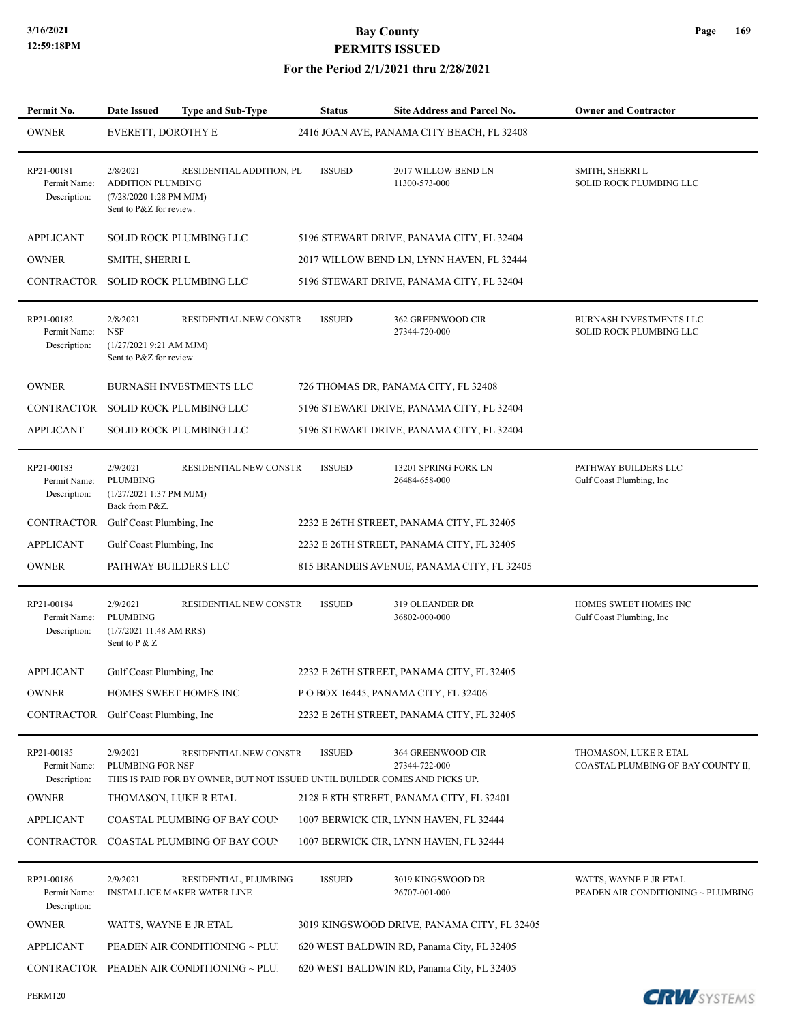| Permit No.                                 | <b>Date Issued</b>                                                                         | <b>Type and Sub-Type</b>                                                                              | Status        | <b>Site Address and Parcel No.</b>          | <b>Owner and Contractor</b>                                  |
|--------------------------------------------|--------------------------------------------------------------------------------------------|-------------------------------------------------------------------------------------------------------|---------------|---------------------------------------------|--------------------------------------------------------------|
| <b>OWNER</b>                               | EVERETT, DOROTHY E                                                                         |                                                                                                       |               | 2416 JOAN AVE, PANAMA CITY BEACH, FL 32408  |                                                              |
| RP21-00181<br>Permit Name:<br>Description: | 2/8/2021<br><b>ADDITION PLUMBING</b><br>(7/28/2020 1:28 PM MJM)<br>Sent to P&Z for review. | RESIDENTIAL ADDITION, PL                                                                              | <b>ISSUED</b> | 2017 WILLOW BEND LN<br>11300-573-000        | SMITH, SHERRI L<br>SOLID ROCK PLUMBING LLC                   |
| <b>APPLICANT</b>                           |                                                                                            | SOLID ROCK PLUMBING LLC                                                                               |               | 5196 STEWART DRIVE, PANAMA CITY, FL 32404   |                                                              |
| $\mathop{\rm OWNER}\nolimits$              | SMITH, SHERRI L                                                                            |                                                                                                       |               | 2017 WILLOW BEND LN, LYNN HAVEN, FL 32444   |                                                              |
| CONTRACTOR                                 |                                                                                            | SOLID ROCK PLUMBING LLC                                                                               |               | 5196 STEWART DRIVE, PANAMA CITY, FL 32404   |                                                              |
| RP21-00182<br>Permit Name:<br>Description: | 2/8/2021<br><b>NSF</b><br>(1/27/20219:21 AM MJM)<br>Sent to P&Z for review.                | RESIDENTIAL NEW CONSTR                                                                                | <b>ISSUED</b> | 362 GREENWOOD CIR<br>27344-720-000          | BURNASH INVESTMENTS LLC<br>SOLID ROCK PLUMBING LLC           |
| <b>OWNER</b>                               |                                                                                            | <b>BURNASH INVESTMENTS LLC</b>                                                                        |               | 726 THOMAS DR, PANAMA CITY, FL 32408        |                                                              |
| CONTRACTOR                                 |                                                                                            | SOLID ROCK PLUMBING LLC                                                                               |               | 5196 STEWART DRIVE, PANAMA CITY, FL 32404   |                                                              |
| <b>APPLICANT</b>                           |                                                                                            | SOLID ROCK PLUMBING LLC                                                                               |               | 5196 STEWART DRIVE, PANAMA CITY, FL 32404   |                                                              |
| RP21-00183<br>Permit Name:<br>Description: | 2/9/2021<br><b>PLUMBING</b><br>(1/27/2021 1:37 PM MJM)<br>Back from P&Z.                   | RESIDENTIAL NEW CONSTR                                                                                | <b>ISSUED</b> | 13201 SPRING FORK LN<br>26484-658-000       | PATHWAY BUILDERS LLC<br>Gulf Coast Plumbing, Inc.            |
| CONTRACTOR                                 | Gulf Coast Plumbing, Inc.                                                                  |                                                                                                       |               | 2232 E 26TH STREET, PANAMA CITY, FL 32405   |                                                              |
| <b>APPLICANT</b>                           | Gulf Coast Plumbing, Inc                                                                   |                                                                                                       |               | 2232 E 26TH STREET, PANAMA CITY, FL 32405   |                                                              |
| <b>OWNER</b>                               | PATHWAY BUILDERS LLC                                                                       |                                                                                                       |               | 815 BRANDEIS AVENUE, PANAMA CITY, FL 32405  |                                                              |
| RP21-00184<br>Permit Name:<br>Description: | 2/9/2021<br><b>PLUMBING</b><br>(1/7/2021 11:48 AM RRS)<br>Sent to P & Z                    | RESIDENTIAL NEW CONSTR                                                                                | <b>ISSUED</b> | <b>319 OLEANDER DR</b><br>36802-000-000     | HOMES SWEET HOMES INC<br>Gulf Coast Plumbing, Inc            |
| <b>APPLICANT</b>                           | Gulf Coast Plumbing, Inc                                                                   |                                                                                                       |               | 2232 E 26TH STREET, PANAMA CITY, FL 32405   |                                                              |
| <b>OWNER</b>                               | HOMES SWEET HOMES INC                                                                      |                                                                                                       |               | POBOX 16445, PANAMA CITY, FL 32406          |                                                              |
| CONTRACTOR                                 | Gulf Coast Plumbing, Inc                                                                   |                                                                                                       |               | 2232 E 26TH STREET, PANAMA CITY, FL 32405   |                                                              |
| RP21-00185<br>Permit Name:<br>Description: | 2/9/2021<br>PLUMBING FOR NSF                                                               | RESIDENTIAL NEW CONSTR<br>THIS IS PAID FOR BY OWNER, BUT NOT ISSUED UNTIL BUILDER COMES AND PICKS UP. | <b>ISSUED</b> | 364 GREENWOOD CIR<br>27344-722-000          | THOMASON, LUKE R ETAL<br>COASTAL PLUMBING OF BAY COUNTY II,  |
| <b>OWNER</b>                               | THOMASON, LUKE R ETAL                                                                      |                                                                                                       |               | 2128 E 8TH STREET, PANAMA CITY, FL 32401    |                                                              |
| <b>APPLICANT</b>                           |                                                                                            | COASTAL PLUMBING OF BAY COUN<br>COASTAL PLUMBING OF BAY COUN                                          |               | 1007 BERWICK CIR, LYNN HAVEN, FL 32444      |                                                              |
| CONTRACTOR                                 |                                                                                            |                                                                                                       |               | 1007 BERWICK CIR, LYNN HAVEN, FL 32444      |                                                              |
| RP21-00186<br>Permit Name:<br>Description: | 2/9/2021                                                                                   | RESIDENTIAL, PLUMBING<br><b>INSTALL ICE MAKER WATER LINE</b>                                          | <b>ISSUED</b> | 3019 KINGSWOOD DR<br>26707-001-000          | WATTS, WAYNE E JR ETAL<br>PEADEN AIR CONDITIONING ~ PLUMBING |
| <b>OWNER</b>                               | WATTS, WAYNE E JR ETAL                                                                     |                                                                                                       |               | 3019 KINGSWOOD DRIVE, PANAMA CITY, FL 32405 |                                                              |
| <b>APPLICANT</b>                           |                                                                                            | PEADEN AIR CONDITIONING ~ PLUI                                                                        |               | 620 WEST BALDWIN RD, Panama City, FL 32405  |                                                              |
|                                            |                                                                                            | CONTRACTOR PEADEN AIR CONDITIONING $\sim$ PLUI                                                        |               | 620 WEST BALDWIN RD, Panama City, FL 32405  |                                                              |

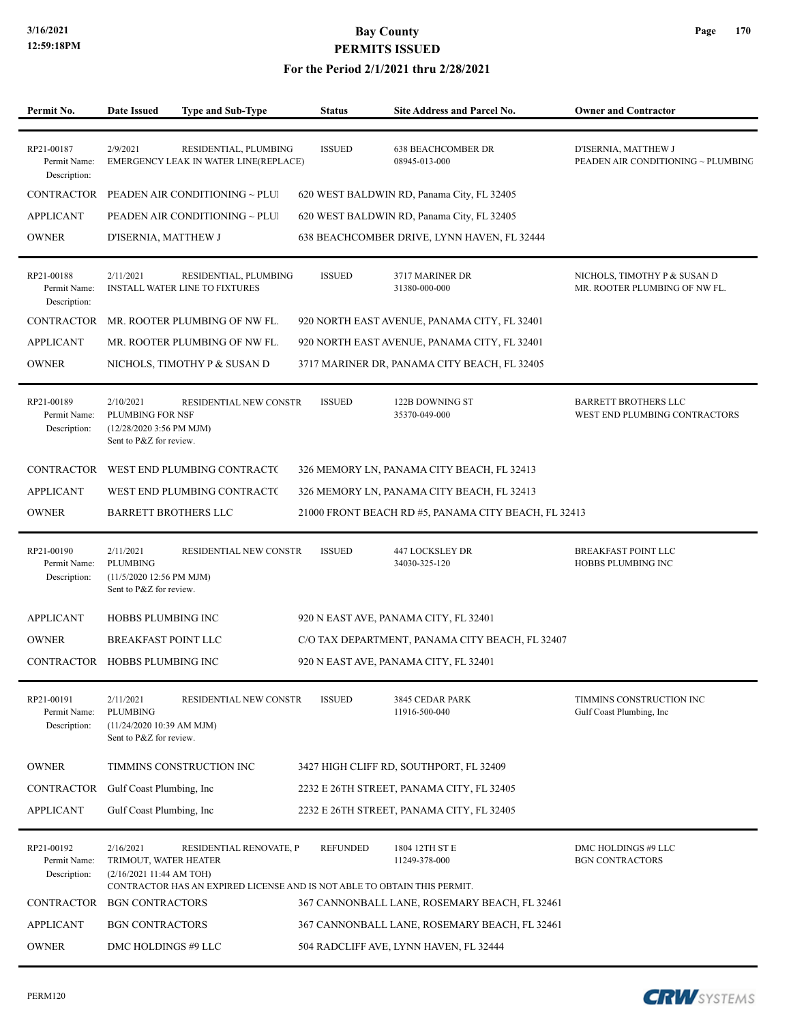#### **For the Period 2/1/2021 thru 2/28/2021**

| Permit No.                                 | <b>Date Issued</b>                                                                    | Type and Sub-Type                                                                                   | <b>Status</b>   | <b>Site Address and Parcel No.</b>                   | <b>Owner and Contractor</b>                                   |
|--------------------------------------------|---------------------------------------------------------------------------------------|-----------------------------------------------------------------------------------------------------|-----------------|------------------------------------------------------|---------------------------------------------------------------|
|                                            |                                                                                       |                                                                                                     |                 |                                                      |                                                               |
| RP21-00187<br>Permit Name:<br>Description: | 2/9/2021                                                                              | RESIDENTIAL, PLUMBING<br>EMERGENCY LEAK IN WATER LINE(REPLACE)                                      | <b>ISSUED</b>   | <b>638 BEACHCOMBER DR</b><br>08945-013-000           | D'ISERNIA, MATTHEW J<br>PEADEN AIR CONDITIONING ~ PLUMBING    |
| <b>CONTRACTOR</b>                          | PEADEN AIR CONDITIONING ~ PLUI                                                        |                                                                                                     |                 | 620 WEST BALDWIN RD, Panama City, FL 32405           |                                                               |
| <b>APPLICANT</b>                           |                                                                                       | PEADEN AIR CONDITIONING ~ PLUI                                                                      |                 | 620 WEST BALDWIN RD, Panama City, FL 32405           |                                                               |
| <b>OWNER</b>                               | D'ISERNIA, MATTHEW J                                                                  |                                                                                                     |                 | 638 BEACHCOMBER DRIVE, LYNN HAVEN, FL 32444          |                                                               |
| RP21-00188<br>Permit Name:<br>Description: | 2/11/2021<br><b>INSTALL WATER LINE TO FIXTURES</b>                                    | RESIDENTIAL, PLUMBING                                                                               | <b>ISSUED</b>   | 3717 MARINER DR<br>31380-000-000                     | NICHOLS, TIMOTHY P & SUSAN D<br>MR. ROOTER PLUMBING OF NW FL. |
| CONTRACTOR                                 | MR. ROOTER PLUMBING OF NW FL.                                                         |                                                                                                     |                 | 920 NORTH EAST AVENUE, PANAMA CITY, FL 32401         |                                                               |
| <b>APPLICANT</b>                           | MR. ROOTER PLUMBING OF NW FL.                                                         |                                                                                                     |                 | 920 NORTH EAST AVENUE, PANAMA CITY, FL 32401         |                                                               |
| <b>OWNER</b>                               | NICHOLS, TIMOTHY P & SUSAN D                                                          |                                                                                                     |                 | 3717 MARINER DR, PANAMA CITY BEACH, FL 32405         |                                                               |
| RP21-00189<br>Permit Name:<br>Description: | 2/10/2021<br>PLUMBING FOR NSF<br>$(12/28/20203:56$ PM MJM)<br>Sent to P&Z for review. | RESIDENTIAL NEW CONSTR                                                                              | <b>ISSUED</b>   | 122B DOWNING ST<br>35370-049-000                     | <b>BARRETT BROTHERS LLC</b><br>WEST END PLUMBING CONTRACTORS  |
| CONTRACTOR                                 |                                                                                       | WEST END PLUMBING CONTRACTO                                                                         |                 | 326 MEMORY LN, PANAMA CITY BEACH, FL 32413           |                                                               |
| <b>APPLICANT</b>                           |                                                                                       | WEST END PLUMBING CONTRACTO                                                                         |                 | 326 MEMORY LN, PANAMA CITY BEACH, FL 32413           |                                                               |
| <b>OWNER</b>                               | <b>BARRETT BROTHERS LLC</b>                                                           |                                                                                                     |                 | 21000 FRONT BEACH RD #5, PANAMA CITY BEACH, FL 32413 |                                                               |
| RP21-00190<br>Permit Name:<br>Description: | 2/11/2021<br><b>PLUMBING</b><br>(11/5/2020 12:56 PM MJM)<br>Sent to P&Z for review.   | RESIDENTIAL NEW CONSTR                                                                              | <b>ISSUED</b>   | 447 LOCKSLEY DR<br>34030-325-120                     | BREAKFAST POINT LLC<br>HOBBS PLUMBING INC                     |
| <b>APPLICANT</b>                           | HOBBS PLUMBING INC                                                                    |                                                                                                     |                 | 920 N EAST AVE, PANAMA CITY, FL 32401                |                                                               |
| <b>OWNER</b>                               | <b>BREAKFAST POINT LLC</b>                                                            |                                                                                                     |                 | C/O TAX DEPARTMENT, PANAMA CITY BEACH, FL 32407      |                                                               |
| CONTRACTOR                                 | HOBBS PLUMBING INC                                                                    |                                                                                                     |                 | 920 N EAST AVE, PANAMA CITY, FL 32401                |                                                               |
| RP21-00191<br>Permit Name:<br>Description: | 2/11/2021<br>PLUMBING<br>(11/24/2020 10:39 AM MJM)<br>Sent to P&Z for review.         | RESIDENTIAL NEW CONSTR                                                                              | <b>ISSUED</b>   | 3845 CEDAR PARK<br>11916-500-040                     | TIMMINS CONSTRUCTION INC<br>Gulf Coast Plumbing, Inc.         |
| <b>OWNER</b>                               | TIMMINS CONSTRUCTION INC                                                              |                                                                                                     |                 | 3427 HIGH CLIFF RD, SOUTHPORT, FL 32409              |                                                               |
| CONTRACTOR                                 | Gulf Coast Plumbing, Inc.                                                             |                                                                                                     |                 | 2232 E 26TH STREET, PANAMA CITY, FL 32405            |                                                               |
| <b>APPLICANT</b>                           | Gulf Coast Plumbing, Inc                                                              |                                                                                                     |                 | 2232 E 26TH STREET, PANAMA CITY, FL 32405            |                                                               |
| RP21-00192<br>Permit Name:<br>Description: | 2/16/2021<br>TRIMOUT, WATER HEATER<br>(2/16/202111:44 AMTOH)                          | RESIDENTIAL RENOVATE, P<br>CONTRACTOR HAS AN EXPIRED LICENSE AND IS NOT ABLE TO OBTAIN THIS PERMIT. | <b>REFUNDED</b> | 1804 12TH ST E<br>11249-378-000                      | DMC HOLDINGS #9 LLC<br><b>BGN CONTRACTORS</b>                 |
| CONTRACTOR                                 | <b>BGN CONTRACTORS</b>                                                                |                                                                                                     |                 | 367 CANNONBALL LANE, ROSEMARY BEACH, FL 32461        |                                                               |
| <b>APPLICANT</b>                           | <b>BGN CONTRACTORS</b>                                                                |                                                                                                     |                 | 367 CANNONBALL LANE, ROSEMARY BEACH, FL 32461        |                                                               |
| <b>OWNER</b>                               | DMC HOLDINGS #9 LLC                                                                   |                                                                                                     |                 | 504 RADCLIFF AVE, LYNN HAVEN, FL 32444               |                                                               |

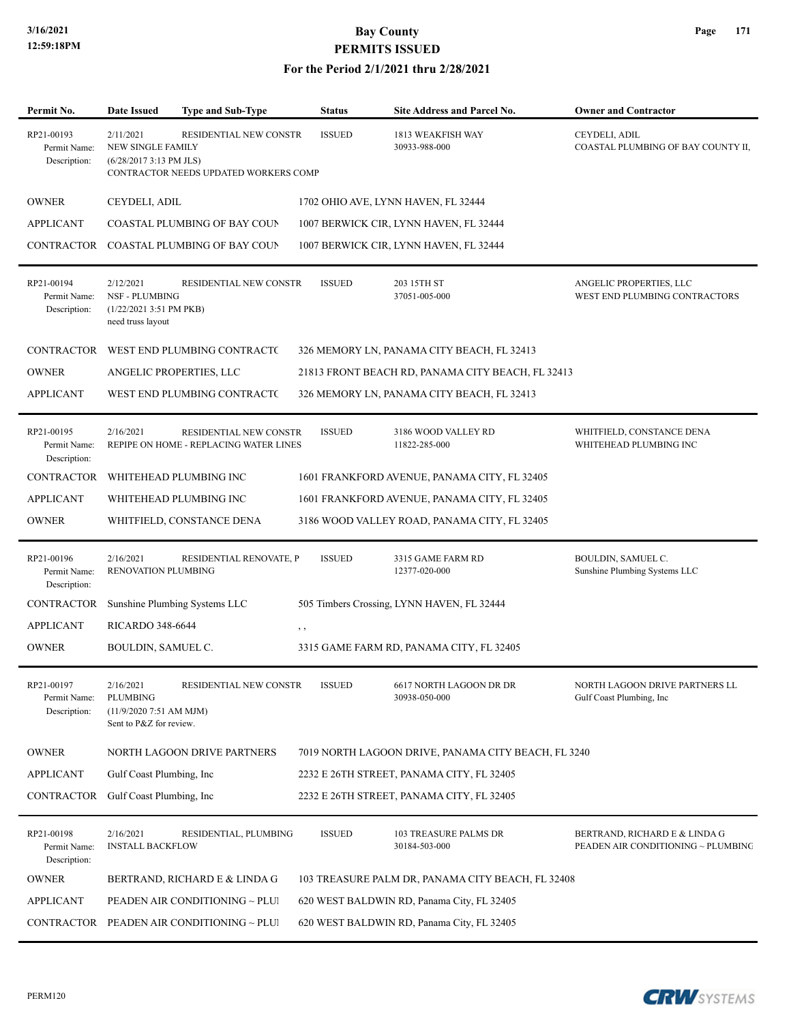| Permit No.                                 | Date Issued                                                                         | Type and Sub-Type                                                | <b>Status</b> | Site Address and Parcel No.                         | <b>Owner and Contractor</b>                                         |
|--------------------------------------------|-------------------------------------------------------------------------------------|------------------------------------------------------------------|---------------|-----------------------------------------------------|---------------------------------------------------------------------|
| RP21-00193<br>Permit Name:<br>Description: | 2/11/2021<br>NEW SINGLE FAMILY<br>$(6/28/20173:13$ PM JLS)                          | RESIDENTIAL NEW CONSTR<br>CONTRACTOR NEEDS UPDATED WORKERS COMP  | <b>ISSUED</b> | 1813 WEAKFISH WAY<br>30933-988-000                  | CEYDELI, ADIL<br>COASTAL PLUMBING OF BAY COUNTY II,                 |
| <b>OWNER</b>                               | CEYDELI, ADIL                                                                       |                                                                  |               | 1702 OHIO AVE, LYNN HAVEN, FL 32444                 |                                                                     |
| <b>APPLICANT</b>                           |                                                                                     | COASTAL PLUMBING OF BAY COUN                                     |               | 1007 BERWICK CIR, LYNN HAVEN, FL 32444              |                                                                     |
| CONTRACTOR                                 |                                                                                     | COASTAL PLUMBING OF BAY COUN                                     |               | 1007 BERWICK CIR, LYNN HAVEN, FL 32444              |                                                                     |
| RP21-00194<br>Permit Name:<br>Description: | 2/12/2021<br><b>NSF - PLUMBING</b><br>$(1/22/20213:51$ PM PKB)<br>need truss layout | RESIDENTIAL NEW CONSTR                                           | <b>ISSUED</b> | 203 15TH ST<br>37051-005-000                        | ANGELIC PROPERTIES, LLC<br>WEST END PLUMBING CONTRACTORS            |
|                                            |                                                                                     | CONTRACTOR WEST END PLUMBING CONTRACTO                           |               | 326 MEMORY LN, PANAMA CITY BEACH, FL 32413          |                                                                     |
| <b>OWNER</b>                               |                                                                                     | ANGELIC PROPERTIES, LLC                                          |               | 21813 FRONT BEACH RD, PANAMA CITY BEACH, FL 32413   |                                                                     |
| <b>APPLICANT</b>                           |                                                                                     | WEST END PLUMBING CONTRACTO                                      |               | 326 MEMORY LN, PANAMA CITY BEACH, FL 32413          |                                                                     |
| RP21-00195<br>Permit Name:<br>Description: | 2/16/2021                                                                           | RESIDENTIAL NEW CONSTR<br>REPIPE ON HOME - REPLACING WATER LINES | <b>ISSUED</b> | 3186 WOOD VALLEY RD<br>11822-285-000                | WHITFIELD, CONSTANCE DENA<br>WHITEHEAD PLUMBING INC                 |
| <b>CONTRACTOR</b>                          |                                                                                     | WHITEHEAD PLUMBING INC                                           |               | 1601 FRANKFORD AVENUE, PANAMA CITY, FL 32405        |                                                                     |
| <b>APPLICANT</b>                           |                                                                                     | WHITEHEAD PLUMBING INC                                           |               | 1601 FRANKFORD AVENUE, PANAMA CITY, FL 32405        |                                                                     |
| <b>OWNER</b>                               |                                                                                     | WHITFIELD, CONSTANCE DENA                                        |               | 3186 WOOD VALLEY ROAD, PANAMA CITY, FL 32405        |                                                                     |
| RP21-00196<br>Permit Name:<br>Description: | 2/16/2021<br>RENOVATION PLUMBING                                                    | RESIDENTIAL RENOVATE, P                                          | <b>ISSUED</b> | 3315 GAME FARM RD<br>12377-020-000                  | BOULDIN, SAMUEL C.<br>Sunshine Plumbing Systems LLC                 |
| CONTRACTOR                                 |                                                                                     | Sunshine Plumbing Systems LLC                                    |               | 505 Timbers Crossing, LYNN HAVEN, FL 32444          |                                                                     |
| <b>APPLICANT</b>                           | <b>RICARDO 348-6644</b>                                                             | $, \, , \,$                                                      |               |                                                     |                                                                     |
| <b>OWNER</b>                               | BOULDIN, SAMUEL C.                                                                  |                                                                  |               | 3315 GAME FARM RD, PANAMA CITY, FL 32405            |                                                                     |
| RP21-00197<br>Permit Name:<br>Description: | 2/16/2021<br>PLUMBING<br>$(11/9/20207:51$ AM MJM)<br>Sent to P&Z for review.        | RESIDENTIAL NEW CONSTR                                           | ISSUED        | 6617 NORTH LAGOON DR DR<br>30938-050-000            | NORTH LAGOON DRIVE PARTNERS LL<br>Gulf Coast Plumbing, Inc.         |
| <b>OWNER</b>                               |                                                                                     | NORTH LAGOON DRIVE PARTNERS                                      |               | 7019 NORTH LAGOON DRIVE, PANAMA CITY BEACH, FL 3240 |                                                                     |
| <b>APPLICANT</b>                           | Gulf Coast Plumbing, Inc.                                                           |                                                                  |               | 2232 E 26TH STREET, PANAMA CITY, FL 32405           |                                                                     |
| CONTRACTOR                                 | Gulf Coast Plumbing, Inc.                                                           |                                                                  |               | 2232 E 26TH STREET, PANAMA CITY, FL 32405           |                                                                     |
| RP21-00198<br>Permit Name:<br>Description: | 2/16/2021<br><b>INSTALL BACKFLOW</b>                                                | RESIDENTIAL, PLUMBING                                            | <b>ISSUED</b> | 103 TREASURE PALMS DR<br>30184-503-000              | BERTRAND, RICHARD E & LINDA G<br>PEADEN AIR CONDITIONING ~ PLUMBING |
| <b>OWNER</b>                               |                                                                                     | BERTRAND, RICHARD E & LINDA G                                    |               | 103 TREASURE PALM DR, PANAMA CITY BEACH, FL 32408   |                                                                     |
| <b>APPLICANT</b>                           |                                                                                     | PEADEN AIR CONDITIONING ~ PLUI                                   |               | 620 WEST BALDWIN RD, Panama City, FL 32405          |                                                                     |
| CONTRACTOR                                 |                                                                                     | PEADEN AIR CONDITIONING ~ PLUI                                   |               | 620 WEST BALDWIN RD, Panama City, FL 32405          |                                                                     |
|                                            |                                                                                     |                                                                  |               |                                                     |                                                                     |

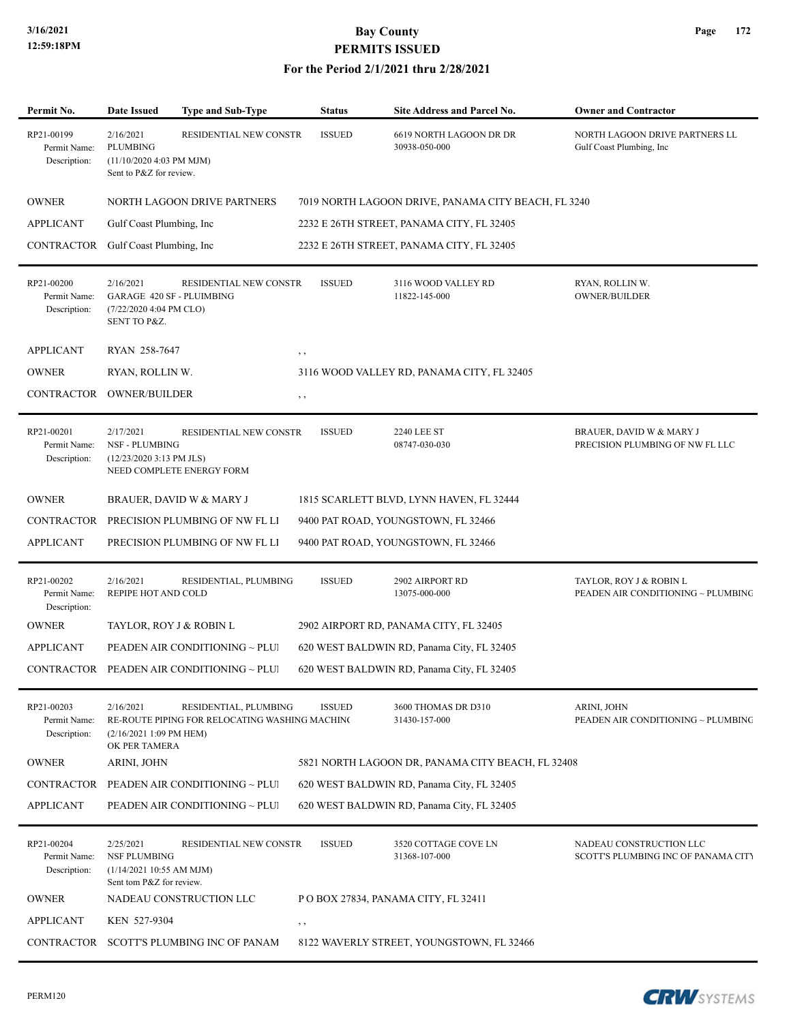| Permit No.                                 | Date Issued                                                                              | <b>Type and Sub-Type</b>                                                | <b>Status</b> | <b>Site Address and Parcel No.</b>                  | <b>Owner and Contractor</b>                                    |
|--------------------------------------------|------------------------------------------------------------------------------------------|-------------------------------------------------------------------------|---------------|-----------------------------------------------------|----------------------------------------------------------------|
| RP21-00199<br>Permit Name:<br>Description: | 2/16/2021<br>PLUMBING<br>(11/10/2020 4:03 PM MJM)<br>Sent to P&Z for review.             | RESIDENTIAL NEW CONSTR                                                  | <b>ISSUED</b> | 6619 NORTH LAGOON DR DR<br>30938-050-000            | NORTH LAGOON DRIVE PARTNERS LL<br>Gulf Coast Plumbing, Inc.    |
| <b>OWNER</b>                               |                                                                                          | NORTH LAGOON DRIVE PARTNERS                                             |               | 7019 NORTH LAGOON DRIVE, PANAMA CITY BEACH, FL 3240 |                                                                |
| <b>APPLICANT</b>                           | Gulf Coast Plumbing, Inc                                                                 |                                                                         |               | 2232 E 26TH STREET, PANAMA CITY, FL 32405           |                                                                |
| CONTRACTOR                                 | Gulf Coast Plumbing, Inc.                                                                |                                                                         |               | 2232 E 26TH STREET, PANAMA CITY, FL 32405           |                                                                |
| RP21-00200<br>Permit Name:<br>Description: | 2/16/2021<br>(7/22/2020 4:04 PM CLO)<br>SENT TO P&Z.                                     | RESIDENTIAL NEW CONSTR<br><b>GARAGE 420 SF - PLUIMBING</b>              | <b>ISSUED</b> | 3116 WOOD VALLEY RD<br>11822-145-000                | RYAN, ROLLIN W.<br>OWNER/BUILDER                               |
| <b>APPLICANT</b>                           | RYAN 258-7647                                                                            |                                                                         | , ,           |                                                     |                                                                |
| <b>OWNER</b>                               | RYAN, ROLLIN W.                                                                          |                                                                         |               | 3116 WOOD VALLEY RD, PANAMA CITY, FL 32405          |                                                                |
| CONTRACTOR                                 | <b>OWNER/BUILDER</b>                                                                     |                                                                         | , ,           |                                                     |                                                                |
| RP21-00201<br>Permit Name:<br>Description: | 2/17/2021<br><b>NSF - PLUMBING</b><br>$(12/23/20203:13$ PM JLS)                          | RESIDENTIAL NEW CONSTR<br>NEED COMPLETE ENERGY FORM                     | <b>ISSUED</b> | <b>2240 LEE ST</b><br>08747-030-030                 | BRAUER, DAVID W & MARY J<br>PRECISION PLUMBING OF NW FL LLC    |
| <b>OWNER</b>                               |                                                                                          | BRAUER, DAVID W & MARY J                                                |               | 1815 SCARLETT BLVD, LYNN HAVEN, FL 32444            |                                                                |
| CONTRACTOR                                 |                                                                                          | PRECISION PLUMBING OF NW FL LI                                          |               | 9400 PAT ROAD, YOUNGSTOWN, FL 32466                 |                                                                |
| <b>APPLICANT</b>                           |                                                                                          | PRECISION PLUMBING OF NW FL LI                                          |               | 9400 PAT ROAD, YOUNGSTOWN, FL 32466                 |                                                                |
| RP21-00202<br>Permit Name:<br>Description: | 2/16/2021<br>REPIPE HOT AND COLD                                                         | RESIDENTIAL, PLUMBING                                                   | <b>ISSUED</b> | 2902 AIRPORT RD<br>13075-000-000                    | TAYLOR, ROY J & ROBIN L<br>PEADEN AIR CONDITIONING ~ PLUMBING  |
| <b>OWNER</b>                               |                                                                                          | TAYLOR, ROY J & ROBIN L                                                 |               | 2902 AIRPORT RD, PANAMA CITY, FL 32405              |                                                                |
| <b>APPLICANT</b>                           |                                                                                          | PEADEN AIR CONDITIONING ~ PLUI                                          |               | 620 WEST BALDWIN RD, Panama City, FL 32405          |                                                                |
|                                            |                                                                                          | CONTRACTOR PEADEN AIR CONDITIONING ~ PLUI                               |               | 620 WEST BALDWIN RD, Panama City, FL 32405          |                                                                |
| RP21-00203<br>Permit Name:<br>Description: | 2/16/2021<br>(2/16/2021 1:09 PM HEM)<br>OK PER TAMERA                                    | RESIDENTIAL, PLUMBING<br>RE-ROUTE PIPING FOR RELOCATING WASHING MACHING | <b>ISSUED</b> | 3600 THOMAS DR D310<br>31430-157-000                | ARINI, JOHN<br>PEADEN AIR CONDITIONING ~ PLUMBING              |
| <b>OWNER</b>                               | ARINI, JOHN                                                                              |                                                                         |               | 5821 NORTH LAGOON DR, PANAMA CITY BEACH, FL 32408   |                                                                |
| CONTRACTOR                                 |                                                                                          | PEADEN AIR CONDITIONING ~ PLUI                                          |               | 620 WEST BALDWIN RD, Panama City, FL 32405          |                                                                |
| <b>APPLICANT</b>                           |                                                                                          | PEADEN AIR CONDITIONING ~ PLUI                                          |               | 620 WEST BALDWIN RD, Panama City, FL 32405          |                                                                |
| RP21-00204<br>Permit Name:<br>Description: | 2/25/2021<br><b>NSF PLUMBING</b><br>(1/14/2021 10:55 AM MJM)<br>Sent tom P&Z for review. | <b>RESIDENTIAL NEW CONSTR</b>                                           | <b>ISSUED</b> | 3520 COTTAGE COVE LN<br>31368-107-000               | NADEAU CONSTRUCTION LLC<br>SCOTT'S PLUMBING INC OF PANAMA CITY |
| <b>OWNER</b>                               |                                                                                          | NADEAU CONSTRUCTION LLC                                                 |               | POBOX 27834, PANAMA CITY, FL 32411                  |                                                                |
| <b>APPLICANT</b>                           | KEN 527-9304                                                                             |                                                                         | , ,           |                                                     |                                                                |
|                                            |                                                                                          | CONTRACTOR SCOTT'S PLUMBING INC OF PANAM                                |               | 8122 WAVERLY STREET, YOUNGSTOWN, FL 32466           |                                                                |

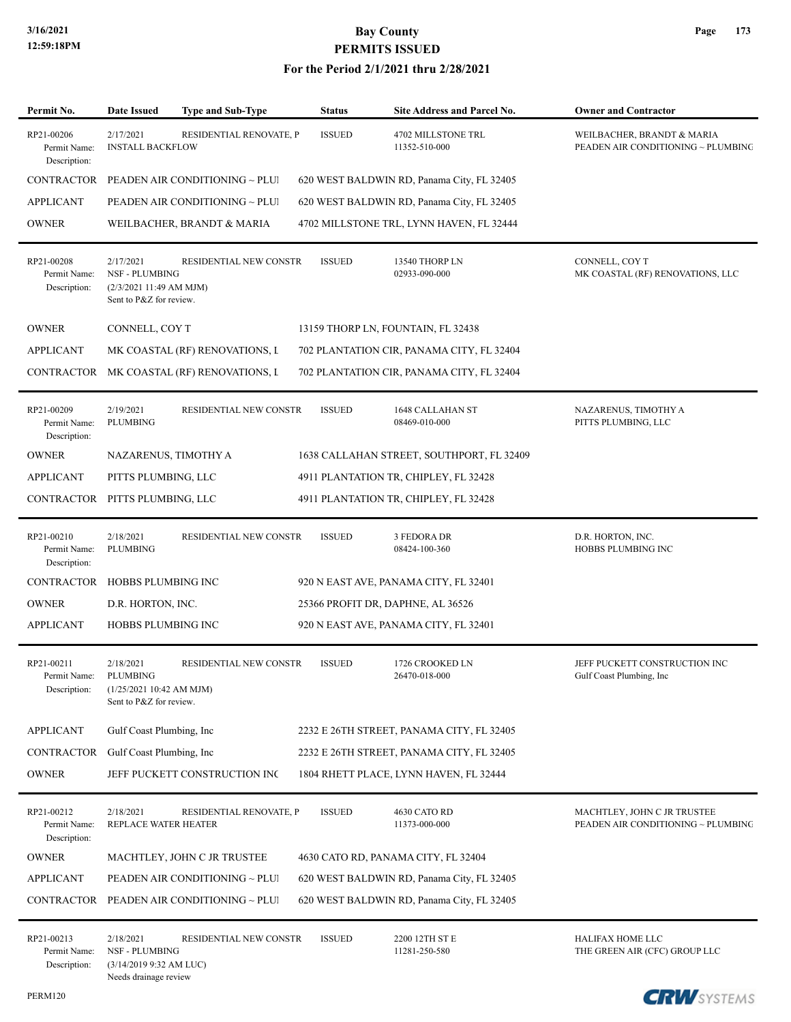| Permit No.                                 | <b>Date Issued</b>                                                                       | <b>Type and Sub-Type</b>       | <b>Status</b> | Site Address and Parcel No.                | <b>Owner and Contractor</b>                                       |
|--------------------------------------------|------------------------------------------------------------------------------------------|--------------------------------|---------------|--------------------------------------------|-------------------------------------------------------------------|
| RP21-00206<br>Permit Name:<br>Description: | 2/17/2021<br><b>INSTALL BACKFLOW</b>                                                     | RESIDENTIAL RENOVATE, P        | <b>ISSUED</b> | 4702 MILLSTONE TRL<br>11352-510-000        | WEILBACHER, BRANDT & MARIA<br>PEADEN AIR CONDITIONING ~ PLUMBING  |
| <b>CONTRACTOR</b>                          |                                                                                          | PEADEN AIR CONDITIONING ~ PLUI |               | 620 WEST BALDWIN RD, Panama City, FL 32405 |                                                                   |
| <b>APPLICANT</b>                           |                                                                                          | PEADEN AIR CONDITIONING ~ PLUI |               | 620 WEST BALDWIN RD, Panama City, FL 32405 |                                                                   |
| <b>OWNER</b>                               |                                                                                          | WEILBACHER, BRANDT & MARIA     |               | 4702 MILLSTONE TRL, LYNN HAVEN, FL 32444   |                                                                   |
| RP21-00208<br>Permit Name:<br>Description: | 2/17/2021<br><b>NSF - PLUMBING</b><br>(2/3/2021 11:49 AM MJM)<br>Sent to P&Z for review. | RESIDENTIAL NEW CONSTR         | <b>ISSUED</b> | 13540 THORP LN<br>02933-090-000            | CONNELL, COY T<br>MK COASTAL (RF) RENOVATIONS, LLC                |
| <b>OWNER</b>                               | CONNELL, COY T                                                                           |                                |               | 13159 THORP LN, FOUNTAIN, FL 32438         |                                                                   |
| <b>APPLICANT</b>                           |                                                                                          | MK COASTAL (RF) RENOVATIONS, I |               | 702 PLANTATION CIR, PANAMA CITY, FL 32404  |                                                                   |
| CONTRACTOR                                 |                                                                                          | MK COASTAL (RF) RENOVATIONS, I |               | 702 PLANTATION CIR, PANAMA CITY, FL 32404  |                                                                   |
| RP21-00209<br>Permit Name:<br>Description: | 2/19/2021<br><b>PLUMBING</b>                                                             | <b>RESIDENTIAL NEW CONSTR</b>  | <b>ISSUED</b> | 1648 CALLAHAN ST<br>08469-010-000          | NAZARENUS, TIMOTHY A<br>PITTS PLUMBING, LLC                       |
| <b>OWNER</b>                               |                                                                                          | NAZARENUS, TIMOTHY A           |               | 1638 CALLAHAN STREET, SOUTHPORT, FL 32409  |                                                                   |
| <b>APPLICANT</b>                           | PITTS PLUMBING, LLC                                                                      |                                |               | 4911 PLANTATION TR, CHIPLEY, FL 32428      |                                                                   |
| CONTRACTOR PITTS PLUMBING, LLC             |                                                                                          |                                |               | 4911 PLANTATION TR, CHIPLEY, FL 32428      |                                                                   |
| RP21-00210<br>Permit Name:<br>Description: | 2/18/2021<br>PLUMBING                                                                    | RESIDENTIAL NEW CONSTR         | <b>ISSUED</b> | 3 FEDORA DR<br>08424-100-360               | D.R. HORTON, INC.<br>HOBBS PLUMBING INC                           |
| CONTRACTOR                                 | HOBBS PLUMBING INC                                                                       |                                |               | 920 N EAST AVE, PANAMA CITY, FL 32401      |                                                                   |
| <b>OWNER</b>                               | D.R. HORTON, INC.                                                                        |                                |               | 25366 PROFIT DR, DAPHNE, AL 36526          |                                                                   |
| <b>APPLICANT</b>                           | <b>HOBBS PLUMBING INC</b>                                                                |                                |               | 920 N EAST AVE, PANAMA CITY, FL 32401      |                                                                   |
| RP21-00211<br>Permit Name:<br>Description: | 2/18/2021<br>PLUMBING<br>(1/25/2021 10:42 AM MJM)<br>Sent to P&Z for review.             | RESIDENTIAL NEW CONSTR         | <b>ISSUED</b> | 1726 CROOKED LN<br>26470-018-000           | JEFF PUCKETT CONSTRUCTION INC<br>Gulf Coast Plumbing, Inc.        |
| <b>APPLICANT</b>                           | Gulf Coast Plumbing, Inc                                                                 |                                |               | 2232 E 26TH STREET, PANAMA CITY, FL 32405  |                                                                   |
| CONTRACTOR                                 | Gulf Coast Plumbing, Inc.                                                                |                                |               | 2232 E 26TH STREET, PANAMA CITY, FL 32405  |                                                                   |
| <b>OWNER</b>                               |                                                                                          | JEFF PUCKETT CONSTRUCTION INC  |               | 1804 RHETT PLACE, LYNN HAVEN, FL 32444     |                                                                   |
| RP21-00212<br>Permit Name:<br>Description: | 2/18/2021<br>REPLACE WATER HEATER                                                        | RESIDENTIAL RENOVATE, P        | <b>ISSUED</b> | 4630 CATO RD<br>11373-000-000              | MACHTLEY, JOHN C JR TRUSTEE<br>PEADEN AIR CONDITIONING ~ PLUMBING |
| <b>OWNER</b>                               |                                                                                          | MACHTLEY, JOHN C JR TRUSTEE    |               | 4630 CATO RD, PANAMA CITY, FL 32404        |                                                                   |
| <b>APPLICANT</b>                           |                                                                                          | PEADEN AIR CONDITIONING ~ PLUI |               | 620 WEST BALDWIN RD, Panama City, FL 32405 |                                                                   |
| CONTRACTOR                                 |                                                                                          | PEADEN AIR CONDITIONING ~ PLUI |               | 620 WEST BALDWIN RD, Panama City, FL 32405 |                                                                   |
| RP21-00213<br>Permit Name:<br>Description: | 2/18/2021<br><b>NSF - PLUMBING</b><br>$(3/14/20199:32$ AM LUC)<br>Needs drainage review  | RESIDENTIAL NEW CONSTR         | <b>ISSUED</b> | 2200 12TH ST E<br>11281-250-580            | <b>HALIFAX HOME LLC</b><br>THE GREEN AIR (CFC) GROUP LLC          |

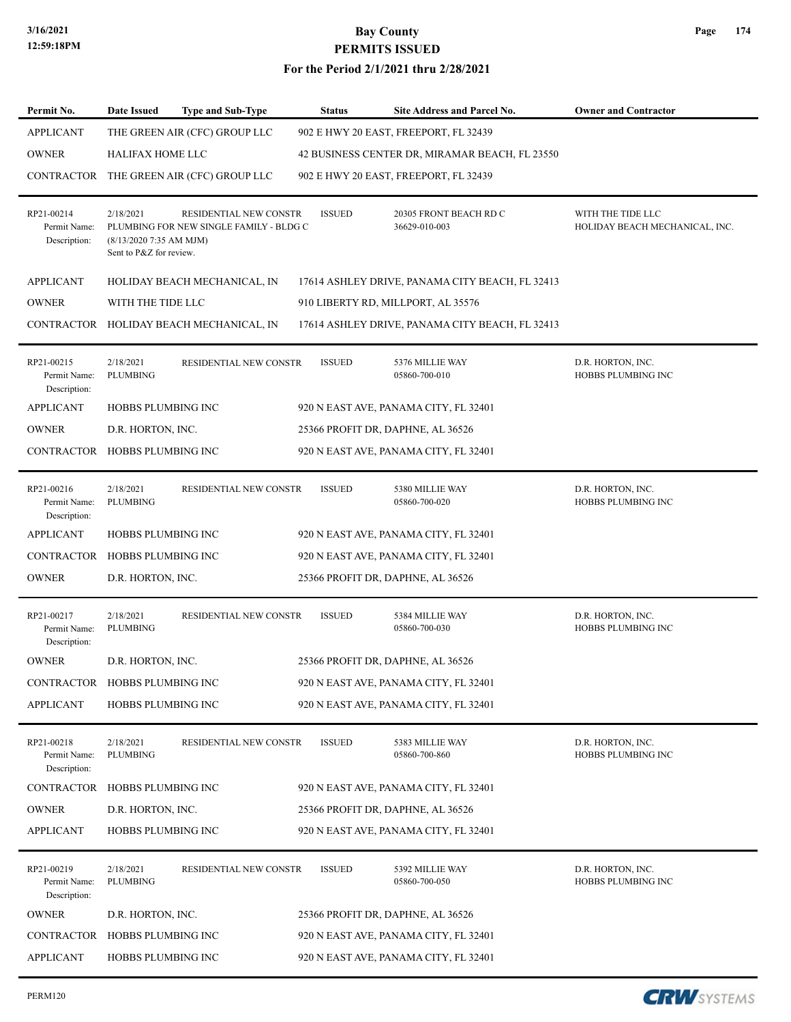#### **For the Period 2/1/2021 thru 2/28/2021**

| Permit No.                                 | Date Issued                                                      | <b>Type and Sub-Type</b>                                          | <b>Status</b> | <b>Site Address and Parcel No.</b>              | <b>Owner and Contractor</b>                         |
|--------------------------------------------|------------------------------------------------------------------|-------------------------------------------------------------------|---------------|-------------------------------------------------|-----------------------------------------------------|
| <b>APPLICANT</b>                           |                                                                  | THE GREEN AIR (CFC) GROUP LLC                                     |               | 902 E HWY 20 EAST, FREEPORT, FL 32439           |                                                     |
| <b>OWNER</b>                               | HALIFAX HOME LLC                                                 |                                                                   |               | 42 BUSINESS CENTER DR, MIRAMAR BEACH, FL 23550  |                                                     |
| CONTRACTOR                                 |                                                                  | THE GREEN AIR (CFC) GROUP LLC                                     |               | 902 E HWY 20 EAST, FREEPORT, FL 32439           |                                                     |
| RP21-00214<br>Permit Name:<br>Description: | 2/18/2021<br>$(8/13/20207:35$ AM MJM)<br>Sent to P&Z for review. | RESIDENTIAL NEW CONSTR<br>PLUMBING FOR NEW SINGLE FAMILY - BLDG C | <b>ISSUED</b> | 20305 FRONT BEACH RD C<br>36629-010-003         | WITH THE TIDE LLC<br>HOLIDAY BEACH MECHANICAL, INC. |
| <b>APPLICANT</b>                           |                                                                  | HOLIDAY BEACH MECHANICAL, IN                                      |               | 17614 ASHLEY DRIVE, PANAMA CITY BEACH, FL 32413 |                                                     |
| <b>OWNER</b>                               | WITH THE TIDE LLC                                                |                                                                   |               | 910 LIBERTY RD, MILLPORT, AL 35576              |                                                     |
|                                            |                                                                  | CONTRACTOR HOLIDAY BEACH MECHANICAL, IN                           |               | 17614 ASHLEY DRIVE, PANAMA CITY BEACH, FL 32413 |                                                     |
| RP21-00215<br>Permit Name:<br>Description: | 2/18/2021<br><b>PLUMBING</b>                                     | RESIDENTIAL NEW CONSTR                                            | <b>ISSUED</b> | 5376 MILLIE WAY<br>05860-700-010                | D.R. HORTON, INC.<br>HOBBS PLUMBING INC             |
| <b>APPLICANT</b>                           | HOBBS PLUMBING INC                                               |                                                                   |               | 920 N EAST AVE, PANAMA CITY, FL 32401           |                                                     |
| <b>OWNER</b>                               | D.R. HORTON, INC.                                                |                                                                   |               | 25366 PROFIT DR, DAPHNE, AL 36526               |                                                     |
| CONTRACTOR HOBBS PLUMBING INC              |                                                                  |                                                                   |               | 920 N EAST AVE, PANAMA CITY, FL 32401           |                                                     |
| RP21-00216<br>Permit Name:<br>Description: | 2/18/2021<br><b>PLUMBING</b>                                     | RESIDENTIAL NEW CONSTR                                            | <b>ISSUED</b> | 5380 MILLIE WAY<br>05860-700-020                | D.R. HORTON, INC.<br>HOBBS PLUMBING INC             |
| <b>APPLICANT</b>                           | HOBBS PLUMBING INC                                               |                                                                   |               | 920 N EAST AVE, PANAMA CITY, FL 32401           |                                                     |
| <b>CONTRACTOR</b>                          | HOBBS PLUMBING INC                                               |                                                                   |               | 920 N EAST AVE, PANAMA CITY, FL 32401           |                                                     |
| <b>OWNER</b>                               | D.R. HORTON, INC.                                                |                                                                   |               | 25366 PROFIT DR, DAPHNE, AL 36526               |                                                     |
| RP21-00217<br>Permit Name:<br>Description: | 2/18/2021<br>PLUMBING                                            | RESIDENTIAL NEW CONSTR                                            | <b>ISSUED</b> | 5384 MILLIE WAY<br>05860-700-030                | D.R. HORTON, INC.<br>HOBBS PLUMBING INC             |
| <b>OWNER</b>                               | D.R. HORTON, INC.                                                |                                                                   |               | 25366 PROFIT DR, DAPHNE, AL 36526               |                                                     |
| CONTRACTOR HOBBS PLUMBING INC              |                                                                  |                                                                   |               | 920 N EAST AVE, PANAMA CITY, FL 32401           |                                                     |
| <b>APPLICANT</b>                           | <b>HOBBS PLUMBING INC</b>                                        |                                                                   |               | 920 N EAST AVE, PANAMA CITY, FL 32401           |                                                     |
| RP21-00218<br>Permit Name:<br>Description: | 2/18/2021<br><b>PLUMBING</b>                                     | RESIDENTIAL NEW CONSTR                                            | <b>ISSUED</b> | 5383 MILLIE WAY<br>05860-700-860                | D.R. HORTON, INC.<br>HOBBS PLUMBING INC             |
| <b>CONTRACTOR</b>                          | HOBBS PLUMBING INC                                               |                                                                   |               | 920 N EAST AVE, PANAMA CITY, FL 32401           |                                                     |
| <b>OWNER</b>                               | D.R. HORTON, INC.                                                |                                                                   |               | 25366 PROFIT DR, DAPHNE, AL 36526               |                                                     |
| <b>APPLICANT</b>                           | HOBBS PLUMBING INC                                               |                                                                   |               | 920 N EAST AVE, PANAMA CITY, FL 32401           |                                                     |
| RP21-00219<br>Permit Name:<br>Description: | 2/18/2021<br>PLUMBING                                            | RESIDENTIAL NEW CONSTR                                            | <b>ISSUED</b> | 5392 MILLIE WAY<br>05860-700-050                | D.R. HORTON, INC.<br>HOBBS PLUMBING INC             |
| <b>OWNER</b>                               | D.R. HORTON, INC.                                                |                                                                   |               | 25366 PROFIT DR, DAPHNE, AL 36526               |                                                     |
| CONTRACTOR                                 | HOBBS PLUMBING INC                                               |                                                                   |               | 920 N EAST AVE, PANAMA CITY, FL 32401           |                                                     |
| APPLICANT                                  | HOBBS PLUMBING INC                                               |                                                                   |               | 920 N EAST AVE, PANAMA CITY, FL 32401           |                                                     |

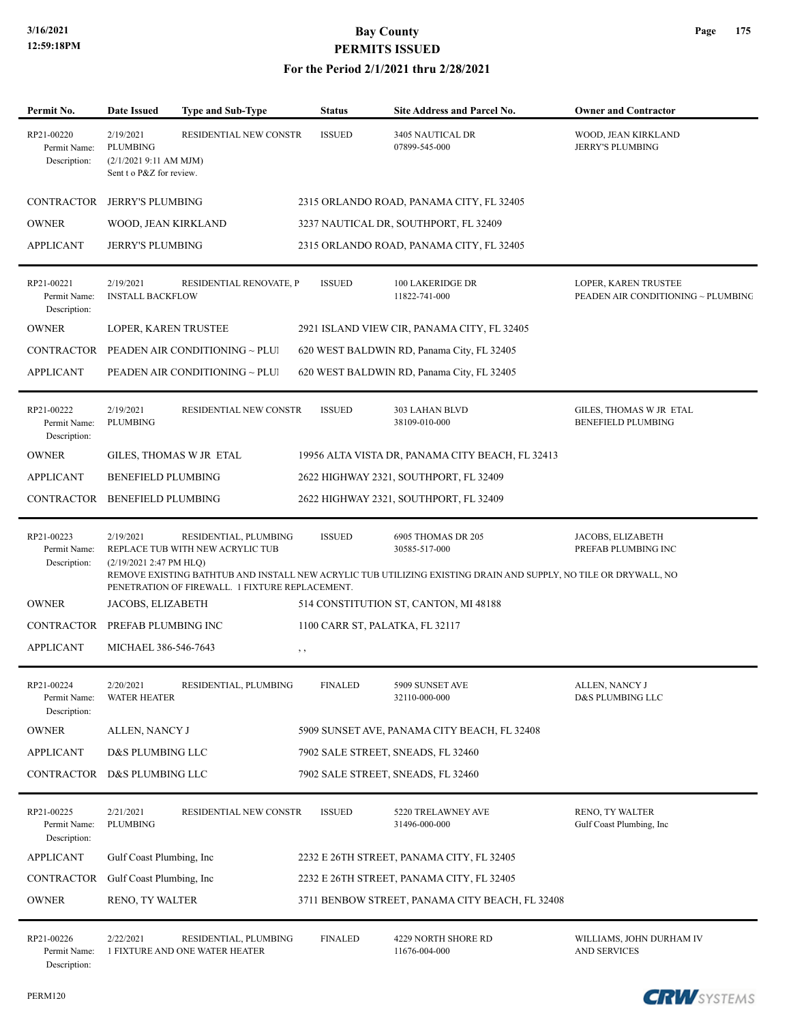#### **For the Period 2/1/2021 thru 2/28/2021**

| Permit No.                                 | <b>Date Issued</b>                                                                | <b>Type and Sub-Type</b>                                  | <b>Status</b>                          | <b>Site Address and Parcel No.</b>                                                                                                                     | <b>Owner and Contractor</b>                                |
|--------------------------------------------|-----------------------------------------------------------------------------------|-----------------------------------------------------------|----------------------------------------|--------------------------------------------------------------------------------------------------------------------------------------------------------|------------------------------------------------------------|
| RP21-00220<br>Permit Name:<br>Description: | 2/19/2021<br><b>PLUMBING</b><br>(2/1/20219:11 AM MJM)<br>Sent t o P&Z for review. | RESIDENTIAL NEW CONSTR                                    | <b>ISSUED</b>                          | 3405 NAUTICAL DR<br>07899-545-000                                                                                                                      | WOOD, JEAN KIRKLAND<br><b>JERRY'S PLUMBING</b>             |
| <b>CONTRACTOR</b>                          | <b>JERRY'S PLUMBING</b>                                                           |                                                           |                                        | 2315 ORLANDO ROAD, PANAMA CITY, FL 32405                                                                                                               |                                                            |
| <b>OWNER</b>                               | WOOD, JEAN KIRKLAND                                                               |                                                           |                                        | 3237 NAUTICAL DR, SOUTHPORT, FL 32409                                                                                                                  |                                                            |
| <b>APPLICANT</b>                           | <b>JERRY'S PLUMBING</b>                                                           |                                                           |                                        | 2315 ORLANDO ROAD, PANAMA CITY, FL 32405                                                                                                               |                                                            |
| RP21-00221<br>Permit Name:<br>Description: | 2/19/2021<br><b>INSTALL BACKFLOW</b>                                              | RESIDENTIAL RENOVATE, P                                   | <b>ISSUED</b>                          | 100 LAKERIDGE DR<br>11822-741-000                                                                                                                      | LOPER, KAREN TRUSTEE<br>PEADEN AIR CONDITIONING ~ PLUMBING |
| <b>OWNER</b>                               | LOPER, KAREN TRUSTEE                                                              |                                                           |                                        | 2921 ISLAND VIEW CIR, PANAMA CITY, FL 32405                                                                                                            |                                                            |
| CONTRACTOR                                 |                                                                                   | PEADEN AIR CONDITIONING ~ PLUI                            |                                        | 620 WEST BALDWIN RD, Panama City, FL 32405                                                                                                             |                                                            |
| <b>APPLICANT</b>                           |                                                                                   | PEADEN AIR CONDITIONING ~ PLUI                            |                                        | 620 WEST BALDWIN RD, Panama City, FL 32405                                                                                                             |                                                            |
| RP21-00222<br>Permit Name:<br>Description: | 2/19/2021<br><b>PLUMBING</b>                                                      | RESIDENTIAL NEW CONSTR                                    | <b>ISSUED</b>                          | 303 LAHAN BLVD<br>38109-010-000                                                                                                                        | GILES, THOMAS W JR ETAL<br><b>BENEFIELD PLUMBING</b>       |
| <b>OWNER</b>                               | GILES, THOMAS W JR ETAL                                                           |                                                           |                                        | 19956 ALTA VISTA DR, PANAMA CITY BEACH, FL 32413                                                                                                       |                                                            |
| <b>APPLICANT</b>                           | <b>BENEFIELD PLUMBING</b>                                                         |                                                           |                                        | 2622 HIGHWAY 2321, SOUTHPORT, FL 32409                                                                                                                 |                                                            |
|                                            | CONTRACTOR BENEFIELD PLUMBING                                                     |                                                           |                                        | 2622 HIGHWAY 2321, SOUTHPORT, FL 32409                                                                                                                 |                                                            |
| RP21-00223<br>Permit Name:<br>Description: | 2/19/2021<br>$(2/19/20212:47 \text{ PM HLQ})$                                     | RESIDENTIAL, PLUMBING<br>REPLACE TUB WITH NEW ACRYLIC TUB | <b>ISSUED</b>                          | 6905 THOMAS DR 205<br>30585-517-000<br>REMOVE EXISTING BATHTUB AND INSTALL NEW ACRYLIC TUB UTILIZING EXISTING DRAIN AND SUPPLY, NO TILE OR DRYWALL, NO | JACOBS, ELIZABETH<br>PREFAB PLUMBING INC                   |
|                                            |                                                                                   | PENETRATION OF FIREWALL. 1 FIXTURE REPLACEMENT.           |                                        |                                                                                                                                                        |                                                            |
| <b>OWNER</b>                               | JACOBS, ELIZABETH                                                                 |                                                           |                                        | 514 CONSTITUTION ST, CANTON, MI 48188                                                                                                                  |                                                            |
| <b>APPLICANT</b>                           | CONTRACTOR PREFAB PLUMBING INC<br>MICHAEL 386-546-7643                            |                                                           | 1100 CARR ST, PALATKA, FL 32117<br>, , |                                                                                                                                                        |                                                            |
| RP21-00224<br>Permit Name:<br>Description: | 2/20/2021<br><b>WATER HEATER</b>                                                  | RESIDENTIAL, PLUMBING                                     | <b>FINALED</b>                         | 5909 SUNSET AVE<br>32110-000-000                                                                                                                       | ALLEN, NANCY J<br>D&S PLUMBING LLC                         |
| $\mathop{\rm OWNER}\nolimits$              | ALLEN, NANCY J                                                                    |                                                           |                                        | 5909 SUNSET AVE, PANAMA CITY BEACH, FL 32408                                                                                                           |                                                            |
| <b>APPLICANT</b>                           | D&S PLUMBING LLC                                                                  |                                                           |                                        | 7902 SALE STREET, SNEADS, FL 32460                                                                                                                     |                                                            |
|                                            | CONTRACTOR D&S PLUMBING LLC                                                       |                                                           |                                        | 7902 SALE STREET, SNEADS, FL 32460                                                                                                                     |                                                            |
| RP21-00225<br>Permit Name:<br>Description: | 2/21/2021<br>PLUMBING                                                             | RESIDENTIAL NEW CONSTR                                    | <b>ISSUED</b>                          | 5220 TRELAWNEY AVE<br>31496-000-000                                                                                                                    | RENO, TY WALTER<br>Gulf Coast Plumbing, Inc.               |
| <b>APPLICANT</b>                           | Gulf Coast Plumbing, Inc.                                                         |                                                           |                                        | 2232 E 26TH STREET, PANAMA CITY, FL 32405                                                                                                              |                                                            |
| CONTRACTOR                                 | Gulf Coast Plumbing, Inc.                                                         |                                                           |                                        | 2232 E 26TH STREET, PANAMA CITY, FL 32405                                                                                                              |                                                            |
| <b>OWNER</b>                               | RENO, TY WALTER                                                                   |                                                           |                                        | 3711 BENBOW STREET, PANAMA CITY BEACH, FL 32408                                                                                                        |                                                            |
| RP21-00226<br>Permit Name:<br>Description: | 2/22/2021                                                                         | RESIDENTIAL, PLUMBING<br>1 FIXTURE AND ONE WATER HEATER   | <b>FINALED</b>                         | 4229 NORTH SHORE RD<br>11676-004-000                                                                                                                   | WILLIAMS, JOHN DURHAM IV<br><b>AND SERVICES</b>            |

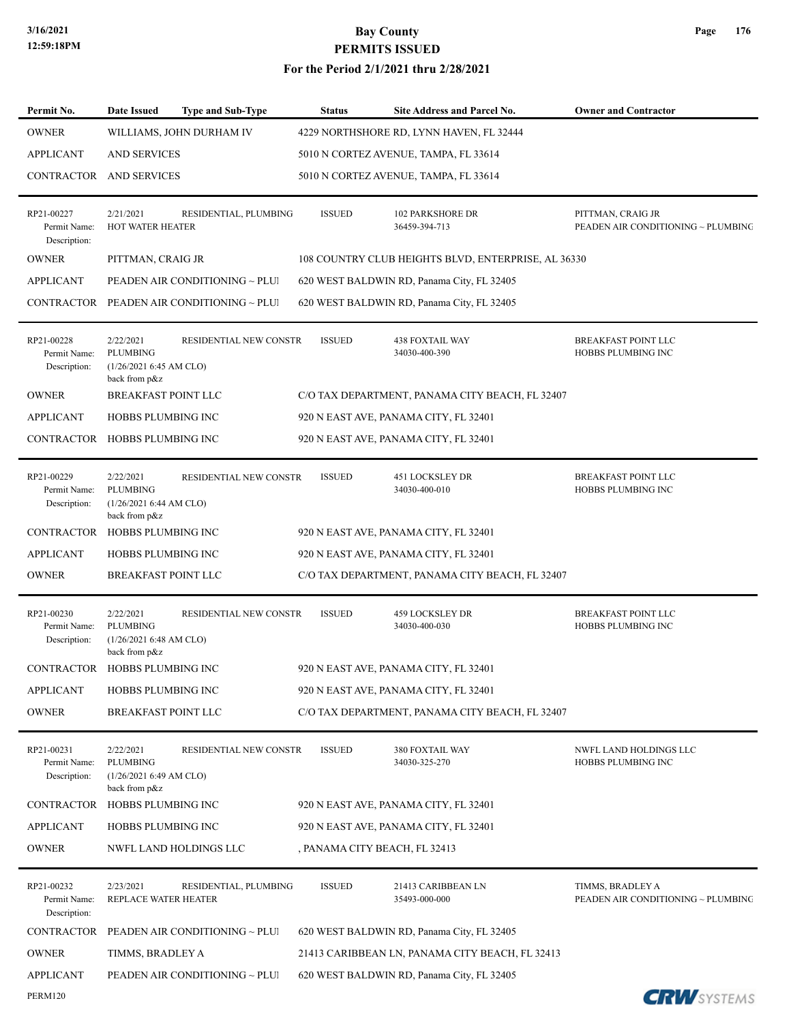| Permit No.                                 | <b>Date Issued</b>                                                       | <b>Type and Sub-Type</b>                  | <b>Status</b>                 | Site Address and Parcel No.                         | <b>Owner and Contractor</b>                             |
|--------------------------------------------|--------------------------------------------------------------------------|-------------------------------------------|-------------------------------|-----------------------------------------------------|---------------------------------------------------------|
| <b>OWNER</b>                               |                                                                          | WILLIAMS, JOHN DURHAM IV                  |                               | 4229 NORTHSHORE RD, LYNN HAVEN, FL 32444            |                                                         |
| <b>APPLICANT</b>                           | <b>AND SERVICES</b>                                                      |                                           |                               | 5010 N CORTEZ AVENUE, TAMPA, FL 33614               |                                                         |
| CONTRACTOR AND SERVICES                    |                                                                          |                                           |                               | 5010 N CORTEZ AVENUE, TAMPA, FL 33614               |                                                         |
| RP21-00227<br>Permit Name:<br>Description: | 2/21/2021<br><b>HOT WATER HEATER</b>                                     | RESIDENTIAL, PLUMBING                     | <b>ISSUED</b>                 | <b>102 PARKSHORE DR</b><br>36459-394-713            | PITTMAN, CRAIG JR<br>PEADEN AIR CONDITIONING ~ PLUMBING |
| <b>OWNER</b>                               | PITTMAN, CRAIG JR                                                        |                                           |                               | 108 COUNTRY CLUB HEIGHTS BLVD, ENTERPRISE, AL 36330 |                                                         |
| <b>APPLICANT</b>                           |                                                                          | PEADEN AIR CONDITIONING ~ PLUI            |                               | 620 WEST BALDWIN RD, Panama City, FL 32405          |                                                         |
|                                            |                                                                          | CONTRACTOR PEADEN AIR CONDITIONING ~ PLUI |                               | 620 WEST BALDWIN RD, Panama City, FL 32405          |                                                         |
| RP21-00228<br>Permit Name:<br>Description: | 2/22/2021<br><b>PLUMBING</b><br>(1/26/2021 6:45 AM CLO)<br>back from p&z | RESIDENTIAL NEW CONSTR                    | <b>ISSUED</b>                 | <b>438 FOXTAIL WAY</b><br>34030-400-390             | <b>BREAKFAST POINT LLC</b><br>HOBBS PLUMBING INC        |
| <b>OWNER</b>                               | BREAKFAST POINT LLC                                                      |                                           |                               | C/O TAX DEPARTMENT, PANAMA CITY BEACH, FL 32407     |                                                         |
| <b>APPLICANT</b>                           | HOBBS PLUMBING INC                                                       |                                           |                               | 920 N EAST AVE, PANAMA CITY, FL 32401               |                                                         |
| CONTRACTOR HOBBS PLUMBING INC              |                                                                          |                                           |                               | 920 N EAST AVE, PANAMA CITY, FL 32401               |                                                         |
| RP21-00229<br>Permit Name:<br>Description: | 2/22/2021<br><b>PLUMBING</b><br>(1/26/2021 6:44 AM CLO)<br>back from p&z | RESIDENTIAL NEW CONSTR                    | <b>ISSUED</b>                 | 451 LOCKSLEY DR<br>34030-400-010                    | <b>BREAKFAST POINT LLC</b><br>HOBBS PLUMBING INC        |
| <b>CONTRACTOR</b>                          | HOBBS PLUMBING INC                                                       |                                           |                               | 920 N EAST AVE, PANAMA CITY, FL 32401               |                                                         |
| <b>APPLICANT</b>                           | HOBBS PLUMBING INC                                                       |                                           |                               | 920 N EAST AVE, PANAMA CITY, FL 32401               |                                                         |
| <b>OWNER</b>                               | <b>BREAKFAST POINT LLC</b>                                               |                                           |                               | C/O TAX DEPARTMENT, PANAMA CITY BEACH, FL 32407     |                                                         |
| RP21-00230<br>Permit Name:<br>Description: | 2/22/2021<br><b>PLUMBING</b><br>(1/26/2021 6:48 AM CLO)<br>back from p&z | RESIDENTIAL NEW CONSTR                    | <b>ISSUED</b>                 | <b>459 LOCKSLEY DR</b><br>34030-400-030             | <b>BREAKFAST POINT LLC</b><br>HOBBS PLUMBING INC        |
| CONTRACTOR                                 | <b>HOBBS PLUMBING INC</b>                                                |                                           |                               | 920 N EAST AVE, PANAMA CITY, FL 32401               |                                                         |
| <b>APPLICANT</b>                           | HOBBS PLUMBING INC                                                       |                                           |                               | 920 N EAST AVE, PANAMA CITY, FL 32401               |                                                         |
| <b>OWNER</b>                               | <b>BREAKFAST POINT LLC</b>                                               |                                           |                               | C/O TAX DEPARTMENT, PANAMA CITY BEACH, FL 32407     |                                                         |
| RP21-00231<br>Permit Name:<br>Description: | 2/22/2021<br><b>PLUMBING</b><br>(1/26/20216:49 AM CLO)<br>back from p&z  | RESIDENTIAL NEW CONSTR                    | <b>ISSUED</b>                 | 380 FOXTAIL WAY<br>34030-325-270                    | NWFL LAND HOLDINGS LLC<br>HOBBS PLUMBING INC            |
| CONTRACTOR                                 | <b>HOBBS PLUMBING INC</b>                                                |                                           |                               | 920 N EAST AVE, PANAMA CITY, FL 32401               |                                                         |
| APPLICANT                                  | HOBBS PLUMBING INC                                                       |                                           |                               | 920 N EAST AVE, PANAMA CITY, FL 32401               |                                                         |
| <b>OWNER</b>                               |                                                                          | NWFL LAND HOLDINGS LLC                    | , PANAMA CITY BEACH, FL 32413 |                                                     |                                                         |
| RP21-00232<br>Permit Name:<br>Description: | 2/23/2021<br>REPLACE WATER HEATER                                        | RESIDENTIAL, PLUMBING                     | <b>ISSUED</b>                 | 21413 CARIBBEAN LN<br>35493-000-000                 | TIMMS, BRADLEY A<br>PEADEN AIR CONDITIONING ~ PLUMBING  |
| CONTRACTOR                                 |                                                                          | PEADEN AIR CONDITIONING ~ PLUI            |                               | 620 WEST BALDWIN RD, Panama City, FL 32405          |                                                         |
| <b>OWNER</b>                               | TIMMS, BRADLEY A                                                         |                                           |                               | 21413 CARIBBEAN LN, PANAMA CITY BEACH, FL 32413     |                                                         |
| <b>APPLICANT</b>                           |                                                                          | PEADEN AIR CONDITIONING ~ PLUI            |                               | 620 WEST BALDWIN RD, Panama City, FL 32405          |                                                         |
| PERM120                                    |                                                                          |                                           |                               |                                                     | <b>CRW</b> SYSTEMS                                      |

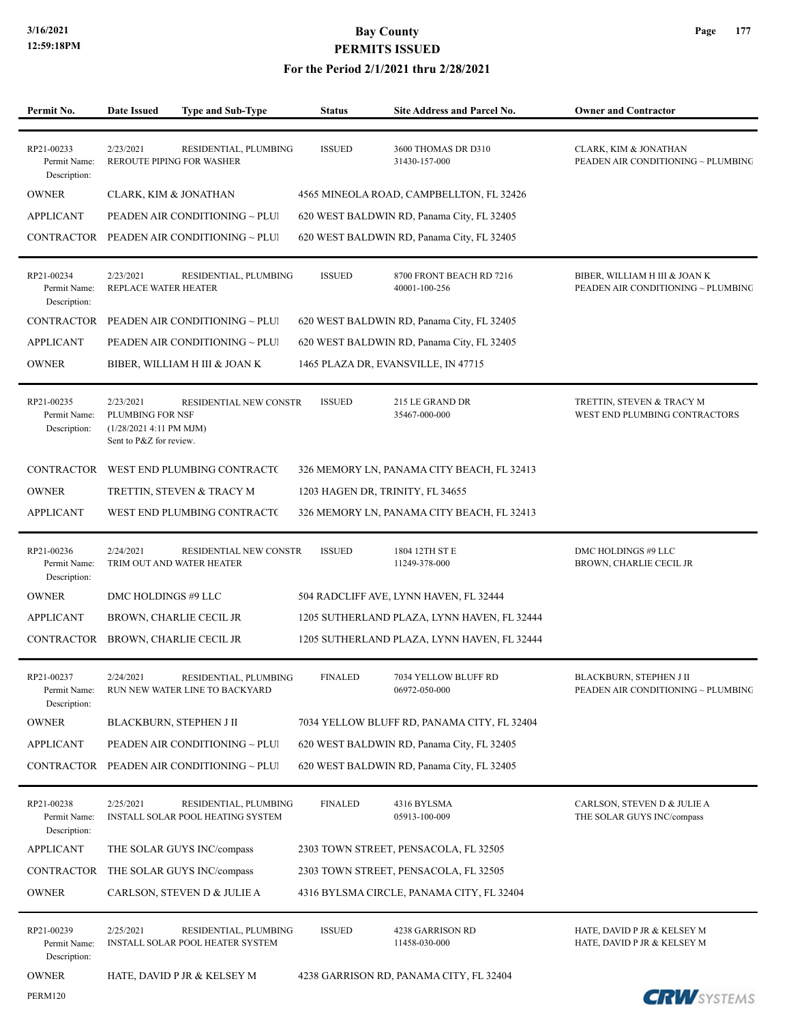PERM120

### **3/16/2021 Bay County PERMITS ISSUED**

| Permit No.                                 | <b>Date Issued</b>                                                                  | <b>Type and Sub-Type</b>                                          | <b>Status</b>                    | Site Address and Parcel No.                 | <b>Owner and Contractor</b>                                         |
|--------------------------------------------|-------------------------------------------------------------------------------------|-------------------------------------------------------------------|----------------------------------|---------------------------------------------|---------------------------------------------------------------------|
| RP21-00233<br>Permit Name:<br>Description: | 2/23/2021                                                                           | RESIDENTIAL, PLUMBING<br>REROUTE PIPING FOR WASHER                | <b>ISSUED</b>                    | 3600 THOMAS DR D310<br>31430-157-000        | CLARK, KIM & JONATHAN<br>PEADEN AIR CONDITIONING ~ PLUMBING         |
| <b>OWNER</b>                               | CLARK, KIM & JONATHAN                                                               |                                                                   |                                  | 4565 MINEOLA ROAD, CAMPBELLTON, FL 32426    |                                                                     |
| <b>APPLICANT</b>                           |                                                                                     | PEADEN AIR CONDITIONING ~ PLUI                                    |                                  | 620 WEST BALDWIN RD, Panama City, FL 32405  |                                                                     |
| CONTRACTOR                                 |                                                                                     | PEADEN AIR CONDITIONING $\sim$ PLUI                               |                                  | 620 WEST BALDWIN RD, Panama City, FL 32405  |                                                                     |
| RP21-00234<br>Permit Name:<br>Description: | 2/23/2021<br>REPLACE WATER HEATER                                                   | RESIDENTIAL, PLUMBING                                             | <b>ISSUED</b>                    | 8700 FRONT BEACH RD 7216<br>40001-100-256   | BIBER, WILLIAM H III & JOAN K<br>PEADEN AIR CONDITIONING ~ PLUMBING |
| CONTRACTOR                                 |                                                                                     | PEADEN AIR CONDITIONING ~ PLUI                                    |                                  | 620 WEST BALDWIN RD, Panama City, FL 32405  |                                                                     |
| <b>APPLICANT</b>                           |                                                                                     | PEADEN AIR CONDITIONING ~ PLUI                                    |                                  | 620 WEST BALDWIN RD, Panama City, FL 32405  |                                                                     |
| <b>OWNER</b>                               |                                                                                     | BIBER, WILLIAM H III & JOAN K                                     |                                  | 1465 PLAZA DR, EVANSVILLE, IN 47715         |                                                                     |
| RP21-00235<br>Permit Name:<br>Description: | 2/23/2021<br>PLUMBING FOR NSF<br>(1/28/2021 4:11 PM MJM)<br>Sent to P&Z for review. | RESIDENTIAL NEW CONSTR                                            | <b>ISSUED</b>                    | 215 LE GRAND DR<br>35467-000-000            | TRETTIN, STEVEN & TRACY M<br>WEST END PLUMBING CONTRACTORS          |
| CONTRACTOR                                 |                                                                                     | WEST END PLUMBING CONTRACTO                                       |                                  | 326 MEMORY LN, PANAMA CITY BEACH, FL 32413  |                                                                     |
| <b>OWNER</b>                               |                                                                                     | TRETTIN, STEVEN & TRACY M                                         | 1203 HAGEN DR, TRINITY, FL 34655 |                                             |                                                                     |
| <b>APPLICANT</b>                           |                                                                                     | WEST END PLUMBING CONTRACT(                                       |                                  | 326 MEMORY LN, PANAMA CITY BEACH, FL 32413  |                                                                     |
| RP21-00236<br>Permit Name:<br>Description: | 2/24/2021                                                                           | RESIDENTIAL NEW CONSTR<br>TRIM OUT AND WATER HEATER               | <b>ISSUED</b>                    | 1804 12TH ST E<br>11249-378-000             | DMC HOLDINGS #9 LLC<br>BROWN, CHARLIE CECIL JR                      |
| <b>OWNER</b>                               | DMC HOLDINGS #9 LLC                                                                 |                                                                   |                                  | 504 RADCLIFF AVE, LYNN HAVEN, FL 32444      |                                                                     |
| <b>APPLICANT</b>                           |                                                                                     | BROWN, CHARLIE CECIL JR                                           |                                  | 1205 SUTHERLAND PLAZA, LYNN HAVEN, FL 32444 |                                                                     |
| CONTRACTOR                                 |                                                                                     | BROWN, CHARLIE CECIL JR                                           |                                  | 1205 SUTHERLAND PLAZA, LYNN HAVEN, FL 32444 |                                                                     |
| RP21-00237<br>Permit Name:<br>Description: | 2/24/2021                                                                           | RESIDENTIAL, PLUMBING<br>RUN NEW WATER LINE TO BACKYARD           | <b>FINALED</b>                   | 7034 YELLOW BLUFF RD<br>06972-050-000       | BLACKBURN, STEPHEN J II<br>PEADEN AIR CONDITIONING ~ PLUMBING       |
| <b>OWNER</b>                               |                                                                                     | BLACKBURN, STEPHEN J II                                           |                                  | 7034 YELLOW BLUFF RD, PANAMA CITY, FL 32404 |                                                                     |
| <b>APPLICANT</b>                           |                                                                                     | PEADEN AIR CONDITIONING ~ PLUI                                    |                                  | 620 WEST BALDWIN RD, Panama City, FL 32405  |                                                                     |
| CONTRACTOR                                 |                                                                                     | PEADEN AIR CONDITIONING ~ PLUI                                    |                                  | 620 WEST BALDWIN RD, Panama City, FL 32405  |                                                                     |
| RP21-00238<br>Permit Name:<br>Description: | 2/25/2021                                                                           | RESIDENTIAL, PLUMBING<br><b>INSTALL SOLAR POOL HEATING SYSTEM</b> | <b>FINALED</b>                   | 4316 BYLSMA<br>05913-100-009                | CARLSON, STEVEN D & JULIE A<br>THE SOLAR GUYS INC/compass           |
| <b>APPLICANT</b>                           |                                                                                     | THE SOLAR GUYS INC/compass                                        |                                  | 2303 TOWN STREET, PENSACOLA, FL 32505       |                                                                     |
| CONTRACTOR                                 |                                                                                     | THE SOLAR GUYS INC/compass                                        |                                  | 2303 TOWN STREET, PENSACOLA, FL 32505       |                                                                     |
| <b>OWNER</b>                               |                                                                                     | CARLSON, STEVEN D & JULIE A                                       |                                  | 4316 BYLSMA CIRCLE, PANAMA CITY, FL 32404   |                                                                     |
| RP21-00239<br>Permit Name:<br>Description: | 2/25/2021                                                                           | RESIDENTIAL, PLUMBING<br>INSTALL SOLAR POOL HEATER SYSTEM         | <b>ISSUED</b>                    | 4238 GARRISON RD<br>11458-030-000           | HATE, DAVID P JR & KELSEY M<br>HATE, DAVID P JR & KELSEY M          |
| <b>OWNER</b>                               |                                                                                     | HATE, DAVID P JR & KELSEY M                                       |                                  | 4238 GARRISON RD, PANAMA CITY, FL 32404     |                                                                     |

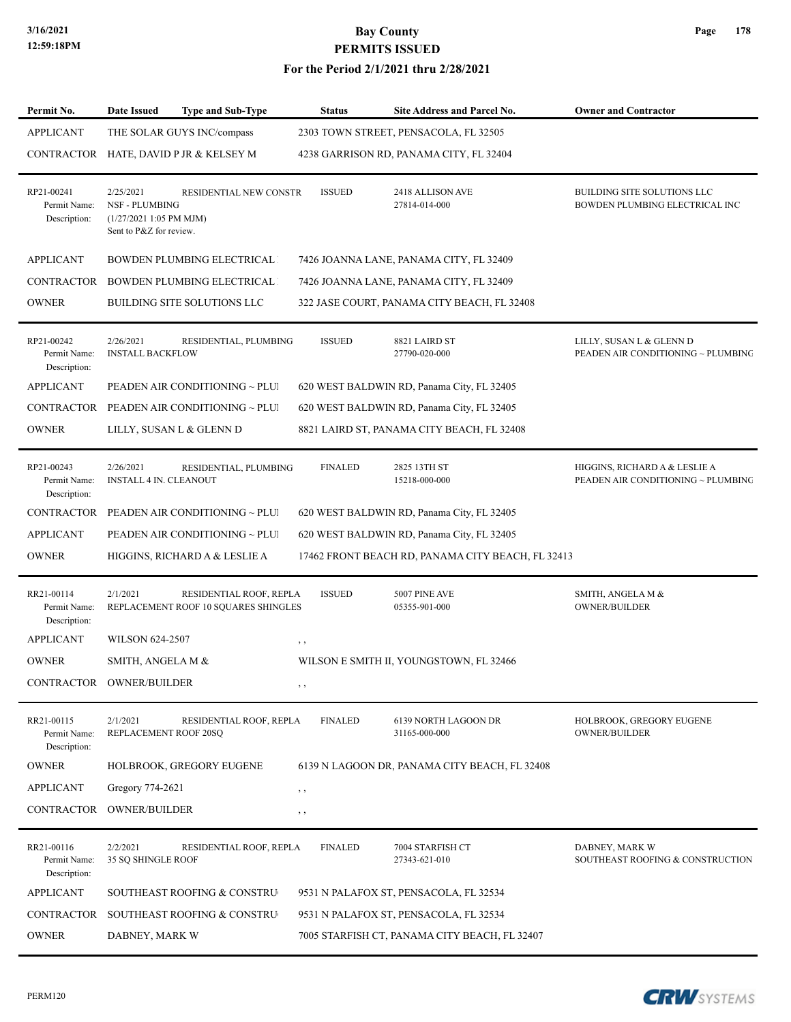| Page | 178 |
|------|-----|
|------|-----|

| Permit No.                                 | Date Issued                                                                               | <b>Type and Sub-Type</b>                                        | <b>Status</b>  | Site Address and Parcel No.                       | <b>Owner and Contractor</b>                                         |
|--------------------------------------------|-------------------------------------------------------------------------------------------|-----------------------------------------------------------------|----------------|---------------------------------------------------|---------------------------------------------------------------------|
| <b>APPLICANT</b>                           |                                                                                           | THE SOLAR GUYS INC/compass                                      |                | 2303 TOWN STREET, PENSACOLA, FL 32505             |                                                                     |
|                                            |                                                                                           | CONTRACTOR HATE, DAVID P JR & KELSEY M                          |                | 4238 GARRISON RD, PANAMA CITY, FL 32404           |                                                                     |
| RP21-00241<br>Permit Name:<br>Description: | 2/25/2021<br><b>NSF - PLUMBING</b><br>$(1/27/20211:05$ PM MJM)<br>Sent to P&Z for review. | RESIDENTIAL NEW CONSTR                                          | <b>ISSUED</b>  | 2418 ALLISON AVE<br>27814-014-000                 | BUILDING SITE SOLUTIONS LLC<br>BOWDEN PLUMBING ELECTRICAL INC       |
| <b>APPLICANT</b>                           |                                                                                           | <b>BOWDEN PLUMBING ELECTRICAL</b>                               |                | 7426 JOANNA LANE, PANAMA CITY, FL 32409           |                                                                     |
| <b>CONTRACTOR</b>                          |                                                                                           | BOWDEN PLUMBING ELECTRICAL                                      |                | 7426 JOANNA LANE, PANAMA CITY, FL 32409           |                                                                     |
| <b>OWNER</b>                               |                                                                                           | BUILDING SITE SOLUTIONS LLC                                     |                | 322 JASE COURT, PANAMA CITY BEACH, FL 32408       |                                                                     |
| RP21-00242<br>Permit Name:<br>Description: | 2/26/2021<br><b>INSTALL BACKFLOW</b>                                                      | RESIDENTIAL, PLUMBING                                           | <b>ISSUED</b>  | 8821 LAIRD ST<br>27790-020-000                    | LILLY, SUSAN L & GLENN D<br>PEADEN AIR CONDITIONING ~ PLUMBING      |
| <b>APPLICANT</b>                           |                                                                                           | PEADEN AIR CONDITIONING ~ PLUI                                  |                | 620 WEST BALDWIN RD, Panama City, FL 32405        |                                                                     |
|                                            |                                                                                           | CONTRACTOR PEADEN AIR CONDITIONING ~ PLUI                       |                | 620 WEST BALDWIN RD, Panama City, FL 32405        |                                                                     |
| <b>OWNER</b>                               |                                                                                           | LILLY, SUSAN L & GLENN D                                        |                | 8821 LAIRD ST, PANAMA CITY BEACH, FL 32408        |                                                                     |
| RP21-00243<br>Permit Name:<br>Description: | 2/26/2021<br><b>INSTALL 4 IN. CLEANOUT</b>                                                | RESIDENTIAL, PLUMBING                                           | <b>FINALED</b> | 2825 13TH ST<br>15218-000-000                     | HIGGINS, RICHARD A & LESLIE A<br>PEADEN AIR CONDITIONING ~ PLUMBING |
| <b>CONTRACTOR</b>                          |                                                                                           | PEADEN AIR CONDITIONING ~ PLUI                                  |                | 620 WEST BALDWIN RD, Panama City, FL 32405        |                                                                     |
| <b>APPLICANT</b>                           |                                                                                           | PEADEN AIR CONDITIONING ~ PLUI                                  |                | 620 WEST BALDWIN RD, Panama City, FL 32405        |                                                                     |
| <b>OWNER</b>                               |                                                                                           | HIGGINS, RICHARD A & LESLIE A                                   |                | 17462 FRONT BEACH RD, PANAMA CITY BEACH, FL 32413 |                                                                     |
| RR21-00114<br>Permit Name:<br>Description: | 2/1/2021                                                                                  | RESIDENTIAL ROOF, REPLA<br>REPLACEMENT ROOF 10 SQUARES SHINGLES | <b>ISSUED</b>  | 5007 PINE AVE<br>05355-901-000                    | SMITH, ANGELA M &<br><b>OWNER/BUILDER</b>                           |
| <b>APPLICANT</b>                           | <b>WILSON 624-2507</b>                                                                    |                                                                 | $, \, , \,$    |                                                   |                                                                     |
| <b>OWNER</b>                               | SMITH, ANGELA M &                                                                         |                                                                 |                | WILSON E SMITH II, YOUNGSTOWN, FL 32466           |                                                                     |
| CONTRACTOR OWNER/BUILDER                   |                                                                                           |                                                                 | , ,            |                                                   |                                                                     |
| RR21-00115<br>Permit Name:<br>Description: | 2/1/2021<br>REPLACEMENT ROOF 20SQ                                                         | RESIDENTIAL ROOF, REPLA                                         | <b>FINALED</b> | 6139 NORTH LAGOON DR<br>31165-000-000             | HOLBROOK, GREGORY EUGENE<br>OWNER/BUILDER                           |
| <b>OWNER</b>                               |                                                                                           | HOLBROOK, GREGORY EUGENE                                        |                | 6139 N LAGOON DR, PANAMA CITY BEACH, FL 32408     |                                                                     |
| <b>APPLICANT</b>                           | Gregory 774-2621                                                                          |                                                                 | $, \, , \,$    |                                                   |                                                                     |
| CONTRACTOR OWNER/BUILDER                   |                                                                                           |                                                                 | $, \, ,$       |                                                   |                                                                     |
| RR21-00116<br>Permit Name:<br>Description: | 2/2/2021<br>35 SQ SHINGLE ROOF                                                            | RESIDENTIAL ROOF, REPLA                                         | <b>FINALED</b> | 7004 STARFISH CT<br>27343-621-010                 | DABNEY, MARK W<br>SOUTHEAST ROOFING & CONSTRUCTION                  |
|                                            |                                                                                           | SOUTHEAST ROOFING & CONSTRU                                     |                | 9531 N PALAFOX ST, PENSACOLA, FL 32534            |                                                                     |
| <b>APPLICANT</b>                           |                                                                                           |                                                                 |                |                                                   |                                                                     |
| CONTRACTOR                                 |                                                                                           | SOUTHEAST ROOFING & CONSTRU                                     |                | 9531 N PALAFOX ST, PENSACOLA, FL 32534            |                                                                     |

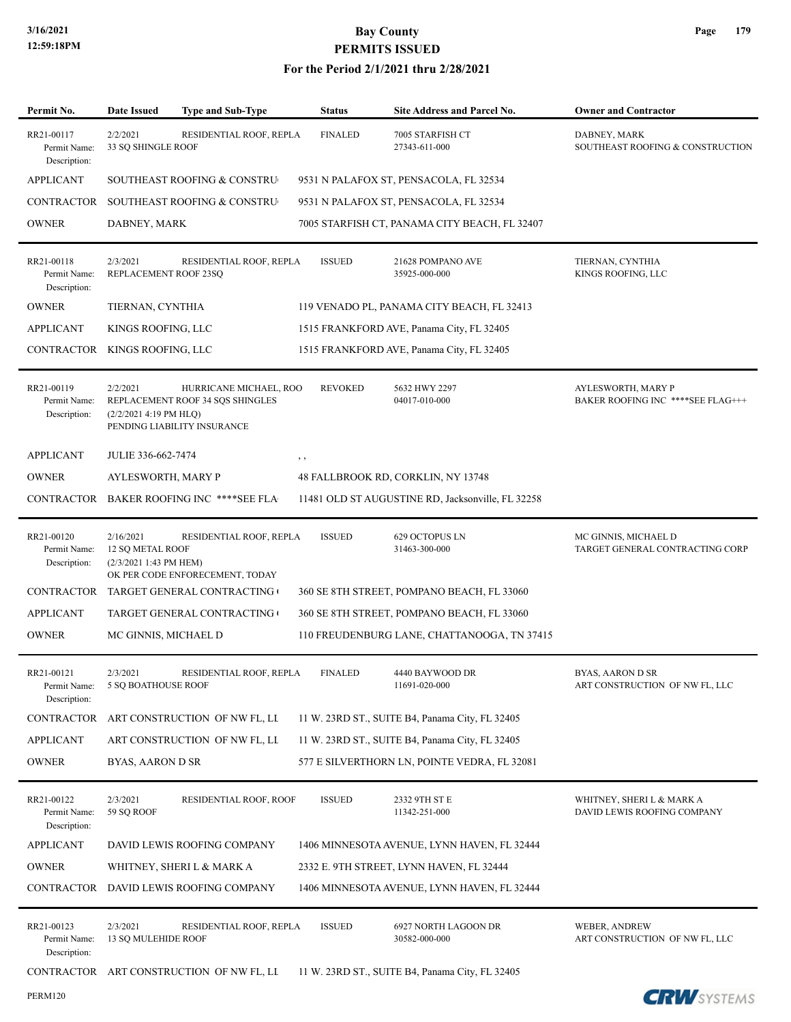| Permit No.                                 | Date Issued                                                                      | <b>Type and Sub-Type</b>                                                                  | <b>Status</b>                                    | <b>Site Address and Parcel No.</b>                | <b>Owner and Contractor</b>                              |  |  |  |
|--------------------------------------------|----------------------------------------------------------------------------------|-------------------------------------------------------------------------------------------|--------------------------------------------------|---------------------------------------------------|----------------------------------------------------------|--|--|--|
| RR21-00117<br>Permit Name:<br>Description: | 2/2/2021<br>33 SQ SHINGLE ROOF                                                   | RESIDENTIAL ROOF, REPLA                                                                   | DABNEY, MARK<br>SOUTHEAST ROOFING & CONSTRUCTION |                                                   |                                                          |  |  |  |
| <b>APPLICANT</b>                           | SOUTHEAST ROOFING & CONSTRU<br>9531 N PALAFOX ST, PENSACOLA, FL 32534            |                                                                                           |                                                  |                                                   |                                                          |  |  |  |
| CONTRACTOR                                 |                                                                                  | SOUTHEAST ROOFING & CONSTRU                                                               |                                                  |                                                   |                                                          |  |  |  |
| <b>OWNER</b>                               | DABNEY, MARK                                                                     |                                                                                           |                                                  |                                                   |                                                          |  |  |  |
| RR21-00118<br>Permit Name:<br>Description: | 2/3/2021<br>REPLACEMENT ROOF 23SQ                                                | RESIDENTIAL ROOF, REPLA                                                                   | <b>ISSUED</b>                                    | 21628 POMPANO AVE<br>35925-000-000                | TIERNAN, CYNTHIA<br>KINGS ROOFING, LLC                   |  |  |  |
| <b>OWNER</b>                               | TIERNAN, CYNTHIA                                                                 |                                                                                           |                                                  |                                                   |                                                          |  |  |  |
| <b>APPLICANT</b>                           | KINGS ROOFING, LLC                                                               |                                                                                           | 1515 FRANKFORD AVE, Panama City, FL 32405        |                                                   |                                                          |  |  |  |
| CONTRACTOR                                 | KINGS ROOFING, LLC                                                               |                                                                                           |                                                  |                                                   |                                                          |  |  |  |
| RR21-00119<br>Permit Name:<br>Description: | 2/2/2021<br>(2/2/2021 4:19 PM HLQ)                                               | HURRICANE MICHAEL, ROO<br>REPLACEMENT ROOF 34 SQS SHINGLES<br>PENDING LIABILITY INSURANCE | <b>REVOKED</b>                                   | 5632 HWY 2297<br>04017-010-000                    | AYLESWORTH, MARY P<br>BAKER ROOFING INC ****SEE FLAG+++  |  |  |  |
| <b>APPLICANT</b>                           | JULIE 336-662-7474                                                               |                                                                                           | , ,                                              |                                                   |                                                          |  |  |  |
| <b>OWNER</b>                               | AYLESWORTH, MARY P<br>48 FALLBROOK RD, CORKLIN, NY 13748                         |                                                                                           |                                                  |                                                   |                                                          |  |  |  |
|                                            |                                                                                  | CONTRACTOR BAKER ROOFING INC ****SEE FLA                                                  |                                                  | 11481 OLD ST AUGUSTINE RD, Jacksonville, FL 32258 |                                                          |  |  |  |
| RR21-00120<br>Permit Name:<br>Description: | 2/16/2021<br><b>12 SQ METAL ROOF</b><br>(2/3/2021 1:43 PM HEM)                   | RESIDENTIAL ROOF, REPLA<br>OK PER CODE ENFORECEMENT, TODAY                                | <b>ISSUED</b>                                    | 629 OCTOPUS LN<br>31463-300-000                   | MC GINNIS, MICHAEL D<br>TARGET GENERAL CONTRACTING CORP  |  |  |  |
| CONTRACTOR                                 |                                                                                  | TARGET GENERAL CONTRACTING                                                                |                                                  |                                                   |                                                          |  |  |  |
| <b>APPLICANT</b>                           |                                                                                  | TARGET GENERAL CONTRACTING (                                                              |                                                  |                                                   |                                                          |  |  |  |
| <b>OWNER</b>                               | MC GINNIS, MICHAEL D<br>110 FREUDENBURG LANE, CHATTANOOGA, TN 37415              |                                                                                           |                                                  |                                                   |                                                          |  |  |  |
| RR21-00121<br>Permit Name:<br>Description: | 2/3/2021<br>5 SQ BOATHOUSE ROOF                                                  | RESIDENTIAL ROOF, REPLA                                                                   | <b>FINALED</b>                                   | 4440 BAYWOOD DR<br>11691-020-000                  | BYAS, AARON D SR<br>ART CONSTRUCTION OF NW FL, LLC       |  |  |  |
| <b>CONTRACTOR</b>                          | ART CONSTRUCTION OF NW FL, LL<br>11 W. 23RD ST., SUITE B4, Panama City, FL 32405 |                                                                                           |                                                  |                                                   |                                                          |  |  |  |
| <b>APPLICANT</b>                           | ART CONSTRUCTION OF NW FL, LL<br>11 W. 23RD ST., SUITE B4, Panama City, FL 32405 |                                                                                           |                                                  |                                                   |                                                          |  |  |  |
| <b>OWNER</b>                               | BYAS, AARON D SR                                                                 |                                                                                           |                                                  | 577 E SILVERTHORN LN, POINTE VEDRA, FL 32081      |                                                          |  |  |  |
| RR21-00122<br>Permit Name:<br>Description: | 2/3/2021<br>59 SQ ROOF                                                           | RESIDENTIAL ROOF, ROOF                                                                    | <b>ISSUED</b>                                    | 2332 9TH ST E<br>11342-251-000                    | WHITNEY, SHERI L & MARK A<br>DAVID LEWIS ROOFING COMPANY |  |  |  |
| <b>APPLICANT</b>                           |                                                                                  | DAVID LEWIS ROOFING COMPANY                                                               |                                                  | 1406 MINNESOTA AVENUE, LYNN HAVEN, FL 32444       |                                                          |  |  |  |
| <b>OWNER</b>                               |                                                                                  | WHITNEY, SHERI L & MARK A                                                                 |                                                  |                                                   |                                                          |  |  |  |
| CONTRACTOR                                 |                                                                                  | DAVID LEWIS ROOFING COMPANY                                                               |                                                  | 1406 MINNESOTA AVENUE, LYNN HAVEN, FL 32444       |                                                          |  |  |  |
| RR21-00123<br>Permit Name:<br>Description: | 2/3/2021<br>13 SQ MULEHIDE ROOF                                                  | RESIDENTIAL ROOF, REPLA                                                                   | <b>ISSUED</b>                                    | 6927 NORTH LAGOON DR<br>30582-000-000             | WEBER, ANDREW<br>ART CONSTRUCTION OF NW FL, LLC          |  |  |  |
|                                            |                                                                                  | CONTRACTOR ART CONSTRUCTION OF NW FL, LI                                                  |                                                  | 11 W. 23RD ST., SUITE B4, Panama City, FL 32405   |                                                          |  |  |  |
| <b>PERM120</b>                             |                                                                                  |                                                                                           |                                                  |                                                   | <b>CRU</b> CYSTEMS                                       |  |  |  |

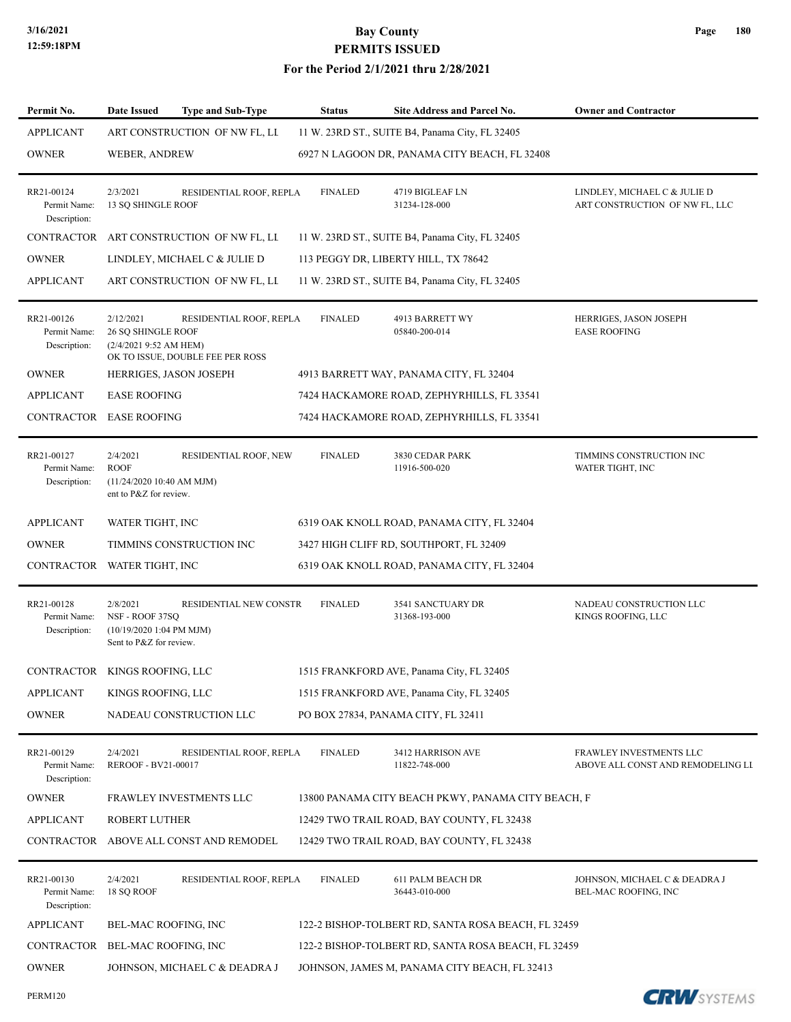| Permit No.                                 | <b>Type and Sub-Type</b><br>Date Issued                                                                                       | <b>Status</b>                              | Site Address and Parcel No.                     | <b>Owner and Contractor</b>                                    |  |  |  |
|--------------------------------------------|-------------------------------------------------------------------------------------------------------------------------------|--------------------------------------------|-------------------------------------------------|----------------------------------------------------------------|--|--|--|
| <b>APPLICANT</b>                           | ART CONSTRUCTION OF NW FL, LI                                                                                                 |                                            | 11 W. 23RD ST., SUITE B4, Panama City, FL 32405 |                                                                |  |  |  |
| <b>OWNER</b>                               | WEBER, ANDREW                                                                                                                 |                                            | 6927 N LAGOON DR, PANAMA CITY BEACH, FL 32408   |                                                                |  |  |  |
| RR21-00124<br>Permit Name:<br>Description: | 2/3/2021<br>RESIDENTIAL ROOF, REPLA<br>13 SQ SHINGLE ROOF                                                                     | <b>FINALED</b>                             | 4719 BIGLEAF LN<br>31234-128-000                | LINDLEY, MICHAEL C & JULIE D<br>ART CONSTRUCTION OF NW FL, LLC |  |  |  |
| CONTRACTOR                                 | ART CONSTRUCTION OF NW FL, LI                                                                                                 |                                            | 11 W. 23RD ST., SUITE B4, Panama City, FL 32405 |                                                                |  |  |  |
| <b>OWNER</b>                               | LINDLEY, MICHAEL C & JULIE D                                                                                                  | 113 PEGGY DR, LIBERTY HILL, TX 78642       |                                                 |                                                                |  |  |  |
| <b>APPLICANT</b>                           | ART CONSTRUCTION OF NW FL, LI                                                                                                 |                                            | 11 W. 23RD ST., SUITE B4, Panama City, FL 32405 |                                                                |  |  |  |
| RR21-00126<br>Permit Name:<br>Description: | 2/12/2021<br>RESIDENTIAL ROOF, REPLA<br><b>26 SQ SHINGLE ROOF</b><br>(2/4/20219:52 AMHEM)<br>OK TO ISSUE, DOUBLE FEE PER ROSS | <b>FINALED</b>                             | 4913 BARRETT WY<br>05840-200-014                | HERRIGES, JASON JOSEPH<br><b>EASE ROOFING</b>                  |  |  |  |
| <b>OWNER</b>                               | HERRIGES, JASON JOSEPH                                                                                                        |                                            | 4913 BARRETT WAY, PANAMA CITY, FL 32404         |                                                                |  |  |  |
| <b>APPLICANT</b>                           | <b>EASE ROOFING</b>                                                                                                           | 7424 HACKAMORE ROAD, ZEPHYRHILLS, FL 33541 |                                                 |                                                                |  |  |  |
|                                            | CONTRACTOR EASE ROOFING                                                                                                       |                                            | 7424 HACKAMORE ROAD, ZEPHYRHILLS, FL 33541      |                                                                |  |  |  |
| RR21-00127<br>Permit Name:<br>Description: | 2/4/2021<br>RESIDENTIAL ROOF, NEW<br><b>ROOF</b><br>(11/24/2020 10:40 AM MJM)<br>ent to P&Z for review.                       | <b>FINALED</b>                             | 3830 CEDAR PARK<br>11916-500-020                | TIMMINS CONSTRUCTION INC<br>WATER TIGHT, INC                   |  |  |  |
| <b>APPLICANT</b>                           | WATER TIGHT, INC                                                                                                              | 6319 OAK KNOLL ROAD, PANAMA CITY, FL 32404 |                                                 |                                                                |  |  |  |
| <b>OWNER</b>                               | TIMMINS CONSTRUCTION INC                                                                                                      |                                            | 3427 HIGH CLIFF RD, SOUTHPORT, FL 32409         |                                                                |  |  |  |
| CONTRACTOR                                 | WATER TIGHT, INC                                                                                                              |                                            | 6319 OAK KNOLL ROAD, PANAMA CITY, FL 32404      |                                                                |  |  |  |
| RR21-00128<br>Permit Name:<br>Description: | 2/8/2021<br>RESIDENTIAL NEW CONSTR<br>NSF - ROOF 37SQ<br>$(10/19/20201:04$ PM MJM)<br>Sent to P&Z for review.                 | <b>FINALED</b>                             | 3541 SANCTUARY DR<br>31368-193-000              | NADEAU CONSTRUCTION LLC<br>KINGS ROOFING, LLC                  |  |  |  |
|                                            | CONTRACTOR KINGS ROOFING, LLC                                                                                                 |                                            | 1515 FRANKFORD AVE, Panama City, FL 32405       |                                                                |  |  |  |
| <b>APPLICANT</b>                           | KINGS ROOFING, LLC                                                                                                            |                                            | 1515 FRANKFORD AVE, Panama City, FL 32405       |                                                                |  |  |  |
| <b>OWNER</b>                               | NADEAU CONSTRUCTION LLC                                                                                                       |                                            | PO BOX 27834, PANAMA CITY, FL 32411             |                                                                |  |  |  |
| RR21-00129<br>Permit Name:<br>Description: | 2/4/2021<br>RESIDENTIAL ROOF, REPLA<br>REROOF - BV21-00017                                                                    | <b>FINALED</b>                             | 3412 HARRISON AVE<br>11822-748-000              | FRAWLEY INVESTMENTS LLC<br>ABOVE ALL CONST AND REMODELING LL   |  |  |  |
| <b>OWNER</b>                               | FRAWLEY INVESTMENTS LLC<br>13800 PANAMA CITY BEACH PKWY, PANAMA CITY BEACH, F                                                 |                                            |                                                 |                                                                |  |  |  |
| <b>APPLICANT</b>                           | ROBERT LUTHER<br>12429 TWO TRAIL ROAD, BAY COUNTY, FL 32438                                                                   |                                            |                                                 |                                                                |  |  |  |
| CONTRACTOR                                 | ABOVE ALL CONST AND REMODEL                                                                                                   |                                            | 12429 TWO TRAIL ROAD, BAY COUNTY, FL 32438      |                                                                |  |  |  |
| RR21-00130<br>Permit Name:<br>Description: | 2/4/2021<br>RESIDENTIAL ROOF, REPLA<br>18 SQ ROOF                                                                             | <b>FINALED</b>                             | <b>611 PALM BEACH DR</b><br>36443-010-000       | JOHNSON, MICHAEL C & DEADRA J<br>BEL-MAC ROOFING, INC          |  |  |  |
| <b>APPLICANT</b>                           | BEL-MAC ROOFING, INC<br>122-2 BISHOP-TOLBERT RD, SANTA ROSA BEACH, FL 32459                                                   |                                            |                                                 |                                                                |  |  |  |
| CONTRACTOR                                 | BEL-MAC ROOFING, INC<br>122-2 BISHOP-TOLBERT RD, SANTA ROSA BEACH, FL 32459                                                   |                                            |                                                 |                                                                |  |  |  |
| <b>OWNER</b>                               | JOHNSON, MICHAEL C & DEADRA J                                                                                                 |                                            | JOHNSON, JAMES M, PANAMA CITY BEACH, FL 32413   |                                                                |  |  |  |
| PERM120                                    |                                                                                                                               |                                            |                                                 | <b>CRW</b> SYSTEMS                                             |  |  |  |

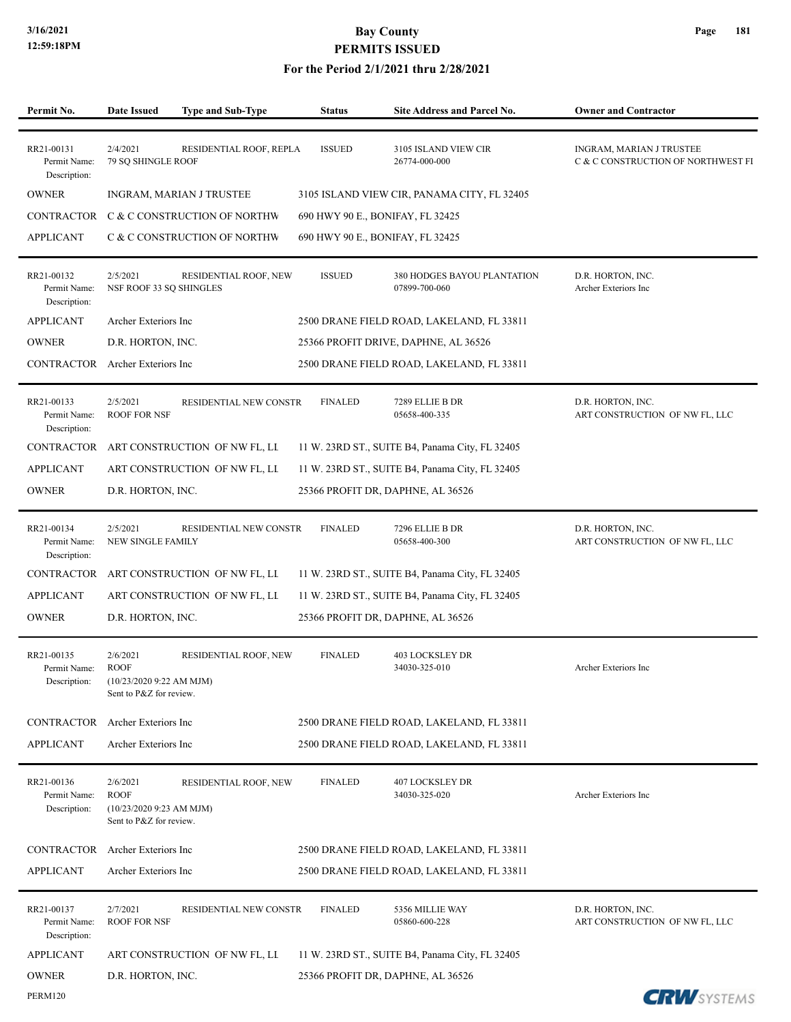PERM120

## **3/16/2021 Bay County PERMITS ISSUED**

| Permit No.                                 | <b>Date Issued</b>                                                              | <b>Type and Sub-Type</b>                 | <b>Status</b>                    | <b>Site Address and Parcel No.</b>              | <b>Owner and Contractor</b>                                    |
|--------------------------------------------|---------------------------------------------------------------------------------|------------------------------------------|----------------------------------|-------------------------------------------------|----------------------------------------------------------------|
|                                            |                                                                                 |                                          |                                  |                                                 |                                                                |
| RR21-00131<br>Permit Name:<br>Description: | 2/4/2021<br>79 SQ SHINGLE ROOF                                                  | RESIDENTIAL ROOF, REPLA                  | <b>ISSUED</b>                    | 3105 ISLAND VIEW CIR<br>26774-000-000           | INGRAM, MARIAN J TRUSTEE<br>C & C CONSTRUCTION OF NORTHWEST FI |
| <b>OWNER</b>                               |                                                                                 | INGRAM, MARIAN J TRUSTEE                 |                                  | 3105 ISLAND VIEW CIR, PANAMA CITY, FL 32405     |                                                                |
| CONTRACTOR                                 |                                                                                 | C & C CONSTRUCTION OF NORTHW             | 690 HWY 90 E., BONIFAY, FL 32425 |                                                 |                                                                |
| <b>APPLICANT</b>                           |                                                                                 | C & C CONSTRUCTION OF NORTHW             | 690 HWY 90 E., BONIFAY, FL 32425 |                                                 |                                                                |
| RR21-00132<br>Permit Name:<br>Description: | 2/5/2021<br>NSF ROOF 33 SQ SHINGLES                                             | RESIDENTIAL ROOF, NEW                    | <b>ISSUED</b>                    | 380 HODGES BAYOU PLANTATION<br>07899-700-060    | D.R. HORTON, INC.<br>Archer Exteriors Inc                      |
| <b>APPLICANT</b>                           | Archer Exteriors Inc                                                            |                                          |                                  | 2500 DRANE FIELD ROAD, LAKELAND, FL 33811       |                                                                |
| <b>OWNER</b>                               | D.R. HORTON, INC.                                                               |                                          |                                  | 25366 PROFIT DRIVE, DAPHNE, AL 36526            |                                                                |
| <b>CONTRACTOR</b>                          | Archer Exteriors Inc                                                            |                                          |                                  | 2500 DRANE FIELD ROAD, LAKELAND, FL 33811       |                                                                |
| RR21-00133<br>Permit Name:<br>Description: | 2/5/2021<br><b>ROOF FOR NSF</b>                                                 | RESIDENTIAL NEW CONSTR                   | <b>FINALED</b>                   | 7289 ELLIE B DR<br>05658-400-335                | D.R. HORTON, INC.<br>ART CONSTRUCTION OF NW FL, LLC            |
|                                            |                                                                                 | CONTRACTOR ART CONSTRUCTION OF NW FL, LL |                                  | 11 W. 23RD ST., SUITE B4, Panama City, FL 32405 |                                                                |
| <b>APPLICANT</b>                           |                                                                                 | ART CONSTRUCTION OF NW FL, LL            |                                  | 11 W. 23RD ST., SUITE B4, Panama City, FL 32405 |                                                                |
| <b>OWNER</b>                               | D.R. HORTON, INC.                                                               |                                          |                                  | 25366 PROFIT DR, DAPHNE, AL 36526               |                                                                |
| RR21-00134<br>Permit Name:<br>Description: | 2/5/2021<br>NEW SINGLE FAMILY                                                   | RESIDENTIAL NEW CONSTR                   | <b>FINALED</b>                   | 7296 ELLIE B DR<br>05658-400-300                | D.R. HORTON, INC.<br>ART CONSTRUCTION OF NW FL, LLC            |
| <b>CONTRACTOR</b>                          |                                                                                 | ART CONSTRUCTION OF NW FL, LL            |                                  | 11 W. 23RD ST., SUITE B4, Panama City, FL 32405 |                                                                |
| <b>APPLICANT</b>                           |                                                                                 | ART CONSTRUCTION OF NW FL, LL            |                                  | 11 W. 23RD ST., SUITE B4, Panama City, FL 32405 |                                                                |
| <b>OWNER</b>                               | D.R. HORTON, INC.                                                               |                                          |                                  | 25366 PROFIT DR, DAPHNE, AL 36526               |                                                                |
| RR21-00135<br>Permit Name:<br>Description: | 2/6/2021<br><b>ROOF</b><br>(10/23/2020 9:22 AM MJM)<br>Sent to P&Z for review.  | RESIDENTIAL ROOF, NEW                    | <b>FINALED</b>                   | <b>403 LOCKSLEY DR</b><br>34030-325-010         | Archer Exteriors Inc                                           |
| CONTRACTOR                                 | Archer Exteriors Inc                                                            |                                          |                                  | 2500 DRANE FIELD ROAD, LAKELAND, FL 33811       |                                                                |
| <b>APPLICANT</b>                           | Archer Exteriors Inc                                                            |                                          |                                  | 2500 DRANE FIELD ROAD, LAKELAND, FL 33811       |                                                                |
| RR21-00136<br>Permit Name:<br>Description: | 2/6/2021<br><b>ROOF</b><br>$(10/23/20209:23$ AM MJM)<br>Sent to P&Z for review. | RESIDENTIAL ROOF, NEW                    | <b>FINALED</b>                   | <b>407 LOCKSLEY DR</b><br>34030-325-020         | Archer Exteriors Inc                                           |
| CONTRACTOR                                 | Archer Exteriors Inc                                                            |                                          |                                  | 2500 DRANE FIELD ROAD, LAKELAND, FL 33811       |                                                                |
| <b>APPLICANT</b>                           | Archer Exteriors Inc                                                            |                                          |                                  | 2500 DRANE FIELD ROAD, LAKELAND, FL 33811       |                                                                |
| RR21-00137<br>Permit Name:<br>Description: | 2/7/2021<br><b>ROOF FOR NSF</b>                                                 | RESIDENTIAL NEW CONSTR                   | <b>FINALED</b>                   | 5356 MILLIE WAY<br>05860-600-228                | D.R. HORTON, INC.<br>ART CONSTRUCTION OF NW FL, LLC            |
| <b>APPLICANT</b>                           |                                                                                 | ART CONSTRUCTION OF NW FL, LL            |                                  | 11 W. 23RD ST., SUITE B4, Panama City, FL 32405 |                                                                |
| <b>OWNER</b>                               | D.R. HORTON, INC.                                                               |                                          |                                  | 25366 PROFIT DR, DAPHNE, AL 36526               |                                                                |

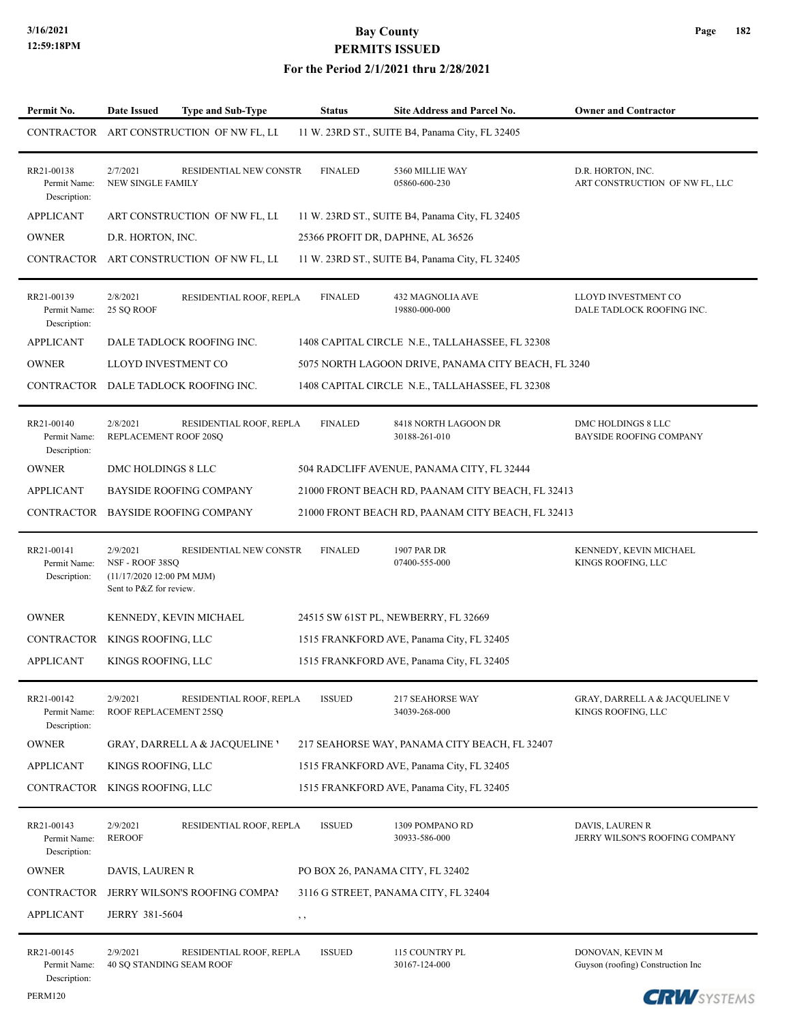### **For the Period 2/1/2021 thru 2/28/2021**

| Permit No.                                 | <b>Date Issued</b><br><b>Type and Sub-Type</b>                                                                | Status         | Site Address and Parcel No.                         | <b>Owner and Contractor</b>                                     |
|--------------------------------------------|---------------------------------------------------------------------------------------------------------------|----------------|-----------------------------------------------------|-----------------------------------------------------------------|
|                                            | CONTRACTOR ART CONSTRUCTION OF NW FL, LL                                                                      |                | 11 W. 23RD ST., SUITE B4, Panama City, FL 32405     |                                                                 |
| RR21-00138<br>Permit Name:<br>Description: | 2/7/2021<br><b>RESIDENTIAL NEW CONSTR</b><br>NEW SINGLE FAMILY                                                | <b>FINALED</b> | 5360 MILLIE WAY<br>05860-600-230                    | D.R. HORTON, INC.<br>ART CONSTRUCTION OF NW FL, LLC             |
| <b>APPLICANT</b>                           | ART CONSTRUCTION OF NW FL, LI                                                                                 |                | 11 W. 23RD ST., SUITE B4, Panama City, FL 32405     |                                                                 |
| <b>OWNER</b>                               | D.R. HORTON, INC.                                                                                             |                | 25366 PROFIT DR, DAPHNE, AL 36526                   |                                                                 |
|                                            | CONTRACTOR ART CONSTRUCTION OF NW FL, LL                                                                      |                | 11 W. 23RD ST., SUITE B4, Panama City, FL 32405     |                                                                 |
| RR21-00139<br>Permit Name:<br>Description: | 2/8/2021<br>RESIDENTIAL ROOF, REPLA<br>25 SQ ROOF                                                             | <b>FINALED</b> | 432 MAGNOLIA AVE<br>19880-000-000                   | LLOYD INVESTMENT CO<br>DALE TADLOCK ROOFING INC.                |
| <b>APPLICANT</b>                           | DALE TADLOCK ROOFING INC.                                                                                     |                | 1408 CAPITAL CIRCLE N.E., TALLAHASSEE, FL 32308     |                                                                 |
| <b>OWNER</b>                               | LLOYD INVESTMENT CO                                                                                           |                | 5075 NORTH LAGOON DRIVE, PANAMA CITY BEACH, FL 3240 |                                                                 |
| CONTRACTOR                                 | DALE TADLOCK ROOFING INC.                                                                                     |                | 1408 CAPITAL CIRCLE N.E., TALLAHASSEE, FL 32308     |                                                                 |
| RR21-00140<br>Permit Name:<br>Description: | 2/8/2021<br>RESIDENTIAL ROOF, REPLA<br>REPLACEMENT ROOF 20SQ                                                  | <b>FINALED</b> | 8418 NORTH LAGOON DR<br>30188-261-010               | DMC HOLDINGS 8 LLC<br>BAYSIDE ROOFING COMPANY                   |
| <b>OWNER</b>                               | DMC HOLDINGS 8 LLC                                                                                            |                | 504 RADCLIFF AVENUE, PANAMA CITY, FL 32444          |                                                                 |
| <b>APPLICANT</b>                           | <b>BAYSIDE ROOFING COMPANY</b>                                                                                |                | 21000 FRONT BEACH RD, PAANAM CITY BEACH, FL 32413   |                                                                 |
| CONTRACTOR                                 | <b>BAYSIDE ROOFING COMPANY</b>                                                                                |                | 21000 FRONT BEACH RD, PAANAM CITY BEACH, FL 32413   |                                                                 |
| RR21-00141<br>Permit Name:<br>Description: | 2/9/2021<br>RESIDENTIAL NEW CONSTR<br>NSF - ROOF 38SQ<br>(11/17/2020 12:00 PM MJM)<br>Sent to P&Z for review. | <b>FINALED</b> | 1907 PAR DR<br>07400-555-000                        | KENNEDY, KEVIN MICHAEL<br>KINGS ROOFING, LLC                    |
| <b>OWNER</b>                               | KENNEDY, KEVIN MICHAEL                                                                                        |                | 24515 SW 61ST PL, NEWBERRY, FL 32669                |                                                                 |
|                                            | CONTRACTOR KINGS ROOFING, LLC                                                                                 |                | 1515 FRANKFORD AVE, Panama City, FL 32405           |                                                                 |
| <b>APPLICANT</b>                           | KINGS ROOFING, LLC                                                                                            |                | 1515 FRANKFORD AVE, Panama City, FL 32405           |                                                                 |
| RR21-00142<br>Permit Name:<br>Description: | 2/9/2021<br>RESIDENTIAL ROOF, REPLA<br>ROOF REPLACEMENT 25SQ                                                  | <b>ISSUED</b>  | <b>217 SEAHORSE WAY</b><br>34039-268-000            | <b>GRAY, DARRELL A &amp; JACQUELINE V</b><br>KINGS ROOFING, LLC |
| <b>OWNER</b>                               | <b>GRAY, DARRELL A &amp; JACOUELINE '</b>                                                                     |                | 217 SEAHORSE WAY, PANAMA CITY BEACH, FL 32407       |                                                                 |
| <b>APPLICANT</b>                           | KINGS ROOFING, LLC                                                                                            |                | 1515 FRANKFORD AVE, Panama City, FL 32405           |                                                                 |
|                                            | CONTRACTOR KINGS ROOFING, LLC                                                                                 |                | 1515 FRANKFORD AVE, Panama City, FL 32405           |                                                                 |
| RR21-00143<br>Permit Name:<br>Description: | 2/9/2021<br>RESIDENTIAL ROOF, REPLA<br><b>REROOF</b>                                                          | <b>ISSUED</b>  | 1309 POMPANO RD<br>30933-586-000                    | DAVIS, LAUREN R<br>JERRY WILSON'S ROOFING COMPANY               |
| <b>OWNER</b>                               | DAVIS, LAUREN R                                                                                               |                | PO BOX 26, PANAMA CITY, FL 32402                    |                                                                 |
| CONTRACTOR                                 | JERRY WILSON'S ROOFING COMPAI                                                                                 |                | 3116 G STREET, PANAMA CITY, FL 32404                |                                                                 |
| <b>APPLICANT</b>                           | JERRY 381-5604                                                                                                | , ,            |                                                     |                                                                 |
| RR21-00145<br>Permit Name:<br>Description: | 2/9/2021<br>RESIDENTIAL ROOF, REPLA<br>40 SQ STANDING SEAM ROOF                                               | <b>ISSUED</b>  | 115 COUNTRY PL<br>30167-124-000                     | DONOVAN, KEVIN M<br>Guyson (roofing) Construction Inc           |

**CRW**SYSTEMS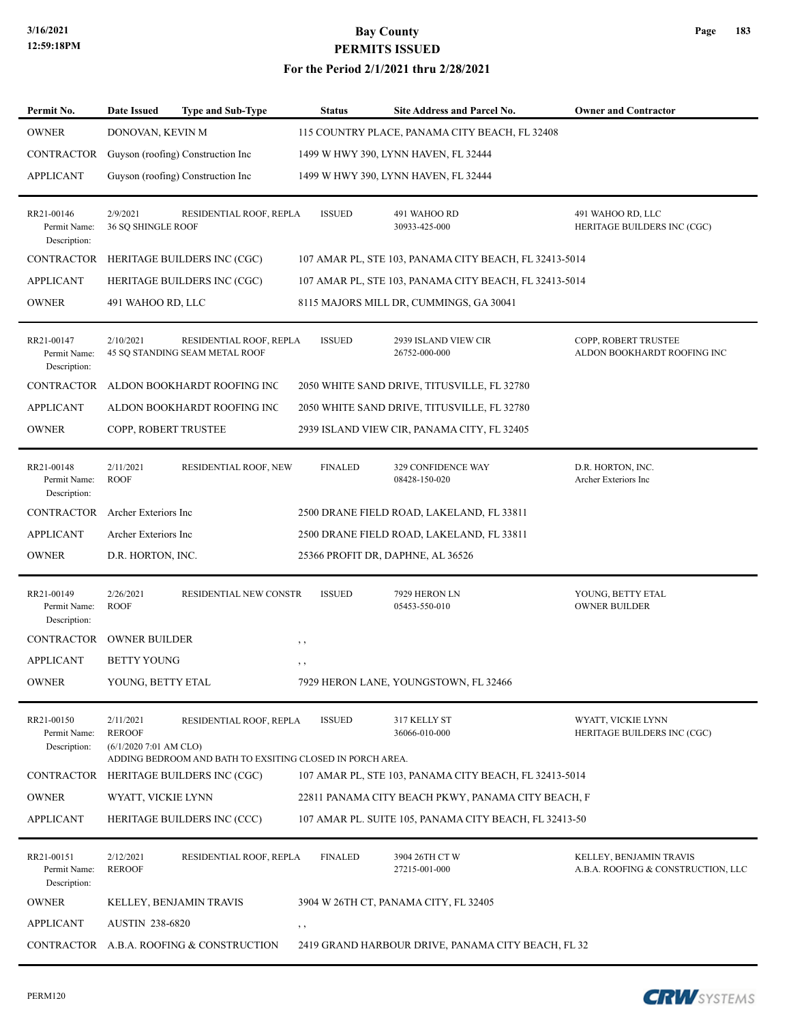| Permit No.                                 | <b>Date Issued</b>                                   | <b>Type and Sub-Type</b>                                                             | <b>Status</b>  | Site Address and Parcel No.                            | <b>Owner and Contractor</b>                                   |
|--------------------------------------------|------------------------------------------------------|--------------------------------------------------------------------------------------|----------------|--------------------------------------------------------|---------------------------------------------------------------|
| <b>OWNER</b>                               | DONOVAN, KEVIN M                                     |                                                                                      |                | 115 COUNTRY PLACE, PANAMA CITY BEACH, FL 32408         |                                                               |
| CONTRACTOR                                 |                                                      | Guyson (roofing) Construction Inc                                                    |                | 1499 W HWY 390, LYNN HAVEN, FL 32444                   |                                                               |
| <b>APPLICANT</b>                           |                                                      | Guyson (roofing) Construction Inc                                                    |                | 1499 W HWY 390, LYNN HAVEN, FL 32444                   |                                                               |
| RR21-00146<br>Permit Name:<br>Description: | 2/9/2021<br>36 SQ SHINGLE ROOF                       | RESIDENTIAL ROOF, REPLA                                                              | <b>ISSUED</b>  | 491 WAHOO RD<br>30933-425-000                          | 491 WAHOO RD, LLC<br>HERITAGE BUILDERS INC (CGC)              |
| <b>CONTRACTOR</b>                          |                                                      | HERITAGE BUILDERS INC (CGC)                                                          |                | 107 AMAR PL, STE 103, PANAMA CITY BEACH, FL 32413-5014 |                                                               |
| <b>APPLICANT</b>                           |                                                      | HERITAGE BUILDERS INC (CGC)                                                          |                | 107 AMAR PL, STE 103, PANAMA CITY BEACH, FL 32413-5014 |                                                               |
| <b>OWNER</b>                               | 491 WAHOO RD, LLC                                    |                                                                                      |                | 8115 MAJORS MILL DR, CUMMINGS, GA 30041                |                                                               |
| RR21-00147<br>Permit Name:<br>Description: | 2/10/2021                                            | RESIDENTIAL ROOF, REPLA<br>45 SQ STANDING SEAM METAL ROOF                            | <b>ISSUED</b>  | 2939 ISLAND VIEW CIR<br>26752-000-000                  | COPP, ROBERT TRUSTEE<br>ALDON BOOKHARDT ROOFING INC           |
| CONTRACTOR                                 |                                                      | ALDON BOOKHARDT ROOFING INC                                                          |                | 2050 WHITE SAND DRIVE, TITUSVILLE, FL 32780            |                                                               |
| <b>APPLICANT</b>                           |                                                      | ALDON BOOKHARDT ROOFING INC                                                          |                | 2050 WHITE SAND DRIVE, TITUSVILLE, FL 32780            |                                                               |
| <b>OWNER</b>                               | COPP, ROBERT TRUSTEE                                 |                                                                                      |                | 2939 ISLAND VIEW CIR, PANAMA CITY, FL 32405            |                                                               |
| RR21-00148<br>Permit Name:<br>Description: | 2/11/2021<br><b>ROOF</b>                             | RESIDENTIAL ROOF, NEW                                                                | <b>FINALED</b> | 329 CONFIDENCE WAY<br>08428-150-020                    | D.R. HORTON, INC.<br>Archer Exteriors Inc                     |
| CONTRACTOR Archer Exteriors Inc            |                                                      |                                                                                      |                | 2500 DRANE FIELD ROAD, LAKELAND, FL 33811              |                                                               |
| <b>APPLICANT</b>                           | Archer Exteriors Inc                                 |                                                                                      |                | 2500 DRANE FIELD ROAD, LAKELAND, FL 33811              |                                                               |
| <b>OWNER</b>                               | D.R. HORTON, INC.                                    |                                                                                      |                | 25366 PROFIT DR, DAPHNE, AL 36526                      |                                                               |
| RR21-00149<br>Permit Name:<br>Description: | 2/26/2021<br><b>ROOF</b>                             | RESIDENTIAL NEW CONSTR                                                               | <b>ISSUED</b>  | 7929 HERON LN<br>05453-550-010                         | YOUNG, BETTY ETAL<br><b>OWNER BUILDER</b>                     |
| CONTRACTOR                                 | <b>OWNER BUILDER</b>                                 |                                                                                      | $, \, \cdot$   |                                                        |                                                               |
| APPLICANT                                  | <b>BETTY YOUNG</b>                                   |                                                                                      | $, \, ,$       |                                                        |                                                               |
| <b>OWNER</b>                               | YOUNG, BETTY ETAL                                    |                                                                                      |                | 7929 HERON LANE, YOUNGSTOWN, FL 32466                  |                                                               |
| RR21-00150<br>Permit Name:<br>Description: | 2/11/2021<br><b>REROOF</b><br>(6/1/2020 7:01 AM CLO) | RESIDENTIAL ROOF, REPLA<br>ADDING BEDROOM AND BATH TO EXSITING CLOSED IN PORCH AREA. | <b>ISSUED</b>  | 317 KELLY ST<br>36066-010-000                          | WYATT, VICKIE LYNN<br>HERITAGE BUILDERS INC (CGC)             |
|                                            |                                                      | CONTRACTOR HERITAGE BUILDERS INC (CGC)                                               |                | 107 AMAR PL, STE 103, PANAMA CITY BEACH, FL 32413-5014 |                                                               |
| <b>OWNER</b>                               | WYATT, VICKIE LYNN                                   |                                                                                      |                | 22811 PANAMA CITY BEACH PKWY, PANAMA CITY BEACH, F     |                                                               |
| APPLICANT                                  |                                                      | HERITAGE BUILDERS INC (CCC)                                                          |                | 107 AMAR PL. SUITE 105, PANAMA CITY BEACH, FL 32413-50 |                                                               |
| RR21-00151<br>Permit Name:<br>Description: | 2/12/2021<br><b>REROOF</b>                           | RESIDENTIAL ROOF, REPLA                                                              | <b>FINALED</b> | 3904 26TH CT W<br>27215-001-000                        | KELLEY, BENJAMIN TRAVIS<br>A.B.A. ROOFING & CONSTRUCTION, LLC |
| <b>OWNER</b>                               |                                                      | KELLEY, BENJAMIN TRAVIS                                                              |                | 3904 W 26TH CT, PANAMA CITY, FL 32405                  |                                                               |
| <b>APPLICANT</b>                           | <b>AUSTIN 238-6820</b>                               |                                                                                      | $, \, \,$      |                                                        |                                                               |
|                                            |                                                      | CONTRACTOR A.B.A. ROOFING & CONSTRUCTION                                             |                | 2419 GRAND HARBOUR DRIVE, PANAMA CITY BEACH, FL 32     |                                                               |

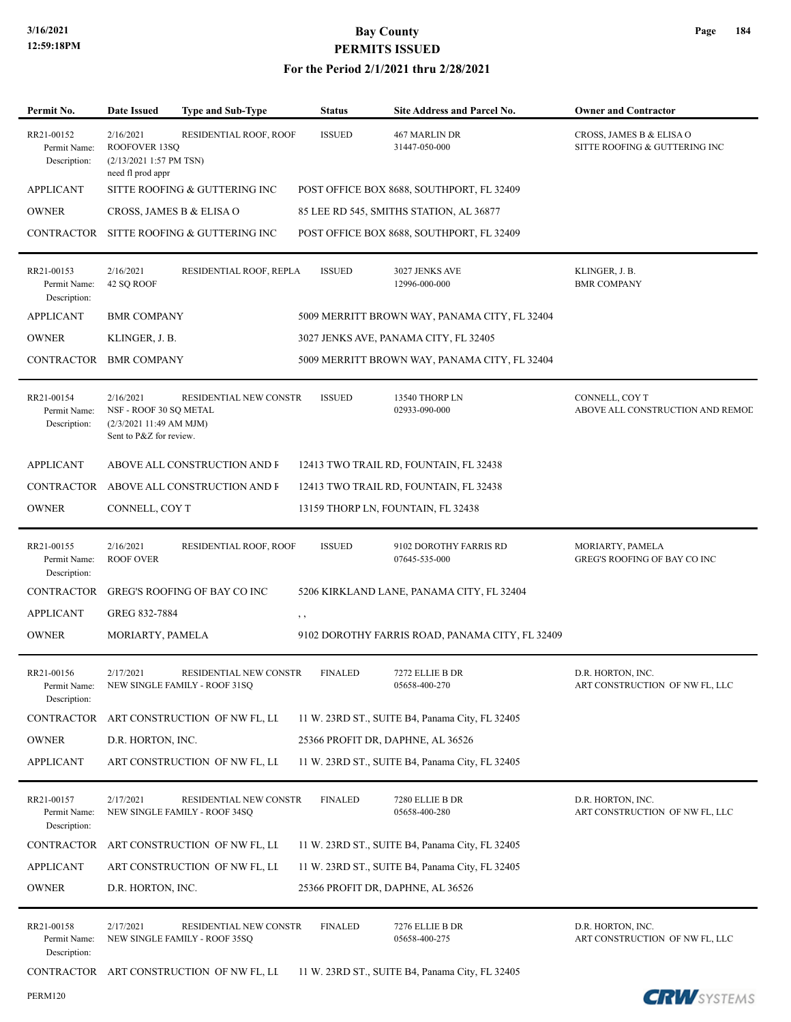| Permit No.                                 | <b>Date Issued</b>                                                                        | <b>Type and Sub-Type</b>                                | <b>Status</b>  | Site Address and Parcel No.                     | <b>Owner and Contractor</b>                               |
|--------------------------------------------|-------------------------------------------------------------------------------------------|---------------------------------------------------------|----------------|-------------------------------------------------|-----------------------------------------------------------|
| RR21-00152<br>Permit Name:<br>Description: | 2/16/2021<br>ROOFOVER 13SO<br>(2/13/2021 1:57 PM TSN)<br>need fl prod appr                | RESIDENTIAL ROOF, ROOF                                  | <b>ISSUED</b>  | 467 MARLIN DR<br>31447-050-000                  | CROSS, JAMES B & ELISA O<br>SITTE ROOFING & GUTTERING INC |
| <b>APPLICANT</b>                           |                                                                                           | SITTE ROOFING & GUTTERING INC                           |                | POST OFFICE BOX 8688, SOUTHPORT, FL 32409       |                                                           |
| <b>OWNER</b>                               |                                                                                           | CROSS, JAMES B & ELISA O                                |                | 85 LEE RD 545, SMITHS STATION, AL 36877         |                                                           |
| CONTRACTOR                                 |                                                                                           | SITTE ROOFING & GUTTERING INC                           |                | POST OFFICE BOX 8688, SOUTHPORT, FL 32409       |                                                           |
| RR21-00153<br>Permit Name:<br>Description: | 2/16/2021<br>42 SQ ROOF                                                                   | RESIDENTIAL ROOF, REPLA                                 | <b>ISSUED</b>  | 3027 JENKS AVE<br>12996-000-000                 | KLINGER, J. B.<br><b>BMR COMPANY</b>                      |
| <b>APPLICANT</b>                           | <b>BMR COMPANY</b>                                                                        |                                                         |                | 5009 MERRITT BROWN WAY, PANAMA CITY, FL 32404   |                                                           |
| <b>OWNER</b>                               | KLINGER, J. B.                                                                            |                                                         |                | 3027 JENKS AVE, PANAMA CITY, FL 32405           |                                                           |
| CONTRACTOR                                 | <b>BMR COMPANY</b>                                                                        |                                                         |                | 5009 MERRITT BROWN WAY, PANAMA CITY, FL 32404   |                                                           |
| RR21-00154<br>Permit Name:<br>Description: | 2/16/2021<br>NSF - ROOF 30 SQ METAL<br>(2/3/2021 11:49 AM MJM)<br>Sent to P&Z for review. | RESIDENTIAL NEW CONSTR                                  | <b>ISSUED</b>  | 13540 THORP LN<br>02933-090-000                 | CONNELL, COY T<br>ABOVE ALL CONSTRUCTION AND REMOD        |
| <b>APPLICANT</b>                           |                                                                                           | ABOVE ALL CONSTRUCTION AND F                            |                | 12413 TWO TRAIL RD, FOUNTAIN, FL 32438          |                                                           |
| CONTRACTOR                                 |                                                                                           | ABOVE ALL CONSTRUCTION AND F                            |                | 12413 TWO TRAIL RD, FOUNTAIN, FL 32438          |                                                           |
| <b>OWNER</b>                               | CONNELL, COY T                                                                            |                                                         |                | 13159 THORP LN, FOUNTAIN, FL 32438              |                                                           |
| RR21-00155<br>Permit Name:<br>Description: | 2/16/2021<br><b>ROOF OVER</b>                                                             | RESIDENTIAL ROOF, ROOF                                  | <b>ISSUED</b>  | 9102 DOROTHY FARRIS RD<br>07645-535-000         | MORIARTY, PAMELA<br>GREG'S ROOFING OF BAY CO INC          |
| CONTRACTOR                                 |                                                                                           | <b>GREG'S ROOFING OF BAY CO INC</b>                     |                | 5206 KIRKLAND LANE, PANAMA CITY, FL 32404       |                                                           |
| <b>APPLICANT</b>                           | GREG 832-7884                                                                             |                                                         | , ,            |                                                 |                                                           |
| <b>OWNER</b>                               | MORIARTY, PAMELA                                                                          |                                                         |                | 9102 DOROTHY FARRIS ROAD, PANAMA CITY, FL 32409 |                                                           |
| RR21-00156<br>Permit Name:<br>Description: | 2/17/2021                                                                                 | RESIDENTIAL NEW CONSTR<br>NEW SINGLE FAMILY - ROOF 31SQ | <b>FINALED</b> | 7272 ELLIE B DR<br>05658-400-270                | D.R. HORTON, INC.<br>ART CONSTRUCTION OF NW FL, LLC       |
| CONTRACTOR                                 |                                                                                           | ART CONSTRUCTION OF NW FL, LI                           |                | 11 W. 23RD ST., SUITE B4, Panama City, FL 32405 |                                                           |
| <b>OWNER</b>                               | D.R. HORTON, INC.                                                                         |                                                         |                | 25366 PROFIT DR, DAPHNE, AL 36526               |                                                           |
| <b>APPLICANT</b>                           |                                                                                           | ART CONSTRUCTION OF NW FL, LI                           |                | 11 W. 23RD ST., SUITE B4, Panama City, FL 32405 |                                                           |
| RR21-00157<br>Permit Name:<br>Description: | 2/17/2021                                                                                 | RESIDENTIAL NEW CONSTR<br>NEW SINGLE FAMILY - ROOF 34SQ | <b>FINALED</b> | 7280 ELLIE B DR<br>05658-400-280                | D.R. HORTON, INC.<br>ART CONSTRUCTION OF NW FL, LLC       |
| CONTRACTOR                                 |                                                                                           | ART CONSTRUCTION OF NW FL, LI                           |                | 11 W. 23RD ST., SUITE B4, Panama City, FL 32405 |                                                           |
| <b>APPLICANT</b>                           |                                                                                           | ART CONSTRUCTION OF NW FL, LI                           |                | 11 W. 23RD ST., SUITE B4, Panama City, FL 32405 |                                                           |
| <b>OWNER</b>                               | D.R. HORTON, INC.                                                                         |                                                         |                | 25366 PROFIT DR, DAPHNE, AL 36526               |                                                           |
| RR21-00158<br>Permit Name:<br>Description: | 2/17/2021                                                                                 | RESIDENTIAL NEW CONSTR<br>NEW SINGLE FAMILY - ROOF 35SQ | <b>FINALED</b> | 7276 ELLIE B DR<br>05658-400-275                | D.R. HORTON, INC.<br>ART CONSTRUCTION OF NW FL, LLC       |
|                                            |                                                                                           | CONTRACTOR ART CONSTRUCTION OF NW FL, LL                |                | 11 W. 23RD ST., SUITE B4, Panama City, FL 32405 |                                                           |

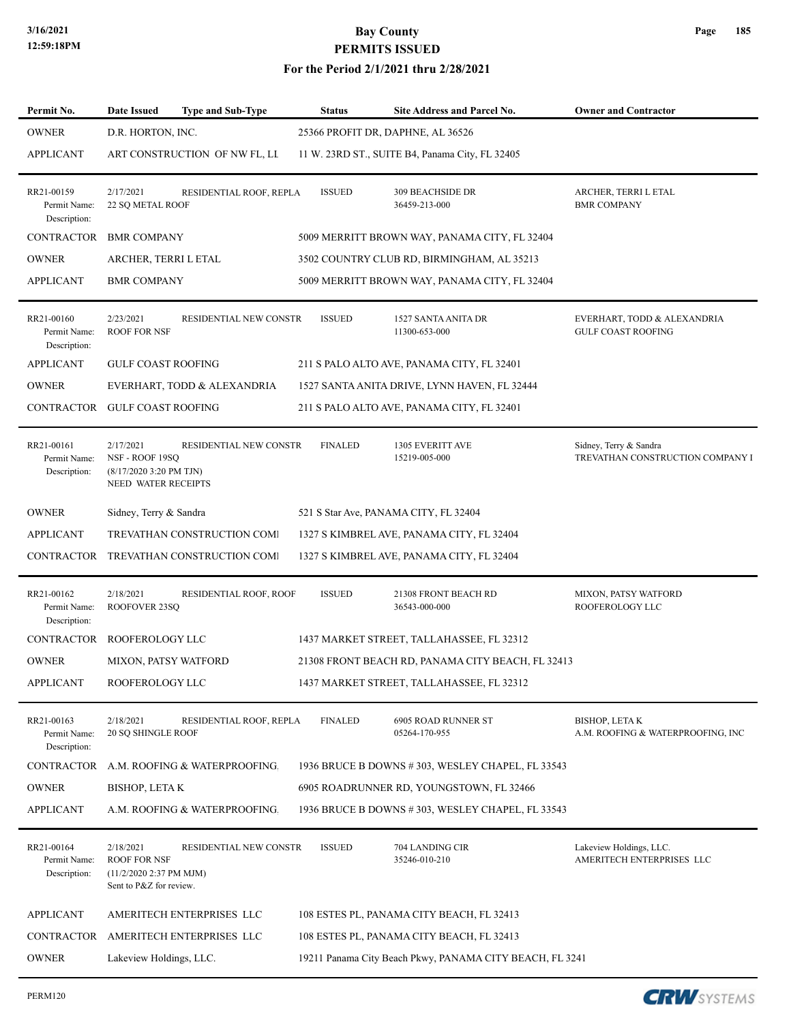| Page | 185 |
|------|-----|
|------|-----|

| Permit No.                                 | <b>Date Issued</b>                                                                     | <b>Type and Sub-Type</b>               | <b>Status</b>  | Site Address and Parcel No.                              | <b>Owner and Contractor</b>                                |
|--------------------------------------------|----------------------------------------------------------------------------------------|----------------------------------------|----------------|----------------------------------------------------------|------------------------------------------------------------|
| <b>OWNER</b>                               | D.R. HORTON, INC.                                                                      |                                        |                | 25366 PROFIT DR, DAPHNE, AL 36526                        |                                                            |
| <b>APPLICANT</b>                           |                                                                                        | ART CONSTRUCTION OF NW FL, LI          |                | 11 W. 23RD ST., SUITE B4, Panama City, FL 32405          |                                                            |
| RR21-00159<br>Permit Name:<br>Description: | 2/17/2021<br>22 SQ METAL ROOF                                                          | RESIDENTIAL ROOF, REPLA                | <b>ISSUED</b>  | <b>309 BEACHSIDE DR</b><br>36459-213-000                 | ARCHER, TERRI L ETAL<br><b>BMR COMPANY</b>                 |
| CONTRACTOR                                 | <b>BMR COMPANY</b>                                                                     |                                        |                | 5009 MERRITT BROWN WAY, PANAMA CITY, FL 32404            |                                                            |
| <b>OWNER</b>                               | ARCHER, TERRI L ETAL                                                                   |                                        |                | 3502 COUNTRY CLUB RD, BIRMINGHAM, AL 35213               |                                                            |
| <b>APPLICANT</b>                           | <b>BMR COMPANY</b>                                                                     |                                        |                | 5009 MERRITT BROWN WAY, PANAMA CITY, FL 32404            |                                                            |
| RR21-00160<br>Permit Name:<br>Description: | 2/23/2021<br><b>ROOF FOR NSF</b>                                                       | RESIDENTIAL NEW CONSTR                 | <b>ISSUED</b>  | 1527 SANTA ANITA DR<br>11300-653-000                     | EVERHART, TODD & ALEXANDRIA<br><b>GULF COAST ROOFING</b>   |
| <b>APPLICANT</b>                           | <b>GULF COAST ROOFING</b>                                                              |                                        |                | 211 S PALO ALTO AVE, PANAMA CITY, FL 32401               |                                                            |
| <b>OWNER</b>                               |                                                                                        | EVERHART, TODD & ALEXANDRIA            |                | 1527 SANTA ANITA DRIVE, LYNN HAVEN, FL 32444             |                                                            |
| CONTRACTOR GULF COAST ROOFING              |                                                                                        |                                        |                | 211 S PALO ALTO AVE, PANAMA CITY, FL 32401               |                                                            |
| RR21-00161<br>Permit Name:<br>Description: | 2/17/2021<br>NSF - ROOF 19SQ<br>$(8/17/20203:20$ PM TJN)<br>NEED WATER RECEIPTS        | RESIDENTIAL NEW CONSTR                 | <b>FINALED</b> | 1305 EVERITT AVE<br>15219-005-000                        | Sidney, Terry & Sandra<br>TREVATHAN CONSTRUCTION COMPANY I |
| <b>OWNER</b>                               | Sidney, Terry & Sandra                                                                 |                                        |                | 521 S Star Ave, PANAMA CITY, FL 32404                    |                                                            |
| APPLICANT                                  |                                                                                        | TREVATHAN CONSTRUCTION COMI            |                | 1327 S KIMBREL AVE, PANAMA CITY, FL 32404                |                                                            |
|                                            |                                                                                        | CONTRACTOR TREVATHAN CONSTRUCTION COMI |                | 1327 S KIMBREL AVE, PANAMA CITY, FL 32404                |                                                            |
| RR21-00162<br>Permit Name:<br>Description: | 2/18/2021<br>ROOFOVER 23SO                                                             | RESIDENTIAL ROOF, ROOF                 | <b>ISSUED</b>  | 21308 FRONT BEACH RD<br>36543-000-000                    | MIXON, PATSY WATFORD<br>ROOFEROLOGY LLC                    |
| <b>CONTRACTOR</b>                          | ROOFEROLOGY LLC                                                                        |                                        |                | 1437 MARKET STREET, TALLAHASSEE, FL 32312                |                                                            |
| <b>OWNER</b>                               | <b>MIXON, PATSY WATFORD</b>                                                            |                                        |                | 21308 FRONT BEACH RD, PANAMA CITY BEACH, FL 32413        |                                                            |
| <b>APPLICANT</b>                           | ROOFEROLOGY LLC                                                                        |                                        |                | 1437 MARKET STREET, TALLAHASSEE, FL 32312                |                                                            |
| RR21-00163<br>Permit Name:<br>Description: | 2/18/2021<br><b>20 SQ SHINGLE ROOF</b>                                                 | RESIDENTIAL ROOF, REPLA                | <b>FINALED</b> | 6905 ROAD RUNNER ST<br>05264-170-955                     | BISHOP, LETA K<br>A.M. ROOFING & WATERPROOFING, INC        |
| CONTRACTOR                                 |                                                                                        | A.M. ROOFING & WATERPROOFING.          |                | 1936 BRUCE B DOWNS #303, WESLEY CHAPEL, FL 33543         |                                                            |
| <b>OWNER</b>                               | <b>BISHOP, LETAK</b>                                                                   |                                        |                | 6905 ROADRUNNER RD, YOUNGSTOWN, FL 32466                 |                                                            |
| <b>APPLICANT</b>                           |                                                                                        | A.M. ROOFING & WATERPROOFING.          |                | 1936 BRUCE B DOWNS #303, WESLEY CHAPEL, FL 33543         |                                                            |
| RR21-00164<br>Permit Name:<br>Description: | 2/18/2021<br><b>ROOF FOR NSF</b><br>(11/2/2020 2:37 PM MJM)<br>Sent to P&Z for review. | RESIDENTIAL NEW CONSTR                 | <b>ISSUED</b>  | 704 LANDING CIR<br>35246-010-210                         | Lakeview Holdings, LLC.<br>AMERITECH ENTERPRISES LLC       |
| <b>APPLICANT</b>                           |                                                                                        | AMERITECH ENTERPRISES LLC              |                | 108 ESTES PL, PANAMA CITY BEACH, FL 32413                |                                                            |
|                                            |                                                                                        | CONTRACTOR AMERITECH ENTERPRISES LLC   |                | 108 ESTES PL, PANAMA CITY BEACH, FL 32413                |                                                            |
| <b>OWNER</b>                               | Lakeview Holdings, LLC.                                                                |                                        |                | 19211 Panama City Beach Pkwy, PANAMA CITY BEACH, FL 3241 |                                                            |

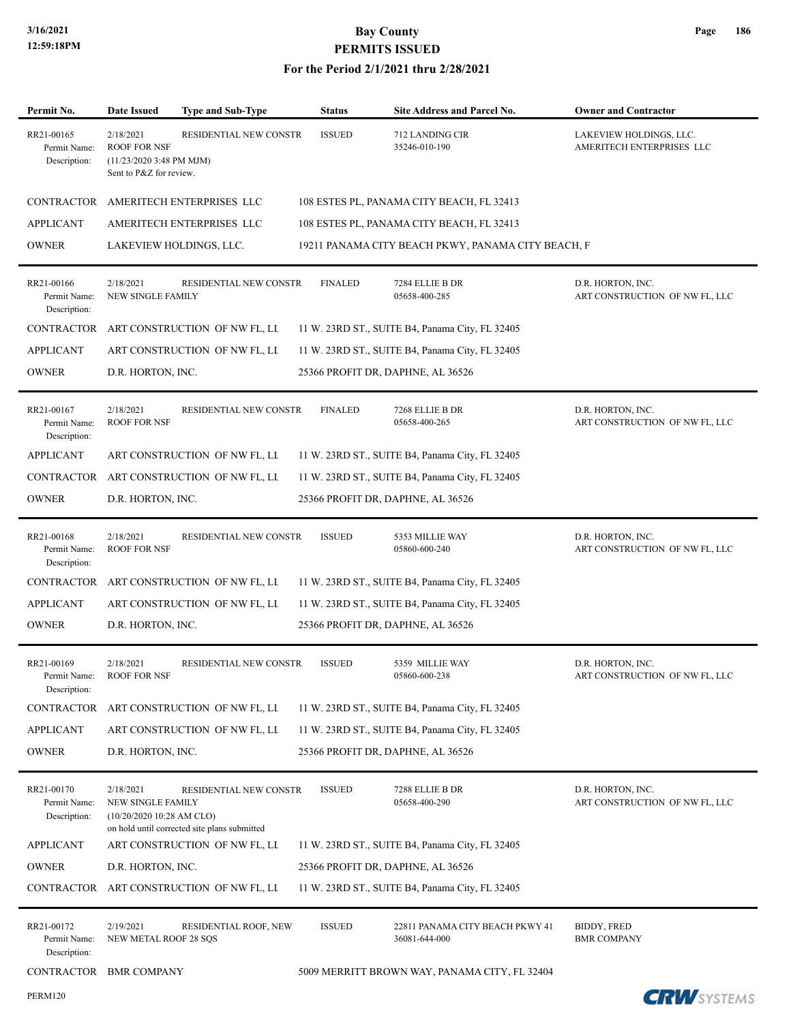### **For the Period 2/1/2021 thru 2/28/2021**

| Permit No.                                 | <b>Date Issued</b>                                                                                                                                                              | <b>Type and Sub-Type</b>                                               | <b>Status</b>                                        | Site Address and Parcel No.                        | <b>Owner and Contractor</b>                         |
|--------------------------------------------|---------------------------------------------------------------------------------------------------------------------------------------------------------------------------------|------------------------------------------------------------------------|------------------------------------------------------|----------------------------------------------------|-----------------------------------------------------|
| RR21-00165<br>Permit Name:<br>Description: | <b>ISSUED</b><br>2/18/2021<br>RESIDENTIAL NEW CONSTR<br>712 LANDING CIR<br><b>ROOF FOR NSF</b><br>35246-010-190<br>$(11/23/20203:48 \text{ PM MJM})$<br>Sent to P&Z for review. |                                                                        | LAKEVIEW HOLDINGS, LLC.<br>AMERITECH ENTERPRISES LLC |                                                    |                                                     |
| CONTRACTOR                                 |                                                                                                                                                                                 | AMERITECH ENTERPRISES LLC                                              |                                                      | 108 ESTES PL, PANAMA CITY BEACH, FL 32413          |                                                     |
| <b>APPLICANT</b>                           |                                                                                                                                                                                 | AMERITECH ENTERPRISES LLC                                              |                                                      | 108 ESTES PL, PANAMA CITY BEACH, FL 32413          |                                                     |
| <b>OWNER</b>                               |                                                                                                                                                                                 | LAKEVIEW HOLDINGS, LLC.                                                |                                                      | 19211 PANAMA CITY BEACH PKWY, PANAMA CITY BEACH, F |                                                     |
| RR21-00166<br>Permit Name:<br>Description: | 2/18/2021<br>NEW SINGLE FAMILY                                                                                                                                                  | RESIDENTIAL NEW CONSTR                                                 | <b>FINALED</b>                                       | 7284 ELLIE B DR<br>05658-400-285                   | D.R. HORTON, INC.<br>ART CONSTRUCTION OF NW FL, LLC |
| CONTRACTOR                                 |                                                                                                                                                                                 | ART CONSTRUCTION OF NW FL, LI                                          |                                                      | 11 W. 23RD ST., SUITE B4, Panama City, FL 32405    |                                                     |
| <b>APPLICANT</b>                           |                                                                                                                                                                                 | ART CONSTRUCTION OF NW FL, LI                                          |                                                      | 11 W. 23RD ST., SUITE B4, Panama City, FL 32405    |                                                     |
| <b>OWNER</b>                               | D.R. HORTON, INC.                                                                                                                                                               |                                                                        |                                                      | 25366 PROFIT DR, DAPHNE, AL 36526                  |                                                     |
| RR21-00167<br>Permit Name:<br>Description: | 2/18/2021<br><b>ROOF FOR NSF</b>                                                                                                                                                | RESIDENTIAL NEW CONSTR                                                 | <b>FINALED</b>                                       | 7268 ELLIE B DR<br>05658-400-265                   | D.R. HORTON, INC.<br>ART CONSTRUCTION OF NW FL, LLC |
| <b>APPLICANT</b>                           |                                                                                                                                                                                 | ART CONSTRUCTION OF NW FL, LI                                          |                                                      | 11 W. 23RD ST., SUITE B4, Panama City, FL 32405    |                                                     |
| <b>CONTRACTOR</b>                          |                                                                                                                                                                                 | ART CONSTRUCTION OF NW FL, LI                                          |                                                      | 11 W. 23RD ST., SUITE B4, Panama City, FL 32405    |                                                     |
| <b>OWNER</b>                               | D.R. HORTON, INC.                                                                                                                                                               |                                                                        |                                                      | 25366 PROFIT DR, DAPHNE, AL 36526                  |                                                     |
| RR21-00168<br>Permit Name:<br>Description: | 2/18/2021<br><b>ROOF FOR NSF</b>                                                                                                                                                | RESIDENTIAL NEW CONSTR                                                 | <b>ISSUED</b>                                        | 5353 MILLIE WAY<br>05860-600-240                   | D.R. HORTON, INC.<br>ART CONSTRUCTION OF NW FL, LLC |
| CONTRACTOR                                 |                                                                                                                                                                                 | ART CONSTRUCTION OF NW FL, LI                                          |                                                      | 11 W. 23RD ST., SUITE B4, Panama City, FL 32405    |                                                     |
| <b>APPLICANT</b>                           |                                                                                                                                                                                 | ART CONSTRUCTION OF NW FL, LI                                          |                                                      | 11 W. 23RD ST., SUITE B4, Panama City, FL 32405    |                                                     |
| <b>OWNER</b>                               | D.R. HORTON, INC.                                                                                                                                                               |                                                                        |                                                      | 25366 PROFIT DR, DAPHNE, AL 36526                  |                                                     |
| RR21-00169<br>Permit Name:<br>Description: | 2/18/2021<br><b>ROOF FOR NSF</b>                                                                                                                                                | RESIDENTIAL NEW CONSTR                                                 | <b>ISSUED</b>                                        | 5359 MILLIE WAY<br>05860-600-238                   | D.R. HORTON, INC.<br>ART CONSTRUCTION OF NW FL, LLC |
| CONTRACTOR                                 |                                                                                                                                                                                 | ART CONSTRUCTION OF NW FL, LI                                          |                                                      | 11 W. 23RD ST., SUITE B4, Panama City, FL 32405    |                                                     |
| <b>APPLICANT</b>                           |                                                                                                                                                                                 | ART CONSTRUCTION OF NW FL, LL                                          |                                                      | 11 W. 23RD ST., SUITE B4, Panama City, FL 32405    |                                                     |
| <b>OWNER</b>                               | D.R. HORTON, INC.                                                                                                                                                               |                                                                        |                                                      | 25366 PROFIT DR, DAPHNE, AL 36526                  |                                                     |
| RR21-00170<br>Permit Name:<br>Description: | 2/18/2021<br>NEW SINGLE FAMILY<br>(10/20/2020 10:28 AM CLO)                                                                                                                     | RESIDENTIAL NEW CONSTR<br>on hold until corrected site plans submitted | <b>ISSUED</b>                                        | 7288 ELLIE B DR<br>05658-400-290                   | D.R. HORTON, INC.<br>ART CONSTRUCTION OF NW FL, LLC |
| <b>APPLICANT</b>                           |                                                                                                                                                                                 | ART CONSTRUCTION OF NW FL, LI                                          |                                                      | 11 W. 23RD ST., SUITE B4, Panama City, FL 32405    |                                                     |
| <b>OWNER</b>                               | D.R. HORTON, INC.                                                                                                                                                               |                                                                        |                                                      | 25366 PROFIT DR, DAPHNE, AL 36526                  |                                                     |
| CONTRACTOR                                 |                                                                                                                                                                                 | ART CONSTRUCTION OF NW FL, LI                                          |                                                      | 11 W. 23RD ST., SUITE B4, Panama City, FL 32405    |                                                     |
| RR21-00172<br>Permit Name:<br>Description: | 2/19/2021<br>NEW METAL ROOF 28 SQS                                                                                                                                              | RESIDENTIAL ROOF, NEW                                                  | <b>ISSUED</b>                                        | 22811 PANAMA CITY BEACH PKWY 41<br>36081-644-000   | BIDDY, FRED<br><b>BMR COMPANY</b>                   |
| CONTRACTOR BMR COMPANY                     |                                                                                                                                                                                 |                                                                        |                                                      | 5009 MERRITT BROWN WAY, PANAMA CITY, FL 32404      |                                                     |
| <b>PERM120</b>                             |                                                                                                                                                                                 |                                                                        |                                                      |                                                    | <b>CRW</b> SYSTEMS                                  |

**Page 186**

**CRW** SYSTEMS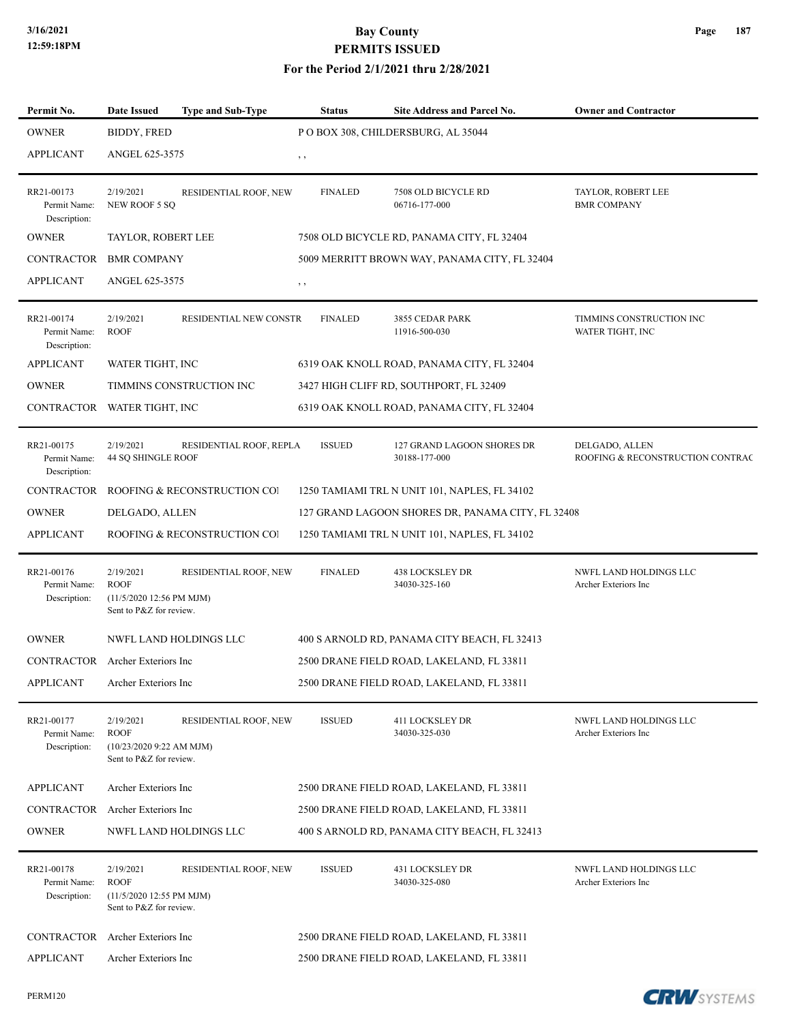| Permit No.                                 | <b>Date Issued</b>                                                              | <b>Type and Sub-Type</b>     | <b>Status</b>  | Site Address and Parcel No.                       | <b>Owner and Contractor</b>                        |
|--------------------------------------------|---------------------------------------------------------------------------------|------------------------------|----------------|---------------------------------------------------|----------------------------------------------------|
| <b>OWNER</b>                               | BIDDY, FRED                                                                     |                              |                | PO BOX 308, CHILDERSBURG, AL 35044                |                                                    |
| <b>APPLICANT</b>                           | ANGEL 625-3575                                                                  |                              | , ,            |                                                   |                                                    |
| RR21-00173<br>Permit Name:<br>Description: | 2/19/2021<br>NEW ROOF 5 SQ                                                      | RESIDENTIAL ROOF, NEW        | <b>FINALED</b> | 7508 OLD BICYCLE RD<br>06716-177-000              | TAYLOR, ROBERT LEE<br><b>BMR COMPANY</b>           |
| <b>OWNER</b>                               | TAYLOR, ROBERT LEE                                                              |                              |                | 7508 OLD BICYCLE RD, PANAMA CITY, FL 32404        |                                                    |
| CONTRACTOR                                 | <b>BMR COMPANY</b>                                                              |                              |                | 5009 MERRITT BROWN WAY, PANAMA CITY, FL 32404     |                                                    |
| <b>APPLICANT</b>                           | ANGEL 625-3575                                                                  |                              | $, \, , \,$    |                                                   |                                                    |
| RR21-00174<br>Permit Name:<br>Description: | 2/19/2021<br><b>ROOF</b>                                                        | RESIDENTIAL NEW CONSTR       | <b>FINALED</b> | 3855 CEDAR PARK<br>11916-500-030                  | TIMMINS CONSTRUCTION INC<br>WATER TIGHT, INC       |
| <b>APPLICANT</b>                           | WATER TIGHT, INC                                                                |                              |                | 6319 OAK KNOLL ROAD, PANAMA CITY, FL 32404        |                                                    |
| <b>OWNER</b>                               |                                                                                 | TIMMINS CONSTRUCTION INC     |                | 3427 HIGH CLIFF RD, SOUTHPORT, FL 32409           |                                                    |
| CONTRACTOR WATER TIGHT, INC                |                                                                                 |                              |                | 6319 OAK KNOLL ROAD, PANAMA CITY, FL 32404        |                                                    |
| RR21-00175<br>Permit Name:<br>Description: | 2/19/2021<br>44 SQ SHINGLE ROOF                                                 | RESIDENTIAL ROOF, REPLA      | <b>ISSUED</b>  | 127 GRAND LAGOON SHORES DR<br>30188-177-000       | DELGADO, ALLEN<br>ROOFING & RECONSTRUCTION CONTRAC |
| CONTRACTOR                                 |                                                                                 | ROOFING & RECONSTRUCTION CO. |                | 1250 TAMIAMI TRL N UNIT 101, NAPLES, FL 34102     |                                                    |
| <b>OWNER</b>                               | DELGADO, ALLEN                                                                  |                              |                | 127 GRAND LAGOON SHORES DR, PANAMA CITY, FL 32408 |                                                    |
| <b>APPLICANT</b>                           |                                                                                 | ROOFING & RECONSTRUCTION COI |                | 1250 TAMIAMI TRL N UNIT 101, NAPLES, FL 34102     |                                                    |
| RR21-00176<br>Permit Name:<br>Description: | 2/19/2021<br><b>ROOF</b><br>(11/5/2020 12:56 PM MJM)<br>Sent to P&Z for review. | RESIDENTIAL ROOF, NEW        | <b>FINALED</b> | <b>438 LOCKSLEY DR</b><br>34030-325-160           | NWFL LAND HOLDINGS LLC<br>Archer Exteriors Inc     |
| <b>OWNER</b>                               |                                                                                 | NWFL LAND HOLDINGS LLC       |                | 400 S ARNOLD RD, PANAMA CITY BEACH, FL 32413      |                                                    |
| CONTRACTOR Archer Exteriors Inc            |                                                                                 |                              |                | 2500 DRANE FIELD ROAD, LAKELAND, FL 33811         |                                                    |
| <b>APPLICANT</b>                           | Archer Exteriors Inc                                                            |                              |                | 2500 DRANE FIELD ROAD, LAKELAND, FL 33811         |                                                    |
| RR21-00177<br>Permit Name:<br>Description: | 2/19/2021<br><b>ROOF</b><br>(10/23/20209:22 AM MJM)<br>Sent to P&Z for review.  | RESIDENTIAL ROOF, NEW        | <b>ISSUED</b>  | 411 LOCKSLEY DR<br>34030-325-030                  | NWFL LAND HOLDINGS LLC<br>Archer Exteriors Inc     |
| <b>APPLICANT</b>                           | Archer Exteriors Inc                                                            |                              |                | 2500 DRANE FIELD ROAD, LAKELAND, FL 33811         |                                                    |
| CONTRACTOR                                 | Archer Exteriors Inc                                                            |                              |                | 2500 DRANE FIELD ROAD, LAKELAND, FL 33811         |                                                    |
| <b>OWNER</b>                               |                                                                                 | NWFL LAND HOLDINGS LLC       |                | 400 S ARNOLD RD, PANAMA CITY BEACH, FL 32413      |                                                    |
| RR21-00178<br>Permit Name:<br>Description: | 2/19/2021<br><b>ROOF</b><br>(11/5/2020 12:55 PM MJM)<br>Sent to P&Z for review. | RESIDENTIAL ROOF, NEW        | <b>ISSUED</b>  | 431 LOCKSLEY DR<br>34030-325-080                  | NWFL LAND HOLDINGS LLC<br>Archer Exteriors Inc     |
| CONTRACTOR                                 | Archer Exteriors Inc                                                            |                              |                | 2500 DRANE FIELD ROAD, LAKELAND, FL 33811         |                                                    |
| <b>APPLICANT</b>                           | Archer Exteriors Inc                                                            |                              |                | 2500 DRANE FIELD ROAD, LAKELAND, FL 33811         |                                                    |

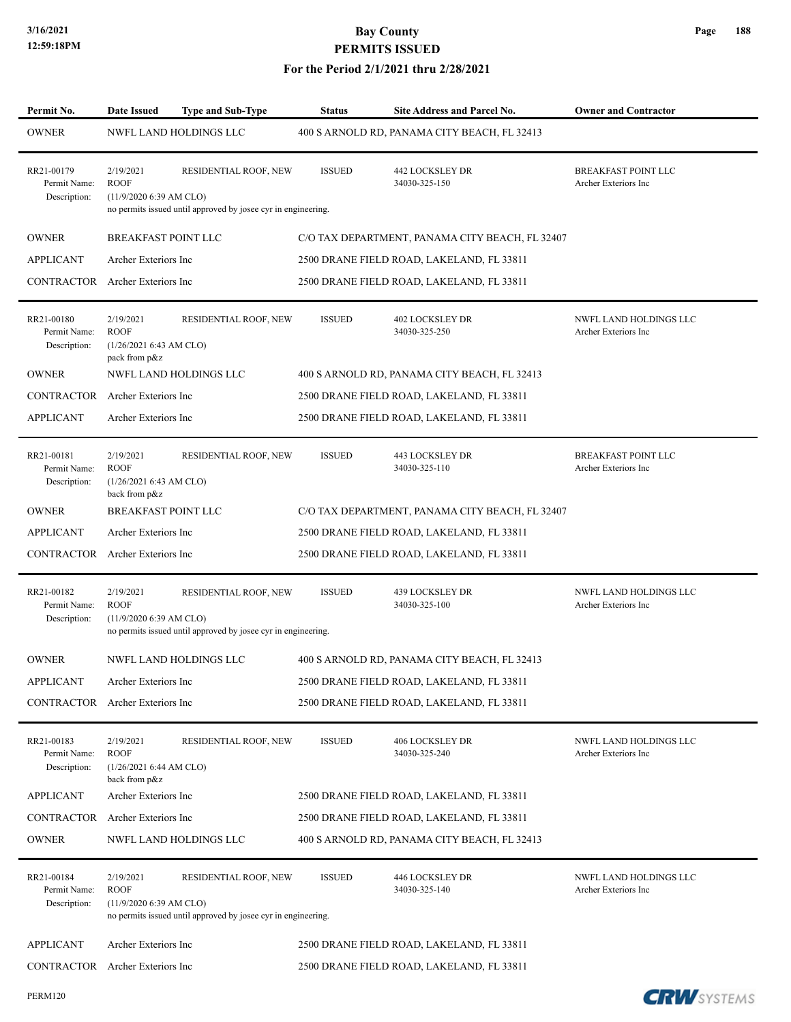| Permit No.                                 | <b>Date Issued</b>                                                  | <b>Type and Sub-Type</b>                                                               | <b>Status</b> | <b>Site Address and Parcel No.</b>              | <b>Owner and Contractor</b>                        |
|--------------------------------------------|---------------------------------------------------------------------|----------------------------------------------------------------------------------------|---------------|-------------------------------------------------|----------------------------------------------------|
| <b>OWNER</b>                               |                                                                     | NWFL LAND HOLDINGS LLC                                                                 |               | 400 S ARNOLD RD, PANAMA CITY BEACH, FL 32413    |                                                    |
| RR21-00179<br>Permit Name:<br>Description: | 2/19/2021<br><b>ROOF</b><br>(11/9/2020 6:39 AM CLO)                 | RESIDENTIAL ROOF, NEW<br>no permits issued until approved by josee cyr in engineering. | <b>ISSUED</b> | <b>442 LOCKSLEY DR</b><br>34030-325-150         | <b>BREAKFAST POINT LLC</b><br>Archer Exteriors Inc |
| <b>OWNER</b>                               | BREAKFAST POINT LLC                                                 |                                                                                        |               | C/O TAX DEPARTMENT, PANAMA CITY BEACH, FL 32407 |                                                    |
| <b>APPLICANT</b>                           | Archer Exteriors Inc                                                |                                                                                        |               | 2500 DRANE FIELD ROAD, LAKELAND, FL 33811       |                                                    |
| CONTRACTOR                                 | Archer Exteriors Inc                                                |                                                                                        |               | 2500 DRANE FIELD ROAD, LAKELAND, FL 33811       |                                                    |
| RR21-00180<br>Permit Name:<br>Description: | 2/19/2021<br><b>ROOF</b><br>(1/26/20216:43 AM CLO)<br>pack from p&z | RESIDENTIAL ROOF, NEW                                                                  | <b>ISSUED</b> | 402 LOCKSLEY DR<br>34030-325-250                | NWFL LAND HOLDINGS LLC<br>Archer Exteriors Inc     |
| <b>OWNER</b>                               |                                                                     | <b>NWFL LAND HOLDINGS LLC</b>                                                          |               | 400 S ARNOLD RD, PANAMA CITY BEACH, FL 32413    |                                                    |
| <b>CONTRACTOR</b>                          | Archer Exteriors Inc                                                |                                                                                        |               | 2500 DRANE FIELD ROAD, LAKELAND, FL 33811       |                                                    |
| <b>APPLICANT</b>                           | Archer Exteriors Inc                                                |                                                                                        |               | 2500 DRANE FIELD ROAD, LAKELAND, FL 33811       |                                                    |
| RR21-00181<br>Permit Name:<br>Description: | 2/19/2021<br><b>ROOF</b><br>(1/26/20216:43 AM CLO)<br>back from p&z | RESIDENTIAL ROOF, NEW                                                                  | <b>ISSUED</b> | 443 LOCKSLEY DR<br>34030-325-110                | <b>BREAKFAST POINT LLC</b><br>Archer Exteriors Inc |
| <b>OWNER</b>                               | <b>BREAKFAST POINT LLC</b>                                          |                                                                                        |               | C/O TAX DEPARTMENT, PANAMA CITY BEACH, FL 32407 |                                                    |
| <b>APPLICANT</b>                           | Archer Exteriors Inc                                                |                                                                                        |               | 2500 DRANE FIELD ROAD, LAKELAND, FL 33811       |                                                    |
| CONTRACTOR                                 | Archer Exteriors Inc                                                |                                                                                        |               | 2500 DRANE FIELD ROAD, LAKELAND, FL 33811       |                                                    |
| RR21-00182<br>Permit Name:<br>Description: | 2/19/2021<br><b>ROOF</b><br>(11/9/2020 6:39 AM CLO)                 | RESIDENTIAL ROOF, NEW<br>no permits issued until approved by josee cyr in engineering. | <b>ISSUED</b> | 439 LOCKSLEY DR<br>34030-325-100                | NWFL LAND HOLDINGS LLC<br>Archer Exteriors Inc     |
| <b>OWNER</b>                               |                                                                     | <b>NWFL LAND HOLDINGS LLC</b>                                                          |               | 400 S ARNOLD RD, PANAMA CITY BEACH, FL 32413    |                                                    |
| APPLICANT                                  | Archer Exteriors Inc                                                |                                                                                        |               | 2500 DRANE FIELD ROAD, LAKELAND, FL 33811       |                                                    |
| CONTRACTOR Archer Exteriors Inc            |                                                                     |                                                                                        |               | 2500 DRANE FIELD ROAD, LAKELAND, FL 33811       |                                                    |
| RR21-00183<br>Permit Name:<br>Description: | 2/19/2021<br><b>ROOF</b><br>(1/26/20216:44 AM CLO)<br>back from p&z | RESIDENTIAL ROOF, NEW                                                                  | <b>ISSUED</b> | 406 LOCKSLEY DR<br>34030-325-240                | NWFL LAND HOLDINGS LLC<br>Archer Exteriors Inc     |
| <b>APPLICANT</b>                           | Archer Exteriors Inc                                                |                                                                                        |               | 2500 DRANE FIELD ROAD, LAKELAND, FL 33811       |                                                    |
| CONTRACTOR                                 | Archer Exteriors Inc                                                |                                                                                        |               | 2500 DRANE FIELD ROAD, LAKELAND, FL 33811       |                                                    |
| <b>OWNER</b>                               |                                                                     | NWFL LAND HOLDINGS LLC                                                                 |               | 400 S ARNOLD RD, PANAMA CITY BEACH, FL 32413    |                                                    |
| RR21-00184<br>Permit Name:<br>Description: | 2/19/2021<br><b>ROOF</b><br>(11/9/2020 6:39 AM CLO)                 | RESIDENTIAL ROOF, NEW<br>no permits issued until approved by josee cyr in engineering. | <b>ISSUED</b> | 446 LOCKSLEY DR<br>34030-325-140                | NWFL LAND HOLDINGS LLC<br>Archer Exteriors Inc     |
| <b>APPLICANT</b>                           | Archer Exteriors Inc                                                |                                                                                        |               | 2500 DRANE FIELD ROAD, LAKELAND, FL 33811       |                                                    |
| CONTRACTOR                                 | Archer Exteriors Inc                                                |                                                                                        |               | 2500 DRANE FIELD ROAD, LAKELAND, FL 33811       |                                                    |

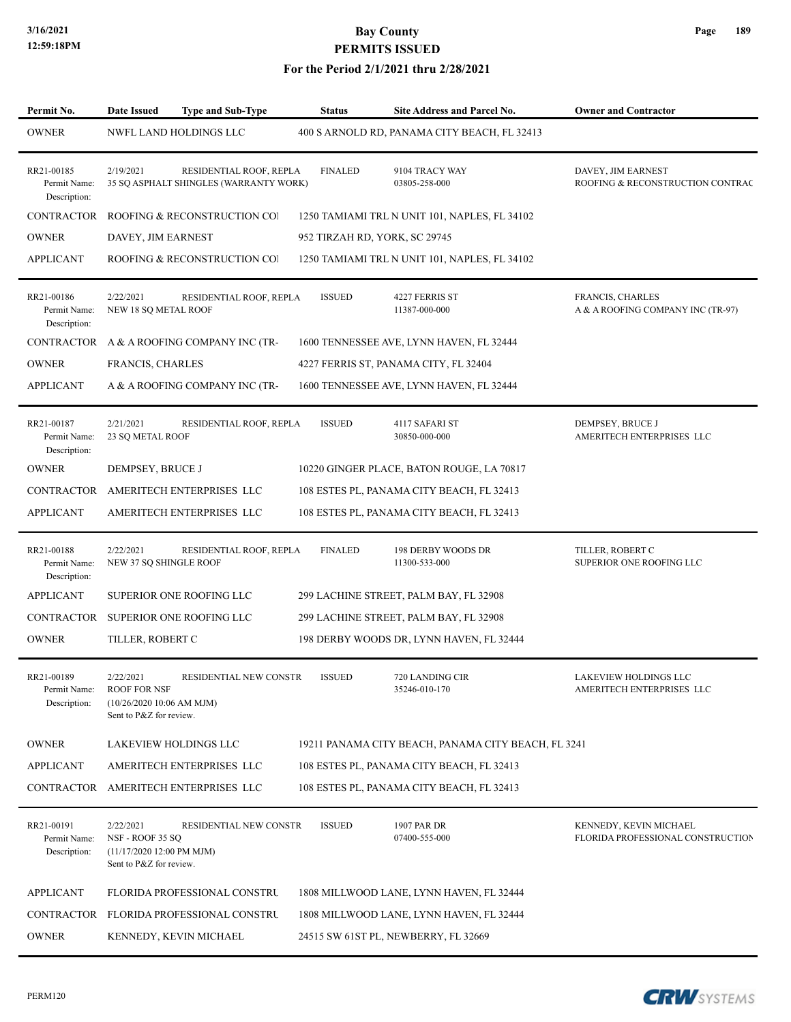### **For the Period 2/1/2021 thru 2/28/2021**

| Permit No.                                 | <b>Date Issued</b>                                                                        | <b>Type and Sub-Type</b>                                          | <b>Status</b>                 | <b>Site Address and Parcel No.</b>                  | <b>Owner and Contractor</b>                                 |
|--------------------------------------------|-------------------------------------------------------------------------------------------|-------------------------------------------------------------------|-------------------------------|-----------------------------------------------------|-------------------------------------------------------------|
| <b>OWNER</b>                               |                                                                                           | NWFL LAND HOLDINGS LLC                                            |                               | 400 S ARNOLD RD, PANAMA CITY BEACH, FL 32413        |                                                             |
| RR21-00185<br>Permit Name:<br>Description: | 2/19/2021                                                                                 | RESIDENTIAL ROOF, REPLA<br>35 SQ ASPHALT SHINGLES (WARRANTY WORK) | <b>FINALED</b>                | 9104 TRACY WAY<br>03805-258-000                     | DAVEY, JIM EARNEST<br>ROOFING & RECONSTRUCTION CONTRAC      |
| CONTRACTOR                                 |                                                                                           | ROOFING & RECONSTRUCTION CO.                                      |                               | 1250 TAMIAMI TRL N UNIT 101, NAPLES, FL 34102       |                                                             |
| <b>OWNER</b>                               | DAVEY, JIM EARNEST                                                                        |                                                                   | 952 TIRZAH RD, YORK, SC 29745 |                                                     |                                                             |
| <b>APPLICANT</b>                           |                                                                                           | ROOFING & RECONSTRUCTION COI                                      |                               | 1250 TAMIAMI TRL N UNIT 101, NAPLES, FL 34102       |                                                             |
| RR21-00186<br>Permit Name:<br>Description: | 2/22/2021<br>NEW 18 SQ METAL ROOF                                                         | RESIDENTIAL ROOF, REPLA                                           | <b>ISSUED</b>                 | 4227 FERRIS ST<br>11387-000-000                     | FRANCIS, CHARLES<br>A & A ROOFING COMPANY INC (TR-97)       |
|                                            |                                                                                           | CONTRACTOR A & A ROOFING COMPANY INC (TR-                         |                               | 1600 TENNESSEE AVE, LYNN HAVEN, FL 32444            |                                                             |
| <b>OWNER</b>                               | <b>FRANCIS, CHARLES</b>                                                                   |                                                                   |                               | 4227 FERRIS ST, PANAMA CITY, FL 32404               |                                                             |
| <b>APPLICANT</b>                           |                                                                                           | A & A ROOFING COMPANY INC (TR-                                    |                               | 1600 TENNESSEE AVE, LYNN HAVEN, FL 32444            |                                                             |
| RR21-00187<br>Permit Name:<br>Description: | 2/21/2021<br><b>23 SO METAL ROOF</b>                                                      | RESIDENTIAL ROOF, REPLA                                           | <b>ISSUED</b>                 | 4117 SAFARI ST<br>30850-000-000                     | DEMPSEY, BRUCE J<br>AMERITECH ENTERPRISES LLC               |
| <b>OWNER</b>                               | DEMPSEY, BRUCE J                                                                          |                                                                   |                               | 10220 GINGER PLACE, BATON ROUGE, LA 70817           |                                                             |
|                                            |                                                                                           | CONTRACTOR AMERITECH ENTERPRISES LLC                              |                               | 108 ESTES PL, PANAMA CITY BEACH, FL 32413           |                                                             |
| <b>APPLICANT</b>                           |                                                                                           | AMERITECH ENTERPRISES LLC                                         |                               | 108 ESTES PL, PANAMA CITY BEACH, FL 32413           |                                                             |
| RR21-00188<br>Permit Name:<br>Description: | 2/22/2021<br>NEW 37 SQ SHINGLE ROOF                                                       | RESIDENTIAL ROOF, REPLA                                           | <b>FINALED</b>                | 198 DERBY WOODS DR<br>11300-533-000                 | TILLER, ROBERT C<br>SUPERIOR ONE ROOFING LLC                |
| <b>APPLICANT</b>                           |                                                                                           | SUPERIOR ONE ROOFING LLC                                          |                               | 299 LACHINE STREET, PALM BAY, FL 32908              |                                                             |
|                                            |                                                                                           | CONTRACTOR SUPERIOR ONE ROOFING LLC                               |                               | 299 LACHINE STREET, PALM BAY, FL 32908              |                                                             |
| <b>OWNER</b>                               | TILLER, ROBERT C                                                                          |                                                                   |                               | 198 DERBY WOODS DR, LYNN HAVEN, FL 32444            |                                                             |
| RR21-00189<br>Permit Name:<br>Description: | 2/22/2021<br><b>ROOF FOR NSF</b><br>$(10/26/202010:06$ AM MJM)<br>Sent to P&Z for review. | RESIDENTIAL NEW CONSTR                                            | <b>ISSUED</b>                 | 720 LANDING CIR<br>35246-010-170                    | LAKEVIEW HOLDINGS LLC<br>AMERITECH ENTERPRISES LLC          |
| <b>OWNER</b>                               |                                                                                           | LAKEVIEW HOLDINGS LLC                                             |                               | 19211 PANAMA CITY BEACH, PANAMA CITY BEACH, FL 3241 |                                                             |
| <b>APPLICANT</b>                           |                                                                                           | AMERITECH ENTERPRISES LLC                                         |                               | 108 ESTES PL, PANAMA CITY BEACH, FL 32413           |                                                             |
|                                            |                                                                                           | CONTRACTOR AMERITECH ENTERPRISES LLC                              |                               | 108 ESTES PL, PANAMA CITY BEACH, FL 32413           |                                                             |
| RR21-00191<br>Permit Name:<br>Description: | 2/22/2021<br>NSF - ROOF 35 SQ<br>(11/17/2020 12:00 PM MJM)<br>Sent to P&Z for review.     | RESIDENTIAL NEW CONSTR                                            | <b>ISSUED</b>                 | 1907 PAR DR<br>07400-555-000                        | KENNEDY, KEVIN MICHAEL<br>FLORIDA PROFESSIONAL CONSTRUCTION |
| <b>APPLICANT</b>                           |                                                                                           | <b>FLORIDA PROFESSIONAL CONSTRU</b>                               |                               | 1808 MILLWOOD LANE, LYNN HAVEN, FL 32444            |                                                             |
|                                            |                                                                                           | CONTRACTOR FLORIDA PROFESSIONAL CONSTRU                           |                               | 1808 MILLWOOD LANE, LYNN HAVEN, FL 32444            |                                                             |
| <b>OWNER</b>                               |                                                                                           | KENNEDY, KEVIN MICHAEL                                            |                               | 24515 SW 61ST PL, NEWBERRY, FL 32669                |                                                             |

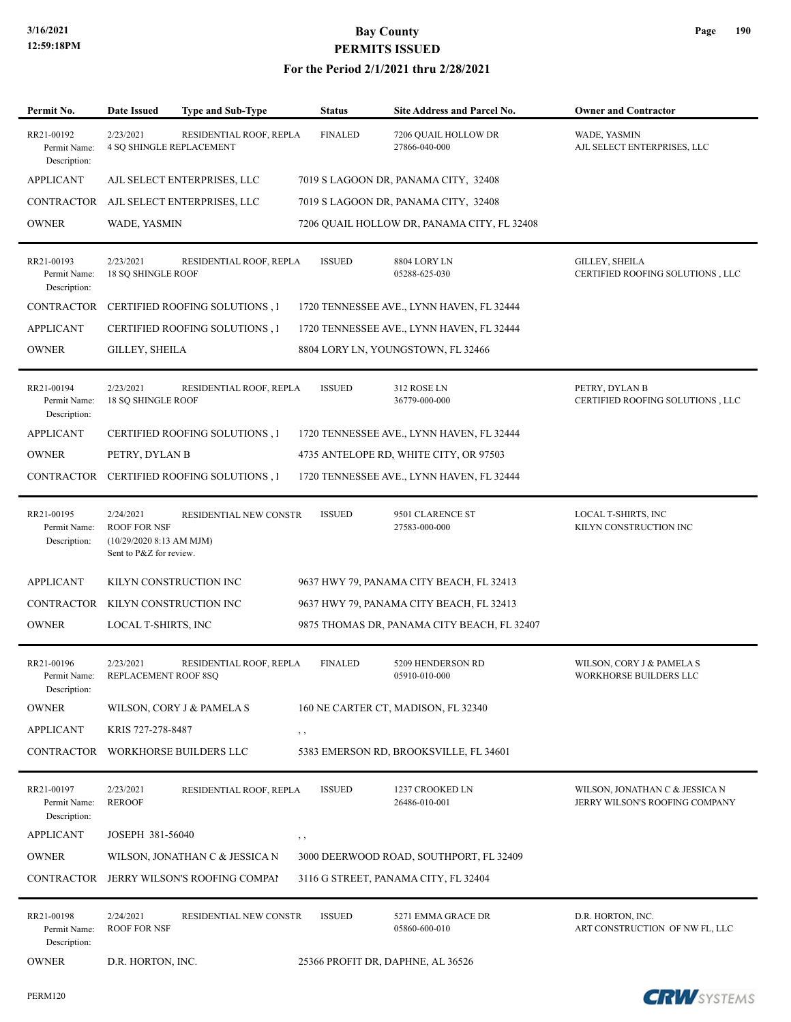### **For the Period 2/1/2021 thru 2/28/2021**

| Permit No.                                 | <b>Date Issued</b>                                                                      | <b>Type and Sub-Type</b>                  | <b>Status</b>  | Site Address and Parcel No.                 | <b>Owner and Contractor</b>                                      |
|--------------------------------------------|-----------------------------------------------------------------------------------------|-------------------------------------------|----------------|---------------------------------------------|------------------------------------------------------------------|
| RR21-00192<br>Permit Name:<br>Description: | 2/23/2021<br><b>4 SQ SHINGLE REPLACEMENT</b>                                            | RESIDENTIAL ROOF, REPLA                   | <b>FINALED</b> | 7206 QUAIL HOLLOW DR<br>27866-040-000       | WADE, YASMIN<br>AJL SELECT ENTERPRISES, LLC                      |
| <b>APPLICANT</b>                           |                                                                                         | AJL SELECT ENTERPRISES, LLC               |                | 7019 S LAGOON DR, PANAMA CITY, 32408        |                                                                  |
|                                            |                                                                                         | CONTRACTOR AJL SELECT ENTERPRISES, LLC    |                | 7019 S LAGOON DR, PANAMA CITY, 32408        |                                                                  |
| <b>OWNER</b>                               | WADE, YASMIN                                                                            |                                           |                | 7206 QUAIL HOLLOW DR, PANAMA CITY, FL 32408 |                                                                  |
| RR21-00193<br>Permit Name:<br>Description: | 2/23/2021<br><b>18 SO SHINGLE ROOF</b>                                                  | RESIDENTIAL ROOF, REPLA                   | <b>ISSUED</b>  | 8804 LORY LN<br>05288-625-030               | <b>GILLEY, SHEILA</b><br>CERTIFIED ROOFING SOLUTIONS, LLC        |
| CONTRACTOR                                 |                                                                                         | <b>CERTIFIED ROOFING SOLUTIONS, I</b>     |                | 1720 TENNESSEE AVE., LYNN HAVEN, FL 32444   |                                                                  |
| <b>APPLICANT</b>                           |                                                                                         | <b>CERTIFIED ROOFING SOLUTIONS, I</b>     |                | 1720 TENNESSEE AVE., LYNN HAVEN, FL 32444   |                                                                  |
| <b>OWNER</b>                               | <b>GILLEY, SHEILA</b>                                                                   |                                           |                | 8804 LORY LN, YOUNGSTOWN, FL 32466          |                                                                  |
| RR21-00194<br>Permit Name:<br>Description: | 2/23/2021<br><b>18 SQ SHINGLE ROOF</b>                                                  | RESIDENTIAL ROOF, REPLA                   | <b>ISSUED</b>  | 312 ROSE LN<br>36779-000-000                | PETRY, DYLAN B<br>CERTIFIED ROOFING SOLUTIONS, LLC               |
| <b>APPLICANT</b>                           |                                                                                         | <b>CERTIFIED ROOFING SOLUTIONS, I</b>     |                | 1720 TENNESSEE AVE., LYNN HAVEN, FL 32444   |                                                                  |
| <b>OWNER</b>                               | PETRY, DYLAN B                                                                          |                                           |                | 4735 ANTELOPE RD, WHITE CITY, OR 97503      |                                                                  |
|                                            |                                                                                         | CONTRACTOR CERTIFIED ROOFING SOLUTIONS, I |                | 1720 TENNESSEE AVE., LYNN HAVEN, FL 32444   |                                                                  |
| RR21-00195<br>Permit Name:<br>Description: | 2/24/2021<br><b>ROOF FOR NSF</b><br>(10/29/2020 8:13 AM MJM)<br>Sent to P&Z for review. | RESIDENTIAL NEW CONSTR                    | <b>ISSUED</b>  | 9501 CLARENCE ST<br>27583-000-000           | LOCAL T-SHIRTS, INC<br>KILYN CONSTRUCTION INC                    |
| <b>APPLICANT</b>                           |                                                                                         | KILYN CONSTRUCTION INC                    |                | 9637 HWY 79, PANAMA CITY BEACH, FL 32413    |                                                                  |
| CONTRACTOR KILYN CONSTRUCTION INC          |                                                                                         |                                           |                | 9637 HWY 79, PANAMA CITY BEACH, FL 32413    |                                                                  |
| <b>OWNER</b>                               | LOCAL T-SHIRTS, INC                                                                     |                                           |                | 9875 THOMAS DR, PANAMA CITY BEACH, FL 32407 |                                                                  |
| RR21-00196<br>Permit Name:<br>Description: | 2/23/2021<br>REPLACEMENT ROOF 8SQ                                                       | RESIDENTIAL ROOF, REPLA                   | <b>FINALED</b> | 5209 HENDERSON RD<br>05910-010-000          | WILSON, CORY J & PAMELA S<br>WORKHORSE BUILDERS LLC              |
| <b>OWNER</b>                               |                                                                                         | WILSON, CORY J & PAMELA S                 |                | 160 NE CARTER CT, MADISON, FL 32340         |                                                                  |
| <b>APPLICANT</b>                           | KRIS 727-278-8487                                                                       |                                           | $, \,$         |                                             |                                                                  |
|                                            |                                                                                         | CONTRACTOR WORKHORSE BUILDERS LLC         |                | 5383 EMERSON RD, BROOKSVILLE, FL 34601      |                                                                  |
| RR21-00197<br>Permit Name:<br>Description: | 2/23/2021<br><b>REROOF</b>                                                              | RESIDENTIAL ROOF, REPLA                   | <b>ISSUED</b>  | 1237 CROOKED LN<br>26486-010-001            | WILSON, JONATHAN C & JESSICA N<br>JERRY WILSON'S ROOFING COMPANY |
| <b>APPLICANT</b>                           | JOSEPH 381-56040                                                                        |                                           | , ,            |                                             |                                                                  |
| <b>OWNER</b>                               |                                                                                         | WILSON, JONATHAN C & JESSICA N            |                | 3000 DEERWOOD ROAD, SOUTHPORT, FL 32409     |                                                                  |
|                                            |                                                                                         | CONTRACTOR JERRY WILSON'S ROOFING COMPAI  |                | 3116 G STREET, PANAMA CITY, FL 32404        |                                                                  |
| RR21-00198<br>Permit Name:<br>Description: | 2/24/2021<br><b>ROOF FOR NSF</b>                                                        | RESIDENTIAL NEW CONSTR                    | <b>ISSUED</b>  | 5271 EMMA GRACE DR<br>05860-600-010         | D.R. HORTON, INC.<br>ART CONSTRUCTION OF NW FL, LLC              |
| <b>OWNER</b>                               | D.R. HORTON, INC.                                                                       |                                           |                | 25366 PROFIT DR, DAPHNE, AL 36526           |                                                                  |



**CRW**SYSTEMS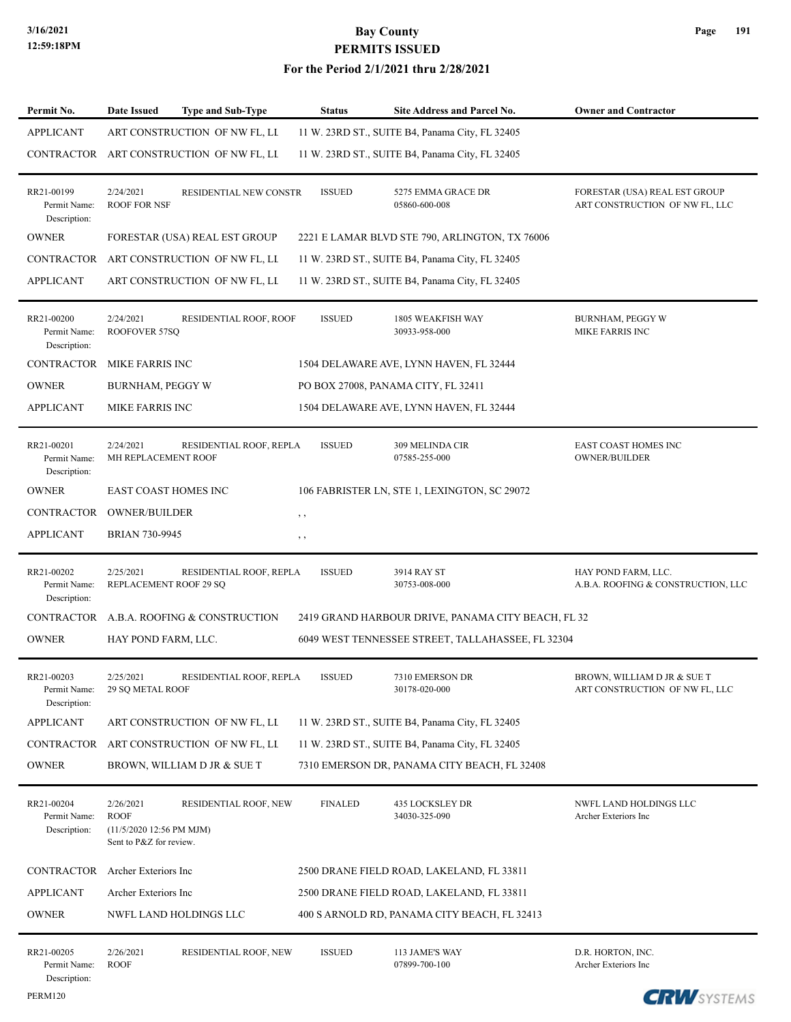| Permit No.                                 | <b>Date Issued</b>                                                              | <b>Type and Sub-Type</b>                 | <b>Status</b>  | Site Address and Parcel No.                        | <b>Owner and Contractor</b>                                     |
|--------------------------------------------|---------------------------------------------------------------------------------|------------------------------------------|----------------|----------------------------------------------------|-----------------------------------------------------------------|
| <b>APPLICANT</b>                           |                                                                                 | ART CONSTRUCTION OF NW FL, LL            |                | 11 W. 23RD ST., SUITE B4, Panama City, FL 32405    |                                                                 |
|                                            |                                                                                 | CONTRACTOR ART CONSTRUCTION OF NW FL, LL |                | 11 W. 23RD ST., SUITE B4, Panama City, FL 32405    |                                                                 |
| RR21-00199<br>Permit Name:<br>Description: | 2/24/2021<br><b>ROOF FOR NSF</b>                                                | RESIDENTIAL NEW CONSTR                   | <b>ISSUED</b>  | 5275 EMMA GRACE DR<br>05860-600-008                | FORESTAR (USA) REAL EST GROUP<br>ART CONSTRUCTION OF NW FL, LLC |
| <b>OWNER</b>                               |                                                                                 | FORESTAR (USA) REAL EST GROUP            |                | 2221 E LAMAR BLVD STE 790, ARLINGTON, TX 76006     |                                                                 |
|                                            |                                                                                 | CONTRACTOR ART CONSTRUCTION OF NW FL, LL |                | 11 W. 23RD ST., SUITE B4, Panama City, FL 32405    |                                                                 |
| <b>APPLICANT</b>                           |                                                                                 | ART CONSTRUCTION OF NW FL, LL            |                | 11 W. 23RD ST., SUITE B4, Panama City, FL 32405    |                                                                 |
| RR21-00200<br>Permit Name:<br>Description: | 2/24/2021<br>ROOFOVER 57SQ                                                      | RESIDENTIAL ROOF, ROOF                   | <b>ISSUED</b>  | 1805 WEAKFISH WAY<br>30933-958-000                 | <b>BURNHAM, PEGGY W</b><br><b>MIKE FARRIS INC</b>               |
| CONTRACTOR MIKE FARRIS INC                 |                                                                                 |                                          |                | 1504 DELAWARE AVE, LYNN HAVEN, FL 32444            |                                                                 |
| <b>OWNER</b>                               | <b>BURNHAM, PEGGY W</b>                                                         |                                          |                | PO BOX 27008, PANAMA CITY, FL 32411                |                                                                 |
| <b>APPLICANT</b>                           | <b>MIKE FARRIS INC</b>                                                          |                                          |                | 1504 DELAWARE AVE, LYNN HAVEN, FL 32444            |                                                                 |
| RR21-00201<br>Permit Name:<br>Description: | 2/24/2021<br>MH REPLACEMENT ROOF                                                | RESIDENTIAL ROOF, REPLA                  | <b>ISSUED</b>  | 309 MELINDA CIR<br>07585-255-000                   | EAST COAST HOMES INC<br><b>OWNER/BUILDER</b>                    |
| <b>OWNER</b>                               | <b>EAST COAST HOMES INC</b>                                                     |                                          |                | 106 FABRISTER LN, STE 1, LEXINGTON, SC 29072       |                                                                 |
| CONTRACTOR OWNER/BUILDER                   |                                                                                 |                                          | , ,            |                                                    |                                                                 |
| <b>APPLICANT</b>                           | <b>BRIAN 730-9945</b>                                                           |                                          | $, \, \cdot$   |                                                    |                                                                 |
| RR21-00202<br>Permit Name:<br>Description: | 2/25/2021<br>REPLACEMENT ROOF 29 SQ                                             | RESIDENTIAL ROOF, REPLA                  | <b>ISSUED</b>  | 3914 RAY ST<br>30753-008-000                       | HAY POND FARM, LLC.<br>A.B.A. ROOFING & CONSTRUCTION, LLC       |
|                                            |                                                                                 | CONTRACTOR A.B.A. ROOFING & CONSTRUCTION |                | 2419 GRAND HARBOUR DRIVE, PANAMA CITY BEACH, FL 32 |                                                                 |
| <b>OWNER</b>                               | HAY POND FARM, LLC.                                                             |                                          |                | 6049 WEST TENNESSEE STREET, TALLAHASSEE, FL 32304  |                                                                 |
| RR21-00203<br>Permit Name:<br>Description: | 2/25/2021<br><b>29 SO METAL ROOF</b>                                            | RESIDENTIAL ROOF, REPLA                  | <b>ISSUED</b>  | 7310 EMERSON DR<br>30178-020-000                   | BROWN, WILLIAM D JR & SUE T<br>ART CONSTRUCTION OF NW FL, LLC   |
| <b>APPLICANT</b>                           |                                                                                 | ART CONSTRUCTION OF NW FL, LL            |                | 11 W. 23RD ST., SUITE B4, Panama City, FL 32405    |                                                                 |
| CONTRACTOR                                 |                                                                                 | ART CONSTRUCTION OF NW FL, LL            |                | 11 W. 23RD ST., SUITE B4, Panama City, FL 32405    |                                                                 |
| <b>OWNER</b>                               |                                                                                 | BROWN, WILLIAM D JR & SUE T              |                | 7310 EMERSON DR, PANAMA CITY BEACH, FL 32408       |                                                                 |
| RR21-00204<br>Permit Name:<br>Description: | 2/26/2021<br><b>ROOF</b><br>(11/5/2020 12:56 PM MJM)<br>Sent to P&Z for review. | RESIDENTIAL ROOF, NEW                    | <b>FINALED</b> | 435 LOCKSLEY DR<br>34030-325-090                   | NWFL LAND HOLDINGS LLC<br>Archer Exteriors Inc                  |
| <b>CONTRACTOR</b>                          | Archer Exteriors Inc                                                            |                                          |                | 2500 DRANE FIELD ROAD, LAKELAND, FL 33811          |                                                                 |
| <b>APPLICANT</b>                           | Archer Exteriors Inc                                                            |                                          |                | 2500 DRANE FIELD ROAD, LAKELAND, FL 33811          |                                                                 |
| <b>OWNER</b>                               |                                                                                 | NWFL LAND HOLDINGS LLC                   |                | 400 S ARNOLD RD, PANAMA CITY BEACH, FL 32413       |                                                                 |
| RR21-00205<br>Permit Name:<br>Description: | 2/26/2021<br><b>ROOF</b>                                                        | RESIDENTIAL ROOF, NEW                    | <b>ISSUED</b>  | 113 JAME'S WAY<br>07899-700-100                    | D.R. HORTON, INC.<br>Archer Exteriors Inc                       |

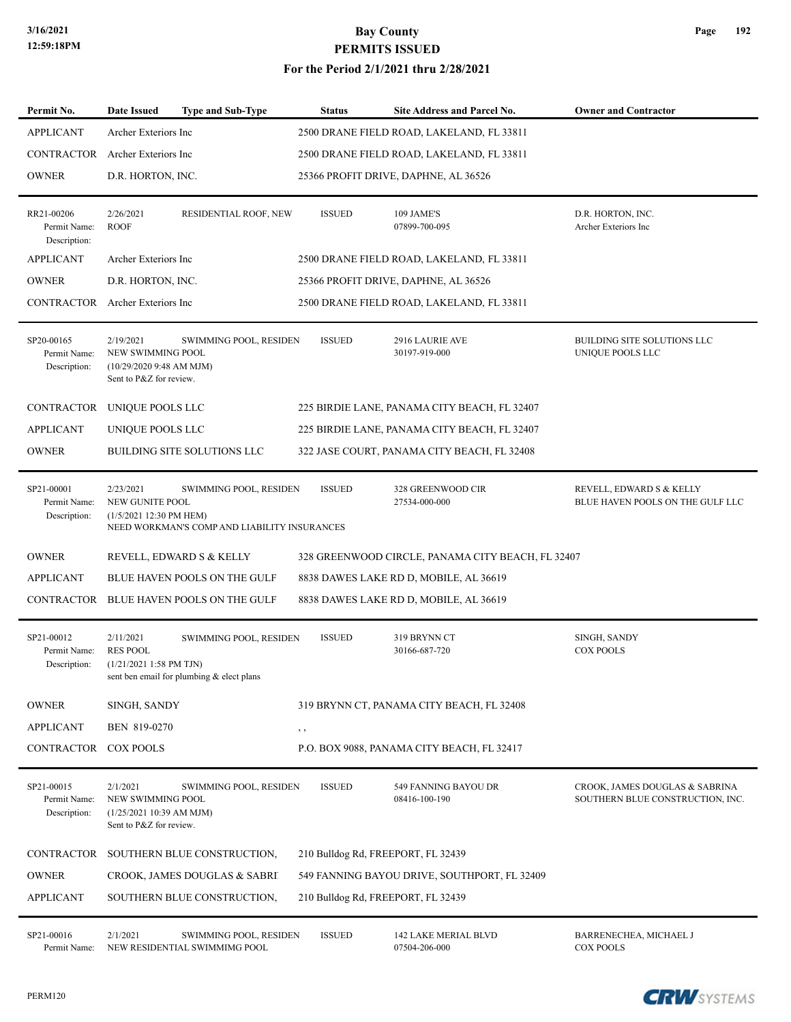### **For the Period 2/1/2021 thru 2/28/2021**

| Permit No.                                 | <b>Date Issued</b>                                                                    | <b>Type and Sub-Type</b>                                               | <b>Status</b>                             | Site Address and Parcel No.                  | <b>Owner and Contractor</b>                                        |  |  |  |
|--------------------------------------------|---------------------------------------------------------------------------------------|------------------------------------------------------------------------|-------------------------------------------|----------------------------------------------|--------------------------------------------------------------------|--|--|--|
| <b>APPLICANT</b>                           | Archer Exteriors Inc                                                                  |                                                                        |                                           | 2500 DRANE FIELD ROAD, LAKELAND, FL 33811    |                                                                    |  |  |  |
| CONTRACTOR                                 | Archer Exteriors Inc                                                                  |                                                                        | 2500 DRANE FIELD ROAD, LAKELAND, FL 33811 |                                              |                                                                    |  |  |  |
| <b>OWNER</b>                               | D.R. HORTON, INC.                                                                     |                                                                        | 25366 PROFIT DRIVE, DAPHNE, AL 36526      |                                              |                                                                    |  |  |  |
| RR21-00206<br>Permit Name:<br>Description: | 2/26/2021<br><b>ROOF</b>                                                              | RESIDENTIAL ROOF, NEW                                                  | <b>ISSUED</b>                             | 109 JAME'S<br>07899-700-095                  | D.R. HORTON, INC.<br>Archer Exteriors Inc                          |  |  |  |
| <b>APPLICANT</b>                           | Archer Exteriors Inc                                                                  |                                                                        | 2500 DRANE FIELD ROAD, LAKELAND, FL 33811 |                                              |                                                                    |  |  |  |
| <b>OWNER</b>                               | D.R. HORTON, INC.                                                                     |                                                                        |                                           | 25366 PROFIT DRIVE, DAPHNE, AL 36526         |                                                                    |  |  |  |
| CONTRACTOR                                 | Archer Exteriors Inc                                                                  |                                                                        |                                           | 2500 DRANE FIELD ROAD, LAKELAND, FL 33811    |                                                                    |  |  |  |
| SP20-00165<br>Permit Name:<br>Description: | 2/19/2021<br>NEW SWIMMING POOL<br>(10/29/20209:48 AM MJM)<br>Sent to P&Z for review.  | SWIMMING POOL, RESIDEN                                                 | <b>ISSUED</b>                             | 2916 LAURIE AVE<br>30197-919-000             | BUILDING SITE SOLUTIONS LLC<br>UNIQUE POOLS LLC                    |  |  |  |
| CONTRACTOR                                 | UNIQUE POOLS LLC                                                                      |                                                                        |                                           | 225 BIRDIE LANE, PANAMA CITY BEACH, FL 32407 |                                                                    |  |  |  |
| <b>APPLICANT</b>                           | UNIQUE POOLS LLC                                                                      |                                                                        |                                           | 225 BIRDIE LANE, PANAMA CITY BEACH, FL 32407 |                                                                    |  |  |  |
| <b>OWNER</b>                               |                                                                                       | BUILDING SITE SOLUTIONS LLC                                            |                                           | 322 JASE COURT, PANAMA CITY BEACH, FL 32408  |                                                                    |  |  |  |
| SP21-00001<br>Permit Name:<br>Description: | 2/23/2021<br>NEW GUNITE POOL<br>(1/5/2021 12:30 PM HEM)                               | SWIMMING POOL, RESIDEN<br>NEED WORKMAN'S COMP AND LIABILITY INSURANCES | <b>ISSUED</b>                             | 328 GREENWOOD CIR<br>27534-000-000           | REVELL, EDWARD S & KELLY<br>BLUE HAVEN POOLS ON THE GULF LLC       |  |  |  |
| <b>OWNER</b>                               | REVELL, EDWARD S & KELLY<br>328 GREENWOOD CIRCLE, PANAMA CITY BEACH, FL 32407         |                                                                        |                                           |                                              |                                                                    |  |  |  |
| <b>APPLICANT</b>                           |                                                                                       | BLUE HAVEN POOLS ON THE GULF<br>8838 DAWES LAKE RD D, MOBILE, AL 36619 |                                           |                                              |                                                                    |  |  |  |
| CONTRACTOR                                 |                                                                                       | BLUE HAVEN POOLS ON THE GULF                                           |                                           | 8838 DAWES LAKE RD D, MOBILE, AL 36619       |                                                                    |  |  |  |
| SP21-00012<br>Permit Name:<br>Description: | 2/11/2021<br><b>RES POOL</b><br>$(1/21/20211:58 \text{ PM} \text{ TJN})$              | SWIMMING POOL, RESIDEN<br>sent ben email for plumbing & elect plans    | <b>ISSUED</b>                             | 319 BRYNN CT<br>30166-687-720                | SINGH, SANDY<br><b>COX POOLS</b>                                   |  |  |  |
| <b>OWNER</b>                               |                                                                                       | SINGH, SANDY<br>319 BRYNN CT, PANAMA CITY BEACH, FL 32408              |                                           |                                              |                                                                    |  |  |  |
| <b>APPLICANT</b>                           | BEN 819-0270                                                                          | $, \, , \,$                                                            |                                           |                                              |                                                                    |  |  |  |
| CONTRACTOR                                 | <b>COX POOLS</b>                                                                      |                                                                        |                                           | P.O. BOX 9088, PANAMA CITY BEACH, FL 32417   |                                                                    |  |  |  |
| SP21-00015<br>Permit Name:<br>Description: | 2/1/2021<br>NEW SWIMMING POOL<br>$(1/25/202110:39$ AM MJM)<br>Sent to P&Z for review. | SWIMMING POOL, RESIDEN                                                 | <b>ISSUED</b>                             | 549 FANNING BAYOU DR<br>08416-100-190        | CROOK, JAMES DOUGLAS & SABRINA<br>SOUTHERN BLUE CONSTRUCTION, INC. |  |  |  |
| CONTRACTOR                                 | SOUTHERN BLUE CONSTRUCTION,<br>210 Bulldog Rd, FREEPORT, FL 32439                     |                                                                        |                                           |                                              |                                                                    |  |  |  |
| <b>OWNER</b>                               | CROOK, JAMES DOUGLAS & SABRI<br>549 FANNING BAYOU DRIVE, SOUTHPORT, FL 32409          |                                                                        |                                           |                                              |                                                                    |  |  |  |
| <b>APPLICANT</b>                           | SOUTHERN BLUE CONSTRUCTION,<br>210 Bulldog Rd, FREEPORT, FL 32439                     |                                                                        |                                           |                                              |                                                                    |  |  |  |
| SP21-00016<br>Permit Name:                 | 2/1/2021                                                                              | SWIMMING POOL, RESIDEN<br>NEW RESIDENTIAL SWIMMIMG POOL                | <b>ISSUED</b>                             | 142 LAKE MERIAL BLVD<br>07504-206-000        | BARRENECHEA, MICHAEL J<br><b>COX POOLS</b>                         |  |  |  |

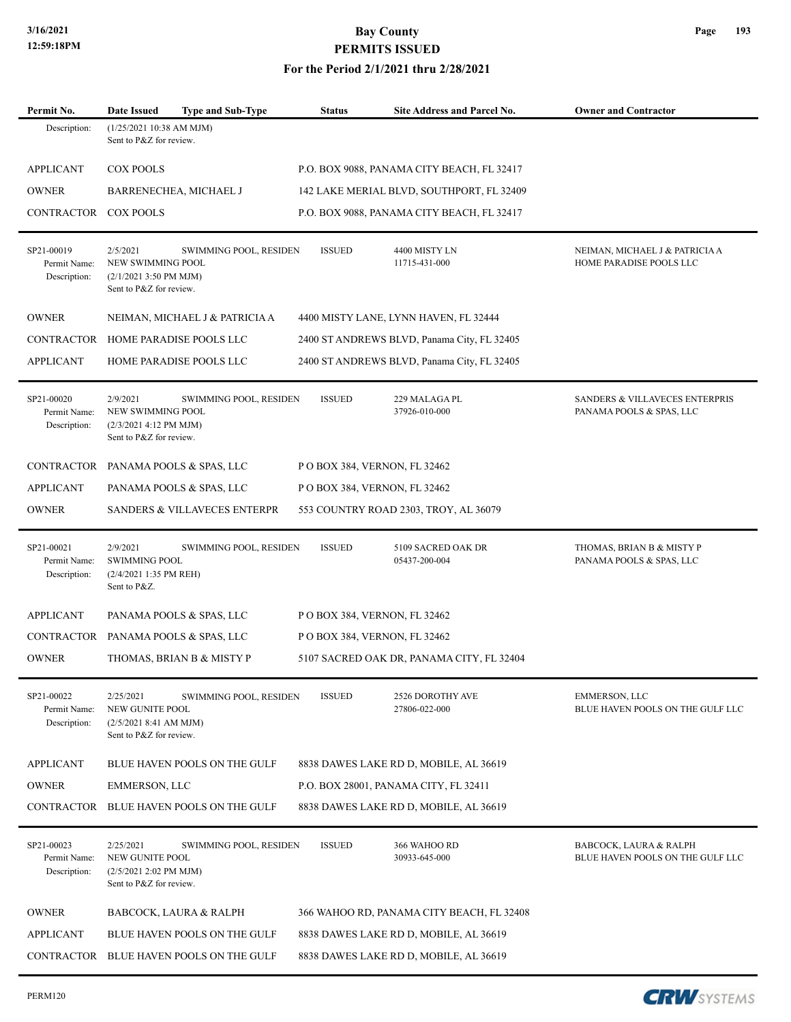**For the Period 2/1/2021 thru 2/28/2021**

| Permit No.                                 | <b>Type and Sub-Type</b><br><b>Date Issued</b>                                                                | Status                                    | Site Address and Parcel No.                 | <b>Owner and Contractor</b>                                           |  |  |  |
|--------------------------------------------|---------------------------------------------------------------------------------------------------------------|-------------------------------------------|---------------------------------------------|-----------------------------------------------------------------------|--|--|--|
| Description:                               | $(1/25/202110:38$ AM MJM)<br>Sent to P&Z for review.                                                          |                                           |                                             |                                                                       |  |  |  |
| APPLICANT                                  | <b>COX POOLS</b>                                                                                              |                                           | P.O. BOX 9088, PANAMA CITY BEACH, FL 32417  |                                                                       |  |  |  |
| <b>OWNER</b>                               | BARRENECHEA, MICHAEL J                                                                                        | 142 LAKE MERIAL BLVD, SOUTHPORT, FL 32409 |                                             |                                                                       |  |  |  |
| <b>CONTRACTOR</b>                          | <b>COX POOLS</b>                                                                                              |                                           | P.O. BOX 9088, PANAMA CITY BEACH, FL 32417  |                                                                       |  |  |  |
| SP21-00019<br>Permit Name:<br>Description: | 2/5/2021<br>SWIMMING POOL, RESIDEN<br>NEW SWIMMING POOL<br>$(2/1/20213:50$ PM MJM)<br>Sent to P&Z for review. | <b>ISSUED</b>                             | 4400 MISTY LN<br>11715-431-000              | NEIMAN, MICHAEL J & PATRICIA A<br>HOME PARADISE POOLS LLC             |  |  |  |
| <b>OWNER</b>                               | NEIMAN, MICHAEL J & PATRICIA A<br>4400 MISTY LANE, LYNN HAVEN, FL 32444                                       |                                           |                                             |                                                                       |  |  |  |
| <b>CONTRACTOR</b>                          | HOME PARADISE POOLS LLC                                                                                       |                                           | 2400 ST ANDREWS BLVD, Panama City, FL 32405 |                                                                       |  |  |  |
| <b>APPLICANT</b>                           | HOME PARADISE POOLS LLC                                                                                       |                                           |                                             |                                                                       |  |  |  |
| SP21-00020<br>Permit Name:<br>Description: | 2/9/2021<br>SWIMMING POOL, RESIDEN<br>NEW SWIMMING POOL<br>(2/3/2021 4:12 PM MJM)<br>Sent to P&Z for review.  | <b>ISSUED</b>                             | 229 MALAGA PL<br>37926-010-000              | <b>SANDERS &amp; VILLAVECES ENTERPRIS</b><br>PANAMA POOLS & SPAS, LLC |  |  |  |
| CONTRACTOR                                 | PANAMA POOLS & SPAS, LLC<br>P O BOX 384, VERNON, FL 32462                                                     |                                           |                                             |                                                                       |  |  |  |
| <b>APPLICANT</b>                           | PANAMA POOLS & SPAS, LLC<br>P O BOX 384, VERNON, FL 32462                                                     |                                           |                                             |                                                                       |  |  |  |
| <b>OWNER</b>                               | <b>SANDERS &amp; VILLAVECES ENTERPR</b><br>553 COUNTRY ROAD 2303, TROY, AL 36079                              |                                           |                                             |                                                                       |  |  |  |
| SP21-00021<br>Permit Name:<br>Description: | 2/9/2021<br>SWIMMING POOL, RESIDEN<br><b>SWIMMING POOL</b><br>$(2/4/20211:35$ PM REH)<br>Sent to P&Z.         | <b>ISSUED</b>                             | 5109 SACRED OAK DR<br>05437-200-004         | THOMAS, BRIAN B & MISTY P<br>PANAMA POOLS & SPAS, LLC                 |  |  |  |
| <b>APPLICANT</b>                           | PANAMA POOLS & SPAS, LLC<br>P O BOX 384, VERNON, FL 32462                                                     |                                           |                                             |                                                                       |  |  |  |
| CONTRACTOR                                 | PANAMA POOLS & SPAS, LLC<br>P O BOX 384, VERNON, FL 32462                                                     |                                           |                                             |                                                                       |  |  |  |
| <b>OWNER</b>                               | THOMAS, BRIAN B & MISTY P<br>5107 SACRED OAK DR, PANAMA CITY, FL 32404                                        |                                           |                                             |                                                                       |  |  |  |
| SP21-00022<br>Permit Name:<br>Description: | 2/25/2021<br>SWIMMING POOL, RESIDEN<br>NEW GUNITE POOL<br>(2/5/20218:41 AM MJM)<br>Sent to P&Z for review.    | <b>ISSUED</b>                             | 2526 DOROTHY AVE<br>27806-022-000           | EMMERSON, LLC<br>BLUE HAVEN POOLS ON THE GULF LLC                     |  |  |  |
| APPLICANT                                  | BLUE HAVEN POOLS ON THE GULF<br>8838 DAWES LAKE RD D, MOBILE, AL 36619                                        |                                           |                                             |                                                                       |  |  |  |
| <b>OWNER</b>                               | <b>EMMERSON, LLC</b><br>P.O. BOX 28001, PANAMA CITY, FL 32411                                                 |                                           |                                             |                                                                       |  |  |  |
| CONTRACTOR                                 | BLUE HAVEN POOLS ON THE GULF                                                                                  |                                           | 8838 DAWES LAKE RD D, MOBILE, AL 36619      |                                                                       |  |  |  |
| SP21-00023<br>Permit Name:<br>Description: | 2/25/2021<br>SWIMMING POOL, RESIDEN<br>NEW GUNITE POOL<br>$(2/5/20212:02$ PM MJM)<br>Sent to P&Z for review.  | <b>ISSUED</b>                             | 366 WAHOO RD<br>30933-645-000               | BABCOCK, LAURA & RALPH<br>BLUE HAVEN POOLS ON THE GULF LLC            |  |  |  |
| <b>OWNER</b>                               | <b>BABCOCK, LAURA &amp; RALPH</b><br>366 WAHOO RD, PANAMA CITY BEACH, FL 32408                                |                                           |                                             |                                                                       |  |  |  |
| <b>APPLICANT</b>                           | BLUE HAVEN POOLS ON THE GULF<br>8838 DAWES LAKE RD D, MOBILE, AL 36619                                        |                                           |                                             |                                                                       |  |  |  |
| <b>CONTRACTOR</b>                          | BLUE HAVEN POOLS ON THE GULF                                                                                  |                                           | 8838 DAWES LAKE RD D, MOBILE, AL 36619      |                                                                       |  |  |  |